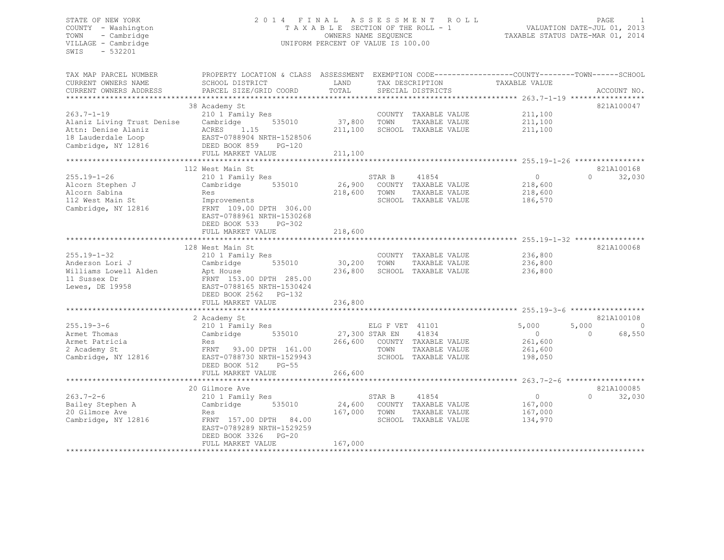#### STATE OF NEW YORK 2 0 1 4 F I N A L A S S E S S M E N T R O L L PAGE 1 COUNTY - Washington T A X A B L E SECTION OF THE ROLL - 1 VALUATION DATE-JUL 01, 2013 TOWN - Cambridge OWNERS NAME SEQUENCE TAXABLE STATUS DATE-MAR 01, 2014 VILLAGE - Cambridge **UNIFORM PERCENT OF VALUE IS 100.00**

| TAX MAP PARCEL NUMBER<br>CURRENT OWNERS NAME<br>CURRENT OWNERS ADDRESS                                             | PROPERTY LOCATION & CLASS ASSESSMENT<br>SCHOOL DISTRICT<br>PARCEL SIZE/GRID COORD                                                                                      | LAND<br>TOTAL                |                                           | TAX DESCRIPTION<br>SPECIAL DISTRICTS                                           | EXEMPTION CODE-----------------COUNTY-------TOWN------SCHOOL<br>TAXABLE VALUE | ACCOUNT NO.                                           |
|--------------------------------------------------------------------------------------------------------------------|------------------------------------------------------------------------------------------------------------------------------------------------------------------------|------------------------------|-------------------------------------------|--------------------------------------------------------------------------------|-------------------------------------------------------------------------------|-------------------------------------------------------|
| $263.7 - 1 - 19$<br>Alaniz Living Trust Denise<br>Attn: Denise Alaniz<br>18 Lauderdale Loop<br>Cambridge, NY 12816 | 38 Academy St<br>210 1 Family Res<br>Cambridge<br>535010<br>ACRES<br>1.15<br>EAST-0788904 NRTH-1528506<br>DEED BOOK 859<br>$PG-120$<br>FULL MARKET VALUE               | 37,800<br>211,100<br>211,100 | TOWN                                      | COUNTY TAXABLE VALUE<br>TAXABLE VALUE<br>SCHOOL TAXABLE VALUE                  | 211,100<br>211,100<br>211,100                                                 | 821A100047                                            |
|                                                                                                                    | 112 West Main St                                                                                                                                                       |                              |                                           |                                                                                |                                                                               | 821A100168                                            |
| $255.19 - 1 - 26$<br>Alcorn Stephen J<br>Alcorn Sabina<br>112 West Main St<br>Cambridge, NY 12816                  | 210 1 Family Res<br>535010<br>Cambridge<br>Res<br>Improvements<br>FRNT 109.00 DPTH 306.00<br>EAST-0788961 NRTH-1530268<br>DEED BOOK 533<br>PG-302<br>FULL MARKET VALUE | 26,900<br>218,600<br>218,600 | STAR B<br>TOWN                            | 41854<br>COUNTY TAXABLE VALUE<br>TAXABLE VALUE<br>SCHOOL TAXABLE VALUE         | $\circ$<br>218,600<br>218,600<br>186,570                                      | 32,030<br>$\cap$                                      |
|                                                                                                                    |                                                                                                                                                                        |                              |                                           |                                                                                |                                                                               |                                                       |
| $255.19 - 1 - 32$<br>Anderson Lori J<br>Williams Lowell Alden<br>11 Sussex Dr<br>Lewes, DE 19958                   | 128 West Main St<br>210 1 Family Res<br>Cambridge<br>535010<br>Apt House<br>FRNT 153.00 DPTH 285.00<br>EAST-0788165 NRTH-1530424<br>DEED BOOK 2562 PG-132              | 30,200 TOWN<br>236,800       |                                           | COUNTY TAXABLE VALUE<br>TAXABLE VALUE<br>SCHOOL TAXABLE VALUE                  | 236,800<br>236,800<br>236,800                                                 | 821A100068                                            |
|                                                                                                                    | FULL MARKET VALUE                                                                                                                                                      | 236,800                      |                                           |                                                                                |                                                                               |                                                       |
| $255.19 - 3 - 6$<br>Armet Thomas<br>Armet Patricia<br>2 Academy St<br>Cambridge, NY 12816                          | 2 Academy St<br>210 1 Family Res<br>Cambridge<br>535010<br>Res<br>FRNT 93.00 DPTH 161.00<br>EAST-0788730 NRTH-1529943<br>DEED BOOK 512<br>$PG-55$                      |                              | ELG F VET 41101<br>27,300 STAR EN<br>TOWN | 41834<br>266,600 COUNTY TAXABLE VALUE<br>TAXABLE VALUE<br>SCHOOL TAXABLE VALUE | 5,000<br>$\overline{0}$<br>261,600<br>261,600<br>198,050                      | 821A100108<br>5,000<br>$\Omega$<br>68,550<br>$\Omega$ |
|                                                                                                                    | FULL MARKET VALUE                                                                                                                                                      | 266,600                      |                                           |                                                                                |                                                                               |                                                       |
| $263.7 - 2 - 6$<br>Bailey Stephen A<br>20 Gilmore Ave<br>Cambridge, NY 12816                                       | 20 Gilmore Ave<br>210 1 Family Res<br>Cambridge<br>535010<br>Res<br>FRNT 157.00 DPTH 84.00                                                                             | 24,600<br>167,000            | STAR B<br>TOWN                            | 41854<br>COUNTY TAXABLE VALUE<br>TAXABLE VALUE<br>SCHOOL TAXABLE VALUE         | $\circ$<br>167,000<br>167,000<br>134,970                                      | 821A100085<br>32,030<br>$\Omega$                      |
|                                                                                                                    | EAST-0789289 NRTH-1529259<br>DEED BOOK 3326 PG-20<br>FULL MARKET VALUE                                                                                                 | 167,000                      |                                           |                                                                                |                                                                               |                                                       |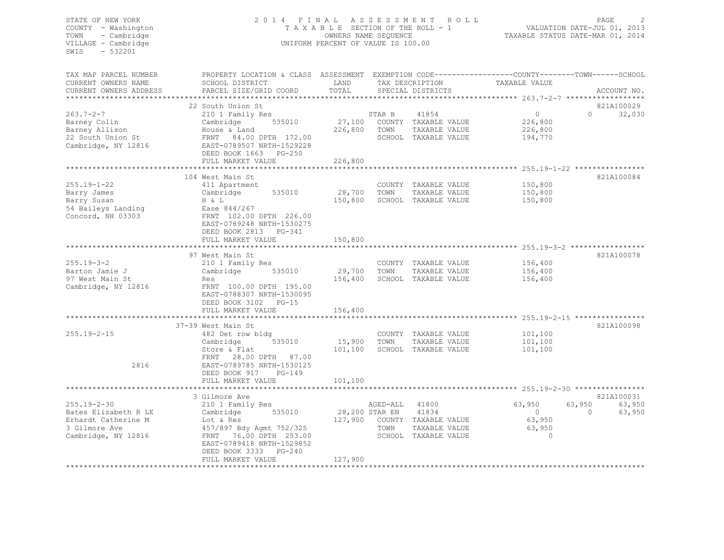#### STATE OF NEW YORK 2 0 1 4 F I N A L A S S E S S M E N T R O L L PAGE 2 COUNTY - Washington T A X A B L E SECTION OF THE ROLL - 1 VALUATION DATE-JUL 01, 2013 TOWN - Cambridge OWNERS NAME SEQUENCE TAXABLE STATUS DATE-MAR 01, 2014 VILLAGE - Cambridge UNIFORM PERCENT OF VALUE IS 100.00

TAX MAP PARCEL NUMBER PROPERTY LOCATION & CLASS ASSESSMENT EXEMPTION CODE------------------COUNTY--------TOWN------SCHOOL

CURRENT OWNERS NAME SCHOOL DISTRICT LAND TAX DESCRIPTION TAXABLE VALUE

| CURRENT OWNERS ADDRESS | PARCEL SIZE/GRID COORD    | TOTAL          |          | SPECIAL DISTRICTS                                     |            |          | ACCOUNT NO. |
|------------------------|---------------------------|----------------|----------|-------------------------------------------------------|------------|----------|-------------|
|                        | 22 South Union St         |                |          |                                                       |            |          | 821A100029  |
| $263.7 - 2 - 7$        | 210 1 Family Res          |                | STAR B   | 41854                                                 | $\circ$    | $\Omega$ | 32,030      |
|                        |                           |                |          |                                                       |            |          |             |
| Barney Colin           | Cambridge<br>535010       | 27,100         |          | COUNTY TAXABLE VALUE                                  | 226,800    |          |             |
| Barney Allison         | House & Land              | 226,800        | TOWN     | TAXABLE VALUE                                         | 226,800    |          |             |
| 22 South Union St      | FRNT 84.00 DPTH 172.00    |                |          | SCHOOL TAXABLE VALUE                                  | 194,770    |          |             |
| Cambridge, NY 12816    | EAST-0789507 NRTH-1529228 |                |          |                                                       |            |          |             |
|                        | DEED BOOK 1663 PG-250     |                |          |                                                       |            |          |             |
|                        | FULL MARKET VALUE         | 226,800        |          |                                                       |            |          |             |
|                        | ************************  |                |          | ************************ 255.19-1-22 **************** |            |          |             |
|                        | 104 West Main St          |                |          |                                                       |            |          | 821A100084  |
| $255.19 - 1 - 22$      | 411 Apartment             |                | COUNTY   | TAXABLE VALUE                                         | 150,800    |          |             |
| Barry James            | 535010<br>Cambridge       | 28,700         | TOWN     | TAXABLE VALUE                                         | 150,800    |          |             |
| Barry Susan            | H & L                     | 150,800        |          | SCHOOL TAXABLE VALUE                                  | 150,800    |          |             |
| 54 Baileys Landing     | Ease 844/267              |                |          |                                                       |            |          |             |
| Concord, NH 03303      | FRNT 102.00 DPTH 226.00   |                |          |                                                       |            |          |             |
|                        |                           |                |          |                                                       |            |          |             |
|                        | EAST-0789248 NRTH-1530275 |                |          |                                                       |            |          |             |
|                        | DEED BOOK 2813 PG-341     |                |          |                                                       |            |          |             |
|                        | FULL MARKET VALUE         | 150,800        |          |                                                       |            |          |             |
|                        |                           |                |          |                                                       |            |          |             |
|                        | 97 West Main St           |                |          |                                                       |            |          | 821A100078  |
| $255.19 - 3 - 2$       | 210 1 Family Res          |                |          | COUNTY TAXABLE VALUE                                  | 156,400    |          |             |
| Barton Jamie J         | 535010<br>Cambridge       | 29,700         | TOWN     | TAXABLE VALUE                                         | 156,400    |          |             |
| 97 West Main St        | Res                       | 156,400        |          | SCHOOL TAXABLE VALUE                                  | 156,400    |          |             |
| Cambridge, NY 12816    | FRNT 100.00 DPTH 195.00   |                |          |                                                       |            |          |             |
|                        | EAST-0788307 NRTH-1530095 |                |          |                                                       |            |          |             |
|                        | DEED BOOK 3102 PG-15      |                |          |                                                       |            |          |             |
|                        |                           |                |          |                                                       |            |          |             |
|                        | FULL MARKET VALUE         | 156,400        |          |                                                       |            |          |             |
|                        |                           |                |          |                                                       |            |          |             |
|                        | 37-39 West Main St        |                |          |                                                       |            |          | 821A100098  |
| $255.19 - 2 - 15$      | 482 Det row bldg          |                |          | COUNTY TAXABLE VALUE                                  | 101,100    |          |             |
|                        | 535010<br>Cambridge       | 15,900         | TOWN     | TAXABLE VALUE                                         | 101,100    |          |             |
|                        | Store & Flat              | 101,100        |          | SCHOOL TAXABLE VALUE                                  | 101,100    |          |             |
|                        | FRNT 28.00 DPTH 87.00     |                |          |                                                       |            |          |             |
| 2816                   | EAST-0789785 NRTH-1530125 |                |          |                                                       |            |          |             |
|                        | DEED BOOK 917<br>$PG-149$ |                |          |                                                       |            |          |             |
|                        | FULL MARKET VALUE         | 101,100        |          |                                                       |            |          |             |
|                        |                           |                |          |                                                       |            |          |             |
|                        | 3 Gilmore Ave             |                |          |                                                       |            |          | 821A100031  |
| $255.19 - 2 - 30$      | 210 1 Family Res          |                | AGED-ALL | 41800                                                 | 63,950     | 63,950   | 63,950      |
|                        |                           |                |          |                                                       |            | $\Omega$ |             |
| Bates Elizabeth R LE   | 535010<br>Cambridge       | 28,200 STAR EN |          | 41834                                                 | $\bigcirc$ |          | 63,950      |
| Erhardt Catherine M    | Lot & Res                 |                |          | 127,900 COUNTY TAXABLE VALUE                          | 63,950     |          |             |
| 3 Gilmore Ave          | 457/897 Bdy Agmt 752/325  |                | TOWN     | TAXABLE VALUE                                         | 63,950     |          |             |
| Cambridge, NY 12816    | FRNT 76.00 DPTH 253.00    |                |          | SCHOOL TAXABLE VALUE                                  | $\Omega$   |          |             |
|                        | EAST-0789418 NRTH-1529852 |                |          |                                                       |            |          |             |
|                        | DEED BOOK 3333 PG-240     |                |          |                                                       |            |          |             |
|                        | FULL MARKET VALUE         | 127,900        |          |                                                       |            |          |             |
|                        |                           |                |          |                                                       |            |          |             |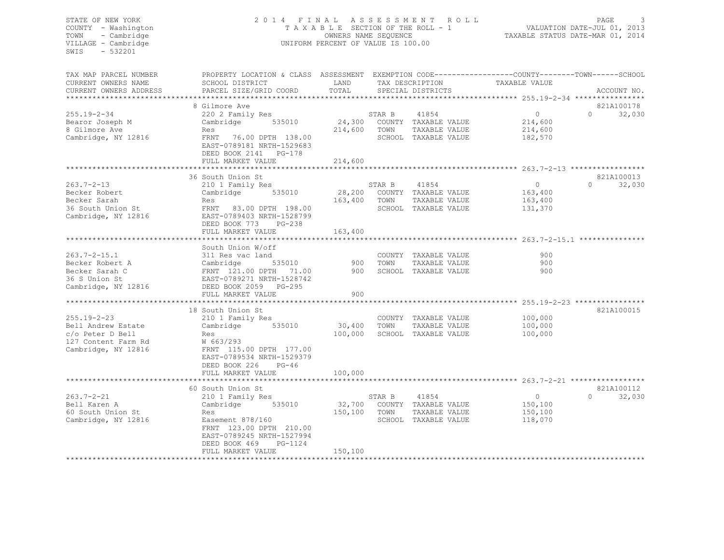#### STATE OF NEW YORK 2 0 1 4 F I N A L A S S E S S M E N T R O L L PAGE 3 COUNTY - Washington T A X A B L E SECTION OF THE ROLL - 1 VALUATION DATE-JUL 01, 2013 TOWN - Cambridge OWNERS NAME SEQUENCE TAXABLE STATUS DATE-MAR 01, 2014 VILLAGE - Cambridge **UNIFORM PERCENT OF VALUE IS 100.00**

| TAX MAP PARCEL NUMBER<br>CURRENT OWNERS NAME<br>CURRENT OWNERS ADDRESS | PROPERTY LOCATION & CLASS ASSESSMENT EXEMPTION CODE----------------COUNTY-------TOWN------SCHOOL<br>SCHOOL DISTRICT<br>PARCEL SIZE/GRID COORD | LAND<br>TOTAL |        | TAX DESCRIPTION<br>SPECIAL DISTRICTS  | TAXABLE VALUE                                                       | ACCOUNT NO.        |
|------------------------------------------------------------------------|-----------------------------------------------------------------------------------------------------------------------------------------------|---------------|--------|---------------------------------------|---------------------------------------------------------------------|--------------------|
|                                                                        | 8 Gilmore Ave                                                                                                                                 |               |        |                                       |                                                                     | 821A100178         |
| $255.19 - 2 - 34$                                                      | 220 2 Family Res                                                                                                                              |               | STAR B | 41854                                 | $\circ$                                                             | 32,030<br>$\Omega$ |
| Bearor Joseph M                                                        | Cambridge<br>535010                                                                                                                           | 24,300        |        | COUNTY TAXABLE VALUE                  | 214,600                                                             |                    |
| 8 Gilmore Ave                                                          | Res                                                                                                                                           | 214,600       | TOWN   | TAXABLE VALUE                         | 214,600                                                             |                    |
| Cambridge, NY 12816                                                    | FRNT<br>76.00 DPTH 138.00<br>EAST-0789181 NRTH-1529683<br>DEED BOOK 2141<br>PG-178                                                            |               |        | SCHOOL TAXABLE VALUE                  | 182,570                                                             |                    |
|                                                                        | FULL MARKET VALUE                                                                                                                             | 214,600       |        |                                       |                                                                     |                    |
|                                                                        | 36 South Union St                                                                                                                             |               |        |                                       |                                                                     | 821A100013         |
| $263.7 - 2 - 13$                                                       | 210 1 Family Res                                                                                                                              |               | STAR B | 41854                                 | $\circ$                                                             | $\Omega$<br>32,030 |
| Becker Robert                                                          | 535010<br>Cambridge                                                                                                                           | 28,200        |        | COUNTY TAXABLE VALUE                  | 163,400                                                             |                    |
| Becker Sarah                                                           | Res                                                                                                                                           | 163,400       | TOWN   | TAXABLE VALUE                         | 163,400                                                             |                    |
| 36 South Union St                                                      | FRNT 83.00 DPTH 198.00                                                                                                                        |               |        | SCHOOL TAXABLE VALUE                  | 131,370                                                             |                    |
| Cambridge, NY 12816                                                    | EAST-0789403 NRTH-1528799<br>DEED BOOK 773<br>PG-238<br>FULL MARKET VALUE                                                                     | 163,400       |        |                                       |                                                                     |                    |
|                                                                        |                                                                                                                                               |               |        |                                       | ************************************ 263.7-2-15.1 **                |                    |
|                                                                        | South Union W/off                                                                                                                             |               |        |                                       |                                                                     |                    |
| $263.7 - 2 - 15.1$                                                     | 311 Res vac land                                                                                                                              |               |        | COUNTY TAXABLE VALUE                  | 900                                                                 |                    |
| Becker Robert A                                                        | Cambridge<br>535010                                                                                                                           | 900           | TOWN   | TAXABLE VALUE                         | 900                                                                 |                    |
| Becker Sarah C                                                         | FRNT 121.00 DPTH 71.00                                                                                                                        | 900           |        | SCHOOL TAXABLE VALUE                  | 900                                                                 |                    |
| 36 S Union St                                                          | EAST-0789271 NRTH-1528742                                                                                                                     |               |        |                                       |                                                                     |                    |
| Cambridge, NY 12816                                                    | DEED BOOK 2059 PG-295                                                                                                                         |               |        |                                       |                                                                     |                    |
|                                                                        | FULL MARKET VALUE                                                                                                                             | 900           |        |                                       |                                                                     |                    |
|                                                                        |                                                                                                                                               |               |        |                                       |                                                                     |                    |
| $255.19 - 2 - 23$                                                      | 18 South Union St                                                                                                                             |               |        |                                       | 100,000                                                             | 821A100015         |
| Bell Andrew Estate                                                     | 210 1 Family Res<br>535010<br>Cambridge                                                                                                       | 30,400        | TOWN   | COUNTY TAXABLE VALUE<br>TAXABLE VALUE | 100,000                                                             |                    |
| c/o Peter D Bell                                                       | Res                                                                                                                                           | 100,000       |        | SCHOOL TAXABLE VALUE                  | 100,000                                                             |                    |
| 127 Content Farm Rd                                                    | W 663/293                                                                                                                                     |               |        |                                       |                                                                     |                    |
| Cambridge, NY 12816                                                    | FRNT 115.00 DPTH 177.00<br>EAST-0789534 NRTH-1529379                                                                                          |               |        |                                       |                                                                     |                    |
|                                                                        | DEED BOOK 226<br>$PG-46$                                                                                                                      |               |        |                                       |                                                                     |                    |
|                                                                        | FULL MARKET VALUE<br>********************                                                                                                     | 100,000       |        |                                       | **************************************763.7-2-21 ****************** |                    |
|                                                                        | 60 South Union St                                                                                                                             |               |        |                                       |                                                                     | 821A100112         |
| $263.7 - 2 - 21$                                                       | 210 1 Family Res                                                                                                                              |               | STAR B | 41854                                 | $\circ$                                                             | 32,030<br>$\Omega$ |
| Bell Karen A                                                           | 535010<br>Cambridge                                                                                                                           | 32,700        |        | COUNTY TAXABLE VALUE                  | 150,100                                                             |                    |
| 60 South Union St                                                      | Res                                                                                                                                           | 150,100       | TOWN   | TAXABLE VALUE                         | 150,100                                                             |                    |
| Cambridge, NY 12816                                                    | Easement 878/160                                                                                                                              |               |        | SCHOOL TAXABLE VALUE                  | 118,070                                                             |                    |
|                                                                        | FRNT 123.00 DPTH 210.00<br>EAST-0789245 NRTH-1527994<br>DEED BOOK 469<br>PG-1124                                                              |               |        |                                       |                                                                     |                    |
|                                                                        | FULL MARKET VALUE                                                                                                                             | 150,100       |        |                                       |                                                                     |                    |
|                                                                        | ***********************************                                                                                                           |               |        |                                       |                                                                     |                    |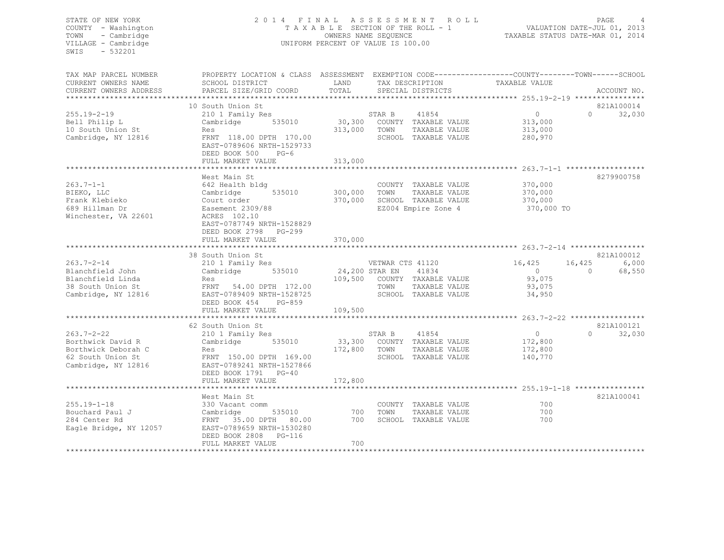#### STATE OF NEW YORK 2 0 1 4 F I N A L A S S E S S M E N T R O L L PAGE 4 COUNTY - Washington T A X A B L E SECTION OF THE ROLL - 1 VALUATION DATE-JUL 01, 2013 TOWN - Cambridge OWNERS NAME SEQUENCE TAXABLE STATUS DATE-MAR 01, 2014 VILLAGE - Cambridge **UNIFORM PERCENT OF VALUE IS 100.00**

| TAX MAP PARCEL NUMBER<br>CURRENT OWNERS NAME<br>CURRENT OWNERS ADDRESS                                   | PROPERTY LOCATION & CLASS ASSESSMENT EXEMPTION CODE---------------COUNTY-------TOWN------SCHOOI<br>SCHOOL DISTRICT<br>PARCEL SIZE/GRID COORD                                                                         | LAND<br>TOTAL                        | TAX DESCRIPTION<br>SPECIAL DISTRICTS                                                               | TAXABLE VALUE                                                                            | ACCOUNT NO.                                         |
|----------------------------------------------------------------------------------------------------------|----------------------------------------------------------------------------------------------------------------------------------------------------------------------------------------------------------------------|--------------------------------------|----------------------------------------------------------------------------------------------------|------------------------------------------------------------------------------------------|-----------------------------------------------------|
| $255.19 - 2 - 19$<br>Bell Philip L<br>10 South Union St<br>Cambridge, NY 12816                           | 10 South Union St<br>210 1 Family Res<br>Cambridge<br>535010<br>Res<br>FRNT 118.00 DPTH 170.00<br>EAST-0789606 NRTH-1529733<br>DEED BOOK 500<br>$PG-6$<br>FULL MARKET VALUE                                          | 30,300<br>313,000<br>313,000         | 41854<br>STAR B<br>COUNTY TAXABLE VALUE<br>TOWN<br>TAXABLE VALUE<br>SCHOOL TAXABLE VALUE           | $\circ$<br>313,000<br>313,000<br>280,970                                                 | 821A100014<br>32,030<br>$\Omega$                    |
| $263.7 - 1 - 1$<br>BIEKO, LLC<br>Frank Klebieko<br>689 Hillman Dr<br>Winchester, VA 22601                | *************************<br>West Main St<br>642 Health bldg<br>535010<br>Cambridge<br>Court order<br>Easement 2309/88<br>ACRES 102.10<br>EAST-0787749 NRTH-1528829<br>DEED BOOK 2798<br>PG-299<br>FULL MARKET VALUE | 300,000<br>370,000<br>370,000        | COUNTY TAXABLE VALUE<br>TOWN<br>TAXABLE VALUE<br>SCHOOL TAXABLE VALUE<br>EZ004 Empire Zone 4       | *********** 263.7-1-1 *******************<br>370,000<br>370,000<br>370,000<br>370,000 TO | 8279900758                                          |
| $263.7 - 2 - 14$<br>Blanchfield John<br>Blanchfield Linda<br>38 South Union St<br>Cambridge, NY 12816    | 38 South Union St<br>210 1 Family Res<br>Cambridge<br>535010<br>Res<br>FRNT 54.00 DPTH 172.00<br>EAST-0789409 NRTH-1528725<br>DEED BOOK 454<br>PG-859<br>FULL MARKET VALUE                                           | 24,200 STAR EN<br>109,500<br>109,500 | VETWAR CTS 41120<br>41834<br>COUNTY TAXABLE VALUE<br>TOWN<br>TAXABLE VALUE<br>SCHOOL TAXABLE VALUE | 16,425<br>$\overline{0}$<br>93,075<br>93,075<br>34,950                                   | 821A100012<br>6,000<br>16,425<br>$\Omega$<br>68,550 |
| $263.7 - 2 - 22$<br>Borthwick David R<br>Borthwick Deborah C<br>62 South Union St<br>Cambridge, NY 12816 | 62 South Union St<br>210 1 Family Res<br>535010<br>Cambridge<br>Res<br>FRNT 150.00 DPTH 169.00<br>EAST-0789241 NRTH-1527866<br>DEED BOOK 1791 PG-40<br>FULL MARKET VALUE                                             | 33,300<br>172,800<br>172,800         | 41854<br>STAR B<br>COUNTY TAXABLE VALUE<br>TOWN<br>TAXABLE VALUE<br>SCHOOL TAXABLE VALUE           | $\circ$<br>172,800<br>172,800<br>140,770                                                 | 821A100121<br>$\Omega$<br>32,030                    |
| $255.19 - 1 - 18$<br>Bouchard Paul J<br>284 Center Rd<br>Eagle Bridge, NY 12057                          | West Main St<br>330 Vacant comm<br>Cambridge<br>535010<br>FRNT 35.00 DPTH 80.00<br>EAST-0789659 NRTH-1530280<br>DEED BOOK 2808<br>$PG-116$<br>FULL MARKET VALUE                                                      | 700<br>700<br>700                    | COUNTY TAXABLE VALUE<br>TOWN<br>TAXABLE VALUE<br>SCHOOL TAXABLE VALUE                              | 700<br>700<br>700                                                                        | 821A100041                                          |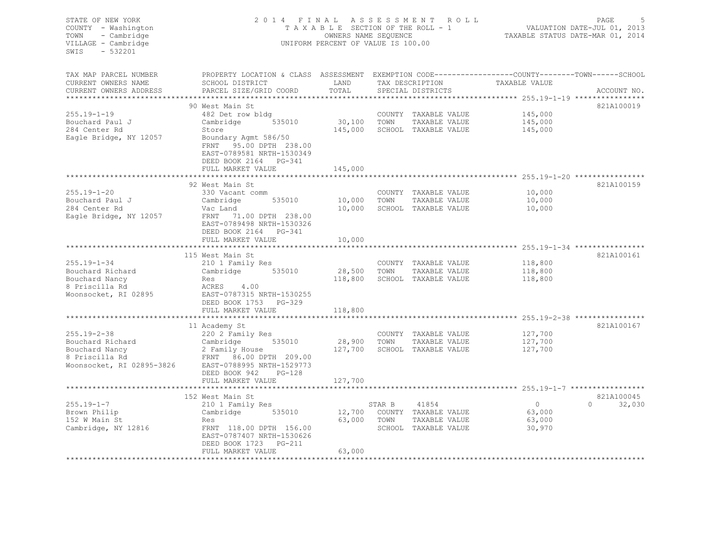| STATE OF NEW YORK<br>COUNTY - Washington<br>- Cambridge<br>TOWN<br>VILLAGE - Cambridge<br>$-532201$<br>SWIS |                                                                                                                                             | OWNERS NAME SEQUENCE<br>UNIFORM PERCENT OF VALUE IS 100.00 |        | 2014 FINAL ASSESSMENT ROLL<br>TAXABLE SECTION OF THE ROLL - 1 |                               | PAGE<br>VALUATION DATE-JUL 01, 2013<br>TAXABLE STATUS DATE-MAR 01, 2014 |
|-------------------------------------------------------------------------------------------------------------|---------------------------------------------------------------------------------------------------------------------------------------------|------------------------------------------------------------|--------|---------------------------------------------------------------|-------------------------------|-------------------------------------------------------------------------|
| TAX MAP PARCEL NUMBER<br>CURRENT OWNERS NAME<br>CURRENT OWNERS ADDRESS                                      | PROPERTY LOCATION & CLASS ASSESSMENT EXEMPTION CODE---------------COUNTY-------TOWN-----SCHOOL<br>SCHOOL DISTRICT<br>PARCEL SIZE/GRID COORD | LAND<br>TOTAL                                              |        | SPECIAL DISTRICTS                                             | TAX DESCRIPTION TAXABLE VALUE | ACCOUNT NO.                                                             |
|                                                                                                             |                                                                                                                                             |                                                            |        |                                                               |                               |                                                                         |
|                                                                                                             | 90 West Main St                                                                                                                             |                                                            |        |                                                               |                               | 821A100019                                                              |
| $255.19 - 1 - 19$                                                                                           | 482 Det row bldg                                                                                                                            |                                                            |        | COUNTY TAXABLE VALUE                                          | 145,000                       |                                                                         |
| Bouchard Paul J<br>284 Center Rd                                                                            | Cambridge 535010<br>Store                                                                                                                   |                                                            |        | 30,100 TOWN TAXABLE VALUE<br>145,000 SCHOOL TAXABLE VALUE     | 145,000<br>145,000            |                                                                         |
| Eagle Bridge, NY 12057                                                                                      | Boundary Agmt 586/50<br>FRNT 95.00 DPTH 238.00<br>EAST-0789581 NRTH-1530349<br>DEED BOOK 2164 PG-341                                        |                                                            |        |                                                               |                               |                                                                         |
|                                                                                                             | FULL MARKET VALUE                                                                                                                           | 145,000                                                    |        |                                                               |                               |                                                                         |
|                                                                                                             |                                                                                                                                             |                                                            |        |                                                               |                               |                                                                         |
|                                                                                                             | 92 West Main St                                                                                                                             |                                                            |        |                                                               |                               | 821A100159                                                              |
| 255.19-1-20<br>Bouchard Paul J                                                                              | 330 Vacant comm<br>Cambridge 535010                                                                                                         | 10,000 TOWN                                                |        | COUNTY TAXABLE VALUE<br>TAXABLE VALUE                         | 10,000<br>10,000              |                                                                         |
| 284 Center Rd                                                                                               | Vac Land                                                                                                                                    |                                                            |        | 10,000 SCHOOL TAXABLE VALUE                                   | 10,000                        |                                                                         |
| Eagle Bridge, NY 12057                                                                                      | FRNT 71.00 DPTH 238.00<br>EAST-0789498 NRTH-1530326<br>DEED BOOK 2164 PG-341<br>FULL MARKET VALUE                                           | 10,000                                                     |        |                                                               |                               |                                                                         |
|                                                                                                             |                                                                                                                                             |                                                            |        |                                                               |                               |                                                                         |
|                                                                                                             | 115 West Main St                                                                                                                            |                                                            |        |                                                               |                               | 821A100161                                                              |
| $255.19 - 1 - 34$                                                                                           | 210 1 Family Res                                                                                                                            |                                                            |        | COUNTY TAXABLE VALUE                                          | 118,800                       |                                                                         |
| Bouchard Richard                                                                                            | Cambridge 535010                                                                                                                            | 28,500 TOWN                                                |        | TAXABLE VALUE                                                 | 118,800                       |                                                                         |
| Bouchard Nancy                                                                                              | Res                                                                                                                                         |                                                            |        | 118,800 SCHOOL TAXABLE VALUE                                  | 118,800                       |                                                                         |
| 8 Priscilla Rd<br>Woonsocket, RI 02895                                                                      | ACRES 4.00<br>EAST-0787315 NRTH-1530255                                                                                                     |                                                            |        |                                                               |                               |                                                                         |
|                                                                                                             | DEED BOOK 1753 PG-329                                                                                                                       |                                                            |        |                                                               |                               |                                                                         |
|                                                                                                             | FULL MARKET VALUE                                                                                                                           | 118,800                                                    |        |                                                               |                               |                                                                         |
|                                                                                                             |                                                                                                                                             |                                                            |        |                                                               |                               |                                                                         |
|                                                                                                             | 11 Academy St                                                                                                                               |                                                            |        |                                                               |                               | 821A100167                                                              |
| 255.19-2-38                                                                                                 | 220 2 Family Res                                                                                                                            |                                                            |        | COUNTY TAXABLE VALUE                                          | 127,700                       |                                                                         |
|                                                                                                             |                                                                                                                                             | 28,900 TOWN                                                |        | TAXABLE VALUE                                                 | 127,700                       |                                                                         |
|                                                                                                             |                                                                                                                                             |                                                            |        | 127,700 SCHOOL TAXABLE VALUE                                  | 127,700                       |                                                                         |
|                                                                                                             | Bouchard Richard<br>Bouchard Richard<br>Bouchard Nancy<br>8 Priscilla Rd<br>Woonsocket, RI 02895-3826<br>EAST-0788995 NRTH-1529773          |                                                            |        |                                                               |                               |                                                                         |
|                                                                                                             |                                                                                                                                             |                                                            |        |                                                               |                               |                                                                         |
|                                                                                                             | DEED BOOK 942 PG-128<br>FULL MARKET VALUE                                                                                                   | 127,700                                                    |        |                                                               |                               |                                                                         |
|                                                                                                             |                                                                                                                                             |                                                            |        |                                                               |                               |                                                                         |
|                                                                                                             | 152 West Main St                                                                                                                            |                                                            |        |                                                               |                               | 821A100045                                                              |
| $255.19 - 1 - 7$                                                                                            | 210 1 Family Res                                                                                                                            |                                                            | STAR B | 41854                                                         | $\overline{0}$                | $\Omega$<br>32,030                                                      |
| Brown Philip                                                                                                | Cambridge 535010                                                                                                                            |                                                            |        | 12,700 COUNTY TAXABLE VALUE                                   | 63,000                        |                                                                         |
| 152 W Main St                                                                                               | Res                                                                                                                                         | 63,000 TOWN                                                |        | TAXABLE VALUE                                                 | 63,000                        |                                                                         |
| Cambridge, NY 12816                                                                                         | FRNT 118.00 DPTH 156.00<br>EAST-0787407 NRTH-1530626<br>DEED BOOK 1723 PG-211                                                               |                                                            |        | SCHOOL TAXABLE VALUE                                          | 30,970                        |                                                                         |
|                                                                                                             | FULL MARKET VALUE                                                                                                                           | 63,000                                                     |        |                                                               |                               |                                                                         |
|                                                                                                             |                                                                                                                                             |                                                            |        |                                                               |                               |                                                                         |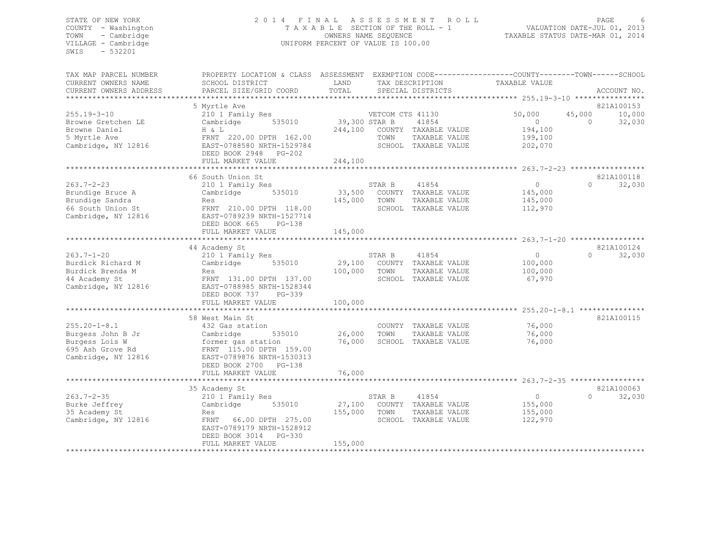#### STATE OF NEW YORK 2 0 1 4 F I N A L A S S E S S M E N T R O L L PAGE 6 COUNTY - Washington T A X A B L E SECTION OF THE ROLL - 1 VALUATION DATE-JUL 01, 2013 TOWN - Cambridge OWNERS NAME SEQUENCE TAXABLE STATUS DATE-MAR 01, 2014 VILLAGE - Cambridge **UNIFORM PERCENT OF VALUE IS 100.00**

| TAX MAP PARCEL NUMBER<br>CURRENT OWNERS NAME<br>CURRENT OWNERS ADDRESS                               | PROPERTY LOCATION & CLASS ASSESSMENT<br>SCHOOL DISTRICT<br>PARCEL SIZE/GRID COORD                                                                                                                       | LAND<br>TOTAL                       |                          | TAX DESCRIPTION<br>SPECIAL DISTRICTS                                   | TAXABLE VALUE                                       | EXEMPTION CODE-----------------COUNTY-------TOWN------SCHOOL<br>ACCOUNT NO. |
|------------------------------------------------------------------------------------------------------|---------------------------------------------------------------------------------------------------------------------------------------------------------------------------------------------------------|-------------------------------------|--------------------------|------------------------------------------------------------------------|-----------------------------------------------------|-----------------------------------------------------------------------------|
|                                                                                                      |                                                                                                                                                                                                         |                                     |                          |                                                                        |                                                     |                                                                             |
| $255.19 - 3 - 10$<br>Browne Gretchen LE<br>Browne Daniel<br>5 Myrtle Ave<br>Cambridge, NY 12816      | 5 Myrtle Ave<br>210 1 Family Res<br>Cambridge<br>535010<br>H & L<br>FRNT 220.00 DPTH 162.00<br>EAST-0788580 NRTH-1529784<br>DEED BOOK 2948<br>$PG-202$<br>FULL MARKET VALUE<br>************************ | 39,300 STAR B<br>244,100<br>244,100 | VETCOM CTS 41130<br>TOWN | 41854<br>COUNTY TAXABLE VALUE<br>TAXABLE VALUE<br>SCHOOL TAXABLE VALUE | 50,000<br>$\Omega$<br>194,100<br>199,100<br>202,070 | 821A100153<br>45,000<br>10,000<br>32,030<br>$\cap$                          |
|                                                                                                      | 66 South Union St                                                                                                                                                                                       |                                     |                          |                                                                        |                                                     | 821A100118                                                                  |
| $263.7 - 2 - 23$<br>Brundige Bruce A<br>Brundige Sandra<br>66 South Union St<br>Cambridge, NY 12816  | 210 1 Family Res<br>Cambridge<br>535010<br>Res<br>FRNT 210.00 DPTH 118.00<br>EAST-0789239 NRTH-1527714<br>DEED BOOK 665<br>$PG-138$<br>FULL MARKET VALUE                                                | 33,500<br>145,000<br>145,000        | STAR B<br>TOWN           | 41854<br>COUNTY TAXABLE VALUE<br>TAXABLE VALUE<br>SCHOOL TAXABLE VALUE | $\circ$<br>145,000<br>145,000<br>112,970            | $\Omega$<br>32,030                                                          |
|                                                                                                      |                                                                                                                                                                                                         |                                     |                          |                                                                        |                                                     |                                                                             |
| $263.7 - 1 - 20$<br>Burdick Richard M<br>Burdick Brenda M<br>44 Academy St<br>Cambridge, NY 12816    | 44 Academy St<br>210 1 Family Res<br>Cambridge<br>535010<br>Res<br>FRNT 131.00 DPTH 137.00<br>EAST-0788985 NRTH-1528344<br>DEED BOOK 737<br>PG-339<br>FULL MARKET VALUE                                 | 29,100<br>100,000<br>100,000        | STAR B<br>TOWN           | 41854<br>COUNTY TAXABLE VALUE<br>TAXABLE VALUE<br>SCHOOL TAXABLE VALUE | $\circ$<br>100,000<br>100,000<br>67,970             | 821A100124<br>$\Omega$<br>32,030                                            |
|                                                                                                      | 58 West Main St                                                                                                                                                                                         |                                     |                          |                                                                        |                                                     | 821A100115                                                                  |
| $255.20 - 1 - 8.1$<br>Burgess John B Jr<br>Burgess Lois W<br>695 Ash Grove Rd<br>Cambridge, NY 12816 | 432 Gas station<br>Cambridge<br>535010<br>former gas station<br>FRNT 115.00 DPTH 159.00<br>EAST-0789876 NRTH-1530313<br>DEED BOOK 2700 PG-138                                                           | 26,000<br>76,000                    | TOWN                     | COUNTY TAXABLE VALUE<br>TAXABLE VALUE<br>SCHOOL TAXABLE VALUE          | 76,000<br>76,000<br>76,000                          |                                                                             |
|                                                                                                      | FULL MARKET VALUE                                                                                                                                                                                       | 76,000                              |                          |                                                                        |                                                     |                                                                             |
|                                                                                                      | 35 Academy St                                                                                                                                                                                           |                                     |                          |                                                                        |                                                     | 821A100063                                                                  |
| $263.7 - 2 - 35$<br>Burke Jeffrey<br>35 Academy St<br>Cambridge, NY 12816                            | 210 1 Family Res<br>Cambridge<br>535010<br>Res<br>FRNT 66.00 DPTH 275.00<br>EAST-0789179 NRTH-1528912<br>DEED BOOK 3014<br>PG-330<br>FULL MARKET VALUE                                                  | 27,100<br>155,000<br>155,000        | STAR B<br>TOWN           | 41854<br>COUNTY TAXABLE VALUE<br>TAXABLE VALUE<br>SCHOOL TAXABLE VALUE | $\circ$<br>155,000<br>155,000<br>122,970            | 32,030<br>$\Omega$                                                          |
|                                                                                                      |                                                                                                                                                                                                         |                                     |                          |                                                                        |                                                     |                                                                             |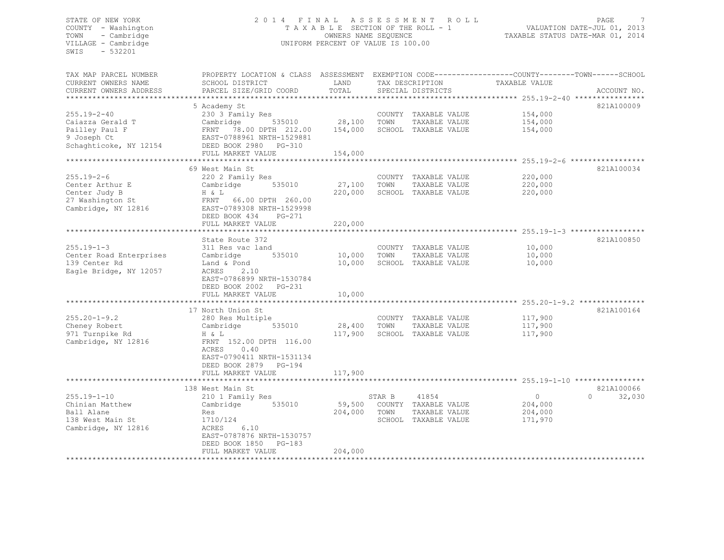#### STATE OF NEW YORK 2 0 1 4 F I N A L A S S E S S M E N T R O L L PAGE 7 COUNTY - Washington T A X A B L E SECTION OF THE ROLL - 1 VALUATION DATE-JUL 01, 2013 TOWN - Cambridge OWNERS NAME SEQUENCE TAXABLE STATUS DATE-MAR 01, 2014 VILLAGE - Cambridge UNIFORM PERCENT OF VALUE IS 100.00

| 5 Academy St<br>821A100009<br>$255.19 - 2 - 40$<br>230 3 Family Res<br>COUNTY TAXABLE VALUE<br>154,000<br>28,100<br>Caiazza Gerald T<br>Cambridge<br>535010<br>TOWN<br>TAXABLE VALUE<br>154,000<br>Pailley Paul F<br>78.00 DPTH 212.00<br>154,000<br>SCHOOL TAXABLE VALUE<br>154,000<br>FRNT<br>EAST-0788961 NRTH-1529881<br>9 Joseph Ct<br>Schaghticoke, NY 12154<br>DEED BOOK 2980<br><b>PG-310</b><br>FULL MARKET VALUE<br>154,000<br>*************************<br>821A100034<br>69 West Main St<br>220,000<br>220 2 Family Res<br>COUNTY TAXABLE VALUE<br>27,100<br>220,000<br>Cambridge<br>535010<br>TOWN<br>TAXABLE VALUE<br>220,000<br>SCHOOL TAXABLE VALUE<br>220,000<br>H & L<br>FRNT 66.00 DPTH 260.00<br>Cambridge, NY 12816<br>EAST-0789308 NRTH-1529998<br>DEED BOOK 434<br>PG-271<br>220,000<br>FULL MARKET VALUE<br>*****************<br>821A100850<br>State Route 372<br>$255.19 - 1 - 3$<br>10,000<br>311 Res vac land<br>COUNTY TAXABLE VALUE<br>10,000<br>10,000<br>Center Road Enterprises<br>535010<br>TOWN<br>TAXABLE VALUE<br>Cambridge<br>139 Center Rd<br>10,000<br>SCHOOL TAXABLE VALUE<br>10,000<br>Land & Pond<br>Eagle Bridge, NY 12057<br>ACRES<br>2.10<br>EAST-0786899 NRTH-1530784<br>DEED BOOK 2002<br>PG-231<br>10,000<br>FULL MARKET VALUE<br>17 North Union St<br>821A100164<br>$255.20 - 1 - 9.2$<br>117,900<br>COUNTY TAXABLE VALUE<br>280 Res Multiple<br>Cheney Robert<br>28,400<br>TOWN<br>535010<br>TAXABLE VALUE<br>117,900<br>Cambridge<br>971 Turnpike Rd<br>117,900<br>117,900<br>SCHOOL TAXABLE VALUE<br>H & L<br>FRNT 152.00 DPTH 116.00<br>Cambridge, NY 12816<br>ACRES<br>0.40<br>EAST-0790411 NRTH-1531134<br>DEED BOOK 2879<br>PG-194<br>117,900<br>FULL MARKET VALUE<br>*****************************<br>821A100066<br>138 West Main St<br>41854<br>$\circ$<br>$\Omega$<br>32,030<br>210 1 Family Res<br>STAR B<br>535010<br>59,500<br>204,000<br>Cambridge<br>COUNTY TAXABLE VALUE<br>204,000<br>TOWN<br>TAXABLE VALUE<br>204,000<br>Res<br>1710/124<br>SCHOOL TAXABLE VALUE<br>171,970<br>6.10<br>ACRES<br>EAST-0787876 NRTH-1530757<br>DEED BOOK 1850<br>$PG-183$<br>FULL MARKET VALUE<br>204,000 | TAX MAP PARCEL NUMBER<br>CURRENT OWNERS NAME<br>CURRENT OWNERS ADDRESS | PROPERTY LOCATION & CLASS ASSESSMENT<br>SCHOOL DISTRICT<br>PARCEL SIZE/GRID COORD | LAND<br>TOTAL | TAX DESCRIPTION<br>SPECIAL DISTRICTS | EXEMPTION CODE-----------------COUNTY-------TOWN------SCHOOL<br>TAXABLE VALUE | ACCOUNT NO. |
|-----------------------------------------------------------------------------------------------------------------------------------------------------------------------------------------------------------------------------------------------------------------------------------------------------------------------------------------------------------------------------------------------------------------------------------------------------------------------------------------------------------------------------------------------------------------------------------------------------------------------------------------------------------------------------------------------------------------------------------------------------------------------------------------------------------------------------------------------------------------------------------------------------------------------------------------------------------------------------------------------------------------------------------------------------------------------------------------------------------------------------------------------------------------------------------------------------------------------------------------------------------------------------------------------------------------------------------------------------------------------------------------------------------------------------------------------------------------------------------------------------------------------------------------------------------------------------------------------------------------------------------------------------------------------------------------------------------------------------------------------------------------------------------------------------------------------------------------------------------------------------------------------------------------------------------------------------------------------------------------------------------------------------------------------------------------------------------------------------------------------------------------------------------|------------------------------------------------------------------------|-----------------------------------------------------------------------------------|---------------|--------------------------------------|-------------------------------------------------------------------------------|-------------|
|                                                                                                                                                                                                                                                                                                                                                                                                                                                                                                                                                                                                                                                                                                                                                                                                                                                                                                                                                                                                                                                                                                                                                                                                                                                                                                                                                                                                                                                                                                                                                                                                                                                                                                                                                                                                                                                                                                                                                                                                                                                                                                                                                           | *********************                                                  |                                                                                   |               |                                      |                                                                               |             |
|                                                                                                                                                                                                                                                                                                                                                                                                                                                                                                                                                                                                                                                                                                                                                                                                                                                                                                                                                                                                                                                                                                                                                                                                                                                                                                                                                                                                                                                                                                                                                                                                                                                                                                                                                                                                                                                                                                                                                                                                                                                                                                                                                           |                                                                        |                                                                                   |               |                                      |                                                                               |             |
|                                                                                                                                                                                                                                                                                                                                                                                                                                                                                                                                                                                                                                                                                                                                                                                                                                                                                                                                                                                                                                                                                                                                                                                                                                                                                                                                                                                                                                                                                                                                                                                                                                                                                                                                                                                                                                                                                                                                                                                                                                                                                                                                                           |                                                                        |                                                                                   |               |                                      |                                                                               |             |
|                                                                                                                                                                                                                                                                                                                                                                                                                                                                                                                                                                                                                                                                                                                                                                                                                                                                                                                                                                                                                                                                                                                                                                                                                                                                                                                                                                                                                                                                                                                                                                                                                                                                                                                                                                                                                                                                                                                                                                                                                                                                                                                                                           |                                                                        |                                                                                   |               |                                      |                                                                               |             |
|                                                                                                                                                                                                                                                                                                                                                                                                                                                                                                                                                                                                                                                                                                                                                                                                                                                                                                                                                                                                                                                                                                                                                                                                                                                                                                                                                                                                                                                                                                                                                                                                                                                                                                                                                                                                                                                                                                                                                                                                                                                                                                                                                           |                                                                        |                                                                                   |               |                                      |                                                                               |             |
|                                                                                                                                                                                                                                                                                                                                                                                                                                                                                                                                                                                                                                                                                                                                                                                                                                                                                                                                                                                                                                                                                                                                                                                                                                                                                                                                                                                                                                                                                                                                                                                                                                                                                                                                                                                                                                                                                                                                                                                                                                                                                                                                                           |                                                                        |                                                                                   |               |                                      |                                                                               |             |
|                                                                                                                                                                                                                                                                                                                                                                                                                                                                                                                                                                                                                                                                                                                                                                                                                                                                                                                                                                                                                                                                                                                                                                                                                                                                                                                                                                                                                                                                                                                                                                                                                                                                                                                                                                                                                                                                                                                                                                                                                                                                                                                                                           |                                                                        |                                                                                   |               |                                      |                                                                               |             |
|                                                                                                                                                                                                                                                                                                                                                                                                                                                                                                                                                                                                                                                                                                                                                                                                                                                                                                                                                                                                                                                                                                                                                                                                                                                                                                                                                                                                                                                                                                                                                                                                                                                                                                                                                                                                                                                                                                                                                                                                                                                                                                                                                           |                                                                        |                                                                                   |               |                                      |                                                                               |             |
|                                                                                                                                                                                                                                                                                                                                                                                                                                                                                                                                                                                                                                                                                                                                                                                                                                                                                                                                                                                                                                                                                                                                                                                                                                                                                                                                                                                                                                                                                                                                                                                                                                                                                                                                                                                                                                                                                                                                                                                                                                                                                                                                                           |                                                                        |                                                                                   |               |                                      |                                                                               |             |
|                                                                                                                                                                                                                                                                                                                                                                                                                                                                                                                                                                                                                                                                                                                                                                                                                                                                                                                                                                                                                                                                                                                                                                                                                                                                                                                                                                                                                                                                                                                                                                                                                                                                                                                                                                                                                                                                                                                                                                                                                                                                                                                                                           | $255.19 - 2 - 6$                                                       |                                                                                   |               |                                      |                                                                               |             |
|                                                                                                                                                                                                                                                                                                                                                                                                                                                                                                                                                                                                                                                                                                                                                                                                                                                                                                                                                                                                                                                                                                                                                                                                                                                                                                                                                                                                                                                                                                                                                                                                                                                                                                                                                                                                                                                                                                                                                                                                                                                                                                                                                           | Center Arthur E                                                        |                                                                                   |               |                                      |                                                                               |             |
|                                                                                                                                                                                                                                                                                                                                                                                                                                                                                                                                                                                                                                                                                                                                                                                                                                                                                                                                                                                                                                                                                                                                                                                                                                                                                                                                                                                                                                                                                                                                                                                                                                                                                                                                                                                                                                                                                                                                                                                                                                                                                                                                                           | Center Judy B                                                          |                                                                                   |               |                                      |                                                                               |             |
|                                                                                                                                                                                                                                                                                                                                                                                                                                                                                                                                                                                                                                                                                                                                                                                                                                                                                                                                                                                                                                                                                                                                                                                                                                                                                                                                                                                                                                                                                                                                                                                                                                                                                                                                                                                                                                                                                                                                                                                                                                                                                                                                                           | 27 Washington St                                                       |                                                                                   |               |                                      |                                                                               |             |
|                                                                                                                                                                                                                                                                                                                                                                                                                                                                                                                                                                                                                                                                                                                                                                                                                                                                                                                                                                                                                                                                                                                                                                                                                                                                                                                                                                                                                                                                                                                                                                                                                                                                                                                                                                                                                                                                                                                                                                                                                                                                                                                                                           |                                                                        |                                                                                   |               |                                      |                                                                               |             |
|                                                                                                                                                                                                                                                                                                                                                                                                                                                                                                                                                                                                                                                                                                                                                                                                                                                                                                                                                                                                                                                                                                                                                                                                                                                                                                                                                                                                                                                                                                                                                                                                                                                                                                                                                                                                                                                                                                                                                                                                                                                                                                                                                           |                                                                        |                                                                                   |               |                                      |                                                                               |             |
|                                                                                                                                                                                                                                                                                                                                                                                                                                                                                                                                                                                                                                                                                                                                                                                                                                                                                                                                                                                                                                                                                                                                                                                                                                                                                                                                                                                                                                                                                                                                                                                                                                                                                                                                                                                                                                                                                                                                                                                                                                                                                                                                                           |                                                                        |                                                                                   |               |                                      |                                                                               |             |
|                                                                                                                                                                                                                                                                                                                                                                                                                                                                                                                                                                                                                                                                                                                                                                                                                                                                                                                                                                                                                                                                                                                                                                                                                                                                                                                                                                                                                                                                                                                                                                                                                                                                                                                                                                                                                                                                                                                                                                                                                                                                                                                                                           |                                                                        |                                                                                   |               |                                      |                                                                               |             |
|                                                                                                                                                                                                                                                                                                                                                                                                                                                                                                                                                                                                                                                                                                                                                                                                                                                                                                                                                                                                                                                                                                                                                                                                                                                                                                                                                                                                                                                                                                                                                                                                                                                                                                                                                                                                                                                                                                                                                                                                                                                                                                                                                           |                                                                        |                                                                                   |               |                                      |                                                                               |             |
|                                                                                                                                                                                                                                                                                                                                                                                                                                                                                                                                                                                                                                                                                                                                                                                                                                                                                                                                                                                                                                                                                                                                                                                                                                                                                                                                                                                                                                                                                                                                                                                                                                                                                                                                                                                                                                                                                                                                                                                                                                                                                                                                                           |                                                                        |                                                                                   |               |                                      |                                                                               |             |
|                                                                                                                                                                                                                                                                                                                                                                                                                                                                                                                                                                                                                                                                                                                                                                                                                                                                                                                                                                                                                                                                                                                                                                                                                                                                                                                                                                                                                                                                                                                                                                                                                                                                                                                                                                                                                                                                                                                                                                                                                                                                                                                                                           |                                                                        |                                                                                   |               |                                      |                                                                               |             |
|                                                                                                                                                                                                                                                                                                                                                                                                                                                                                                                                                                                                                                                                                                                                                                                                                                                                                                                                                                                                                                                                                                                                                                                                                                                                                                                                                                                                                                                                                                                                                                                                                                                                                                                                                                                                                                                                                                                                                                                                                                                                                                                                                           |                                                                        |                                                                                   |               |                                      |                                                                               |             |
|                                                                                                                                                                                                                                                                                                                                                                                                                                                                                                                                                                                                                                                                                                                                                                                                                                                                                                                                                                                                                                                                                                                                                                                                                                                                                                                                                                                                                                                                                                                                                                                                                                                                                                                                                                                                                                                                                                                                                                                                                                                                                                                                                           |                                                                        |                                                                                   |               |                                      |                                                                               |             |
|                                                                                                                                                                                                                                                                                                                                                                                                                                                                                                                                                                                                                                                                                                                                                                                                                                                                                                                                                                                                                                                                                                                                                                                                                                                                                                                                                                                                                                                                                                                                                                                                                                                                                                                                                                                                                                                                                                                                                                                                                                                                                                                                                           |                                                                        |                                                                                   |               |                                      |                                                                               |             |
|                                                                                                                                                                                                                                                                                                                                                                                                                                                                                                                                                                                                                                                                                                                                                                                                                                                                                                                                                                                                                                                                                                                                                                                                                                                                                                                                                                                                                                                                                                                                                                                                                                                                                                                                                                                                                                                                                                                                                                                                                                                                                                                                                           |                                                                        |                                                                                   |               |                                      |                                                                               |             |
|                                                                                                                                                                                                                                                                                                                                                                                                                                                                                                                                                                                                                                                                                                                                                                                                                                                                                                                                                                                                                                                                                                                                                                                                                                                                                                                                                                                                                                                                                                                                                                                                                                                                                                                                                                                                                                                                                                                                                                                                                                                                                                                                                           |                                                                        |                                                                                   |               |                                      |                                                                               |             |
|                                                                                                                                                                                                                                                                                                                                                                                                                                                                                                                                                                                                                                                                                                                                                                                                                                                                                                                                                                                                                                                                                                                                                                                                                                                                                                                                                                                                                                                                                                                                                                                                                                                                                                                                                                                                                                                                                                                                                                                                                                                                                                                                                           |                                                                        |                                                                                   |               |                                      |                                                                               |             |
|                                                                                                                                                                                                                                                                                                                                                                                                                                                                                                                                                                                                                                                                                                                                                                                                                                                                                                                                                                                                                                                                                                                                                                                                                                                                                                                                                                                                                                                                                                                                                                                                                                                                                                                                                                                                                                                                                                                                                                                                                                                                                                                                                           |                                                                        |                                                                                   |               |                                      |                                                                               |             |
|                                                                                                                                                                                                                                                                                                                                                                                                                                                                                                                                                                                                                                                                                                                                                                                                                                                                                                                                                                                                                                                                                                                                                                                                                                                                                                                                                                                                                                                                                                                                                                                                                                                                                                                                                                                                                                                                                                                                                                                                                                                                                                                                                           |                                                                        |                                                                                   |               |                                      |                                                                               |             |
|                                                                                                                                                                                                                                                                                                                                                                                                                                                                                                                                                                                                                                                                                                                                                                                                                                                                                                                                                                                                                                                                                                                                                                                                                                                                                                                                                                                                                                                                                                                                                                                                                                                                                                                                                                                                                                                                                                                                                                                                                                                                                                                                                           |                                                                        |                                                                                   |               |                                      |                                                                               |             |
|                                                                                                                                                                                                                                                                                                                                                                                                                                                                                                                                                                                                                                                                                                                                                                                                                                                                                                                                                                                                                                                                                                                                                                                                                                                                                                                                                                                                                                                                                                                                                                                                                                                                                                                                                                                                                                                                                                                                                                                                                                                                                                                                                           |                                                                        |                                                                                   |               |                                      |                                                                               |             |
|                                                                                                                                                                                                                                                                                                                                                                                                                                                                                                                                                                                                                                                                                                                                                                                                                                                                                                                                                                                                                                                                                                                                                                                                                                                                                                                                                                                                                                                                                                                                                                                                                                                                                                                                                                                                                                                                                                                                                                                                                                                                                                                                                           |                                                                        |                                                                                   |               |                                      |                                                                               |             |
|                                                                                                                                                                                                                                                                                                                                                                                                                                                                                                                                                                                                                                                                                                                                                                                                                                                                                                                                                                                                                                                                                                                                                                                                                                                                                                                                                                                                                                                                                                                                                                                                                                                                                                                                                                                                                                                                                                                                                                                                                                                                                                                                                           |                                                                        |                                                                                   |               |                                      |                                                                               |             |
|                                                                                                                                                                                                                                                                                                                                                                                                                                                                                                                                                                                                                                                                                                                                                                                                                                                                                                                                                                                                                                                                                                                                                                                                                                                                                                                                                                                                                                                                                                                                                                                                                                                                                                                                                                                                                                                                                                                                                                                                                                                                                                                                                           |                                                                        |                                                                                   |               |                                      |                                                                               |             |
|                                                                                                                                                                                                                                                                                                                                                                                                                                                                                                                                                                                                                                                                                                                                                                                                                                                                                                                                                                                                                                                                                                                                                                                                                                                                                                                                                                                                                                                                                                                                                                                                                                                                                                                                                                                                                                                                                                                                                                                                                                                                                                                                                           |                                                                        |                                                                                   |               |                                      |                                                                               |             |
|                                                                                                                                                                                                                                                                                                                                                                                                                                                                                                                                                                                                                                                                                                                                                                                                                                                                                                                                                                                                                                                                                                                                                                                                                                                                                                                                                                                                                                                                                                                                                                                                                                                                                                                                                                                                                                                                                                                                                                                                                                                                                                                                                           |                                                                        |                                                                                   |               |                                      |                                                                               |             |
|                                                                                                                                                                                                                                                                                                                                                                                                                                                                                                                                                                                                                                                                                                                                                                                                                                                                                                                                                                                                                                                                                                                                                                                                                                                                                                                                                                                                                                                                                                                                                                                                                                                                                                                                                                                                                                                                                                                                                                                                                                                                                                                                                           | $255.19 - 1 - 10$                                                      |                                                                                   |               |                                      |                                                                               |             |
|                                                                                                                                                                                                                                                                                                                                                                                                                                                                                                                                                                                                                                                                                                                                                                                                                                                                                                                                                                                                                                                                                                                                                                                                                                                                                                                                                                                                                                                                                                                                                                                                                                                                                                                                                                                                                                                                                                                                                                                                                                                                                                                                                           | Chinian Matthew                                                        |                                                                                   |               |                                      |                                                                               |             |
|                                                                                                                                                                                                                                                                                                                                                                                                                                                                                                                                                                                                                                                                                                                                                                                                                                                                                                                                                                                                                                                                                                                                                                                                                                                                                                                                                                                                                                                                                                                                                                                                                                                                                                                                                                                                                                                                                                                                                                                                                                                                                                                                                           | Ball Alane                                                             |                                                                                   |               |                                      |                                                                               |             |
|                                                                                                                                                                                                                                                                                                                                                                                                                                                                                                                                                                                                                                                                                                                                                                                                                                                                                                                                                                                                                                                                                                                                                                                                                                                                                                                                                                                                                                                                                                                                                                                                                                                                                                                                                                                                                                                                                                                                                                                                                                                                                                                                                           | 138 West Main St                                                       |                                                                                   |               |                                      |                                                                               |             |
|                                                                                                                                                                                                                                                                                                                                                                                                                                                                                                                                                                                                                                                                                                                                                                                                                                                                                                                                                                                                                                                                                                                                                                                                                                                                                                                                                                                                                                                                                                                                                                                                                                                                                                                                                                                                                                                                                                                                                                                                                                                                                                                                                           | Cambridge, NY 12816                                                    |                                                                                   |               |                                      |                                                                               |             |
|                                                                                                                                                                                                                                                                                                                                                                                                                                                                                                                                                                                                                                                                                                                                                                                                                                                                                                                                                                                                                                                                                                                                                                                                                                                                                                                                                                                                                                                                                                                                                                                                                                                                                                                                                                                                                                                                                                                                                                                                                                                                                                                                                           |                                                                        |                                                                                   |               |                                      |                                                                               |             |
|                                                                                                                                                                                                                                                                                                                                                                                                                                                                                                                                                                                                                                                                                                                                                                                                                                                                                                                                                                                                                                                                                                                                                                                                                                                                                                                                                                                                                                                                                                                                                                                                                                                                                                                                                                                                                                                                                                                                                                                                                                                                                                                                                           |                                                                        |                                                                                   |               |                                      |                                                                               |             |
|                                                                                                                                                                                                                                                                                                                                                                                                                                                                                                                                                                                                                                                                                                                                                                                                                                                                                                                                                                                                                                                                                                                                                                                                                                                                                                                                                                                                                                                                                                                                                                                                                                                                                                                                                                                                                                                                                                                                                                                                                                                                                                                                                           |                                                                        |                                                                                   |               |                                      |                                                                               |             |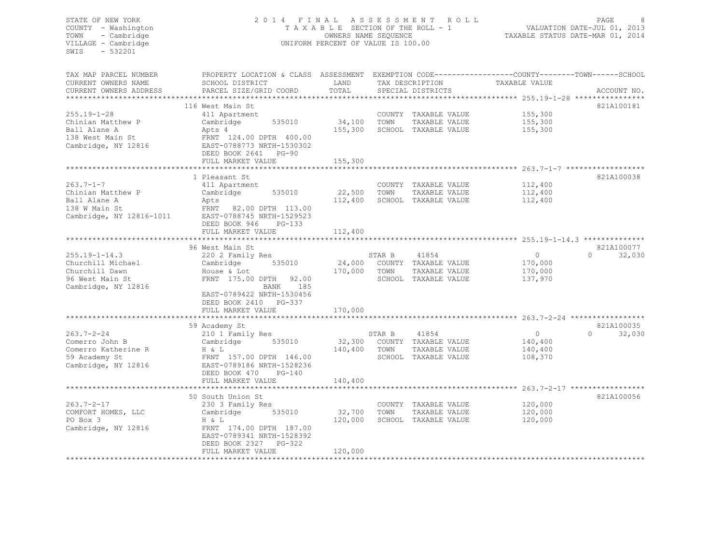#### STATE OF NEW YORK 2 0 1 4 F I N A L A S S E S S M E N T R O L L PAGE 8 COUNTY - Washington T A X A B L E SECTION OF THE ROLL - 1 VALUATION DATE-JUL 01, 2013 TOWN - Cambridge OWNERS NAME SEQUENCE TAXABLE STATUS DATE-MAR 01, 2014 UNIFORM PERCENT OF VALUE IS 100.00

| TAX MAP PARCEL NUMBER    | PROPERTY LOCATION & CLASS ASSESSMENT EXEMPTION CODE---------------COUNTY-------TOWN------SCHOOI |              |        |                             |                                                                   |                    |
|--------------------------|-------------------------------------------------------------------------------------------------|--------------|--------|-----------------------------|-------------------------------------------------------------------|--------------------|
| CURRENT OWNERS NAME      | SCHOOL DISTRICT                                                                                 | LAND         |        | TAX DESCRIPTION             | TAXABLE VALUE                                                     |                    |
| CURRENT OWNERS ADDRESS   | PARCEL SIZE/GRID COORD                                                                          | TOTAL        |        | SPECIAL DISTRICTS           |                                                                   | ACCOUNT NO.        |
|                          |                                                                                                 |              |        |                             |                                                                   |                    |
|                          | 116 West Main St                                                                                |              |        |                             |                                                                   | 821A100181         |
| $255.19 - 1 - 28$        | 411 Apartment                                                                                   |              |        | COUNTY TAXABLE VALUE        | 155,300                                                           |                    |
| Chinian Matthew P        | 535010<br>Cambridge                                                                             | 34,100 TOWN  |        | TAXABLE VALUE               | 155,300                                                           |                    |
| Ball Alane A             | Apts 4                                                                                          | 155,300      |        | SCHOOL TAXABLE VALUE        | 155,300                                                           |                    |
| 138 West Main St         | FRNT 124.00 DPTH 400.00                                                                         |              |        |                             |                                                                   |                    |
| Cambridge, NY 12816      | EAST-0788773 NRTH-1530302                                                                       |              |        |                             |                                                                   |                    |
|                          | DEED BOOK 2641 PG-90                                                                            |              |        |                             |                                                                   |                    |
|                          | FULL MARKET VALUE                                                                               | 155,300      |        |                             |                                                                   |                    |
|                          |                                                                                                 |              |        |                             |                                                                   |                    |
|                          | 1 Pleasant St                                                                                   |              |        |                             |                                                                   | 821A100038         |
| $263.7 - 1 - 7$          |                                                                                                 |              |        | COUNTY TAXABLE VALUE        | 112,400                                                           |                    |
|                          | 411 Apartment<br>535010                                                                         | 22,500       |        |                             |                                                                   |                    |
| Chinian Matthew P        | Cambridge                                                                                       |              | TOWN   | TAXABLE VALUE               | 112,400                                                           |                    |
| Ball Alane A             | Apts                                                                                            | 112,400      |        | SCHOOL TAXABLE VALUE        | 112,400                                                           |                    |
| 138 W Main St            | FRNT 82.00 DPTH 113.00                                                                          |              |        |                             |                                                                   |                    |
| Cambridge, NY 12816-1011 | EAST-0788745 NRTH-1529523                                                                       |              |        |                             |                                                                   |                    |
|                          | DEED BOOK 946<br>$PG-133$                                                                       |              |        |                             |                                                                   |                    |
|                          | FULL MARKET VALUE                                                                               | 112,400      |        |                             |                                                                   |                    |
|                          |                                                                                                 |              |        |                             |                                                                   |                    |
|                          | 96 West Main St                                                                                 |              |        |                             |                                                                   | 821A100077         |
| $255.19 - 1 - 14.3$      | 220 2 Family Res                                                                                |              | STAR B | 41854                       | $\overline{0}$                                                    | $\cap$<br>32,030   |
| Churchill Michael        | Cambridge<br>535010                                                                             |              |        | 24,000 COUNTY TAXABLE VALUE | 170,000                                                           |                    |
| Churchill Dawn           | House & Lot                                                                                     | 170,000 TOWN |        | TAXABLE VALUE               | 170,000                                                           |                    |
| 96 West Main St          | 92.00<br>FRNT 175.00 DPTH                                                                       |              |        | SCHOOL TAXABLE VALUE        | 137,970                                                           |                    |
| Cambridge, NY 12816      | BANK<br>185                                                                                     |              |        |                             |                                                                   |                    |
|                          | EAST-0789422 NRTH-1530456                                                                       |              |        |                             |                                                                   |                    |
|                          | DEED BOOK 2410 PG-337                                                                           |              |        |                             |                                                                   |                    |
|                          | FULL MARKET VALUE                                                                               | 170,000      |        |                             |                                                                   |                    |
|                          |                                                                                                 |              |        |                             | ***********************************263.7-2-24 ******************* |                    |
|                          | 59 Academy St                                                                                   |              |        |                             |                                                                   | 821A100035         |
| $263.7 - 2 - 24$         | 210 1 Family Res                                                                                |              | STAR B | 41854                       | $\circ$                                                           | 32,030<br>$\Omega$ |
| Comerro John B           | Cambridge<br>535010                                                                             |              |        | 32,300 COUNTY TAXABLE VALUE | 140,400                                                           |                    |
| Comerro Katherine R      | H & L                                                                                           | 140,400      | TOWN   | TAXABLE VALUE               | 140,400                                                           |                    |
| 59 Academy St            | FRNT 157.00 DPTH 146.00                                                                         |              |        | SCHOOL TAXABLE VALUE        | 108,370                                                           |                    |
| Cambridge, NY 12816      | EAST-0789186 NRTH-1528236                                                                       |              |        |                             |                                                                   |                    |
|                          | DEED BOOK 470<br>$PG-140$                                                                       |              |        |                             |                                                                   |                    |
|                          | FULL MARKET VALUE                                                                               | 140,400      |        |                             |                                                                   |                    |
|                          |                                                                                                 |              |        |                             |                                                                   |                    |
|                          |                                                                                                 |              |        |                             |                                                                   | 821A100056         |
|                          | 50 South Union St                                                                               |              |        |                             |                                                                   |                    |
| $263.7 - 2 - 17$         | 230 3 Family Res                                                                                |              |        | COUNTY TAXABLE VALUE        | 120,000                                                           |                    |
| COMFORT HOMES, LLC       | 535010<br>Cambridge                                                                             | 32,700       | TOWN   | TAXABLE VALUE               | 120,000                                                           |                    |
| PO Box 3                 | H & L                                                                                           | 120,000      |        | SCHOOL TAXABLE VALUE        | 120,000                                                           |                    |
| Cambridge, NY 12816      | FRNT 174.00 DPTH 187.00                                                                         |              |        |                             |                                                                   |                    |
|                          | EAST-0789341 NRTH-1528392                                                                       |              |        |                             |                                                                   |                    |
|                          | DEED BOOK 2327 PG-322                                                                           |              |        |                             |                                                                   |                    |
|                          | FULL MARKET VALUE                                                                               | 120,000      |        |                             |                                                                   |                    |
|                          |                                                                                                 |              |        |                             |                                                                   |                    |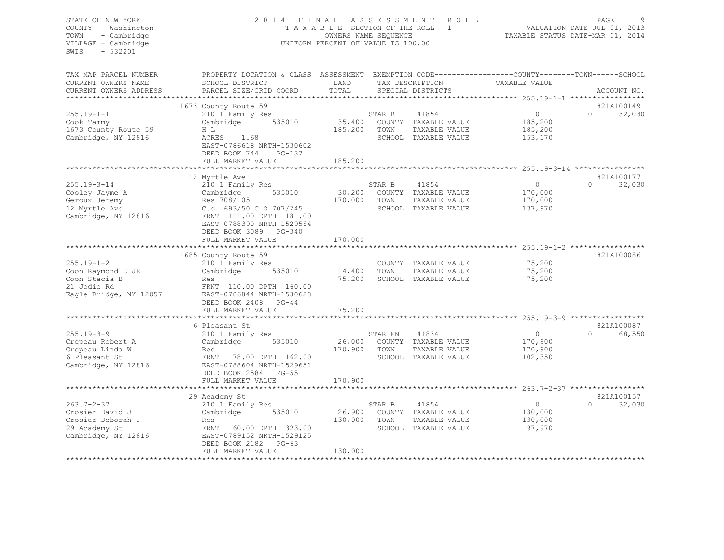| STATE OF NEW YORK<br>COUNTY - Washington<br>- Cambridge<br>TOWN<br>VILLAGE - Cambridge<br>$-532201$<br>SWIS | 2014 FINAL ASSESSMENT                                                                                                                        | TAXABLE SECTION OF THE ROLL - 1<br>OWNERS NAME SEQUENCE<br>UNIFORM PERCENT OF VALUE IS 100.00 |         | ROLL                                 |                | PAGE<br>VALUATION DATE-JUL 01, 2013<br>TAXABLE STATUS DATE-MAR 01, 2014 |
|-------------------------------------------------------------------------------------------------------------|----------------------------------------------------------------------------------------------------------------------------------------------|-----------------------------------------------------------------------------------------------|---------|--------------------------------------|----------------|-------------------------------------------------------------------------|
| TAX MAP PARCEL NUMBER<br>CURRENT OWNERS NAME<br>CURRENT OWNERS ADDRESS                                      | PROPERTY LOCATION & CLASS ASSESSMENT EXEMPTION CODE----------------COUNTY-------TOWN-----SCHOOL<br>SCHOOL DISTRICT<br>PARCEL SIZE/GRID COORD | LAND<br>TOTAL                                                                                 |         | TAX DESCRIPTION<br>SPECIAL DISTRICTS | TAXABLE VALUE  | ACCOUNT NO.                                                             |
|                                                                                                             |                                                                                                                                              |                                                                                               |         |                                      |                |                                                                         |
| $255.19 - 1 - 1$                                                                                            | 1673 County Route 59<br>210 1 Family Res                                                                                                     |                                                                                               | STAR B  | 41854                                | $\overline{0}$ | 821A100149<br>$\cap$<br>32,030                                          |
| Cook Tammy                                                                                                  | 535010<br>Cambridge                                                                                                                          | 35,400                                                                                        |         | COUNTY TAXABLE VALUE                 | 185,200        |                                                                         |
| 1673 County Route 59                                                                                        | H L                                                                                                                                          | 185,200                                                                                       | TOWN    | TAXABLE VALUE                        | 185,200        |                                                                         |
| Cambridge, NY 12816                                                                                         | ACRES 1.68<br>EAST-0786618 NRTH-1530602<br>DEED BOOK 744<br>$PG-137$                                                                         |                                                                                               |         | SCHOOL TAXABLE VALUE                 | 153,170        |                                                                         |
|                                                                                                             | FULL MARKET VALUE                                                                                                                            | 185,200                                                                                       |         |                                      |                |                                                                         |
|                                                                                                             | 12 Myrtle Ave                                                                                                                                |                                                                                               |         |                                      |                | 821A100177                                                              |
| $255.19 - 3 - 14$                                                                                           | 210 1 Family Res                                                                                                                             |                                                                                               | STAR B  | 41854                                | 0              | $\Omega$<br>32,030                                                      |
| Cooley Jayme A                                                                                              | Cambridge 535010                                                                                                                             | 30,200                                                                                        |         | COUNTY TAXABLE VALUE                 | 170,000        |                                                                         |
| Geroux Jeremy                                                                                               | Res 708/105                                                                                                                                  | 170,000                                                                                       | TOWN    | TAXABLE VALUE                        | 170,000        |                                                                         |
| 12 Myrtle Ave                                                                                               | C.o. 693/50 C O 707/245                                                                                                                      |                                                                                               |         | SCHOOL TAXABLE VALUE                 | 137,970        |                                                                         |
| Cambridge, NY 12816                                                                                         | FRNT 111.00 DPTH 181.00<br>EAST-0788390 NRTH-1529584<br>DEED BOOK 3089 PG-340<br>FULL MARKET VALUE                                           | 170,000                                                                                       |         |                                      |                |                                                                         |
|                                                                                                             |                                                                                                                                              |                                                                                               |         |                                      |                |                                                                         |
|                                                                                                             | 1685 County Route 59                                                                                                                         |                                                                                               |         |                                      |                | 821A100086                                                              |
| $255.19 - 1 - 2$                                                                                            | 210 1 Family Res                                                                                                                             |                                                                                               |         | COUNTY TAXABLE VALUE                 | 75,200         |                                                                         |
| Coon Raymond E JR                                                                                           | 535010<br>Cambridge                                                                                                                          | 14,400                                                                                        | TOWN    | TAXABLE VALUE                        | 75,200         |                                                                         |
| Coon Stacia B                                                                                               | Res                                                                                                                                          | 75,200                                                                                        |         | SCHOOL TAXABLE VALUE                 | 75,200         |                                                                         |
| 21 Jodie Rd                                                                                                 | FRNT 110.00 DPTH 160.00                                                                                                                      |                                                                                               |         |                                      |                |                                                                         |
| Eagle Bridge, NY 12057                                                                                      | EAST-0786844 NRTH-1530628                                                                                                                    |                                                                                               |         |                                      |                |                                                                         |
|                                                                                                             | DEED BOOK 2408 PG-44<br>FULL MARKET VALUE                                                                                                    | 75,200                                                                                        |         |                                      |                |                                                                         |
|                                                                                                             | *************************                                                                                                                    |                                                                                               |         |                                      |                |                                                                         |
|                                                                                                             | 6 Pleasant St                                                                                                                                |                                                                                               |         |                                      |                | 821A100087                                                              |
| $255.19 - 3 - 9$                                                                                            | 210 1 Family Res                                                                                                                             |                                                                                               | STAR EN | 41834                                | $\circ$        | $\Omega$<br>68,550                                                      |
| Crepeau Robert A                                                                                            | Cambridge 535010                                                                                                                             |                                                                                               |         | 26,000 COUNTY TAXABLE VALUE          | 170,900        |                                                                         |
| Crepeau Linda W                                                                                             | Res                                                                                                                                          | 170,900 TOWN                                                                                  |         | TAXABLE VALUE                        | 170,900        |                                                                         |
| 6 Pleasant St                                                                                               | FRNT 78.00 DPTH 162.00                                                                                                                       |                                                                                               |         | SCHOOL TAXABLE VALUE                 | 102,350        |                                                                         |
| Cambridge, NY 12816                                                                                         | EAST-0788604 NRTH-1529651                                                                                                                    |                                                                                               |         |                                      |                |                                                                         |
|                                                                                                             | DEED BOOK 2584 PG-55                                                                                                                         |                                                                                               |         |                                      |                |                                                                         |
|                                                                                                             | FULL MARKET VALUE                                                                                                                            | 170,900                                                                                       |         |                                      |                |                                                                         |
|                                                                                                             | 29 Academy St                                                                                                                                |                                                                                               |         |                                      |                | 821A100157                                                              |
| $263.7 - 2 - 37$                                                                                            | 210 1 Family Res                                                                                                                             |                                                                                               | STAR B  | 41854                                | $\circ$        | $\Omega$<br>32,030                                                      |
| Crosier David J                                                                                             | Cambridge 535010                                                                                                                             | 26,900                                                                                        |         | COUNTY TAXABLE VALUE                 | 130,000        |                                                                         |
| Crosier Deborah J                                                                                           | Res                                                                                                                                          | 130,000                                                                                       | TOWN    | TAXABLE VALUE                        | 130,000        |                                                                         |
| 29 Academy St                                                                                               | FRNT 60.00 DPTH 323.00                                                                                                                       |                                                                                               |         | SCHOOL TAXABLE VALUE                 | 97,970         |                                                                         |
| Cambridge, NY 12816                                                                                         | EAST-0789152 NRTH-1529125<br>DEED BOOK 2182 PG-63                                                                                            |                                                                                               |         |                                      |                |                                                                         |
|                                                                                                             | FULL MARKET VALUE<br>**************************                                                                                              | 130,000<br>**************                                                                     |         |                                      |                |                                                                         |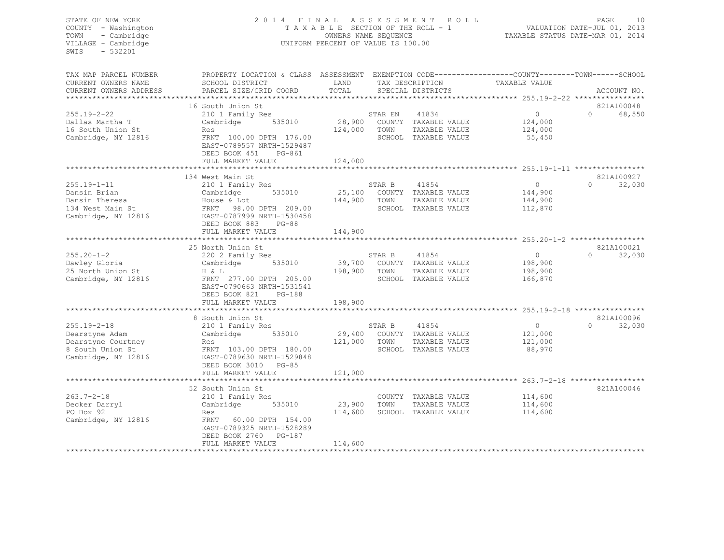#### STATE OF NEW YORK 2 0 1 4 F I N A L A S S E S S M E N T R O L L PAGE 10 COUNTY - Washington T A X A B L E SECTION OF THE ROLL - 1 VALUATION DATE-JUL 01, 2013 TOWN - Cambridge OWNERS NAME SEQUENCE TAXABLE STATUS DATE-MAR 01, 2014 VILLAGE - Cambridge **UNIFORM PERCENT OF VALUE IS 100.00**

| SCHOOL DISTRICT<br>LAND<br>TAX DESCRIPTION<br>TAXABLE VALUE<br>PARCEL SIZE/GRID COORD<br>TOTAL<br>SPECIAL DISTRICTS<br>ACCOUNT NO.<br>821A100048<br>16 South Union St<br>$\circ$<br>255.19-2-22<br>41834<br>$\Omega$<br>68,550<br>210 1 Family Res<br>STAR EN<br>535010<br>28,900 COUNTY TAXABLE VALUE<br>Dallas Martha T<br>Cambridge<br>124,000<br>16 South Union St<br>124,000<br>TOWN<br>TAXABLE VALUE<br>124,000<br>Res<br>Cambridge, NY 12816<br>FRNT 100.00 DPTH 176.00<br>SCHOOL TAXABLE VALUE<br>55,450<br>EAST-0789557 NRTH-1529487<br>DEED BOOK 451<br>PG-861<br>124,000<br>FULL MARKET VALUE<br>821A100927<br>134 West Main St<br>210 1 Family Res<br>41854<br>$\circ$<br>$\Omega$<br>32,030<br>STAR B<br>535010<br>25,100 COUNTY TAXABLE VALUE<br>Cambridge<br>144,900<br>144,900<br>House & Lot<br>TOWN<br>TAXABLE VALUE<br>144,900<br>134 West Main St<br>FRNT 98.00 DPTH 209.00<br>SCHOOL TAXABLE VALUE<br>112,870<br>Cambridge, NY 12816<br>EAST-0787999 NRTH-1530458<br>DEED BOOK 883<br>$PG-88$<br>FULL MARKET VALUE<br>144,900<br>25 North Union St<br>821A100021<br>32,030<br>$255.20 - 1 - 2$<br>$\circ$<br>$\Omega$<br>220 2 Family Res<br>STAR B<br>41854<br>535010<br>39,700<br>COUNTY TAXABLE VALUE<br>198,900<br>Dawley Gloria<br>Cambridge<br>TAXABLE VALUE<br>25 North Union St<br>H & L<br>198,900<br>TOWN<br>198,900<br>Cambridge, NY 12816<br>SCHOOL TAXABLE VALUE<br>FRNT 277.00 DPTH 205.00<br>166,870<br>EAST-0790663 NRTH-1531541<br>DEED BOOK 821<br>PG-188<br>FULL MARKET VALUE<br>198,900<br>821A100096<br>8 South Union St<br>32,030<br>$255.19 - 2 - 18$<br>41854<br>$\circ$<br>$\Omega$<br>210 1 Family Res<br>STAR B<br>Dearstyne Adam<br>Cambridge<br>535010<br>29,400 COUNTY TAXABLE VALUE<br>121,000<br>Dearstyne Courtney<br>121,000<br>TOWN<br>TAXABLE VALUE<br>121,000<br>Res<br>SCHOOL TAXABLE VALUE<br>88,970<br>8 South Union St<br>FRNT 103.00 DPTH 180.00<br>Cambridge, NY 12816<br>EAST-0789630 NRTH-1529848<br>DEED BOOK 3010 PG-85<br>121,000<br>FULL MARKET VALUE<br>821A100046<br>52 South Union St<br>$263.7 - 2 - 18$<br>COUNTY TAXABLE VALUE<br>114,600<br>210 1 Family Res<br>535010<br>23,900<br>TOWN<br>TAXABLE VALUE<br>Cambridge<br>114,600<br>114,600<br>SCHOOL TAXABLE VALUE<br>Res<br>114,600<br>FRNT 60.00 DPTH 154.00<br>EAST-0789325 NRTH-1528289<br>DEED BOOK 2760 PG-187<br>114,600<br>FULL MARKET VALUE | TAX MAP PARCEL NUMBER  | PROPERTY LOCATION & CLASS ASSESSMENT EXEMPTION CODE---------------COUNTY-------TOWN------SCHOOI |  |  |  |
|-------------------------------------------------------------------------------------------------------------------------------------------------------------------------------------------------------------------------------------------------------------------------------------------------------------------------------------------------------------------------------------------------------------------------------------------------------------------------------------------------------------------------------------------------------------------------------------------------------------------------------------------------------------------------------------------------------------------------------------------------------------------------------------------------------------------------------------------------------------------------------------------------------------------------------------------------------------------------------------------------------------------------------------------------------------------------------------------------------------------------------------------------------------------------------------------------------------------------------------------------------------------------------------------------------------------------------------------------------------------------------------------------------------------------------------------------------------------------------------------------------------------------------------------------------------------------------------------------------------------------------------------------------------------------------------------------------------------------------------------------------------------------------------------------------------------------------------------------------------------------------------------------------------------------------------------------------------------------------------------------------------------------------------------------------------------------------------------------------------------------------------------------------------------------------------------------------------------------------------------------------------------------------------------------------------------------------------------------------------------------------------|------------------------|-------------------------------------------------------------------------------------------------|--|--|--|
|                                                                                                                                                                                                                                                                                                                                                                                                                                                                                                                                                                                                                                                                                                                                                                                                                                                                                                                                                                                                                                                                                                                                                                                                                                                                                                                                                                                                                                                                                                                                                                                                                                                                                                                                                                                                                                                                                                                                                                                                                                                                                                                                                                                                                                                                                                                                                                                     | CURRENT OWNERS NAME    |                                                                                                 |  |  |  |
|                                                                                                                                                                                                                                                                                                                                                                                                                                                                                                                                                                                                                                                                                                                                                                                                                                                                                                                                                                                                                                                                                                                                                                                                                                                                                                                                                                                                                                                                                                                                                                                                                                                                                                                                                                                                                                                                                                                                                                                                                                                                                                                                                                                                                                                                                                                                                                                     | CURRENT OWNERS ADDRESS |                                                                                                 |  |  |  |
|                                                                                                                                                                                                                                                                                                                                                                                                                                                                                                                                                                                                                                                                                                                                                                                                                                                                                                                                                                                                                                                                                                                                                                                                                                                                                                                                                                                                                                                                                                                                                                                                                                                                                                                                                                                                                                                                                                                                                                                                                                                                                                                                                                                                                                                                                                                                                                                     |                        |                                                                                                 |  |  |  |
|                                                                                                                                                                                                                                                                                                                                                                                                                                                                                                                                                                                                                                                                                                                                                                                                                                                                                                                                                                                                                                                                                                                                                                                                                                                                                                                                                                                                                                                                                                                                                                                                                                                                                                                                                                                                                                                                                                                                                                                                                                                                                                                                                                                                                                                                                                                                                                                     |                        |                                                                                                 |  |  |  |
|                                                                                                                                                                                                                                                                                                                                                                                                                                                                                                                                                                                                                                                                                                                                                                                                                                                                                                                                                                                                                                                                                                                                                                                                                                                                                                                                                                                                                                                                                                                                                                                                                                                                                                                                                                                                                                                                                                                                                                                                                                                                                                                                                                                                                                                                                                                                                                                     |                        |                                                                                                 |  |  |  |
|                                                                                                                                                                                                                                                                                                                                                                                                                                                                                                                                                                                                                                                                                                                                                                                                                                                                                                                                                                                                                                                                                                                                                                                                                                                                                                                                                                                                                                                                                                                                                                                                                                                                                                                                                                                                                                                                                                                                                                                                                                                                                                                                                                                                                                                                                                                                                                                     |                        |                                                                                                 |  |  |  |
|                                                                                                                                                                                                                                                                                                                                                                                                                                                                                                                                                                                                                                                                                                                                                                                                                                                                                                                                                                                                                                                                                                                                                                                                                                                                                                                                                                                                                                                                                                                                                                                                                                                                                                                                                                                                                                                                                                                                                                                                                                                                                                                                                                                                                                                                                                                                                                                     |                        |                                                                                                 |  |  |  |
|                                                                                                                                                                                                                                                                                                                                                                                                                                                                                                                                                                                                                                                                                                                                                                                                                                                                                                                                                                                                                                                                                                                                                                                                                                                                                                                                                                                                                                                                                                                                                                                                                                                                                                                                                                                                                                                                                                                                                                                                                                                                                                                                                                                                                                                                                                                                                                                     |                        |                                                                                                 |  |  |  |
|                                                                                                                                                                                                                                                                                                                                                                                                                                                                                                                                                                                                                                                                                                                                                                                                                                                                                                                                                                                                                                                                                                                                                                                                                                                                                                                                                                                                                                                                                                                                                                                                                                                                                                                                                                                                                                                                                                                                                                                                                                                                                                                                                                                                                                                                                                                                                                                     |                        |                                                                                                 |  |  |  |
|                                                                                                                                                                                                                                                                                                                                                                                                                                                                                                                                                                                                                                                                                                                                                                                                                                                                                                                                                                                                                                                                                                                                                                                                                                                                                                                                                                                                                                                                                                                                                                                                                                                                                                                                                                                                                                                                                                                                                                                                                                                                                                                                                                                                                                                                                                                                                                                     |                        |                                                                                                 |  |  |  |
|                                                                                                                                                                                                                                                                                                                                                                                                                                                                                                                                                                                                                                                                                                                                                                                                                                                                                                                                                                                                                                                                                                                                                                                                                                                                                                                                                                                                                                                                                                                                                                                                                                                                                                                                                                                                                                                                                                                                                                                                                                                                                                                                                                                                                                                                                                                                                                                     |                        |                                                                                                 |  |  |  |
|                                                                                                                                                                                                                                                                                                                                                                                                                                                                                                                                                                                                                                                                                                                                                                                                                                                                                                                                                                                                                                                                                                                                                                                                                                                                                                                                                                                                                                                                                                                                                                                                                                                                                                                                                                                                                                                                                                                                                                                                                                                                                                                                                                                                                                                                                                                                                                                     |                        |                                                                                                 |  |  |  |
|                                                                                                                                                                                                                                                                                                                                                                                                                                                                                                                                                                                                                                                                                                                                                                                                                                                                                                                                                                                                                                                                                                                                                                                                                                                                                                                                                                                                                                                                                                                                                                                                                                                                                                                                                                                                                                                                                                                                                                                                                                                                                                                                                                                                                                                                                                                                                                                     |                        |                                                                                                 |  |  |  |
|                                                                                                                                                                                                                                                                                                                                                                                                                                                                                                                                                                                                                                                                                                                                                                                                                                                                                                                                                                                                                                                                                                                                                                                                                                                                                                                                                                                                                                                                                                                                                                                                                                                                                                                                                                                                                                                                                                                                                                                                                                                                                                                                                                                                                                                                                                                                                                                     |                        |                                                                                                 |  |  |  |
|                                                                                                                                                                                                                                                                                                                                                                                                                                                                                                                                                                                                                                                                                                                                                                                                                                                                                                                                                                                                                                                                                                                                                                                                                                                                                                                                                                                                                                                                                                                                                                                                                                                                                                                                                                                                                                                                                                                                                                                                                                                                                                                                                                                                                                                                                                                                                                                     | $255.19 - 1 - 11$      |                                                                                                 |  |  |  |
|                                                                                                                                                                                                                                                                                                                                                                                                                                                                                                                                                                                                                                                                                                                                                                                                                                                                                                                                                                                                                                                                                                                                                                                                                                                                                                                                                                                                                                                                                                                                                                                                                                                                                                                                                                                                                                                                                                                                                                                                                                                                                                                                                                                                                                                                                                                                                                                     | Dansin Brian           |                                                                                                 |  |  |  |
|                                                                                                                                                                                                                                                                                                                                                                                                                                                                                                                                                                                                                                                                                                                                                                                                                                                                                                                                                                                                                                                                                                                                                                                                                                                                                                                                                                                                                                                                                                                                                                                                                                                                                                                                                                                                                                                                                                                                                                                                                                                                                                                                                                                                                                                                                                                                                                                     | Dansin Theresa         |                                                                                                 |  |  |  |
|                                                                                                                                                                                                                                                                                                                                                                                                                                                                                                                                                                                                                                                                                                                                                                                                                                                                                                                                                                                                                                                                                                                                                                                                                                                                                                                                                                                                                                                                                                                                                                                                                                                                                                                                                                                                                                                                                                                                                                                                                                                                                                                                                                                                                                                                                                                                                                                     |                        |                                                                                                 |  |  |  |
|                                                                                                                                                                                                                                                                                                                                                                                                                                                                                                                                                                                                                                                                                                                                                                                                                                                                                                                                                                                                                                                                                                                                                                                                                                                                                                                                                                                                                                                                                                                                                                                                                                                                                                                                                                                                                                                                                                                                                                                                                                                                                                                                                                                                                                                                                                                                                                                     |                        |                                                                                                 |  |  |  |
|                                                                                                                                                                                                                                                                                                                                                                                                                                                                                                                                                                                                                                                                                                                                                                                                                                                                                                                                                                                                                                                                                                                                                                                                                                                                                                                                                                                                                                                                                                                                                                                                                                                                                                                                                                                                                                                                                                                                                                                                                                                                                                                                                                                                                                                                                                                                                                                     |                        |                                                                                                 |  |  |  |
|                                                                                                                                                                                                                                                                                                                                                                                                                                                                                                                                                                                                                                                                                                                                                                                                                                                                                                                                                                                                                                                                                                                                                                                                                                                                                                                                                                                                                                                                                                                                                                                                                                                                                                                                                                                                                                                                                                                                                                                                                                                                                                                                                                                                                                                                                                                                                                                     |                        |                                                                                                 |  |  |  |
|                                                                                                                                                                                                                                                                                                                                                                                                                                                                                                                                                                                                                                                                                                                                                                                                                                                                                                                                                                                                                                                                                                                                                                                                                                                                                                                                                                                                                                                                                                                                                                                                                                                                                                                                                                                                                                                                                                                                                                                                                                                                                                                                                                                                                                                                                                                                                                                     |                        |                                                                                                 |  |  |  |
|                                                                                                                                                                                                                                                                                                                                                                                                                                                                                                                                                                                                                                                                                                                                                                                                                                                                                                                                                                                                                                                                                                                                                                                                                                                                                                                                                                                                                                                                                                                                                                                                                                                                                                                                                                                                                                                                                                                                                                                                                                                                                                                                                                                                                                                                                                                                                                                     |                        |                                                                                                 |  |  |  |
|                                                                                                                                                                                                                                                                                                                                                                                                                                                                                                                                                                                                                                                                                                                                                                                                                                                                                                                                                                                                                                                                                                                                                                                                                                                                                                                                                                                                                                                                                                                                                                                                                                                                                                                                                                                                                                                                                                                                                                                                                                                                                                                                                                                                                                                                                                                                                                                     |                        |                                                                                                 |  |  |  |
|                                                                                                                                                                                                                                                                                                                                                                                                                                                                                                                                                                                                                                                                                                                                                                                                                                                                                                                                                                                                                                                                                                                                                                                                                                                                                                                                                                                                                                                                                                                                                                                                                                                                                                                                                                                                                                                                                                                                                                                                                                                                                                                                                                                                                                                                                                                                                                                     |                        |                                                                                                 |  |  |  |
|                                                                                                                                                                                                                                                                                                                                                                                                                                                                                                                                                                                                                                                                                                                                                                                                                                                                                                                                                                                                                                                                                                                                                                                                                                                                                                                                                                                                                                                                                                                                                                                                                                                                                                                                                                                                                                                                                                                                                                                                                                                                                                                                                                                                                                                                                                                                                                                     |                        |                                                                                                 |  |  |  |
|                                                                                                                                                                                                                                                                                                                                                                                                                                                                                                                                                                                                                                                                                                                                                                                                                                                                                                                                                                                                                                                                                                                                                                                                                                                                                                                                                                                                                                                                                                                                                                                                                                                                                                                                                                                                                                                                                                                                                                                                                                                                                                                                                                                                                                                                                                                                                                                     |                        |                                                                                                 |  |  |  |
|                                                                                                                                                                                                                                                                                                                                                                                                                                                                                                                                                                                                                                                                                                                                                                                                                                                                                                                                                                                                                                                                                                                                                                                                                                                                                                                                                                                                                                                                                                                                                                                                                                                                                                                                                                                                                                                                                                                                                                                                                                                                                                                                                                                                                                                                                                                                                                                     |                        |                                                                                                 |  |  |  |
|                                                                                                                                                                                                                                                                                                                                                                                                                                                                                                                                                                                                                                                                                                                                                                                                                                                                                                                                                                                                                                                                                                                                                                                                                                                                                                                                                                                                                                                                                                                                                                                                                                                                                                                                                                                                                                                                                                                                                                                                                                                                                                                                                                                                                                                                                                                                                                                     |                        |                                                                                                 |  |  |  |
|                                                                                                                                                                                                                                                                                                                                                                                                                                                                                                                                                                                                                                                                                                                                                                                                                                                                                                                                                                                                                                                                                                                                                                                                                                                                                                                                                                                                                                                                                                                                                                                                                                                                                                                                                                                                                                                                                                                                                                                                                                                                                                                                                                                                                                                                                                                                                                                     |                        |                                                                                                 |  |  |  |
|                                                                                                                                                                                                                                                                                                                                                                                                                                                                                                                                                                                                                                                                                                                                                                                                                                                                                                                                                                                                                                                                                                                                                                                                                                                                                                                                                                                                                                                                                                                                                                                                                                                                                                                                                                                                                                                                                                                                                                                                                                                                                                                                                                                                                                                                                                                                                                                     |                        |                                                                                                 |  |  |  |
|                                                                                                                                                                                                                                                                                                                                                                                                                                                                                                                                                                                                                                                                                                                                                                                                                                                                                                                                                                                                                                                                                                                                                                                                                                                                                                                                                                                                                                                                                                                                                                                                                                                                                                                                                                                                                                                                                                                                                                                                                                                                                                                                                                                                                                                                                                                                                                                     |                        |                                                                                                 |  |  |  |
|                                                                                                                                                                                                                                                                                                                                                                                                                                                                                                                                                                                                                                                                                                                                                                                                                                                                                                                                                                                                                                                                                                                                                                                                                                                                                                                                                                                                                                                                                                                                                                                                                                                                                                                                                                                                                                                                                                                                                                                                                                                                                                                                                                                                                                                                                                                                                                                     |                        |                                                                                                 |  |  |  |
|                                                                                                                                                                                                                                                                                                                                                                                                                                                                                                                                                                                                                                                                                                                                                                                                                                                                                                                                                                                                                                                                                                                                                                                                                                                                                                                                                                                                                                                                                                                                                                                                                                                                                                                                                                                                                                                                                                                                                                                                                                                                                                                                                                                                                                                                                                                                                                                     |                        |                                                                                                 |  |  |  |
|                                                                                                                                                                                                                                                                                                                                                                                                                                                                                                                                                                                                                                                                                                                                                                                                                                                                                                                                                                                                                                                                                                                                                                                                                                                                                                                                                                                                                                                                                                                                                                                                                                                                                                                                                                                                                                                                                                                                                                                                                                                                                                                                                                                                                                                                                                                                                                                     |                        |                                                                                                 |  |  |  |
|                                                                                                                                                                                                                                                                                                                                                                                                                                                                                                                                                                                                                                                                                                                                                                                                                                                                                                                                                                                                                                                                                                                                                                                                                                                                                                                                                                                                                                                                                                                                                                                                                                                                                                                                                                                                                                                                                                                                                                                                                                                                                                                                                                                                                                                                                                                                                                                     |                        |                                                                                                 |  |  |  |
|                                                                                                                                                                                                                                                                                                                                                                                                                                                                                                                                                                                                                                                                                                                                                                                                                                                                                                                                                                                                                                                                                                                                                                                                                                                                                                                                                                                                                                                                                                                                                                                                                                                                                                                                                                                                                                                                                                                                                                                                                                                                                                                                                                                                                                                                                                                                                                                     |                        |                                                                                                 |  |  |  |
|                                                                                                                                                                                                                                                                                                                                                                                                                                                                                                                                                                                                                                                                                                                                                                                                                                                                                                                                                                                                                                                                                                                                                                                                                                                                                                                                                                                                                                                                                                                                                                                                                                                                                                                                                                                                                                                                                                                                                                                                                                                                                                                                                                                                                                                                                                                                                                                     |                        |                                                                                                 |  |  |  |
|                                                                                                                                                                                                                                                                                                                                                                                                                                                                                                                                                                                                                                                                                                                                                                                                                                                                                                                                                                                                                                                                                                                                                                                                                                                                                                                                                                                                                                                                                                                                                                                                                                                                                                                                                                                                                                                                                                                                                                                                                                                                                                                                                                                                                                                                                                                                                                                     |                        |                                                                                                 |  |  |  |
|                                                                                                                                                                                                                                                                                                                                                                                                                                                                                                                                                                                                                                                                                                                                                                                                                                                                                                                                                                                                                                                                                                                                                                                                                                                                                                                                                                                                                                                                                                                                                                                                                                                                                                                                                                                                                                                                                                                                                                                                                                                                                                                                                                                                                                                                                                                                                                                     |                        |                                                                                                 |  |  |  |
|                                                                                                                                                                                                                                                                                                                                                                                                                                                                                                                                                                                                                                                                                                                                                                                                                                                                                                                                                                                                                                                                                                                                                                                                                                                                                                                                                                                                                                                                                                                                                                                                                                                                                                                                                                                                                                                                                                                                                                                                                                                                                                                                                                                                                                                                                                                                                                                     |                        |                                                                                                 |  |  |  |
|                                                                                                                                                                                                                                                                                                                                                                                                                                                                                                                                                                                                                                                                                                                                                                                                                                                                                                                                                                                                                                                                                                                                                                                                                                                                                                                                                                                                                                                                                                                                                                                                                                                                                                                                                                                                                                                                                                                                                                                                                                                                                                                                                                                                                                                                                                                                                                                     |                        |                                                                                                 |  |  |  |
|                                                                                                                                                                                                                                                                                                                                                                                                                                                                                                                                                                                                                                                                                                                                                                                                                                                                                                                                                                                                                                                                                                                                                                                                                                                                                                                                                                                                                                                                                                                                                                                                                                                                                                                                                                                                                                                                                                                                                                                                                                                                                                                                                                                                                                                                                                                                                                                     |                        |                                                                                                 |  |  |  |
|                                                                                                                                                                                                                                                                                                                                                                                                                                                                                                                                                                                                                                                                                                                                                                                                                                                                                                                                                                                                                                                                                                                                                                                                                                                                                                                                                                                                                                                                                                                                                                                                                                                                                                                                                                                                                                                                                                                                                                                                                                                                                                                                                                                                                                                                                                                                                                                     |                        |                                                                                                 |  |  |  |
|                                                                                                                                                                                                                                                                                                                                                                                                                                                                                                                                                                                                                                                                                                                                                                                                                                                                                                                                                                                                                                                                                                                                                                                                                                                                                                                                                                                                                                                                                                                                                                                                                                                                                                                                                                                                                                                                                                                                                                                                                                                                                                                                                                                                                                                                                                                                                                                     | Decker Darryl          |                                                                                                 |  |  |  |
|                                                                                                                                                                                                                                                                                                                                                                                                                                                                                                                                                                                                                                                                                                                                                                                                                                                                                                                                                                                                                                                                                                                                                                                                                                                                                                                                                                                                                                                                                                                                                                                                                                                                                                                                                                                                                                                                                                                                                                                                                                                                                                                                                                                                                                                                                                                                                                                     | PO Box 92              |                                                                                                 |  |  |  |
|                                                                                                                                                                                                                                                                                                                                                                                                                                                                                                                                                                                                                                                                                                                                                                                                                                                                                                                                                                                                                                                                                                                                                                                                                                                                                                                                                                                                                                                                                                                                                                                                                                                                                                                                                                                                                                                                                                                                                                                                                                                                                                                                                                                                                                                                                                                                                                                     | Cambridge, NY 12816    |                                                                                                 |  |  |  |
|                                                                                                                                                                                                                                                                                                                                                                                                                                                                                                                                                                                                                                                                                                                                                                                                                                                                                                                                                                                                                                                                                                                                                                                                                                                                                                                                                                                                                                                                                                                                                                                                                                                                                                                                                                                                                                                                                                                                                                                                                                                                                                                                                                                                                                                                                                                                                                                     |                        |                                                                                                 |  |  |  |
|                                                                                                                                                                                                                                                                                                                                                                                                                                                                                                                                                                                                                                                                                                                                                                                                                                                                                                                                                                                                                                                                                                                                                                                                                                                                                                                                                                                                                                                                                                                                                                                                                                                                                                                                                                                                                                                                                                                                                                                                                                                                                                                                                                                                                                                                                                                                                                                     |                        |                                                                                                 |  |  |  |
|                                                                                                                                                                                                                                                                                                                                                                                                                                                                                                                                                                                                                                                                                                                                                                                                                                                                                                                                                                                                                                                                                                                                                                                                                                                                                                                                                                                                                                                                                                                                                                                                                                                                                                                                                                                                                                                                                                                                                                                                                                                                                                                                                                                                                                                                                                                                                                                     |                        |                                                                                                 |  |  |  |
|                                                                                                                                                                                                                                                                                                                                                                                                                                                                                                                                                                                                                                                                                                                                                                                                                                                                                                                                                                                                                                                                                                                                                                                                                                                                                                                                                                                                                                                                                                                                                                                                                                                                                                                                                                                                                                                                                                                                                                                                                                                                                                                                                                                                                                                                                                                                                                                     |                        |                                                                                                 |  |  |  |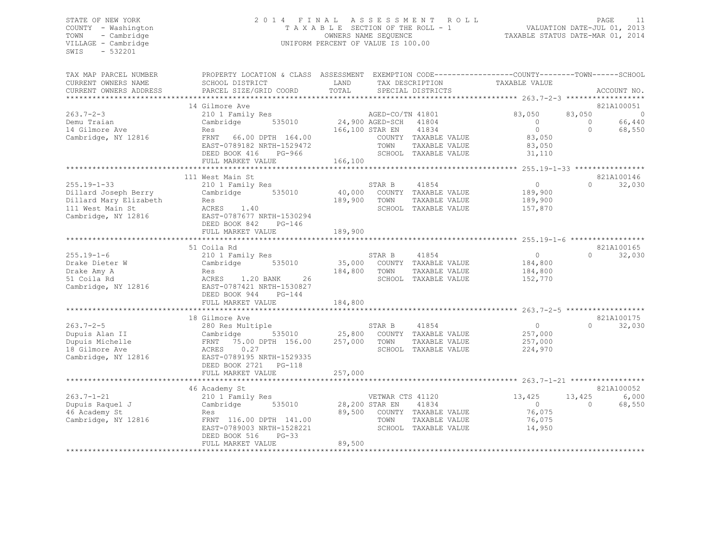# STATE OF NEW YORK 2 0 1 4 F I N A L A S S E S S M E N T R O L L<br>COUNTY - Washington T A X A B L E SECTION OF THE ROLL - 1 VALUATION DATE-JUL 01, 2013 COUNTY - Washington  $T A X A B L E$  SECTION OF THE ROLL - 1<br>TOWN - Cambridge  $\sim$  000NERS NAME SEQUENCE TOWN - Cambridge OWNERS NAME SEQUENCE TAXABLE STATUS DATE-MAR 01, 2014 UNIFORM PERCENT OF VALUE IS 100.00

| TAX MAP PARCEL NUMBER  | PROPERTY LOCATION & CLASS ASSESSMENT                  |                |                                    |                          |                |                          |
|------------------------|-------------------------------------------------------|----------------|------------------------------------|--------------------------|----------------|--------------------------|
| CURRENT OWNERS NAME    | SCHOOL DISTRICT                                       | LAND           | TAX DESCRIPTION                    | TAXABLE VALUE            |                |                          |
| CURRENT OWNERS ADDRESS | PARCEL SIZE/GRID COORD                                | TOTAL          | SPECIAL DISTRICTS                  |                          |                | ACCOUNT NO.              |
|                        | 14 Gilmore Ave                                        |                |                                    |                          |                | 821A100051               |
| $263.7 - 2 - 3$        | 210 1 Family Res                                      |                | AGED-CO/TN 41801                   | 83,050                   | 83,050         | $\overline{\phantom{0}}$ |
| Demu Traian            | Cambridge 535010                                      |                | 24,900 AGED-SCH 41804              | $\overline{0}$           | $\overline{0}$ | 66,440                   |
| 14 Gilmore Ave         | Res                                                   |                | 166,100 STAR EN 41834              | $\overline{0}$           | $\Omega$       | 68,550                   |
| Cambridge, NY 12816    | FRNT 66.00 DPTH 164.00                                |                | COUNTY TAXABLE VALUE               | 83,050                   |                |                          |
|                        | EAST-0789182 NRTH-1529472                             |                | TOWN<br>TAXABLE VALUE              | 83,050                   |                |                          |
|                        | DEED BOOK 416<br>PG-966                               |                | SCHOOL TAXABLE VALUE               | 31,110                   |                |                          |
|                        | FULL MARKET VALUE                                     | 166,100        |                                    |                          |                |                          |
|                        |                                                       |                |                                    |                          |                |                          |
|                        | 111 West Main St                                      |                |                                    |                          |                | 821A100146               |
| $255.19 - 1 - 33$      | 210 1 Family Res                                      |                | STAR B<br>41854                    | $\overline{0}$           | $\Omega$       | 32,030                   |
| Dillard Joseph Berry   | Cambridge 535010                                      |                | 40,000 COUNTY TAXABLE VALUE        | 189,900                  |                |                          |
| Dillard Mary Elizabeth | Res                                                   | 189,900        | TOWN<br>TAXABLE VALUE              | 189,900                  |                |                          |
| 111 West Main St       | ACRES 1.40                                            |                | SCHOOL TAXABLE VALUE               | 157,870                  |                |                          |
| Cambridge, NY 12816    | EAST-0787677 NRTH-1530294                             |                |                                    |                          |                |                          |
|                        | DEED BOOK 842<br>PG-146                               |                |                                    |                          |                |                          |
|                        | FULL MARKET VALUE                                     | 189,900        |                                    |                          |                |                          |
|                        |                                                       |                |                                    |                          |                |                          |
|                        | 51 Coila Rd                                           |                |                                    |                          |                | 821A100165               |
| $255.19 - 1 - 6$       | 210 1 Family Res                                      |                | STAR B<br>41854                    | $\overline{0}$           | $\cap$         | 32,030                   |
| Drake Dieter W         | Cambridge 535010                                      |                | 35,000 COUNTY TAXABLE VALUE        | 184,800                  |                |                          |
| Drake Amy A            | Res                                                   | 184,800 TOWN   | TAXABLE VALUE                      | 184,800                  |                |                          |
| 51 Coila Rd            | 26<br>ACRES 1.20 BANK                                 |                | SCHOOL TAXABLE VALUE               | 152,770                  |                |                          |
| Cambridge, NY 12816    | EAST-0787421 NRTH-1530827                             |                |                                    |                          |                |                          |
|                        | DEED BOOK 944<br>$PG-144$                             |                |                                    |                          |                |                          |
|                        | FULL MARKET VALUE                                     | 184,800        |                                    |                          |                |                          |
|                        |                                                       |                |                                    |                          |                |                          |
|                        | 18 Gilmore Ave                                        |                |                                    |                          |                | 821A100175               |
| $263.7 - 2 - 5$        | 280 Res Multiple                                      |                | STAR B<br>41854                    | $\overline{0}$           |                | 32,030<br>$\Omega$       |
| Dupuis Alan II         | Cambridge 535010<br>FRNT 75.00 DPTH 156.00            |                | 535010 25,800 COUNTY TAXABLE VALUE | 257,000                  |                |                          |
| Dupuis Michelle        |                                                       | 257,000 TOWN   | TAXABLE VALUE                      | 257,000                  |                |                          |
| 18 Gilmore Ave         | ACRES 0.27                                            |                | SCHOOL TAXABLE VALUE               | 224,970                  |                |                          |
| Cambridge, NY 12816    | EAST-0789195 NRTH-1529335                             |                |                                    |                          |                |                          |
|                        | DEED BOOK 2721    PG-118                              |                |                                    |                          |                |                          |
|                        | FULL MARKET VALUE                                     | 257,000        |                                    |                          |                |                          |
|                        |                                                       |                |                                    |                          |                |                          |
|                        | 46 Academy St                                         |                |                                    |                          |                | 821A100052               |
| $263.7 - 1 - 21$       | 210 1 Family Res                                      |                | VETWAR CTS 41120                   | 13,425                   | 13,425         | 6,000                    |
| Dupuis Raquel J        | 535010<br>Cambridge                                   | 28,200 STAR EN | 41834                              | $\overline{0}$<br>76,075 | $\bigcirc$     | 68,550                   |
| 46 Academy St          | Res                                                   |                | 89,500 COUNTY TAXABLE VALUE        |                          |                |                          |
| Cambridge, NY 12816    | FRNT 116.00 DPTH 141.00                               |                | TOWN<br>TAXABLE VALUE              | 76,075                   |                |                          |
|                        | EAST-0789003 NRTH-1528221<br>DEED BOOK 516<br>$PG-33$ |                | SCHOOL TAXABLE VALUE               | 14,950                   |                |                          |
|                        | FULL MARKET VALUE                                     | 89,500         |                                    |                          |                |                          |
|                        |                                                       |                |                                    |                          |                |                          |
|                        |                                                       |                |                                    |                          |                |                          |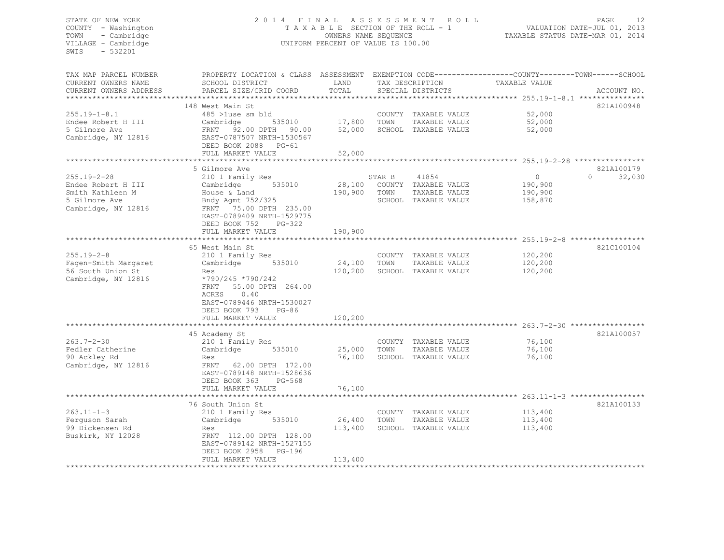#### STATE OF NEW YORK 2 0 1 4 F I N A L A S S E S S M E N T R O L L PAGE 12 COUNTY - Washington T A X A B L E SECTION OF THE ROLL - 1 VALUATION DATE-JUL 01, 2013 TOWN - Cambridge OWNERS NAME SEQUENCE TAXABLE STATUS DATE-MAR 01, 2014 VILLAGE - Cambridge **UNIFORM PERCENT OF VALUE IS 100.00**

| TAX MAP PARCEL NUMBER                            | PROPERTY LOCATION & CLASS ASSESSMENT |              |        |                      | EXEMPTION CODE-----------------COUNTY-------TOWN------SCHOOL |                    |
|--------------------------------------------------|--------------------------------------|--------------|--------|----------------------|--------------------------------------------------------------|--------------------|
| CURRENT OWNERS NAME                              | SCHOOL DISTRICT                      | LAND         |        | TAX DESCRIPTION      | TAXABLE VALUE                                                |                    |
| CURRENT OWNERS ADDRESS<br>********************** | PARCEL SIZE/GRID COORD               | TOTAL        |        | SPECIAL DISTRICTS    |                                                              | ACCOUNT NO.        |
|                                                  | 148 West Main St                     |              |        |                      |                                                              | 821A100948         |
| $255.19 - 1 - 8.1$                               | 485 >luse sm bld                     |              |        | COUNTY TAXABLE VALUE | 52,000                                                       |                    |
| Endee Robert H III                               | Cambridge<br>535010                  | 17,800       | TOWN   | TAXABLE VALUE        | 52,000                                                       |                    |
| 5 Gilmore Ave                                    | FRNT 92.00 DPTH 90.00                | 52,000       |        | SCHOOL TAXABLE VALUE | 52,000                                                       |                    |
| Cambridge, NY 12816                              | EAST-0787507 NRTH-1530567            |              |        |                      |                                                              |                    |
|                                                  | DEED BOOK 2088 PG-61                 |              |        |                      |                                                              |                    |
|                                                  | FULL MARKET VALUE                    | 52,000       |        |                      |                                                              |                    |
|                                                  |                                      |              |        |                      |                                                              |                    |
|                                                  | 5 Gilmore Ave                        |              |        |                      |                                                              | 821A100179         |
| $255.19 - 2 - 28$                                | 210 1 Family Res                     |              | STAR B | 41854                | $\circ$                                                      | $\Omega$<br>32,030 |
| Endee Robert H III                               | 535010<br>Cambridge                  | 28,100       |        | COUNTY TAXABLE VALUE | 190,900                                                      |                    |
| Smith Kathleen M                                 | House & Land                         | 190,900      | TOWN   | TAXABLE VALUE        | 190,900                                                      |                    |
| 5 Gilmore Ave                                    | Bndy Agmt 752/325                    |              |        | SCHOOL TAXABLE VALUE | 158,870                                                      |                    |
| Cambridge, NY 12816                              | FRNT 75.00 DPTH 235.00               |              |        |                      |                                                              |                    |
|                                                  | EAST-0789409 NRTH-1529775            |              |        |                      |                                                              |                    |
|                                                  | DEED BOOK 752<br>$PG-322$            |              |        |                      |                                                              |                    |
|                                                  | FULL MARKET VALUE                    | 190,900      |        |                      |                                                              |                    |
|                                                  |                                      |              |        |                      |                                                              |                    |
|                                                  | 65 West Main St                      |              |        |                      |                                                              | 821C100104         |
| $255.19 - 2 - 8$                                 | 210 1 Family Res                     |              |        | COUNTY TAXABLE VALUE | 120,200                                                      |                    |
| Fagen-Smith Margaret                             | 535010<br>Cambridge                  | 24,100       | TOWN   | TAXABLE VALUE        | 120,200                                                      |                    |
| 56 South Union St                                | Res                                  | 120,200      |        | SCHOOL TAXABLE VALUE | 120,200                                                      |                    |
| Cambridge, NY 12816                              | *790/245 *790/242                    |              |        |                      |                                                              |                    |
|                                                  | 55.00 DPTH 264.00<br>FRNT            |              |        |                      |                                                              |                    |
|                                                  | ACRES<br>0.40                        |              |        |                      |                                                              |                    |
|                                                  | EAST-0789446 NRTH-1530027            |              |        |                      |                                                              |                    |
|                                                  | DEED BOOK 793<br>$PG-86$             |              |        |                      |                                                              |                    |
|                                                  | FULL MARKET VALUE                    | 120,200      |        |                      |                                                              |                    |
|                                                  | 45 Academy St                        |              |        |                      |                                                              | 821A100057         |
| $263.7 - 2 - 30$                                 | 210 1 Family Res                     |              |        | COUNTY TAXABLE VALUE | 76,100                                                       |                    |
| Fedler Catherine                                 | Cambridge<br>535010                  | 25,000       | TOWN   | TAXABLE VALUE        | 76,100                                                       |                    |
| 90 Ackley Rd                                     | Res                                  | 76,100       |        | SCHOOL TAXABLE VALUE | 76,100                                                       |                    |
| Cambridge, NY 12816                              | FRNT 62.00 DPTH 172.00               |              |        |                      |                                                              |                    |
|                                                  | EAST-0789148 NRTH-1528636            |              |        |                      |                                                              |                    |
|                                                  | DEED BOOK 363<br>$PG-568$            |              |        |                      |                                                              |                    |
|                                                  | FULL MARKET VALUE                    | 76,100       |        |                      |                                                              |                    |
|                                                  | *******************************      | ************ |        |                      |                                                              |                    |
|                                                  | 76 South Union St                    |              |        |                      |                                                              | 821A100133         |
| $263.11 - 1 - 3$                                 | 210 1 Family Res                     |              |        | COUNTY TAXABLE VALUE | 113,400                                                      |                    |
| Ferquson Sarah                                   | Cambridge<br>535010                  | 26,400       | TOWN   | TAXABLE VALUE        | 113,400                                                      |                    |
| 99 Dickensen Rd                                  | Res                                  | 113,400      |        | SCHOOL TAXABLE VALUE | 113,400                                                      |                    |
| Buskirk, NY 12028                                | FRNT 112.00 DPTH 128.00              |              |        |                      |                                                              |                    |
|                                                  | EAST-0789142 NRTH-1527155            |              |        |                      |                                                              |                    |
|                                                  | DEED BOOK 2958<br>PG-196             |              |        |                      |                                                              |                    |
|                                                  | FULL MARKET VALUE                    | 113,400      |        |                      |                                                              |                    |
| *************************                        |                                      |              |        |                      |                                                              |                    |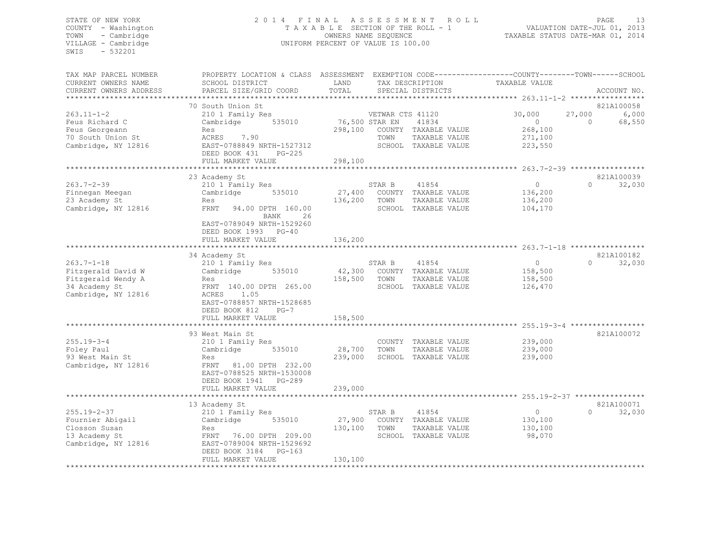#### STATE OF NEW YORK 2 0 1 4 F I N A L A S S E S S M E N T R O L L PAGE 13 COUNTY - Washington T A X A B L E SECTION OF THE ROLL - 1 VALUATION DATE-JUL 01, 2013 TOWN - Cambridge OWNERS NAME SEQUENCE TAXABLE STATUS DATE-MAR 01, 2014 VILLAGE - Cambridge **UNIFORM PERCENT OF VALUE IS 100.00**

| TAX MAP PARCEL NUMBER<br>CURRENT OWNERS NAME<br>CURRENT OWNERS ADDRESS                               | PROPERTY LOCATION & CLASS ASSESSMENT<br>SCHOOL DISTRICT<br>PARCEL SIZE/GRID COORD                                                                                            | LAND<br>TOTAL                |                          | TAX DESCRIPTION<br>SPECIAL DISTRICTS                                   | EXEMPTION CODE-----------------COUNTY-------TOWN------SCHOOL<br>TAXABLE VALUE |                    | ACCOUNT NO.                   |
|------------------------------------------------------------------------------------------------------|------------------------------------------------------------------------------------------------------------------------------------------------------------------------------|------------------------------|--------------------------|------------------------------------------------------------------------|-------------------------------------------------------------------------------|--------------------|-------------------------------|
|                                                                                                      |                                                                                                                                                                              |                              |                          |                                                                        |                                                                               |                    |                               |
| $263.11 - 1 - 2$<br>Feus Richard C<br>Feus Georgeann<br>70 South Union St<br>Cambridge, NY 12816     | 70 South Union St<br>210 1 Family Res<br>535010<br>Cambridge<br>Res<br>ACRES 7.90<br>EAST-0788849 NRTH-1527312                                                               | 76,500 STAR EN<br>298,100    | VETWAR CTS 41120<br>TOWN | 41834<br>COUNTY TAXABLE VALUE<br>TAXABLE VALUE<br>SCHOOL TAXABLE VALUE | 30,000<br>$\circ$<br>268,100<br>271,100<br>223,550                            | 27,000<br>$\Omega$ | 821A100058<br>6,000<br>68,550 |
|                                                                                                      | DEED BOOK 431<br>$PG-225$                                                                                                                                                    |                              |                          |                                                                        |                                                                               |                    |                               |
|                                                                                                      | FULL MARKET VALUE                                                                                                                                                            | 298,100                      |                          |                                                                        | ********** 263.7-2-39 *****************                                       |                    |                               |
| $263.7 - 2 - 39$<br>Finnegan Meegan<br>23 Academy St<br>Cambridge, NY 12816                          | 23 Academy St<br>210 1 Family Res<br>535010<br>Cambridge<br>Res<br>FRNT<br>94.00 DPTH 160.00<br>26<br>BANK                                                                   | 27,400<br>136,200            | STAR B<br>TOWN           | 41854<br>COUNTY TAXABLE VALUE<br>TAXABLE VALUE<br>SCHOOL TAXABLE VALUE | $\circ$<br>136,200<br>136,200<br>104,170                                      | $\Omega$           | 821A100039<br>32,030          |
|                                                                                                      | EAST-0789049 NRTH-1529260<br>DEED BOOK 1993<br>$PG-40$<br>FULL MARKET VALUE<br>************************                                                                      | 136,200                      |                          |                                                                        |                                                                               |                    |                               |
|                                                                                                      | 34 Academy St                                                                                                                                                                |                              |                          |                                                                        |                                                                               |                    | 821A100182                    |
| $263.7 - 1 - 18$<br>Fitzgerald David W<br>Fitzgerald Wendy A<br>34 Academy St<br>Cambridge, NY 12816 | 210 1 Family Res<br>535010<br>Cambridge<br>Res<br>FRNT 140.00 DPTH 265.00<br>ACRES<br>1.05<br>EAST-0788857 NRTH-1528685<br>DEED BOOK 812<br>$PG-7$                           | 42,300<br>158,500            | STAR B<br>TOWN           | 41854<br>COUNTY TAXABLE VALUE<br>TAXABLE VALUE<br>SCHOOL TAXABLE VALUE | $\circ$<br>158,500<br>158,500<br>126,470                                      | $\Omega$           | 32,030                        |
|                                                                                                      | FULL MARKET VALUE                                                                                                                                                            | 158,500                      |                          |                                                                        |                                                                               |                    |                               |
| $255.19 - 3 - 4$<br>Foley Paul<br>93 West Main St<br>Cambridge, NY 12816                             | 93 West Main St<br>210 1 Family Res<br>Cambridge<br>535010<br>Res<br>FRNT<br>81.00 DPTH 232.00<br>EAST-0788525 NRTH-1530008<br>DEED BOOK 1941<br>PG-289<br>FULL MARKET VALUE | 28,700<br>239,000<br>239,000 | TOWN                     | COUNTY TAXABLE VALUE<br>TAXABLE VALUE<br>SCHOOL TAXABLE VALUE          | 239,000<br>239,000<br>239,000                                                 |                    | 821A100072                    |
|                                                                                                      |                                                                                                                                                                              |                              |                          |                                                                        |                                                                               |                    |                               |
| $255.19 - 2 - 37$<br>Fournier Abigail<br>Closson Susan<br>13 Academy St<br>Cambridge, NY 12816       | 13 Academy St<br>210 1 Family Res<br>Cambridge<br>535010<br>Res<br>FRNT<br>76.00 DPTH 209.00<br>EAST-0789004 NRTH-1529692<br>DEED BOOK 3184<br>$PG-163$<br>FULL MARKET VALUE | 27,900<br>130,100<br>130,100 | STAR B<br>TOWN           | 41854<br>COUNTY TAXABLE VALUE<br>TAXABLE VALUE<br>SCHOOL TAXABLE VALUE | $\circ$<br>130,100<br>130,100<br>98,070                                       | $\Omega$           | 821A100071<br>32,030          |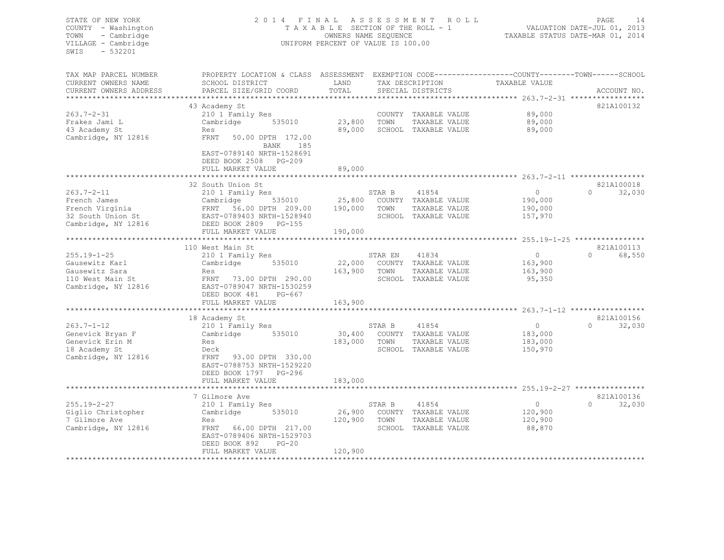#### STATE OF NEW YORK 2 0 1 4 F I N A L A S S E S S M E N T R O L L PAGE 14 COUNTY - Washington T A X A B L E SECTION OF THE ROLL - 1 VALUATION DATE-JUL 01, 2013 TOWN - Cambridge OWNERS NAME SEQUENCE TAXABLE STATUS DATE-MAR 01, 2014 VILLAGE - Cambridge **UNIFORM PERCENT OF VALUE IS 100.00**

| TAX MAP PARCEL NUMBER  | PROPERTY LOCATION & CLASS ASSESSMENT EXEMPTION CODE----------------COUNTY-------TOWN------SCHOOL |              |         |                               |                |                    |
|------------------------|--------------------------------------------------------------------------------------------------|--------------|---------|-------------------------------|----------------|--------------------|
| CURRENT OWNERS NAME    | SCHOOL DISTRICT                                                                                  | LAND         |         | TAX DESCRIPTION               | TAXABLE VALUE  |                    |
| CURRENT OWNERS ADDRESS | PARCEL SIZE/GRID COORD                                                                           | TOTAL        |         | SPECIAL DISTRICTS             |                | ACCOUNT NO.        |
|                        |                                                                                                  |              |         |                               |                |                    |
|                        | 43 Academy St                                                                                    |              |         |                               |                | 821A100132         |
| $263.7 - 2 - 31$       | 210 1 Family Res                                                                                 |              |         | COUNTY TAXABLE VALUE          | 89,000         |                    |
| Frakes Jami L          | Cambridge 535010                                                                                 | 23,800 TOWN  |         | TAXABLE VALUE                 | 89,000         |                    |
| 43 Academy St          | Res                                                                                              | 89,000       |         | SCHOOL TAXABLE VALUE          | 89,000         |                    |
| Cambridge, NY 12816    | FRNT 50.00 DPTH 172.00                                                                           |              |         |                               |                |                    |
|                        | 185<br>BANK                                                                                      |              |         |                               |                |                    |
|                        | EAST-0789140 NRTH-1528691                                                                        |              |         |                               |                |                    |
|                        | DEED BOOK 2508 PG-209                                                                            |              |         |                               |                |                    |
|                        | FULL MARKET VALUE                                                                                | 89,000       |         |                               |                |                    |
|                        |                                                                                                  |              |         |                               |                |                    |
|                        | 32 South Union St                                                                                |              |         |                               |                | 821A100018         |
| $263.7 - 2 - 11$       | 210 1 Family Res                                                                                 |              | STAR B  | 41854                         | $\overline{0}$ | $\Omega$<br>32,030 |
| French James           | Cambridge                                                                                        |              |         | $25,800$ COUNTY TAXABLE VALUE | 190,000        |                    |
|                        | 535010<br>FRNT 56.00 DPTH 209.00 190,000                                                         |              |         |                               |                |                    |
| French Virginia        |                                                                                                  |              | TOWN    | TAXABLE VALUE                 | 190,000        |                    |
| 32 South Union St      | EAST-0789403 NRTH-1528940                                                                        |              |         | SCHOOL TAXABLE VALUE          | 157,970        |                    |
| Cambridge, NY 12816    | DEED BOOK 2809 PG-155                                                                            |              |         |                               |                |                    |
|                        | FULL MARKET VALUE                                                                                | 190,000      |         |                               |                |                    |
|                        |                                                                                                  |              |         |                               |                |                    |
|                        | 110 West Main St                                                                                 |              |         |                               |                | 821A100113         |
| $255.19 - 1 - 25$      | 210 1 Family Res                                                                                 |              | STAR EN | 41834                         | $\overline{0}$ | $\Omega$<br>68,550 |
| Gausewitz Karl         | 535010<br>Cambridge                                                                              |              |         | 22,000 COUNTY TAXABLE VALUE   | 163,900        |                    |
| Gausewitz Sara         | Res                                                                                              | 163,900 TOWN |         | TAXABLE VALUE                 | 163,900        |                    |
| 110 West Main St       | FRNT 73.00 DPTH 290.00                                                                           |              |         | SCHOOL TAXABLE VALUE          | 95,350         |                    |
| Cambridge, NY 12816    | EAST-0789047 NRTH-1530259                                                                        |              |         |                               |                |                    |
|                        | DEED BOOK 481 PG-667                                                                             |              |         |                               |                |                    |
|                        | FULL MARKET VALUE                                                                                | 163,900      |         |                               |                |                    |
|                        |                                                                                                  |              |         |                               |                |                    |
|                        | 18 Academy St                                                                                    |              |         |                               |                | 821A100156         |
| $263.7 - 1 - 12$       | 210 1 Family Res                                                                                 |              | STAR B  | 41854                         | $\overline{0}$ | $\Omega$<br>32,030 |
| Genevick Bryan F       | Cambridge 535010                                                                                 |              |         | 30,400 COUNTY TAXABLE VALUE   | 183,000        |                    |
| Genevick Erin M        | Res                                                                                              | 183,000 TOWN |         | TAXABLE VALUE                 | 183,000        |                    |
| 18 Academy St          | Deck                                                                                             |              |         | SCHOOL TAXABLE VALUE          | 150,970        |                    |
| Cambridge, NY 12816    | FRNT 93.00 DPTH 330.00                                                                           |              |         |                               |                |                    |
|                        | EAST-0788753 NRTH-1529220                                                                        |              |         |                               |                |                    |
|                        | DEED BOOK 1797 PG-296                                                                            |              |         |                               |                |                    |
|                        | FULL MARKET VALUE                                                                                | 183,000      |         |                               |                |                    |
|                        |                                                                                                  |              |         |                               |                |                    |
|                        | 7 Gilmore Ave                                                                                    |              |         |                               |                | 821A100136         |
| $255.19 - 2 - 27$      | 210 1 Family Res                                                                                 |              | STAR B  | 41854                         | $\circ$        | $\Omega$<br>32,030 |
| Giglio Christopher     | 535010<br>Cambridge                                                                              | 26,900       |         | COUNTY TAXABLE VALUE          | 120,900        |                    |
| 7 Gilmore Ave          | Res                                                                                              | 120,900      | TOWN    | TAXABLE VALUE                 | 120,900        |                    |
| Cambridge, NY 12816    | FRNT 66.00 DPTH 217.00                                                                           |              |         | SCHOOL TAXABLE VALUE          | 88,870         |                    |
|                        | EAST-0789406 NRTH-1529703                                                                        |              |         |                               |                |                    |
|                        | DEED BOOK 892<br>$PG-20$                                                                         |              |         |                               |                |                    |
|                        | FULL MARKET VALUE                                                                                | 120,900      |         |                               |                |                    |
|                        |                                                                                                  |              |         |                               |                |                    |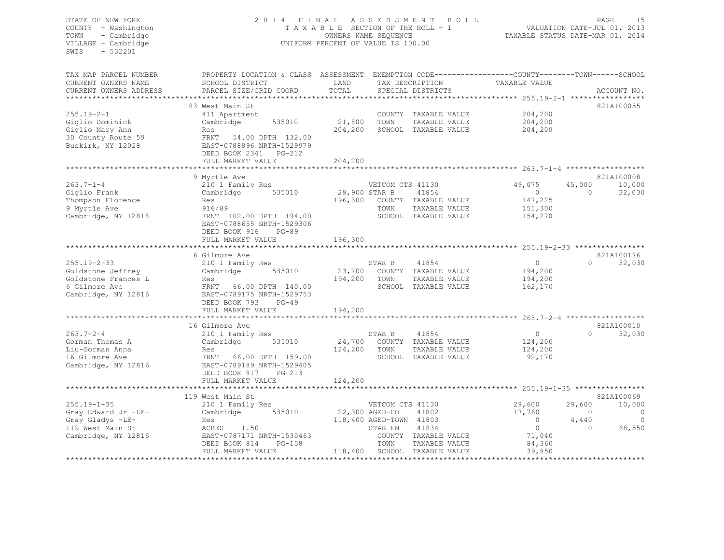#### STATE OF NEW YORK 2 0 1 4 F I N A L A S S E S S M E N T R O L L PAGE 15 COUNTY - Washington T A X A B L E SECTION OF THE ROLL - 1 VALUATION DATE-JUL 01, 2013 TOWN - Cambridge OWNERS NAME SEQUENCE TAXABLE STATUS DATE-MAR 01, 2014 VILLAGE - Cambridge **UNIFORM PERCENT OF VALUE IS 100.00**

| TAX MAP PARCEL NUMBER<br>CURRENT OWNERS NAME<br>CURRENT OWNERS ADDRESS | PROPERTY LOCATION & CLASS ASSESSMENT<br>SCHOOL DISTRICT<br>PARCEL SIZE/GRID COORD | LAND<br>TOTAL                 |                         | TAX DESCRIPTION<br>SPECIAL DISTRICTS | EXEMPTION CODE-----------------COUNTY-------TOWN------SCHOOL<br>TAXABLE VALUE |          | ACCOUNT NO. |
|------------------------------------------------------------------------|-----------------------------------------------------------------------------------|-------------------------------|-------------------------|--------------------------------------|-------------------------------------------------------------------------------|----------|-------------|
|                                                                        |                                                                                   | ***************************** |                         |                                      | ****************** 255.19-2-1 ******************                              |          |             |
|                                                                        | 83 West Main St                                                                   |                               |                         |                                      |                                                                               |          | 821A100055  |
| $255.19 - 2 - 1$                                                       | 411 Apartment                                                                     |                               |                         | COUNTY TAXABLE VALUE                 | 204,200                                                                       |          |             |
| Giglio Dominick                                                        | Cambridge<br>535010                                                               | 21,800                        | TOWN                    | TAXABLE VALUE                        | 204,200                                                                       |          |             |
| Giglio Mary Ann                                                        | Res                                                                               | 204,200                       |                         | SCHOOL TAXABLE VALUE                 | 204,200                                                                       |          |             |
| 30 County Route 59                                                     | <b>FRNT</b><br>54.00 DPTH 132.00                                                  |                               |                         |                                      |                                                                               |          |             |
| Buskirk, NY 12028                                                      | EAST-0788896 NRTH-1529979                                                         |                               |                         |                                      |                                                                               |          |             |
|                                                                        | DEED BOOK 2341 PG-212                                                             |                               |                         |                                      |                                                                               |          |             |
|                                                                        | FULL MARKET VALUE                                                                 | 204,200                       |                         |                                      | *********** 263.7-1-4 *******************                                     |          |             |
|                                                                        |                                                                                   |                               |                         |                                      |                                                                               |          | 821A100008  |
| $263.7 - 1 - 4$                                                        | 9 Myrtle Ave<br>210 1 Family Res                                                  |                               | VETCOM CTS 41130        |                                      | 49,075                                                                        | 45,000   | 10,000      |
| Giglio Frank                                                           | Cambridge<br>535010                                                               | 29,900 STAR B                 |                         | 41854                                | $\circ$                                                                       | $\Omega$ | 32,030      |
| Thompson Florence                                                      | Res                                                                               | 196,300                       |                         | COUNTY TAXABLE VALUE                 | 147,225                                                                       |          |             |
| 9 Myrtle Ave                                                           | 916/89                                                                            |                               | TOWN                    | TAXABLE VALUE                        | 151,300                                                                       |          |             |
| Cambridge, NY 12816                                                    | FRNT 102.00 DPTH 194.00                                                           |                               |                         | SCHOOL TAXABLE VALUE                 | 154,270                                                                       |          |             |
|                                                                        | EAST-0788655 NRTH-1529306                                                         |                               |                         |                                      |                                                                               |          |             |
|                                                                        | $PG-89$                                                                           |                               |                         |                                      |                                                                               |          |             |
|                                                                        | DEED BOOK 916<br>FULL MARKET VALUE                                                | 196,300                       |                         |                                      |                                                                               |          |             |
|                                                                        |                                                                                   |                               |                         |                                      | $255.19 - 2 - 33$ *****                                                       |          |             |
|                                                                        | 6 Gilmore Ave                                                                     |                               |                         |                                      |                                                                               |          | 821A100176  |
| $255.19 - 2 - 33$                                                      | 210 1 Family Res                                                                  |                               | STAR B                  | 41854                                | $\circ$                                                                       | $\Omega$ | 32,030      |
| Goldstone Jeffrey                                                      | Cambridge<br>535010                                                               | 23,700                        |                         | COUNTY TAXABLE VALUE                 | 194,200                                                                       |          |             |
| Goldstone Frances L                                                    | Res                                                                               | 194,200                       | TOWN                    | TAXABLE VALUE                        | 194,200                                                                       |          |             |
| 6 Gilmore Ave                                                          | FRNT<br>66.00 DPTH 140.00                                                         |                               |                         | SCHOOL TAXABLE VALUE                 | 162,170                                                                       |          |             |
| Cambridge, NY 12816                                                    | EAST-0789175 NRTH-1529753                                                         |                               |                         |                                      |                                                                               |          |             |
|                                                                        | DEED BOOK 793<br>$PG-49$                                                          |                               |                         |                                      |                                                                               |          |             |
|                                                                        | FULL MARKET VALUE                                                                 | 194,200                       |                         |                                      |                                                                               |          |             |
|                                                                        |                                                                                   |                               |                         |                                      |                                                                               |          |             |
|                                                                        | 16 Gilmore Ave                                                                    |                               |                         |                                      |                                                                               |          | 821A100010  |
| $263.7 - 2 - 4$                                                        | 210 1 Family Res                                                                  |                               | STAR B                  | 41854                                | $\circ$                                                                       | $\Omega$ | 32,030      |
| Gorman Thomas A                                                        | Cambridge<br>535010                                                               | 24,700                        |                         | COUNTY TAXABLE VALUE                 | 124,200                                                                       |          |             |
| Liu-Gorman Anna                                                        | Res                                                                               | 124,200                       | TOWN                    | TAXABLE VALUE                        | 124,200                                                                       |          |             |
| 16 Gilmore Ave                                                         | FRNT<br>66.00 DPTH 159.00                                                         |                               |                         | SCHOOL TAXABLE VALUE                 | 92,170                                                                        |          |             |
| Cambridge, NY 12816                                                    | EAST-0789189 NRTH-1529405                                                         |                               |                         |                                      |                                                                               |          |             |
|                                                                        | DEED BOOK 817<br>$PG-213$                                                         |                               |                         |                                      |                                                                               |          |             |
|                                                                        | FULL MARKET VALUE                                                                 | 124,200                       |                         |                                      |                                                                               |          |             |
|                                                                        |                                                                                   |                               |                         |                                      |                                                                               |          |             |
|                                                                        | 119 West Main St                                                                  |                               |                         |                                      |                                                                               |          | 821A100069  |
| $255.19 - 1 - 35$                                                      | 210 1 Family Res                                                                  |                               | VETCOM CTS 41130        |                                      | 29,600                                                                        | 29,600   | 10,000      |
| Gray Edward Jr -LE-                                                    | 535010<br>Cambridge                                                               |                               | 22,300 AGED-CO          | 41802                                | 17,760                                                                        | $\Omega$ | $\circ$     |
| Gray Gladys -LE-                                                       | Res                                                                               |                               | 118,400 AGED-TOWN 41803 |                                      | $\circ$                                                                       | 4,440    | $\Omega$    |
| 119 West Main St                                                       | ACRES<br>1.50                                                                     |                               | STAR EN                 | 41834                                | $\circ$                                                                       | $\Omega$ | 68,550      |
| Cambridge, NY 12816                                                    | EAST-0787171 NRTH-1530463                                                         |                               |                         | COUNTY TAXABLE VALUE                 | 71,040                                                                        |          |             |
|                                                                        | $PG-158$<br>DEED BOOK 814                                                         |                               | TOWN                    | TAXABLE VALUE                        | 84,360                                                                        |          |             |
| *******************                                                    | FULL MARKET VALUE                                                                 | 118,400                       |                         | SCHOOL TAXABLE VALUE                 | 39,850                                                                        |          |             |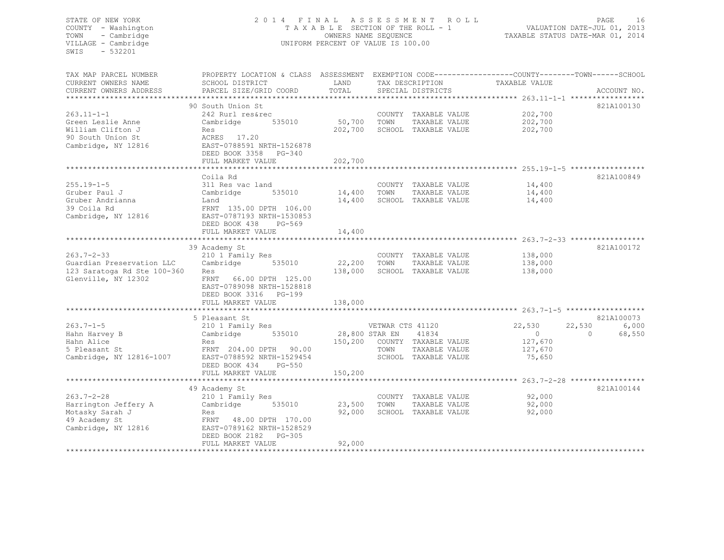#### STATE OF NEW YORK 2 0 1 4 F I N A L A S S E S S M E N T R O L L PAGE 16 COUNTY - Washington T A X A B L E SECTION OF THE ROLL - 1 VALUATION DATE-JUL 01, 2013 TOWN - Cambridge OWNERS NAME SEQUENCE TAXABLE STATUS DATE-MAR 01, 2014 VILLAGE - Cambridge **UNIFORM PERCENT OF VALUE IS 100.00**

| TAX MAP PARCEL NUMBER       | PROPERTY LOCATION & CLASS ASSESSMENT EXEMPTION CODE---------------COUNTY-------TOWN-----SCHOOL |             |                              |                              |                          |
|-----------------------------|------------------------------------------------------------------------------------------------|-------------|------------------------------|------------------------------|--------------------------|
| CURRENT OWNERS NAME         | SCHOOL DISTRICT                                                                                | LAND        | TAX DESCRIPTION              | TAXABLE VALUE                |                          |
| CURRENT OWNERS ADDRESS      | PARCEL SIZE/GRID COORD                                                                         | TOTAL       | SPECIAL DISTRICTS            |                              | ACCOUNT NO.              |
|                             |                                                                                                |             |                              |                              |                          |
|                             | 90 South Union St                                                                              |             |                              |                              | 821A100130               |
| $263.11 - 1 - 1$            | 242 Rurl res&rec                                                                               |             |                              | COUNTY TAXABLE VALUE 202,700 |                          |
| Green Leslie Anne           | 535010<br>Cambridge                                                                            | 50,700 TOWN | TAXABLE VALUE                | 202,700                      |                          |
| William Clifton J           | Res                                                                                            | 202,700     | SCHOOL TAXABLE VALUE         | 202,700                      |                          |
| 90 South Union St           | ACRES 17.20<br>EAST-0788591 NRTH-1526878                                                       |             |                              |                              |                          |
| Cambridge, NY 12816         |                                                                                                |             |                              |                              |                          |
|                             | DEED BOOK 3358 PG-340                                                                          |             |                              |                              |                          |
|                             | FULL MARKET VALUE                                                                              | 202,700     |                              |                              |                          |
|                             |                                                                                                |             |                              |                              |                          |
|                             | Coila Rd                                                                                       |             |                              |                              | 821A100849               |
| $255.19 - 1 - 5$            | 311 Res vac land                                                                               |             | COUNTY TAXABLE VALUE         | 14,400                       |                          |
| Gruber Paul J               | 535010<br>Cambridge                                                                            |             | 14,400 TOWN<br>TAXABLE VALUE | 14,400                       |                          |
| Gruber Andrianna            | Land                                                                                           |             | 14,400 SCHOOL TAXABLE VALUE  | 14,400                       |                          |
| 39 Coila Rd                 | FRNT 135.00 DPTH 106.00                                                                        |             |                              |                              |                          |
| Cambridge, NY 12816         | EAST-0787193 NRTH-1530853                                                                      |             |                              |                              |                          |
|                             | DEED BOOK 438<br>PG-569                                                                        |             |                              |                              |                          |
|                             | FULL MARKET VALUE                                                                              | 14,400      |                              |                              |                          |
|                             |                                                                                                |             |                              |                              |                          |
|                             | 39 Academy St                                                                                  |             |                              |                              | 821A100172               |
| $263.7 - 2 - 33$            | 210 1 Family Res                                                                               |             | COUNTY TAXABLE VALUE         | 138,000                      |                          |
| Guardian Preservation LLC   | Cambridge 535010                                                                               | 22,200 TOWN | TAXABLE VALUE                | 138,000                      |                          |
| 123 Saratoga Rd Ste 100-360 | Res                                                                                            | 138,000     | SCHOOL TAXABLE VALUE         | 138,000                      |                          |
| Glenville, NY 12302         | FRNT 66.00 DPTH 125.00                                                                         |             |                              |                              |                          |
|                             | EAST-0789098 NRTH-1528818                                                                      |             |                              |                              |                          |
|                             | DEED BOOK 3316 PG-199                                                                          |             |                              |                              |                          |
|                             | FULL MARKET VALUE                                                                              | 138,000     |                              |                              |                          |
|                             |                                                                                                |             |                              |                              |                          |
|                             | 5 Pleasant St                                                                                  |             |                              |                              | 821A100073               |
|                             |                                                                                                |             |                              |                              | 6,000                    |
| $263.7 - 1 - 5$             | 210 1 Family Res                                                                               |             | VETWAR CTS 41120             | 22,530                       | 22,530                   |
| Hahn Harvey B               | Cambridge<br>535010                                                                            |             | 28,800 STAR EN<br>41834      | $\overline{0}$               | $\overline{0}$<br>68,550 |
| Hahn Alice                  | Res                                                                                            |             | 150,200 COUNTY TAXABLE VALUE | 127,670                      |                          |
| 5 Pleasant St               | FRNT 204.00 DPTH 90.00                                                                         |             | TOWN<br>TAXABLE VALUE        | 127,670                      |                          |
| Cambridge, NY 12816-1007    | EAST-0788592 NRTH-1529454                                                                      |             | SCHOOL TAXABLE VALUE         | 75,650                       |                          |
|                             | DEED BOOK 434 PG-550                                                                           |             |                              |                              |                          |
|                             | FULL MARKET VALUE                                                                              | 150,200     |                              |                              |                          |
|                             |                                                                                                |             |                              |                              |                          |
|                             | 49 Academy St                                                                                  |             |                              |                              | 821A100144               |
| $263.7 - 2 - 28$            | 210 1 Family Res                                                                               |             | COUNTY TAXABLE VALUE         | 92,000                       |                          |
| Harrington Jeffery A        | Cambridge 535010                                                                               | 23,500      | TOWN<br>TAXABLE VALUE        | 92,000                       |                          |
| Motasky Sarah J             | Res                                                                                            | 92,000      | SCHOOL TAXABLE VALUE         | 92,000                       |                          |
| 49 Academy St               | FRNT 48.00 DPTH 170.00                                                                         |             |                              |                              |                          |
| Cambridge, NY 12816         | EAST-0789162 NRTH-1528529                                                                      |             |                              |                              |                          |
|                             | DEED BOOK 2182 PG-305                                                                          |             |                              |                              |                          |
|                             | FULL MARKET VALUE                                                                              | 92,000      |                              |                              |                          |
|                             |                                                                                                |             |                              |                              |                          |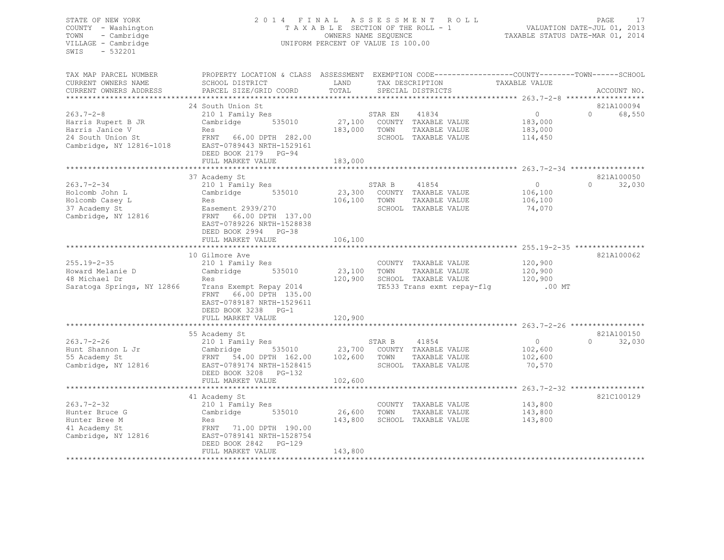#### STATE OF NEW YORK 2 0 1 4 F I N A L A S S E S S M E N T R O L L PAGE 17 COUNTY - Washington T A X A B L E SECTION OF THE ROLL - 1 VALUATION DATE-JUL 01, 2013 TOWN - Cambridge OWNERS NAME SEQUENCE TAXABLE STATUS DATE-MAR 01, 2014 VILLAGE - Cambridge UNIFORM PERCENT OF VALUE IS 100.00

| TAX MAP PARCEL NUMBER      | PROPERTY LOCATION & CLASS ASSESSMENT EXEMPTION CODE----------------COUNTY-------TOWN------SCHOOL |              |         |                                    |                                                              |          |             |
|----------------------------|--------------------------------------------------------------------------------------------------|--------------|---------|------------------------------------|--------------------------------------------------------------|----------|-------------|
| CURRENT OWNERS NAME        | SCHOOL DISTRICT                                                                                  | LAND         |         | TAX DESCRIPTION                    | TAXABLE VALUE                                                |          |             |
| CURRENT OWNERS ADDRESS     | PARCEL SIZE/GRID COORD                                                                           | TOTAL        |         | SPECIAL DISTRICTS                  |                                                              |          | ACCOUNT NO. |
|                            |                                                                                                  |              |         |                                    |                                                              |          |             |
|                            | 24 South Union St                                                                                |              |         |                                    |                                                              |          | 821A100094  |
| $263.7 - 2 - 8$            | 210 1 Family Res                                                                                 |              | STAR EN | 41834                              | $\Omega$                                                     | $\Omega$ | 68,550      |
| Harris Rupert B JR         | Cambridge 535010                                                                                 | 27,100       |         | COUNTY TAXABLE VALUE               | 183,000                                                      |          |             |
| Harris Janice V            | Res                                                                                              | 183,000      | TOWN    | TAXABLE VALUE                      | 183,000                                                      |          |             |
| 24 South Union St          | FRNT 66.00 DPTH 282.00                                                                           |              |         | SCHOOL TAXABLE VALUE               | 114,450                                                      |          |             |
| Cambridge, NY 12816-1018   | EAST-0789443 NRTH-1529161                                                                        |              |         |                                    |                                                              |          |             |
|                            | DEED BOOK 2179 PG-94                                                                             |              |         |                                    |                                                              |          |             |
|                            |                                                                                                  |              |         |                                    |                                                              |          |             |
|                            | FULL MARKET VALUE                                                                                | 183,000      |         |                                    |                                                              |          |             |
|                            |                                                                                                  |              |         |                                    |                                                              |          |             |
|                            | 37 Academy St                                                                                    |              |         |                                    |                                                              |          | 821A100050  |
| $263.7 - 2 - 34$           | 210 1 Family Res                                                                                 |              | STAR B  | 41854                              | $\Omega$                                                     | $\Omega$ | 32,030      |
| Holcomb John L             | 535010<br>Cambridge                                                                              |              |         | 23,300 COUNTY TAXABLE VALUE        | 106,100                                                      |          |             |
| Holcomb Casey L            | Res                                                                                              | 106,100      | TOWN    | TAXABLE VALUE                      | 106,100                                                      |          |             |
| 37 Academy St              | Easement 2939/270                                                                                |              |         | SCHOOL TAXABLE VALUE               | 74,070                                                       |          |             |
| Cambridge, NY 12816        | FRNT<br>66.00 DPTH 137.00                                                                        |              |         |                                    |                                                              |          |             |
|                            | EAST-0789226 NRTH-1528838                                                                        |              |         |                                    |                                                              |          |             |
|                            | DEED BOOK 2994 PG-38                                                                             |              |         |                                    |                                                              |          |             |
|                            | FULL MARKET VALUE                                                                                | 106,100      |         |                                    |                                                              |          |             |
|                            |                                                                                                  |              |         |                                    | ******************************* 255.19-2-35 **************** |          |             |
|                            | 10 Gilmore Ave                                                                                   |              |         |                                    |                                                              |          | 821A100062  |
| 255.19-2-35                | 210 1 Family Res                                                                                 |              |         | COUNTY TAXABLE VALUE               | 120,900                                                      |          |             |
| Howard Melanie D           | Cambridge<br>535010                                                                              | 23,100       | TOWN    | TAXABLE VALUE                      | 120,900                                                      |          |             |
| 48 Michael Dr              | Res                                                                                              | 120,900      |         | SCHOOL TAXABLE VALUE               | 120,900                                                      |          |             |
| Saratoga Springs, NY 12866 | Trans Exempt Repay 2014                                                                          |              |         | TE533 Trans exmt repay-flg         | $.00$ MT                                                     |          |             |
|                            | FRNT 66.00 DPTH 135.00                                                                           |              |         |                                    |                                                              |          |             |
|                            | EAST-0789187 NRTH-1529611                                                                        |              |         |                                    |                                                              |          |             |
|                            | DEED BOOK 3238 PG-1                                                                              |              |         |                                    |                                                              |          |             |
|                            | FULL MARKET VALUE                                                                                | 120,900      |         |                                    |                                                              |          |             |
|                            |                                                                                                  |              |         |                                    |                                                              |          |             |
|                            | 55 Academy St                                                                                    |              |         |                                    |                                                              |          | 821A100150  |
| $263.7 - 2 - 26$           |                                                                                                  |              |         |                                    | $\circ$                                                      | $\Omega$ | 32,030      |
|                            | 210 1 Family Res                                                                                 |              | STAR B  | 41854                              |                                                              |          |             |
| Hunt Shannon L Jr          |                                                                                                  |              |         | 535010 23,700 COUNTY TAXABLE VALUE | 102,600                                                      |          |             |
| 55 Academy St              | Cambridge 535010<br>FRNT 54.00 DPTH 162.00                                                       | 102,600 TOWN |         | TAXABLE VALUE                      | 102,600                                                      |          |             |
| Cambridge, NY 12816        | EAST-0789174 NRTH-1528415                                                                        |              |         | SCHOOL TAXABLE VALUE               | 70,570                                                       |          |             |
|                            | DEED BOOK 3208<br>$PG-132$                                                                       |              |         |                                    |                                                              |          |             |
|                            | FULL MARKET VALUE                                                                                | 102,600      |         |                                    |                                                              |          |             |
|                            |                                                                                                  |              |         |                                    |                                                              |          |             |
|                            | 41 Academy St                                                                                    |              |         |                                    |                                                              |          | 821C100129  |
| 263.7-2-32                 | 210 1 Family Res                                                                                 |              |         | COUNTY TAXABLE VALUE               | 143,800                                                      |          |             |
| Hunter Bruce G             | Cambridge 535010                                                                                 | 26,600       | TOWN    | TAXABLE VALUE                      | 143,800                                                      |          |             |
| Hunter Bree M              | Res                                                                                              | 143,800      |         | SCHOOL TAXABLE VALUE               | 143,800                                                      |          |             |
| 41 Academy St              | FRNT 71.00 DPTH 190.00                                                                           |              |         |                                    |                                                              |          |             |
| Cambridge, NY 12816        | EAST-0789141 NRTH-1528754                                                                        |              |         |                                    |                                                              |          |             |
|                            | DEED BOOK 2842 PG-129                                                                            |              |         |                                    |                                                              |          |             |
|                            | FULL MARKET VALUE                                                                                | 143,800      |         |                                    |                                                              |          |             |
|                            |                                                                                                  |              |         |                                    |                                                              |          |             |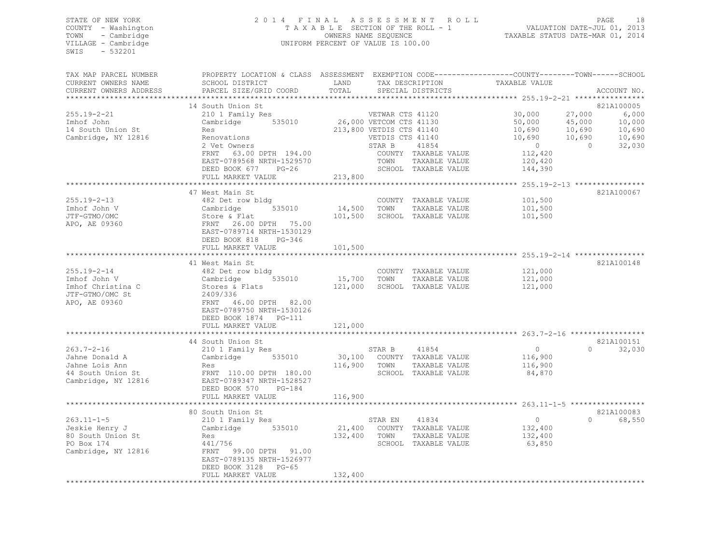#### STATE OF NEW YORK 2 0 1 4 F I N A L A S S E S S M E N T R O L L PAGE 18 COUNTY - Washington T A X A B L E SECTION OF THE ROLL - 1 VALUATION DATE-JUL 01, 2013 TOWN - Cambridge OWNERS NAME SEQUENCE TAXABLE STATUS DATE-MAR 01, 2014 VILLAGE - Cambridge **UNIFORM PERCENT OF VALUE IS 100.00**

| TAX MAP PARCEL NUMBER<br>CURRENT OWNERS NAME            | PROPERTY LOCATION & CLASS ASSESSMENT EXEMPTION CODE----------------COUNTY-------TOWN------SCHOOL<br>SCHOOL DISTRICT                                                                                                                         | LAND         | TAX DESCRIPTION          |                                       | TAXABLE VALUE                                |          |                          |
|---------------------------------------------------------|---------------------------------------------------------------------------------------------------------------------------------------------------------------------------------------------------------------------------------------------|--------------|--------------------------|---------------------------------------|----------------------------------------------|----------|--------------------------|
| CURRENT OWNERS ADDRESS                                  | PARCEL SIZE/GRID COORD                                                                                                                                                                                                                      | TOTAL        |                          | SPECIAL DISTRICTS                     |                                              |          | ACCOUNT NO.              |
|                                                         | 14 South Union St                                                                                                                                                                                                                           |              |                          |                                       |                                              |          | 821A100005               |
| $255.19 - 2 - 21$                                       | 210 1 Family Res                                                                                                                                                                                                                            |              | VETWAR CTS 41120         |                                       | 30,000                                       | 27,000   | 6,000                    |
| Imhof John                                              | Cambridge 535010 26,000 VETCOM CTS 41130                                                                                                                                                                                                    |              |                          |                                       | 50,000<br>10,690                             | 45,000   | 10,000                   |
| 14 South Union St                                       | an<br>Salah Salah Salah Salah Salah Salah Salah Salah Salah Salah Salah Salah Salah Salah Salah Salah Salah Salah S<br>Salah Salah Salah Salah Salah Salah Salah Salah Salah Salah Salah Salah Salah Salah Salah Salah Salah Salah S<br>Res |              | 213,800 VETDIS CTS 41140 |                                       | 10,690<br>10,690                             | 10,690   | 10,690                   |
| Cambridge, NY 12816                                     | Renovations                                                                                                                                                                                                                                 |              | VETDIS CTS 41140         |                                       |                                              | 10,690   | $\mathbb{R}^2$<br>10,690 |
|                                                         | 2 Vet Owners                                                                                                                                                                                                                                |              | STAR B                   | 41854                                 | $\overline{0}$                               | $\sim$ 0 | 32,030                   |
|                                                         | FRNT 63.00 DPTH 194.00                                                                                                                                                                                                                      |              |                          | COUNTY TAXABLE VALUE                  | 112,420<br>120,420                           |          |                          |
|                                                         | EAST-0789568 NRTH-1529570                                                                                                                                                                                                                   |              | TOWN                     | TAXABLE VALUE<br>SCHOOL TAXABLE VALUE |                                              |          |                          |
|                                                         | DEED BOOK 677 PG-26                                                                                                                                                                                                                         | 213,800      |                          |                                       | 144,390                                      |          |                          |
|                                                         | FULL MARKET VALUE                                                                                                                                                                                                                           |              |                          |                                       | ************** 255.19-2-13 ***************** |          |                          |
|                                                         | 47 West Main St                                                                                                                                                                                                                             |              |                          |                                       |                                              |          | 821A100067               |
| $255.19 - 2 - 13$                                       | 482 Det row bldg                                                                                                                                                                                                                            |              |                          | COUNTY TAXABLE VALUE                  | 101,500                                      |          |                          |
| Imhof John V                                            |                                                                                                                                                                                                                                             | 14,500 TOWN  |                          | TAXABLE VALUE                         | 101,500                                      |          |                          |
| JTF-GTMO/OMC                                            |                                                                                                                                                                                                                                             | 101,500      |                          | SCHOOL TAXABLE VALUE                  | 101,500                                      |          |                          |
| APO, AE 09360                                           | ol Let Low Ding<br>Cambridge 535010<br>Store & Flat<br>FRNT 26.00 DPTH 75.00                                                                                                                                                                |              |                          |                                       |                                              |          |                          |
|                                                         | EAST-0789714 NRTH-1530129                                                                                                                                                                                                                   |              |                          |                                       |                                              |          |                          |
|                                                         | DEED BOOK 818<br>$PG-346$                                                                                                                                                                                                                   |              |                          |                                       |                                              |          |                          |
|                                                         | FULL MARKET VALUE                                                                                                                                                                                                                           | 101,500      |                          |                                       |                                              |          |                          |
|                                                         |                                                                                                                                                                                                                                             |              |                          |                                       |                                              |          |                          |
|                                                         | 41 West Main St                                                                                                                                                                                                                             |              |                          |                                       |                                              |          | 821A100148               |
| $255.19 - 2 - 14$                                       |                                                                                                                                                                                                                                             |              |                          | COUNTY TAXABLE VALUE                  | 121,000                                      |          |                          |
| Imhof John V                                            | 535010                                                                                                                                                                                                                                      | 15,700 TOWN  |                          | TAXABLE VALUE                         | 121,000                                      |          |                          |
|                                                         | 482 Det row bldg<br>Cambridge 53<br>Stores & Flats<br>2409/336                                                                                                                                                                              | 121,000      |                          | SCHOOL TAXABLE VALUE                  | 121,000                                      |          |                          |
| Imhof Christina C<br>JTE-GTMO/OMC St<br>JTF-GTMO/OMC St |                                                                                                                                                                                                                                             |              |                          |                                       |                                              |          |                          |
| APO, AE 09360                                           | FRNT 46.00 DPTH 82.00                                                                                                                                                                                                                       |              |                          |                                       |                                              |          |                          |
|                                                         | EAST-0789750 NRTH-1530126                                                                                                                                                                                                                   |              |                          |                                       |                                              |          |                          |
|                                                         | DEED BOOK 1874 PG-111                                                                                                                                                                                                                       |              |                          |                                       |                                              |          |                          |
|                                                         | FULL MARKET VALUE                                                                                                                                                                                                                           | 121,000      |                          |                                       |                                              |          |                          |
|                                                         |                                                                                                                                                                                                                                             |              |                          |                                       |                                              |          |                          |
|                                                         | 44 South Union St                                                                                                                                                                                                                           |              |                          |                                       |                                              |          | 821A100151               |
| $263.7 - 2 - 16$                                        | 210 1 Family Res                                                                                                                                                                                                                            |              | STAR B                   | 41854                                 | $\overline{0}$                               | $\Omega$ | 32,030                   |
| Jahne Donald A                                          | Cambridge 535010                                                                                                                                                                                                                            |              |                          | 30,100 COUNTY TAXABLE VALUE           | 116,900                                      |          |                          |
| Jahne Lois Ann                                          | Res                                                                                                                                                                                                                                         | 116,900 TOWN |                          | TAXABLE VALUE                         | 116,900                                      |          |                          |
| 44 South Union St                                       |                                                                                                                                                                                                                                             |              |                          | SCHOOL TAXABLE VALUE                  | 84,870                                       |          |                          |
| Cambridge, NY 12816                                     | res<br>FRNT 110.00 DPTH 180.00<br>EAST-0789347 NRTH-1528527                                                                                                                                                                                 |              |                          |                                       |                                              |          |                          |
|                                                         | DEED BOOK 570<br>$PG-184$                                                                                                                                                                                                                   |              |                          |                                       |                                              |          |                          |
|                                                         | FULL MARKET VALUE                                                                                                                                                                                                                           | 116,900      |                          |                                       |                                              |          |                          |
|                                                         |                                                                                                                                                                                                                                             |              |                          |                                       |                                              |          |                          |
|                                                         | 80 South Union St                                                                                                                                                                                                                           |              |                          |                                       |                                              |          | 821A100083               |
| $263.11 - 1 - 5$                                        | 210 1 Family Res                                                                                                                                                                                                                            |              | STAR EN                  | 41834                                 | $\overline{0}$                               |          | 0 68,550                 |
| Jeskie Henry J                                          | Cambridge 535010                                                                                                                                                                                                                            |              |                          | 21,400 COUNTY TAXABLE VALUE           | 132,400                                      |          |                          |
| 80 South Union St                                       | Res                                                                                                                                                                                                                                         | 132,400 TOWN |                          | TAXABLE VALUE                         | 132,400                                      |          |                          |
| PO Box 174                                              | 441/756                                                                                                                                                                                                                                     |              |                          | SCHOOL TAXABLE VALUE                  | 63,850                                       |          |                          |
| Cambridge, NY 12816                                     | FRNT 99.00 DPTH 91.00                                                                                                                                                                                                                       |              |                          |                                       |                                              |          |                          |
|                                                         | EAST-0789135 NRTH-1526977                                                                                                                                                                                                                   |              |                          |                                       |                                              |          |                          |
|                                                         | DEED BOOK 3128<br>$PG-65$                                                                                                                                                                                                                   |              |                          |                                       |                                              |          |                          |
|                                                         | FULL MARKET VALUE                                                                                                                                                                                                                           | 132,400      |                          |                                       |                                              |          |                          |
|                                                         |                                                                                                                                                                                                                                             |              |                          |                                       |                                              |          |                          |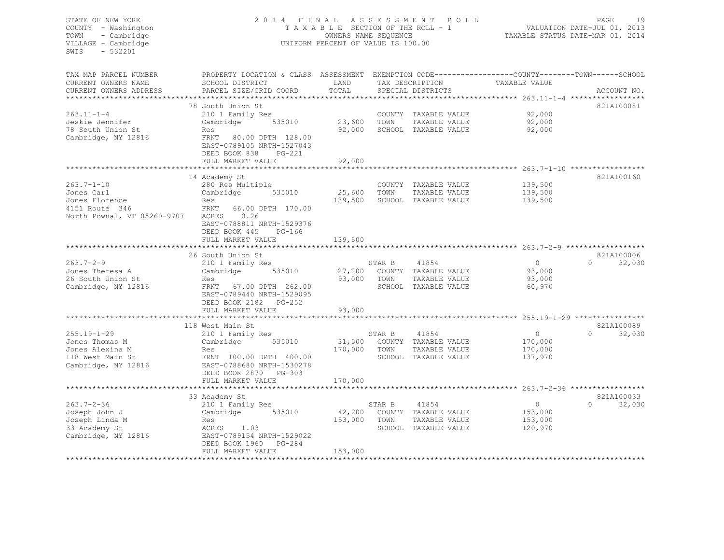#### STATE OF NEW YORK 2 0 1 4 F I N A L A S S E S S M E N T R O L L PAGE 19 COUNTY - Washington T A X A B L E SECTION OF THE ROLL - 1 VALUATION DATE-JUL 01, 2013 TOWN - Cambridge OWNERS NAME SEQUENCE TAXABLE STATUS DATE-MAR 01, 2014 VILLAGE - Cambridge UNIFORM PERCENT OF VALUE IS 100.00

| TAX MAP PARCEL NUMBER            | PROPERTY LOCATION & CLASS ASSESSMENT |         |        |                             |               |                    |
|----------------------------------|--------------------------------------|---------|--------|-----------------------------|---------------|--------------------|
| CURRENT OWNERS NAME              | SCHOOL DISTRICT                      | LAND    |        | TAX DESCRIPTION             | TAXABLE VALUE |                    |
| CURRENT OWNERS ADDRESS           | PARCEL SIZE/GRID COORD               | TOTAL   |        | SPECIAL DISTRICTS           |               | ACCOUNT NO.        |
|                                  |                                      |         |        |                             |               |                    |
|                                  | 78 South Union St                    |         |        |                             |               | 821A100081         |
| $263.11 - 1 - 4$                 | 210 1 Family Res                     |         |        | COUNTY TAXABLE VALUE        | 92,000        |                    |
| Jeskie Jennifer                  | Cambridge<br>535010                  | 23,600  | TOWN   | TAXABLE VALUE               | 92,000        |                    |
| 78 South Union St                | Res                                  | 92,000  |        | SCHOOL TAXABLE VALUE        | 92,000        |                    |
| Cambridge, NY 12816              | FRNT 80.00 DPTH 128.00               |         |        |                             |               |                    |
|                                  | EAST-0789105 NRTH-1527043            |         |        |                             |               |                    |
|                                  | DEED BOOK 838<br>PG-221              |         |        |                             |               |                    |
|                                  | FULL MARKET VALUE                    | 92,000  |        |                             |               |                    |
|                                  |                                      |         |        |                             |               |                    |
|                                  | 14 Academy St                        |         |        |                             |               | 821A100160         |
| $263.7 - 1 - 10$                 | 280 Res Multiple                     |         |        | COUNTY TAXABLE VALUE        | 139,500       |                    |
| Jones Carl                       | 535010<br>Cambridge                  | 25,600  | TOWN   | TAXABLE VALUE               | 139,500       |                    |
|                                  | Res                                  | 139,500 |        |                             | 139,500       |                    |
| Jones Florence<br>4151 Route 346 | FRNT<br>66.00 DPTH 170.00            |         |        | SCHOOL TAXABLE VALUE        |               |                    |
|                                  |                                      |         |        |                             |               |                    |
| North Pownal, VT 05260-9707      | ACRES<br>0.26                        |         |        |                             |               |                    |
|                                  | EAST-0788811 NRTH-1529376            |         |        |                             |               |                    |
|                                  | DEED BOOK 445<br>$PG-166$            |         |        |                             |               |                    |
|                                  | FULL MARKET VALUE                    | 139,500 |        |                             |               |                    |
|                                  |                                      |         |        |                             |               |                    |
|                                  | 26 South Union St                    |         |        |                             |               | 821A100006         |
| $263.7 - 2 - 9$                  | 210 1 Family Res                     |         | STAR B | 41854                       | $\circ$       | 32,030<br>$\cap$   |
| Jones Theresa A                  | 535010<br>Cambridge                  |         |        | 27,200 COUNTY TAXABLE VALUE | 93,000        |                    |
| 26 South Union St                | Res                                  | 93,000  | TOWN   | TAXABLE VALUE               | 93,000        |                    |
| Cambridge, NY 12816              | 67.00 DPTH 262.00<br>FRNT            |         |        | SCHOOL TAXABLE VALUE        | 60,970        |                    |
|                                  | EAST-0789440 NRTH-1529095            |         |        |                             |               |                    |
|                                  | DEED BOOK 2182 PG-252                |         |        |                             |               |                    |
|                                  | FULL MARKET VALUE                    | 93,000  |        |                             |               |                    |
|                                  | ***************************          |         |        |                             |               |                    |
|                                  | 118 West Main St                     |         |        |                             |               | 821A100089         |
| $255.19 - 1 - 29$                | 210 1 Family Res                     |         | STAR B | 41854                       | $\circ$       | $\Omega$<br>32,030 |
| Jones Thomas M                   | Cambridge<br>535010                  | 31,500  |        | COUNTY TAXABLE VALUE        | 170,000       |                    |
| Jones Alexina M                  | Res                                  | 170,000 | TOWN   | TAXABLE VALUE               | 170,000       |                    |
| 118 West Main St                 | FRNT 100.00 DPTH 400.00              |         |        | SCHOOL TAXABLE VALUE        | 137,970       |                    |
| Cambridge, NY 12816              | EAST-0788680 NRTH-1530278            |         |        |                             |               |                    |
|                                  | DEED BOOK 2870 PG-303                |         |        |                             |               |                    |
|                                  | FULL MARKET VALUE                    | 170,000 |        |                             |               |                    |
|                                  |                                      |         |        |                             |               |                    |
|                                  | 33 Academy St                        |         |        |                             |               | 821A100033         |
| $263.7 - 2 - 36$                 | 210 1 Family Res                     |         | STAR B | 41854                       | $\circ$       | 32,030<br>$\Omega$ |
| Joseph John J                    | 535010<br>Cambridge                  | 42,200  |        | COUNTY TAXABLE VALUE        | 153,000       |                    |
| Joseph Linda M                   | Res                                  | 153,000 | TOWN   | TAXABLE VALUE               | 153,000       |                    |
| 33 Academy St                    | ACRES 1.03                           |         |        | SCHOOL TAXABLE VALUE        | 120,970       |                    |
| Cambridge, NY 12816              | EAST-0789154 NRTH-1529022            |         |        |                             |               |                    |
|                                  | DEED BOOK 1960 PG-284                |         |        |                             |               |                    |
|                                  | FULL MARKET VALUE                    | 153,000 |        |                             |               |                    |
|                                  |                                      |         |        |                             |               |                    |
|                                  |                                      |         |        |                             |               |                    |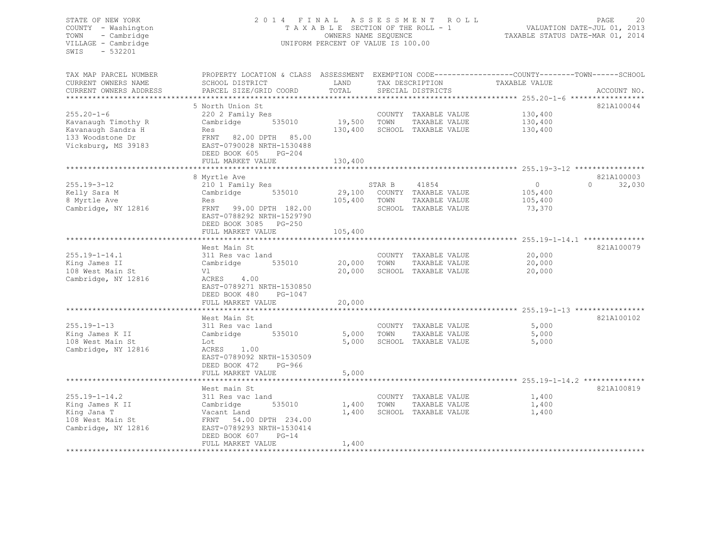#### STATE OF NEW YORK 2 0 1 4 F I N A L A S S E S S M E N T R O L L PAGE 20 COUNTY - Washington T A X A B L E SECTION OF THE ROLL - 1 VALUATION DATE-JUL 01, 2013 TOWN - Cambridge OWNERS NAME SEQUENCE TAXABLE STATUS DATE-MAR 01, 2014 VILLAGE - Cambridge CHARL CONSERVERT OF VALUE IS 100.00

| TAX MAP PARCEL NUMBER     | PROPERTY LOCATION & CLASS ASSESSMENT EXEMPTION CODE----------------COUNTY-------TOWN------SCHOOL |         |        |                      |               |         |                                                                   |
|---------------------------|--------------------------------------------------------------------------------------------------|---------|--------|----------------------|---------------|---------|-------------------------------------------------------------------|
| CURRENT OWNERS NAME       | SCHOOL DISTRICT                                                                                  | LAND    |        | TAX DESCRIPTION      | TAXABLE VALUE |         |                                                                   |
| CURRENT OWNERS ADDRESS    | PARCEL SIZE/GRID COORD                                                                           | TOTAL   |        | SPECIAL DISTRICTS    |               |         | ACCOUNT NO.                                                       |
| ************************* |                                                                                                  |         |        |                      |               |         |                                                                   |
|                           | 5 North Union St                                                                                 |         |        |                      |               |         | 821A100044                                                        |
| $255.20 - 1 - 6$          | 220 2 Family Res                                                                                 |         |        | COUNTY TAXABLE VALUE |               | 130,400 |                                                                   |
| Kavanaugh Timothy R       | Cambridge<br>535010                                                                              | 19,500  | TOWN   | TAXABLE VALUE        |               | 130,400 |                                                                   |
| Kavanaugh Sandra H        | Res                                                                                              | 130,400 |        | SCHOOL TAXABLE VALUE |               | 130,400 |                                                                   |
| 133 Woodstone Dr          | FRNT 82.00 DPTH 85.00                                                                            |         |        |                      |               |         |                                                                   |
| Vicksburg, MS 39183       | EAST-0790028 NRTH-1530488                                                                        |         |        |                      |               |         |                                                                   |
|                           | DEED BOOK 605<br>$PG-204$                                                                        |         |        |                      |               |         |                                                                   |
|                           | FULL MARKET VALUE                                                                                | 130,400 |        |                      |               |         |                                                                   |
|                           |                                                                                                  |         |        |                      |               |         |                                                                   |
|                           | 8 Myrtle Ave                                                                                     |         |        |                      |               |         | 821A100003                                                        |
| $255.19 - 3 - 12$         | 210 1 Family Res                                                                                 |         | STAR B | 41854                |               | $\circ$ | 32,030<br>$\Omega$                                                |
| Kelly Sara M              | 535010<br>Cambridge                                                                              | 29,100  |        | COUNTY TAXABLE VALUE |               | 105,400 |                                                                   |
| 8 Myrtle Ave              | Res                                                                                              | 105,400 | TOWN   | TAXABLE VALUE        |               | 105,400 |                                                                   |
| Cambridge, NY 12816       | FRNT 99.00 DPTH 182.00                                                                           |         |        | SCHOOL TAXABLE VALUE |               | 73,370  |                                                                   |
|                           | EAST-0788292 NRTH-1529790                                                                        |         |        |                      |               |         |                                                                   |
|                           | DEED BOOK 3085 PG-250                                                                            |         |        |                      |               |         |                                                                   |
|                           | FULL MARKET VALUE                                                                                | 105,400 |        |                      |               |         |                                                                   |
|                           |                                                                                                  |         |        |                      |               |         |                                                                   |
|                           | West Main St                                                                                     |         |        |                      |               |         | 821A100079                                                        |
| $255.19 - 1 - 14.1$       | 311 Res vac land                                                                                 |         |        | COUNTY TAXABLE VALUE |               | 20,000  |                                                                   |
| King James II             | 535010<br>Cambridge                                                                              | 20,000  | TOWN   | TAXABLE VALUE        |               | 20,000  |                                                                   |
| 108 West Main St          | Vl                                                                                               | 20,000  |        | SCHOOL TAXABLE VALUE |               | 20,000  |                                                                   |
| Cambridge, NY 12816       | ACRES<br>4.00                                                                                    |         |        |                      |               |         |                                                                   |
|                           | EAST-0789271 NRTH-1530850                                                                        |         |        |                      |               |         |                                                                   |
|                           | DEED BOOK 480<br>PG-1047                                                                         |         |        |                      |               |         |                                                                   |
|                           | FULL MARKET VALUE                                                                                | 20,000  |        |                      |               |         |                                                                   |
|                           |                                                                                                  |         |        |                      |               |         |                                                                   |
|                           | West Main St                                                                                     |         |        |                      |               |         | 821A100102                                                        |
| $255.19 - 1 - 13$         | 311 Res vac land                                                                                 |         |        | COUNTY TAXABLE VALUE |               | 5,000   |                                                                   |
| King James K II           | 535010<br>Cambridge                                                                              | 5,000   | TOWN   | TAXABLE VALUE        |               | 5,000   |                                                                   |
| 108 West Main St          | Lot                                                                                              | 5,000   |        | SCHOOL TAXABLE VALUE |               | 5,000   |                                                                   |
| Cambridge, NY 12816       | ACRES 1.00                                                                                       |         |        |                      |               |         |                                                                   |
|                           | EAST-0789092 NRTH-1530509                                                                        |         |        |                      |               |         |                                                                   |
|                           | DEED BOOK 472<br>PG-966                                                                          |         |        |                      |               |         |                                                                   |
|                           | FULL MARKET VALUE                                                                                | 5,000   |        |                      |               |         |                                                                   |
|                           | ****************************                                                                     |         |        |                      |               |         | ************************************255.19-1-14.2 *************** |
|                           | West main St                                                                                     |         |        |                      |               |         | 821A100819                                                        |
| $255.19 - 1 - 14.2$       | 311 Res vac land                                                                                 |         |        | COUNTY TAXABLE VALUE |               | 1,400   |                                                                   |
| King James K II           | Cambridge<br>535010                                                                              | 1,400   | TOWN   | TAXABLE VALUE        |               | 1,400   |                                                                   |
| King Jana T               | Vacant Land                                                                                      | 1,400   |        | SCHOOL TAXABLE VALUE |               | 1,400   |                                                                   |
| 108 West Main St          | FRNT 54.00 DPTH 234.00                                                                           |         |        |                      |               |         |                                                                   |
| Cambridge, NY 12816       | EAST-0789293 NRTH-1530414                                                                        |         |        |                      |               |         |                                                                   |
|                           | DEED BOOK 607<br>$PG-14$                                                                         |         |        |                      |               |         |                                                                   |
|                           | FULL MARKET VALUE                                                                                | 1,400   |        |                      |               |         |                                                                   |
|                           |                                                                                                  |         |        |                      |               |         |                                                                   |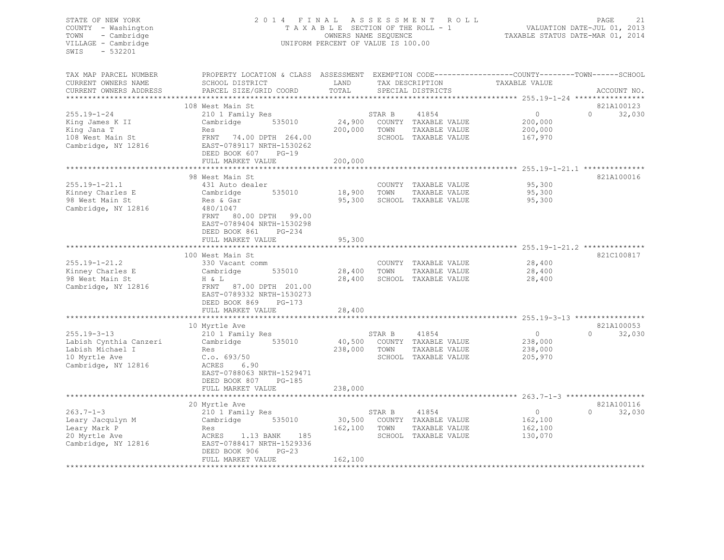#### STATE OF NEW YORK 2 0 1 4 F I N A L A S S E S S M E N T R O L L PAGE 21 COUNTY - Washington T A X A B L E SECTION OF THE ROLL - 1 VALUATION DATE-JUL 01, 2013 TOWN - Cambridge OWNERS NAME SEQUENCE TAXABLE STATUS DATE-MAR 01, 2014 VILLAGE - Cambridge **UNIFORM PERCENT OF VALUE IS 100.00**

| TAX MAP PARCEL NUMBER<br>CURRENT OWNERS NAME                                                            | PROPERTY LOCATION & CLASS ASSESSMENT<br>SCHOOL DISTRICT                                                                                                                  | LAND                         |                          | TAX DESCRIPTION                                                        | EXEMPTION CODE-----------------COUNTY-------TOWN------SCHOOL<br>TAXABLE VALUE |                                  |
|---------------------------------------------------------------------------------------------------------|--------------------------------------------------------------------------------------------------------------------------------------------------------------------------|------------------------------|--------------------------|------------------------------------------------------------------------|-------------------------------------------------------------------------------|----------------------------------|
| CURRENT OWNERS ADDRESS                                                                                  | PARCEL SIZE/GRID COORD                                                                                                                                                   | TOTAL                        |                          | SPECIAL DISTRICTS                                                      |                                                                               | ACCOUNT NO.                      |
|                                                                                                         |                                                                                                                                                                          |                              |                          |                                                                        |                                                                               |                                  |
| $255.19 - 1 - 24$<br>King James K II<br>King Jana T<br>108 West Main St<br>Cambridge, NY 12816          | 108 West Main St<br>210 1 Family Res<br>Cambridge<br>535010<br>Res<br>FRNT<br>74.00 DPTH 264.00<br>EAST-0789117 NRTH-1530262<br>DEED BOOK 607<br>$PG-19$                 | 24,900<br>200,000            | STAR B<br>TOWN           | 41854<br>COUNTY TAXABLE VALUE<br>TAXABLE VALUE<br>SCHOOL TAXABLE VALUE | $\Omega$<br>200,000<br>200,000<br>167,970                                     | 821A100123<br>$\Omega$<br>32,030 |
|                                                                                                         | FULL MARKET VALUE                                                                                                                                                        | 200,000                      |                          |                                                                        |                                                                               |                                  |
|                                                                                                         | ************************                                                                                                                                                 |                              |                          |                                                                        |                                                                               |                                  |
| $255.19 - 1 - 21.1$<br>Kinney Charles E<br>98 West Main St<br>Cambridge, NY 12816                       | 98 West Main St<br>431 Auto dealer<br>Cambridge<br>535010<br>Res & Gar<br>480/1047<br>FRNT<br>80.00 DPTH 99.00<br>EAST-0789404 NRTH-1530298<br>DEED BOOK 861<br>$PG-234$ | 18,900<br>95,300             | TOWN                     | COUNTY TAXABLE VALUE<br>TAXABLE VALUE<br>SCHOOL TAXABLE VALUE          | 95,300<br>95,300<br>95,300                                                    | 821A100016                       |
|                                                                                                         | FULL MARKET VALUE<br>*************************                                                                                                                           | 95,300                       |                          |                                                                        | *********************** 255.19-1-21.2 **************                          |                                  |
|                                                                                                         | 100 West Main St                                                                                                                                                         |                              |                          |                                                                        |                                                                               | 821C100817                       |
| $255.19 - 1 - 21.2$<br>Kinney Charles E<br>98 West Main St<br>Cambridge, NY 12816                       | 330 Vacant comm<br>Cambridge<br>535010<br>H & L<br>FRNT<br>87.00 DPTH 201.00<br>EAST-0789332 NRTH-1530273<br>DEED BOOK 869<br>$PG-173$                                   | 28,400<br>28,400             | TOWN                     | COUNTY TAXABLE VALUE<br>TAXABLE VALUE<br>SCHOOL TAXABLE VALUE          | 28,400<br>28,400<br>28,400                                                    |                                  |
|                                                                                                         | FULL MARKET VALUE                                                                                                                                                        | 28,400                       |                          |                                                                        |                                                                               |                                  |
|                                                                                                         | **********************                                                                                                                                                   |                              |                          |                                                                        |                                                                               |                                  |
|                                                                                                         | 10 Myrtle Ave                                                                                                                                                            |                              |                          |                                                                        |                                                                               | 821A100053                       |
| $255.19 - 3 - 13$<br>Labish Cynthia Canzeri<br>Labish Michael I<br>10 Myrtle Ave<br>Cambridge, NY 12816 | 210 1 Family Res<br>535010<br>Cambridge<br>Res<br>C.0.693/50<br>ACRES<br>6.90<br>EAST-0788063 NRTH-1529471<br>DEED BOOK 807<br>$PG-185$                                  | 40,500<br>238,000            | STAR B<br>COUNTY<br>TOWN | 41854<br>TAXABLE VALUE<br>TAXABLE VALUE<br>SCHOOL TAXABLE VALUE        | $\circ$<br>238,000<br>238,000<br>205,970                                      | $\Omega$<br>32,030               |
|                                                                                                         | FULL MARKET VALUE                                                                                                                                                        | 238,000                      |                          |                                                                        |                                                                               |                                  |
|                                                                                                         | 20 Myrtle Ave                                                                                                                                                            |                              |                          |                                                                        |                                                                               | 821A100116                       |
| $263.7 - 1 - 3$<br>Leary Jacqulyn M<br>Leary Mark P<br>20 Myrtle Ave<br>Cambridge, NY 12816             | 210 1 Family Res<br>Cambridge<br>535010<br>Res<br>185<br>ACRES<br>1.13 BANK<br>EAST-0788417 NRTH-1529336<br>DEED BOOK 906<br>$PG-23$<br>FULL MARKET VALUE                | 30,500<br>162,100<br>162,100 | STAR B<br>TOWN           | 41854<br>COUNTY TAXABLE VALUE<br>TAXABLE VALUE<br>SCHOOL TAXABLE VALUE | $\circ$<br>162,100<br>162,100<br>130,070                                      | 32,030<br>$\Omega$               |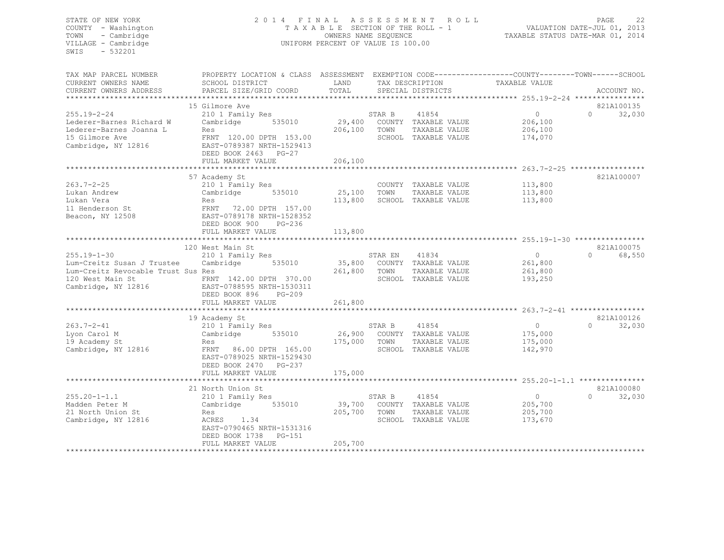#### STATE OF NEW YORK 2 0 1 4 F I N A L A S S E S S M E N T R O L L PAGE 22 COUNTY - Washington T A X A B L E SECTION OF THE ROLL - 1 VALUATION DATE-JUL 01, 2013 TOWN - Cambridge OWNERS NAME SEQUENCE TAXABLE STATUS DATE-MAR 01, 2014 VILLAGE - Cambridge **UNIFORM PERCENT OF VALUE IS 100.00**

| TAX MAP PARCEL NUMBER<br>CURRENT OWNERS NAME | PROPERTY LOCATION & CLASS ASSESSMENT<br>SCHOOL DISTRICT | LAND              |         | TAX DESCRIPTION                       | EXEMPTION CODE-----------------COUNTY-------TOWN------SCHOOL<br>TAXABLE VALUE |          |             |
|----------------------------------------------|---------------------------------------------------------|-------------------|---------|---------------------------------------|-------------------------------------------------------------------------------|----------|-------------|
| CURRENT OWNERS ADDRESS                       | PARCEL SIZE/GRID COORD                                  | TOTAL             |         | SPECIAL DISTRICTS                     |                                                                               |          | ACCOUNT NO. |
|                                              |                                                         |                   |         |                                       |                                                                               |          |             |
|                                              | 15 Gilmore Ave                                          |                   |         |                                       |                                                                               |          | 821A100135  |
| $255.19 - 2 - 24$                            | 210 1 Family Res                                        |                   | STAR B  | 41854                                 | $\circ$                                                                       | $\Omega$ | 32,030      |
| Lederer-Barnes Richard W                     | Cambridge<br>535010                                     |                   |         | 29,400 COUNTY TAXABLE VALUE           | 206,100                                                                       |          |             |
| Lederer-Barnes Joanna L                      | Res                                                     | 206,100           | TOWN    | TAXABLE VALUE                         | 206,100                                                                       |          |             |
| 15 Gilmore Ave                               | FRNT 120.00 DPTH 153.00                                 |                   |         | SCHOOL TAXABLE VALUE                  | 174,070                                                                       |          |             |
| Cambridge, NY 12816                          | EAST-0789387 NRTH-1529413                               |                   |         |                                       |                                                                               |          |             |
|                                              | DEED BOOK 2463 PG-27                                    |                   |         |                                       |                                                                               |          |             |
|                                              | FULL MARKET VALUE                                       | 206,100           |         |                                       |                                                                               |          |             |
|                                              | **********************                                  | ***********       |         |                                       |                                                                               |          |             |
|                                              | 57 Academy St                                           |                   |         |                                       |                                                                               |          | 821A100007  |
| $263.7 - 2 - 25$                             | 210 1 Family Res<br>Cambridge<br>535010                 | 25,100            | TOWN    | COUNTY TAXABLE VALUE                  | 113,800                                                                       |          |             |
| Lukan Andrew<br>Lukan Vera                   | Res                                                     | 113,800           |         | TAXABLE VALUE<br>SCHOOL TAXABLE VALUE | 113,800<br>113,800                                                            |          |             |
| 11 Henderson St                              | FRNT 72.00 DPTH 157.00                                  |                   |         |                                       |                                                                               |          |             |
| Beacon, NY 12508                             | EAST-0789178 NRTH-1528352                               |                   |         |                                       |                                                                               |          |             |
|                                              | DEED BOOK 900<br>$PG-236$                               |                   |         |                                       |                                                                               |          |             |
|                                              | FULL MARKET VALUE                                       | 113,800           |         |                                       |                                                                               |          |             |
|                                              |                                                         |                   |         |                                       |                                                                               |          |             |
|                                              | 120 West Main St                                        |                   |         |                                       |                                                                               |          | 821A100075  |
| $255.19 - 1 - 30$                            | 210 1 Family Res                                        |                   | STAR EN | 41834                                 | $\Omega$                                                                      | $\Omega$ | 68,550      |
| Lum-Creitz Susan J Trustee                   | 535010<br>Cambridge                                     | 35,800            |         | COUNTY TAXABLE VALUE                  | 261,800                                                                       |          |             |
| Lum-Creitz Revocable Trust Sus Res           |                                                         | 261,800           | TOWN    | TAXABLE VALUE                         | 261,800                                                                       |          |             |
| 120 West Main St                             | FRNT 142.00 DPTH 370.00                                 |                   |         | SCHOOL TAXABLE VALUE                  | 193,250                                                                       |          |             |
| Cambridge, NY 12816                          | EAST-0788595 NRTH-1530311                               |                   |         |                                       |                                                                               |          |             |
|                                              | DEED BOOK 896<br>$PG-209$                               |                   |         |                                       |                                                                               |          |             |
|                                              | FULL MARKET VALUE                                       | 261,800           |         |                                       |                                                                               |          |             |
|                                              |                                                         |                   |         |                                       |                                                                               |          |             |
|                                              | 19 Academy St                                           |                   |         |                                       |                                                                               | $\Omega$ | 821A100126  |
| $263.7 - 2 - 41$                             | 210 1 Family Res                                        |                   | STAR B  | 41854                                 | $\circ$                                                                       |          | 32,030      |
| Lyon Carol M<br>19 Academy St                | Cambridge<br>535010                                     | 26,900<br>175,000 | TOWN    | COUNTY TAXABLE VALUE<br>TAXABLE VALUE | 175,000<br>175,000                                                            |          |             |
| Cambridge, NY 12816                          | Res<br>FRNT 86.00 DPTH 165.00                           |                   |         | SCHOOL TAXABLE VALUE                  | 142,970                                                                       |          |             |
|                                              | EAST-0789025 NRTH-1529430                               |                   |         |                                       |                                                                               |          |             |
|                                              | DEED BOOK 2470<br>PG-237                                |                   |         |                                       |                                                                               |          |             |
|                                              | FULL MARKET VALUE                                       | 175,000           |         |                                       |                                                                               |          |             |
|                                              |                                                         |                   |         |                                       |                                                                               |          |             |
|                                              | 21 North Union St                                       |                   |         |                                       |                                                                               |          | 821A100080  |
| $255.20 - 1 - 1.1$                           | 210 1 Family Res                                        |                   | STAR B  | 41854                                 | $\circ$                                                                       | $\cap$   | 32,030      |
| Madden Peter M                               | 535010<br>Cambridge                                     | 39,700            |         | COUNTY TAXABLE VALUE                  | 205,700                                                                       |          |             |
| 21 North Union St                            | Res                                                     | 205,700           | TOWN    | TAXABLE VALUE                         | 205,700                                                                       |          |             |
| Cambridge, NY 12816                          | ACRES 1.34                                              |                   |         | SCHOOL TAXABLE VALUE                  | 173,670                                                                       |          |             |
|                                              | EAST-0790465 NRTH-1531316                               |                   |         |                                       |                                                                               |          |             |
|                                              | DEED BOOK 1738<br>PG-151                                |                   |         |                                       |                                                                               |          |             |
|                                              | FULL MARKET VALUE                                       | 205,700           |         |                                       |                                                                               |          |             |
|                                              |                                                         |                   |         |                                       |                                                                               |          |             |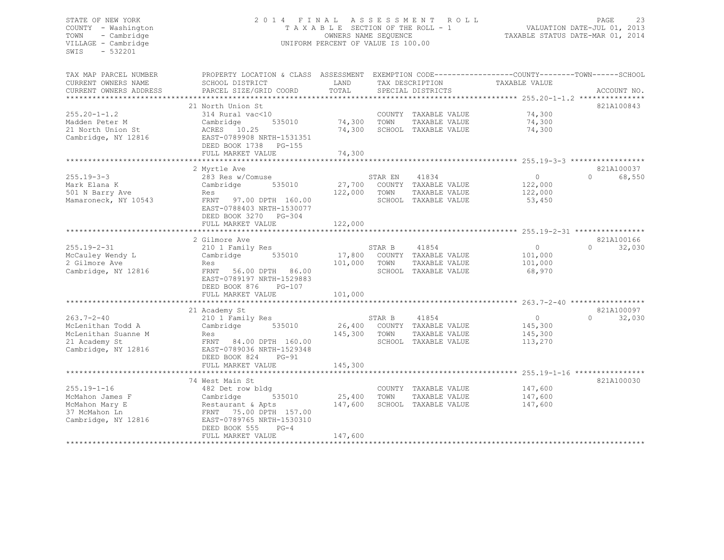#### STATE OF NEW YORK 2 0 1 4 F I N A L A S S E S S M E N T R O L L PAGE 23 COUNTY - Washington T A X A B L E SECTION OF THE ROLL - 1 VALUATION DATE-JUL 01, 2013 TOWN - Cambridge OWNERS NAME SEQUENCE TAXABLE STATUS DATE-MAR 01, 2014 VILLAGE - Cambridge **UNIFORM PERCENT OF VALUE IS 100.00**

| TAX MAP PARCEL NUMBER<br>CURRENT OWNERS NAME<br>CURRENT OWNERS ADDRESS | PROPERTY LOCATION & CLASS ASSESSMENT<br>SCHOOL DISTRICT<br>PARCEL SIZE/GRID COORD | LAND<br>TOTAL |         | TAX DESCRIPTION<br>SPECIAL DISTRICTS | EXEMPTION CODE-----------------COUNTY-------TOWN------SCHOOL<br>TAXABLE VALUE | ACCOUNT NO.        |
|------------------------------------------------------------------------|-----------------------------------------------------------------------------------|---------------|---------|--------------------------------------|-------------------------------------------------------------------------------|--------------------|
| **********************                                                 |                                                                                   |               |         |                                      |                                                                               |                    |
|                                                                        | 21 North Union St                                                                 |               |         |                                      |                                                                               | 821A100843         |
| $255.20 - 1 - 1.2$                                                     | 314 Rural vac<10                                                                  |               |         | COUNTY TAXABLE VALUE                 | 74,300                                                                        |                    |
| Madden Peter M                                                         | Cambridge<br>535010                                                               | 74,300        | TOWN    | TAXABLE VALUE                        | 74,300                                                                        |                    |
| 21 North Union St                                                      | ACRES 10.25                                                                       | 74,300        |         | SCHOOL TAXABLE VALUE                 | 74,300                                                                        |                    |
| Cambridge, NY 12816                                                    | EAST-0789908 NRTH-1531351<br>DEED BOOK 1738<br>PG-155                             |               |         |                                      |                                                                               |                    |
|                                                                        | FULL MARKET VALUE                                                                 | 74,300        |         |                                      |                                                                               |                    |
|                                                                        |                                                                                   |               |         |                                      |                                                                               |                    |
|                                                                        | 2 Myrtle Ave                                                                      |               |         |                                      |                                                                               | 821A100037         |
| $255.19 - 3 - 3$                                                       | 283 Res w/Comuse                                                                  |               | STAR EN | 41834                                | $\Omega$                                                                      | 68,550<br>$\Omega$ |
| Mark Elana K                                                           | Cambridge<br>535010                                                               | 27,700        |         | COUNTY TAXABLE VALUE                 | 122,000                                                                       |                    |
| 501 N Barry Ave                                                        | Res                                                                               | 122,000       | TOWN    | TAXABLE VALUE                        | 122,000                                                                       |                    |
| Mamaroneck, NY 10543                                                   | FRNT<br>97.00 DPTH 160.00                                                         |               |         | SCHOOL TAXABLE VALUE                 | 53,450                                                                        |                    |
|                                                                        | EAST-0788403 NRTH-1530077                                                         |               |         |                                      |                                                                               |                    |
|                                                                        | DEED BOOK 3270 PG-304                                                             |               |         |                                      |                                                                               |                    |
|                                                                        | FULL MARKET VALUE                                                                 | 122,000       |         |                                      |                                                                               |                    |
|                                                                        |                                                                                   |               |         |                                      |                                                                               |                    |
|                                                                        | 2 Gilmore Ave                                                                     |               |         |                                      |                                                                               | 821A100166         |
| $255.19 - 2 - 31$                                                      | 210 1 Family Res                                                                  |               | STAR B  | 41854                                | $\Omega$                                                                      | $\Omega$<br>32,030 |
| McCauley Wendy L                                                       | 535010<br>Cambridge                                                               | 17,800        |         | COUNTY TAXABLE VALUE                 | 101,000                                                                       |                    |
| 2 Gilmore Ave                                                          | Res                                                                               | 101,000       | TOWN    | TAXABLE VALUE                        | 101,000                                                                       |                    |
| Cambridge, NY 12816                                                    | FRNT<br>56.00 DPTH<br>86.00                                                       |               |         | SCHOOL TAXABLE VALUE                 | 68,970                                                                        |                    |
|                                                                        | EAST-0789197 NRTH-1529883                                                         |               |         |                                      |                                                                               |                    |
|                                                                        | DEED BOOK 876<br>$PG-107$                                                         |               |         |                                      |                                                                               |                    |
|                                                                        | FULL MARKET VALUE                                                                 | 101,000       |         |                                      |                                                                               |                    |
|                                                                        |                                                                                   |               |         |                                      |                                                                               |                    |
|                                                                        | 21 Academy St                                                                     |               |         |                                      |                                                                               | 821A100097         |
| $263.7 - 2 - 40$                                                       | 210 1 Family Res                                                                  |               | STAR B  | 41854                                | $\circ$                                                                       | 32,030<br>$\Omega$ |
| McLenithan Todd A                                                      | Cambridge<br>535010                                                               | 26,400        | COUNTY  | TAXABLE VALUE                        | 145,300                                                                       |                    |
| McLenithan Suanne M                                                    | Res                                                                               | 145,300       | TOWN    | TAXABLE VALUE                        | 145,300                                                                       |                    |
| 21 Academy St                                                          | FRNT<br>84.00 DPTH 160.00                                                         |               |         | SCHOOL TAXABLE VALUE                 | 113,270                                                                       |                    |
| Cambridge, NY 12816                                                    | EAST-0789036 NRTH-1529348                                                         |               |         |                                      |                                                                               |                    |
|                                                                        | DEED BOOK 824<br>$PG-91$                                                          |               |         |                                      |                                                                               |                    |
|                                                                        | FULL MARKET VALUE                                                                 | 145,300       |         |                                      |                                                                               |                    |
|                                                                        |                                                                                   |               |         |                                      |                                                                               |                    |
|                                                                        | 74 West Main St                                                                   |               |         |                                      |                                                                               | 821A100030         |
| $255.19 - 1 - 16$                                                      | 482 Det row bldg                                                                  |               |         | COUNTY TAXABLE VALUE                 | 147,600                                                                       |                    |
| McMahon James F                                                        | Cambridge<br>535010                                                               | 25,400        | TOWN    | TAXABLE VALUE                        | 147,600                                                                       |                    |
| McMahon Mary E                                                         | Restaurant & Apts                                                                 | 147,600       |         | SCHOOL TAXABLE VALUE                 | 147,600                                                                       |                    |
| 37 McMahon Ln                                                          | 75.00 DPTH 157.00<br>FRNT                                                         |               |         |                                      |                                                                               |                    |
| Cambridge, NY 12816                                                    | EAST-0789765 NRTH-1530310                                                         |               |         |                                      |                                                                               |                    |
|                                                                        | $PG-4$                                                                            |               |         |                                      |                                                                               |                    |
|                                                                        | DEED BOOK 555                                                                     |               |         |                                      |                                                                               |                    |
|                                                                        | FULL MARKET VALUE                                                                 | 147,600       |         |                                      |                                                                               |                    |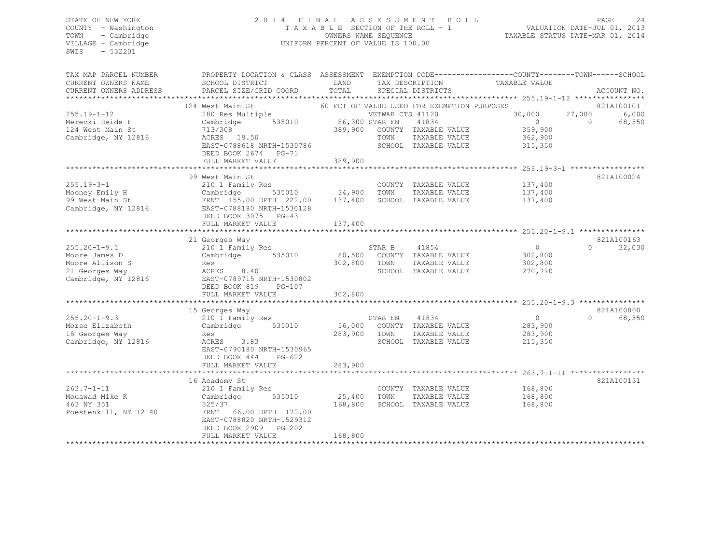#### STATE OF NEW YORK 2 0 1 4 F I N A L A S S E S S M E N T R O L L PAGE 24 COUNTY - Washington T A X A B L E SECTION OF THE ROLL - 1 VALUATION DATE-JUL 01, 2013 TOWN - Cambridge OWNERS NAME SEQUENCE TAXABLE STATUS DATE-MAR 01, 2014 VILLAGE - Cambridge **UNIFORM PERCENT OF VALUE IS 100.00**

| TAX MAP PARCEL NUMBER                           | PROPERTY LOCATION & CLASS ASSESSMENT EXEMPTION CODE----------------COUNTY-------TOWN------SCHOOL | LAND           |                  | TAX DESCRIPTION                             | TAXABLE VALUE |          |             |
|-------------------------------------------------|--------------------------------------------------------------------------------------------------|----------------|------------------|---------------------------------------------|---------------|----------|-------------|
| CURRENT OWNERS NAME                             | SCHOOL DISTRICT                                                                                  |                |                  |                                             |               |          |             |
| CURRENT OWNERS ADDRESS<br>********************* | PARCEL SIZE/GRID COORD                                                                           | TOTAL          |                  | SPECIAL DISTRICTS                           |               |          | ACCOUNT NO. |
|                                                 |                                                                                                  |                |                  |                                             |               |          |             |
|                                                 | 124 West Main St                                                                                 |                |                  | 60 PCT OF VALUE USED FOR EXEMPTION PURPOSES |               |          | 821A100101  |
| $255.19 - 1 - 12$                               | 280 Res Multiple                                                                                 |                | VETWAR CTS 41120 |                                             | 30,000        | 27,000   | 6,000       |
| Merecki Heide F                                 | Cambridge<br>535010                                                                              | 86,300 STAR EN |                  | 41834                                       | $\circ$       | $\circ$  | 68,550      |
| 124 West Main St                                | 713/308                                                                                          | 389,900        |                  | COUNTY TAXABLE VALUE                        | 359,900       |          |             |
| Cambridge, NY 12816                             | ACRES 19.50                                                                                      |                | TOWN             | TAXABLE VALUE                               | 362,900       |          |             |
|                                                 | EAST-0788618 NRTH-1530786                                                                        |                |                  | SCHOOL TAXABLE VALUE                        | 315,350       |          |             |
|                                                 | DEED BOOK 2674 PG-71                                                                             |                |                  |                                             |               |          |             |
|                                                 | FULL MARKET VALUE                                                                                | 389,900        |                  |                                             |               |          |             |
|                                                 |                                                                                                  |                |                  |                                             |               |          |             |
|                                                 | 99 West Main St                                                                                  |                |                  |                                             |               |          | 821A100024  |
| $255.19 - 3 - 1$                                | 210 1 Family Res                                                                                 |                |                  | COUNTY TAXABLE VALUE                        | 137,400       |          |             |
| Mooney Emily H                                  | Cambridge<br>535010                                                                              | 34,900         | TOWN             | TAXABLE VALUE                               | 137,400       |          |             |
| 99 West Main St                                 | FRNT 155.00 DPTH 222.00                                                                          | 137,400        |                  | SCHOOL TAXABLE VALUE                        | 137,400       |          |             |
| Cambridge, NY 12816                             | EAST-0788180 NRTH-1530128                                                                        |                |                  |                                             |               |          |             |
|                                                 | DEED BOOK 3075 PG-43                                                                             |                |                  |                                             |               |          |             |
|                                                 | FULL MARKET VALUE                                                                                | 137,400        |                  |                                             |               |          |             |
|                                                 | ****************************                                                                     |                |                  |                                             |               |          |             |
|                                                 | 21 Georges Way                                                                                   |                |                  |                                             |               |          | 821A100163  |
| $255.20 - 1 - 9.1$                              | 210 1 Family Res                                                                                 |                | STAR B           | 41854                                       | $\circ$       | $\Omega$ | 32,030      |
| Moore James D                                   | 535010<br>Cambridge                                                                              | 80,500         |                  | COUNTY TAXABLE VALUE                        | 302,800       |          |             |
| Moore Allison S                                 | Res                                                                                              | 302,800        | TOWN             | TAXABLE VALUE                               | 302,800       |          |             |
| 21 Georges Way                                  | ACRES<br>8.40                                                                                    |                |                  | SCHOOL TAXABLE VALUE                        | 270,770       |          |             |
| Cambridge, NY 12816                             | EAST-0789715 NRTH-1530802                                                                        |                |                  |                                             |               |          |             |
|                                                 | PG-107                                                                                           |                |                  |                                             |               |          |             |
|                                                 | DEED BOOK 819                                                                                    |                |                  |                                             |               |          |             |
|                                                 | FULL MARKET VALUE                                                                                | 302,800        |                  |                                             |               |          |             |
|                                                 |                                                                                                  |                |                  |                                             |               |          |             |
|                                                 | 15 Georges Way                                                                                   |                |                  |                                             |               |          | 821A100800  |
| $255.20 - 1 - 9.3$                              | 210 1 Family Res                                                                                 |                | STAR EN          | 41834                                       | $\circ$       | $\Omega$ | 68,550      |
| Morse Elizabeth                                 | 535010<br>Cambridge                                                                              | 56,000         |                  | COUNTY TAXABLE VALUE                        | 283,900       |          |             |
| 15 Georges Way                                  | Res                                                                                              | 283,900        | TOWN             | TAXABLE VALUE                               | 283,900       |          |             |
| Cambridge, NY 12816                             | ACRES<br>3.83                                                                                    |                |                  | SCHOOL TAXABLE VALUE                        | 215,350       |          |             |
|                                                 | EAST-0790180 NRTH-1530965                                                                        |                |                  |                                             |               |          |             |
|                                                 | DEED BOOK 444<br>PG-622                                                                          |                |                  |                                             |               |          |             |
|                                                 | FULL MARKET VALUE                                                                                | 283,900        |                  |                                             |               |          |             |
|                                                 |                                                                                                  |                |                  |                                             |               |          |             |
|                                                 | 16 Academy St                                                                                    |                |                  |                                             |               |          | 821A100131  |
| $263.7 - 1 - 11$                                | 210 1 Family Res                                                                                 |                |                  | COUNTY TAXABLE VALUE                        | 168,800       |          |             |
| Mouawad Mike K                                  | Cambridge<br>535010                                                                              | 25,400         | TOWN             | TAXABLE VALUE                               | 168,800       |          |             |
| 463 NY 351                                      | 525/37                                                                                           | 168,800        |                  | SCHOOL TAXABLE VALUE                        | 168,800       |          |             |
| Poestenkill, NY 12140                           | FRNT 66.00 DPTH 172.00                                                                           |                |                  |                                             |               |          |             |
|                                                 | EAST-0788820 NRTH-1529312                                                                        |                |                  |                                             |               |          |             |
|                                                 | DEED BOOK 2909<br>$PG-202$                                                                       |                |                  |                                             |               |          |             |
|                                                 | FULL MARKET VALUE                                                                                | 168,800        |                  |                                             |               |          |             |
|                                                 |                                                                                                  |                |                  |                                             |               |          |             |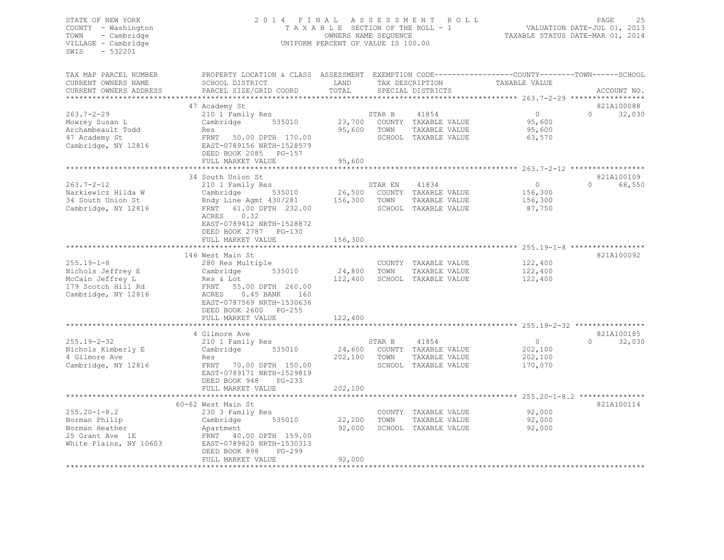#### STATE OF NEW YORK 2 0 1 4 F I N A L A S S E S S M E N T R O L L PAGE 25 COUNTY - Washington T A X A B L E SECTION OF THE ROLL - 1 VALUATION DATE-JUL 01, 2013 TOWN - Cambridge OWNERS NAME SEQUENCE TAXABLE STATUS DATE-MAR 01, 2014 UNIFORM PERCENT OF VALUE IS 100.00

| TAX MAP PARCEL NUMBER<br>CURRENT OWNERS NAME<br>CURRENT OWNERS ADDRESS                                 | PROPERTY LOCATION & CLASS ASSESSMENT<br>SCHOOL DISTRICT<br>PARCEL SIZE/GRID COORD                                                                                                                          | LAND<br>TOTAL                |                 | TAX DESCRIPTION<br>SPECIAL DISTRICTS                                   | EXEMPTION CODE-----------------COUNTY-------TOWN------SCHOOL<br>TAXABLE VALUE | ACCOUNT NO.                               |
|--------------------------------------------------------------------------------------------------------|------------------------------------------------------------------------------------------------------------------------------------------------------------------------------------------------------------|------------------------------|-----------------|------------------------------------------------------------------------|-------------------------------------------------------------------------------|-------------------------------------------|
| $263.7 - 2 - 29$<br>Mowrey Susan L<br>Archambeault Todd<br>47 Academy St<br>Cambridge, NY 12816        | 47 Academy St<br>210 1 Family Res<br>535010<br>Cambridge<br>Res<br>FRNT 50.00 DPTH 170.00<br>EAST-0789156 NRTH-1528579<br>DEED BOOK 2085 PG-157<br>FULL MARKET VALUE                                       | 23,700<br>95,600<br>95,600   | STAR B<br>TOWN  | 41854<br>COUNTY TAXABLE VALUE<br>TAXABLE VALUE<br>SCHOOL TAXABLE VALUE | $\circ$<br>95,600<br>95,600<br>63,570                                         | *******<br>821A100088<br>$\cap$<br>32,030 |
|                                                                                                        |                                                                                                                                                                                                            | ********************         |                 |                                                                        |                                                                               |                                           |
| $263.7 - 2 - 12$<br>Narkiewicz Hilda W<br>34 South Union St<br>Cambridge, NY 12816                     | 34 South Union St<br>210 1 Family Res<br>535010<br>Cambridge<br>Bndy Line Agmt 430/281<br>61.00 DPTH 232.00<br>FRNT<br>0.32<br>ACRES<br>EAST-0789412 NRTH-1528872                                          | 26,500<br>156,300            | STAR EN<br>TOWN | 41834<br>COUNTY TAXABLE VALUE<br>TAXABLE VALUE<br>SCHOOL TAXABLE VALUE | $\circ$<br>156,300<br>156,300<br>87,750                                       | 821A100109<br>68,550<br>$\cap$            |
|                                                                                                        | DEED BOOK 2787<br>$PG-130$<br>FULL MARKET VALUE                                                                                                                                                            | 156,300                      |                 |                                                                        | ************************ 255.19-1-8 ******************                        |                                           |
| $255.19 - 1 - 8$<br>Nichols Jeffrey E<br>McCain Jeffrey L<br>179 Scotch Hill Rd<br>Cambridge, NY 12816 | 146 West Main St<br>280 Res Multiple<br>535010<br>Cambridge<br>Res & Lot<br>FRNT 55.00 DPTH 260.00<br>ACRES<br>0.45 BANK<br>160<br>EAST-0787569 NRTH-1530636<br>DEED BOOK 2600 PG-255<br>FULL MARKET VALUE | 24,800<br>122,400<br>122,400 | TOWN            | COUNTY TAXABLE VALUE<br>TAXABLE VALUE<br>SCHOOL TAXABLE VALUE          | 122,400<br>122,400<br>122,400                                                 | 821A100092                                |
|                                                                                                        | 4 Gilmore Ave                                                                                                                                                                                              |                              |                 |                                                                        |                                                                               | 821A100185                                |
| $255.19 - 2 - 32$<br>Nichols Kimberly E<br>4 Gilmore Ave<br>Cambridge, NY 12816                        | 210 1 Family Res<br>Cambridge<br>535010<br>Res<br>FRNT<br>70.00 DPTH 150.00<br>EAST-0789171 NRTH-1529819<br>DEED BOOK 948<br>$PG-233$                                                                      | 24,600<br>202,100            | STAR B<br>TOWN  | 41854<br>COUNTY TAXABLE VALUE<br>TAXABLE VALUE<br>SCHOOL TAXABLE VALUE | $\circ$<br>202,100<br>202,100<br>170,070                                      | $\Omega$<br>32,030                        |
|                                                                                                        | FULL MARKET VALUE                                                                                                                                                                                          | 202,100                      |                 |                                                                        | ************************ 255.20-1-8.2 ***************                         |                                           |
| $255.20 - 1 - 8.2$<br>Norman Philip<br>Norman Heather<br>25 Grant Ave 1E<br>White Plains, NY 10603     | 60-62 West Main St<br>230 3 Family Res<br>535010<br>Cambridge<br>Apartment<br>FRNT 40.00 DPTH 159.00<br>EAST-0789820 NRTH-1530313<br>DEED BOOK 898<br>PG-299                                               | 22,200<br>92,000             | TOWN            | COUNTY TAXABLE VALUE<br>TAXABLE VALUE<br>SCHOOL TAXABLE VALUE          | 92,000<br>92,000<br>92,000                                                    | 821A100114                                |
|                                                                                                        | FULL MARKET VALUE                                                                                                                                                                                          | 92,000                       |                 |                                                                        |                                                                               |                                           |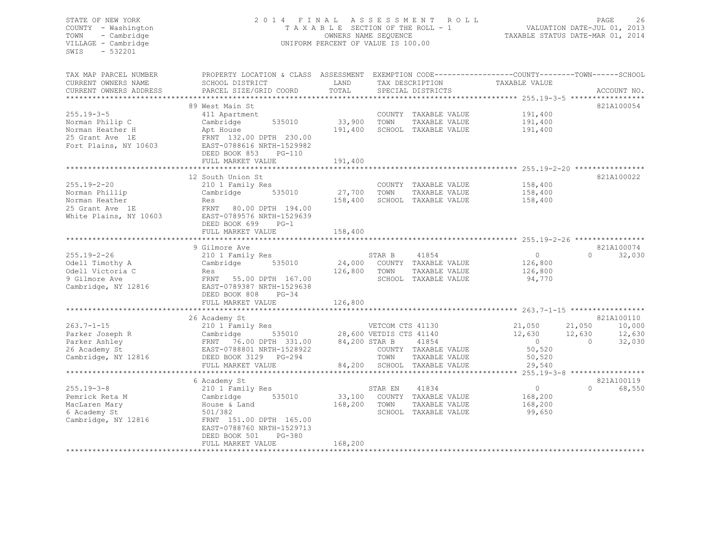#### STATE OF NEW YORK 2 0 1 4 F I N A L A S S E S S M E N T R O L L PAGE 26 COUNTY - Washington T A X A B L E SECTION OF THE ROLL - 1 VALUATION DATE-JUL 01, 2013 TOWN - Cambridge OWNERS NAME SEQUENCE TAXABLE STATUS DATE-MAR 01, 2014 UNIFORM PERCENT OF VALUE IS 100.00

| TAX DESCRIPTION<br>TOTAL<br>CURRENT OWNERS ADDRESS<br>PARCEL SIZE/GRID COORD<br>SPECIAL DISTRICTS<br>ACCOUNT NO.<br>89 West Main St<br>821A100054<br>$255.19 - 3 - 5$<br>411 Apartment<br>COUNTY TAXABLE VALUE<br>191,400<br>33,900<br>535010<br>TOWN<br>191,400<br>Norman Philip C<br>Cambridge<br>TAXABLE VALUE<br>Norman Heather H<br>191,400<br>SCHOOL TAXABLE VALUE<br>191,400<br>Apt House<br>25 Grant Ave 1E<br>FRNT 132.00 DPTH 230.00<br>Fort Plains, NY 10603<br>EAST-0788616 NRTH-1529982<br>DEED BOOK 853<br>$PG-110$<br>191,400<br>FULL MARKET VALUE<br>12 South Union St<br>821A100022<br>$255.19 - 2 - 20$<br>158,400<br>210 1 Family Res<br>COUNTY TAXABLE VALUE<br>535010<br>27,700<br>TOWN<br>Norman Phillip<br>TAXABLE VALUE<br>158,400<br>Cambridge<br>Norman Heather<br>158,400<br>SCHOOL TAXABLE VALUE<br>158,400<br>Res<br>25 Grant Ave 1E<br>FRNT 80.00 DPTH 194.00<br>White Plains, NY 10603<br>EAST-0789576 NRTH-1529639<br>DEED BOOK 699<br>$PG-1$<br>FULL MARKET VALUE<br>158,400<br>821A100074<br>9 Gilmore Ave<br>$255.19 - 2 - 26$<br>$\circ$<br>32,030<br>210 1 Family Res<br>STAR B<br>41854<br>$\Omega$<br>535010<br>24,000<br>COUNTY TAXABLE VALUE<br>Odell Timothy A<br>Cambridge<br>126,800<br>Odell Victoria C<br>126,800<br>TOWN<br>TAXABLE VALUE<br>126,800<br>Res<br>9 Gilmore Ave<br>FRNT 55.00 DPTH 167.00<br>SCHOOL TAXABLE VALUE<br>94,770<br>Cambridge, NY 12816<br>EAST-0789387 NRTH-1529638<br>DEED BOOK 808<br>$PG-34$<br>FULL MARKET VALUE<br>126,800<br>26 Academy St<br>821A100110<br>$263.7 - 1 - 15$<br>21,050<br>21,050<br>210 1 Family Res<br>VETCOM CTS 41130<br>10,000<br>535010 28,600 VETDIS CTS 41140<br>Parker Joseph R<br>Cambridge<br>12,630<br>12,630<br>12,630<br>FRNT 76.00 DPTH 331.00<br>84,200 STAR B<br>41854<br>$\circ$<br>32,030<br>Parker Ashley<br>$\overline{0}$<br>EAST-0788801 NRTH-1528922<br>26 Academy St<br>COUNTY TAXABLE VALUE<br>50,520<br>Cambridge, NY 12816<br>TOWN<br>DEED BOOK 3129 PG-294<br>TAXABLE VALUE<br>50,520<br>FULL MARKET VALUE<br>84,200<br>SCHOOL TAXABLE VALUE<br>29,540<br>*******************************<br>821A100119<br>6 Academy St<br>$255.19 - 3 - 8$<br>68,550<br>210 1 Family Res<br>41834<br>$\circ$<br>$\Omega$<br>STAR EN<br>535010<br>33,100<br>COUNTY TAXABLE VALUE<br>Pemrick Reta M<br>Cambridge<br>168,200<br>168,200<br>TOWN<br>TAXABLE VALUE<br>168,200<br>MacLaren Mary<br>House & Land<br>501/382<br>SCHOOL TAXABLE VALUE<br>6 Academy St<br>99,650<br>Cambridge, NY 12816<br>FRNT 151.00 DPTH 165.00<br>EAST-0788760 NRTH-1529713<br>$PG-380$<br>DEED BOOK 501<br>168,200<br>FULL MARKET VALUE | TAX MAP PARCEL NUMBER | PROPERTY LOCATION & CLASS ASSESSMENT |      |  | EXEMPTION CODE-----------------COUNTY-------TOWN------SCHOOL |  |
|-------------------------------------------------------------------------------------------------------------------------------------------------------------------------------------------------------------------------------------------------------------------------------------------------------------------------------------------------------------------------------------------------------------------------------------------------------------------------------------------------------------------------------------------------------------------------------------------------------------------------------------------------------------------------------------------------------------------------------------------------------------------------------------------------------------------------------------------------------------------------------------------------------------------------------------------------------------------------------------------------------------------------------------------------------------------------------------------------------------------------------------------------------------------------------------------------------------------------------------------------------------------------------------------------------------------------------------------------------------------------------------------------------------------------------------------------------------------------------------------------------------------------------------------------------------------------------------------------------------------------------------------------------------------------------------------------------------------------------------------------------------------------------------------------------------------------------------------------------------------------------------------------------------------------------------------------------------------------------------------------------------------------------------------------------------------------------------------------------------------------------------------------------------------------------------------------------------------------------------------------------------------------------------------------------------------------------------------------------------------------------------------------------------------------------------------------------------------------------------------------------------------------------------------------------------------------------------------------------------------------------|-----------------------|--------------------------------------|------|--|--------------------------------------------------------------|--|
|                                                                                                                                                                                                                                                                                                                                                                                                                                                                                                                                                                                                                                                                                                                                                                                                                                                                                                                                                                                                                                                                                                                                                                                                                                                                                                                                                                                                                                                                                                                                                                                                                                                                                                                                                                                                                                                                                                                                                                                                                                                                                                                                                                                                                                                                                                                                                                                                                                                                                                                                                                                                                               | CURRENT OWNERS NAME   | SCHOOL DISTRICT                      | LAND |  | TAXABLE VALUE                                                |  |
|                                                                                                                                                                                                                                                                                                                                                                                                                                                                                                                                                                                                                                                                                                                                                                                                                                                                                                                                                                                                                                                                                                                                                                                                                                                                                                                                                                                                                                                                                                                                                                                                                                                                                                                                                                                                                                                                                                                                                                                                                                                                                                                                                                                                                                                                                                                                                                                                                                                                                                                                                                                                                               |                       |                                      |      |  |                                                              |  |
|                                                                                                                                                                                                                                                                                                                                                                                                                                                                                                                                                                                                                                                                                                                                                                                                                                                                                                                                                                                                                                                                                                                                                                                                                                                                                                                                                                                                                                                                                                                                                                                                                                                                                                                                                                                                                                                                                                                                                                                                                                                                                                                                                                                                                                                                                                                                                                                                                                                                                                                                                                                                                               |                       |                                      |      |  |                                                              |  |
|                                                                                                                                                                                                                                                                                                                                                                                                                                                                                                                                                                                                                                                                                                                                                                                                                                                                                                                                                                                                                                                                                                                                                                                                                                                                                                                                                                                                                                                                                                                                                                                                                                                                                                                                                                                                                                                                                                                                                                                                                                                                                                                                                                                                                                                                                                                                                                                                                                                                                                                                                                                                                               |                       |                                      |      |  |                                                              |  |
|                                                                                                                                                                                                                                                                                                                                                                                                                                                                                                                                                                                                                                                                                                                                                                                                                                                                                                                                                                                                                                                                                                                                                                                                                                                                                                                                                                                                                                                                                                                                                                                                                                                                                                                                                                                                                                                                                                                                                                                                                                                                                                                                                                                                                                                                                                                                                                                                                                                                                                                                                                                                                               |                       |                                      |      |  |                                                              |  |
|                                                                                                                                                                                                                                                                                                                                                                                                                                                                                                                                                                                                                                                                                                                                                                                                                                                                                                                                                                                                                                                                                                                                                                                                                                                                                                                                                                                                                                                                                                                                                                                                                                                                                                                                                                                                                                                                                                                                                                                                                                                                                                                                                                                                                                                                                                                                                                                                                                                                                                                                                                                                                               |                       |                                      |      |  |                                                              |  |
|                                                                                                                                                                                                                                                                                                                                                                                                                                                                                                                                                                                                                                                                                                                                                                                                                                                                                                                                                                                                                                                                                                                                                                                                                                                                                                                                                                                                                                                                                                                                                                                                                                                                                                                                                                                                                                                                                                                                                                                                                                                                                                                                                                                                                                                                                                                                                                                                                                                                                                                                                                                                                               |                       |                                      |      |  |                                                              |  |
|                                                                                                                                                                                                                                                                                                                                                                                                                                                                                                                                                                                                                                                                                                                                                                                                                                                                                                                                                                                                                                                                                                                                                                                                                                                                                                                                                                                                                                                                                                                                                                                                                                                                                                                                                                                                                                                                                                                                                                                                                                                                                                                                                                                                                                                                                                                                                                                                                                                                                                                                                                                                                               |                       |                                      |      |  |                                                              |  |
|                                                                                                                                                                                                                                                                                                                                                                                                                                                                                                                                                                                                                                                                                                                                                                                                                                                                                                                                                                                                                                                                                                                                                                                                                                                                                                                                                                                                                                                                                                                                                                                                                                                                                                                                                                                                                                                                                                                                                                                                                                                                                                                                                                                                                                                                                                                                                                                                                                                                                                                                                                                                                               |                       |                                      |      |  |                                                              |  |
|                                                                                                                                                                                                                                                                                                                                                                                                                                                                                                                                                                                                                                                                                                                                                                                                                                                                                                                                                                                                                                                                                                                                                                                                                                                                                                                                                                                                                                                                                                                                                                                                                                                                                                                                                                                                                                                                                                                                                                                                                                                                                                                                                                                                                                                                                                                                                                                                                                                                                                                                                                                                                               |                       |                                      |      |  |                                                              |  |
|                                                                                                                                                                                                                                                                                                                                                                                                                                                                                                                                                                                                                                                                                                                                                                                                                                                                                                                                                                                                                                                                                                                                                                                                                                                                                                                                                                                                                                                                                                                                                                                                                                                                                                                                                                                                                                                                                                                                                                                                                                                                                                                                                                                                                                                                                                                                                                                                                                                                                                                                                                                                                               |                       |                                      |      |  |                                                              |  |
|                                                                                                                                                                                                                                                                                                                                                                                                                                                                                                                                                                                                                                                                                                                                                                                                                                                                                                                                                                                                                                                                                                                                                                                                                                                                                                                                                                                                                                                                                                                                                                                                                                                                                                                                                                                                                                                                                                                                                                                                                                                                                                                                                                                                                                                                                                                                                                                                                                                                                                                                                                                                                               |                       |                                      |      |  |                                                              |  |
|                                                                                                                                                                                                                                                                                                                                                                                                                                                                                                                                                                                                                                                                                                                                                                                                                                                                                                                                                                                                                                                                                                                                                                                                                                                                                                                                                                                                                                                                                                                                                                                                                                                                                                                                                                                                                                                                                                                                                                                                                                                                                                                                                                                                                                                                                                                                                                                                                                                                                                                                                                                                                               |                       |                                      |      |  |                                                              |  |
|                                                                                                                                                                                                                                                                                                                                                                                                                                                                                                                                                                                                                                                                                                                                                                                                                                                                                                                                                                                                                                                                                                                                                                                                                                                                                                                                                                                                                                                                                                                                                                                                                                                                                                                                                                                                                                                                                                                                                                                                                                                                                                                                                                                                                                                                                                                                                                                                                                                                                                                                                                                                                               |                       |                                      |      |  |                                                              |  |
|                                                                                                                                                                                                                                                                                                                                                                                                                                                                                                                                                                                                                                                                                                                                                                                                                                                                                                                                                                                                                                                                                                                                                                                                                                                                                                                                                                                                                                                                                                                                                                                                                                                                                                                                                                                                                                                                                                                                                                                                                                                                                                                                                                                                                                                                                                                                                                                                                                                                                                                                                                                                                               |                       |                                      |      |  |                                                              |  |
|                                                                                                                                                                                                                                                                                                                                                                                                                                                                                                                                                                                                                                                                                                                                                                                                                                                                                                                                                                                                                                                                                                                                                                                                                                                                                                                                                                                                                                                                                                                                                                                                                                                                                                                                                                                                                                                                                                                                                                                                                                                                                                                                                                                                                                                                                                                                                                                                                                                                                                                                                                                                                               |                       |                                      |      |  |                                                              |  |
|                                                                                                                                                                                                                                                                                                                                                                                                                                                                                                                                                                                                                                                                                                                                                                                                                                                                                                                                                                                                                                                                                                                                                                                                                                                                                                                                                                                                                                                                                                                                                                                                                                                                                                                                                                                                                                                                                                                                                                                                                                                                                                                                                                                                                                                                                                                                                                                                                                                                                                                                                                                                                               |                       |                                      |      |  |                                                              |  |
|                                                                                                                                                                                                                                                                                                                                                                                                                                                                                                                                                                                                                                                                                                                                                                                                                                                                                                                                                                                                                                                                                                                                                                                                                                                                                                                                                                                                                                                                                                                                                                                                                                                                                                                                                                                                                                                                                                                                                                                                                                                                                                                                                                                                                                                                                                                                                                                                                                                                                                                                                                                                                               |                       |                                      |      |  |                                                              |  |
|                                                                                                                                                                                                                                                                                                                                                                                                                                                                                                                                                                                                                                                                                                                                                                                                                                                                                                                                                                                                                                                                                                                                                                                                                                                                                                                                                                                                                                                                                                                                                                                                                                                                                                                                                                                                                                                                                                                                                                                                                                                                                                                                                                                                                                                                                                                                                                                                                                                                                                                                                                                                                               |                       |                                      |      |  |                                                              |  |
|                                                                                                                                                                                                                                                                                                                                                                                                                                                                                                                                                                                                                                                                                                                                                                                                                                                                                                                                                                                                                                                                                                                                                                                                                                                                                                                                                                                                                                                                                                                                                                                                                                                                                                                                                                                                                                                                                                                                                                                                                                                                                                                                                                                                                                                                                                                                                                                                                                                                                                                                                                                                                               |                       |                                      |      |  |                                                              |  |
|                                                                                                                                                                                                                                                                                                                                                                                                                                                                                                                                                                                                                                                                                                                                                                                                                                                                                                                                                                                                                                                                                                                                                                                                                                                                                                                                                                                                                                                                                                                                                                                                                                                                                                                                                                                                                                                                                                                                                                                                                                                                                                                                                                                                                                                                                                                                                                                                                                                                                                                                                                                                                               |                       |                                      |      |  |                                                              |  |
|                                                                                                                                                                                                                                                                                                                                                                                                                                                                                                                                                                                                                                                                                                                                                                                                                                                                                                                                                                                                                                                                                                                                                                                                                                                                                                                                                                                                                                                                                                                                                                                                                                                                                                                                                                                                                                                                                                                                                                                                                                                                                                                                                                                                                                                                                                                                                                                                                                                                                                                                                                                                                               |                       |                                      |      |  |                                                              |  |
|                                                                                                                                                                                                                                                                                                                                                                                                                                                                                                                                                                                                                                                                                                                                                                                                                                                                                                                                                                                                                                                                                                                                                                                                                                                                                                                                                                                                                                                                                                                                                                                                                                                                                                                                                                                                                                                                                                                                                                                                                                                                                                                                                                                                                                                                                                                                                                                                                                                                                                                                                                                                                               |                       |                                      |      |  |                                                              |  |
|                                                                                                                                                                                                                                                                                                                                                                                                                                                                                                                                                                                                                                                                                                                                                                                                                                                                                                                                                                                                                                                                                                                                                                                                                                                                                                                                                                                                                                                                                                                                                                                                                                                                                                                                                                                                                                                                                                                                                                                                                                                                                                                                                                                                                                                                                                                                                                                                                                                                                                                                                                                                                               |                       |                                      |      |  |                                                              |  |
|                                                                                                                                                                                                                                                                                                                                                                                                                                                                                                                                                                                                                                                                                                                                                                                                                                                                                                                                                                                                                                                                                                                                                                                                                                                                                                                                                                                                                                                                                                                                                                                                                                                                                                                                                                                                                                                                                                                                                                                                                                                                                                                                                                                                                                                                                                                                                                                                                                                                                                                                                                                                                               |                       |                                      |      |  |                                                              |  |
|                                                                                                                                                                                                                                                                                                                                                                                                                                                                                                                                                                                                                                                                                                                                                                                                                                                                                                                                                                                                                                                                                                                                                                                                                                                                                                                                                                                                                                                                                                                                                                                                                                                                                                                                                                                                                                                                                                                                                                                                                                                                                                                                                                                                                                                                                                                                                                                                                                                                                                                                                                                                                               |                       |                                      |      |  |                                                              |  |
|                                                                                                                                                                                                                                                                                                                                                                                                                                                                                                                                                                                                                                                                                                                                                                                                                                                                                                                                                                                                                                                                                                                                                                                                                                                                                                                                                                                                                                                                                                                                                                                                                                                                                                                                                                                                                                                                                                                                                                                                                                                                                                                                                                                                                                                                                                                                                                                                                                                                                                                                                                                                                               |                       |                                      |      |  |                                                              |  |
|                                                                                                                                                                                                                                                                                                                                                                                                                                                                                                                                                                                                                                                                                                                                                                                                                                                                                                                                                                                                                                                                                                                                                                                                                                                                                                                                                                                                                                                                                                                                                                                                                                                                                                                                                                                                                                                                                                                                                                                                                                                                                                                                                                                                                                                                                                                                                                                                                                                                                                                                                                                                                               |                       |                                      |      |  |                                                              |  |
|                                                                                                                                                                                                                                                                                                                                                                                                                                                                                                                                                                                                                                                                                                                                                                                                                                                                                                                                                                                                                                                                                                                                                                                                                                                                                                                                                                                                                                                                                                                                                                                                                                                                                                                                                                                                                                                                                                                                                                                                                                                                                                                                                                                                                                                                                                                                                                                                                                                                                                                                                                                                                               |                       |                                      |      |  |                                                              |  |
|                                                                                                                                                                                                                                                                                                                                                                                                                                                                                                                                                                                                                                                                                                                                                                                                                                                                                                                                                                                                                                                                                                                                                                                                                                                                                                                                                                                                                                                                                                                                                                                                                                                                                                                                                                                                                                                                                                                                                                                                                                                                                                                                                                                                                                                                                                                                                                                                                                                                                                                                                                                                                               |                       |                                      |      |  |                                                              |  |
|                                                                                                                                                                                                                                                                                                                                                                                                                                                                                                                                                                                                                                                                                                                                                                                                                                                                                                                                                                                                                                                                                                                                                                                                                                                                                                                                                                                                                                                                                                                                                                                                                                                                                                                                                                                                                                                                                                                                                                                                                                                                                                                                                                                                                                                                                                                                                                                                                                                                                                                                                                                                                               |                       |                                      |      |  |                                                              |  |
|                                                                                                                                                                                                                                                                                                                                                                                                                                                                                                                                                                                                                                                                                                                                                                                                                                                                                                                                                                                                                                                                                                                                                                                                                                                                                                                                                                                                                                                                                                                                                                                                                                                                                                                                                                                                                                                                                                                                                                                                                                                                                                                                                                                                                                                                                                                                                                                                                                                                                                                                                                                                                               |                       |                                      |      |  |                                                              |  |
|                                                                                                                                                                                                                                                                                                                                                                                                                                                                                                                                                                                                                                                                                                                                                                                                                                                                                                                                                                                                                                                                                                                                                                                                                                                                                                                                                                                                                                                                                                                                                                                                                                                                                                                                                                                                                                                                                                                                                                                                                                                                                                                                                                                                                                                                                                                                                                                                                                                                                                                                                                                                                               |                       |                                      |      |  |                                                              |  |
|                                                                                                                                                                                                                                                                                                                                                                                                                                                                                                                                                                                                                                                                                                                                                                                                                                                                                                                                                                                                                                                                                                                                                                                                                                                                                                                                                                                                                                                                                                                                                                                                                                                                                                                                                                                                                                                                                                                                                                                                                                                                                                                                                                                                                                                                                                                                                                                                                                                                                                                                                                                                                               |                       |                                      |      |  |                                                              |  |
|                                                                                                                                                                                                                                                                                                                                                                                                                                                                                                                                                                                                                                                                                                                                                                                                                                                                                                                                                                                                                                                                                                                                                                                                                                                                                                                                                                                                                                                                                                                                                                                                                                                                                                                                                                                                                                                                                                                                                                                                                                                                                                                                                                                                                                                                                                                                                                                                                                                                                                                                                                                                                               |                       |                                      |      |  |                                                              |  |
|                                                                                                                                                                                                                                                                                                                                                                                                                                                                                                                                                                                                                                                                                                                                                                                                                                                                                                                                                                                                                                                                                                                                                                                                                                                                                                                                                                                                                                                                                                                                                                                                                                                                                                                                                                                                                                                                                                                                                                                                                                                                                                                                                                                                                                                                                                                                                                                                                                                                                                                                                                                                                               |                       |                                      |      |  |                                                              |  |
|                                                                                                                                                                                                                                                                                                                                                                                                                                                                                                                                                                                                                                                                                                                                                                                                                                                                                                                                                                                                                                                                                                                                                                                                                                                                                                                                                                                                                                                                                                                                                                                                                                                                                                                                                                                                                                                                                                                                                                                                                                                                                                                                                                                                                                                                                                                                                                                                                                                                                                                                                                                                                               |                       |                                      |      |  |                                                              |  |
|                                                                                                                                                                                                                                                                                                                                                                                                                                                                                                                                                                                                                                                                                                                                                                                                                                                                                                                                                                                                                                                                                                                                                                                                                                                                                                                                                                                                                                                                                                                                                                                                                                                                                                                                                                                                                                                                                                                                                                                                                                                                                                                                                                                                                                                                                                                                                                                                                                                                                                                                                                                                                               |                       |                                      |      |  |                                                              |  |
|                                                                                                                                                                                                                                                                                                                                                                                                                                                                                                                                                                                                                                                                                                                                                                                                                                                                                                                                                                                                                                                                                                                                                                                                                                                                                                                                                                                                                                                                                                                                                                                                                                                                                                                                                                                                                                                                                                                                                                                                                                                                                                                                                                                                                                                                                                                                                                                                                                                                                                                                                                                                                               |                       |                                      |      |  |                                                              |  |
|                                                                                                                                                                                                                                                                                                                                                                                                                                                                                                                                                                                                                                                                                                                                                                                                                                                                                                                                                                                                                                                                                                                                                                                                                                                                                                                                                                                                                                                                                                                                                                                                                                                                                                                                                                                                                                                                                                                                                                                                                                                                                                                                                                                                                                                                                                                                                                                                                                                                                                                                                                                                                               |                       |                                      |      |  |                                                              |  |
|                                                                                                                                                                                                                                                                                                                                                                                                                                                                                                                                                                                                                                                                                                                                                                                                                                                                                                                                                                                                                                                                                                                                                                                                                                                                                                                                                                                                                                                                                                                                                                                                                                                                                                                                                                                                                                                                                                                                                                                                                                                                                                                                                                                                                                                                                                                                                                                                                                                                                                                                                                                                                               |                       |                                      |      |  |                                                              |  |
|                                                                                                                                                                                                                                                                                                                                                                                                                                                                                                                                                                                                                                                                                                                                                                                                                                                                                                                                                                                                                                                                                                                                                                                                                                                                                                                                                                                                                                                                                                                                                                                                                                                                                                                                                                                                                                                                                                                                                                                                                                                                                                                                                                                                                                                                                                                                                                                                                                                                                                                                                                                                                               |                       |                                      |      |  |                                                              |  |
|                                                                                                                                                                                                                                                                                                                                                                                                                                                                                                                                                                                                                                                                                                                                                                                                                                                                                                                                                                                                                                                                                                                                                                                                                                                                                                                                                                                                                                                                                                                                                                                                                                                                                                                                                                                                                                                                                                                                                                                                                                                                                                                                                                                                                                                                                                                                                                                                                                                                                                                                                                                                                               |                       |                                      |      |  |                                                              |  |
|                                                                                                                                                                                                                                                                                                                                                                                                                                                                                                                                                                                                                                                                                                                                                                                                                                                                                                                                                                                                                                                                                                                                                                                                                                                                                                                                                                                                                                                                                                                                                                                                                                                                                                                                                                                                                                                                                                                                                                                                                                                                                                                                                                                                                                                                                                                                                                                                                                                                                                                                                                                                                               |                       |                                      |      |  |                                                              |  |
|                                                                                                                                                                                                                                                                                                                                                                                                                                                                                                                                                                                                                                                                                                                                                                                                                                                                                                                                                                                                                                                                                                                                                                                                                                                                                                                                                                                                                                                                                                                                                                                                                                                                                                                                                                                                                                                                                                                                                                                                                                                                                                                                                                                                                                                                                                                                                                                                                                                                                                                                                                                                                               |                       |                                      |      |  |                                                              |  |
|                                                                                                                                                                                                                                                                                                                                                                                                                                                                                                                                                                                                                                                                                                                                                                                                                                                                                                                                                                                                                                                                                                                                                                                                                                                                                                                                                                                                                                                                                                                                                                                                                                                                                                                                                                                                                                                                                                                                                                                                                                                                                                                                                                                                                                                                                                                                                                                                                                                                                                                                                                                                                               |                       |                                      |      |  |                                                              |  |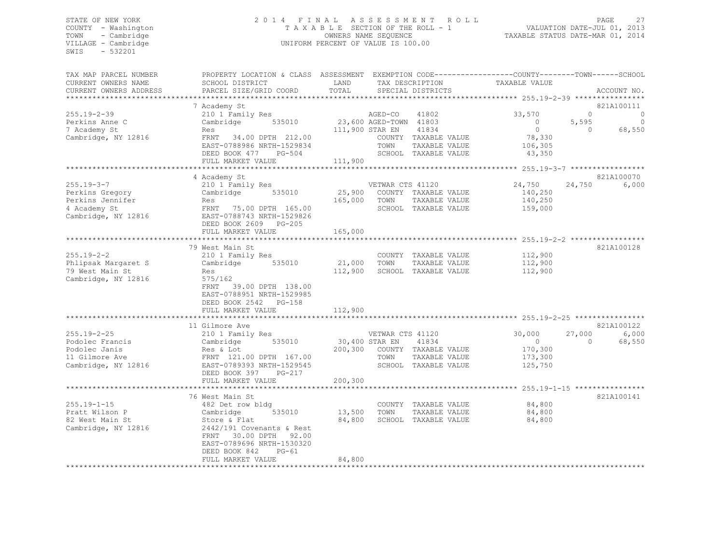# STATE OF NEW YORK 27<br>COUNTY - Washington 2013<br>2014 - TAXABLE SECTION OF THE ROLL - 1 WALUATION DATE-JUL 01, 2013<br>2014 - COUNTY - Washington 2014 COUNTY - Washington T A X A B L E SECTION OF THE ROLL - 1<br>
TOWN - Cambridge T A VALUATION DATE-SEQUENCE TOWN - Cambridge OWNERS NAME SEQUENCE TAXABLE STATUS DATE-MAR 01, 2014 UNIFORM PERCENT OF VALUE IS 100.00

| TAX MAP PARCEL NUMBER<br>CURRENT OWNERS NAME                                                   | PROPERTY LOCATION & CLASS ASSESSMENT EXEMPTION CODE----------------COUNTY-------TOWN------SCHOOL<br>SCHOOL DISTRICT                                                                          | LAND<br>TOTAL                        | TAX DESCRIPTION                                                                                    | TAXABLE VALUE                                         |                    |                            |
|------------------------------------------------------------------------------------------------|----------------------------------------------------------------------------------------------------------------------------------------------------------------------------------------------|--------------------------------------|----------------------------------------------------------------------------------------------------|-------------------------------------------------------|--------------------|----------------------------|
| CURRENT OWNERS ADDRESS                                                                         | PARCEL SIZE/GRID COORD                                                                                                                                                                       |                                      | SPECIAL DISTRICTS                                                                                  |                                                       |                    | ACCOUNT NO.                |
| $255.19 - 2 - 39$<br>Perkins Anne C                                                            | 7 Academy St<br>210 1 Family Res<br>535010<br>Cambridge                                                                                                                                      |                                      | 41802<br>AGED-CO<br>23,600 AGED-TOWN 41803                                                         | 33,570<br>$\circ$                                     | $\Omega$<br>5,595  | 821A100111<br>0<br>$\circ$ |
| 7 Academy St<br>Cambridge, NY 12816                                                            | Res<br>FRNT 34.00 DPTH 212.00<br>EAST-0788986 NRTH-1529834<br>DEED BOOK 477 PG-504<br>FULL MARKET VALUE                                                                                      | 111,900 STAR EN<br>111,900           | 41834<br>COUNTY TAXABLE VALUE<br>TOWN<br>TAXABLE VALUE<br>SCHOOL TAXABLE VALUE                     | $\circ$<br>78,330<br>106,305<br>43,350                | $\Omega$           | 68,550                     |
|                                                                                                |                                                                                                                                                                                              |                                      |                                                                                                    |                                                       |                    |                            |
| $255.19 - 3 - 7$<br>Perkins Gregory<br>Perkins Jennifer<br>4 Academy St<br>Cambridge, NY 12816 | 4 Academy St<br>210 1 Family Res<br>535010<br>Cambridge<br>Res<br>FRNT 75.00 DPTH 165.00<br>EAST-0788743 NRTH-1529826<br>DEED BOOK 2609 PG-205<br>FULL MARKET VALUE                          | 25,900<br>165,000<br>165,000         | VETWAR CTS 41120<br>COUNTY TAXABLE VALUE<br>TOWN<br>TAXABLE VALUE<br>SCHOOL TAXABLE VALUE          | 24,750<br>140,250<br>140,250<br>159,000               | 24,750             | 821A100070<br>6,000        |
|                                                                                                |                                                                                                                                                                                              |                                      |                                                                                                    |                                                       |                    |                            |
| $255.19 - 2 - 2$<br>Phlipsak Margaret S<br>79 West Main St<br>Cambridge, NY 12816              | 79 West Main St<br>210 1 Family Res<br>Cambridge<br>535010<br>Res<br>575/162<br>39.00 DPTH 138.00<br>FRNT<br>EAST-0788951 NRTH-1529985<br>DEED BOOK 2542 PG-158                              | 21,000<br>112,900                    | COUNTY TAXABLE VALUE<br>TOWN<br>TAXABLE VALUE<br>SCHOOL TAXABLE VALUE                              | 112,900<br>112,900<br>112,900                         |                    | 821A100128                 |
|                                                                                                | FULL MARKET VALUE                                                                                                                                                                            | 112,900                              |                                                                                                    |                                                       |                    |                            |
|                                                                                                | 11 Gilmore Ave                                                                                                                                                                               |                                      |                                                                                                    |                                                       |                    | 821A100122                 |
| $255.19 - 2 - 25$<br>Podolec Francis<br>Podolec Janis<br>11 Gilmore Ave<br>Cambridge, NY 12816 | 210 1 Family Res<br>Cambridge<br>535010<br>Res & Lot<br>FRNT 121.00 DPTH 167.00<br>EAST-0789393 NRTH-1529545<br>DEED BOOK 397<br>$PG-217$<br>FULL MARKET VALUE                               | 30,400 STAR EN<br>200,300<br>200,300 | VETWAR CTS 41120<br>41834<br>COUNTY TAXABLE VALUE<br>TOWN<br>TAXABLE VALUE<br>SCHOOL TAXABLE VALUE | 30,000<br>$\bigcirc$<br>170,300<br>173,300<br>125,750 | 27,000<br>$\Omega$ | 6,000<br>68,550            |
|                                                                                                |                                                                                                                                                                                              |                                      |                                                                                                    |                                                       |                    |                            |
| $255.19 - 1 - 15$<br>Pratt Wilson P<br>82 West Main St<br>Cambridge, NY 12816                  | 76 West Main St<br>482 Det row bldg<br>Cambridge<br>535010<br>Store & Flat<br>2442/191 Covenants & Rest<br>30.00 DPTH 92.00<br>FRNT<br>EAST-0789696 NRTH-1530320<br>DEED BOOK 842<br>$PG-61$ | 13,500<br>84,800                     | COUNTY TAXABLE VALUE<br>TOWN<br>TAXABLE VALUE<br>SCHOOL TAXABLE VALUE                              | 84,800<br>84,800<br>84,800                            |                    | 821A100141                 |
|                                                                                                | FULL MARKET VALUE                                                                                                                                                                            | 84,800                               | **********************************                                                                 |                                                       |                    |                            |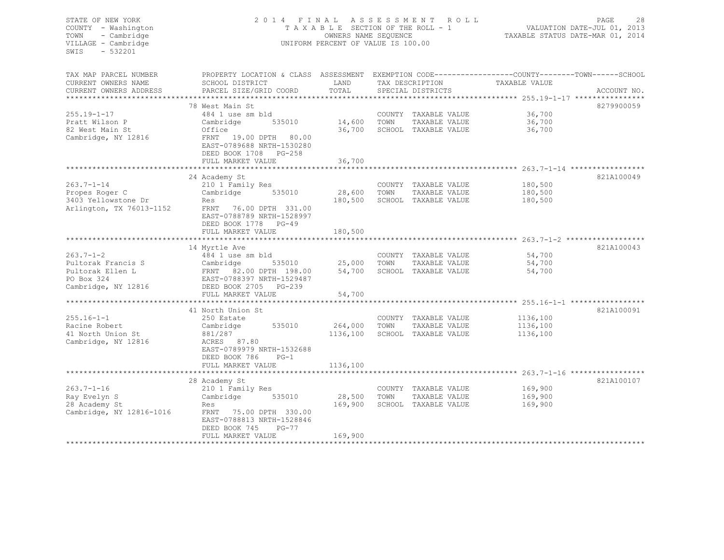STATE OF NEW YORK 2 0 1 4 F I N A L A S S E S S M E N T R O L L PAGE 28 COUNTY - Washington T A X A B L E SECTION OF THE ROLL - 1 VALUATION DATE-JUL 01, 2013 TOWN - Cambridge COMERS NAME SEQUENCE TAXABLE STATUS DATE-MAR 01, 2014 VILLAGE - Cambridge The UNIFORM PERCENT OF VALUE IS 100.00 SWIS - 532201 TAX MAP PARCEL NUMBER PROPERTY LOCATION & CLASS ASSESSMENT EXEMPTION CODE----------------------------TOWN------SCHOOL CURRENT OWNERS NAME SCHOOL DISTRICT LAND TAX DESCRIPTION TAXABLE VALUE CURRENT OWNERS ADDRESS BARCEL SIZE/GRID COORD TOTAL SPECIAL DISTRICTS AND ACCOUNT NO. \*\*\*\*\*\*\*\*\*\*\*\*\*\*\*\*\*\*\*\*\*\*\*\*\*\*\*\*\*\*\*\*\*\*\*\*\*\*\*\*\*\*\*\*\*\*\*\*\*\*\*\*\*\*\*\*\*\*\*\*\*\*\*\*\*\*\*\*\*\*\*\*\*\*\*\*\*\*\*\*\*\*\*\*\*\*\*\*\*\*\*\*\*\*\*\*\*\*\*\*\*\*\* 255.19-1-17 \*\*\*\*\*\*\*\*\*\*\*\*\*\*\*\* 78 West Main St. 8279900059 255.19-1-17 484 1 use sm bld COUNTY TAXABLE VALUE 36,700 Pratt Wilson P Cambridge 535010 14,600 TOWN TAXABLE VALUE 36,700 82 West Main St Office 36,700 SCHOOL TAXABLE VALUE 36,700 Cambridge, NY 12816 FRNT 19.00 DPTH 80.00 EAST-0789688 NRTH-1530280 DEED BOOK 1708 PG-258 FULL MARKET VALUE 36,700 \*\*\*\*\*\*\*\*\*\*\*\*\*\*\*\*\*\*\*\*\*\*\*\*\*\*\*\*\*\*\*\*\*\*\*\*\*\*\*\*\*\*\*\*\*\*\*\*\*\*\*\*\*\*\*\*\*\*\*\*\*\*\*\*\*\*\*\*\*\*\*\*\*\*\*\*\*\*\*\*\*\*\*\*\*\*\*\*\*\*\*\*\*\*\*\*\*\*\*\*\*\*\* 263.7-1-14 \*\*\*\*\*\*\*\*\*\*\*\*\*\*\*\*\* 24 Academy St 821A100049 263.7-1-14 210 1 Family Res COUNTY TAXABLE VALUE 180,500 Propes Roger C Cambridge 535010 28,600 TOWN TAXABLE VALUE 180,500 3403 Yellowstone Dr Res 180,500 SCHOOL TAXABLE VALUE 180,500 Arlington, TX 76013-1152 FRNT 76.00 DPTH 331.00 EAST-0788789 NRTH-1528997 DEED BOOK 1778 PG-49 FULL MARKET VALUE 180,500 \*\*\*\*\*\*\*\*\*\*\*\*\*\*\*\*\*\*\*\*\*\*\*\*\*\*\*\*\*\*\*\*\*\*\*\*\*\*\*\*\*\*\*\*\*\*\*\*\*\*\*\*\*\*\*\*\*\*\*\*\*\*\*\*\*\*\*\*\*\*\*\*\*\*\*\*\*\*\*\*\*\*\*\*\*\*\*\*\*\*\*\*\*\*\*\*\*\*\*\*\*\*\* 263.7-1-2 \*\*\*\*\*\*\*\*\*\*\*\*\*\*\*\*\*\* 14 Myrtle Ave 821A100043 263.7-1-2 484 1 use sm bld COUNTY TAXABLE VALUE 54,700 Pultorak Francis S Cambridge 535010 25,000 TOWN TAXABLE VALUE 54,700 Pultorak Ellen L FRNT 82.00 DPTH 198.00 54,700 SCHOOL TAXABLE VALUE 54,700 PO Box 324 EAST-0788397 NRTH-1529487 Cambridge, NY 12816 DEED BOOK 2705 PG-239 FULL MARKET VALUE 54,700 \*\*\*\*\*\*\*\*\*\*\*\*\*\*\*\*\*\*\*\*\*\*\*\*\*\*\*\*\*\*\*\*\*\*\*\*\*\*\*\*\*\*\*\*\*\*\*\*\*\*\*\*\*\*\*\*\*\*\*\*\*\*\*\*\*\*\*\*\*\*\*\*\*\*\*\*\*\*\*\*\*\*\*\*\*\*\*\*\*\*\*\*\*\*\*\*\*\*\*\*\*\*\* 255.16-1-1 \*\*\*\*\*\*\*\*\*\*\*\*\*\*\*\*\* 41 North Union St 821A100091255.16-1-1 250 Estate COUNTY TAXABLE VALUE 1136,100 Racine Robert Cambridge 535010 264,000 TOWN TAXABLE VALUE 1136,100 41 North Union St 881/287 1136,100 SCHOOL TAXABLE VALUE 1136,100 Cambridge, NY 12816 ACRES 87.80 EAST-0789979 NRTH-1532688 DEED BOOK 786 PG-1 FULL MARKET VALUE 1136,100 \*\*\*\*\*\*\*\*\*\*\*\*\*\*\*\*\*\*\*\*\*\*\*\*\*\*\*\*\*\*\*\*\*\*\*\*\*\*\*\*\*\*\*\*\*\*\*\*\*\*\*\*\*\*\*\*\*\*\*\*\*\*\*\*\*\*\*\*\*\*\*\*\*\*\*\*\*\*\*\*\*\*\*\*\*\*\*\*\*\*\*\*\*\*\*\*\*\*\*\*\*\*\* 263.7-1-16 \*\*\*\*\*\*\*\*\*\*\*\*\*\*\*\*\*28 Academy St 821A100107 263.7-1-16 210 1 Family Res COUNTY TAXABLE VALUE 169,900 Ray Evelyn S Cambridge 535010 28,500 TOWN TAXABLE VALUE 169,900 28 Academy St Res 169,900 SCHOOL TAXABLE VALUE 169,900 Cambridge, NY 12816-1016 FRNT 75.00 DPTH 330.00 EAST-0788813 NRTH-1528846 DEED BOOK 745 PG-77 FULL MARKET VALUE 169,900 \*\*\*\*\*\*\*\*\*\*\*\*\*\*\*\*\*\*\*\*\*\*\*\*\*\*\*\*\*\*\*\*\*\*\*\*\*\*\*\*\*\*\*\*\*\*\*\*\*\*\*\*\*\*\*\*\*\*\*\*\*\*\*\*\*\*\*\*\*\*\*\*\*\*\*\*\*\*\*\*\*\*\*\*\*\*\*\*\*\*\*\*\*\*\*\*\*\*\*\*\*\*\*\*\*\*\*\*\*\*\*\*\*\*\*\*\*\*\*\*\*\*\*\*\*\*\*\*\*\*\*\*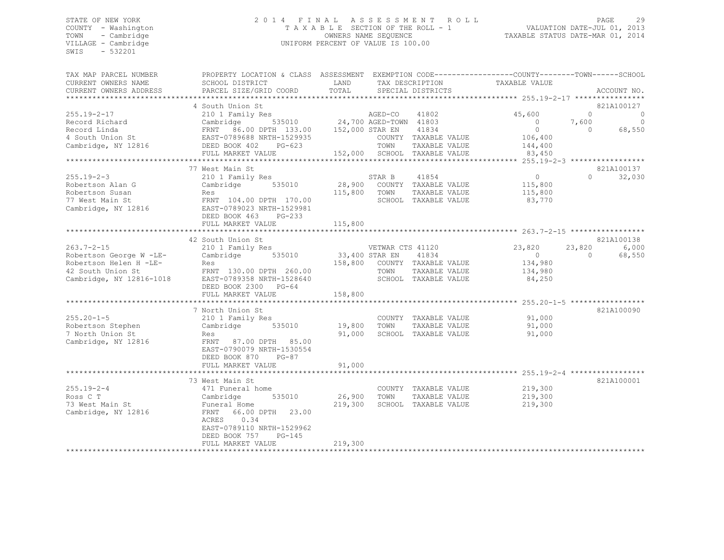#### STATE OF NEW YORK 2 0 1 4 F I N A L A S S E S S M E N T R O L L PAGE 29 COUNTY - Washington T A X A B L E SECTION OF THE ROLL - 1 VALUATION DATE-JUL 01, 2013 TOWN - Cambridge OWNERS NAME SEQUENCE TAXABLE STATUS DATE-MAR 01, 2014 VILLAGE - Cambridge **UNIFORM PERCENT OF VALUE IS 100.00**

| TAX MAP PARCEL NUMBER<br>CURRENT OWNERS NAME<br>CURRENT OWNERS ADDRESS                                                 | PROPERTY LOCATION & CLASS ASSESSMENT<br>SCHOOL DISTRICT<br>PARCEL SIZE/GRID COORD                                                                                                 | LAND<br>TOTAL                | TAX DESCRIPTION<br>SPECIAL DISTRICTS                                                                                       |               | EXEMPTION CODE-----------------COUNTY-------TOWN------SCHOOL<br>TAXABLE VALUE                                     |                               | ACCOUNT NO.                                       |
|------------------------------------------------------------------------------------------------------------------------|-----------------------------------------------------------------------------------------------------------------------------------------------------------------------------------|------------------------------|----------------------------------------------------------------------------------------------------------------------------|---------------|-------------------------------------------------------------------------------------------------------------------|-------------------------------|---------------------------------------------------|
| *******************                                                                                                    |                                                                                                                                                                                   |                              |                                                                                                                            |               |                                                                                                                   |                               |                                                   |
| $255.19 - 2 - 17$<br>Record Richard<br>Record Linda<br>4 South Union St<br>Cambridge, NY 12816                         | 4 South Union St<br>210 1 Family Res<br>Cambridge<br>FRNT 86.00 DPTH 133.00<br>EAST-0789688 NRTH-1529935<br>DEED BOOK 402<br>$PG-623$<br>FULL MARKET VALUE                        | 152,000 STAR EN              | AGED-CO<br>41802<br>535010 24,700 AGED-TOWN 41803<br>41834<br>COUNTY TAXABLE VALUE<br>TOWN<br>152,000 SCHOOL TAXABLE VALUE | TAXABLE VALUE | 45,600<br>$\Omega$<br>$\circ$<br>106,400<br>144,400<br>83,450                                                     | $\Omega$<br>7,600<br>$\Omega$ | 821A100127<br>$\overline{0}$<br>$\circ$<br>68,550 |
|                                                                                                                        |                                                                                                                                                                                   |                              |                                                                                                                            |               |                                                                                                                   |                               |                                                   |
| $255.19 - 2 - 3$<br>Robertson Alan G<br>Robertson Susan<br>77 West Main St<br>Cambridge, NY 12816                      | 77 West Main St<br>210 1 Family Res<br>Cambridge<br>535010<br>Res<br>FRNT 104.00 DPTH 170.00<br>EAST-0789023 NRTH-1529981<br>DEED BOOK 463<br>$PG-233$<br>FULL MARKET VALUE       | 28,900<br>115,800<br>115,800 | 41854<br>STAR B<br>COUNTY TAXABLE VALUE<br>TOWN<br>SCHOOL TAXABLE VALUE                                                    | TAXABLE VALUE | 0<br>115,800<br>115,800<br>83,770                                                                                 | $\cap$                        | 821A100137<br>32,030                              |
|                                                                                                                        | 42 South Union St                                                                                                                                                                 |                              |                                                                                                                            |               |                                                                                                                   |                               | 821A100138                                        |
| $263.7 - 2 - 15$<br>Robertson George W -LE-<br>Robertson Helen H -LE-<br>42 South Union St<br>Cambridge, NY 12816-1018 | 210 1 Family Res<br>535010<br>Cambridge<br>Res<br>FRNT 130.00 DPTH 260.00<br>EAST-0789358 NRTH-1528640<br>DEED BOOK 2300 PG-64<br>FULL MARKET VALUE                               | 33,400 STAR EN<br>158,800    | VETWAR CTS 41120<br>41834<br>158,800 COUNTY TAXABLE VALUE<br>TOWN<br>SCHOOL TAXABLE VALUE                                  | TAXABLE VALUE | 23,820<br>$\overline{0}$<br>134,980<br>134,980<br>84,250<br>************************ 255.20-1-5 ***************** | 23,820<br>$\Omega$            | 6,000<br>68,550                                   |
|                                                                                                                        | 7 North Union St                                                                                                                                                                  |                              |                                                                                                                            |               |                                                                                                                   |                               | 821A100090                                        |
| $255.20 - 1 - 5$<br>Robertson Stephen<br>7 North Union St<br>Cambridge, NY 12816                                       | 210 1 Family Res<br>535010<br>Cambridge<br>Res<br>FRNT<br>87.00 DPTH 85.00<br>EAST-0790079 NRTH-1530554<br>DEED BOOK 870<br>$PG-87$                                               | 19,800<br>91,000             | COUNTY TAXABLE VALUE<br>TOWN<br>SCHOOL TAXABLE VALUE                                                                       | TAXABLE VALUE | 91,000<br>91,000<br>91,000                                                                                        |                               |                                                   |
|                                                                                                                        | FULL MARKET VALUE                                                                                                                                                                 | 91,000                       |                                                                                                                            |               | *************************** 255.19-2-4 ****************                                                           |                               |                                                   |
| $255.19 - 2 - 4$<br>Ross C T<br>73 West Main St<br>Cambridge, NY 12816                                                 | 73 West Main St<br>471 Funeral home<br>535010<br>Cambridge<br>Funeral Home<br>FRNT 66.00 DPTH<br>23.00<br>0.34<br>ACRES<br>EAST-0789110 NRTH-1529962<br>DEED BOOK 757<br>$PG-145$ | 26,900<br>219,300            | COUNTY TAXABLE VALUE<br>TOWN<br>SCHOOL TAXABLE VALUE                                                                       | TAXABLE VALUE | 219,300<br>219,300<br>219,300                                                                                     |                               | 821A100001                                        |
|                                                                                                                        | FULL MARKET VALUE<br>**************************                                                                                                                                   | 219,300                      |                                                                                                                            |               |                                                                                                                   |                               |                                                   |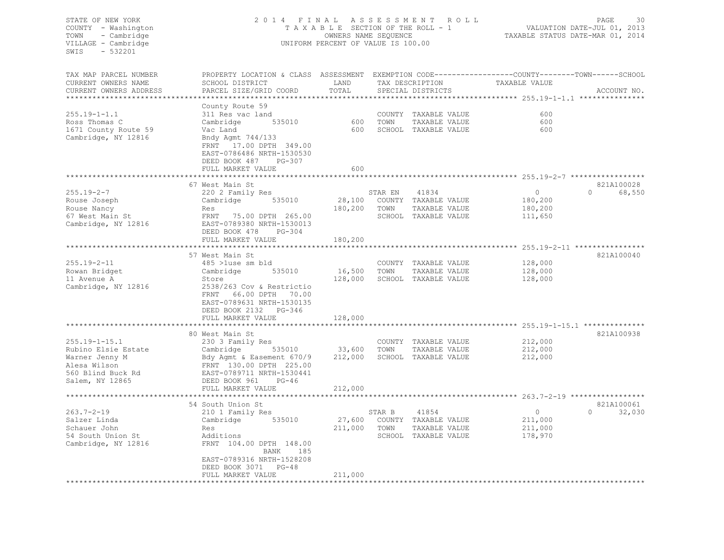#### STATE OF NEW YORK 2 0 1 4 F I N A L A S S E S S M E N T R O L L PAGE 30 COUNTY - Washington T A X A B L E SECTION OF THE ROLL - 1 VALUATION DATE-JUL 01, 2013 TOWN - Cambridge OWNERS NAME SEQUENCE TAXABLE STATUS DATE-MAR 01, 2014 VILLAGE - Cambridge **UNIFORM PERCENT OF VALUE IS 100.00**

| TAX MAP PARCEL NUMBER  | PROPERTY LOCATION & CLASS ASSESSMENT EXEMPTION CODE----------------COUNTY-------TOWN-----SCHOOL |               |                   |                      |               |                    |
|------------------------|-------------------------------------------------------------------------------------------------|---------------|-------------------|----------------------|---------------|--------------------|
| CURRENT OWNERS NAME    | SCHOOL DISTRICT                                                                                 | LAND          | TAX DESCRIPTION   |                      | TAXABLE VALUE |                    |
| CURRENT OWNERS ADDRESS | PARCEL SIZE/GRID COORD                                                                          | TOTAL         | SPECIAL DISTRICTS |                      |               | ACCOUNT NO.        |
|                        |                                                                                                 |               |                   |                      |               |                    |
|                        | County Route 59                                                                                 |               |                   |                      |               |                    |
| $255.19 - 1 - 1.1$     | 311 Res vac land                                                                                |               |                   | COUNTY TAXABLE VALUE | 600           |                    |
| Ross Thomas C          | 535010<br>Cambridge                                                                             | 600           | TOWN              | TAXABLE VALUE        | 600           |                    |
| 1671 County Route 59   | Vac Land                                                                                        | 600           |                   | SCHOOL TAXABLE VALUE | 600           |                    |
| Cambridge, NY 12816    | Bndy Agmt 744/133                                                                               |               |                   |                      |               |                    |
|                        | FRNT 17.00 DPTH 349.00                                                                          |               |                   |                      |               |                    |
|                        | EAST-0786486 NRTH-1530530                                                                       |               |                   |                      |               |                    |
|                        | DEED BOOK 487<br>PG-307                                                                         |               |                   |                      |               |                    |
|                        | FULL MARKET VALUE                                                                               | 600           |                   |                      |               |                    |
|                        |                                                                                                 |               |                   |                      |               |                    |
|                        | 67 West Main St                                                                                 |               |                   |                      |               | 821A100028         |
| $255.19 - 2 - 7$       | 220 2 Family Res                                                                                |               | STAR EN           | 41834                | $\Omega$      | $\Omega$<br>68,550 |
| Rouse Joseph           | 535010<br>Cambridge                                                                             | 28,100        |                   | COUNTY TAXABLE VALUE | 180,200       |                    |
| Rouse Nancy            | Res                                                                                             | 180,200       | TOWN              | TAXABLE VALUE        | 180,200       |                    |
| 67 West Main St        | FRNT 75.00 DPTH 265.00                                                                          |               |                   | SCHOOL TAXABLE VALUE | 111,650       |                    |
| Cambridge, NY 12816    | EAST-0789380 NRTH-1530013                                                                       |               |                   |                      |               |                    |
|                        | DEED BOOK 478<br>$PG-304$                                                                       |               |                   |                      |               |                    |
|                        | FULL MARKET VALUE                                                                               | 180,200       |                   |                      |               |                    |
|                        |                                                                                                 |               |                   |                      |               |                    |
|                        | 57 West Main St                                                                                 |               |                   |                      |               | 821A100040         |
| $255.19 - 2 - 11$      | 485 >luse sm bld                                                                                |               |                   | COUNTY TAXABLE VALUE | 128,000       |                    |
| Rowan Bridget          | 535010<br>Cambridge                                                                             | 16,500        | TOWN              | TAXABLE VALUE        | 128,000       |                    |
| 11 Avenue A            | Store                                                                                           | 128,000       |                   | SCHOOL TAXABLE VALUE | 128,000       |                    |
| Cambridge, NY 12816    | 2538/263 Cov & Restrictio                                                                       |               |                   |                      |               |                    |
|                        | 66.00 DPTH 70.00<br>FRNT                                                                        |               |                   |                      |               |                    |
|                        | EAST-0789631 NRTH-1530135                                                                       |               |                   |                      |               |                    |
|                        | DEED BOOK 2132 PG-346                                                                           |               |                   |                      |               |                    |
|                        | FULL MARKET VALUE                                                                               | 128,000       |                   |                      |               |                    |
|                        |                                                                                                 |               |                   |                      |               |                    |
|                        | 80 West Main St                                                                                 |               |                   |                      |               | 821A100938         |
| $255.19 - 1 - 15.1$    | 230 3 Family Res                                                                                |               |                   | COUNTY TAXABLE VALUE | 212,000       |                    |
| Rubino Elsie Estate    | Cambridge                                                                                       | 535010 33,600 | TOWN              | TAXABLE VALUE        | 212,000       |                    |
| Warner Jenny M         | Bdy Agmt & Easement 670/9                                                                       | 212,000       |                   | SCHOOL TAXABLE VALUE | 212,000       |                    |
| Alesa Wilson           | FRNT 130.00 DPTH 225.00                                                                         |               |                   |                      |               |                    |
| 560 Blind Buck Rd      | EAST-0789711 NRTH-1530441                                                                       |               |                   |                      |               |                    |
| Salem, NY 12865        | DEED BOOK 961<br>$PG-46$                                                                        |               |                   |                      |               |                    |
|                        | FULL MARKET VALUE                                                                               | 212,000       |                   |                      |               |                    |
|                        |                                                                                                 |               |                   |                      |               |                    |
|                        | 54 South Union St                                                                               |               |                   |                      |               | 821A100061         |
| $263.7 - 2 - 19$       | 210 1 Family Res                                                                                |               | STAR B            | 41854                | $\circ$       | $\Omega$<br>32,030 |
| Salzer Linda           | 535010<br>Cambridge                                                                             | 27,600        |                   | COUNTY TAXABLE VALUE | 211,000       |                    |
| Schauer John           | Res                                                                                             | 211,000       | TOWN              | TAXABLE VALUE        | 211,000       |                    |
| 54 South Union St      | Additions                                                                                       |               |                   | SCHOOL TAXABLE VALUE | 178,970       |                    |
| Cambridge, NY 12816    | FRNT 104.00 DPTH 148.00                                                                         |               |                   |                      |               |                    |
|                        | BANK<br>185                                                                                     |               |                   |                      |               |                    |
|                        | EAST-0789316 NRTH-1528208                                                                       |               |                   |                      |               |                    |
|                        | DEED BOOK 3071<br>$PG-48$                                                                       |               |                   |                      |               |                    |
|                        | FULL MARKET VALUE                                                                               | 211,000       |                   |                      |               |                    |
|                        |                                                                                                 |               |                   |                      |               |                    |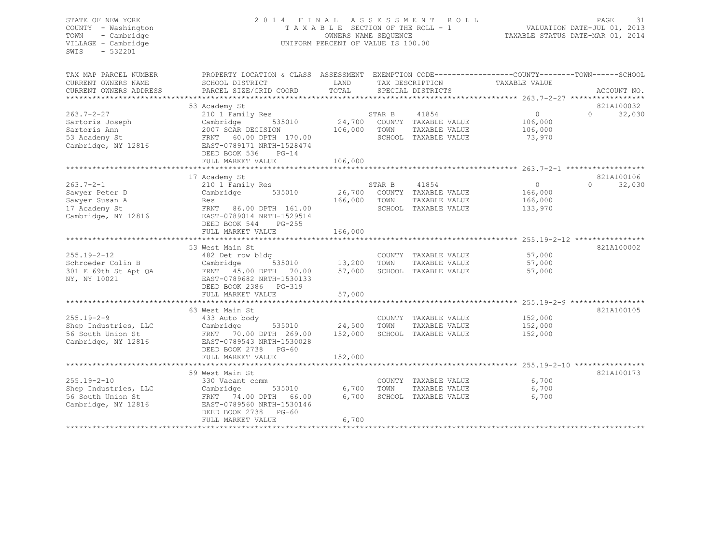| STATE OF NEW YORK<br>COUNTY - Washington | 2014 FINAL                                                                                      | R O L L                                                 | PAGE<br>VALUATION DATE-JUL 01, 2013 | -31                           |                                                                   |                        |  |
|------------------------------------------|-------------------------------------------------------------------------------------------------|---------------------------------------------------------|-------------------------------------|-------------------------------|-------------------------------------------------------------------|------------------------|--|
| TOWN<br>- Cambridge                      |                                                                                                 | TAXABLE SECTION OF THE ROLL - 1<br>OWNERS NAME SEQUENCE |                                     |                               | TAXABLE STATUS DATE-MAR 01, 2014                                  |                        |  |
| VILLAGE - Cambridge                      |                                                                                                 | UNIFORM PERCENT OF VALUE IS 100.00                      |                                     |                               |                                                                   |                        |  |
| SWIS<br>$-532201$                        |                                                                                                 |                                                         |                                     |                               |                                                                   |                        |  |
|                                          |                                                                                                 |                                                         |                                     |                               |                                                                   |                        |  |
| TAX MAP PARCEL NUMBER                    | PROPERTY LOCATION & CLASS ASSESSMENT EXEMPTION CODE---------------COUNTY-------TOWN------SCHOOL |                                                         |                                     |                               |                                                                   |                        |  |
| CURRENT OWNERS NAME                      | SCHOOL DISTRICT                                                                                 | LAND                                                    |                                     | TAX DESCRIPTION               | TAXABLE VALUE                                                     |                        |  |
| CURRENT OWNERS ADDRESS                   | PARCEL SIZE/GRID COORD                                                                          | TOTAL                                                   |                                     | SPECIAL DISTRICTS             |                                                                   | ACCOUNT NO.            |  |
|                                          |                                                                                                 |                                                         |                                     |                               |                                                                   |                        |  |
| 263.7-2-27                               | 53 Academy St                                                                                   |                                                         |                                     |                               | $\circ$                                                           | 821A100032<br>$\Omega$ |  |
| Sartoris Joseph                          | 210 1 Family Res<br>Cambridge<br>535010                                                         | 24,700                                                  | STAR B                              | 41854<br>COUNTY TAXABLE VALUE | 106,000                                                           | 32,030                 |  |
| Sartoris Ann                             | 2007 SCAR DECISION                                                                              | 106,000                                                 | TOWN                                | TAXABLE VALUE                 | 106,000                                                           |                        |  |
| 53 Academy St                            | FRNT 60.00 DPTH 170.00                                                                          |                                                         |                                     | SCHOOL TAXABLE VALUE          | 73,970                                                            |                        |  |
| Cambridge, NY 12816                      | EAST-0789171 NRTH-1528474                                                                       |                                                         |                                     |                               |                                                                   |                        |  |
|                                          | DEED BOOK 536<br>$PG-14$                                                                        |                                                         |                                     |                               |                                                                   |                        |  |
|                                          | FULL MARKET VALUE                                                                               | 106,000                                                 |                                     |                               |                                                                   |                        |  |
|                                          |                                                                                                 |                                                         |                                     |                               |                                                                   |                        |  |
|                                          | 17 Academy St                                                                                   |                                                         |                                     |                               |                                                                   | 821A100106             |  |
| $263.7 - 2 - 1$                          | 210 1 Family Res                                                                                |                                                         | STAR B                              | 41854                         | $\Omega$                                                          | $\cap$<br>32,030       |  |
| Sawyer Peter D                           | 535010<br>Cambridge                                                                             | 26,700                                                  |                                     | COUNTY TAXABLE VALUE          | 166,000                                                           |                        |  |
| Sawyer Susan A                           | Res                                                                                             | 166,000                                                 | TOWN                                | TAXABLE VALUE                 | 166,000                                                           |                        |  |
| 17 Academy St                            | FRNT 86.00 DPTH 161.00                                                                          |                                                         |                                     | SCHOOL TAXABLE VALUE          | 133,970                                                           |                        |  |
| Cambridge, NY 12816                      | EAST-0789014 NRTH-1529514<br>DEED BOOK 544<br>$PG-255$                                          |                                                         |                                     |                               |                                                                   |                        |  |
|                                          | FULL MARKET VALUE                                                                               | 166,000                                                 |                                     |                               |                                                                   |                        |  |
|                                          |                                                                                                 |                                                         |                                     |                               | ************************************255.19-2-12 ***************** |                        |  |
|                                          | 53 West Main St                                                                                 |                                                         |                                     |                               |                                                                   | 821A100002             |  |
| 255.19-2-12                              | 482 Det row bldg                                                                                |                                                         |                                     | COUNTY TAXABLE VALUE          | 57,000                                                            |                        |  |
| Schroeder Colin B                        | 535010<br>Cambridge                                                                             | 13,200                                                  | TOWN                                | TAXABLE VALUE                 | 57,000                                                            |                        |  |
| 301 E 69th St Apt QA                     | FRNT 45.00 DPTH 70.00                                                                           | 57,000                                                  |                                     | SCHOOL TAXABLE VALUE          | 57,000                                                            |                        |  |
| NY, NY 10021                             | EAST-0789682 NRTH-1530133                                                                       |                                                         |                                     |                               |                                                                   |                        |  |
|                                          | DEED BOOK 2386 PG-319                                                                           |                                                         |                                     |                               |                                                                   |                        |  |
|                                          | FULL MARKET VALUE                                                                               | 57,000                                                  |                                     |                               |                                                                   |                        |  |
|                                          |                                                                                                 |                                                         |                                     |                               |                                                                   |                        |  |
| $255.19 - 2 - 9$                         | 63 West Main St                                                                                 |                                                         |                                     | COUNTY TAXABLE VALUE          | 152,000                                                           | 821A100105             |  |
| Shep Industries, LLC                     | 433 Auto body<br>Cambridge<br>535010                                                            | 24,500                                                  | TOWN                                | TAXABLE VALUE                 | 152,000                                                           |                        |  |
| 56 South Union St                        | FRNT 70.00 DPTH 269.00                                                                          | 152,000                                                 |                                     | SCHOOL TAXABLE VALUE          | 152,000                                                           |                        |  |
| Cambridge, NY 12816                      | EAST-0789543 NRTH-1530028                                                                       |                                                         |                                     |                               |                                                                   |                        |  |
|                                          | DEED BOOK 2738<br>PG-60                                                                         |                                                         |                                     |                               |                                                                   |                        |  |
|                                          | FULL MARKET VALUE                                                                               | 152,000                                                 |                                     |                               |                                                                   |                        |  |
|                                          |                                                                                                 |                                                         |                                     |                               |                                                                   |                        |  |
|                                          | 59 West Main St                                                                                 |                                                         |                                     |                               |                                                                   | 821A100173             |  |
| 255.19-2-10                              | 330 Vacant comm                                                                                 |                                                         |                                     | COUNTY TAXABLE VALUE          | 6,700                                                             |                        |  |
| Shep Industries, LLC                     | Cambridge<br>535010                                                                             | 6,700                                                   | TOWN                                | TAXABLE VALUE                 | 6,700                                                             |                        |  |
| 56 South Union St                        | FRNT 74.00 DPTH 66.00                                                                           | 6,700                                                   |                                     | SCHOOL TAXABLE VALUE          | 6,700                                                             |                        |  |
| Cambridge, NY 12816                      | EAST-0789560 NRTH-1530146                                                                       |                                                         |                                     |                               |                                                                   |                        |  |
|                                          | DEED BOOK 2738<br>PG-60                                                                         |                                                         |                                     |                               |                                                                   |                        |  |
|                                          | FULL MARKET VALUE                                                                               | 6,700                                                   |                                     |                               |                                                                   |                        |  |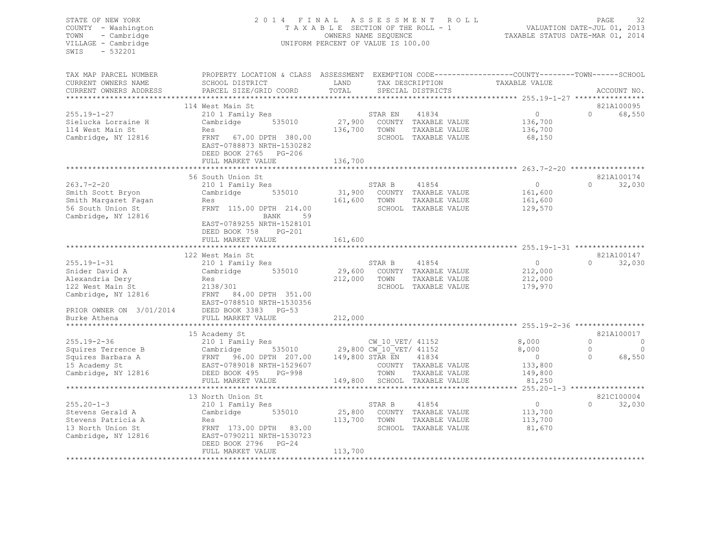#### STATE OF NEW YORK 2 0 1 4 F I N A L A S S E S S M E N T R O L L PAGE 32 COUNTY - Washington T A X A B L E SECTION OF THE ROLL - 1 VALUATION DATE-JUL 01, 2013 TOWN - Cambridge OWNERS NAME SEQUENCE TAXABLE STATUS DATE-MAR 01, 2014 VILLAGE - Cambridge **UNIFORM PERCENT OF VALUE IS 100.00**

| SCHOOL DISTRICT                                                                                                                                                                     | LAND                                                                                  |                             |                                                                                                                                       | TAXABLE VALUE                                                                                                                                                                                                                                                                                                                       |                    | ACCOUNT NO.                                                                                                                        |
|-------------------------------------------------------------------------------------------------------------------------------------------------------------------------------------|---------------------------------------------------------------------------------------|-----------------------------|---------------------------------------------------------------------------------------------------------------------------------------|-------------------------------------------------------------------------------------------------------------------------------------------------------------------------------------------------------------------------------------------------------------------------------------------------------------------------------------|--------------------|------------------------------------------------------------------------------------------------------------------------------------|
|                                                                                                                                                                                     |                                                                                       |                             |                                                                                                                                       |                                                                                                                                                                                                                                                                                                                                     |                    |                                                                                                                                    |
| 114 West Main St                                                                                                                                                                    |                                                                                       |                             |                                                                                                                                       |                                                                                                                                                                                                                                                                                                                                     |                    | 821A100095                                                                                                                         |
| 210 1 Family Res<br>535010<br>Cambridge<br>Res<br>FRNT 67.00 DPTH 380.00<br>EAST-0788873 NRTH-1530282<br>DEED BOOK 2765 PG-206<br>FULL MARKET VALUE                                 | 136,700                                                                               | STAR EN<br>TOWN             | 41834<br>TAXABLE VALUE                                                                                                                | $\overline{0}$<br>136,700<br>136,700<br>68,150                                                                                                                                                                                                                                                                                      | $\Omega$           | 68,550                                                                                                                             |
|                                                                                                                                                                                     |                                                                                       |                             |                                                                                                                                       |                                                                                                                                                                                                                                                                                                                                     |                    |                                                                                                                                    |
| 56 South Union St<br>210 1 Family Res<br>535010<br>Cambridge<br>Res<br>FRNT 115.00 DPTH 214.00<br>59<br>BANK<br>EAST-0789255 NRTH-1528101<br>DEED BOOK 758<br>PG-201                | 161,600                                                                               | STAR B<br>TOWN              | 41854<br>TAXABLE VALUE                                                                                                                | $\circ$<br>161,600<br>161,600<br>129,570                                                                                                                                                                                                                                                                                            | $\Omega$           | 821A100174<br>32,030                                                                                                               |
|                                                                                                                                                                                     |                                                                                       |                             |                                                                                                                                       |                                                                                                                                                                                                                                                                                                                                     |                    |                                                                                                                                    |
| 122 West Main St<br>210 1 Family Res<br>Cambridge 535010<br>Res<br>2138/301<br>FRNT 84.00 DPTH 351.00<br>EAST-0788510 NRTH-1530356<br>PRIOR OWNER ON 3/01/2014 DEED BOOK 3383 PG-53 |                                                                                       | STAR B<br>TOWN              | 41854<br>TAXABLE VALUE                                                                                                                | $\Omega$<br>212,000<br>212,000<br>179,970                                                                                                                                                                                                                                                                                           | $\Omega$           | 821A100147<br>32,030                                                                                                               |
|                                                                                                                                                                                     |                                                                                       |                             |                                                                                                                                       |                                                                                                                                                                                                                                                                                                                                     |                    |                                                                                                                                    |
| 15 Academy St                                                                                                                                                                       |                                                                                       |                             |                                                                                                                                       |                                                                                                                                                                                                                                                                                                                                     |                    | 821A100017                                                                                                                         |
| 210 1 Family Res<br>Cambridge 535010<br>FRNT 96.00 DPTH 207.00<br>EAST-0789018 NRTH-1529607<br>PG-998<br>DEED BOOK 495<br>FULL MARKET VALUE                                         |                                                                                       | TOWN                        | 41834<br>TAXABLE VALUE                                                                                                                | 8,000<br>$\overline{0}$<br>133,800<br>149,800<br>81,250                                                                                                                                                                                                                                                                             | $\Omega$<br>$\cap$ | C<br>C<br>68,550                                                                                                                   |
|                                                                                                                                                                                     |                                                                                       |                             |                                                                                                                                       |                                                                                                                                                                                                                                                                                                                                     |                    | 821C100004                                                                                                                         |
| 210 1 Family Res<br>535010<br>Cambridge<br>Res<br>FRNT 173.00 DPTH 83.00<br>EAST-0790211 NRTH-1530723<br>DEED BOOK 2796 PG-24<br>FULL MARKET VALUE                                  | 25,800<br>113,700<br>113,700                                                          | STAR B<br>TOWN              | 41854<br>TAXABLE VALUE                                                                                                                | $\circ$<br>113,700<br>113,700<br>81,670                                                                                                                                                                                                                                                                                             | $\Omega$           | 32,030                                                                                                                             |
|                                                                                                                                                                                     | PARCEL SIZE/GRID COORD<br>FULL MARKET VALUE<br>FULL MARKET VALUE<br>13 North Union St | TOTAL<br>161,600<br>212,000 | PROPERTY LOCATION & CLASS ASSESSMENT<br>27,900<br>136,700<br>***********<br>31,900<br>29,600<br>212,000<br>149,800 STAR EN<br>149,800 | TAX DESCRIPTION<br>SPECIAL DISTRICTS<br>COUNTY TAXABLE VALUE<br>SCHOOL TAXABLE VALUE<br>COUNTY TAXABLE VALUE<br>SCHOOL TAXABLE VALUE<br>COUNTY TAXABLE VALUE<br>SCHOOL TAXABLE VALUE<br>CW 10 VET/ 41152<br>29,800 CW 10 VET/ 41152<br>COUNTY TAXABLE VALUE<br>SCHOOL TAXABLE VALUE<br>COUNTY TAXABLE VALUE<br>SCHOOL TAXABLE VALUE | 8,000              | EXEMPTION CODE-----------------COUNTY-------TOWN------SCHOOL<br>************************ 263.7-2-20 ******************<br>$\Omega$ |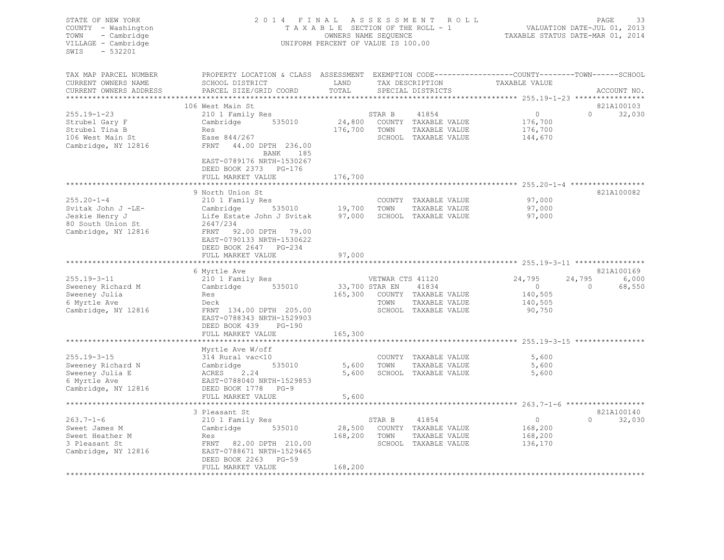| PROPERTY LOCATION & CLASS ASSESSMENT EXEMPTION CODE----------------COUNTY-------TOWN------SCHOOL<br>TAX MAP PARCEL NUMBER<br>TAX DESCRIPTION TAXABLE VALUE<br><b>EXAMPLE SERVICE SERVICE SERVICE SERVICE SERVICE SERVICE SERVICE SERVICE SERVICE SERVICE SERVICE SERVICE SERVICE</b><br>CURRENT OWNERS NAME<br>SCHOOL DISTRICT<br>TOTAL<br>CURRENT OWNERS ADDRESS<br>PARCEL SIZE/GRID COORD<br>SPECIAL DISTRICTS<br>ACCOUNT NO.<br>*************************<br>821A100103<br>106 West Main St<br>210 1 Family Res<br>$\overline{0}$<br>$0 \t32,030$<br>$255.19 - 1 - 23$<br>STAR B<br>41854<br>24,800 COUNTY TAXABLE VALUE<br>Cambridge 535010<br>176,700<br>Strubel Gary F<br>176,700 TOWN<br>Strubel Tina B<br>176,700<br>Res<br>TAXABLE VALUE<br>Ease 844/267<br>SCHOOL TAXABLE VALUE<br>106 West Main St<br>144,670<br>Cambridge, NY 12816<br>FRNT 44.00 DPTH 236.00<br>BANK 185<br>EAST-0789176 NRTH-1530267<br>DEED BOOK 2373 PG-176<br>176,700<br>FULL MARKET VALUE<br>************************************** 255.20-1-4 *****************<br>9 North Union St<br>821A100082<br>$255.20 - 1 - 4$<br>97,000<br>COUNTY TAXABLE VALUE<br>97,000<br>Svitak John J -LE-<br>TAXABLE VALUE<br>Jeskie Henry J<br>97,000<br>80 South Union St<br>2647/234<br>Cambridge, NY 12816<br>FRNT 92.00 DPTH 79.00<br>EAST-0790133 NRTH-1530622<br>DEED BOOK 2647 PG-234<br>97,000<br>FULL MARKET VALUE<br>821A100169<br>6 Myrtle Ave<br>210 1 Family Res<br>24,795<br>$255.19 - 3 - 11$<br>24,795<br>6,000<br>VETWAR CTS 41120<br>Cambridge 535010<br>33,700 STAR EN<br>$\sim$ 0<br>Sweeney Richard M<br>41834<br>$\sim$ 0<br>68,550<br>Sweeney Julia<br>165,300 COUNTY TAXABLE VALUE<br>140,505<br>Res<br>6 Myrtle Ave<br>Deck<br>TOWN TAXABLE VALUE<br>140,505<br>Cambridge, NY 12816<br>FRNT 134.00 DPTH 205.00<br>SCHOOL TAXABLE VALUE<br>90,750<br>EAST-0788343 NRTH-1529903<br>DEED BOOK 439<br>PG-190<br>FULL MARKET VALUE<br>165,300<br>Myrtle Ave W/off<br>$255.19 - 3 - 15$<br>5,600<br>314 Rural vac<10<br>COUNTY TAXABLE VALUE<br>Cambridge 535010<br>ACRES 2.24<br>RAGE 9399949 NPEW 159995<br>535010<br>Sweeney Richard N<br>5,600 TOWN<br>TAXABLE VALUE<br>5,600<br>5,600 SCHOOL TAXABLE VALUE<br>Sweeney Julia E<br>5,600<br>6 Myrtle Ave<br>EAST-0788040 NRTH-1529853<br>Cambridge, NY 12816<br>DEED BOOK 1778 PG-9<br>FULL MARKET VALUE<br>5,600<br>821A100140<br>3 Pleasant St<br>210 1 Family Res<br>$263.7 - 1 - 6$<br>$\overline{0}$<br>$0 \t32,030$<br>STAR B<br>41854<br>Cambridge 535010<br>28,500 COUNTY TAXABLE VALUE<br>168,200<br>Sweet James M<br>168,200 TOWN<br>168,200<br>Sweet Heather M<br>Res<br>TAXABLE VALUE<br>FRNT 82.00 DPTH 210.00<br>SCHOOL TAXABLE VALUE<br>136,170<br>3 Pleasant St<br>Cambridge, NY 12816<br>EAST-0788671 NRTH-1529465<br>DEED BOOK 2263<br>PG-59<br>168,200<br>FULL MARKET VALUE | STATE OF NEW YORK<br>COUNTY - Washington<br>TOWN<br>- Cambridge<br>VILLAGE - Cambridge<br>SWIS<br>$-532201$ | 2014 FINAL ASSESSMENT ROLL | TAXABLE SECTION OF THE ROLL - 1<br>OWNERS NAME SEQUENCE<br>UNIFORM PERCENT OF VALUE IS 100.00 | VALUATION DATE-JUL 01, 2013<br>TAXABLE STATUS DATE-MAR 01, 2014 | PAGE<br>33 |  |  |
|----------------------------------------------------------------------------------------------------------------------------------------------------------------------------------------------------------------------------------------------------------------------------------------------------------------------------------------------------------------------------------------------------------------------------------------------------------------------------------------------------------------------------------------------------------------------------------------------------------------------------------------------------------------------------------------------------------------------------------------------------------------------------------------------------------------------------------------------------------------------------------------------------------------------------------------------------------------------------------------------------------------------------------------------------------------------------------------------------------------------------------------------------------------------------------------------------------------------------------------------------------------------------------------------------------------------------------------------------------------------------------------------------------------------------------------------------------------------------------------------------------------------------------------------------------------------------------------------------------------------------------------------------------------------------------------------------------------------------------------------------------------------------------------------------------------------------------------------------------------------------------------------------------------------------------------------------------------------------------------------------------------------------------------------------------------------------------------------------------------------------------------------------------------------------------------------------------------------------------------------------------------------------------------------------------------------------------------------------------------------------------------------------------------------------------------------------------------------------------------------------------------------------------------------------------------------------------------------------------------------------------------------------------------------------------------------------------------------------------------------------------------------------------------------------------------------------------------|-------------------------------------------------------------------------------------------------------------|----------------------------|-----------------------------------------------------------------------------------------------|-----------------------------------------------------------------|------------|--|--|
|                                                                                                                                                                                                                                                                                                                                                                                                                                                                                                                                                                                                                                                                                                                                                                                                                                                                                                                                                                                                                                                                                                                                                                                                                                                                                                                                                                                                                                                                                                                                                                                                                                                                                                                                                                                                                                                                                                                                                                                                                                                                                                                                                                                                                                                                                                                                                                                                                                                                                                                                                                                                                                                                                                                                                                                                                                        |                                                                                                             |                            |                                                                                               |                                                                 |            |  |  |
|                                                                                                                                                                                                                                                                                                                                                                                                                                                                                                                                                                                                                                                                                                                                                                                                                                                                                                                                                                                                                                                                                                                                                                                                                                                                                                                                                                                                                                                                                                                                                                                                                                                                                                                                                                                                                                                                                                                                                                                                                                                                                                                                                                                                                                                                                                                                                                                                                                                                                                                                                                                                                                                                                                                                                                                                                                        |                                                                                                             |                            |                                                                                               |                                                                 |            |  |  |
|                                                                                                                                                                                                                                                                                                                                                                                                                                                                                                                                                                                                                                                                                                                                                                                                                                                                                                                                                                                                                                                                                                                                                                                                                                                                                                                                                                                                                                                                                                                                                                                                                                                                                                                                                                                                                                                                                                                                                                                                                                                                                                                                                                                                                                                                                                                                                                                                                                                                                                                                                                                                                                                                                                                                                                                                                                        |                                                                                                             |                            |                                                                                               |                                                                 |            |  |  |
|                                                                                                                                                                                                                                                                                                                                                                                                                                                                                                                                                                                                                                                                                                                                                                                                                                                                                                                                                                                                                                                                                                                                                                                                                                                                                                                                                                                                                                                                                                                                                                                                                                                                                                                                                                                                                                                                                                                                                                                                                                                                                                                                                                                                                                                                                                                                                                                                                                                                                                                                                                                                                                                                                                                                                                                                                                        |                                                                                                             |                            |                                                                                               |                                                                 |            |  |  |
|                                                                                                                                                                                                                                                                                                                                                                                                                                                                                                                                                                                                                                                                                                                                                                                                                                                                                                                                                                                                                                                                                                                                                                                                                                                                                                                                                                                                                                                                                                                                                                                                                                                                                                                                                                                                                                                                                                                                                                                                                                                                                                                                                                                                                                                                                                                                                                                                                                                                                                                                                                                                                                                                                                                                                                                                                                        |                                                                                                             |                            |                                                                                               |                                                                 |            |  |  |
|                                                                                                                                                                                                                                                                                                                                                                                                                                                                                                                                                                                                                                                                                                                                                                                                                                                                                                                                                                                                                                                                                                                                                                                                                                                                                                                                                                                                                                                                                                                                                                                                                                                                                                                                                                                                                                                                                                                                                                                                                                                                                                                                                                                                                                                                                                                                                                                                                                                                                                                                                                                                                                                                                                                                                                                                                                        |                                                                                                             |                            |                                                                                               |                                                                 |            |  |  |
|                                                                                                                                                                                                                                                                                                                                                                                                                                                                                                                                                                                                                                                                                                                                                                                                                                                                                                                                                                                                                                                                                                                                                                                                                                                                                                                                                                                                                                                                                                                                                                                                                                                                                                                                                                                                                                                                                                                                                                                                                                                                                                                                                                                                                                                                                                                                                                                                                                                                                                                                                                                                                                                                                                                                                                                                                                        |                                                                                                             |                            |                                                                                               |                                                                 |            |  |  |
|                                                                                                                                                                                                                                                                                                                                                                                                                                                                                                                                                                                                                                                                                                                                                                                                                                                                                                                                                                                                                                                                                                                                                                                                                                                                                                                                                                                                                                                                                                                                                                                                                                                                                                                                                                                                                                                                                                                                                                                                                                                                                                                                                                                                                                                                                                                                                                                                                                                                                                                                                                                                                                                                                                                                                                                                                                        |                                                                                                             |                            |                                                                                               |                                                                 |            |  |  |
|                                                                                                                                                                                                                                                                                                                                                                                                                                                                                                                                                                                                                                                                                                                                                                                                                                                                                                                                                                                                                                                                                                                                                                                                                                                                                                                                                                                                                                                                                                                                                                                                                                                                                                                                                                                                                                                                                                                                                                                                                                                                                                                                                                                                                                                                                                                                                                                                                                                                                                                                                                                                                                                                                                                                                                                                                                        |                                                                                                             |                            |                                                                                               |                                                                 |            |  |  |
|                                                                                                                                                                                                                                                                                                                                                                                                                                                                                                                                                                                                                                                                                                                                                                                                                                                                                                                                                                                                                                                                                                                                                                                                                                                                                                                                                                                                                                                                                                                                                                                                                                                                                                                                                                                                                                                                                                                                                                                                                                                                                                                                                                                                                                                                                                                                                                                                                                                                                                                                                                                                                                                                                                                                                                                                                                        |                                                                                                             |                            |                                                                                               |                                                                 |            |  |  |
|                                                                                                                                                                                                                                                                                                                                                                                                                                                                                                                                                                                                                                                                                                                                                                                                                                                                                                                                                                                                                                                                                                                                                                                                                                                                                                                                                                                                                                                                                                                                                                                                                                                                                                                                                                                                                                                                                                                                                                                                                                                                                                                                                                                                                                                                                                                                                                                                                                                                                                                                                                                                                                                                                                                                                                                                                                        |                                                                                                             |                            |                                                                                               |                                                                 |            |  |  |
|                                                                                                                                                                                                                                                                                                                                                                                                                                                                                                                                                                                                                                                                                                                                                                                                                                                                                                                                                                                                                                                                                                                                                                                                                                                                                                                                                                                                                                                                                                                                                                                                                                                                                                                                                                                                                                                                                                                                                                                                                                                                                                                                                                                                                                                                                                                                                                                                                                                                                                                                                                                                                                                                                                                                                                                                                                        |                                                                                                             |                            |                                                                                               |                                                                 |            |  |  |
|                                                                                                                                                                                                                                                                                                                                                                                                                                                                                                                                                                                                                                                                                                                                                                                                                                                                                                                                                                                                                                                                                                                                                                                                                                                                                                                                                                                                                                                                                                                                                                                                                                                                                                                                                                                                                                                                                                                                                                                                                                                                                                                                                                                                                                                                                                                                                                                                                                                                                                                                                                                                                                                                                                                                                                                                                                        |                                                                                                             |                            |                                                                                               |                                                                 |            |  |  |
|                                                                                                                                                                                                                                                                                                                                                                                                                                                                                                                                                                                                                                                                                                                                                                                                                                                                                                                                                                                                                                                                                                                                                                                                                                                                                                                                                                                                                                                                                                                                                                                                                                                                                                                                                                                                                                                                                                                                                                                                                                                                                                                                                                                                                                                                                                                                                                                                                                                                                                                                                                                                                                                                                                                                                                                                                                        |                                                                                                             |                            |                                                                                               |                                                                 |            |  |  |
|                                                                                                                                                                                                                                                                                                                                                                                                                                                                                                                                                                                                                                                                                                                                                                                                                                                                                                                                                                                                                                                                                                                                                                                                                                                                                                                                                                                                                                                                                                                                                                                                                                                                                                                                                                                                                                                                                                                                                                                                                                                                                                                                                                                                                                                                                                                                                                                                                                                                                                                                                                                                                                                                                                                                                                                                                                        |                                                                                                             |                            |                                                                                               |                                                                 |            |  |  |
|                                                                                                                                                                                                                                                                                                                                                                                                                                                                                                                                                                                                                                                                                                                                                                                                                                                                                                                                                                                                                                                                                                                                                                                                                                                                                                                                                                                                                                                                                                                                                                                                                                                                                                                                                                                                                                                                                                                                                                                                                                                                                                                                                                                                                                                                                                                                                                                                                                                                                                                                                                                                                                                                                                                                                                                                                                        |                                                                                                             |                            |                                                                                               |                                                                 |            |  |  |
|                                                                                                                                                                                                                                                                                                                                                                                                                                                                                                                                                                                                                                                                                                                                                                                                                                                                                                                                                                                                                                                                                                                                                                                                                                                                                                                                                                                                                                                                                                                                                                                                                                                                                                                                                                                                                                                                                                                                                                                                                                                                                                                                                                                                                                                                                                                                                                                                                                                                                                                                                                                                                                                                                                                                                                                                                                        |                                                                                                             |                            |                                                                                               |                                                                 |            |  |  |
|                                                                                                                                                                                                                                                                                                                                                                                                                                                                                                                                                                                                                                                                                                                                                                                                                                                                                                                                                                                                                                                                                                                                                                                                                                                                                                                                                                                                                                                                                                                                                                                                                                                                                                                                                                                                                                                                                                                                                                                                                                                                                                                                                                                                                                                                                                                                                                                                                                                                                                                                                                                                                                                                                                                                                                                                                                        |                                                                                                             |                            |                                                                                               |                                                                 |            |  |  |
|                                                                                                                                                                                                                                                                                                                                                                                                                                                                                                                                                                                                                                                                                                                                                                                                                                                                                                                                                                                                                                                                                                                                                                                                                                                                                                                                                                                                                                                                                                                                                                                                                                                                                                                                                                                                                                                                                                                                                                                                                                                                                                                                                                                                                                                                                                                                                                                                                                                                                                                                                                                                                                                                                                                                                                                                                                        |                                                                                                             |                            |                                                                                               |                                                                 |            |  |  |
|                                                                                                                                                                                                                                                                                                                                                                                                                                                                                                                                                                                                                                                                                                                                                                                                                                                                                                                                                                                                                                                                                                                                                                                                                                                                                                                                                                                                                                                                                                                                                                                                                                                                                                                                                                                                                                                                                                                                                                                                                                                                                                                                                                                                                                                                                                                                                                                                                                                                                                                                                                                                                                                                                                                                                                                                                                        |                                                                                                             |                            |                                                                                               |                                                                 |            |  |  |
|                                                                                                                                                                                                                                                                                                                                                                                                                                                                                                                                                                                                                                                                                                                                                                                                                                                                                                                                                                                                                                                                                                                                                                                                                                                                                                                                                                                                                                                                                                                                                                                                                                                                                                                                                                                                                                                                                                                                                                                                                                                                                                                                                                                                                                                                                                                                                                                                                                                                                                                                                                                                                                                                                                                                                                                                                                        |                                                                                                             |                            |                                                                                               |                                                                 |            |  |  |
|                                                                                                                                                                                                                                                                                                                                                                                                                                                                                                                                                                                                                                                                                                                                                                                                                                                                                                                                                                                                                                                                                                                                                                                                                                                                                                                                                                                                                                                                                                                                                                                                                                                                                                                                                                                                                                                                                                                                                                                                                                                                                                                                                                                                                                                                                                                                                                                                                                                                                                                                                                                                                                                                                                                                                                                                                                        |                                                                                                             |                            |                                                                                               |                                                                 |            |  |  |
|                                                                                                                                                                                                                                                                                                                                                                                                                                                                                                                                                                                                                                                                                                                                                                                                                                                                                                                                                                                                                                                                                                                                                                                                                                                                                                                                                                                                                                                                                                                                                                                                                                                                                                                                                                                                                                                                                                                                                                                                                                                                                                                                                                                                                                                                                                                                                                                                                                                                                                                                                                                                                                                                                                                                                                                                                                        |                                                                                                             |                            |                                                                                               |                                                                 |            |  |  |
|                                                                                                                                                                                                                                                                                                                                                                                                                                                                                                                                                                                                                                                                                                                                                                                                                                                                                                                                                                                                                                                                                                                                                                                                                                                                                                                                                                                                                                                                                                                                                                                                                                                                                                                                                                                                                                                                                                                                                                                                                                                                                                                                                                                                                                                                                                                                                                                                                                                                                                                                                                                                                                                                                                                                                                                                                                        |                                                                                                             |                            |                                                                                               |                                                                 |            |  |  |
|                                                                                                                                                                                                                                                                                                                                                                                                                                                                                                                                                                                                                                                                                                                                                                                                                                                                                                                                                                                                                                                                                                                                                                                                                                                                                                                                                                                                                                                                                                                                                                                                                                                                                                                                                                                                                                                                                                                                                                                                                                                                                                                                                                                                                                                                                                                                                                                                                                                                                                                                                                                                                                                                                                                                                                                                                                        |                                                                                                             |                            |                                                                                               |                                                                 |            |  |  |
|                                                                                                                                                                                                                                                                                                                                                                                                                                                                                                                                                                                                                                                                                                                                                                                                                                                                                                                                                                                                                                                                                                                                                                                                                                                                                                                                                                                                                                                                                                                                                                                                                                                                                                                                                                                                                                                                                                                                                                                                                                                                                                                                                                                                                                                                                                                                                                                                                                                                                                                                                                                                                                                                                                                                                                                                                                        |                                                                                                             |                            |                                                                                               |                                                                 |            |  |  |
|                                                                                                                                                                                                                                                                                                                                                                                                                                                                                                                                                                                                                                                                                                                                                                                                                                                                                                                                                                                                                                                                                                                                                                                                                                                                                                                                                                                                                                                                                                                                                                                                                                                                                                                                                                                                                                                                                                                                                                                                                                                                                                                                                                                                                                                                                                                                                                                                                                                                                                                                                                                                                                                                                                                                                                                                                                        |                                                                                                             |                            |                                                                                               |                                                                 |            |  |  |
|                                                                                                                                                                                                                                                                                                                                                                                                                                                                                                                                                                                                                                                                                                                                                                                                                                                                                                                                                                                                                                                                                                                                                                                                                                                                                                                                                                                                                                                                                                                                                                                                                                                                                                                                                                                                                                                                                                                                                                                                                                                                                                                                                                                                                                                                                                                                                                                                                                                                                                                                                                                                                                                                                                                                                                                                                                        |                                                                                                             |                            |                                                                                               |                                                                 |            |  |  |
|                                                                                                                                                                                                                                                                                                                                                                                                                                                                                                                                                                                                                                                                                                                                                                                                                                                                                                                                                                                                                                                                                                                                                                                                                                                                                                                                                                                                                                                                                                                                                                                                                                                                                                                                                                                                                                                                                                                                                                                                                                                                                                                                                                                                                                                                                                                                                                                                                                                                                                                                                                                                                                                                                                                                                                                                                                        |                                                                                                             |                            |                                                                                               |                                                                 |            |  |  |
|                                                                                                                                                                                                                                                                                                                                                                                                                                                                                                                                                                                                                                                                                                                                                                                                                                                                                                                                                                                                                                                                                                                                                                                                                                                                                                                                                                                                                                                                                                                                                                                                                                                                                                                                                                                                                                                                                                                                                                                                                                                                                                                                                                                                                                                                                                                                                                                                                                                                                                                                                                                                                                                                                                                                                                                                                                        |                                                                                                             |                            |                                                                                               |                                                                 |            |  |  |
|                                                                                                                                                                                                                                                                                                                                                                                                                                                                                                                                                                                                                                                                                                                                                                                                                                                                                                                                                                                                                                                                                                                                                                                                                                                                                                                                                                                                                                                                                                                                                                                                                                                                                                                                                                                                                                                                                                                                                                                                                                                                                                                                                                                                                                                                                                                                                                                                                                                                                                                                                                                                                                                                                                                                                                                                                                        |                                                                                                             |                            |                                                                                               |                                                                 |            |  |  |
|                                                                                                                                                                                                                                                                                                                                                                                                                                                                                                                                                                                                                                                                                                                                                                                                                                                                                                                                                                                                                                                                                                                                                                                                                                                                                                                                                                                                                                                                                                                                                                                                                                                                                                                                                                                                                                                                                                                                                                                                                                                                                                                                                                                                                                                                                                                                                                                                                                                                                                                                                                                                                                                                                                                                                                                                                                        |                                                                                                             |                            |                                                                                               |                                                                 |            |  |  |
|                                                                                                                                                                                                                                                                                                                                                                                                                                                                                                                                                                                                                                                                                                                                                                                                                                                                                                                                                                                                                                                                                                                                                                                                                                                                                                                                                                                                                                                                                                                                                                                                                                                                                                                                                                                                                                                                                                                                                                                                                                                                                                                                                                                                                                                                                                                                                                                                                                                                                                                                                                                                                                                                                                                                                                                                                                        |                                                                                                             |                            |                                                                                               |                                                                 |            |  |  |
|                                                                                                                                                                                                                                                                                                                                                                                                                                                                                                                                                                                                                                                                                                                                                                                                                                                                                                                                                                                                                                                                                                                                                                                                                                                                                                                                                                                                                                                                                                                                                                                                                                                                                                                                                                                                                                                                                                                                                                                                                                                                                                                                                                                                                                                                                                                                                                                                                                                                                                                                                                                                                                                                                                                                                                                                                                        |                                                                                                             |                            |                                                                                               |                                                                 |            |  |  |
|                                                                                                                                                                                                                                                                                                                                                                                                                                                                                                                                                                                                                                                                                                                                                                                                                                                                                                                                                                                                                                                                                                                                                                                                                                                                                                                                                                                                                                                                                                                                                                                                                                                                                                                                                                                                                                                                                                                                                                                                                                                                                                                                                                                                                                                                                                                                                                                                                                                                                                                                                                                                                                                                                                                                                                                                                                        |                                                                                                             |                            |                                                                                               |                                                                 |            |  |  |
|                                                                                                                                                                                                                                                                                                                                                                                                                                                                                                                                                                                                                                                                                                                                                                                                                                                                                                                                                                                                                                                                                                                                                                                                                                                                                                                                                                                                                                                                                                                                                                                                                                                                                                                                                                                                                                                                                                                                                                                                                                                                                                                                                                                                                                                                                                                                                                                                                                                                                                                                                                                                                                                                                                                                                                                                                                        |                                                                                                             |                            |                                                                                               |                                                                 |            |  |  |
|                                                                                                                                                                                                                                                                                                                                                                                                                                                                                                                                                                                                                                                                                                                                                                                                                                                                                                                                                                                                                                                                                                                                                                                                                                                                                                                                                                                                                                                                                                                                                                                                                                                                                                                                                                                                                                                                                                                                                                                                                                                                                                                                                                                                                                                                                                                                                                                                                                                                                                                                                                                                                                                                                                                                                                                                                                        |                                                                                                             |                            |                                                                                               |                                                                 |            |  |  |
|                                                                                                                                                                                                                                                                                                                                                                                                                                                                                                                                                                                                                                                                                                                                                                                                                                                                                                                                                                                                                                                                                                                                                                                                                                                                                                                                                                                                                                                                                                                                                                                                                                                                                                                                                                                                                                                                                                                                                                                                                                                                                                                                                                                                                                                                                                                                                                                                                                                                                                                                                                                                                                                                                                                                                                                                                                        |                                                                                                             |                            |                                                                                               |                                                                 |            |  |  |
|                                                                                                                                                                                                                                                                                                                                                                                                                                                                                                                                                                                                                                                                                                                                                                                                                                                                                                                                                                                                                                                                                                                                                                                                                                                                                                                                                                                                                                                                                                                                                                                                                                                                                                                                                                                                                                                                                                                                                                                                                                                                                                                                                                                                                                                                                                                                                                                                                                                                                                                                                                                                                                                                                                                                                                                                                                        |                                                                                                             |                            |                                                                                               |                                                                 |            |  |  |
|                                                                                                                                                                                                                                                                                                                                                                                                                                                                                                                                                                                                                                                                                                                                                                                                                                                                                                                                                                                                                                                                                                                                                                                                                                                                                                                                                                                                                                                                                                                                                                                                                                                                                                                                                                                                                                                                                                                                                                                                                                                                                                                                                                                                                                                                                                                                                                                                                                                                                                                                                                                                                                                                                                                                                                                                                                        |                                                                                                             |                            |                                                                                               |                                                                 |            |  |  |
|                                                                                                                                                                                                                                                                                                                                                                                                                                                                                                                                                                                                                                                                                                                                                                                                                                                                                                                                                                                                                                                                                                                                                                                                                                                                                                                                                                                                                                                                                                                                                                                                                                                                                                                                                                                                                                                                                                                                                                                                                                                                                                                                                                                                                                                                                                                                                                                                                                                                                                                                                                                                                                                                                                                                                                                                                                        |                                                                                                             |                            |                                                                                               |                                                                 |            |  |  |
|                                                                                                                                                                                                                                                                                                                                                                                                                                                                                                                                                                                                                                                                                                                                                                                                                                                                                                                                                                                                                                                                                                                                                                                                                                                                                                                                                                                                                                                                                                                                                                                                                                                                                                                                                                                                                                                                                                                                                                                                                                                                                                                                                                                                                                                                                                                                                                                                                                                                                                                                                                                                                                                                                                                                                                                                                                        |                                                                                                             |                            |                                                                                               |                                                                 |            |  |  |
|                                                                                                                                                                                                                                                                                                                                                                                                                                                                                                                                                                                                                                                                                                                                                                                                                                                                                                                                                                                                                                                                                                                                                                                                                                                                                                                                                                                                                                                                                                                                                                                                                                                                                                                                                                                                                                                                                                                                                                                                                                                                                                                                                                                                                                                                                                                                                                                                                                                                                                                                                                                                                                                                                                                                                                                                                                        |                                                                                                             |                            |                                                                                               |                                                                 |            |  |  |
|                                                                                                                                                                                                                                                                                                                                                                                                                                                                                                                                                                                                                                                                                                                                                                                                                                                                                                                                                                                                                                                                                                                                                                                                                                                                                                                                                                                                                                                                                                                                                                                                                                                                                                                                                                                                                                                                                                                                                                                                                                                                                                                                                                                                                                                                                                                                                                                                                                                                                                                                                                                                                                                                                                                                                                                                                                        |                                                                                                             |                            |                                                                                               |                                                                 |            |  |  |
|                                                                                                                                                                                                                                                                                                                                                                                                                                                                                                                                                                                                                                                                                                                                                                                                                                                                                                                                                                                                                                                                                                                                                                                                                                                                                                                                                                                                                                                                                                                                                                                                                                                                                                                                                                                                                                                                                                                                                                                                                                                                                                                                                                                                                                                                                                                                                                                                                                                                                                                                                                                                                                                                                                                                                                                                                                        |                                                                                                             |                            |                                                                                               |                                                                 |            |  |  |
|                                                                                                                                                                                                                                                                                                                                                                                                                                                                                                                                                                                                                                                                                                                                                                                                                                                                                                                                                                                                                                                                                                                                                                                                                                                                                                                                                                                                                                                                                                                                                                                                                                                                                                                                                                                                                                                                                                                                                                                                                                                                                                                                                                                                                                                                                                                                                                                                                                                                                                                                                                                                                                                                                                                                                                                                                                        |                                                                                                             |                            |                                                                                               |                                                                 |            |  |  |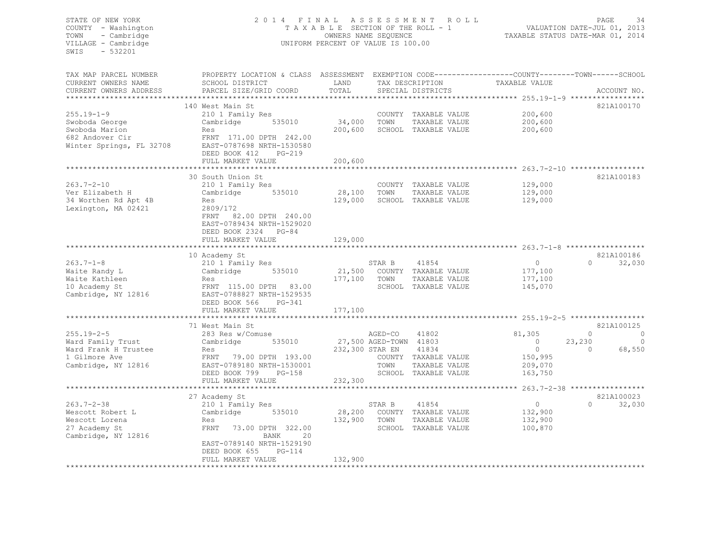#### STATE OF NEW YORK 2 0 1 4 F I N A L A S S E S S M E N T R O L L PAGE 34 COUNTY - Washington T A X A B L E SECTION OF THE ROLL - 1 VALUATION DATE-JUL 01, 2013 TOWN - Cambridge OWNERS NAME SEQUENCE TAXABLE STATUS DATE-MAR 01, 2014 VILLAGE - Cambridge **UNIFORM PERCENT OF VALUE IS 100.00**

| TAX MAP PARCEL NUMBER<br>CURRENT OWNERS NAME | PROPERTY LOCATION & CLASS ASSESSMENT<br>SCHOOL DISTRICT                                    | LAND            |                        | TAX DESCRIPTION      | EXEMPTION CODE-----------------COUNTY-------TOWN------SCHOOL<br>TAXABLE VALUE |          |             |
|----------------------------------------------|--------------------------------------------------------------------------------------------|-----------------|------------------------|----------------------|-------------------------------------------------------------------------------|----------|-------------|
| CURRENT OWNERS ADDRESS                       | PARCEL SIZE/GRID COORD                                                                     | TOTAL           |                        | SPECIAL DISTRICTS    |                                                                               |          | ACCOUNT NO. |
|                                              | 140 West Main St                                                                           |                 |                        |                      |                                                                               |          | 821A100170  |
| $255.19 - 1 - 9$                             | 210 1 Family Res                                                                           |                 |                        | COUNTY TAXABLE VALUE | 200,600                                                                       |          |             |
| Swoboda George                               | Cambridge<br>535010                                                                        | 34,000          | TOWN                   | TAXABLE VALUE        | 200,600                                                                       |          |             |
| Swoboda Marion                               | Res                                                                                        | 200,600         |                        | SCHOOL TAXABLE VALUE | 200,600                                                                       |          |             |
| 682 Andover Cir<br>Winter Springs, FL 32708  | FRNT 171.00 DPTH 242.00<br>EAST-0787698 NRTH-1530580<br>DEED BOOK 412<br>$PG-219$          |                 |                        |                      |                                                                               |          |             |
|                                              | FULL MARKET VALUE<br>***********************                                               | 200,600         |                        |                      |                                                                               |          |             |
|                                              | 30 South Union St                                                                          |                 |                        |                      |                                                                               |          | 821A100183  |
| $263.7 - 2 - 10$                             | 210 1 Family Res                                                                           |                 |                        | COUNTY TAXABLE VALUE | 129,000                                                                       |          |             |
| Ver Elizabeth H                              | 535010<br>Cambridge                                                                        | 28,100          | TOWN                   | TAXABLE VALUE        | 129,000                                                                       |          |             |
| 34 Worthen Rd Apt 4B                         | Res                                                                                        | 129,000         |                        | SCHOOL TAXABLE VALUE | 129,000                                                                       |          |             |
| Lexington, MA 02421                          | 2809/172<br>FRNT<br>82.00 DPTH 240.00<br>EAST-0789434 NRTH-1529020<br>DEED BOOK 2324 PG-84 |                 |                        |                      |                                                                               |          |             |
|                                              | FULL MARKET VALUE                                                                          | 129,000         |                        |                      |                                                                               |          |             |
|                                              | *******************                                                                        |                 |                        |                      |                                                                               |          |             |
|                                              | 10 Academy St                                                                              |                 |                        |                      |                                                                               |          | 821A100186  |
| $263.7 - 1 - 8$                              | 210 1 Family Res                                                                           |                 | STAR B                 | 41854                | $\circ$                                                                       | $\Omega$ | 32,030      |
| Waite Randy L                                | 535010<br>Cambridge                                                                        | 21,500          |                        | COUNTY TAXABLE VALUE | 177,100                                                                       |          |             |
| Waite Kathleen                               | Res                                                                                        | 177,100         | TOWN                   | TAXABLE VALUE        | 177,100                                                                       |          |             |
| 10 Academy St<br>Cambridge, NY 12816         | FRNT 115.00 DPTH 83.00<br>EAST-0788827 NRTH-1529535<br>DEED BOOK 566<br>PG-341             |                 |                        | SCHOOL TAXABLE VALUE | 145,070                                                                       |          |             |
|                                              | FULL MARKET VALUE                                                                          | 177,100         |                        |                      |                                                                               |          |             |
|                                              | 71 West Main St                                                                            |                 |                        |                      |                                                                               |          | 821A100125  |
| $255.19 - 2 - 5$                             | 283 Res w/Comuse                                                                           |                 | AGED-CO                | 41802                | 81,305                                                                        | $\circ$  | C           |
| Ward Family Trust                            | Cambridge<br>535010                                                                        |                 | 27,500 AGED-TOWN 41803 |                      | $\circ$                                                                       | 23,230   |             |
| Ward Frank H Trustee                         | Res                                                                                        | 232,300 STAR EN |                        | 41834                | $\circ$                                                                       | $\Omega$ | 68,550      |
| 1 Gilmore Ave                                | FRNT 79.00 DPTH 193.00                                                                     |                 |                        | COUNTY TAXABLE VALUE | 150,995                                                                       |          |             |
| Cambridge, NY 12816                          | EAST-0789180 NRTH-1530001                                                                  |                 | TOWN                   | TAXABLE VALUE        | 209,070                                                                       |          |             |
|                                              | DEED BOOK 799<br>$PG-158$                                                                  |                 |                        | SCHOOL TAXABLE VALUE | 163,750                                                                       |          |             |
|                                              | FULL MARKET VALUE                                                                          | 232,300         |                        |                      |                                                                               |          |             |
|                                              |                                                                                            |                 |                        |                      |                                                                               |          |             |
|                                              | 27 Academy St                                                                              |                 |                        |                      |                                                                               |          | 821A100023  |
| $263.7 - 2 - 38$                             | 210 1 Family Res                                                                           |                 | STAR B                 | 41854                | $\overline{0}$                                                                | $\Omega$ | 32,030      |
| Wescott Robert L                             | 535010<br>Cambridge                                                                        | 28,200          |                        | COUNTY TAXABLE VALUE | 132,900                                                                       |          |             |
| Wescott Lorena                               | Res                                                                                        | 132,900         | TOWN                   | TAXABLE VALUE        | 132,900                                                                       |          |             |
| 27 Academy St                                | 73.00 DPTH 322.00<br>FRNT                                                                  |                 |                        | SCHOOL TAXABLE VALUE | 100,870                                                                       |          |             |
| Cambridge, NY 12816                          | 20<br>BANK                                                                                 |                 |                        |                      |                                                                               |          |             |
|                                              | EAST-0789140 NRTH-1529190                                                                  |                 |                        |                      |                                                                               |          |             |
|                                              | $PG-114$<br>DEED BOOK 655                                                                  |                 |                        |                      |                                                                               |          |             |
| ***********************                      | FULL MARKET VALUE                                                                          | 132,900         |                        |                      |                                                                               |          |             |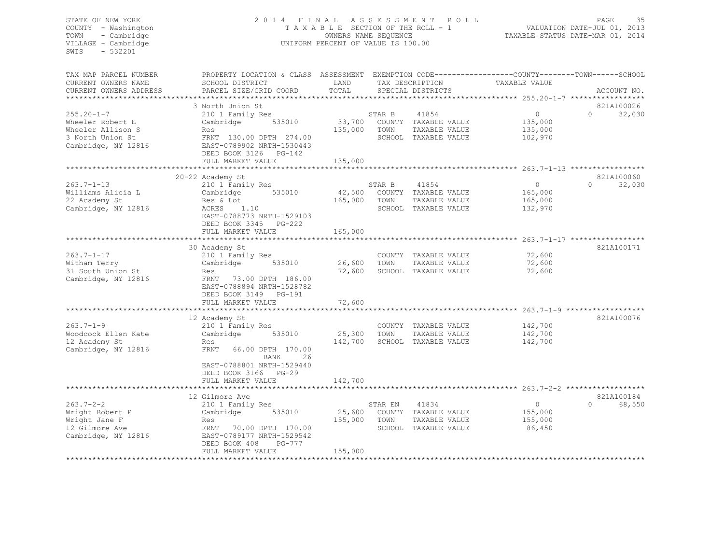# STATE OF NEW YORK 2014 FINAL ASSESSMENT ROLL<br>COUNTY - Washington 2013<br>COUNTY - Washington 2013 TAXABLE SECTION OF THE ROLL - 1 COUNTY - Washington T A X A B L E SECTION OF THE ROLL - 1<br>
TOWN - Cambridge T A VALUATION OWNERS NAME SEQUENCE TOWN - Cambridge OWNERS NAME SEQUENCE TAXABLE STATUS DATE-MAR 01, 2014 UNIFORM PERCENT OF VALUE IS 100.00

| TAX MAP PARCEL NUMBER<br>CURRENT OWNERS NAME | PROPERTY LOCATION & CLASS ASSESSMENT EXEMPTION CODE----------------COUNTY-------TOWN------SCHOOL<br>SCHOOL DISTRICT | LAND    |         | TAX DESCRIPTION             | TAXABLE VALUE |          |                      |
|----------------------------------------------|---------------------------------------------------------------------------------------------------------------------|---------|---------|-----------------------------|---------------|----------|----------------------|
| CURRENT OWNERS ADDRESS                       | PARCEL SIZE/GRID COORD                                                                                              | TOTAL   |         | SPECIAL DISTRICTS           |               |          | ACCOUNT NO.          |
| *************************                    |                                                                                                                     |         |         |                             |               |          |                      |
| $255.20 - 1 - 7$                             | 3 North Union St                                                                                                    |         |         | 41854                       | $\circ$       | $\cap$   | 821A100026<br>32,030 |
| Wheeler Robert E                             | 210 1 Family Res<br>535010                                                                                          |         | STAR B  | 33,700 COUNTY TAXABLE VALUE | 135,000       |          |                      |
| Wheeler Allison S                            | Cambridge<br>Res                                                                                                    | 135,000 | TOWN    | TAXABLE VALUE               | 135,000       |          |                      |
| 3 North Union St                             | FRNT 130.00 DPTH 274.00                                                                                             |         |         | SCHOOL TAXABLE VALUE        | 102,970       |          |                      |
| Cambridge, NY 12816                          | EAST-0789902 NRTH-1530443                                                                                           |         |         |                             |               |          |                      |
|                                              | DEED BOOK 3126 PG-142                                                                                               |         |         |                             |               |          |                      |
|                                              | FULL MARKET VALUE                                                                                                   | 135,000 |         |                             |               |          |                      |
|                                              |                                                                                                                     |         |         |                             |               |          |                      |
|                                              | 20-22 Academy St                                                                                                    |         |         |                             |               |          | 821A100060           |
| $263.7 - 1 - 13$                             | 210 1 Family Res                                                                                                    |         | STAR B  | 41854                       | $\circ$       | $\Omega$ | 32,030               |
| Williams Alicia L                            | 535010<br>Cambridge                                                                                                 | 42,500  |         | COUNTY TAXABLE VALUE        | 165,000       |          |                      |
| 22 Academy St                                | Res & Lot                                                                                                           | 165,000 | TOWN    | TAXABLE VALUE               | 165,000       |          |                      |
| Cambridge, NY 12816                          | ACRES<br>1.10                                                                                                       |         |         | SCHOOL TAXABLE VALUE        | 132,970       |          |                      |
|                                              | EAST-0788773 NRTH-1529103                                                                                           |         |         |                             |               |          |                      |
|                                              | DEED BOOK 3345 PG-222                                                                                               |         |         |                             |               |          |                      |
|                                              | FULL MARKET VALUE                                                                                                   | 165,000 |         |                             |               |          |                      |
|                                              |                                                                                                                     |         |         |                             |               |          |                      |
|                                              | 30 Academy St                                                                                                       |         |         |                             |               |          | 821A100171           |
| $263.7 - 1 - 17$                             | 210 1 Family Res                                                                                                    |         |         | COUNTY TAXABLE VALUE        | 72,600        |          |                      |
| Witham Terry                                 | 535010<br>Cambridge                                                                                                 | 26,600  | TOWN    | TAXABLE VALUE               | 72,600        |          |                      |
| 31 South Union St                            | Res                                                                                                                 | 72,600  |         | SCHOOL TAXABLE VALUE        | 72,600        |          |                      |
| Cambridge, NY 12816                          | FRNT 73.00 DPTH 186.00                                                                                              |         |         |                             |               |          |                      |
|                                              | EAST-0788894 NRTH-1528782                                                                                           |         |         |                             |               |          |                      |
|                                              | DEED BOOK 3149 PG-191                                                                                               |         |         |                             |               |          |                      |
|                                              | FULL MARKET VALUE                                                                                                   | 72,600  |         |                             |               |          |                      |
|                                              |                                                                                                                     |         |         |                             |               |          |                      |
|                                              | 12 Academy St                                                                                                       |         |         |                             |               |          | 821A100076           |
| $263.7 - 1 - 9$                              | 210 1 Family Res                                                                                                    |         |         | COUNTY TAXABLE VALUE        | 142,700       |          |                      |
| Woodcock Ellen Kate                          | Cambridge<br>535010                                                                                                 | 25,300  | TOWN    | TAXABLE VALUE               | 142,700       |          |                      |
| 12 Academy St                                | Res                                                                                                                 | 142,700 |         | SCHOOL TAXABLE VALUE        | 142,700       |          |                      |
| Cambridge, NY 12816                          | FRNT<br>66.00 DPTH 170.00                                                                                           |         |         |                             |               |          |                      |
|                                              | BANK<br>26                                                                                                          |         |         |                             |               |          |                      |
|                                              | EAST-0788801 NRTH-1529440                                                                                           |         |         |                             |               |          |                      |
|                                              | DEED BOOK 3166 PG-29                                                                                                | 142,700 |         |                             |               |          |                      |
|                                              | FULL MARKET VALUE                                                                                                   |         |         |                             |               |          |                      |
|                                              | 12 Gilmore Ave                                                                                                      |         |         |                             |               |          | 821A100184           |
| $263.7 - 2 - 2$                              |                                                                                                                     |         | STAR EN | 41834                       | $\circ$       | $\Omega$ | 68,550               |
| Wright Robert P                              | 210 1 Family Res<br>Cambridge<br>535010                                                                             | 25,600  |         | COUNTY TAXABLE VALUE        | 155,000       |          |                      |
| Wright Jane F                                | Res                                                                                                                 | 155,000 | TOWN    | TAXABLE VALUE               | 155,000       |          |                      |
| 12 Gilmore Ave                               | FRNT 70.00 DPTH 170.00                                                                                              |         |         | SCHOOL TAXABLE VALUE        | 86,450        |          |                      |
| Cambridge, NY 12816                          | EAST-0789177 NRTH-1529542                                                                                           |         |         |                             |               |          |                      |
|                                              | DEED BOOK 408<br>PG-777                                                                                             |         |         |                             |               |          |                      |
|                                              | FULL MARKET VALUE                                                                                                   | 155,000 |         |                             |               |          |                      |
|                                              |                                                                                                                     |         |         |                             |               |          |                      |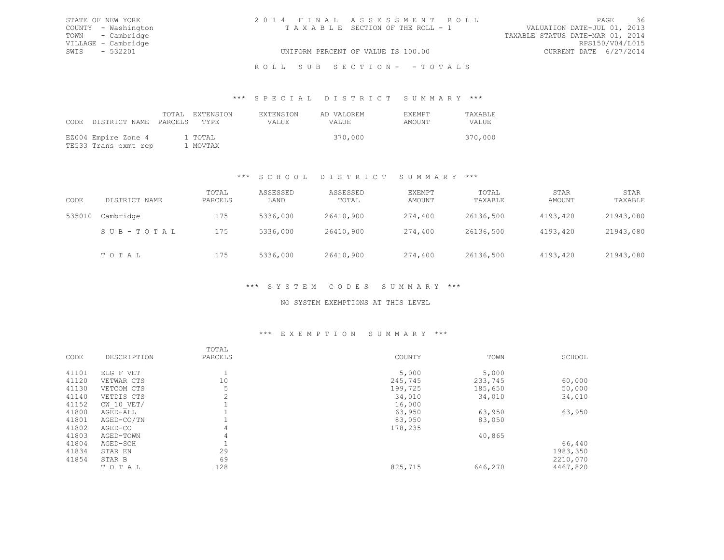| STATE OF NEW YORK   | 2014 FINAL ASSESSMENT ROLL         | - 36<br>PAGE                     |
|---------------------|------------------------------------|----------------------------------|
| COUNTY - Washington | TAXABLE SECTION OF THE ROLL - 1    | VALUATION DATE-JUL 01, 2013      |
| TOWN - Cambridge    |                                    | TAXABLE STATUS DATE-MAR 01, 2014 |
| VILLAGE - Cambridge |                                    | RPS150/V04/L015                  |
| SWIS - 532201       | UNIFORM PERCENT OF VALUE IS 100.00 | CURRENT DATE 6/27/2014           |
|                     |                                    |                                  |

# ROLL SUB SECTION- - TOTALS

#### \*\*\* S P E C I A L D I S T R I C T S U M M A R Y \*\*\*

| CODE DISTRICT NAME PARCELS TYPE             | TOTAL EXTENSION     | <b>EXTENSION</b><br>VALUE. | AD VALOREM<br><b>VALUE</b> | <b>FXFMPT</b><br>AMOUNT | <b>TAXABLE</b><br>VALUE. |
|---------------------------------------------|---------------------|----------------------------|----------------------------|-------------------------|--------------------------|
| EZ004 Empire Zone 4<br>TE533 Trans exmt rep | 1 TOTAL<br>1 MOVTAX |                            | 370,000                    |                         | 370,000                  |

# \*\*\* S C H O O L D I S T R I C T S U M M A R Y \*\*\*

| CODE   | DISTRICT NAME | TOTAL<br>PARCELS | ASSESSED<br>LAND | ASSESSED<br>TOTAL | EXEMPT<br>AMOUNT | TOTAL<br>TAXABLE | STAR<br>AMOUNT | STAR<br>TAXABLE |
|--------|---------------|------------------|------------------|-------------------|------------------|------------------|----------------|-----------------|
| 535010 | Cambridge     | 175              | 5336,000         | 26410,900         | 274,400          | 26136,500        | 4193,420       | 21943,080       |
|        | SUB-TOTAL     | 175              | 5336,000         | 26410,900         | 274,400          | 26136,500        | 4193,420       | 21943,080       |
|        | TOTAL         | 175              | 5336,000         | 26410,900         | 274,400          | 26136,500        | 4193,420       | 21943,080       |

### \*\*\* S Y S T E M C O D E S S U M M A R Y \*\*\*

### NO SYSTEM EXEMPTIONS AT THIS LEVEL

#### \*\*\* E X E M P T I O N S U M M A R Y \*\*\*

|       |                | TOTAL          |         |         |          |
|-------|----------------|----------------|---------|---------|----------|
| CODE  | DESCRIPTION    | PARCELS        | COUNTY  | TOWN    | SCHOOL   |
| 41101 | ELG F VET      |                | 5,000   | 5,000   |          |
| 41120 | VETWAR CTS     | 10             | 245,745 | 233,745 | 60,000   |
| 41130 | VETCOM CTS     | 5              | 199,725 | 185,650 | 50,000   |
| 41140 | VETDIS CTS     | $\overline{2}$ | 34,010  | 34,010  | 34,010   |
| 41152 | $CW$ 10 $VET/$ |                | 16,000  |         |          |
| 41800 | AGED-ALL       |                | 63,950  | 63,950  | 63,950   |
| 41801 | AGED-CO/TN     |                | 83,050  | 83,050  |          |
| 41802 | AGED-CO        | 4              | 178,235 |         |          |
| 41803 | AGED-TOWN      | 4              |         | 40,865  |          |
| 41804 | AGED-SCH       |                |         |         | 66,440   |
| 41834 | STAR EN        | 29             |         |         | 1983,350 |
| 41854 | STAR B         | 69             |         |         | 2210,070 |
|       | TOTAL          | 128            | 825,715 | 646,270 | 4467,820 |
|       |                |                |         |         |          |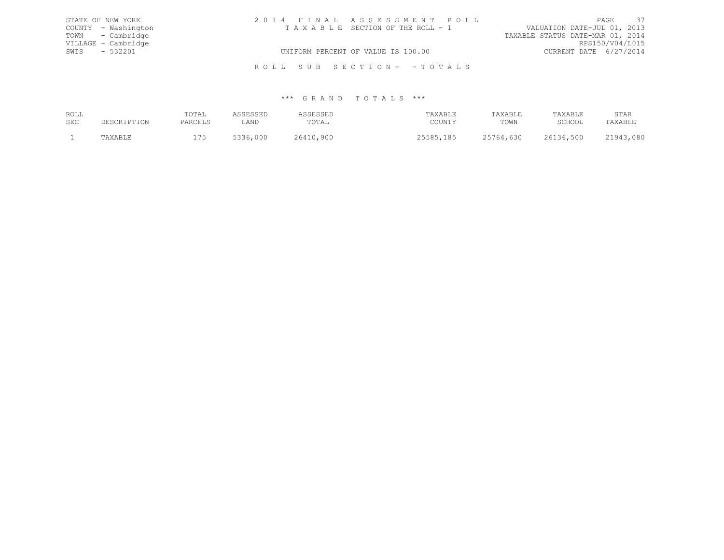|               | STATE OF NEW YORK   | 2014 FINAL ASSESSMENT ROLL |                                    |                                  |                 | PAGE 37 |  |
|---------------|---------------------|----------------------------|------------------------------------|----------------------------------|-----------------|---------|--|
|               | COUNTY - Washington |                            | TAXABLE SECTION OF THE ROLL - 1    | VALUATION DATE-JUL 01, 2013      |                 |         |  |
|               | TOWN - Cambridge    |                            |                                    | TAXABLE STATUS DATE-MAR 01, 2014 |                 |         |  |
|               | VILLAGE - Cambridge |                            |                                    |                                  | RPS150/V04/L015 |         |  |
| SWIS - 532201 |                     |                            | UNIFORM PERCENT OF VALUE IS 100.00 | CURRENT DATE 6/27/2014           |                 |         |  |
|               |                     |                            |                                    |                                  |                 |         |  |

R O L L S U B S E C T I O N - - T O T A L S

| ROLL | POTAL      |                   |             | ∵PAYAR <sup>T</sup> | TAXABLE | <b>TAYART.F</b>                           | STAF     |
|------|------------|-------------------|-------------|---------------------|---------|-------------------------------------------|----------|
| SEC  | $\sqrt{2}$ | LAND              | 'OTAL       | ∨ידוו∩י             | TOWN    | $\cap$ $\cap$ $\cap$ $\cap$ $\cap$ $\cap$ |          |
|      | .          | nηr<br>ししし<br>--- | 900<br>' 64 | 105                 | ししし     | ,500                                      | nor<br>. |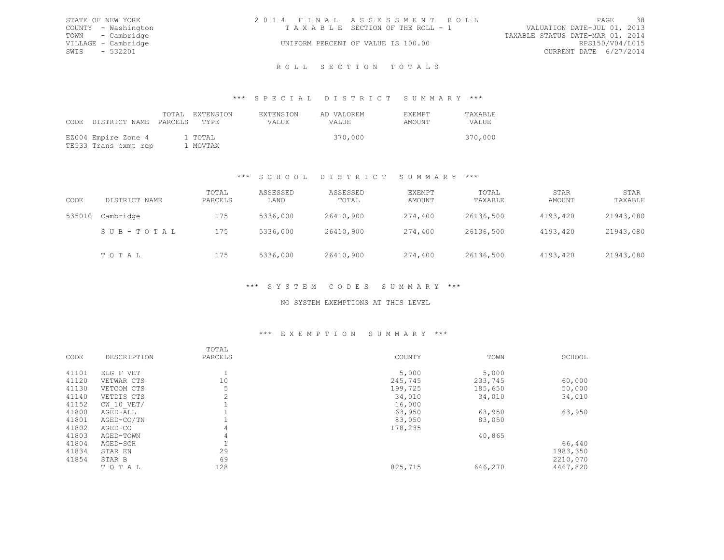| STATE OF NEW YORK   | 2014 FINAL ASSESSMENT ROLL |                                    |                                  | PAGE                   | - 38 |
|---------------------|----------------------------|------------------------------------|----------------------------------|------------------------|------|
| COUNTY - Washington |                            | TAXABLE SECTION OF THE ROLL - 1    | VALUATION DATE-JUL 01, 2013      |                        |      |
| TOWN - Cambridge    |                            |                                    | TAXABLE STATUS DATE-MAR 01, 2014 |                        |      |
| VILLAGE - Cambridge |                            | UNIFORM PERCENT OF VALUE IS 100.00 |                                  | RPS150/V04/L015        |      |
| SWIS - 532201       |                            |                                    |                                  | CURRENT DATE 6/27/2014 |      |
|                     |                            |                                    |                                  |                        |      |

# ROLL SECTION TOTALS

#### \*\*\* S P E C I A L D I S T R I C T S U M M A R Y \*\*\*

| CODE DISTRICT NAME PARCELS TYPE             | TOTAL EXTENSION     | <b>EXTENSION</b><br>VALUE. | AD VALOREM<br><b>VALUE</b> | <b>FXFMPT</b><br>AMOUNT | TAXABLE<br>VALUE. |
|---------------------------------------------|---------------------|----------------------------|----------------------------|-------------------------|-------------------|
| EZ004 Empire Zone 4<br>TE533 Trans exmt rep | 1 TOTAL<br>1 MOVTAX |                            | 370,000                    |                         | 370,000           |

# \*\*\* S C H O O L D I S T R I C T S U M M A R Y \*\*\*

| CODE   | DISTRICT NAME | TOTAL<br>PARCELS | ASSESSED<br>LAND | ASSESSED<br>TOTAL | EXEMPT<br>AMOUNT | TOTAL<br>TAXABLE | STAR<br>AMOUNT | STAR<br>TAXABLE |
|--------|---------------|------------------|------------------|-------------------|------------------|------------------|----------------|-----------------|
| 535010 | Cambridge     | 175              | 5336,000         | 26410,900         | 274,400          | 26136,500        | 4193,420       | 21943,080       |
|        | SUB-TOTAL     | 175              | 5336,000         | 26410,900         | 274,400          | 26136,500        | 4193,420       | 21943,080       |
|        | TOTAL         | 175              | 5336,000         | 26410,900         | 274,400          | 26136,500        | 4193,420       | 21943,080       |

# \*\*\* S Y S T E M C O D E S S U M M A R Y \*\*\*

# NO SYSTEM EXEMPTIONS AT THIS LEVEL

# \*\*\* E X E M P T I O N S U M M A R Y \*\*\*

| SCHOOL   |
|----------|
|          |
|          |
| 60,000   |
| 50,000   |
| 34,010   |
|          |
| 63,950   |
|          |
|          |
|          |
| 66,440   |
| 1983,350 |
| 2210,070 |
| 4467,820 |
|          |
|          |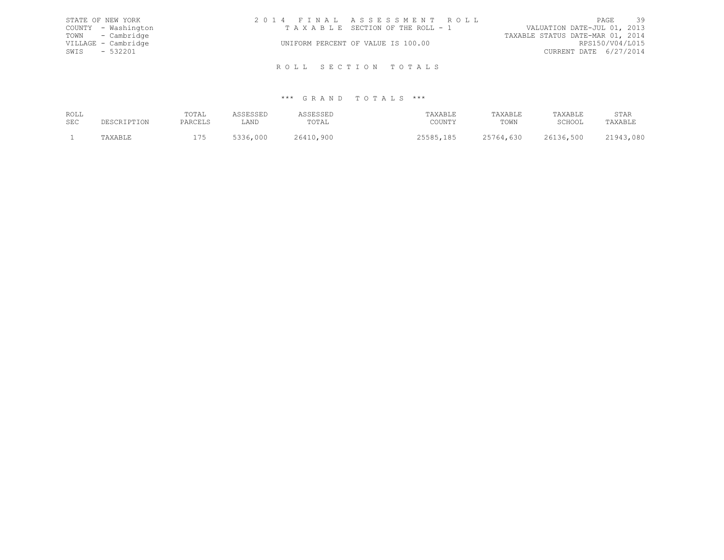| STATE OF NEW YORK   | 2014 FINAL ASSESSMENT ROLL         | PAGE 39                          |
|---------------------|------------------------------------|----------------------------------|
| COUNTY - Washington | TAXABLE SECTION OF THE ROLL - 1    | VALUATION DATE-JUL 01, 2013      |
| TOWN - Cambridge    |                                    | TAXABLE STATUS DATE-MAR 01, 2014 |
| VILLAGE - Cambridge | UNIFORM PERCENT OF VALUE IS 100.00 | RPS150/V04/L015                  |
| SWIS - 532201       |                                    | CURRENT DATE 6/27/2014           |
|                     | ROLL SECTION TOTALS                |                                  |

| ROLL | POTAL      |                   |            | ∵PAYAR <sup>T</sup> | TAXABLE | <b>TAYART.F</b>                           | STAF     |
|------|------------|-------------------|------------|---------------------|---------|-------------------------------------------|----------|
| SEC  | י דהומת בי | LAND              | 'OTAL      | ∨ידוו∩י             | TOWN    | $\cap$ $\cap$ $\cap$ $\cap$ $\cap$ $\cap$ |          |
|      | .          | nnr<br>ししし<br>--- | 900<br>≀64 | 105                 | しつし     | ,500<br>.6                                | nor<br>. |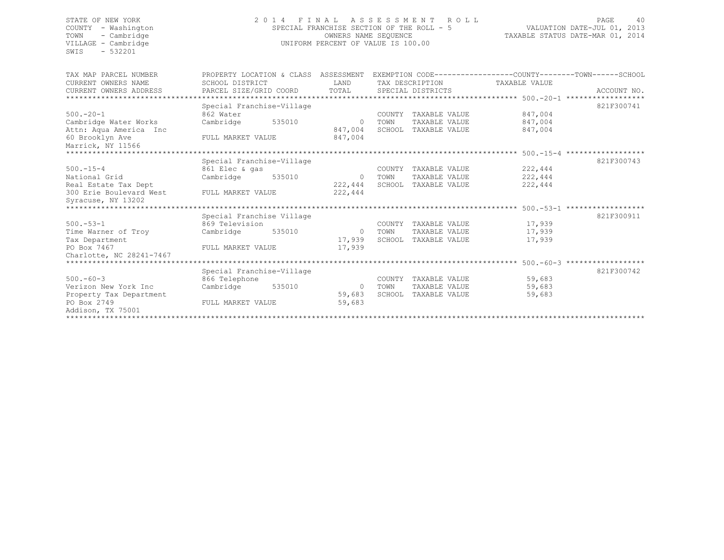SWIS - 532201

### STATE OF NEW YORK 2 0 1 4 F I N A L A S S E S S M E N T R O L L PAGE 40 COUNTY - Washington SPECIAL FRANCHISE SECTION OF THE ROLL - 5 VALUATION DATE-JUL 01, 2013 TOWN - Cambridge OWNERS NAME SEQUENCE TAXABLE STATUS DATE-MAR 01, 2014 UNIFORM PERCENT OF VALUE IS 100.00

| TAX MAP PARCEL NUMBER                 | PROPERTY LOCATION & CLASS ASSESSMENT |        |              |        |                      |               | EXEMPTION CODE-----------------COUNTY-------TOWN------SCHOOL |
|---------------------------------------|--------------------------------------|--------|--------------|--------|----------------------|---------------|--------------------------------------------------------------|
| CURRENT OWNERS NAME                   | SCHOOL DISTRICT                      |        | <b>T.AND</b> |        | TAX DESCRIPTION      | TAXABLE VALUE |                                                              |
| CURRENT OWNERS ADDRESS                | PARCEL SIZE/GRID COORD               | TOTAL  |              |        | SPECIAL DISTRICTS    |               | ACCOUNT NO.                                                  |
|                                       |                                      |        |              |        |                      |               |                                                              |
|                                       | Special Franchise-Village            |        |              |        |                      |               | 821F300741                                                   |
| $500 - 20 - 1$                        | 862 Water                            |        |              | COUNTY | TAXABLE VALUE        | 847,004       |                                                              |
| Cambridge Water Works                 | Cambridge                            | 535010 | $\Omega$     | TOWN   | TAXABLE VALUE        | 847,004       |                                                              |
| Attn: Aqua America Inc                |                                      |        | 847,004      |        | SCHOOL TAXABLE VALUE | 847,004       |                                                              |
| 60 Brooklyn Ave                       | FULL MARKET VALUE                    |        | 847,004      |        |                      |               |                                                              |
| Marrick, NY 11566                     |                                      |        |              |        |                      |               |                                                              |
|                                       |                                      |        |              |        |                      |               |                                                              |
| Special Franchise-Village             |                                      |        |              |        |                      |               | 821F300743                                                   |
| $500. - 15 - 4$                       | 861 Elec & gas                       |        |              | COUNTY | TAXABLE VALUE        | 222,444       |                                                              |
| National Grid                         | Cambridge                            | 535010 | $\circ$      | TOWN   | TAXABLE VALUE        | 222,444       |                                                              |
| Real Estate Tax Dept                  |                                      |        | 222,444      |        | SCHOOL TAXABLE VALUE | 222,444       |                                                              |
| 300 Erie Boulevard West               | FULL MARKET VALUE                    |        | 222,444      |        |                      |               |                                                              |
| Syracuse, NY 13202                    |                                      |        |              |        |                      |               |                                                              |
|                                       |                                      |        |              |        |                      |               |                                                              |
|                                       | Special Franchise Village            |        |              |        |                      |               | 821F300911                                                   |
| $500. - 53 - 1$                       | 869 Television                       |        |              | COUNTY | TAXABLE VALUE        | 17,939        |                                                              |
| Time Warner of Troy                   | Cambridge                            | 535010 | $\Omega$     | TOWN   | TAXABLE VALUE        | 17,939        |                                                              |
| Tax Department                        |                                      |        | 17,939       | SCHOOL | TAXABLE VALUE        | 17,939        |                                                              |
| PO Box 7467                           | FULL MARKET VALUE                    |        | 17,939       |        |                      |               |                                                              |
| Charlotte, NC 28241-7467              |                                      |        |              |        |                      |               |                                                              |
| ******************************        |                                      |        |              |        |                      |               |                                                              |
|                                       | Special Franchise-Village            |        |              |        |                      |               | 821F300742                                                   |
| $500 - 60 - 3$                        | 866 Telephone                        |        |              | COUNTY | TAXABLE VALUE        | 59,683        |                                                              |
| Verizon New York Inc                  | Cambridge                            | 535010 | $\circ$      | TOWN   | TAXABLE VALUE        | 59,683        |                                                              |
| Property Tax Department               |                                      |        | 59,683       |        | SCHOOL TAXABLE VALUE | 59,683        |                                                              |
| PO Box 2749                           | FULL MARKET VALUE                    |        | 59,683       |        |                      |               |                                                              |
| Addison, TX 75001                     |                                      |        |              |        |                      |               |                                                              |
| ************************************* |                                      |        |              |        |                      |               |                                                              |
|                                       |                                      |        |              |        |                      |               |                                                              |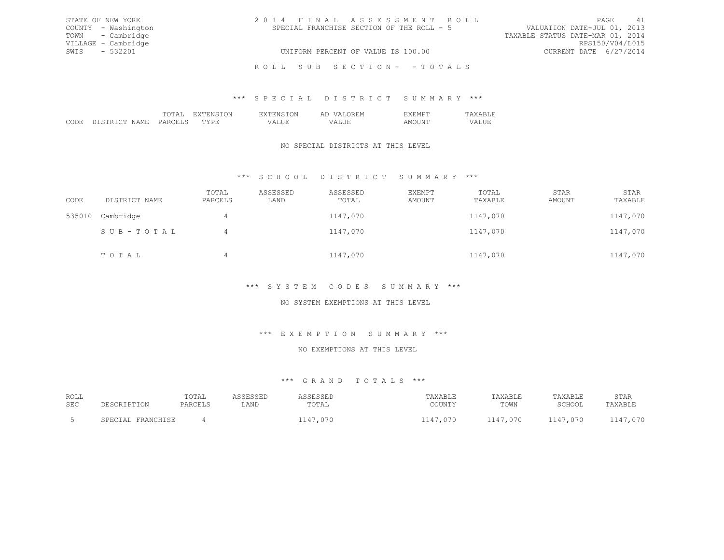| STATE OF NEW YORK   | 2014 FINAL ASSESSMENT ROLL                | 41<br>PAGE                       |
|---------------------|-------------------------------------------|----------------------------------|
| COUNTY - Washington | SPECIAL FRANCHISE SECTION OF THE ROLL - 5 | VALUATION DATE-JUL 01, 2013      |
| TOWN - Cambridge    |                                           | TAXABLE STATUS DATE-MAR 01, 2014 |
| VILLAGE - Cambridge |                                           | RPS150/V04/L015                  |
| SWIS - 532201       | UNIFORM PERCENT OF VALUE IS 100.00        | CURRENT DATE 6/27/2014           |
|                     | ROLL SUB SECTION- - TOTALS                |                                  |

#### \*\*\* S P E C I A L D I S T R I C T S U M M A R Y \*\*\*

|        |  | - 1<br>- - - |  |
|--------|--|--------------|--|
| חי<br> |  |              |  |

### NO SPECIAL DISTRICTS AT THIS LEVEL

# \*\*\* S C H O O L D I S T R I C T S U M M A R Y \*\*\*

| CODE   | DISTRICT NAME | TOTAL<br>PARCELS | ASSESSED<br>LAND | ASSESSED<br>TOTAL | EXEMPT<br>AMOUNT | TOTAL<br>TAXABLE | STAR<br>AMOUNT | STAR<br>TAXABLE |
|--------|---------------|------------------|------------------|-------------------|------------------|------------------|----------------|-----------------|
| 535010 | Cambridge     | 4                |                  | 1147,070          |                  | 1147,070         |                | 1147,070        |
|        | SUB-TOTAL     | 4                |                  | 1147,070          |                  | 1147,070         |                | 1147,070        |
|        | TOTAL         | 4                |                  | 1147,070          |                  | 1147,070         |                | 1147,070        |

# \*\*\* S Y S T E M C O D E S S U M M A R Y \*\*\*

# NO SYSTEM EXEMPTIONS AT THIS LEVEL

# \*\*\* E X E M P T I O N S U M M A R Y \*\*\*

#### NO EXEMPTIONS AT THIS LEVEL

| ROLL |                   | TOTAL   | ASSESSED | ASSESSED | TAXABLE  | TAXABLE  | TAXABLE  | STAR     |
|------|-------------------|---------|----------|----------|----------|----------|----------|----------|
| SEC  | DESCRIPTION       | PARCELS | LAND     | TOTAL    | COUNTY   | TOWN     | SCHOOL   | TAXABLE  |
|      | SPECIAL FRANCHISE |         |          | 1147,070 | 1147,070 | 1147,070 | 1147,070 | 1147,070 |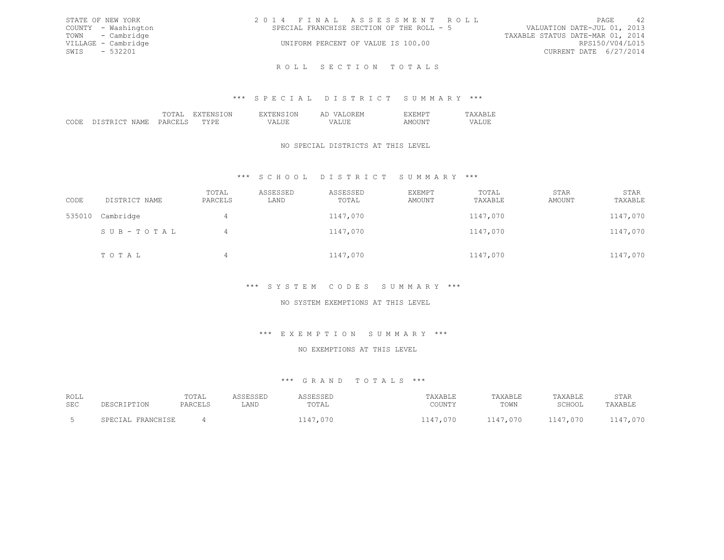| STATE OF NEW YORK   | 2014 FINAL ASSESSMENT ROLL                | -42<br>PAGE                      |
|---------------------|-------------------------------------------|----------------------------------|
| COUNTY - Washington | SPECIAL FRANCHISE SECTION OF THE ROLL - 5 | VALUATION DATE-JUL 01, 2013      |
| TOWN - Cambridge    |                                           | TAXABLE STATUS DATE-MAR 01, 2014 |
| VILLAGE - Cambridge | UNIFORM PERCENT OF VALUE IS 100.00        | RPS150/V04/L015                  |
| SWIS - 532201       |                                           | CURRENT DATE 6/27/2014           |
|                     |                                           |                                  |

R O L L S E C T I O N T O T A L S

#### \*\*\* S P E C I A L D I S T R I C T S U M M A R Y \*\*\*

|  |  | $\sim$ |  |
|--|--|--------|--|
|  |  |        |  |
|  |  |        |  |

# NO SPECIAL DISTRICTS AT THIS LEVEL

# \*\*\* S C H O O L D I S T R I C T S U M M A R Y \*\*\*

| CODE   | DISTRICT NAME | TOTAL<br>PARCELS | ASSESSED<br>LAND | ASSESSED<br>TOTAL | EXEMPT<br>AMOUNT | TOTAL<br>TAXABLE | STAR<br>AMOUNT | STAR<br>TAXABLE |
|--------|---------------|------------------|------------------|-------------------|------------------|------------------|----------------|-----------------|
| 535010 | Cambridge     | 4                |                  | 1147,070          |                  | 1147,070         |                | 1147,070        |
|        | SUB-TOTAL     | 4                |                  | 1147,070          |                  | 1147,070         |                | 1147,070        |
|        | TOTAL         | 4                |                  | 1147,070          |                  | 1147,070         |                | 1147,070        |

# \*\*\* S Y S T E M C O D E S S U M M A R Y \*\*\*

# NO SYSTEM EXEMPTIONS AT THIS LEVEL

#### \*\*\* E X E M P T I O N S U M M A R Y \*\*\*

#### NO EXEMPTIONS AT THIS LEVEL

| ROLL |                            | TOTAL |      |          | TAXABLE             | TAXABLE     | TAXABLE  | STAR     |
|------|----------------------------|-------|------|----------|---------------------|-------------|----------|----------|
| SEC  |                            |       | LAND | UTAL     | COTINITY<br>JUUN 11 | TOWN        | SCHOOL   | 'AXABLE  |
|      |                            |       |      |          |                     |             |          |          |
|      | FRANCHISE<br><b>PECIAL</b> |       |      | 1147,070 | ,070<br>117.<br>--- | .070<br>--- | 1147,070 | 1147,070 |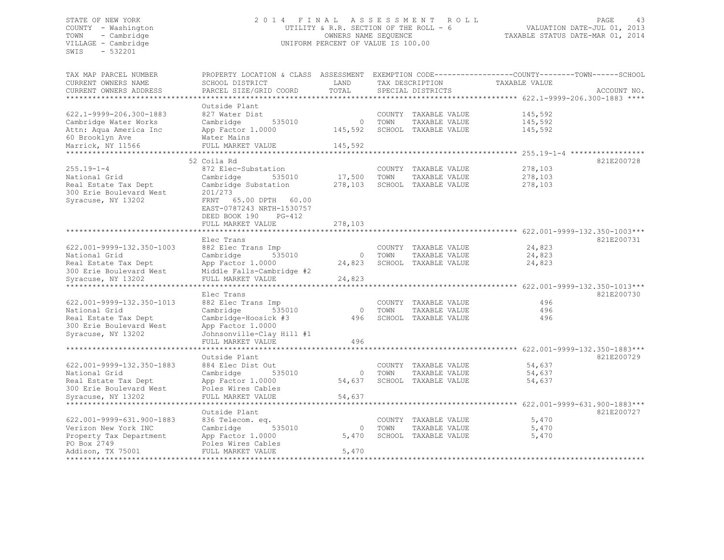SWIS - 532201

### STATE OF NEW YORK 2 0 1 4 F I N A L A S S E S S M E N T R O L L PAGE 43 COUNTY - Washington UTILITY & R.R. SECTION OF THE ROLL - 6 VALUATION DATE-JUL 01, 2013 TOWN - Cambridge OWNERS NAME SEQUENCE TAXABLE STATUS DATE-MAR 01, 2014 VILLAGE - Cambridge CHARL CONSERVERT OF VALUE IS 100.00

| TAX MAP PARCEL NUMBER     | PROPERTY LOCATION & CLASS ASSESSMENT                  |          |      |                      | EXEMPTION CODE----------------COUNTY-------TOWN------SCHOOL |                              |
|---------------------------|-------------------------------------------------------|----------|------|----------------------|-------------------------------------------------------------|------------------------------|
| CURRENT OWNERS NAME       | SCHOOL DISTRICT                                       | LAND     |      | TAX DESCRIPTION      | TAXABLE VALUE                                               |                              |
| CURRENT OWNERS ADDRESS    | PARCEL SIZE/GRID COORD                                | TOTAL    |      | SPECIAL DISTRICTS    |                                                             | ACCOUNT NO.                  |
| ********************      |                                                       |          |      |                      |                                                             |                              |
|                           | Outside Plant                                         |          |      |                      |                                                             |                              |
| 622.1-9999-206.300-1883   | 827 Water Dist                                        |          |      | COUNTY TAXABLE VALUE | 145,592                                                     |                              |
| Cambridge Water Works     | Cambridge<br>535010                                   | $\circ$  | TOWN | TAXABLE VALUE        | 145,592                                                     |                              |
| Attn: Aqua America Inc    | App Factor 1.0000                                     | 145,592  |      | SCHOOL TAXABLE VALUE | 145,592                                                     |                              |
| 60 Brooklyn Ave           | Water Mains                                           |          |      |                      |                                                             |                              |
| Marrick, NY 11566         | FULL MARKET VALUE<br>********************             | 145,592  |      |                      |                                                             |                              |
|                           |                                                       |          |      |                      | $*********7.55.19-1-4$                                      |                              |
|                           | 52 Coila Rd                                           |          |      |                      |                                                             | 821E200728                   |
| $255.19 - 1 - 4$          | 872 Elec-Substation                                   |          |      | COUNTY TAXABLE VALUE | 278,103                                                     |                              |
| National Grid             | 535010<br>Cambridge                                   | 17,500   | TOWN | TAXABLE VALUE        | 278,103                                                     |                              |
| Real Estate Tax Dept      | Cambridge Substation<br>201/273                       | 278,103  |      | SCHOOL TAXABLE VALUE | 278,103                                                     |                              |
| 300 Erie Boulevard West   |                                                       |          |      |                      |                                                             |                              |
| Syracuse, NY 13202        | FRNT 65.00 DPTH<br>60.00<br>EAST-0787243 NRTH-1530757 |          |      |                      |                                                             |                              |
|                           |                                                       |          |      |                      |                                                             |                              |
|                           | DEED BOOK 190<br>PG-412                               | 278,103  |      |                      |                                                             |                              |
|                           | FULL MARKET VALUE                                     |          |      |                      |                                                             |                              |
|                           | Elec Trans                                            |          |      |                      |                                                             | 821E200731                   |
| 622.001-9999-132.350-1003 | 882 Elec Trans Imp                                    |          |      | COUNTY TAXABLE VALUE | 24,823                                                      |                              |
| National Grid             | 535010<br>Cambridge                                   | $\circ$  | TOWN | TAXABLE VALUE        | 24,823                                                      |                              |
| Real Estate Tax Dept      | App Factor 1.0000                                     | 24,823   |      | SCHOOL TAXABLE VALUE | 24,823                                                      |                              |
| 300 Erie Boulevard West   | Middle Falls-Cambridge #2                             |          |      |                      |                                                             |                              |
| Syracuse, NY 13202        | FULL MARKET VALUE                                     | 24,823   |      |                      |                                                             |                              |
| ***********************   | ***************************                           |          |      |                      |                                                             |                              |
|                           | Elec Trans                                            |          |      |                      |                                                             | 821E200730                   |
| 622.001-9999-132.350-1013 | 882 Elec Trans Imp                                    |          |      | COUNTY TAXABLE VALUE | 496                                                         |                              |
| National Grid             | Cambridge<br>535010                                   | $\Omega$ | TOWN | TAXABLE VALUE        | 496                                                         |                              |
| Real Estate Tax Dept      | Cambridge-Hoosick #3                                  | 496      |      | SCHOOL TAXABLE VALUE | 496                                                         |                              |
| 300 Erie Boulevard West   | App Factor 1.0000                                     |          |      |                      |                                                             |                              |
| Syracuse, NY 13202        | Johnsonville-Clay Hill #1                             |          |      |                      |                                                             |                              |
|                           | FULL MARKET VALUE                                     | 496      |      |                      |                                                             |                              |
|                           |                                                       |          |      |                      | **************** 622.001-9999-132.350-1883***               |                              |
|                           | Outside Plant                                         |          |      |                      |                                                             | 821E200729                   |
| 622.001-9999-132.350-1883 | 884 Elec Dist Out                                     |          |      | COUNTY TAXABLE VALUE | 54,637                                                      |                              |
| National Grid             | Cambridge<br>535010                                   | $\circ$  | TOWN | TAXABLE VALUE        | 54,637                                                      |                              |
| Real Estate Tax Dept      | App Factor 1.0000                                     | 54,637   |      | SCHOOL TAXABLE VALUE | 54,637                                                      |                              |
| 300 Erie Boulevard West   | Poles Wires Cables                                    |          |      |                      |                                                             |                              |
| Syracuse, NY 13202        | FULL MARKET VALUE                                     | 54,637   |      |                      |                                                             |                              |
|                           | *******************                                   |          |      |                      | *********                                                   | 622.001-9999-631.900-1883*** |
|                           | Outside Plant                                         |          |      |                      |                                                             | 821E200727                   |
| 622.001-9999-631.900-1883 | 836 Telecom. eq.                                      |          |      | COUNTY TAXABLE VALUE | 5,470                                                       |                              |
| Verizon New York INC      | 535010<br>Cambridge                                   | $\circ$  | TOWN | TAXABLE VALUE        | 5,470                                                       |                              |
| Property Tax Department   | App Factor 1.0000                                     | 5,470    |      | SCHOOL TAXABLE VALUE | 5,470                                                       |                              |
| PO Box 2749               | Poles Wires Cables                                    |          |      |                      |                                                             |                              |
| Addison, TX 75001         | FULL MARKET VALUE                                     | 5,470    |      |                      |                                                             |                              |
|                           |                                                       |          |      |                      |                                                             |                              |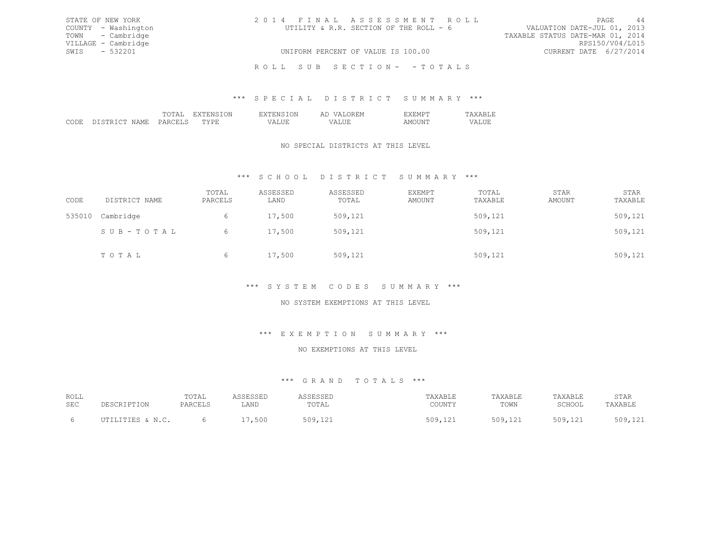| STATE OF NEW YORK   | 2014 FINAL ASSESSMENT ROLL             | -44<br>PAGE                      |
|---------------------|----------------------------------------|----------------------------------|
| COUNTY - Washington | UTILITY & R.R. SECTION OF THE ROLL - 6 | VALUATION DATE-JUL 01, 2013      |
| TOWN - Cambridge    |                                        | TAXABLE STATUS DATE-MAR 01, 2014 |
| VILLAGE - Cambridge |                                        | RPS150/V04/L015                  |
| SWIS - 532201       | UNIFORM PERCENT OF VALUE IS 100.00     | CURRENT DATE 6/27/2014           |
|                     | ROLL SUB SECTION- - TOTALS             |                                  |

# \*\*\* S P E C I A L D I S T R I C T S U M M A R Y \*\*\*

|  |  | . |      |  |
|--|--|---|------|--|
|  |  |   | \ IV |  |

#### NO SPECIAL DISTRICTS AT THIS LEVEL

# \*\*\* S C H O O L D I S T R I C T S U M M A R Y \*\*\*

| CODE   | DISTRICT NAME | TOTAL<br>PARCELS | ASSESSED<br>LAND | ASSESSED<br>TOTAL | EXEMPT<br>AMOUNT | TOTAL<br>TAXABLE | STAR<br>AMOUNT | STAR<br>TAXABLE |
|--------|---------------|------------------|------------------|-------------------|------------------|------------------|----------------|-----------------|
| 535010 | Cambridge     | 6                | 17,500           | 509,121           |                  | 509,121          |                | 509,121         |
|        | SUB-TOTAL     | 6                | 17,500           | 509,121           |                  | 509,121          |                | 509,121         |
|        | TOTAL         | 6                | 17,500           | 509,121           |                  | 509,121          |                | 509,121         |

#### \*\*\* S Y S T E M C O D E S S U M M A R Y \*\*\*

# NO SYSTEM EXEMPTIONS AT THIS LEVEL

# \*\*\* E X E M P T I O N S U M M A R Y \*\*\*

#### NO EXEMPTIONS AT THIS LEVEL

| ROLL |                              | TOTAL   |      |          | TAXABLE      | TAXABLE              | "AXABLE          | STAR                   |
|------|------------------------------|---------|------|----------|--------------|----------------------|------------------|------------------------|
| SEC  | DESCRIPTION                  | PARCELS | LAND | TOTAL    | COUNTY       | TOWN                 | SCHOOL           | TAXABLE                |
|      | UTILITIES & N.C.<br>$\cdots$ |         | 500  | 500<br>. | ے م<br>ファエムエ | 509<br>J U J I L L L | 509<br>$1 + 2 +$ | 101<br>500<br>コワンテエムエー |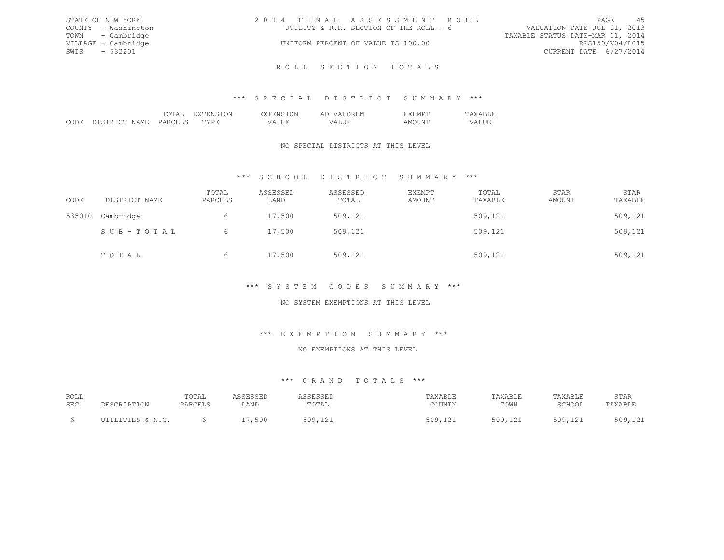| STATE OF NEW YORK   | 2014 FINAL ASSESSMENT ROLL             | 45<br>PAGE                       |
|---------------------|----------------------------------------|----------------------------------|
| COUNTY - Washington | UTILITY & R.R. SECTION OF THE ROLL - 6 | VALUATION DATE-JUL 01, 2013      |
| TOWN - Cambridge    |                                        | TAXABLE STATUS DATE-MAR 01, 2014 |
| VILLAGE - Cambridge | UNIFORM PERCENT OF VALUE IS 100.00     | RPS150/V04/L015                  |
| SWIS - 532201       |                                        | CURRENT DATE 6/27/2014           |
|                     |                                        |                                  |

R O L L S E C T I O N T O T A L S

# \*\*\* S P E C I A L D I S T R I C T S U M M A R Y \*\*\*

|  |  | $\sim$<br>. |  |
|--|--|-------------|--|
|  |  |             |  |
|  |  |             |  |

# NO SPECIAL DISTRICTS AT THIS LEVEL

# \*\*\* S C H O O L D I S T R I C T S U M M A R Y \*\*\*

| CODE   | DISTRICT NAME | TOTAL<br>PARCELS | ASSESSED<br>LAND | ASSESSED<br>TOTAL | EXEMPT<br>AMOUNT | TOTAL<br>TAXABLE | STAR<br>AMOUNT | STAR<br>TAXABLE |
|--------|---------------|------------------|------------------|-------------------|------------------|------------------|----------------|-----------------|
| 535010 | Cambridge     | 6                | 17,500           | 509,121           |                  | 509,121          |                | 509,121         |
|        | SUB-TOTAL     | 6.               | 17,500           | 509,121           |                  | 509,121          |                | 509,121         |
|        | TOTAL         | 6                | 17,500           | 509,121           |                  | 509,121          |                | 509,121         |

# \*\*\* S Y S T E M C O D E S S U M M A R Y \*\*\*

# NO SYSTEM EXEMPTIONS AT THIS LEVEL

#### \*\*\* E X E M P T I O N S U M M A R Y \*\*\*

#### NO EXEMPTIONS AT THIS LEVEL

| ROLL |                                                     | TOTAL   | <b>COLCOL</b> | I C C F C C F L<br>ىتەدەت | TAXABLE | TAXABLE | TAXABLE              | STAR                   |
|------|-----------------------------------------------------|---------|---------------|---------------------------|---------|---------|----------------------|------------------------|
| SEC  | PESCRIPTION                                         | PARCELS | LAND          | TOTAL                     | COUNTY  | TOWN    | SCHOOL               | TAXABLF                |
|      |                                                     |         |               |                           |         |         |                      |                        |
|      | $IITTI.TTTRS \& M C$<br>$\sim$ $\sim$ $\sim$ $\sim$ |         | 500           | 509                       | 509,121 | 509,121 | 509 121<br>$1 + 2 +$ | 509.121<br>- 1 - 1 - 1 |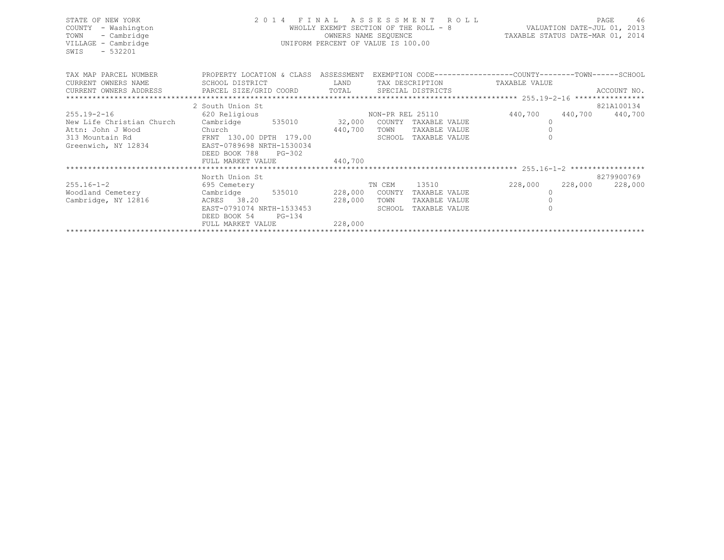| STATE OF NEW YORK<br>COUNTY<br>- Washington<br>TOWN<br>- Cambridge<br>VILLAGE - Cambridge<br>$-532201$<br>SWIS | 2014 FINAL ASSESSMENT<br>WHOLLY EXEMPT SECTION OF THE ROLL - 8<br>OWNERS NAME SEQUENCE<br>UNIFORM PERCENT OF VALUE IS 100.00                                                                                                                                                                                                                                                                                                                                 | VALUATION DATE-JUL 01, 2013<br>TAXABLE STATUS DATE-MAR 01, 2014 |                  | 46<br>PAGE      |               |                 |            |
|----------------------------------------------------------------------------------------------------------------|--------------------------------------------------------------------------------------------------------------------------------------------------------------------------------------------------------------------------------------------------------------------------------------------------------------------------------------------------------------------------------------------------------------------------------------------------------------|-----------------------------------------------------------------|------------------|-----------------|---------------|-----------------|------------|
| TAX MAP PARCEL NUMBER                                                                                          | PROPERTY LOCATION & CLASS ASSESSMENT EXEMPTION CODE-----------------COUNTY-------TOWN-----SCHOOL                                                                                                                                                                                                                                                                                                                                                             |                                                                 |                  |                 |               |                 |            |
| CURRENT OWNERS NAME                                                                                            | SCHOOL DISTRICT                                                                                                                                                                                                                                                                                                                                                                                                                                              | LAND                                                            |                  | TAX DESCRIPTION | TAXABLE VALUE |                 |            |
|                                                                                                                | $\begin{minipage}{0.5cm} \begin{minipage}{0.5cm} \begin{minipage}{0.5cm} \begin{minipage}{0.5cm} \begin{minipage}{0.5cm} \begin{minipage}{0.5cm} \begin{minipage}{0.5cm} \begin{minipage}{0.5cm} \begin{minipage}{0.5cm} \begin{minipage}{0.5cm} \begin{minipage}{0.5cm} \begin{minipage}{0.5cm} \begin{minipage}{0.5cm} \begin{minipage}{0.5cm} \begin{minipage}{0.5cm} \begin{minipage}{0.5cm} \begin{minipage}{0.5cm} \begin{minipage}{0.5cm} \begin{min$ |                                                                 |                  |                 |               |                 |            |
|                                                                                                                | 2 South Union St                                                                                                                                                                                                                                                                                                                                                                                                                                             |                                                                 |                  |                 |               |                 | 821A100134 |
| $255.19 - 2 - 16$                                                                                              | 620 Religious                                                                                                                                                                                                                                                                                                                                                                                                                                                |                                                                 | NON-PR REL 25110 |                 | 440,700       | 440,700 440,700 |            |
| New Life Christian Church                                                                                      | Cambridge 535010                                                                                                                                                                                                                                                                                                                                                                                                                                             | 32,000                                                          | COUNTY           | TAXABLE VALUE   | $\Omega$      |                 |            |
| Attn: John J Wood                                                                                              |                                                                                                                                                                                                                                                                                                                                                                                                                                                              | 440,700                                                         | TOWN             | TAXABLE VALUE   |               |                 |            |
| 313 Mountain Rd                                                                                                |                                                                                                                                                                                                                                                                                                                                                                                                                                                              |                                                                 | SCHOOL           | TAXABLE VALUE   |               |                 |            |
| Greenwich, NY 12834                                                                                            | EAST-0789698 NRTH-1530034                                                                                                                                                                                                                                                                                                                                                                                                                                    |                                                                 |                  |                 |               |                 |            |
|                                                                                                                | DEED BOOK 788<br>PG-302                                                                                                                                                                                                                                                                                                                                                                                                                                      |                                                                 |                  |                 |               |                 |            |
|                                                                                                                | FULL MARKET VALUE                                                                                                                                                                                                                                                                                                                                                                                                                                            | 440,700                                                         |                  |                 |               |                 |            |
|                                                                                                                |                                                                                                                                                                                                                                                                                                                                                                                                                                                              |                                                                 |                  |                 |               |                 |            |
|                                                                                                                | North Union St                                                                                                                                                                                                                                                                                                                                                                                                                                               |                                                                 |                  |                 |               |                 | 8279900769 |
| $255.16 - 1 - 2$                                                                                               | 695 Cemetery                                                                                                                                                                                                                                                                                                                                                                                                                                                 |                                                                 | TN CEM           | 13510           | 228,000       | 228,000         | 228,000    |
| Woodland Cemetery                                                                                              | Cambridge<br>535010                                                                                                                                                                                                                                                                                                                                                                                                                                          |                                                                 | 228,000 COUNTY   | TAXABLE VALUE   |               |                 |            |
| Cambridge, NY 12816                                                                                            | ACRES 38.20                                                                                                                                                                                                                                                                                                                                                                                                                                                  | 228,000                                                         | TOWN             | TAXABLE VALUE   |               |                 |            |
|                                                                                                                | EAST-0791074 NRTH-1533453                                                                                                                                                                                                                                                                                                                                                                                                                                    |                                                                 | SCHOOL           | TAXABLE VALUE   |               |                 |            |
|                                                                                                                | DEED BOOK 54<br>$PG-134$                                                                                                                                                                                                                                                                                                                                                                                                                                     |                                                                 |                  |                 |               |                 |            |
|                                                                                                                | FULL MARKET VALUE                                                                                                                                                                                                                                                                                                                                                                                                                                            | 228,000                                                         |                  |                 |               |                 |            |
|                                                                                                                |                                                                                                                                                                                                                                                                                                                                                                                                                                                              |                                                                 |                  |                 |               |                 |            |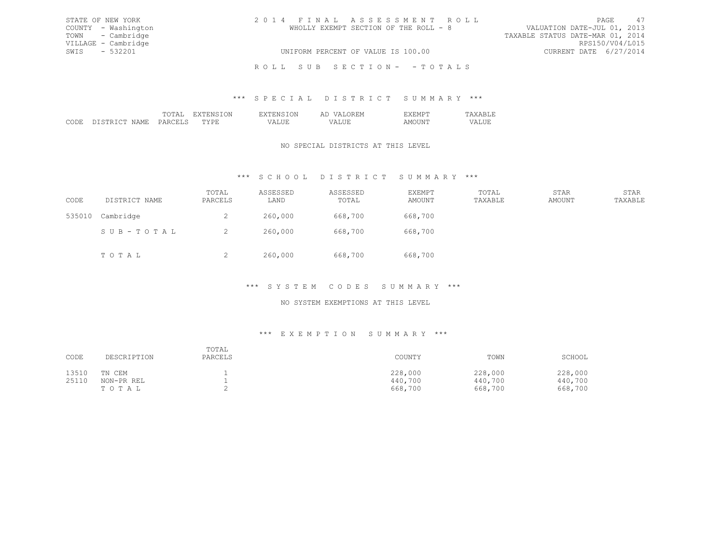| STATE OF NEW YORK   | 2014 FINAL ASSESSMENT ROLL            | -47<br>PAGE                      |
|---------------------|---------------------------------------|----------------------------------|
| COUNTY - Washington | WHOLLY EXEMPT SECTION OF THE ROLL - 8 | VALUATION DATE-JUL 01, 2013      |
| TOWN - Cambridge    |                                       | TAXABLE STATUS DATE-MAR 01, 2014 |
| VILLAGE - Cambridge |                                       | RPS150/V04/L015                  |
| SWIS - 532201       | UNIFORM PERCENT OF VALUE IS 100.00    | CURRENT DATE 6/27/2014           |
|                     | ROLL SUB SECTION- - TOTALS            |                                  |

#### \*\*\* S P E C I A L D I S T R I C T S U M M A R Y \*\*\*

|                    | TOTAL   | EXTENSION | <b>EXTENSION</b> | <b>VALOREM</b><br>ΆD | EXEMPT | <b>TAXABLE</b> |
|--------------------|---------|-----------|------------------|----------------------|--------|----------------|
| CODE DISTRICT NAME | PARCELS | TYPR.     | VALUE            | VALUE                | AMOUNT | VALUE          |

# NO SPECIAL DISTRICTS AT THIS LEVEL

# \*\*\* S C H O O L D I S T R I C T S U M M A R Y \*\*\*

| CODE   | DISTRICT NAME | TOTAL<br>PARCELS | ASSESSED<br>LAND | ASSESSED<br>TOTAL | <b>EXEMPT</b><br>AMOUNT | TOTAL<br>TAXABLE | STAR<br>AMOUNT | STAR<br>TAXABLE |
|--------|---------------|------------------|------------------|-------------------|-------------------------|------------------|----------------|-----------------|
| 535010 | Cambridge     | ∠                | 260,000          | 668,700           | 668,700                 |                  |                |                 |
|        | SUB-TOTAL     | ∼                | 260,000          | 668,700           | 668,700                 |                  |                |                 |
|        | TOTAL         | ∼                | 260,000          | 668,700           | 668,700                 |                  |                |                 |

# \*\*\* S Y S T E M C O D E S S U M M A R Y \*\*\*

# NO SYSTEM EXEMPTIONS AT THIS LEVEL

#### \*\*\* E X E M P T I O N S U M M A R Y \*\*\*

| CODE  | DESCRIPTION | TOTAL<br>PARCELS | COUNTY  | TOWN    | SCHOOL  |
|-------|-------------|------------------|---------|---------|---------|
| 13510 | TN CEM      |                  | 228,000 | 228,000 | 228,000 |
| 25110 | NON-PR REL  |                  | 440,700 | 440,700 | 440,700 |
|       | TOTAL       |                  | 668,700 | 668,700 | 668,700 |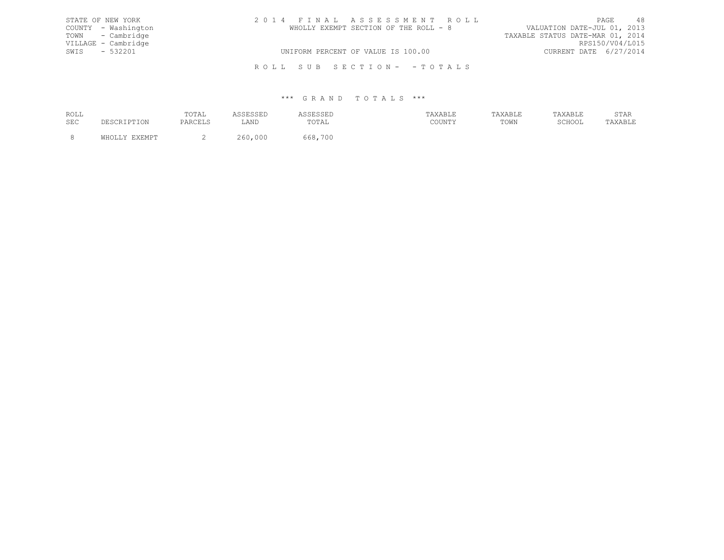| STATE OF NEW YORK   | 2014 FINAL ASSESSMENT ROLL            | PAGE                             | 48              |
|---------------------|---------------------------------------|----------------------------------|-----------------|
| COUNTY - Washington | WHOLLY EXEMPT SECTION OF THE ROLL - 8 | VALUATION DATE-JUL 01, 2013      |                 |
| TOWN - Cambridge    |                                       | TAXABLE STATUS DATE-MAR 01, 2014 |                 |
| VILLAGE - Cambridge |                                       |                                  | RPS150/V04/L015 |
| SWIS - 532201       | UNIFORM PERCENT OF VALUE IS 100.00    | CURRENT DATE 6/27/2014           |                 |
|                     | ROLL SUB SECTION- - TOTALS            |                                  |                 |

| ROLL |                         | TOTAL   | ᆜᇦᇦᇦᆜ   | ப்பபட⊥      | AXABLE | <b>TAXABLE</b> | <b>TAXABLE</b> | STAR    |
|------|-------------------------|---------|---------|-------------|--------|----------------|----------------|---------|
| SEC  | 'CRIPTION<br><b>DES</b> | PARCELS | LAND    | TOTAL       | COUNTY | TOWN           | SCHOOL         | TAXABLE |
|      | <b>EVEMDT</b>           |         | 260,000 | 700<br>668, |        |                |                |         |
|      |                         | -       |         |             |        |                |                |         |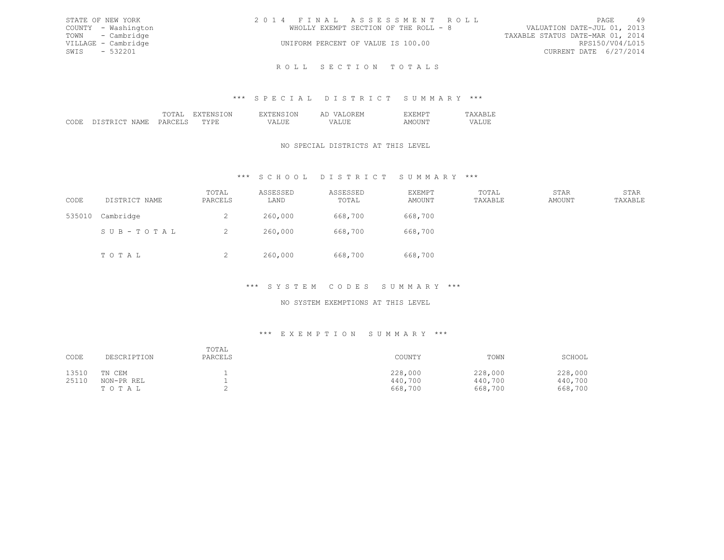| STATE OF NEW YORK   | 2014 FINAL ASSESSMENT ROLL            | 49<br>PAGE                       |
|---------------------|---------------------------------------|----------------------------------|
| COUNTY - Washington | WHOLLY EXEMPT SECTION OF THE ROLL - 8 | VALUATION DATE-JUL 01, 2013      |
| TOWN - Cambridge    |                                       | TAXABLE STATUS DATE-MAR 01, 2014 |
| VILLAGE - Cambridge | UNIFORM PERCENT OF VALUE IS 100.00    | RPS150/V04/L015                  |
| SWTS $-532201$      |                                       | CURRENT DATE 6/27/2014           |
|                     |                                       |                                  |

#### \*\*\* S P E C I A L D I S T R I C T S U M M A R Y \*\*\*

R O L L S E C T I O N T O T A L S

|     |  |   | $\leftrightarrow$<br>. |  |
|-----|--|---|------------------------|--|
| . . |  | . | ----                   |  |

# NO SPECIAL DISTRICTS AT THIS LEVEL

# \*\*\* S C H O O L D I S T R I C T S U M M A R Y \*\*\*

| CODE   | DISTRICT NAME | TOTAL<br>PARCELS | ASSESSED<br>LAND | ASSESSED<br>TOTAL | <b>EXEMPT</b><br>AMOUNT | TOTAL<br>TAXABLE | STAR<br>AMOUNT | STAR<br>TAXABLE |
|--------|---------------|------------------|------------------|-------------------|-------------------------|------------------|----------------|-----------------|
| 535010 | Cambridge     | ∠                | 260,000          | 668,700           | 668,700                 |                  |                |                 |
|        | SUB-TOTAL     |                  | 260,000          | 668,700           | 668,700                 |                  |                |                 |
|        | TOTAL         | ∼                | 260,000          | 668,700           | 668,700                 |                  |                |                 |

# \*\*\* S Y S T E M C O D E S S U M M A R Y \*\*\*

# NO SYSTEM EXEMPTIONS AT THIS LEVEL

#### \*\*\* E X E M P T I O N S U M M A R Y \*\*\*

| CODE  | DESCRIPTION | TOTAL<br>PARCELS | COUNTY  | TOWN    | SCHOOL  |
|-------|-------------|------------------|---------|---------|---------|
| 13510 | TN CEM      |                  | 228,000 | 228,000 | 228,000 |
| 25110 | NON-PR REL  |                  | 440,700 | 440,700 | 440,700 |
|       | TOTAL       |                  | 668,700 | 668,700 | 668,700 |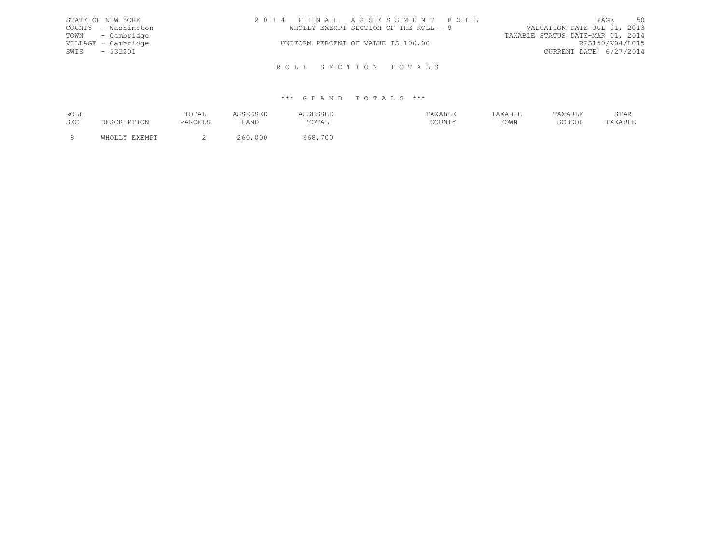| STATE OF NEW YORK   | 2014 FINAL ASSESSMENT ROLL            | 50<br>PAGE                       |
|---------------------|---------------------------------------|----------------------------------|
| COUNTY - Washington | WHOLLY EXEMPT SECTION OF THE ROLL - 8 | VALUATION DATE-JUL 01, 2013      |
| TOWN - Cambridge    |                                       | TAXABLE STATUS DATE-MAR 01, 2014 |
| VILLAGE - Cambridge | UNIFORM PERCENT OF VALUE IS 100.00    | RPS150/V04/L015                  |
| SWIS - 532201       |                                       | CURRENT DATE 6/27/2014           |
|                     |                                       |                                  |
|                     | ROLL SECTION TOTALS                   |                                  |

| ROLL | TOTAL |      | .                      |                     |      |        | הגרחי<br><u>U 1 1 1 1</u> |
|------|-------|------|------------------------|---------------------|------|--------|---------------------------|
| SEC  |       | ∟AND | $P\cap T\Delta$<br>◡⊥ឹ | CCTATM<br>, JULY 1. | TOWN | SCHOOL | ـ ـ ـ ـ ـ                 |
|      |       |      |                        |                     |      |        |                           |
|      |       |      | 700                    |                     |      |        |                           |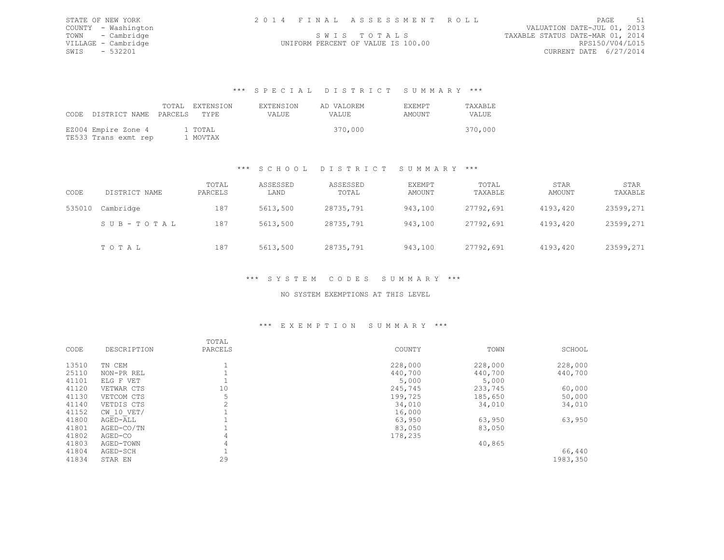| STATE OF NEW YORK |                     |  | 2014 FINAL ASSESSMENT ROLL         |                                  | PAGE                   | 51 |
|-------------------|---------------------|--|------------------------------------|----------------------------------|------------------------|----|
|                   | COUNTY - Washington |  |                                    | VALUATION DATE-JUL 01, 2013      |                        |    |
|                   | TOWN - Cambridge    |  | SWIS TOTALS                        | TAXABLE STATUS DATE-MAR 01, 2014 |                        |    |
|                   | VILLAGE - Cambridge |  | UNIFORM PERCENT OF VALUE IS 100.00 |                                  | RPS150/V04/L015        |    |
| SWIS - 532201     |                     |  |                                    |                                  | CURRENT DATE 6/27/2014 |    |

#### \*\*\* S P E C I A L D I S T R I C T S U M M A R Y \*\*\*

| CODE | DISTRICT NAME PARCELS TYPE                  | TOTAL EXTENSION     | <b>EXTENSION</b><br>VALUE. | AD VALOREM<br><b>VALUE</b> | <b>EXEMPT</b><br>AMOUNT | TAXABLE<br>VALUE. |
|------|---------------------------------------------|---------------------|----------------------------|----------------------------|-------------------------|-------------------|
|      | EZ004 Empire Zone 4<br>TE533 Trans exmt rep | 1 TOTAL<br>1 MOVTAX |                            | 370,000                    |                         | 370,000           |

#### \*\*\* S C H O O L D I S T R I C T S U M M A R Y \*\*\*

| CODE   | DISTRICT NAME | TOTAL<br>PARCELS | ASSESSED<br>LAND | ASSESSED<br>TOTAL | EXEMPT<br>AMOUNT | TOTAL<br>TAXABLE | STAR<br>AMOUNT | STAR<br>TAXABLE |
|--------|---------------|------------------|------------------|-------------------|------------------|------------------|----------------|-----------------|
| 535010 | Cambridge     | 187              | 5613,500         | 28735,791         | 943,100          | 27792,691        | 4193,420       | 23599,271       |
|        | SUB-TOTAL     | 187              | 5613,500         | 28735,791         | 943,100          | 27792,691        | 4193,420       | 23599,271       |
|        | TOTAL         | 187              | 5613,500         | 28735,791         | 943,100          | 27792,691        | 4193,420       | 23599,271       |

# \*\*\* S Y S T E M C O D E S S U M M A R Y \*\*\*

#### NO SYSTEM EXEMPTIONS AT THIS LEVEL

#### \*\*\* E X E M P T I O N S U M M A R Y \*\*\*

| CODE  | DESCRIPTION    | TOTAL<br>PARCELS | COUNTY  | TOWN    | SCHOOL   |
|-------|----------------|------------------|---------|---------|----------|
| 13510 | TN CEM         |                  | 228,000 | 228,000 | 228,000  |
| 25110 | NON-PR REL     |                  | 440,700 | 440,700 | 440,700  |
| 41101 | ELG F VET      |                  | 5,000   | 5,000   |          |
| 41120 | VETWAR CTS     | 10               | 245,745 | 233,745 | 60,000   |
| 41130 | VETCOM CTS     |                  | 199,725 | 185,650 | 50,000   |
| 41140 | VETDIS CTS     |                  | 34,010  | 34,010  | 34,010   |
| 41152 | $CW$ 10 $VET/$ |                  | 16,000  |         |          |
| 41800 | AGED-ALL       |                  | 63,950  | 63,950  | 63,950   |
| 41801 | AGED-CO/TN     |                  | 83,050  | 83,050  |          |
| 41802 | AGED-CO        | 4                | 178,235 |         |          |
| 41803 | AGED-TOWN      | 4                |         | 40,865  |          |
| 41804 | AGED-SCH       |                  |         |         | 66,440   |
| 41834 | STAR EN        | 29               |         |         | 1983,350 |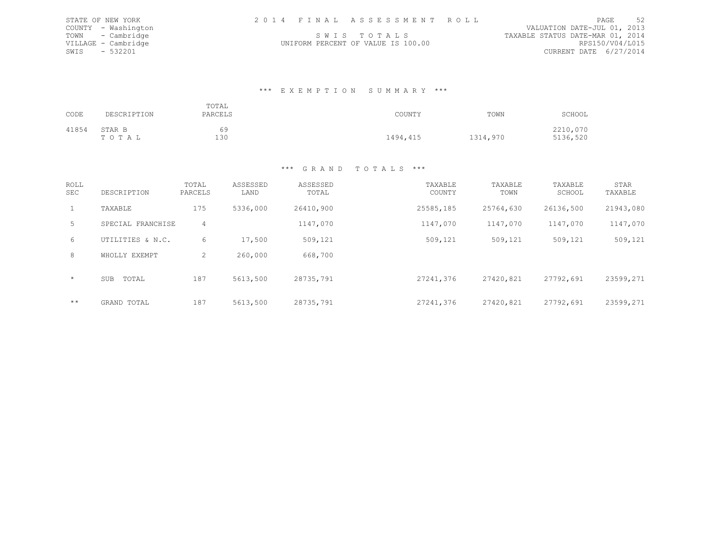STATE OF NEW YORK 2 0 1 4 F I N A L A S S E S S M E N T R O L L PAGE 52 COUNTY - Washington STATE OF NEW YORK<br>COUNTY - Washington SUNDANION DATE-JUL 01, 2013<br>TOWN - Cambridge Sunday SUNDANIS TO TALS THE-MARBLE STATUS DATE-MAR 01, 2014 TOWN - Cambridge S W I S T O T A L S TAXABLE STATUS DATE-MAR 01, 2014 VILLAGE - Cambridge UNIFORM PERCENT OF VALUE IS 100.00 RPS150/V04/L015 SWIS - 532201 CURRENT DATE 6/27/2014

#### \*\*\* E X E M P T I O N S U M M A R Y \*\*\*

| CODE  | DESCRIPTION     | TOTAL<br>PARCELS | COUNTY   | TOWN     | SCHOOL               |
|-------|-----------------|------------------|----------|----------|----------------------|
| 41854 | STAR B<br>TOTAL | 69<br>130        | 1494,415 | 1314,970 | 2210,070<br>5136,520 |

| ROLL<br><b>SEC</b> | DESCRIPTION       | TOTAL<br>PARCELS | ASSESSED<br>LAND | ASSESSED<br>TOTAL | TAXABLE<br>COUNTY | TAXABLE<br>TOWN | TAXABLE<br>SCHOOL | STAR<br>TAXABLE |
|--------------------|-------------------|------------------|------------------|-------------------|-------------------|-----------------|-------------------|-----------------|
| $\mathbf{1}$       | TAXABLE           | 175              | 5336,000         | 26410,900         | 25585,185         | 25764,630       | 26136,500         | 21943,080       |
| $5 -$              | SPECIAL FRANCHISE | 4                |                  | 1147,070          | 1147,070          | 1147,070        | 1147,070          | 1147,070        |
| 6                  | UTILITIES & N.C.  | 6                | 17,500           | 509,121           | 509,121           | 509,121         | 509,121           | 509,121         |
| 8                  | WHOLLY EXEMPT     | 2                | 260,000          | 668,700           |                   |                 |                   |                 |
| $\star$            | SUB<br>TOTAL      | 187              | 5613,500         | 28735,791         | 27241,376         | 27420,821       | 27792,691         | 23599,271       |
| $***$              | GRAND TOTAL       | 187              | 5613,500         | 28735,791         | 27241,376         | 27420,821       | 27792,691         | 23599,271       |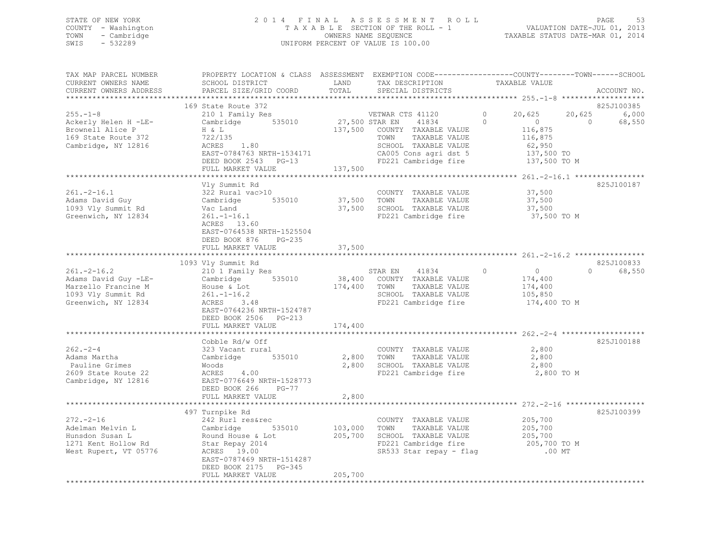### STATE OF NEW YORK 2 0 1 4 F I N A L A S S E S S M E N T R O L L PAGE 53 COUNTY - Washington T A X A B L E SECTION OF THE ROLL - 1 VALUATION DATE-JUL 01, 2013 TOWN - Cambridge OWNERS NAME SEQUENCE TAXABLE STATUS DATE-MAR 01, 2014 SWIS - 532289 UNIFORM PERCENT OF VALUE IS 100.00

| TAX MAP PARCEL NUMBER<br>CURRENT OWNERS NAME<br>CURRENT OWNERS ADDRESS<br>*********************              | PROPERTY LOCATION & CLASS ASSESSMENT EXEMPTION CODE-----------------COUNTY-------TOWN-----SCHOOL<br>SCHOOL DISTRICT<br>PARCEL SIZE/GRID COORD                                                 | LAND<br>TOTAL                        | TAX DESCRIPTION<br>SPECIAL DISTRICTS                                                                                                                | TAXABLE VALUE                                                                                              | ACCOUNT NO.                              |
|--------------------------------------------------------------------------------------------------------------|-----------------------------------------------------------------------------------------------------------------------------------------------------------------------------------------------|--------------------------------------|-----------------------------------------------------------------------------------------------------------------------------------------------------|------------------------------------------------------------------------------------------------------------|------------------------------------------|
| $255. - 1 - 8$<br>Ackerly Helen H -LE-<br>Brownell Alice P<br>169 State Route 372<br>Cambridge, NY 12816     | 169 State Route 372<br>210 1 Family Res<br>535010<br>Cambridge<br>H & L<br>722/135<br>ACRES<br>1.80<br>EAST-0784763 NRTH-1534171<br>DEED BOOK 2543 PG-13<br>FULL MARKET VALUE                 | 27,500 STAR EN<br>137,500<br>137,500 | VETWAR CTS 41120<br>41834<br>COUNTY TAXABLE VALUE<br>TOWN<br>TAXABLE VALUE<br>SCHOOL TAXABLE VALUE<br>CA005 Cons agri dst 5<br>FD221 Cambridge fire | 20,625<br>20,625<br>0<br>$\Omega$<br>$\circ$<br>116,875<br>116,875<br>62,950<br>137,500 TO<br>137,500 TO M | 825J100385<br>6,000<br>68,550<br>$\circ$ |
| $261. - 2 - 16.1$<br>Adams David Guy<br>1093 Vly Summit Rd<br>Greenwich, NY 12834                            | Vly Summit Rd<br>322 Rural vac>10<br>Cambridge<br>535010<br>Vac Land<br>$261. - 1 - 16.1$<br>ACRES 13.60<br>EAST-0764538 NRTH-1525504<br>DEED BOOK 876<br>$PG-235$<br>FULL MARKET VALUE       | 37,500<br>37,500<br>37,500           | COUNTY TAXABLE VALUE<br>TOWN<br>TAXABLE VALUE<br>SCHOOL TAXABLE VALUE<br>FD221 Cambridge fire                                                       | 37,500<br>37,500<br>37,500<br>37,500 TO M                                                                  | 825J100187                               |
| $261. -2 - 16.2$<br>Adams David Guy -LE-<br>Marzello Francine M<br>1093 Vly Summit Rd<br>Greenwich, NY 12834 | 1093 Vly Summit Rd<br>210 1 Family Res<br>535010<br>Cambridge<br>House & Lot<br>$261. - 1 - 16.2$<br>3.48<br>ACRES<br>EAST-0764236 NRTH-1524787<br>DEED BOOK 2506 PG-213<br>FULL MARKET VALUE | 174,400<br>174,400                   | 41834<br>STAR EN<br>38,400 COUNTY TAXABLE VALUE<br>TOWN<br>TAXABLE VALUE<br>SCHOOL TAXABLE VALUE<br>FD221 Cambridge fire                            | $\circ$<br>$\circ$<br>174,400<br>174,400<br>105,850<br>174,400 TO M                                        | 825J100833<br>$\Omega$<br>68,550         |
| $262 - 2 - 4$<br>Adams Martha<br>Pauline Grimes<br>2609 State Route 22<br>Cambridge, NY 12816                | Cobble Rd/w Off<br>323 Vacant rural<br>535010<br>Cambridge<br>Woods<br>ACRES<br>4.00<br>EAST-0776649 NRTH-1528773<br>DEED BOOK 266<br>PG-77<br>FULL MARKET VALUE                              | 2,800<br>2,800<br>2,800              | COUNTY TAXABLE VALUE<br>TOWN<br>TAXABLE VALUE<br>SCHOOL TAXABLE VALUE<br>FD221 Cambridge fire                                                       | 2,800<br>2,800<br>2,800<br>2,800 TO M                                                                      | 825J100188                               |
| $272. - 2 - 16$<br>Adelman Melvin L<br>Hunsdon Susan L<br>1271 Kent Hollow Rd<br>West Rupert, VT 05776       | 497 Turnpike Rd<br>242 Rurl res&rec<br>535010<br>Cambridge<br>Round House & Lot<br>Star Repay 2014<br>ACRES 19.00<br>EAST-0787469 NRTH-1514287<br>DEED BOOK 2175 PG-345<br>FULL MARKET VALUE  | 103,000<br>205,700<br>205,700        | COUNTY TAXABLE VALUE<br>TAXABLE VALUE<br>TOWN<br>SCHOOL TAXABLE VALUE<br>FD221 Cambridge fire<br>SR533 Star repay - flag                            | 205,700<br>205,700<br>205,700<br>205,700 TO M<br>$.00$ MT                                                  | 825J100399                               |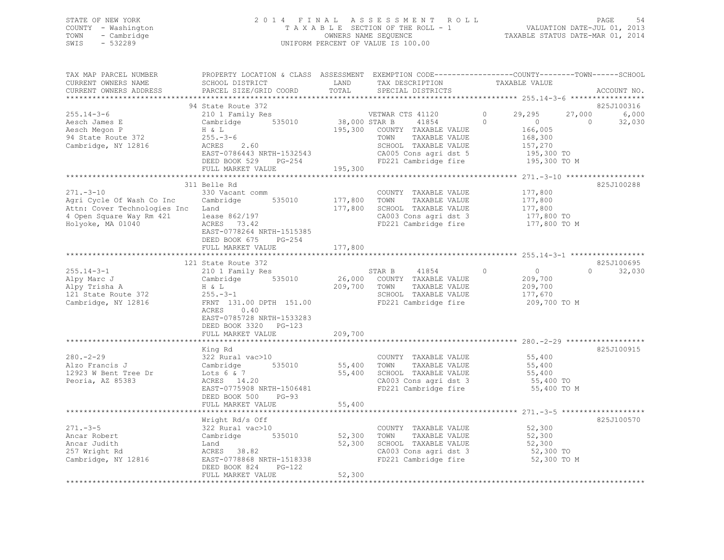### STATE OF NEW YORK 2 0 1 4 F I N A L A S S E S S M E N T R O L L PAGE 54 COUNTY - Washington T A X A B L E SECTION OF THE ROLL - 1 VALUATION DATE-JUL 01, 2013 TOWN - Cambridge OWNERS NAME SEQUENCE TAXABLE STATUS DATE-MAR 01, 2014 SWIS - 532289 UNIFORM PERCENT OF VALUE IS 100.00

| TAX MAP PARCEL NUMBER<br>CURRENT OWNERS NAME<br>CURRENT OWNERS ADDRESS                                                       | PROPERTY LOCATION & CLASS ASSESSMENT EXEMPTION CODE---------------COUNTY-------TOWN-----SCHOOL<br>SCHOOL DISTRICT<br>PARCEL SIZE/GRID COORD                                            | LAND<br>TOTAL                       | TAX DESCRIPTION<br>SPECIAL DISTRICTS                                                                                                                | TAXABLE VALUE                                                                                                  |                          | ACCOUNT NO.                   |
|------------------------------------------------------------------------------------------------------------------------------|----------------------------------------------------------------------------------------------------------------------------------------------------------------------------------------|-------------------------------------|-----------------------------------------------------------------------------------------------------------------------------------------------------|----------------------------------------------------------------------------------------------------------------|--------------------------|-------------------------------|
|                                                                                                                              |                                                                                                                                                                                        |                                     |                                                                                                                                                     |                                                                                                                |                          |                               |
| $255.14 - 3 - 6$<br>Aesch James E<br>Aesch Megon P<br>94 State Route 372<br>Cambridge, NY 12816                              | 94 State Route 372<br>210 1 Family Res<br>Cambridge 535010<br>H & L<br>$255 - 3 - 6$<br>ACRES 2.60<br>EAST-0786443 NRTH-1532543<br>DEED BOOK 529 PG-254<br>FULL MARKET VALUE           | 38,000 STAR B<br>195,300<br>195,300 | VETWAR CTS 41120<br>41854<br>COUNTY TAXABLE VALUE<br>TOWN<br>TAXABLE VALUE<br>SCHOOL TAXABLE VALUE<br>CA005 Cons agri dst 5<br>FD221 Cambridge fire | 29,295<br>$\circ$<br>$\Omega$<br>$\overline{0}$<br>166,005<br>168,300<br>157,270<br>195,300 TO<br>195,300 TO M | 27,000<br>$\overline{0}$ | 825J100316<br>6,000<br>32,030 |
|                                                                                                                              |                                                                                                                                                                                        |                                     |                                                                                                                                                     |                                                                                                                |                          |                               |
| $271 - 3 - 10$<br>Agri Cycle Of Wash Co Inc<br>Attn: Cover Technologies Inc<br>4 Open Square Way Rm 421<br>Holyoke, MA 01040 | 311 Belle Rd<br>330 Vacant comm<br>Cambridge 535010<br>Land<br>lease 862/197<br>ACRES 73.42<br>EAST-0778264 NRTH-1515385<br>DEED BOOK 675<br>PG-254                                    | 177,800<br>177,800                  | COUNTY TAXABLE VALUE<br>TOWN<br>TAXABLE VALUE<br>SCHOOL TAXABLE VALUE<br>CA003 Cons agri dst 3<br>FD221 Cambridge fire                              | 177,800<br>177,800<br>177,800<br>177,800 TO<br>177,800 TO M                                                    |                          | 825J100288                    |
|                                                                                                                              | FULL MARKET VALUE                                                                                                                                                                      | 177,800                             |                                                                                                                                                     |                                                                                                                |                          |                               |
|                                                                                                                              | 121 State Route 372                                                                                                                                                                    |                                     |                                                                                                                                                     |                                                                                                                |                          | 825J100695                    |
| $255.14 - 3 - 1$<br>Alpy Marc J<br>Alpy Trisha A<br>121 State Route 372<br>Cambridge, NY 12816                               | 210 1 Family Res<br>Cambridge 535010<br>H & L<br>$255. - 3 - 1$<br>FRNT 131.00 DPTH 151.00<br>0.40<br>ACRES<br>EAST-0785728 NRTH-1533283<br>DEED BOOK 3320 PG-123<br>FULL MARKET VALUE | 209,700 TOWN<br>209,700             | STAR B<br>41854<br>26,000 COUNTY TAXABLE VALUE<br>TAXABLE VALUE<br>SCHOOL TAXABLE VALUE<br>FD221 Cambridge fire                                     | $\circ$<br>$\overline{0}$<br>209,700<br>209,700<br>177,670<br>209,700 TO M                                     | $\Omega$                 | 32,030                        |
|                                                                                                                              |                                                                                                                                                                                        |                                     |                                                                                                                                                     | ************************** 280.-2-29 ******************                                                        |                          |                               |
| $280 - 2 - 29$<br>Alzo Francis J<br>12923 W Bent Tree Dr<br>Peoria, AZ 85383                                                 | King Rd<br>322 Rural vac>10<br>535010<br>Cambridge<br>Lots $6 \& 7$<br>ACRES 14.20<br>EAST-0775908 NRTH-1506481<br>DEED BOOK 500<br>$PG-93$<br>FULL MARKET VALUE                       | 55,400<br>55,400<br>55,400          | COUNTY TAXABLE VALUE<br>TAXABLE VALUE<br>TOWN<br>SCHOOL TAXABLE VALUE<br>CA003 Cons agri dst 3<br>FD221 Cambridge fire                              | 55,400<br>55,400<br>55,400<br>55,400 TO<br>55,400 TO M                                                         |                          | 825J100915                    |
|                                                                                                                              |                                                                                                                                                                                        |                                     |                                                                                                                                                     |                                                                                                                |                          |                               |
| $271 - 3 - 5$<br>Ancar Robert<br>Ancar Judith<br>257 Wright Rd<br>Cambridge, NY 12816                                        | Wright Rd/s Off<br>322 Rural vac>10<br>535010<br>Cambridge<br>Land<br>ACRES 38.82<br>EAST-0778868 NRTH-1518338<br>DEED BOOK 824<br>PG-122                                              | 52,300<br>52,300<br>52,300          | COUNTY TAXABLE VALUE<br>TAXABLE VALUE<br>TOWN<br>SCHOOL TAXABLE VALUE<br>CA003 Cons agri dst 3<br>FD221 Cambridge fire                              | 52,300<br>52,300<br>52,300<br>52,300 TO<br>52,300 TO M                                                         |                          | 825J100570                    |
|                                                                                                                              | FULL MARKET VALUE                                                                                                                                                                      |                                     |                                                                                                                                                     |                                                                                                                |                          |                               |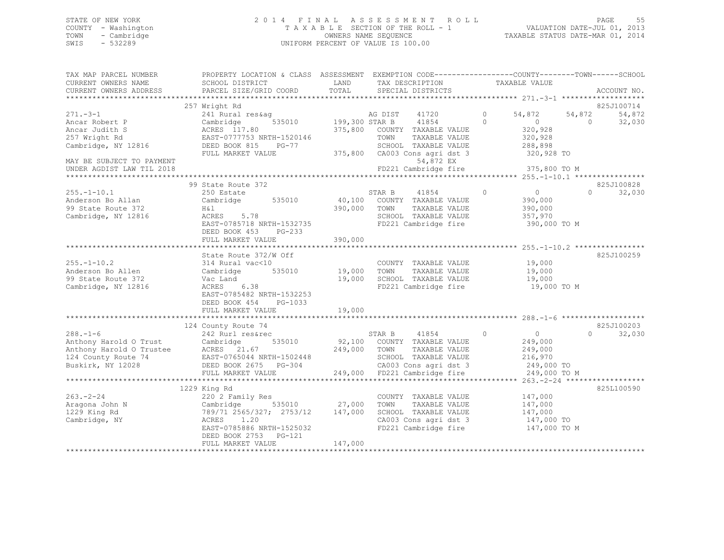### STATE OF NEW YORK 2 0 1 4 F I N A L A S S E S S M E N T R O L L PAGE 55 COUNTY - Washington T A X A B L E SECTION OF THE ROLL - 1 VALUATION DATE-JUL 01, 2013 TOWN - Cambridge OWNERS NAME SEQUENCE TAXABLE STATUS DATE-MAR 01, 2014 SWIS - 532289 UNIFORM PERCENT OF VALUE IS 100.00

| TAX MAP PARCEL NUMBER<br>CURRENT OWNERS NAME | PROPERTY LOCATION & CLASS ASSESSMENT EXEMPTION CODE---------------COUNTY-------TOWN-----SCHOOL<br>SCHOOL DISTRICT | LAND           | TAX DESCRIPTION               | TAXABLE VALUE              |          |                      |
|----------------------------------------------|-------------------------------------------------------------------------------------------------------------------|----------------|-------------------------------|----------------------------|----------|----------------------|
| CURRENT OWNERS ADDRESS                       | PARCEL SIZE/GRID COORD                                                                                            | TOTAL          | SPECIAL DISTRICTS             |                            |          | ACCOUNT NO.          |
|                                              |                                                                                                                   |                |                               |                            |          |                      |
| $271 - -3 - 1$                               | 257 Wright Rd<br>241 Rural res&aq                                                                                 |                | AG DIST<br>41720              | $\circ$<br>54,872          | 54,872   | 825J100714<br>54,872 |
| Ancar Robert P                               | 535010<br>Cambridge                                                                                               | 199,300 STAR B | 41854                         | $\Omega$<br>$\bigcirc$     | $\Omega$ | 32,030               |
| Ancar Judith S                               | ACRES 117.80                                                                                                      | 375,800        | COUNTY TAXABLE VALUE          | 320,928                    |          |                      |
| 257 Wright Rd                                | EAST-0777753 NRTH-1520146                                                                                         |                | TOWN<br>TAXABLE VALUE         | 320,928                    |          |                      |
| Cambridge, NY 12816                          | DEED BOOK 815<br>$PG-77$                                                                                          |                | SCHOOL TAXABLE VALUE          | 288,898                    |          |                      |
|                                              | FULL MARKET VALUE                                                                                                 |                | 375,800 CA003 Cons agri dst 3 | 320,928 TO                 |          |                      |
| MAY BE SUBJECT TO PAYMENT                    |                                                                                                                   |                | 54,872 EX                     |                            |          |                      |
| UNDER AGDIST LAW TIL 2018                    |                                                                                                                   |                | FD221 Cambridge fire          | 375,800 TO M               |          |                      |
|                                              |                                                                                                                   |                |                               |                            |          |                      |
|                                              | 99 State Route 372                                                                                                |                |                               |                            |          | 825J100828           |
| $255. - 1 - 10.1$                            | 250 Estate                                                                                                        |                | STAR B<br>41854               | $\circ$<br>$\overline{0}$  | $\Omega$ | 32,030               |
| Anderson Bo Allan                            | Cambridge<br>535010                                                                                               | 40,100         | COUNTY TAXABLE VALUE          | 390,000                    |          |                      |
| 99 State Route 372                           | H&l                                                                                                               | 390,000        | TOWN<br>TAXABLE VALUE         | 390,000                    |          |                      |
| Cambridge, NY 12816                          | ACRES<br>5.78                                                                                                     |                | SCHOOL TAXABLE VALUE          | 357,970                    |          |                      |
|                                              | EAST-0785718 NRTH-1532735                                                                                         |                | FD221 Cambridge fire          | 390,000 TO M               |          |                      |
|                                              | DEED BOOK 453<br>$PG-233$                                                                                         |                |                               |                            |          |                      |
|                                              | FULL MARKET VALUE                                                                                                 | 390,000        |                               |                            |          |                      |
|                                              |                                                                                                                   |                |                               |                            |          |                      |
|                                              | State Route 372/W Off                                                                                             |                |                               |                            |          | 825J100259           |
| $255. - 1 - 10.2$                            | 314 Rural vac<10                                                                                                  |                | COUNTY TAXABLE VALUE          | 19,000                     |          |                      |
| Anderson Bo Allen                            | 535010<br>Cambridge                                                                                               | 19,000         | TOWN<br>TAXABLE VALUE         | 19,000                     |          |                      |
| 99 State Route 372                           | Vac Land                                                                                                          | 19,000         | SCHOOL TAXABLE VALUE          | 19,000                     |          |                      |
| Cambridge, NY 12816                          | 6.38<br>ACRES                                                                                                     |                | FD221 Cambridge fire          | 19,000 TO M                |          |                      |
|                                              | EAST-0785482 NRTH-1532253                                                                                         |                |                               |                            |          |                      |
|                                              | DEED BOOK 454<br>PG-1033                                                                                          |                |                               |                            |          |                      |
|                                              | FULL MARKET VALUE                                                                                                 | 19,000         |                               |                            |          |                      |
|                                              |                                                                                                                   |                |                               |                            |          |                      |
|                                              | 124 County Route 74                                                                                               |                |                               |                            |          | 825J100203           |
| $288. - 1 - 6$                               | 242 Rurl res&rec                                                                                                  |                | 41854<br>STAR B               | $\overline{0}$<br>$\Omega$ | $\Omega$ | 32,030               |
| Anthony Harold O Trust                       | 535010<br>Cambridge                                                                                               |                | 92,100 COUNTY TAXABLE VALUE   | 249,000                    |          |                      |
| Anthony Harold O Trustee                     | ACRES 21.67                                                                                                       | 249,000        | TAXABLE VALUE<br>TOWN         | 249,000                    |          |                      |
| 124 County Route 74                          | EAST-0765044 NRTH-1502448                                                                                         |                | SCHOOL TAXABLE VALUE          | 216,970                    |          |                      |
| Buskirk, NY 12028                            | DEED BOOK 2675 PG-304                                                                                             |                | CA003 Cons agri dst 3         | 249,000 TO                 |          |                      |
|                                              | FULL MARKET VALUE                                                                                                 |                | 249,000 FD221 Cambridge fire  | 249,000 TO M               |          |                      |
|                                              |                                                                                                                   |                |                               |                            |          |                      |
|                                              | 1229 King Rd                                                                                                      |                |                               |                            |          | 825L100590           |
| $263 - 2 - 24$                               | 220 2 Family Res                                                                                                  |                | COUNTY TAXABLE VALUE          | 147,000                    |          |                      |
| Aragona John N                               | Cambridge<br>535010                                                                                               | 27,000         | TOWN<br>TAXABLE VALUE         | 147,000                    |          |                      |
| 1229 King Rd                                 | 789/71 2565/327; 2753/12                                                                                          | 147,000        | SCHOOL TAXABLE VALUE          | 147,000                    |          |                      |
| Cambridge, NY                                | ACRES<br>1,20                                                                                                     |                | CA003 Cons agri dst 3         | 147,000 TO                 |          |                      |
|                                              | EAST-0785886 NRTH-1525032                                                                                         |                | FD221 Cambridge fire          | 147,000 TO M               |          |                      |
|                                              | DEED BOOK 2753 PG-121                                                                                             |                |                               |                            |          |                      |
|                                              | FULL MARKET VALUE                                                                                                 | 147,000        |                               |                            |          |                      |
|                                              |                                                                                                                   |                |                               |                            |          |                      |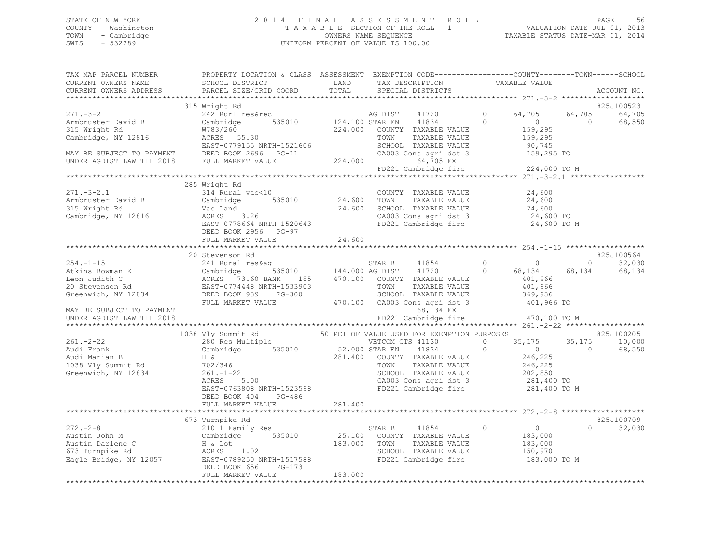# STATE OF NEW YORK FORE STATE OF NEW YORK STATE OF NEW YORK SERIES AT A SSESSMENT ROLL FORE 56 SOUNTY - WALUATION DATE-JUL 01, 2013<br>COUNTY - Washington The Section of The Section of The ROLL - 1 COUNTY - Washington  $T A X A B L E$  SECTION OF THE ROLL - 1<br>TOWN - Cambridge  $\sim$  000NERS NAME SEQUENCE TOWN - Cambridge OWNERS NAME SEQUENCE TAXABLE STATUS DATE-MAR 01, 2014 UNIFORM PERCENT OF VALUE IS 100.00

| TAX MAP PARCEL NUMBER | PROPERTY LOCATION & CLASS ASSESSMENT EXEMPTION CODE-----------------COUNTY-------TOWN------SCHOOL                                                                                                                                                  |         |                                               |                                             |                |                          |
|-----------------------|----------------------------------------------------------------------------------------------------------------------------------------------------------------------------------------------------------------------------------------------------|---------|-----------------------------------------------|---------------------------------------------|----------------|--------------------------|
| CURRENT OWNERS NAME   |                                                                                                                                                                                                                                                    |         |                                               |                                             |                |                          |
|                       | CURRENT OWNERS ADDRESS PARCEL SIZE/GRID COORD TOTAL                                                                                                                                                                                                |         |                                               |                                             |                | ACCOUNT NO.              |
|                       | 315 Wright Rd                                                                                                                                                                                                                                      |         |                                               |                                             |                | 825J100523               |
|                       | 271.-3-2<br>Armbruster David B<br>315 Wright Rd<br>315 Wright Rd<br>315 Wright Rd<br>Cambridge, NY 12816<br>MAY BE SUBJECT TO PAYMENT<br>MAY BE SUBJECT TO PAYMENT<br>DEED BOOK 2696 PG-11<br>224,000 COUNTY TAXABLE VALUE<br>EAST-0779155 NRTH-15 |         | 41720 0                                       | 64,705                                      |                | 64,705 64,705            |
|                       |                                                                                                                                                                                                                                                    |         |                                               | $\overline{0}$                              | $\overline{0}$ | 68,550                   |
|                       |                                                                                                                                                                                                                                                    |         | 224,000 COUNTY TAXABLE VALUE                  |                                             |                |                          |
|                       |                                                                                                                                                                                                                                                    |         |                                               | 159,295<br>159,295                          |                |                          |
|                       |                                                                                                                                                                                                                                                    |         |                                               | 90,745                                      |                |                          |
|                       |                                                                                                                                                                                                                                                    |         | CA003 Cons agri dst 3 159,295 TO              |                                             |                |                          |
|                       |                                                                                                                                                                                                                                                    |         |                                               |                                             |                |                          |
|                       |                                                                                                                                                                                                                                                    |         | FD221 Cambridge fire                          | 224,000 TO M                                |                |                          |
|                       |                                                                                                                                                                                                                                                    |         |                                               |                                             |                |                          |
|                       | 285 Wright Rd                                                                                                                                                                                                                                      |         | COUNTY TAXABLE VALUE 24,600                   |                                             |                |                          |
|                       |                                                                                                                                                                                                                                                    |         |                                               | 24,600                                      |                |                          |
|                       |                                                                                                                                                                                                                                                    |         |                                               | 24,600                                      |                |                          |
|                       |                                                                                                                                                                                                                                                    |         | SCHOOL TAXABLE VALUE<br>CA003 Cons agri dst 3 | 24,600 TO                                   |                |                          |
|                       |                                                                                                                                                                                                                                                    |         | FD221 Cambridge fire                          | 24,600 TO M                                 |                |                          |
|                       | DEED BOOK 2956 PG-97                                                                                                                                                                                                                               |         |                                               |                                             |                |                          |
|                       |                                                                                                                                                                                                                                                    |         |                                               |                                             |                |                          |
|                       |                                                                                                                                                                                                                                                    |         |                                               |                                             |                |                          |
|                       |                                                                                                                                                                                                                                                    |         |                                               |                                             |                | 825J100564               |
|                       |                                                                                                                                                                                                                                                    |         | $41854$ 0 0<br>41720 0 68,134                 |                                             |                | $\overline{0}$<br>32,030 |
|                       |                                                                                                                                                                                                                                                    |         |                                               | 68,134<br>401,966                           | 68,134         | 68,134                   |
|                       |                                                                                                                                                                                                                                                    |         |                                               | 401,966                                     |                |                          |
|                       |                                                                                                                                                                                                                                                    |         |                                               | 369,936                                     |                |                          |
|                       |                                                                                                                                                                                                                                                    |         |                                               | 401,966 TO                                  |                |                          |
|                       |                                                                                                                                                                                                                                                    |         |                                               |                                             |                |                          |
|                       |                                                                                                                                                                                                                                                    |         |                                               | 470,100 TO M                                |                |                          |
|                       | FULL MARKET VOLUTION AND THE SEAR B (1854 - 1994)<br>1994. -1-15 20 Stevenson Rd<br>1994. -1-15 20 Stevenson Rd<br>1995. 1997. STAR B (18964)<br>1997. STAR B (18964)<br>1997. STAR B (18964)<br>1997. STAR B (1897. 1997. 1997. 1997. 199         |         |                                               |                                             |                |                          |
|                       | 1038 Vly Summit Rd 50 PCT OF VALUE USED FOR EXEMPTION PURPOSES<br>280 Res Multiple 60 VETCOM CTS 41130 0 35,175                                                                                                                                    |         |                                               |                                             |                | 825J100205               |
| 261.-2-22             |                                                                                                                                                                                                                                                    |         |                                               | 0 $35,175$                                  | 35, 175        | 10,000                   |
|                       | Audi Frank Cambridge 535010 52,000 STAR EN<br>Audi Marian B H & L 281,400 COUNTY<br>1038 Vly Summit Rd 702/346 201.1-22 SCHOOL                                                                                                                     |         | 41834 0                                       | $\overline{0}$                              | $\Omega$       | 68,550                   |
|                       |                                                                                                                                                                                                                                                    |         | 281,400 COUNTY TAXABLE VALUE                  | 246,225                                     |                |                          |
|                       |                                                                                                                                                                                                                                                    |         | TAXABLE VALUE                                 | 246, 225<br>202, 850                        |                |                          |
|                       | H & L<br>702/346<br>261.-1-22<br>ACRES 5.00                                                                                                                                                                                                        |         | SCHOOL TAXABLE VALUE                          |                                             |                |                          |
|                       | ACRES 5.00 CA003 Cons agri dst 3 281,400 TO<br>EAST-0763808 NRTH-1523598 FD221 Cambridge fire 281,400 TO M                                                                                                                                         |         |                                               |                                             |                |                          |
|                       | DEED BOOK 404 PG-486                                                                                                                                                                                                                               |         |                                               |                                             |                |                          |
|                       | FULL MARKET VALUE                                                                                                                                                                                                                                  | 281,400 |                                               |                                             |                |                          |
|                       |                                                                                                                                                                                                                                                    |         |                                               |                                             |                |                          |
|                       | 673 Turnpike Rd                                                                                                                                                                                                                                    |         |                                               |                                             |                | 825J100709               |
|                       |                                                                                                                                                                                                                                                    |         | STAR B 41854 0                                | $\begin{array}{c} 0 \\ 183,000 \end{array}$ | $\circ$        | 32,030                   |
|                       |                                                                                                                                                                                                                                                    |         |                                               |                                             |                |                          |
|                       |                                                                                                                                                                                                                                                    |         |                                               | 183,000                                     |                |                          |
|                       |                                                                                                                                                                                                                                                    |         |                                               | 150,970                                     |                |                          |
|                       | 272.-2-8<br>Austin John M 210 1 Family Res<br>Austin Darlene C H& Lot<br>673 Turnpike Rd ACRES 1.02<br>Eagle Bridge, NY 12057 EARST-0789250 NRTH-1517588<br>FED221 Cambridge fire<br>FED221 Cambridge fire<br>FED221 Cambridge fire                |         |                                               | 183,000 TO M                                |                |                          |
|                       | DEED BOOK 656 PG-173<br>FULL MARKET VALUE 183,000                                                                                                                                                                                                  |         |                                               |                                             |                |                          |
|                       |                                                                                                                                                                                                                                                    |         |                                               |                                             |                |                          |
|                       |                                                                                                                                                                                                                                                    |         |                                               |                                             |                |                          |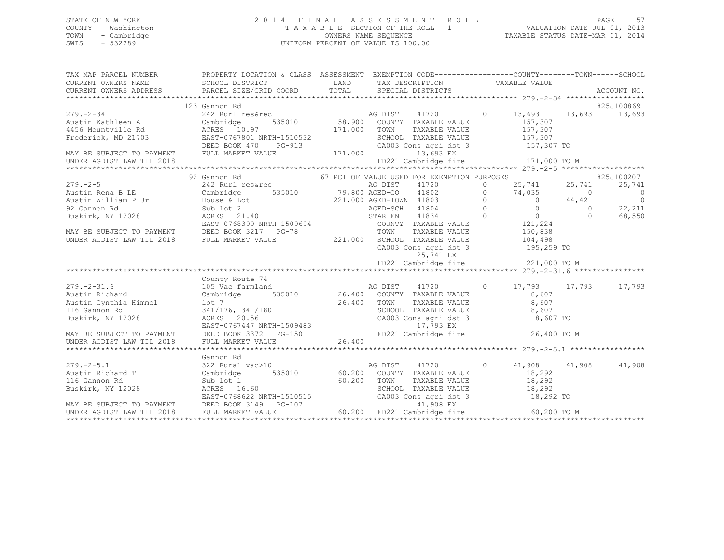### STATE OF NEW YORK 2 0 1 4 F I N A L A S S E S S M E N T R O L L PAGE 57 COUNTY - Washington T A X A B L E SECTION OF THE ROLL - 1 VALUATION DATE-JUL 01, 2013 TOWN - Cambridge OWNERS NAME SEQUENCE TAXABLE STATUS DATE-MAR 01, 2014 SWIS - 532289 UNIFORM PERCENT OF VALUE IS 100.00

| TAX MAP PARCEL NUMBER THE PROPERTY LOCATION & CLASS ASSESSMENT EXEMPTION CODE--------------COUNTY-------TOWN------SCHOOL                                                                                                                                                                                                                                                                               |                                                        |  |            |
|--------------------------------------------------------------------------------------------------------------------------------------------------------------------------------------------------------------------------------------------------------------------------------------------------------------------------------------------------------------------------------------------------------|--------------------------------------------------------|--|------------|
|                                                                                                                                                                                                                                                                                                                                                                                                        |                                                        |  |            |
|                                                                                                                                                                                                                                                                                                                                                                                                        |                                                        |  |            |
|                                                                                                                                                                                                                                                                                                                                                                                                        |                                                        |  |            |
| 123 Gannon Rd                                                                                                                                                                                                                                                                                                                                                                                          |                                                        |  | 825J100869 |
|                                                                                                                                                                                                                                                                                                                                                                                                        |                                                        |  |            |
|                                                                                                                                                                                                                                                                                                                                                                                                        |                                                        |  |            |
|                                                                                                                                                                                                                                                                                                                                                                                                        |                                                        |  |            |
|                                                                                                                                                                                                                                                                                                                                                                                                        |                                                        |  |            |
|                                                                                                                                                                                                                                                                                                                                                                                                        |                                                        |  |            |
|                                                                                                                                                                                                                                                                                                                                                                                                        |                                                        |  |            |
|                                                                                                                                                                                                                                                                                                                                                                                                        |                                                        |  |            |
| 92 Gannon Rd                                                                                                                                                                                                                                                                                                                                                                                           | 67 PCT OF VALUE USED FOR EXEMPTION PURPOSES 625J100207 |  |            |
|                                                                                                                                                                                                                                                                                                                                                                                                        |                                                        |  |            |
|                                                                                                                                                                                                                                                                                                                                                                                                        |                                                        |  |            |
|                                                                                                                                                                                                                                                                                                                                                                                                        |                                                        |  |            |
|                                                                                                                                                                                                                                                                                                                                                                                                        |                                                        |  | 22,211     |
|                                                                                                                                                                                                                                                                                                                                                                                                        |                                                        |  |            |
|                                                                                                                                                                                                                                                                                                                                                                                                        |                                                        |  |            |
|                                                                                                                                                                                                                                                                                                                                                                                                        |                                                        |  |            |
|                                                                                                                                                                                                                                                                                                                                                                                                        |                                                        |  |            |
| $\begin{array}{cccccc} 279.-2-5 & 92\text{ Gannon Rd} & 67\text{ PCT OF VALUED UOT} & 67\text{ PCT OF VALUED UCT} & 67\text{ PCT OF VALUED UCT} & 67\text{ PCT OF VALUED UCT} & 67\text{ PCT OF VALUED UCT} & 67\text{ PCT OF VALUED} & 67\text{ PCT OF VALUCT} & 67\text{ PCT OF VALUCT} & 67\text{ PCT OF VALUCT} & 67\text{ PCT OF VALUCT} & 67\text{ PCT OF VALUCT} & 67\text{ PCT OF VALUCT} & 6$ |                                                        |  |            |
|                                                                                                                                                                                                                                                                                                                                                                                                        | CA003 Cons agri dst 3<br>25,741 EX                     |  |            |
|                                                                                                                                                                                                                                                                                                                                                                                                        |                                                        |  |            |
|                                                                                                                                                                                                                                                                                                                                                                                                        |                                                        |  |            |
| County Route 74                                                                                                                                                                                                                                                                                                                                                                                        |                                                        |  |            |
|                                                                                                                                                                                                                                                                                                                                                                                                        |                                                        |  |            |
|                                                                                                                                                                                                                                                                                                                                                                                                        |                                                        |  |            |
|                                                                                                                                                                                                                                                                                                                                                                                                        |                                                        |  |            |
|                                                                                                                                                                                                                                                                                                                                                                                                        |                                                        |  |            |
|                                                                                                                                                                                                                                                                                                                                                                                                        |                                                        |  |            |
|                                                                                                                                                                                                                                                                                                                                                                                                        |                                                        |  |            |
|                                                                                                                                                                                                                                                                                                                                                                                                        |                                                        |  |            |
|                                                                                                                                                                                                                                                                                                                                                                                                        |                                                        |  |            |
|                                                                                                                                                                                                                                                                                                                                                                                                        |                                                        |  |            |
|                                                                                                                                                                                                                                                                                                                                                                                                        |                                                        |  |            |
|                                                                                                                                                                                                                                                                                                                                                                                                        |                                                        |  |            |
|                                                                                                                                                                                                                                                                                                                                                                                                        |                                                        |  |            |
|                                                                                                                                                                                                                                                                                                                                                                                                        |                                                        |  |            |
|                                                                                                                                                                                                                                                                                                                                                                                                        |                                                        |  |            |
|                                                                                                                                                                                                                                                                                                                                                                                                        |                                                        |  |            |
|                                                                                                                                                                                                                                                                                                                                                                                                        |                                                        |  |            |
| XAMING THE SUBJECT TO PAYMENT TO BEED BOOK 3149 PG-107 (NAMENT VALUE 18,292 TO MANY BE SUBJECT TO PAYMENT DEED BOOK 3149 PG-107 (NAMENT VALUE 19,202 COUNTY TAXABLE VALUE 18,292 TO MANY BE SUBJECT TO PAYMENT DEED BOOK 3149                                                                                                                                                                          |                                                        |  |            |
|                                                                                                                                                                                                                                                                                                                                                                                                        |                                                        |  |            |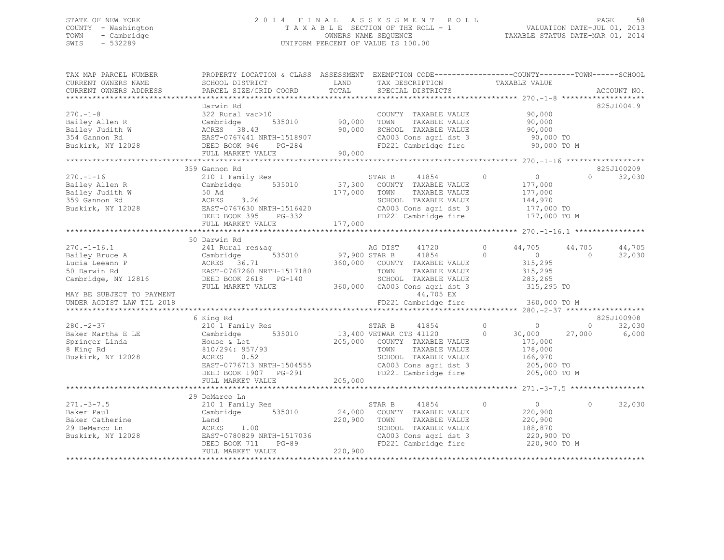### STATE OF NEW YORK 2 0 1 4 F I N A L A S S E S S M E N T R O L L PAGE 58 COUNTY - Washington T A X A B L E SECTION OF THE ROLL - 1 VALUATION DATE-JUL 01, 2013 TOWN - Cambridge OWNERS NAME SEQUENCE TAXABLE STATUS DATE-MAR 01, 2014 SWIS - 532289 UNIFORM PERCENT OF VALUE IS 100.00

| TAX MAP PARCEL NUMBER<br>CURRENT OWNERS NAME                                                         | PROPERTY LOCATION & CLASS ASSESSMENT EXEMPTION CODE----------------COUNTY-------TOWN-----SCHOOL<br>SCHOOL DISTRICT                                        | LAND                         | TAX DESCRIPTION                                                                                                                                           | TAXABLE VALUE                                                                            |                                  |
|------------------------------------------------------------------------------------------------------|-----------------------------------------------------------------------------------------------------------------------------------------------------------|------------------------------|-----------------------------------------------------------------------------------------------------------------------------------------------------------|------------------------------------------------------------------------------------------|----------------------------------|
| CURRENT OWNERS ADDRESS                                                                               | PARCEL SIZE/GRID COORD                                                                                                                                    | TOTAL                        | SPECIAL DISTRICTS                                                                                                                                         |                                                                                          | ACCOUNT NO.                      |
| $270. - 1 - 8$<br>Bailey Allen R<br>Bailey Judith W<br>354 Gannon Rd<br>Buskirk, NY 12028            | Darwin Rd<br>322 Rural vac>10<br>535010<br>Cambridge<br>ACRES 38.43<br>EAST-0767441 NRTH-1518907<br>DEED BOOK 946<br>PG-284<br>FULL MARKET VALUE          | 90,000<br>90,000<br>90,000   | COUNTY TAXABLE VALUE<br>TOWN<br>TAXABLE VALUE<br>SCHOOL TAXABLE VALUE<br>CA003 Cons agri dst 3<br>FD221 Cambridge fire                                    | 90,000<br>90,000<br>90,000<br>90,000 TO<br>90,000 TO M                                   | 825J100419                       |
|                                                                                                      |                                                                                                                                                           |                              |                                                                                                                                                           |                                                                                          |                                  |
| $270. - 1 - 16$<br>Bailey Allen R<br>Bailey Judith W<br>359 Gannon Rd<br>Buskirk, NY 12028           | 359 Gannon Rd<br>210 1 Family Res<br>Cambridge 535010<br>50 Ad<br>3.26<br>ACRES<br>EAST-0767630 NRTH-1516420<br>DEED BOOK 395<br>PG-332                   | 177,000 TOWN                 | STAR B<br>41854<br>37,300 COUNTY TAXABLE VALUE<br>TAXABLE VALUE<br>SCHOOL TAXABLE VALUE<br>CA003 Cons agri dst 3<br>FD221 Cambridge fire                  | $\overline{0}$<br>$\circ$<br>177,000<br>177,000<br>144,970<br>177,000 TO<br>177,000 TO M | 825J100209<br>$\Omega$<br>32,030 |
|                                                                                                      | FULL MARKET VALUE                                                                                                                                         | 177,000                      |                                                                                                                                                           |                                                                                          |                                  |
| $270. - 1 - 16.1$                                                                                    | 50 Darwin Rd<br>241 Rural res&aq                                                                                                                          |                              | 41720<br>AG DIST                                                                                                                                          | 44,705<br>$\circ$                                                                        | 44,705<br>44,705                 |
| Bailey Bruce A<br>Lucia Leeann P<br>50 Darwin Rd<br>Cambridge, NY 12816<br>MAY BE SUBJECT TO PAYMENT | 535010<br>Cambridge<br>ACRES 36.71<br>EAST-0767260 NRTH-1517180<br>DEED BOOK 2618 PG-140<br>FULL MARKET VALUE                                             | 97,900 STAR B                | 41854<br>360,000 COUNTY TAXABLE VALUE<br>TOWN<br>TAXABLE VALUE<br>SCHOOL TAXABLE VALUE<br>360,000 CA003 Cons agri dst 3<br>44,705 EX                      | $\sim$ 0<br>$\Omega$<br>315,295<br>315,295<br>283,265<br>315,295 TO                      | 32,030<br>$\Omega$               |
| UNDER AGDIST LAW TIL 2018                                                                            |                                                                                                                                                           |                              | FD221 Cambridge fire                                                                                                                                      | 360,000 TO M                                                                             |                                  |
|                                                                                                      |                                                                                                                                                           |                              |                                                                                                                                                           |                                                                                          |                                  |
| $280. - 2 - 37$                                                                                      | 6 King Rd<br>210 1 Family Res                                                                                                                             |                              | STAR B<br>41854                                                                                                                                           | $\circ$<br>$\sim$ 0                                                                      | 825J100908<br>32,030<br>$\circ$  |
| Baker Martha E LE<br>Springer Linda<br>8 King Rd<br>Buskirk, NY 12028                                | 535010<br>Cambridge<br>House & Lot<br>810/294: 957/93<br>0.52<br>ACRES<br>EAST-0776713 NRTH-1504555<br>DEED BOOK 1907 PG-291<br>FULL MARKET VALUE         | 205,000                      | 13,400 VETWAR CTS 41120<br>205,000 COUNTY TAXABLE VALUE<br>TOWN<br>TAXABLE VALUE<br>SCHOOL TAXABLE VALUE<br>CA003 Cons agri dst 3<br>FD221 Cambridge fire | 30,000<br>$\circ$<br>175,000<br>178,000<br>166,970<br>205,000 TO<br>205,000 TO M         | 6,000<br>27,000                  |
|                                                                                                      |                                                                                                                                                           |                              |                                                                                                                                                           |                                                                                          |                                  |
| $271 - 3 - 7.5$<br>Baker Paul<br>Baker Catherine<br>29 DeMarco Ln<br>Buskirk, NY 12028               | 29 DeMarco Ln<br>210 1 Family Res<br>Cambridge 535010<br>Land<br>ACRES 1.00<br>EAST-0780829 NRTH-1517036<br>$PG-89$<br>DEED BOOK 711<br>FULL MARKET VALUE | 24,000<br>220,900<br>220,900 | STAR B<br>41854<br>COUNTY TAXABLE VALUE<br>TAXABLE VALUE<br>TOWN<br>SCHOOL TAXABLE VALUE<br>CA003 Cons agri dst 3<br>FD221 Cambridge fire                 | 0<br>$\circ$<br>220,900<br>220,900<br>188,870<br>220,900 TO<br>220,900 TO M              | $\circ$<br>32,030                |
|                                                                                                      |                                                                                                                                                           |                              |                                                                                                                                                           |                                                                                          |                                  |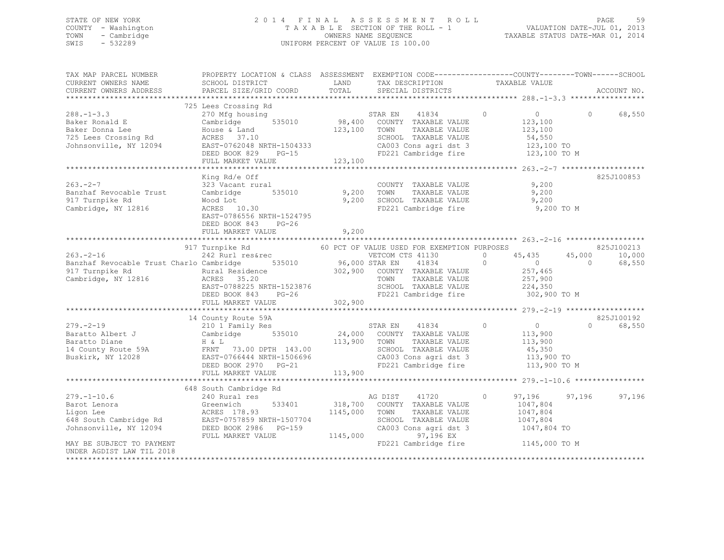### STATE OF NEW YORK 2 0 1 4 F I N A L A S S E S S M E N T R O L L PAGE 59 COUNTY - Washington T A X A B L E SECTION OF THE ROLL - 1 VALUATION DATE-JUL 01, 2013 TOWN - Cambridge Communication owners NAME SEQUENCE TAXABLE STATUS DATE-MAR 01, 2014 SWIS - 532289 UNIFORM PERCENT OF VALUE IS 100.00

TAX MAP PARCEL NUMBER PROPERTY LOCATION & CLASS ASSESSMENT EXEMPTION CODE----------------------------TOWN------SCHOOL CURRENT OWNERS NAME SCHOOL DISTRICT AND TAX DESCRIPTION TAXABLE VALUE CURRENT OWNERS ADDRESS PARCEL SIZE/GRID COORD TOTAL SPECIAL DISTRICTS ACCOUNT NO. \*\*\*\*\*\*\*\*\*\*\*\*\*\*\*\*\*\*\*\*\*\*\*\*\*\*\*\*\*\*\*\*\*\*\*\*\*\*\*\*\*\*\*\*\*\*\*\*\*\*\*\*\*\*\*\*\*\*\*\*\*\*\*\*\*\*\*\*\*\*\*\*\*\*\*\*\*\*\*\*\*\*\*\*\*\*\*\*\*\*\*\*\*\*\*\*\*\*\*\*\*\*\* 288.-1-3.3 \*\*\*\*\*\*\*\*\*\*\*\*\*\*\*\*\* 725 Lees Crossing Rd 288.-1-3.3 270 Mfg housing STAR EN 41834 0 0 0 68,550 Baker Ronald E Cambridge 535010 98,400 COUNTY TAXABLE VALUE 123,100 Baker Donna Lee House & Land 123,100 TOWN TAXABLE VALUE 123,100 725 Lees Crossing Rd ACRES 37.10 SCHOOL TAXABLE VALUE 54,550 Johnsonville, NY 12094 EAST-0762048 NRTH-1504333 CA003 Cons agri dst 3 123,100 TO DEED BOOK 829 PG-15 FD221 Cambridge fire 123,100 TO M FEED BOOK 829 PG-15<br>FULL MARKET VALUE 123,100 \*\*\*\*\*\*\*\*\*\*\*\*\*\*\*\*\*\*\*\*\*\*\*\*\*\*\*\*\*\*\*\*\*\*\*\*\*\*\*\*\*\*\*\*\*\*\*\*\*\*\*\*\*\*\*\*\*\*\*\*\*\*\*\*\*\*\*\*\*\*\*\*\*\*\*\*\*\*\*\*\*\*\*\*\*\*\*\*\*\*\*\*\*\*\*\*\*\*\*\*\*\*\* 263.-2-7 \*\*\*\*\*\*\*\*\*\*\*\*\*\*\*\*\*\*\*King Rd/e Off 825J100853 263.-2-7 323 Vacant rural COUNTY TAXABLE VALUE 9,200 Banzhaf Revocable Trust Cambridge 535010 9,200 TOWN TAXABLE VALUE 9,200 917 Turnpike Rd Wood Lot 9,200 SCHOOL TAXABLE VALUE 9,200 Cambridge, NY 12816 ACRES 10.30 FD221 Cambridge fire 9,200 TO M EAST-0786556 NRTH-1524795 DEED BOOK 843 PG-26 FULL MARKET VALUE 9,200 \*\*\*\*\*\*\*\*\*\*\*\*\*\*\*\*\*\*\*\*\*\*\*\*\*\*\*\*\*\*\*\*\*\*\*\*\*\*\*\*\*\*\*\*\*\*\*\*\*\*\*\*\*\*\*\*\*\*\*\*\*\*\*\*\*\*\*\*\*\*\*\*\*\*\*\*\*\*\*\*\*\*\*\*\*\*\*\*\*\*\*\*\*\*\*\*\*\*\*\*\*\*\* 263.-2-16 \*\*\*\*\*\*\*\*\*\*\*\*\*\*\*\*\*\* 917 Turnpike Rd 60 PCT OF VALUE USED FOR EXEMPTION PURPOSES 825J100213 263.-2-16 242 Rurl res&rec VETCOM CTS 41130 0 45,435 45,000 10,000 Banzhaf Revocable Trust Charlo Cambridge 535010 96,000 STAR EN 41834 0 0 0 68,550 917 Turnpike Rd Rural Residence 302,900 COUNTY TAXABLE VALUE 257,465 Cambridge, NY 12816 ACRES 35.20 TOWN TAXABLE VALUE 257,900 EAST-0788225 NRTH-1523876 SCHOOL TAXABLE VALUE 224,350 DEED BOOK 843 PG-26 FD221 Cambridge fire 302,900 TO M FULL MARKET VALUE 302,900 \*\*\*\*\*\*\*\*\*\*\*\*\*\*\*\*\*\*\*\*\*\*\*\*\*\*\*\*\*\*\*\*\*\*\*\*\*\*\*\*\*\*\*\*\*\*\*\*\*\*\*\*\*\*\*\*\*\*\*\*\*\*\*\*\*\*\*\*\*\*\*\*\*\*\*\*\*\*\*\*\*\*\*\*\*\*\*\*\*\*\*\*\*\*\*\*\*\*\*\*\*\*\* 279.-2-19 \*\*\*\*\*\*\*\*\*\*\*\*\*\*\*\*\*\* 14 County Route 59A 825J100192 279.-2-19 210 1 Family Res STAR EN 41834 0 0 0 68,550 Baratto Albert J Cambridge 535010 24,000 COUNTY TAXABLE VALUE 113,900 Baratto Diane H & L 113,900 TOWN TAXABLE VALUE 113,900 14 County Route 59A FRNT 73.00 DPTH 143.00 SCHOOL TAXABLE VALUE 45,350 Buskirk, NY 12028 EAST-0766444 NRTH-1506696 CA003 Cons agri dst 3 113,900 TO DEED BOOK 2970 PG-21 FORD FD221 Cambridge fire 113,900 TO M FULL MARKET VALUE 113,900 \*\*\*\*\*\*\*\*\*\*\*\*\*\*\*\*\*\*\*\*\*\*\*\*\*\*\*\*\*\*\*\*\*\*\*\*\*\*\*\*\*\*\*\*\*\*\*\*\*\*\*\*\*\*\*\*\*\*\*\*\*\*\*\*\*\*\*\*\*\*\*\*\*\*\*\*\*\*\*\*\*\*\*\*\*\*\*\*\*\*\*\*\*\*\*\*\*\*\*\*\*\*\* 279.-1-10.6 \*\*\*\*\*\*\*\*\*\*\*\*\*\*\*\* 648 South Cambridge Rd 279.-1-10.6 240 Rural res AG DIST 41720 0 97,196 97,196 97,196 Barot Lenora Greenwich 533401 318,700 COUNTY TAXABLE VALUE 1047,804 Ligon Lee ACRES 178.93 1145,000 TOWN TAXABLE VALUE 1047,804 648 South Cambridge Rd EAST-0757859 NRTH-1507704 SCHOOL TAXABLE VALUE 1047,804 Johnsonville, NY 12094 DEED BOOK 2986 PG-159 CA003 Cons agri dst 3 1047,804 TO FULL MARKET VALUE 1145,000 97,196 EX MAY BE SUBJECT TO PAYMENT **FULL ASSAULT AS A CONSTRUCT A** FORD FOR THE FORD FOR THE FORD FOR THE FORD FOR THE FORD FOR THE FORD FOR THE FORD FOR THE FORD FOR THE FORD FOR THE FORD FOR THE FORD FOR THE FORD FOR THE FORD FOR UNDER AGDIST LAW TIL 2018\*\*\*\*\*\*\*\*\*\*\*\*\*\*\*\*\*\*\*\*\*\*\*\*\*\*\*\*\*\*\*\*\*\*\*\*\*\*\*\*\*\*\*\*\*\*\*\*\*\*\*\*\*\*\*\*\*\*\*\*\*\*\*\*\*\*\*\*\*\*\*\*\*\*\*\*\*\*\*\*\*\*\*\*\*\*\*\*\*\*\*\*\*\*\*\*\*\*\*\*\*\*\*\*\*\*\*\*\*\*\*\*\*\*\*\*\*\*\*\*\*\*\*\*\*\*\*\*\*\*\*\*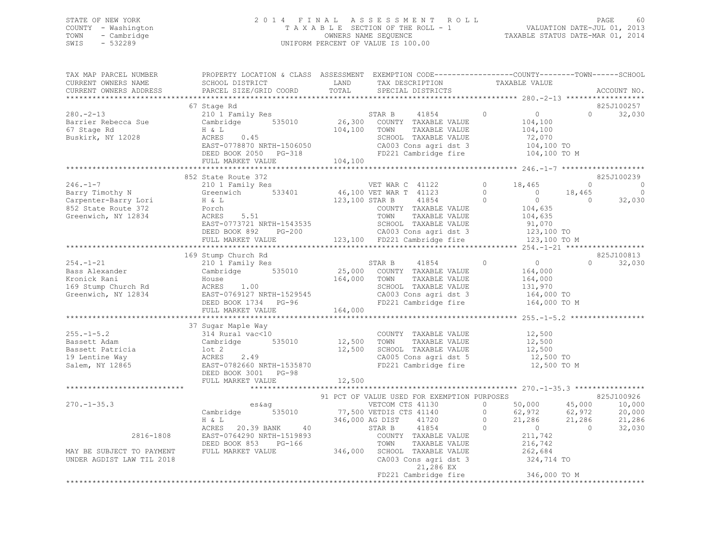### STATE OF NEW YORK 2 0 1 4 F I N A L A S S E S S M E N T R O L L PAGE 60 COUNTY - Washington T A X A B L E SECTION OF THE ROLL - 1 VALUATION DATE-JUL 01, 2013 TOWN - Cambridge OWNERS NAME SEQUENCE TAXABLE STATUS DATE-MAR 01, 2014 SWIS - 532289 UNIFORM PERCENT OF VALUE IS 100.00

| TAX MAP PARCEL NUMBER<br>CURRENT OWNERS NAME                                                                                                                                                                                                                                                                                                                                                                   | PROPERTY LOCATION & CLASS ASSESSMENT EXEMPTION CODE-----------------COUNTY-------TOWN------SCHOOL<br>SCHOOL DISTRICT                                                                                                                                                                                                                                                                                                                    |        | LAND TAX DESCRIPTION TAXABLE VALUE<br>TOTAL SPECIAL DISTRICTS                                                                |                                                              |                   | ACCOUNT NO.                                                                           |
|----------------------------------------------------------------------------------------------------------------------------------------------------------------------------------------------------------------------------------------------------------------------------------------------------------------------------------------------------------------------------------------------------------------|-----------------------------------------------------------------------------------------------------------------------------------------------------------------------------------------------------------------------------------------------------------------------------------------------------------------------------------------------------------------------------------------------------------------------------------------|--------|------------------------------------------------------------------------------------------------------------------------------|--------------------------------------------------------------|-------------------|---------------------------------------------------------------------------------------|
|                                                                                                                                                                                                                                                                                                                                                                                                                |                                                                                                                                                                                                                                                                                                                                                                                                                                         |        |                                                                                                                              |                                                              |                   |                                                                                       |
|                                                                                                                                                                                                                                                                                                                                                                                                                | 67 Stage Rd                                                                                                                                                                                                                                                                                                                                                                                                                             |        |                                                                                                                              |                                                              |                   | 825J100257                                                                            |
| $\begin{array}{cccccc} 280.-2-13 & 2101 & \text{Family Res} & \text{STAR B} & 41854 & 0 \\ \text{Barrier Rebecca Sue} & \text{Cambridge} & 535010 & 26,300 & \text{COUNTY} & \text{TAXABLE VALUE} \\ 67 \text{ Stage Rd} & \text{H & L} & 104,100 & \text{TOWN} & \text{TAXABLE VALUE} \\ \text{Buskirk, NY 12028} & \text{ACRES} & 0.45 & \text{SCHOS} & \text{SCHOOL} & \text{TAXABLE VALUE} \\ \end{array}$ | ACRES 0.45<br>EAST-0778870 NRTH-1506050 CA003 Cons agri dst 3 104,100 TO<br>DEED BOOK 2050 PG-318 FD221 Cambridge fire 104,100 TO M<br>FULL MARKET VALUE 104,100                                                                                                                                                                                                                                                                        |        |                                                                                                                              | $\overline{0}$<br>104,100<br>104,100<br>72,070<br>104,100 TO | $0 \qquad \qquad$ | 32,030                                                                                |
|                                                                                                                                                                                                                                                                                                                                                                                                                |                                                                                                                                                                                                                                                                                                                                                                                                                                         |        |                                                                                                                              |                                                              |                   |                                                                                       |
| 852 State Route 372<br>825 State Route 372<br>210 1 Family Res<br>Barry Timothy N Greenwich 533401 46,100 VET WAR T 41123 0 18,465 0<br>Carpenter-Barry Lori H & L<br>Carpenter-Barry Lori H & L<br>Carpenter-Barry Lori H & L<br>Carpenter-Barry Lori H & L<br>852 State Route 372 Porch<br>Greenwich, NY 12834 ACRES                                                                                         | 852 State Route 372<br>H & L<br>Porch<br>ACRES 5.51<br>ACRES 5.51<br>EAST-0773721 NRTH-1543535<br>DEED BOOK 892 PG-200 123,100 FD221 Cambridge fire 104,635<br>FULL MARKET VALUE 123,100 FD221 Cambridge fire 123,100 TO M                                                                                                                                                                                                              |        | COUNTY TAXABLE VALUE<br>TOWN     TAXABLE VALUE                                                                               | 104,635<br>104,635                                           |                   | 825J100239<br>$\begin{array}{ccc} & & 0 & & \hline \end{array}$<br>$\sim$ 0<br>32,030 |
|                                                                                                                                                                                                                                                                                                                                                                                                                |                                                                                                                                                                                                                                                                                                                                                                                                                                         |        |                                                                                                                              |                                                              |                   |                                                                                       |
| 254.-1-21<br>Bass Alexander<br>Like Ranj<br>254.-1-21<br>Bass Alexander<br>Moridge 535010 25,000 COUNTY TAXABLE VALUE<br>Kronick Rani House House 164,000 TOWN TAXABLE VALUE<br>TO SCHOOL TAXABLE VALUE<br>STEED BOOK 1734 PG-96 FD221 Cambridge fire<br>FULL MARKET VALUE<br>TO SCHOOL                                                                                                                        | 169 Stump Church Rd<br>$\begin{array}{ccccccccc}\n & \text{SITAR B} & & \text{41854} & & 0 & & 0 \\  & \text{210 1 Family Res} & & \text{S35010} & & \text{25,000} & & \text{COUNTY TAXABLE VALUE} & & & 164,000 \\  & & \text{Gumbiridge} & & & 164,000 & & \text{TCINY TAYABLE VALUE} & & & 164,000\n\end{array}$                                                                                                                     |        | TOWN TAXABLE VALUE<br>SCHOOL TAXABLE VALUE 131,970<br>CAOO Consagri dst 3 164,000 TO                                         | 164,000<br>164,000 TO M                                      |                   | 825J100813<br>$0 \t32,030$                                                            |
|                                                                                                                                                                                                                                                                                                                                                                                                                |                                                                                                                                                                                                                                                                                                                                                                                                                                         |        |                                                                                                                              |                                                              |                   |                                                                                       |
| Bassett Adam and and the Countring of COUNT:<br>Bassett Patricia cambridge 535010 12,500 TOWN<br>Bassett Patricia lot 2 12,500 SCHOOI<br>19 Lentine Way ACRES 2.49<br>Salem, NY 12865 EAST-0782660 NRTH-153587∩<br>CA005                                                                                                                                                                                       | 37 Sugar Maple Way<br>12,500 SCHOOL TAXABLE VALUE<br>ACRES 2.49<br>EAST-0782660 NRTH-1535870 FD221 Cambridge fire<br>FD221 Cambridge fire<br>DEED BOOK 3001 PG-98                                                                                                                                                                                                                                                                       |        | COUNTY TAXABLE VALUE 12,500<br>TAXABLE VALUE 12,500<br>TAXABLE VALUE 12,500<br>CA005 Cons agri dst 5<br>FD221 Cambridge fire | 12,500 TO<br>12,500 TO M                                     |                   |                                                                                       |
|                                                                                                                                                                                                                                                                                                                                                                                                                | FULL MARKET VALUE                                                                                                                                                                                                                                                                                                                                                                                                                       | 12,500 |                                                                                                                              |                                                              |                   |                                                                                       |
|                                                                                                                                                                                                                                                                                                                                                                                                                |                                                                                                                                                                                                                                                                                                                                                                                                                                         |        | 91 PCT OF VALUE USED FOR EXEMPTION PURPOSES                                                                                  |                                                              |                   | 825J100926                                                                            |
| $270. - 1 - 35.3$                                                                                                                                                                                                                                                                                                                                                                                              |                                                                                                                                                                                                                                                                                                                                                                                                                                         |        |                                                                                                                              |                                                              |                   |                                                                                       |
| 2816-1808                                                                                                                                                                                                                                                                                                                                                                                                      |                                                                                                                                                                                                                                                                                                                                                                                                                                         |        |                                                                                                                              |                                                              |                   |                                                                                       |
| MAY BE SUBJECT TO PAYMENT<br>UNDER AGDIST LAW TIL 2018                                                                                                                                                                                                                                                                                                                                                         | $\begin{array}{lllllllllllllllll} \text{H & & & & & & & \\ \text{ACRES} & & 20.39 \text{ BANK} & & 40 & & & & \\ \text{EAST-0764290 NRTH-1519893} & & & & & & \text{COUNTY} & \text{TAXABLE VALUE} & & & \\ \text{DEED BOOK 853} & & \text{PG-166} & & & \text{TOWN} & \text{TAXABLE VALUE} & & & \\ \text{FUIJL MARKET VALUE} & & 346,000 & & \text{SCHOOL TAXABLE VALUE} & & 262,684 & \\ \text{FUIJL MARKET VALUE} & & & & & & \\ \$ |        | FD221 Cambridge fire 346,000 TO M                                                                                            |                                                              |                   |                                                                                       |
|                                                                                                                                                                                                                                                                                                                                                                                                                |                                                                                                                                                                                                                                                                                                                                                                                                                                         |        |                                                                                                                              |                                                              |                   |                                                                                       |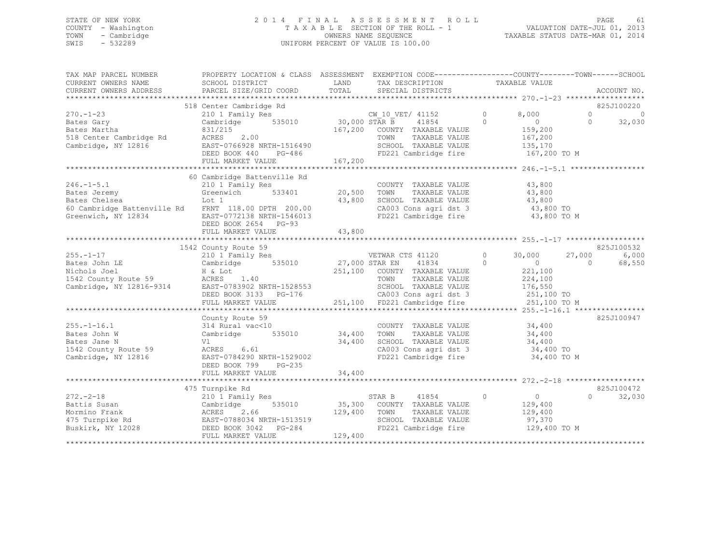### STATE OF NEW YORK 2 0 1 4 F I N A L A S S E S S M E N T R O L L PAGE 61 COUNTY - Washington T A X A B L E SECTION OF THE ROLL - 1 VALUATION DATE-JUL 01, 2013 TOWN - Cambridge OWNERS NAME SEQUENCE TAXABLE STATUS DATE-MAR 01, 2014 SWIS - 532289 UNIFORM PERCENT OF VALUE IS 100.00

| TAX MAP PARCEL NUMBER<br>CURRENT OWNERS NAME<br>CURRENT OWNERS ADDRESS                                    | PROPERTY LOCATION & CLASS ASSESSMENT EXEMPTION CODE----------------COUNTY-------TOWN------SCHOOL<br>SCHOOL DISTRICT<br>PARCEL SIZE/GRID COORD | LAND<br>TOTAL        | TAX DESCRIPTION<br>SPECIAL DISTRICTS                                           | TAXABLE VALUE |                  | ACCOUNT NO.         |
|-----------------------------------------------------------------------------------------------------------|-----------------------------------------------------------------------------------------------------------------------------------------------|----------------------|--------------------------------------------------------------------------------|---------------|------------------|---------------------|
|                                                                                                           |                                                                                                                                               |                      |                                                                                |               |                  |                     |
|                                                                                                           | 518 Center Cambridge Rd                                                                                                                       |                      |                                                                                |               |                  | 825J100220          |
| $270. - 1 - 23$                                                                                           | 210 1 Family Res                                                                                                                              |                      | CW 10 VET/ 41152                                                               | $\circ$       | 8,000            | $\Omega$<br>$\circ$ |
| Bates Gary                                                                                                | Cambridge                                                                                                                                     | 535010 30,000 STAR B | 41854                                                                          | $\Omega$      | $\overline{0}$   | 32,030<br>$\Omega$  |
| Bates Martha                                                                                              | 831/215                                                                                                                                       |                      | 167,200 COUNTY TAXABLE VALUE                                                   |               | 159,200          |                     |
| 518 Center Cambridge Rd                                                                                   | 2.00<br>ACRES                                                                                                                                 |                      | TOWN<br>TAXABLE VALUE                                                          |               | 167,200          |                     |
| Cambridge, NY 12816                                                                                       | EAST-0766928 NRTH-1516490                                                                                                                     |                      | SCHOOL TAXABLE VALUE                                                           |               | 135,170          |                     |
|                                                                                                           | DEED BOOK 440<br>PG-486                                                                                                                       |                      | FD221 Cambridge fire                                                           |               | 167,200 TO M     |                     |
|                                                                                                           | FULL MARKET VALUE                                                                                                                             | 167,200              |                                                                                |               |                  |                     |
|                                                                                                           |                                                                                                                                               |                      |                                                                                |               |                  |                     |
|                                                                                                           | 60 Cambridge Battenville Rd                                                                                                                   |                      |                                                                                |               |                  |                     |
| $246. -1 - 5.1$                                                                                           | 210 1 Family Res                                                                                                                              |                      | COUNTY TAXABLE VALUE                                                           |               | 43,800           |                     |
| Bates Jeremy                                                                                              | 533401<br>Greenwich                                                                                                                           | 20,500               | TOWN<br>TAXABLE VALUE                                                          |               | 43,800           |                     |
| Bates Chelsea                                                                                             | Lot 1                                                                                                                                         | 43,800               | SCHOOL TAXABLE VALUE                                                           |               | 43,800           |                     |
| 60 Cambridge Battenville Rd FRNT 118.00 DPTH 200.00                                                       |                                                                                                                                               |                      | CA003 Cons agri dst 3                                                          |               | 43,800 TO        |                     |
| Greenwich, NY 12834                                                                                       | EAST-0772138 NRTH-1546013                                                                                                                     |                      | FD221 Cambridge fire 43,800 TO M                                               |               |                  |                     |
|                                                                                                           | DEED BOOK 2654 PG-93                                                                                                                          |                      |                                                                                |               |                  |                     |
|                                                                                                           | FULL MARKET VALUE                                                                                                                             | 43,800               |                                                                                |               |                  |                     |
|                                                                                                           |                                                                                                                                               |                      |                                                                                |               |                  |                     |
|                                                                                                           | 1542 County Route 59                                                                                                                          |                      |                                                                                |               |                  | 825J100532          |
| $255. - 1 - 17$                                                                                           | 210 1 Family Res                                                                                                                              |                      | VETWAR CTS 41120                                                               | $\circ$       | 30,000<br>27,000 | 6,000               |
| Bates John LE                                                                                             | Cambridge 535010 27,000 STAR EN                                                                                                               |                      | 41834                                                                          | $\circ$       | $\sim$ 0         | 68,550<br>$\Omega$  |
| Nichols Joel                                                                                              | H & Lot                                                                                                                                       |                      | 251,100 COUNTY TAXABLE VALUE                                                   |               | 221,100          |                     |
| 1542 County Route 59<br>Cambridge, NY 12816-9314<br>Cambridge, NY 12816-9314<br>EAST-0783902 NRTH-1528553 |                                                                                                                                               |                      | TOWN<br>TAXABLE VALUE                                                          |               | 224,100          |                     |
|                                                                                                           |                                                                                                                                               |                      | SCHOOL TAXABLE VALUE                                                           |               | 176,550          |                     |
|                                                                                                           | DEED BOOK 3133 PG-176                                                                                                                         |                      | CA003 Cons agri dst 3<br>CA003 Cons agri dst 3<br>251,100 FD221 Cambridge fire |               | 251,100 TO       |                     |
|                                                                                                           | FULL MARKET VALUE                                                                                                                             |                      |                                                                                |               | 251,100 TO M     |                     |
|                                                                                                           |                                                                                                                                               |                      |                                                                                |               |                  |                     |
|                                                                                                           | County Route 59                                                                                                                               |                      |                                                                                |               |                  | 825J100947          |
| $255. - 1 - 16.1$                                                                                         | 314 Rural vac<10                                                                                                                              |                      | COUNTY TAXABLE VALUE                                                           |               | 34,400           |                     |
| Bates John W                                                                                              | Cambridge<br>535010                                                                                                                           | 34,400               | TOWN<br>TAXABLE VALUE                                                          |               | 34,400           |                     |
| Bates Jane N                                                                                              | Vl                                                                                                                                            | 34,400               | SCHOOL TAXABLE VALUE                                                           |               | 34,400           |                     |
| 1542 County Route 59                                                                                      | ACRES 6.61                                                                                                                                    |                      | CA003 Cons agri dst 3                                                          |               | 34,400 TO        |                     |
| Cambridge, NY 12816                                                                                       | EAST-0784290 NRTH-1529002                                                                                                                     |                      | FD221 Cambridge fire                                                           |               | 34,400 TO M      |                     |
|                                                                                                           | DEED BOOK 799<br>PG-235                                                                                                                       |                      |                                                                                |               |                  |                     |
|                                                                                                           |                                                                                                                                               |                      |                                                                                |               |                  |                     |
|                                                                                                           | 475 Turnpike Rd                                                                                                                               |                      |                                                                                |               |                  | 825J100472          |
| $272. - 2 - 18$                                                                                           |                                                                                                                                               |                      | STAR B<br>41854                                                                | $\Omega$      | $\overline{0}$   | $\Omega$<br>32,030  |
| Battis Susan                                                                                              | 210 1 Family Res<br>535010                                                                                                                    | 35,300               | COUNTY TAXABLE VALUE                                                           |               | 129,400          |                     |
| Mormino Frank                                                                                             | Cambridge<br>2.66                                                                                                                             | 129,400              | TOWN<br>TAXABLE VALUE                                                          |               | 129,400          |                     |
|                                                                                                           | ACRES<br>EAST-0788034 NRTH-1513519                                                                                                            |                      | SCHOOL TAXABLE VALUE                                                           |               | 97,370           |                     |
| 475 Turnpike Rd<br>Buskirk, NY 12028                                                                      |                                                                                                                                               |                      | JUNUL TAXABLE VALUE<br>FD221 Cambridge fire                                    |               | 129,400 TO M     |                     |
|                                                                                                           | DEED BOOK 3042 PG-284                                                                                                                         | 129,400              |                                                                                |               |                  |                     |
|                                                                                                           | FULL MARKET VALUE                                                                                                                             |                      |                                                                                |               |                  |                     |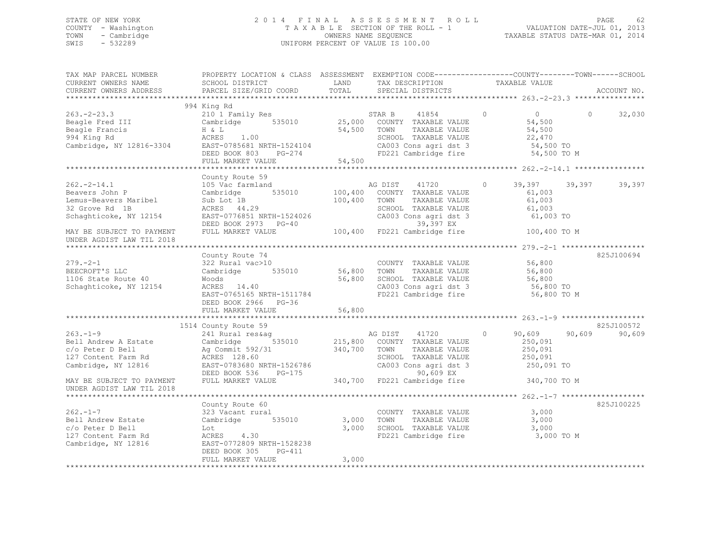### STATE OF NEW YORK 2 0 1 4 F I N A L A S S E S S M E N T R O L L PAGE 62 COUNTY - Washington T A X A B L E SECTION OF THE ROLL - 1 VALUATION DATE-JUL 01, 2013 TOWN - Cambridge OWNERS NAME SEQUENCE TAXABLE STATUS DATE-MAR 01, 2014 SWIS - 532289 UNIFORM PERCENT OF VALUE IS 100.00

| TAX MAP PARCEL NUMBER<br>CURRENT OWNERS NAME<br>CURRENT OWNERS ADDRESS                                                     | PROPERTY LOCATION & CLASS ASSESSMENT EXEMPTION CODE-----------------COUNTY-------TOWN-----SCHOOL<br>SCHOOL DISTRICT<br>PARCEL SIZE/GRID COORD                                                      | LAND<br>TOTAL           | TAX DESCRIPTION TAXABLE VALUE<br>SPECIAL DISTRICTS                                                                                       |                                                                                            | ACCOUNT NO.                    |
|----------------------------------------------------------------------------------------------------------------------------|----------------------------------------------------------------------------------------------------------------------------------------------------------------------------------------------------|-------------------------|------------------------------------------------------------------------------------------------------------------------------------------|--------------------------------------------------------------------------------------------|--------------------------------|
| $263 - 2 - 23.3$<br>Beagle Fred III<br>Diamle Francis<br>994 King Rd<br>Cambridge, NY 12816-3304 EAST-0785681 NRTH-1524104 | 994 King Rd<br>210 1 Family Res<br>Cambridge 535010<br>H & L<br>ACRES 1.00<br>DEED BOOK 803 PG-274<br>FULL MARKET VALUE                                                                            | 54,500 TOWN<br>54,500   | STAR B<br>41854<br>25,000 COUNTY TAXABLE VALUE<br>TAXABLE VALUE<br>SCHOOL TAXABLE VALUE<br>CA003 Cons agri dst 3<br>FD221 Cambridge fire | $\overline{0}$<br>$\overline{0}$<br>54,500<br>54,500<br>22,470<br>54,500 TO<br>54,500 TO M | 32,030<br>$\Omega$             |
|                                                                                                                            |                                                                                                                                                                                                    |                         |                                                                                                                                          |                                                                                            |                                |
| $262 - 2 - 14.1$<br>Beavers John P<br>Lemus-Beavers Maribel<br>32 Grove Rd 1B<br>Schaghticoke, NY 12154                    | County Route 59<br>105 Vac farmland<br>Cambridge<br>535010<br>Sub Lot 1B<br>ACRES 44.29<br>EAST-0776851 NRTH-1524026<br>DEED BOOK 2973 PG-40                                                       | 100,400<br>100,400 TOWN | AG DIST 41720<br>COUNTY TAXABLE VALUE<br>TAXABLE VALUE<br>SCHOOL TAXABLE VALUE<br>CA003 Cons agri dst 3<br>39,397 EX                     | $\circ$<br>39,397<br>61,003<br>61,003<br>61,003<br>61,003 TO                               | 39,397<br>39,397               |
| MAY BE SUBJECT TO PAYMENT<br>UNDER AGDIST LAW TIL 2018                                                                     | FULL MARKET VALUE                                                                                                                                                                                  |                         | مط <i>اح</i> د, دد<br>100,400 FD221 Cambridge fire                                                                                       | 100,400 TO M                                                                               |                                |
| $279. - 2 - 1$<br>BEECROFT'S LLC<br>1106 State Route 40<br>Schaghticoke, NY 12154                                          | County Route 74<br>322 Rural vac>10<br>Cambridge 535010<br>Woods<br>ACRES 14.40<br>EAST-0765165 NRTH-1511784<br>DEED BOOK 2966 PG-36                                                               | 56,800 TOWN<br>56,800   | COUNTY TAXABLE VALUE 56,800<br>TAXABLE VALUE<br>SCHOOL TAXABLE VALUE<br>CA003 Cons agri dst 3<br>FD221 Cambridge fire                    | 56,800<br>56,800<br>56,800 TO<br>56,800 TO M                                               | 825J100694                     |
|                                                                                                                            | FULL MARKET VALUE                                                                                                                                                                                  | 56,800                  |                                                                                                                                          |                                                                                            |                                |
| $263. - 1 - 9$<br>Bell Andrew A Estate<br>c/o Peter D Bell<br>127 Content Farm Rd<br>ACRES 128.60<br>Cambridge, NY 12816   | 1514 County Route 59<br>241 Rural res&ag<br>Cambridge 535010 215,800 COUNTY TAXABLE VALUE<br>Ag Commit 592/31 340,700 TOWN TAXABLE VALUE<br>EAST-0783680 NRTH-1526786<br>DEED BOOK 536<br>$PG-175$ |                         | AG DIST 41720<br>TAXABLE VALUE<br>SCHOOL TAXABLE VALUE<br>CA003 Cons agri dst 3<br>90,609 EX                                             | 90,609<br>$\circ$<br>250,091<br>250,091<br>250,091<br>250,091 TO                           | 825J100572<br>90,609<br>90,609 |
| MAY BE SUBJECT TO PAYMENT<br>UNDER AGDIST LAW TIL 2018                                                                     | FULL MARKET VALUE                                                                                                                                                                                  |                         | 340,700 FD221 Cambridge fire                                                                                                             | 340,700 TO M                                                                               |                                |
| $262 - 1 - 7$<br>Bell Andrew Estate<br>c/o Peter D Bell<br>127 Content Farm Rd<br>Cambridge, NY 12816                      | County Route 60<br>323 Vacant rural<br>Cambridge 535010<br>Lot<br>ACRES 4.30<br>EAST-0772809 NRTH-1528238<br>DEED BOOK 305<br>PG-411<br>FULL MARKET VALUE                                          | 3,000<br>3,000<br>3,000 | COUNTY TAXABLE VALUE<br>TOWN<br>TAXABLE VALUE<br>SCHOOL TAXABLE VALUE<br>FD221 Cambridge fire                                            | 3,000<br>3,000<br>3,000<br>3,000 TO M                                                      | 825J100225                     |
|                                                                                                                            |                                                                                                                                                                                                    |                         |                                                                                                                                          |                                                                                            |                                |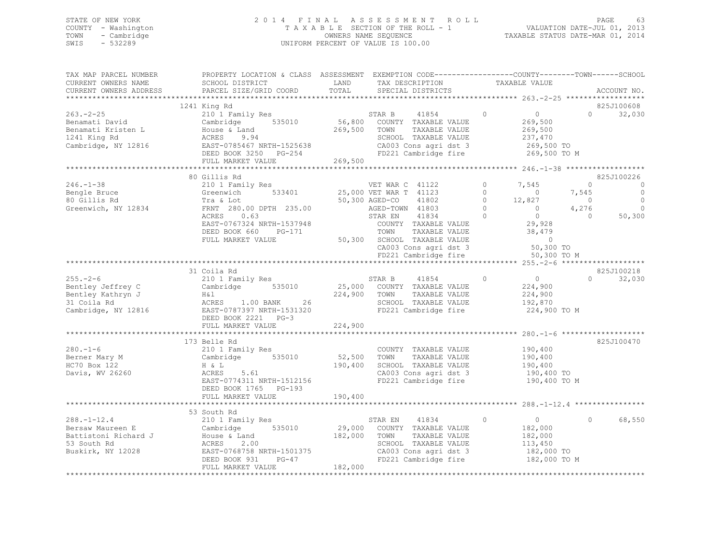### STATE OF NEW YORK 2 0 1 4 F I N A L A S S E S S M E N T R O L L PAGE 63 COUNTY - Washington T A X A B L E SECTION OF THE ROLL - 1 VALUATION DATE-JUL 01, 2013 TOWN - Cambridge OWNERS NAME SEQUENCE TAXABLE STATUS DATE-MAR 01, 2014 SWIS - 532289 UNIFORM PERCENT OF VALUE IS 100.00

| TAX MAP PARCEL NUMBER<br>CURRENT OWNERS NAME<br>CURRENT OWNERS ADDRESS                            | PROPERTY LOCATION & CLASS ASSESSMENT EXEMPTION CODE---------------COUNTY-------TOWN-----SCHOOL<br>SCHOOL DISTRICT<br>PARCEL SIZE/GRID COORD                                                                                                | LAND<br>TOTAL                | TAX DESCRIPTION<br>SPECIAL DISTRICTS                                                                                                                                                                                                         | TAXABLE VALUE                                                                                                                                                                |                                                                              | ACCOUNT NO.                                          |
|---------------------------------------------------------------------------------------------------|--------------------------------------------------------------------------------------------------------------------------------------------------------------------------------------------------------------------------------------------|------------------------------|----------------------------------------------------------------------------------------------------------------------------------------------------------------------------------------------------------------------------------------------|------------------------------------------------------------------------------------------------------------------------------------------------------------------------------|------------------------------------------------------------------------------|------------------------------------------------------|
|                                                                                                   |                                                                                                                                                                                                                                            |                              |                                                                                                                                                                                                                                              |                                                                                                                                                                              |                                                                              |                                                      |
| $263 - 2 - 25$<br>Benamati David<br>Benamati Kristen L<br>1241 King Rd<br>Cambridge, NY 12816     | 1241 King Rd<br>210 1 Family Res<br>Cambridge 535010<br>House & Land<br>ACRES 9.94<br>9.94<br>EAST-0785467 NRTH-1525638<br>DRED BOOK 3353<br>LAST-0/8546/ NRTH-1525638<br>DEED BOOK 3250 PG-254<br>FULL MARKET WALLER<br>FULL MARKET VALUE | 269,500<br>269,500           | STAR B 41854<br>56,800 COUNTY TAXABLE VALUE<br>TOWN<br>TAXABLE VALUE<br>SCHOOL TAXABLE VALUE<br>CA003 Cons agri dst 3<br>FD221 Cambridge fire                                                                                                | $\circ$<br>$\overline{0}$<br>269,500<br>269,500<br>237,470<br>269,500 то<br>269,500 то м                                                                                     | $\Omega$                                                                     | 825J100608<br>32,030                                 |
|                                                                                                   |                                                                                                                                                                                                                                            |                              |                                                                                                                                                                                                                                              |                                                                                                                                                                              |                                                                              |                                                      |
| $246. - 1 - 38$<br>Bengle Bruce<br>80 Gillis Rd<br>Greenwich, NY 12834                            | 80 Gillis Rd<br>210 1 Family Res<br>533401<br>Greenwich<br>Tra & Lot<br>FRNT 280.00 DPTH 235.00<br>ACRES 0.63<br>EAST-0767324 NRTH-1537948<br>DEED BOOK 660<br>PG-171<br>FULL MARKET VALUE                                                 |                              | VET WAR C 41122<br>25,000 VET WAR T 41123<br>41802<br>50,300 AGED-CO<br>AGED-TOWN 41803<br>STAR EN<br>41834<br>COUNTY TAXABLE VALUE<br>TOWN<br>TAXABLE VALUE<br>50,300 SCHOOL TAXABLE VALUE<br>CA003 Cons agri dst 3<br>FD221 Cambridge fire | $\circ$<br>7,545<br>$\Omega$<br>$\sim$ 0<br>$\circ$<br>12,827<br>$\Omega$<br>$\sim$ 0 $\sim$<br>$\circ$<br>$\overline{0}$<br>29,928<br>38,479<br>$\overline{0}$<br>50,300 TO | $\circ$<br>7,545<br>$\overline{0}$<br>4,276<br>$\overline{0}$<br>50,300 TO M | 825J100226<br>0<br>0<br>$\circ$<br>$\circ$<br>50,300 |
|                                                                                                   | 31 Coila Rd                                                                                                                                                                                                                                |                              |                                                                                                                                                                                                                                              |                                                                                                                                                                              |                                                                              | 825J100218                                           |
| $255. - 2 - 6$<br>Bentley Jeffrey C<br>Bentley Kathryn J<br>31 Coila Rd                           | 210 1 Family Res<br>Cambridge 535010<br>Cambridge, NY 12816 EAST-0787397 NRTH-1531320<br>DEED BOOK 2221 PG-3<br>FULL MARKET VALUE                                                                                                          | 224,900 TOWN<br>224,900      | STAR B<br>41854<br>25,000 COUNTY TAXABLE VALUE<br>TAXABLE VALUE<br>SCHOOL TAXABLE VALUE<br>FD221 Cambridge fire                                                                                                                              | $\overline{0}$<br>$\circ$<br>224,900<br>224,900<br>192,870                                                                                                                   | $\Omega$<br>224,900 TO M                                                     | 32,030                                               |
|                                                                                                   |                                                                                                                                                                                                                                            |                              |                                                                                                                                                                                                                                              |                                                                                                                                                                              |                                                                              |                                                      |
| $280. - 1 - 6$<br>280.-1<br>Berner Mary M<br>HC70 Box 122<br>Davis, WV 26260                      | 173 Belle Rd<br>210 1 Family Res<br>Cambridge 535010<br>$H \& L$<br>5.61<br>ACRES<br>EAST-0774311 NRTH-1512156<br>DEED BOOK 1765 PG-193<br>FULL MARKET VALUE                                                                               | 52,500<br>190,400<br>190,400 | COUNTY TAXABLE VALUE<br>TAXABLE VALUE<br>TOWN<br>SCHOOL TAXABLE VALUE<br>CA003 Cons agri dst 3<br>FD221 Cambridge fire                                                                                                                       | 190,400<br>190,400<br>190,400<br>190,400 TO                                                                                                                                  | 190,400 TO M                                                                 | 825J100470                                           |
|                                                                                                   |                                                                                                                                                                                                                                            |                              |                                                                                                                                                                                                                                              |                                                                                                                                                                              |                                                                              |                                                      |
| $288. - 1 - 12.4$<br>Bersaw Maureen E<br>Battistoni Richard J<br>53 South Rd<br>Buskirk, NY 12028 | 53 South Rd<br>210 1 Family Res<br>Cambridge 535010<br>House & Land<br>ACRES 2.00<br>EAST-0768758 NRTH-1501375<br>DEED BOOK 931 PG-47<br>FULL MARKET VALUE                                                                                 | 182,000 TOWN<br>182,000      | STAR EN<br>41834<br>29,000 COUNTY TAXABLE VALUE<br>TAXABLE VALUE<br>SCHOOL TAXABLE VALUE<br>CA003 Cons agri dst 3<br>FD221 Cambridge fire                                                                                                    | $\circ$<br>$\overline{0}$<br>182,000<br>182,000<br>113,450<br>182,000 TO                                                                                                     | $\circ$<br>182,000 TO M                                                      | 68,550                                               |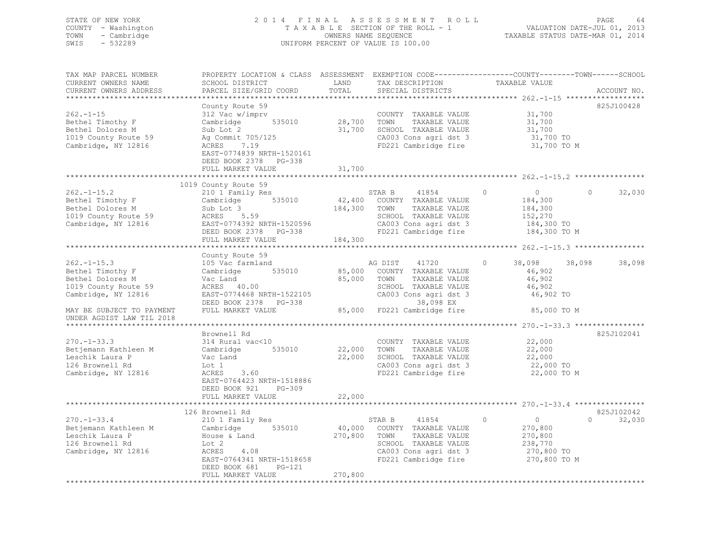### STATE OF NEW YORK 2 0 1 4 F I N A L A S S E S S M E N T R O L L PAGE 64 COUNTY - Washington T A X A B L E SECTION OF THE ROLL - 1 VALUATION DATE-JUL 01, 2013 TOWN - Cambridge OWNERS NAME SEQUENCE TAXABLE STATUS DATE-MAR 01, 2014 SWIS - 532289 UNIFORM PERCENT OF VALUE IS 100.00

| TAX MAP PARCEL NUMBER                                    | PROPERTY LOCATION & CLASS ASSESSMENT EXEMPTION CODE----------------COUNTY-------TOWN-----SCHOOL                                                                                                                                                         |         |                                                                                                                                                                                                                                                                                                                                                                                                                                                                                   |                               |                                 |
|----------------------------------------------------------|---------------------------------------------------------------------------------------------------------------------------------------------------------------------------------------------------------------------------------------------------------|---------|-----------------------------------------------------------------------------------------------------------------------------------------------------------------------------------------------------------------------------------------------------------------------------------------------------------------------------------------------------------------------------------------------------------------------------------------------------------------------------------|-------------------------------|---------------------------------|
| CURRENT OWNERS NAME                                      | SCHOOL DISTRICT                                                                                                                                                                                                                                         | LAND    |                                                                                                                                                                                                                                                                                                                                                                                                                                                                                   |                               |                                 |
| CURRENT OWNERS ADDRESS                                   | PARCEL SIZE/GRID COORD                                                                                                                                                                                                                                  | TOTAL   | $\begin{tabular}{ll} \multicolumn{2}{c}{\begin{tabular}{lcccc} \multicolumn{2}{c}{\textbf{1}} & \multicolumn{2}{c}{\textbf{1}} & \multicolumn{2}{c}{\textbf{1}} & \multicolumn{2}{c}{\textbf{1}} & \multicolumn{2}{c}{\textbf{1}} & \multicolumn{2}{c}{\textbf{1}} & \multicolumn{2}{c}{\textbf{1}} & \multicolumn{2}{c}{\textbf{1}} & \multicolumn{2}{c}{\textbf{1}} & \multicolumn{2}{c}{\textbf{1}} & \multicolumn{2}{c}{\textbf{1}} & \multicolumn{2}{c}{\textbf{1}} & \mult$ |                               | ACCOUNT NO.                     |
|                                                          |                                                                                                                                                                                                                                                         |         |                                                                                                                                                                                                                                                                                                                                                                                                                                                                                   |                               |                                 |
|                                                          | County Route 59                                                                                                                                                                                                                                         |         |                                                                                                                                                                                                                                                                                                                                                                                                                                                                                   |                               | 825J100428                      |
| $262 - 1 - 15$                                           | 312 Vac w/imprv                                                                                                                                                                                                                                         |         | COUNTY TAXABLE VALUE 31,700                                                                                                                                                                                                                                                                                                                                                                                                                                                       |                               |                                 |
|                                                          |                                                                                                                                                                                                                                                         |         |                                                                                                                                                                                                                                                                                                                                                                                                                                                                                   | 31,700                        |                                 |
| Bethel Timothy F<br>Bethel Dolores M<br>Bethel Dolores M |                                                                                                                                                                                                                                                         |         |                                                                                                                                                                                                                                                                                                                                                                                                                                                                                   |                               |                                 |
| 1019 County Route 59                                     |                                                                                                                                                                                                                                                         |         |                                                                                                                                                                                                                                                                                                                                                                                                                                                                                   | 31,700<br>31,700<br>31,700 TO |                                 |
| Cambridge, NY 12816                                      |                                                                                                                                                                                                                                                         |         | CA003 Cons agri dst 3 31,700 TO<br>FD221 Cambridge fire 31,700 TO M                                                                                                                                                                                                                                                                                                                                                                                                               |                               |                                 |
|                                                          | 312 Vac w/imprv<br>Cambridge 535010 28,700 TOWN TAXABLE VALUE<br>Sub Lot 2 31,700 SCHOOL TAXABLE VALUE<br>Ag Commit 705/125 21,700 SCHOOL TAXABLE VALUE<br>AGRES 7.19 FD221 Cambridge fire<br>EAST-0774839 NRTH-1520161                                 |         |                                                                                                                                                                                                                                                                                                                                                                                                                                                                                   |                               |                                 |
|                                                          |                                                                                                                                                                                                                                                         |         |                                                                                                                                                                                                                                                                                                                                                                                                                                                                                   |                               |                                 |
|                                                          | DEED BOOK 2378 PG-338                                                                                                                                                                                                                                   |         |                                                                                                                                                                                                                                                                                                                                                                                                                                                                                   |                               |                                 |
|                                                          | FULL MARKET VALUE                                                                                                                                                                                                                                       | 31,700  |                                                                                                                                                                                                                                                                                                                                                                                                                                                                                   |                               |                                 |
|                                                          |                                                                                                                                                                                                                                                         |         |                                                                                                                                                                                                                                                                                                                                                                                                                                                                                   |                               |                                 |
|                                                          | 1019 County Route 59                                                                                                                                                                                                                                    |         |                                                                                                                                                                                                                                                                                                                                                                                                                                                                                   |                               |                                 |
|                                                          | 262.-1-15.2<br>Bethel Timothy F<br>Bethel Dolores M<br>1019 County Route 59<br>Cambridge, NY 12816<br>210 1 Family Res<br>210 1 Family Res<br>535010<br>210 1 Family Res<br>535010<br>2210 42,400 COUNTY TAXABLE VALUE<br>24,300 TOWN TAXABLE VALUE<br> |         |                                                                                                                                                                                                                                                                                                                                                                                                                                                                                   | $\overline{0}$                | $\Omega$<br>32,030              |
|                                                          |                                                                                                                                                                                                                                                         |         |                                                                                                                                                                                                                                                                                                                                                                                                                                                                                   | 184,300<br>184,300            |                                 |
|                                                          |                                                                                                                                                                                                                                                         |         |                                                                                                                                                                                                                                                                                                                                                                                                                                                                                   |                               |                                 |
|                                                          |                                                                                                                                                                                                                                                         |         |                                                                                                                                                                                                                                                                                                                                                                                                                                                                                   | 152,270                       |                                 |
|                                                          |                                                                                                                                                                                                                                                         |         |                                                                                                                                                                                                                                                                                                                                                                                                                                                                                   | 184,300 TO<br>184,300 TO M    |                                 |
|                                                          |                                                                                                                                                                                                                                                         |         |                                                                                                                                                                                                                                                                                                                                                                                                                                                                                   |                               |                                 |
|                                                          | FULL MARKET VALUE                                                                                                                                                                                                                                       | 184,300 |                                                                                                                                                                                                                                                                                                                                                                                                                                                                                   |                               |                                 |
|                                                          |                                                                                                                                                                                                                                                         |         |                                                                                                                                                                                                                                                                                                                                                                                                                                                                                   |                               |                                 |
|                                                          | County Route 59                                                                                                                                                                                                                                         |         |                                                                                                                                                                                                                                                                                                                                                                                                                                                                                   |                               |                                 |
| $262. -1 - 15.3$                                         |                                                                                                                                                                                                                                                         |         |                                                                                                                                                                                                                                                                                                                                                                                                                                                                                   | $\circ$<br>38,098 38,098      | 38,098                          |
|                                                          |                                                                                                                                                                                                                                                         |         |                                                                                                                                                                                                                                                                                                                                                                                                                                                                                   | 46,902                        |                                 |
| Bethel Timothy F<br>Bethel Dolores M<br>Bethel Dolores M |                                                                                                                                                                                                                                                         |         |                                                                                                                                                                                                                                                                                                                                                                                                                                                                                   |                               |                                 |
|                                                          |                                                                                                                                                                                                                                                         |         |                                                                                                                                                                                                                                                                                                                                                                                                                                                                                   |                               |                                 |
| 1019 County Route 59                                     |                                                                                                                                                                                                                                                         |         |                                                                                                                                                                                                                                                                                                                                                                                                                                                                                   |                               |                                 |
| Cambridge, NY 12816                                      |                                                                                                                                                                                                                                                         |         |                                                                                                                                                                                                                                                                                                                                                                                                                                                                                   |                               |                                 |
|                                                          | Vac Land and a set of the set of the set of the set of the set of the set of the set of the set of the set of the set of the set of the set of the set of the set of the set of the set of the set of the set of the set of th                          |         |                                                                                                                                                                                                                                                                                                                                                                                                                                                                                   |                               |                                 |
| MAY BE SUBJECT TO PAYMENT                                |                                                                                                                                                                                                                                                         |         |                                                                                                                                                                                                                                                                                                                                                                                                                                                                                   | 85,000 TO M                   |                                 |
| UNDER AGDIST LAW TIL 2018                                |                                                                                                                                                                                                                                                         |         |                                                                                                                                                                                                                                                                                                                                                                                                                                                                                   |                               |                                 |
|                                                          |                                                                                                                                                                                                                                                         |         |                                                                                                                                                                                                                                                                                                                                                                                                                                                                                   |                               |                                 |
|                                                          | Brownell Rd                                                                                                                                                                                                                                             |         |                                                                                                                                                                                                                                                                                                                                                                                                                                                                                   |                               | 825J102041                      |
| $270. - 1 - 33.3$                                        | 314 Rural vac<10                                                                                                                                                                                                                                        |         | COUNTY TAXABLE VALUE 22,000                                                                                                                                                                                                                                                                                                                                                                                                                                                       |                               |                                 |
|                                                          | Betjemann Kathleen M Cambridge 535010                                                                                                                                                                                                                   |         |                                                                                                                                                                                                                                                                                                                                                                                                                                                                                   |                               |                                 |
| Leschik Laura P                                          | Vac Land                                                                                                                                                                                                                                                |         | 22,000 TOWN TAXABLE VALUE $22,000$ SCHOOL TAXABLE VALUE $22,000$ $22,000$ $22,000$ $22,000$ $22,000$                                                                                                                                                                                                                                                                                                                                                                              |                               |                                 |
| 126 Brownell Rd                                          | Lot 1                                                                                                                                                                                                                                                   |         |                                                                                                                                                                                                                                                                                                                                                                                                                                                                                   |                               |                                 |
| Cambridge, NY 12816                                      | and $3.60$<br>ACRES                                                                                                                                                                                                                                     |         | CA003 Cons agri dst 3 22,000 TO<br>FD221 Cambridge fire 22,000 TO M                                                                                                                                                                                                                                                                                                                                                                                                               |                               |                                 |
|                                                          | EAST-0764423 NRTH-1518886                                                                                                                                                                                                                               |         |                                                                                                                                                                                                                                                                                                                                                                                                                                                                                   |                               |                                 |
|                                                          | DEED BOOK 921<br>PG-309                                                                                                                                                                                                                                 |         |                                                                                                                                                                                                                                                                                                                                                                                                                                                                                   |                               |                                 |
|                                                          | FULL MARKET VALUE                                                                                                                                                                                                                                       | 22,000  |                                                                                                                                                                                                                                                                                                                                                                                                                                                                                   |                               |                                 |
|                                                          |                                                                                                                                                                                                                                                         |         |                                                                                                                                                                                                                                                                                                                                                                                                                                                                                   |                               |                                 |
|                                                          | 126 Brownell Rd                                                                                                                                                                                                                                         |         |                                                                                                                                                                                                                                                                                                                                                                                                                                                                                   |                               | 825J102042                      |
| $270. - 1 - 33.4$                                        | 210 1 Family Res                                                                                                                                                                                                                                        |         | STAR B 41854 0                                                                                                                                                                                                                                                                                                                                                                                                                                                                    | $\overline{0}$                | $\Omega$ and $\Omega$<br>32,030 |
|                                                          |                                                                                                                                                                                                                                                         |         |                                                                                                                                                                                                                                                                                                                                                                                                                                                                                   |                               |                                 |
|                                                          | 270.-1-33.4<br>Betjemann Kathleen M                        Cambridge            535010               40,000    COUNTY   TAXABLE VALUE<br>Leschik Laura P                              House & Land                                                      |         |                                                                                                                                                                                                                                                                                                                                                                                                                                                                                   | 270,800                       |                                 |
|                                                          | House & Land<br>Lot 2<br>ACRES 4.08                                                                                                                                                                                                                     |         |                                                                                                                                                                                                                                                                                                                                                                                                                                                                                   | 270,800                       |                                 |
| 126 Brownell Rd                                          | Lot 2<br>ACRES 4.08<br>EAST-0764341 NRTH-1518658<br>EAST-0764341 NRTH-1518658<br>FD221 Cambridge fire<br>Lot 2                                                                                                                                          |         |                                                                                                                                                                                                                                                                                                                                                                                                                                                                                   | 238,770<br>270,800 TO         |                                 |
| Cambridge, NY 12816                                      |                                                                                                                                                                                                                                                         |         |                                                                                                                                                                                                                                                                                                                                                                                                                                                                                   |                               |                                 |
|                                                          |                                                                                                                                                                                                                                                         |         |                                                                                                                                                                                                                                                                                                                                                                                                                                                                                   | 270,800 TO M                  |                                 |
|                                                          | DEED BOOK 681<br>$PG-121$                                                                                                                                                                                                                               |         |                                                                                                                                                                                                                                                                                                                                                                                                                                                                                   |                               |                                 |
|                                                          | FULL MARKET VALUE                                                                                                                                                                                                                                       | 270,800 |                                                                                                                                                                                                                                                                                                                                                                                                                                                                                   |                               |                                 |
|                                                          |                                                                                                                                                                                                                                                         |         |                                                                                                                                                                                                                                                                                                                                                                                                                                                                                   |                               |                                 |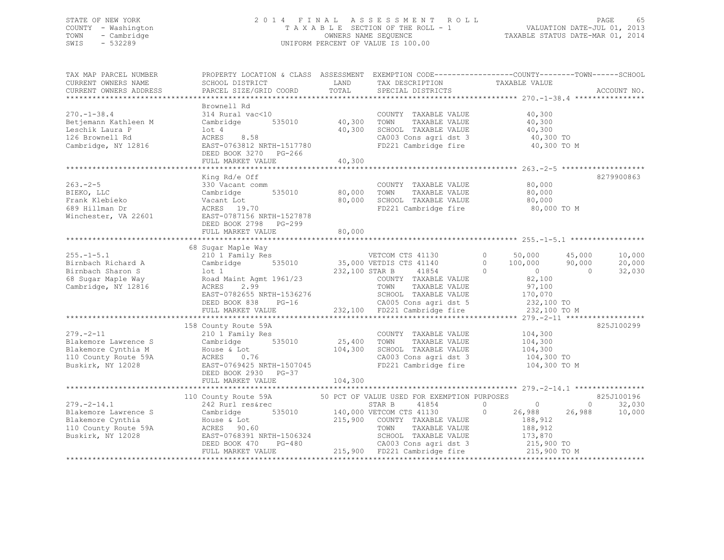### STATE OF NEW YORK 2 0 1 4 F I N A L A S S E S S M E N T R O L L PAGE 65 COUNTY - Washington T A X A B L E SECTION OF THE ROLL - 1 VALUATION DATE-JUL 01, 2013 TOWN - Cambridge OWNERS NAME SEQUENCE TAXABLE STATUS DATE-MAR 01, 2014 SWIS - 532289 UNIFORM PERCENT OF VALUE IS 100.00

| TAX MAP PARCEL NUMBER  |                                                              |                   |                                                                       | PROPERTY LOCATION & CLASS ASSESSMENT EXEMPTION CODE----------------COUNTY-------TOWN------SCHOOL                                                                                                                                                                                                                                              |                          |
|------------------------|--------------------------------------------------------------|-------------------|-----------------------------------------------------------------------|-----------------------------------------------------------------------------------------------------------------------------------------------------------------------------------------------------------------------------------------------------------------------------------------------------------------------------------------------|--------------------------|
| CURRENT OWNERS NAME    | SCHOOL DISTRICT                                              | LAND              | TAX DESCRIPTION                                                       | TAXABLE VALUE                                                                                                                                                                                                                                                                                                                                 |                          |
| CURRENT OWNERS ADDRESS | PARCEL SIZE/GRID COORD                                       | TOTAL             | SPECIAL DISTRICTS                                                     |                                                                                                                                                                                                                                                                                                                                               | ACCOUNT NO.              |
|                        | Brownell Rd                                                  |                   |                                                                       |                                                                                                                                                                                                                                                                                                                                               |                          |
| $270. - 1 - 38.4$      | 314 Rural vac<10                                             |                   | COUNTY TAXABLE VALUE                                                  | 40,300                                                                                                                                                                                                                                                                                                                                        |                          |
| Betjemann Kathleen M   | Cambridge 535010                                             | 40,300            | TOWN<br>TAXABLE VALUE                                                 | 40,300                                                                                                                                                                                                                                                                                                                                        |                          |
| Leschik Laura P        | lot 4                                                        | 40,300            | SCHOOL TAXABLE VALUE                                                  | 40,300                                                                                                                                                                                                                                                                                                                                        |                          |
| 126 Brownell Rd        | ACRES 8.58                                                   |                   |                                                                       | 40,300 TO                                                                                                                                                                                                                                                                                                                                     |                          |
| Cambridge, NY 12816    | EAST-0763812 NRTH-1517780                                    |                   | CA003 Cons agri dst 3<br>FD221 Cambridge fire                         | 40,300 TO M                                                                                                                                                                                                                                                                                                                                   |                          |
|                        | DEED BOOK 3270 PG-266                                        |                   |                                                                       |                                                                                                                                                                                                                                                                                                                                               |                          |
|                        | FULL MARKET VALUE                                            | 40,300            |                                                                       |                                                                                                                                                                                                                                                                                                                                               |                          |
|                        |                                                              |                   |                                                                       |                                                                                                                                                                                                                                                                                                                                               |                          |
|                        | King Rd/e Off                                                |                   |                                                                       |                                                                                                                                                                                                                                                                                                                                               | 8279900863               |
| $263 - 2 - 5$          | 330 Vacant comm                                              |                   | COUNTY TAXABLE VALUE                                                  | 80,000                                                                                                                                                                                                                                                                                                                                        |                          |
| BIEKO, LLC             | 535010<br>Cambridge                                          | 80,000            | TAXABLE VALUE<br>TOWN                                                 | 80,000                                                                                                                                                                                                                                                                                                                                        |                          |
| Frank Klebieko         | Vacant Lot                                                   | 80,000            | SCHOOL TAXABLE VALUE                                                  | 80,000                                                                                                                                                                                                                                                                                                                                        |                          |
| 689 Hillman Dr         | ACRES 19.70                                                  |                   | FD221 Cambridge fire                                                  | 80,000 TO M                                                                                                                                                                                                                                                                                                                                   |                          |
| Winchester, VA 22601   | EAST-0787156 NRTH-1527878                                    |                   |                                                                       |                                                                                                                                                                                                                                                                                                                                               |                          |
|                        | DEED BOOK 2798 PG-299                                        |                   |                                                                       |                                                                                                                                                                                                                                                                                                                                               |                          |
|                        | FULL MARKET VALUE                                            | 80,000            |                                                                       |                                                                                                                                                                                                                                                                                                                                               |                          |
|                        |                                                              |                   |                                                                       |                                                                                                                                                                                                                                                                                                                                               |                          |
|                        | 68 Sugar Maple Way                                           |                   |                                                                       |                                                                                                                                                                                                                                                                                                                                               |                          |
| $255. - 1 - 5.1$       | 210 1 Family Res                                             |                   | VETCOM CTS 41130                                                      | $0 \t 50,000$<br>45,000                                                                                                                                                                                                                                                                                                                       | 10,000                   |
| Birnbach Richard A     | Cambridge 535010                                             |                   | 35,000 VETDIS CTS 41140                                               | $0 \t 100,000$<br>90,000                                                                                                                                                                                                                                                                                                                      | 20,000                   |
| Birnbach Sharon S      | lot 1                                                        | 232,100 STAR B    | 41854                                                                 | $\Omega$<br>$\sim$ 0<br>$\overline{0}$                                                                                                                                                                                                                                                                                                        | 32,030                   |
| 68 Sugar Maple Way     | Road Maint Agmt 1961/23                                      |                   | COUNTY TAXABLE VALUE                                                  | 82,100                                                                                                                                                                                                                                                                                                                                        |                          |
| Cambridge, NY 12816    | ACRES<br>2.99                                                |                   | TOWN<br>TAXABLE VALUE                                                 | 97,100                                                                                                                                                                                                                                                                                                                                        |                          |
|                        | EAST-0782655 NRTH-1536276                                    |                   | SCHOOL TAXABLE VALUE<br>SCHOOL TAXABLE VALUE<br>CA005 Cons agri dst 5 | 170,070<br>232,100 TO                                                                                                                                                                                                                                                                                                                         |                          |
|                        | DEED BOOK 838<br>$PG-16$                                     |                   |                                                                       |                                                                                                                                                                                                                                                                                                                                               |                          |
|                        | FULL MARKET VALUE                                            |                   | 232,100 FD221 Cambridge fire                                          | 232,100 TO M                                                                                                                                                                                                                                                                                                                                  |                          |
|                        |                                                              |                   |                                                                       |                                                                                                                                                                                                                                                                                                                                               |                          |
|                        | 158 County Route 59A                                         |                   |                                                                       |                                                                                                                                                                                                                                                                                                                                               | 825J100299               |
| $279. - 2 - 11$        | 210 1 Family Res                                             |                   | COUNTY TAXABLE VALUE 104,300                                          |                                                                                                                                                                                                                                                                                                                                               |                          |
| Blakemore Lawrence S   | Cambridge 535010                                             | 25,400<br>104,300 | TAXABLE VALUE<br>TOWN                                                 | 104,300<br>104,300                                                                                                                                                                                                                                                                                                                            |                          |
| Blakemore Cynthia M    | House & Lot                                                  |                   | SCHOOL TAXABLE VALUE                                                  |                                                                                                                                                                                                                                                                                                                                               |                          |
| 110 County Route 59A   | ACRES 0.76                                                   |                   | CA003 Cons agri dst 3                                                 | 104,300 TO                                                                                                                                                                                                                                                                                                                                    |                          |
| Buskirk, NY 12028      | EAST-0769425 NRTH-1507045                                    |                   | FD221 Cambridge fire                                                  | 104,300 TO M                                                                                                                                                                                                                                                                                                                                  |                          |
|                        | DEED BOOK 2930 PG-37<br>FULL MARKET VALUE                    | 104,300           |                                                                       |                                                                                                                                                                                                                                                                                                                                               |                          |
|                        |                                                              |                   |                                                                       |                                                                                                                                                                                                                                                                                                                                               |                          |
|                        | 110 County Route 59A                                         |                   | 50 PCT OF VALUE USED FOR EXEMPTION PURPOSES                           |                                                                                                                                                                                                                                                                                                                                               | 825J100196               |
| $279. - 2 - 14.1$      | 242 Rurl res&rec                                             |                   | 41854                                                                 | $\overline{0}$ and $\overline{0}$ and $\overline{0}$ and $\overline{0}$ and $\overline{0}$ and $\overline{0}$ and $\overline{0}$ and $\overline{0}$ and $\overline{0}$ and $\overline{0}$ and $\overline{0}$ and $\overline{0}$ and $\overline{0}$ and $\overline{0}$ and $\overline{0}$ and $\overline{0}$ and $\overline{0}$ and<br>$\circ$ | 32,030<br>$\overline{0}$ |
| Blakemore Lawrence S   | Cambridge                                                    |                   | STAR B 41854<br>535010 140,000 VETCOM CTS 41130                       | 26,988<br>26,988<br>$\Omega$                                                                                                                                                                                                                                                                                                                  | 10,000                   |
| Blakemore Cynthia      |                                                              |                   | 215,900 COUNTY TAXABLE VALUE                                          | 188,912                                                                                                                                                                                                                                                                                                                                       |                          |
| 110 County Route 59A   | House & Lot<br>ACRES 90.60                                   |                   | TAXABLE VALUE<br>TOWN                                                 | 188,912                                                                                                                                                                                                                                                                                                                                       |                          |
| Buskirk, NY 12028      |                                                              |                   | SCHOOL TAXABLE VALUE                                                  |                                                                                                                                                                                                                                                                                                                                               |                          |
|                        | -------<br>EAST-0768391 NRTH-1506324<br>DEED BOOK 470 PG-480 |                   | CA003 Cons agri dst 3                                                 | 173,870<br>215,900 TO                                                                                                                                                                                                                                                                                                                         |                          |
|                        | FULL MARKET VALUE                                            |                   | 215,900 FD221 Cambridge fire 215,900 TO M                             |                                                                                                                                                                                                                                                                                                                                               |                          |
|                        |                                                              |                   |                                                                       |                                                                                                                                                                                                                                                                                                                                               |                          |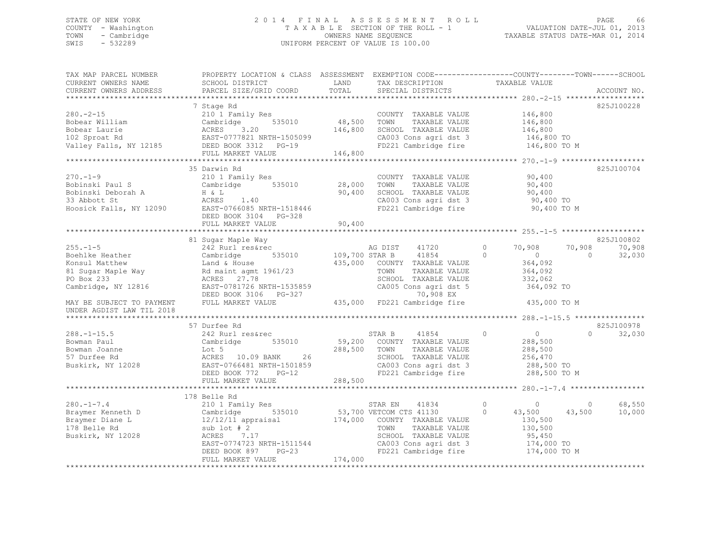### STATE OF NEW YORK 2 0 1 4 F I N A L A S S E S S M E N T R O L L PAGE 66 COUNTY - Washington T A X A B L E SECTION OF THE ROLL - 1 VALUATION DATE-JUL 01, 2013 TOWN - Cambridge OWNERS NAME SEQUENCE TAXABLE STATUS DATE-MAR 01, 2014 SWIS - 532289 UNIFORM PERCENT OF VALUE IS 100.00

| TAX MAP PARCEL NUMBER<br>CURRENT OWNERS NAME                                                                                                | PROPERTY LOCATION & CLASS ASSESSMENT EXEMPTION CODE---------------COUNTY-------TOWN-----SCHOOI<br>SCHOOL DISTRICT                                                                                | LAND<br>TOTAL              | TAX DESCRIPTION                                                                                                                                                               | TAXABLE VALUE                                                                                                 |                                                      |
|---------------------------------------------------------------------------------------------------------------------------------------------|--------------------------------------------------------------------------------------------------------------------------------------------------------------------------------------------------|----------------------------|-------------------------------------------------------------------------------------------------------------------------------------------------------------------------------|---------------------------------------------------------------------------------------------------------------|------------------------------------------------------|
| CURRENT OWNERS ADDRESS<br>*************************                                                                                         | PARCEL SIZE/GRID COORD                                                                                                                                                                           |                            | SPECIAL DISTRICTS                                                                                                                                                             |                                                                                                               | ACCOUNT NO.                                          |
| $280 - 2 - 15$<br>Bobear William<br>Bobear Laurie<br>102 Sproat Rd                                                                          | 7 Stage Rd<br>210 1 Family Res<br>535010<br>Cambridge<br>ACRES<br>3.20<br>EAST-0777821 NRTH-1505099<br>Valley Falls, NY 12185 DEED BOOK 3312 PG-19                                               | 48,500 TOWN<br>146,800     | COUNTY TAXABLE VALUE<br>TAXABLE VALUE<br>SCHOOL TAXABLE VALUE<br>CA003 Cons agri dst 3<br>FD221 Cambridge fire                                                                | 146,800<br>146,800<br>146,800<br>146,800 TO<br>146,800 TO M                                                   | 825J100228                                           |
|                                                                                                                                             | FULL MARKET VALUE<br>*****************************                                                                                                                                               | 146,800                    |                                                                                                                                                                               | ***************** 270.-1-9 *******************                                                                |                                                      |
| $270. - 1 - 9$<br>Bobinski Paul S<br>Bobinski Deborah A<br>33 Abbott St<br>Hoosick Falls, NY 12090                                          | 35 Darwin Rd<br>210 1 Family Res<br>Cambridge 535010<br>H & L<br>ACRES 1.40<br>EAST-0766085 NRTH-1518446<br>DEED BOOK 3104 PG-328<br>FULL MARKET VALUE                                           | 28,000<br>90,400<br>90,400 | COUNTY TAXABLE VALUE<br>TOWN<br>TAXABLE VALUE<br>SCHOOL TAXABLE VALUE<br>CA003 Cons agri dst 3<br>FD221 Cambridge fire                                                        | 90,400<br>90,400<br>90,400<br>90,400 TO<br>90,400 TO M                                                        | 825J100704                                           |
|                                                                                                                                             |                                                                                                                                                                                                  |                            |                                                                                                                                                                               |                                                                                                               |                                                      |
| $255. - 1 - 5$<br>Boehlke Heather<br>Konsul Matthew<br>81 Sugar Maple Way<br>PO Box 233<br>Cambridge, NY 12816<br>MAY BE SUBJECT TO PAYMENT | 81 Sugar Maple Way<br>242 Rurl res&rec<br>535010<br>Cambridge<br>Land & House<br>Rd maint agmt 1961/23<br>ACRES 27.78<br>EAST-0781726 NRTH-1535859<br>DEED BOOK 3106 PG-327<br>FULL MARKET VALUE | 109,700 STAR B<br>435,000  | AG DIST<br>41720<br>41854<br>COUNTY TAXABLE VALUE<br>TOWN<br>TAXABLE VALUE<br>SCHOOL TAXABLE VALUE<br>CA005 Cons agri dst 5<br>70,908 EX<br>435,000 FD221 Cambridge fire      | $\circ$<br>70,908<br>$\circ$<br>$\overline{0}$<br>364,092<br>364,092<br>332,062<br>364,092 TO<br>435,000 TO M | 825J100802<br>70,908<br>70,908<br>32,030<br>$\Omega$ |
| UNDER AGDIST LAW TIL 2018                                                                                                                   |                                                                                                                                                                                                  |                            |                                                                                                                                                                               |                                                                                                               |                                                      |
| $288. - 1 - 15.5$<br>Bowman Paul<br>Bowman Joanne<br>57 Durfee Rd<br>Buskirk, NY 12028                                                      | 57 Durfee Rd<br>242 Rurl res&rec<br>535010<br>Cambridge<br>Lot 5<br>ACRES 10.09 BANK<br>26<br>EAST-0766481 NRTH-1501859<br>DEED BOOK 772<br>$PG-12$<br>FULL MARKET VALUE                         | 288,500<br>288,500         | 41854<br>STAR B<br>59,200 COUNTY TAXABLE VALUE<br>TOWN<br>TAXABLE VALUE<br>SCHOOL TAXABLE VALUE<br>CA003 Cons agri dst 3<br>FD221 Cambridge fire                              | $\Omega$<br>$\overline{0}$<br>288,500<br>288,500<br>256,470<br>288,500 TO<br>288,500 TO M                     | 825J100978<br>32,030<br>$\cap$                       |
|                                                                                                                                             | 178 Belle Rd                                                                                                                                                                                     |                            |                                                                                                                                                                               |                                                                                                               |                                                      |
| $280. -1 - 7.4$<br>Braymer Kenneth D<br>Braymer Diane L<br>178 Belle Rd<br>Buskirk, NY 12028                                                | 210 1 Family Res<br>Cambridge<br>535010<br>$12/12/11$ appraisal<br>sub $1$ ot $#2$<br>ACRES<br>7.17<br>EAST-0774723 NRTH-1511544<br>$PG-23$<br>DEED BOOK 897<br>FULL MARKET VALUE                | 174,000                    | STAR EN<br>41834<br>53,700 VETCOM CTS 41130<br>174,000 COUNTY TAXABLE VALUE<br>TOWN<br>TAXABLE VALUE<br>SCHOOL TAXABLE VALUE<br>CA003 Cons agri dst 3<br>FD221 Cambridge fire | $\circ$<br>$\overline{0}$<br>43,500<br>$\Omega$<br>130,500<br>130,500<br>95,450<br>174,000 TO<br>174,000 TO M | 68,550<br>$\circ$<br>43,500<br>10,000                |
|                                                                                                                                             |                                                                                                                                                                                                  |                            |                                                                                                                                                                               |                                                                                                               |                                                      |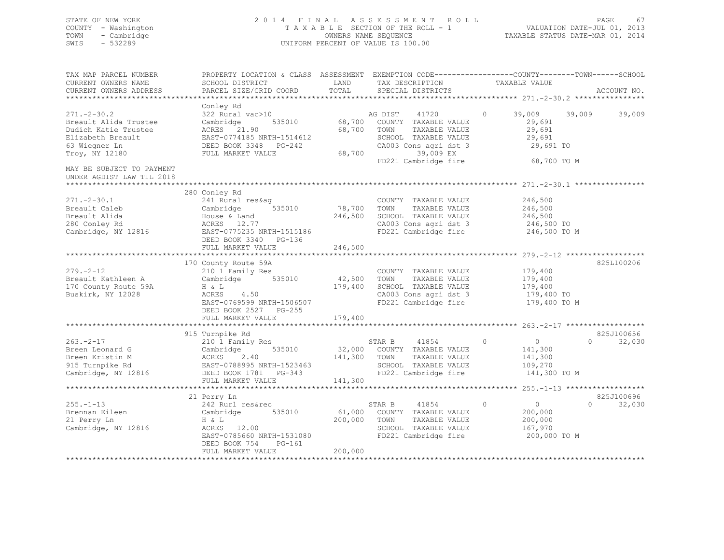### STATE OF NEW YORK 2 0 1 4 F I N A L A S S E S S M E N T R O L L PAGE 67 COUNTY - Washington T A X A B L E SECTION OF THE ROLL - 1 VALUATION DATE-JUL 01, 2013 TOWN - Cambridge OWNERS NAME SEQUENCE TAXABLE STATUS DATE-MAR 01, 2014 SWIS - 532289 UNIFORM PERCENT OF VALUE IS 100.00

| TAX MAP PARCEL NUMBER<br>CURRENT OWNERS NAME<br>CURRENT OWNERS ADDRESS                                  | PROPERTY LOCATION & CLASS ASSESSMENT EXEMPTION CODE----------------COUNTY-------TOWN-----SCHOOL<br>SCHOOL DISTRICT<br>PARCEL SIZE/GRID COORD                         | LAND<br>TOTAL                | TAX DESCRIPTION<br>SPECIAL DISTRICTS                                                                                    | TAXABLE VALUE                                                              | ACCOUNT NO.                    |
|---------------------------------------------------------------------------------------------------------|----------------------------------------------------------------------------------------------------------------------------------------------------------------------|------------------------------|-------------------------------------------------------------------------------------------------------------------------|----------------------------------------------------------------------------|--------------------------------|
|                                                                                                         |                                                                                                                                                                      |                              |                                                                                                                         |                                                                            |                                |
| $271 - 2 - 30.2$<br>Breault Alida Trustee<br>Dudich Katie Trustee<br>Elizabeth Breault<br>63 Wieqner Ln | Conley Rd<br>322 Rural vac>10<br>535010<br>Cambridge<br>ACRES 21.90<br>EAST-0774185 NRTH-1514612<br>DEED BOOK 3348 PG-242                                            | 68,700                       | AG DIST 41720<br>68,700 COUNTY TAXABLE VALUE<br>TOWN<br>TAXABLE VALUE<br>SCHOOL TAXABLE VALUE<br>CA003 Cons agri dst 3  | $\circ$<br>39,009<br>29,691<br>29,691<br>29,691<br>29,691 TO               | 39,009<br>39,009               |
| Troy, NY 12180                                                                                          | FULL MARKET VALUE                                                                                                                                                    | 68,700                       | 39,009 EX<br>FD221 Cambridge fire                                                                                       | 68,700 TO M                                                                |                                |
| MAY BE SUBJECT TO PAYMENT<br>UNDER AGDIST LAW TIL 2018<br>****************************                  |                                                                                                                                                                      |                              |                                                                                                                         |                                                                            |                                |
|                                                                                                         | 280 Conley Rd                                                                                                                                                        |                              |                                                                                                                         |                                                                            |                                |
| $271. - 2 - 30.1$<br>Breault Caleb<br>Breault Alida<br>280 Conley Rd<br>Cambridge, NY 12816             | 241 Rural res&aq<br>535010<br>Cambridge<br>House & Land<br>ACRES 12.77<br>EAST-0775235 NRTH-1515186                                                                  | 78,700<br>246,500            | COUNTY TAXABLE VALUE<br>TAXABLE VALUE<br>TOWN<br>SCHOOL TAXABLE VALUE<br>CA003 Cons agri dst 3<br>FD221 Cambridge fire  | 246,500<br>246,500<br>246,500<br>246,500 TO<br>246,500 TO M                |                                |
|                                                                                                         | DEED BOOK 3340 PG-136<br>FULL MARKET VALUE                                                                                                                           | 246,500                      |                                                                                                                         |                                                                            |                                |
|                                                                                                         |                                                                                                                                                                      |                              |                                                                                                                         |                                                                            |                                |
| $279. - 2 - 12$<br>Breault Kathleen A<br>170 County Route 59A<br>Buskirk, NY 12028                      | 170 County Route 59A<br>210 1 Family Res<br>535010<br>Cambridge<br>H & L<br>ACRES<br>4.50<br>EAST-0769599 NRTH-1506507<br>DEED BOOK 2527 PG-255<br>FULL MARKET VALUE | 42,500<br>179,400<br>179,400 | COUNTY TAXABLE VALUE<br>TOWN<br>TAXABLE VALUE<br>SCHOOL TAXABLE VALUE<br>CA003 Cons agri dst 3<br>FD221 Cambridge fire  | 179,400<br>179,400<br>179,400<br>179,400 TO<br>179,400 TO M                | 825L100206                     |
|                                                                                                         | *****************************                                                                                                                                        | ****************             |                                                                                                                         |                                                                            |                                |
| $263 - 2 - 17$<br>Breen Leonard G<br>Breen Kristin M                                                    | 915 Turnpike Rd<br>210 1 Family Res<br>535010<br>Cambridge<br>ACRES<br>2.40                                                                                          | 141,300                      | STAR B<br>41854<br>32,000 COUNTY TAXABLE VALUE<br>TOWN<br>TAXABLE VALUE                                                 | $\overline{0}$<br>$\circ$<br>141,300<br>141,300                            | 825J100656<br>$\cap$<br>32,030 |
| 915 Turnpike Rd<br>Cambridge, NY 12816                                                                  | EAST-0788995 NRTH-1523463<br>DEED BOOK 1781 PG-343<br>FULL MARKET VALUE                                                                                              | 141,300                      | SCHOOL TAXABLE VALUE<br>FD221 Cambridge fire                                                                            | 109,270<br>141,300 TO M                                                    |                                |
|                                                                                                         |                                                                                                                                                                      |                              |                                                                                                                         |                                                                            |                                |
|                                                                                                         | 21 Perry Ln                                                                                                                                                          |                              |                                                                                                                         |                                                                            | 825J100696                     |
| $255. - 1 - 13$<br>Brennan Eileen<br>21 Perry Ln<br>Cambridge, NY 12816                                 | 242 Rurl res&rec<br>Cambridge<br>535010<br>H & L<br>ACRES 12.00<br>EAST-0785660 NRTH-1531080<br>DEED BOOK 754<br>$PG-161$                                            | 200,000                      | STAR B<br>41854<br>61,000 COUNTY TAXABLE VALUE<br>TOWN<br>TAXABLE VALUE<br>SCHOOL TAXABLE VALUE<br>FD221 Cambridge fire | $\overline{0}$<br>$\circ$<br>200,000<br>200,000<br>167,970<br>200,000 TO M | $\cap$<br>32,030               |
|                                                                                                         | FULL MARKET VALUE                                                                                                                                                    | 200,000                      |                                                                                                                         |                                                                            |                                |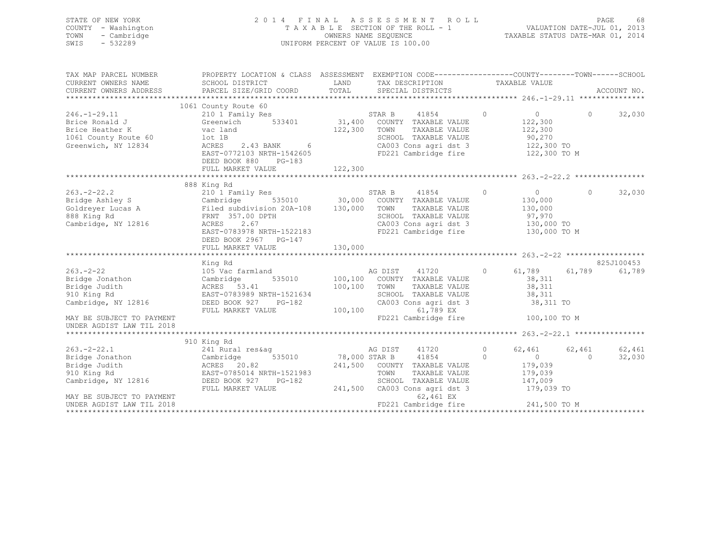| STATE OF NEW YORK<br>COUNTY - Washington<br>- Cambridge<br>TOWN<br>SWIS<br>$-532289$ |                                                                        |                             | 2014 FINAL ASSESSMENT ROLL<br>TAXABLE SECTION OF THE ROLL - 1<br>OWNERS NAME SEOUENCE<br>UNIFORM PERCENT OF VALUE IS 100.00 |               | -68<br>PAGE<br>VALUATION DATE-JUL 01, 2013<br>TAXABLE STATUS DATE-MAR 01, 2014 |
|--------------------------------------------------------------------------------------|------------------------------------------------------------------------|-----------------------------|-----------------------------------------------------------------------------------------------------------------------------|---------------|--------------------------------------------------------------------------------|
| TAX MAP PARCEL NUMBER<br>CURRENT OWNERS NAME<br>CURRENT OWNERS ADDRESS               | PROPERTY LOCATION & CLASS<br>SCHOOL DISTRICT<br>PARCEL SIZE/GRID COORD | ASSESSMENT<br>LAND<br>TOTAL | EXEMPTION CODE-----------------COUNTY-------TOWN------SCHOOL<br>TAX DESCRIPTION<br>SPECIAL DISTRICTS                        | TAXABLE VALUE | ACCOUNT NO.                                                                    |

|                                                                                                                        | 1061 County Route 60                                                                                                                                                                          |                                     |                 |                                                                                                                                      |         |                                                                              |              |            |
|------------------------------------------------------------------------------------------------------------------------|-----------------------------------------------------------------------------------------------------------------------------------------------------------------------------------------------|-------------------------------------|-----------------|--------------------------------------------------------------------------------------------------------------------------------------|---------|------------------------------------------------------------------------------|--------------|------------|
| $246. - 1 - 29.11$<br>Brice Ronald J<br>Brice Heather K<br>1061 County Route 60<br>Greenwich, NY 12834                 | 210 1 Family Res<br>Greenwich<br>533401 31,400<br>vac land<br>lot 1B<br>2.43 BANK 6<br>ACRES<br>EAST-0772103 NRTH-1542605<br>DEED BOOK 880<br>$PG-183$                                        | 122,300                             | STAR B<br>TOWN  | 41854<br>COUNTY TAXABLE VALUE<br>TAXABLE VALUE<br>SCHOOL TAXABLE VALUE<br>CA003 Cons agri dst 3<br>FD221 Cambridge fire              | $\circ$ | 0<br>122,300<br>122,300<br>90,270<br>122,300 TO<br>122,300 TO M              | $\mathbf{0}$ | 32,030     |
|                                                                                                                        | FULL MARKET VALUE                                                                                                                                                                             | 122,300                             |                 |                                                                                                                                      |         |                                                                              |              |            |
|                                                                                                                        |                                                                                                                                                                                               |                                     |                 |                                                                                                                                      |         |                                                                              |              |            |
| $263. -2 - 22.2$<br>Bridge Ashley S<br>Goldreyer Lucas A<br>888 King Rd<br>Cambridge, NY 12816                         | 888 King Rd<br>210 1 Family Res<br>535010 30,000<br>Cambridge<br>Filed subdivision 20A-108 130,000<br>FRNT 357.00 DPTH<br>ACRES<br>2.67<br>EAST-0783978 NRTH-1522183<br>DEED BOOK 2967 PG-147 |                                     | STAR B<br>TOWN  | 41854<br>COUNTY TAXABLE VALUE<br>TAXABLE VALUE<br>SCHOOL TAXABLE VALUE<br>CA003 Cons agri dst 3<br>FD221 Cambridge fire              | $\circ$ | $\overline{0}$<br>130,000<br>130,000<br>97,970<br>130,000 TO<br>130,000 TO M | $\Omega$     | 32,030     |
|                                                                                                                        |                                                                                                                                                                                               |                                     |                 |                                                                                                                                      |         |                                                                              |              |            |
|                                                                                                                        | King Rd                                                                                                                                                                                       |                                     |                 |                                                                                                                                      |         |                                                                              |              | 825J100453 |
| $263. - 2 - 22$<br>Bridge Jonathon<br>Bridge Judith<br>910 King Rd<br>Cambridge, NY 12816<br>MAY BE SUBJECT TO PAYMENT | 105 Vac farmland<br>535010 100,100<br>Cambridge<br>ACRES 53.41<br>EAST-0783989 NRTH-1521634<br>DEED BOOK 927<br>$PG-182$<br>FULL MARKET VALUE                                                 | 100,100<br>100,100                  | AG DIST<br>TOWN | 41720<br>COUNTY TAXABLE VALUE<br>TAXABLE VALUE<br>SCHOOL TAXABLE VALUE<br>CA003 Cons agri dst 3<br>61,789 EX<br>FD221 Cambridge fire | $\circ$ | 61,789<br>38,311<br>38,311<br>38,311<br>38,311 TO<br>100,100 TO M            | 61,789       | 61,789     |
| UNDER AGDIST LAW TIL 2018                                                                                              |                                                                                                                                                                                               |                                     |                 |                                                                                                                                      |         |                                                                              |              |            |
|                                                                                                                        |                                                                                                                                                                                               |                                     |                 |                                                                                                                                      |         |                                                                              |              |            |
| $263. -2 - 22.1$                                                                                                       | 910 King Rd<br>241 Rural res&aq                                                                                                                                                               |                                     | AG DIST         | 41720                                                                                                                                | $\circ$ | 62,461                                                                       | 62,461       | 62,461     |
| Bridge Jonathon<br>Bridge Judith<br>910 King Rd<br>Cambridge, NY 12816<br>MAY BE SUBJECT TO PAYMENT                    | 535010<br>Cambridge<br>ACRES 20.82<br>EAST-0785014 NRTH-1521983<br>DEED BOOK 927<br>PG-182<br>FULL MARKET VALUE                                                                               | 78,000 STAR B<br>241,500<br>241,500 | TOWN            | 41854<br>COUNTY TAXABLE VALUE<br>TAXABLE VALUE<br>SCHOOL TAXABLE VALUE<br>CA003 Cons agri dst 3<br>62,461 EX                         | $\circ$ | $\sim$ 0 $\sim$<br>179,039<br>179,039<br>147,009<br>179,039 TO               | $\Omega$     | 32,030     |
| UNDER AGDIST LAW TIL 2018                                                                                              |                                                                                                                                                                                               |                                     |                 | FD221 Cambridge fire                                                                                                                 |         | 241,500 TO M                                                                 |              |            |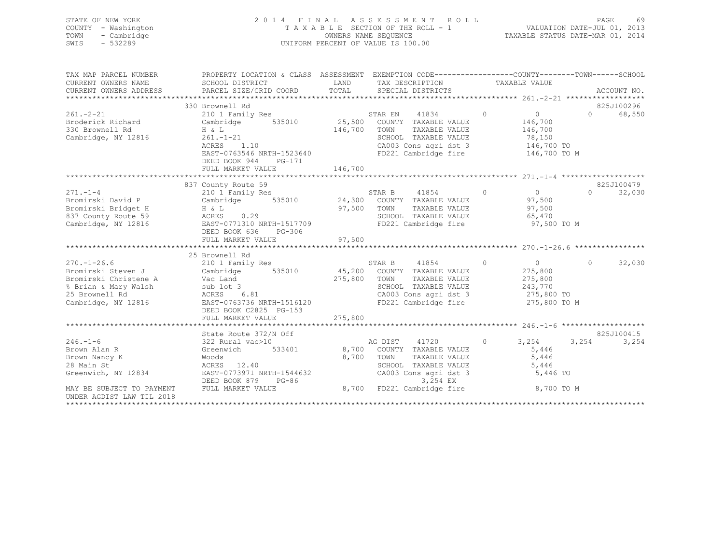| STATE OF NEW YORK<br>- Washington<br>COUNTY<br>- Cambridge<br>TOWN<br>SWIS<br>$-532289$ | ASSESSMENT ROLL<br>2014 FINAL<br>T A X A B L E SECTION OF THE ROLL - 1<br>OWNERS NAME SEOUENCE<br>UNIFORM PERCENT OF VALUE IS 100.00 |        |            |         |                                                              |   | TAXABLE STATUS DATE-MAR 01, 2014 | <b>PAGE</b><br>VALUATION DATE-JUL 01, 2013 | 69          |
|-----------------------------------------------------------------------------------------|--------------------------------------------------------------------------------------------------------------------------------------|--------|------------|---------|--------------------------------------------------------------|---|----------------------------------|--------------------------------------------|-------------|
|                                                                                         |                                                                                                                                      |        |            |         |                                                              |   |                                  |                                            |             |
| TAX MAP PARCEL NUMBER                                                                   | PROPERTY LOCATION & CLASS                                                                                                            |        | ASSESSMENT |         | EXEMPTION CODE-----------------COUNTY-------TOWN------SCHOOL |   |                                  |                                            |             |
| CURRENT OWNERS NAME                                                                     | SCHOOL DISTRICT                                                                                                                      |        | LAND       |         | TAX DESCRIPTION                                              |   | TAXABLE VALUE                    |                                            |             |
| CURRENT OWNERS ADDRESS                                                                  | PARCEL SIZE/GRID COORD TOTAL SPECIAL DISTRICTS                                                                                       |        |            |         |                                                              |   |                                  |                                            | ACCOUNT NO. |
|                                                                                         |                                                                                                                                      |        |            |         |                                                              |   |                                  |                                            |             |
|                                                                                         | 330 Brownell Rd                                                                                                                      |        |            |         |                                                              |   |                                  |                                            | 825J100296  |
| $261 - 2 - 21$                                                                          | 210 1 Family Res                                                                                                                     |        |            | STAR EN | 41834                                                        | 0 |                                  |                                            | 68,550      |
| Broderick Richard                                                                       | Cambridge                                                                                                                            | 535010 | 25,500     | COUNTY  | TAXABLE VALUE                                                |   | 146,700                          |                                            |             |
| 330 Brownell Rd                                                                         | H & L                                                                                                                                |        | 146,700    | TOWN    | TAXABLE VALUE                                                |   | 146,700                          |                                            |             |

 ACRES 1.10 CA003 Cons agri dst 3 146,700 TO EAST-0763546 NRTH-1523640 FD221 Cambridge fire 146,700 TO M

837 County Route 59 825J100479 825J100479 825J100479 825J100479 825J100479 825J100479 825J100479 825J

CAUUS CONS AYII UST S<br>FD221 Cambridge fire

825J100415

\*\*\*\*\*\*\*\*\*\*\*\*\*\*\*\*\*\*\*\*\*\*\*\*\*\*\*\*\*\*\*\*\*\*\*\*\*\*\*\*\*\*\*\*\*\*\*\*\*\*\*\*\*\*\*\*\*\*\*\*\*\*\*\*\*\*\*\*\*\*\*\*\*\*\*\*\*\*\*\*\*\*\*\*\*\*\*\*\*\*\*\*\*\*\*\*\*\*\*\*\*\*\* 271.-1-4 \*\*\*\*\*\*\*\*\*\*\*\*\*\*\*\*\*\*\*

271.-1-4 210 1 Family Res STAR B 41854 0 0 32,030

\*\*\*\*\*\*\*\*\*\*\*\*\*\*\*\*\*\*\*\*\*\*\*\*\*\*\*\*\*\*\*\*\*\*\*\*\*\*\*\*\*\*\*\*\*\*\*\*\*\*\*\*\*\*\*\*\*\*\*\*\*\*\*\*\*\*\*\*\*\*\*\*\*\*\*\*\*\*\*\*\*\*\*\*\*\*\*\*\*\*\*\*\*\*\*\*\*\*\*\*\*\*\* 270.-1-26.6 \*\*\*\*\*\*\*\*\*\*\*\*\*\*\*\*

270.-1-26.6 210 1 Family Res STAR B 41854 0 0 0 32,030

\*\*\*\*\*\*\*\*\*\*\*\*\*\*\*\*\*\*\*\*\*\*\*\*\*\*\*\*\*\*\*\*\*\*\*\*\*\*\*\*\*\*\*\*\*\*\*\*\*\*\*\*\*\*\*\*\*\*\*\*\*\*\*\*\*\*\*\*\*\*\*\*\*\*\*\*\*\*\*\*\*\*\*\*\*\*\*\*\*\*\*\*\*\*\*\*\*\*\*\*\*\*\* 246.-1-6 \*\*\*\*\*\*\*\*\*\*\*\*\*\*\*\*\*\*\*

\*\*\*\*\*\*\*\*\*\*\*\*\*\*\*\*\*\*\*\*\*\*\*\*\*\*\*\*\*\*\*\*\*\*\*\*\*\*\*\*\*\*\*\*\*\*\*\*\*\*\*\*\*\*\*\*\*\*\*\*\*\*\*\*\*\*\*\*\*\*\*\*\*\*\*\*\*\*\*\*\*\*\*\*\*\*\*\*\*\*\*\*\*\*\*\*\*\*\*\*\*\*\*\*\*\*\*\*\*\*\*\*\*\*\*\*\*\*\*\*\*\*\*\*\*\*\*\*\*\*\*\*

 State Route 372/N Off 825J100415 246.-1-6 322 Rural vac>10 AG DIST 41720 0 3,254 3,254 3,254

Cambridge, NY 12816 261.-1-21 SCHOOL TAXABLE VALUE 78,150

Bromirski David P Cambridge 535010 24,300 COUNTY TAXABLE VALUE 97,500 Bromirski Bridget H H & L 97,500 TOWN TAXABLE VALUE 97,500 837 County Route 59 ACRES 0.29 SCHOOL TAXABLE VALUE 65,470 Cambridge, NY 12816 EAST-0771310 NRTH-1517709 FD221 Cambridge fire 97,500 TO M

Bromirski Steven J Cambridge 535010 45,200 COUNTY TAXABLE VALUE 275,800 Bromirski Christene A Vac Land 275,800 TOWN TAXABLE VALUE 275,800 % Brian & Mary Walsh sub lot 3 SCHOOL TAXABLE VALUE 243,770 243, 100 Constitution and the Capture of Canadian Canadian Canadian Canadian Canadian Canadian Canadian Canadian Canadian Canadian Canadian Canadian Canadian Canadian Canadian Canadian Canadian Canadian Canadian Canadian C

Brown Alan R Greenwich 533401 8,700 COUNTY TAXABLE VALUE 5,446 Brown Nancy K Woods 8,700 TOWN TAXABLE VALUE 5,446 28 Main St ACRES 12.40 SCHOOL TAXABLE VALUE 5,446 Greenwich, NY 12834 EAST-0773971 NRTH-1544632 CA003 Cons agri dst 3 5,446 TO DEED BOOK 879 PG-86 3,254 EX MAY BE SUBJECT TO PAYMENT FULL MARKET VALUE 8,700 FD221 Cambridge fire 8,700 TO M<br>UNDER AGDIST LAW TIL 2018

DEED BOOK 944 PG-171

DEED BOOK 636 PG-306

DEED BOOK C2825 PG-153

210 1 Family Res

25 Brownell Rd

FULL MARKET VALUE 146,700

FULL MARKET VALUE 97,500

FULL MARKET VALUE 275,800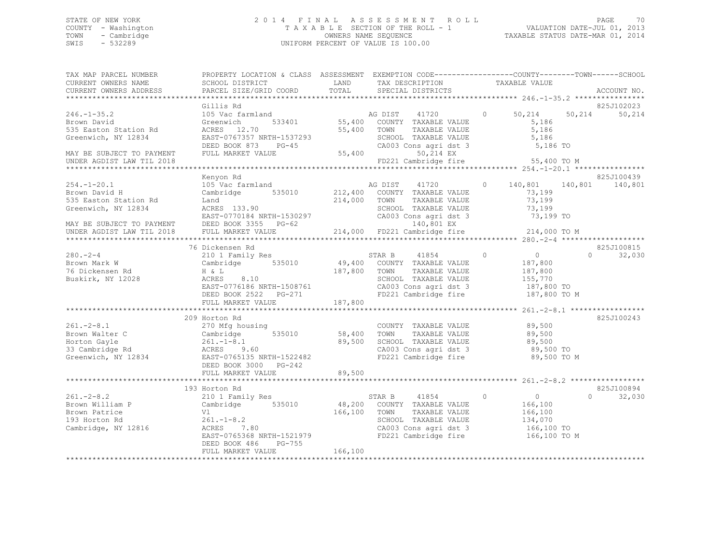### STATE OF NEW YORK 2 0 1 4 F I N A L A S S E S S M E N T R O L L PAGE 70 COUNTY - Washington T A X A B L E SECTION OF THE ROLL - 1 VALUATION DATE-JUL 01, 2013 TOWN - Cambridge OWNERS NAME SEQUENCE TAXABLE STATUS DATE-MAR 01, 2014 UNIFORM PERCENT OF VALUE IS 100.00

| TAX MAP PARCEL NUMBER    | PROPERTY LOCATION & CLASS ASSESSMENT EXEMPTION CODE---------------COUNTY-------TOWN-----SCHOOL                                                                                                                                       |              |                                                                  |                                     |          |                    |
|--------------------------|--------------------------------------------------------------------------------------------------------------------------------------------------------------------------------------------------------------------------------------|--------------|------------------------------------------------------------------|-------------------------------------|----------|--------------------|
| CURRENT OWNERS NAME      | SCHOOL DISTRICT                                                                                                                                                                                                                      | LAND         | TAX DESCRIPTION                                                  | TAXABLE VALUE                       |          |                    |
| CURRENT OWNERS ADDRESS   | PARCEL SIZE/GRID COORD                                                                                                                                                                                                               | TOTAL        | SPECIAL DISTRICTS                                                |                                     |          | ACCOUNT NO.        |
|                          |                                                                                                                                                                                                                                      |              |                                                                  |                                     |          |                    |
|                          | Gillis Rd                                                                                                                                                                                                                            |              |                                                                  |                                     |          | 825J102023         |
| $246. - 1 - 35.2$        | 105 Vac farmland                                                                                                                                                                                                                     |              | AG DIST 41720                                                    | $\Omega$<br>50,214                  | 50,214   | 50,214             |
| Brown David              | 533401<br>Greenwich                                                                                                                                                                                                                  |              | 55,400 COUNTY TAXABLE VALUE                                      | 5,186                               |          |                    |
| 535 Easton Station Rd    | ACRES 12.70                                                                                                                                                                                                                          | 55,400 TOWN  | TAXABLE VALUE                                                    | 5,186                               |          |                    |
| Greenwich, NY 12834      | EAST-0767357 NRTH-1537293                                                                                                                                                                                                            |              | SCHOOL TAXABLE VALUE                                             | 5,186                               |          |                    |
|                          | NRTH-1537293<br>PG-45<br>ALUE 55,400<br>DEED BOOK 873                                                                                                                                                                                |              | CA003 Cons agri dst 3 5,186 TO                                   |                                     |          |                    |
|                          | FULL MARKET VALUE                                                                                                                                                                                                                    |              | 55,400<br>50,214 EX                                              |                                     |          |                    |
|                          |                                                                                                                                                                                                                                      |              | FD221 Cambridge fire 55,400 TO M                                 |                                     |          |                    |
|                          |                                                                                                                                                                                                                                      |              |                                                                  |                                     |          |                    |
|                          | Kenyon Rd                                                                                                                                                                                                                            |              |                                                                  |                                     |          | 825J100439         |
| $254. - 1 - 20.1$        | 105 Vac farmland                                                                                                                                                                                                                     |              | AG DIST 41720                                                    | 0 140,801 140,801 140,801           |          |                    |
| Brown David H            | Cambridge 535010 212,400 COUNTY TAXABLE VALUE                                                                                                                                                                                        |              |                                                                  | 73,199                              |          |                    |
| 535 Easton Station Rd    |                                                                                                                                                                                                                                      | 214,000 TOWN | TAXABLE VALUE                                                    | 73,199                              |          |                    |
| Greenwich, NY 12834      | Land<br>ACRES 133.90                                                                                                                                                                                                                 |              | SCHOOL TAXABLE VALUE                                             | 73,199                              |          |                    |
|                          |                                                                                                                                                                                                                                      |              |                                                                  |                                     |          |                    |
|                          |                                                                                                                                                                                                                                      |              |                                                                  |                                     |          |                    |
|                          |                                                                                                                                                                                                                                      |              |                                                                  |                                     |          |                    |
|                          | Greenwich, NY 12834 6CRES 133.90 62HOOL TAXABLE VALUE 73,199<br>EAST-0770184 NRTH-1530297 62NO3 Cons agri dst 3 73,199 TO<br>MAY BE SUBJECT TO PAYMENT DEED BOOK 3355 PG-62 14,000 FD221 Cambridge fire 214,000 TO M<br>EX 214,000 F |              |                                                                  |                                     |          |                    |
|                          | 76 Dickensen Rd                                                                                                                                                                                                                      |              |                                                                  |                                     |          | 825J100815         |
|                          | 210 1 Family Res                                                                                                                                                                                                                     |              | STAR B<br>41854                                                  | $\overline{0}$<br>$\Omega$          |          | $\Omega$<br>32,030 |
| 280.-2-4<br>Brown Mark W | Cambridge 535010                                                                                                                                                                                                                     |              | 49,400 COUNTY TAXABLE VALUE<br>187,800 TOWN TAXABLE VALUE        | 187,800                             |          |                    |
| 76 Dickensen Rd          | $\hfill \Box$ H $\hfill \& \Delta$                                                                                                                                                                                                   |              | TAXABLE VALUE                                                    | 187,800                             |          |                    |
| Buskirk, NY 12028        | ACRES 8.10                                                                                                                                                                                                                           |              | SCHOOL TAXABLE VALUE<br>CA003 Cons agri dst 3                    | 155,770                             |          |                    |
|                          | ACRES 8.10<br>EAST-0776186 NRTH-1508761                                                                                                                                                                                              |              |                                                                  | 187,800 TO                          |          |                    |
|                          | DEED BOOK 2522 PG-271                                                                                                                                                                                                                |              | FD221 Cambridge fire 187,800 TO M                                |                                     |          |                    |
|                          | FULL MARKET VALUE                                                                                                                                                                                                                    | 187,800      |                                                                  |                                     |          |                    |
|                          |                                                                                                                                                                                                                                      |              |                                                                  |                                     |          |                    |
|                          | 209 Horton Rd                                                                                                                                                                                                                        |              |                                                                  |                                     |          | 825J100243         |
| $261 - 2 - 8.1$          | 270 Mfg housing                                                                                                                                                                                                                      |              | COUNTY TAXABLE VALUE                                             | 89,500                              |          |                    |
| Brown Walter C           |                                                                                                                                                                                                                                      |              | TAXABLE VALUE                                                    | 89,500                              |          |                    |
| Horton Gayle             |                                                                                                                                                                                                                                      |              |                                                                  |                                     |          |                    |
| 33 Cambridge Rd          | Cambridge 535010 58,400 TOWN<br>261.-1-8.1 89,500 SCHOOI<br>ACRES 9.60 CA003                                                                                                                                                         |              | 89,500 SCHOOL TAXABLE VALUE<br>CA003 Cons agri dst 3             | 89,500 TO<br>89,500 TO<br>CL SAN TO |          |                    |
|                          | Greenwich, NY 12834 EAST-0765135 NRTH-1522482                                                                                                                                                                                        |              | FD221 Cambridge fire                                             | 89,500 TO M                         |          |                    |
|                          | DEED BOOK 3000 PG-242                                                                                                                                                                                                                |              |                                                                  |                                     |          |                    |
|                          | FULL MARKET VALUE                                                                                                                                                                                                                    | 89,500       |                                                                  |                                     |          |                    |
|                          |                                                                                                                                                                                                                                      |              |                                                                  |                                     |          |                    |
|                          | 193 Horton Rd                                                                                                                                                                                                                        |              |                                                                  |                                     |          | 825J100894         |
| $261 - 2 - 8.2$          | 210 1 Family Res                                                                                                                                                                                                                     |              | STAR B 41854 0                                                   | $\overline{0}$                      | $\Omega$ | 32,030             |
| Brown William P          | Cambridge 535010                                                                                                                                                                                                                     |              | 48,200 COUNTY TAXABLE VALUE                                      |                                     |          |                    |
| Brown Patrice            | Vl                                                                                                                                                                                                                                   | 166,100 TOWN | TAXABLE VALUE                                                    | 166,100<br>166,100                  |          |                    |
| 193 Horton Rd            | $261. - 1 - 8.2$                                                                                                                                                                                                                     |              |                                                                  |                                     |          |                    |
| Cambridge, NY 12816      | .80<br>ACRES 7.80                                                                                                                                                                                                                    |              | SCHOOL TAXABLE VALUE 134,070<br>CA003 Cons agri dst 3 166,100 TO |                                     |          |                    |
|                          | EAST-0765368 NRTH-1521979                                                                                                                                                                                                            |              | FD221 Cambridge fire 166,100 TO M                                |                                     |          |                    |
|                          | PG-755<br>DEED BOOK 486                                                                                                                                                                                                              |              |                                                                  |                                     |          |                    |
|                          | FULL MARKET VALUE                                                                                                                                                                                                                    | 166,100      |                                                                  |                                     |          |                    |
|                          |                                                                                                                                                                                                                                      |              |                                                                  |                                     |          |                    |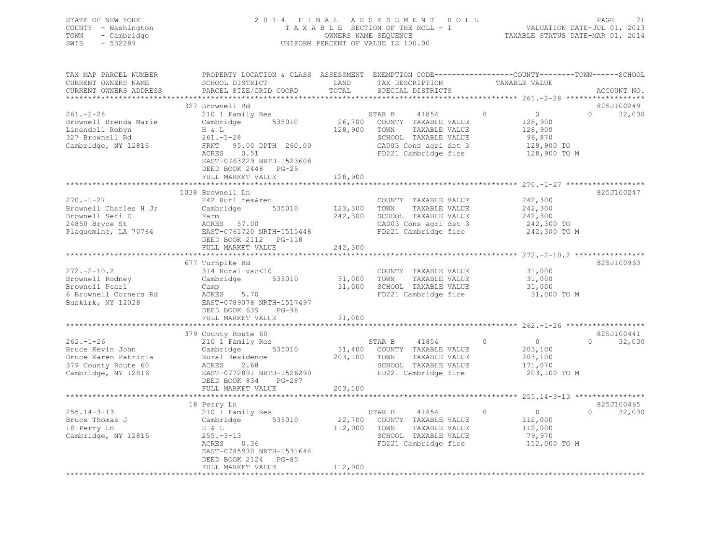| STATE OF NEW YORK<br>- Washington<br>COUNTY<br>- Cambridge<br>TOWN<br>$-532289$<br>SWIS | 2014 FINAL ASSESSMENT ROLL<br>TAXABLE SECTION OF THE ROLL - 1<br>OWNERS NAME SEQUENCE<br>UNIFORM PERCENT OF VALUE IS 100.00 |                    |        |                                     |  |                                                                               | PAGE<br>- 71<br>VALUATION DATE-JUL 01, 2013<br>TAXABLE STATUS DATE-MAR 01, 2014 |             |  |  |  |
|-----------------------------------------------------------------------------------------|-----------------------------------------------------------------------------------------------------------------------------|--------------------|--------|-------------------------------------|--|-------------------------------------------------------------------------------|---------------------------------------------------------------------------------|-------------|--|--|--|
|                                                                                         |                                                                                                                             |                    |        |                                     |  |                                                                               |                                                                                 |             |  |  |  |
| TAX MAP PARCEL NUMBER<br>CURRENT OWNERS NAME                                            | PROPERTY LOCATION & CLASS<br>SCHOOL DISTRICT                                                                                | ASSESSMENT<br>LAND |        | TAX DESCRIPTION                     |  | EXEMPTION CODE-----------------COUNTY-------TOWN------SCHOOL<br>TAXABLE VALUE |                                                                                 |             |  |  |  |
| CURRENT OWNERS ADDRESS                                                                  | PARCEL SIZE/GRID COORD TOTAL                                                                                                |                    |        | SPECIAL DISTRICTS                   |  |                                                                               |                                                                                 | ACCOUNT NO. |  |  |  |
|                                                                                         | 327 Brownell Rd                                                                                                             |                    |        |                                     |  |                                                                               |                                                                                 | 825J100249  |  |  |  |
| $261 - 2 - 28$                                                                          | 210 1 Family Res                                                                                                            |                    | STAR B | 41854                               |  |                                                                               | $\Omega$                                                                        | 32,030      |  |  |  |
| Brownell Brenda Marie                                                                   | Cambridge<br>535010                                                                                                         | 26,700             | COUNTY | TAXABLE VALUE                       |  | 128,900                                                                       |                                                                                 |             |  |  |  |
| Linendoll Robyn                                                                         | $H \& L$                                                                                                                    | 128,900            | TOWN   | TAXABLE VALUE                       |  | 128,900                                                                       |                                                                                 |             |  |  |  |
| $261 - 1 - 28$<br>327 Brownell Rd                                                       |                                                                                                                             |                    | SCHOOL | TAXABLE VALUE                       |  | 96,870                                                                        |                                                                                 |             |  |  |  |
| Combridge NV 10016                                                                      | EDNT A5 00 DRTH 260 00                                                                                                      |                    |        | $C3003$ $C222$ $C222$ $C222$ $C122$ |  | 129 ANA <del>T</del> O                                                        |                                                                                 |             |  |  |  |

| 327 Brownell Rd<br>Cambridge, NY 12816 | $261. - 1 - 28$<br>FRNT 95.00 DPTH 260.00<br>ACRES<br>0.51<br>EAST-0763229 NRTH-1523608<br>DEED BOOK 2448 PG-25 |         | SCHOOL TAXABLE VALUE<br>CA003 Cons agri dst 3<br>FD221 Cambridge fire | 96,870<br>128,900 TO<br>128,900 TO M |                    |
|----------------------------------------|-----------------------------------------------------------------------------------------------------------------|---------|-----------------------------------------------------------------------|--------------------------------------|--------------------|
|                                        | FULL MARKET VALUE                                                                                               | 128,900 |                                                                       |                                      |                    |
|                                        |                                                                                                                 |         |                                                                       |                                      |                    |
|                                        | 1038 Brownell Ln                                                                                                |         |                                                                       |                                      | 825J100247         |
| $270. - 1 - 27$                        | 242 Rurl res&rec                                                                                                |         | COUNTY TAXABLE VALUE                                                  | 242,300                              |                    |
| Brownell Charles H Jr                  | 535010<br>Cambridge                                                                                             | 123,300 | TOWN<br>TAXABLE VALUE                                                 | 242,300                              |                    |
| Brownell Sefi D                        | Farm                                                                                                            | 242,300 | SCHOOL TAXABLE VALUE                                                  | 242,300                              |                    |
| 24850 Bryce St                         | ACRES 57.00                                                                                                     |         | CA003 Cons agri dst 3                                                 | 242,300 TO                           |                    |
| Plaquemine, LA 70764                   | EAST-0761720 NRTH-1515448                                                                                       |         | FD221 Cambridge fire                                                  | 242,300 TO M                         |                    |
|                                        | DEED BOOK 2112    PG-118                                                                                        |         |                                                                       |                                      |                    |
|                                        | FULL MARKET VALUE                                                                                               | 242,300 |                                                                       |                                      |                    |
|                                        |                                                                                                                 |         |                                                                       |                                      |                    |
|                                        | 677 Turnpike Rd                                                                                                 |         |                                                                       |                                      | 825J100963         |
| $272 - 2 - 10.2$                       | 314 Rural vac<10                                                                                                |         | COUNTY TAXABLE VALUE                                                  | 31,000                               |                    |
| Brownell Rodney                        | 535010<br>Cambridge                                                                                             | 31,000  | TOWN<br>TAXABLE VALUE                                                 | 31,000                               |                    |
| Brownell Pearl                         | Camp                                                                                                            | 31,000  | SCHOOL TAXABLE VALUE                                                  | 31,000                               |                    |
| 6 Brownell Corners Rd                  | 5.70<br>ACRES                                                                                                   |         | FD221 Cambridge fire                                                  | 31,000 TO M                          |                    |
| Buskirk, NY 12028                      | EAST-0789078 NRTH-1517497                                                                                       |         |                                                                       |                                      |                    |
|                                        | DEED BOOK 639<br>$PG-98$                                                                                        |         |                                                                       |                                      |                    |
|                                        | FULL MARKET VALUE                                                                                               | 31,000  |                                                                       |                                      |                    |
|                                        |                                                                                                                 |         |                                                                       |                                      |                    |
|                                        | 379 County Route 60                                                                                             |         |                                                                       |                                      | 825J100441         |
| $262. - 1 - 26$                        | 210 1 Family Res                                                                                                |         | STAR B<br>41854                                                       | $\circ$<br>$\overline{0}$            | 32,030<br>$\Omega$ |
| Bruce Kevin John                       | Cambridge<br>535010                                                                                             |         | 31,400 COUNTY TAXABLE VALUE                                           | 203,100                              |                    |
| Bruce Karen Patricia                   | Rural Residence                                                                                                 | 203,100 | TOWN<br>TAXABLE VALUE                                                 | 203,100                              |                    |
| 379 County Route 60                    | 2.68<br>ACRES                                                                                                   |         | SCHOOL TAXABLE VALUE                                                  | 171,070                              |                    |
| Cambridge, NY 12816                    | EAST-0772891 NRTH-1526290                                                                                       |         | FD221 Cambridge fire                                                  | 203,100 TO M                         |                    |
|                                        | DEED BOOK 834<br>PG-287                                                                                         |         |                                                                       |                                      |                    |
|                                        | FULL MARKET VALUE                                                                                               | 203,100 |                                                                       |                                      |                    |
|                                        |                                                                                                                 |         |                                                                       |                                      |                    |
|                                        | 18 Perry Ln                                                                                                     |         |                                                                       |                                      | 825J100465         |
| $255.14 - 3 - 13$                      | 210 1 Family Res                                                                                                |         | STAR B<br>41854                                                       | $\circ$<br>$\circ$                   | $\Omega$<br>32,030 |
| Bruce Thomas J                         | Cambridge<br>535010                                                                                             | 22,700  | COUNTY TAXABLE VALUE                                                  | 112,000                              |                    |
| 18 Perry Ln                            | H & L                                                                                                           | 112,000 | TAXABLE VALUE<br>TOWN                                                 | 112,000                              |                    |
| Cambridge, NY 12816                    | $255. - 3 - 13$                                                                                                 |         | SCHOOL TAXABLE VALUE                                                  | 79,970                               |                    |
|                                        | 0.36<br>ACRES                                                                                                   |         | FD221 Cambridge fire                                                  | 112,000 TO M                         |                    |
|                                        | EAST-0785930 NRTH-1531644                                                                                       |         |                                                                       |                                      |                    |
|                                        | DEED BOOK 2124 PG-85                                                                                            |         |                                                                       |                                      |                    |
|                                        | FULL MARKET VALUE<br>***************************                                                                | 112,000 |                                                                       |                                      |                    |
|                                        |                                                                                                                 |         |                                                                       |                                      |                    |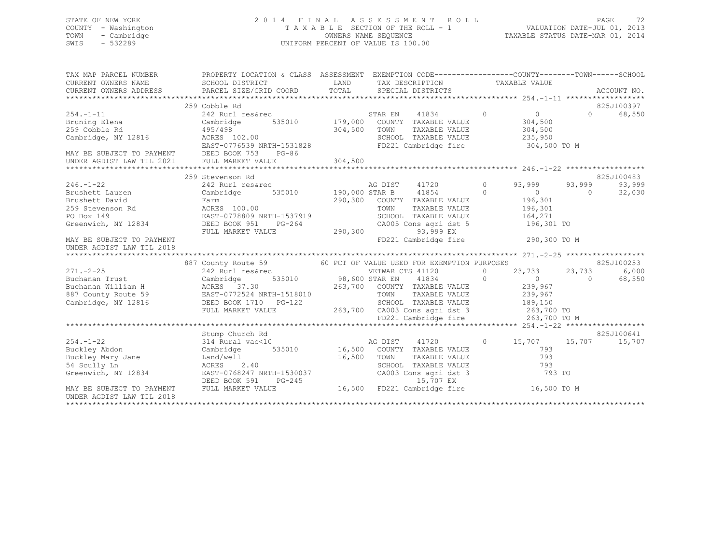### STATE OF NEW YORK 2 0 1 4 F I N A L A S S E S S M E N T R O L L PAGE 72 COUNTY - Washington T A X A B L E SECTION OF THE ROLL - 1 VALUATION DATE-JUL 01, 2013 TOWN - Cambridge OWNERS NAME SEQUENCE TAXABLE STATUS DATE-MAR 01, 2014 SWIS - 532289 UNIFORM PERCENT OF VALUE IS 100.00

| TAX MAP PARCEL NUMBER                                                                                                                                                                                                                | PROPERTY LOCATION & CLASS ASSESSMENT EXEMPTION CODE-----------------COUNTY-------TOWN------SCHOOL                       |  |                                      |  |                    |          |            |
|--------------------------------------------------------------------------------------------------------------------------------------------------------------------------------------------------------------------------------------|-------------------------------------------------------------------------------------------------------------------------|--|--------------------------------------|--|--------------------|----------|------------|
|                                                                                                                                                                                                                                      |                                                                                                                         |  |                                      |  |                    |          |            |
| CURRENT OWNERS ADDRESS<br>.CURRENT OWNERS ADDRESS PARCEL SIZE/GRID COORD TOTAL SPECIAL DISTRICTS ACCOUNT NO ACCOUNT NO ACCOUNT NO ACCOUNT                                                                                            |                                                                                                                         |  |                                      |  |                    |          |            |
|                                                                                                                                                                                                                                      |                                                                                                                         |  |                                      |  |                    |          |            |
|                                                                                                                                                                                                                                      | 259 Cobble Rd                                                                                                           |  |                                      |  |                    |          | 825J100397 |
| 254.-1-11 242 Rurl res&rec STAR EN 41834<br>Bruning Elena Cambridge 535010 179,000 COUNTY TAXABLE VALUE                                                                                                                              |                                                                                                                         |  |                                      |  | $\overline{0}$ 0   | $\Omega$ | 68,550     |
|                                                                                                                                                                                                                                      |                                                                                                                         |  |                                      |  | 304,500            |          |            |
|                                                                                                                                                                                                                                      |                                                                                                                         |  |                                      |  |                    |          |            |
|                                                                                                                                                                                                                                      |                                                                                                                         |  |                                      |  |                    |          |            |
|                                                                                                                                                                                                                                      |                                                                                                                         |  |                                      |  |                    |          |            |
| MAY BE SUBJECT TO PAYMENT DEED BOOK 753 PG-86                                                                                                                                                                                        |                                                                                                                         |  |                                      |  |                    |          |            |
| UNDER AGDIST LAW TIL 2021 FULL MARKET VALUE                                                                                                                                                                                          |                                                                                                                         |  |                                      |  |                    |          |            |
|                                                                                                                                                                                                                                      |                                                                                                                         |  |                                      |  |                    |          |            |
|                                                                                                                                                                                                                                      | 259 Stevenson Rd                                                                                                        |  |                                      |  |                    |          | 825J100483 |
| $246. - 1 - 22$                                                                                                                                                                                                                      |                                                                                                                         |  | AG DIST 41720 0                      |  | 93,999             | 93,999   | 93,999     |
|                                                                                                                                                                                                                                      | 242 Rurl res&rec<br>242 Rurl res&rec<br>Cambridge 535010 190,000 STAR B 41854                                           |  |                                      |  | $\overline{0}$ 0   |          | 32,030     |
|                                                                                                                                                                                                                                      |                                                                                                                         |  |                                      |  | 196,301<br>196,301 |          |            |
|                                                                                                                                                                                                                                      |                                                                                                                         |  |                                      |  |                    |          |            |
|                                                                                                                                                                                                                                      |                                                                                                                         |  | SCHOOL TAXABLE VALUE 164,271         |  |                    |          |            |
|                                                                                                                                                                                                                                      |                                                                                                                         |  | CA005 Cons agri dst 5 196,301 TO     |  |                    |          |            |
| Greenwich, NY 12834 DEED BOOK 951 PG-264 CA005 Con<br>FULL MARKET VALUE 290,300                                                                                                                                                      |                                                                                                                         |  | 93,999 EX                            |  |                    |          |            |
| MAY BE SUBJECT TO PAYMENT                                                                                                                                                                                                            |                                                                                                                         |  | FD221 Cambridge fire 290,300 TO M    |  |                    |          |            |
| UNDER AGDIST LAW TIL 2018                                                                                                                                                                                                            |                                                                                                                         |  |                                      |  |                    |          |            |
|                                                                                                                                                                                                                                      |                                                                                                                         |  |                                      |  |                    |          |            |
| $271. -2 - 25$                                                                                                                                                                                                                       | 887 County Route 59 60 PCT OF VALUE USED FOR EXEMPTION PURPOSES 242 Rurl res&rec 60 PCT OF VETWAR CTS 41120 0 23,733 23 |  |                                      |  |                    |          | 825J100253 |
|                                                                                                                                                                                                                                      |                                                                                                                         |  |                                      |  |                    |          |            |
|                                                                                                                                                                                                                                      |                                                                                                                         |  |                                      |  |                    |          |            |
|                                                                                                                                                                                                                                      |                                                                                                                         |  |                                      |  |                    |          |            |
|                                                                                                                                                                                                                                      |                                                                                                                         |  |                                      |  |                    |          |            |
|                                                                                                                                                                                                                                      |                                                                                                                         |  |                                      |  |                    |          |            |
|                                                                                                                                                                                                                                      |                                                                                                                         |  |                                      |  |                    |          |            |
|                                                                                                                                                                                                                                      |                                                                                                                         |  |                                      |  |                    |          |            |
|                                                                                                                                                                                                                                      |                                                                                                                         |  |                                      |  |                    |          |            |
|                                                                                                                                                                                                                                      | Stump Church Rd                                                                                                         |  | AG DIST 41720 0 15,707 15,707 15,707 |  |                    |          | 825J100641 |
| $254. - 1 - 22$                                                                                                                                                                                                                      | 314 Rural vac<10                                                                                                        |  |                                      |  |                    |          |            |
| Buckley Abdon                                                                                                                                                                                                                        | Cambridge 535010 16,500 COUNTY TAXABLE VALUE                                                                            |  |                                      |  | 793                |          |            |
|                                                                                                                                                                                                                                      |                                                                                                                         |  |                                      |  |                    |          |            |
|                                                                                                                                                                                                                                      |                                                                                                                         |  |                                      |  |                    |          |            |
|                                                                                                                                                                                                                                      |                                                                                                                         |  |                                      |  |                    |          |            |
| Buckley Mary Jane Land/well 16,500 TOWN TAXABLE VALUE 793<br>54 Scully Ln ACRES 2.40<br>Greenwich, NY 12834 EAST-0768247 NRTH-1530037 CA003 Cons agri dst 3 793 TO<br>MAY BE SUBJECT TO PAYMENT FULL MARKET VALUE 16,500 FD221 Cambr |                                                                                                                         |  |                                      |  |                    |          |            |
| UNDER AGDIST LAW TIL 2018                                                                                                                                                                                                            |                                                                                                                         |  |                                      |  |                    |          |            |
|                                                                                                                                                                                                                                      |                                                                                                                         |  |                                      |  |                    |          |            |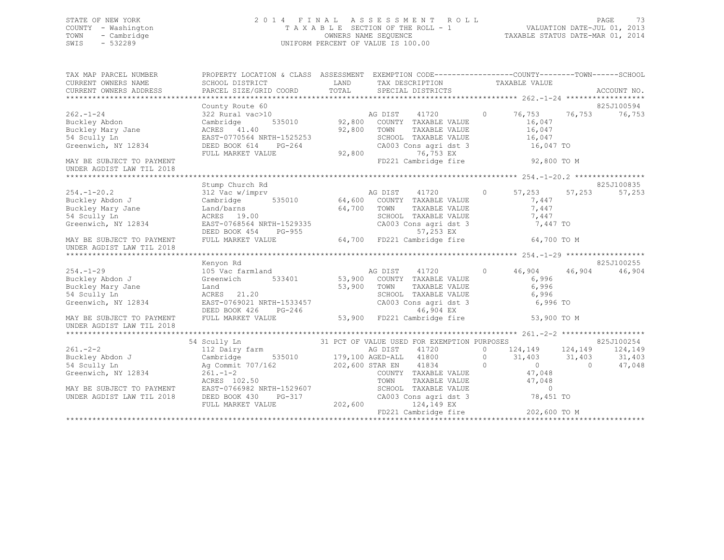## STATE OF NEW YORK 2 0 1 4 F I N A L A S S E S S M E N T R O L L PAGE 73 COUNTY - Washington T A X A B L E SECTION OF THE ROLL - 1 VALUATION DATE-JUL 01, 2013 TOWN - Cambridge OWNERS NAME SEQUENCE TAXABLE STATUS DATE-MAR 01, 2014 SWIS - 532289 UNIFORM PERCENT OF VALUE IS 100.00

| TAX MAP PARCEL NUMBER<br>CURRENT OWNERS NAME<br>CURRENT OWNERS ADDRESS | PROPERTY LOCATION & CLASS ASSESSMENT EXEMPTION CODE---------------COUNTY-------TOWN-----SCHOOL<br>SCHOOL DISTRICT<br>PARCEL SIZE/GRID COORD | LAND<br>TOTAL | TAX DESCRIPTION TAXABLE VALUE SPECIAL DISTRICTS                     |         |                                        |                                                                                                                                                                                                                                                                                               | ACCOUNT NO. |
|------------------------------------------------------------------------|---------------------------------------------------------------------------------------------------------------------------------------------|---------------|---------------------------------------------------------------------|---------|----------------------------------------|-----------------------------------------------------------------------------------------------------------------------------------------------------------------------------------------------------------------------------------------------------------------------------------------------|-------------|
|                                                                        | County Route 60                                                                                                                             |               |                                                                     |         |                                        |                                                                                                                                                                                                                                                                                               | 825J100594  |
| $262 - 1 - 24$                                                         | 322 Rural vac>10                                                                                                                            |               |                                                                     |         | 0 $76, 753$ $76, 753$                  |                                                                                                                                                                                                                                                                                               | 76,753      |
| Buckley Abdon                                                          | Cambridge                                                                                                                                   |               |                                                                     |         | 16,047                                 |                                                                                                                                                                                                                                                                                               |             |
| Buckley Mary Jane                                                      | ACRES 41.40                                                                                                                                 | 92,800 TOWN   | TAXABLE VALUE                                                       |         | 16,047                                 |                                                                                                                                                                                                                                                                                               |             |
| 54 Scully Ln                                                           | EAST-0770564 NRTH-1525253                                                                                                                   |               | SCHOOL TAXABLE VALUE                                                |         | 16,047                                 |                                                                                                                                                                                                                                                                                               |             |
| Greenwich, NY 12834                                                    | DEED BOOK 614 PG-264                                                                                                                        |               | CA003 Cons agri dst 3                                               |         | 16,047 TO                              |                                                                                                                                                                                                                                                                                               |             |
|                                                                        | FULL MARKET VALUE                                                                                                                           | 92,800        |                                                                     |         |                                        |                                                                                                                                                                                                                                                                                               |             |
| MAY BE SUBJECT TO PAYMENT<br>UNDER AGDIST LAW TIL 2018                 |                                                                                                                                             |               | 76,753 EX<br>FD221 Cambridge fire 92,800 TO M                       |         |                                        |                                                                                                                                                                                                                                                                                               |             |
|                                                                        |                                                                                                                                             |               |                                                                     |         |                                        |                                                                                                                                                                                                                                                                                               |             |
|                                                                        | Stump Church Rd                                                                                                                             |               |                                                                     |         |                                        |                                                                                                                                                                                                                                                                                               | 825J100835  |
| $254. - 1 - 20.2$                                                      | Stump Church ku<br>312 Vac w/imprv<br>Cambridge 535010 64,600 COUNTY TAXABLE VALUE<br>64.700 TOWN TAXABLE VALUE                             |               |                                                                     |         | 57,253                                 | 57,253                                                                                                                                                                                                                                                                                        | 57,253      |
| Buckley Abdon J                                                        |                                                                                                                                             |               |                                                                     |         | 7,447                                  |                                                                                                                                                                                                                                                                                               |             |
| Buckley Mary Jane                                                      |                                                                                                                                             | $64,700$ TOWN |                                                                     |         | 7,447                                  |                                                                                                                                                                                                                                                                                               |             |
| 54 Scully Ln                                                           | ACRES 19.00                                                                                                                                 |               |                                                                     |         | 7,447                                  |                                                                                                                                                                                                                                                                                               |             |
| Greenwich, NY 12834                                                    |                                                                                                                                             |               | SCHOOL TAXABLE VALUE<br>CA003 Cons agri dst 3                       |         |                                        |                                                                                                                                                                                                                                                                                               |             |
|                                                                        |                                                                                                                                             |               |                                                                     |         |                                        |                                                                                                                                                                                                                                                                                               |             |
| MAY BE SUBJECT TO PAYMENT<br>UNDER AGDIST LAW TIL 2018                 | EAST-0768564 NRTH-1529335 CA003 Cons agri dst 3 7,447 TO<br>DEED BOOK 454 PG-955 64,700 FD221 Cambridge fire 64,700 TO M                    |               |                                                                     |         |                                        |                                                                                                                                                                                                                                                                                               |             |
|                                                                        |                                                                                                                                             |               |                                                                     |         |                                        |                                                                                                                                                                                                                                                                                               |             |
|                                                                        | Kenyon Rd                                                                                                                                   |               |                                                                     |         |                                        |                                                                                                                                                                                                                                                                                               | 825J100255  |
| $254. - 1 - 29$                                                        |                                                                                                                                             |               |                                                                     |         | 46,904 46,904                          |                                                                                                                                                                                                                                                                                               | 46,904      |
| Buckley Abdon J                                                        |                                                                                                                                             |               |                                                                     |         | 6,996                                  |                                                                                                                                                                                                                                                                                               |             |
| Buckley Mary Jane                                                      |                                                                                                                                             | 53,900 TOWN   | TAXABLE VALUE                                                       |         | 6,996                                  |                                                                                                                                                                                                                                                                                               |             |
| 54 Scully Ln                                                           | Land<br>ACRES 21.20                                                                                                                         |               |                                                                     |         | 6,996                                  |                                                                                                                                                                                                                                                                                               |             |
| Greenwich, NY 12834                                                    | ACRES 21.20<br>EAST-0769021 NRTH-1533457                                                                                                    |               | SCHOOL TAXABLE VALUE<br>CA003 Cons agri dst 3                       |         | 6,996 TO                               |                                                                                                                                                                                                                                                                                               |             |
|                                                                        |                                                                                                                                             |               |                                                                     |         |                                        |                                                                                                                                                                                                                                                                                               |             |
| MAY BE SUBJECT TO PAYMENT                                              | DEED BOOK 426 PG-246 46,904 EX<br>FULL MARKET VALUE 53,900 FD221 Cambridge fire                                                             |               |                                                                     |         | 53,900 TO M                            |                                                                                                                                                                                                                                                                                               |             |
| UNDER AGDIST LAW TIL 2018                                              |                                                                                                                                             |               |                                                                     |         |                                        |                                                                                                                                                                                                                                                                                               |             |
|                                                                        |                                                                                                                                             |               |                                                                     |         |                                        |                                                                                                                                                                                                                                                                                               |             |
|                                                                        | 54 Scully Ln                                                                                                                                |               | 31 PCT OF VALUE USED FOR EXEMPTION PURPOSES                         |         |                                        |                                                                                                                                                                                                                                                                                               | 825J100254  |
| $261. - 2 - 2$                                                         | 112 Dairy farm                                                                                                                              |               | AG DIST<br>41720                                                    |         | 0 $124, 149$ $124, 149$                |                                                                                                                                                                                                                                                                                               | 124,149     |
| Buckley Abdon J                                                        | Cambridge                                                                                                                                   |               | 535010 179,100 AGED-ALL 41800                                       | $\circ$ | $31,403$ $31,403$                      |                                                                                                                                                                                                                                                                                               | 31,403      |
| 54 Scully Ln                                                           | Ag Commit 707/162                                                                                                                           |               | 202,600 STAR EN 41834<br>$\overline{0}$                             |         | $\begin{array}{c}0\\47,048\end{array}$ | $\sim$ 0 $\sim$ 0 $\sim$ 0 $\sim$ 0 $\sim$ 0 $\sim$ 0 $\sim$ 0 $\sim$ 0 $\sim$ 0 $\sim$ 0 $\sim$ 0 $\sim$ 0 $\sim$ 0 $\sim$ 0 $\sim$ 0 $\sim$ 0 $\sim$ 0 $\sim$ 0 $\sim$ 0 $\sim$ 0 $\sim$ 0 $\sim$ 0 $\sim$ 0 $\sim$ 0 $\sim$ 0 $\sim$ 0 $\sim$ 0 $\sim$ 0 $\sim$ 0 $\sim$ 0 $\sim$ 0 $\sim$ | 47,048      |
| Greenwich, NY 12834                                                    | $261. - 1 - 2$                                                                                                                              |               | COUNTY TAXABLE VALUE                                                |         |                                        |                                                                                                                                                                                                                                                                                               |             |
|                                                                        | ACRES 102.50                                                                                                                                |               |                                                                     |         | 47,048                                 |                                                                                                                                                                                                                                                                                               |             |
|                                                                        | EAST-0766982 NRTH-1529607                                                                                                                   |               |                                                                     |         | $\overline{0}$                         |                                                                                                                                                                                                                                                                                               |             |
| MAY BE SUBJECT TO PAYMENT<br>UNDER AGDIST LAW TIL 2018                 | $PG-317$<br>DEED BOOK 430                                                                                                                   |               | TOWN TAXABLE VALUE<br>SCHOOL TAXABLE VALUE<br>CA003 Cons agri dst 3 |         | 78,451 TO                              |                                                                                                                                                                                                                                                                                               |             |
|                                                                        | FULL MARKET VALUE                                                                                                                           | 202,600       | 124,149 EX                                                          |         |                                        |                                                                                                                                                                                                                                                                                               |             |
|                                                                        |                                                                                                                                             |               | FD221 Cambridge fire                                                |         | 202,600 TO M                           |                                                                                                                                                                                                                                                                                               |             |
|                                                                        |                                                                                                                                             |               |                                                                     |         |                                        |                                                                                                                                                                                                                                                                                               |             |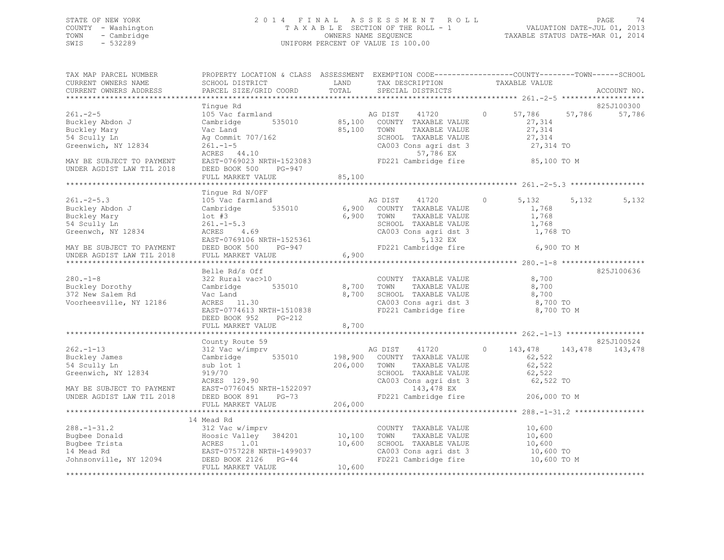## STATE OF NEW YORK 2 0 1 4 F I N A L A S S E S S M E N T R O L L PAGE 74 COUNTY - Washington T A X A B L E SECTION OF THE ROLL - 1 VALUATION DATE-JUL 01, 2013 TOWN - Cambridge OWNERS NAME SEQUENCE TAXABLE STATUS DATE-MAR 01, 2014 SWIS - 532289 UNIFORM PERCENT OF VALUE IS 100.00

| TAX MAP PARCEL NUMBER<br>CURRENT OWNERS NAME                                                          | PROPERTY LOCATION & CLASS ASSESSMENT EXEMPTION CODE----------------COUNTY-------TOWN------SCHOOL<br>SCHOOL DISTRICT | LAND    | TAX DESCRIPTION                               | TAXABLE VALUE      |                   |
|-------------------------------------------------------------------------------------------------------|---------------------------------------------------------------------------------------------------------------------|---------|-----------------------------------------------|--------------------|-------------------|
| CURRENT OWNERS ADDRESS                                                                                | PARCEL SIZE/GRID COORD                                                                                              | TOTAL   | SPECIAL DISTRICTS                             |                    | ACCOUNT NO.       |
|                                                                                                       |                                                                                                                     |         |                                               |                    |                   |
|                                                                                                       | Tinque Rd                                                                                                           |         |                                               |                    | 825J100300        |
| $261 - 2 - 5$                                                                                         | 105 Vac farmland                                                                                                    |         | AG DIST<br>41720                              | 57,786<br>$\circ$  | 57,786<br>57,786  |
| Buckley Abdon J                                                                                       | 535010<br>Cambridge                                                                                                 |         | 85,100 COUNTY TAXABLE VALUE                   | 27,314             |                   |
| Buckley Mary                                                                                          | Vac Land<br>Ag Commit 707/162                                                                                       | 85,100  | TAXABLE VALUE<br>TOWN                         | 27,314             |                   |
| 54 Scully Ln                                                                                          |                                                                                                                     |         | SCHOOL TAXABLE VALUE                          | 27,314             |                   |
| Greenwich, NY 12834                                                                                   | $261 - 1 - 5$                                                                                                       |         | CA003 Cons agri dst 3                         | 27,314 TO          |                   |
|                                                                                                       | ACRES 44.10                                                                                                         |         | 57,786 EX                                     |                    |                   |
| MAY BE SUBJECT TO PAYMENT                                                                             | EAST-0769023 NRTH-1523083                                                                                           |         | FD221 Cambridge fire                          | 85,100 TO M        |                   |
| UNDER AGDIST LAW TIL 2018                                                                             | DEED BOOK 500<br>PG-947                                                                                             |         |                                               |                    |                   |
|                                                                                                       | FULL MARKET VALUE                                                                                                   | 85,100  |                                               |                    |                   |
|                                                                                                       |                                                                                                                     |         |                                               |                    |                   |
|                                                                                                       | Tinque Rd N/OFF                                                                                                     |         |                                               |                    |                   |
| $261 - 2 - 5.3$                                                                                       | 105 Vac farmland                                                                                                    |         | AG DIST<br>41720                              | 5,132<br>$\circ$   | 5,132<br>5,132    |
| Buckley Abdon J                                                                                       | Cambridge 535010                                                                                                    | 6,900   | COUNTY TAXABLE VALUE                          | 1,768              |                   |
| Buckley Mary                                                                                          | $1$ ot #3                                                                                                           | 6,900   | TOWN<br>TAXABLE VALUE                         | 1,768              |                   |
| 54 Scully Ln                                                                                          | $261. -1 - 5.3$                                                                                                     |         | SCHOOL TAXABLE VALUE                          | 1,768              |                   |
| Greenwch, NY 12834                                                                                    | ACRES 4.69                                                                                                          |         | CA003 Cons agri dst 3                         | 1,768 TO           |                   |
|                                                                                                       | EAST-0769106 NRTH-1525361                                                                                           |         | 5,132 EX                                      |                    |                   |
| EAST-0769106 N<br>MAY BE SUBJECT TO PAYMENT DEED BOOK 500<br>UNDER AGDIST LAW TIL 2018 FULL MARKET VA | PG-947                                                                                                              |         | FD221 Cambridge fire                          | 6,900 TO M         |                   |
|                                                                                                       | FULL MARKET VALUE                                                                                                   | 6,900   |                                               |                    |                   |
|                                                                                                       |                                                                                                                     |         |                                               |                    | 825J100636        |
|                                                                                                       | Belle Rd/s Off                                                                                                      |         |                                               |                    |                   |
| $280. - 1 - 8$                                                                                        | 322 Rural vac>10                                                                                                    |         | COUNTY TAXABLE VALUE                          | 8,700              |                   |
| Zou<br>Buckley Dorothy<br>Colom Rd                                                                    | Cambridge 535010                                                                                                    |         | 8,700 TOWN<br>TAXABLE VALUE                   | 8,700              |                   |
|                                                                                                       | Vac Land                                                                                                            | 8,700   | SCHOOL TAXABLE VALUE                          | 8,700              |                   |
| Voorheesville, NY 12186                                                                               | ACRES 11.30                                                                                                         |         | CA003 Cons agri dst 3<br>FD221 Cambridge fire | 8,700 TO           |                   |
|                                                                                                       | EAST-0774613 NRTH-1510838<br>$PG-212$                                                                               |         |                                               | 8,700 TO M         |                   |
|                                                                                                       | DEED BOOK 952                                                                                                       | 8,700   |                                               |                    |                   |
|                                                                                                       | FULL MARKET VALUE                                                                                                   |         |                                               |                    |                   |
|                                                                                                       | County Route 59                                                                                                     |         |                                               |                    | 825J100524        |
| $262 - 1 - 13$                                                                                        | 312 Vac w/imprv                                                                                                     |         | AG DIST<br>41720                              | $\circ$<br>143,478 | 143, 478 143, 478 |
| Buckley James                                                                                         | 535010<br>Cambridge                                                                                                 |         | 198,900 COUNTY TAXABLE VALUE                  | 62,522             |                   |
| 54 Scully Ln                                                                                          | sub lot 1                                                                                                           | 206,000 | TOWN<br>TAXABLE VALUE                         | 62,522             |                   |
| Greenwich, NY 12834                                                                                   | 919/70                                                                                                              |         | SCHOOL TAXABLE VALUE                          | 62,522             |                   |
|                                                                                                       | ACRES 129.90                                                                                                        |         | CA003 Cons agri dst 3                         | 62,522 TO          |                   |
| ACKES 129.90<br>MAY BE SUBJECT TO PAYMENT EAST-0776045 NRTH-1522097                                   |                                                                                                                     |         | 143,478 EX                                    |                    |                   |
| UNDER AGDIST LAW TIL 2018 DEED BOOK 891                                                               | $PG-73$                                                                                                             |         | FD221 Cambridge fire                          | 206,000 TO M       |                   |
|                                                                                                       | FULL MARKET VALUE                                                                                                   | 206,000 |                                               |                    |                   |
|                                                                                                       |                                                                                                                     |         |                                               |                    |                   |
|                                                                                                       | 14 Mead Rd                                                                                                          |         |                                               |                    |                   |
| $288. - 1 - 31.2$                                                                                     | 312 Vac w/imprv                                                                                                     |         | COUNTY TAXABLE VALUE                          | 10,600             |                   |
|                                                                                                       |                                                                                                                     | 10,100  | TOWN<br>TAXABLE VALUE                         | 10,600             |                   |
|                                                                                                       |                                                                                                                     | 10,600  | SCHOOL TAXABLE VALUE                          | 10,600             |                   |
|                                                                                                       |                                                                                                                     |         | CA003 Cons agri dst 3                         | $10,600$ TO        |                   |
|                                                                                                       |                                                                                                                     |         | FD221 Cambridge fire                          | 10,600 TO M        |                   |
|                                                                                                       | FULL MARKET VALUE                                                                                                   | 10,600  |                                               |                    |                   |
|                                                                                                       |                                                                                                                     |         |                                               |                    |                   |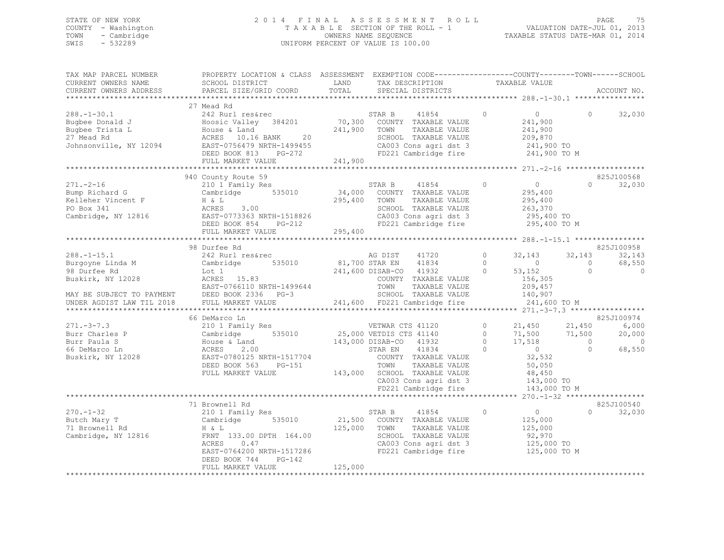## STATE OF NEW YORK 2 0 1 4 F I N A L A S S E S S M E N T R O L L PAGE 75 COUNTY - Washington T A X A B L E SECTION OF THE ROLL - 1 VALUATION DATE-JUL 01, 2013 TOWN - Cambridge OWNERS NAME SEQUENCE TAXABLE STATUS DATE-MAR 01, 2014 SWIS - 532289 UNIFORM PERCENT OF VALUE IS 100.00

| TAX DESCRIPTION TAXABLE VALUE SPECIAL DISTRICTS<br>CURRENT OWNERS ADDRESS<br>ACCOUNT NO.<br>$\Omega$<br>32,030<br>940 County Route 59<br>825J100568<br>$0 \t32,030$<br>$12$ 295,400<br>FULL MARKET VALUE<br>825J100958<br>98 Durfee Rd<br>$288. - 1 - 15.1$<br>$\overline{0}$<br>32, 143 32, 143<br>AG DIST 41720<br>32,143<br>$\overline{0}$<br>68,550<br>$\bigcirc$<br>$\circ$<br>66 DeMarco Ln<br>825J100974<br>% DeMarco Ln<br>21,450 21,450 21,450<br>Cambridge 535010 25,000 VETDIS CTS 41140 0 71,500 71,500<br>House & Land 143,000 DISAB-CO 41932 0 17,518 0<br>ACRES 2.00 STAR EN 41834 0 0 0<br>EAST-0780125 NRTH-1517704 COUNTY TAXABLE VALUE 3<br>6,000<br>$271 - 3 - 7.3$<br>20,000<br>Burr Charles P<br>$\sim$ 0<br>Burr Paula S<br>68,550<br>66 DeMarco Ln<br>Buskirk, NY 12028<br>DEED BOOK 563 PG-151<br>DEED BOOK 563 PG-151<br>FULL MARKET VALUE<br>TOWN TAXABLE VALUE<br>TOWN TAXABLE VALUE<br>TAXABLE VALUE<br>TAXABLE VALUE<br>TAXABLE VALUE<br>TAXABLE VALUE<br>TAXABLE VALUE<br>TAXABLE VALUE<br>TAXABLE VALUE<br>TAXABLE VALUE<br><br>DEED BOOK 563 PG-151<br>825J100540<br>71 Brownell Rd<br>$\overline{0}$<br>210 1 Family Res<br>STAR B 41854 0<br>$\Omega$<br>32,030<br>$270. - 1 - 32$<br>CONTRAINING CONTRAINING CONTRAINING CONSULTED AT A CONSUMING THE CONTRAINING CONTRAINING TO THE CONTRAINING TO THE CONTRAINING TO THE CONTRAINING TO THE CONTRAINING TO THE CONTRAINING TO THE CONTRAINING TO THE CONTRAINING<br>125,000<br>TAXABLE VALUE<br>125,000<br>SCHOOL TAXABLE VALUE<br>SCHOOL TAXABLE VALUE 92,970<br>CAOOS and dst 3 125,000 TO<br>CA003 Cons agri dst 3 125,000 TO<br>FD221 Cambridge fire 125,000 TO M<br>EAST-0764200 NRTH-1517286<br>DEED BOOK 744<br>PG-142<br>125,000<br>FULL MARKET VALUE | TAX MAP PARCEL NUMBER<br>CURRENT OWNERS NAME | PROPERTY LOCATION & CLASS ASSESSMENT EXEMPTION CODE---------------COUNTY-------TOWN------SCHOOL<br>SCHOOL DISTRICT | LAND  |  |  |  |
|-----------------------------------------------------------------------------------------------------------------------------------------------------------------------------------------------------------------------------------------------------------------------------------------------------------------------------------------------------------------------------------------------------------------------------------------------------------------------------------------------------------------------------------------------------------------------------------------------------------------------------------------------------------------------------------------------------------------------------------------------------------------------------------------------------------------------------------------------------------------------------------------------------------------------------------------------------------------------------------------------------------------------------------------------------------------------------------------------------------------------------------------------------------------------------------------------------------------------------------------------------------------------------------------------------------------------------------------------------------------------------------------------------------------------------------------------------------------------------------------------------------------------------------------------------------------------------------------------------------------------------------------------------------------------------------------------------------------------------------------------------|----------------------------------------------|--------------------------------------------------------------------------------------------------------------------|-------|--|--|--|
|                                                                                                                                                                                                                                                                                                                                                                                                                                                                                                                                                                                                                                                                                                                                                                                                                                                                                                                                                                                                                                                                                                                                                                                                                                                                                                                                                                                                                                                                                                                                                                                                                                                                                                                                                     |                                              | PARCEL SIZE/GRID COORD                                                                                             | TOTAL |  |  |  |
|                                                                                                                                                                                                                                                                                                                                                                                                                                                                                                                                                                                                                                                                                                                                                                                                                                                                                                                                                                                                                                                                                                                                                                                                                                                                                                                                                                                                                                                                                                                                                                                                                                                                                                                                                     |                                              |                                                                                                                    |       |  |  |  |
|                                                                                                                                                                                                                                                                                                                                                                                                                                                                                                                                                                                                                                                                                                                                                                                                                                                                                                                                                                                                                                                                                                                                                                                                                                                                                                                                                                                                                                                                                                                                                                                                                                                                                                                                                     |                                              |                                                                                                                    |       |  |  |  |
|                                                                                                                                                                                                                                                                                                                                                                                                                                                                                                                                                                                                                                                                                                                                                                                                                                                                                                                                                                                                                                                                                                                                                                                                                                                                                                                                                                                                                                                                                                                                                                                                                                                                                                                                                     |                                              |                                                                                                                    |       |  |  |  |
|                                                                                                                                                                                                                                                                                                                                                                                                                                                                                                                                                                                                                                                                                                                                                                                                                                                                                                                                                                                                                                                                                                                                                                                                                                                                                                                                                                                                                                                                                                                                                                                                                                                                                                                                                     |                                              |                                                                                                                    |       |  |  |  |
|                                                                                                                                                                                                                                                                                                                                                                                                                                                                                                                                                                                                                                                                                                                                                                                                                                                                                                                                                                                                                                                                                                                                                                                                                                                                                                                                                                                                                                                                                                                                                                                                                                                                                                                                                     |                                              |                                                                                                                    |       |  |  |  |
|                                                                                                                                                                                                                                                                                                                                                                                                                                                                                                                                                                                                                                                                                                                                                                                                                                                                                                                                                                                                                                                                                                                                                                                                                                                                                                                                                                                                                                                                                                                                                                                                                                                                                                                                                     |                                              |                                                                                                                    |       |  |  |  |
|                                                                                                                                                                                                                                                                                                                                                                                                                                                                                                                                                                                                                                                                                                                                                                                                                                                                                                                                                                                                                                                                                                                                                                                                                                                                                                                                                                                                                                                                                                                                                                                                                                                                                                                                                     |                                              |                                                                                                                    |       |  |  |  |
|                                                                                                                                                                                                                                                                                                                                                                                                                                                                                                                                                                                                                                                                                                                                                                                                                                                                                                                                                                                                                                                                                                                                                                                                                                                                                                                                                                                                                                                                                                                                                                                                                                                                                                                                                     |                                              |                                                                                                                    |       |  |  |  |
|                                                                                                                                                                                                                                                                                                                                                                                                                                                                                                                                                                                                                                                                                                                                                                                                                                                                                                                                                                                                                                                                                                                                                                                                                                                                                                                                                                                                                                                                                                                                                                                                                                                                                                                                                     |                                              |                                                                                                                    |       |  |  |  |
|                                                                                                                                                                                                                                                                                                                                                                                                                                                                                                                                                                                                                                                                                                                                                                                                                                                                                                                                                                                                                                                                                                                                                                                                                                                                                                                                                                                                                                                                                                                                                                                                                                                                                                                                                     |                                              |                                                                                                                    |       |  |  |  |
|                                                                                                                                                                                                                                                                                                                                                                                                                                                                                                                                                                                                                                                                                                                                                                                                                                                                                                                                                                                                                                                                                                                                                                                                                                                                                                                                                                                                                                                                                                                                                                                                                                                                                                                                                     |                                              |                                                                                                                    |       |  |  |  |
|                                                                                                                                                                                                                                                                                                                                                                                                                                                                                                                                                                                                                                                                                                                                                                                                                                                                                                                                                                                                                                                                                                                                                                                                                                                                                                                                                                                                                                                                                                                                                                                                                                                                                                                                                     |                                              |                                                                                                                    |       |  |  |  |
|                                                                                                                                                                                                                                                                                                                                                                                                                                                                                                                                                                                                                                                                                                                                                                                                                                                                                                                                                                                                                                                                                                                                                                                                                                                                                                                                                                                                                                                                                                                                                                                                                                                                                                                                                     |                                              |                                                                                                                    |       |  |  |  |
|                                                                                                                                                                                                                                                                                                                                                                                                                                                                                                                                                                                                                                                                                                                                                                                                                                                                                                                                                                                                                                                                                                                                                                                                                                                                                                                                                                                                                                                                                                                                                                                                                                                                                                                                                     |                                              |                                                                                                                    |       |  |  |  |
|                                                                                                                                                                                                                                                                                                                                                                                                                                                                                                                                                                                                                                                                                                                                                                                                                                                                                                                                                                                                                                                                                                                                                                                                                                                                                                                                                                                                                                                                                                                                                                                                                                                                                                                                                     |                                              |                                                                                                                    |       |  |  |  |
|                                                                                                                                                                                                                                                                                                                                                                                                                                                                                                                                                                                                                                                                                                                                                                                                                                                                                                                                                                                                                                                                                                                                                                                                                                                                                                                                                                                                                                                                                                                                                                                                                                                                                                                                                     |                                              |                                                                                                                    |       |  |  |  |
|                                                                                                                                                                                                                                                                                                                                                                                                                                                                                                                                                                                                                                                                                                                                                                                                                                                                                                                                                                                                                                                                                                                                                                                                                                                                                                                                                                                                                                                                                                                                                                                                                                                                                                                                                     |                                              |                                                                                                                    |       |  |  |  |
|                                                                                                                                                                                                                                                                                                                                                                                                                                                                                                                                                                                                                                                                                                                                                                                                                                                                                                                                                                                                                                                                                                                                                                                                                                                                                                                                                                                                                                                                                                                                                                                                                                                                                                                                                     |                                              |                                                                                                                    |       |  |  |  |
|                                                                                                                                                                                                                                                                                                                                                                                                                                                                                                                                                                                                                                                                                                                                                                                                                                                                                                                                                                                                                                                                                                                                                                                                                                                                                                                                                                                                                                                                                                                                                                                                                                                                                                                                                     |                                              |                                                                                                                    |       |  |  |  |
|                                                                                                                                                                                                                                                                                                                                                                                                                                                                                                                                                                                                                                                                                                                                                                                                                                                                                                                                                                                                                                                                                                                                                                                                                                                                                                                                                                                                                                                                                                                                                                                                                                                                                                                                                     |                                              |                                                                                                                    |       |  |  |  |
|                                                                                                                                                                                                                                                                                                                                                                                                                                                                                                                                                                                                                                                                                                                                                                                                                                                                                                                                                                                                                                                                                                                                                                                                                                                                                                                                                                                                                                                                                                                                                                                                                                                                                                                                                     |                                              |                                                                                                                    |       |  |  |  |
|                                                                                                                                                                                                                                                                                                                                                                                                                                                                                                                                                                                                                                                                                                                                                                                                                                                                                                                                                                                                                                                                                                                                                                                                                                                                                                                                                                                                                                                                                                                                                                                                                                                                                                                                                     |                                              |                                                                                                                    |       |  |  |  |
|                                                                                                                                                                                                                                                                                                                                                                                                                                                                                                                                                                                                                                                                                                                                                                                                                                                                                                                                                                                                                                                                                                                                                                                                                                                                                                                                                                                                                                                                                                                                                                                                                                                                                                                                                     |                                              |                                                                                                                    |       |  |  |  |
|                                                                                                                                                                                                                                                                                                                                                                                                                                                                                                                                                                                                                                                                                                                                                                                                                                                                                                                                                                                                                                                                                                                                                                                                                                                                                                                                                                                                                                                                                                                                                                                                                                                                                                                                                     |                                              |                                                                                                                    |       |  |  |  |
|                                                                                                                                                                                                                                                                                                                                                                                                                                                                                                                                                                                                                                                                                                                                                                                                                                                                                                                                                                                                                                                                                                                                                                                                                                                                                                                                                                                                                                                                                                                                                                                                                                                                                                                                                     |                                              |                                                                                                                    |       |  |  |  |
|                                                                                                                                                                                                                                                                                                                                                                                                                                                                                                                                                                                                                                                                                                                                                                                                                                                                                                                                                                                                                                                                                                                                                                                                                                                                                                                                                                                                                                                                                                                                                                                                                                                                                                                                                     |                                              |                                                                                                                    |       |  |  |  |
|                                                                                                                                                                                                                                                                                                                                                                                                                                                                                                                                                                                                                                                                                                                                                                                                                                                                                                                                                                                                                                                                                                                                                                                                                                                                                                                                                                                                                                                                                                                                                                                                                                                                                                                                                     |                                              |                                                                                                                    |       |  |  |  |
|                                                                                                                                                                                                                                                                                                                                                                                                                                                                                                                                                                                                                                                                                                                                                                                                                                                                                                                                                                                                                                                                                                                                                                                                                                                                                                                                                                                                                                                                                                                                                                                                                                                                                                                                                     |                                              |                                                                                                                    |       |  |  |  |
|                                                                                                                                                                                                                                                                                                                                                                                                                                                                                                                                                                                                                                                                                                                                                                                                                                                                                                                                                                                                                                                                                                                                                                                                                                                                                                                                                                                                                                                                                                                                                                                                                                                                                                                                                     |                                              |                                                                                                                    |       |  |  |  |
|                                                                                                                                                                                                                                                                                                                                                                                                                                                                                                                                                                                                                                                                                                                                                                                                                                                                                                                                                                                                                                                                                                                                                                                                                                                                                                                                                                                                                                                                                                                                                                                                                                                                                                                                                     |                                              |                                                                                                                    |       |  |  |  |
|                                                                                                                                                                                                                                                                                                                                                                                                                                                                                                                                                                                                                                                                                                                                                                                                                                                                                                                                                                                                                                                                                                                                                                                                                                                                                                                                                                                                                                                                                                                                                                                                                                                                                                                                                     |                                              |                                                                                                                    |       |  |  |  |
|                                                                                                                                                                                                                                                                                                                                                                                                                                                                                                                                                                                                                                                                                                                                                                                                                                                                                                                                                                                                                                                                                                                                                                                                                                                                                                                                                                                                                                                                                                                                                                                                                                                                                                                                                     |                                              |                                                                                                                    |       |  |  |  |
|                                                                                                                                                                                                                                                                                                                                                                                                                                                                                                                                                                                                                                                                                                                                                                                                                                                                                                                                                                                                                                                                                                                                                                                                                                                                                                                                                                                                                                                                                                                                                                                                                                                                                                                                                     |                                              |                                                                                                                    |       |  |  |  |
|                                                                                                                                                                                                                                                                                                                                                                                                                                                                                                                                                                                                                                                                                                                                                                                                                                                                                                                                                                                                                                                                                                                                                                                                                                                                                                                                                                                                                                                                                                                                                                                                                                                                                                                                                     |                                              |                                                                                                                    |       |  |  |  |
|                                                                                                                                                                                                                                                                                                                                                                                                                                                                                                                                                                                                                                                                                                                                                                                                                                                                                                                                                                                                                                                                                                                                                                                                                                                                                                                                                                                                                                                                                                                                                                                                                                                                                                                                                     |                                              |                                                                                                                    |       |  |  |  |
|                                                                                                                                                                                                                                                                                                                                                                                                                                                                                                                                                                                                                                                                                                                                                                                                                                                                                                                                                                                                                                                                                                                                                                                                                                                                                                                                                                                                                                                                                                                                                                                                                                                                                                                                                     |                                              |                                                                                                                    |       |  |  |  |
|                                                                                                                                                                                                                                                                                                                                                                                                                                                                                                                                                                                                                                                                                                                                                                                                                                                                                                                                                                                                                                                                                                                                                                                                                                                                                                                                                                                                                                                                                                                                                                                                                                                                                                                                                     |                                              |                                                                                                                    |       |  |  |  |
|                                                                                                                                                                                                                                                                                                                                                                                                                                                                                                                                                                                                                                                                                                                                                                                                                                                                                                                                                                                                                                                                                                                                                                                                                                                                                                                                                                                                                                                                                                                                                                                                                                                                                                                                                     |                                              |                                                                                                                    |       |  |  |  |
|                                                                                                                                                                                                                                                                                                                                                                                                                                                                                                                                                                                                                                                                                                                                                                                                                                                                                                                                                                                                                                                                                                                                                                                                                                                                                                                                                                                                                                                                                                                                                                                                                                                                                                                                                     |                                              |                                                                                                                    |       |  |  |  |
|                                                                                                                                                                                                                                                                                                                                                                                                                                                                                                                                                                                                                                                                                                                                                                                                                                                                                                                                                                                                                                                                                                                                                                                                                                                                                                                                                                                                                                                                                                                                                                                                                                                                                                                                                     |                                              |                                                                                                                    |       |  |  |  |
|                                                                                                                                                                                                                                                                                                                                                                                                                                                                                                                                                                                                                                                                                                                                                                                                                                                                                                                                                                                                                                                                                                                                                                                                                                                                                                                                                                                                                                                                                                                                                                                                                                                                                                                                                     |                                              |                                                                                                                    |       |  |  |  |
|                                                                                                                                                                                                                                                                                                                                                                                                                                                                                                                                                                                                                                                                                                                                                                                                                                                                                                                                                                                                                                                                                                                                                                                                                                                                                                                                                                                                                                                                                                                                                                                                                                                                                                                                                     |                                              |                                                                                                                    |       |  |  |  |
|                                                                                                                                                                                                                                                                                                                                                                                                                                                                                                                                                                                                                                                                                                                                                                                                                                                                                                                                                                                                                                                                                                                                                                                                                                                                                                                                                                                                                                                                                                                                                                                                                                                                                                                                                     |                                              |                                                                                                                    |       |  |  |  |
|                                                                                                                                                                                                                                                                                                                                                                                                                                                                                                                                                                                                                                                                                                                                                                                                                                                                                                                                                                                                                                                                                                                                                                                                                                                                                                                                                                                                                                                                                                                                                                                                                                                                                                                                                     |                                              |                                                                                                                    |       |  |  |  |
|                                                                                                                                                                                                                                                                                                                                                                                                                                                                                                                                                                                                                                                                                                                                                                                                                                                                                                                                                                                                                                                                                                                                                                                                                                                                                                                                                                                                                                                                                                                                                                                                                                                                                                                                                     |                                              |                                                                                                                    |       |  |  |  |
|                                                                                                                                                                                                                                                                                                                                                                                                                                                                                                                                                                                                                                                                                                                                                                                                                                                                                                                                                                                                                                                                                                                                                                                                                                                                                                                                                                                                                                                                                                                                                                                                                                                                                                                                                     |                                              |                                                                                                                    |       |  |  |  |
|                                                                                                                                                                                                                                                                                                                                                                                                                                                                                                                                                                                                                                                                                                                                                                                                                                                                                                                                                                                                                                                                                                                                                                                                                                                                                                                                                                                                                                                                                                                                                                                                                                                                                                                                                     |                                              |                                                                                                                    |       |  |  |  |
|                                                                                                                                                                                                                                                                                                                                                                                                                                                                                                                                                                                                                                                                                                                                                                                                                                                                                                                                                                                                                                                                                                                                                                                                                                                                                                                                                                                                                                                                                                                                                                                                                                                                                                                                                     |                                              |                                                                                                                    |       |  |  |  |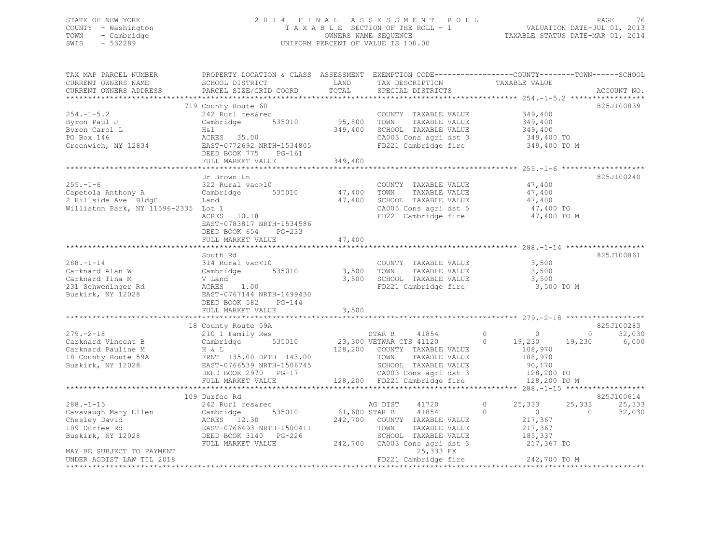## STATE OF NEW YORK 2 0 1 4 F I N A L A S S E S S M E N T R O L L PAGE 76 COUNTY - Washington T A X A B L E SECTION OF THE ROLL - 1 VALUATION DATE-JUL 01, 2013 TOWN - Cambridge OWNERS NAME SEQUENCE TAXABLE STATUS DATE-MAR 01, 2014 UNIFORM PERCENT OF VALUE IS 100.00

| TAX MAP PARCEL NUMBER<br>CURRENT OWNERS NAME                                | PROPERTY LOCATION & CLASS ASSESSMENT EXEMPTION CODE----------------COUNTY-------TOWN------SCHOOL<br>SCHOOL DISTRICT | LAND          | TAX DESCRIPTION                                                     | TAXABLE VALUE                    |                          |
|-----------------------------------------------------------------------------|---------------------------------------------------------------------------------------------------------------------|---------------|---------------------------------------------------------------------|----------------------------------|--------------------------|
| CURRENT OWNERS ADDRESS                                                      | PARCEL SIZE/GRID COORD                                                                                              | TOTAL         | SPECIAL DISTRICTS                                                   |                                  | ACCOUNT NO.              |
|                                                                             |                                                                                                                     |               |                                                                     |                                  |                          |
|                                                                             | 719 County Route 60                                                                                                 |               |                                                                     |                                  | 825J100839               |
| $254. -1 - 5.2$                                                             | 242 Rurl res&rec                                                                                                    |               | COUNTY TAXABLE VALUE                                                | 349,400                          |                          |
| Byron Paul J                                                                | Cambridge 535010                                                                                                    |               | TAXABLE VALUE                                                       | 349,400                          |                          |
| Byron Carol L                                                               | H&l                                                                                                                 |               | 349,400 SCHOOL TAXABLE VALUE                                        | 349,400                          |                          |
| PO Box 146                                                                  | ACRES 35.00                                                                                                         |               | CA003 Cons agri dst 3                                               | 349,400 TO                       |                          |
| Greenwich, NY 12834                                                         | EAST-0772692 NRTH-1534805<br>DEED BOOK 775 PG-161                                                                   |               | FD221 Cambridge fire                                                | 349,400 TO M                     |                          |
|                                                                             | FULL MARKET VALUE                                                                                                   | 349,400       |                                                                     |                                  |                          |
|                                                                             |                                                                                                                     |               |                                                                     |                                  |                          |
|                                                                             | Dr Brown Ln                                                                                                         |               |                                                                     |                                  | 825J100240               |
| $255. - 1 - 6$                                                              | 322 Rural vac>10                                                                                                    |               | COUNTY TAXABLE VALUE                                                | 47,400                           |                          |
| Capetola Anthony A<br>2 Hillside Ave BldgC                                  | Cambridge<br>535010                                                                                                 | 47,400        | TOWN<br>TAXABLE VALUE                                               | 47,400                           |                          |
|                                                                             | Land                                                                                                                | 47,400        | SCHOOL TAXABLE VALUE                                                | 47,400                           |                          |
| Williston Park, NY 11596-2335 Lot 1                                         |                                                                                                                     |               | CA005 Cons agri dst 5<br>FD221 Cambridge fire                       | 47,400 TO                        |                          |
|                                                                             | ACRES 10.18<br>EAST-0783817 NRTH-1534586<br>DEED BOOK 654<br>$PG-233$                                               |               |                                                                     | 47,400 TO M                      |                          |
|                                                                             | FULL MARKET VALUE                                                                                                   | 47,400        |                                                                     |                                  |                          |
|                                                                             |                                                                                                                     |               |                                                                     |                                  |                          |
|                                                                             | South Rd                                                                                                            |               |                                                                     |                                  | 825J100861               |
| $288. - 1 - 14$                                                             | 314 Rural vac<10                                                                                                    |               | COUNTY TAXABLE VALUE                                                | 3,500                            |                          |
| Carknard Alan W                                                             | Cambridge 535010                                                                                                    |               | 3,500 TOWN<br>TAXABLE VALUE                                         | 3,500                            |                          |
| Carknard Tina M                                                             | V Land                                                                                                              |               | 3,500 SCHOOL TAXABLE VALUE                                          | 3,500                            |                          |
| 231 Schweninger Rd<br>Buskirk, NY 12028                                     | ACRES 1.00<br>EAST-0767144 NRTH-1499430<br>DEED BOOK 582 PG-144                                                     |               | FD221 Cambridge fire                                                | 3,500 TO M                       |                          |
|                                                                             | FULL MARKET VALUE                                                                                                   | 3,500         |                                                                     |                                  |                          |
|                                                                             | 18 County Route 59A                                                                                                 |               |                                                                     |                                  | 825J100283               |
| $279. - 2 - 18$                                                             | 210 1 Family Res                                                                                                    |               | STAR B<br>41854                                                     | $\overline{0}$<br>$\overline{0}$ | 32,030<br>$\overline{0}$ |
| Carknard Vincent B                                                          | Cambridge 535010                                                                                                    |               | 23,300 VETWAR CTS 41120                                             | $\bigcirc$<br>19,230             | 6,000<br>19,230          |
| Carknard Pauline M                                                          |                                                                                                                     |               | 128,200 COUNTY TAXABLE VALUE                                        | 108,970                          |                          |
| 18 County Route 59A                                                         | H & L<br>FRNT 135.00 DPTH 143.00<br>EAST-0766539 NRTH-1506745                                                       |               | TOWN<br>TAXABLE VALUE                                               | 108,970                          |                          |
| Buskirk, NY 12028                                                           | EAST-0766539 NRTH-1506745                                                                                           |               |                                                                     | 90,170                           |                          |
|                                                                             | DEED BOOK 2970 PG-17                                                                                                |               | TOWN TAXABLE VALUE<br>SCHOOL TAXABLE VALUE<br>CA003 Cons agri dst 3 | 128,200 TO                       |                          |
|                                                                             | FULL MARKET VALUE                                                                                                   |               | CA003 Cons agri dst 3<br>128,200 FD221 Cambridge fire               | 128,200 TO M                     |                          |
|                                                                             |                                                                                                                     |               |                                                                     |                                  |                          |
|                                                                             | 109 Durfee Rd                                                                                                       |               |                                                                     |                                  | 825J100614               |
| $288. - 1 - 15$                                                             | 242 Rurl res&rec                                                                                                    |               | AG DIST<br>41720                                                    | $\circ$<br>25,333                | 25,333<br>25,333         |
|                                                                             | 535010<br>Cambridge                                                                                                 | 61,600 STAR B | 41854                                                               | $\Omega$<br>$\sim$ 0             | $\Omega$<br>32,030       |
| Cavavaugh Mary Ellen<br>Chesley David<br>109 Durfee Rd<br>Buskirk, NY 12028 | ACRES 12.30                                                                                                         |               | 242,700 COUNTY TAXABLE VALUE                                        | 217,367                          |                          |
|                                                                             | EAST-0766493 NRTH-1500411                                                                                           |               | TOWN<br>TAXABLE VALUE                                               | 217,367                          |                          |
| Buskirk, NY 12028                                                           | DEED BOOK 3140 PG-226                                                                                               |               | SCHOOL TAXABLE VALUE                                                | 185,337                          |                          |
|                                                                             | FULL MARKET VALUE                                                                                                   |               | 242,700 CA003 Cons agri dst 3                                       | $217,367$ TO                     |                          |
| MAY BE SUBJECT TO PAYMENT                                                   |                                                                                                                     |               | 25,333 EX                                                           |                                  |                          |
| UNDER AGDIST LAW TIL 2018                                                   |                                                                                                                     |               | FD221 Cambridge fire                                                | 242,700 TO M                     |                          |
|                                                                             |                                                                                                                     |               |                                                                     |                                  |                          |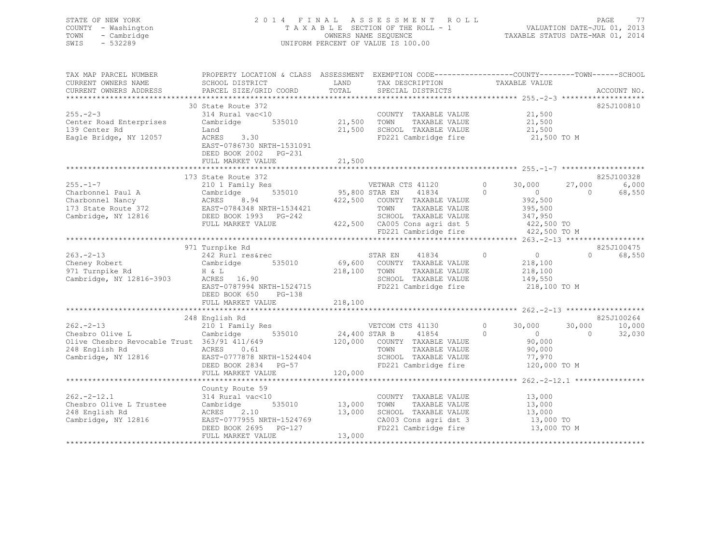## STATE OF NEW YORK 2 0 1 4 F I N A L A S S E S S M E N T R O L L PAGE 77 COUNTY - Washington T A X A B L E SECTION OF THE ROLL - 1 VALUATION DATE-JUL 01, 2013 TOWN - Cambridge OWNERS NAME SEQUENCE TAXABLE STATUS DATE-MAR 01, 2014 SWIS - 532289 UNIFORM PERCENT OF VALUE IS 100.00

| SCHOOL DISTRICT<br>PARCEL SIZE/GRID COORD                                                                                                              | LAND<br>TOTAL                                                                                                                  | TAX DESCRIPTION<br>SPECIAL DISTRICTS                                                               | TAXABLE VALUE                                                                                                                                                                                                                 |                                                                                                                                                                        | ACCOUNT NO.                                                                                                                                                                                                                                                        |
|--------------------------------------------------------------------------------------------------------------------------------------------------------|--------------------------------------------------------------------------------------------------------------------------------|----------------------------------------------------------------------------------------------------|-------------------------------------------------------------------------------------------------------------------------------------------------------------------------------------------------------------------------------|------------------------------------------------------------------------------------------------------------------------------------------------------------------------|--------------------------------------------------------------------------------------------------------------------------------------------------------------------------------------------------------------------------------------------------------------------|
| 314 Rural vac<10<br>535010<br>Cambridge<br>Land<br>ACRES<br>3.30<br>EAST-0786730 NRTH-1531091<br>DEED BOOK 2002<br>PG-231<br>FULL MARKET VALUE         |                                                                                                                                | COUNTY TAXABLE VALUE<br>TOWN<br>TAXABLE VALUE<br>SCHOOL TAXABLE VALUE                              | 21,500<br>21,500<br>21,500                                                                                                                                                                                                    |                                                                                                                                                                        | 825J100810                                                                                                                                                                                                                                                         |
|                                                                                                                                                        |                                                                                                                                |                                                                                                    |                                                                                                                                                                                                                               |                                                                                                                                                                        | 825J100328                                                                                                                                                                                                                                                         |
| 210 1 Family Res<br>535010<br>Cambridge<br>ACRES<br>8.94<br>EAST-0784348 NRTH-1534421<br>DEED BOOK 1993 PG-242<br>FULL MARKET VALUE                    |                                                                                                                                | VETWAR CTS 41120<br>41834<br>TOWN<br>TAXABLE VALUE<br>SCHOOL TAXABLE VALUE                         | $\circ$<br>30,000<br>$\Omega$<br>$\circ$<br>392,500<br>395,500<br>347,950                                                                                                                                                     | 27,000<br>$\Omega$                                                                                                                                                     | 6,000<br>68,550                                                                                                                                                                                                                                                    |
|                                                                                                                                                        |                                                                                                                                |                                                                                                    |                                                                                                                                                                                                                               |                                                                                                                                                                        |                                                                                                                                                                                                                                                                    |
| 242 Rurl res&rec<br>535010<br>Cambridge<br>H & L<br>ACRES 16.90<br>EAST-0787994 NRTH-1524715<br>DEED BOOK 650<br>PG-138<br>FULL MARKET VALUE           |                                                                                                                                | 41834<br>STAR EN<br>COUNTY TAXABLE VALUE<br>TOWN<br>TAXABLE VALUE                                  | $\circ$<br>$\overline{0}$<br>218,100<br>218,100<br>149,550                                                                                                                                                                    | $\Omega$                                                                                                                                                               | 825J100475<br>68,550                                                                                                                                                                                                                                               |
|                                                                                                                                                        |                                                                                                                                |                                                                                                    |                                                                                                                                                                                                                               |                                                                                                                                                                        |                                                                                                                                                                                                                                                                    |
| 210 1 Family Res<br>Cambridge<br>535010<br>ACRES 0.61<br>EAST-0777878 NRTH-1524404<br>DEED BOOK 2834 PG-57<br>FULL MARKET VALUE                        |                                                                                                                                | VETCOM CTS 41130<br>41854<br>TOWN<br>TAXABLE VALUE<br>SCHOOL TAXABLE VALUE<br>FD221 Cambridge fire | 0<br>30,000<br>$\Omega$<br>$\circ$<br>90,000<br>90,000<br>77,970                                                                                                                                                              | 30,000<br>$\Omega$                                                                                                                                                     | 825J100264<br>10,000<br>32,030                                                                                                                                                                                                                                     |
|                                                                                                                                                        |                                                                                                                                |                                                                                                    |                                                                                                                                                                                                                               |                                                                                                                                                                        |                                                                                                                                                                                                                                                                    |
| County Route 59<br>314 Rural vac<10<br>535010<br>Cambridge<br>ACRES<br>2.10<br>EAST-0777955 NRTH-1524769<br>DEED BOOK 2695 PG-127<br>FULL MARKET VALUE | 13,000                                                                                                                         | COUNTY TAXABLE VALUE<br>TAXABLE VALUE<br>TOWN<br>SCHOOL TAXABLE VALUE                              | 13,000<br>13,000<br>13,000                                                                                                                                                                                                    |                                                                                                                                                                        |                                                                                                                                                                                                                                                                    |
|                                                                                                                                                        | 30 State Route 372<br>173 State Route 372<br>971 Turnpike Rd<br>248 English Rd<br>Olive Chesbro Revocable Trust 363/91 411/649 |                                                                                                    | 21,500<br>21,500<br>21,500<br>95,800 STAR EN<br>422,500 COUNTY TAXABLE VALUE<br>422,500 CA005 Cons agri dst 5<br>69,600<br>218,100<br>218,100<br>24,400 STAR B<br>120,000 COUNTY TAXABLE VALUE<br>120,000<br>13,000<br>13,000 | FD221 Cambridge fire<br>FD221 Cambridge fire<br>SCHOOL TAXABLE VALUE<br>FD221 Cambridge fire<br>CA003 Cons agri dst 3<br>CAUUS CONS agri dst 3<br>FD221 Cambridge fire | PROPERTY LOCATION & CLASS ASSESSMENT EXEMPTION CODE----------------COUNTY-------TOWN------SCHOOL<br>21,500 TO M<br>422,500 TO<br>422,500 TO M<br>218,100 TO M<br>120,000 TO M<br>*********************** 262.-2-12.1 *****************<br>13,000 TO<br>13,000 TO M |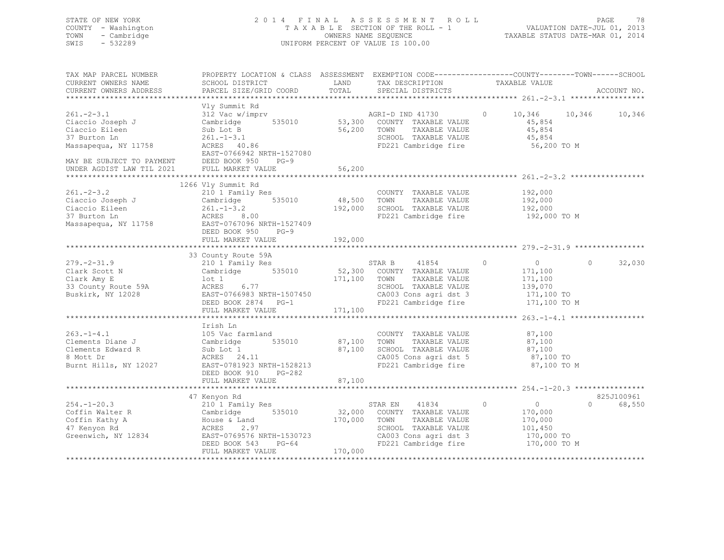## STATE OF NEW YORK 2 0 1 4 F I N A L A S S E S S M E N T R O L L PAGE 78 COUNTY - Washington T A X A B L E SECTION OF THE ROLL - 1 VALUATION DATE-JUL 01, 2013 TOWN - Cambridge OWNERS NAME SEQUENCE TAXABLE STATUS DATE-MAR 01, 2014 SWIS - 532289 UNIFORM PERCENT OF VALUE IS 100.00

| TAX MAP PARCEL NUMBER<br>CURRENT OWNERS NAME<br>CURRENT OWNERS ADDRESS                                                                   | PROPERTY LOCATION & CLASS ASSESSMENT EXEMPTION CODE----------------COUNTY-------TOWN-----SCHOOL<br>SCHOOL DISTRICT<br>PARCEL SIZE/GRID COORD                                              | LAND<br>TOTAL                     | TAX DESCRIPTION<br>SPECIAL DISTRICTS                                                                                                            | TAXABLE VALUE                                                                            | ACCOUNT NO.                      |
|------------------------------------------------------------------------------------------------------------------------------------------|-------------------------------------------------------------------------------------------------------------------------------------------------------------------------------------------|-----------------------------------|-------------------------------------------------------------------------------------------------------------------------------------------------|------------------------------------------------------------------------------------------|----------------------------------|
|                                                                                                                                          |                                                                                                                                                                                           |                                   |                                                                                                                                                 |                                                                                          |                                  |
| $261 - 2 - 3.1$<br>Ciaccio Joseph J<br>Ciaccio Eileen<br>37 Burton Ln<br>Massapequa, NY 11758<br>MAY BE SUBJECT TO PAYMENT DEED BOOK 950 | Vly Summit Rd<br>312 Vac w/imprv<br>535010<br>Cambridge<br>Sub Lot B<br>$261, -1-3.1$<br>ACRES 40.86<br>EAST-0766942 NRTH-1527080<br>$PG-9$                                               | 56,200                            | AGRI-D IND 41730<br>53,300 COUNTY TAXABLE VALUE<br>TAXABLE VALUE<br>TOWN<br>SCHOOL TAXABLE VALUE<br>FD221 Cambridge fire                        | $\circ$<br>10,346<br>45,854<br>45,854<br>45,854<br>56,200 TO M                           | 10,346<br>10,346                 |
| UNDER AGDIST LAW TIL 2021                                                                                                                | FULL MARKET VALUE                                                                                                                                                                         | 56,200                            |                                                                                                                                                 |                                                                                          |                                  |
|                                                                                                                                          |                                                                                                                                                                                           |                                   |                                                                                                                                                 |                                                                                          |                                  |
| $261 - 2 - 3.2$<br>Ciaccio Joseph J<br>Ciaccio Eileen<br>37 Burton Ln<br>Massapequa, NY 11758                                            | 1266 Vly Summit Rd<br>210 1 Family Res<br>535010<br>$\frac{Common_{\text{1}}}{261. - 1 - 3.2}$<br>ACRES 8.00<br>EAST-0767096 NRTH-1527409<br>DEED BOOK 950<br>$PG-9$<br>FULL MARKET VALUE | 48,500 TOWN<br>192,000<br>192,000 | COUNTY TAXABLE VALUE<br>TAXABLE VALUE<br>SCHOOL TAXABLE VALUE<br>FD221 Cambridge fire                                                           | 192,000<br>192,000<br>192,000<br>192,000 TO M                                            |                                  |
|                                                                                                                                          |                                                                                                                                                                                           |                                   |                                                                                                                                                 |                                                                                          |                                  |
| $279. - 2 - 31.9$<br>Clark Scott N<br>Clark Amy E<br>33 County Route 59A<br>Buskirk, NY 12028                                            | 33 County Route 59A<br>210 1 Family Res<br>Cambridge 535010<br>lot 1<br>6.77<br>ACRES<br>EAST-0766983 NRTH-1507450<br>DEED BOOK 2874 PG-1<br>FULL MARKET VALUE                            | 171,100 TOWN<br>171,100           | STAR B 41854<br>52,300 COUNTY TAXABLE VALUE<br>TAXABLE VALUE<br>SCHOOL TAXABLE VALUE<br>CA003 Cons agri dst 3<br>FD221 Cambridge fire           | $\overline{0}$<br>$\circ$<br>171,100<br>171,100<br>139,070<br>171,100 TO<br>171,100 TO M | 32,030<br>$\Omega$               |
|                                                                                                                                          |                                                                                                                                                                                           |                                   |                                                                                                                                                 |                                                                                          |                                  |
| $263. -1 - 4.1$<br>Clements Diane J<br>Clements Edward R<br>8 Mott Dr<br>Burnt Hills, NY 12027                                           | Irish Ln<br>105 Vac farmland<br>535010<br>Cambridge<br>Sub Lot 1<br>ACRES 24.11<br>EAST-0781923 NRTH-1528213                                                                              | 87,100<br>87,100                  | COUNTY TAXABLE VALUE<br>TOWN<br>TAXABLE VALUE<br>SCHOOL TAXABLE VALUE<br>CA005 Cons agri dst 5<br>CA005 Cons agri dst 5<br>FD221 Cambridge fire | 87,100<br>87,100<br>87,100<br>87,100 TO<br>87,100 TO M                                   |                                  |
|                                                                                                                                          | PG-282<br>DEED BOOK 910<br>FULL MARKET VALUE                                                                                                                                              | 87,100                            |                                                                                                                                                 |                                                                                          |                                  |
|                                                                                                                                          |                                                                                                                                                                                           |                                   |                                                                                                                                                 |                                                                                          |                                  |
| $254. - 1 - 20.3$<br>Coffin Walter R<br>Coffin Kathy A<br>47 Kenyon Rd<br>Greenwich, NY 12834                                            | 47 Kenyon Rd<br>210 1 Family Res<br>Cambridge<br>535010<br>House & Land<br>ACRES<br>2.97<br>EAST-0769576 NRTH-1530723<br>$PG-64$<br>DEED BOOK 543<br>FULL MARKET VALUE                    | 32,000<br>170,000<br>170,000      | 41834<br>STAR EN<br>COUNTY TAXABLE VALUE<br>TAXABLE VALUE<br>TOWN<br>SCHOOL TAXABLE VALUE<br>CA003 Cons agri dst 3<br>FD221 Cambridge fire      | $\circ$<br>$\overline{0}$<br>170,000<br>170,000<br>101,450<br>170,000 TO<br>170,000 TO M | 825J100961<br>$\Omega$<br>68,550 |
|                                                                                                                                          |                                                                                                                                                                                           |                                   |                                                                                                                                                 |                                                                                          |                                  |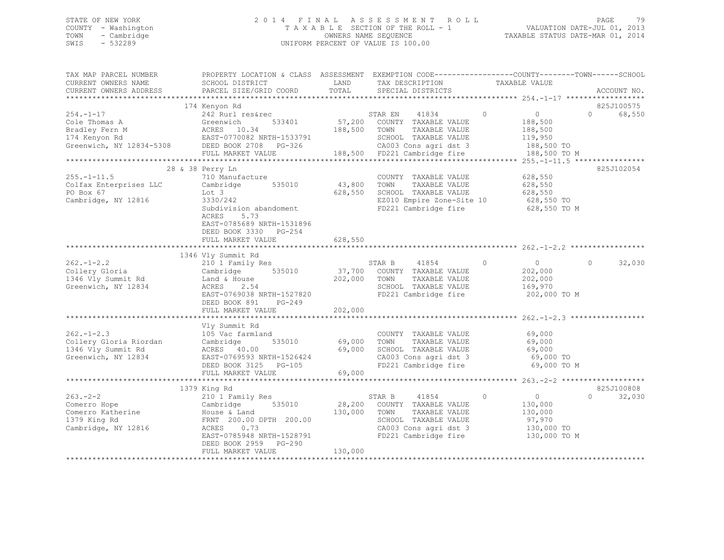## STATE OF NEW YORK 2 0 1 4 F I N A L A S S E S S M E N T R O L L PAGE 79 COUNTY - Washington T A X A B L E SECTION OF THE ROLL - 1 VALUATION DATE-JUL 01, 2013 TOWN - Cambridge OWNERS NAME SEQUENCE TAXABLE STATUS DATE-MAR 01, 2014 SWIS - 532289 UNIFORM PERCENT OF VALUE IS 100.00

| TAX MAP PARCEL NUMBER<br>CURRENT OWNERS NAME                                                   | PROPERTY LOCATION & CLASS ASSESSMENT<br>SCHOOL DISTRICT                                                                                                                           | LAND                         | EXEMPTION CODE-----------------COUNTY-------TOWN------SCHOOL<br>TAX DESCRIPTION                                                                   | TAXABLE VALUE                                                                     |                                      |
|------------------------------------------------------------------------------------------------|-----------------------------------------------------------------------------------------------------------------------------------------------------------------------------------|------------------------------|---------------------------------------------------------------------------------------------------------------------------------------------------|-----------------------------------------------------------------------------------|--------------------------------------|
| CURRENT OWNERS ADDRESS                                                                         | PARCEL SIZE/GRID COORD                                                                                                                                                            | TOTAL                        | SPECIAL DISTRICTS                                                                                                                                 |                                                                                   | ACCOUNT NO.                          |
| ***********************                                                                        |                                                                                                                                                                                   |                              |                                                                                                                                                   |                                                                                   |                                      |
| $254. -1 - 17$<br>Cole Thomas A<br>Bradley Fern M<br>174 Kenyon Rd<br>Greenwich, NY 12834-5308 | 174 Kenyon Rd<br>242 Rurl res&rec<br>Greenwich<br>533401<br>ACRES 10.34<br>EAST-0770082 NRTH-1533791<br>DEED BOOK 2708<br>PG-326<br>FULL MARKET VALUE                             | 188,500<br>188,500           | STAR EN<br>41834<br>57,200 COUNTY TAXABLE VALUE<br>TAXABLE VALUE<br>TOWN<br>SCHOOL TAXABLE VALUE<br>CA003 Cons agri dst 3<br>FD221 Cambridge fire | $\circ$<br>$\circ$<br>188,500<br>188,500<br>119,950<br>188,500 TO<br>188,500 TO M | 825J100575<br>68,550<br>$\Omega$     |
|                                                                                                | *********                                                                                                                                                                         |                              |                                                                                                                                                   |                                                                                   | ****** 255.-1-11.5 ***************** |
| $255. - 1 - 11.5$<br>Colfax Enterprises LLC<br>PO Box 67<br>Cambridge, NY 12816                | 28 & 38 Perry Ln<br>710 Manufacture<br>535010<br>Cambridge<br>Lot 3<br>3330/242<br>Subdivision abandoment<br>ACRES<br>5.73<br>EAST-0785689 NRTH-1531896<br>DEED BOOK 3330 PG-254  | 43,800<br>628,550            | COUNTY TAXABLE VALUE<br>TOWN<br>TAXABLE VALUE<br>SCHOOL TAXABLE VALUE<br>EZ010 Empire Zone-Site 10<br>FD221 Cambridge fire                        | 628,550<br>628,550<br>628,550<br>628,550 TO<br>628,550 TO M                       | 825J102054                           |
|                                                                                                | FULL MARKET VALUE                                                                                                                                                                 | 628,550                      |                                                                                                                                                   |                                                                                   |                                      |
|                                                                                                |                                                                                                                                                                                   |                              |                                                                                                                                                   |                                                                                   |                                      |
| $262 - 1 - 2.2$<br>Collery Gloria<br>1346 Vly Summit Rd<br>Greenwich, NY 12834                 | 1346 Vly Summit Rd<br>210 1 Family Res<br>535010<br>Cambridge<br>Land & House<br>ACRES<br>2.54<br>EAST-0769038 NRTH-1527820<br>DEED BOOK 891<br>$PG-249$<br>FULL MARKET VALUE     | 37,700<br>202,000<br>202,000 | 41854<br>STAR B<br>COUNTY TAXABLE VALUE<br>TOWN<br>TAXABLE VALUE<br>SCHOOL TAXABLE VALUE<br>FD221 Cambridge fire                                  | $\circ$<br>$\circ$<br>202,000<br>202,000<br>169,970<br>202,000 TO M               | $\Omega$<br>32,030                   |
|                                                                                                |                                                                                                                                                                                   |                              |                                                                                                                                                   | ******************** 262.-1-2.3 ****                                              |                                      |
| $262 - 1 - 2.3$<br>Collery Gloria Riordan<br>1346 Vly Summit Rd<br>Greenwich, NY 12834         | Vly Summit Rd<br>105 Vac farmland<br>535010<br>Cambridge<br>ACRES 40.00<br>EAST-0769593 NRTH-1526424<br>DEED BOOK 3125 PG-105                                                     | 69,000<br>69,000             | COUNTY TAXABLE VALUE<br>TOWN<br>TAXABLE VALUE<br>SCHOOL TAXABLE VALUE<br>CA003 Cons agri dst 3<br>FD221 Cambridge fire                            | 69,000<br>69,000<br>69,000<br>69,000 TO<br>69,000 TO M                            |                                      |
|                                                                                                | FULL MARKET VALUE                                                                                                                                                                 | 69,000                       |                                                                                                                                                   |                                                                                   |                                      |
|                                                                                                | 1379 King Rd                                                                                                                                                                      |                              |                                                                                                                                                   |                                                                                   | 825J100808                           |
| $263 - 2 - 2$<br>Comerro Hope<br>Comerro Katherine<br>1379 King Rd<br>Cambridge, NY 12816      | 210 1 Family Res<br>535010<br>Cambridge<br>House & Land<br>FRNT 200.00 DPTH 200.00<br>0.73<br>ACRES<br>EAST-0785948 NRTH-1528791<br>DEED BOOK 2959<br>PG-290<br>FULL MARKET VALUE | 28,200<br>130,000<br>130,000 | 41854<br>STAR B<br>COUNTY TAXABLE VALUE<br>TOWN<br>TAXABLE VALUE<br>SCHOOL TAXABLE VALUE<br>CA003 Cons agri dst 3<br>FD221 Cambridge fire         | $\circ$<br>$\circ$<br>130,000<br>130,000<br>97,970<br>130,000 TO<br>130,000 TO M  | $\Omega$<br>32,030                   |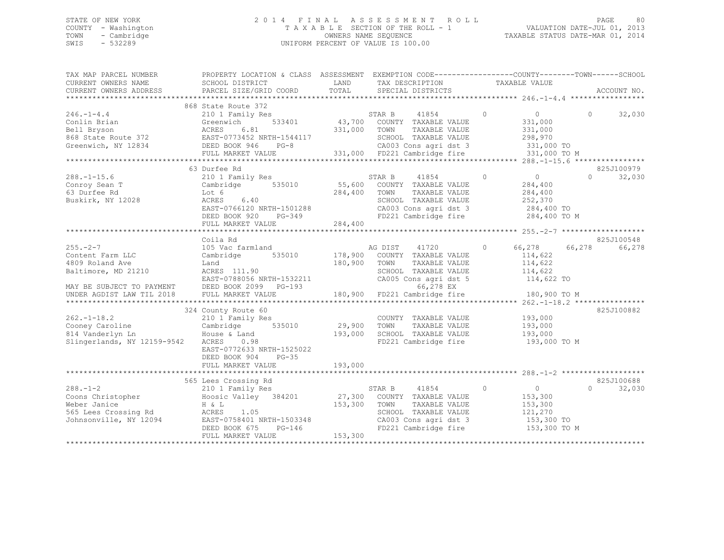## STATE OF NEW YORK 2 0 1 4 F I N A L A S S E S S M E N T R O L L PAGE 80 COUNTY - Washington T A X A B L E SECTION OF THE ROLL - 1 VALUATION DATE-JUL 01, 2013 TOWN - Cambridge OWNERS NAME SEQUENCE TAXABLE STATUS DATE-MAR 01, 2014 SWIS - 532289 UNIFORM PERCENT OF VALUE IS 100.00

| TAX MAP PARCEL NUMBER<br>CURRENT OWNERS NAME            | PROPERTY LOCATION & CLASS ASSESSMENT EXEMPTION CODE---------------COUNTY-------TOWN-----SCHOOL<br>SCHOOL DISTRICT | LAND         |         | TAX DESCRIPTION                   |          | TAXABLE VALUE  |        |                    |
|---------------------------------------------------------|-------------------------------------------------------------------------------------------------------------------|--------------|---------|-----------------------------------|----------|----------------|--------|--------------------|
| CURRENT OWNERS ADDRESS                                  | PARCEL SIZE/GRID COORD                                                                                            | TOTAL        |         | SPECIAL DISTRICTS                 |          |                |        | ACCOUNT NO.        |
|                                                         |                                                                                                                   |              |         |                                   |          |                |        |                    |
| $246. - 1 - 4.4$                                        | 868 State Route 372<br>210 1 Family Res                                                                           |              | STAR B  | 41854                             | $\Omega$ | 0              | $\cap$ | 32,030             |
| Conlin Brian                                            | 533401<br>Greenwich                                                                                               |              |         | 43,700 COUNTY TAXABLE VALUE       |          | 331,000        |        |                    |
| Bell Bryson                                             | ACRES<br>6.81                                                                                                     | 331,000 TOWN |         | TAXABLE VALUE                     |          | 331,000        |        |                    |
| 868 State Route 372                                     | EAST-0773452 NRTH-1544117                                                                                         |              |         | SCHOOL TAXABLE VALUE              |          | 298,970        |        |                    |
| Greenwich, NY 12834                                     | DEED BOOK 946<br>$PG-8$                                                                                           |              |         | CA003 Cons agri dst 3             |          | 331,000 TO     |        |                    |
|                                                         | FULL MARKET VALUE                                                                                                 |              |         | 331,000 FD221 Cambridge fire      |          | 331,000 TO M   |        |                    |
|                                                         |                                                                                                                   |              |         |                                   |          |                |        |                    |
|                                                         | 63 Durfee Rd                                                                                                      |              |         |                                   |          |                |        | 825J100979         |
| $288. - 1 - 15.6$                                       | 210 1 Family Res                                                                                                  |              | STAR B  | 41854                             | $\Omega$ | $\circ$        |        | 32,030<br>$\Omega$ |
| Conroy Sean T                                           | 535010<br>Cambridge                                                                                               | 55,600       |         | COUNTY TAXABLE VALUE              |          | 284,400        |        |                    |
| 63 Durfee Rd                                            | Lot 6                                                                                                             | 284,400      | TOWN    | TAXABLE VALUE                     |          | 284,400        |        |                    |
| Buskirk, NY 12028                                       | 6.40<br>ACRES                                                                                                     |              |         | SCHOOL TAXABLE VALUE              |          | 252,370        |        |                    |
|                                                         | EAST-0766120 NRTH-1501288                                                                                         |              |         | CA003 Cons agri dst 3             |          | 284,400 TO     |        |                    |
|                                                         | PG-349<br>DEED BOOK 920                                                                                           |              |         | FD221 Cambridge fire 284,400 TO M |          |                |        |                    |
|                                                         | FULL MARKET VALUE                                                                                                 | 284,400      |         |                                   |          |                |        |                    |
|                                                         |                                                                                                                   |              |         |                                   |          |                |        |                    |
|                                                         | Coila Rd                                                                                                          |              |         |                                   |          |                |        | 825J100548         |
| $255. - 2 - 7$                                          | 105 Vac farmland                                                                                                  |              | AG DIST | 41720                             | $\circ$  | 66,278         | 66,278 | 66,278             |
| Content Farm LLC                                        | 535010<br>Cambridge                                                                                               | 178,900      |         | COUNTY TAXABLE VALUE              |          | 114,622        |        |                    |
| 4809 Roland Ave                                         | Land                                                                                                              | 180,900      | TOWN    | TAXABLE VALUE                     |          | 114,622        |        |                    |
| Baltimore, MD 21210                                     | ACRES 111.90                                                                                                      |              |         | SCHOOL TAXABLE VALUE              |          | 114,622        |        |                    |
|                                                         | EAST-0788056 NRTH-1532211                                                                                         |              |         | CA005 Cons agri dst 5             |          | 114,622 TO     |        |                    |
| MAY BE SUBJECT TO PAYMENT                               | DEED BOOK 2099 PG-193                                                                                             |              |         | 66,278 EX                         |          |                |        |                    |
| UNDER AGDIST LAW TIL 2018                               | FULL MARKET VALUE                                                                                                 |              |         | 180,900 FD221 Cambridge fire      |          | 180,900 TO M   |        |                    |
|                                                         |                                                                                                                   |              |         |                                   |          |                |        |                    |
|                                                         | 324 County Route 60                                                                                               |              |         |                                   |          |                |        | 825J100882         |
| $262 - 1 - 18.2$                                        | 210 1 Family Res                                                                                                  |              |         | COUNTY TAXABLE VALUE              |          | 193,000        |        |                    |
|                                                         | 535010<br>Cambridge                                                                                               | 29,900       | TOWN    | TAXABLE VALUE                     |          | 193,000        |        |                    |
| Cooney Caroline<br>014 Vanderlyn In<br>814 Vanderlyn Ln | House & Land                                                                                                      | 193,000      |         | SCHOOL TAXABLE VALUE              |          | 193,000        |        |                    |
| Slingerlands, NY 12159-9542                             | ACRES<br>0.98                                                                                                     |              |         | FD221 Cambridge fire              |          | 193,000 TO M   |        |                    |
|                                                         | EAST-0772633 NRTH-1525022                                                                                         |              |         |                                   |          |                |        |                    |
|                                                         | DEED BOOK 904<br>$PG-35$                                                                                          |              |         |                                   |          |                |        |                    |
|                                                         | FULL MARKET VALUE                                                                                                 | 193,000      |         |                                   |          |                |        |                    |
|                                                         |                                                                                                                   |              |         |                                   |          |                |        |                    |
|                                                         | 565 Lees Crossing Rd                                                                                              |              |         |                                   |          |                |        | 825J100688         |
| $288. - 1 - 2$                                          | 210 1 Family Res                                                                                                  |              | STAR B  | 41854                             | $\circ$  | $\overline{0}$ | $\cap$ | 32,030             |
| Coons Christopher                                       | Hoosic Valley 384201                                                                                              |              |         | 27,300 COUNTY TAXABLE VALUE       |          | 153,300        |        |                    |
| Weber Janice                                            | H & L                                                                                                             | 153,300      | TOWN    | TAXABLE VALUE                     |          | 153,300        |        |                    |
| 565 Lees Crossing Rd                                    | ACRES<br>1.05                                                                                                     |              |         | SCHOOL TAXABLE VALUE              |          | 121,270        |        |                    |
| Johnsonville, NY 12094                                  | EAST-0758401 NRTH-1503348                                                                                         |              |         | CA003 Cons agri dst 3             |          | 153,300 TO     |        |                    |
|                                                         | n-1503348<br>PG-146<br>DEED BOOK 675                                                                              |              |         | FD221 Cambridge fire              |          | 153,300 TO M   |        |                    |
|                                                         | FULL MARKET VALUE                                                                                                 | 153,300      |         |                                   |          |                |        |                    |
|                                                         |                                                                                                                   |              |         |                                   |          |                |        |                    |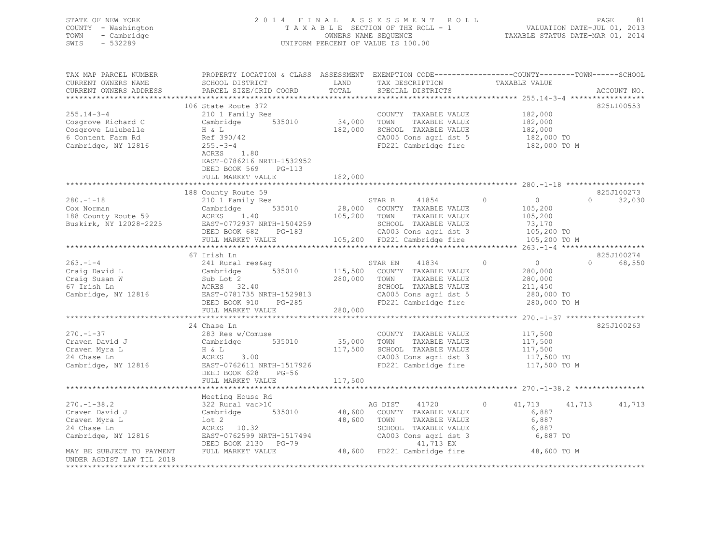| STATE OF NEW YORK<br>COUNTY - Washington<br>TOWN<br>- Cambridge<br>SWIS<br>$-532289$                                                                                                       |                                                                                                                                                                                      |               | 2014 FINAL ASSESSMENT ROLL<br>TAXABLE SECTION OF THE ROLL - 1<br>OWNERS NAME SEQUENCE<br>UNIFORM PERCENT OF VALUE IS 100.00                                         |                                                                                          | PAGE<br>VALUATION DATE-JUL 01, 2013<br>TAXABLE STATUS DATE-MAR 01, 2014 | 81 |
|--------------------------------------------------------------------------------------------------------------------------------------------------------------------------------------------|--------------------------------------------------------------------------------------------------------------------------------------------------------------------------------------|---------------|---------------------------------------------------------------------------------------------------------------------------------------------------------------------|------------------------------------------------------------------------------------------|-------------------------------------------------------------------------|----|
| TAX MAP PARCEL NUMBER<br>CURRENT OWNERS NAME<br>CURRENT OWNERS ADDRESS                                                                                                                     | PROPERTY LOCATION & CLASS ASSESSMENT EXEMPTION CODE----------------COUNTY-------TOWN-----SCHOOL<br>SCHOOL DISTRICT<br>PARCEL SIZE/GRID COORD                                         | LAND<br>TOTAL | TAX DESCRIPTION TAXABLE VALUE<br>SPECIAL DISTRICTS                                                                                                                  |                                                                                          | ACCOUNT NO.                                                             |    |
|                                                                                                                                                                                            |                                                                                                                                                                                      |               |                                                                                                                                                                     |                                                                                          |                                                                         |    |
| $255.14 - 3 - 4$<br>Cosgrove Richard C<br>Cosgrove Lulubelle<br>6 Content Farm Rd<br>Cambridge, NY 12816                                                                                   | 106 State Route 372<br>210 1 Family Res<br>Cambridge 535010<br>$H \& L$<br>Ref 390/42<br>$255. - 3 - 4$<br>$\begin{array}{c} 1.80 \end{array}$<br>ACRES<br>EAST-0786216 NRTH-1532952 |               | COUNTY TAXABLE VALUE<br>34,000 TOWN TAXABLE VALUE<br>182,000 SCHOOL TAXABLE VALUE<br>CA005 Cons agri dst 5<br>FD221 Cambridge fire 182,000 TO M                     | 182,000<br>182,000<br>182,000<br>182,000 TO                                              | 825L100553                                                              |    |
|                                                                                                                                                                                            | DEED BOOK 569<br>$PG-113$                                                                                                                                                            |               |                                                                                                                                                                     |                                                                                          |                                                                         |    |
|                                                                                                                                                                                            | FULL MARKET VALUE                                                                                                                                                                    | 182,000       |                                                                                                                                                                     |                                                                                          |                                                                         |    |
|                                                                                                                                                                                            |                                                                                                                                                                                      |               |                                                                                                                                                                     |                                                                                          |                                                                         |    |
|                                                                                                                                                                                            | 188 County Route 59                                                                                                                                                                  |               |                                                                                                                                                                     |                                                                                          | 825J100273                                                              |    |
| $280. - 1 - 18$                                                                                                                                                                            | 210 1 Family Res                                                                                                                                                                     |               | STAR B 41854                                                                                                                                                        | $\overline{0}$<br>$\circ$                                                                | 32,030<br>$\Omega$                                                      |    |
|                                                                                                                                                                                            |                                                                                                                                                                                      |               |                                                                                                                                                                     | 105,200<br>105,200                                                                       |                                                                         |    |
| Cox Norman Cambridge 535010 28,000 COUNTY TAXABLE VALUE<br>188 County Route 59 ACRES 1.40 105,200 TOWN TAXABLE VALUE Buskirk, NY 12028-2225 EAST-0772937 NRTH-1504259 SCHOOL TAXABLE VALUE |                                                                                                                                                                                      |               |                                                                                                                                                                     |                                                                                          |                                                                         |    |
|                                                                                                                                                                                            | DEED BOOK 682 PG-183                                                                                                                                                                 |               | SCHOOL TAXABLE VALUE 73,170<br>CA003 Cons agri dst 3 105,200 TO<br>105,200 FD221 Cambridge fire 105,200 TO M                                                        |                                                                                          |                                                                         |    |
|                                                                                                                                                                                            | FULL MARKET VALUE                                                                                                                                                                    |               |                                                                                                                                                                     |                                                                                          |                                                                         |    |
|                                                                                                                                                                                            |                                                                                                                                                                                      |               |                                                                                                                                                                     |                                                                                          |                                                                         |    |
|                                                                                                                                                                                            | 67 Irish Ln                                                                                                                                                                          |               |                                                                                                                                                                     |                                                                                          | 825J100274                                                              |    |
| $263 - 1 - 4$<br>Craig David L<br>Craig Susan W<br>67 Irish Ln<br>Cambridge, NY 12816                                                                                                      | 241 Rural res&aq<br>Cambridge 535010<br>Sub Lot 2<br>ACRES 32.40<br>EAST-0781735 NRTH-1529813<br>DEED BOOK 910 PG-285                                                                | 280,000 TOWN  | STAR EN<br>41834<br>115,500 COUNTY TAXABLE VALUE<br>TAXABLE VALUE<br>SCHOOL TAAADDD WADDON<br>CA005 Cons agri dst 5<br>FD221 Cambridge fire<br>FD221 Cambridge fire | $\circ$<br>$\overline{0}$<br>280,000<br>280,000<br>211,450<br>280,000 TO<br>280,000 TO M | $\Omega$<br>68,550                                                      |    |
|                                                                                                                                                                                            | FULL MARKET VALUE                                                                                                                                                                    | 280,000       |                                                                                                                                                                     |                                                                                          |                                                                         |    |
|                                                                                                                                                                                            |                                                                                                                                                                                      |               |                                                                                                                                                                     |                                                                                          |                                                                         |    |
|                                                                                                                                                                                            | 24 Chase Ln                                                                                                                                                                          |               |                                                                                                                                                                     |                                                                                          | 825J100263                                                              |    |
| $270. - 1 - 37$<br>Craven David J                                                                                                                                                          | 283 Res w/Comuse<br>535010<br>Cambridge                                                                                                                                              | 35,000 TOWN   | COUNTY TAXABLE VALUE<br>TAXABLE VALUE                                                                                                                               | 117,500<br>117,500                                                                       |                                                                         |    |
| Craven Myra L                                                                                                                                                                              |                                                                                                                                                                                      |               | 117,500 SCHOOL TAXABLE VALUE                                                                                                                                        | 117,500                                                                                  |                                                                         |    |
| 24 Chase Ln                                                                                                                                                                                | H & L<br>ACRES 3.00                                                                                                                                                                  |               | CA003 Cons agri dst 3                                                                                                                                               | 117,500 TO                                                                               |                                                                         |    |
| Cambridge, NY 12816                                                                                                                                                                        | EAST-0762611 NRTH-1517926<br>DEED BOOK 628 PG-56<br>FULL MARKET VALUE                                                                                                                | 117,500       | FD221 Cambridge fire                                                                                                                                                | 117,500 TO M                                                                             |                                                                         |    |
|                                                                                                                                                                                            |                                                                                                                                                                                      |               |                                                                                                                                                                     |                                                                                          |                                                                         |    |
|                                                                                                                                                                                            | Meeting House Rd                                                                                                                                                                     |               |                                                                                                                                                                     |                                                                                          |                                                                         |    |
| $270. - 1 - 38.2$                                                                                                                                                                          | 322 Rural vac>10                                                                                                                                                                     |               | AG DIST<br>41720                                                                                                                                                    | 41,713<br>$\circ$                                                                        | 41,713<br>41,713                                                        |    |
| Craven David J                                                                                                                                                                             | Cambridge<br>535010                                                                                                                                                                  | 48,600        | COUNTY TAXABLE VALUE                                                                                                                                                | 6,887                                                                                    |                                                                         |    |
| Craven Myra L                                                                                                                                                                              | $1$ ot $2$                                                                                                                                                                           | 48,600 TOWN   | TAXABLE VALUE                                                                                                                                                       | 6,887                                                                                    |                                                                         |    |
| 24 Chase Ln<br>Cambridge, NY 12816                                                                                                                                                         | ACRES 10.32<br>EAST-0762599 NRTH-1517494                                                                                                                                             |               | SCHOOL TAXABLE VALUE<br>CA003 Cons agri dst 3                                                                                                                       | 6,887<br>6,887 TO                                                                        |                                                                         |    |
|                                                                                                                                                                                            | DEED BOOK 2130 PG-79                                                                                                                                                                 |               | 41,713 EX                                                                                                                                                           |                                                                                          |                                                                         |    |
| MAY BE SUBJECT TO PAYMENT                                                                                                                                                                  | FULL MARKET VALUE                                                                                                                                                                    | 48,600        | FD221 Cambridge fire                                                                                                                                                | 48,600 TO M                                                                              |                                                                         |    |

\*\*\*\*\*\*\*\*\*\*\*\*\*\*\*\*\*\*\*\*\*\*\*\*\*\*\*\*\*\*\*\*\*\*\*\*\*\*\*\*\*\*\*\*\*\*\*\*\*\*\*\*\*\*\*\*\*\*\*\*\*\*\*\*\*\*\*\*\*\*\*\*\*\*\*\*\*\*\*\*\*\*\*\*\*\*\*\*\*\*\*\*\*\*\*\*\*\*\*\*\*\*\*\*\*\*\*\*\*\*\*\*\*\*\*\*\*\*\*\*\*\*\*\*\*\*\*\*\*\*\*\*

UNDER AGDIST LAW TIL 2018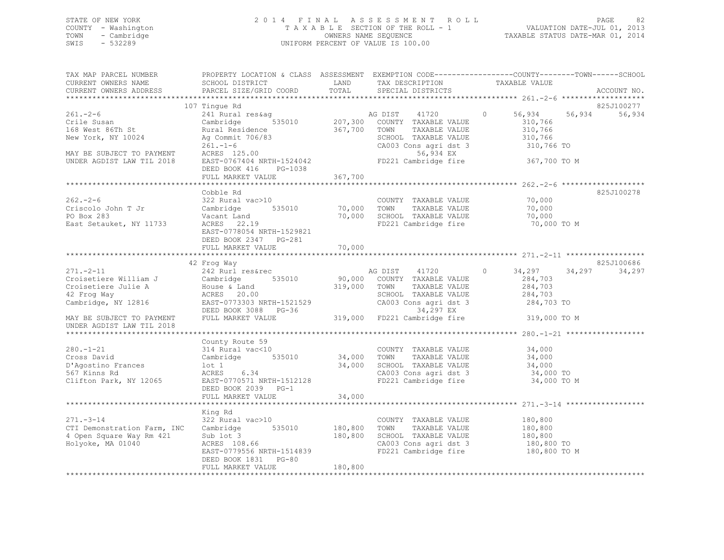## STATE OF NEW YORK 2 0 1 4 F I N A L A S S E S S M E N T R O L L PAGE 82 COUNTY - Washington T A X A B L E SECTION OF THE ROLL - 1 VALUATION DATE-JUL 01, 2013 TOWN - Cambridge OWNERS NAME SEQUENCE TAXABLE STATUS DATE-MAR 01, 2014 SWIS - 532289 UNIFORM PERCENT OF VALUE IS 100.00

| TAX MAP PARCEL NUMBER<br>CURRENT OWNERS NAME<br>CURRENT OWNERS ADDRESS                                          | PROPERTY LOCATION & CLASS ASSESSMENT EXEMPTION CODE----------------COUNTY-------TOWN-----SCHOOL<br>SCHOOL DISTRICT<br>PARCEL SIZE/GRID COORD | LAND<br>TOTAL                 | TAX DESCRIPTION<br>SPECIAL DISTRICTS                                                                                        | TAXABLE VALUE                                                    | ACCOUNT NO.          |
|-----------------------------------------------------------------------------------------------------------------|----------------------------------------------------------------------------------------------------------------------------------------------|-------------------------------|-----------------------------------------------------------------------------------------------------------------------------|------------------------------------------------------------------|----------------------|
|                                                                                                                 |                                                                                                                                              |                               |                                                                                                                             |                                                                  |                      |
| $261. - 2 - 6$<br>Crile Susan<br>168 West 86Th St<br>New York, NY 10024                                         | 107 Tingue Rd<br>241 Rural res&ag<br>535010<br>Cambridge<br>Rural Residence<br>Ag Commit 706/83                                              | 367,700                       | AG DIST 41720<br>207,300 COUNTY TAXABLE VALUE<br>TAXABLE VALUE<br>TOWN<br>SCHOOL TAXABLE VALUE                              | 56,934<br>56,934<br>$\Omega$<br>310,766<br>310,766<br>310,766    | 825J100277<br>56,934 |
| MAY BE SUBJECT TO PAYMENT<br>UNDER AGDIST LAW TIL 2018                                                          | $261. - 1 - 6$<br>$ACRES$ 125.00<br>EAST-0767404 NRTH-1524042<br>DEED BOOK 416<br>PG-1038<br>FULL MARKET VALUE                               | 367,700                       | CA003 Cons agri dst 3 310,766 TO<br>56,934 EX<br>FD221 Cambridge fire                                                       | 367,700 TO M                                                     |                      |
|                                                                                                                 |                                                                                                                                              |                               |                                                                                                                             |                                                                  |                      |
| $262 - 2 - 6$<br>Criscolo John T Jr<br>PO Box 283<br>East Setauket, NY 11733                                    | Cobble Rd<br>322 Rural vac>10<br>Cambridge<br>535010<br>Vacant Land<br>ACRES 22.19<br>EAST-0778054 NRTH-1529821<br>DEED BOOK 2347 PG-281     | 70,000 TOWN<br>70,000         | COUNTY TAXABLE VALUE<br>TAXABLE VALUE<br>SCHOOL TAXABLE VALUE<br>FD221 Cambridge fire                                       | 70,000<br>70,000<br>70,000<br>70,000 TO M                        | 825J100278           |
|                                                                                                                 | FULL MARKET VALUE                                                                                                                            | 70,000                        |                                                                                                                             |                                                                  |                      |
|                                                                                                                 |                                                                                                                                              |                               |                                                                                                                             |                                                                  |                      |
|                                                                                                                 | 42 Frog Way                                                                                                                                  |                               |                                                                                                                             |                                                                  | 825J100686           |
| $271. - 2 - 11$<br>Croisetiere William J<br>Croisetiere Julie A<br>42 Froq Way<br>Cambridge, NY 12816           | 242 Rurl res&rec<br>Cambridge<br>535010<br>House & Land<br>ACRES 20.00<br>EAST-0773303 NRTH-1521529<br>DEED BOOK 3088 PG-36                  | 319,000 TOWN                  | AG DIST 41720<br>90,000 COUNTY TAXABLE VALUE<br>TAXABLE VALUE<br>SCHOOL TAXABLE VALUE<br>CA003 Cons agri dst 3<br>34,297 EX | $\circ$<br>34,297<br>284,703<br>284,703<br>284,703<br>284,703 TO | 34,297<br>34,297     |
| MAY BE SUBJECT TO PAYMENT<br>UNDER AGDIST LAW TIL 2018                                                          | FULL MARKET VALUE                                                                                                                            |                               | $319,000$ FD221 Cambridge fire                                                                                              | 319,000 TO M                                                     |                      |
|                                                                                                                 |                                                                                                                                              |                               |                                                                                                                             | ********************* 280.-1-21 *****                            |                      |
| $280. - 1 - 21$<br>Cross David<br>D'Agostino Frances<br>567 Kinns Rd<br>Clifton Park, NY 12065                  | County Route 59<br>314 Rural vac<10<br>Cambridge 535010<br>$1$ ot $1$<br>6.34<br>ACRES<br>EAST-0770571 NRTH-1512128<br>DEED BOOK 2039 PG-1   | 34,000<br>34,000              | COUNTY TAXABLE VALUE<br>TOWN<br>TAXABLE VALUE<br>SCHOOL TAXABLE VALUE<br>CA003 Cons agri dst 3<br>FD221 Cambridge fire      | 34,000<br>34,000<br>34,000<br>34,000 TO<br>34,000 TO M           |                      |
|                                                                                                                 | FULL MARKET VALUE                                                                                                                            | 34,000                        |                                                                                                                             |                                                                  |                      |
|                                                                                                                 |                                                                                                                                              |                               |                                                                                                                             |                                                                  |                      |
| $271 - 3 - 14$<br>CTI Demonstration Farm, INC Cambridge 535010<br>4 Open Square Way Rm 421<br>Holyoke, MA 01040 | King Rd<br>322 Rural vac>10<br>$ACRES$ $108.66$<br>$R22 = 108.66$<br>EAST-0779556 NRTH-1514839<br>DEED BOOK 1831 PG-80<br>FULL MARKET VALUE  | 180,800<br>180,800<br>180,800 | COUNTY TAXABLE VALUE<br>TOWN<br>TAXABLE VALUE<br>SCHOOL TAXABLE VALUE<br>CA003 Cons agri dst 3<br>FD221 Cambridge fire      | 180,800<br>180,800<br>180,800<br>180,800 TO<br>180,800 TO M      |                      |
|                                                                                                                 |                                                                                                                                              |                               |                                                                                                                             |                                                                  |                      |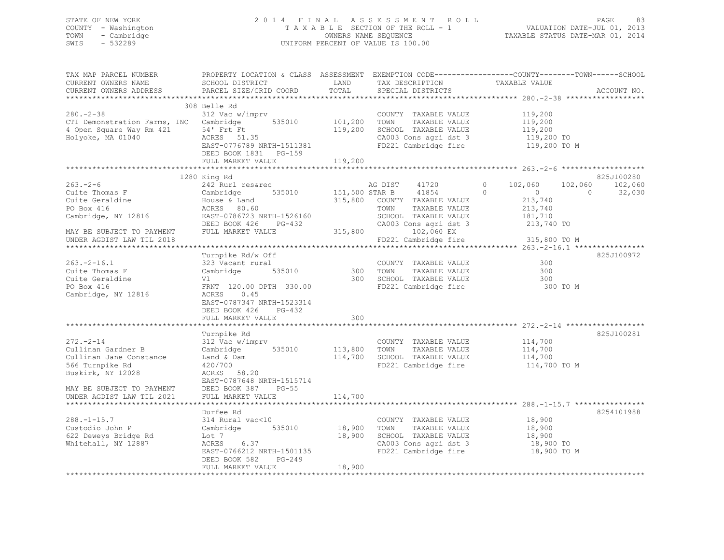## STATE OF NEW YORK 2 0 1 4 F I N A L A S S E S S M E N T R O L L PAGE 83 COUNTY - Washington T A X A B L E SECTION OF THE ROLL - 1 VALUATION DATE-JUL 01, 2013 TOWN - Cambridge OWNERS NAME SEQUENCE TAXABLE STATUS DATE-MAR 01, 2014 SWIS - 532289 UNIFORM PERCENT OF VALUE IS 100.00

| TAX MAP PARCEL NUMBER<br>CURRENT OWNERS NAME<br>CURRENT OWNERS ADDRESS                                           | SCHOOL DISTRICT<br>PARCEL SIZE/GRID COORD                                                                                                             | LAND<br>TOTAL              | TAX DESCRIPTION<br>SPECIAL DISTRICTS                                                                                          | PROPERTY LOCATION & CLASS ASSESSMENT EXEMPTION CODE----------------COUNTY-------TOWN-----SCHOOL<br>TAXABLE VALUE                       | ACCOUNT NO.       |
|------------------------------------------------------------------------------------------------------------------|-------------------------------------------------------------------------------------------------------------------------------------------------------|----------------------------|-------------------------------------------------------------------------------------------------------------------------------|----------------------------------------------------------------------------------------------------------------------------------------|-------------------|
|                                                                                                                  |                                                                                                                                                       |                            |                                                                                                                               |                                                                                                                                        |                   |
| $280 - 2 - 38$<br>CTI Demonstration Farms, INC Cambridge 535010<br>4 Open Square Way Rm 421<br>Holyoke, MA 01040 | 308 Belle Rd<br>312 Vac w/imprv<br>54' Frt Ft<br>ACRES 51.35<br>EAST-0776789 NRTH-1511381<br>DEED BOOK 1831    PG-159                                 | 101,200<br>119,200         | COUNTY TAXABLE VALUE<br>TOWN<br>TAXABLE VALUE<br>SCHOOL TAXABLE VALUE<br>CA003 Cons agri dst 3<br>FD221 Cambridge fire        | 119,200<br>119,200<br>119,200<br>119,200 TO<br>119,200 TO M                                                                            |                   |
|                                                                                                                  | FULL MARKET VALUE                                                                                                                                     | 119,200                    |                                                                                                                               |                                                                                                                                        |                   |
|                                                                                                                  |                                                                                                                                                       |                            |                                                                                                                               |                                                                                                                                        |                   |
|                                                                                                                  | 1280 King Rd                                                                                                                                          |                            |                                                                                                                               |                                                                                                                                        | 825J100280        |
| $263 - 2 - 6$<br>Cuite Thomas F<br>Cuite Geraldine<br>De Din 416<br>PO Box 416<br>Cambridge, NY 12816            | 242 Rurl res&rec<br>Cambridge 535010<br>House & Land<br>ACRES 80.60<br>EAST-0786723 NRTH-1526160<br>DEED BOOK 426<br>PG-432                           | 151,500 STAR B             | AG DIST<br>41720<br>41854<br>315,800 COUNTY TAXABLE VALUE<br>TOWN<br>TAXABLE VALUE<br>SCHOOL TAXABLE VALUE                    | $\circ$<br>102,060<br>102,060<br>$\Omega$<br>$\sim$ 0<br>$\Omega$<br>213,740<br>213,740<br>181,710<br>CA003 Cons agri dst 3 213,740 TO | 102,060<br>32,030 |
| MAY BE SUBJECT TO PAYMENT                                                                                        | FULL MARKET VALUE                                                                                                                                     | 315,800                    | 102,060 EX                                                                                                                    |                                                                                                                                        |                   |
| UNDER AGDIST LAW TIL 2018<br>**********************                                                              |                                                                                                                                                       |                            | FD221 Cambridge fire                                                                                                          | 315,800 TO M                                                                                                                           |                   |
| $263 - 2 - 16.1$<br>Cuite Thomas F<br>Cuite Geraldine<br>PO Box 416<br>Cambridge, NY 12816                       | Turnpike Rd/w Off<br>323 Vacant rural<br>535010<br>Cambridge<br>Vl<br>FRNT 120.00 DPTH 330.00<br>ACRES<br>0.45<br>EAST-0787347 NRTH-1523314           |                            | COUNTY TAXABLE VALUE<br>300 TOWN TAXABLE VALUE<br>300 SCHOOL TAXABLE VALUE<br>300 TOWN<br>FD221 Cambridge fire                | 300<br>300<br>300<br>300 TO M                                                                                                          | 825J100972        |
|                                                                                                                  | DEED BOOK 426<br>PG-432<br>FULL MARKET VALUE                                                                                                          | 300                        |                                                                                                                               |                                                                                                                                        |                   |
|                                                                                                                  | Turnpike Rd                                                                                                                                           |                            |                                                                                                                               |                                                                                                                                        | 825J100281        |
| $272 - 2 - 14$<br>Cullinan Gardner B<br>Cullinan Jane Constance<br>566 Turnpike Rd<br>Buskirk, NY 12028          | 312 Vac w/imprv<br>Cambridge 535010 113,800 TOWN<br>Land & Dam<br>420/700<br>ACRES<br>58.20                                                           | 114,700                    | COUNTY TAXABLE VALUE<br>TAXABLE VALUE<br>SCHOOL TAXABLE VALUE                                                                 | 114,700<br>114,700<br>114,700<br>FD221 Cambridge fire 114,700 TO M                                                                     |                   |
| MAY BE SUBJECT TO PAYMENT<br>UNDER AGDIST LAW TIL 2021                                                           | EAST-0787648 NRTH-1515714<br>DEED BOOK 387<br>$PG-55$<br>FULL MARKET VALUE                                                                            | 114,700                    |                                                                                                                               |                                                                                                                                        |                   |
| $288. - 1 - 15.7$<br>Custodio John P<br>622 Deweys Bridge Rd<br>Whitehall, NY 12887                              | Durfee Rd<br>314 Rural vac<10<br>Cambridge 535010<br>Lot 7<br>ACRES 6.37<br>EAST-0766212 NRTH-1501135<br>DEED BOOK 582<br>PG-249<br>FULL MARKET VALUE | 18,900<br>18,900<br>18,900 | COUNTY TAXABLE VALUE 18,900<br>TOWN<br>TAXABLE VALUE<br>SCHOOL TAXABLE VALUE<br>CA003 Cons agri dst 3<br>FD221 Cambridge fire | 18,900<br>18,900<br>18,900 TO<br>18,900 TO M                                                                                           | 8254101988        |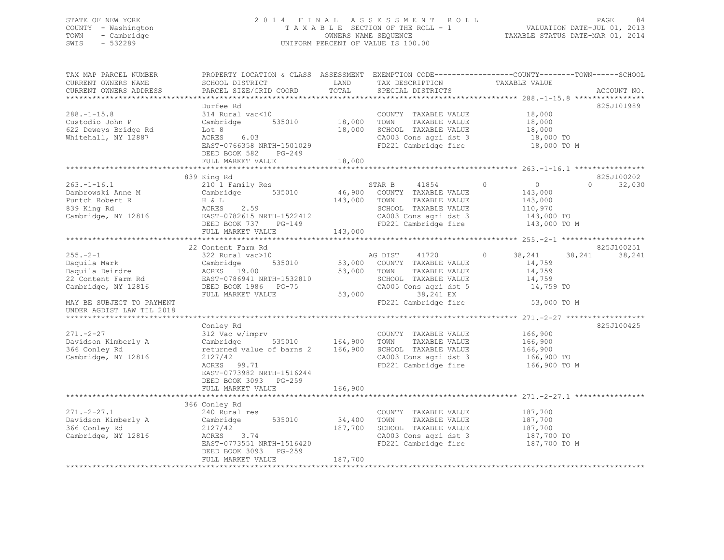## STATE OF NEW YORK 2 0 1 4 F I N A L A S S E S S M E N T R O L L PAGE 84 COUNTY - Washington T A X A B L E SECTION OF THE ROLL - 1 VALUATION DATE-JUL 01, 2013 TOWN - Cambridge OWNERS NAME SEQUENCE TAXABLE STATUS DATE-MAR 01, 2014 SWIS - 532289 UNIFORM PERCENT OF VALUE IS 100.00

| TAX MAP PARCEL NUMBER<br>CURRENT OWNERS NAME<br>CURRENT OWNERS ADDRESS                                                                                   | SCHOOL DISTRICT<br>PARCEL SIZE/GRID COORD                                                                                                                   | LAND<br>TOTAL                | TAX DESCRIPTION<br>SPECIAL DISTRICTS                                                                                                                                                | PROPERTY LOCATION & CLASS ASSESSMENT EXEMPTION CODE----------------COUNTY-------TOWN------SCHOOL<br>TAXABLE VALUE | ACCOUNT NO.          |
|----------------------------------------------------------------------------------------------------------------------------------------------------------|-------------------------------------------------------------------------------------------------------------------------------------------------------------|------------------------------|-------------------------------------------------------------------------------------------------------------------------------------------------------------------------------------|-------------------------------------------------------------------------------------------------------------------|----------------------|
| $288. - 1 - 15.8$<br>Custodio John P<br>622 Deweys Bridge Rd<br>Whitehall, NY 12887                                                                      | Durfee Rd<br>314 Rural vac<10<br>535010<br>Cambridge<br>Lot 8<br>ACRES 6.03<br>EAST-0766358 NRTH-1501029<br>DEED BOOK 582 PG-249<br>FULL MARKET VALUE       | 18,000<br>18,000<br>18,000   | COUNTY TAXABLE VALUE<br>TOWN<br>TAXABLE VALUE<br>SCHOOL TAXABLE VALUE<br>CA003 Cons agri dst 3<br>FD221 Cambridge fire                                                              | 18,000<br>18,000<br>18,000<br>18,000 TO<br>18,000 TO M                                                            | 825J101989           |
|                                                                                                                                                          |                                                                                                                                                             |                              |                                                                                                                                                                                     |                                                                                                                   |                      |
| $263. - 1 - 16.1$<br>Dambrowski Anne M<br>Puntch Robert R<br>839 King Rd<br>Cambridge, NY 12816                                                          | 839 King Rd<br>210 1 Family Res<br>Cambridge 535010<br>H & L<br>ACRES 2.59<br>EAST-0782615 NRTH-1522412<br>DEED BOOK 737 PG-149<br>FULL MARKET VALUE        | 143,000 TOWN<br>143,000      | STAR B<br>41854<br>46,900 COUNTY TAXABLE VALUE<br>TAXABLE VALUE<br>SCHOOL TAXABLE VALUE<br>CA003 Cons agri dst 3<br>FD221 Cambridge fire                                            | $\Omega$<br>$\overline{0}$<br>$\Omega$<br>143,000<br>143,000<br>110,970<br>143,000 TO<br>143,000 TO M             | 825J100202<br>32,030 |
|                                                                                                                                                          |                                                                                                                                                             |                              |                                                                                                                                                                                     |                                                                                                                   |                      |
| $255. - 2 - 1$<br>Daquila Mark<br>Daquila Deirdre<br>22 Content Farm Rd<br>Cambridge, NY 12816<br>MAY BE SUBJECT TO PAYMENT<br>UNDER AGDIST LAW TIL 2018 | 22 Content Farm Rd<br>322 Rural vac>10<br>Cambridge<br>ACRES 19.00<br>EAST-0786941 NRTH-1532810<br>DEED BOOK 1986 PG-75<br>FULL MARKET VALUE                |                              | AG DIST 41720<br>535010 53,000 COUNTY TAXABLE VALUE<br>53,000 TOWN<br>TAXABLE VALUE<br>SCHOOL TAXABLE VALUE<br>CA005 Cons agri dst 5<br>53,000<br>38,241 EX<br>FD221 Cambridge fire | $\circ$<br>38,241<br>38,241<br>14,759<br>14,759<br>14,759<br>14,759 TO<br>53,000 TO M                             | 825J100251<br>38,241 |
|                                                                                                                                                          |                                                                                                                                                             |                              |                                                                                                                                                                                     |                                                                                                                   |                      |
| $271. - 2 - 27$<br>Davidson Kimberly A<br>366 Conley Rd<br>Cambridge, NY 12816                                                                           | Conley Rd<br>312 Vac w/imprv<br>535010 164,900<br>Cambridge<br>returned value of barns 2<br>2127/42<br>ACRES 99.71<br>EAST-0773982 NRTH-1516244             | 166,900                      | COUNTY TAXABLE VALUE<br>TAXABLE VALUE<br>TOWN<br>SCHOOL TAXABLE VALUE<br>CA003 Cons agri dst 3<br>FD221 Cambridge fire                                                              | 166,900<br>166,900<br>166,900<br>166,900 TO<br>166,900 TO M                                                       | 825J100425           |
|                                                                                                                                                          | DEED BOOK 3093 PG-259<br>FULL MARKET VALUE                                                                                                                  | 166,900                      |                                                                                                                                                                                     |                                                                                                                   |                      |
|                                                                                                                                                          |                                                                                                                                                             |                              |                                                                                                                                                                                     |                                                                                                                   |                      |
| $271 - 2 - 27.1$<br>Davidson Kimberly A<br>366 Conley Rd<br>Cambridge, NY 12816                                                                          | 366 Conley Rd<br>240 Rural res<br>Cambridge $535010$<br>2127/42<br>ACRES<br>3.74<br>EAST-0773551 NRTH-1516420<br>DEED BOOK 3093 PG-259<br>FULL MARKET VALUE | 34,400<br>187,700<br>187,700 | COUNTY TAXABLE VALUE<br>TOWN<br>TAXABLE VALUE<br>SCHOOL TAXABLE VALUE<br>CA003 Cons agri dst 3<br>FD221 Cambridge fire                                                              | 187,700<br>187,700<br>187,700<br>187,700 TO<br>187,700 TO M                                                       |                      |
|                                                                                                                                                          |                                                                                                                                                             |                              |                                                                                                                                                                                     |                                                                                                                   |                      |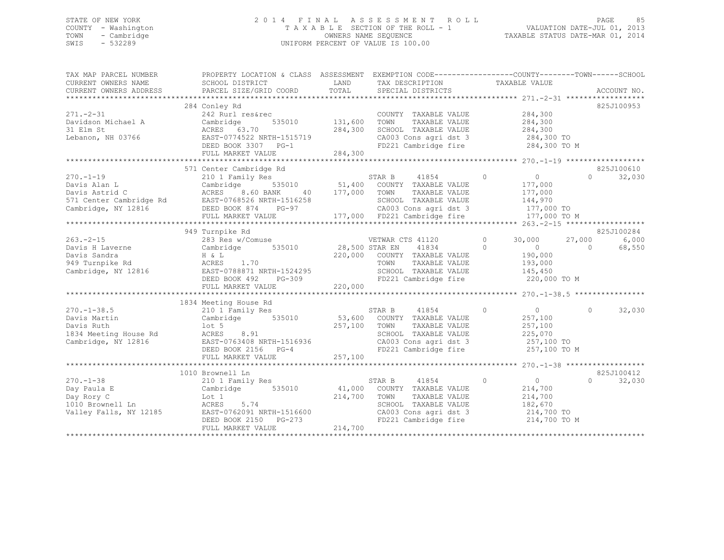## STATE OF NEW YORK 2 0 1 4 F I N A L A S S E S S M E N T R O L L PAGE 85 COUNTY - Washington T A X A B L E SECTION OF THE ROLL - 1 VALUATION DATE-JUL 01, 2013 TOWN - Cambridge OWNERS NAME SEQUENCE TAXABLE STATUS DATE-MAR 01, 2014 SWIS - 532289 UNIFORM PERCENT OF VALUE IS 100.00

| TAX MAP PARCEL NUMBER<br>CURRENT OWNERS NAME<br>CURRENT OWNERS ADDRESS | PROPERTY LOCATION & CLASS ASSESSMENT EXEMPTION CODE---------------COUNTY-------TOWN-----SCHOOL<br>SCHOOL DISTRICT<br>PARCEL SIZE/GRID COORD | LAND<br>TOTAL   | TAX DESCRIPTION<br>SPECIAL DISTRICTS                                      | TAXABLE VALUE              | ACCOUNT NO.         |
|------------------------------------------------------------------------|---------------------------------------------------------------------------------------------------------------------------------------------|-----------------|---------------------------------------------------------------------------|----------------------------|---------------------|
|                                                                        |                                                                                                                                             |                 |                                                                           |                            |                     |
|                                                                        | 284 Conley Rd                                                                                                                               |                 |                                                                           |                            | 825J100953          |
| $271. - 2 - 31$                                                        | 242 Rurl res&rec                                                                                                                            |                 | COUNTY TAXABLE VALUE                                                      | 284,300                    |                     |
| Davidson Michael A                                                     | 535010<br>Cambridge                                                                                                                         | 131,600         | TOWN<br>TAXABLE VALUE                                                     | 284,300                    |                     |
| 31 Elm St                                                              | ACRES 63.70                                                                                                                                 | 284,300         | SCHOOL TAXABLE VALUE                                                      | 284,300                    |                     |
| Lebanon, NH 03766                                                      | EAST-0774522 NRTH-1515719                                                                                                                   |                 |                                                                           |                            |                     |
|                                                                        | DEED BOOK 3307 PG-1                                                                                                                         | 19              | CA003 Cons agri dst 3 284,300 TO<br>FD221 Cambridge fire 284,300 TO M     |                            |                     |
|                                                                        |                                                                                                                                             |                 |                                                                           |                            |                     |
|                                                                        |                                                                                                                                             |                 |                                                                           |                            |                     |
|                                                                        | 571 Center Cambridge Rd                                                                                                                     |                 |                                                                           |                            | 825J100610          |
| $270. - 1 - 19$                                                        | 210 1 Family Res                                                                                                                            |                 | $\sim$ 0<br>STAR B 41854                                                  | $\overline{0}$             | $\Omega$<br>32,030  |
| Davis Alan L                                                           |                                                                                                                                             |                 | $535010$ 51,400 COUNTY TAXABLE VALUE                                      | 177,000                    |                     |
|                                                                        |                                                                                                                                             | 40 177,000 TOWN | TAXABLE VALUE                                                             | 177,000                    |                     |
|                                                                        |                                                                                                                                             |                 | SCHOOL TAXABLE VALUE                                                      | 144,970                    |                     |
| Cambridge, NY 12816 DEED BOOK 874                                      | $PG-97$                                                                                                                                     |                 | CA003 Cons agri dst 3                                                     | 177,000 TO                 |                     |
|                                                                        | FULL MARKET VALUE                                                                                                                           |                 | 177,000 FD221 Cambridge fire                                              | 177,000 TO M               |                     |
|                                                                        |                                                                                                                                             |                 |                                                                           |                            |                     |
|                                                                        | 949 Turnpike Rd                                                                                                                             |                 |                                                                           |                            | 825J100284          |
| $263 - 2 - 15$                                                         | 283 Res w/Comuse VETWAR CTS 41120                                                                                                           |                 |                                                                           | $\circ$<br>30,000          | 6,000<br>27,000     |
| Davis H Laverne                                                        | Cambridge 535010 28,500 STAR EN                                                                                                             |                 | 41834                                                                     | $\Omega$<br>$\overline{0}$ | 68,550<br>$\bigcap$ |
| Davis Sandra                                                           | H & L                                                                                                                                       |                 | 220,000 COUNTY TAXABLE VALUE                                              | 190,000                    |                     |
| 949 Turnpike Rd                                                        | ACRES 1.70                                                                                                                                  |                 | TOWN<br>TAXABLE VALUE                                                     | 193,000                    |                     |
| Cambridge, NY 12816                                                    | EAST-0788871 NRTH-1524295<br>DEED BOOK 492 PG-309                                                                                           |                 | SCHOOL TAXABLE VALUE<br>SCHOOL TAXABLE VALUE<br>FD221 Cambridge fire      | 145,450<br>220,000 TO M    |                     |
|                                                                        |                                                                                                                                             |                 |                                                                           |                            |                     |
|                                                                        | FULL MARKET VALUE                                                                                                                           | 220,000         |                                                                           |                            |                     |
|                                                                        |                                                                                                                                             |                 |                                                                           |                            |                     |
|                                                                        | 1834 Meeting House Rd                                                                                                                       |                 |                                                                           |                            |                     |
| $270. - 1 - 38.5$                                                      | 210 1 Family Res                                                                                                                            |                 | STAR B<br>41854<br>$\sim$ 0                                               | $\bigcirc$                 | $\Omega$<br>32,030  |
| Davis Martin                                                           | Cambridge 535010 53,600 COUNTY TAXABLE VALUE                                                                                                |                 |                                                                           | 257,100                    |                     |
| Davis Ruth                                                             | lot 5                                                                                                                                       | 257,100 TOWN    | TAXABLE VALUE                                                             | 257,100                    |                     |
| 1834 Meeting House Rd                                                  | ACRES 8.91                                                                                                                                  |                 | SCHOOL TAXABLE VALUE                                                      | 225,070                    |                     |
| Cambridge, NY 12816                                                    | EAST-0763408 NRTH-1516936                                                                                                                   |                 | CA003 Cons agri dst 3 257,100 TO                                          |                            |                     |
|                                                                        | DEED BOOK 2156 PG-4                                                                                                                         |                 | FD221 Cambridge fire 257,100 TO M                                         |                            |                     |
|                                                                        | FULL MARKET VALUE                                                                                                                           | 257,100         |                                                                           |                            |                     |
|                                                                        |                                                                                                                                             |                 |                                                                           |                            |                     |
|                                                                        | 1010 Brownell Ln                                                                                                                            |                 |                                                                           |                            | 825J100412          |
| $270. - 1 - 38$                                                        | 210 1 Family Res                                                                                                                            |                 | 41854<br>STAR B                                                           | $\overline{0}$<br>$\Omega$ | 32,030<br>$\Omega$  |
| Day Paula E                                                            | Cambridge 535010                                                                                                                            |                 | 41,000 COUNTY TAXABLE VALUE                                               | 214,700                    |                     |
| Day Rory C                                                             | Lot 1                                                                                                                                       | 214,700         | TOWN<br>TAXABLE VALUE                                                     | 214,700                    |                     |
| 1010 Brownell Ln                                                       |                                                                                                                                             |                 | SCHOOL TAXABLE VALUE                                                      | 182,670                    |                     |
| Valley Falls, NY 12185                                                 |                                                                                                                                             |                 | CA003 Cons agri dst 3 and 214,700 TO<br>FD221 Cambridge fire 214,700 TO M |                            |                     |
|                                                                        |                                                                                                                                             |                 |                                                                           |                            |                     |
|                                                                        | FULL MARKET VALUE                                                                                                                           | 214,700         |                                                                           |                            |                     |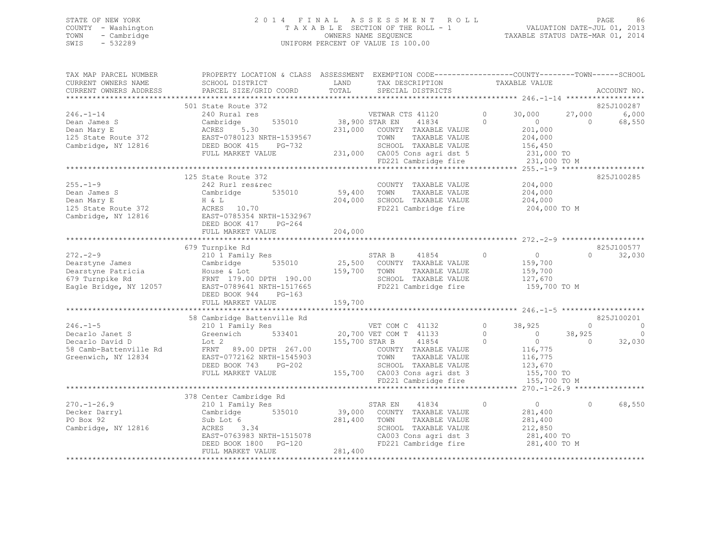## STATE OF NEW YORK 2 0 1 4 F I N A L A S S E S S M E N T R O L L PAGE 86 COUNTY - Washington T A X A B L E SECTION OF THE ROLL - 1 VALUATION DATE-JUL 01, 2013 TOWN - Cambridge OWNERS NAME SEQUENCE TAXABLE STATUS DATE-MAR 01, 2014 SWIS - 532289 UNIFORM PERCENT OF VALUE IS 100.00

| TAX MAP PARCEL NUMBER<br>CURRENT OWNERS NAME<br>CURRENT OWNERS ADDRESS                                | PROPERTY LOCATION & CLASS ASSESSMENT<br>SCHOOL DISTRICT<br>PARCEL SIZE/GRID COORD                                                                                                   | LAND<br>TOTAL                   | EXEMPTION CODE-----------------COUNTY-------TOWN------SCHOOL<br>TAX DESCRIPTION<br>SPECIAL DISTRICTS                                                                                 | TAXABLE VALUE                                                                                                                               | ACCOUNT NO.                                                |
|-------------------------------------------------------------------------------------------------------|-------------------------------------------------------------------------------------------------------------------------------------------------------------------------------------|---------------------------------|--------------------------------------------------------------------------------------------------------------------------------------------------------------------------------------|---------------------------------------------------------------------------------------------------------------------------------------------|------------------------------------------------------------|
|                                                                                                       | 501 State Route 372                                                                                                                                                                 |                                 |                                                                                                                                                                                      |                                                                                                                                             | 825J100287                                                 |
| $246. - 1 - 14$<br>Dean James S<br>Dean Mary E<br>125 State Route 372<br>Cambridge, NY 12816          | 240 Rural res<br>535010<br>Cambridge<br>5.30<br>ACRES<br>EAST-0780123 NRTH-1539567<br>DEED BOOK 415 PG-732<br>FULL MARKET VALUE                                                     | 38,900 STAR EN                  | VETWAR CTS 41120<br>41834<br>231,000 COUNTY TAXABLE VALUE<br>TOWN<br>TAXABLE VALUE<br>SCHOOL TAXABLE VALUE<br>231,000 CA005 Cons agri dst 5<br>FD221 Cambridge fire                  | $\Omega$<br>30,000<br>$\Omega$<br>$\overline{0}$<br>201,000<br>204,000<br>156,450<br>231,000 TO<br>231,000 TO M                             | 6,000<br>27,000<br>68,550<br>$\cap$                        |
|                                                                                                       |                                                                                                                                                                                     |                                 |                                                                                                                                                                                      |                                                                                                                                             |                                                            |
| $255. - 1 - 9$<br>Dean James S<br>Dean Mary E<br>125 State Route 372<br>Cambridge, NY 12816           | 125 State Route 372<br>242 Rurl res&rec<br>Cambridge<br>535010<br>H & L<br>ACRES 10.70<br>EAST-0785354 NRTH-1532967<br>DEED BOOK 417 PG-264                                         | COUNT<br>59,400 TOWN<br>204,000 | COUNTY TAXABLE VALUE<br>TAXABLE VALUE<br>SCHOOL TAXABLE VALUE<br>FD221 Cambridge fire                                                                                                | 204,000<br>204,000<br>204,000<br>204,000 TO M                                                                                               | 825J100285                                                 |
|                                                                                                       | FULL MARKET VALUE                                                                                                                                                                   | 204,000                         |                                                                                                                                                                                      |                                                                                                                                             |                                                            |
| $272 - 2 - 9$<br>Dearstyne James<br>Dearstyne Patricia<br>679 Turnpike Rd<br>Eagle Bridge, NY 12057   | 679 Turnpike Rd<br>210 1 Family Res<br>Cambridge<br>535010<br>House & Lot<br>FRNT 179.00 DPTH 190.00<br>EAST-0789641 NRTH-1517665<br>DEED BOOK 944<br>$PG-163$<br>FULL MARKET VALUE | 159,700 TOWN<br>159,700         | STAR B<br>41854<br>25,500 COUNTY TAXABLE VALUE<br>TAXABLE VALUE<br>SCHOOL TAXABLE VALUE<br>FD221 Cambridge fire                                                                      | $\Omega$<br>$\overline{0}$<br>159,700<br>159,700<br>127,670<br>159,700 TO M                                                                 | 825J100577<br>32,030<br>$\cap$                             |
|                                                                                                       |                                                                                                                                                                                     |                                 |                                                                                                                                                                                      |                                                                                                                                             |                                                            |
|                                                                                                       | 58 Cambridge Battenville Rd                                                                                                                                                         |                                 |                                                                                                                                                                                      |                                                                                                                                             | 825J100201                                                 |
| $246. - 1 - 5$<br>Decarlo Janet S<br>Decarlo David D<br>58 Camb-Battenville Rd<br>Greenwich, NY 12834 | 210 1 Family Res<br>533401<br>Greenwich<br>Lot 2<br>FRNT 89.00 DPTH 267.00<br>EAST-0772162 NRTH-1545903<br>DEED BOOK 743 PG-202<br>FULL MARKET VALUE                                | 155,700 STAR B                  | VET COM C 41132<br>20,700 VET COM T 41133<br>41854<br>COUNTY TAXABLE VALUE<br>TOWN<br>TAXABLE VALUE<br>SCHOOL TAXABLE VALUE<br>155,700 CA003 Cons agri dst 3<br>FD221 Cambridge fire | $\circ$<br>38,925<br>$\circ$<br>$\overline{0}$<br>$\Omega$<br>$\overline{0}$<br>116,775<br>116,775<br>123,670<br>155,700 TO<br>155,700 TO M | $\Omega$<br>- 0<br>38,925<br>$\circ$<br>32,030<br>$\Omega$ |
|                                                                                                       | *************************************                                                                                                                                               |                                 |                                                                                                                                                                                      | ****** 270.-1-26.9 ***                                                                                                                      |                                                            |
| $270. - 1 - 26.9$<br>Decker Darryl<br>PO Box 92<br>Cambridge, NY 12816                                | 378 Center Cambridge Rd<br>210 1 Family Res<br>Cambridge 535010<br>Sub Lot 6<br>ACRES 3.34<br>EAST-0763983 NRTH-1515078<br>DEED BOOK 1800 PG-120<br>FULL MARKET VALUE               | 281,400<br>281,400              | STAR EN 41834<br>39,000 COUNTY TAXABLE VALUE<br>TOWN<br>TAXABLE VALUE<br>SCHOOL TAXABLE VALUE<br>CA003 Cons agri dst 3<br>FD221 Cambridge fire                                       | $\circ$<br>$\overline{0}$<br>281,400<br>281,400<br>212,850<br>281,400 TO<br>281,400 TO M                                                    | 68,550<br>$\Omega$                                         |
|                                                                                                       |                                                                                                                                                                                     |                                 |                                                                                                                                                                                      |                                                                                                                                             |                                                            |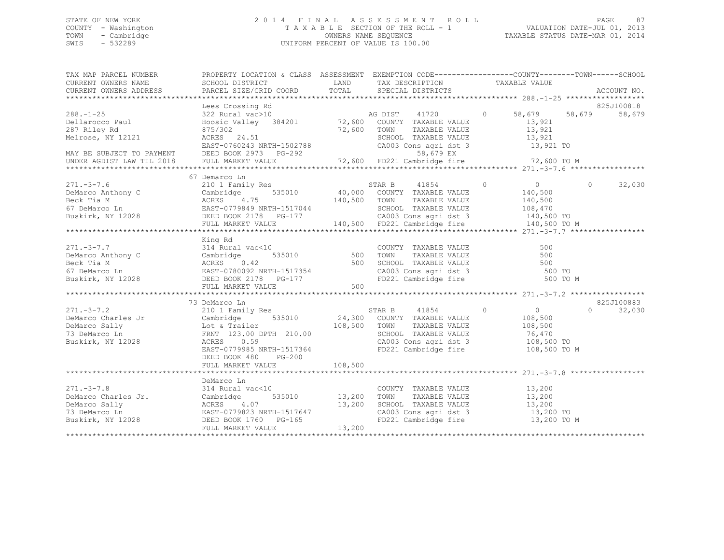## STATE OF NEW YORK 2 0 1 4 F I N A L A S S E S S M E N T R O L L PAGE 87 COUNTY - Washington T A X A B L E SECTION OF THE ROLL - 1 VALUATION DATE-JUL 01, 2013 TOWN - Cambridge OWNERS NAME SEQUENCE TAXABLE STATUS DATE-MAR 01, 2014 SWIS - 532289 UNIFORM PERCENT OF VALUE IS 100.00

| TAX MAP PARCEL NUMBER<br>CURRENT OWNERS NAME SCHOOL DISTRICT CORD DESIGNATION A CHINE TAXABLE VALUE TOWN TOWN SCHOOL DISTRICT SERIES AND TAXABLE TRANSPORT TOWN TAXABLE VALUE (CORRENT OWNERS ADDRESS PARCEL SIZE/GRID COORD TOTAL SPECIAL DISTRICTS AC |                                                   |     |                                                                                                                                                                |                |                                             |          |                    |
|---------------------------------------------------------------------------------------------------------------------------------------------------------------------------------------------------------------------------------------------------------|---------------------------------------------------|-----|----------------------------------------------------------------------------------------------------------------------------------------------------------------|----------------|---------------------------------------------|----------|--------------------|
|                                                                                                                                                                                                                                                         |                                                   |     |                                                                                                                                                                |                |                                             |          |                    |
|                                                                                                                                                                                                                                                         | Lees Crossing Rd                                  |     |                                                                                                                                                                |                |                                             |          | 825J100818         |
|                                                                                                                                                                                                                                                         |                                                   |     |                                                                                                                                                                |                |                                             |          |                    |
|                                                                                                                                                                                                                                                         |                                                   |     |                                                                                                                                                                |                |                                             |          |                    |
|                                                                                                                                                                                                                                                         |                                                   |     |                                                                                                                                                                |                |                                             |          |                    |
|                                                                                                                                                                                                                                                         | 67 Demarco Ln                                     |     |                                                                                                                                                                |                |                                             |          |                    |
| $271 - 3 - 7.6$                                                                                                                                                                                                                                         | 210 1 Family Res                                  |     | y Res<br>535010 10,000 COUNTY TAXABLE VALUE<br>75<br>140,500 TOWN TAXABLE VALUE                                                                                | $\overline{0}$ | $\overline{0}$                              | $\Omega$ | 32,030             |
|                                                                                                                                                                                                                                                         |                                                   |     |                                                                                                                                                                |                |                                             |          |                    |
|                                                                                                                                                                                                                                                         | King Rd<br>FULL MARKET VALUE                      | 500 |                                                                                                                                                                |                | 500 TO M                                    |          |                    |
|                                                                                                                                                                                                                                                         | 73 DeMarco Ln                                     |     |                                                                                                                                                                |                |                                             |          | 825J100883         |
| 271.-3-7.2<br>DeMarco Charles Jr<br>DeMarco Charles Jr<br>DeMarco Sally<br>Cambridge 535010<br>DeMarco Sally<br>Cambridge 535010<br>24,300 COUNTY TAXABLE VALUE<br>24,300 COUNTY TAXABLE VALUE<br>24,300 COUNTY TAXABLE VALUE<br>24,300 COUNTY TAX      | EAST-0779985 NRTH-1517364<br>DEED BOOK 480 PG-200 |     | TAXABLE VALUE 108,500<br>SCHOOL TAXABLE VALUE 76,470<br>CA003 Cons agri dst 3 108,500 TO<br>FD221 Cambridge fire 108,500 TO M                                  |                | $\begin{array}{c} 0 \\ 108,500 \end{array}$ |          | $\Omega$<br>32,030 |
|                                                                                                                                                                                                                                                         |                                                   |     |                                                                                                                                                                |                |                                             |          |                    |
| 271.-3-7.8 314 Rural vac<10<br>DeMarco Charles Jr. Cambridge 535010 13,200<br>DeMarco Sally ACRES 4.07 13,200<br>T3 DeMarco Ln EAST-0779823 NRTH-1517647<br>Buskirk, NY 12028 DEED BOOK 1760 PG-165<br>FULL MARKET VALUE                                | DeMarco Ln<br>vack10 COUNT<br>535010 13,200 TOWN  |     | COUNTY TAXABLE VALUE 13,200<br>TOWN TAXABLE VALUE 13,200<br>SCHOOL TAXABLE VALUE 13,200<br>CA003 Cons agri dst 3 13,200 TO<br>FD221 Cambridge fire 13,200 TO M |                |                                             |          |                    |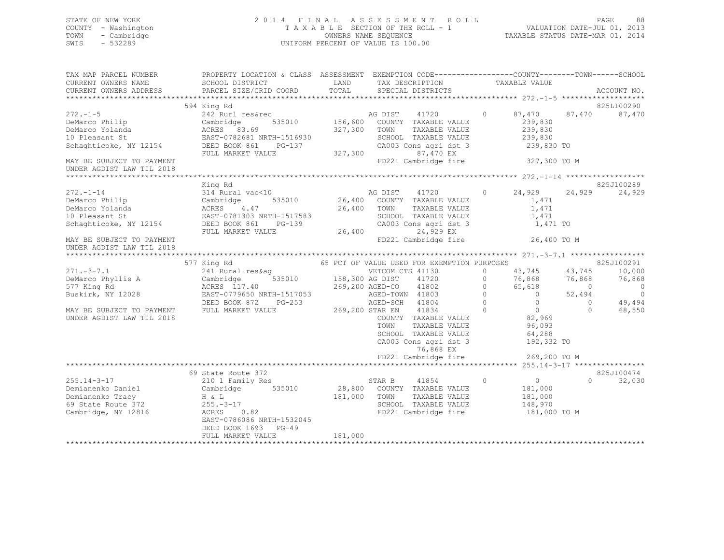## STATE OF NEW YORK 2 0 1 4 F I N A L A S S E S S M E N T R O L L PAGE 88 COUNTY - Washington T A X A B L E SECTION OF THE ROLL - 1 VALUATION DATE-JUL 01, 2013 TOWN - Cambridge OWNERS NAME SEQUENCE TAXABLE STATUS DATE-MAR 01, 2014 SWIS - 532289 UNIFORM PERCENT OF VALUE IS 100.00

| TAX MAP PARCEL NUMBER<br>CURRENT OWNERS NAME<br>CURRENT OWNERS ADDRESS | PROPERTY LOCATION & CLASS ASSESSMENT EXEMPTION CODE---------------COUNTY-------TOWN-----SCHOOL<br>SCHOOL DISTRICT<br>PARCEL SIZE/GRID COORD | LAND<br>TOTAL   | TAX DESCRIPTION<br>SPECIAL DISTRICTS        |          | TAXABLE VALUE  |            | ACCOUNT NO. |
|------------------------------------------------------------------------|---------------------------------------------------------------------------------------------------------------------------------------------|-----------------|---------------------------------------------|----------|----------------|------------|-------------|
|                                                                        |                                                                                                                                             |                 |                                             |          |                |            |             |
|                                                                        | 594 King Rd                                                                                                                                 |                 |                                             |          |                |            | 825L100290  |
| $272. - 1 - 5$                                                         | 242 Rurl res&rec                                                                                                                            |                 | AG DIST<br>41720                            | $\Omega$ | 87,470         | 87,470     | 87,470      |
| DeMarco Philip                                                         | 535010<br>Cambridge                                                                                                                         | 156,600         | COUNTY TAXABLE VALUE                        |          | 239,830        |            |             |
| DeMarco Yolanda                                                        | ACRES 83.69                                                                                                                                 | 327,300         | TOWN<br>TAXABLE VALUE                       |          | 239,830        |            |             |
| 10 Pleasant St                                                         | EAST-0782681 NRTH-1516930                                                                                                                   |                 | SCHOOL TAXABLE VALUE                        |          | 239,830        |            |             |
| Schaghticoke, NY 12154                                                 | DEED BOOK 861<br>PG-137                                                                                                                     |                 | CA003 Cons agri dst 3                       |          | 239,830 TO     |            |             |
|                                                                        | FULL MARKET VALUE                                                                                                                           | 327,300         | 87,470 EX                                   |          |                |            |             |
| MAY BE SUBJECT TO PAYMENT                                              |                                                                                                                                             |                 | FD221 Cambridge fire                        |          | 327,300 TO M   |            |             |
| UNDER AGDIST LAW TIL 2018                                              |                                                                                                                                             |                 |                                             |          |                |            |             |
|                                                                        |                                                                                                                                             |                 |                                             |          |                |            |             |
|                                                                        | King Rd                                                                                                                                     |                 |                                             |          |                |            | 825J100289  |
| $272. - 1 - 14$                                                        | 314 Rural vac<10                                                                                                                            |                 | AG DIST<br>41720                            | $\circ$  | 24,929         | 24,929     | 24,929      |
| DeMarco Philip                                                         | 535010<br>Cambridge                                                                                                                         |                 | 26,400 COUNTY TAXABLE VALUE                 |          | 1,471          |            |             |
| DeMarco Yolanda                                                        | ACRES<br>4.47                                                                                                                               | 26,400          | TOWN<br>TAXABLE VALUE                       |          | 1,471          |            |             |
| 10 Pleasant St                                                         | EAST-0781303 NRTH-1517583                                                                                                                   |                 | SCHOOL TAXABLE VALUE                        |          | 1,471          |            |             |
| Schaghticoke, NY 12154                                                 | DEED BOOK 861<br>PG-139                                                                                                                     |                 | CA003 Cons agri dst 3                       |          | 1,471 TO       |            |             |
|                                                                        | FULL MARKET VALUE                                                                                                                           | 26,400          | 24,929 EX                                   |          |                |            |             |
| MAY BE SUBJECT TO PAYMENT                                              |                                                                                                                                             |                 | FD221 Cambridge fire                        |          | 26,400 TO M    |            |             |
| UNDER AGDIST LAW TIL 2018                                              |                                                                                                                                             |                 |                                             |          |                |            |             |
|                                                                        |                                                                                                                                             |                 |                                             |          |                |            |             |
|                                                                        | 577 King Rd                                                                                                                                 |                 | 65 PCT OF VALUE USED FOR EXEMPTION PURPOSES |          |                |            | 825J100291  |
| $271 - 3 - 7.1$                                                        | 241 Rural res&ag                                                                                                                            |                 | VETCOM CTS 41130                            | $\Omega$ | 43,745         | 43,745     | 10,000      |
| DeMarco Phyllis A                                                      | 535010<br>Cambridge                                                                                                                         | 158,300 AG DIST | 41720                                       | $\Omega$ | 76,868         | 76,868     | 76,868      |
| 577 King Rd                                                            | ACRES 117.40                                                                                                                                |                 | 41802<br>269,200 AGED-CO                    | $\Omega$ | 65,618         | $\bigcirc$ | $\circ$     |
| Buskirk, NY 12028                                                      | EAST-0779650 NRTH-1517053                                                                                                                   |                 | AGED-TOWN 41803                             | $\Omega$ | $\circ$        | 52,494     | $\circ$     |
|                                                                        | DEED BOOK 872<br>$PG-253$                                                                                                                   |                 | AGED-SCH 41804                              | $\Omega$ | $\circ$        | $\circ$    | 49,494      |
| MAY BE SUBJECT TO PAYMENT                                              | FULL MARKET VALUE                                                                                                                           |                 | 269,200 STAR EN<br>41834                    | $\Omega$ | $\overline{0}$ | $\Omega$   | 68,550      |
| UNDER AGDIST LAW TIL 2018                                              |                                                                                                                                             |                 | COUNTY TAXABLE VALUE                        |          | 82,969         |            |             |
|                                                                        |                                                                                                                                             |                 | TOWN<br>TAXABLE VALUE                       |          | 96,093         |            |             |
|                                                                        |                                                                                                                                             |                 | SCHOOL TAXABLE VALUE                        |          | 64,288         |            |             |
|                                                                        |                                                                                                                                             |                 | CA003 Cons agri dst 3                       |          | 192,332 TO     |            |             |
|                                                                        |                                                                                                                                             |                 | 76,868 EX                                   |          |                |            |             |
|                                                                        |                                                                                                                                             |                 | FD221 Cambridge fire                        |          | 269,200 TO M   |            |             |
|                                                                        |                                                                                                                                             |                 |                                             |          |                |            |             |
|                                                                        | 69 State Route 372                                                                                                                          |                 |                                             |          |                |            | 825J100474  |
| $255.14 - 3 - 17$                                                      | 210 1 Family Res                                                                                                                            |                 | 41854<br>STAR B                             | $\circ$  | $\circ$        | $\Omega$   | 32,030      |
| Demianenko Daniel                                                      | Cambridge<br>535010                                                                                                                         | 28,800          | COUNTY TAXABLE VALUE                        |          | 181,000        |            |             |
| Demianenko Tracy                                                       | H & L                                                                                                                                       | 181,000         | TAXABLE VALUE<br>TOWN                       |          | 181,000        |            |             |
|                                                                        |                                                                                                                                             |                 | SCHOOL TAXABLE VALUE                        |          |                |            |             |
| 69 State Route 372<br>Cambridge, NY 12816                              | $255. - 3 - 17$<br>0.82                                                                                                                     |                 |                                             |          | 148,970        |            |             |
|                                                                        | ACRES                                                                                                                                       |                 | FD221 Cambridge fire                        |          | 181,000 TO M   |            |             |
|                                                                        | EAST-0786086 NRTH-1532045                                                                                                                   |                 |                                             |          |                |            |             |
|                                                                        | $PG-49$<br>DEED BOOK 1693                                                                                                                   |                 |                                             |          |                |            |             |
|                                                                        | FULL MARKET VALUE                                                                                                                           | 181,000         |                                             |          |                |            |             |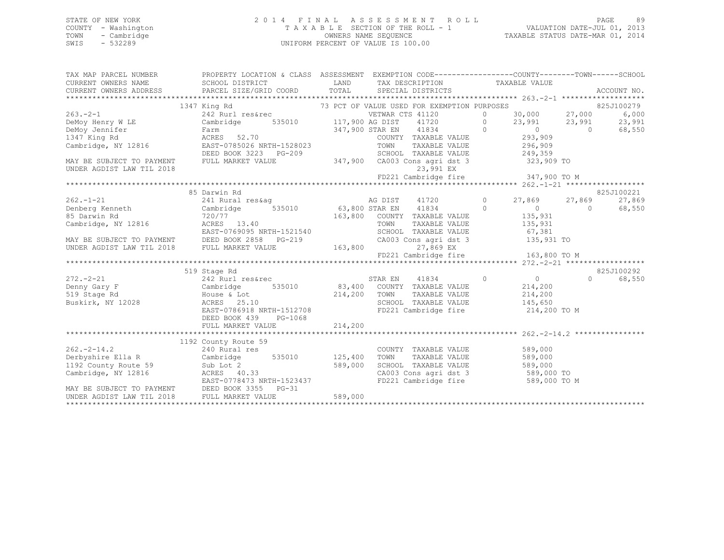## STATE OF NEW YORK 2 0 1 4 F I N A L A S S E S S M E N T R O L L PAGE 89 COUNTY - Washington T A X A B L E SECTION OF THE ROLL - 1 VALUATION DATE-JUL 01, 2013 TOWN - Cambridge OWNERS NAME SEQUENCE TAXABLE STATUS DATE-MAR 01, 2014 SWIS - 532289 UNIFORM PERCENT OF VALUE IS 100.00

| CURRENT OWNERS NAME SCHOOL DISTRICT<br>LAND TAX DESCRIPTION TAXABLE VALUE<br>CURRENT OWNERS ADDRESS<br>PARCEL SIZE/GRID COORD TOTAL SPECIAL DISTRICTS<br>ACCOUNT NO.<br>1347 King Rd<br>1347 King Rd<br>263.-2-1<br>263.-2-1<br>263.-2-1<br>263.-2-1<br>263.-2-1<br>263.-2-1<br>263.-2-1<br>263.-2-1<br>263.-2-1<br>263.-2-1<br>263.-2-1<br>263.-2-1<br>263.-2-1<br>263.-2-1<br>263.-2-1<br>263.-2-1<br>263.-2-1<br>263.-2-1<br>263.-2-1<br>263.<br>68,550<br>DEED BOOK 3223 PG-209<br>SCHOOL TAXABLE VALUE 249,359<br>347,900 CA003 Cons agri dst 3 323,909 TO<br>MAY BE SUBJECT TO PAYMENT<br>FULL MARKET VALUE<br>23,991 EX<br>UNDER AGDIST LAW TIL 2018<br>85 Darwin Rd<br>825J100221<br>262.-1-21<br>241 Rural res&ag<br>241 Rural res&ag<br>27,869 27,869<br>27,869 27,869<br>27,869 Cambridge 535010<br>263,800 STAR EN 41834<br>263,800 COUNTY TAXABLE VALUE<br>2135,931<br>27,869<br>27,869<br>27,869<br>27,869<br>27,869<br>27,869<br>27,869<br>2<br>27,869<br>68,550<br>720/77<br>ACRES 13.40<br>CAMES 13.40<br>EAST-0769095 NRTH-1521540<br>MAY BE SUBJECT TO PAYMENT DEED BOOK 2858 PG-219<br>UNDER AGDIST LAW TIL 2018 FULL MARKET VALUE<br>EVELL MARKET VALUE 163,800 27,869 EX<br>27,869 EX<br>27,869 EX<br>27,869 EX<br>825J100292<br>519 Stage Rd<br>$\overline{0}$ 0<br>242 Rurl res&rec STAR EN 41834<br>$272 - 2 - 21$<br>$\Omega$<br>68,550<br>214,200<br>Cambridge 535010 83,400 COUNTY TAXABLE VALUE 214,200<br>House & Lot 214,200 TOWN TAXABLE VALUE 214,200<br>214,200 SCHOOL TAXABLE VALUE 214,200<br>EAST-0786918 NRTH-1512708 FD221 Cambridge fire 214,200 TO<br>Denny Gary F<br>519 Stage Rd<br>Buskirk, NY 12028<br>214,200 TO M<br>DEED BOOK 439 PG-1068<br>1192 County Route 59<br>240 Rural res<br>COUNTY TAXABLE VALUE 589,000<br>$262 - 2 - 14.2$<br>Derbyshire Ella R Cambridge 535010 125,400<br>TAXABLE VALUE 589,000<br>TOWN<br>1192 County Route 59<br>Cambridge, NY 12816<br>Cambridge, NY 12816<br>EAST-0778473 NRTH-1523437<br>SCHOOL TAXABLE VALUE 589,000<br>CA003 Cons agri dst 3 589,000 TO<br>FD221 Cambridge fire 589,000 TO M<br>MAY BE SUBJECT TO PAYMENT DEED BOOK 3355 PG-31<br>UNDER AGDIST LAW TIL 2018 FULL MARKET VALUE<br>589,000 | TAX MAP PARCEL NUMBER | PROPERTY LOCATION & CLASS ASSESSMENT EXEMPTION CODE----------------COUNTY-------TOWN------SCHOOL |  |  |  |
|-----------------------------------------------------------------------------------------------------------------------------------------------------------------------------------------------------------------------------------------------------------------------------------------------------------------------------------------------------------------------------------------------------------------------------------------------------------------------------------------------------------------------------------------------------------------------------------------------------------------------------------------------------------------------------------------------------------------------------------------------------------------------------------------------------------------------------------------------------------------------------------------------------------------------------------------------------------------------------------------------------------------------------------------------------------------------------------------------------------------------------------------------------------------------------------------------------------------------------------------------------------------------------------------------------------------------------------------------------------------------------------------------------------------------------------------------------------------------------------------------------------------------------------------------------------------------------------------------------------------------------------------------------------------------------------------------------------------------------------------------------------------------------------------------------------------------------------------------------------------------------------------------------------------------------------------------------------------------------------------------------------------------------------------------------------------------------------------------------------------------------------------------------------------------------------------------|-----------------------|--------------------------------------------------------------------------------------------------|--|--|--|
|                                                                                                                                                                                                                                                                                                                                                                                                                                                                                                                                                                                                                                                                                                                                                                                                                                                                                                                                                                                                                                                                                                                                                                                                                                                                                                                                                                                                                                                                                                                                                                                                                                                                                                                                                                                                                                                                                                                                                                                                                                                                                                                                                                                               |                       |                                                                                                  |  |  |  |
|                                                                                                                                                                                                                                                                                                                                                                                                                                                                                                                                                                                                                                                                                                                                                                                                                                                                                                                                                                                                                                                                                                                                                                                                                                                                                                                                                                                                                                                                                                                                                                                                                                                                                                                                                                                                                                                                                                                                                                                                                                                                                                                                                                                               |                       |                                                                                                  |  |  |  |
|                                                                                                                                                                                                                                                                                                                                                                                                                                                                                                                                                                                                                                                                                                                                                                                                                                                                                                                                                                                                                                                                                                                                                                                                                                                                                                                                                                                                                                                                                                                                                                                                                                                                                                                                                                                                                                                                                                                                                                                                                                                                                                                                                                                               |                       |                                                                                                  |  |  |  |
|                                                                                                                                                                                                                                                                                                                                                                                                                                                                                                                                                                                                                                                                                                                                                                                                                                                                                                                                                                                                                                                                                                                                                                                                                                                                                                                                                                                                                                                                                                                                                                                                                                                                                                                                                                                                                                                                                                                                                                                                                                                                                                                                                                                               |                       |                                                                                                  |  |  |  |
|                                                                                                                                                                                                                                                                                                                                                                                                                                                                                                                                                                                                                                                                                                                                                                                                                                                                                                                                                                                                                                                                                                                                                                                                                                                                                                                                                                                                                                                                                                                                                                                                                                                                                                                                                                                                                                                                                                                                                                                                                                                                                                                                                                                               |                       |                                                                                                  |  |  |  |
|                                                                                                                                                                                                                                                                                                                                                                                                                                                                                                                                                                                                                                                                                                                                                                                                                                                                                                                                                                                                                                                                                                                                                                                                                                                                                                                                                                                                                                                                                                                                                                                                                                                                                                                                                                                                                                                                                                                                                                                                                                                                                                                                                                                               |                       |                                                                                                  |  |  |  |
|                                                                                                                                                                                                                                                                                                                                                                                                                                                                                                                                                                                                                                                                                                                                                                                                                                                                                                                                                                                                                                                                                                                                                                                                                                                                                                                                                                                                                                                                                                                                                                                                                                                                                                                                                                                                                                                                                                                                                                                                                                                                                                                                                                                               |                       |                                                                                                  |  |  |  |
|                                                                                                                                                                                                                                                                                                                                                                                                                                                                                                                                                                                                                                                                                                                                                                                                                                                                                                                                                                                                                                                                                                                                                                                                                                                                                                                                                                                                                                                                                                                                                                                                                                                                                                                                                                                                                                                                                                                                                                                                                                                                                                                                                                                               |                       |                                                                                                  |  |  |  |
|                                                                                                                                                                                                                                                                                                                                                                                                                                                                                                                                                                                                                                                                                                                                                                                                                                                                                                                                                                                                                                                                                                                                                                                                                                                                                                                                                                                                                                                                                                                                                                                                                                                                                                                                                                                                                                                                                                                                                                                                                                                                                                                                                                                               |                       |                                                                                                  |  |  |  |
|                                                                                                                                                                                                                                                                                                                                                                                                                                                                                                                                                                                                                                                                                                                                                                                                                                                                                                                                                                                                                                                                                                                                                                                                                                                                                                                                                                                                                                                                                                                                                                                                                                                                                                                                                                                                                                                                                                                                                                                                                                                                                                                                                                                               |                       |                                                                                                  |  |  |  |
|                                                                                                                                                                                                                                                                                                                                                                                                                                                                                                                                                                                                                                                                                                                                                                                                                                                                                                                                                                                                                                                                                                                                                                                                                                                                                                                                                                                                                                                                                                                                                                                                                                                                                                                                                                                                                                                                                                                                                                                                                                                                                                                                                                                               |                       |                                                                                                  |  |  |  |
|                                                                                                                                                                                                                                                                                                                                                                                                                                                                                                                                                                                                                                                                                                                                                                                                                                                                                                                                                                                                                                                                                                                                                                                                                                                                                                                                                                                                                                                                                                                                                                                                                                                                                                                                                                                                                                                                                                                                                                                                                                                                                                                                                                                               |                       |                                                                                                  |  |  |  |
|                                                                                                                                                                                                                                                                                                                                                                                                                                                                                                                                                                                                                                                                                                                                                                                                                                                                                                                                                                                                                                                                                                                                                                                                                                                                                                                                                                                                                                                                                                                                                                                                                                                                                                                                                                                                                                                                                                                                                                                                                                                                                                                                                                                               |                       |                                                                                                  |  |  |  |
|                                                                                                                                                                                                                                                                                                                                                                                                                                                                                                                                                                                                                                                                                                                                                                                                                                                                                                                                                                                                                                                                                                                                                                                                                                                                                                                                                                                                                                                                                                                                                                                                                                                                                                                                                                                                                                                                                                                                                                                                                                                                                                                                                                                               |                       |                                                                                                  |  |  |  |
|                                                                                                                                                                                                                                                                                                                                                                                                                                                                                                                                                                                                                                                                                                                                                                                                                                                                                                                                                                                                                                                                                                                                                                                                                                                                                                                                                                                                                                                                                                                                                                                                                                                                                                                                                                                                                                                                                                                                                                                                                                                                                                                                                                                               |                       |                                                                                                  |  |  |  |
|                                                                                                                                                                                                                                                                                                                                                                                                                                                                                                                                                                                                                                                                                                                                                                                                                                                                                                                                                                                                                                                                                                                                                                                                                                                                                                                                                                                                                                                                                                                                                                                                                                                                                                                                                                                                                                                                                                                                                                                                                                                                                                                                                                                               |                       |                                                                                                  |  |  |  |
|                                                                                                                                                                                                                                                                                                                                                                                                                                                                                                                                                                                                                                                                                                                                                                                                                                                                                                                                                                                                                                                                                                                                                                                                                                                                                                                                                                                                                                                                                                                                                                                                                                                                                                                                                                                                                                                                                                                                                                                                                                                                                                                                                                                               |                       |                                                                                                  |  |  |  |
|                                                                                                                                                                                                                                                                                                                                                                                                                                                                                                                                                                                                                                                                                                                                                                                                                                                                                                                                                                                                                                                                                                                                                                                                                                                                                                                                                                                                                                                                                                                                                                                                                                                                                                                                                                                                                                                                                                                                                                                                                                                                                                                                                                                               |                       |                                                                                                  |  |  |  |
|                                                                                                                                                                                                                                                                                                                                                                                                                                                                                                                                                                                                                                                                                                                                                                                                                                                                                                                                                                                                                                                                                                                                                                                                                                                                                                                                                                                                                                                                                                                                                                                                                                                                                                                                                                                                                                                                                                                                                                                                                                                                                                                                                                                               |                       |                                                                                                  |  |  |  |
|                                                                                                                                                                                                                                                                                                                                                                                                                                                                                                                                                                                                                                                                                                                                                                                                                                                                                                                                                                                                                                                                                                                                                                                                                                                                                                                                                                                                                                                                                                                                                                                                                                                                                                                                                                                                                                                                                                                                                                                                                                                                                                                                                                                               |                       |                                                                                                  |  |  |  |
|                                                                                                                                                                                                                                                                                                                                                                                                                                                                                                                                                                                                                                                                                                                                                                                                                                                                                                                                                                                                                                                                                                                                                                                                                                                                                                                                                                                                                                                                                                                                                                                                                                                                                                                                                                                                                                                                                                                                                                                                                                                                                                                                                                                               |                       |                                                                                                  |  |  |  |
|                                                                                                                                                                                                                                                                                                                                                                                                                                                                                                                                                                                                                                                                                                                                                                                                                                                                                                                                                                                                                                                                                                                                                                                                                                                                                                                                                                                                                                                                                                                                                                                                                                                                                                                                                                                                                                                                                                                                                                                                                                                                                                                                                                                               |                       |                                                                                                  |  |  |  |
|                                                                                                                                                                                                                                                                                                                                                                                                                                                                                                                                                                                                                                                                                                                                                                                                                                                                                                                                                                                                                                                                                                                                                                                                                                                                                                                                                                                                                                                                                                                                                                                                                                                                                                                                                                                                                                                                                                                                                                                                                                                                                                                                                                                               |                       |                                                                                                  |  |  |  |
|                                                                                                                                                                                                                                                                                                                                                                                                                                                                                                                                                                                                                                                                                                                                                                                                                                                                                                                                                                                                                                                                                                                                                                                                                                                                                                                                                                                                                                                                                                                                                                                                                                                                                                                                                                                                                                                                                                                                                                                                                                                                                                                                                                                               |                       |                                                                                                  |  |  |  |
|                                                                                                                                                                                                                                                                                                                                                                                                                                                                                                                                                                                                                                                                                                                                                                                                                                                                                                                                                                                                                                                                                                                                                                                                                                                                                                                                                                                                                                                                                                                                                                                                                                                                                                                                                                                                                                                                                                                                                                                                                                                                                                                                                                                               |                       |                                                                                                  |  |  |  |
|                                                                                                                                                                                                                                                                                                                                                                                                                                                                                                                                                                                                                                                                                                                                                                                                                                                                                                                                                                                                                                                                                                                                                                                                                                                                                                                                                                                                                                                                                                                                                                                                                                                                                                                                                                                                                                                                                                                                                                                                                                                                                                                                                                                               |                       |                                                                                                  |  |  |  |
|                                                                                                                                                                                                                                                                                                                                                                                                                                                                                                                                                                                                                                                                                                                                                                                                                                                                                                                                                                                                                                                                                                                                                                                                                                                                                                                                                                                                                                                                                                                                                                                                                                                                                                                                                                                                                                                                                                                                                                                                                                                                                                                                                                                               |                       |                                                                                                  |  |  |  |
|                                                                                                                                                                                                                                                                                                                                                                                                                                                                                                                                                                                                                                                                                                                                                                                                                                                                                                                                                                                                                                                                                                                                                                                                                                                                                                                                                                                                                                                                                                                                                                                                                                                                                                                                                                                                                                                                                                                                                                                                                                                                                                                                                                                               |                       |                                                                                                  |  |  |  |
|                                                                                                                                                                                                                                                                                                                                                                                                                                                                                                                                                                                                                                                                                                                                                                                                                                                                                                                                                                                                                                                                                                                                                                                                                                                                                                                                                                                                                                                                                                                                                                                                                                                                                                                                                                                                                                                                                                                                                                                                                                                                                                                                                                                               |                       |                                                                                                  |  |  |  |
|                                                                                                                                                                                                                                                                                                                                                                                                                                                                                                                                                                                                                                                                                                                                                                                                                                                                                                                                                                                                                                                                                                                                                                                                                                                                                                                                                                                                                                                                                                                                                                                                                                                                                                                                                                                                                                                                                                                                                                                                                                                                                                                                                                                               |                       |                                                                                                  |  |  |  |
|                                                                                                                                                                                                                                                                                                                                                                                                                                                                                                                                                                                                                                                                                                                                                                                                                                                                                                                                                                                                                                                                                                                                                                                                                                                                                                                                                                                                                                                                                                                                                                                                                                                                                                                                                                                                                                                                                                                                                                                                                                                                                                                                                                                               |                       |                                                                                                  |  |  |  |
|                                                                                                                                                                                                                                                                                                                                                                                                                                                                                                                                                                                                                                                                                                                                                                                                                                                                                                                                                                                                                                                                                                                                                                                                                                                                                                                                                                                                                                                                                                                                                                                                                                                                                                                                                                                                                                                                                                                                                                                                                                                                                                                                                                                               |                       |                                                                                                  |  |  |  |
|                                                                                                                                                                                                                                                                                                                                                                                                                                                                                                                                                                                                                                                                                                                                                                                                                                                                                                                                                                                                                                                                                                                                                                                                                                                                                                                                                                                                                                                                                                                                                                                                                                                                                                                                                                                                                                                                                                                                                                                                                                                                                                                                                                                               |                       |                                                                                                  |  |  |  |
|                                                                                                                                                                                                                                                                                                                                                                                                                                                                                                                                                                                                                                                                                                                                                                                                                                                                                                                                                                                                                                                                                                                                                                                                                                                                                                                                                                                                                                                                                                                                                                                                                                                                                                                                                                                                                                                                                                                                                                                                                                                                                                                                                                                               |                       |                                                                                                  |  |  |  |
|                                                                                                                                                                                                                                                                                                                                                                                                                                                                                                                                                                                                                                                                                                                                                                                                                                                                                                                                                                                                                                                                                                                                                                                                                                                                                                                                                                                                                                                                                                                                                                                                                                                                                                                                                                                                                                                                                                                                                                                                                                                                                                                                                                                               |                       |                                                                                                  |  |  |  |
|                                                                                                                                                                                                                                                                                                                                                                                                                                                                                                                                                                                                                                                                                                                                                                                                                                                                                                                                                                                                                                                                                                                                                                                                                                                                                                                                                                                                                                                                                                                                                                                                                                                                                                                                                                                                                                                                                                                                                                                                                                                                                                                                                                                               |                       |                                                                                                  |  |  |  |
|                                                                                                                                                                                                                                                                                                                                                                                                                                                                                                                                                                                                                                                                                                                                                                                                                                                                                                                                                                                                                                                                                                                                                                                                                                                                                                                                                                                                                                                                                                                                                                                                                                                                                                                                                                                                                                                                                                                                                                                                                                                                                                                                                                                               |                       |                                                                                                  |  |  |  |
|                                                                                                                                                                                                                                                                                                                                                                                                                                                                                                                                                                                                                                                                                                                                                                                                                                                                                                                                                                                                                                                                                                                                                                                                                                                                                                                                                                                                                                                                                                                                                                                                                                                                                                                                                                                                                                                                                                                                                                                                                                                                                                                                                                                               |                       |                                                                                                  |  |  |  |
|                                                                                                                                                                                                                                                                                                                                                                                                                                                                                                                                                                                                                                                                                                                                                                                                                                                                                                                                                                                                                                                                                                                                                                                                                                                                                                                                                                                                                                                                                                                                                                                                                                                                                                                                                                                                                                                                                                                                                                                                                                                                                                                                                                                               |                       |                                                                                                  |  |  |  |
|                                                                                                                                                                                                                                                                                                                                                                                                                                                                                                                                                                                                                                                                                                                                                                                                                                                                                                                                                                                                                                                                                                                                                                                                                                                                                                                                                                                                                                                                                                                                                                                                                                                                                                                                                                                                                                                                                                                                                                                                                                                                                                                                                                                               |                       |                                                                                                  |  |  |  |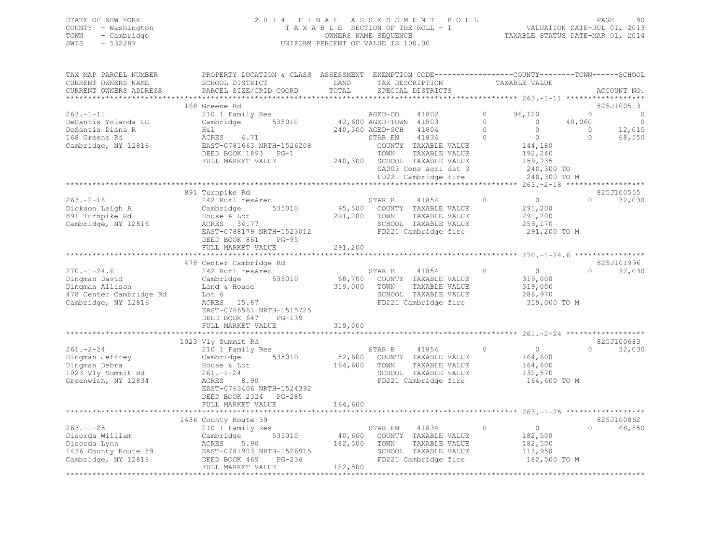|      | STATE OF NEW YORK   | 2014 FINAL ASSESSMENT ROLL         | <b>PAGE</b>                      | 90 |
|------|---------------------|------------------------------------|----------------------------------|----|
|      | COUNTY - Washington | TAXABLE SECTION OF THE ROLL - 1    | VALUATION DATE-JUL 01, 2013      |    |
|      | TOWN - Cambridge    | OWNERS NAME SEOUENCE               | TAXABLE STATUS DATE-MAR 01, 2014 |    |
| SWIS | - 532289            | UNIFORM PERCENT OF VALUE IS 100.00 |                                  |    |

| SCHOOL DISTRICT<br>TOTAL<br>CURRENT OWNERS ADDRESS<br>PARCEL SIZE/GRID COORD<br>SPECIAL DISTRICTS<br>ACCOUNT NO.<br>*********************<br>168 Greene Rd<br>825J100513<br>$263. -1 - 11$<br>210 1 Family Res<br>$\circ$<br>96,120<br>$\Omega$<br>$\Omega$<br>AGED-CO<br>41802<br>42,600 AGED-TOWN 41803<br>$\Omega$<br>$\overline{0}$<br>DeSantis Yolanda LE<br>Cambridge<br>535010<br>$\circ$<br>48,060<br>$\circ$<br>DeSantis Diana R<br>240,300 AGED-SCH<br>41804<br>$\circ$<br>12,015<br>H&l<br>$\Omega$<br>$\Omega$<br>$\Omega$<br>168 Greene Rd<br>4.71<br>41834<br>$\bigcirc$<br>68,550<br>ACRES<br>STAR EN<br>Cambridge, NY 12816<br>EAST-0781663 NRTH-1526208<br>COUNTY TAXABLE VALUE<br>144,180<br>DEED BOOK 1893 PG-1<br>TOWN<br>TAXABLE VALUE<br>192,240<br>FULL MARKET VALUE<br>240,300<br>SCHOOL TAXABLE VALUE<br>159,735<br>CA003 Cons agri dst 3<br>240,300 TO<br>FD221 Cambridge fire<br>240,300 TO M<br>891 Turnpike Rd<br>825J100555<br>$263. -2 - 18$<br>$\Omega$<br>$\circ$<br>32,030<br>242 Rurl res&rec<br>$\Omega$<br>STAR B<br>41854<br>535010<br>95,500<br>COUNTY TAXABLE VALUE<br>Dickson Leigh A<br>Cambridge<br>291,200<br>891 Turnpike Rd<br>TAXABLE VALUE<br>House & Lot<br>291,200<br>TOWN<br>291,200<br>SCHOOL TAXABLE VALUE<br>Cambridge, NY 12816<br>ACRES 34.77<br>259,170<br>EAST-0788179 NRTH-1523012<br>FD221 Cambridge fire<br>291,200 TO M<br>DEED BOOK 861<br>$PG-95$<br>291,200<br>FULL MARKET VALUE<br>478 Center Cambridge Rd<br>825J101996<br>32,030<br>$270. - 1 - 24.6$<br>$\circ$<br>$\overline{0}$<br>$\Omega$<br>242 Rurl res&rec<br>STAR B<br>41854<br>Dingman David<br>535010<br>Cambridge<br>68,700<br>COUNTY TAXABLE VALUE<br>319,000<br>319,000<br>Dingman Allison<br>Land & House<br>TOWN<br>TAXABLE VALUE<br>319,000<br>478 Center Cambridge Rd<br>Lot 6<br>SCHOOL TAXABLE VALUE<br>286,970<br>Cambridge, NY 12816<br>FD221 Cambridge fire<br>ACRES 15.87<br>319,000 TO M<br>EAST-0766561 NRTH-1515725<br>DEED BOOK 647<br>PG-139<br>FULL MARKET VALUE<br>319,000<br>1023 Vly Summit Rd<br>825J100683<br>$261. - 2 - 24$<br>$\circ$<br>$\Omega$<br>210 1 Family Res<br>41854<br>$\Omega$<br>32,030<br>STAR B<br>Dingman Jeffrey<br>535010<br>52,600<br>COUNTY TAXABLE VALUE<br>Cambridge<br>164,600 |
|-----------------------------------------------------------------------------------------------------------------------------------------------------------------------------------------------------------------------------------------------------------------------------------------------------------------------------------------------------------------------------------------------------------------------------------------------------------------------------------------------------------------------------------------------------------------------------------------------------------------------------------------------------------------------------------------------------------------------------------------------------------------------------------------------------------------------------------------------------------------------------------------------------------------------------------------------------------------------------------------------------------------------------------------------------------------------------------------------------------------------------------------------------------------------------------------------------------------------------------------------------------------------------------------------------------------------------------------------------------------------------------------------------------------------------------------------------------------------------------------------------------------------------------------------------------------------------------------------------------------------------------------------------------------------------------------------------------------------------------------------------------------------------------------------------------------------------------------------------------------------------------------------------------------------------------------------------------------------------------------------------------------------------------------------------------------------------------------------------------------------------------------------------------------------------------------------------------------------------------------------------------------|
|                                                                                                                                                                                                                                                                                                                                                                                                                                                                                                                                                                                                                                                                                                                                                                                                                                                                                                                                                                                                                                                                                                                                                                                                                                                                                                                                                                                                                                                                                                                                                                                                                                                                                                                                                                                                                                                                                                                                                                                                                                                                                                                                                                                                                                                                 |
|                                                                                                                                                                                                                                                                                                                                                                                                                                                                                                                                                                                                                                                                                                                                                                                                                                                                                                                                                                                                                                                                                                                                                                                                                                                                                                                                                                                                                                                                                                                                                                                                                                                                                                                                                                                                                                                                                                                                                                                                                                                                                                                                                                                                                                                                 |
|                                                                                                                                                                                                                                                                                                                                                                                                                                                                                                                                                                                                                                                                                                                                                                                                                                                                                                                                                                                                                                                                                                                                                                                                                                                                                                                                                                                                                                                                                                                                                                                                                                                                                                                                                                                                                                                                                                                                                                                                                                                                                                                                                                                                                                                                 |
|                                                                                                                                                                                                                                                                                                                                                                                                                                                                                                                                                                                                                                                                                                                                                                                                                                                                                                                                                                                                                                                                                                                                                                                                                                                                                                                                                                                                                                                                                                                                                                                                                                                                                                                                                                                                                                                                                                                                                                                                                                                                                                                                                                                                                                                                 |
|                                                                                                                                                                                                                                                                                                                                                                                                                                                                                                                                                                                                                                                                                                                                                                                                                                                                                                                                                                                                                                                                                                                                                                                                                                                                                                                                                                                                                                                                                                                                                                                                                                                                                                                                                                                                                                                                                                                                                                                                                                                                                                                                                                                                                                                                 |
|                                                                                                                                                                                                                                                                                                                                                                                                                                                                                                                                                                                                                                                                                                                                                                                                                                                                                                                                                                                                                                                                                                                                                                                                                                                                                                                                                                                                                                                                                                                                                                                                                                                                                                                                                                                                                                                                                                                                                                                                                                                                                                                                                                                                                                                                 |
|                                                                                                                                                                                                                                                                                                                                                                                                                                                                                                                                                                                                                                                                                                                                                                                                                                                                                                                                                                                                                                                                                                                                                                                                                                                                                                                                                                                                                                                                                                                                                                                                                                                                                                                                                                                                                                                                                                                                                                                                                                                                                                                                                                                                                                                                 |
|                                                                                                                                                                                                                                                                                                                                                                                                                                                                                                                                                                                                                                                                                                                                                                                                                                                                                                                                                                                                                                                                                                                                                                                                                                                                                                                                                                                                                                                                                                                                                                                                                                                                                                                                                                                                                                                                                                                                                                                                                                                                                                                                                                                                                                                                 |
|                                                                                                                                                                                                                                                                                                                                                                                                                                                                                                                                                                                                                                                                                                                                                                                                                                                                                                                                                                                                                                                                                                                                                                                                                                                                                                                                                                                                                                                                                                                                                                                                                                                                                                                                                                                                                                                                                                                                                                                                                                                                                                                                                                                                                                                                 |
|                                                                                                                                                                                                                                                                                                                                                                                                                                                                                                                                                                                                                                                                                                                                                                                                                                                                                                                                                                                                                                                                                                                                                                                                                                                                                                                                                                                                                                                                                                                                                                                                                                                                                                                                                                                                                                                                                                                                                                                                                                                                                                                                                                                                                                                                 |
|                                                                                                                                                                                                                                                                                                                                                                                                                                                                                                                                                                                                                                                                                                                                                                                                                                                                                                                                                                                                                                                                                                                                                                                                                                                                                                                                                                                                                                                                                                                                                                                                                                                                                                                                                                                                                                                                                                                                                                                                                                                                                                                                                                                                                                                                 |
|                                                                                                                                                                                                                                                                                                                                                                                                                                                                                                                                                                                                                                                                                                                                                                                                                                                                                                                                                                                                                                                                                                                                                                                                                                                                                                                                                                                                                                                                                                                                                                                                                                                                                                                                                                                                                                                                                                                                                                                                                                                                                                                                                                                                                                                                 |
|                                                                                                                                                                                                                                                                                                                                                                                                                                                                                                                                                                                                                                                                                                                                                                                                                                                                                                                                                                                                                                                                                                                                                                                                                                                                                                                                                                                                                                                                                                                                                                                                                                                                                                                                                                                                                                                                                                                                                                                                                                                                                                                                                                                                                                                                 |
|                                                                                                                                                                                                                                                                                                                                                                                                                                                                                                                                                                                                                                                                                                                                                                                                                                                                                                                                                                                                                                                                                                                                                                                                                                                                                                                                                                                                                                                                                                                                                                                                                                                                                                                                                                                                                                                                                                                                                                                                                                                                                                                                                                                                                                                                 |
|                                                                                                                                                                                                                                                                                                                                                                                                                                                                                                                                                                                                                                                                                                                                                                                                                                                                                                                                                                                                                                                                                                                                                                                                                                                                                                                                                                                                                                                                                                                                                                                                                                                                                                                                                                                                                                                                                                                                                                                                                                                                                                                                                                                                                                                                 |
|                                                                                                                                                                                                                                                                                                                                                                                                                                                                                                                                                                                                                                                                                                                                                                                                                                                                                                                                                                                                                                                                                                                                                                                                                                                                                                                                                                                                                                                                                                                                                                                                                                                                                                                                                                                                                                                                                                                                                                                                                                                                                                                                                                                                                                                                 |
|                                                                                                                                                                                                                                                                                                                                                                                                                                                                                                                                                                                                                                                                                                                                                                                                                                                                                                                                                                                                                                                                                                                                                                                                                                                                                                                                                                                                                                                                                                                                                                                                                                                                                                                                                                                                                                                                                                                                                                                                                                                                                                                                                                                                                                                                 |
|                                                                                                                                                                                                                                                                                                                                                                                                                                                                                                                                                                                                                                                                                                                                                                                                                                                                                                                                                                                                                                                                                                                                                                                                                                                                                                                                                                                                                                                                                                                                                                                                                                                                                                                                                                                                                                                                                                                                                                                                                                                                                                                                                                                                                                                                 |
|                                                                                                                                                                                                                                                                                                                                                                                                                                                                                                                                                                                                                                                                                                                                                                                                                                                                                                                                                                                                                                                                                                                                                                                                                                                                                                                                                                                                                                                                                                                                                                                                                                                                                                                                                                                                                                                                                                                                                                                                                                                                                                                                                                                                                                                                 |
|                                                                                                                                                                                                                                                                                                                                                                                                                                                                                                                                                                                                                                                                                                                                                                                                                                                                                                                                                                                                                                                                                                                                                                                                                                                                                                                                                                                                                                                                                                                                                                                                                                                                                                                                                                                                                                                                                                                                                                                                                                                                                                                                                                                                                                                                 |
|                                                                                                                                                                                                                                                                                                                                                                                                                                                                                                                                                                                                                                                                                                                                                                                                                                                                                                                                                                                                                                                                                                                                                                                                                                                                                                                                                                                                                                                                                                                                                                                                                                                                                                                                                                                                                                                                                                                                                                                                                                                                                                                                                                                                                                                                 |
|                                                                                                                                                                                                                                                                                                                                                                                                                                                                                                                                                                                                                                                                                                                                                                                                                                                                                                                                                                                                                                                                                                                                                                                                                                                                                                                                                                                                                                                                                                                                                                                                                                                                                                                                                                                                                                                                                                                                                                                                                                                                                                                                                                                                                                                                 |
|                                                                                                                                                                                                                                                                                                                                                                                                                                                                                                                                                                                                                                                                                                                                                                                                                                                                                                                                                                                                                                                                                                                                                                                                                                                                                                                                                                                                                                                                                                                                                                                                                                                                                                                                                                                                                                                                                                                                                                                                                                                                                                                                                                                                                                                                 |
|                                                                                                                                                                                                                                                                                                                                                                                                                                                                                                                                                                                                                                                                                                                                                                                                                                                                                                                                                                                                                                                                                                                                                                                                                                                                                                                                                                                                                                                                                                                                                                                                                                                                                                                                                                                                                                                                                                                                                                                                                                                                                                                                                                                                                                                                 |
|                                                                                                                                                                                                                                                                                                                                                                                                                                                                                                                                                                                                                                                                                                                                                                                                                                                                                                                                                                                                                                                                                                                                                                                                                                                                                                                                                                                                                                                                                                                                                                                                                                                                                                                                                                                                                                                                                                                                                                                                                                                                                                                                                                                                                                                                 |
|                                                                                                                                                                                                                                                                                                                                                                                                                                                                                                                                                                                                                                                                                                                                                                                                                                                                                                                                                                                                                                                                                                                                                                                                                                                                                                                                                                                                                                                                                                                                                                                                                                                                                                                                                                                                                                                                                                                                                                                                                                                                                                                                                                                                                                                                 |
|                                                                                                                                                                                                                                                                                                                                                                                                                                                                                                                                                                                                                                                                                                                                                                                                                                                                                                                                                                                                                                                                                                                                                                                                                                                                                                                                                                                                                                                                                                                                                                                                                                                                                                                                                                                                                                                                                                                                                                                                                                                                                                                                                                                                                                                                 |
|                                                                                                                                                                                                                                                                                                                                                                                                                                                                                                                                                                                                                                                                                                                                                                                                                                                                                                                                                                                                                                                                                                                                                                                                                                                                                                                                                                                                                                                                                                                                                                                                                                                                                                                                                                                                                                                                                                                                                                                                                                                                                                                                                                                                                                                                 |
|                                                                                                                                                                                                                                                                                                                                                                                                                                                                                                                                                                                                                                                                                                                                                                                                                                                                                                                                                                                                                                                                                                                                                                                                                                                                                                                                                                                                                                                                                                                                                                                                                                                                                                                                                                                                                                                                                                                                                                                                                                                                                                                                                                                                                                                                 |
|                                                                                                                                                                                                                                                                                                                                                                                                                                                                                                                                                                                                                                                                                                                                                                                                                                                                                                                                                                                                                                                                                                                                                                                                                                                                                                                                                                                                                                                                                                                                                                                                                                                                                                                                                                                                                                                                                                                                                                                                                                                                                                                                                                                                                                                                 |
|                                                                                                                                                                                                                                                                                                                                                                                                                                                                                                                                                                                                                                                                                                                                                                                                                                                                                                                                                                                                                                                                                                                                                                                                                                                                                                                                                                                                                                                                                                                                                                                                                                                                                                                                                                                                                                                                                                                                                                                                                                                                                                                                                                                                                                                                 |
|                                                                                                                                                                                                                                                                                                                                                                                                                                                                                                                                                                                                                                                                                                                                                                                                                                                                                                                                                                                                                                                                                                                                                                                                                                                                                                                                                                                                                                                                                                                                                                                                                                                                                                                                                                                                                                                                                                                                                                                                                                                                                                                                                                                                                                                                 |
|                                                                                                                                                                                                                                                                                                                                                                                                                                                                                                                                                                                                                                                                                                                                                                                                                                                                                                                                                                                                                                                                                                                                                                                                                                                                                                                                                                                                                                                                                                                                                                                                                                                                                                                                                                                                                                                                                                                                                                                                                                                                                                                                                                                                                                                                 |
|                                                                                                                                                                                                                                                                                                                                                                                                                                                                                                                                                                                                                                                                                                                                                                                                                                                                                                                                                                                                                                                                                                                                                                                                                                                                                                                                                                                                                                                                                                                                                                                                                                                                                                                                                                                                                                                                                                                                                                                                                                                                                                                                                                                                                                                                 |
|                                                                                                                                                                                                                                                                                                                                                                                                                                                                                                                                                                                                                                                                                                                                                                                                                                                                                                                                                                                                                                                                                                                                                                                                                                                                                                                                                                                                                                                                                                                                                                                                                                                                                                                                                                                                                                                                                                                                                                                                                                                                                                                                                                                                                                                                 |
| Dingman Debra<br>164,600<br>TOWN<br>TAXABLE VALUE<br>164,600<br>House & Lot                                                                                                                                                                                                                                                                                                                                                                                                                                                                                                                                                                                                                                                                                                                                                                                                                                                                                                                                                                                                                                                                                                                                                                                                                                                                                                                                                                                                                                                                                                                                                                                                                                                                                                                                                                                                                                                                                                                                                                                                                                                                                                                                                                                     |
| 1023 Vly Summit Rd<br>$261. - 1 - 24$<br>SCHOOL TAXABLE VALUE<br>132,570                                                                                                                                                                                                                                                                                                                                                                                                                                                                                                                                                                                                                                                                                                                                                                                                                                                                                                                                                                                                                                                                                                                                                                                                                                                                                                                                                                                                                                                                                                                                                                                                                                                                                                                                                                                                                                                                                                                                                                                                                                                                                                                                                                                        |
| Greenwich, NY 12834<br>8.90<br>FD221 Cambridge fire<br>164,600 TO M<br>ACRES                                                                                                                                                                                                                                                                                                                                                                                                                                                                                                                                                                                                                                                                                                                                                                                                                                                                                                                                                                                                                                                                                                                                                                                                                                                                                                                                                                                                                                                                                                                                                                                                                                                                                                                                                                                                                                                                                                                                                                                                                                                                                                                                                                                    |
| EAST-0763406 NRTH-1524392                                                                                                                                                                                                                                                                                                                                                                                                                                                                                                                                                                                                                                                                                                                                                                                                                                                                                                                                                                                                                                                                                                                                                                                                                                                                                                                                                                                                                                                                                                                                                                                                                                                                                                                                                                                                                                                                                                                                                                                                                                                                                                                                                                                                                                       |
| DEED BOOK 2324<br>PG-285                                                                                                                                                                                                                                                                                                                                                                                                                                                                                                                                                                                                                                                                                                                                                                                                                                                                                                                                                                                                                                                                                                                                                                                                                                                                                                                                                                                                                                                                                                                                                                                                                                                                                                                                                                                                                                                                                                                                                                                                                                                                                                                                                                                                                                        |
| 164,600<br>FULL MARKET VALUE                                                                                                                                                                                                                                                                                                                                                                                                                                                                                                                                                                                                                                                                                                                                                                                                                                                                                                                                                                                                                                                                                                                                                                                                                                                                                                                                                                                                                                                                                                                                                                                                                                                                                                                                                                                                                                                                                                                                                                                                                                                                                                                                                                                                                                    |
|                                                                                                                                                                                                                                                                                                                                                                                                                                                                                                                                                                                                                                                                                                                                                                                                                                                                                                                                                                                                                                                                                                                                                                                                                                                                                                                                                                                                                                                                                                                                                                                                                                                                                                                                                                                                                                                                                                                                                                                                                                                                                                                                                                                                                                                                 |
| 825J100862<br>1436 County Route 59                                                                                                                                                                                                                                                                                                                                                                                                                                                                                                                                                                                                                                                                                                                                                                                                                                                                                                                                                                                                                                                                                                                                                                                                                                                                                                                                                                                                                                                                                                                                                                                                                                                                                                                                                                                                                                                                                                                                                                                                                                                                                                                                                                                                                              |
| $\Omega$<br>$263. -1 - 25$<br>210 1 Family Res<br>$\Omega$<br>$\circ$<br>68,550<br>STAR EN<br>41834                                                                                                                                                                                                                                                                                                                                                                                                                                                                                                                                                                                                                                                                                                                                                                                                                                                                                                                                                                                                                                                                                                                                                                                                                                                                                                                                                                                                                                                                                                                                                                                                                                                                                                                                                                                                                                                                                                                                                                                                                                                                                                                                                             |
| Disorda William<br>40,600<br>Cambridge<br>535010<br>COUNTY TAXABLE VALUE<br>182,500                                                                                                                                                                                                                                                                                                                                                                                                                                                                                                                                                                                                                                                                                                                                                                                                                                                                                                                                                                                                                                                                                                                                                                                                                                                                                                                                                                                                                                                                                                                                                                                                                                                                                                                                                                                                                                                                                                                                                                                                                                                                                                                                                                             |
| Disorda Lynn<br>ACRES<br>5.90<br>182,500<br>TAXABLE VALUE<br>182,500<br>TOWN                                                                                                                                                                                                                                                                                                                                                                                                                                                                                                                                                                                                                                                                                                                                                                                                                                                                                                                                                                                                                                                                                                                                                                                                                                                                                                                                                                                                                                                                                                                                                                                                                                                                                                                                                                                                                                                                                                                                                                                                                                                                                                                                                                                    |
|                                                                                                                                                                                                                                                                                                                                                                                                                                                                                                                                                                                                                                                                                                                                                                                                                                                                                                                                                                                                                                                                                                                                                                                                                                                                                                                                                                                                                                                                                                                                                                                                                                                                                                                                                                                                                                                                                                                                                                                                                                                                                                                                                                                                                                                                 |
| 1436 County Route 59<br>EAST-0781903 NRTH-1526915<br>SCHOOL TAXABLE VALUE<br>113,950                                                                                                                                                                                                                                                                                                                                                                                                                                                                                                                                                                                                                                                                                                                                                                                                                                                                                                                                                                                                                                                                                                                                                                                                                                                                                                                                                                                                                                                                                                                                                                                                                                                                                                                                                                                                                                                                                                                                                                                                                                                                                                                                                                            |
| Cambridge, NY 12816<br>FD221 Cambridge fire<br>DEED BOOK 469<br>$PG-234$<br>182,500 TO M<br>182,500<br>FULL MARKET VALUE                                                                                                                                                                                                                                                                                                                                                                                                                                                                                                                                                                                                                                                                                                                                                                                                                                                                                                                                                                                                                                                                                                                                                                                                                                                                                                                                                                                                                                                                                                                                                                                                                                                                                                                                                                                                                                                                                                                                                                                                                                                                                                                                        |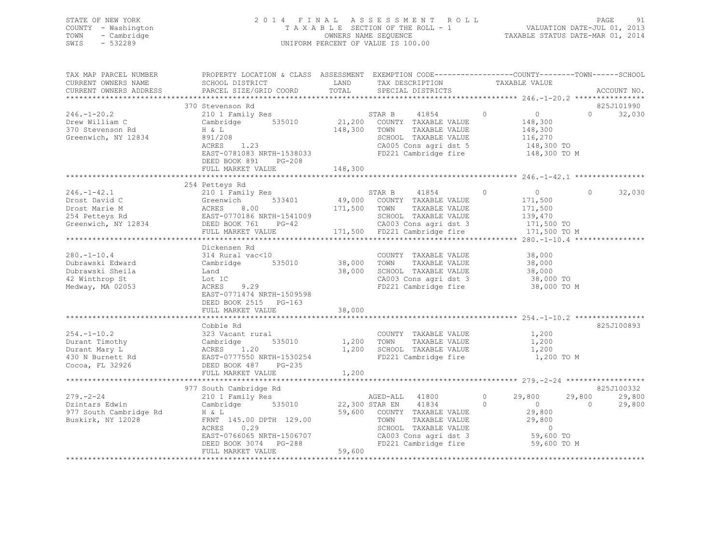| SWIS | STATE OF NEW YORK<br>COUNTY - Washington<br>TOWN - Cambridge<br>- 532289 |                                                                                                | 2014 FINAL ASSESSMENT ROLL<br>TAXABLE SECTION OF THE ROLL - 1<br>OWNERS NAME SEQUENCE<br>UNIFORM PERCENT OF VALUE IS 100.00 | VALUATION DATE-JUL 01, 2013<br>TAXABLE STATUS DATE-MAR 01, 2014 | PAGE | - 91 |
|------|--------------------------------------------------------------------------|------------------------------------------------------------------------------------------------|-----------------------------------------------------------------------------------------------------------------------------|-----------------------------------------------------------------|------|------|
|      | TAX MAP PARCEL NUMBER                                                    | PROPERTY LOCATION & CLASS ASSESSMENT EXEMPTION CODE---------------COUNTY-------TOWN-----SCHOOL |                                                                                                                             |                                                                 |      |      |

| CURRENT OWNERS NAME    | SCHOOL DISTRICT                                                              | LAND    | TAX DESCRIPTION                               |         | TAXABLE VALUE    |                    |
|------------------------|------------------------------------------------------------------------------|---------|-----------------------------------------------|---------|------------------|--------------------|
| CURRENT OWNERS ADDRESS | PARCEL SIZE/GRID COORD                                                       | TOTAL   | SPECIAL DISTRICTS                             |         |                  | ACCOUNT NO.        |
|                        |                                                                              |         |                                               |         |                  |                    |
|                        | 370 Stevenson Rd                                                             |         |                                               |         |                  | 825J101990         |
| $246. - 1 - 20.2$      | 210 1 Family Res                                                             |         | 41854<br>STAR B                               | $\circ$ | $\overline{0}$   | $\Omega$<br>32,030 |
| Drew William C         | Cambridge 535010                                                             |         | 21,200 COUNTY TAXABLE VALUE                   |         | 148,300          |                    |
| 370 Stevenson Rd       | H & L                                                                        | 148,300 | TOWN<br>TAXABLE VALUE                         |         | 148,300          |                    |
| Greenwich, NY 12834    | 891/208                                                                      |         | SCHOOL TAXABLE VALUE                          |         | 116,270          |                    |
|                        | 1.23<br>ACRES                                                                |         | CA005 Cons agri dst 5                         |         | $148,300$ TO     |                    |
|                        | EAST-0781083 NRTH-1538033                                                    |         | FD221 Cambridge fire                          |         | 148,300 TO M     |                    |
|                        |                                                                              |         |                                               |         |                  |                    |
|                        | DEED BOOK 891<br>PG-208                                                      |         |                                               |         |                  |                    |
|                        | FULL MARKET VALUE                                                            | 148,300 |                                               |         |                  |                    |
|                        |                                                                              |         |                                               |         |                  |                    |
|                        | 254 Petteys Rd                                                               |         |                                               |         |                  |                    |
| $246. - 1 - 42.1$      | 210 1 Family Res                                                             |         | STAR B<br>41854                               | $\circ$ | $\overline{0}$   | $\Omega$<br>32,030 |
| Drost David C          | 533401<br>Greenwich                                                          | 49,000  | COUNTY TAXABLE VALUE                          |         | 171,500          |                    |
| Drost Marie M          |                                                                              | 171,500 | TAXABLE VALUE<br>TOWN                         |         | 171,500          |                    |
| 254 Petteys Rd         |                                                                              |         | SCHOOL TAXABLE VALUE                          |         | 139,470          |                    |
| Greenwich, NY 12834    | ACRES 8.00<br>EAST-0770186 NRTH-1541009<br>PG-42<br>DEED BOOK 761<br>$PG-42$ |         | CA003 Cons agri dst 3                         |         | 171,500 TO       |                    |
|                        | FULL MARKET VALUE                                                            |         | 171,500 FD221 Cambridge fire                  |         | 171,500 TO M     |                    |
|                        | ************************                                                     |         |                                               |         |                  |                    |
|                        | Dickensen Rd                                                                 |         |                                               |         |                  |                    |
| $280. - 1 - 10.4$      | 314 Rural vac<10                                                             |         | COUNTY TAXABLE VALUE                          |         | 38,000           |                    |
| Dubrawski Edward       | Cambridge 535010                                                             | 38,000  | TOWN<br>TAXABLE VALUE                         |         | 38,000           |                    |
| Dubrawski Sheila       | Land                                                                         | 38,000  | SCHOOL TAXABLE VALUE                          |         | 38,000           |                    |
| 42 Winthrop St         | Lot 1C                                                                       |         |                                               |         | 38,000 TO        |                    |
|                        | 9.29                                                                         |         | CA003 Cons agri dst 3<br>FD221 Cambridge fire |         |                  |                    |
| Medway, MA 02053       | ACRES                                                                        |         |                                               |         | 38,000 TO M      |                    |
|                        | EAST-0771474 NRTH-1509598                                                    |         |                                               |         |                  |                    |
|                        | DEED BOOK 2515 PG-163                                                        |         |                                               |         |                  |                    |
|                        | FULL MARKET VALUE                                                            | 38,000  |                                               |         |                  |                    |
|                        |                                                                              |         |                                               |         |                  |                    |
|                        | Cobble Rd                                                                    |         |                                               |         |                  | 825J100893         |
| $254. - 1 - 10.2$      | 323 Vacant rural                                                             |         | COUNTY TAXABLE VALUE                          |         | 1,200            |                    |
| Durant Timothy         | Cambridge<br>535010                                                          | 1,200   | TOWN<br>TAXABLE VALUE                         |         | 1,200            |                    |
| Durant Mary L          | ACRES 1.20                                                                   | 1,200   | SCHOOL TAXABLE VALUE                          |         | 1,200            |                    |
| 430 N Burnett Rd       | EAST-0777550 NRTH-1530254                                                    |         | FD221 Cambridge fire                          |         | 1,200 TO M       |                    |
| Cocoa, FL 32926        | DEED BOOK 487<br>PG-235                                                      |         |                                               |         |                  |                    |
|                        | FULL MARKET VALUE                                                            | 1,200   |                                               |         |                  |                    |
|                        |                                                                              |         |                                               |         |                  |                    |
|                        | 977 South Cambridge Rd                                                       |         |                                               |         |                  | 825J100332         |
| $279. - 2 - 24$        | 210 1 Family Res                                                             |         | AGED-ALL 41800                                | $\circ$ | 29,800<br>29,800 | 29,800             |
| Dzintars Edwin         | 535010<br>Cambridge                                                          |         | 22,300 STAR EN 41834                          | $\circ$ | $\overline{0}$   | $\Omega$<br>29,800 |
| 977 South Cambridge Rd | H & L                                                                        |         | 59,600 COUNTY TAXABLE VALUE                   |         | 29,800           |                    |
| Buskirk, NY 12028      | FRNT 145.00 DPTH 129.00                                                      |         | TOWN<br>TAXABLE VALUE                         |         | 29,800           |                    |
|                        | ACRES<br>0.29                                                                |         | SCHOOL TAXABLE VALUE                          |         | $\circ$          |                    |
|                        |                                                                              |         |                                               |         |                  |                    |
|                        | EAST-0766065 NRTH-1506707                                                    |         | CA003 Cons agri dst 3<br>FD221 Cambridge fire |         | 59,600 TO        |                    |
|                        | DEED BOOK 3074<br>$PG-288$                                                   |         |                                               |         | 59,600 TO M      |                    |
|                        | FULL MARKET VALUE                                                            | 59,600  |                                               |         |                  |                    |
|                        |                                                                              |         |                                               |         |                  |                    |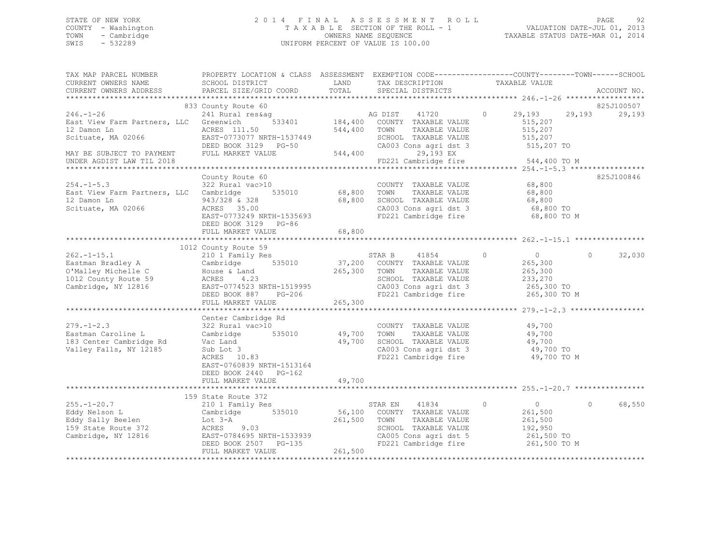## STATE OF NEW YORK 2 0 1 4 F I N A L A S S E S S M E N T R O L L PAGE 92 COUNTY - Washington T A X A B L E SECTION OF THE ROLL - 1 VALUATION DATE-JUL 01, 2013 TOWN - Cambridge OWNERS NAME SEQUENCE TAXABLE STATUS DATE-MAR 01, 2014 SWIS - 532289 UNIFORM PERCENT OF VALUE IS 100.00

| TAX MAP PARCEL NUMBER<br>CURRENT OWNERS NAME<br>CURRENT OWNERS ADDRESS                                      | PROPERTY LOCATION & CLASS ASSESSMENT EXEMPTION CODE---------------COUNTY-------TOWN-----SCHOOL<br>SCHOOL DISTRICT<br>PARCEL SIZE/GRID COORD               | LAND<br>TOTAL              | TAX DESCRIPTION<br>SPECIAL DISTRICTS                                                                                                              | TAXABLE VALUE                                                                                                                       | ACCOUNT NO.        |
|-------------------------------------------------------------------------------------------------------------|-----------------------------------------------------------------------------------------------------------------------------------------------------------|----------------------------|---------------------------------------------------------------------------------------------------------------------------------------------------|-------------------------------------------------------------------------------------------------------------------------------------|--------------------|
|                                                                                                             |                                                                                                                                                           |                            |                                                                                                                                                   |                                                                                                                                     |                    |
|                                                                                                             | 833 County Route 60                                                                                                                                       |                            |                                                                                                                                                   |                                                                                                                                     | 825J100507         |
| $246. - 1 - 26$<br>East View Farm Partners, LLC Greenwich<br>12 Damon Ln<br>Scituate, MA 02066              | 241 Rural res&aq<br>533401<br>ACRES 111.50<br>EAST-0773077 NRTH-1537449<br>DEED BOOK 3129 PG-50                                                           | 544,400 TOWN               | AG DIST 41720<br>184,400 COUNTY TAXABLE VALUE<br>TAXABLE VALUE<br>SCHOOL TAXABLE VALUE<br>CA003 Cons agri dst 3                                   | $\circ$<br>29,193<br>515,207<br>515,207<br>515,207<br>515,207 TO                                                                    | 29,193<br>29,193   |
| MAY BE SUBJECT TO PAYMENT<br>UNDER AGDIST LAW TIL 2018                                                      | FULL MARKET VALUE                                                                                                                                         | 544,400                    | 29,193 EX<br>FD221 Cambridge fire                                                                                                                 | 544,400 TO M                                                                                                                        |                    |
|                                                                                                             |                                                                                                                                                           |                            |                                                                                                                                                   |                                                                                                                                     |                    |
| $254. -1 - 5.3$<br>East View Farm Partners, LLC Cambridge<br>12 Damon Ln<br>Scituate, MA 02066              | County Route 60<br>322 Rural vac>10<br>535010<br>943/328 & 328<br>ACRES 35.00<br>EAST-0773249 NRTH-1535693                                                | 68,800                     | COUNTY TAXABLE VALUE<br>TAXABLE VALUE<br>SCHOOL TAXABLE VALUE<br>SCHOOL TAXABLE VALUE<br>CA003 Cons agri dst 3<br>FD221 Cambridge fire            | 68,800<br>68,800<br>68,800<br>68,800 TO<br>68,800 TO M                                                                              | 825J100846         |
|                                                                                                             | DEED BOOK 3129 PG-86<br>FULL MARKET VALUE                                                                                                                 | 68,800                     |                                                                                                                                                   |                                                                                                                                     |                    |
|                                                                                                             |                                                                                                                                                           |                            |                                                                                                                                                   |                                                                                                                                     |                    |
|                                                                                                             | 1012 County Route 59                                                                                                                                      |                            |                                                                                                                                                   |                                                                                                                                     |                    |
| $262. -1 - 15.1$<br>Eastman Bradley A<br>O'Malley Michelle C<br>1012 County Route 59<br>Cambridge, NY 12816 | 210 1 Family Res<br>535010<br>Cambridge<br>House & Land<br>ACRES<br>4.23<br>EAST-0774523 NRTH-1519995<br>DEED BOOK 887<br>PG-206<br>FULL MARKET VALUE     | 265,300<br>265,300         | STAR B<br>41854<br>37,200 COUNTY TAXABLE VALUE<br>TOWN<br>TAXABLE VALUE<br>SCHOOL TAXABLE VALUE                                                   | $\circ$<br>$\overline{0}$<br>265,300<br>265,300<br>233,270<br>CA003 Cons agri dst 3 265,300 TO<br>FD221 Cambridge fire 265,300 TO M | $\Omega$<br>32,030 |
|                                                                                                             |                                                                                                                                                           |                            |                                                                                                                                                   |                                                                                                                                     |                    |
| $279. - 1 - 2.3$<br>Eastman Caroline L<br>183 Center Cambridge Rd<br>Valley Falls, NY 12185                 | Center Cambridge Rd<br>322 Rural vac>10<br>Cambridge 535010<br>Vac Land<br>Sub Lot 3<br>ACRES 10.83<br>EAST-0760839 NRTH-1513164<br>DEED BOOK 2440 PG-162 | 49,700<br>49,700<br>49,700 | COUNTY TAXABLE VALUE<br>TOWN<br>TAXABLE VALUE<br>SCHOOL TAXABLE VALUE<br>CA003 Cons agri dst 3<br>FD221 Cambridge fire                            | 49,700<br>49,700<br>49,700<br>49,700 TO<br>49,700 TO M                                                                              |                    |
|                                                                                                             | FULL MARKET VALUE<br>**************************                                                                                                           |                            |                                                                                                                                                   | ********************************** 255.-1-20.7 **********                                                                           |                    |
|                                                                                                             | 159 State Route 372                                                                                                                                       |                            |                                                                                                                                                   |                                                                                                                                     |                    |
| $255. - 1 - 20.7$<br>Eddy Nelson L<br>Eddy Sally Beelen<br>159 State Route 372<br>Cambridge, NY 12816       | 210 1 Family Res<br>Cambridge 535010<br>Lot 3-A<br>ACRES 9.03<br>EAST-0784695 NRTH-1533939<br>DEED BOOK 2507 PG-135<br>FULL MARKET VALUE                  | 261,500<br>261,500         | 41834<br>STAR EN<br>56,100 COUNTY TAXABLE VALUE<br>TOWN<br>TAXABLE VALUE<br>SCHOOL TAXABLE VALUE<br>CA005 Cons agri dst 5<br>FD221 Cambridge fire | $\circ$<br>$\overline{0}$<br>261,500<br>261,500<br>192,950<br>261,500 TO<br>261,500 TO M                                            | $\circ$<br>68,550  |
|                                                                                                             |                                                                                                                                                           |                            |                                                                                                                                                   |                                                                                                                                     |                    |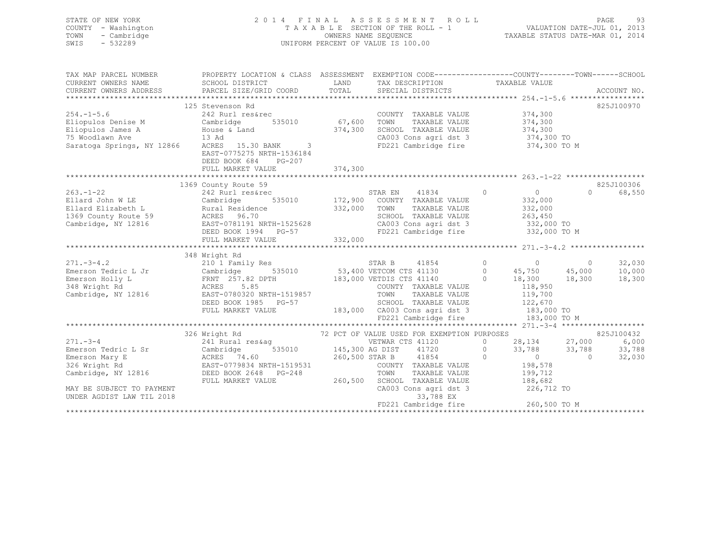| STATE OF NEW YORK<br>COUNTY - Washington<br>TOWN<br>- Cambridge<br>$-532289$<br>SWIS                                                                                                                                                                 |                                                                                                                                                                         |         | 2014 FINAL ASSESSMENT ROLL<br>UNIFORM PERCENT OF VALUE IS 100.00 |           |                                |          | 93<br>PAGE      |
|------------------------------------------------------------------------------------------------------------------------------------------------------------------------------------------------------------------------------------------------------|-------------------------------------------------------------------------------------------------------------------------------------------------------------------------|---------|------------------------------------------------------------------|-----------|--------------------------------|----------|-----------------|
| TAX MAP PARCEL NUMBER<br>CURRENT OWNERS NAME                                                                                                                                                                                                         | PROPERTY LOCATION & CLASS ASSESSMENT EXEMPTION CODE----------------COUNTY-------TOWN------SCHOOL<br>SCHOOL DISTRICT                                                     |         | LAND TAX DESCRIPTION                                             |           |                                |          |                 |
| CURRENT OWNERS ADDRESS                                                                                                                                                                                                                               | PARCEL SIZE/GRID COORD                                                                                                                                                  |         | TAX DESCRIPTION TAXABLE VALUE TOTAL SPECIAL DISTRICTS            |           |                                |          | ACCOUNT NO.     |
|                                                                                                                                                                                                                                                      |                                                                                                                                                                         |         |                                                                  |           |                                |          |                 |
|                                                                                                                                                                                                                                                      | 125 Stevenson Rd                                                                                                                                                        |         |                                                                  |           |                                |          | 825J100970      |
|                                                                                                                                                                                                                                                      |                                                                                                                                                                         |         |                                                                  |           |                                |          |                 |
|                                                                                                                                                                                                                                                      |                                                                                                                                                                         |         |                                                                  |           |                                |          |                 |
|                                                                                                                                                                                                                                                      |                                                                                                                                                                         |         |                                                                  |           |                                |          |                 |
|                                                                                                                                                                                                                                                      |                                                                                                                                                                         |         |                                                                  |           |                                |          |                 |
| 123 Suevenson Ka<br>242 Rurl resérec<br>Eliopulos James A (Cambridge 535010 67,600 TOWN TAXABLE VALUE 374,300<br>Eliopulos James A House & Land 374,300 SCHOOL TAXABLE VALUE 374,300<br>75 Woodlawn Ave 13 Ad (2003 Cons agri dst 3 37               | EAST-0775275 NRTH-1536184<br>DEED BOOK 684<br>PG-207                                                                                                                    |         |                                                                  |           |                                |          |                 |
|                                                                                                                                                                                                                                                      | FULL MARKET VALUE                                                                                                                                                       | 374,300 |                                                                  |           |                                |          |                 |
|                                                                                                                                                                                                                                                      |                                                                                                                                                                         |         |                                                                  |           |                                |          | 825J100306      |
|                                                                                                                                                                                                                                                      | 1369 County Route 59                                                                                                                                                    |         |                                                                  |           |                                | $\Omega$ | 68,550          |
|                                                                                                                                                                                                                                                      |                                                                                                                                                                         |         |                                                                  |           | $0$<br>332,000                 |          |                 |
|                                                                                                                                                                                                                                                      |                                                                                                                                                                         |         |                                                                  |           | 332,000                        |          |                 |
|                                                                                                                                                                                                                                                      |                                                                                                                                                                         |         |                                                                  |           | 263,450                        |          |                 |
| 263.-1-22<br>Ellard John W LE<br>Ellard Elizabeth L Cambridge 535010<br>242 Rurl res&rcc 535010<br>242 Rurl res&rcc 535010<br>242 Rurl res&rcc<br>255010<br>263.-1-22<br>242 Rurl res&rcc<br>255010<br>232,000 TOWN TAXABLE VALUE<br>232,000 TOWN TA |                                                                                                                                                                         |         |                                                                  |           |                                |          |                 |
|                                                                                                                                                                                                                                                      | DEED BOOK 1994 PG-57                                                                                                                                                    |         | FD221 Cambridge fire                                             |           | 332,000 TO M                   |          |                 |
|                                                                                                                                                                                                                                                      | FULL MARKET VALUE                                                                                                                                                       | 332,000 |                                                                  |           |                                |          |                 |
|                                                                                                                                                                                                                                                      |                                                                                                                                                                         |         |                                                                  |           |                                |          |                 |
|                                                                                                                                                                                                                                                      | 348 Wright Rd                                                                                                                                                           |         |                                                                  |           |                                |          |                 |
|                                                                                                                                                                                                                                                      |                                                                                                                                                                         |         |                                                                  |           |                                |          | 32,030          |
|                                                                                                                                                                                                                                                      |                                                                                                                                                                         |         |                                                                  |           |                                |          | 10,000          |
|                                                                                                                                                                                                                                                      |                                                                                                                                                                         |         |                                                                  |           |                                |          | 18,300          |
|                                                                                                                                                                                                                                                      |                                                                                                                                                                         |         |                                                                  |           |                                |          |                 |
| Cambridge, NY 12816 EAST-0780320 NRTH-1519857                                                                                                                                                                                                        | EAST-0780320 NRTH-1519857 TOWN TAXABLE VALUE 119,700<br>DEED BOOK 1985 PG-57 SCHOOL TAXABLE VALUE 122,670<br>FULL MARKET VALUE 183,000 CA003 Cons agri dst 3 183,000 TO |         |                                                                  |           |                                |          |                 |
|                                                                                                                                                                                                                                                      |                                                                                                                                                                         |         |                                                                  |           |                                |          |                 |
|                                                                                                                                                                                                                                                      |                                                                                                                                                                         |         |                                                                  |           |                                |          |                 |
|                                                                                                                                                                                                                                                      |                                                                                                                                                                         |         | FD221 Cambridge fire                                             |           | 183,000 TO M                   |          |                 |
|                                                                                                                                                                                                                                                      |                                                                                                                                                                         |         |                                                                  |           |                                |          |                 |
|                                                                                                                                                                                                                                                      |                                                                                                                                                                         |         |                                                                  |           | 0 $28,134$ $27,000$            |          | 825J100432      |
|                                                                                                                                                                                                                                                      |                                                                                                                                                                         |         |                                                                  |           |                                |          | 6,000<br>33,788 |
|                                                                                                                                                                                                                                                      |                                                                                                                                                                         |         |                                                                  |           | $0$ $33,788$ $33,788$<br>0 0 0 |          | 32,030          |
|                                                                                                                                                                                                                                                      |                                                                                                                                                                         |         |                                                                  |           |                                |          |                 |
|                                                                                                                                                                                                                                                      |                                                                                                                                                                         |         |                                                                  |           |                                |          |                 |
|                                                                                                                                                                                                                                                      | FULL MARKET VALUE                                                                                                                                                       |         | 260,500 SCHOOL TAXABLE VALUE                                     |           |                                |          |                 |
| MAY BE SUBJECT TO PAYMENT                                                                                                                                                                                                                            |                                                                                                                                                                         |         | $CA003$ Cons agri dst 3                                          |           | 188,682<br>226,712 TO          |          |                 |
| UNDER AGDIST LAW TIL 2018                                                                                                                                                                                                                            |                                                                                                                                                                         |         |                                                                  | 33,788 EX |                                |          |                 |

UNDER AGDIST LAW TIL 2018

FD221 Cambridge fire 260,500 TO M \*\*\*\*\*\*\*\*\*\*\*\*\*\*\*\*\*\*\*\*\*\*\*\*\*\*\*\*\*\*\*\*\*\*\*\*\*\*\*\*\*\*\*\*\*\*\*\*\*\*\*\*\*\*\*\*\*\*\*\*\*\*\*\*\*\*\*\*\*\*\*\*\*\*\*\*\*\*\*\*\*\*\*\*\*\*\*\*\*\*\*\*\*\*\*\*\*\*\*\*\*\*\*\*\*\*\*\*\*\*\*\*\*\*\*\*\*\*\*\*\*\*\*\*\*\*\*\*\*\*\*\*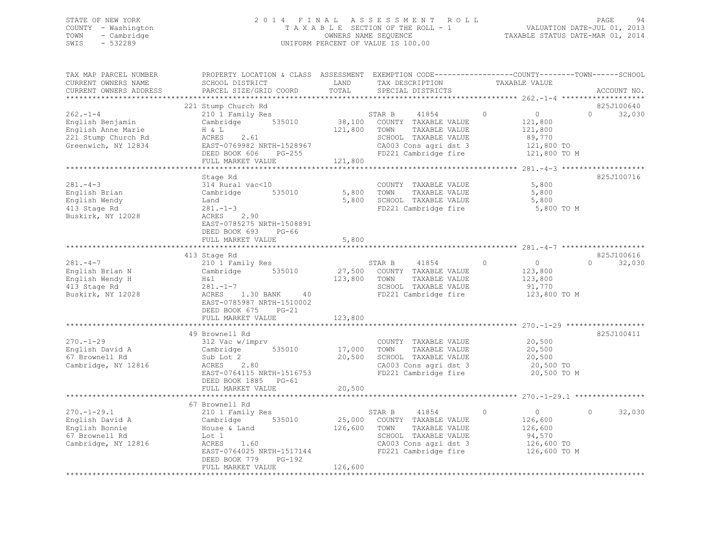## STATE OF NEW YORK 2 0 1 4 F I N A L A S S E S S M E N T R O L L PAGE 94 COUNTY - Washington T A X A B L E SECTION OF THE ROLL - 1 VALUATION DATE-JUL 01, 2013 TOWN - Cambridge OWNERS NAME SEQUENCE TAXABLE STATUS DATE-MAR 01, 2014 SWIS - 532289 UNIFORM PERCENT OF VALUE IS 100.00

| TAX MAP PARCEL NUMBER<br>CURRENT OWNERS NAME                                                          | PROPERTY LOCATION & CLASS ASSESSMENT EXEMPTION CODE-----------------COUNTY-------TOWN------SCHOOL<br>SCHOOL DISTRICT                                                                                                                                                                          | LAND         | TAX DESCRIPTION                                                                                                                                         | TAXABLE VALUE |                                                              |          |                                           |
|-------------------------------------------------------------------------------------------------------|-----------------------------------------------------------------------------------------------------------------------------------------------------------------------------------------------------------------------------------------------------------------------------------------------|--------------|---------------------------------------------------------------------------------------------------------------------------------------------------------|---------------|--------------------------------------------------------------|----------|-------------------------------------------|
| CURRENT OWNERS ADDRESS                                                                                | PARCEL SIZE/GRID COORD                                                                                                                                                                                                                                                                        |              | TOTAL SPECIAL DISTRICTS                                                                                                                                 |               |                                                              |          | ACCOUNT NO.                               |
|                                                                                                       |                                                                                                                                                                                                                                                                                               |              |                                                                                                                                                         |               |                                                              |          |                                           |
| $262 - 1 - 4$<br>English Benjamin<br>English Anne Marie<br>221 Stump Church Rd<br>Greenwich, NY 12834 | 221 Stump Church Rd<br>$\begin{tabular}{lllllllllllll} \texttt{210} $\ensuremath{\hat{1}}$~Family~\texttt{Res}$ & \texttt{STAR B} & \texttt{41854} \\ \texttt{Cambridge} & \texttt{535010} & \texttt{38,100} & \texttt{COUNTY} & \texttt{TAXABLE VALUE} \end{tabular}$<br>H & L<br>ACRES 2.61 | 121,800 TOWN |                                                                                                                                                         | $\circ$       | $\overline{0}$<br>121,800                                    | $\Omega$ | 825J100640<br>32,030                      |
|                                                                                                       |                                                                                                                                                                                                                                                                                               |              |                                                                                                                                                         |               |                                                              |          |                                           |
| $281 - 4 - 3$<br>English Brian<br>English Wendy<br>413 Stage Rd<br>Buskirk, NY 12028                  | Stage Rd<br>314 Rural vac<10<br>Land<br>281.-1-3<br>ACRES 2.90<br>PROFICE 2.90<br>EAST-0785275 NRTH-1508891<br>DEED BOOK 693 PG-66<br>FULL MARKET VALUE                                                                                                                                       | 5,800        | COUNTY TAXABLE VALUE<br>TAXABLE VALUE<br>5,800 SCHOOL TAXABLE VALUE 5,800<br>FD221 Cambridge fire 5,800 TO M                                            |               | 5,800<br>5,800                                               |          | 825J100716                                |
|                                                                                                       |                                                                                                                                                                                                                                                                                               |              |                                                                                                                                                         |               |                                                              |          |                                           |
| $281 - 4 - 7$<br>English Brian N<br>English Wendy H<br>413 Stage Rd<br>Buskirk, NY 12028              | 413 Stage Rd<br>210 1 Family Res<br>Cambridge 535010 27,500<br>H&1 123,800<br>281.-1-7<br>ACRES 1.30 BANK 40<br>EAST-0785987 NRTH-1510002<br>DEED BOOK 675 PG-21                                                                                                                              |              | STAR B 41854<br>27,500 COUNTY TAXABLE VALUE<br>123,800 TOWN TAXABLE VALUE<br>TAXABLE VALUE<br>SCHOOL TAXABLE VALUE<br>FD221 Cambridge fire 123,800 TO M | $\circ$       | $\overline{0}$<br>123,800<br>123,800<br>91,770               |          | 825J100616<br>$0 \qquad \qquad$<br>32,030 |
|                                                                                                       | FULL MARKET VALUE                                                                                                                                                                                                                                                                             | 123,800      |                                                                                                                                                         |               |                                                              |          |                                           |
|                                                                                                       |                                                                                                                                                                                                                                                                                               |              |                                                                                                                                                         |               |                                                              |          |                                           |
| $270. - 1 - 29$<br>English David A<br>67 Brownell Rd<br>Cambridge, NY 12816                           | 49 Brownell Rd<br>312 Vac w/imprv<br>Sub Lot 2<br>ACRES 2.80<br>EAST-0764115 NRTH-1516753<br>DEED BOOK 1885 PG-61                                                                                                                                                                             |              | COUNTY TAXABLE VALUE<br>TAXABLE VALUE 20,500<br>20,500 SCHOOL TAXABLE VALUE<br>CA003 Cons agri dst $3$ 20,500 TO<br>FD221 Cambridge fire                |               | 20,500<br>20,500<br>20,500 TO M                              |          | 825J100411                                |
|                                                                                                       | FULL MARKET VALUE                                                                                                                                                                                                                                                                             | 20,500       |                                                                                                                                                         |               |                                                              |          |                                           |
|                                                                                                       | 67 Brownell Rd                                                                                                                                                                                                                                                                                |              |                                                                                                                                                         |               |                                                              |          |                                           |
| $270. - 1 - 29.1$<br>English David A<br>English Bonnie<br>67 Brownell Rd<br>Cambridge, NY 12816       | $210$ 1 Family Res<br>Cambridge<br>Cambridge 535010<br>House & Land<br>Lot 1<br>ACRES 1.60<br>EAST-0764025 NRTH-1517144 FD221 Cambridge fire 126,600 TO M<br>DEED BOOK 779 PG-192<br>FULL MARKET VALUE                                                                                        | 126,600      | STAR B 41854<br>25,000 COUNTY TAXABLE VALUE<br>126,600 TOWN TAXABLE VALUE<br>SCHOOL TAXABLE VALUE<br>CA003 Cons agri dst 3                              | $\circ$       | $\overline{0}$<br>126,600<br>126,600<br>94,570<br>126,600 TO | $\Omega$ | 32,030                                    |
|                                                                                                       |                                                                                                                                                                                                                                                                                               |              |                                                                                                                                                         |               |                                                              |          |                                           |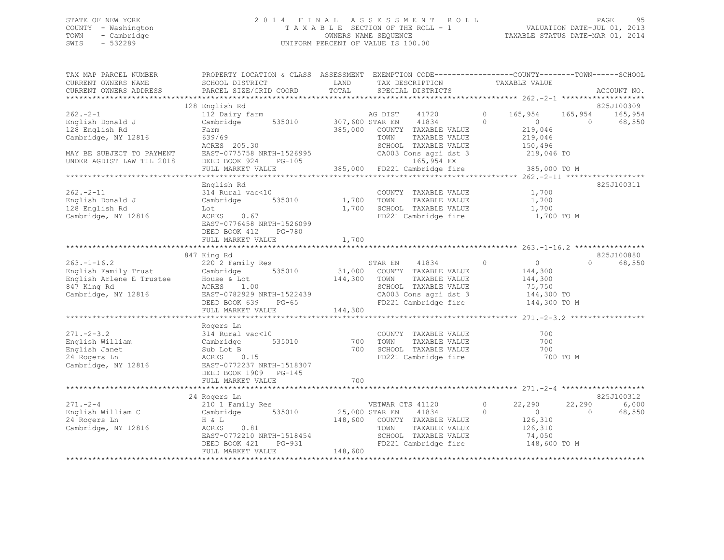## STATE OF NEW YORK 2 0 1 4 F I N A L A S S E S S M E N T R O L L PAGE 95 COUNTY - Washington T A X A B L E SECTION OF THE ROLL - 1 VALUATION DATE-JUL 01, 2013 TOWN - Cambridge OWNERS NAME SEQUENCE TAXABLE STATUS DATE-MAR 01, 2014 SWIS - 532289 UNIFORM PERCENT OF VALUE IS 100.00

| TAX MAP PARCEL NUMBER<br>CURRENT OWNERS NAME<br>CURRENT OWNERS ADDRESS                                                                                                                                                                                          | PROPERTY LOCATION & CLASS ASSESSMENT EXEMPTION CODE-----------------COUNTY-------TOWN------SCHOOL<br>SCHOOL DISTRICT<br><b>LAND</b><br>PARCEL SIZE/GRID COORD                                                                                                         | TOTAL             | TAX DESCRIPTION TAXABLE VALUE SPECIAL DISTRICTS                                                                                                |                                                                           | ACCOUNT NO.                                               |
|-----------------------------------------------------------------------------------------------------------------------------------------------------------------------------------------------------------------------------------------------------------------|-----------------------------------------------------------------------------------------------------------------------------------------------------------------------------------------------------------------------------------------------------------------------|-------------------|------------------------------------------------------------------------------------------------------------------------------------------------|---------------------------------------------------------------------------|-----------------------------------------------------------|
|                                                                                                                                                                                                                                                                 |                                                                                                                                                                                                                                                                       |                   |                                                                                                                                                |                                                                           |                                                           |
| $262 - 2 - 1$<br>English Donald J<br>128 English Rd<br>Cambridge, NY 12816                                                                                                                                                                                      | 128 English Rd<br>112 Dairy farm<br>Cambridge 535010 307,600 STAR EN 41834<br>Farm<br>639/69<br>$ACRES$ 205.30                                                                                                                                                        |                   | AG DIST 41720 0 165,954 165,954 165,954<br>385,000 COUNTY TAXABLE VALUE<br>TOWN<br>TAXABLE VALUE<br>SCHOOL TAXABLE VALUE                       | $\Omega$<br>$\overline{0}$<br>219,046<br>219,046<br>150,496               | 825J100309<br>$\bigcap$<br>68,550                         |
| MAY BE SUBJECT TO PAYMENT EAST-0775758 NRTH-1526995<br>UNDER AGDIST LAW TIL 2018 DEED BOOK 924 PG-105                                                                                                                                                           | FULL MARKET VALUE                                                                                                                                                                                                                                                     |                   | CA003 Cons agri dst 3 219,046 TO<br>165,954 EX<br>385,000 FD221 Cambridge fire 385,000 TO M                                                    |                                                                           |                                                           |
|                                                                                                                                                                                                                                                                 |                                                                                                                                                                                                                                                                       |                   |                                                                                                                                                |                                                                           |                                                           |
| $262 - 2 - 11$<br>English Donald J<br>128 English Rd<br>Cambridge, NY 12816                                                                                                                                                                                     | English Rd<br>314 Rural vac<10<br>Cambridge 535010 1,700 TOWN<br>Lot<br>ACRES 0.67<br>EAST-0776458 NRTH-1526099<br>DEED BOOK 412<br>PG-780                                                                                                                            |                   | COUNTY TAXABLE VALUE<br>1,700 SCHOOL TAXABLE VALUE<br>FD221 Cambridge fire 1,700 TO M                                                          | 1,700<br>TAXABLE VALUE 1,700<br>1,700                                     | 825J100311                                                |
|                                                                                                                                                                                                                                                                 |                                                                                                                                                                                                                                                                       |                   |                                                                                                                                                |                                                                           |                                                           |
| 2003.-1-16.2<br>English Family Trust 2202 Family Res<br>English Arlene E Trustee House & Lot 144,300 TOWN TAXABLE VALUE<br>English Arlene E Trustee House & Lot 144,300 TOWN TAXABLE VALUE<br>Cambridge NY 12016 RCRES 1.00<br>Cambridge<br>Cambridge, NY 12816 | 847 King Rd<br>EAST-0782929 NRTH-1522439<br>DEED BOOK 639 PG-65<br>FULL MARKET VALUE                                                                                                                                                                                  | 144,300           | 41834<br>TAXABLE VALUE<br>TOWN IQUELE .<br>SCHOOL TAXABLE VALUE 75,750<br>CA003 Cons agri dst 3 144,300 TO<br>201 Carehoidea fire 144,300 TO M | $\circ$<br>$\overline{0}$<br>144,300<br>144,300                           | 825J100880<br>$0 \qquad \qquad$<br>68,550                 |
|                                                                                                                                                                                                                                                                 | Rogers Ln                                                                                                                                                                                                                                                             |                   |                                                                                                                                                |                                                                           |                                                           |
| $271 - 2 - 3.2$<br>English William<br>English Janet<br>24 Rogers Ln<br>Cambridge, NY 12816                                                                                                                                                                      | 314 Rural vac<10<br>535010<br>Cambridge<br>Sub Lot B<br>ACRES<br>0.15<br>EAST-0772237 NRTH-1518307<br>DEED BOOK 1909 PG-145<br>FULL MARKET VALUE                                                                                                                      | 700<br>700<br>700 | COUNTY TAXABLE VALUE<br>TAXABLE VALUE<br>TOWN<br>SCHOOL TAXABLE VALUE<br>FD221 Cambridge fire                                                  | 700<br>700<br>700                                                         | 700 TO M                                                  |
|                                                                                                                                                                                                                                                                 |                                                                                                                                                                                                                                                                       |                   |                                                                                                                                                |                                                                           |                                                           |
| $271 - 2 - 4$<br>English William C<br>24 Rogers Ln<br>Cambridge, NY 12816                                                                                                                                                                                       | 24 Rogers Ln<br>210 1 Family Res<br>Cambridge 535010 25,000 STAR EN 41834 0<br>H & L<br>ACRES 0.81 148,600 COUNTY TAXABLE VALUE<br>TOWN TAXABLE VALUE<br>TOWN TAXABLE VALUE<br>Cambridge 535010<br>0.81<br>ACRES<br>EAST-0772210 NRTH-1518454<br>DEED BOOK 421 PG-931 |                   | TOWN<br>TAXABLE VALUE<br>SCHOOL TAXABLE VALUE<br>FD221 Cambridge fire                                                                          | 22,290<br>$\sim$ 0 $\sim$<br>126,310<br>126,310<br>74,050<br>148,600 TO M | 825J100312<br>22,290<br>6,000<br>68,550<br>$\overline{0}$ |
|                                                                                                                                                                                                                                                                 | FULL MARKET VALUE                                                                                                                                                                                                                                                     | 148,600           |                                                                                                                                                |                                                                           |                                                           |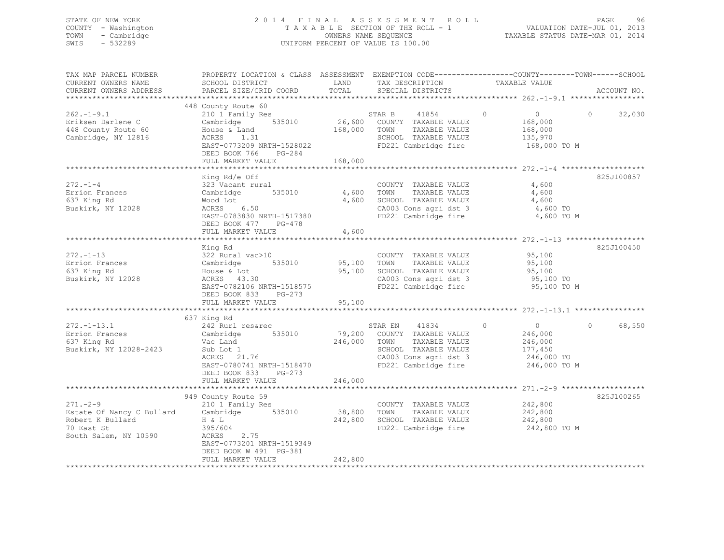## STATE OF NEW YORK 2 0 1 4 F I N A L A S S E S S M E N T R O L L PAGE 96 COUNTY - Washington T A X A B L E SECTION OF THE ROLL - 1 VALUATION DATE-JUL 01, 2013 TOWN - Cambridge OWNERS NAME SEQUENCE TAXABLE STATUS DATE-MAR 01, 2014 SWIS - 532289 UNIFORM PERCENT OF VALUE IS 100.00

| TAX MAP PARCEL NUMBER<br>CURRENT OWNERS NAME<br>CURRENT OWNERS ADDRESS                                                  | PROPERTY LOCATION & CLASS ASSESSMENT EXEMPTION CODE---------------COUNTY-------TOWN-----SCHOOL<br>SCHOOL DISTRICT<br>PARCEL SIZE/GRID COORD                            | LAND<br>TOTAL    | TAX DESCRIPTION<br>SPECIAL DISTRICTS                                                                                                   | TAXABLE VALUE                                                                            | ACCOUNT NO.        |
|-------------------------------------------------------------------------------------------------------------------------|------------------------------------------------------------------------------------------------------------------------------------------------------------------------|------------------|----------------------------------------------------------------------------------------------------------------------------------------|------------------------------------------------------------------------------------------|--------------------|
|                                                                                                                         |                                                                                                                                                                        |                  |                                                                                                                                        |                                                                                          |                    |
| $262 - 1 - 9.1$<br>Eriksen Darlene C<br>448 County Route 60<br>Cambridge, NY 12816                                      | 448 County Route 60<br>210 1 Family Res<br>Cambridge 535010<br>House & Land<br>ACRES 1.31<br>EAST-0773209 NRTH-1528022<br>DEED BOOK 766 PG-284<br>FULL MARKET VALUE    | 168,000          | STAR B<br>41854<br>26,600 COUNTY TAXABLE VALUE<br>TAXABLE VALUE<br>168,000 TOWN<br>SCHOOL TAXABLE VALUE<br>FD221 Cambridge fire        | $\circ$<br>$\overline{0}$<br>168,000<br>168,000<br>135,970<br>168,000 TO M               | $\Omega$<br>32,030 |
|                                                                                                                         |                                                                                                                                                                        |                  |                                                                                                                                        |                                                                                          |                    |
| $272 - 1 - 4$<br>Errion Frances<br>637 King Rd<br>Buskirk, NY 12028                                                     | King Rd/e Off<br>323 Vacant rural<br>535010<br>Cambridge<br>Wood Lot<br>ACRES 6.50<br>EAST-0783830 NRTH-1517380<br>DEED BOOK 477 PG-478                                | 4,600<br>4,600   | COUNTY TAXABLE VALUE<br>TAXABLE VALUE<br>TOWN<br>SCHOOL TAXABLE VALUE<br>CA003 Cons agri dst 3<br>FD221 Cambridge fire                 | 4,600<br>4,600<br>4,600<br>4,600 TO<br>4,600 TO M                                        | 825J100857         |
|                                                                                                                         | FULL MARKET VALUE                                                                                                                                                      | 4,600            |                                                                                                                                        |                                                                                          |                    |
| $272 - 1 - 13$<br>Errion Frances<br>637 King Rd<br>Buskirk, NY 12028                                                    | King Rd<br>322 Rural vac>10<br>Cambridge 535010 95,100 TOWN<br>House & Lot<br>ACRES 43.30<br>EAST-0782106 NRTH-1518575<br>DEED BOOK 833<br>PG-273<br>FULL MARKET VALUE | 95,100<br>95,100 | COUNTY TAXABLE VALUE<br>TAXABLE VALUE<br>SCHOOL TAXABLE VALUE<br>CA003 Cons agri dst 3<br>FD221 Cambridge fire                         | 95,100<br>95,100<br>95,100<br>95,100 TO<br>95,100 TO M                                   | 825J100450         |
|                                                                                                                         |                                                                                                                                                                        |                  |                                                                                                                                        |                                                                                          |                    |
| $272. - 1 - 13.1$<br>$\frac{272.1}{272.1}$ = $\frac{1}{27}$<br>Buskirk, NY 12028-2423                                   | 637 King Rd<br>242 Rurl resaled<br>Cambridge 535010<br>Sub Lot 1<br>ACRES 21.76<br>EAST-0780741 NRTH-1518470<br>DEED BOOK 833<br>$PG-273$                              | 246,000 TOWN     | STAR EN 41834<br>79,200 COUNTY TAXABLE VALUE<br>TAXABLE VALUE<br>SCHOOL TAXABLE VALUE<br>CA003 Cons agri dst 3<br>FD221 Cambridge fire | $\circ$<br>$\overline{0}$<br>246,000<br>246,000<br>177,450<br>246,000 TO<br>246,000 TO M | $\circ$<br>68,550  |
|                                                                                                                         | FULL MARKET VALUE                                                                                                                                                      | 246,000          |                                                                                                                                        |                                                                                          |                    |
| $271 - -2 - 9$<br>Estate Of Nancy C Bullard Cambridge 535010<br>Robert K Bullard<br>70 East St<br>South Salem, NY 10590 | 949 County Route 59<br>210 1 Family Res<br>H & L<br>395/604<br>2.75<br>ACRES<br>EAST-0773201 NRTH-1519349<br>DEED BOOK W 491 PG-381                                    | 38,800 TOWN      | COUNTY TAXABLE VALUE<br>TAXABLE VALUE<br>242,800 SCHOOL TAXABLE VALUE<br>FD221 Cambridge fire                                          | 242,800<br>242,800<br>242,800<br>242,800 TO M                                            | 825J100265         |
|                                                                                                                         | FULL MARKET VALUE                                                                                                                                                      | 242,800          |                                                                                                                                        |                                                                                          |                    |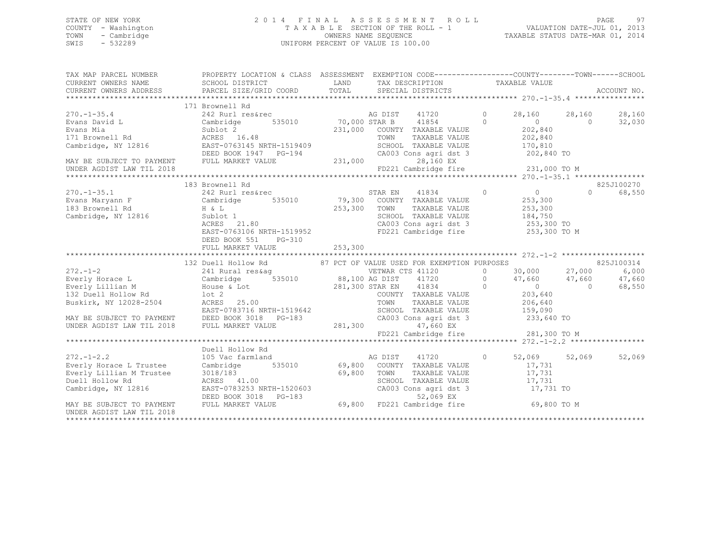# STATE OF NEW YORK<br>COUNTY - Washington 2011 2013<br>2014 - Mashington 2013 2014 TAXABLE SECTION OF THE ROLL - 1 COUNTY - Washington  $T A X A B L E$  SECTION OF THE ROLL - 1<br>TOWN - Cambridge  $\sim$  000NERS NAME SEQUENCE TOWN - Cambridge OWNERS NAME SEQUENCE TAXABLE STATUS DATE-MAR 01, 2014 UNIFORM PERCENT OF VALUE IS 100.00

| TAX MAP PARCEL NUMBER                                                     | PROPERTY LOCATION & CLASS ASSESSMENT EXEMPTION CODE----------------COUNTY-------TOWN------SCHOOL                                                                                                                                           |              |                                                                   |                       |                |            |
|---------------------------------------------------------------------------|--------------------------------------------------------------------------------------------------------------------------------------------------------------------------------------------------------------------------------------------|--------------|-------------------------------------------------------------------|-----------------------|----------------|------------|
|                                                                           | SCHOOL DISTRICT                                                                                                                                                                                                                            |              |                                                                   |                       |                |            |
|                                                                           |                                                                                                                                                                                                                                            |              |                                                                   |                       |                |            |
|                                                                           |                                                                                                                                                                                                                                            |              |                                                                   |                       |                |            |
|                                                                           | 171 Brownell Rd                                                                                                                                                                                                                            |              |                                                                   |                       |                |            |
|                                                                           |                                                                                                                                                                                                                                            |              |                                                                   | 28,160                | 28,160         | 28,160     |
|                                                                           |                                                                                                                                                                                                                                            |              |                                                                   | $\sim$ 0              | $\overline{0}$ | 32,030     |
|                                                                           |                                                                                                                                                                                                                                            |              | 231,000 COUNTY TAXABLE VALUE 202,840                              |                       |                |            |
|                                                                           | 270.-1-35.4<br>Evans David L<br>Evans Mia (242 Rurl res&rec and 242 Rurl res&rec and 242 Rurl res&rec and 2535010<br>Evans Mia (231,000 STAR B 41854 0<br>231,000 COUNTY TAXABLE VALUE<br>231,000 COUNTY TAXABLE VALUE<br>231,000 COUNTY T |              | TOWN      TAXABLE VALUE<br>SCHOOL   TAXABLE VALUE                 | 202,840<br>170,810    |                |            |
|                                                                           |                                                                                                                                                                                                                                            |              |                                                                   |                       |                |            |
|                                                                           |                                                                                                                                                                                                                                            |              |                                                                   |                       |                |            |
|                                                                           |                                                                                                                                                                                                                                            |              |                                                                   |                       |                |            |
|                                                                           |                                                                                                                                                                                                                                            |              |                                                                   |                       |                |            |
|                                                                           | 183 Brownell Rd                                                                                                                                                                                                                            |              |                                                                   |                       |                | 825J100270 |
| $270. -1 - 35.1$                                                          | 242 Rurl res&rec                                                                                                                                                                                                                           |              | STAR EN 41834                                                     | $\overline{0}$ 0      | $\Omega$       | 68,550     |
|                                                                           |                                                                                                                                                                                                                                            |              |                                                                   | 253,300               |                |            |
|                                                                           |                                                                                                                                                                                                                                            | 253,300 TOWN |                                                                   | TAXABLE VALUE 253,300 |                |            |
| 183 Brownell Rd<br>Cambridge, NY 12816 5ublot 1<br>2005 10000 10000 10000 |                                                                                                                                                                                                                                            |              |                                                                   |                       |                |            |
|                                                                           | $\text{ACRES}$ 21.80                                                                                                                                                                                                                       |              | SCHOOL TAXABLE VALUE 184,750<br>CA003 Cons agri dst 3 1253,300 TO |                       |                |            |
|                                                                           | EAST-0763106 NRTH-1519952                                                                                                                                                                                                                  |              | FD221 Cambridge fire 253,300 TO M                                 |                       |                |            |
|                                                                           | DEED BOOK 551<br>PG-310                                                                                                                                                                                                                    |              |                                                                   |                       |                |            |
|                                                                           | FULL MARKET VALUE                                                                                                                                                                                                                          | 253,300      |                                                                   |                       |                |            |
|                                                                           |                                                                                                                                                                                                                                            |              |                                                                   |                       |                |            |
|                                                                           |                                                                                                                                                                                                                                            |              |                                                                   |                       |                |            |
| $272. -1 - 2$                                                             |                                                                                                                                                                                                                                            |              |                                                                   |                       |                |            |
|                                                                           | Everly Horace L             Cambridge      535010          88,100 AG DIST    41720           0      47,660     47,660                                                                                                                      |              |                                                                   |                       |                | 47,660     |
|                                                                           |                                                                                                                                                                                                                                            |              |                                                                   |                       |                | 68,550     |
|                                                                           |                                                                                                                                                                                                                                            |              |                                                                   |                       |                |            |
| Buskirk, NY 12028-2504 ACRES 25.00                                        |                                                                                                                                                                                                                                            |              | TOWN                                                              | TAXABLE VALUE 206,640 |                |            |
|                                                                           |                                                                                                                                                                                                                                            |              |                                                                   |                       |                |            |
|                                                                           |                                                                                                                                                                                                                                            |              |                                                                   | 233,640 TO            |                |            |
|                                                                           | EAST-0783716 NRTH-1519642<br>MAY BE SUBJECT TO PAYMENT DEED BOOK 3018 PG-183 CAOOL TAXABLE VALUE<br>UNDER AGDIST LAW TIL 2018 FULL MARKET VALUE 281,300 47,660 EX                                                                          |              |                                                                   |                       |                |            |
|                                                                           |                                                                                                                                                                                                                                            |              | FD221 Cambridge fire 281,300 TO M                                 |                       |                |            |
|                                                                           |                                                                                                                                                                                                                                            |              |                                                                   |                       |                |            |
|                                                                           | Duell Hollow Rd                                                                                                                                                                                                                            |              |                                                                   |                       |                |            |
|                                                                           |                                                                                                                                                                                                                                            |              |                                                                   |                       | 52,069 52,069  | 52,069     |
|                                                                           |                                                                                                                                                                                                                                            |              |                                                                   | 17,731<br>17,731      |                |            |
|                                                                           |                                                                                                                                                                                                                                            |              |                                                                   |                       |                |            |
|                                                                           |                                                                                                                                                                                                                                            |              |                                                                   |                       |                |            |
|                                                                           | 272.-1-2.2<br>Everly Horace L Trustee Cambridge 535010 69,800 COUNTY TAXABLE VALUE<br>Everly Lillian M Trustee 3018/183 69,800 TOWN TAXABLE VALUE<br>Duell Hollow Rd ACRES 41.00 69,800 TOWN TAXABLE VALUE<br>TACRES 41.00 CA003 CONS      |              |                                                                   |                       |                |            |
|                                                                           |                                                                                                                                                                                                                                            |              |                                                                   |                       |                |            |
| MAY BE SUBJECT TO PAYMENT                                                 | 3018/183<br>ACRES 41.00 69,800 TOWN TAXABLE VALUE 17,731<br>EAST-0783253 NRTH-1520603 CA003 CONS agridst 3 17,731<br>DEED BOOK 3018 PG-183 52,069 EX<br>FULL MARKET VALUE 69,800 FD221 Cambridge fire 69,800 TO M                          |              |                                                                   |                       |                |            |
| UNDER AGDIST LAW TIL 2018                                                 |                                                                                                                                                                                                                                            |              |                                                                   |                       |                |            |
|                                                                           |                                                                                                                                                                                                                                            |              |                                                                   |                       |                |            |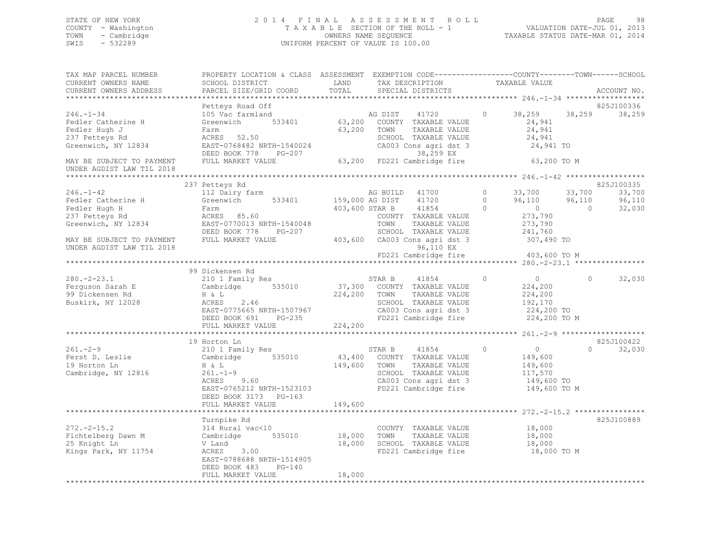## STATE OF NEW YORK 2 0 1 4 F I N A L A S S E S S M E N T R O L L PAGE 98 COUNTY - Washington T A X A B L E SECTION OF THE ROLL - 1 VALUATION DATE-JUL 01, 2013 TOWN - Cambridge OWNERS NAME SEQUENCE TAXABLE STATUS DATE-MAR 01, 2014 SWIS - 532289 UNIFORM PERCENT OF VALUE IS 100.00

| TAX MAP PARCEL NUMBER<br>CURRENT OWNERS NAME<br>CURRENT OWNERS ADDRESS                          | PROPERTY LOCATION & CLASS ASSESSMENT EXEMPTION CODE---------------COUNTY-------TOWN-----SCHOOL<br>SCHOOL DISTRICT<br>PARCEL SIZE/GRID COORD                | LAND<br>TOTAL                     | TAX DESCRIPTION<br>SPECIAL DISTRICTS                                                                                                     |                                 | TAXABLE VALUE                                                                 |                                    | ACCOUNT NO.                              |
|-------------------------------------------------------------------------------------------------|------------------------------------------------------------------------------------------------------------------------------------------------------------|-----------------------------------|------------------------------------------------------------------------------------------------------------------------------------------|---------------------------------|-------------------------------------------------------------------------------|------------------------------------|------------------------------------------|
|                                                                                                 |                                                                                                                                                            |                                   |                                                                                                                                          |                                 |                                                                               |                                    |                                          |
| $246. - 1 - 34$<br>Fedler Catherine H<br>Fedler Hugh J<br>237 Petteys Rd<br>Greenwich, NY 12834 | Petteys Road Off<br>105 Vac farmland<br>Greenwich 533401<br>Farm<br>ACRES 52.50<br>EAST-0768482 NRTH-1540024<br>DEED BOOK 778<br>PG-207                    | AG DIST<br>63,200 COUNTY          | 41720<br>63,200 COUNTY TAXABLE VALUE<br>63,200 TOWN<br>TAXABLE VALUE<br>SCHOOL TAXABLE VALUE<br>CA003 Cons agri dst 3<br>38,259 EX       | $\circ$                         | 38,259<br>24,941<br>24,941<br>24,941<br>24,941 TO                             | 38,259                             | 825J100336<br>38,259                     |
| MAY BE SUBJECT TO PAYMENT<br>UNDER AGDIST LAW TIL 2018                                          | FULL MARKET VALUE                                                                                                                                          |                                   | 63,200 FD221 Cambridge fire                                                                                                              |                                 | 63,200 TO M                                                                   |                                    |                                          |
|                                                                                                 |                                                                                                                                                            |                                   |                                                                                                                                          |                                 |                                                                               |                                    |                                          |
| $246. - 1 - 42$<br>Fedler Catherine H<br>Fedler Hugh H<br>237 Petteys Rd<br>Greenwich, NY 12834 | 237 Petteys Rd<br>112 Dairy farm<br>Greenwich 533401<br>Farm<br>ACRES 85.60<br>EAST-0770013 NRTH-1540048<br>DEED BOOK 778<br>PG-207                        | 159,000 AG DIST                   | AG BUILD 41700<br>41720<br>403,600 STAR B<br>41854<br>COUNTY TAXABLE VALUE<br>TOWN<br>TAXABLE VALUE<br>SCHOOL TAXABLE VALUE              | $\circ$<br>$\Omega$<br>$\Omega$ | 33,700<br>96,110<br>$\overline{0}$<br>273,790<br>273,790<br>241,760           | 33,700<br>96,110<br>$\overline{0}$ | 825J100335<br>33,700<br>96,110<br>32,030 |
| MAY BE SUBJECT TO PAYMENT<br>UNDER AGDIST LAW TIL 2018                                          | FULL MARKET VALUE                                                                                                                                          |                                   | 403,600 CA003 Cons agri dst 3<br>96,110 EX<br>FD221 Cambridge fire                                                                       |                                 | 307,490 TO<br>403,600 TO M                                                    |                                    |                                          |
|                                                                                                 |                                                                                                                                                            |                                   |                                                                                                                                          |                                 |                                                                               |                                    |                                          |
|                                                                                                 | 99 Dickensen Rd                                                                                                                                            |                                   |                                                                                                                                          |                                 |                                                                               |                                    |                                          |
| $280. - 2 - 23.1$<br>Ferguson Sarah E<br>99 Dickensen Rd<br>Buskirk, NY 12028                   | 210 1 Family Res<br>535010<br>Cambridge<br>H & L<br>ACRES<br>2.46<br>EAST-0775665 NRTH-1507967<br>DEED BOOK 691 PG-235<br>FULL MARKET VALUE                | 224,200 TOWN<br>224,200           | STAR B<br>41854<br>37,300 COUNTY TAXABLE VALUE<br>TAXABLE VALUE<br>SCHOOL TAXABLE VALUE<br>CA003 Cons agri dst 3<br>FD221 Cambridge fire | $\Omega$                        | $\overline{0}$<br>224,200<br>224,200<br>192,170<br>224,200 TO<br>224,200 TO M | $\Omega$                           | 32,030                                   |
|                                                                                                 |                                                                                                                                                            |                                   |                                                                                                                                          |                                 |                                                                               |                                    |                                          |
|                                                                                                 | 19 Horton Ln                                                                                                                                               |                                   |                                                                                                                                          |                                 |                                                                               |                                    | 825J100422                               |
| $261 - 2 - 9$<br>Ferst D. Leslie<br>19 Horton Ln<br>Cambridge, NY 12816                         | 210 1 Family Res<br>Cambridge 535010<br>H & L<br>$261 - 1 - 9$<br>ACRES<br>9.60<br>EAST-0765212 NRTH-1523103<br>DEED BOOK 3173 PG-163<br>FULL MARKET VALUE | 149,600 TOWN<br>149,600           | STAR B<br>41854<br>43,400 COUNTY TAXABLE VALUE<br>TAXABLE VALUE<br>SCHOOL TAXABLE VALUE<br>CA003 Cons agri dst 3<br>FD221 Cambridge fire | $\circ$                         | $\overline{0}$<br>149,600<br>149,600<br>117,570<br>149,600 TO<br>149,600 TO M | $\cap$                             | 32,030                                   |
|                                                                                                 |                                                                                                                                                            |                                   |                                                                                                                                          |                                 |                                                                               |                                    |                                          |
| $272 - 2 - 15.2$<br>Fichtelberg Dawn M<br>25 Knight Ln<br>Kings Park, NY 11754                  | Turnpike Rd<br>314 Rural vac<10<br>Cambridge<br>V Land<br>3.00<br>ACRES<br>EAST-0788688 NRTH-1514905<br>$PG-140$<br>DEED BOOK 483<br>FULL MARKET VALUE     | 535010 18,000<br>18,000<br>18,000 | COUNTY TAXABLE VALUE<br>TAXABLE VALUE<br>TOWN<br>SCHOOL TAXABLE VALUE<br>FD221 Cambridge fire                                            |                                 | 18,000<br>18,000<br>18,000<br>18,000 TO M                                     |                                    | 825J100889                               |
|                                                                                                 |                                                                                                                                                            |                                   |                                                                                                                                          |                                 |                                                                               |                                    |                                          |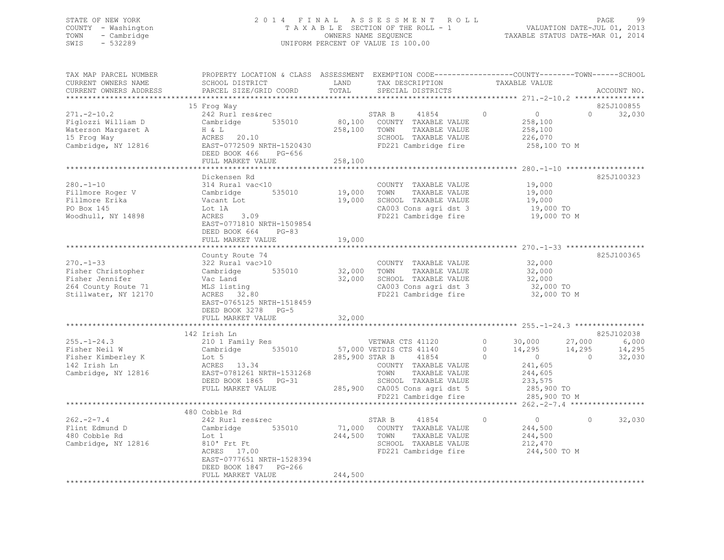## STATE OF NEW YORK 2 0 1 4 F I N A L A S S E S S M E N T R O L L PAGE 99 COUNTY - Washington T A X A B L E SECTION OF THE ROLL - 1 VALUATION DATE-JUL 01, 2013 TOWN - Cambridge OWNERS NAME SEQUENCE TAXABLE STATUS DATE-MAR 01, 2014 SWIS - 532289 UNIFORM PERCENT OF VALUE IS 100.00

| TAX MAP PARCEL NUMBER<br>CURRENT OWNERS NAME<br>CURRENT OWNERS ADDRESS                                  | SCHOOL DISTRICT<br>PARCEL SIZE/GRID COORD                                                                                                                                             | LAND<br>TOTAL                     | TAX DESCRIPTION<br>SPECIAL DISTRICTS                                                                                                                                                                         | PROPERTY LOCATION & CLASS ASSESSMENT EXEMPTION CODE---------------COUNTY-------TOWN-----SCHOOL<br>TAXABLE VALUE                                                                                                | ACCOUNT NO.                             |
|---------------------------------------------------------------------------------------------------------|---------------------------------------------------------------------------------------------------------------------------------------------------------------------------------------|-----------------------------------|--------------------------------------------------------------------------------------------------------------------------------------------------------------------------------------------------------------|----------------------------------------------------------------------------------------------------------------------------------------------------------------------------------------------------------------|-----------------------------------------|
| $271. - 2 - 10.2$<br>Figlozzi William D<br>Waterson Margaret A<br>15 Frog Way<br>Cambridge, NY 12816    | 15 Frog Way<br>242 Rurl res&rec<br>Cambridge 535010<br>H & L<br>ACRES 20.10<br>EAST-0772509 NRTH-1520430<br>DEED BOOK 466<br>PG-656<br>FULL MARKET VALUE                              | 258,100<br>258,100                | STAR B<br>41854<br>80,100 COUNTY TAXABLE VALUE<br>TAXABLE VALUE<br>TOWN<br>SCHOOL TAXABLE VALUE<br>FD221 Cambridge fire                                                                                      | $\circ$<br>$\overline{0}$<br>258,100<br>258,100<br>226,070<br>258,100 TO M                                                                                                                                     | 825J100855<br>$\Omega$<br>32,030        |
| $280. -1 - 10$<br>Fillmore Roger V<br>Fillmore Erika<br>PO Box 145<br>Woodhull, NY 14898                | Dickensen Rd<br>314 Rural vac<10<br>Cambridge<br>Vacant Lot<br>Lot 1A<br>3.09<br>ACRES<br>EAST-0771810 NRTH-1509854<br>DEED BOOK 664<br>$PG-83$<br>FULL MARKET VALUE                  | 535010 19,000<br>19,000<br>19,000 | COUNTY TAXABLE VALUE<br>TOWN<br>TAXABLE VALUE<br>SCHOOL TAXABLE VALUE<br>CA003 Cons agri dst 3<br>FD221 Cambridge fire                                                                                       | 19,000<br>19,000<br>19,000<br>19,000 TO<br>19,000 TO M                                                                                                                                                         | 825J100323                              |
| $270. - 1 - 33$<br>Fisher Christopher<br>Fisher Jennifer<br>264 County Route 71<br>Stillwater, NY 12170 | County Route 74<br>322 Rural vac>10<br>Cambridge<br>Vac Land<br>MLS listing<br>MLS listing<br>ACRES 32.80<br>EAST-0765125 NRTH-1518459<br>DEED BOOK 3278 PG-5                         | 535010 32,000 TOWN<br>32,000      | COUNTY TAXABLE VALUE<br>TAXABLE VALUE<br>SCHOOL TAXABLE VALUE<br>CA003 Cons agri dst 3<br>FD221 Cambridge fire                                                                                               | 32,000<br>32,000<br>32,000<br>32,000 TO<br>32,000 TO M                                                                                                                                                         | 825J100365                              |
| $255. - 1 - 24.3$<br>Fisher Neil W<br>Fisher Kimberley K<br>142 Irish Ln<br>Cambridge, NY 12816         | 142 Irish Ln<br>210 1 Family Res<br>Cambridge<br>Lot 5<br>ACRES 13.34<br>EAST-0781261 NRTH-1531268<br>DEED BOOK 1865 PG-31<br>FULL MARKET VALUE<br>********************************** |                                   | VETWAR CTS 41120<br>535010 57,000 VETDIS CTS 41140<br>285,900 STAR B 41854<br>COUNTY TAXABLE VALUE<br>TOWN<br>TAXABLE VALUE<br>SCHOOL TAXABLE VALUE<br>285,900 CA005 Cons agri dst 5<br>FD221 Cambridge fire | $\circ$<br>30,000<br>27,000<br>$\Omega$<br>14,295<br>14,295<br>$\Omega$<br>$\overline{0}$<br>$\overline{0}$<br>241,605<br>244,605<br>233,575<br>285,900 TO<br>285,900 TO M<br>********* 262. - 2 - 7.4 ******* | 825J102038<br>6,000<br>14,295<br>32,030 |
| $262 - 2 - 7.4$<br>Flint Edmund D<br>480 Cobble Rd<br>Cambridge, NY 12816                               | 480 Cobble Rd<br>242 Rurl res&rec<br>535010<br>Cambridge<br>Lot 1<br>810' Frt Ft<br>ACRES 17.00<br>EAST-0777651 NRTH-1528394<br>DEED BOOK 1847 PG-266<br>FULL MARKET VALUE            | 244,500 TOWN<br>244,500           | STAR B<br>41854<br>71,000 COUNTY TAXABLE VALUE<br>TAXABLE VALUE<br>SCHOOL TAXABLE VALUE<br>FD221 Cambridge fire                                                                                              | $\circ$<br>$\overline{0}$<br>244,500<br>244,500<br>212,470<br>244,500 TO M                                                                                                                                     | 32,030<br>$\Omega$                      |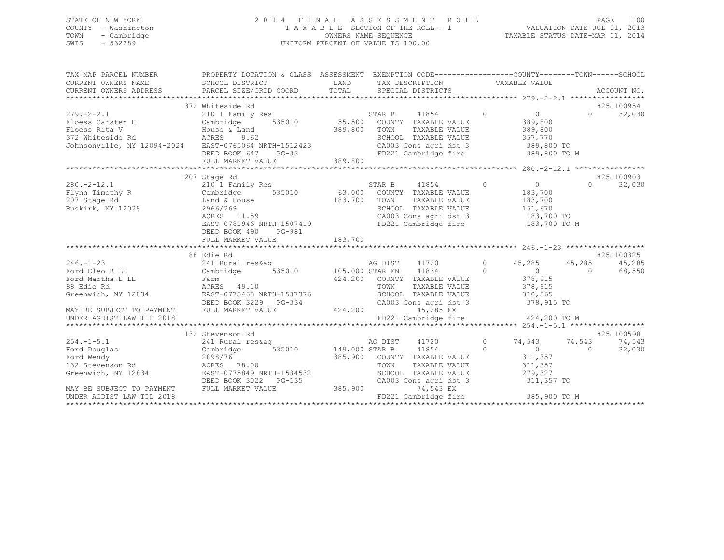## STATE OF NEW YORK 2 0 1 4 F I N A L A S S E S S M E N T R O L L PAGE 100 COUNTY - Washington T A X A B L E SECTION OF THE ROLL - 1 VALUATION DATE-JUL 01, 2013 TOWN - Cambridge OWNERS NAME SEQUENCE TAXABLE STATUS DATE-MAR 01, 2014 SWIS - 532289 UNIFORM PERCENT OF VALUE IS 100.00

| TAX MAP PARCEL NUMBER<br>CURRENT OWNERS NAME                 SCHOOL DISTRICT<br>CURRENT OWNERS ADDRESS                 PARCEL SIZE/GRID COORD | PROPERTY LOCATION & CLASS ASSESSMENT EXEMPTION CODE----------------COUNTY-------TOWN------SCHOOL<br>SCHOOL DISTRICT | LAND<br>TOTAL     |        | TAX DESCRIPTION TAXABLE VALUE<br>SPECIAL DISTRICTS    |                |                                                                       |                | ACCOUNT NO. |
|-----------------------------------------------------------------------------------------------------------------------------------------------|---------------------------------------------------------------------------------------------------------------------|-------------------|--------|-------------------------------------------------------|----------------|-----------------------------------------------------------------------|----------------|-------------|
|                                                                                                                                               | 372 Whiteside Rd                                                                                                    |                   |        |                                                       |                |                                                                       |                | 825J100954  |
| $279. - 2 - 2.1$<br>219.-2-2.1<br>Floess Carsten H           Cambridge<br>Floess Rita V                 House & Land                          |                                                                                                                     |                   |        | 41854                                                 | $\overline{0}$ | $\overline{0}$                                                        | $\Omega$       | 32,030      |
|                                                                                                                                               |                                                                                                                     | 389,800           | TOWN   | TAXABLE VALUE                                         |                | 389,800<br>389,800                                                    |                |             |
| <b>ACRES</b><br>372 Whiteside Rd                                                                                                              | 9.62                                                                                                                |                   |        | SCHOOL TAXABLE VALUE                                  |                |                                                                       |                |             |
| Johnsonville, NY 12094-2024 EAST-0765064 NRTH-1512423                                                                                         |                                                                                                                     |                   |        |                                                       |                | 357,770                                                               |                |             |
|                                                                                                                                               | DEED BOOK 647 PG-33                                                                                                 |                   |        |                                                       |                | CA003 Cons agri dst 3 389,800 TO<br>FD221 Cambridge fire 389,800 TO M |                |             |
|                                                                                                                                               |                                                                                                                     |                   |        |                                                       |                |                                                                       |                |             |
|                                                                                                                                               |                                                                                                                     |                   |        |                                                       |                |                                                                       |                |             |
|                                                                                                                                               | 207 Stage Rd                                                                                                        |                   |        |                                                       |                |                                                                       |                | 825J100903  |
| $280. -2 - 12.1$                                                                                                                              | 210 1 Family Res                                                                                                    |                   | STAR B | 41854                                                 | $\overline{0}$ | $\overline{0}$                                                        | $\Omega$       | 32,030      |
| Flynn Timothy R Cambridge                                                                                                                     | 535010 63,000 COUNTY TAXABLE VALUE                                                                                  |                   |        |                                                       |                | 183,700                                                               |                |             |
| 207 Stage Rd                                                                                                                                  | Land & House 183,700                                                                                                |                   | TOWN   | TAXABLE VALUE                                         |                | 183,700                                                               |                |             |
| Buskirk, NY 12028                                                                                                                             | 2966/269                                                                                                            |                   |        | SCHOOL TAXABLE VALUE                                  |                | 151,670                                                               |                |             |
|                                                                                                                                               | $ACRES$ 11.59                                                                                                       |                   |        | JUNUL TAXABLE VALUE<br>CA003 Cons agri dst 3          |                | $183,700$ TO                                                          |                |             |
|                                                                                                                                               | EAST-0781946 NRTH-1507419                                                                                           |                   |        |                                                       |                | FD221 Cambridge fire 183,700 TO M                                     |                |             |
|                                                                                                                                               | PG-981<br>DEED BOOK 490                                                                                             |                   |        |                                                       |                |                                                                       |                |             |
|                                                                                                                                               | FULL MARKET VALUE                                                                                                   | 183,700           |        |                                                       |                |                                                                       |                |             |
|                                                                                                                                               |                                                                                                                     |                   |        |                                                       |                |                                                                       |                |             |
|                                                                                                                                               | 88 Edie Rd                                                                                                          |                   |        |                                                       |                |                                                                       |                | 825J100325  |
| $246. - 1 - 23$                                                                                                                               |                                                                                                                     |                   |        | AG DIST 41720 0                                       |                | 45,285 45,285<br>$\overline{0}$                                       |                | 45,285      |
| Ford Cleo B LE<br>Ford Martha E LE                                                                                                            | Farm                                                                                                                |                   |        | 424,200 COUNTY TAXABLE VALUE                          | $\overline{0}$ | 378,915                                                               | $\overline{0}$ | 68,550      |
| 88 Edie Rd                                                                                                                                    | ACRES 49.10                                                                                                         |                   | TOWN   |                                                       |                | TAXABLE VALUE 378, 915                                                |                |             |
| Greenwich, NY 12834                                                                                                                           | EAST-0775463 NRTH-1537376                                                                                           |                   |        |                                                       |                |                                                                       |                |             |
|                                                                                                                                               | DEED BOOK 3229 PG-334                                                                                               |                   |        | SCHOOL TAXABLE VALUE 310,365<br>CA003 Cons agri dst 3 |                | 378,915 TO                                                            |                |             |
| MAY BE SUBJECT TO PAYMENT                                                                                                                     | FULL MARKET VALUE                                                                                                   | $424,200$ CA003 C |        | 45,285 EX                                             |                |                                                                       |                |             |
| UNDER AGDIST LAW TIL 2018                                                                                                                     |                                                                                                                     |                   |        |                                                       |                | FD221 Cambridge fire 424,200 TO M                                     |                |             |
|                                                                                                                                               |                                                                                                                     |                   |        |                                                       |                |                                                                       |                |             |
|                                                                                                                                               | 132 Stevenson Rd                                                                                                    |                   |        |                                                       |                |                                                                       |                | 825J100598  |
| $254. -1 - 5.1$                                                                                                                               | 241 Rural res&ag                                                                                                    | AG DIST           |        | 41720                                                 | $\circ$        | 74,543 74,543                                                         |                | 74,543      |
| Ford Douglas                                                                                                                                  | Cambridge 535010 149,000 STAR B                                                                                     |                   |        | 41854                                                 | $\Omega$       | $\overline{0}$                                                        | $\Omega$       | 32,030      |
| Ford Wendy                                                                                                                                    | 2898/76                                                                                                             |                   |        | 385,900 COUNTY TAXABLE VALUE                          |                | 311, 357                                                              |                |             |
| 132 Stevenson Rd                                                                                                                              | 2898/76<br>ACRES 78.00<br>EAST-0775849 NRTH-1534532                                                                 |                   |        | TAXABLE VALUE                                         |                | 311,357                                                               |                |             |
| Greenwich, NY 12834                                                                                                                           |                                                                                                                     |                   |        | TOWN      TAXABLE VALUE<br>SCHOOL   TAXABLE VALUE     |                | 279, 327                                                              |                |             |
|                                                                                                                                               |                                                                                                                     |                   |        |                                                       |                | CA003 Cons agri dst 3 311,357 TO                                      |                |             |
| MAY BE SUBJECT TO PAYMENT                                                                                                                     | DEED BOOK 3022 PG-135<br>FULL MARKET VALUE 385,900                                                                  |                   |        | 74,543 EX                                             |                |                                                                       |                |             |
| UNDER AGDIST LAW TIL 2018                                                                                                                     |                                                                                                                     |                   |        |                                                       |                | FD221 Cambridge fire 385,900 TO M                                     |                |             |
|                                                                                                                                               |                                                                                                                     |                   |        |                                                       |                |                                                                       |                |             |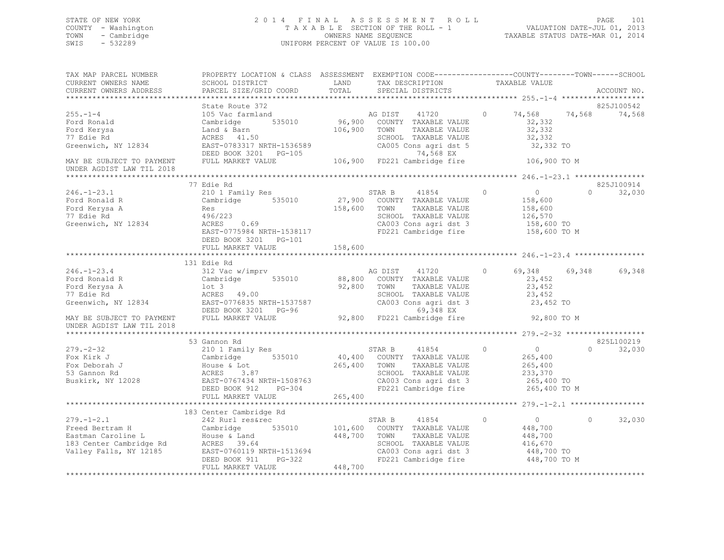## STATE OF NEW YORK 2 0 1 4 F I N A L A S S E S S M E N T R O L L PAGE 101 COUNTY - Washington T A X A B L E SECTION OF THE ROLL - 1 VALUATION DATE-JUL 01, 2013 TOWN - Cambridge OWNERS NAME SEQUENCE TAXABLE STATUS DATE-MAR 01, 2014 SWIS - 532289 UNIFORM PERCENT OF VALUE IS 100.00

| TAX MAP PARCEL NUMBER<br>CURRENT OWNERS NAME<br>CURRENT OWNERS ADDRESS                                         | PROPERTY LOCATION & CLASS ASSESSMENT EXEMPTION CODE---------------COUNTY-------TOWN------SCHOOL<br>SCHOOL DISTRICT<br>PARCEL SIZE/GRID COORD                                                                   | LAND<br>TOTAL                                        | TAX DESCRIPTION<br>SPECIAL DISTRICTS                                                                                                             | TAXABLE VALUE                                                                             | ACCOUNT NO.                      |
|----------------------------------------------------------------------------------------------------------------|----------------------------------------------------------------------------------------------------------------------------------------------------------------------------------------------------------------|------------------------------------------------------|--------------------------------------------------------------------------------------------------------------------------------------------------|-------------------------------------------------------------------------------------------|----------------------------------|
|                                                                                                                |                                                                                                                                                                                                                |                                                      |                                                                                                                                                  |                                                                                           |                                  |
|                                                                                                                | State Route 372                                                                                                                                                                                                |                                                      |                                                                                                                                                  |                                                                                           | 825J100542                       |
| $255. - 1 - 4$<br>Ford Ronald<br>Ford Kerysa<br>77 Edie Rd<br>Greenwich, NY 12834                              | 105 Vac farmland<br>535010<br>Cambridge<br>Land & Barn<br>ACRES 41.50<br>EAST-0783317 NRTH-1536589                                                                                                             | 96,900<br>106,900                                    | AG DIST<br>41720<br>COUNTY TAXABLE VALUE<br>TOWN<br>TAXABLE VALUE<br>SCHOOL TAXABLE VALUE<br>CA005 Cons agri dst 5                               | 74,568<br>$\circ$<br>32,332<br>32,332<br>32,332<br>32,332 TO                              | 74,568<br>74,568                 |
| MAY BE SUBJECT TO PAYMENT<br>UNDER AGDIST LAW TIL 2018                                                         | DEED BOOK 3201 PG-105<br>FULL MARKET VALUE                                                                                                                                                                     |                                                      | 74,568 EX<br>106,900 FD221 Cambridge fire                                                                                                        | 106,900 TO M                                                                              |                                  |
|                                                                                                                |                                                                                                                                                                                                                |                                                      |                                                                                                                                                  |                                                                                           |                                  |
| $246. - 1 - 23.1$                                                                                              | 77 Edie Rd<br>210 1 Family Res                                                                                                                                                                                 |                                                      | STAR B<br>41854                                                                                                                                  | $\circ$<br>$\overline{0}$                                                                 | 825J100914<br>32,030<br>$\Omega$ |
| Ford Ronald R<br>Ford Kerysa A<br>77 Edie Rd<br>Greenwich, NY 12834                                            | Cambridge<br>535010<br>Res<br>496/223<br>0.69<br>ACRES<br>EAST-0775984 NRTH-1538117<br>DEED BOOK 3201    PG-101                                                                                                | 158,600                                              | 27,900 COUNTY TAXABLE VALUE<br>TOWN<br>TAXABLE VALUE<br>SCHOOL TAXABLE VALUE<br>CA003 Cons agri dst 3<br>FD221 Cambridge fire                    | 158,600<br>158,600<br>126,570<br>158,600 TO<br>158,600 TO M                               |                                  |
|                                                                                                                | FULL MARKET VALUE                                                                                                                                                                                              | 158,600                                              |                                                                                                                                                  |                                                                                           |                                  |
|                                                                                                                |                                                                                                                                                                                                                |                                                      |                                                                                                                                                  |                                                                                           |                                  |
| $246. - 1 - 23.4$<br>Ford Ronald R<br>Ford Kerysa A<br>77 Edie Rd<br>Greenwich, NY 12834                       | 131 Edie Rd<br>312 Vac w/imprv<br>Cambridge<br>535010<br>$1$ ot 3<br>ACRES 49.00<br>EAST-0776835 NRTH-1537587 CA003 Cons ay --<br>DEED BOOK 3201 PG-96 69,348 EX<br>-- ANDER VALUE 92,800 FD221 Cambridge fire | 88,800<br>92,800                                     | AG DIST<br>41720<br>COUNTY TAXABLE VALUE<br>TOWN<br>TAXABLE VALUE<br>CA003 Cons agri dst 3                                                       | 69,348<br>$\circ$<br>23,452<br>23,452<br>23,452<br>23,452 TO                              | 69,348<br>69,348                 |
| MAY BE SUBJECT TO PAYMENT<br>UNDER AGDIST LAW TIL 2018                                                         |                                                                                                                                                                                                                |                                                      |                                                                                                                                                  | 92,800 TO M                                                                               |                                  |
|                                                                                                                |                                                                                                                                                                                                                |                                                      |                                                                                                                                                  |                                                                                           |                                  |
|                                                                                                                | 53 Gannon Rd                                                                                                                                                                                                   |                                                      |                                                                                                                                                  |                                                                                           | 825L100219                       |
| $279. - 2 - 32$<br>Fox Kirk J<br>Fox Deborah J<br>53 Gannon Rd<br>Buskirk, NY 12028                            | 210 1 Family Res<br>Cambridge 535010<br>House & Lot<br>ACRES 3.87<br>EAST-0767434 NRTH-1508763<br>DEED BOOK 912<br>PG-304<br>FULL MARKET VALUE                                                                 | 265,400<br>265,400                                   | STAR B<br>41854<br>40,400 COUNTY TAXABLE VALUE<br>TAXABLE VALUE<br>TOWN<br>SCHOOL TAXABLE VALUE<br>CA003 Cons agri dst 3<br>FD221 Cambridge fire | $\Omega$<br>$\overline{0}$<br>265,400<br>265,400<br>233,370<br>265,400 TO<br>265,400 TO M | 32,030<br>$\Omega$               |
|                                                                                                                |                                                                                                                                                                                                                |                                                      |                                                                                                                                                  |                                                                                           |                                  |
|                                                                                                                | 183 Center Cambridge Rd                                                                                                                                                                                        |                                                      |                                                                                                                                                  |                                                                                           |                                  |
| $279. - 1 - 2.1$<br>Freed Bertram H<br>Eastman Caroline L<br>183 Center Cambridge Rd<br>Valley Falls, NY 12185 | 242 Rurl res&rec<br>Cambridge 535010<br>House & Land<br>ACRES 39.64<br>EAST-0760119 NRTH-1513694<br>DEED BOOK 911<br>FULL MARKET VALUE                                                                         | 101,600<br>448,700<br>H-1513694<br>PG-322<br>448,700 | STAR B<br>41854<br>COUNTY TAXABLE VALUE<br>TAXABLE VALUE<br>TOWN<br>SCHOOL TAXABLE VALUE<br>CA003 Cons agri dst 3<br>FD221 Cambridge fire        | $\circ$<br>$\overline{0}$<br>448,700<br>448,700<br>416,670<br>448,700 TO<br>448,700 TO M  | 32,030<br>$\Omega$               |
|                                                                                                                |                                                                                                                                                                                                                |                                                      |                                                                                                                                                  |                                                                                           |                                  |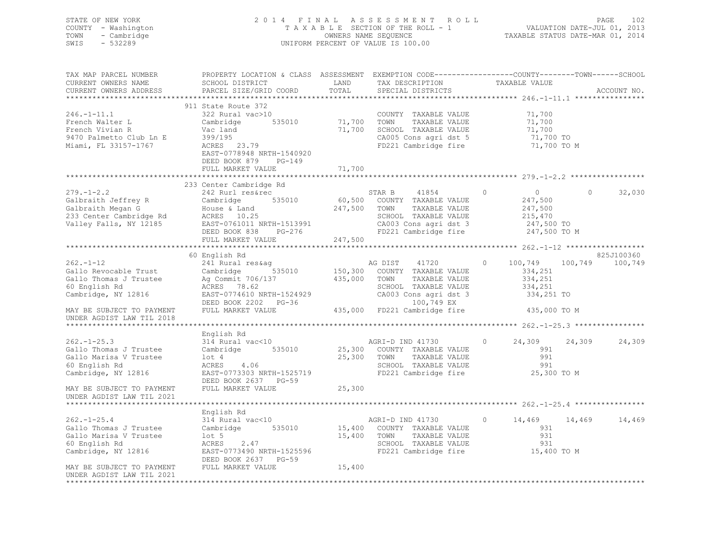STATE OF NEW YORK 2 0 1 4 F I N A L A S S E S S M E N T R O L L PAGE 102 COUNTY - Washington T A X A B L E SECTION OF THE ROLL - 1 VALUATION DATE-JUL 01, 2013 TOWN - Cambridge OWNERS NAME SEQUENCE TAXABLE STATUS DATE-MAR 01, 2014 SWIS - 532289 UNIFORM PERCENT OF VALUE IS 100.00

| TAX MAP PARCEL NUMBER<br>CURRENT OWNERS NAME<br>CURRENT OWNERS ADDRESS                                                                                                                                                                                                 | PROPERTY LOCATION & CLASS ASSESSMENT EXEMPTION CODE----------------COUNTY-------TOWN-----SCHOOL<br>SCHOOL DISTRICT<br>PARCEL SIZE/GRID COORD                                   | LAND<br>TOTAL                         | TAX DESCRIPTION<br>SPECIAL DISTRICTS                                                                                                                                                      | TAXABLE VALUE                                                                     |         | ACCOUNT NO.     |
|------------------------------------------------------------------------------------------------------------------------------------------------------------------------------------------------------------------------------------------------------------------------|--------------------------------------------------------------------------------------------------------------------------------------------------------------------------------|---------------------------------------|-------------------------------------------------------------------------------------------------------------------------------------------------------------------------------------------|-----------------------------------------------------------------------------------|---------|-----------------|
| $246. - 1 - 11.1$<br>French Walter L<br>French Vivian R<br>9470 Palmetto Club Ln E<br>Miami, FL 33157-1767                                                                                                                                                             | 911 State Route 372<br>322 Rural vac>10<br>Cambridge<br>535010<br>Vac land<br>399/195<br>ACRES 23.79<br>EAST-0778948 NRTH-1540920<br>DEED BOOK 879 PG-149<br>FULL MARKET VALUE | 71,700<br>71,700<br>71,700            | COUNTY TAXABLE VALUE<br>TOWN<br>TAXABLE VALUE<br>SCHOOL TAXABLE VALUE<br>CA005 Cons agri dst 5<br>FD221 Cambridge fire                                                                    | 71,700<br>71,700<br>71,700<br>/1,/UU<br>71,700 To<br>71,700 TO M                  |         |                 |
|                                                                                                                                                                                                                                                                        |                                                                                                                                                                                |                                       |                                                                                                                                                                                           |                                                                                   |         |                 |
| $279. - 1 - 2.2$<br>219.1-2.2<br>Galbraith Jeffrey R Cambridge<br>Galbraith Megan G House & Land<br>233 Center Cambridge Rd ACRES 10.25<br>247,500 TOWN<br>233 Center Cambridge Rd ACRES 10.25<br>247,500 TOWN<br>247,500 TOWN<br>26003<br>26003<br>26500 DEED BOOK 83 | 233 Center Cambridge Rd<br>242 Rurl res&rec                                                                                                                                    |                                       | STAR B 41854<br>60,500 COUNTY TAXABLE VALUE<br>41854<br>TAXABLE VALUE<br>SCHOOL TAXABLE VALUE<br>CA003 Cons agri dst 3 247,500 TO<br>FD221 Cambridge fire 247,500 TO M                    | $\circ$<br>$\overline{0}$<br>247,500<br>247,500<br>215,470                        | $\circ$ | 32,030          |
|                                                                                                                                                                                                                                                                        | FULL MARKET VALUE                                                                                                                                                              | 247,500                               |                                                                                                                                                                                           |                                                                                   |         |                 |
|                                                                                                                                                                                                                                                                        | 60 English Rd                                                                                                                                                                  |                                       |                                                                                                                                                                                           |                                                                                   |         | 825J100360      |
| $262 - 1 - 12$<br>Gallo Revocable Trust Cambridge<br>Gallo Thomas J Trustee<br>60 English Rd<br>Cambridge, NY 12816<br>MAY BE SUBJECT TO PAYMENT<br>UNDER AGDIST LAW TIL 2018                                                                                          | 241 Rural res&aq<br>Ag Commit 706/137<br>ACRES 78.62<br>EAST-0774610 NRTH-1524929<br>DEED BOOK 2202 PG-36<br>FULL MARKET VALUE                                                 | $\frac{3}{535010}$ 150,300<br>435,000 | 41720<br>AG DIST<br>COUNTY TAXABLE VALUE<br>TOWN<br>TAXABLE VALUE<br>SCHOOL TAXABLE VALUE<br>CA003 Cons agri dst 3<br>CA003 Cons agri dst 3<br>100,749 EX<br>435,000 FD221 Cambridge fire | 100,749<br>$\circ$<br>334,251<br>334,251<br>334,251<br>334,251 TO<br>435,000 TO M |         | 100,749 100,749 |
|                                                                                                                                                                                                                                                                        |                                                                                                                                                                                |                                       |                                                                                                                                                                                           |                                                                                   |         |                 |
| $262 - 1 - 25.3$<br>Gallo Thomas J Trustee<br>Gallo Marisa V Trustee<br>60 English Rd<br>Cambridge, NY 12816                                                                                                                                                           | English Rd<br>314 Rural vac<10<br>Cambridge 535010<br>$1$ ot $4$<br>ACRES<br>4.06<br>EAST-0773303 NRTH-1525719<br>DEED BOOK 2637 PG-59                                         | 25,300 TOWN                           | AGRI-D IND 41730<br>25,300 COUNTY TAXABLE VALUE<br>TAXABLE VALUE<br>SCHOOL TAXABLE VALUE<br>FD221 Cambridge fire                                                                          | $\circ$<br>24,309<br>991<br>991<br>991<br>25,300 TO M                             | 24,309  | 24,309          |
| MAY BE SUBJECT TO PAYMENT<br>UNDER AGDIST LAW TIL 2021                                                                                                                                                                                                                 | FULL MARKET VALUE                                                                                                                                                              | 25,300                                |                                                                                                                                                                                           |                                                                                   |         |                 |
|                                                                                                                                                                                                                                                                        |                                                                                                                                                                                |                                       |                                                                                                                                                                                           |                                                                                   |         |                 |
| $262. - 1 - 25.4$<br>Gallo Thomas J Trustee<br>Gallo Marisa V Trustee<br>60 English Rd<br>Cambridge, NY 12816                                                                                                                                                          | English Rd<br>314 Rural vac<10<br>Cambridge 535010<br>$1$ ot $5$<br>2.47<br>ACRES<br>EAST-0773490 NRTH-1525596<br>DEED BOOK 2637 PG-59                                         | 15,400                                | AGRI-D IND 41730<br>15,400 COUNTY TAXABLE VALUE<br>AGRI-D IND 41730<br>TOWN<br>TAXABLE VALUE<br>SCHOOL TAXABLE VALUE<br>FD221 Cambridge fire                                              | $\circ$<br>14,469<br>931<br>931<br>931<br>15,400 TO M                             | 14,469  | 14,469          |
| MAY BE SUBJECT TO PAYMENT<br>UNDER AGDIST LAW TIL 2021<br>*************                                                                                                                                                                                                | FULL MARKET VALUE                                                                                                                                                              | 15,400                                |                                                                                                                                                                                           |                                                                                   |         |                 |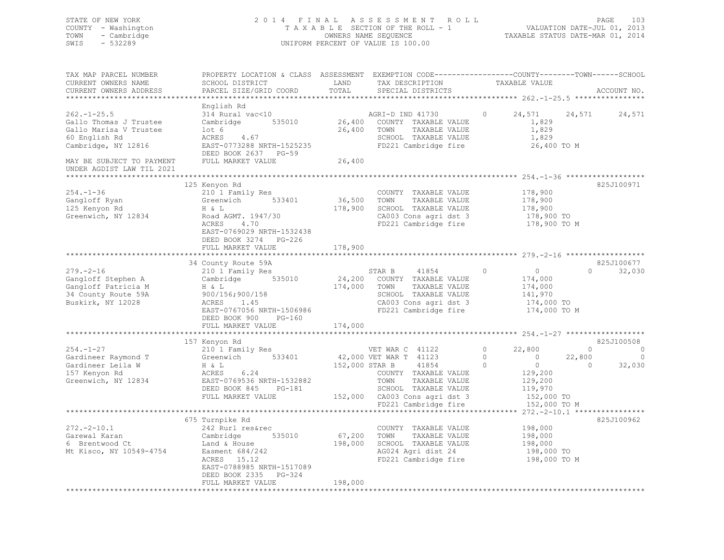| STATE OF NEW YORK<br>COUNTY - Washington<br>TOWN<br>- Cambridge<br>SWIS<br>$-532289$                                                                                   |                                                                                                                                                                                          |                        | 2014 FINAL ASSESSMENT ROLL<br>TAXABLE SECTION OF THE ROLL - 1 VALUATION DATE-JUL 01, 2013<br>OWNERS NAME SEQUENCE<br>UNIFORM PERCENT OF VALUE IS 100.00 |                                                             | PAGE<br>103<br>TAXABLE STATUS DATE-MAR 01, 2014 |
|------------------------------------------------------------------------------------------------------------------------------------------------------------------------|------------------------------------------------------------------------------------------------------------------------------------------------------------------------------------------|------------------------|---------------------------------------------------------------------------------------------------------------------------------------------------------|-------------------------------------------------------------|-------------------------------------------------|
| TAX MAP PARCEL NUMBER<br>CURRENT OWNERS NAME<br>CURRENT OWNERS ADDRESS                                                                                                 | PROPERTY LOCATION & CLASS ASSESSMENT EXEMPTION CODE---------------COUNTY-------TOWN-----SCHOOL<br>SCHOOL DISTRICT                                                                        |                        | LAND TAX DESCRIPTION TAXABLE VALUE                                                                                                                      |                                                             |                                                 |
| $262 - 1 - 25.5$<br>Gallo Thomas J Trustee<br>Gallo Marisa V Trustee<br>60 English Rd<br>Cambridge, NY 12816<br>MAY BE SUBJECT TO PAYMENT<br>UNDER AGDIST LAW TIL 2021 | English Rd<br>314 Rural vac<10<br>Cambridge<br>lot 6<br>ACRES 4.67<br>EAST-0773288 NRTH-1525235<br>DEED BOOK 2637 PG-59<br>FULL MARKET VALUE                                             | 26,400                 | AGRI-D IND 41730<br>535010 26,400 COUNTY TAXABLE VALUE<br>26,400 TOWN<br>TAXABLE VALUE<br>SCHOOL TAXABLE VALUE<br>FD221 Cambridge fire                  | 24,571<br>$\circ$<br>1,829<br>1,829<br>1,829<br>26,400 TO M | 24,571<br>24,571                                |
| $254. - 1 - 36$<br>Gangloff Ryan<br>125 Kenyon Rd<br>Greenwich, NY 12834                                                                                               | 125 Kenyon Rd<br>210 1 Family Res<br>Greenwich<br>533401<br>H & L<br>Road AGMT. 1947/30<br>4.70<br>ACRES<br>EAST-0769029 NRTH-1532438<br>DEED BOOK 3274<br>$PG-226$<br>FULL MARKET VALUE | 36,500 TOWN<br>178,900 | COUNTY TAXABLE VALUE<br>TAXABLE VALUE<br>178,900 SCHOOL TAXABLE VALUE<br>CA003 Cons agri dst 3<br>FD221 Cambridge fire 178,900 TO M                     | 178,900<br>178,900<br>178,900<br>178,900 TO                 | 825J100971                                      |
|                                                                                                                                                                        | 34 County Route 59A                                                                                                                                                                      |                        |                                                                                                                                                         |                                                             | 825J100677                                      |
| $279. - 2 - 16$<br>Gangloff Stephen A<br>Gangloff Patricia M<br>34 County Route 59A                                                                                    | 210 1 Family Res<br>Cambridge 535010 24,200 COUNTY TAXABLE VALUE<br>H & L<br>900/156;900/158                                                                                             | 174,000 TOWN           | 41854<br>STAR B<br>TAXABLE VALUE<br>SCHOOL TAXABLE VALUE                                                                                                | $\circ$<br>0<br>174,000<br>174,000<br>141,970               | 32,030<br>$\Omega$                              |

|                         | DEED BOOK 900<br>PG-160   |                                                         |            |
|-------------------------|---------------------------|---------------------------------------------------------|------------|
|                         | FULL MARKET VALUE         | 174,000                                                 |            |
|                         |                           |                                                         |            |
|                         | 157 Kenyon Rd             |                                                         | 825J100508 |
| $254. - 1 - 27$         | 210 1 Family Res          | 22,800<br>VET WAR C 41122                               |            |
| Gardineer Raymond T     | Greenwich<br>533401       | $\circ$<br>42,000 VET WAR T 41123<br>22,800<br>$\Omega$ |            |
| Gardineer Leila W       | H & L                     | 152,000 STAR B<br>41854                                 | 32,030     |
| 157 Kenyon Rd           | ACRES 6.24                | 129,200<br>COUNTY TAXABLE VALUE                         |            |
| Greenwich, NY 12834     | EAST-0769536 NRTH-1532882 | TAXABLE VALUE<br>129,200<br>TOWN                        |            |
|                         | DEED BOOK 845<br>PG-181   | 119,970<br>SCHOOL TAXABLE VALUE                         |            |
|                         | FULL MARKET VALUE         | 152,000<br>CA003 Cons agri dst 3<br>152,000 TO          |            |
|                         |                           | FD221 Cambridge fire<br>152,000 TO M                    |            |
|                         |                           | ************ 272.-2-10.1 *****************              |            |
|                         | 675 Turnpike Rd           |                                                         | 825J100962 |
| $272. - 2 - 10.1$       | 242 Rurl res&rec          | 198,000<br>COUNTY<br>TAXABLE VALUE                      |            |
| Garewal Karan           | Cambridge<br>535010       | 198,000<br>67,200<br>TOWN<br>TAXABLE VALUE              |            |
| 6 Brentwood Ct          | Land & House              | SCHOOL<br>198,000<br>198,000<br>TAXABLE VALUE           |            |
| Mt Kisco, NY 10549-4754 | Easment 684/242           | AG024 Agri dist 24<br>198,000 TO                        |            |
|                         | ACRES 15.12               | FD221 Cambridge fire<br>198,000 TO M                    |            |
|                         | EAST-0788985 NRTH-1517089 |                                                         |            |
|                         | DEED BOOK 2335<br>PG-324  |                                                         |            |
|                         | FULL MARKET VALUE         | 198,000                                                 |            |

EAST-0767056 NRTH-1506986 FD221 Cambridge fire 174,000 TO M

Buskirk, NY 12028 ACRES 1.45 CA003 Cons agri dst 3 174,000 TO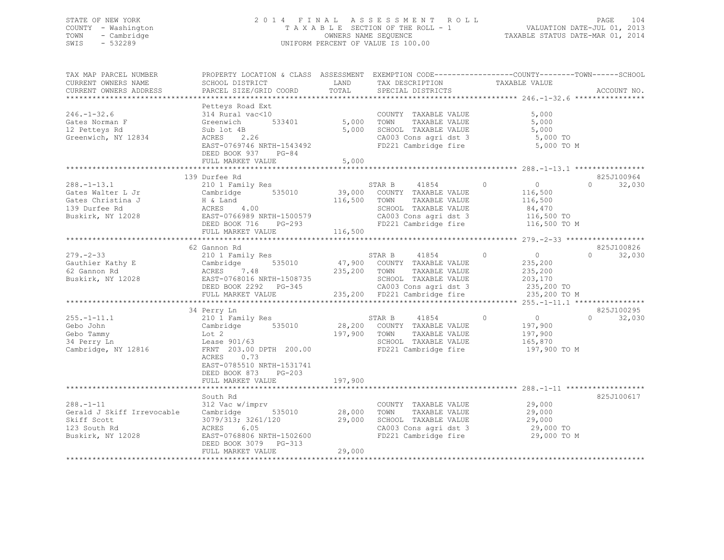## STATE OF NEW YORK 2 0 1 4 F I N A L A S S E S S M E N T R O L L PAGE 104 COUNTY - Washington T A X A B L E SECTION OF THE ROLL - 1 VALUATION DATE-JUL 01, 2013 TOWN - Cambridge OWNERS NAME SEQUENCE TAXABLE STATUS DATE-MAR 01, 2014 SWIS - 532289 UNIFORM PERCENT OF VALUE IS 100.00

| TAX MAP PARCEL NUMBER<br>CURRENT OWNERS NAME<br>CURRENT OWNERS ADDRESS                                      | PROPERTY LOCATION & CLASS ASSESSMENT EXEMPTION CODE----------------COUNTY-------TOWN------SCHOOL<br>SCHOOL DISTRICT<br>PARCEL SIZE/GRID COORD                                         | LAND<br>TOTAL                | TAX DESCRIPTION<br>SPECIAL DISTRICTS                                                                                                             | TAXABLE VALUE                                                                             | ACCOUNT NO.                      |
|-------------------------------------------------------------------------------------------------------------|---------------------------------------------------------------------------------------------------------------------------------------------------------------------------------------|------------------------------|--------------------------------------------------------------------------------------------------------------------------------------------------|-------------------------------------------------------------------------------------------|----------------------------------|
|                                                                                                             |                                                                                                                                                                                       |                              |                                                                                                                                                  |                                                                                           |                                  |
| $246. - 1 - 32.6$<br>Gates Norman F<br>12 Petteys Rd<br>Greenwich, NY 12834                                 | Petteys Road Ext<br>314 Rural vac<10<br>533401<br>Greenwich<br>Sub lot 4B<br>ACRES 2.26<br>EAST-0769746 NRTH-1543492<br>DEED BOOK 937 PG-84<br>FULL MARKET VALUE                      | 5,000<br>5,000<br>5,000      | COUNTY TAXABLE VALUE<br>TOWN<br>TAXABLE VALUE<br>SCHOOL TAXABLE VALUE<br>CA003 Cons agri dst 3<br>FD221 Cambridge fire                           | 5,000<br>5,000<br>5,000<br>5,000 TO<br>5,000 TO M                                         |                                  |
|                                                                                                             |                                                                                                                                                                                       |                              |                                                                                                                                                  |                                                                                           |                                  |
| $288. - 1 - 13.1$<br>Gates Walter L Jr<br>Gates Christina J<br>139 Durfee Rd<br>Buskirk, NY 12028           | 139 Durfee Rd<br>210 1 Family Res<br>Cambridge 535010<br>H & Land<br>ACRES       4.00<br>EAST-0766989 NRTH-1500579<br>DEED BOOK 716 PG-293<br>FULL MARKET VALUE                       | 39,000<br>116,500<br>116,500 | 41854<br>STAR B<br>COUNTY TAXABLE VALUE<br>TAXABLE VALUE<br>TOWN<br>SCHOOL TAXABLE VALUE<br>CA003 Cons agri dst 3<br>FD221 Cambridge fire        | $\circ$<br>0<br>116,500<br>116,500<br>84,470<br>116,500 TO<br>116,500 TO M                | 825J100964<br>32,030<br>$\Omega$ |
|                                                                                                             |                                                                                                                                                                                       |                              |                                                                                                                                                  |                                                                                           |                                  |
| $279 - 2 - 33$<br>Gauthier Kathy E<br>62 Gannon Rd<br>Buskirk, NY 12028                                     | 62 Gannon Rd<br>210 1 Family Res<br>535010<br>Cambridge<br>Cambrio<br>ACRES<br>7.48<br>EAST-0768016 NRTH-1508735<br>DEED BOOK 2292 PG-345<br>FULL MARKET VALUE                        | 235,200 TOWN                 | 41854<br>STAR B<br>47,900 COUNTY TAXABLE VALUE<br>TAXABLE VALUE<br>SCHOOL TAXABLE VALUE<br>CA003 Cons agri dst 3<br>235,200 FD221 Cambridge fire | $\Omega$<br>$\overline{0}$<br>235,200<br>235,200<br>203,170<br>235,200 TO<br>235,200 TO M | 825J100826<br>32,030<br>$\Omega$ |
|                                                                                                             |                                                                                                                                                                                       |                              |                                                                                                                                                  |                                                                                           |                                  |
| $255. - 1 - 11.1$<br>Gebo John<br>Gebo Tammy<br>34 Perry Ln<br>Cambridge, NY 12816                          | 34 Perry Ln<br>210 1 Family Res<br>535010<br>Cambridge<br>Lot 2<br>Lease 901/63<br>FRNT 203.00 DPTH 200.00<br>ACRES<br>0.73<br>EAST-0785510 NRTH-1531741<br>DEED BOOK 873<br>$PG-203$ | 28,200<br>197,900            | 41854<br>STAR B<br>COUNTY TAXABLE VALUE<br>TOWN<br>TAXABLE VALUE<br>SCHOOL TAXABLE VALUE<br>FD221 Cambridge fire                                 | $\circ$<br>$\overline{0}$<br>197,900<br>197,900<br>165,870<br>197,900 TO M                | 825J100295<br>32,030<br>$\Omega$ |
|                                                                                                             | FULL MARKET VALUE                                                                                                                                                                     | 197,900                      |                                                                                                                                                  |                                                                                           |                                  |
|                                                                                                             | South Rd                                                                                                                                                                              |                              |                                                                                                                                                  |                                                                                           | 825J100617                       |
| $288. - 1 - 11$<br>Gerald J Skiff Irrevocable Cambridge<br>Skiff Scott<br>123 South Rd<br>Buskirk, NY 12028 | 312 Vac w/imprv<br>535010<br>3079/313; 3261/120<br>6.05<br>ACRES<br>EAST-0768806 NRTH-1502600<br>DEED BOOK 3079 PG-313<br>FULL MARKET VALUE                                           | 28,000<br>29,000<br>29,000   | COUNTY TAXABLE VALUE<br>TOWN<br>TAXABLE VALUE<br>SCHOOL TAXABLE VALUE<br>CA003 Cons agri dst 3<br>FD221 Cambridge fire                           | 29,000<br>29,000<br>29,000<br>29,000 TO<br>29,000 TO M                                    |                                  |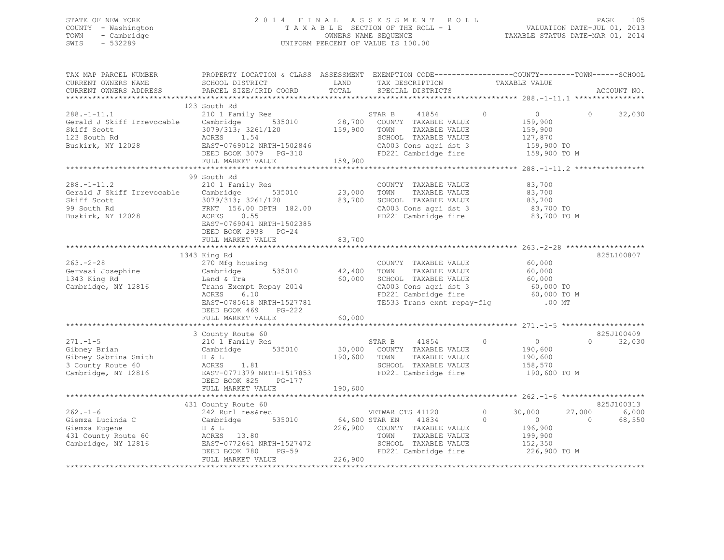## STATE OF NEW YORK 2 0 1 4 F I N A L A S S E S S M E N T R O L L PAGE 105 COUNTY - Washington T A X A B L E SECTION OF THE ROLL - 1 VALUATION DATE-JUL 01, 2013 TOWN - Cambridge OWNERS NAME SEQUENCE TAXABLE STATUS DATE-MAR 01, 2014 SWIS - 532289 UNIFORM PERCENT OF VALUE IS 100.00

| TAX MAP PARCEL NUMBER<br>CURRENT OWNERS NAME<br>CURRENT OWNERS ADDRESS                                                                                                                                                                                                                                                                                                                                                                            | PROPERTY LOCATION & CLASS ASSESSMENT EXEMPTION CODE---------------COUNTY-------TOWN------SCHOOL<br>SCHOOL DISTRICT CONTROLLAND TAX DESCRIPTION<br>PARCEL SIZE/GRID COORD                                                                                                                                                            |                       | LAND TAX DESCRIPTION TAXABLE VALUE<br>TOTAL SPECIAL DISTRICTS TAXABLE VALUE                                         |                                                                 | ACCOUNT NO.                           |
|---------------------------------------------------------------------------------------------------------------------------------------------------------------------------------------------------------------------------------------------------------------------------------------------------------------------------------------------------------------------------------------------------------------------------------------------------|-------------------------------------------------------------------------------------------------------------------------------------------------------------------------------------------------------------------------------------------------------------------------------------------------------------------------------------|-----------------------|---------------------------------------------------------------------------------------------------------------------|-----------------------------------------------------------------|---------------------------------------|
|                                                                                                                                                                                                                                                                                                                                                                                                                                                   |                                                                                                                                                                                                                                                                                                                                     |                       |                                                                                                                     |                                                                 |                                       |
| $\begin{tabular}{lllllllllllll} & & & & 123\text{ South Rd} & & & \text{STAR B} & 41854 \\ \text{Gerald J Skiff Irrevocable} & & & & & & \text{STAR B} & 41854 \\ \text{Schiff Scott} & & & & & & \text{Cambridge} & 535010 & & 28,700 & \text{COUNTY TAXABLE VALUE} \\ \text{Skiff Scott} & & & & 3079/313; 3261/120 & & & 159,900 & \text{TOMN} & \text{TAXABLE VALUE} \\ 123 South Rd & & & & & & \text{ACEB} & 1.54 & & \text{SCHODL TAXABLE$ | 123 South Rd                                                                                                                                                                                                                                                                                                                        |                       | STAR B 41854 0<br>TAXABLE VALUE<br>SCHOOL TAXABLE VALUE<br>CA003 Cons agri dst 3 159,900 TO<br>FD221 Cambridge fire | $\overline{0}$<br>159,900<br>159,900<br>127,870<br>159,900 TO M | $0 \qquad \qquad$<br>32,030           |
|                                                                                                                                                                                                                                                                                                                                                                                                                                                   |                                                                                                                                                                                                                                                                                                                                     |                       |                                                                                                                     |                                                                 |                                       |
|                                                                                                                                                                                                                                                                                                                                                                                                                                                   |                                                                                                                                                                                                                                                                                                                                     |                       |                                                                                                                     |                                                                 |                                       |
| $288. -1 - 11.2$<br>288.-1-11.2 210 1 Family Res<br>Gerald J Skiff Irrevocable Cambridge 535010 23,000 TOWN TAXABLE VALUE 83,700<br>Skiff Scott 3079/313; 3261/120 83,700 SCHOOL TAXABLE VALUE 83,700<br>99 South Rd FRNT 156.00 DPTH 182.00 CA003 Cons                                                                                                                                                                                           | 99 South Rd<br>210 1 Family Res<br>EAST-0769041 NRTH-1502385<br>DEED BOOK 2938 PG-24                                                                                                                                                                                                                                                |                       | COUNTY TAXABLE VALUE                                                                                                | 83,700                                                          |                                       |
|                                                                                                                                                                                                                                                                                                                                                                                                                                                   | FULL MARKET VALUE                                                                                                                                                                                                                                                                                                                   | 83,700                |                                                                                                                     |                                                                 |                                       |
|                                                                                                                                                                                                                                                                                                                                                                                                                                                   |                                                                                                                                                                                                                                                                                                                                     |                       |                                                                                                                     |                                                                 |                                       |
|                                                                                                                                                                                                                                                                                                                                                                                                                                                   | 1343 King Rd                                                                                                                                                                                                                                                                                                                        |                       |                                                                                                                     |                                                                 | 825L100807                            |
| $263 - 2 - 28$<br>263.-2-28 270 Mfg housing<br>Gervasi Josephine Cambridge 535010<br>1343 King Rd Land & Trans Exempt Repay 2014<br>Cambridge, NY 12816 Trans Exempt Repay 2014                                                                                                                                                                                                                                                                   | 270 Mfg housing<br>CALCOL TAXABLE VALUE<br>CALCOL TAXABLE VALUE<br>Trans Exempt Repay 2014<br>CA003 Cons agri dst 3 60,000 TO<br>CA003 Cons agri dst 3 60,000 TO<br>EAST-0785618 NRTH-1527781<br>EAST-0785618 NRTH-1527781<br>EAST-0785618 NRTH-1527781<br>TE533<br>ACRES 6.10<br>EAST-0785618 NRTH-1527781<br>DEED BOOK 469 PG-222 | COUNTY<br>42,400 TOWN | COUNTY TAXABLE VALUE 60,000<br>TAXABLE VALUE                                                                        | 60,000                                                          |                                       |
|                                                                                                                                                                                                                                                                                                                                                                                                                                                   |                                                                                                                                                                                                                                                                                                                                     |                       |                                                                                                                     |                                                                 |                                       |
|                                                                                                                                                                                                                                                                                                                                                                                                                                                   |                                                                                                                                                                                                                                                                                                                                     |                       |                                                                                                                     |                                                                 | 825J100409<br>$\Omega$<br>32,030      |
|                                                                                                                                                                                                                                                                                                                                                                                                                                                   | DEED BOOK 825<br>PG-177<br>FULL MARKET VALUE                                                                                                                                                                                                                                                                                        | 190,600               | FD221 Cambridge fire 190,600 TO M                                                                                   |                                                                 |                                       |
|                                                                                                                                                                                                                                                                                                                                                                                                                                                   |                                                                                                                                                                                                                                                                                                                                     |                       |                                                                                                                     |                                                                 |                                       |
|                                                                                                                                                                                                                                                                                                                                                                                                                                                   |                                                                                                                                                                                                                                                                                                                                     |                       |                                                                                                                     |                                                                 | 825J100313                            |
| $\begin{array}{cccccc} \texttt{262.-1-6} & \texttt{431 County Route 60} & \texttt{VETWAR CTS 41120} & 0 & 30,000 \\ \texttt{Giemza Lucinda C} & \texttt{Cambridge} & 535010 & 64,600 STAR EN & 41834 & 0 & 0 \\ \texttt{Giemza Eugene} & H & L & & & & & & & & & 196,900 \\ \texttt{431 County Route 60} & \texttt{ACRES} & 13.80 & \texttt{TOWN} & \texttt{TAXABLE VALUE} & 199,900 \\ \texttt{Cambridge, NY 12816} & \$                         | FULL MARKET VALUE                                                                                                                                                                                                                                                                                                                   | 226,900               |                                                                                                                     | 226,900 TO M                                                    | 27,000<br>6,000<br>68,550<br>$\Omega$ |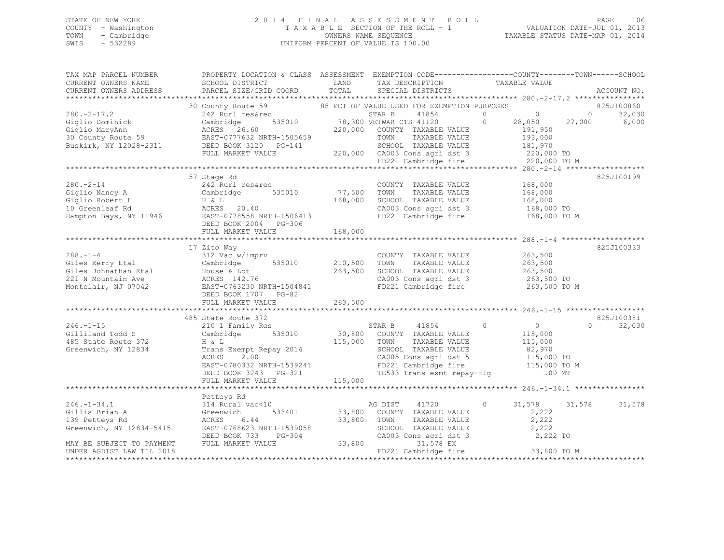## STATE OF NEW YORK 2 0 1 4 F I N A L A S S E S S M E N T R O L L PAGE 106 COUNTY - Washington T A X A B L E SECTION OF THE ROLL - 1 VALUATION DATE-JUL 01, 2013 TOWN - Cambridge OWNERS NAME SEQUENCE TAXABLE STATUS DATE-MAR 01, 2014 SWIS - 532289 UNIFORM PERCENT OF VALUE IS 100.00

| TAX MAP PARCEL NUMBER<br>CURRENT OWNERS NAME<br>CURRENT OWNERS ADDRESS                                                                                                                                                                                                                                                                                                                                                                                             | PROPERTY LOCATION & CLASS ASSESSMENT EXEMPTION CODE---------------COUNTY-------TOWN-----SCHOOL<br>SCHOOL DISTRICT TAX DESCRIPTION<br>PARCEL SIZE/GRID COORD TOTAL                                                                                  |                                                       | TAX DESCRIPTION TAXABLE VALUE SPECIAL DISTRICTS                                                                 |                                                        | ACCOUNT NO.             |
|--------------------------------------------------------------------------------------------------------------------------------------------------------------------------------------------------------------------------------------------------------------------------------------------------------------------------------------------------------------------------------------------------------------------------------------------------------------------|----------------------------------------------------------------------------------------------------------------------------------------------------------------------------------------------------------------------------------------------------|-------------------------------------------------------|-----------------------------------------------------------------------------------------------------------------|--------------------------------------------------------|-------------------------|
|                                                                                                                                                                                                                                                                                                                                                                                                                                                                    |                                                                                                                                                                                                                                                    |                                                       |                                                                                                                 |                                                        | 825J100860              |
| $280 - 2 - 17.2$                                                                                                                                                                                                                                                                                                                                                                                                                                                   | 30 County Route 59 $\begin{array}{cc} 85 & PCT & OF\ VALUE\ USEED\ FOR\ EXEMPTION\ PURPOSES \ 242\ Rurl\ res\$rec \end{array}$ 5TAR B $\begin{array}{cc} 41854 & 0 \end{array}$                                                                    |                                                       |                                                                                                                 |                                                        | 32,030                  |
|                                                                                                                                                                                                                                                                                                                                                                                                                                                                    | 242 Rurl res&rec<br>242 Rurl res&rec STAR B 41854 0 0 0 0<br>26.60 535010 78,300 VETWAR CTS 41120 0 28,050 27,000<br>27,000 28,050 27,000 28,050 27,000                                                                                            |                                                       |                                                                                                                 |                                                        | 28,050 27,000 6,000     |
|                                                                                                                                                                                                                                                                                                                                                                                                                                                                    |                                                                                                                                                                                                                                                    |                                                       |                                                                                                                 |                                                        |                         |
|                                                                                                                                                                                                                                                                                                                                                                                                                                                                    |                                                                                                                                                                                                                                                    |                                                       |                                                                                                                 |                                                        |                         |
|                                                                                                                                                                                                                                                                                                                                                                                                                                                                    |                                                                                                                                                                                                                                                    |                                                       |                                                                                                                 |                                                        |                         |
|                                                                                                                                                                                                                                                                                                                                                                                                                                                                    |                                                                                                                                                                                                                                                    |                                                       |                                                                                                                 |                                                        |                         |
| 280.-2-17.2<br>Giglio Dominick Cambridge 535010 78,300 VETWAR CTS 41120<br>Giglio MaryAnn ACRES 26.60 220,000 COUNTY TAXABLE VALUE 191,950<br>30 County Route 59 EAST-0777632 NRTH-1505659 TOWN TAXABLE VALUE 193,000<br>Buskirk, NY 1                                                                                                                                                                                                                             |                                                                                                                                                                                                                                                    |                                                       |                                                                                                                 |                                                        |                         |
|                                                                                                                                                                                                                                                                                                                                                                                                                                                                    |                                                                                                                                                                                                                                                    |                                                       |                                                                                                                 |                                                        |                         |
|                                                                                                                                                                                                                                                                                                                                                                                                                                                                    | 57 Stage Rd                                                                                                                                                                                                                                        |                                                       |                                                                                                                 |                                                        | 825J100199              |
| 280.-2-14<br>Giglio Nancy A<br>Giglio Robert L<br>168,000<br>He L<br>168,000<br>He L<br>168,000<br>He L<br>20.40<br>He L<br>20.40<br>He L<br>20.40<br>He L<br>20.40<br>He D<br>EAST-0778558 NRTH-1506413                                                                                                                                                                                                                                                           |                                                                                                                                                                                                                                                    |                                                       | COUNTY TAXABLE VALUE<br>77,500 TOWN TAXABLE VALUE<br>COUNTY TAXABLE VALUE 168,000<br>TOWN TAXABLE VALUE 168,000 |                                                        |                         |
|                                                                                                                                                                                                                                                                                                                                                                                                                                                                    |                                                                                                                                                                                                                                                    |                                                       |                                                                                                                 |                                                        |                         |
|                                                                                                                                                                                                                                                                                                                                                                                                                                                                    |                                                                                                                                                                                                                                                    |                                                       | 168,000 SCHOOL TAXABLE VALUE 168,000<br>CA003 Cons agri dst 3 168,000 TO                                        |                                                        |                         |
|                                                                                                                                                                                                                                                                                                                                                                                                                                                                    |                                                                                                                                                                                                                                                    |                                                       | CA003 Cons agri dst 3 168,000 TO<br>FD221 Cambridge fire 168,000 TO M                                           |                                                        |                         |
|                                                                                                                                                                                                                                                                                                                                                                                                                                                                    | DEED BOOK 2004 PG-306                                                                                                                                                                                                                              |                                                       |                                                                                                                 |                                                        |                         |
|                                                                                                                                                                                                                                                                                                                                                                                                                                                                    | FULL MARKET VALUE                                                                                                                                                                                                                                  | 168,000                                               |                                                                                                                 |                                                        |                         |
|                                                                                                                                                                                                                                                                                                                                                                                                                                                                    |                                                                                                                                                                                                                                                    |                                                       |                                                                                                                 |                                                        |                         |
|                                                                                                                                                                                                                                                                                                                                                                                                                                                                    |                                                                                                                                                                                                                                                    |                                                       |                                                                                                                 |                                                        | 825J100333              |
|                                                                                                                                                                                                                                                                                                                                                                                                                                                                    |                                                                                                                                                                                                                                                    |                                                       |                                                                                                                 | 263,500                                                |                         |
|                                                                                                                                                                                                                                                                                                                                                                                                                                                                    |                                                                                                                                                                                                                                                    |                                                       | TAXABLE VALUE                                                                                                   | 263,500                                                |                         |
|                                                                                                                                                                                                                                                                                                                                                                                                                                                                    |                                                                                                                                                                                                                                                    |                                                       |                                                                                                                 | 263,500                                                |                         |
|                                                                                                                                                                                                                                                                                                                                                                                                                                                                    |                                                                                                                                                                                                                                                    |                                                       | CA003 Cons agri dst 3 263,500 TO                                                                                |                                                        |                         |
|                                                                                                                                                                                                                                                                                                                                                                                                                                                                    |                                                                                                                                                                                                                                                    |                                                       | FD221 Cambridge fire                                                                                            | 263,500 TO M                                           |                         |
| $\begin{tabular}{lllllllllllll} \multicolumn{3}{c }{288.-1-4} & \multicolumn{3}{c }{312\text{ Vac }w/imprv} & \multicolumn{3}{c }{\text{COUNTY}} & \text{TAXABLE VALUE} \\ \multicolumn{3}{c }{\text{Giles }{Kerry\_Etal}} & \text{Cambridge} & \text{535010} & \text{210,500} & \text{TOWN} & \text{TAXABLE VALUE} \\ \multicolumn{3}{c }{\text{Giles }{Johnathan\_Etal}} & \text{House & Lot} & \text{263,500} & \text{SCHOL} & \text{TAXABLE VALUE} \\ \multic$ |                                                                                                                                                                                                                                                    |                                                       |                                                                                                                 |                                                        |                         |
|                                                                                                                                                                                                                                                                                                                                                                                                                                                                    |                                                                                                                                                                                                                                                    |                                                       |                                                                                                                 |                                                        |                         |
|                                                                                                                                                                                                                                                                                                                                                                                                                                                                    |                                                                                                                                                                                                                                                    |                                                       |                                                                                                                 |                                                        |                         |
|                                                                                                                                                                                                                                                                                                                                                                                                                                                                    | 485 State Route 372<br>210 1 Family Res                                                                                                                                                                                                            |                                                       |                                                                                                                 |                                                        | 825J100381<br>$\Omega$  |
| $246. -1 - 15$<br>odd S                                                                                                                                                                                                                                                                                                                                                                                                                                            | Cambridge 535010                                                                                                                                                                                                                                   |                                                       | STAR B 41854 (30,800 COUNTY TAXABLE VALUE                                                                       | $\begin{array}{c} 0 \\ 115,000 \end{array}$<br>$\circ$ | 32,030                  |
| Gilliland Todd S<br>485 State Route 372                                                                                                                                                                                                                                                                                                                                                                                                                            |                                                                                                                                                                                                                                                    |                                                       |                                                                                                                 |                                                        |                         |
| Greenwich, NY 12834                                                                                                                                                                                                                                                                                                                                                                                                                                                |                                                                                                                                                                                                                                                    |                                                       |                                                                                                                 |                                                        |                         |
|                                                                                                                                                                                                                                                                                                                                                                                                                                                                    |                                                                                                                                                                                                                                                    |                                                       |                                                                                                                 |                                                        |                         |
|                                                                                                                                                                                                                                                                                                                                                                                                                                                                    |                                                                                                                                                                                                                                                    |                                                       |                                                                                                                 |                                                        |                         |
|                                                                                                                                                                                                                                                                                                                                                                                                                                                                    |                                                                                                                                                                                                                                                    |                                                       |                                                                                                                 |                                                        |                         |
|                                                                                                                                                                                                                                                                                                                                                                                                                                                                    |                                                                                                                                                                                                                                                    |                                                       |                                                                                                                 |                                                        |                         |
|                                                                                                                                                                                                                                                                                                                                                                                                                                                                    | 115,000<br>ACRES 2.00<br>EAST-0780332 NRTH-1539241<br>DEED BOOK 3243 PG-321<br>TES33 Trans exmt repay-flg<br>FD221 Cambridge fire<br>TES33 Trans exmt repay-flg<br>FULL MARKET VALUE<br>TES33 Trans exmt repay-flg<br>FULL MARKET VALUE<br>TES33 T |                                                       |                                                                                                                 |                                                        |                         |
|                                                                                                                                                                                                                                                                                                                                                                                                                                                                    | Petteys Rd                                                                                                                                                                                                                                         |                                                       |                                                                                                                 |                                                        |                         |
|                                                                                                                                                                                                                                                                                                                                                                                                                                                                    | 314 Rural vac<10<br>Greenwich 533401 33,800 COUNTY TAXABLE VALUE                                                                                                                                                                                   |                                                       |                                                                                                                 | $\circ$                                                | 31,578<br>31,578 31,578 |
|                                                                                                                                                                                                                                                                                                                                                                                                                                                                    |                                                                                                                                                                                                                                                    |                                                       |                                                                                                                 | 2,222                                                  |                         |
|                                                                                                                                                                                                                                                                                                                                                                                                                                                                    | 6.44                                                                                                                                                                                                                                               |                                                       | TAXABLE VALUE                                                                                                   | 2,222                                                  |                         |
| 246.-1-34.1<br>Gillis Brian A Greenwich<br>139 Petteys Rd ACRES 6<br>Greenwich, NY 12834-5415 EAST-07686                                                                                                                                                                                                                                                                                                                                                           | EAST-0768623 NRTH-1539058                                                                                                                                                                                                                          |                                                       | SCHOOL TAXABLE VALUE 2,222<br>CA003 Cons agri dst 3 2,222 TO                                                    |                                                        |                         |
|                                                                                                                                                                                                                                                                                                                                                                                                                                                                    | DEED BOOK 733<br>$PG-304$                                                                                                                                                                                                                          | 33,800 TOWN<br>1539058 SCHOOL<br>G-304 33,800 CA003 C |                                                                                                                 |                                                        |                         |
| MAY BE SUBJECT TO PAYMENT                                                                                                                                                                                                                                                                                                                                                                                                                                          | FULL MARKET VALUE                                                                                                                                                                                                                                  |                                                       | 31,578 EX                                                                                                       |                                                        |                         |
| UNDER AGDIST LAW TIL 2018                                                                                                                                                                                                                                                                                                                                                                                                                                          |                                                                                                                                                                                                                                                    |                                                       | FD221 Cambridge fire 33,800 TO M                                                                                |                                                        |                         |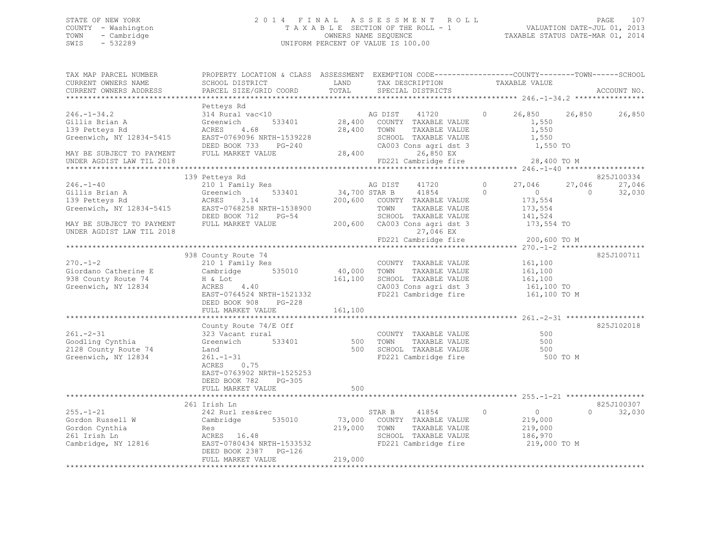## STATE OF NEW YORK 2 0 1 4 F I N A L A S S E S S M E N T R O L L PAGE 107 COUNTY - Washington T A X A B L E SECTION OF THE ROLL - 1 VALUATION DATE-JUL 01, 2013 TOWN - Cambridge OWNERS NAME SEQUENCE TAXABLE STATUS DATE-MAR 01, 2014 SWIS - 532289 UNIFORM PERCENT OF VALUE IS 100.00

| TAX MAP PARCEL NUMBER<br>CURRENT OWNERS NAME<br>CURRENT OWNERS ADDRESS                         | PROPERTY LOCATION & CLASS ASSESSMENT EXEMPTION CODE---------------COUNTY-------TOWN-----SCHOOL<br>SCHOOL DISTRICT<br>PARCEL SIZE/GRID COORD | LAND<br>TOTAL           | TAX DESCRIPTION TAXABLE VALUE<br>SPECIAL DISTRICTS TAXABLE VALUE                                               |                                                                       | ACCOUNT NO.                              |
|------------------------------------------------------------------------------------------------|---------------------------------------------------------------------------------------------------------------------------------------------|-------------------------|----------------------------------------------------------------------------------------------------------------|-----------------------------------------------------------------------|------------------------------------------|
| $246. - 1 - 34.2$<br>Gillis Brian A<br>139 Petteys Rd<br>Greenwich, NY 12834-5415              | Petteys Rd<br>314 Rural vac<10<br>533401<br>Greenwich<br>4.68<br>ACRES<br>EAST-0769096 NRTH-1539228                                         |                         | 28,400 COUNTY TAXABLE VALUE<br>28,400 TOWN<br>TAXABLE VALUE<br>SCHOOL TAXABLE VALUE                            | 1,550<br>1,550<br>1,550                                               |                                          |
| MAY BE SUBJECT TO PAYMENT<br>UNDER AGDIST LAW TIL 2018                                         | DEED BOOK 733 PG-240<br>FULL MARKET VALUE                                                                                                   |                         | CA003 Cons agri dst 3<br>28,400<br>26,850 EX<br>FD221 Cambridge fire                                           | 1,550 TO<br>28,400 TO M                                               |                                          |
|                                                                                                |                                                                                                                                             |                         |                                                                                                                |                                                                       |                                          |
|                                                                                                | 139 Petteys Rd                                                                                                                              |                         |                                                                                                                |                                                                       | 825J100334                               |
| $246. - 1 - 40$<br>Gillis Brian A<br>139 Petteys Rd<br>Greenwich, NY 12834-5415                | 210 1 Family Res<br>533401<br>Greenwich<br>ACRES 3.14<br>EAST-0768258 NRTH-1538900                                                          |                         | AG DIST 41720<br>34,700 STAR B 41854<br>200,600 COUNTY TAXABLE VALUE<br>TOWN<br>TAXABLE VALUE                  | $\circ$<br>27,046<br>$\Omega$<br>$\overline{0}$<br>173,554<br>173,554 | 27,046<br>27,046<br>$\bigcirc$<br>32,030 |
| MAY BE SUBJECT TO PAYMENT<br>UNDER AGDIST LAW TIL 2018                                         | DEED BOOK 712 PG-54<br>FULL MARKET VALUE                                                                                                    |                         | SCHOOL TAXABLE VALUE<br>200,600 CA003 Cons agri dst 3<br>27,046 EX                                             | 141,524<br>173,554 TO                                                 |                                          |
|                                                                                                |                                                                                                                                             |                         | FD221 Cambridge fire                                                                                           | 200,600 TO M                                                          |                                          |
|                                                                                                | 938 County Route 74                                                                                                                         |                         |                                                                                                                |                                                                       | 825J100711                               |
| $270 - 1 - 2$                                                                                  | 210 1 Family Res                                                                                                                            |                         | COUNTY TAXABLE VALUE 161,100                                                                                   |                                                                       |                                          |
| Giordano Catherine E                                                                           | Cambridge 535010                                                                                                                            |                         | 40,000 TOWN TAXABLE VALUE                                                                                      | 161,100                                                               |                                          |
| 938 County Route 74                                                                            | H & Lot                                                                                                                                     |                         | 161,100 SCHOOL TAXABLE VALUE                                                                                   | 161, 100                                                              |                                          |
| Greenwich, NY 12834                                                                            | ACRES 4.40                                                                                                                                  |                         |                                                                                                                |                                                                       |                                          |
|                                                                                                | EAST-0764524 NRTH-1521332<br>DEED BOOK 908<br>PG-228                                                                                        |                         | CA003 Cons agri dst 3 161,100 TO<br>FD221 Cambridge fire 161,100 TO M                                          |                                                                       |                                          |
|                                                                                                | FULL MARKET VALUE                                                                                                                           | 161,100                 |                                                                                                                |                                                                       |                                          |
|                                                                                                |                                                                                                                                             |                         |                                                                                                                |                                                                       |                                          |
|                                                                                                | County Route $74/E$ Off                                                                                                                     |                         |                                                                                                                |                                                                       | 825J102018                               |
| $261 - 2 - 31$<br>Goodling Cynthia<br>2128 County Route 74<br>Greenwich, NY 12834              | 323 Vacant rural<br>533401<br>Greenwich<br>Land<br>$261. - 1 - 31$<br>ACRES<br>0.75<br>EAST-0763902 NRTH-1525253                            | 500                     | COUNTY TAXABLE VALUE<br>TAXABLE VALUE<br>TOWN<br>500 SCHOOL TAXABLE VALUE<br>FD221 Cambridge fire              | 500<br>500<br>500<br>500 TO M                                         |                                          |
|                                                                                                | DEED BOOK 782 PG-305<br>FULL MARKET VALUE                                                                                                   | 500                     |                                                                                                                |                                                                       |                                          |
|                                                                                                |                                                                                                                                             |                         |                                                                                                                |                                                                       |                                          |
|                                                                                                | 261 Irish Ln                                                                                                                                |                         |                                                                                                                |                                                                       | 825J100307                               |
| $255. - 1 - 21$<br>Gordon Russell W<br>Gordon Cynthia<br>261 Irish Ln<br>Cambridge, $NY$ 12816 | 242 Rurl res&rec<br>Cambridge 535010<br>Res<br>ACRES 16.48<br>EAST-0780434 NRTH-1533532<br>DEED BOOK 2387 PG-126<br>FULL MARKET VALUE       | 219,000 TOWN<br>219,000 | STAR B 41854 0<br>73,000 COUNTY TAXABLE VALUE<br>TAXABLE VALUE<br>SCHOOL TAXABLE VALUE<br>FD221 Cambridge fire | $\overline{0}$<br>219,000<br>219,000<br>186,970<br>219,000 TO M       | 32,030<br>$\Omega$                       |
|                                                                                                |                                                                                                                                             |                         |                                                                                                                |                                                                       |                                          |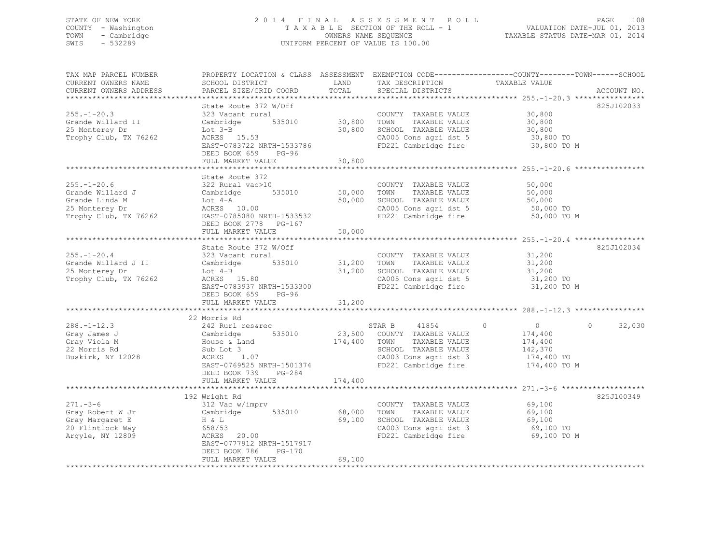## STATE OF NEW YORK 2 0 1 4 F I N A L A S S E S S M E N T R O L L PAGE 108 COUNTY - Washington T A X A B L E SECTION OF THE ROLL - 1 VALUATION DATE-JUL 01, 2013 TOWN - Cambridge OWNERS NAME SEQUENCE TAXABLE STATUS DATE-MAR 01, 2014 SWIS - 532289 UNIFORM PERCENT OF VALUE IS 100.00

| TAX MAP PARCEL NUMBER<br>CURRENT OWNERS NAME<br>CURRENT OWNERS ADDRESS                                                   | SCHOOL DISTRICT<br>PARCEL SIZE/GRID COORD                                                                                                                                                                                             | LAND<br>TOTAL                                     | TAX DESCRIPTION<br>SPECIAL DISTRICTS                                                                                                                              | PROPERTY LOCATION & CLASS ASSESSMENT EXEMPTION CODE----------------COUNTY-------TOWN------SCHOOL<br>TAXABLE VALUE<br>ACCOUNT NO.                                                     |
|--------------------------------------------------------------------------------------------------------------------------|---------------------------------------------------------------------------------------------------------------------------------------------------------------------------------------------------------------------------------------|---------------------------------------------------|-------------------------------------------------------------------------------------------------------------------------------------------------------------------|--------------------------------------------------------------------------------------------------------------------------------------------------------------------------------------|
| $255. - 1 - 20.3$<br>Grande Willard II<br>25 Monterey Dr<br>Trophy Club, TX 76262                                        | State Route 372 W/Off<br>323 Vacant rural<br>Cambridge<br>535010<br>Lot $3-B$<br>ACRES 15.53<br>EAST-0783722 NRTH-1533786<br>DEED BOOK 659<br>$PG-96$<br>FULL MARKET VALUE                                                            | 30,800<br>30,800<br>30,800                        | COUNTY TAXABLE VALUE<br>TOWN<br>TAXABLE VALUE<br>SCHOOL TAXABLE VALUE<br>CA005 Cons agri dst 5<br>FD221 Cambridge fire                                            | 825J102033<br>30,800<br>30,800<br>30,800<br>30,800 TO<br>30,800 TO M                                                                                                                 |
|                                                                                                                          |                                                                                                                                                                                                                                       |                                                   |                                                                                                                                                                   |                                                                                                                                                                                      |
| $255. - 1 - 20.6$<br>Grande Willard J<br>Grande Linda M<br>25 Monterey Dr<br>Trophy Club, TX 76262                       | State Route 372<br>322 Rural vac>10<br>Cambridge<br>535010<br>Lot 4-A<br>ACRES 10.00<br>EAST-0785080 NRTH-1533532<br>DEED BOOK 2778 PG-167                                                                                            | 50,000<br>50,000                                  | COUNTY TAXABLE VALUE<br>TOWN<br>TAXABLE VALUE<br>SCHOOL TAXABLE VALUE<br>CA005 Cons agri dst 5<br>FD221 Cambridge fire                                            | 50,000<br>50,000<br>50,000<br>50,000 TO<br>50,000 TO M                                                                                                                               |
|                                                                                                                          | FULL MARKET VALUE                                                                                                                                                                                                                     | 50,000                                            |                                                                                                                                                                   |                                                                                                                                                                                      |
| $255. - 1 - 20.4$<br>Grande Willard J II<br>25 Monterey Dr<br>Trophy Club, TX 76262<br>$288. - 1 - 12.3$<br>Gray James J | State Route 372 W/Off<br>323 Vacant rural<br>535010<br>Cambridge<br>$Lot 4-B$<br>ACRES 15.80<br>EAST-0783937 NRTH-1533300<br>DEED BOOK 659<br>$PG-96$<br>FULL MARKET VALUE<br>22 Morris Rd<br>242 Rurl res&rec<br>Cambridge<br>535010 | 31,200<br>31,200<br>31,200<br>*********<br>23,500 | COUNTY TAXABLE VALUE<br>TOWN<br>TAXABLE VALUE<br>SCHOOL TAXABLE VALUE<br>CA005 Cons agri dst 5<br>FD221 Cambridge fire<br>STAR B<br>41854<br>COUNTY TAXABLE VALUE | 825J102034<br>31,200<br>31,200<br>31,200<br>31,200 TO<br>31,200 TO M<br>$*************288. -1-12.3*******************$<br>$\overline{0}$<br>32,030<br>$\circ$<br>$\Omega$<br>174,400 |
| Gray Viola M<br>22 Morris Rd<br>Buskirk, NY 12028                                                                        | House & Land<br>Sub Lot 3<br>ACRES 1.07<br>EAST-0769525 NRTH-1501374<br>DEED BOOK 739<br>PG-284<br>FULL MARKET VALUE<br>*********************                                                                                         | 174,400<br>174,400                                | TAXABLE VALUE<br>TOWN<br>SCHOOL TAXABLE VALUE<br>CA003 Cons agri dst 3<br>FD221 Cambridge fire                                                                    | 174,400<br>142,370<br>174,400 TO<br>174,400 TO M                                                                                                                                     |
|                                                                                                                          | 192 Wright Rd                                                                                                                                                                                                                         |                                                   |                                                                                                                                                                   | 825J100349                                                                                                                                                                           |
| $271. - 3 - 6$<br>Gray Robert W Jr<br>Gray Margaret E<br>20 Flintlock Way<br>Argyle, NY 12809                            | 312 Vac w/imprv<br>Cambridge<br>535010<br>H & L<br>658/53<br>20.00<br>ACRES<br>EAST-0777912 NRTH-1517917<br>DEED BOOK 786<br>$PG-170$                                                                                                 | 68,000<br>69,100                                  | COUNTY TAXABLE VALUE<br>TOWN<br>TAXABLE VALUE<br>SCHOOL TAXABLE VALUE<br>CA003 Cons agri dst 3<br>FD221 Cambridge fire                                            | 69,100<br>69,100<br>69,100<br>69,100 TO<br>69,100 TO M                                                                                                                               |
|                                                                                                                          | FULL MARKET VALUE                                                                                                                                                                                                                     | 69,100                                            |                                                                                                                                                                   |                                                                                                                                                                                      |
|                                                                                                                          |                                                                                                                                                                                                                                       |                                                   |                                                                                                                                                                   |                                                                                                                                                                                      |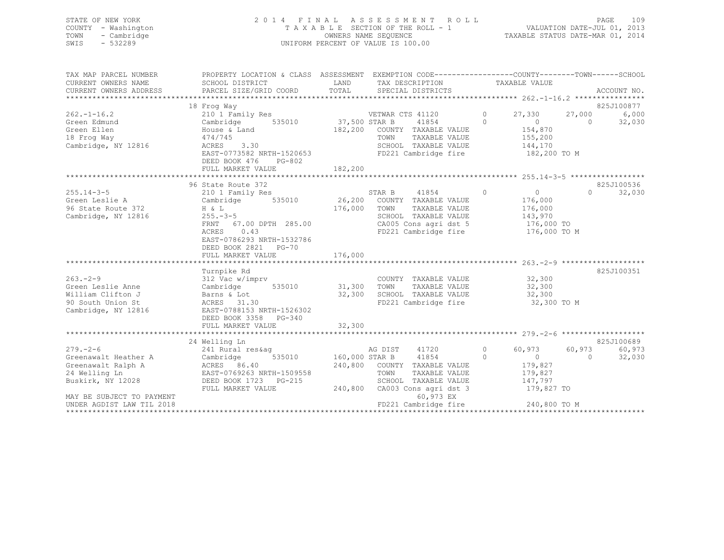| STATE OF NEW YORK<br>- Washington<br>COUNTY<br>- Cambridge<br>TOWN<br>SWIS<br>$-532289$ | 2014 FINAL                                                             | TAXABLE SECTION OF THE ROLL - 1<br>OWNERS NAME SEQUENCE<br>UNIFORM PERCENT OF VALUE IS 100.00 | A S S E S S M E N T R O L L                                                     |                     | TAXABLE STATUS DATE-MAR 01, 2014 |                  | 109<br>PAGE<br>VALUATION DATE-JUL 01, 2013 |
|-----------------------------------------------------------------------------------------|------------------------------------------------------------------------|-----------------------------------------------------------------------------------------------|---------------------------------------------------------------------------------|---------------------|----------------------------------|------------------|--------------------------------------------|
| TAX MAP PARCEL NUMBER<br>CURRENT OWNERS NAME<br>CURRENT OWNERS ADDRESS                  | PROPERTY LOCATION & CLASS<br>SCHOOL DISTRICT<br>PARCEL SIZE/GRID COORD | ASSESSMENT<br>LAND<br>TOTAL SPECIAL DISTRICTS                                                 | EXEMPTION CODE-----------------COUNTY-------TOWN------SCHOOL<br>TAX DESCRIPTION |                     | TAXABLE VALUE                    |                  | ACCOUNT NO.                                |
|                                                                                         |                                                                        |                                                                                               |                                                                                 |                     |                                  |                  |                                            |
|                                                                                         | 18 Frog Way                                                            |                                                                                               |                                                                                 |                     |                                  |                  | 825J100877                                 |
| $262. - 1 - 16.2$<br>Green Edmund                                                       | 210 1 Family Res<br>Cambridge<br>535010                                | 37,500 STAR B                                                                                 | VETWAR CTS 41120<br>41854                                                       | $\circ$<br>$\Omega$ | 27,330                           | 27,000<br>$\cap$ | 6,000<br>32,030                            |
| Green Ellen                                                                             | House & Land                                                           | 182,200<br>COUNTY                                                                             | TAXABLE VALUE                                                                   |                     | 154,870                          |                  |                                            |
|                                                                                         |                                                                        |                                                                                               |                                                                                 |                     |                                  |                  |                                            |
| 18 Frog Way                                                                             | 474/745                                                                | TOWN                                                                                          | TAXABLE VALUE                                                                   |                     | 155,200                          |                  |                                            |

Cambridge, NY 12816 ACRES 3.30 SCHOOL TAXABLE VALUE 144,170

|                           | EAST-0773582 NRTH-1520653<br>DEED BOOK 476<br>PG-802<br>FULL MARKET VALUE | 182,200 |                      | FD221 Cambridge fire         |            | 182,200 TO M                        |          |            |
|---------------------------|---------------------------------------------------------------------------|---------|----------------------|------------------------------|------------|-------------------------------------|----------|------------|
|                           |                                                                           |         |                      |                              |            |                                     |          | 825J100536 |
| $255.14 - 3 - 5$          | 96 State Route 372<br>210 1 Family Res                                    |         | STAR B               | 41854                        | $\bigcirc$ | $\Omega$                            | $\Omega$ | 32,030     |
| Green Leslie A            | 535010<br>Cambridge                                                       | 26,200  |                      | COUNTY TAXABLE VALUE         |            | 176,000                             |          |            |
| 96 State Route 372        | H & L                                                                     | 176,000 | TOWN                 | TAXABLE VALUE                |            | 176,000                             |          |            |
| Cambridge, NY 12816       | $255. - 3 - 5$                                                            |         |                      | SCHOOL TAXABLE VALUE         |            | 143,970                             |          |            |
|                           | 67.00 DPTH 285.00<br>FRNT                                                 |         |                      | CA005 Cons agri dst 5        |            | 176,000 TO                          |          |            |
|                           | 0.43<br>ACRES                                                             |         |                      | FD221 Cambridge fire         |            | 176,000 TO M                        |          |            |
|                           | EAST-0786293 NRTH-1532786                                                 |         |                      |                              |            |                                     |          |            |
|                           | DEED BOOK 2821<br>$PG-70$                                                 |         |                      |                              |            |                                     |          |            |
|                           | FULL MARKET VALUE                                                         | 176,000 |                      |                              |            |                                     |          |            |
|                           |                                                                           |         |                      |                              |            |                                     |          |            |
|                           | Turnpike Rd                                                               |         |                      |                              |            |                                     |          | 825J100351 |
| $263 - 2 - 9$             | 312 Vac w/imprv                                                           |         |                      | COUNTY TAXABLE VALUE         |            | 32,300                              |          |            |
| Green Leslie Anne         | 535010<br>Cambridge                                                       | 31,300  | TOWN                 | TAXABLE VALUE                |            | 32,300                              |          |            |
| William Clifton J         | Barns & Lot                                                               | 32,300  |                      | SCHOOL TAXABLE VALUE         |            | 32,300                              |          |            |
| 90 South Union St         | ACRES 31.30                                                               |         |                      | FD221 Cambridge fire         |            | 32,300 TO M                         |          |            |
| Cambridge, NY 12816       | EAST-0788153 NRTH-1526302                                                 |         |                      |                              |            |                                     |          |            |
|                           | DEED BOOK 3358<br>$PG-340$                                                |         |                      |                              |            |                                     |          |            |
|                           | FULL MARKET VALUE                                                         | 32,300  |                      |                              |            |                                     |          |            |
|                           | 24 Welling Ln                                                             |         |                      |                              |            |                                     |          | 825J100689 |
| $279. - 2 - 6$            | 241 Rural res&ag                                                          |         | AG DIST 41720        |                              | $\circ$    | 60,973                              | 60,973   | 60,973     |
| Greenawalt Heather A      | 535010<br>Cambridge                                                       |         | 160,000 STAR B 41854 |                              | $\Omega$   | $\Omega$                            | $\Omega$ | 32,030     |
| Greenawalt Ralph A        | ACRES 86.40                                                               |         |                      | 240,800 COUNTY TAXABLE VALUE |            | 179,827                             |          |            |
| 24 Welling Ln             | EAST-0769263 NRTH-1509558                                                 |         | TOWN                 | TAXABLE VALUE                |            | 179,827                             |          |            |
| Buskirk, NY 12028         | DEED BOOK 1723<br>PG-215                                                  |         |                      | SCHOOL TAXABLE VALUE         |            | 147,797                             |          |            |
|                           | FULL MARKET VALUE                                                         | 240,800 |                      | CA003 Cons agri dst 3        |            | 179,827 TO                          |          |            |
| MAY BE SUBJECT TO PAYMENT |                                                                           |         |                      | 60,973 EX                    |            |                                     |          |            |
| UNDER AGDIST LAW TIL 2018 |                                                                           |         |                      | FD221 Cambridge fire         |            | 240,800 TO M                        |          |            |
|                           |                                                                           |         |                      |                              |            | *********************************** |          |            |
|                           |                                                                           |         |                      |                              |            |                                     |          |            |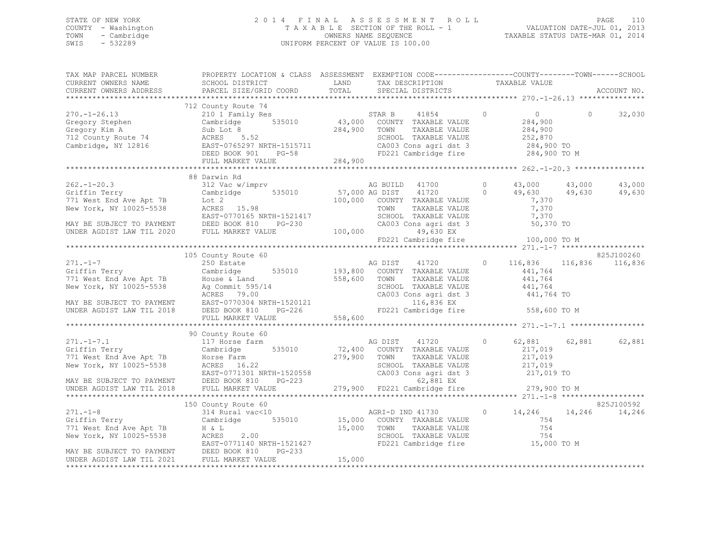## STATE OF NEW YORK PAGE 110<br>COUNTY - Washington 1 2014 FINAL ASSESSMENT ROLL - 1 VALUATION DATE-UL 1 2013<br>2014 - 2014 PAGE 110 COUNTY - Washington T A X A B L E SECTION OF THE ROLL - 1 TOWN - Cambridge OWNERS NAME SEQUENCE TAXABLE STATUS DATE-MAR 01, 2014 UNIFORM PERCENT OF VALUE IS 100.00

| TAX MAP PARCEL NUMBER | PROPERTY LOCATION & CLASS ASSESSMENT EXEMPTION CODE----------------COUNTY-------TOWN------SCHOOL                                                                                                                                     |                                   |                      |            |
|-----------------------|--------------------------------------------------------------------------------------------------------------------------------------------------------------------------------------------------------------------------------------|-----------------------------------|----------------------|------------|
|                       |                                                                                                                                                                                                                                      |                                   |                      |            |
|                       |                                                                                                                                                                                                                                      |                                   |                      |            |
|                       |                                                                                                                                                                                                                                      |                                   |                      |            |
|                       | 712 County Route 74                                                                                                                                                                                                                  |                                   |                      |            |
|                       |                                                                                                                                                                                                                                      |                                   |                      |            |
|                       |                                                                                                                                                                                                                                      |                                   |                      |            |
|                       |                                                                                                                                                                                                                                      |                                   |                      |            |
|                       |                                                                                                                                                                                                                                      |                                   |                      |            |
|                       |                                                                                                                                                                                                                                      |                                   |                      |            |
|                       |                                                                                                                                                                                                                                      |                                   |                      |            |
|                       |                                                                                                                                                                                                                                      |                                   |                      |            |
|                       |                                                                                                                                                                                                                                      |                                   |                      |            |
|                       | 88 Darwin Rd                                                                                                                                                                                                                         |                                   |                      |            |
|                       |                                                                                                                                                                                                                                      |                                   |                      |            |
|                       |                                                                                                                                                                                                                                      |                                   |                      |            |
|                       |                                                                                                                                                                                                                                      |                                   |                      |            |
|                       |                                                                                                                                                                                                                                      |                                   |                      |            |
|                       |                                                                                                                                                                                                                                      |                                   |                      |            |
|                       |                                                                                                                                                                                                                                      |                                   |                      |            |
|                       |                                                                                                                                                                                                                                      |                                   |                      |            |
|                       |                                                                                                                                                                                                                                      | FD221 Cambridge fire 100,000 TO M |                      |            |
|                       |                                                                                                                                                                                                                                      |                                   |                      |            |
|                       | 105 County Route 60                                                                                                                                                                                                                  |                                   |                      | 825J100260 |
|                       |                                                                                                                                                                                                                                      | 41720 0 116,836 116,836 116,836   |                      |            |
|                       |                                                                                                                                                                                                                                      |                                   |                      |            |
|                       |                                                                                                                                                                                                                                      |                                   |                      |            |
|                       |                                                                                                                                                                                                                                      |                                   |                      |            |
|                       |                                                                                                                                                                                                                                      | CA003 Cons agri dst 3 441,764 TO  |                      |            |
|                       |                                                                                                                                                                                                                                      |                                   |                      |            |
|                       |                                                                                                                                                                                                                                      | FD221 Cambridge fire 558,600 TO M |                      |            |
|                       |                                                                                                                                                                                                                                      |                                   |                      |            |
|                       |                                                                                                                                                                                                                                      |                                   |                      |            |
|                       | 90 County Route 60                                                                                                                                                                                                                   |                                   |                      |            |
|                       |                                                                                                                                                                                                                                      | AG DIST 41720 0                   | 62,881 62,881 62,881 |            |
|                       |                                                                                                                                                                                                                                      |                                   |                      |            |
|                       |                                                                                                                                                                                                                                      |                                   |                      |            |
|                       | 271.-1-7.1 17 Horse farm and the Magnus of Cambridge 17.400 COUNTY TAXABLE VALUE 217,019<br>771 West End Ave Apt 7B Horse Farm 279,900 TOWN TAXABLE VALUE 217,019<br>771 West End Ave Apt 7B Horse Farm 279,900 TOWN TAXABLE VALUE   |                                   |                      |            |
|                       |                                                                                                                                                                                                                                      |                                   |                      |            |
|                       |                                                                                                                                                                                                                                      |                                   |                      |            |
|                       |                                                                                                                                                                                                                                      |                                   |                      |            |
|                       | New York, NY 10025-5538 (ACRES 16.22<br>NAY BE SUBJECT TO PAYMENT DEED BOOK 810 PG-223 (279,900 FD221 Cambridge fire 279,900 TO M<br>EXERGENT DEED BOOK 810 PG-223 (279,900 FD221 Cambridge fire 279,900 TO M<br>******************* |                                   |                      |            |
|                       |                                                                                                                                                                                                                                      |                                   |                      |            |
|                       |                                                                                                                                                                                                                                      |                                   |                      |            |
|                       |                                                                                                                                                                                                                                      |                                   |                      |            |
|                       |                                                                                                                                                                                                                                      |                                   |                      |            |
|                       |                                                                                                                                                                                                                                      |                                   |                      |            |
|                       |                                                                                                                                                                                                                                      |                                   |                      |            |
|                       |                                                                                                                                                                                                                                      |                                   |                      |            |
|                       |                                                                                                                                                                                                                                      |                                   |                      |            |
|                       |                                                                                                                                                                                                                                      |                                   |                      |            |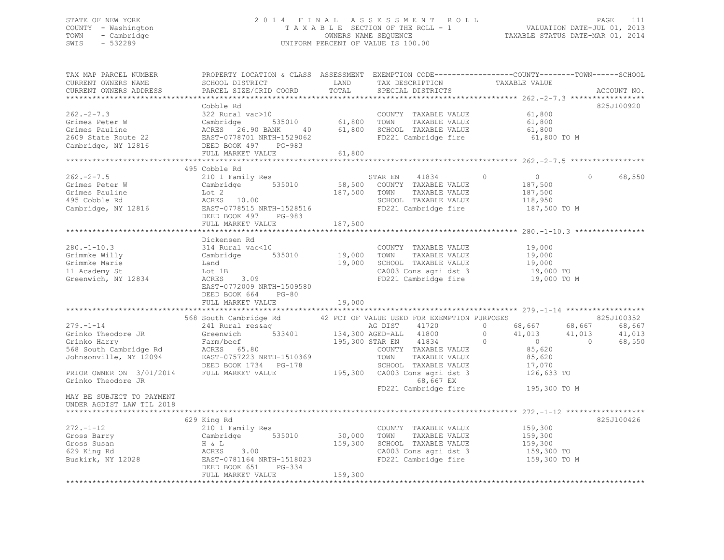### STATE OF NEW YORK 2 0 1 4 F I N A L A S S E S S M E N T R O L L PAGE 111 COUNTY - Washington T A X A B L E SECTION OF THE ROLL - 1 VALUATION DATE-JUL 01, 2013 TOWN - Cambridge OWNERS NAME SEQUENCE TAXABLE STATUS DATE-MAR 01, 2014 SWIS - 532289 UNIFORM PERCENT OF VALUE IS 100.00

| TAX MAP PARCEL NUMBER<br>CURRENT OWNERS NAME<br>CURRENT OWNERS ADDRESS                                                                                                                                                | SCHOOL DISTRICT<br>PARCEL SIZE/GRID COORD                                                                                                                                                                                    | LAND<br>TOTAL                   | TAX DESCRIPTION<br>SPECIAL DISTRICTS                                                                                                                                                                                | PROPERTY LOCATION & CLASS ASSESSMENT EXEMPTION CODE----------------COUNTY-------TOWN-----SCHOOL<br>TAXABLE VALUE                                            | ACCOUNT NO.                              |
|-----------------------------------------------------------------------------------------------------------------------------------------------------------------------------------------------------------------------|------------------------------------------------------------------------------------------------------------------------------------------------------------------------------------------------------------------------------|---------------------------------|---------------------------------------------------------------------------------------------------------------------------------------------------------------------------------------------------------------------|-------------------------------------------------------------------------------------------------------------------------------------------------------------|------------------------------------------|
| $262 - 2 - 7.3$<br>Grimes Peter W<br>Grimes Pauline<br>2609 State Route 22<br>Cambridge, NY 12816                                                                                                                     | Cobble Rd<br>322 Rural vac>10<br>Cambridge 535010<br>ACRES 26.90 BANK 40<br>EAST-0778701 NRTH-1529062<br>DEED BOOK 497 PG-983<br>PULL MANG 1711<br>FULL MARKET VALUE                                                         | COUNTY<br>61,800 TOWN<br>61,800 | COUNTY TAXABLE VALUE<br>TAXABLE VALUE<br>61,800 SCHOOL TAXABLE VALUE<br>FD221 Cambridge fire                                                                                                                        | 61,800<br>61,800<br>61,800<br>61,800 TO M                                                                                                                   | 825J100920                               |
| $262 - 2 - 7.5$<br>202.-2<br>Grimes Peter W<br>Crimes Pauline<br>495 Cobble Rd<br>Cambridge, NY 12816 EAST-0778515 NRTH-1528516                                                                                       | 495 Cobble Rd<br>210 1 Family Res<br>Cambridge 535010<br>Lot 2<br>ACRES 10.00<br>DEED BOOK 497 PG-983<br>FULL MARKET VALUE                                                                                                   | 187,500                         | 41834<br>STAR EN<br>58,500 COUNTY TAXABLE VALUE<br>187,500 TOWN TAXABLE VALUE<br>TAXABLE VALUE<br>SCHOOL TAXABLE VALUE<br>FD221 Cambridge fire                                                                      | $\Omega$<br>$\overline{0}$<br>$\Omega$<br>187,500<br>187,500<br>118,950<br>187,500 TO M                                                                     | 68,550                                   |
| $280. - 1 - 10.3$<br>Grimmke Willy<br>Grimmke Marie<br>11 Academy St<br>Greenwich, NY 12834                                                                                                                           | Dickensen Rd<br>314 Rural vac<10<br>Cambridge 535010<br>Land<br>Lot 1B<br>3.09<br>ACRES<br>EAST-0772009 NRTH-1509580<br>DEED BOOK 664 PG-80<br>FULL MARKET VALUE                                                             | 19,000<br>19,000<br>19,000      | COUNTY TAXABLE VALUE<br>TOWN<br>TAXABLE VALUE<br>SCHOOL TAXABLE VALUE<br>CA003 Cons agri dst 3<br>FD221 Cambridge fire                                                                                              | 19,000<br>19,000<br>19,000<br>$19,000$ TO<br>19,000 TO M                                                                                                    |                                          |
| $279. - 1 - 14$<br>Grinko Theodore JR<br>Grinko Harry<br>568 South Cambridge Rd<br>Johnsonville, NY 12094<br>PRIOR OWNER ON 3/01/2014<br>Grinko Theodore JR<br>MAY BE SUBJECT TO PAYMENT<br>UNDER AGDIST LAW TIL 2018 | 568 South Cambridge Rd<br>$241$ Rural restag ag ag DIST 41720<br>Greenwich 533401 134,300 AGED-ALL 41800<br>Farm/beef<br>Farm/beef<br>ACRES 65.80<br>EAST-0757223 NRTH-1510369<br>DEED BOOK 1734 PG-178<br>FULL MARKET VALUE |                                 | 42 PCT OF VALUE USED FOR EXEMPTION PURPOSES<br>195,300 STAR EN 41834<br>COUNTY TAXABLE VALUE<br>TOWN<br>TAXABLE VALUE<br>SCHOOL TAXABLE VALUE<br>195,300 CA003 Cons agri dst 3<br>68,667 EX<br>FD221 Cambridge fire | $\circ$<br>68,667 68,667<br>41,013 41,013<br>$\Omega$<br>$\Omega$<br>$\overline{0}$<br>$\Omega$<br>85,620<br>85,620<br>17,070<br>126,633 TO<br>195,300 TO M | 825J100352<br>68,667<br>41,013<br>68,550 |
| $272. - 1 - 12$<br>Gross Barry<br>Gross Susan<br>629 King Rd<br>Buskirk, NY 12028                                                                                                                                     | 629 King Rd<br>210 1 Family Res<br>Cambridge 535010<br>H & L<br>3.00<br>ACRES<br>EAST-0781164 NRTH-1518023<br>DEED BOOK 651<br>PG-334<br>FULL MARKET VALUE                                                                   | 30,000<br>159,300<br>159,300    | COUNTY TAXABLE VALUE<br>TAXABLE VALUE<br>TOWN<br>SCHOOL TAXABLE VALUE<br>CA003 Cons agri dst 3<br>FD221 Cambridge fire                                                                                              | 159,300<br>159,300<br>159,300<br>159,300 TO<br>159,300 TO M                                                                                                 | 825J100426                               |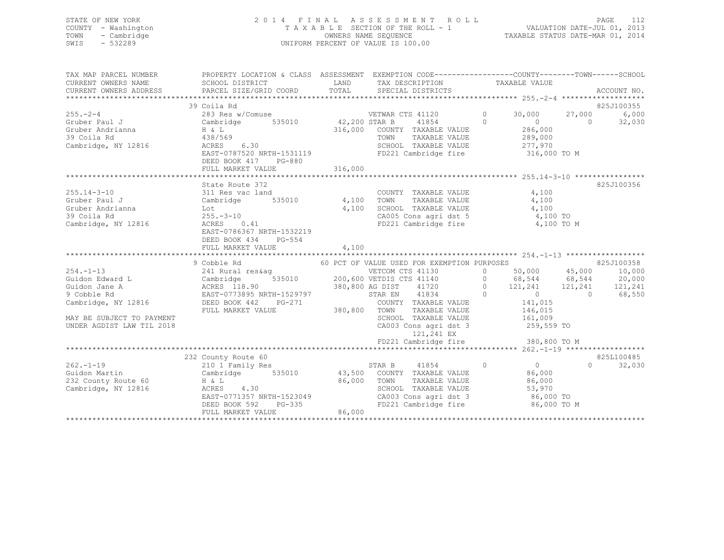### STATE OF NEW YORK 2 0 1 4 F I N A L A S S E S S M E N T R O L L PAGE 112 COUNTY - Washington T A X A B L E SECTION OF THE ROLL - 1 VALUATION DATE-JUL 01, 2013 TOWN - Cambridge OWNERS NAME SEQUENCE TAXABLE STATUS DATE-MAR 01, 2014 SWIS - 532289 UNIFORM PERCENT OF VALUE IS 100.00

| TAX MAP PARCEL NUMBER<br>CURRENT OWNERS NAME<br>CURRENT OWNERS ADDRESS | PROPERTY LOCATION & CLASS ASSESSMENT EXEMPTION CODE---------------COUNTY-------TOWN-----SCHOOL<br>SCHOOL DISTRICT<br>PARCEL SIZE/GRID COORD    | LAND         | TAX DESCRIPTION TAXABLE VALUE<br>LAND TAX DESCRIPTION<br>TOTAL SPECIAL DISTRICTS                   |                                                                         |          | ACCOUNT NO. |
|------------------------------------------------------------------------|------------------------------------------------------------------------------------------------------------------------------------------------|--------------|----------------------------------------------------------------------------------------------------|-------------------------------------------------------------------------|----------|-------------|
|                                                                        | 39 Coila Rd                                                                                                                                    |              |                                                                                                    |                                                                         |          | 825J100355  |
| $255. -2 - 4$                                                          | 283 Res w/Comuse                                                                                                                               |              | $\overline{0}$<br>VETWAR CTS 41120                                                                 | 30,000                                                                  | 27,000   | 6,000       |
|                                                                        | Gruber Paul J Cambridge 535010 42,200 STAR B                                                                                                   |              | 41854 0                                                                                            | $\overline{0}$                                                          | $\Omega$ | 32,030      |
|                                                                        |                                                                                                                                                |              | 316,000 COUNTY TAXABLE VALUE                                                                       |                                                                         |          |             |
|                                                                        |                                                                                                                                                |              | TOWN<br>TAXABLE VALUE                                                                              | 286,000<br>289,000                                                      |          |             |
| Cambridge, NY 12816                                                    | ACRES 6.30                                                                                                                                     |              | SCHOOL TAXABLE VALUE 277,970                                                                       |                                                                         |          |             |
|                                                                        | EAST-0787520 NRTH-1531119                                                                                                                      |              | FD221 Cambridge fire 316,000 TO M                                                                  |                                                                         |          |             |
|                                                                        | DEED BOOK 417 PG-880                                                                                                                           |              |                                                                                                    |                                                                         |          |             |
|                                                                        | FULL MARKET VALUE                                                                                                                              | 316,000      |                                                                                                    |                                                                         |          |             |
|                                                                        |                                                                                                                                                |              |                                                                                                    |                                                                         |          |             |
|                                                                        | State Route 372                                                                                                                                |              |                                                                                                    |                                                                         |          | 825J100356  |
| $255.14 - 3 - 10$                                                      | 311 Res vac land                                                                                                                               |              | COUNTY TAXABLE VALUE                                                                               | 4,100                                                                   |          |             |
|                                                                        | Cambridge 535010 4,100 TOWN TAXABLE VALUE 4,100<br>Lot 4,100 SCHOOL TAXABLE VALUE 4,100                                                        |              |                                                                                                    |                                                                         |          |             |
|                                                                        |                                                                                                                                                |              |                                                                                                    |                                                                         |          |             |
|                                                                        |                                                                                                                                                |              | CA005 Cons agri dst 5 4,100 TO                                                                     |                                                                         |          |             |
|                                                                        | Comber Paul J<br>Gruber Andrianna<br>39 Coila Rd<br>Cambridge, NY 12816<br>Cambridge, NY 12816<br>Packets 0.41<br>Packets 0.41<br>Packets 0.41 |              | FD221 Cambridge fire                                                                               | 4,100 TO M                                                              |          |             |
|                                                                        | EAST-0786367 NRTH-1532219                                                                                                                      |              |                                                                                                    |                                                                         |          |             |
|                                                                        | DEED BOOK 434<br>PG-554                                                                                                                        |              |                                                                                                    |                                                                         |          |             |
|                                                                        | FULL MARKET VALUE                                                                                                                              | 4,100        |                                                                                                    |                                                                         |          |             |
|                                                                        |                                                                                                                                                |              |                                                                                                    |                                                                         |          |             |
| $254. -1 - 13$                                                         |                                                                                                                                                |              |                                                                                                    |                                                                         |          |             |
| Cambridge Cambridge Cambridge                                          |                                                                                                                                                |              |                                                                                                    |                                                                         |          |             |
| Guidon Jane A                                                          |                                                                                                                                                |              |                                                                                                    |                                                                         |          |             |
| 9 Cobble Rd                                                            |                                                                                                                                                |              |                                                                                                    |                                                                         |          |             |
| Cambridge, NY 12816                                                    |                                                                                                                                                |              |                                                                                                    |                                                                         |          |             |
|                                                                        | FULL MARKET VALUE                                                                                                                              | 380,800 TOWN | TAXABLE VALUE 146,015                                                                              |                                                                         |          |             |
| MAY BE SUBJECT TO PAYMENT                                              |                                                                                                                                                |              |                                                                                                    |                                                                         |          |             |
| UNDER AGDIST LAW TIL 2018                                              |                                                                                                                                                |              | SCHOOL TAXABLE VALUE 161,009<br>CA003 Cons agri dst 3 259,559 TO                                   |                                                                         |          |             |
|                                                                        |                                                                                                                                                |              | 121,241 EX                                                                                         |                                                                         |          |             |
|                                                                        |                                                                                                                                                |              | FD221 Cambridge fire                                                                               | 380,800 TO M                                                            |          |             |
|                                                                        |                                                                                                                                                |              |                                                                                                    |                                                                         |          |             |
|                                                                        | 232 County Route 60                                                                                                                            |              |                                                                                                    |                                                                         |          | 825L100485  |
| $262 - 1 - 19$                                                         | 210 1 Family Res                                                                                                                               |              | STAR B 41854 0                                                                                     | $\begin{array}{ccc} & & & 825 \text{L} \\ \text{O} & & & 0 \end{array}$ |          | 32,030      |
| Guidon Martin                                                          | Cambridge 535010 43,500 COUNTY TAXABLE VALUE                                                                                                   |              |                                                                                                    | 86,000                                                                  |          |             |
| 232 County Route 60                                                    |                                                                                                                                                | 86,000 TOWN  | TAXABLE VALUE 86,000                                                                               |                                                                         |          |             |
| Cambridge, NY 12816                                                    | H & L<br>ACRES 4.30                                                                                                                            |              |                                                                                                    |                                                                         |          |             |
|                                                                        | AURES 4.30<br>EAST-0771357 NRTH-1523049                                                                                                        |              |                                                                                                    |                                                                         |          |             |
|                                                                        | DEED BOOK 592                                                                                                                                  | $PG-335$     | SCHOOL TAXABLE VALUE 53,970<br>CA003 Cons agri dst 3 66,000 TO<br>FD221 Cambridge fire 86,000 TO M |                                                                         |          |             |
|                                                                        | FULL MARKET VALUE                                                                                                                              | 86,000       |                                                                                                    |                                                                         |          |             |
|                                                                        |                                                                                                                                                |              |                                                                                                    |                                                                         |          |             |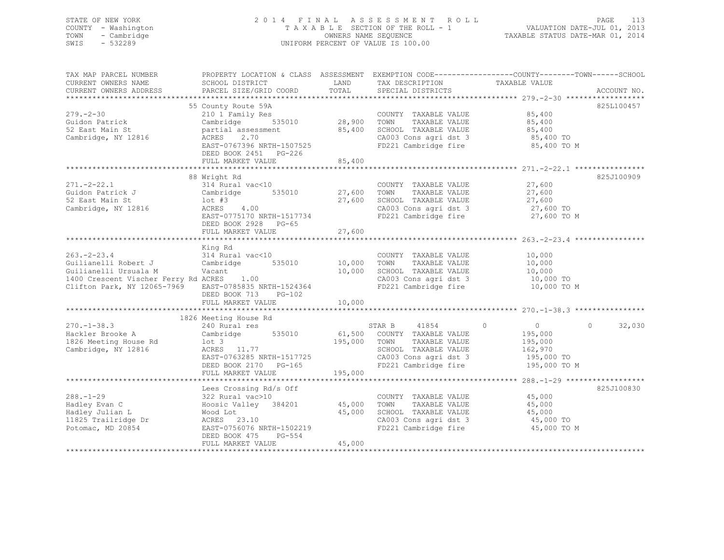### STATE OF NEW YORK 2 0 1 4 F I N A L A S S E S S M E N T R O L L PAGE 113 COUNTY - Washington T A X A B L E SECTION OF THE ROLL - 1 VALUATION DATE-JUL 01, 2013 TOWN - Cambridge OWNERS NAME SEQUENCE TAXABLE STATUS DATE-MAR 01, 2014 SWIS - 532289 UNIFORM PERCENT OF VALUE IS 100.00

| TAX MAP PARCEL NUMBER                                                                                                                                                                                |                                                                                                                                                                                   |        |                                                                                                           | PROPERTY LOCATION & CLASS ASSESSMENT EXEMPTION CODE----------------COUNTY-------TOWN------SCHOOI                                                                                                                                  |            |
|------------------------------------------------------------------------------------------------------------------------------------------------------------------------------------------------------|-----------------------------------------------------------------------------------------------------------------------------------------------------------------------------------|--------|-----------------------------------------------------------------------------------------------------------|-----------------------------------------------------------------------------------------------------------------------------------------------------------------------------------------------------------------------------------|------------|
| CURRENT OWNERS NAME                                                                                                                                                                                  | SCHOOL DISTRICT                                                                                                                                                                   | LAND   | TAX DESCRIPTION TAXABLE VALUE                                                                             |                                                                                                                                                                                                                                   |            |
|                                                                                                                                                                                                      |                                                                                                                                                                                   |        |                                                                                                           |                                                                                                                                                                                                                                   |            |
|                                                                                                                                                                                                      |                                                                                                                                                                                   |        |                                                                                                           |                                                                                                                                                                                                                                   |            |
|                                                                                                                                                                                                      | 55 County Route 59A                                                                                                                                                               |        |                                                                                                           |                                                                                                                                                                                                                                   | 825L100457 |
| $279 - 2 - 30$                                                                                                                                                                                       | 210 1 Family Res<br>210 1 Family Res<br>COUNTY TAXABLE VALUE 85,400<br>Cambridge 535010 28,900 TOWN TAXABLE VALUE 85,400<br>partial assessment 85,400 SCHOOL TAXABLE VALUE 85,400 |        | COUNTY TAXABLE VALUE 85,400                                                                               |                                                                                                                                                                                                                                   |            |
| Guidon Patrick<br>52 East Main St                                                                                                                                                                    |                                                                                                                                                                                   |        |                                                                                                           |                                                                                                                                                                                                                                   |            |
| 52 East Main St                                                                                                                                                                                      | partial assessment                                                                                                                                                                |        |                                                                                                           |                                                                                                                                                                                                                                   |            |
| Cambridge, NY 12816                                                                                                                                                                                  | ACRES 2.70                                                                                                                                                                        |        |                                                                                                           |                                                                                                                                                                                                                                   |            |
|                                                                                                                                                                                                      | EAST-0767396 NRTH-1507525                                                                                                                                                         |        |                                                                                                           | CA003 Cons agri dst 3 85,400 TO<br>FD221 Cambridge fire 85,400 TO M                                                                                                                                                               |            |
|                                                                                                                                                                                                      | DEED BOOK 2451 PG-226                                                                                                                                                             |        |                                                                                                           |                                                                                                                                                                                                                                   |            |
|                                                                                                                                                                                                      | FULL MARKET VALUE                                                                                                                                                                 | 85,400 |                                                                                                           |                                                                                                                                                                                                                                   |            |
|                                                                                                                                                                                                      |                                                                                                                                                                                   |        |                                                                                                           |                                                                                                                                                                                                                                   |            |
|                                                                                                                                                                                                      | 88 Wright Rd                                                                                                                                                                      |        |                                                                                                           |                                                                                                                                                                                                                                   | 825J100909 |
| $271. - 2 - 22.1$                                                                                                                                                                                    |                                                                                                                                                                                   |        |                                                                                                           |                                                                                                                                                                                                                                   |            |
|                                                                                                                                                                                                      | 314 Rural vac<10               COUNTY TAXABLE VALUE         27,600<br>Cambridge    535010      27,600   TOWN   TAXABLE VALUE         27,600                                       |        |                                                                                                           |                                                                                                                                                                                                                                   |            |
| Guidon Patrick J                                                                                                                                                                                     |                                                                                                                                                                                   |        |                                                                                                           |                                                                                                                                                                                                                                   |            |
| 52 East Main St                                                                                                                                                                                      | $10t$ #3<br>ACRES $4.00$                                                                                                                                                          |        | 27,600 IONA 10000 INTERENTIAL<br>27,600 SCHOOL TAXABLE VALUE 27,600 TO<br>CA003 Cons agri dst 3 27,600 TO |                                                                                                                                                                                                                                   |            |
| Cambridge, NY 12816                                                                                                                                                                                  |                                                                                                                                                                                   |        |                                                                                                           | CA003 Cons agri dst 3 27,600 TO<br>FD221 Cambridge fire 27,600 TO M                                                                                                                                                               |            |
|                                                                                                                                                                                                      | EAST-0775170 NRTH-1517734                                                                                                                                                         |        |                                                                                                           |                                                                                                                                                                                                                                   |            |
|                                                                                                                                                                                                      | DEED BOOK 2928 PG-65                                                                                                                                                              |        |                                                                                                           |                                                                                                                                                                                                                                   |            |
|                                                                                                                                                                                                      | FULL MARKET VALUE                                                                                                                                                                 | 27,600 |                                                                                                           |                                                                                                                                                                                                                                   |            |
|                                                                                                                                                                                                      |                                                                                                                                                                                   |        |                                                                                                           |                                                                                                                                                                                                                                   |            |
|                                                                                                                                                                                                      | King Rd                                                                                                                                                                           |        |                                                                                                           |                                                                                                                                                                                                                                   |            |
|                                                                                                                                                                                                      |                                                                                                                                                                                   |        |                                                                                                           |                                                                                                                                                                                                                                   |            |
| 263.-2-23.4           314 Rural vac<10               COUNTY TAXABLE VALUE        10,000<br>Guilianelli Robert J      Cambridge    535010      10,000   TOWN   TAXABLE VALUE        10,000            |                                                                                                                                                                                   |        |                                                                                                           |                                                                                                                                                                                                                                   |            |
| Guilianelli Ursuala M<br>Vacant                                                                                                                                                                      |                                                                                                                                                                                   | 10,000 |                                                                                                           |                                                                                                                                                                                                                                   |            |
| 1400 Crescent Vischer Ferry Rd ACRES 1.00<br>Clifton Park NV 10065 5066                                                                                                                              |                                                                                                                                                                                   |        | SCHOOL TAXABLE VALUE 10,000<br>CA003 Cons agri dst 3 10,000 TO                                            |                                                                                                                                                                                                                                   |            |
| Clifton Park, NY 12065-7969 EAST-0785835 NRTH-1524364                                                                                                                                                |                                                                                                                                                                                   |        | FD221 Cambridge fire                                                                                      | 10,000 TO M                                                                                                                                                                                                                       |            |
|                                                                                                                                                                                                      | DEED BOOK 713 PG-102                                                                                                                                                              |        |                                                                                                           |                                                                                                                                                                                                                                   |            |
|                                                                                                                                                                                                      |                                                                                                                                                                                   |        |                                                                                                           |                                                                                                                                                                                                                                   |            |
|                                                                                                                                                                                                      | FULL MARKET VALUE                                                                                                                                                                 | 10,000 |                                                                                                           |                                                                                                                                                                                                                                   |            |
|                                                                                                                                                                                                      |                                                                                                                                                                                   |        |                                                                                                           |                                                                                                                                                                                                                                   |            |
|                                                                                                                                                                                                      | 1826 Meeting House Rd                                                                                                                                                             |        |                                                                                                           |                                                                                                                                                                                                                                   |            |
|                                                                                                                                                                                                      |                                                                                                                                                                                   |        |                                                                                                           | $\circ$                                                                                                                                                                                                                           | 32,030     |
|                                                                                                                                                                                                      |                                                                                                                                                                                   |        |                                                                                                           |                                                                                                                                                                                                                                   |            |
| 270.-1-38.3 240 Rural res 355010 535010 STAR B 41854 0 0<br>Hackler Brooke A Cambridge 535010 61,500 COUNTY TAXABLE VALUE 195,000<br>1826 Meeting House Rd 10t 3 195,000 1000 1000 1200 1200 135.000 |                                                                                                                                                                                   |        |                                                                                                           |                                                                                                                                                                                                                                   |            |
| Cambridge, NY 12816                                                                                                                                                                                  | lot 3<br>ACRES 11.77                                                                                                                                                              |        | SCHOOL TAXABLE VALUE 162,970                                                                              |                                                                                                                                                                                                                                   |            |
|                                                                                                                                                                                                      |                                                                                                                                                                                   |        |                                                                                                           |                                                                                                                                                                                                                                   |            |
|                                                                                                                                                                                                      |                                                                                                                                                                                   |        |                                                                                                           |                                                                                                                                                                                                                                   |            |
|                                                                                                                                                                                                      |                                                                                                                                                                                   |        |                                                                                                           |                                                                                                                                                                                                                                   |            |
|                                                                                                                                                                                                      |                                                                                                                                                                                   |        |                                                                                                           | 12816 ACRES 11.77 SCHOOL TAXABLE VALUE 162,970<br>EAST-0763285 NRTH-1517725 CA003 Cons agri dst 3 195,000 TO<br>DEED BOOK 2170 PG-165 FD221 Cambridge fire 195,000 TO M<br>FULL MARKET VALUE 195,000<br>FULL MARKET VALUE 195,000 |            |
|                                                                                                                                                                                                      | Lees Crossing Rd/s Off                                                                                                                                                            |        |                                                                                                           |                                                                                                                                                                                                                                   | 825J100830 |
| $288. - 1 - 29$                                                                                                                                                                                      | 322 Rural vac>10                                                                                                                                                                  |        | COUNTY TAXABLE VALUE 45,000                                                                               |                                                                                                                                                                                                                                   |            |
| Hadley Evan C                                                                                                                                                                                        |                                                                                                                                                                                   |        |                                                                                                           |                                                                                                                                                                                                                                   |            |
|                                                                                                                                                                                                      | Hoosic Valley 384201 45,000<br>Wood Lot 45.000                                                                                                                                    |        | TOWN      TAXABLE  VALUE<br>SCHOOL   TAXABLE  VALUE                                                       | 45,000<br>45,000                                                                                                                                                                                                                  |            |
| Hadley Julian L<br>Hadley Julian<br>11825 Trailridge Dr<br>--- 2005/                                                                                                                                 | wood Lot<br>ACRES 23.10                                                                                                                                                           | 45,000 |                                                                                                           |                                                                                                                                                                                                                                   |            |
|                                                                                                                                                                                                      | ACRES 23.10<br>EAST-0756076 NRTH-1502219                                                                                                                                          |        | CA003 Cons agri dst 3 45,000 TO                                                                           |                                                                                                                                                                                                                                   |            |
| Potomac, MD 20854                                                                                                                                                                                    |                                                                                                                                                                                   |        | FD221 Cambridge fire                                                                                      | 45,000 TO M                                                                                                                                                                                                                       |            |
|                                                                                                                                                                                                      | DEED BOOK 475<br>PG-554                                                                                                                                                           |        |                                                                                                           |                                                                                                                                                                                                                                   |            |
|                                                                                                                                                                                                      | FULL MARKET VALUE                                                                                                                                                                 | 45,000 |                                                                                                           |                                                                                                                                                                                                                                   |            |
|                                                                                                                                                                                                      |                                                                                                                                                                                   |        |                                                                                                           |                                                                                                                                                                                                                                   |            |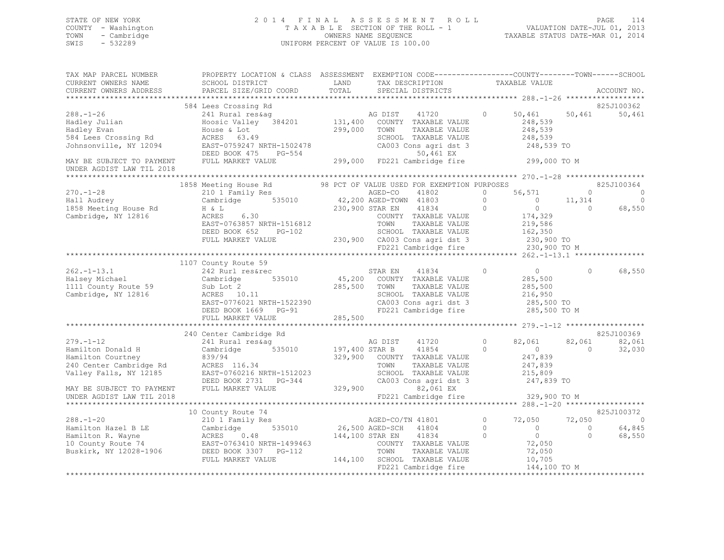### STATE OF NEW YORK 2 0 1 4 F I N A L A S S E S S M E N T R O L L PAGE 114 COUNTY - Washington T A X A B L E SECTION OF THE ROLL - 1 VALUATION DATE-JUL 01, 2013 TOWN - Cambridge OWNERS NAME SEQUENCE TAXABLE STATUS DATE-MAR 01, 2014 SWIS - 532289 UNIFORM PERCENT OF VALUE IS 100.00

| TAX MAP PARCEL NUMBER<br>CURRENT OWNERS NAME<br>CURRENT OWNERS ADDRESS                                                                                                                 | PROPERTY LOCATION & CLASS ASSESSMENT EXEMPTION CODE----------------COUNTY-------TOWN-----SCHOOL<br>SCHOOL DISTRICT<br>PARCEL SIZE/GRID COORD                                                     | LAND<br>TOTAL           | TAX DESCRIPTION<br>SPECIAL DISTRICTS                                                                                                                                                                                          |                                 | TAXABLE VALUE                                                                                                                    |                                      | ACCOUNT NO.                                      |
|----------------------------------------------------------------------------------------------------------------------------------------------------------------------------------------|--------------------------------------------------------------------------------------------------------------------------------------------------------------------------------------------------|-------------------------|-------------------------------------------------------------------------------------------------------------------------------------------------------------------------------------------------------------------------------|---------------------------------|----------------------------------------------------------------------------------------------------------------------------------|--------------------------------------|--------------------------------------------------|
|                                                                                                                                                                                        |                                                                                                                                                                                                  |                         |                                                                                                                                                                                                                               |                                 |                                                                                                                                  |                                      |                                                  |
| $288. - 1 - 26$<br>Hadley Julian<br>Hadley Evan<br>584 Lees Crossing Rd<br>Johnsonville, NY 12094                                                                                      | 584 Lees Crossing Rd<br>241 Rural res&aq<br>Hoosic Valley 384201<br>House & Lot<br>ACRES 63.49<br>EAST-0759247 NRTH-1502478<br>DEED BOOK 475 PG-554                                              | 299,000                 | 41720<br>AG DIST<br>131,400 COUNTY TAXABLE VALUE<br>TOWN<br>TAXABLE VALUE<br>SCHOOL TAXABLE VALUE<br>CA003 Cons agri dst 3<br>50,461 EX                                                                                       | $\Omega$                        | 50,461<br>248,539<br>248,539<br>248,539<br>248,539 TO                                                                            | 50,461                               | 825J100362<br>50,461                             |
| MAY BE SUBJECT TO PAYMENT<br>UNDER AGDIST LAW TIL 2018                                                                                                                                 | FULL MARKET VALUE                                                                                                                                                                                |                         | 299,000 FD221 Cambridge fire 299,000 TO M                                                                                                                                                                                     |                                 |                                                                                                                                  |                                      |                                                  |
| $270. - 1 - 28$<br>Hall Audrey<br>1858 Meeting House Rd<br>Cambridge, NY 12816                                                                                                         | 1858 Meeting House Rd<br>210 1 Family Res<br>Cambridge 535010 42,200 AGED-TOWN 41803<br>$H & \& L$<br>ACRES<br>6.30<br>EAST-0763857 NRTH-1516812<br>DEED BOOK 652<br>PG-102<br>FULL MARKET VALUE |                         | 98 PCT OF VALUE USED FOR EXEMPTION PURPOSES<br>41802<br>AGED-CO<br>230,900 STAR EN<br>41834<br>COUNTY TAXABLE VALUE<br>TOWN<br>TAXABLE VALUE<br>SCHOOL TAXABLE VALUE<br>230,900 CA003 Cons agri dst 3<br>FD221 Cambridge fire | $\Omega$<br>$\circ$<br>$\circ$  | 56,571<br>$\begin{array}{c} 0 \\ 0 \end{array}$<br>$\overline{0}$<br>174,329<br>219,586<br>162,350<br>230,900 TO<br>230,900 TO M | $\Omega$<br>11,314<br>$\overline{0}$ | 825J100364<br>$\Omega$<br>$\circ$<br>68,550      |
|                                                                                                                                                                                        |                                                                                                                                                                                                  |                         |                                                                                                                                                                                                                               |                                 |                                                                                                                                  |                                      |                                                  |
| $262. -1 - 13.1$<br>Halsey Michael<br>1111 County Route 59<br>Cambridge, NY 12816                                                                                                      | 1107 County Route 59<br>242 Rurl res&rec<br>535010<br>Cambridge<br>Sub Lot 2<br>ACRES 10.11<br>EAST-0776021 NRTH-1522390<br>DEED BOOK 1669 PG-91<br>FULL MARKET VALUE                            | 285,500 TOWN<br>285,500 | STAR EN 41834<br>45,200 COUNTY TAXABLE VALUE<br>TAXABLE VALUE<br>SCHOOL TAXABLE VALUE<br>CA003 Cons agri dst 3<br>FD221 Cambridge fire                                                                                        | $\Omega$                        | $\overline{0}$<br>285,500<br>285,500<br>216,950<br>285,500 TO<br>285,500 TO M                                                    | $\cap$                               | 68,550                                           |
|                                                                                                                                                                                        | 240 Center Cambridge Rd                                                                                                                                                                          |                         |                                                                                                                                                                                                                               |                                 |                                                                                                                                  |                                      | 825J100369                                       |
| $279. - 1 - 12$<br>Hamilton Donald H<br>Hamilton Courtney<br>240 Center Cambridge Rd<br>Valley Falls, NY 12185                                                                         | 241 Rural res&aq<br>Cambridge 535010<br>$ACRES$ 116.34<br>EAST-0760216 NRTH-1512023<br>DEED BOOK 2731 PG-344                                                                                     | 197,400 STAR B          | AG DIST<br>41720<br>41854<br>329,900 COUNTY TAXABLE VALUE<br>TOWN<br>TAXABLE VALUE<br>SCHOOL TAXABLE VALUE<br>CA003 Cons agri dst 3                                                                                           | $\circ$<br>$\Omega$             | 82,061<br>$\sim$ 0<br>247,839<br>247,839<br>215,809<br>247,839 TO                                                                | 82,061<br>$\Omega$                   | 82,061<br>32,030                                 |
| MAY BE SUBJECT TO PAYMENT<br>UNDER AGDIST LAW TIL 2018                                                                                                                                 | FULL MARKET VALUE                                                                                                                                                                                | 329,900                 | 82,061 EX<br>FD221 Cambridge fire                                                                                                                                                                                             |                                 | 329,900 TO M                                                                                                                     |                                      |                                                  |
|                                                                                                                                                                                        |                                                                                                                                                                                                  |                         |                                                                                                                                                                                                                               |                                 |                                                                                                                                  |                                      |                                                  |
| $288. - 1 - 20$<br>Hamilton Hazel B LE Cambridge 535010<br>Hamilton R. Wayne ACRES 0.48<br>10 County Route 74 EAST-0763410 NRTH-149946<br>Buskirk, NY 12028-1906 DEED BOOK 3307 PG-112 | 10 County Route 74<br>210 1 Family Res<br>EAST-0763410 NRTH-1499463<br>FULL MARKET VALUE                                                                                                         | 535010 26,500 AGED-SCH  | AGED-CO/TN 41801<br>41804<br>144,100 STAR EN<br>41834<br>COUNTY TAXABLE VALUE<br>TOWN<br>TAXABLE VALUE<br>144,100 SCHOOL TAXABLE VALUE<br>FD221 Cambridge fire                                                                | $\circ$<br>$\Omega$<br>$\Omega$ | 72,050<br>$\overline{0}$<br>$\overline{0}$<br>72,050<br>72,050<br>10,705<br>144,100 TO M                                         | 72,050<br>$\sim$ 0<br>$\Omega$       | 825J100372<br>$\overline{0}$<br>64,845<br>68,550 |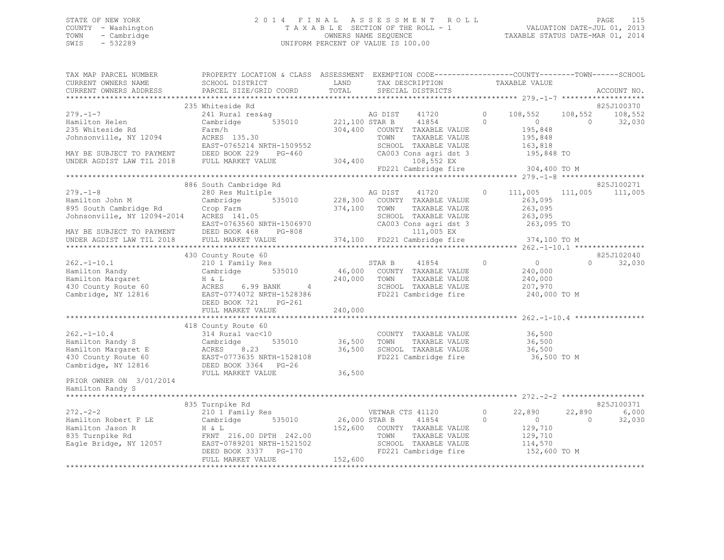### STATE OF NEW YORK 2 0 1 4 F I N A L A S S E S S M E N T R O L L PAGE 115 COUNTY - Washington T A X A B L E SECTION OF THE ROLL - 1 VALUATION DATE-JUL 01, 2013 TOWN - Cambridge OWNERS NAME SEQUENCE TAXABLE STATUS DATE-MAR 01, 2014 SWIS - 532289 UNIFORM PERCENT OF VALUE IS 100.00

| TAX MAP PARCEL NUMBER<br>CURRENT OWNERS NAME                                                                            | PROPERTY LOCATION & CLASS ASSESSMENT EXEMPTION CODE-----------------COUNTY-------TOWN------SCHOOL<br>SCHOOL DISTRICT                          | LAND                      | TAX DESCRIPTION                                                                                      |               |                     | TAXABLE VALUE                                                   |                           |                                 |
|-------------------------------------------------------------------------------------------------------------------------|-----------------------------------------------------------------------------------------------------------------------------------------------|---------------------------|------------------------------------------------------------------------------------------------------|---------------|---------------------|-----------------------------------------------------------------|---------------------------|---------------------------------|
| CURRENT OWNERS ADDRESS                                                                                                  | PARCEL SIZE/GRID COORD                                                                                                                        | TOTAL                     | SPECIAL DISTRICTS                                                                                    |               |                     |                                                                 |                           | ACCOUNT NO.                     |
|                                                                                                                         |                                                                                                                                               |                           |                                                                                                      |               |                     |                                                                 |                           |                                 |
| $279. - 1 - 7$<br>Hamilton Helen                                                                                        | 235 Whiteside Rd<br>241 Rural res&aq<br>Cambridge<br>535010                                                                                   | AG DIST<br>221,100 STAR B | AG DIST<br>41720<br>41854                                                                            |               | $\circ$<br>$\Omega$ | 108,552<br>$\overline{0}$                                       | 108,552<br>$\overline{0}$ | 825J100370<br>108,552<br>32,030 |
| 235 Whiteside Rd<br>Johnsonville, NY 12094                                                                              | Farm/h<br>ACRES 135.30<br>EAST-0765214 NRTH-1509552                                                                                           | 304,400                   | COUNTY TAXABLE VALUE<br>TOWN<br>SCHOOL TAXABLE VALUE                                                 | TAXABLE VALUE |                     | 195,848<br>195,848<br>163,818                                   |                           |                                 |
| MAY BE SUBJECT TO PAYMENT<br>UNDER AGDIST LAW TIL 2018                                                                  | DEED BOOK 229 PG-460<br>FULL MARKET VALUE                                                                                                     | 304,400                   | CA003 Cons agri dst 3<br>108,552 EX<br>FD221 Cambridge fire 304,400 TO M                             |               |                     | 195,848 TO                                                      |                           |                                 |
|                                                                                                                         |                                                                                                                                               |                           |                                                                                                      |               |                     |                                                                 |                           |                                 |
|                                                                                                                         | 886 South Cambridge Rd                                                                                                                        |                           |                                                                                                      |               |                     |                                                                 |                           | 825J100271                      |
| $279. - 1 - 8$<br>Hamilton John M<br>895 South Cambridge Rd<br>Johnsonville, NY 12094-2014<br>MAY BE SUBJECT TO PAYMENT | 280 Res Multiple<br>535010<br>Cambridge<br>Crop Farm<br>ACRES 141.05<br>EAST-0763560 NRTH-1506970<br>DEED BOOK 468 PG-808                     | 228,300<br>374,100 TOWN   | AG DIST 41720<br>COUNTY TAXABLE VALUE<br>SCHOOL TAXABLE VALUE<br>CA003 Cons agri dst 3<br>111,005 EX | TAXABLE VALUE | $\circ$             | 111,005 111,005<br>263,095<br>263,095<br>263,095<br>263,095 TO  |                           | 111,005                         |
| UNDER AGDIST LAW TIL 2018                                                                                               | FULL MARKET VALUE                                                                                                                             |                           | 374,100 FD221 Cambridge fire                                                                         |               |                     | 374,100 TO M                                                    |                           |                                 |
|                                                                                                                         |                                                                                                                                               |                           |                                                                                                      |               |                     |                                                                 |                           |                                 |
|                                                                                                                         | 430 County Route 60                                                                                                                           |                           |                                                                                                      |               |                     |                                                                 |                           | 825J102040                      |
| $262. -1 - 10.1$<br>Hamilton Randy<br>Hamilton Margaret<br>430 County Route 60<br>Cambridge, NY 12816                   | 210 1 Family Res<br>Cambridge 535010<br>H & L<br>ACRES 6.99 BANK<br>$4\overline{4}$<br>EAST-0774072 NRTH-1528386<br>DEED BOOK 721<br>$PG-261$ | 240,000 TOWN              | STAR B 41854<br>46,000 COUNTY TAXABLE VALUE<br>SCHOOL TAXABLE VALUE<br>FD221 Cambridge fire          | TAXABLE VALUE | $\circ$             | $\overline{0}$<br>240,000<br>240,000<br>207,970<br>240,000 TO M | $\Omega$                  | 32,030                          |
|                                                                                                                         | FULL MARKET VALUE                                                                                                                             | 240,000                   |                                                                                                      |               |                     |                                                                 |                           |                                 |
|                                                                                                                         | 418 County Route 60                                                                                                                           |                           |                                                                                                      |               |                     |                                                                 |                           |                                 |
| $262 - 1 - 10.4$<br>Hamilton Randy S<br>Hamilton Margaret E<br>430 County Route 60<br>Cambridge, NY 12816               | 314 Rural vac<10<br>535010<br>Cambridge<br>8.23<br>ACRES<br>EAST-0773635 NRTH-1528108<br>DEED BOOK 3364 PG-26                                 | 36,500<br>36,500          | COUNTY TAXABLE VALUE<br>TOWN<br>SCHOOL TAXABLE VALUE<br>FD221 Cambridge fire                         | TAXABLE VALUE |                     | 36,500<br>36,500<br>36,500<br>36,500 TO M                       |                           |                                 |
| PRIOR OWNER ON 3/01/2014<br>Hamilton Randy S<br>*********************                                                   | FULL MARKET VALUE                                                                                                                             | 36,500                    |                                                                                                      |               |                     |                                                                 |                           |                                 |
|                                                                                                                         |                                                                                                                                               |                           |                                                                                                      |               |                     |                                                                 |                           |                                 |
|                                                                                                                         | 835 Turnpike Rd                                                                                                                               |                           |                                                                                                      |               |                     |                                                                 |                           | 825J100371                      |
| $272 - 2 - 2$<br>Hamilton Robert F LE<br>Hamilton Jason R<br>835 Turnpike Rd<br>Eagle Bridge, NY 12057                  | 210 1 Family Res<br>535010<br>Cambridge<br>H & L<br>FRNT 216.00 DPTH 242.00<br>EAST-0789201 NRTH-1521502                                      | 26,000 STAR B             | VETWAR CTS 41120<br>41854<br>152,600 COUNTY TAXABLE VALUE<br>TOWN<br>SCHOOL TAXABLE VALUE            | TAXABLE VALUE | $\circ$<br>$\circ$  | 22,890<br>$\circ$<br>129,710<br>129,710<br>114,570              | 22,890<br>$\Omega$        | 6,000<br>32,030                 |
|                                                                                                                         | DEED BOOK 3337 PG-170<br>FULL MARKET VALUE                                                                                                    | 152,600                   | FD221 Cambridge fire                                                                                 |               |                     | 152,600 TO M                                                    |                           |                                 |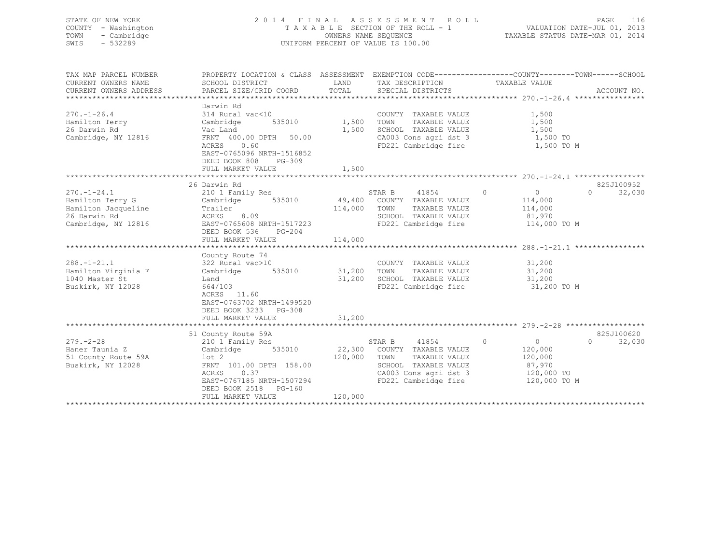| STATE OF NEW YORK<br>COUNTY - Washington<br>- Cambridge<br>TOWN<br>$-532289$<br>SWIS |                 | 2014 FINAL ASSESSMENT ROLL<br>TAXABLE SECTION OF THE ROLL - 1<br>OWNERS NAME SEOUENCE<br>UNIFORM PERCENT OF VALUE IS 100.00  |               | 116<br><b>PAGE</b><br>VALUATION DATE-JUL 01, 2013<br>TAXABLE STATUS DATE-MAR 01, 2014 |
|--------------------------------------------------------------------------------------|-----------------|------------------------------------------------------------------------------------------------------------------------------|---------------|---------------------------------------------------------------------------------------|
| TAX MAP PARCEL NUMBER<br>CURRENT OWNERS NAME                                         | SCHOOL DISTRICT | PROPERTY LOCATION & CLASS ASSESSMENT EXEMPTION CODE---------------COUNTY-------TOWN-----SCHOOL<br>TAY DESCRIPTION<br>T. AND. | TAYARLE VALUE |                                                                                       |

| CURRENT OWNERS NAME<br>CURRENT OWNERS ADDRESS                                                       | SCHOOL DISTRICT<br>PARCEL SIZE/GRID COORD                                                                                                               | LAND<br>TOTAL              | TAX DESCRIPTION<br>SPECIAL DISTRICTS                                                                                                             | TAXABLE VALUE                                                              | ACCOUNT NO.                      |
|-----------------------------------------------------------------------------------------------------|---------------------------------------------------------------------------------------------------------------------------------------------------------|----------------------------|--------------------------------------------------------------------------------------------------------------------------------------------------|----------------------------------------------------------------------------|----------------------------------|
|                                                                                                     |                                                                                                                                                         |                            |                                                                                                                                                  |                                                                            |                                  |
| $270. - 1 - 26.4$<br>Hamilton Terry<br>26 Darwin Rd<br>Cambridge, NY 12816                          | Darwin Rd<br>314 Rural vac<10<br>535010<br>Cambridge<br>Vac Land<br>FRNT 400.00 DPTH 50.00                                                              | 1,500<br>1,500             | COUNTY TAXABLE VALUE<br>TOWN<br>TAXABLE VALUE<br>SCHOOL TAXABLE VALUE<br>CA003 Cons agri dst 3                                                   | 1,500<br>1,500<br>1,500<br>1,500 TO                                        |                                  |
|                                                                                                     | 0.60<br>ACRES<br>EAST-0765096 NRTH-1516852<br>DEED BOOK 808<br>$PG-309$<br>FULL MARKET VALUE                                                            | 1,500                      | FD221 Cambridge fire                                                                                                                             | 1,500 TO M                                                                 |                                  |
|                                                                                                     |                                                                                                                                                         |                            |                                                                                                                                                  |                                                                            |                                  |
| $270. - 1 - 24.1$<br>Hamilton Terry G<br>Hamilton Jacqueline<br>26 Darwin Rd<br>Cambridge, NY 12816 | 26 Darwin Rd<br>210 1 Family Res<br>Cambridge<br>Trailer<br>ACRES<br>8.09<br>EAST-0765608 NRTH-1517223<br>DEED BOOK 536<br>$PG-204$                     | 114,000                    | STAR B<br>41854<br>535010 49,400 COUNTY TAXABLE VALUE<br>TOWN<br>TAXABLE VALUE<br>SCHOOL TAXABLE VALUE<br>FD221 Cambridge fire                   | $\circ$<br>$\overline{0}$<br>114,000<br>114,000<br>81,970<br>114,000 TO M  | 825J100952<br>32,030<br>$\Omega$ |
|                                                                                                     | FULL MARKET VALUE                                                                                                                                       | 114,000                    |                                                                                                                                                  |                                                                            |                                  |
|                                                                                                     | County Route 74                                                                                                                                         |                            |                                                                                                                                                  |                                                                            |                                  |
| $288. - 1 - 21.1$<br>Hamilton Virginia F<br>1040 Master St<br>Buskirk, NY 12028                     | 322 Rural vac>10<br>535010<br>Cambridge<br>Land<br>664/103<br>ACRES 11.60<br>EAST-0763702 NRTH-1499520<br>DEED BOOK 3233 PG-308                         | 31,200<br>31,200<br>31,200 | COUNTY TAXABLE VALUE<br>TAXABLE VALUE<br>TOWN<br>SCHOOL TAXABLE VALUE<br>FD221 Cambridge fire                                                    | 31,200<br>31,200<br>31,200<br>31,200 TO M                                  |                                  |
|                                                                                                     | FULL MARKET VALUE                                                                                                                                       |                            |                                                                                                                                                  |                                                                            |                                  |
|                                                                                                     | 51 County Route 59A                                                                                                                                     |                            |                                                                                                                                                  |                                                                            | 825J100620                       |
| $279. - 2 - 28$<br>Haner Taunia Z<br>51 County Route 59A<br>Buskirk, NY 12028                       | 210 1 Family Res<br>535010<br>Cambridge<br>$1$ ot $2$<br>FRNT 101.00 DPTH 158.00<br>0.37<br>ACRES<br>EAST-0767185 NRTH-1507294<br>DEED BOOK 2518 PG-160 | 120,000                    | STAR B<br>41854<br>22,300 COUNTY TAXABLE VALUE<br>TOWN<br>TAXABLE VALUE<br>SCHOOL TAXABLE VALUE<br>CA003 Cons agri dst 3<br>FD221 Cambridge fire | $\circ$<br>0<br>120,000<br>120,000<br>87,970<br>120,000 TO<br>120,000 TO M | 32,030<br>$\circ$                |
|                                                                                                     | FULL MARKET VALUE                                                                                                                                       | 120,000                    |                                                                                                                                                  |                                                                            |                                  |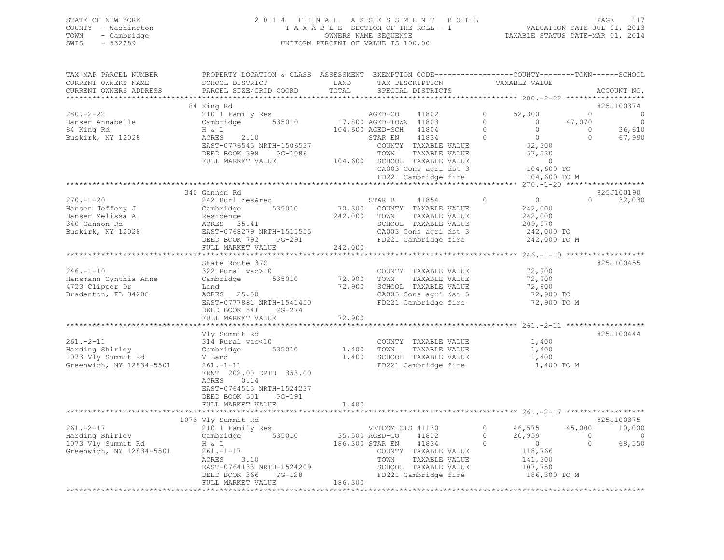| STATE OF NEW YORK   | 2014 FINAL ASSESSMENT ROLL         | PAGE                             |
|---------------------|------------------------------------|----------------------------------|
| COUNTY - Washington | TAXABLE SECTION OF THE ROLL - 1    | VALUATION DATE-JUL 01, 2013      |
| TOWN<br>- Cambridge | OWNERS NAME SEQUENCE               | TAXABLE STATUS DATE-MAR 01, 2014 |
| SWIS<br>- 532289    | UNIFORM PERCENT OF VALUE IS 100.00 |                                  |

| TAX MAP PARCEL NUMBER<br>CURRENT OWNERS NAME                                                                                                                                                                                                                                                                                                                                                                                                                                                                                                                                                                              | PROPERTY LOCATION & CLASS ASSESSMENT EXEMPTION CODE---------------COUNTY-------TOWN-----SCHOOL<br>SCHOOL DISTRICT                                                                                                                                  | LAND                         |                                                                       | TAX DESCRIPTION      |                                      | TAXABLE VALUE                                                                                                                                                                                                                                                                                 |                |                                 |
|---------------------------------------------------------------------------------------------------------------------------------------------------------------------------------------------------------------------------------------------------------------------------------------------------------------------------------------------------------------------------------------------------------------------------------------------------------------------------------------------------------------------------------------------------------------------------------------------------------------------------|----------------------------------------------------------------------------------------------------------------------------------------------------------------------------------------------------------------------------------------------------|------------------------------|-----------------------------------------------------------------------|----------------------|--------------------------------------|-----------------------------------------------------------------------------------------------------------------------------------------------------------------------------------------------------------------------------------------------------------------------------------------------|----------------|---------------------------------|
| CURRENT OWNERS ADDRESS                                                                                                                                                                                                                                                                                                                                                                                                                                                                                                                                                                                                    | PARCEL SIZE/GRID COORD                                                                                                                                                                                                                             | TOTAL                        |                                                                       | SPECIAL DISTRICTS    |                                      |                                                                                                                                                                                                                                                                                               |                | ACCOUNT NO.                     |
|                                                                                                                                                                                                                                                                                                                                                                                                                                                                                                                                                                                                                           | 84 King Rd                                                                                                                                                                                                                                         |                              |                                                                       |                      |                                      |                                                                                                                                                                                                                                                                                               |                | 825J100374                      |
| $280 - 2 - 22$                                                                                                                                                                                                                                                                                                                                                                                                                                                                                                                                                                                                            | 84 King Ka<br>210 1 Family Res<br>Cambridge 535010 17,800 AGED-TOWN 41803<br>H & L<br>104,600 AGED-SCH 41804                                                                                                                                       |                              |                                                                       | 41802                | $\overline{0}$                       | 52,300                                                                                                                                                                                                                                                                                        | $\overline{0}$ | $\circ$                         |
| Hansen Annabelle                                                                                                                                                                                                                                                                                                                                                                                                                                                                                                                                                                                                          |                                                                                                                                                                                                                                                    |                              |                                                                       |                      |                                      | $\overline{0}$                                                                                                                                                                                                                                                                                |                | $\sim$ 0                        |
| 84 King Rd                                                                                                                                                                                                                                                                                                                                                                                                                                                                                                                                                                                                                |                                                                                                                                                                                                                                                    |                              |                                                                       |                      | $\begin{matrix} 0 \\ 0 \end{matrix}$ |                                                                                                                                                                                                                                                                                               | 47,070         | 36,610                          |
| Buskirk, NY 12028                                                                                                                                                                                                                                                                                                                                                                                                                                                                                                                                                                                                         | $\begin{array}{c}\n\ldots \omega r \\ H & \& L\n\end{array}$<br>2.10<br>ACRES                                                                                                                                                                      |                              | STAR EN                                                               |                      |                                      |                                                                                                                                                                                                                                                                                               | $\overline{0}$ | 67,990                          |
|                                                                                                                                                                                                                                                                                                                                                                                                                                                                                                                                                                                                                           | EAST-0776545 NRTH-1506537                                                                                                                                                                                                                          |                              |                                                                       |                      |                                      | $\begin{tabular}{lcccccc} \texttt{AGED-SCH} & & 41804 & & & & & & & & \\ \texttt{STAR EN} & & 41834 & & 0 & & 0 & & \\ & & & & & & & & & 0 & & \\ \texttt{COUNTY} & \texttt{TAXABLE VALUE} & & & & & 52,300 & \\ & & & & & & & & & 57,530 & \\ & & & & & & & & & & 57,530 & \\ \end{tabular}$ |                |                                 |
|                                                                                                                                                                                                                                                                                                                                                                                                                                                                                                                                                                                                                           | DEED BOOK 398 PG-1086                                                                                                                                                                                                                              |                              | TOWN                                                                  |                      |                                      |                                                                                                                                                                                                                                                                                               |                |                                 |
|                                                                                                                                                                                                                                                                                                                                                                                                                                                                                                                                                                                                                           | FULL MARKET VALUE                                                                                                                                                                                                                                  | 104,600 SCHOOL TAXABLE VALUE |                                                                       |                      |                                      |                                                                                                                                                                                                                                                                                               |                |                                 |
|                                                                                                                                                                                                                                                                                                                                                                                                                                                                                                                                                                                                                           |                                                                                                                                                                                                                                                    |                              |                                                                       |                      |                                      | 104,600 TO                                                                                                                                                                                                                                                                                    |                |                                 |
|                                                                                                                                                                                                                                                                                                                                                                                                                                                                                                                                                                                                                           |                                                                                                                                                                                                                                                    |                              |                                                                       |                      |                                      | CA003 Cons agri dst 3 104,600<br>FD221 Cambridge fire 104,600                                                                                                                                                                                                                                 |                |                                 |
| $\textcolor{black}{\textcolor{white}+}\textcolor{white}~~\textcolor{white}+ \textcolor{white}+ \textcolor{white}+ \textcolor{white}+ \textcolor{white}+ \textcolor{white}+ \textcolor{white}+ \textcolor{white}+ \textcolor{white}+ \textcolor{white}+ \textcolor{white}+ \textcolor{white}+ \textcolor{white}+ \textcolor{white}+ \textcolor{white}+ \textcolor{white}+ \textcolor{white}+ \textcolor{white}+ \textcolor{white}+ \textcolor{white}+ \textcolor{white}+ \textcolor{white}+ \textcolor{white}+ \textcolor{white}+ \textcolor{white}+ \textcolor{white}+ \textcolor{white}+ \textcolor{white}+ \textcolor{$ |                                                                                                                                                                                                                                                    |                              |                                                                       |                      |                                      |                                                                                                                                                                                                                                                                                               |                |                                 |
|                                                                                                                                                                                                                                                                                                                                                                                                                                                                                                                                                                                                                           | 340 Gannon Rd                                                                                                                                                                                                                                      |                              |                                                                       |                      |                                      |                                                                                                                                                                                                                                                                                               |                | 825J100190                      |
| $270. - 1 - 20$                                                                                                                                                                                                                                                                                                                                                                                                                                                                                                                                                                                                           | 242 Rurl res&rec                                                                                                                                                                                                                                   |                              | STAR B 41854 0                                                        |                      |                                      | $\overline{0}$                                                                                                                                                                                                                                                                                |                | 32,030<br>$\Omega$ and $\Omega$ |
| Hansen Jeffery J<br>Hansen Jeffery J<br>Hansen Melissa A Residence 242<br>340 Gannon Rd ACRES 35.41<br>Buskirk, NY 12028 EAST-0768279 NRTH-1515555                                                                                                                                                                                                                                                                                                                                                                                                                                                                        | 535010 70,300 COUNTY TAXABLE VALUE                                                                                                                                                                                                                 |                              |                                                                       |                      |                                      | 242,000                                                                                                                                                                                                                                                                                       |                |                                 |
|                                                                                                                                                                                                                                                                                                                                                                                                                                                                                                                                                                                                                           |                                                                                                                                                                                                                                                    |                              | 242,000 TOWN TAXABLE VALUE                                            |                      |                                      | 242,000                                                                                                                                                                                                                                                                                       |                |                                 |
|                                                                                                                                                                                                                                                                                                                                                                                                                                                                                                                                                                                                                           |                                                                                                                                                                                                                                                    |                              |                                                                       |                      |                                      |                                                                                                                                                                                                                                                                                               |                |                                 |
|                                                                                                                                                                                                                                                                                                                                                                                                                                                                                                                                                                                                                           |                                                                                                                                                                                                                                                    |                              | SCHOOL TAXABLE VALUE<br>CA003 Cons agri dst 3<br>FD221 Cambridge fire |                      |                                      | 209,970<br>242,000 TO                                                                                                                                                                                                                                                                         |                |                                 |
|                                                                                                                                                                                                                                                                                                                                                                                                                                                                                                                                                                                                                           | DEED BOOK 792 PG-291                                                                                                                                                                                                                               |                              |                                                                       |                      |                                      | 242,000 TO M                                                                                                                                                                                                                                                                                  |                |                                 |
|                                                                                                                                                                                                                                                                                                                                                                                                                                                                                                                                                                                                                           | FULL MARKET VALUE                                                                                                                                                                                                                                  | 242,000                      |                                                                       |                      |                                      |                                                                                                                                                                                                                                                                                               |                |                                 |
|                                                                                                                                                                                                                                                                                                                                                                                                                                                                                                                                                                                                                           |                                                                                                                                                                                                                                                    |                              |                                                                       |                      |                                      |                                                                                                                                                                                                                                                                                               |                |                                 |
|                                                                                                                                                                                                                                                                                                                                                                                                                                                                                                                                                                                                                           | State Route 372                                                                                                                                                                                                                                    |                              |                                                                       |                      |                                      |                                                                                                                                                                                                                                                                                               |                | 825J100455                      |
| $246. - 1 - 10$                                                                                                                                                                                                                                                                                                                                                                                                                                                                                                                                                                                                           | 322 Rural vac>10                                                                                                                                                                                                                                   |                              |                                                                       | COUNTY TAXABLE VALUE |                                      | 72,900                                                                                                                                                                                                                                                                                        |                |                                 |
| Hansmann Cynthia Anne                                                                                                                                                                                                                                                                                                                                                                                                                                                                                                                                                                                                     | Cambridge 535010                                                                                                                                                                                                                                   |                              | 72,900 TOWN                                                           | TAXABLE VALUE        |                                      | 72,900                                                                                                                                                                                                                                                                                        |                |                                 |
| 4723 Clipper Dr                                                                                                                                                                                                                                                                                                                                                                                                                                                                                                                                                                                                           | Land<br>ACRES 25.50                                                                                                                                                                                                                                |                              | 72,900 SCHOOL TAXABLE VALUE<br>CA005 Cons agri dst 5                  |                      |                                      | 72,900                                                                                                                                                                                                                                                                                        |                |                                 |
| Bradenton, FL 34208                                                                                                                                                                                                                                                                                                                                                                                                                                                                                                                                                                                                       |                                                                                                                                                                                                                                                    |                              |                                                                       |                      |                                      | $(2,300)$ TO<br>72,900 TO                                                                                                                                                                                                                                                                     |                |                                 |
|                                                                                                                                                                                                                                                                                                                                                                                                                                                                                                                                                                                                                           | EAST-0777881 NRTH-1541450                                                                                                                                                                                                                          |                              |                                                                       | FD221 Cambridge fire |                                      | 72,900 TO M                                                                                                                                                                                                                                                                                   |                |                                 |
|                                                                                                                                                                                                                                                                                                                                                                                                                                                                                                                                                                                                                           | $PG-274$<br>DEED BOOK 841                                                                                                                                                                                                                          |                              |                                                                       |                      |                                      |                                                                                                                                                                                                                                                                                               |                |                                 |
|                                                                                                                                                                                                                                                                                                                                                                                                                                                                                                                                                                                                                           | FULL MARKET VALUE                                                                                                                                                                                                                                  | 72,900                       |                                                                       |                      |                                      |                                                                                                                                                                                                                                                                                               |                |                                 |
|                                                                                                                                                                                                                                                                                                                                                                                                                                                                                                                                                                                                                           |                                                                                                                                                                                                                                                    |                              |                                                                       |                      |                                      |                                                                                                                                                                                                                                                                                               |                |                                 |
|                                                                                                                                                                                                                                                                                                                                                                                                                                                                                                                                                                                                                           | Vly Summit Rd                                                                                                                                                                                                                                      |                              |                                                                       |                      |                                      |                                                                                                                                                                                                                                                                                               |                | 825J100444                      |
| $261. -2 - 11$                                                                                                                                                                                                                                                                                                                                                                                                                                                                                                                                                                                                            |                                                                                                                                                                                                                                                    |                              |                                                                       | COUNTY TAXABLE VALUE |                                      | 1,400                                                                                                                                                                                                                                                                                         |                |                                 |
| Harding Shirley<br>1073 Vly Summit Rd                                                                                                                                                                                                                                                                                                                                                                                                                                                                                                                                                                                     |                                                                                                                                                                                                                                                    |                              |                                                                       | TAXABLE VALUE        |                                      | 1,400                                                                                                                                                                                                                                                                                         |                |                                 |
|                                                                                                                                                                                                                                                                                                                                                                                                                                                                                                                                                                                                                           | V Land                                                                                                                                                                                                                                             |                              | 1,400 SCHOOL TAXABLE VALUE                                            |                      |                                      | 1,400                                                                                                                                                                                                                                                                                         |                |                                 |
| Greenwich, NY 12834-5501                                                                                                                                                                                                                                                                                                                                                                                                                                                                                                                                                                                                  | $261 - 1 - 11$                                                                                                                                                                                                                                     |                              |                                                                       | FD221 Cambridge fire |                                      | 1,400 TO M                                                                                                                                                                                                                                                                                    |                |                                 |
|                                                                                                                                                                                                                                                                                                                                                                                                                                                                                                                                                                                                                           | FRNT 202.00 DPTH 353.00<br>ACRES 0.14                                                                                                                                                                                                              |                              |                                                                       |                      |                                      |                                                                                                                                                                                                                                                                                               |                |                                 |
|                                                                                                                                                                                                                                                                                                                                                                                                                                                                                                                                                                                                                           | EAST-0764515 NRTH-1524237                                                                                                                                                                                                                          |                              |                                                                       |                      |                                      |                                                                                                                                                                                                                                                                                               |                |                                 |
|                                                                                                                                                                                                                                                                                                                                                                                                                                                                                                                                                                                                                           | DEED BOOK 501 PG-191                                                                                                                                                                                                                               |                              |                                                                       |                      |                                      |                                                                                                                                                                                                                                                                                               |                |                                 |
|                                                                                                                                                                                                                                                                                                                                                                                                                                                                                                                                                                                                                           | FULL MARKET VALUE                                                                                                                                                                                                                                  | 1,400                        |                                                                       |                      |                                      |                                                                                                                                                                                                                                                                                               |                |                                 |
|                                                                                                                                                                                                                                                                                                                                                                                                                                                                                                                                                                                                                           |                                                                                                                                                                                                                                                    |                              |                                                                       |                      |                                      |                                                                                                                                                                                                                                                                                               |                |                                 |
|                                                                                                                                                                                                                                                                                                                                                                                                                                                                                                                                                                                                                           | 1073 Vly Summit Rd                                                                                                                                                                                                                                 |                              |                                                                       |                      |                                      |                                                                                                                                                                                                                                                                                               |                | 825J100375                      |
|                                                                                                                                                                                                                                                                                                                                                                                                                                                                                                                                                                                                                           |                                                                                                                                                                                                                                                    |                              | VETCOM CTS 41130                                                      |                      |                                      |                                                                                                                                                                                                                                                                                               |                | 10,000                          |
|                                                                                                                                                                                                                                                                                                                                                                                                                                                                                                                                                                                                                           |                                                                                                                                                                                                                                                    | 35,500 AGED-CO 41802         |                                                                       |                      |                                      | $0$ 46,575 45,000<br>0 20,959 0<br>0 0 0                                                                                                                                                                                                                                                      |                | $\circ$                         |
|                                                                                                                                                                                                                                                                                                                                                                                                                                                                                                                                                                                                                           |                                                                                                                                                                                                                                                    | 186,300 STAR EN 41834        |                                                                       |                      |                                      |                                                                                                                                                                                                                                                                                               |                | 68,550                          |
| Examine Kanading Shirley<br>Harding Shirley<br>1073 Vly Summit Rd<br>Greenwich, NY 12924 Free<br>Cambridge 535010<br>H & L<br>Greenwich, NY 12834-5501                                                                                                                                                                                                                                                                                                                                                                                                                                                                    | H & L<br>261.-1-17<br>ACRES 3.10                                                                                                                                                                                                                   |                              |                                                                       | COUNTY TAXABLE VALUE |                                      | 118,766                                                                                                                                                                                                                                                                                       |                |                                 |
|                                                                                                                                                                                                                                                                                                                                                                                                                                                                                                                                                                                                                           |                                                                                                                                                                                                                                                    |                              | TOWN                                                                  | TAXABLE VALUE        |                                      | 141,300                                                                                                                                                                                                                                                                                       |                |                                 |
|                                                                                                                                                                                                                                                                                                                                                                                                                                                                                                                                                                                                                           |                                                                                                                                                                                                                                                    |                              |                                                                       |                      |                                      |                                                                                                                                                                                                                                                                                               |                |                                 |
|                                                                                                                                                                                                                                                                                                                                                                                                                                                                                                                                                                                                                           |                                                                                                                                                                                                                                                    |                              |                                                                       |                      |                                      | SCHOOL TAXABLE VALUE 107,750<br>FD221 Cambridge fire 186,300 TO M                                                                                                                                                                                                                             |                |                                 |
|                                                                                                                                                                                                                                                                                                                                                                                                                                                                                                                                                                                                                           | TOWN TAXABLE VALUE<br>DEED BOOK 366 PG-128 FD221 Cambridge fire<br>FULL MARKET VALUE<br>FULL MARKET VALUE<br>FULL MARKET VALUE<br>FULL MARKET VALUE<br>FULL MARKET VALUE<br>FULL MARKET VALUE<br>FULL MARKET VALUE<br>FULL MARKET VALUE<br>FULL MA |                              |                                                                       |                      |                                      |                                                                                                                                                                                                                                                                                               |                |                                 |
|                                                                                                                                                                                                                                                                                                                                                                                                                                                                                                                                                                                                                           |                                                                                                                                                                                                                                                    |                              |                                                                       |                      |                                      |                                                                                                                                                                                                                                                                                               |                |                                 |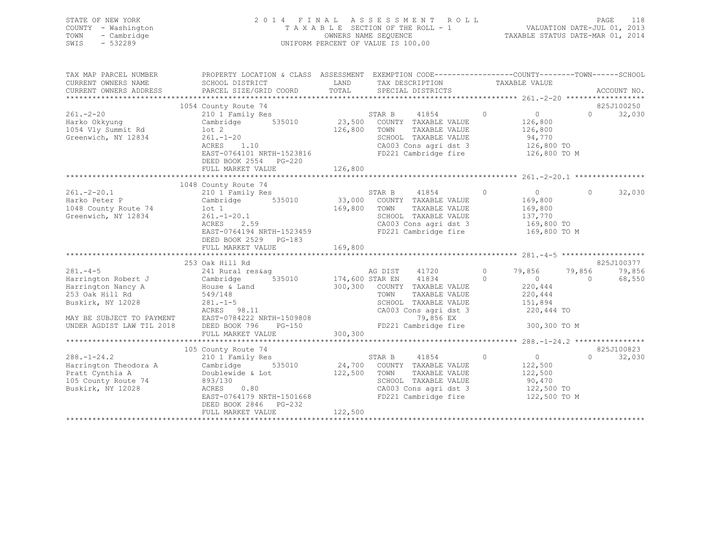| STATE OF NEW YORK   | 2014 FINAL ASSESSMENT ROLL         | 118<br>PAGE                      |
|---------------------|------------------------------------|----------------------------------|
| COUNTY - Washington | TAXABLE SECTION OF THE ROLL - 1    | VALUATION DATE-JUL 01, 2013      |
| TOWN - Cambridge    | OWNERS NAME SEQUENCE               | TAXABLE STATUS DATE-MAR 01, 2014 |
| SWIS<br>$-532289$   | UNIFORM PERCENT OF VALUE IS 100.00 |                                  |
|                     |                                    |                                  |

| SCHOOL DISTRICT<br>LAND<br>TAX DESCRIPTION TAXABLE VALUE<br>TOTAL<br>PARCEL SIZE/GRID COORD<br>SPECIAL DISTRICTS<br>ACCOUNT NO.<br>1054 County Route 74<br>825J100250<br>210 1 Family Res STAR B<br>41854 0<br>$\overline{0}$<br>$261. - 2 - 20$<br>$\Omega$ and $\Omega$<br>32,030<br>210 1 Family Res<br>Cambridge 535010 23,500 COUNTY TAXABLE VALUE<br>2000 TOC 900 TOMM TAXABLE VALUE<br>126,800<br>126,800 TOWN<br>TAXABLE VALUE 126,800<br>Greenwich, NY 12834<br>$261, -1 - 20$<br>SCHOOL TAXABLE VALUE 94,770<br>CA003 Cons agri dst 3 126,800 TO<br>$ACRES$ 1.10<br>FD221 Cambridge fire 126,800 TO M<br>EAST-0764101 NRTH-1523816<br>DEED BOOK 2554 PG-220<br>1048 County Route 74<br>$\overline{0}$<br>$261 - 2 - 20.1$<br>210 1 Family Res<br>STAR B<br>41854 0<br>$\Omega$<br>32,030<br>Cambridge 535010 33,000 COUNTY TAXABLE VALUE<br>Harko Peter P<br>169,800<br>lot 1<br>261.-1-20.1<br>1048 County Route 74<br>169,800<br>TOWN<br>TAXABLE VALUE<br>169,800<br>137,770<br>Greenwich, NY 12834<br>SCHOOL TAXABLE VALUE<br>2.59<br>CA003 Cons agri dst 3 169,800 TO<br>ACRES<br>EAST-0764194 NRTH-1523459<br>FD221 Cambridge fire<br>169,800 TO M<br>DEED BOOK 2529 PG-183<br>169,800<br>FULL MARKET VALUE<br>253 Oak Hill Rd<br>825J100377<br>241 Rural res&ag<br>AG DIST 41720 0 79,856<br>79,856<br>79,856<br>$\overline{0}$<br>$\Omega$<br>68,550<br>220,444<br>220,444<br>TAXABLE VALUE<br>SCHOOL TAXABLE VALUE 151,894<br>Buskirk, NY 12028 281.-1-5<br>ACRES 98.11<br>CA003 Cons agri dst 3<br>220,444 TO<br>MAY BE SUBJECT TO PAYMENT EAST-0784222 NRTH-1509808<br>79,856 EX<br>$PG-150$<br>T.UE 300,300<br>UNDER AGDIST LAW TIL 2018 DEED BOOK 796<br>FD221 Cambridge fire 300,300 TO M<br>FULL MARKET VALUE<br>825J100823<br>105 County Route 74<br>STAR B<br>$\overline{0}$<br>41854 0<br>32,030<br>$288. - 1 - 24.2$<br>210 1 Family Res<br>$\Omega$<br>Cambridge<br>535010 24,700 COUNTY TAXABLE VALUE<br>122,500<br>Harrington Theodora A<br>Doublewide & Lot 122,500 TOWN<br>Pratt Cynthia A<br>TAXABLE VALUE<br>122,500<br>105 County Route 74<br>893/130<br>SCHOOL TAXABLE VALUE<br>90,470<br>CA003 Cons agri dst 3 122,500 TO<br>Buskirk, NY 12028<br>ACRES<br>0.80<br>FD221 Cambridge fire 122,500 TO M<br>EAST-0764179 NRTH-1501668<br>DEED BOOK 2846 PG-232<br>122,500<br>FULL MARKET VALUE | TAX MAP PARCEL NUMBER  | PROPERTY LOCATION & CLASS ASSESSMENT EXEMPTION CODE----------------COUNTY-------TOWN------SCHOOL |  |  |
|----------------------------------------------------------------------------------------------------------------------------------------------------------------------------------------------------------------------------------------------------------------------------------------------------------------------------------------------------------------------------------------------------------------------------------------------------------------------------------------------------------------------------------------------------------------------------------------------------------------------------------------------------------------------------------------------------------------------------------------------------------------------------------------------------------------------------------------------------------------------------------------------------------------------------------------------------------------------------------------------------------------------------------------------------------------------------------------------------------------------------------------------------------------------------------------------------------------------------------------------------------------------------------------------------------------------------------------------------------------------------------------------------------------------------------------------------------------------------------------------------------------------------------------------------------------------------------------------------------------------------------------------------------------------------------------------------------------------------------------------------------------------------------------------------------------------------------------------------------------------------------------------------------------------------------------------------------------------------------------------------------------------------------------------------------------------------------------------------------------------------------------------------------------------------------------------------------------------------------------------------------------------------------------------------------------------------------|------------------------|--------------------------------------------------------------------------------------------------|--|--|
|                                                                                                                                                                                                                                                                                                                                                                                                                                                                                                                                                                                                                                                                                                                                                                                                                                                                                                                                                                                                                                                                                                                                                                                                                                                                                                                                                                                                                                                                                                                                                                                                                                                                                                                                                                                                                                                                                                                                                                                                                                                                                                                                                                                                                                                                                                                                  | CURRENT OWNERS NAME    |                                                                                                  |  |  |
|                                                                                                                                                                                                                                                                                                                                                                                                                                                                                                                                                                                                                                                                                                                                                                                                                                                                                                                                                                                                                                                                                                                                                                                                                                                                                                                                                                                                                                                                                                                                                                                                                                                                                                                                                                                                                                                                                                                                                                                                                                                                                                                                                                                                                                                                                                                                  | CURRENT OWNERS ADDRESS |                                                                                                  |  |  |
|                                                                                                                                                                                                                                                                                                                                                                                                                                                                                                                                                                                                                                                                                                                                                                                                                                                                                                                                                                                                                                                                                                                                                                                                                                                                                                                                                                                                                                                                                                                                                                                                                                                                                                                                                                                                                                                                                                                                                                                                                                                                                                                                                                                                                                                                                                                                  |                        |                                                                                                  |  |  |
|                                                                                                                                                                                                                                                                                                                                                                                                                                                                                                                                                                                                                                                                                                                                                                                                                                                                                                                                                                                                                                                                                                                                                                                                                                                                                                                                                                                                                                                                                                                                                                                                                                                                                                                                                                                                                                                                                                                                                                                                                                                                                                                                                                                                                                                                                                                                  |                        |                                                                                                  |  |  |
|                                                                                                                                                                                                                                                                                                                                                                                                                                                                                                                                                                                                                                                                                                                                                                                                                                                                                                                                                                                                                                                                                                                                                                                                                                                                                                                                                                                                                                                                                                                                                                                                                                                                                                                                                                                                                                                                                                                                                                                                                                                                                                                                                                                                                                                                                                                                  |                        |                                                                                                  |  |  |
|                                                                                                                                                                                                                                                                                                                                                                                                                                                                                                                                                                                                                                                                                                                                                                                                                                                                                                                                                                                                                                                                                                                                                                                                                                                                                                                                                                                                                                                                                                                                                                                                                                                                                                                                                                                                                                                                                                                                                                                                                                                                                                                                                                                                                                                                                                                                  |                        |                                                                                                  |  |  |
|                                                                                                                                                                                                                                                                                                                                                                                                                                                                                                                                                                                                                                                                                                                                                                                                                                                                                                                                                                                                                                                                                                                                                                                                                                                                                                                                                                                                                                                                                                                                                                                                                                                                                                                                                                                                                                                                                                                                                                                                                                                                                                                                                                                                                                                                                                                                  |                        |                                                                                                  |  |  |
|                                                                                                                                                                                                                                                                                                                                                                                                                                                                                                                                                                                                                                                                                                                                                                                                                                                                                                                                                                                                                                                                                                                                                                                                                                                                                                                                                                                                                                                                                                                                                                                                                                                                                                                                                                                                                                                                                                                                                                                                                                                                                                                                                                                                                                                                                                                                  |                        |                                                                                                  |  |  |
|                                                                                                                                                                                                                                                                                                                                                                                                                                                                                                                                                                                                                                                                                                                                                                                                                                                                                                                                                                                                                                                                                                                                                                                                                                                                                                                                                                                                                                                                                                                                                                                                                                                                                                                                                                                                                                                                                                                                                                                                                                                                                                                                                                                                                                                                                                                                  |                        |                                                                                                  |  |  |
|                                                                                                                                                                                                                                                                                                                                                                                                                                                                                                                                                                                                                                                                                                                                                                                                                                                                                                                                                                                                                                                                                                                                                                                                                                                                                                                                                                                                                                                                                                                                                                                                                                                                                                                                                                                                                                                                                                                                                                                                                                                                                                                                                                                                                                                                                                                                  |                        |                                                                                                  |  |  |
|                                                                                                                                                                                                                                                                                                                                                                                                                                                                                                                                                                                                                                                                                                                                                                                                                                                                                                                                                                                                                                                                                                                                                                                                                                                                                                                                                                                                                                                                                                                                                                                                                                                                                                                                                                                                                                                                                                                                                                                                                                                                                                                                                                                                                                                                                                                                  |                        |                                                                                                  |  |  |
|                                                                                                                                                                                                                                                                                                                                                                                                                                                                                                                                                                                                                                                                                                                                                                                                                                                                                                                                                                                                                                                                                                                                                                                                                                                                                                                                                                                                                                                                                                                                                                                                                                                                                                                                                                                                                                                                                                                                                                                                                                                                                                                                                                                                                                                                                                                                  |                        |                                                                                                  |  |  |
|                                                                                                                                                                                                                                                                                                                                                                                                                                                                                                                                                                                                                                                                                                                                                                                                                                                                                                                                                                                                                                                                                                                                                                                                                                                                                                                                                                                                                                                                                                                                                                                                                                                                                                                                                                                                                                                                                                                                                                                                                                                                                                                                                                                                                                                                                                                                  |                        |                                                                                                  |  |  |
|                                                                                                                                                                                                                                                                                                                                                                                                                                                                                                                                                                                                                                                                                                                                                                                                                                                                                                                                                                                                                                                                                                                                                                                                                                                                                                                                                                                                                                                                                                                                                                                                                                                                                                                                                                                                                                                                                                                                                                                                                                                                                                                                                                                                                                                                                                                                  |                        |                                                                                                  |  |  |
|                                                                                                                                                                                                                                                                                                                                                                                                                                                                                                                                                                                                                                                                                                                                                                                                                                                                                                                                                                                                                                                                                                                                                                                                                                                                                                                                                                                                                                                                                                                                                                                                                                                                                                                                                                                                                                                                                                                                                                                                                                                                                                                                                                                                                                                                                                                                  |                        |                                                                                                  |  |  |
|                                                                                                                                                                                                                                                                                                                                                                                                                                                                                                                                                                                                                                                                                                                                                                                                                                                                                                                                                                                                                                                                                                                                                                                                                                                                                                                                                                                                                                                                                                                                                                                                                                                                                                                                                                                                                                                                                                                                                                                                                                                                                                                                                                                                                                                                                                                                  |                        |                                                                                                  |  |  |
|                                                                                                                                                                                                                                                                                                                                                                                                                                                                                                                                                                                                                                                                                                                                                                                                                                                                                                                                                                                                                                                                                                                                                                                                                                                                                                                                                                                                                                                                                                                                                                                                                                                                                                                                                                                                                                                                                                                                                                                                                                                                                                                                                                                                                                                                                                                                  |                        |                                                                                                  |  |  |
|                                                                                                                                                                                                                                                                                                                                                                                                                                                                                                                                                                                                                                                                                                                                                                                                                                                                                                                                                                                                                                                                                                                                                                                                                                                                                                                                                                                                                                                                                                                                                                                                                                                                                                                                                                                                                                                                                                                                                                                                                                                                                                                                                                                                                                                                                                                                  |                        |                                                                                                  |  |  |
|                                                                                                                                                                                                                                                                                                                                                                                                                                                                                                                                                                                                                                                                                                                                                                                                                                                                                                                                                                                                                                                                                                                                                                                                                                                                                                                                                                                                                                                                                                                                                                                                                                                                                                                                                                                                                                                                                                                                                                                                                                                                                                                                                                                                                                                                                                                                  |                        |                                                                                                  |  |  |
|                                                                                                                                                                                                                                                                                                                                                                                                                                                                                                                                                                                                                                                                                                                                                                                                                                                                                                                                                                                                                                                                                                                                                                                                                                                                                                                                                                                                                                                                                                                                                                                                                                                                                                                                                                                                                                                                                                                                                                                                                                                                                                                                                                                                                                                                                                                                  |                        |                                                                                                  |  |  |
|                                                                                                                                                                                                                                                                                                                                                                                                                                                                                                                                                                                                                                                                                                                                                                                                                                                                                                                                                                                                                                                                                                                                                                                                                                                                                                                                                                                                                                                                                                                                                                                                                                                                                                                                                                                                                                                                                                                                                                                                                                                                                                                                                                                                                                                                                                                                  |                        |                                                                                                  |  |  |
|                                                                                                                                                                                                                                                                                                                                                                                                                                                                                                                                                                                                                                                                                                                                                                                                                                                                                                                                                                                                                                                                                                                                                                                                                                                                                                                                                                                                                                                                                                                                                                                                                                                                                                                                                                                                                                                                                                                                                                                                                                                                                                                                                                                                                                                                                                                                  |                        |                                                                                                  |  |  |
|                                                                                                                                                                                                                                                                                                                                                                                                                                                                                                                                                                                                                                                                                                                                                                                                                                                                                                                                                                                                                                                                                                                                                                                                                                                                                                                                                                                                                                                                                                                                                                                                                                                                                                                                                                                                                                                                                                                                                                                                                                                                                                                                                                                                                                                                                                                                  |                        |                                                                                                  |  |  |
|                                                                                                                                                                                                                                                                                                                                                                                                                                                                                                                                                                                                                                                                                                                                                                                                                                                                                                                                                                                                                                                                                                                                                                                                                                                                                                                                                                                                                                                                                                                                                                                                                                                                                                                                                                                                                                                                                                                                                                                                                                                                                                                                                                                                                                                                                                                                  |                        |                                                                                                  |  |  |
|                                                                                                                                                                                                                                                                                                                                                                                                                                                                                                                                                                                                                                                                                                                                                                                                                                                                                                                                                                                                                                                                                                                                                                                                                                                                                                                                                                                                                                                                                                                                                                                                                                                                                                                                                                                                                                                                                                                                                                                                                                                                                                                                                                                                                                                                                                                                  | $281 - 4 - 5$          |                                                                                                  |  |  |
|                                                                                                                                                                                                                                                                                                                                                                                                                                                                                                                                                                                                                                                                                                                                                                                                                                                                                                                                                                                                                                                                                                                                                                                                                                                                                                                                                                                                                                                                                                                                                                                                                                                                                                                                                                                                                                                                                                                                                                                                                                                                                                                                                                                                                                                                                                                                  |                        |                                                                                                  |  |  |
|                                                                                                                                                                                                                                                                                                                                                                                                                                                                                                                                                                                                                                                                                                                                                                                                                                                                                                                                                                                                                                                                                                                                                                                                                                                                                                                                                                                                                                                                                                                                                                                                                                                                                                                                                                                                                                                                                                                                                                                                                                                                                                                                                                                                                                                                                                                                  |                        |                                                                                                  |  |  |
|                                                                                                                                                                                                                                                                                                                                                                                                                                                                                                                                                                                                                                                                                                                                                                                                                                                                                                                                                                                                                                                                                                                                                                                                                                                                                                                                                                                                                                                                                                                                                                                                                                                                                                                                                                                                                                                                                                                                                                                                                                                                                                                                                                                                                                                                                                                                  |                        |                                                                                                  |  |  |
|                                                                                                                                                                                                                                                                                                                                                                                                                                                                                                                                                                                                                                                                                                                                                                                                                                                                                                                                                                                                                                                                                                                                                                                                                                                                                                                                                                                                                                                                                                                                                                                                                                                                                                                                                                                                                                                                                                                                                                                                                                                                                                                                                                                                                                                                                                                                  |                        |                                                                                                  |  |  |
|                                                                                                                                                                                                                                                                                                                                                                                                                                                                                                                                                                                                                                                                                                                                                                                                                                                                                                                                                                                                                                                                                                                                                                                                                                                                                                                                                                                                                                                                                                                                                                                                                                                                                                                                                                                                                                                                                                                                                                                                                                                                                                                                                                                                                                                                                                                                  |                        |                                                                                                  |  |  |
|                                                                                                                                                                                                                                                                                                                                                                                                                                                                                                                                                                                                                                                                                                                                                                                                                                                                                                                                                                                                                                                                                                                                                                                                                                                                                                                                                                                                                                                                                                                                                                                                                                                                                                                                                                                                                                                                                                                                                                                                                                                                                                                                                                                                                                                                                                                                  |                        |                                                                                                  |  |  |
|                                                                                                                                                                                                                                                                                                                                                                                                                                                                                                                                                                                                                                                                                                                                                                                                                                                                                                                                                                                                                                                                                                                                                                                                                                                                                                                                                                                                                                                                                                                                                                                                                                                                                                                                                                                                                                                                                                                                                                                                                                                                                                                                                                                                                                                                                                                                  |                        |                                                                                                  |  |  |
|                                                                                                                                                                                                                                                                                                                                                                                                                                                                                                                                                                                                                                                                                                                                                                                                                                                                                                                                                                                                                                                                                                                                                                                                                                                                                                                                                                                                                                                                                                                                                                                                                                                                                                                                                                                                                                                                                                                                                                                                                                                                                                                                                                                                                                                                                                                                  |                        |                                                                                                  |  |  |
|                                                                                                                                                                                                                                                                                                                                                                                                                                                                                                                                                                                                                                                                                                                                                                                                                                                                                                                                                                                                                                                                                                                                                                                                                                                                                                                                                                                                                                                                                                                                                                                                                                                                                                                                                                                                                                                                                                                                                                                                                                                                                                                                                                                                                                                                                                                                  |                        |                                                                                                  |  |  |
|                                                                                                                                                                                                                                                                                                                                                                                                                                                                                                                                                                                                                                                                                                                                                                                                                                                                                                                                                                                                                                                                                                                                                                                                                                                                                                                                                                                                                                                                                                                                                                                                                                                                                                                                                                                                                                                                                                                                                                                                                                                                                                                                                                                                                                                                                                                                  |                        |                                                                                                  |  |  |
|                                                                                                                                                                                                                                                                                                                                                                                                                                                                                                                                                                                                                                                                                                                                                                                                                                                                                                                                                                                                                                                                                                                                                                                                                                                                                                                                                                                                                                                                                                                                                                                                                                                                                                                                                                                                                                                                                                                                                                                                                                                                                                                                                                                                                                                                                                                                  |                        |                                                                                                  |  |  |
|                                                                                                                                                                                                                                                                                                                                                                                                                                                                                                                                                                                                                                                                                                                                                                                                                                                                                                                                                                                                                                                                                                                                                                                                                                                                                                                                                                                                                                                                                                                                                                                                                                                                                                                                                                                                                                                                                                                                                                                                                                                                                                                                                                                                                                                                                                                                  |                        |                                                                                                  |  |  |
|                                                                                                                                                                                                                                                                                                                                                                                                                                                                                                                                                                                                                                                                                                                                                                                                                                                                                                                                                                                                                                                                                                                                                                                                                                                                                                                                                                                                                                                                                                                                                                                                                                                                                                                                                                                                                                                                                                                                                                                                                                                                                                                                                                                                                                                                                                                                  |                        |                                                                                                  |  |  |
|                                                                                                                                                                                                                                                                                                                                                                                                                                                                                                                                                                                                                                                                                                                                                                                                                                                                                                                                                                                                                                                                                                                                                                                                                                                                                                                                                                                                                                                                                                                                                                                                                                                                                                                                                                                                                                                                                                                                                                                                                                                                                                                                                                                                                                                                                                                                  |                        |                                                                                                  |  |  |
|                                                                                                                                                                                                                                                                                                                                                                                                                                                                                                                                                                                                                                                                                                                                                                                                                                                                                                                                                                                                                                                                                                                                                                                                                                                                                                                                                                                                                                                                                                                                                                                                                                                                                                                                                                                                                                                                                                                                                                                                                                                                                                                                                                                                                                                                                                                                  |                        |                                                                                                  |  |  |
|                                                                                                                                                                                                                                                                                                                                                                                                                                                                                                                                                                                                                                                                                                                                                                                                                                                                                                                                                                                                                                                                                                                                                                                                                                                                                                                                                                                                                                                                                                                                                                                                                                                                                                                                                                                                                                                                                                                                                                                                                                                                                                                                                                                                                                                                                                                                  |                        |                                                                                                  |  |  |
|                                                                                                                                                                                                                                                                                                                                                                                                                                                                                                                                                                                                                                                                                                                                                                                                                                                                                                                                                                                                                                                                                                                                                                                                                                                                                                                                                                                                                                                                                                                                                                                                                                                                                                                                                                                                                                                                                                                                                                                                                                                                                                                                                                                                                                                                                                                                  |                        |                                                                                                  |  |  |
|                                                                                                                                                                                                                                                                                                                                                                                                                                                                                                                                                                                                                                                                                                                                                                                                                                                                                                                                                                                                                                                                                                                                                                                                                                                                                                                                                                                                                                                                                                                                                                                                                                                                                                                                                                                                                                                                                                                                                                                                                                                                                                                                                                                                                                                                                                                                  |                        |                                                                                                  |  |  |
|                                                                                                                                                                                                                                                                                                                                                                                                                                                                                                                                                                                                                                                                                                                                                                                                                                                                                                                                                                                                                                                                                                                                                                                                                                                                                                                                                                                                                                                                                                                                                                                                                                                                                                                                                                                                                                                                                                                                                                                                                                                                                                                                                                                                                                                                                                                                  |                        |                                                                                                  |  |  |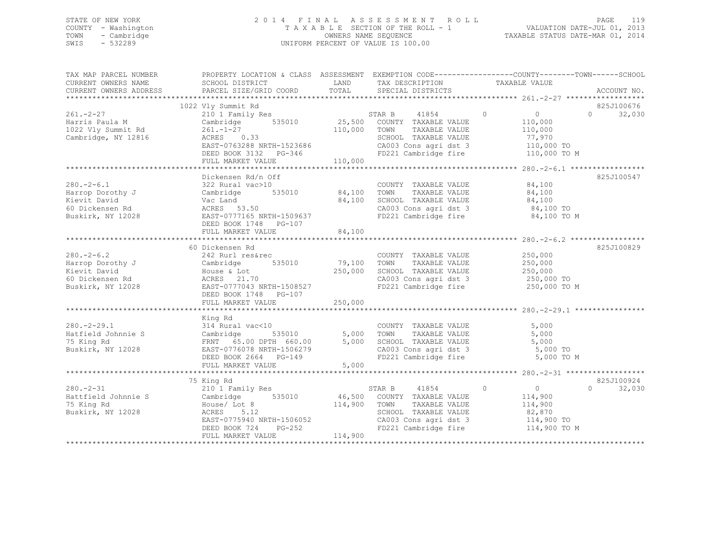### STATE OF NEW YORK 2 0 1 4 F I N A L A S S E S S M E N T R O L L PAGE 119 COUNTY - Washington T A X A B L E SECTION OF THE ROLL - 1 VALUATION DATE-JUL 01, 2013 TOWN - Cambridge OWNERS NAME SEQUENCE TAXABLE STATUS DATE-MAR 01, 2014 SWIS - 532289 UNIFORM PERCENT OF VALUE IS 100.00

TAX MAP PARCEL NUMBER PROPERTY LOCATION & CLASS ASSESSMENT EXEMPTION CODE------------------------------TOWN-------SCHOOL

| CURRENT OWNERS NAME    | SCHOOL DISTRICT                                                                                                       | LAND         | TAX DESCRIPTION                                                       |       | TAXABLE VALUE |                    |
|------------------------|-----------------------------------------------------------------------------------------------------------------------|--------------|-----------------------------------------------------------------------|-------|---------------|--------------------|
| CURRENT OWNERS ADDRESS | PARCEL SIZE/GRID COORD TOTAL                                                                                          |              | SPECIAL DISTRICTS                                                     |       |               | ACCOUNT NO.        |
|                        |                                                                                                                       |              |                                                                       |       |               |                    |
|                        | 1022 Vly Summit Rd                                                                                                    |              |                                                                       |       |               | 825J100676         |
| $261. - 2 - 27$        | 10 1 Family Res<br>Cambridge 535010 25,500 COUNTY TAXABLE VALUE                                                       |              |                                                                       |       | $\sim$ 0      | $0 \t32,030$       |
| Harris Paula M         |                                                                                                                       |              |                                                                       |       | 110,000       |                    |
| 1022 Vly Summit Rd     | $261. -1 - 27$<br>ACRES 0.33                                                                                          | 110,000 TOWN | TAXABLE VALUE                                                         |       | 110,000       |                    |
| Cambridge, NY 12816    |                                                                                                                       |              | SCHOOL TAXABLE VALUE                                                  |       | 77,970        |                    |
|                        |                                                                                                                       |              |                                                                       |       |               |                    |
|                        | EAST-0763288 NRTH-1523686 CA003 Cons agri dst 3 110,000 TO<br>DEED BOOK 3132 PG-346 FD221 Cambridge fire 110,000 TO M |              |                                                                       |       |               |                    |
|                        | FULL MARKET VALUE                                                                                                     | 110,000      |                                                                       |       |               |                    |
|                        |                                                                                                                       |              |                                                                       |       |               |                    |
|                        | Dickensen Rd/n Off                                                                                                    |              |                                                                       |       |               | 825J100547         |
| $280. - 2 - 6.1$       | 322 Rural vac>10                                                                                                      |              | COUNTY TAXABLE VALUE                                                  |       | 84,100        |                    |
| Harrop Dorothy J       | Cambridge                                                                                                             |              | TAXABLE VALUE                                                         |       | 84,100        |                    |
| Kievit David           | Vac Land                                                                                                              |              | 84,100 SCHOOL TAXABLE VALUE                                           |       | 84,100        |                    |
| 60 Dickensen Rd        | ACRES 53.50                                                                                                           |              | CA003 Cons agri dst 3 $84,100$ TO                                     |       |               |                    |
| Buskirk, NY 12028      | ACRES 53.50<br>EAST-0777165 NRTH-1509637 FD221 Cambridge fire                                                         |              |                                                                       |       | 84,100 TO M   |                    |
|                        | DEED BOOK 1748 PG-107                                                                                                 |              |                                                                       |       |               |                    |
|                        | FULL MARKET VALUE                                                                                                     | 84,100       |                                                                       |       |               |                    |
|                        |                                                                                                                       |              |                                                                       |       |               |                    |
|                        | 60 Dickensen Rd                                                                                                       |              |                                                                       |       |               | 825J100829         |
| $280 - 2 - 6.2$        | 242 Rurl res&rec                                                                                                      |              |                                                                       |       | 250,000       |                    |
|                        | 535010 79,100                                                                                                         |              | COUNTY TAXABLE VALUE<br>TOWN<br>TAXABLE VALUE                         |       |               |                    |
| Harrop Dorothy J       | Cambridge                                                                                                             |              |                                                                       |       | 250,000       |                    |
| Kievit David           | House & Lot                                                                                                           |              | 250,000 SCHOOL TAXABLE VALUE                                          |       | 250,000       |                    |
| 60 Dickensen Rd        | ACRES 21.70                                                                                                           |              | CA003 Cons agri dst 3 250,000 TO                                      |       |               |                    |
| Buskirk, NY 12028      | EAST-0777043 NRTH-1508527                                                                                             |              | FD221 Cambridge fire 250,000 TO M                                     |       |               |                    |
|                        | DEED BOOK 1748 PG-107                                                                                                 |              |                                                                       |       |               |                    |
|                        | FULL MARKET VALUE                                                                                                     | 250,000      |                                                                       |       |               |                    |
|                        |                                                                                                                       |              |                                                                       |       |               |                    |
|                        | King Rd                                                                                                               |              |                                                                       |       |               |                    |
| $280. - 2 - 29.1$      | 0 0 COUNTY<br>535010 5,000 TOWN<br>314 Rural vac<10                                                                   |              | COUNTY TAXABLE VALUE<br>TOWN      TAXABLE VALUE                       |       | 5,000         |                    |
| Hatfield Johnnie S     | Cambridge                                                                                                             |              |                                                                       |       | 5,000         |                    |
| 75 King Rd             | FRNT 65.00 DPTH 660.00 5,000 SCHOOL TAXABLE VALUE                                                                     |              |                                                                       | 5,000 |               |                    |
| Buskirk, NY 12028      | EAST-0776078 NRTH-1506279                                                                                             |              | CA003 Cons agri dst 3                                                 |       | 5,000 TO      |                    |
|                        | DEED BOOK 2664 PG-149                                                                                                 |              | FD221 Cambridge fire 5,000 TO M                                       |       |               |                    |
|                        | FULL MARKET VALUE                                                                                                     | 5,000        |                                                                       |       |               |                    |
|                        |                                                                                                                       |              |                                                                       |       |               |                    |
|                        | 75 King Rd                                                                                                            |              |                                                                       |       |               | 825J100924         |
| $280. - 2 - 31$        | 210 1 Family Res                                                                                                      |              | STAR B 41854<br>$\overline{0}$                                        |       | $\sim$ 0      | 32,030<br>$\Omega$ |
| Hattfield Johnnie S    | Cambridge 535010 46,500 COUNTY TAXABLE VALUE                                                                          |              |                                                                       |       | 114,900       |                    |
| 75 King Rd             |                                                                                                                       | 114,900 TOWN |                                                                       |       | 114,900       |                    |
| Buskirk, NY 12028      | House/ Lot 8<br>ACRES 5.12<br>ACRES<br>5.12                                                                           |              | TAXABLE VALUE<br>TAXABLE VALUE<br>SCHOOL TAXABLE VALUE                |       | 82,870        |                    |
|                        | EAST-0775940 NRTH-1506052                                                                                             |              |                                                                       |       |               |                    |
|                        | PG-252<br>DEED BOOK 724                                                                                               |              | CA003 Cons agri dst 3 114,900 TO<br>FD221 Cambridge fire 114,900 TO M |       |               |                    |
|                        | FULL MARKET VALUE                                                                                                     | 114,900      |                                                                       |       |               |                    |
|                        |                                                                                                                       |              |                                                                       |       |               |                    |
|                        |                                                                                                                       |              |                                                                       |       |               |                    |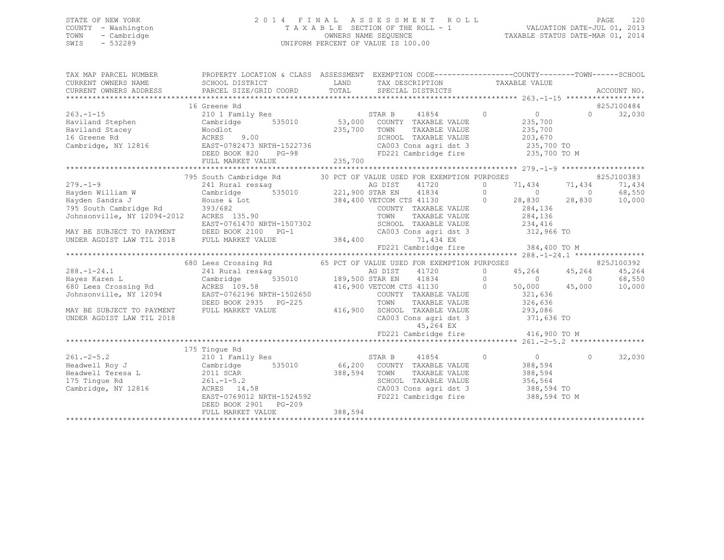# STATE OF NEW YORK<br>COUNTY - Washington 2011 2013<br>2014 TAXABLE SECTION OF THE ROLL - 1 WALUATION DATE-JUL 01, 2013 COUNTY - Washington  $T A X A B L E$  SECTION OF THE ROLL - 1<br>TOWN - Cambridge  $\sim$  000NERS NAME SEQUENCE TOWN - Cambridge OWNERS NAME SEQUENCE TAXABLE STATUS DATE-MAR 01, 2014 UNIFORM PERCENT OF VALUE IS 100.00

| TAX MAP PARCEL NUMBER                                                                                                                                                                                                                  | PROPERTY LOCATION & CLASS ASSESSMENT EXEMPTION CODE----------------COUNTY-------TOWN------SCHOOL                                                                             |              |                                                            |                                                             |          |            |
|----------------------------------------------------------------------------------------------------------------------------------------------------------------------------------------------------------------------------------------|------------------------------------------------------------------------------------------------------------------------------------------------------------------------------|--------------|------------------------------------------------------------|-------------------------------------------------------------|----------|------------|
|                                                                                                                                                                                                                                        |                                                                                                                                                                              |              |                                                            |                                                             |          |            |
|                                                                                                                                                                                                                                        |                                                                                                                                                                              |              |                                                            |                                                             |          |            |
|                                                                                                                                                                                                                                        | 16 Greene Rd                                                                                                                                                                 |              |                                                            |                                                             |          | 825J100484 |
| $263 - 1 - 15$                                                                                                                                                                                                                         |                                                                                                                                                                              |              |                                                            | $\overline{0}$                                              | $\Omega$ | 32,030     |
| Haviland Stephen Cambridge                                                                                                                                                                                                             |                                                                                                                                                                              |              |                                                            | 235,700                                                     |          |            |
|                                                                                                                                                                                                                                        |                                                                                                                                                                              |              |                                                            |                                                             |          |            |
|                                                                                                                                                                                                                                        |                                                                                                                                                                              |              |                                                            |                                                             |          |            |
| Moodlot 235,700 TOWN TAXABLE VALUE<br>Haviland Stephen Moodlot 235,700 TOWN TAXABLE VALUE<br>16 Greene Rd<br>Cambridge, NY 12816 EAST-0782473 NRTH-1522736 CA003 Cons agri dst 3 235,700 TO<br>EED BOOK 820 PG-98 FD221 Cambridge fire |                                                                                                                                                                              |              |                                                            |                                                             |          |            |
|                                                                                                                                                                                                                                        |                                                                                                                                                                              |              |                                                            |                                                             |          |            |
|                                                                                                                                                                                                                                        |                                                                                                                                                                              |              |                                                            |                                                             |          |            |
|                                                                                                                                                                                                                                        |                                                                                                                                                                              |              |                                                            |                                                             |          |            |
|                                                                                                                                                                                                                                        | 795 South Cambridge Rd 30 PCT OF VALUE USED FOR EXEMPTION PURPOSES                                                                                                           |              |                                                            |                                                             |          | 825J100383 |
|                                                                                                                                                                                                                                        |                                                                                                                                                                              |              |                                                            |                                                             |          | 71,434     |
|                                                                                                                                                                                                                                        |                                                                                                                                                                              |              |                                                            |                                                             |          | 68,550     |
| 179.-1-9 241 Rural reskag as DIST 41720 0 71,434 71,434 71,434 71,434 71,434 71,434 71,434 71,434 71,434 71,434 71,434 71,434 71,434 71,434 71,434 71,434 71,434 71,434 71,434 71,434 71,434 71,434 71,434 71,434 71,434 71,43         |                                                                                                                                                                              |              |                                                            |                                                             |          | 10,000     |
|                                                                                                                                                                                                                                        |                                                                                                                                                                              |              | COUNTY TAXABLE VALUE 284,136<br>TOWN TAXABLE VALUE 284,136 |                                                             |          |            |
|                                                                                                                                                                                                                                        |                                                                                                                                                                              |              | TOWN                                                       |                                                             |          |            |
|                                                                                                                                                                                                                                        | EAST-0761470 NRTH-1507302                                                                                                                                                    |              | SCHOOL TAXABLE VALUE 234,416                               |                                                             |          |            |
| MAY BE SUBJECT TO PAYMENT DEED BOOK 2100 PG-1 (2003)<br>UNDER AGDIST LAW TIL 2018 FULL MARKET VALUE 384,400                                                                                                                            |                                                                                                                                                                              |              | CA003 Cons agri dst 3 312,966 TO                           |                                                             |          |            |
|                                                                                                                                                                                                                                        |                                                                                                                                                                              |              | 71,434 EX                                                  |                                                             |          |            |
|                                                                                                                                                                                                                                        |                                                                                                                                                                              |              | FD221 Cambridge fire 384,400 TO M                          |                                                             |          |            |
|                                                                                                                                                                                                                                        |                                                                                                                                                                              |              |                                                            |                                                             |          | 825J100392 |
|                                                                                                                                                                                                                                        | 680 Lees Crossing Rd 65 PCT OF VALUE USED FOR EXEMPTION PURPOSES                                                                                                             |              |                                                            | 45,264 45,264                                               |          | 45,264     |
|                                                                                                                                                                                                                                        |                                                                                                                                                                              |              |                                                            |                                                             |          | 68,550     |
|                                                                                                                                                                                                                                        |                                                                                                                                                                              |              |                                                            | $\begin{array}{ccc} & 0 & 0 \\ 50,000 & 45,000 \end{array}$ |          | 10,000     |
| 288.-1-24.1 241 Rural reskag and the Maria Cambridge 535010 3241 Rural reskag and the Maria 11720 0 45,264<br>Hayes Karen L Cambridge 535010 189,500 STAR EN 41834 0 0 0<br>300 Lees Crossing Rd ACRES 109.58 416,900 VETCOM CTS 4     |                                                                                                                                                                              |              |                                                            |                                                             |          |            |
|                                                                                                                                                                                                                                        | EAST-0762196 NRTH-15026500<br>DEED BOOK 2935 PG-225 TOWN TAXABLE VALUE 293,086<br>FULL MARKET VALUE 416,900 SCHOOL TAXABLE VALUE 293,086<br>CA003 Cons agri dst 3 371,636 TO |              |                                                            |                                                             |          |            |
| MAY BE SUBJECT TO PAYMENT                                                                                                                                                                                                              | FULL MARKET VALUE                                                                                                                                                            |              |                                                            |                                                             |          |            |
| UNDER AGDIST LAW TIL 2018                                                                                                                                                                                                              |                                                                                                                                                                              |              |                                                            |                                                             |          |            |
|                                                                                                                                                                                                                                        |                                                                                                                                                                              |              |                                                            |                                                             |          |            |
|                                                                                                                                                                                                                                        |                                                                                                                                                                              |              | FD221 Cambridge fire 416,900 TO M                          |                                                             |          |            |
|                                                                                                                                                                                                                                        |                                                                                                                                                                              |              |                                                            |                                                             |          |            |
|                                                                                                                                                                                                                                        | 175 Tingue Rd                                                                                                                                                                |              |                                                            |                                                             |          |            |
| $261 - 2 - 5.2$                                                                                                                                                                                                                        | 210 1 Family Res                                                                                                                                                             |              | STAR B 41854                                               | $\circ$<br>$\sim$ 0 $\sim$ 0                                | $\circ$  | 32,030     |
| Headwell Roy J                                                                                                                                                                                                                         |                                                                                                                                                                              |              |                                                            | 388,594                                                     |          |            |
| Example 1 Teresa L<br>175 Tingue Rd<br>175 Tingue Rd<br>261.-1-5.2<br>Cambridge, NY 12816 2008 2008 14.                                                                                                                                | .58                                                                                                                                                                          | 388,594 TOWN | TAXABLE VALUE                                              | 388,594                                                     |          |            |
|                                                                                                                                                                                                                                        |                                                                                                                                                                              |              |                                                            |                                                             |          |            |
| Cambridge, NY 12816                                                                                                                                                                                                                    | ACRES 14.58                                                                                                                                                                  |              |                                                            |                                                             |          |            |
|                                                                                                                                                                                                                                        | EAST-0769012 NRTH-1524592                                                                                                                                                    |              |                                                            |                                                             |          |            |
|                                                                                                                                                                                                                                        | DEED BOOK 2901 PG-209                                                                                                                                                        |              |                                                            |                                                             |          |            |
|                                                                                                                                                                                                                                        | FULL MARKET VALUE                                                                                                                                                            | 388,594      |                                                            |                                                             |          |            |
|                                                                                                                                                                                                                                        |                                                                                                                                                                              |              |                                                            |                                                             |          |            |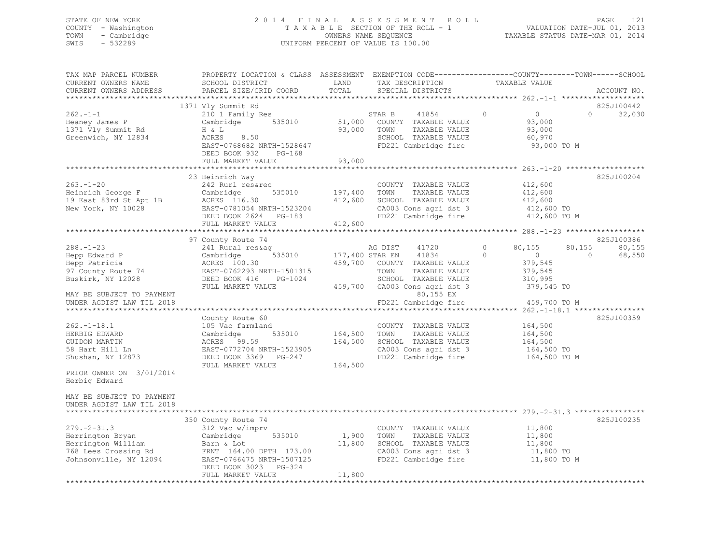### STATE OF NEW YORK 2 0 1 4 F I N A L A S S E S S M E N T R O L L PAGE 121 COUNTY - Washington T A X A B L E SECTION OF THE ROLL - 1 VALUATION DATE-JUL 01, 2013 TOWN - Cambridge OWNERS NAME SEQUENCE TAXABLE STATUS DATE-MAR 01, 2014 SWIS - 532289 UNIFORM PERCENT OF VALUE IS 100.00

| SCHOOL DISTRICT<br>PARCEL SIZE/GRID COORD                                                                                                                                                      | LAND<br>TOTAL              | TAX DESCRIPTION<br>SPECIAL DISTRICTS                                                                                                                             | TAXABLE VALUE                                                                                                          | ACCOUNT NO.                                                                                                                          |
|------------------------------------------------------------------------------------------------------------------------------------------------------------------------------------------------|----------------------------|------------------------------------------------------------------------------------------------------------------------------------------------------------------|------------------------------------------------------------------------------------------------------------------------|--------------------------------------------------------------------------------------------------------------------------------------|
| 1371 Vly Summit Rd<br>210 1 Family Res<br>535010<br>Cambridge<br>H & L<br>ACRES<br>8.50<br>EAST-0768682 NRTH-1528647<br>DEED BOOK 932<br>$PG-168$<br>FULL MARKET VALUE                         | 51,000<br>93,000<br>93,000 | STAR B<br>41854<br>COUNTY TAXABLE VALUE<br>TAXABLE VALUE<br>TOWN<br>SCHOOL TAXABLE VALUE<br>FD221 Cambridge fire                                                 | 0<br>$\overline{0}$<br>0<br>93,000<br>93,000<br>60,970<br>93,000 TO M                                                  | 825J100442<br>32,030                                                                                                                 |
| 23 Heinrich Way<br>242 Rurl res&rec<br>Cambridge<br>535010<br>ACRES 116.30<br>EAST-0781054 NRTH-1523204<br>DEED BOOK 2624<br>PG-183<br>FULL MARKET VALUE                                       | 197,400<br>412,600         | COUNTY TAXABLE VALUE<br>TOWN<br>TAXABLE VALUE<br>SCHOOL TAXABLE VALUE<br>CA003 Cons agri dst 3<br>FD221 Cambridge fire                                           | 412,600<br>412,600<br>412,600<br>412,600 TO<br>412,600 TO M                                                            | 825J100204                                                                                                                           |
| 97 County Route 74<br>241 Rural res&ag<br>Cambridge<br>535010<br>ACRES 100.30<br>EAST-0762293 NRTH-1501315<br>DEED BOOK 416<br>PG-1024<br>FULL MARKET VALUE<br>MAY BE SUBJECT TO PAYMENT       | 459,700<br>459,700         | AG DIST<br>41720<br>41834<br>COUNTY TAXABLE VALUE<br>TOWN<br>TAXABLE VALUE<br>SCHOOL TAXABLE VALUE<br>CA003 Cons agri dst 3<br>80,155 EX<br>FD221 Cambridge fire | $\circ$<br>80,155<br>80,155<br>$\Omega$<br>$\circ$<br>0<br>379,545<br>379,545<br>310,995<br>379,545 TO<br>459,700 TO M | 825J100386<br>80,155<br>68,550                                                                                                       |
| County Route 60<br>105 Vac farmland<br>Cambridge<br>535010<br>ACRES 99.59<br>EAST-0772704 NRTH-1523905<br>DEED BOOK 3369 PG-247<br>FULL MARKET VALUE                                           | 164,500<br>164,500         | COUNTY TAXABLE VALUE<br>TOWN<br>TAXABLE VALUE<br>SCHOOL TAXABLE VALUE<br>CA003 Cons agri dst 3<br>FD221 Cambridge fire                                           | 164,500<br>164,500<br>164,500<br>164,500 TO<br>164,500 TO M                                                            | 825J100359                                                                                                                           |
| ***************************<br>350 County Route 74<br>312 Vac w/imprv<br>Cambridge<br>535010<br>Barn & Lot<br>FRNT 164.00 DPTH 173.00<br>EAST-0766475 NRTH-1507125<br>DEED BOOK 3023<br>PG-324 |                            | COUNTY TAXABLE VALUE<br>TAXABLE VALUE<br>TOWN<br>SCHOOL TAXABLE VALUE<br>CA003 Cons agri dst 3<br>FD221 Cambridge fire                                           | 11,800<br>11,800<br>11,800<br>11,800 TO<br>11,800 TO M                                                                 | 825J100235                                                                                                                           |
|                                                                                                                                                                                                | FULL MARKET VALUE          | 11,800                                                                                                                                                           | PROPERTY LOCATION & CLASS ASSESSMENT<br>412,600<br>177,400 STAR EN<br>164,500<br>1,900<br>11,800                       | EXEMPTION CODE-----------------COUNTY-------TOWN------SCHOOL<br>****************************<br>****** 262.-1-18.1 ***************** |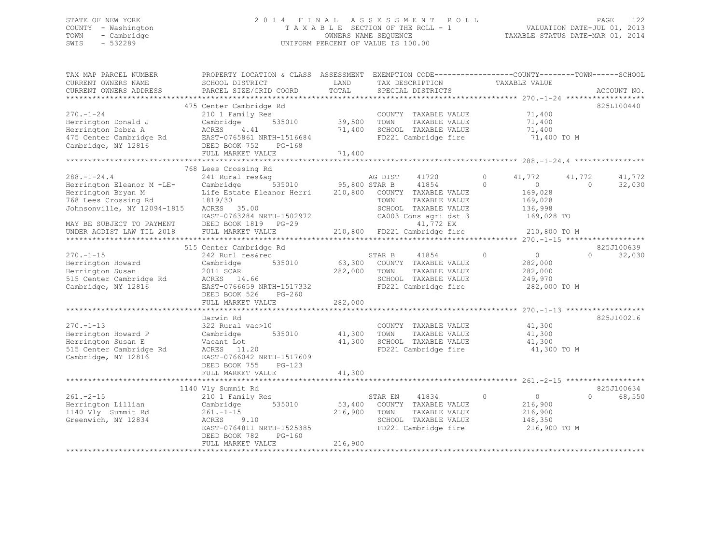### STATE OF NEW YORK 2 0 1 4 F I N A L A S S E S S M E N T R O L L PAGE 122 COUNTY - Washington T A X A B L E SECTION OF THE ROLL - 1 VALUATION DATE-JUL 01, 2013 TOWN - Cambridge OWNERS NAME SEQUENCE TAXABLE STATUS DATE-MAR 01, 2014 SWIS - 532289 UNIFORM PERCENT OF VALUE IS 100.00

| TAX MAP PARCEL NUMBER<br>CURRENT OWNERS NAME                                                                   | PROPERTY LOCATION & CLASS ASSESSMENT EXEMPTION CODE----------------COUNTY-------TOWN------SCHOOL<br>SCHOOL DISTRICT                                           | LAND                       | TAX DESCRIPTION                                                                                                          | TAXABLE VALUE                                                                 |                                           |
|----------------------------------------------------------------------------------------------------------------|---------------------------------------------------------------------------------------------------------------------------------------------------------------|----------------------------|--------------------------------------------------------------------------------------------------------------------------|-------------------------------------------------------------------------------|-------------------------------------------|
| CURRENT OWNERS ADDRESS                                                                                         | PARCEL SIZE/GRID COORD                                                                                                                                        | TOTAL                      | SPECIAL DISTRICTS                                                                                                        |                                                                               | ACCOUNT NO.                               |
|                                                                                                                |                                                                                                                                                               |                            |                                                                                                                          |                                                                               |                                           |
| $270. - 1 - 24$<br>Herrington Donald J<br>Herrington Debra A<br>475 Center Cambridge Rd<br>Cambridge, NY 12816 | 475 Center Cambridge Rd<br>210 1 Family Res<br>535010<br>Cambridge<br>ACRES<br>4.41<br>EAST-0765861 NRTH-1516684<br>DEED BOOK 752 PG-168<br>FULL MARKET VALUE | 39,500<br>71,400<br>71,400 | COUNTY TAXABLE VALUE 71,400<br>TOWN<br>TAXABLE VALUE<br>SCHOOL TAXABLE VALUE<br>FD221 Cambridge fire                     | 71,400<br>71,400<br>71,400 TO M                                               | 825L100440                                |
| *************************                                                                                      |                                                                                                                                                               |                            |                                                                                                                          |                                                                               |                                           |
| $288. - 1 - 24.4$<br>Herrington Eleanor M -LE- Cambridge<br>Herrington Bryan M<br>768 Lees Crossing Rd 1819/30 | 768 Lees Crossing Rd<br>241 Rural res&aq<br>Life Estate Eleanor Herri 210,800 COUNTY TAXABLE VALUE                                                            |                            | AG DIST 41720<br>535010 95,800 STAR B 41854<br>TOWN<br>TAXABLE VALUE                                                     | $\overline{0}$<br>41,772<br>$\overline{0}$<br>$\Omega$<br>169,028<br>169,028  | 41,772<br>41,772<br>32,030<br>$\Omega$    |
| Johnsonville, NY 12094-1815 ACRES 35.00<br>MAY BE SUBJECT TO PAYMENT<br>UNDER AGDIST LAW TIL 2018              | EAST-0763284 NRTH-1502972<br>DEED BOOK 1819 PG-29<br>FULL MARKET VALUE                                                                                        |                            | SCHOOL TAXABLE VALUE<br>CA003 Cons agri dst 3 169,028 TO<br>41,772 EX<br>210,800 FD221 Cambridge fire                    | 136,998<br>210,800 TO M                                                       |                                           |
|                                                                                                                |                                                                                                                                                               |                            |                                                                                                                          |                                                                               |                                           |
| $270. - 1 - 15$<br>Herrington Howard<br>Herrington Susan<br>515 Center Cambridge Rd<br>Cambridge, NY 12816     | 515 Center Cambridge Rd<br>242 Rurl res&rec<br>535010<br>Cambridge<br>$ACRES$ 14.66<br>EAST-0766659 NRTH-1517332<br>DEED BOOK 526 PG-260<br>FULL MARKET VALUE | 282,000<br>282,000         | STAR B<br>41854<br>63,300 COUNTY TAXABLE VALUE<br>TOWN<br>TAXABLE VALUE<br>SCHOOL TAXABLE VALUE<br>FD221 Cambridge fire  | $\overline{0}$<br>$\bigcirc$<br>282,000<br>282,000<br>249,970<br>282,000 TO M | 825J100639<br>$\Omega$<br>32,030          |
|                                                                                                                | Darwin Rd                                                                                                                                                     |                            |                                                                                                                          |                                                                               | 825J100216                                |
| $270. - 1 - 13$<br>Herrington Howard P<br>Herrington Susan E<br>515 Center Cambridge Rd<br>Cambridge, NY 12816 | 322 Rural vac>10<br>535010<br>Cambridge<br>Vacant Lot<br>ACRES 11.20<br>EAST-0766042 NRTH-1517609<br>DEED BOOK 755<br>$PG-123$                                | 41,300<br>41,300           | COUNTY TAXABLE VALUE<br>TOWN<br>TAXABLE VALUE<br>SCHOOL TAXABLE VALUE<br>FD221 Cambridge fire                            | 41,300<br>41,300<br>41,300<br>41,300 TO M                                     |                                           |
|                                                                                                                | FULL MARKET VALUE                                                                                                                                             | 41,300                     |                                                                                                                          |                                                                               |                                           |
| $261 - 2 - 15$<br>Herrington Lillian<br>1140 Vly Summit Rd<br>Greenwich, NY 12834                              | 1140 Vly Summit Rd<br>210 1 Family Res<br>535010<br>Cambridge<br>$261 - 1 - 15$<br>ACRES 9.10<br>EAST-0764811 NRTH-1525385<br>DEED BOOK 782<br>PG-160         | 216,900                    | STAR EN<br>41834<br>53,400 COUNTY TAXABLE VALUE<br>TOWN<br>TAXABLE VALUE<br>SCHOOL TAXABLE VALUE<br>FD221 Cambridge fire | $\overline{0}$<br>$\circ$<br>216,900<br>216,900<br>148,350<br>216,900 TO M    | 825J100634<br>68,550<br>$0 \qquad \qquad$ |
|                                                                                                                | FULL MARKET VALUE                                                                                                                                             | 216,900                    |                                                                                                                          |                                                                               |                                           |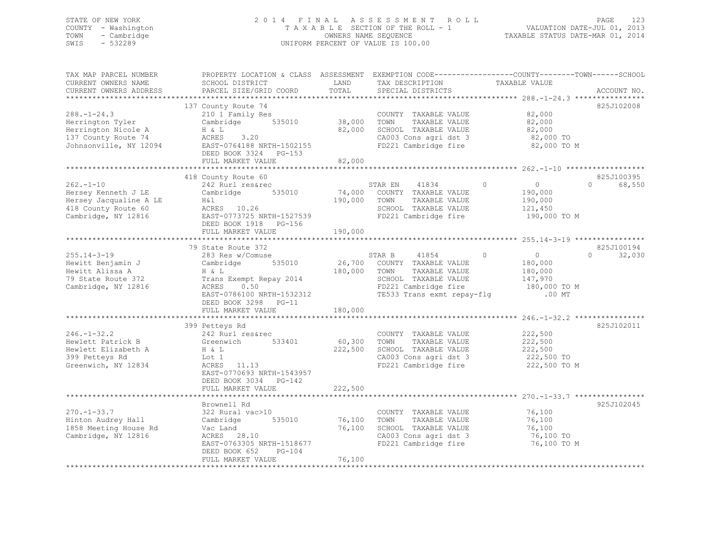### STATE OF NEW YORK 2 0 1 4 F I N A L A S S E S S M E N T R O L L PAGE 123 COUNTY - Washington T A X A B L E SECTION OF THE ROLL - 1 VALUATION DATE-JUL 01, 2013 TOWN - Cambridge OWNERS NAME SEQUENCE TAXABLE STATUS DATE-MAR 01, 2014 SWIS - 532289 UNIFORM PERCENT OF VALUE IS 100.00

| TAX MAP PARCEL NUMBER<br>CURRENT OWNERS NAME<br>CURRENT OWNERS ADDRESS                                        | PROPERTY LOCATION & CLASS ASSESSMENT EXEMPTION CODE---------------COUNTY-------TOWN-----SCHOOL<br>SCHOOL DISTRICT<br>PARCEL SIZE/GRID COORD                                                  | LAND<br>TOTAL                | TAX DESCRIPTION<br>SPECIAL DISTRICTS                                                                                                          | TAXABLE VALUE                                                                          | ACCOUNT NO.                      |
|---------------------------------------------------------------------------------------------------------------|----------------------------------------------------------------------------------------------------------------------------------------------------------------------------------------------|------------------------------|-----------------------------------------------------------------------------------------------------------------------------------------------|----------------------------------------------------------------------------------------|----------------------------------|
|                                                                                                               |                                                                                                                                                                                              |                              |                                                                                                                                               |                                                                                        |                                  |
| $288. - 1 - 24.3$<br>Herrington Tyler<br>Herrington Nicole A<br>137 County Route 74<br>Johnsonville, NY 12094 | 137 County Route 74<br>210 1 Family Res<br>Cambridge 535010<br>H & L<br>ACRES 3.20<br>EAST-0764188 NRTH-1502155<br>DEED BOOK 3324 PG-153<br>FULL MARKET VALUE                                | 38,000 TOWN<br>82,000        | COUNTY TAXABLE VALUE<br>TAXABLE VALUE<br>82,000 SCHOOL TAXABLE VALUE<br>CA003 Cons agri dst 3<br>FD221 Cambridge fire                         | 82,000<br>82,000<br>82,000<br>82,000 TO<br>82,000 TO M                                 | 825J102008                       |
|                                                                                                               |                                                                                                                                                                                              |                              |                                                                                                                                               |                                                                                        |                                  |
| $262 - 1 - 10$<br>Hersey Kenneth J LE<br>Hersey Jacqualine A LE<br>418 County Route 60<br>Cambridge, NY 12816 | 418 County Route 60<br>242 Rurl res&rec<br>535010<br>Cambridge<br>H&l<br>ACRES 10.26<br>EAST-0773725 NRTH-1527539<br>DEED BOOK 1918 PG-156                                                   | 74,000<br>190,000            | STAR EN<br>41834<br>COUNTY TAXABLE VALUE<br>TOWN<br>TAXABLE VALUE<br>SCHOOL TAXABLE VALUE<br>FD221 Cambridge fire                             | $\circ$<br>$\overline{0}$<br>190,000<br>190,000<br>121,450<br>190,000 TO M             | 825J100395<br>68,550<br>$\Omega$ |
|                                                                                                               | FULL MARKET VALUE                                                                                                                                                                            | 190,000                      |                                                                                                                                               |                                                                                        |                                  |
| $255.14 - 3 - 19$<br>Hewitt Benjamin J<br>Hewitt Alissa A<br>79 State Route 372<br>Cambridge, NY 12816        | 79 State Route 372<br>283 Res w/Comuse<br>Cambridge<br>535010<br>H & L<br>Trans Exempt Repay 2014<br>ACRES<br>0.50<br>EAST-0786100 NRTH-1532312<br>DEED BOOK 3298 PG-11<br>FULL MARKET VALUE | 180,000 TOWN<br>180,000      | STAR B<br>41854<br>26,700 COUNTY TAXABLE VALUE<br>TAXABLE VALUE<br>SCHOOL TAXABLE VALUE<br>FD221 Cambridge fire<br>TE533 Trans exmt repay-flg | $\circ$<br>$\overline{0}$<br>180,000<br>180,000<br>147,970<br>180,000 TO M<br>$.00$ MT | 825J100194<br>$\Omega$<br>32,030 |
| $246. - 1 - 32.2$<br>Hewlett Patrick B<br>Hewlett Elizabeth A<br>399 Petteys Rd<br>Greenwich, NY 12834        | 399 Petteys Rd<br>242 Rurl res&rec<br>Greenwich<br>533401<br>H & L<br>Lot 1<br>ACRES 11.13<br>EAST-0770693 NRTH-1543957<br>DEED BOOK 3034 PG-142<br>FULL MARKET VALUE                        | 60,300<br>222,500<br>222,500 | COUNTY TAXABLE VALUE<br>TOWN<br>TAXABLE VALUE<br>SCHOOL TAXABLE VALUE<br>CA003 Cons agri dst 3<br>FD221 Cambridge fire                        | 222,500<br>222,500<br>222,500<br>222,500 TO<br>222,500 TO M                            | 825J102011                       |
|                                                                                                               |                                                                                                                                                                                              | ************                 |                                                                                                                                               |                                                                                        |                                  |
| $270. - 1 - 33.7$<br>Hinton Audrey Hall<br>1858 Meeting House Rd<br>Cambridge, NY 12816                       | Brownell Rd<br>322 Rural vac>10<br>535010<br>Cambridge<br>Vac Land<br>ACRES 28.10<br>EAST-0763305 NRTH-1518677<br>DEED BOOK 652<br>PG-104<br>FULL MARKET VALUE                               | 76,100<br>76,100<br>76,100   | COUNTY TAXABLE VALUE<br>TOWN<br>TAXABLE VALUE<br>SCHOOL TAXABLE VALUE<br>CA003 Cons agri dst 3<br>FD221 Cambridge fire                        | 76,100<br>76,100<br>76,100<br>76,100 TO<br>76,100 TO M                                 | 925J102045                       |
|                                                                                                               |                                                                                                                                                                                              |                              |                                                                                                                                               |                                                                                        |                                  |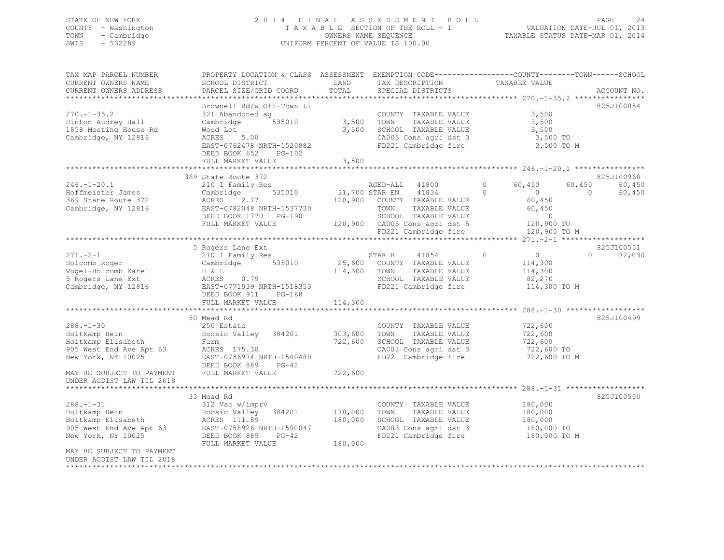### STATE OF NEW YORK 2 0 1 4 F I N A L A S S E S S M E N T R O L L PAGE 124 COUNTY - Washington T A X A B L E SECTION OF THE ROLL - 1 VALUATION DATE-JUL 01, 2013 TOWN - Cambridge OWNERS NAME SEQUENCE TAXABLE STATUS DATE-MAR 01, 2014 SWIS - 532289 UNIFORM PERCENT OF VALUE IS 100.00

| TAX MAP PARCEL NUMBER<br>CURRENT OWNERS NAME<br>CURRENT OWNERS ADDRESS                                                               | SCHOOL DISTRICT<br>PARCEL SIZE/GRID COORD                                                                                                                                                         | LAND<br>TOTAL                 | TAX DESCRIPTION<br>SPECIAL DISTRICTS                                                                                                                                                                            | PROPERTY LOCATION & CLASS ASSESSMENT EXEMPTION CODE----------------COUNTY-------TOWN-----SCHOOL<br>TAXABLE VALUE  | ACCOUNT NO.                                      |
|--------------------------------------------------------------------------------------------------------------------------------------|---------------------------------------------------------------------------------------------------------------------------------------------------------------------------------------------------|-------------------------------|-----------------------------------------------------------------------------------------------------------------------------------------------------------------------------------------------------------------|-------------------------------------------------------------------------------------------------------------------|--------------------------------------------------|
|                                                                                                                                      |                                                                                                                                                                                                   |                               |                                                                                                                                                                                                                 |                                                                                                                   |                                                  |
| $270. - 1 - 35.2$<br>Hinton Audrey Hall<br>1858 Meeting House Rd<br>Cambridge, NY 12816                                              | Brownell Rd/w Off-Town Li<br>321 Abandoned ag<br>Cambridge 535010<br>Wood Lot<br>ACRES 5.00<br>EAST-0762478 NRTH-1520882<br>DEED BOOK 652 PG-102                                                  | 3,500 TOWN                    | COUNTY TAXABLE VALUE<br>TAXABLE VALUE<br>3,500 SCHOOL TAXABLE VALUE                                                                                                                                             | 3,500<br>3,500<br>3,500<br>CA003 Cons agri dst 3 3,500 TO<br>FD221 Cambridge fire 3,500 TO M                      | 825J100854                                       |
|                                                                                                                                      | FULL MARKET VALUE                                                                                                                                                                                 | 3,500                         |                                                                                                                                                                                                                 |                                                                                                                   |                                                  |
| $246. - 1 - 20.1$<br>Hoffmeister James<br>369 State Route 372<br>Cambridge, NY 12816                                                 | 369 State Route 372<br>210 1 Family Res<br>Cambridge<br>ACRES 2.77<br>EAST-0782048 NRTH-1537730<br>DEED BOOK 1770 PG-190<br>FULL MARKET VALUE                                                     |                               | AGED-ALL 41800<br>91800 1806 1917 1920 535010<br>31,700 STAR EN 41834<br>120,900 COUNTY TAXABLE VALUE<br>TOWN<br>TAXABLE VALUE<br>SCHOOL TAXABLE VALUE<br>120,900 CA005 Cons agri dst 5<br>FD221 Cambridge fire | $\circ$<br>60,450<br>60,450<br>$\Omega$<br>$\sim$ 0<br>60,450<br>60,450<br>$\sim$ 0<br>120,900 TO<br>120,900 TO M | 825J100968<br>60,450<br>$\overline{0}$<br>60,450 |
|                                                                                                                                      |                                                                                                                                                                                                   |                               |                                                                                                                                                                                                                 |                                                                                                                   |                                                  |
| $271 - 2 - 1$<br>Holcomb Roger<br>Vogel-Holcomb Karel<br>5 Rogers Lane Ext<br>Cambridge, NY 12816                                    | 5 Rogers Lane Ext<br>210 1 Family Res<br>Cambridge 535010 25,600 COUNTY TAXABLE VALUE<br>$H \& L$<br>0.79<br>ACRES<br>EAST-0771939 NRTH-1518353<br>DEED BOOK 911<br>$PG-168$<br>FULL MARKET VALUE | 114,300 TOWN<br>114,300       | STAR B<br>41854<br>TAXABLE VALUE<br>SCHOOL TAXABLE VALUE<br>FD221 Cambridge fire                                                                                                                                | $\circ$<br>$\overline{0}$<br>114,300<br>114,300<br>82,270<br>114,300 TO M                                         | 825J100551<br>0<br>32,030                        |
|                                                                                                                                      | 50 Mead Rd                                                                                                                                                                                        |                               |                                                                                                                                                                                                                 |                                                                                                                   | 825J100499                                       |
| $288. - 1 - 30$<br>Holtkamp Hein<br>Holtkamp Elisabeth<br>905 West End Ave Apt 63<br>New York, NY 10025<br>MAY BE SUBJECT TO PAYMENT | 250 Estate<br>Hoosic Valley 384201 303,600<br>Farm<br>ACRES 175.30<br>EAST-0756974 NRTH-1500480<br>DEED BOOK 889 PG-42<br>FULL MARKET VALUE                                                       | 722,600<br>722,600            | COUNTY TAXABLE VALUE<br>TOWN<br>TAXABLE VALUE<br>SCHOOL TAXABLE VALUE<br>CA003 Cons agri dst 3<br>FD221 Cambridge fire                                                                                          | 722,600<br>722,600<br>722,600<br>722,600 TO<br>722,600 TO M                                                       |                                                  |
| UNDER AGDIST LAW TIL 2018                                                                                                            |                                                                                                                                                                                                   |                               |                                                                                                                                                                                                                 |                                                                                                                   |                                                  |
| $288. - 1 - 31$                                                                                                                      | 33 Mead Rd<br>312 Vac w/imprv                                                                                                                                                                     |                               | COUNTY TAXABLE VALUE                                                                                                                                                                                            | 180,000                                                                                                           | 825J100500                                       |
| Holtkamp Hein<br>Holtkamp Elisabeth<br>905 West End Ave Apt 63<br>New York, NY 10025                                                 | Hoosic Valley 384201<br>ROSIC VALLEY<br>EAST-0758926 NRTH-1500047<br>DEED BOOK 889 PG-42<br>FULL MARKET VALUE                                                                                     | 178,000<br>180,000<br>180,000 | TOWN<br>TAXABLE VALUE<br>SCHOOL TAXABLE VALUE<br>CA003 Cons agri dst 3<br>FD221 Cambridge fire                                                                                                                  | 180,000<br>180,000<br>180,000 TO<br>$180,000$ TO M                                                                |                                                  |
| MAY BE SUBJECT TO PAYMENT<br>UNDER AGDIST LAW TIL 2018                                                                               |                                                                                                                                                                                                   |                               |                                                                                                                                                                                                                 |                                                                                                                   |                                                  |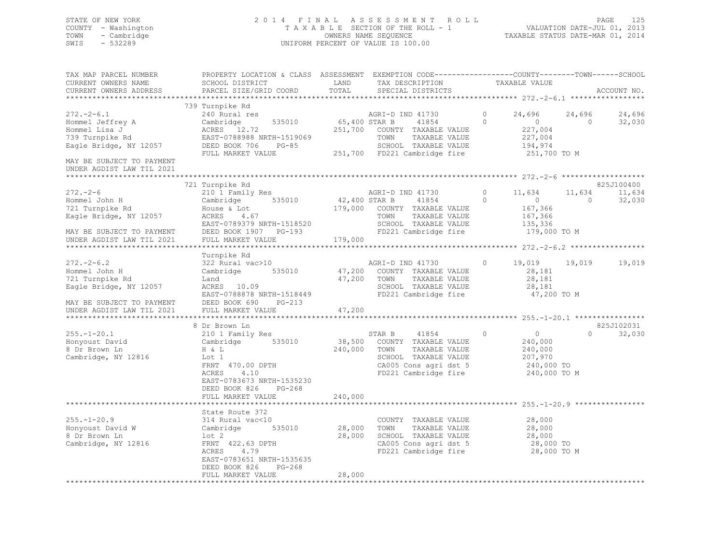### STATE OF NEW YORK 2 0 1 4 F I N A L A S S E S S M E N T R O L L PAGE 125 COUNTY - Washington T A X A B L E SECTION OF THE ROLL - 1 VALUATION DATE-JUL 01, 2013 TOWN - Cambridge OWNERS NAME SEQUENCE TAXABLE STATUS DATE-MAR 01, 2014 SWIS - 532289 UNIFORM PERCENT OF VALUE IS 100.00

| TAX MAP PARCEL NUMBER<br>CURRENT OWNERS NAME                                                                                              | PROPERTY LOCATION & CLASS ASSESSMENT EXEMPTION CODE----------------COUNTY-------TOWN------SCHOOL<br>SCHOOL DISTRICT                                                             | LAND                             | TAX DESCRIPTION                                                                                                                            | TAXABLE VALUE                                                                                    |                                                      |
|-------------------------------------------------------------------------------------------------------------------------------------------|---------------------------------------------------------------------------------------------------------------------------------------------------------------------------------|----------------------------------|--------------------------------------------------------------------------------------------------------------------------------------------|--------------------------------------------------------------------------------------------------|------------------------------------------------------|
| CURRENT OWNERS ADDRESS                                                                                                                    | PARCEL SIZE/GRID COORD                                                                                                                                                          | TOTAL<br>*********************** | SPECIAL DISTRICTS                                                                                                                          |                                                                                                  | ACCOUNT NO.                                          |
|                                                                                                                                           | 739 Turnpike Rd                                                                                                                                                                 |                                  |                                                                                                                                            |                                                                                                  |                                                      |
| $272. - 2 - 6.1$<br>Hommel Jeffrey A<br>Hommel Lisa J<br>739 Turnpike Rd<br>Eagle Bridge, NY 12057                                        | 240 Rural res<br>Cambridge<br>535010<br>ACRES 12.72<br>EAST-0788988 NRTH-1519069<br>DEED BOOK 706<br>$PG-85$                                                                    | 65,400 STAR B                    | AGRI-D IND 41730<br>41854<br>251,700 COUNTY TAXABLE VALUE<br>TAXABLE VALUE<br>TOWN<br>SCHOOL TAXABLE VALUE<br>251,700 FD221 Cambridge fire | 24,696<br>$\circ$<br>$\Omega$<br>$\sim$ 0 $\sim$<br>227,004<br>227,004<br>194,974                | 24,696<br>24,696<br>$\Omega$<br>32,030               |
| MAY BE SUBJECT TO PAYMENT<br>UNDER AGDIST LAW TIL 2021                                                                                    | FULL MARKET VALUE                                                                                                                                                               |                                  |                                                                                                                                            | 251,700 TO M                                                                                     |                                                      |
|                                                                                                                                           |                                                                                                                                                                                 |                                  |                                                                                                                                            |                                                                                                  |                                                      |
| $272 - 2 - 6$<br>Hommel John H<br>721 Turnpike Rd<br>Eagle Bridge, NY 12057<br>MAY BE SUBJECT TO PAYMENT<br>UNDER AGDIST LAW TIL 2021     | 721 Turnpike Rd<br>210 1 Family Res<br>Cambridge 535010<br>$\text{ACRES}$ 4.67<br>$\text{FART-0700}$<br>EAST-0789379 NRTH-1518520<br>DEED BOOK 1907 PG-193<br>FULL MARKET VALUE | 42,400 STAR B<br>179,000         | AGRI-D IND 41730<br>41854<br>179,000 COUNTY TAXABLE VALUE<br>TOWN<br>TAXABLE VALUE<br>SCHOOL TAXABLE VALUE<br>FD221 Cambridge fire         | $\circ$<br>11,634<br>$\overline{0}$<br>$\Omega$<br>167,366<br>167,366<br>135,336<br>179,000 TO M | 825J100400<br>11,634<br>11,634<br>$\Omega$<br>32,030 |
|                                                                                                                                           |                                                                                                                                                                                 |                                  |                                                                                                                                            |                                                                                                  |                                                      |
| $272 - 2 - 6.2$<br>Hommel John H<br>721 Turnpike Rd<br>Eagle Bridge, NY 12057<br>MAY BE SUBJECT TO PAYMENT<br>------- 'CRIET LAW TIL 2021 | Turnpike Rd<br>322 Rural vac>10<br>Cambridge 535010<br>Land<br>ACRES 10.09<br>EAST-0788878 NRTH-1518449<br>DEED BOOK 690<br>$PG-213$<br>FULL MARKET VALUE                       | 47,200<br>47,200<br>47,200       | AGRI-D IND 41730<br>COUNTY TAXABLE VALUE<br>TAXABLE VALUE<br>TOWN<br>SCHOOL TAXABLE VALUE<br>FD221 Cambridge fire                          | $\circ$<br>28,181<br>28,181<br>28,181<br>47,200 TO M                                             | 19,019 19,019<br>19,019                              |
|                                                                                                                                           |                                                                                                                                                                                 |                                  |                                                                                                                                            |                                                                                                  |                                                      |
| $255. - 1 - 20.1$<br>Honyoust David<br>8 Dr Brown Ln<br>Cambridge, NY 12816                                                               | 8 Dr Brown Ln<br>210 1 Family Res<br>Cambridge 535010<br>H & L<br>Lot 1<br>FRNT 470.00 DPTH<br>4.10<br>ACRES<br>EAST-0783673 NRTH-1535230<br>DEED BOOK 826<br>$PG-268$          | 38,500<br>240,000                | STAR B<br>41854<br>COUNTY TAXABLE VALUE<br>TOWN<br>TAXABLE VALUE<br>SCHOOL TAXABLE VALUE<br>CA005 Cons agri dst 5<br>FD221 Cambridge fire  | $\circ$<br>$\overline{0}$<br>240,000<br>240,000<br>207,970<br>240,000 TO<br>240,000 TO M         | 825J102031<br>32,030<br>$\Omega$                     |
|                                                                                                                                           | FULL MARKET VALUE                                                                                                                                                               | 240,000                          |                                                                                                                                            |                                                                                                  |                                                      |
| $255. - 1 - 20.9$<br>Honyoust David W<br>8 Dr Brown Ln<br>Cambridge, NY 12816                                                             | State Route 372<br>314 Rural vac<10<br>535010<br>Cambridge<br>$1$ ot $2$<br>FRNT 422.63 DPTH<br>ACRES 4.79<br>EAST-0783651 NRTH-1535635                                         | 28,000<br>28,000                 | COUNTY TAXABLE VALUE<br>TOWN<br>TAXABLE VALUE<br>SCHOOL TAXABLE VALUE<br>CA005 Cons agri dst 5<br>FD221 Cambridge fire                     | 28,000<br>28,000<br>28,000<br>28,000 TO<br>28,000 TO M                                           |                                                      |
|                                                                                                                                           | DEED BOOK 826<br>$PG-268$<br>FULL MARKET VALUE                                                                                                                                  | 28,000                           |                                                                                                                                            |                                                                                                  |                                                      |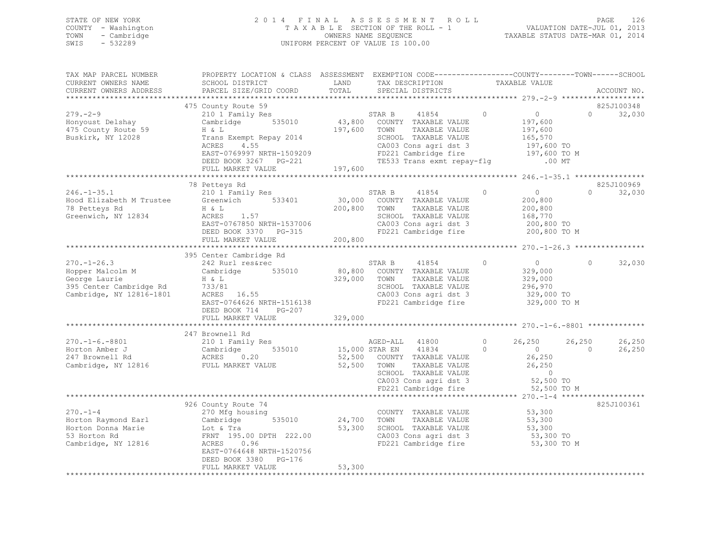|      | STATE OF NEW YORK   | 2014 FINAL ASSESSMENT ROLL         | - 126<br>PAGE                    |
|------|---------------------|------------------------------------|----------------------------------|
|      | COUNTY - Washington | TAXABLE SECTION OF THE ROLL - 1    | VALUATION DATE-JUL 01, 2013      |
|      | TOWN - Cambridge    | OWNERS NAME SEQUENCE               | TAXABLE STATUS DATE-MAR 01, 2014 |
| SWIS | $-532289$           | UNIFORM PERCENT OF VALUE IS 100.00 |                                  |

| TAX MAP PARCEL NUMBER                                                                                                                                                                                                    | PROPERTY LOCATION & CLASS ASSESSMENT EXEMPTION CODE----------------COUNTY-------TOWN-----SCHOOL |               |                |                                                                                             |                |                                                       |                |             |
|--------------------------------------------------------------------------------------------------------------------------------------------------------------------------------------------------------------------------|-------------------------------------------------------------------------------------------------|---------------|----------------|---------------------------------------------------------------------------------------------|----------------|-------------------------------------------------------|----------------|-------------|
| CURRENT OWNERS NAME                                                                                                                                                                                                      | SCHOOL DISTRICT                                                                                 | LAND          |                | TAX DESCRIPTION                                                                             | TAXABLE VALUE  |                                                       |                |             |
| CURRENT OWNERS ADDRESS                                                                                                                                                                                                   | PARCEL SIZE/GRID COORD                                                                          | TOTAL         |                | SPECIAL DISTRICTS                                                                           |                |                                                       |                | ACCOUNT NO. |
|                                                                                                                                                                                                                          |                                                                                                 |               |                |                                                                                             |                |                                                       |                |             |
|                                                                                                                                                                                                                          | 475 County Route 59                                                                             |               |                |                                                                                             |                |                                                       |                | 825J100348  |
| $279. - 2 - 9$                                                                                                                                                                                                           | 210 1 Family Res                                                                                |               | STAR B         | 41854                                                                                       | $\overline{0}$ | $\overline{0}$                                        | $\Omega$       | 32,030      |
| Honyoust Delshay                                                                                                                                                                                                         | Cambridge 535010 43,800 COUNTY TAXABLE VALUE                                                    |               |                |                                                                                             |                |                                                       |                |             |
| 475 County Route 59                                                                                                                                                                                                      | H & L                                                                                           | 197,600       | TOWN           | TAXABLE VALUE                                                                               |                | $\frac{197}{197}$ , buu<br>197, 600                   |                |             |
| Buskirk, NY 12028                                                                                                                                                                                                        | H & L<br>Trans Exempt Repay 2014                                                                |               |                | SCHOOL TAXABLE VALUE                                                                        |                |                                                       |                |             |
|                                                                                                                                                                                                                          |                                                                                                 |               |                | CA003 Cons agri dst 3                                                                       |                | 165,570<br>197,600 TO                                 |                |             |
|                                                                                                                                                                                                                          |                                                                                                 |               |                |                                                                                             |                |                                                       |                |             |
|                                                                                                                                                                                                                          |                                                                                                 |               |                | FD221 Cambridge fire 197,600 TO M<br>TE533 Trans exmt repay-flg .00 MT                      |                |                                                       |                |             |
|                                                                                                                                                                                                                          | DEED BOOK 3267 PG-221<br>FUJ.I. MARKET VALUE                                                    |               |                |                                                                                             |                |                                                       |                |             |
|                                                                                                                                                                                                                          | FULL MARKET VALUE                                                                               | 197,600       |                |                                                                                             |                |                                                       |                |             |
|                                                                                                                                                                                                                          |                                                                                                 |               |                |                                                                                             |                |                                                       |                |             |
|                                                                                                                                                                                                                          | 78 Petteys Rd                                                                                   |               |                |                                                                                             |                |                                                       |                | 825J100969  |
| 246.-1-35.1 210 1 Family Res<br>Hood Elizabeth M Trustee Greenwich 533401<br>78 Petteys Rd H & L                                                                                                                         |                                                                                                 |               |                | STAR B 41854<br>30,000 COUNTY TAXABLE VALUE<br>STAR B 41854                                 | $\circ$        | $\overline{0}$                                        | $\Omega$       | 32,030      |
|                                                                                                                                                                                                                          |                                                                                                 |               |                |                                                                                             |                | 200,800                                               |                |             |
|                                                                                                                                                                                                                          |                                                                                                 | 200,800       | TOWN           | TAXABLE VALUE                                                                               |                | 200,800<br>168,770                                    |                |             |
| Greenwich, NY 12834                                                                                                                                                                                                      | $ACRES$ 1.57                                                                                    |               |                | SCHOOL TAXABLE VALUE                                                                        |                |                                                       |                |             |
|                                                                                                                                                                                                                          |                                                                                                 |               |                |                                                                                             |                |                                                       |                |             |
|                                                                                                                                                                                                                          |                                                                                                 |               |                | CA003 Cons agri dst 3 200,800 TO<br>FD221 Cambridge fire 200,800 TO M                       |                |                                                       |                |             |
|                                                                                                                                                                                                                          | EAST-0767850 NRTH-1537006<br>DEED BOOK 3370 PG-315<br>FULL MARKET VALUE                         | 200, 800      |                |                                                                                             |                |                                                       |                |             |
|                                                                                                                                                                                                                          |                                                                                                 |               |                |                                                                                             |                |                                                       |                |             |
|                                                                                                                                                                                                                          | 395 Center Cambridge Rd                                                                         |               |                |                                                                                             |                |                                                       |                |             |
|                                                                                                                                                                                                                          |                                                                                                 |               |                | STAR B 41854                                                                                | $\Omega$       | $\overline{0}$                                        | $\Omega$       | 32,030      |
|                                                                                                                                                                                                                          |                                                                                                 |               |                | 80,800 COUNTY TAXABLE VALUE                                                                 |                | 329,000                                               |                |             |
| 270.-1-26.3<br>Hopper Malcolm M<br>George Laurie<br>395 Center Cambridge Rd<br>395 Center Cambridge Rd<br>733/81<br>Cambridge, NY 12816-1801<br>2020 2020 16.55<br>2020 2020 2020 16.55<br>2020 2020 2020 2020 2020 2020 |                                                                                                 | 329,000 TOWN  |                | TAXABLE VALUE                                                                               |                |                                                       |                |             |
|                                                                                                                                                                                                                          | H & L<br>733/81<br>ACRES 16.55                                                                  |               |                | SCHOOL TAXABLE VALUE                                                                        |                | 329,000<br>296,970                                    |                |             |
|                                                                                                                                                                                                                          |                                                                                                 |               |                |                                                                                             |                |                                                       |                |             |
|                                                                                                                                                                                                                          |                                                                                                 |               |                | CA003 Cons agri dst 3<br>FD221 Cambridge fire                                               |                | 329,000 TO                                            |                |             |
|                                                                                                                                                                                                                          | EAST-0764626 NRTH-1516138                                                                       |               |                |                                                                                             |                | 329,000 TO M                                          |                |             |
|                                                                                                                                                                                                                          | DEED BOOK 714<br>PG-207                                                                         |               |                |                                                                                             |                |                                                       |                |             |
|                                                                                                                                                                                                                          | FULL MARKET VALUE                                                                               | 329,000       |                |                                                                                             |                |                                                       |                |             |
|                                                                                                                                                                                                                          |                                                                                                 |               |                |                                                                                             |                |                                                       |                |             |
|                                                                                                                                                                                                                          | 247 Brownell Rd                                                                                 |               |                |                                                                                             |                |                                                       |                |             |
|                                                                                                                                                                                                                          |                                                                                                 |               | AGED-ALL 41800 |                                                                                             | $\Omega$       | 26,250                                                | 26,250         | 26,250      |
|                                                                                                                                                                                                                          | 535010 15,000 STAR EN 41834                                                                     |               |                | $\overline{0}$                                                                              |                |                                                       | $\overline{0}$ | 26,250      |
|                                                                                                                                                                                                                          |                                                                                                 | 52,500        |                | COUNTY TAXABLE VALUE                                                                        |                | $\begin{array}{c} 0 \\ 26,250 \end{array}$            |                |             |
| Cambridge, NY 12816 FULL MARKET VALUE                                                                                                                                                                                    |                                                                                                 | 52,500        | TOWN           |                                                                                             |                | 26, 250                                               |                |             |
|                                                                                                                                                                                                                          |                                                                                                 |               |                |                                                                                             |                |                                                       |                |             |
|                                                                                                                                                                                                                          |                                                                                                 |               |                |                                                                                             |                | $\begin{array}{c} 0 \\ 52,500 \text{ TO} \end{array}$ |                |             |
|                                                                                                                                                                                                                          |                                                                                                 |               |                | TOWN TAXABLE VALUE<br>SCHOOL TAXABLE VALUE<br>CA003 Cons agri dst 3<br>FD221 Cambridge fire |                | 52,500 TO M                                           |                |             |
|                                                                                                                                                                                                                          |                                                                                                 |               |                |                                                                                             |                |                                                       |                |             |
|                                                                                                                                                                                                                          | 926 County Route 74                                                                             |               |                |                                                                                             |                |                                                       |                | 825J100361  |
| $270. - 1 - 4$                                                                                                                                                                                                           | 270 Mfg housing                                                                                 |               |                | COUNTY TAXABLE VALUE                                                                        |                | 53,300                                                |                |             |
|                                                                                                                                                                                                                          |                                                                                                 |               |                |                                                                                             |                |                                                       |                |             |
|                                                                                                                                                                                                                          |                                                                                                 | 535010 24,700 | TOWN           | TAXABLE VALUE                                                                               |                | 53,300                                                |                |             |
|                                                                                                                                                                                                                          |                                                                                                 | 53,300        |                | SCHOOL TAXABLE VALUE                                                                        |                | 53,300                                                |                |             |
|                                                                                                                                                                                                                          |                                                                                                 |               |                | CA003 Cons agri dst 3<br>FD221 Cambridge fire                                               |                | 53,300 TO                                             |                |             |
| Cambridge, NY 12816                                                                                                                                                                                                      | ACRES 0.96                                                                                      |               |                |                                                                                             |                | 53,300 TO M                                           |                |             |
|                                                                                                                                                                                                                          | EAST-0764648 NRTH-1520756                                                                       |               |                |                                                                                             |                |                                                       |                |             |
|                                                                                                                                                                                                                          | DEED BOOK 3380 PG-176                                                                           |               |                |                                                                                             |                |                                                       |                |             |
|                                                                                                                                                                                                                          | FULL MARKET VALUE                                                                               | 53,300        |                |                                                                                             |                |                                                       |                |             |
|                                                                                                                                                                                                                          |                                                                                                 |               |                |                                                                                             |                |                                                       |                |             |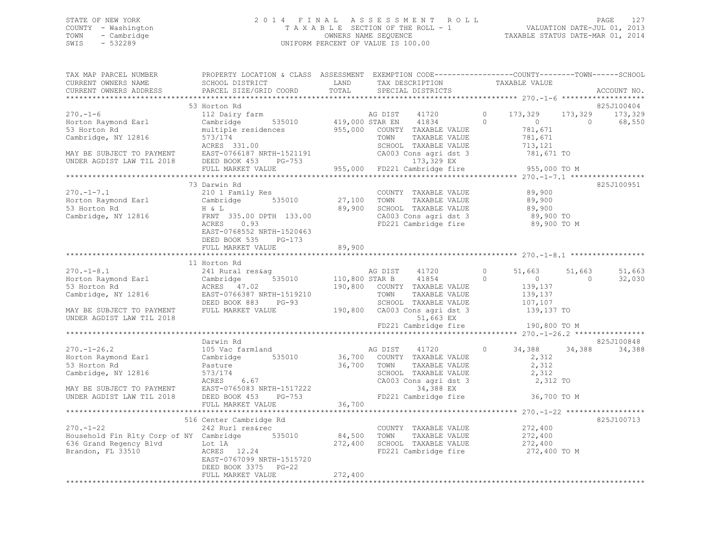### STATE OF NEW YORK 2 0 1 4 F I N A L A S S E S S M E N T R O L L PAGE 127 COUNTY - Washington T A X A B L E SECTION OF THE ROLL - 1 VALUATION DATE-JUL 01, 2013 TOWN - Cambridge OWNERS NAME SEQUENCE TAXABLE STATUS DATE-MAR 01, 2014 SWIS - 532289 UNIFORM PERCENT OF VALUE IS 100.00

| TAX MAP PARCEL NUMBER<br>CURRENT OWNERS NAME<br>CURRENT OWNERS ADDRESS                                                                  | PROPERTY LOCATION & CLASS ASSESSMENT EXEMPTION CODE----------------COUNTY-------TOWN------SCHOOL<br>SCHOOL DISTRICT<br>PARCEL SIZE/GRID COORD                                                    | LAND<br>TOTAL                        | TAX DESCRIPTION<br>SPECIAL DISTRICTS                                                                                                      |                     | TAXABLE VALUE                                                     |                     | ACCOUNT NO.                     |
|-----------------------------------------------------------------------------------------------------------------------------------------|--------------------------------------------------------------------------------------------------------------------------------------------------------------------------------------------------|--------------------------------------|-------------------------------------------------------------------------------------------------------------------------------------------|---------------------|-------------------------------------------------------------------|---------------------|---------------------------------|
|                                                                                                                                         |                                                                                                                                                                                                  |                                      |                                                                                                                                           |                     |                                                                   |                     | ******                          |
| $270. - 1 - 6$<br>Horton Raymond Earl<br>53 Horton Rd<br>Cambridge, NY 12816<br>MAY BE SUBJECT TO PAYMENT<br>UNDER AGDIST LAW TIL 2018  | 53 Horton Rd<br>112 Dairy farm<br>535010<br>Cambridge<br>multiple residences<br>573/174<br>ACRES 331.00<br>EAST-0766187 NRTH-1521191<br>DEED BOOK 453<br>PG-753                                  | 419,000 STAR EN<br>955,000           | AG DIST<br>41720<br>41834<br>COUNTY TAXABLE VALUE<br>TOWN<br>TAXABLE VALUE<br>SCHOOL TAXABLE VALUE<br>CA003 Cons agri dst 3<br>173,329 EX | 0<br>$\Omega$       | 173,329<br>$\circ$<br>781,671<br>781,671<br>713,121<br>781,671 TO | 173,329<br>$\Omega$ | 825J100404<br>173,329<br>68,550 |
|                                                                                                                                         | FULL MARKET VALUE                                                                                                                                                                                | 955,000                              | FD221 Cambridge fire                                                                                                                      |                     | 955,000 TO M                                                      |                     |                                 |
| $270. -1 - 7.1$<br>Horton Raymond Earl<br>53 Horton Rd<br>Cambridge, NY 12816                                                           | 73 Darwin Rd<br>210 1 Family Res<br>535010<br>Cambridge<br>$H \& L$<br>FRNT 335.00 DPTH 133.00<br>ACRES<br>0.93<br>EAST-0768552 NRTH-1520463<br>DEED BOOK 535 PG-173<br>FULL MARKET VALUE        | 27,100<br>89,900<br>89,900           | COUNTY TAXABLE VALUE<br>TOWN<br>TAXABLE VALUE<br>SCHOOL TAXABLE VALUE<br>CA003 Cons agri dst 3<br>FD221 Cambridge fire                    |                     | 89,900<br>89,900<br>89,900<br>89,900 TO<br>89,900 TO M            |                     | 825J100951                      |
|                                                                                                                                         |                                                                                                                                                                                                  | * * * * * * * * * * * * *            |                                                                                                                                           |                     |                                                                   |                     |                                 |
| $270. -1 - 8.1$<br>Horton Raymond Earl<br>53 Horton Rd<br>Cambridge, NY 12816<br>MAY BE SUBJECT TO PAYMENT<br>UNDER AGDIST LAW TIL 2018 | 11 Horton Rd<br>241 Rural res&aq<br>535010<br>Cambridge<br>ACRES 47.02<br>EAST-0766387 NRTH-1519210<br>DEED BOOK 883<br>PG-93<br>FULL MARKET VALUE                                               | 110,800 STAR B<br>190,800<br>190,800 | 41720<br>AG DIST<br>41854<br>COUNTY TAXABLE VALUE<br>TOWN<br>TAXABLE VALUE<br>SCHOOL TAXABLE VALUE<br>CA003 Cons agri dst 3<br>51,663 EX  | $\circ$<br>$\Omega$ | 51,663<br>$\circ$<br>139,137<br>139,137<br>107,107<br>139,137 TO  | 51,663<br>$\Omega$  | 51,663<br>32,030                |
|                                                                                                                                         |                                                                                                                                                                                                  |                                      | FD221 Cambridge fire                                                                                                                      |                     | 190,800 TO M                                                      |                     |                                 |
| $270. - 1 - 26.2$<br>Horton Raymond Earl<br>53 Horton Rd<br>Cambridge, NY 12816<br>MAY BE SUBJECT TO PAYMENT                            | Darwin Rd<br>105 Vac farmland<br>535010<br>Cambridge<br>Pasture<br>573/174<br>6.67<br>ACRES<br>EAST-0765083 NRTH-1517222                                                                         | 36,700<br>36,700                     | AG DIST<br>41720<br>COUNTY TAXABLE VALUE<br>TAXABLE VALUE<br>TOWN<br>SCHOOL TAXABLE VALUE<br>CA003 Cons agri dst 3<br>34,388 EX           | $\circ$             | 34,388<br>2,312<br>2,312<br>2,312<br>2,312 TO                     | 34,388              | 825J100848<br>34,388            |
| UNDER AGDIST LAW TIL 2018                                                                                                               | DEED BOOK 453<br>PG-753                                                                                                                                                                          |                                      | FD221 Cambridge fire                                                                                                                      |                     | 36,700 TO M                                                       |                     |                                 |
|                                                                                                                                         | FULL MARKET VALUE<br>******************************                                                                                                                                              | 36,700                               |                                                                                                                                           |                     |                                                                   |                     |                                 |
| $270. - 1 - 22$<br>636 Grand Regency Blvd<br>Brandon, FL 33510                                                                          | 516 Center Cambridge Rd<br>242 Rurl res&rec<br>Household Fin Rlty Corp of NY Cambridge 535010<br>Lot 1A<br>ACRES 12.24<br>EAST-0767099 NRTH-1515720<br>DEED BOOK 3375 PG-22<br>FULL MARKET VALUE | 84,500<br>272,400<br>272,400         | COUNTY TAXABLE VALUE<br>TOWN<br>TAXABLE VALUE<br>SCHOOL TAXABLE VALUE<br>FD221 Cambridge fire                                             |                     | 272,400<br>272,400<br>272,400<br>272,400 TO M                     |                     | 825J100713                      |
|                                                                                                                                         |                                                                                                                                                                                                  |                                      |                                                                                                                                           |                     |                                                                   |                     |                                 |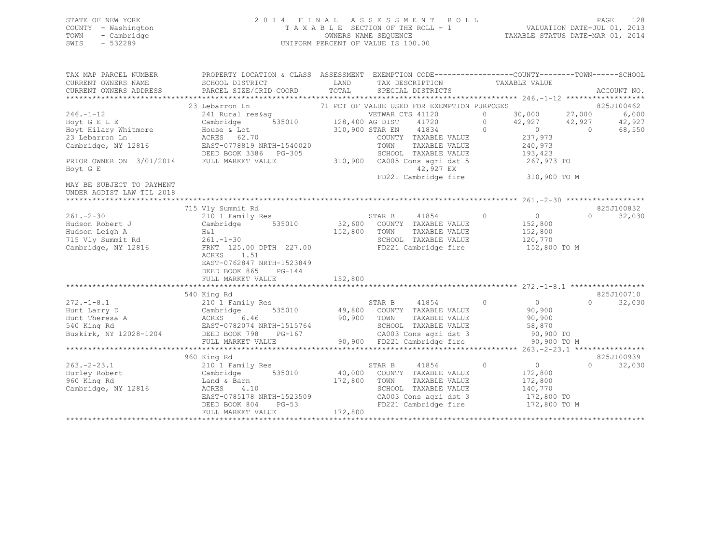### STATE OF NEW YORK 2 0 1 4 F I N A L A S S E S S M E N T R O L L PAGE 128 COUNTY - Washington T A X A B L E SECTION OF THE ROLL - 1 VALUATION DATE-JUL 01, 2013 TOWN - Cambridge OWNERS NAME SEQUENCE TAXABLE STATUS DATE-MAR 01, 2014 SWIS - 532289 UNIFORM PERCENT OF VALUE IS 100.00

| TAX MAP PARCEL NUMBER<br>CURRENT OWNERS NAME<br>CURRENT OWNERS ADDRESS                                                                   | PROPERTY LOCATION & CLASS ASSESSMENT<br>SCHOOL DISTRICT<br>PARCEL SIZE/GRID COORD                                                                                                                            | LAND<br>TAX DESCRIPTION TAXABLE VALUE<br>TOTAL<br>SPECIAL DISTRICTS                                                                                                                                                                               | EXEMPTION CODE-----------------COUNTY-------TOWN-----SCHOOL<br>ACCOUNT NO.                                                                                                                       |
|------------------------------------------------------------------------------------------------------------------------------------------|--------------------------------------------------------------------------------------------------------------------------------------------------------------------------------------------------------------|---------------------------------------------------------------------------------------------------------------------------------------------------------------------------------------------------------------------------------------------------|--------------------------------------------------------------------------------------------------------------------------------------------------------------------------------------------------|
| $246. - 1 - 12$<br>Hoyt G E L E<br>Hoyt Hilary Whitmore<br>23 Lebarron Ln<br>Cambridge, NY 12816<br>PRIOR OWNER ON 3/01/2014<br>Hoyt G E | 23 Lebarron Ln<br>241 Rural res&ag<br>535010<br>Cambridge<br>House & Lot<br>ACRES 62.70<br>EAST-0778819 NRTH-1540020<br>DEED BOOK 3386 PG-305<br>FULL MARKET VALUE                                           | 71 PCT OF VALUE USED FOR EXEMPTION PURPOSES<br>VETWAR CTS 41120<br>128,400 AG DIST<br>41720<br>41834<br>310,900 STAR EN<br>COUNTY TAXABLE VALUE<br>TAXABLE VALUE<br>TOWN<br>SCHOOL TAXABLE VALUE<br>310,900<br>CA005 Cons agri dst 5<br>42,927 EX | 825J100462<br>30,000<br>27,000<br>6,000<br>$\Omega$<br>$\Omega$<br>42,927<br>42,927<br>42,927<br>$\Omega$<br>$\overline{0}$<br>$\Omega$<br>68,550<br>237,973<br>240,973<br>193,423<br>267,973 TO |
| MAY BE SUBJECT TO PAYMENT<br>UNDER AGDIST LAW TIL 2018                                                                                   |                                                                                                                                                                                                              | FD221 Cambridge fire                                                                                                                                                                                                                              | 310,900 TO M                                                                                                                                                                                     |
| $261 - 2 - 30$<br>Hudson Robert J<br>Hudson Leigh A<br>715 Vly Summit Rd<br>Cambridge, NY 12816                                          | 715 Vly Summit Rd<br>210 1 Family Res<br>Cambridge 535010<br>H&l<br>$261. - 1 - 30$<br>FRNT 125.00 DPTH 227.00<br>ACRES<br>1.51<br>EAST-0762847 NRTH-1523849<br>DEED BOOK 865<br>PG-144<br>FULL MARKET VALUE | STAR B<br>41854<br>32,600<br>COUNTY TAXABLE VALUE<br>152,800<br>TAXABLE VALUE<br>TOWN<br>SCHOOL TAXABLE VALUE<br>FD221 Cambridge fire<br>152,800                                                                                                  | 825J100832<br>$\circ$<br>$\overline{0}$<br>$\Omega$<br>32,030<br>152,800<br>152,800<br>120,770<br>152,800 TO M                                                                                   |
| $272. - 1 - 8.1$<br>Buskirk, NY 12028-1204 DEED BOOK 798                                                                                 | 540 King Rd<br>210 1 Family Res<br>Hunt Larry D<br>Hunt Theresa A<br>540 King Rd<br>540 King Rd<br>540 King Rd<br>540 King Rd<br>540 King Rd<br>PG-167<br>FULL MARKET VALUE                                  | STAR B<br>41854<br>535010 49,800<br>COUNTY TAXABLE VALUE<br>90,900<br>TOWN<br>TAXABLE VALUE<br>SCHOOL TAXABLE VALUE<br>CA003 Cons agri dst 3<br>90,900 FD221 Cambridge fire                                                                       | 825J100710<br>$\Omega$<br>$\Omega$<br>$\Omega$<br>32,030<br>90,900<br>90,900<br>58,870<br>90,900 TO<br>90,900 TO M                                                                               |
| $263 - 2 - 23.1$<br>Hurley Robert<br>960 King Rd<br>Cambridge, NY 12816                                                                  | 960 King Rd<br>210 1 Family Res<br>535010<br>Cambridge<br>Land & Barn<br>ACRES<br>4.10<br>EAST-0785178 NRTH-1523509<br>DEED BOOK 804<br>$PG-53$<br>FULL MARKET VALUE                                         | 41854<br>STAR B<br>40,000<br>COUNTY TAXABLE VALUE<br>172,800<br>TOWN<br>TAXABLE VALUE<br>SCHOOL TAXABLE VALUE<br>CA003 Cons agri dst 3<br>FD221 Cambridge fire<br>172,800                                                                         | 825J100939<br>$\Omega$<br>$0 \qquad \qquad$<br>$\Omega$<br>32,030<br>172,800<br>172,800<br>140,770<br>172,800 TO<br>172,800 TO M                                                                 |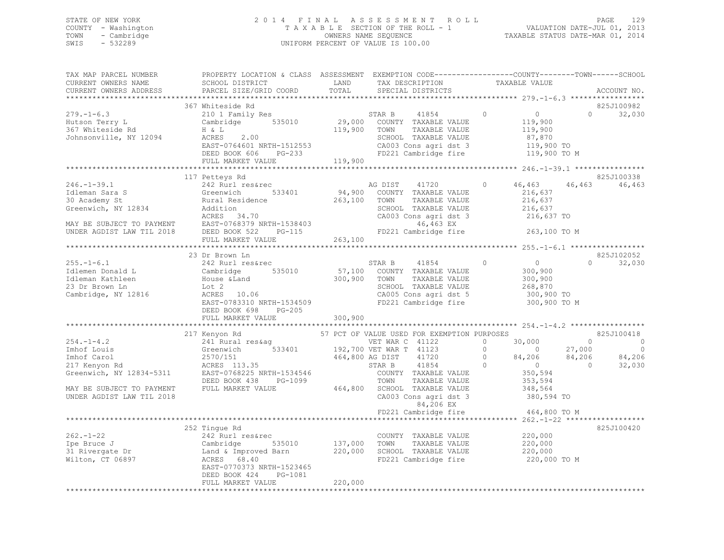### STATE OF NEW YORK 2 0 1 4 F I N A L A S S E S S M E N T R O L L PAGE 129 COUNTY - Washington T A X A B L E SECTION OF THE ROLL - 1 VALUATION DATE-JUL 01, 2013 TOWN - Cambridge OWNERS NAME SEQUENCE TAXABLE STATUS DATE-MAR 01, 2014 SWIS - 532289 UNIFORM PERCENT OF VALUE IS 100.00

| TAX MAP PARCEL NUMBER                                                               | PROPERTY LOCATION & CLASS ASSESSMENT EXEMPTION CODE---------------COUNTY-------TOWN-----SCHOOL |                 |                                                   |                                              |                             |
|-------------------------------------------------------------------------------------|------------------------------------------------------------------------------------------------|-----------------|---------------------------------------------------|----------------------------------------------|-----------------------------|
| CURRENT OWNERS NAME                                                                 | SCHOOL DISTRICT                                                                                | LAND            | TAX DESCRIPTION                                   | TAXABLE VALUE                                |                             |
| CURRENT OWNERS ADDRESS                                                              | PARCEL SIZE/GRID COORD                                                                         | TOTAL           | SPECIAL DISTRICTS                                 |                                              | ACCOUNT NO.                 |
|                                                                                     |                                                                                                |                 |                                                   |                                              |                             |
|                                                                                     | 367 Whiteside Rd                                                                               |                 |                                                   |                                              | 825J100982                  |
| $279. - 1 - 6.3$                                                                    | 210 1 Family Res                                                                               |                 | 41854<br>STAR B                                   | $\overline{0}$<br>$\circ$                    | $0 \qquad \qquad$<br>32,030 |
| Hutson Terry L                                                                      | Cambridge 535010                                                                               | 29,000          | COUNTY TAXABLE VALUE                              | 119,900                                      |                             |
| насьон теггу ш<br>367 Whiteside Rd                                                  | H & L                                                                                          | 119,900         | TAXABLE VALUE<br>TOWN                             | 119,900                                      |                             |
| Johnsonville, NY 12094                                                              | 2.00<br>ACRES                                                                                  |                 | SCHOOL TAXABLE VALUE                              | 87,870                                       |                             |
|                                                                                     | EAST-0764601 NRTH-1512553                                                                      |                 | CA003 Cons agri dst 3                             | 119,900 TO                                   |                             |
|                                                                                     | DEED BOOK 606<br>PG-233                                                                        |                 | FD221 Cambridge fire                              | 119,900 TO M                                 |                             |
|                                                                                     | FULL MARKET VALUE                                                                              | 119,900         |                                                   |                                              |                             |
|                                                                                     | *********************************                                                              |                 |                                                   |                                              |                             |
|                                                                                     |                                                                                                |                 |                                                   |                                              |                             |
|                                                                                     | 117 Petteys Rd                                                                                 |                 |                                                   |                                              | 825J100338                  |
| $246. - 1 - 39.1$                                                                   | 242 Rurl res&rec                                                                               |                 | AG DIST<br>41720                                  | 46,463<br>$\circ$                            | 46,463<br>46,463            |
| Idleman Sara S                                                                      | Greenwich 533401<br>Rural Residence<br>533401                                                  | 94,900          | COUNTY TAXABLE VALUE                              | 216,637                                      |                             |
| 30 Academy St                                                                       |                                                                                                | 263,100         | TOWN<br>TAXABLE VALUE                             | 216,637                                      |                             |
| Greenwich, NY 12834                                                                 | Addition                                                                                       |                 | SCHOOL TAXABLE VALUE                              | 216,637                                      |                             |
|                                                                                     | ACRES 34.70                                                                                    |                 | CA003 Cons agri dst 3                             | 216,637 TO                                   |                             |
|                                                                                     | EAST-0768379 NRTH-1538403                                                                      |                 | 46,463 EX                                         |                                              |                             |
| MAY BE SUBJECT TO PAYMENT EAST-0768379 I<br>UNDER AGDIST LAW TIL 2018 DEED BOOK 522 |                                                                                                | $PG-115$        | FD221 Cambridge fire                              | 263,100 TO M                                 |                             |
|                                                                                     | FULL MARKET VALUE                                                                              | 263,100         |                                                   |                                              |                             |
|                                                                                     |                                                                                                | *************   |                                                   | ************** 255.-1-6.1 ****************** |                             |
|                                                                                     | 23 Dr Brown Ln                                                                                 |                 |                                                   |                                              | 825J102052                  |
| $255. - 1 - 6.1$                                                                    | 242 Rurl res&rec                                                                               |                 | STAR B<br>41854                                   | $\circ$<br>$\overline{0}$                    | 32,030<br>$\Omega$          |
| Idlemen Donald L                                                                    | Cambridge<br>House &Land<br>535010                                                             |                 | 57,100 COUNTY TAXABLE VALUE                       | 300,900                                      |                             |
| Idleman Kathleen                                                                    |                                                                                                | 300,900         | TOWN<br>TAXABLE VALUE                             | 300,900                                      |                             |
| 23 Dr Brown Ln                                                                      |                                                                                                |                 | SCHOOL TAXABLE VALUE                              | 268,870                                      |                             |
| Cambridge, NY 12816                                                                 | Lot 2<br>ACRES 10.06                                                                           |                 | CA005 Cons agri dst 5                             | 300,900 TO                                   |                             |
|                                                                                     | EAST-0783310 NRTH-1534509                                                                      |                 | FD221 Cambridge fire                              | 300,900 TO M                                 |                             |
|                                                                                     | DEED BOOK 698<br>PG-205                                                                        |                 |                                                   |                                              |                             |
|                                                                                     | FULL MARKET VALUE                                                                              | 300,900         |                                                   |                                              |                             |
|                                                                                     |                                                                                                |                 |                                                   |                                              |                             |
|                                                                                     |                                                                                                |                 |                                                   |                                              | 825J100418                  |
|                                                                                     | 217 Kenyon Rd                                                                                  |                 | 57 PCT OF VALUE USED FOR EXEMPTION PURPOSES       |                                              |                             |
| $254. -1 - 4.2$                                                                     | 241 Rural res&aq                                                                               |                 | VET WAR C 41122<br>533401 192,700 VET WAR T 41123 | $\Omega$<br>30,000                           | $\Omega$<br>$\overline{0}$  |
| Imhof Louis                                                                         | Greenwich                                                                                      |                 |                                                   | $\Omega$<br>$\sim$ 0                         | 27,000<br>$\circ$           |
| Imhof Carol                                                                         | 2570/151<br>ACRES 113.35                                                                       | 464,800 AG DIST | 41720                                             | 84,206 84,206<br>$\overline{0}$              | 84,206                      |
| 217 Kenyon Rd                                                                       |                                                                                                |                 | STAR B<br>41854                                   | $\overline{0}$<br>$\Omega$                   | $\overline{0}$<br>32,030    |
| Greenwich, NY 12834-5311                                                            | EAST-0768225 NRTH-1534546                                                                      |                 | COUNTY TAXABLE VALUE                              | 350,594                                      |                             |
|                                                                                     | DEED BOOK 438<br>PG-1099                                                                       |                 | TOWN<br>TAXABLE VALUE                             | 353,594                                      |                             |
| MAY BE SUBJECT TO PAYMENT                                                           | FULL MARKET VALUE                                                                              |                 | 464,800 SCHOOL TAXABLE VALUE                      | 348,564                                      |                             |
| UNDER AGDIST LAW TIL 2018                                                           |                                                                                                |                 | CA003 Cons agri dst 3                             | 380,594 TO                                   |                             |
|                                                                                     |                                                                                                |                 | 84,206 EX                                         |                                              |                             |
|                                                                                     |                                                                                                |                 | FD221 Cambridge fire                              | 464,800 TO M                                 |                             |
|                                                                                     |                                                                                                |                 |                                                   |                                              |                             |
|                                                                                     | 252 Tingue Rd                                                                                  |                 |                                                   |                                              | 825J100420                  |
| $262 - 1 - 22$                                                                      | 242 Rurl res&rec                                                                               |                 | COUNTY TAXABLE VALUE                              | 220,000                                      |                             |
| Ipe Bruce J                                                                         |                                                                                                | 137,000         | TOWN<br>TAXABLE VALUE                             | 220,000                                      |                             |
| 31 Rivergate Dr                                                                     | Cambridge 535010<br>Land & Improved Barn                                                       |                 | 220,000 SCHOOL TAXABLE VALUE                      | 220,000                                      |                             |
| Wilton, CT 06897                                                                    | ACRES 68.40                                                                                    |                 | FD221 Cambridge fire                              | 220,000 TO M                                 |                             |
|                                                                                     |                                                                                                |                 |                                                   |                                              |                             |
|                                                                                     | EAST-0770373 NRTH-1523465                                                                      |                 |                                                   |                                              |                             |
|                                                                                     | DEED BOOK 424<br>PG-1081                                                                       |                 |                                                   |                                              |                             |
|                                                                                     | FULL MARKET VALUE                                                                              | 220,000         |                                                   |                                              |                             |
|                                                                                     |                                                                                                |                 |                                                   |                                              |                             |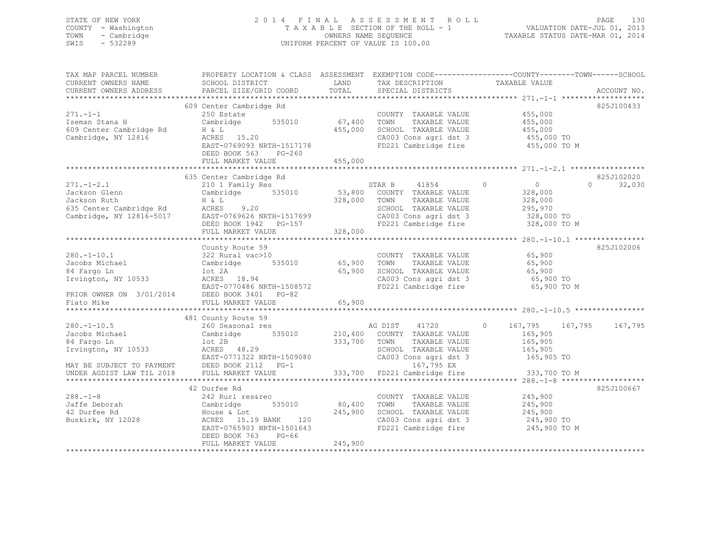### STATE OF NEW YORK 2 0 1 4 F I N A L A S S E S S M E N T R O L L PAGE 130 COUNTY - Washington T A X A B L E SECTION OF THE ROLL - 1 VALUATION DATE-JUL 01, 2013 TOWN - Cambridge OWNERS NAME SEQUENCE TAXABLE STATUS DATE-MAR 01, 2014 SWIS - 532289 UNIFORM PERCENT OF VALUE IS 100.00

| TAX MAP PARCEL NUMBER<br>CURRENT OWNERS NAME                                                            | PROPERTY LOCATION & CLASS ASSESSMENT EXEMPTION CODE---------------COUNTY-------TOWN-----SCHOOL<br>SCHOOL DISTRICT                                                                                                                                                                                                                                                                                                |                                     | LAND TAX DESCRIPTION                                                                                                                      | TAXABLE VALUE                                                  |                                  |
|---------------------------------------------------------------------------------------------------------|------------------------------------------------------------------------------------------------------------------------------------------------------------------------------------------------------------------------------------------------------------------------------------------------------------------------------------------------------------------------------------------------------------------|-------------------------------------|-------------------------------------------------------------------------------------------------------------------------------------------|----------------------------------------------------------------|----------------------------------|
| CURRENT OWNERS ADDRESS                                                                                  | PARCEL SIZE/GRID COORD                                                                                                                                                                                                                                                                                                                                                                                           |                                     | TOTAL SPECIAL DISTRICTS                                                                                                                   |                                                                | ACCOUNT NO.                      |
| $271 - 1 - 1$<br>Exeman Stana H (Cambridge Rd H & L)<br>Cambridge, NY 12816 (Cambridge, NY 12816) ACRES | 609 Center Cambridge Rd<br>250 Estate<br>Cambridge 535010 67,400<br>H & L<br>ACRES 15.20<br>EAST-0769093 NRTH-1517178<br>DEED BOOK 563<br>$PG-260$<br>FULL MARKET VALUE                                                                                                                                                                                                                                          | 455,000<br>455,000                  | COUNTY TAXABLE VALUE 455,000<br>TOWN<br>SCHOOL TAXABLE VALUE<br>CA003 Cons agri dst 3 455,000 TO<br>FD221 Cambridge fire                  | TAXABLE VALUE 455,000<br>TAXABLE VALUE 455,000<br>455,000 TO M | 825J100433                       |
| $271. -1 - 2.1$                                                                                         | 635 Center Cambridge Rd<br>CONCLI COMMITTING THE STAR B 41854 0<br>Cambridge 535010 53,800 COUNTY TAXABLE VALUE<br>H & L 328,000 TOWN TAXABLE VALUE<br>Jackson Glenn Cambridge 535010 53,800<br>Jackson Ruth H & L 328,000<br>635 Center Cambridge Rd ACRES 9.20<br>Cambridge, NY 12816-5017 EAST-0769626 NRTH-1517699<br>DEED BOOK 1942 PG-157<br>FULL MARKET VALUE                                             | 328,000                             | STAR B 41854 0 0<br>TAXABLE VALUE<br>SCHOOL TAXABLE VALUE 295,970<br>CA003 Cons agri dst 3 328,000 TO<br>FD221 Cambridge fire             | 328,000<br>328,000<br>328,000 TO M                             | 825J102020<br>$\Omega$<br>32,030 |
|                                                                                                         |                                                                                                                                                                                                                                                                                                                                                                                                                  |                                     |                                                                                                                                           |                                                                | 825J102006                       |
| $280, -1 - 10, 5$<br>280.-1-10.5<br>Jacobs Michael<br>84 Fargo Ln                                       | 481 County Route 59<br>260 Seasonal res<br>Cambridge 535010 210,400 COUNTY TAXABLE VALUE<br>1.0 TANABLE VALUE 535010 210,400 COUNTY TAXABLE VALUE<br>333,700 TOWN TAXABLE VALUE<br>165,905<br>165,905<br>165,905<br>2RES 48.29<br>EAST-0771322 NRTH-1509080<br>2RES 48.29<br>EAST-0771322 NRTH-1509080<br>2RES 48.29<br>2RES 48.29<br>2RES 48.29<br>2RES 48.29<br>2RES 48.29<br>2RES 48.29<br>2RES 48.29<br>2RES |                                     | AG DIST 41720                                                                                                                             | $\circ$<br>165,905                                             | 167,795 167,795 167,795          |
| $288. -1 - 8$<br>288.-1:0<br>Jaffe Deborah<br>10 Durfee Rd<br>Buskirk, NY 12028                         | 42 Durfee Rd<br>242 Rurl res&rec<br>Cambridge<br>House & Lot<br>ACRES 15.19 BANK 120<br>EAST-0765903 NRTH-1501643<br>DEED BOOK 763<br>PG-66<br>FULL MARKET VALUE                                                                                                                                                                                                                                                 | 535010 80,400<br>245,900<br>245,900 | COUNTY TAXABLE VALUE 245,900<br>TOWN<br>TAXABLE VALUE<br>SCHOOL TAXABLE VALUE<br>CA003 Cons agri dst 3 245,900 TO<br>FD221 Cambridge fire | 245,900<br>245,900<br>245,900 TO M                             | 825J100667                       |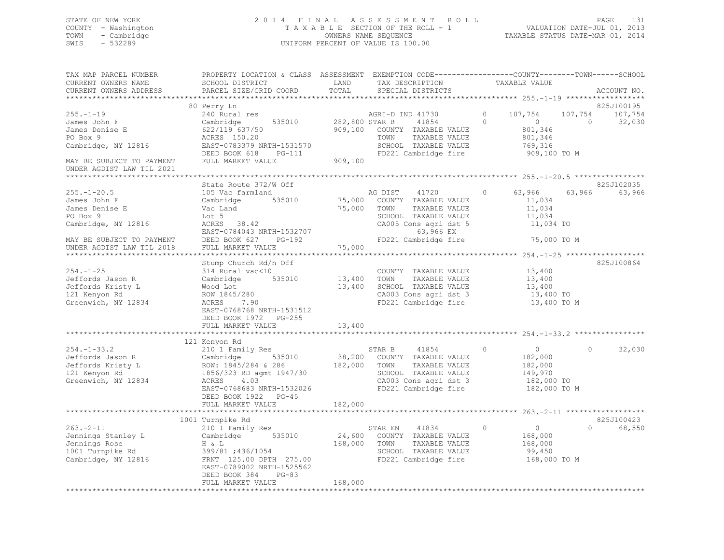### STATE OF NEW YORK 2 0 1 4 F I N A L A S S E S S M E N T R O L L PAGE 131 COUNTY - Washington T A X A B L E SECTION OF THE ROLL - 1 VALUATION DATE-JUL 01, 2013 TOWN - Cambridge OWNERS NAME SEQUENCE TAXABLE STATUS DATE-MAR 01, 2014 SWIS - 532289 UNIFORM PERCENT OF VALUE IS 100.00

| TAX MAP PARCEL NUMBER<br>CURRENT OWNERS NAME                                                                                   | PROPERTY LOCATION & CLASS ASSESSMENT EXEMPTION CODE---------------COUNTY-------TOWN-----SCHOOL<br>SCHOOL DISTRICT                                                              | LAND                              | TAX DESCRIPTION                                                                                                                                 | TAXABLE VALUE                                                                      |                                       |                      |
|--------------------------------------------------------------------------------------------------------------------------------|--------------------------------------------------------------------------------------------------------------------------------------------------------------------------------|-----------------------------------|-------------------------------------------------------------------------------------------------------------------------------------------------|------------------------------------------------------------------------------------|---------------------------------------|----------------------|
| CURRENT OWNERS ADDRESS<br>**********************                                                                               | PARCEL SIZE/GRID COORD                                                                                                                                                         | TOTAL                             | SPECIAL DISTRICTS                                                                                                                               |                                                                                    |                                       | ACCOUNT NO.          |
|                                                                                                                                | 80 Perry Ln                                                                                                                                                                    |                                   |                                                                                                                                                 |                                                                                    |                                       | 825J100195           |
| $255. - 1 - 19$<br>James John F<br>James Denise E<br>PO Box 9<br>Cambridge, NY 12816                                           | 240 Rural res<br>Cambridge<br>535010<br>622/119 637/50<br>ACRES 150.20<br>EAST-0783379 NRTH-1531570                                                                            | 282,800 STAR B<br>909,100         | AGRI-D IND 41730<br>41854<br>COUNTY TAXABLE VALUE<br>TOWN<br>TAXABLE VALUE<br>SCHOOL TAXABLE VALUE                                              | 107,754<br>$\Omega$<br>$\Omega$<br>$\overline{0}$<br>801,346<br>801,346<br>769,316 | 107,754<br>$\bigcirc$                 | 107,754<br>32,030    |
|                                                                                                                                | DEED BOOK 618<br>PG-111                                                                                                                                                        |                                   | FD221 Cambridge fire                                                                                                                            |                                                                                    | 909,100 TO M                          |                      |
| MAY BE SUBJECT TO PAYMENT<br>UNDER AGDIST LAW TIL 2021                                                                         | FULL MARKET VALUE                                                                                                                                                              | 909,100                           |                                                                                                                                                 |                                                                                    |                                       |                      |
|                                                                                                                                |                                                                                                                                                                                |                                   |                                                                                                                                                 |                                                                                    |                                       |                      |
| $255. - 1 - 20.5$<br>James John F<br>James Denise E<br>PO Box 9<br>Cambridge, NY 12816                                         | State Route 372/W Off<br>105 Vac farmland<br>Cambridge<br>535010<br>Vac Land<br>Lot 5<br>ACRES 38.42<br>EAST-0784043 NRTH-1532707                                              |                                   | AG DIST<br>41720<br>75,000 COUNTY TAXABLE VALUE<br>75,000 TOWN<br>TAXABLE VALUE<br>SCHOOL TAXABLE VALUE<br>CA005 Cons agri dst 5<br>63,966 EX   | 63,966<br>$\Omega$<br>11,034<br>11,034                                             | 63,966<br>11,034<br>11,034 TO         | 825J102035<br>63,966 |
| MAY BE SUBJECT TO PAYMENT                                                                                                      | DEED BOOK 627<br>PG-192                                                                                                                                                        |                                   | FD221 Cambridge fire                                                                                                                            |                                                                                    | 75,000 TO M                           |                      |
| UNDER AGDIST LAW TIL 2018                                                                                                      | FULL MARKET VALUE                                                                                                                                                              | 75,000                            |                                                                                                                                                 |                                                                                    |                                       |                      |
|                                                                                                                                |                                                                                                                                                                                |                                   |                                                                                                                                                 |                                                                                    |                                       |                      |
| $254. - 1 - 25$<br>Jeffords Jason R<br>Jeffords Kristy L<br>121 Kenyon Rd<br>Greenwich, NY 12834                               | Stump Church Rd/n Off<br>314 Rural vac<10<br>Cambridge<br>535010<br>Wood Lot<br>ROW 1845/280<br>7.90<br>ACRES<br>EAST-0768768 NRTH-1531512<br>DEED BOOK 1972 PG-255            | 13,400<br>13,400                  | COUNTY TAXABLE VALUE<br>TOWN<br>TAXABLE VALUE<br>SCHOOL TAXABLE VALUE<br>CA003 Cons agri dst 3<br>CA003 Cons agri dst 3<br>FD221 Cambridge fire | 13,400<br>13,400                                                                   | 13,400<br>13,400 TO<br>13,400 TO M    | 825J100864           |
|                                                                                                                                | FULL MARKET VALUE                                                                                                                                                              | 13,400                            |                                                                                                                                                 |                                                                                    |                                       |                      |
|                                                                                                                                |                                                                                                                                                                                |                                   |                                                                                                                                                 |                                                                                    |                                       |                      |
| $254. - 1 - 33.2$<br>Jeffords Jason R<br>Jeffords Kristy L<br>121 Kenyon Rd<br>Greenwich, NY 12834                             | 121 Kenyon Rd<br>210 1 Family Res<br>Cambridge 535010<br>ROW: 1845/284 & 286<br>1856/323 RD agmt 1947/30<br>ACRES<br>4.03<br>EAST-0768683 NRTH-1532026<br>DEED BOOK 1922 PG-45 | 182,000 TOWN                      | STAR B<br>41854<br>38,200 COUNTY TAXABLE VALUE<br>TAXABLE VALUE<br>SCHOOL TAXABLE VALUE<br>CA003 Cons agri dst 3<br>FD221 Cambridge fire        | $\circ$<br>$\overline{0}$<br>182,000<br>182,000<br>149,970                         | $\circ$<br>182,000 TO<br>182,000 TO M | 32,030               |
|                                                                                                                                | FULL MARKET VALUE                                                                                                                                                              | 182,000                           |                                                                                                                                                 |                                                                                    |                                       |                      |
|                                                                                                                                | 1001 Turnpike Rd                                                                                                                                                               |                                   |                                                                                                                                                 |                                                                                    |                                       | 825J100423           |
| $263 - 2 - 11$<br>Jennings Stanley L<br>Jennings Rose<br>1001 Turnpike Rd<br>Cambridge, NY 12816<br>************************** | 210 1 Family Res<br>535010<br>Cambridge<br>H & L<br>399/81 ; 436/1054<br>FRNT 125.00 DPTH 275.00<br>EAST-0789002 NRTH-1525562<br>DEED BOOK 384<br>$PG-83$<br>FULL MARKET VALUE | 24,600<br>168,000 TOWN<br>168,000 | STAR EN<br>41834<br>COUNTY TAXABLE VALUE<br>TAXABLE VALUE<br>SCHOOL TAXABLE VALUE<br>FD221 Cambridge fire                                       | $\circ$<br>$\overline{0}$<br>168,000<br>168,000<br>99,450                          | $\Omega$<br>168,000 TO M              | 68,550               |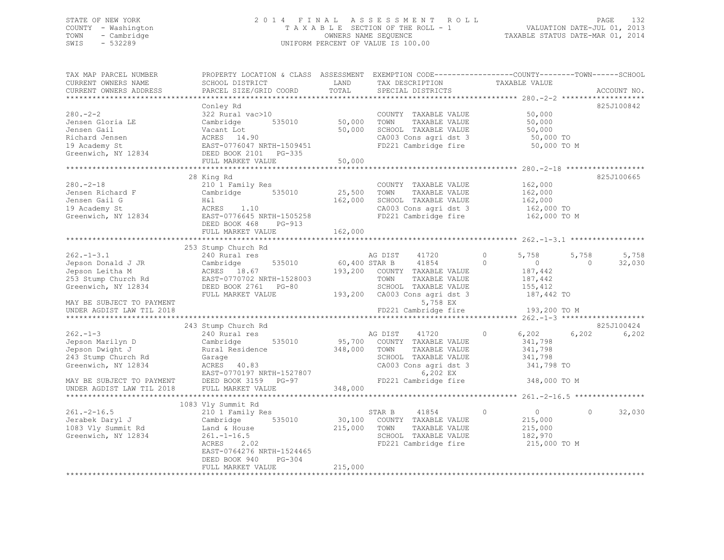### STATE OF NEW YORK 2 0 1 4 F I N A L A S S E S S M E N T R O L L PAGE 132 COUNTY - Washington T A X A B L E SECTION OF THE ROLL - 1 VALUATION DATE-JUL 01, 2013 TOWN - Cambridge OWNERS NAME SEQUENCE TAXABLE STATUS DATE-MAR 01, 2014 SWIS - 532289 UNIFORM PERCENT OF VALUE IS 100.00

| TAX MAP PARCEL NUMBER<br>CURRENT OWNERS NAME<br>CURRENT OWNERS ADDRESS                                                                                                                                                                          | PROPERTY LOCATION & CLASS ASSESSMENT EXEMPTION CODE----------------COUNTY-------TOWN------SCHOOL<br>SCHOOL DISTRICT<br>PARCEL SIZE/GRID COORD                                                                                                 | LAND<br>TOTAL                   | TAX DESCRIPTION<br>SPECIAL DISTRICTS                                                                                                                                                                                                                                                           | TAXABLE VALUE                                                                                                                                                  | ACCOUNT NO.                                                       |
|-------------------------------------------------------------------------------------------------------------------------------------------------------------------------------------------------------------------------------------------------|-----------------------------------------------------------------------------------------------------------------------------------------------------------------------------------------------------------------------------------------------|---------------------------------|------------------------------------------------------------------------------------------------------------------------------------------------------------------------------------------------------------------------------------------------------------------------------------------------|----------------------------------------------------------------------------------------------------------------------------------------------------------------|-------------------------------------------------------------------|
| **************************                                                                                                                                                                                                                      |                                                                                                                                                                                                                                               |                                 |                                                                                                                                                                                                                                                                                                |                                                                                                                                                                |                                                                   |
| $280 - 2 - 2$<br>Jensen Gloria LE<br>Jensen Gail<br>Richard Jensen<br>19 Academy St<br>Greenwich, NY 12834                                                                                                                                      | Conley Rd<br>322 Rural vac>10<br>535010<br>Cambridge<br>vacant Lot<br>ACRES 14.90<br>FROT 27<br>EAST-0776047 NRTH-1509451<br>DEED BOOK 2101 PG-335<br>FULL MARKET VALUE                                                                       | COUNTY<br>50,000 TOWN<br>50,000 | COUNTY TAXABLE VALUE<br>TAXABLE VALUE<br>50,000 SCHOOL TAXABLE VALUE<br>CA003 Cons agri dst 3<br>FD221 Cambridge fire                                                                                                                                                                          | 50,000<br>50,000<br>50,000 TO<br>50,000 TO<br>500 TO<br>50,000 TO M                                                                                            | 825J100842                                                        |
|                                                                                                                                                                                                                                                 |                                                                                                                                                                                                                                               |                                 |                                                                                                                                                                                                                                                                                                |                                                                                                                                                                |                                                                   |
| $280. -2 - 18$                                                                                                                                                                                                                                  | 28 King Rd<br>210 1 Family Res<br>DEED BOOK 468<br>PG-913                                                                                                                                                                                     | 25,500 TOWN<br>162,000          | COUNTY TAXABLE VALUE<br>TAXABLE VALUE<br>SCHOOL TAXABLE VALUE<br>CA003 Cons agri dst 3<br>FD221 Cambridge fire 162,000 TO M                                                                                                                                                                    | 162,000<br>162,000<br>162,000<br>162,000 TO                                                                                                                    | 825J100665                                                        |
|                                                                                                                                                                                                                                                 | FULL MARKET VALUE                                                                                                                                                                                                                             | 162,000                         |                                                                                                                                                                                                                                                                                                |                                                                                                                                                                |                                                                   |
|                                                                                                                                                                                                                                                 |                                                                                                                                                                                                                                               |                                 |                                                                                                                                                                                                                                                                                                |                                                                                                                                                                |                                                                   |
| $262. -1 - 3.1$<br>Jepson Donald J JR<br>Jepson Leitha M<br>253 Stump Church Rd<br>Greenwich, NY 12834<br>MAY BE SUBJECT TO PAYMENT<br>UNDER AGDIST LAW TIL 2018<br>$262 - 1 - 3$<br>Jepson Marilyn D<br>Jepson Dwight J<br>243 Stump Church Rd | 253 Stump Church Rd<br>240 Rural res<br>Cambridge 535010<br>ACRES 18.67<br>EAST-0770702 NRTH-1528003<br>DEED BOOK 2761 PG-80<br>FULL MARKET VALUE<br>243 Stump Church Rd<br>240 Rural res<br>Cambridge<br>535010<br>Rural Residence<br>Garage | AG DIST<br>348,000 TOWN         | AG DIST<br>41720<br>$60,400$ STAR B<br>41854<br>193,200 COUNTY TAXABLE VALUE<br>TOWN<br>TAXABLE VALUE<br>SCHOOL TAXABLE VALUE<br>193,200 CA003 Cons agri dst 3 187,442 TO<br>5,758 EX<br>FD221 Cambridge fire<br>41720<br>95,700 COUNTY TAXABLE VALUE<br>TAXABLE VALUE<br>SCHOOL TAXABLE VALUE | $\circ$<br>5,758<br>$\sim$ 0 $\sim$<br>$\circ$<br>187,442<br>187,442<br>155,412<br>193,200 TO M<br>$6,202$ $6,202$<br>$\circ$<br>341,798<br>341,798<br>341,798 | 5,758<br>5,758<br>$\overline{0}$<br>32,030<br>825J100424<br>6,202 |
| Greenwich, NY 12834<br>MAY BE SUBJECT TO PAYMENT<br>UNDER AGDIST LAW TIL 2018                                                                                                                                                                   | FULL MARKET VALUE                                                                                                                                                                                                                             | 348,000                         | CA003 Cons agri dst 3<br>6,202 EX<br>FD221 Cambridge fire 348,000 TO M                                                                                                                                                                                                                         | 341,798 TO                                                                                                                                                     |                                                                   |
| $261. -2 - 16.5$<br>Jerabek Daryl J Cambridge<br>1083 Vly Summit Rd<br>Greenwich, NY 12834                                                                                                                                                      | 1083 Vly Summit Rd<br>210 1 Family Res<br>Cambridge<br>535010<br>Land & House<br>261.-1-16.5<br>ACRES 2.02<br>2.02<br>ACRES<br>EAST-0764276 NRTH-1524465<br>DEED BOOK 940<br>PG-304<br>FULL MARKET VALUE                                      | 215,000                         | STAR B 41854<br>30,100 COUNTY TAXABLE VALUE<br>215,000 TOWN<br>TAXABLE VALUE<br>SCHOOL TAXABLE VALUE<br>FD221 Cambridge fire                                                                                                                                                                   | $\circ$<br>$\overline{0}$<br>215,000<br>215,000<br>182,970<br>215,000 TO M                                                                                     | 32,030<br>$\Omega$                                                |
|                                                                                                                                                                                                                                                 | *************************************                                                                                                                                                                                                         |                                 |                                                                                                                                                                                                                                                                                                |                                                                                                                                                                |                                                                   |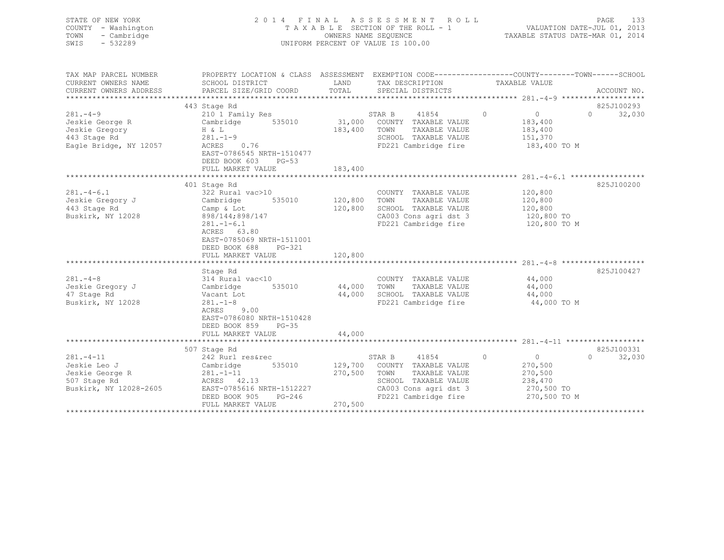| STATE OF NEW YORK<br>COUNTY - Washington<br>- Cambridge<br>TOWN<br>SWIS<br>$-532289$ |                                                                                                           |               | 2014 FINAL ASSESSMENT ROLL<br>TAXABLE SECTION OF THE ROLL - 1<br>OWNERS NAME SEQUENCE<br>UNIFORM PERCENT OF VALUE IS 100.00 |                            | PAGE<br>133<br>VALUATION DATE-JUL 01, 2013<br>TAXABLE STATUS DATE-MAR 01, 2014 |
|--------------------------------------------------------------------------------------|-----------------------------------------------------------------------------------------------------------|---------------|-----------------------------------------------------------------------------------------------------------------------------|----------------------------|--------------------------------------------------------------------------------|
| TAX MAP PARCEL NUMBER                                                                | PROPERTY LOCATION & CLASS ASSESSMENT EXEMPTION CODE---------------COUNTY-------TOWN-----SCHOOL            |               |                                                                                                                             |                            |                                                                                |
| CURRENT OWNERS NAME                                                                  | SCHOOL DISTRICT                                                                                           | LAND<br>TOTAL | TAX DESCRIPTION                                                                                                             | TAXABLE VALUE              | ACCOUNT NO.                                                                    |
| CURRENT OWNERS ADDRESS                                                               | PARCEL SIZE/GRID COORD                                                                                    |               | SPECIAL DISTRICTS                                                                                                           |                            |                                                                                |
|                                                                                      | 443 Stage Rd                                                                                              |               |                                                                                                                             |                            | 825J100293                                                                     |
| $281 - 4 - 9$                                                                        | 210 1 Family Res                                                                                          |               | STAR B<br>41854                                                                                                             | $\circ$<br>$\overline{0}$  | $\Omega$<br>32,030                                                             |
| Jeskie George R                                                                      | 535010<br>Cambridge                                                                                       | 31,000        | COUNTY TAXABLE VALUE                                                                                                        | 183,400                    |                                                                                |
| Jeskie Gregory                                                                       | H & L                                                                                                     | 183,400       | TAXABLE VALUE<br>TOWN                                                                                                       | 183,400                    |                                                                                |
| 443 Stage Rd                                                                         | $281. - 1 - 9$                                                                                            |               | SCHOOL TAXABLE VALUE                                                                                                        | 151,370                    |                                                                                |
| Eagle Bridge, NY 12057                                                               | 0.76<br>ACRES                                                                                             |               | FD221 Cambridge fire                                                                                                        | 183,400 TO M               |                                                                                |
|                                                                                      | EAST-0786545 NRTH-1510477                                                                                 |               |                                                                                                                             |                            |                                                                                |
|                                                                                      | DEED BOOK 603<br>$PG-53$<br>FULL MARKET VALUE                                                             | 183,400       |                                                                                                                             |                            |                                                                                |
|                                                                                      |                                                                                                           |               |                                                                                                                             |                            |                                                                                |
|                                                                                      | 401 Stage Rd                                                                                              |               |                                                                                                                             |                            | 825J100200                                                                     |
| $281. - 4 - 6.1$                                                                     | 322 Rural vac>10                                                                                          |               | COUNTY TAXABLE VALUE                                                                                                        | 120,800                    |                                                                                |
| Jeskie Gregory J                                                                     | 535010<br>Cambridge                                                                                       | 120,800       | TAXABLE VALUE<br>TOWN                                                                                                       | 120,800                    |                                                                                |
| 443 Stage Rd                                                                         | Camp & Lot                                                                                                | 120,800       | SCHOOL TAXABLE VALUE                                                                                                        | 120,800                    |                                                                                |
| Buskirk, NY 12028                                                                    | 898/144;898/147                                                                                           |               | CA003 Cons agri dst 3                                                                                                       | 120,800 TO                 |                                                                                |
|                                                                                      | $281, -1 - 6, 1$<br>ACRES 63.80<br>EAST-0785069 NRTH-1511001<br>DEED BOOK 688 PG-321<br>FULL MARKET VALUE | 120,800       | FD221 Cambridge fire                                                                                                        | 120,800 TO M               |                                                                                |
|                                                                                      |                                                                                                           |               |                                                                                                                             |                            |                                                                                |
|                                                                                      | Stage Rd                                                                                                  |               |                                                                                                                             |                            | 825J100427                                                                     |
| $281 - 4 - 8$                                                                        | 314 Rural vac<10                                                                                          |               | COUNTY TAXABLE VALUE                                                                                                        | 44,000                     |                                                                                |
| Jeskie Gregory J                                                                     | 535010<br>Cambridge                                                                                       | 44,000        | TAXABLE VALUE<br>TOWN                                                                                                       | 44,000                     |                                                                                |
| 47 Stage Rd<br>Buskirk, NY 12028                                                     | Vacant Lot<br>$281 - 1 - 8$                                                                               | 44,000        | SCHOOL TAXABLE VALUE<br>FD221 Cambridge fire                                                                                | 44,000<br>44,000 TO M      |                                                                                |
|                                                                                      | 9.00<br>ACRES<br>EAST-0786080 NRTH-1510428<br>DEED BOOK 859<br>$PG-35$<br>FULL MARKET VALUE               | 44,000        |                                                                                                                             |                            |                                                                                |
|                                                                                      |                                                                                                           |               |                                                                                                                             |                            |                                                                                |
|                                                                                      | 507 Stage Rd                                                                                              |               |                                                                                                                             |                            | 825J100331                                                                     |
| $281 - 4 - 11$                                                                       | 242 Rurl res&rec                                                                                          |               | 41854<br>STAR B                                                                                                             | $\circ$<br>0               | $\Omega$<br>32,030                                                             |
| Jeskie Leo J                                                                         | 535010<br>Cambridge                                                                                       | 129,700       | COUNTY TAXABLE VALUE                                                                                                        | 270,500                    |                                                                                |
| Jeskie George R                                                                      | $281 - 1 - 11$                                                                                            | 270,500       | TOWN<br>TAXABLE VALUE                                                                                                       | 270,500                    |                                                                                |
| 507 Stage Rd                                                                         | ACRES 42.13                                                                                               |               | SCHOOL TAXABLE VALUE                                                                                                        | 238,470                    |                                                                                |
| Buskirk, NY 12028-2605                                                               | EAST-0785616 NRTH-1512227<br>DEED BOOK 905<br>PG-246                                                      |               | CA003 Cons agri dst 3<br>FD221 Cambridge fire                                                                               | 270,500 TO<br>270,500 TO M |                                                                                |
|                                                                                      | FULL MARKET VALUE                                                                                         | 270,500       |                                                                                                                             |                            |                                                                                |
|                                                                                      |                                                                                                           |               |                                                                                                                             |                            |                                                                                |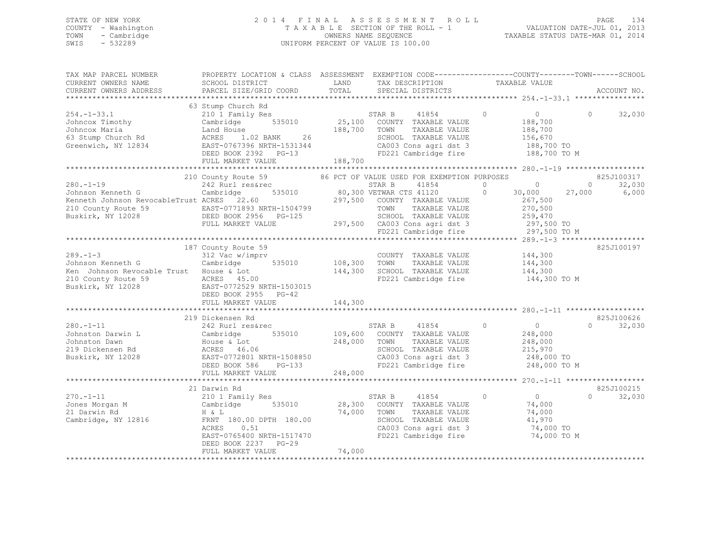### STATE OF NEW YORK 2 0 1 4 F I N A L A S S E S S M E N T R O L L PAGE 134 COUNTY - Washington T A X A B L E SECTION OF THE ROLL - 1 VALUATION DATE-JUL 01, 2013 TOWN - Cambridge OWNERS NAME SEQUENCE TAXABLE STATUS DATE-MAR 01, 2014 SWIS - 532289 UNIFORM PERCENT OF VALUE IS 100.00

| TAX MAP PARCEL NUMBER                                                                                                                                                                                                                                             | PROPERTY LOCATION & CLASS ASSESSMENT EXEMPTION CODE---------------COUNTY-------TOWN-----SCHOOL |         |                                               |                                 |                     |                |                    |
|-------------------------------------------------------------------------------------------------------------------------------------------------------------------------------------------------------------------------------------------------------------------|------------------------------------------------------------------------------------------------|---------|-----------------------------------------------|---------------------------------|---------------------|----------------|--------------------|
| CURRENT OWNERS NAME                                                                                                                                                                                                                                               | SCHOOL DISTRICT                                                                                | LAND    | TAX DESCRIPTION TAXABLE VALUE                 |                                 |                     |                |                    |
| CURRENT OWNERS ADDRESS                                                                                                                                                                                                                                            | PARCEL SIZE/GRID COORD                                                                         | TOTAL   | SPECIAL DISTRICTS                             |                                 |                     |                | ACCOUNT NO.        |
|                                                                                                                                                                                                                                                                   |                                                                                                |         |                                               |                                 |                     |                |                    |
|                                                                                                                                                                                                                                                                   | 63 Stump Church Rd                                                                             |         |                                               |                                 |                     |                |                    |
| 254.-1-33.1<br>$54.-1-33.1$<br>Johncox Timothy<br>Johncox Maria<br>$53$ Stump Church Rd<br>$52$ Steenwich, NY 12834<br>$53$ EAST-0767396 NRTH-1531344<br>$54$ EAST-0767396 NRTH-1531344<br>DEED BOOK 2392 PG-13<br>FIIT.T. MARKET VALUE<br>$188,700$<br>$188,700$ | 210 1 Family Res<br>Cambridge 535010 25,100 COUNTY TAXABLE VALUE                               |         | 41854 0                                       |                                 | $\overline{0}$      | $\Omega$       | 32,030             |
|                                                                                                                                                                                                                                                                   |                                                                                                |         |                                               |                                 | 188,700             |                |                    |
|                                                                                                                                                                                                                                                                   | 188,700 TOWN                                                                                   |         | TAXABLE VALUE                                 |                                 | 188,700<br>156,670  |                |                    |
|                                                                                                                                                                                                                                                                   |                                                                                                |         | SCHOOL TAXABLE VALUE                          |                                 |                     |                |                    |
|                                                                                                                                                                                                                                                                   |                                                                                                |         | CA003 Cons agri dst 3 188,700 TO              |                                 |                     |                |                    |
|                                                                                                                                                                                                                                                                   |                                                                                                |         | FD221 Cambridge fire                          |                                 | 188,700 TO M        |                |                    |
|                                                                                                                                                                                                                                                                   |                                                                                                |         |                                               |                                 |                     |                |                    |
|                                                                                                                                                                                                                                                                   |                                                                                                |         |                                               |                                 |                     |                |                    |
| Johnson Kenneth G<br>Johnson Kenneth G Cambridge 535010 STAR B 41854 0<br>Kenneth Johnson RevocableTrust ACRES 22.60 297,500 COUNTY TAVARY TIP OF 2010<br>210 County Route 59 FACT 22.60 297,500 COUNTY TAVARY TIP OF 2010                                        | 210 County Route 59 66 PCT OF VALUE USED FOR EXEMPTION PURPOSES                                |         |                                               |                                 |                     |                | 825J100317         |
|                                                                                                                                                                                                                                                                   |                                                                                                |         |                                               | $\begin{matrix}0&0\end{matrix}$ |                     | $\overline{0}$ | 32,030             |
|                                                                                                                                                                                                                                                                   |                                                                                                |         |                                               |                                 | 30,000 27,000       |                | 6,000              |
|                                                                                                                                                                                                                                                                   |                                                                                                |         |                                               |                                 |                     |                |                    |
|                                                                                                                                                                                                                                                                   |                                                                                                |         |                                               |                                 |                     |                |                    |
|                                                                                                                                                                                                                                                                   |                                                                                                |         |                                               |                                 |                     |                |                    |
|                                                                                                                                                                                                                                                                   |                                                                                                |         |                                               |                                 |                     |                |                    |
|                                                                                                                                                                                                                                                                   |                                                                                                |         |                                               |                                 | 297,500 TO M        |                |                    |
| %Johnson Reinech of NewscableTrust ACRES 22.60<br>Z10 County Route 59 EAST-0771893 NRTH-1504799 TOWN TAXABLE VALUE 259,470<br>Buskirk, NY 12028 FULL MARKET VALUE 297,500 CA003 Cons agri dst 3 297,500 TO<br>FULL MARKET VALUE 297,500                           |                                                                                                |         |                                               |                                 |                     |                |                    |
|                                                                                                                                                                                                                                                                   | 187 County Route 59                                                                            |         |                                               |                                 |                     |                | 825J100197         |
|                                                                                                                                                                                                                                                                   |                                                                                                |         | COUNTY TAXABLE VALUE 144,300                  |                                 |                     |                |                    |
|                                                                                                                                                                                                                                                                   |                                                                                                |         |                                               |                                 | 144,300             |                |                    |
|                                                                                                                                                                                                                                                                   |                                                                                                |         | 144,300 SCHOOL TAXABLE VALUE                  |                                 | 144,300             |                |                    |
|                                                                                                                                                                                                                                                                   |                                                                                                |         | FD221 Cambridge fire                          |                                 | 144,300 TO M        |                |                    |
|                                                                                                                                                                                                                                                                   |                                                                                                |         |                                               |                                 |                     |                |                    |
|                                                                                                                                                                                                                                                                   |                                                                                                |         |                                               |                                 |                     |                |                    |
| Note that the served of the term of the term of the served of the served of the served of the served of the served specific term of the served specific term of the served specific term of the served specific term of the se                                    |                                                                                                | 144,300 |                                               |                                 |                     |                |                    |
|                                                                                                                                                                                                                                                                   | 219 Dickensen Rd                                                                               |         |                                               |                                 |                     |                | 825J100626         |
| $280. -1 - 11$                                                                                                                                                                                                                                                    | 242 Rurl res&rec                                                                               |         | STAR B 41854 0                                |                                 | $\overline{0}$      |                | $\Omega$<br>32,030 |
|                                                                                                                                                                                                                                                                   |                                                                                                |         |                                               |                                 | 248,000             |                |                    |
|                                                                                                                                                                                                                                                                   |                                                                                                |         | TAXABLE VALUE                                 |                                 | 248,000             |                |                    |
|                                                                                                                                                                                                                                                                   |                                                                                                |         | SCHOOL TAXABLE VALUE                          |                                 | 215,970             |                |                    |
|                                                                                                                                                                                                                                                                   |                                                                                                |         |                                               |                                 | 248,000 TO          |                |                    |
|                                                                                                                                                                                                                                                                   |                                                                                                |         | CA003 Cons agri dst 3<br>FD221 Cambridge fire |                                 | 248,000 TO M        |                |                    |
| 242 RUIT IESATEC<br>JOhnston Darwin L Cambridge 535010 109,600 COUNTY TAXABLE VALUE<br>Johnston Dawn House & Lot<br>219 Dickensen Rd ACRES 46.06 248,000 TOWN TAXABLE VALUE<br>Buskirk, NY 12028 EAST-0772801 NRTH-1508850 CA003 Cons                             |                                                                                                |         |                                               |                                 |                     |                |                    |
|                                                                                                                                                                                                                                                                   |                                                                                                |         |                                               |                                 |                     |                |                    |
|                                                                                                                                                                                                                                                                   | 21 Darwin Rd                                                                                   |         |                                               |                                 |                     |                | 825J100215         |
| 270.-1-11                                                                                                                                                                                                                                                         | 210 1 Family Res                                                                               |         | STAR B 41854 0                                |                                 | $\overline{0}$      | 0              | 32,030             |
|                                                                                                                                                                                                                                                                   |                                                                                                |         | 28,300 COUNTY TAXABLE VALUE                   |                                 | 74,000              |                |                    |
|                                                                                                                                                                                                                                                                   |                                                                                                |         | 74,000 TOWN<br>TAXABLE VALUE                  |                                 | 74,000              |                |                    |
| Cambridge, NY 12816 6 FRNT 180.00 DPTH 180.00                                                                                                                                                                                                                     |                                                                                                |         |                                               |                                 |                     |                |                    |
|                                                                                                                                                                                                                                                                   | 0.51<br>ACRES                                                                                  |         | SCHOOL TAXABLE VALUE<br>CA003 Cons agri dst 3 |                                 | 41,970<br>74,000 TO |                |                    |
|                                                                                                                                                                                                                                                                   | EAST-0765400 NRTH-1517470                                                                      |         | FD221 Cambridge fire                          |                                 | 74,000 TO M         |                |                    |
|                                                                                                                                                                                                                                                                   | DEED BOOK 2237 PG-29                                                                           |         |                                               |                                 |                     |                |                    |
|                                                                                                                                                                                                                                                                   | FULL MARKET VALUE                                                                              | 74,000  |                                               |                                 |                     |                |                    |
|                                                                                                                                                                                                                                                                   |                                                                                                |         |                                               |                                 |                     |                |                    |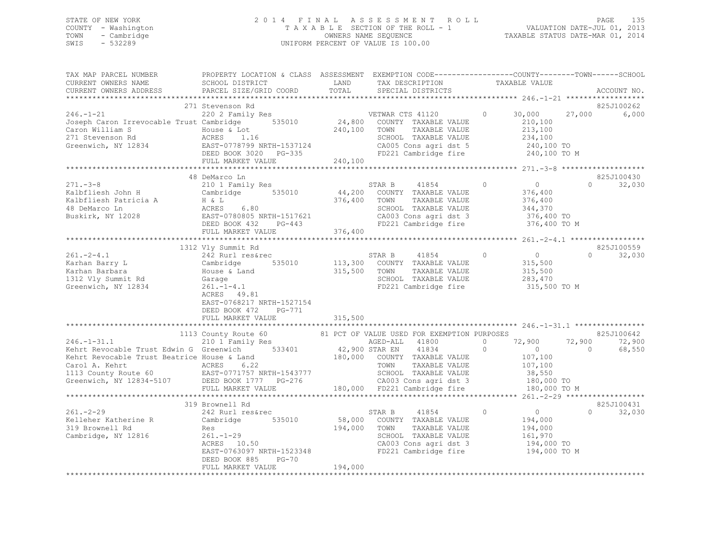### STATE OF NEW YORK 2 0 1 4 F I N A L A S S E S S M E N T R O L L PAGE 135 COUNTY - Washington T A X A B L E SECTION OF THE ROLL - 1 VALUATION DATE-JUL 01, 2013 TOWN - Cambridge OWNERS NAME SEQUENCE TAXABLE STATUS DATE-MAR 01, 2014 SWIS - 532289 UNIFORM PERCENT OF VALUE IS 100.00

| TAX MAP PARCEL NUMBER<br>CURRENT OWNERS NAME<br>CURRENT OWNERS ADDRESS                                                                                                                                                                                                                                                                                                                                                                                                                                                                                                            | PROPERTY LOCATION & CLASS ASSESSMENT EXEMPTION CODE---------------COUNTY-------TOWN------SCHOOL<br>SCHOOL DISTRICT<br>PARCEL SIZE/GRID COORD                                                                                                                                        | LAND<br>TOTAL                                  | TAX DESCRIPTION<br>SPECIAL DISTRICTS                                                                                                                                                                                                                                         | TAXABLE VALUE                                                                                                                                     | ACCOUNT NO.                                                          |
|-----------------------------------------------------------------------------------------------------------------------------------------------------------------------------------------------------------------------------------------------------------------------------------------------------------------------------------------------------------------------------------------------------------------------------------------------------------------------------------------------------------------------------------------------------------------------------------|-------------------------------------------------------------------------------------------------------------------------------------------------------------------------------------------------------------------------------------------------------------------------------------|------------------------------------------------|------------------------------------------------------------------------------------------------------------------------------------------------------------------------------------------------------------------------------------------------------------------------------|---------------------------------------------------------------------------------------------------------------------------------------------------|----------------------------------------------------------------------|
|                                                                                                                                                                                                                                                                                                                                                                                                                                                                                                                                                                                   |                                                                                                                                                                                                                                                                                     |                                                |                                                                                                                                                                                                                                                                              |                                                                                                                                                   |                                                                      |
| $246. - 1 - 21$<br>Joseph Caron Irrevocable Trust Cambridge 535010<br>Caron William S<br>271 Stevenson Rd<br>$\frac{271}{2}$ stevenson Ka acres 1.16<br>Greenwich, NY 12834 EAST-0778799 NRTH-1537124<br>DEED BOOK 3020 PG-335                                                                                                                                                                                                                                                                                                                                                    | 271 Stevenson Rd<br>220 2 Family Res<br>$\overline{6}$<br>House & Lot<br>ACRES 1.16<br>FULL MARKET VALUE                                                                                                                                                                            | 240,100<br>240,100                             | VETWAR CTS 41120<br>24,800 COUNTY TAXABLE VALUE<br>VETWAR CTS 41120<br>TAXABLE VALUE<br>TOWN<br>SCHOOL TAXABLE VALUE<br>CA005 Cons agri dst 5 240,100 TO<br>FD221 Cambridge fire 240,100 TO M                                                                                | $\circ$<br>30,000<br>210,100<br>213,100<br>234,100                                                                                                | 825J100262<br>27,000<br>6,000                                        |
|                                                                                                                                                                                                                                                                                                                                                                                                                                                                                                                                                                                   |                                                                                                                                                                                                                                                                                     |                                                |                                                                                                                                                                                                                                                                              |                                                                                                                                                   |                                                                      |
| $271 - -3 - 8$<br>Kalbfliesh John H<br>Frankfliesh Patricia A<br>$\begin{array}{ccc}\n\text{H} & \text{L} & \text{A} \\ \text{H} & \text{L} & \text{A} \\ \text{B} & \text{D} & \text{A} \\ \text{B} & \text{B} & \text{B} \\ \text{B} & \text{B} & \text{A} \\ \text{B} & \text{B} & \text{B} \\ \text{B} & \text{B} & \text{B} \\ \text{B} & \text{B} & \text{B} \\ \text{B} & \text{B} & \text{B} \\ \text{B} & \text{B} & \text{B} \\ \text{B} & \text$<br>$261 - 2 - 4.1$<br>Karhan Barry L<br>Karhan Barry L<br>Karhan Barbara<br>1312 Vly Summit Rd<br>Greenwich, NY 12834 | 48 DeMarco Ln<br>210 1 Family Res<br>Cambridge 535010<br>DEED BOOK 432<br>FULL MARKET VALUE<br>1312 Vly Summit Rd<br>242 Rurl res&rec<br>242 Ruil<br>Cambridge 535010<br>House & Land<br>Garage 2021 1-4-1<br>261.-1-4.1<br>ACRES 49.81<br>ACRES 49.81<br>EAST-0768217 NRTH-1527154 | 376,400 TOWN<br>$PG-443$<br>376,400<br>315,500 | STAR B<br>41854<br>44,200 COUNTY TAXABLE VALUE<br>TAXABLE VALUE<br>SCHOOL TAXABLE VALUE<br>CA003 Cons agri dst 3<br>FD221 Cambridge fire<br>STAR B 41854<br>113,300 COUNTY TAXABLE VALUE<br>41854 0<br>TOWN<br>TAXABLE VALUE<br>SCHOOL TAXABLE VALUE<br>FD221 Cambridge fire | $\overline{0}$<br>$\Omega$<br>376,400<br>376,400<br>344,370<br>376,400 TO<br>376,400 TO M<br>$0$<br>315,500<br>315,500<br>283,470<br>315,500 TO M | 825J100430<br>$\Omega$<br>32,030<br>825J100559<br>32,030<br>$\Omega$ |
|                                                                                                                                                                                                                                                                                                                                                                                                                                                                                                                                                                                   | DEED BOOK 472<br>PG-771                                                                                                                                                                                                                                                             |                                                |                                                                                                                                                                                                                                                                              |                                                                                                                                                   |                                                                      |
|                                                                                                                                                                                                                                                                                                                                                                                                                                                                                                                                                                                   | FULL MARKET VALUE                                                                                                                                                                                                                                                                   | 315,500                                        |                                                                                                                                                                                                                                                                              |                                                                                                                                                   |                                                                      |
|                                                                                                                                                                                                                                                                                                                                                                                                                                                                                                                                                                                   | 1113 County Route 60<br>210 1 Family Res                                                                                                                                                                                                                                            |                                                | 81 PCT OF VALUE USED FOR EXEMPTION PURPOSES<br>AGED-ALL 41800                                                                                                                                                                                                                | $\circ$<br>72,900                                                                                                                                 | 825J100642<br>72,900<br>72,900                                       |
| $246.-1-31.1$ 210 1 Family Res AGED-ALL 41800<br>Kehrt Revocable Trust Edwin G Greenwich 533401 42,900 STAR EN 41834<br>Kehrt Revocable Trust Beatrice House & Land<br>Carol A. Kehrt. Trust Beatrice House & Land<br>Carol A. Kehrt. ACRES 6.22<br>Carol A. Kehrt 1997<br>Carol A. Kehrt 1997<br>Carol A. Kehrt 19934-5107 (EAST-0771757 NRTH-1543777 180,000 TAXABLE VALUE 107,100<br>Greenwich, NY 12834-5107 (DEED BOOK 1777 PG-276 (2003 Cons agri dst 3 180,000 TO<br>FULL MARKET VA                                                                                        |                                                                                                                                                                                                                                                                                     |                                                |                                                                                                                                                                                                                                                                              | $\circ$<br>$\overline{0}$<br>107,100<br>107, 100                                                                                                  | 68,550<br>$\overline{0}$                                             |
|                                                                                                                                                                                                                                                                                                                                                                                                                                                                                                                                                                                   |                                                                                                                                                                                                                                                                                     |                                                |                                                                                                                                                                                                                                                                              |                                                                                                                                                   |                                                                      |
|                                                                                                                                                                                                                                                                                                                                                                                                                                                                                                                                                                                   | 319 Brownell Rd                                                                                                                                                                                                                                                                     |                                                |                                                                                                                                                                                                                                                                              |                                                                                                                                                   | 825J100431                                                           |
| $261 - 2 - 29$<br>Kelleher Katherine R<br>319 Brownell Rd<br>Cambridge, NY 12816                                                                                                                                                                                                                                                                                                                                                                                                                                                                                                  | 242 Rurl res&rec<br>Cambridge<br>535010<br>Res<br>261.-1-29<br>ACRES 10.50<br>EAST-0763097 NRTH-1523348<br>$PG-70$<br>DEED BOOK 885<br>FULL MARKET VALUE                                                                                                                            | 194,000                                        | STAR B<br>41854<br>58,000 COUNTY TAXABLE VALUE<br>194,000 TOWN<br>TAXABLE VALUE<br>SCHOOL TAXABLE VALUE<br>CA003 Cons agri dst 3<br>FD221 Cambridge fire 194,000 TO M                                                                                                        | $\overline{0}$<br>$\circ$<br>194,000<br>194,000<br>161,970<br>194,000 TO                                                                          | 32,030<br>$\Omega$                                                   |
|                                                                                                                                                                                                                                                                                                                                                                                                                                                                                                                                                                                   |                                                                                                                                                                                                                                                                                     |                                                |                                                                                                                                                                                                                                                                              |                                                                                                                                                   |                                                                      |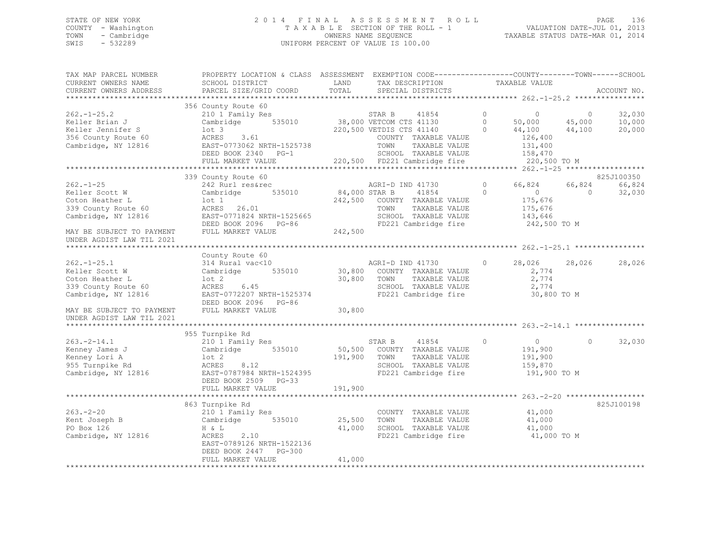### STATE OF NEW YORK 2 0 1 4 F I N A L A S S E S S M E N T R O L L PAGE 136 COUNTY - Washington T A X A B L E SECTION OF THE ROLL - 1 VALUATION DATE-JUL 01, 2013 TOWN - Cambridge OWNERS NAME SEQUENCE TAXABLE STATUS DATE-MAR 01, 2014 SWIS - 532289 UNIFORM PERCENT OF VALUE IS 100.00

| TAX MAP PARCEL NUMBER<br>CURRENT OWNERS NAME<br>CURRENT OWNERS ADDRESS                               | PROPERTY LOCATION & CLASS ASSESSMENT EXEMPTION CODE---------------COUNTY-------TOWN-----SCHOOL<br>SCHOOL DISTRICT<br>PARCEL SIZE/GRID COORD | LAND<br>TOTAL            | TAX DESCRIPTION<br>SPECIAL DISTRICTS                                                                                        | TAXABLE VALUE                                                                   | ACCOUNT NO.                                                |
|------------------------------------------------------------------------------------------------------|---------------------------------------------------------------------------------------------------------------------------------------------|--------------------------|-----------------------------------------------------------------------------------------------------------------------------|---------------------------------------------------------------------------------|------------------------------------------------------------|
|                                                                                                      |                                                                                                                                             |                          |                                                                                                                             |                                                                                 |                                                            |
| $262 - 1 - 25.2$<br>Keller Brian J<br>Keller Jennifer S<br>356 County Route 60                       | 356 County Route 60<br>210 1 Family Res<br>Cambridge 535010<br>lot 3<br>ACRES 3.61                                                          |                          | 41854 0<br>STAR B<br>38,000 VETCOM CTS 41130<br>220,500 VETDIS CTS 41140<br>COUNTY TAXABLE VALUE                            | $\overline{0}$<br>0 $50,000$ $45,000$<br>0 $44,100$ $44,100$<br>126,400         | 32,030<br>$\overline{0}$<br>10,000<br>20,000               |
| Cambridge, NY 12816                                                                                  | EAST-0773062 NRTH-1525738<br>DEED BOOK 2340 PG-1<br>FULL MARKET VALUE                                                                       |                          | TOWN<br>TAXABLE VALUE<br>SCHOOL TAXABLE VALUE<br>220,500 FD221 Cambridge fire                                               | 131,400<br>158,470<br>220,500 TO M                                              |                                                            |
|                                                                                                      |                                                                                                                                             |                          |                                                                                                                             |                                                                                 |                                                            |
| $262 - 1 - 25$<br>Keller Scott W<br>Coton Heather L<br>339 County Route 60<br>Cambridge, NY 12816    | 339 County Route 60<br>242 Rurl res&rec<br>535010<br>Cambridge<br>lot 1<br>ACRES 26.01<br>EAST-0771824 NRTH-1525665                         | 84,000 STAR B<br>242,500 | AGRI-D IND 41730<br>41854<br>COUNTY TAXABLE VALUE<br>TOWN<br>TAXABLE VALUE<br>SCHOOL TAXABLE VALUE                          | $\circ$<br>66,824<br>$\circ$<br>$\overline{0}$<br>175,676<br>175,676<br>143,646 | 825J100350<br>66,824<br>66,824<br>$\overline{0}$<br>32,030 |
| MAY BE SUBJECT TO PAYMENT<br>UNDER AGDIST LAW TIL 2021                                               | DEED BOOK 2096 PG-86<br>FULL MARKET VALUE                                                                                                   | 242,500                  | FD221 Cambridge fire                                                                                                        | 242,500 TO M                                                                    |                                                            |
|                                                                                                      |                                                                                                                                             |                          |                                                                                                                             |                                                                                 |                                                            |
| $262. - 1 - 25.1$<br>Keller Scott W<br>Coton Heather L<br>339 County Route 60<br>Cambridge, NY 12816 | County Route 60<br>314 Rural vac<10<br>Cambridge 535010<br>lot 2<br>ACRES 6.45<br>EAST-0772207 NRTH-1525374<br>DEED BOOK 2096 PG-86         | 30,800                   | AGRI-D IND 41730<br>30,800 COUNTY TAXABLE VALUE<br>TAXABLE VALUE<br>TOWN<br>SCHOOL TAXABLE VALUE<br>FD221 Cambridge fire    | 28,026<br>$\circ$<br>2,774<br>2,774<br>2,774<br>30,800 TO M                     | 28,026<br>28,026                                           |
| MAY BE SUBJECT TO PAYMENT<br>UNDER AGDIST LAW TIL 2021                                               | FULL MARKET VALUE                                                                                                                           | 30,800                   |                                                                                                                             |                                                                                 |                                                            |
|                                                                                                      |                                                                                                                                             |                          |                                                                                                                             |                                                                                 |                                                            |
| $263. -2 - 14.1$<br>Kenney James J<br>Kenney Lori A<br>955 Turnpike Rd<br>Cambridge, NY 12816        | 955 Turnpike Rd<br>210 1 Family Res<br>Cambridge 535010<br>lot 2<br>8.12<br>ACRES<br>EAST-0787984 NRTH-1524395                              | 191,900 TOWN             | $\sim$ 0<br>STAR B<br>41854<br>50,500 COUNTY TAXABLE VALUE<br>TAXABLE VALUE<br>SCHOOL TAXABLE VALUE<br>FD221 Cambridge fire | $\overline{0}$<br>191,900<br>191,900<br>159,870<br>191,900 TO M                 | 32,030<br>$\Omega$                                         |
|                                                                                                      | DEED BOOK 2509 PG-33<br>FULL MARKET VALUE                                                                                                   | 191,900                  |                                                                                                                             |                                                                                 |                                                            |
|                                                                                                      | 863 Turnpike Rd                                                                                                                             |                          |                                                                                                                             |                                                                                 | 825J100198                                                 |
| $263 - 2 - 20$<br>Kent Joseph B<br>PO Box 126<br>Cambridge, NY 12816                                 | 210 1 Family Res<br>Cambridge 535010<br>$H \& L$<br>2.10<br>ACRES<br>EAST-0789126 NRTH-1522136<br>DEED BOOK 2447 PG-300                     | 25,500<br>41,000         | COUNTY TAXABLE VALUE<br>TOWN<br>TAXABLE VALUE<br>SCHOOL TAXABLE VALUE<br>FD221 Cambridge fire                               | 41,000<br>41,000<br>41,000<br>41,000 TO M                                       |                                                            |
|                                                                                                      | FULL MARKET VALUE                                                                                                                           | 41,000                   |                                                                                                                             |                                                                                 |                                                            |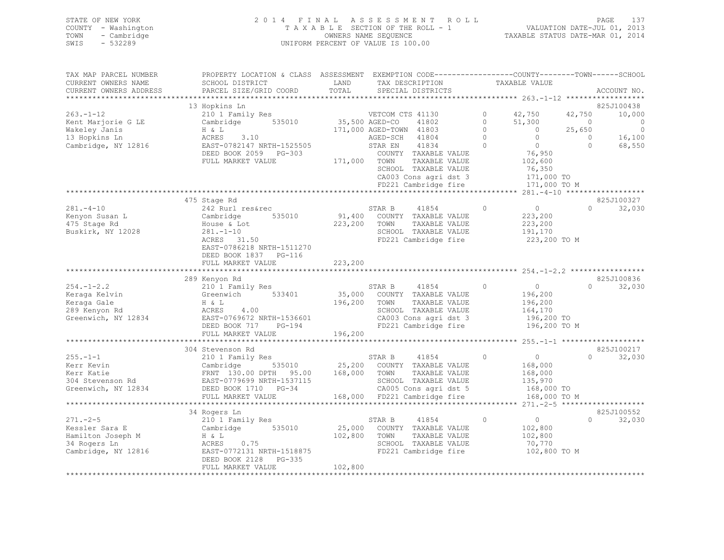| STATE OF NEW YORK   |             | 2014 FINAL ASSESSMENT ROLL         |                                  | PAGE                        | 137 |
|---------------------|-------------|------------------------------------|----------------------------------|-----------------------------|-----|
| COUNTY - Washington |             | TAXABLE SECTION OF THE ROLL - 1    |                                  | VALUATION DATE-JUL 01, 2013 |     |
| TOWN                | - Cambridge | OWNERS NAME SEOUENCE               | TAXABLE STATUS DATE-MAR 01, 2014 |                             |     |
| SWIS                | $-532289$   | UNIFORM PERCENT OF VALUE IS 100.00 |                                  |                             |     |

| TAX MAP PARCEL NUMBER  | PROPERTY LOCATION & CLASS ASSESSMENT EXEMPTION CODE----------------COUNTY-------TOWN-----SCHOOL                                                                                                                                        |              |                                                                                               |                |                                                |                |                                                        |
|------------------------|----------------------------------------------------------------------------------------------------------------------------------------------------------------------------------------------------------------------------------------|--------------|-----------------------------------------------------------------------------------------------|----------------|------------------------------------------------|----------------|--------------------------------------------------------|
| CURRENT OWNERS NAME    | SCHOOL DISTRICT                                                                                                                                                                                                                        | LAND         | TAX DESCRIPTION                                                                               |                | TAXABLE VALUE                                  |                |                                                        |
| CURRENT OWNERS ADDRESS | PARCEL SIZE/GRID COORD                                                                                                                                                                                                                 | TOTAL        | SPECIAL DISTRICTS                                                                             |                |                                                |                | ACCOUNT NO.                                            |
|                        |                                                                                                                                                                                                                                        |              |                                                                                               |                |                                                |                |                                                        |
|                        | 13 Hopkins Ln                                                                                                                                                                                                                          |              |                                                                                               |                |                                                |                | 825J100438                                             |
| $263. -1 - 12$         | 210 1 Family Res                                                                                                                                                                                                                       |              | VETCOM CTS 41130                                                                              |                | 0 $42,750$                                     | 42,750         | 10,000                                                 |
| Kent Marjorie G LE     | Cambridge 535010 35,500 AGED-CO                                                                                                                                                                                                        |              | 41802                                                                                         | $\overline{0}$ | 51,300                                         | $\overline{0}$ | $\circ$                                                |
| Wakeley Janis          | H & L                                                                                                                                                                                                                                  |              | 171,000 AGED-TOWN 41803                                                                       | $\Omega$       | $\sim$ 0                                       | 25,650         | $\overline{0}$                                         |
| 13 Hopkins Ln          | 3.10<br>ACRES                                                                                                                                                                                                                          |              | AGED-SCH 41804                                                                                | $\bigcirc$     | $\overline{0}$                                 |                | $\begin{matrix} 0 & 16,100 \\ 0 & 68,550 \end{matrix}$ |
| Cambridge, NY 12816    | EAST-0782147 NRTH-1525505                                                                                                                                                                                                              |              | 41834<br>STAR EN                                                                              | $\Omega$       | $\overline{0}$                                 | $\circ$        | 68,550                                                 |
|                        | DEED BOOK 2059 PG-303                                                                                                                                                                                                                  |              | COUNTY TAXABLE VALUE                                                                          |                | 76,950                                         |                |                                                        |
|                        | FULL MARKET VALUE                                                                                                                                                                                                                      | 171,000 TOWN | TAXABLE VALUE                                                                                 |                | 102,600                                        |                |                                                        |
|                        |                                                                                                                                                                                                                                        |              | SCHOOL TAXABLE VALUE                                                                          |                | 76,350                                         |                |                                                        |
|                        |                                                                                                                                                                                                                                        |              | CA003 Cons agri dst 3                                                                         |                | 171,000 TO                                     |                |                                                        |
|                        |                                                                                                                                                                                                                                        |              | FD221 Cambridge fire                                                                          |                | 171,000 TO M                                   |                |                                                        |
|                        | *************************************                                                                                                                                                                                                  |              |                                                                                               |                | **************** 281.-4-10 ******************* |                |                                                        |
|                        | 475 Stage Rd                                                                                                                                                                                                                           |              |                                                                                               |                |                                                |                | 825J100327                                             |
| $281 - 4 - 10$         | 242 Rurl res&rec                                                                                                                                                                                                                       |              | STAR B<br>41854                                                                               | $\Omega$       | $\begin{array}{c}0\\223,200\end{array}$        | $\cap$         | 32,030                                                 |
| Kenyon Susan L         | 535010<br>Cambridge                                                                                                                                                                                                                    |              | 91,400 COUNTY TAXABLE VALUE                                                                   |                | 223,200                                        |                |                                                        |
| 475 Stage Rd           | House & Lot                                                                                                                                                                                                                            | 223,200 TOWN | TAXABLE VALUE                                                                                 |                | 223,200                                        |                |                                                        |
| Buskirk, NY 12028      | $281 - 1 - 10$                                                                                                                                                                                                                         |              | SCHOOL TAXABLE VALUE                                                                          |                | 191,170                                        |                |                                                        |
|                        | ACRES 31.50                                                                                                                                                                                                                            |              | FD221 Cambridge fire                                                                          |                | 223,200 TO M                                   |                |                                                        |
|                        | EAST-0786218 NRTH-1511270                                                                                                                                                                                                              |              |                                                                                               |                |                                                |                |                                                        |
|                        | DEED BOOK 1837 PG-116                                                                                                                                                                                                                  |              |                                                                                               |                |                                                |                |                                                        |
|                        | FULL MARKET VALUE                                                                                                                                                                                                                      | 223,200      |                                                                                               |                |                                                |                |                                                        |
|                        |                                                                                                                                                                                                                                        |              |                                                                                               |                |                                                |                |                                                        |
|                        | 289 Kenyon Rd                                                                                                                                                                                                                          |              |                                                                                               |                |                                                |                | 825J100836                                             |
| $254. -1 - 2.2$        | 210 1 Family Res                                                                                                                                                                                                                       |              | STAR B<br>41854                                                                               | $\circ$        | $\overline{0}$                                 | $\cap$         | 32,030                                                 |
| Keraga Kelvin          | Greenwich 533401                                                                                                                                                                                                                       |              | 35,000 COUNTY TAXABLE VALUE                                                                   |                | 196,200                                        |                |                                                        |
| Keraga Gale            | H & L                                                                                                                                                                                                                                  | 196,200 TOWN | TAXABLE VALUE                                                                                 |                | 196,200                                        |                |                                                        |
| 289 Kenyon Rd          | 4.00<br>ACRES                                                                                                                                                                                                                          |              | SCHOOL TAXABLE VALUE                                                                          |                | 164,170                                        |                |                                                        |
| Greenwich, NY 12834    | EAST-0769672 NRTH-1536601                                                                                                                                                                                                              |              |                                                                                               |                | 196,200 TO                                     |                |                                                        |
|                        | DEED BOOK 717 PG-194                                                                                                                                                                                                                   |              | SCHOOL IAAADLE VALOE<br>CA003 Cons agri dst 3<br>FD221 Cambridge fire<br>FD221 Cambridge fire |                | 196,200 TO M                                   |                |                                                        |
|                        | FULL MARKET VALUE                                                                                                                                                                                                                      | 196,200      |                                                                                               |                |                                                |                |                                                        |
|                        |                                                                                                                                                                                                                                        |              |                                                                                               |                |                                                |                |                                                        |
|                        | 304 Stevenson Rd                                                                                                                                                                                                                       |              |                                                                                               |                |                                                |                | 825J100217                                             |
| $255. - 1 - 1$         | 210 1 Family Res                                                                                                                                                                                                                       |              | STAR B 41854                                                                                  | $\sim$ 0       | $\overline{0}$                                 | $\Omega$       | 32,030                                                 |
|                        |                                                                                                                                                                                                                                        |              |                                                                                               |                | 168,000                                        |                |                                                        |
|                        |                                                                                                                                                                                                                                        |              |                                                                                               |                | 168,000                                        |                |                                                        |
|                        | EXERCT Kevin<br>Kerr Katie (1894)<br>Kerr Katie (1894)<br>SIAR ERNT 130.00 DPTH 95.00 (25,200 COUNTY TAXABLE VALUE RENT 130.00 DPTH 95.00 (25,200 TOWN TAXABLE VALUE 304<br>SCHOOL TAXABLE VALUE EXAMPLE VALUE EXAMPLE VALUE EXAMPLE V |              | SCHOOL TAXABLE VALUE<br>CA005 Cons agri dst 5                                                 |                | 135,970<br>168,000 TO                          |                |                                                        |
|                        |                                                                                                                                                                                                                                        |              |                                                                                               |                |                                                |                |                                                        |
|                        | FULL MARKET VALUE                                                                                                                                                                                                                      |              | 168,000 FD221 Cambridge fire                                                                  |                | 168,000 TO M                                   |                |                                                        |
|                        |                                                                                                                                                                                                                                        |              |                                                                                               |                |                                                |                |                                                        |
|                        | 34 Rogers Ln                                                                                                                                                                                                                           |              |                                                                                               |                |                                                |                | 825J100552                                             |
|                        | 210 1 Family Res                                                                                                                                                                                                                       |              | STAR B<br>41854                                                                               | $\Omega$       | $\overline{0}$                                 | $\Omega$       | 32,030                                                 |
|                        |                                                                                                                                                                                                                                        |              | 25,000 COUNTY TAXABLE VALUE                                                                   |                | 102,800                                        |                |                                                        |
|                        | Example 2014<br>Hamilton Joseph M M M & L<br>34 Rogers Ln<br>34 Rogers Ln<br>34 Rogers Ln                                                                                                                                              | 102,800 TOWN | TAXABLE VALUE                                                                                 |                | 102,800                                        |                |                                                        |
|                        |                                                                                                                                                                                                                                        |              | SCHOOL TAXABLE VALUE                                                                          |                | 70,770                                         |                |                                                        |
| Cambridge, NY 12816    | EAST-0772131 NRTH-1518875                                                                                                                                                                                                              |              | FD221 Cambridge fire                                                                          |                | 102,800 TO M                                   |                |                                                        |
|                        | DEED BOOK 2128 PG-335                                                                                                                                                                                                                  |              |                                                                                               |                |                                                |                |                                                        |
|                        | FULL MARKET VALUE                                                                                                                                                                                                                      | 102,800      |                                                                                               |                |                                                |                |                                                        |
|                        |                                                                                                                                                                                                                                        |              |                                                                                               |                |                                                |                |                                                        |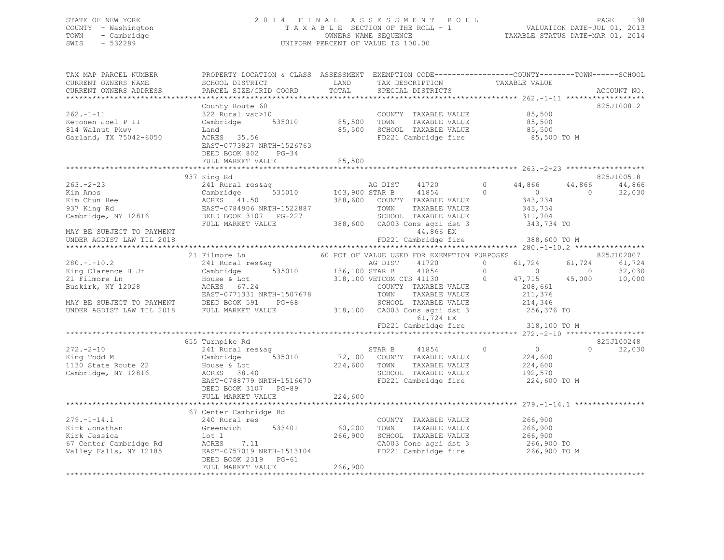### STATE OF NEW YORK 2 0 1 4 F I N A L A S S E S S M E N T R O L L PAGE 138 COUNTY - Washington T A X A B L E SECTION OF THE ROLL - 1 VALUATION DATE-JUL 01, 2013 TOWN - Cambridge OWNERS NAME SEQUENCE TAXABLE STATUS DATE-MAR 01, 2014 SWIS - 532289 UNIFORM PERCENT OF VALUE IS 100.00

| TAX MAP PARCEL NUMBER<br>CURRENT OWNERS NAME<br>CURRENT OWNERS ADDRESS           | PROPERTY LOCATION & CLASS ASSESSMENT EXEMPTION CODE----------------COUNTY-------TOWN------SCHOOL<br>SCHOOL DISTRICT<br>PARCEL SIZE/GRID COORD           | LAND<br>TOTAL              | TAX DESCRIPTION<br>SPECIAL DISTRICTS                                                                                                        | TAXABLE VALUE                                                                           | ACCOUNT NO.                                                |
|----------------------------------------------------------------------------------|---------------------------------------------------------------------------------------------------------------------------------------------------------|----------------------------|---------------------------------------------------------------------------------------------------------------------------------------------|-----------------------------------------------------------------------------------------|------------------------------------------------------------|
| $262 - 1 - 11$<br>Ketonen Joel P II<br>814 Walnut Pkwy<br>Garland, TX 75042-6050 | County Route 60<br>322 Rural vac>10<br>Cambridge 535010<br>Land<br>ACRES 35.56<br>EAST-0773827 NRTH-1526763<br>DEED BOOK 802 PG-34<br>FULL MARKET VALUE | 85,500<br>85,500<br>85,500 | COUNTY TAXABLE VALUE<br>TOWN<br>TAXABLE VALUE<br>SCHOOL TAXABLE VALUE<br>FD221 Cambridge fire                                               | 85,500<br>85,500<br>85,500<br>85,500 TO M                                               | 825J100812                                                 |
|                                                                                  |                                                                                                                                                         |                            |                                                                                                                                             |                                                                                         |                                                            |
|                                                                                  | 937 King Rd                                                                                                                                             |                            |                                                                                                                                             |                                                                                         | 825J100518                                                 |
| $263 - 2 - 23$<br>Kim Amos<br>Kim Chun Hee<br>937 King Rd<br>Cambridge, NY 12816 | 241 Rural res&aq<br>535010<br>Cambridge<br>ACRES 41.50<br>EAST-0784906 NRTH-1522887<br>DEED BOOK 3107 PG-227<br>FULL MARKET VALUE                       | 103,900 STAR B             | 41720<br>AG DIST<br>41854<br>388,600 COUNTY TAXABLE VALUE<br>TOWN<br>TAXABLE VALUE<br>SCHOOL TAXABLE VALUE<br>388,600 CA003 Cons agri dst 3 | 0<br>44,866<br>$\circ$<br>$\overline{0}$<br>343,734<br>343,734<br>311,704<br>343,734 TO | 44,866<br>44,866<br>$\Omega$<br>32,030                     |
| MAY BE SUBJECT TO PAYMENT                                                        |                                                                                                                                                         |                            | 44,866 EX                                                                                                                                   |                                                                                         |                                                            |
| UNDER AGDIST LAW TIL 2018                                                        |                                                                                                                                                         |                            | FD221 Cambridge fire                                                                                                                        | 388,600 TO M                                                                            |                                                            |
|                                                                                  |                                                                                                                                                         |                            |                                                                                                                                             |                                                                                         |                                                            |
| $280. - 1 - 10.2$<br>King Clarence H Jr                                          | 21 Filmore Ln<br>241 Rural res&ag<br>Cambridge                                                                                                          | 535010 136,100 STAR B      | 60 PCT OF VALUE USED FOR EXEMPTION PURPOSES<br>AG DIST<br>41720<br>41854                                                                    | 61,724<br>$\circ$<br>$\circ$<br>$\sim$ 0                                                | 825J102007<br>61,724<br>61,724<br>$\overline{0}$<br>32,030 |
| 21 Filmore Ln<br>Buskirk, NY 12028                                               | House & Lot<br>ACRES 67.24<br>EAST-0771331 NRTH-1507678                                                                                                 |                            | 318,100 VETCOM CTS 41130<br>COUNTY TAXABLE VALUE<br>TOWN<br>TAXABLE VALUE                                                                   | $\Omega$<br>47,715<br>208,661<br>211,376                                                | 10,000<br>45,000                                           |
| MAY BE SUBJECT TO PAYMENT DEED BOOK SYL .<br>ALL MARKET VALUE                    | $PG-68$                                                                                                                                                 |                            | SCHOOL TAXABLE VALUE<br>318,100 CA003 Cons agri dst 3<br>61,724 EX<br>FD221 Cambridge fire                                                  | 214,346<br>256,376 TO<br>318,100 TO M                                                   |                                                            |
|                                                                                  |                                                                                                                                                         |                            |                                                                                                                                             |                                                                                         |                                                            |
|                                                                                  | 655 Turnpike Rd                                                                                                                                         |                            |                                                                                                                                             |                                                                                         | 825J100248                                                 |
| $272 - 2 - 10$<br>King Todd M<br>1130 State Route 22<br>Cambridge, NY 12816      | 241 Rural res&ag<br>535010<br>Cambridge<br>House & Lot<br>ACRES 38.40<br>EAST-0788779 NRTH-1516670<br>DEED BOOK 3107 PG-89<br>FULL MARKET VALUE         | 224,600 TOWN<br>224,600    | 41854<br>STAR B<br>72,100 COUNTY TAXABLE VALUE<br>TAXABLE VALUE<br>SCHOOL TAXABLE VALUE<br>FD221 Cambridge fire                             | $\Omega$<br>$\overline{0}$<br>224,600<br>224,600<br>192,570<br>224,600 TO M             | $\Omega$<br>32,030                                         |
|                                                                                  |                                                                                                                                                         |                            |                                                                                                                                             |                                                                                         |                                                            |
|                                                                                  | 67 Center Cambridge Rd                                                                                                                                  |                            |                                                                                                                                             |                                                                                         |                                                            |
| $279. - 1 - 14.1$                                                                | 240 Rural res                                                                                                                                           |                            | COUNTY TAXABLE VALUE                                                                                                                        | 266,900                                                                                 |                                                            |
| Kirk Jonathan                                                                    | 533401<br>Greenwich                                                                                                                                     | 60,200                     | TOWN<br>TAXABLE VALUE                                                                                                                       | 266,900                                                                                 |                                                            |
| Kirk Jessica                                                                     | lot 1                                                                                                                                                   | 266,900                    | SCHOOL TAXABLE VALUE                                                                                                                        | 266,900                                                                                 |                                                            |
| 67 Center Cambridge Rd                                                           | ACRES 7.11                                                                                                                                              |                            | CA003 Cons agri dst 3                                                                                                                       | 266,900 TO                                                                              |                                                            |
| Valley Falls, NY 12185                                                           | EAST-0757019 NRTH-1513104<br>DEED BOOK 2319 PG-61<br>FULL MARKET VALUE                                                                                  | 266,900                    | FD221 Cambridge fire                                                                                                                        | 266,900 TO M                                                                            |                                                            |
|                                                                                  |                                                                                                                                                         |                            |                                                                                                                                             |                                                                                         |                                                            |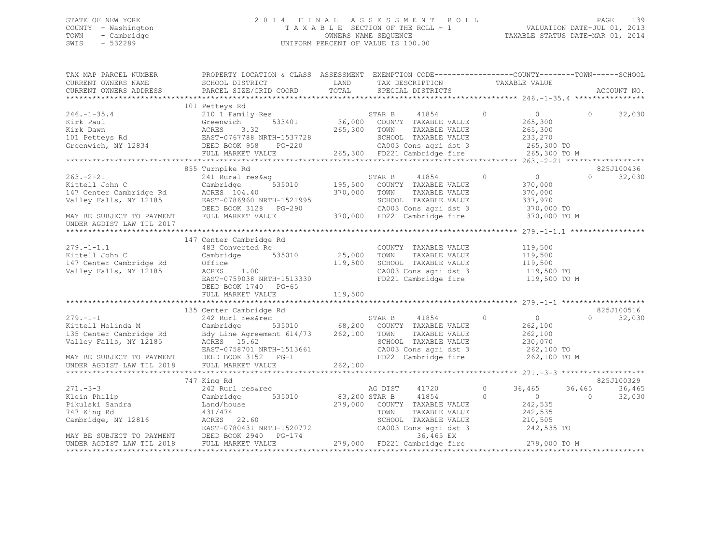### STATE OF NEW YORK 2 0 1 4 F I N A L A S S E S S M E N T R O L L PAGE 139 COUNTY - Washington T A X A B L E SECTION OF THE ROLL - 1 VALUATION DATE-JUL 01, 2013 TOWN - Cambridge OWNERS NAME SEQUENCE TAXABLE STATUS DATE-MAR 01, 2014 SWIS - 532289 UNIFORM PERCENT OF VALUE IS 100.00

| SCHOOL DISTRICT<br>LAND<br>TAX DESCRIPTION TAXABLE VALUE SPECIAL DISTRICTS<br>CURRENT OWNERS ADDRESS PARCEL SIZE/GRID COORD<br>TOTAL<br>ACCOUNT NO.<br>101 Petteys Rd<br>210 1 Family Res<br>Greenwich 533401<br>STAR B 41854<br>36,000 COUNTY TAXABLE VALUE<br>$246. -1 - 35.4$<br>$\begin{tabular}{lllllllllllll} 246.-1-35.4 & 210\ 1\ Fami1y Res & 57AR B & 41854 & 0 & 0 & 32,030 \\ Kirk Paul & Greenwich & 533401 & 36,000\ &COMTY TAXABLE VALUE & 265,300 \\ Kirk Dawn & ACRES & 3.32 & 265,300\ &TONY TAXABLE VALUE & 265,300 \\ 101 Petteys Rd & EAST-076788 NRTH-1537728 & 8CHOOL TAXABLE VALUE & 265,300 \\ 1251 Petteys Rd & EAST-076788 NRTH-1$<br>855 Turnpike Rd<br>825J100436<br>$\overline{0}$<br>241 Rural res&ag<br>$\overline{0}$<br>$263 - 2 - 21$<br>STAR B 41854<br>$\Omega$<br>32,030<br>Xittell John C<br>Xittell John C<br>Xittell John C<br>147 Center Cambridge Rd<br>147 Center Cambridge Rd<br>271 Avalet S35010<br>271 Avantidge 535010<br>271 Avantidge 535010<br>271 Avantidge 535010<br>270,000 TOWN TAXABLE VALUE<br>270,000 TOW<br>370,000 TO M<br>UNDER AGDIST LAW TIL 2017<br>147 Center Cambridge Rd<br>279.-1-1.1<br>Kittell John C (25,000 TONN)<br>147 Center Cambridge Rd (25,000 TONN)<br>25,000 TONN 147 Center Cambridge Rd (25,000 TONN)<br>25,000 TONN 2185 (26,000 TONN)<br>25,000 TONN 2185 (26,000 TONN)<br>25,000 TONN 25,000 TONN 25<br>COUNTY TAXABLE VALUE 119,500<br>TAXABLE VALUE<br>119,500<br>119,500 SCHOOL TAXABLE VALUE 119,500<br>119,500 TO<br>CA003 Cons agri dst 3<br>FD221 Cambridge fire<br>119,500 TO M<br>EAST-0759038 NRTH-1513330<br>DEED BOOK 1740 PG-65<br>119,500<br>FULL MARKET VALUE<br>825J100516<br>135 Center Cambridge Rd<br>279.-1-1<br>Kittell Melinda M<br>Cambridge Rd<br>Cambridge Rd<br>By Line Agreement 614/73<br>TAR B<br>STAR B<br>STAR B<br>41854<br>STAR B<br>41854<br>STAR B<br>41854<br>STAR B<br>41854<br>STAR B<br>41854<br>STAR B<br>262,100<br>TOWNT TAXABLE VALUE<br>TAXABLE VAL<br>STAR B $41854$ 0 0 0<br>COUNTY TAXABLE VALUE 262,100<br>$\Omega$<br>32,030<br>TAXABLE VALUE 262,100<br>SCHOOL TAXABLE VALUE 230,070<br>CA003 Cons agri dst 3 262,100 TO<br>FD221 Cambridge fire<br>262,100 TO M<br>825J100329<br>747 King Rd<br>36,465<br>36,465<br>242 Rurl res&rec<br>AG DIST 41720<br>0 $36,465$<br>Klein Philip<br>83,200 STAR B 41854<br>Cambridge 535010<br>$\sim$ 0<br>$\Omega$<br>$\bigcirc$<br>32,030<br>242, 535<br>Klein Philip<br>Pikulski Sandra<br>Land/house<br>279,000 COUNTY TAXABLE VALUE<br>242,535<br>431/474<br>TOWN<br>TAXABLE VALUE<br>SCHOOL TAXABLE VALUE 210,505<br>Cambridge, NY 12816<br>CACRES 22.60<br>EAST-0780431 NRTH-1520772 CA003 Cons agri dst 3 242,535 TO<br>MAY BE SUBJECT TO PAYMENT DEED BOOK 2940 PG-174 36,465 EX<br>UNDER AGDIST LAW TIL 2018 FULL MARKET VALUE 279,000 FD221 Cambridg | TAX MAP PARCEL NUMBER | PROPERTY LOCATION & CLASS ASSESSMENT | EXEMPTION CODE-----------------COUNTY-------TOWN------SCHOOL |  |  |
|---------------------------------------------------------------------------------------------------------------------------------------------------------------------------------------------------------------------------------------------------------------------------------------------------------------------------------------------------------------------------------------------------------------------------------------------------------------------------------------------------------------------------------------------------------------------------------------------------------------------------------------------------------------------------------------------------------------------------------------------------------------------------------------------------------------------------------------------------------------------------------------------------------------------------------------------------------------------------------------------------------------------------------------------------------------------------------------------------------------------------------------------------------------------------------------------------------------------------------------------------------------------------------------------------------------------------------------------------------------------------------------------------------------------------------------------------------------------------------------------------------------------------------------------------------------------------------------------------------------------------------------------------------------------------------------------------------------------------------------------------------------------------------------------------------------------------------------------------------------------------------------------------------------------------------------------------------------------------------------------------------------------------------------------------------------------------------------------------------------------------------------------------------------------------------------------------------------------------------------------------------------------------------------------------------------------------------------------------------------------------------------------------------------------------------------------------------------------------------------------------------------------------------------------------------------------------------------------------------------------------------------------------------------------------------------------------------------------------------------------------------------------------------------------------------------------------------------------|-----------------------|--------------------------------------|--------------------------------------------------------------|--|--|
|                                                                                                                                                                                                                                                                                                                                                                                                                                                                                                                                                                                                                                                                                                                                                                                                                                                                                                                                                                                                                                                                                                                                                                                                                                                                                                                                                                                                                                                                                                                                                                                                                                                                                                                                                                                                                                                                                                                                                                                                                                                                                                                                                                                                                                                                                                                                                                                                                                                                                                                                                                                                                                                                                                                                                                                                                                             | CURRENT OWNERS NAME   |                                      |                                                              |  |  |
|                                                                                                                                                                                                                                                                                                                                                                                                                                                                                                                                                                                                                                                                                                                                                                                                                                                                                                                                                                                                                                                                                                                                                                                                                                                                                                                                                                                                                                                                                                                                                                                                                                                                                                                                                                                                                                                                                                                                                                                                                                                                                                                                                                                                                                                                                                                                                                                                                                                                                                                                                                                                                                                                                                                                                                                                                                             |                       |                                      |                                                              |  |  |
|                                                                                                                                                                                                                                                                                                                                                                                                                                                                                                                                                                                                                                                                                                                                                                                                                                                                                                                                                                                                                                                                                                                                                                                                                                                                                                                                                                                                                                                                                                                                                                                                                                                                                                                                                                                                                                                                                                                                                                                                                                                                                                                                                                                                                                                                                                                                                                                                                                                                                                                                                                                                                                                                                                                                                                                                                                             |                       |                                      |                                                              |  |  |
|                                                                                                                                                                                                                                                                                                                                                                                                                                                                                                                                                                                                                                                                                                                                                                                                                                                                                                                                                                                                                                                                                                                                                                                                                                                                                                                                                                                                                                                                                                                                                                                                                                                                                                                                                                                                                                                                                                                                                                                                                                                                                                                                                                                                                                                                                                                                                                                                                                                                                                                                                                                                                                                                                                                                                                                                                                             |                       |                                      |                                                              |  |  |
|                                                                                                                                                                                                                                                                                                                                                                                                                                                                                                                                                                                                                                                                                                                                                                                                                                                                                                                                                                                                                                                                                                                                                                                                                                                                                                                                                                                                                                                                                                                                                                                                                                                                                                                                                                                                                                                                                                                                                                                                                                                                                                                                                                                                                                                                                                                                                                                                                                                                                                                                                                                                                                                                                                                                                                                                                                             |                       |                                      |                                                              |  |  |
|                                                                                                                                                                                                                                                                                                                                                                                                                                                                                                                                                                                                                                                                                                                                                                                                                                                                                                                                                                                                                                                                                                                                                                                                                                                                                                                                                                                                                                                                                                                                                                                                                                                                                                                                                                                                                                                                                                                                                                                                                                                                                                                                                                                                                                                                                                                                                                                                                                                                                                                                                                                                                                                                                                                                                                                                                                             |                       |                                      |                                                              |  |  |
|                                                                                                                                                                                                                                                                                                                                                                                                                                                                                                                                                                                                                                                                                                                                                                                                                                                                                                                                                                                                                                                                                                                                                                                                                                                                                                                                                                                                                                                                                                                                                                                                                                                                                                                                                                                                                                                                                                                                                                                                                                                                                                                                                                                                                                                                                                                                                                                                                                                                                                                                                                                                                                                                                                                                                                                                                                             |                       |                                      |                                                              |  |  |
|                                                                                                                                                                                                                                                                                                                                                                                                                                                                                                                                                                                                                                                                                                                                                                                                                                                                                                                                                                                                                                                                                                                                                                                                                                                                                                                                                                                                                                                                                                                                                                                                                                                                                                                                                                                                                                                                                                                                                                                                                                                                                                                                                                                                                                                                                                                                                                                                                                                                                                                                                                                                                                                                                                                                                                                                                                             |                       |                                      |                                                              |  |  |
|                                                                                                                                                                                                                                                                                                                                                                                                                                                                                                                                                                                                                                                                                                                                                                                                                                                                                                                                                                                                                                                                                                                                                                                                                                                                                                                                                                                                                                                                                                                                                                                                                                                                                                                                                                                                                                                                                                                                                                                                                                                                                                                                                                                                                                                                                                                                                                                                                                                                                                                                                                                                                                                                                                                                                                                                                                             |                       |                                      |                                                              |  |  |
|                                                                                                                                                                                                                                                                                                                                                                                                                                                                                                                                                                                                                                                                                                                                                                                                                                                                                                                                                                                                                                                                                                                                                                                                                                                                                                                                                                                                                                                                                                                                                                                                                                                                                                                                                                                                                                                                                                                                                                                                                                                                                                                                                                                                                                                                                                                                                                                                                                                                                                                                                                                                                                                                                                                                                                                                                                             |                       |                                      |                                                              |  |  |
|                                                                                                                                                                                                                                                                                                                                                                                                                                                                                                                                                                                                                                                                                                                                                                                                                                                                                                                                                                                                                                                                                                                                                                                                                                                                                                                                                                                                                                                                                                                                                                                                                                                                                                                                                                                                                                                                                                                                                                                                                                                                                                                                                                                                                                                                                                                                                                                                                                                                                                                                                                                                                                                                                                                                                                                                                                             |                       |                                      |                                                              |  |  |
|                                                                                                                                                                                                                                                                                                                                                                                                                                                                                                                                                                                                                                                                                                                                                                                                                                                                                                                                                                                                                                                                                                                                                                                                                                                                                                                                                                                                                                                                                                                                                                                                                                                                                                                                                                                                                                                                                                                                                                                                                                                                                                                                                                                                                                                                                                                                                                                                                                                                                                                                                                                                                                                                                                                                                                                                                                             |                       |                                      |                                                              |  |  |
|                                                                                                                                                                                                                                                                                                                                                                                                                                                                                                                                                                                                                                                                                                                                                                                                                                                                                                                                                                                                                                                                                                                                                                                                                                                                                                                                                                                                                                                                                                                                                                                                                                                                                                                                                                                                                                                                                                                                                                                                                                                                                                                                                                                                                                                                                                                                                                                                                                                                                                                                                                                                                                                                                                                                                                                                                                             |                       |                                      |                                                              |  |  |
|                                                                                                                                                                                                                                                                                                                                                                                                                                                                                                                                                                                                                                                                                                                                                                                                                                                                                                                                                                                                                                                                                                                                                                                                                                                                                                                                                                                                                                                                                                                                                                                                                                                                                                                                                                                                                                                                                                                                                                                                                                                                                                                                                                                                                                                                                                                                                                                                                                                                                                                                                                                                                                                                                                                                                                                                                                             |                       |                                      |                                                              |  |  |
|                                                                                                                                                                                                                                                                                                                                                                                                                                                                                                                                                                                                                                                                                                                                                                                                                                                                                                                                                                                                                                                                                                                                                                                                                                                                                                                                                                                                                                                                                                                                                                                                                                                                                                                                                                                                                                                                                                                                                                                                                                                                                                                                                                                                                                                                                                                                                                                                                                                                                                                                                                                                                                                                                                                                                                                                                                             |                       |                                      |                                                              |  |  |
|                                                                                                                                                                                                                                                                                                                                                                                                                                                                                                                                                                                                                                                                                                                                                                                                                                                                                                                                                                                                                                                                                                                                                                                                                                                                                                                                                                                                                                                                                                                                                                                                                                                                                                                                                                                                                                                                                                                                                                                                                                                                                                                                                                                                                                                                                                                                                                                                                                                                                                                                                                                                                                                                                                                                                                                                                                             |                       |                                      |                                                              |  |  |
|                                                                                                                                                                                                                                                                                                                                                                                                                                                                                                                                                                                                                                                                                                                                                                                                                                                                                                                                                                                                                                                                                                                                                                                                                                                                                                                                                                                                                                                                                                                                                                                                                                                                                                                                                                                                                                                                                                                                                                                                                                                                                                                                                                                                                                                                                                                                                                                                                                                                                                                                                                                                                                                                                                                                                                                                                                             |                       |                                      |                                                              |  |  |
|                                                                                                                                                                                                                                                                                                                                                                                                                                                                                                                                                                                                                                                                                                                                                                                                                                                                                                                                                                                                                                                                                                                                                                                                                                                                                                                                                                                                                                                                                                                                                                                                                                                                                                                                                                                                                                                                                                                                                                                                                                                                                                                                                                                                                                                                                                                                                                                                                                                                                                                                                                                                                                                                                                                                                                                                                                             |                       |                                      |                                                              |  |  |
|                                                                                                                                                                                                                                                                                                                                                                                                                                                                                                                                                                                                                                                                                                                                                                                                                                                                                                                                                                                                                                                                                                                                                                                                                                                                                                                                                                                                                                                                                                                                                                                                                                                                                                                                                                                                                                                                                                                                                                                                                                                                                                                                                                                                                                                                                                                                                                                                                                                                                                                                                                                                                                                                                                                                                                                                                                             |                       |                                      |                                                              |  |  |
|                                                                                                                                                                                                                                                                                                                                                                                                                                                                                                                                                                                                                                                                                                                                                                                                                                                                                                                                                                                                                                                                                                                                                                                                                                                                                                                                                                                                                                                                                                                                                                                                                                                                                                                                                                                                                                                                                                                                                                                                                                                                                                                                                                                                                                                                                                                                                                                                                                                                                                                                                                                                                                                                                                                                                                                                                                             |                       |                                      |                                                              |  |  |
|                                                                                                                                                                                                                                                                                                                                                                                                                                                                                                                                                                                                                                                                                                                                                                                                                                                                                                                                                                                                                                                                                                                                                                                                                                                                                                                                                                                                                                                                                                                                                                                                                                                                                                                                                                                                                                                                                                                                                                                                                                                                                                                                                                                                                                                                                                                                                                                                                                                                                                                                                                                                                                                                                                                                                                                                                                             |                       |                                      |                                                              |  |  |
|                                                                                                                                                                                                                                                                                                                                                                                                                                                                                                                                                                                                                                                                                                                                                                                                                                                                                                                                                                                                                                                                                                                                                                                                                                                                                                                                                                                                                                                                                                                                                                                                                                                                                                                                                                                                                                                                                                                                                                                                                                                                                                                                                                                                                                                                                                                                                                                                                                                                                                                                                                                                                                                                                                                                                                                                                                             |                       |                                      |                                                              |  |  |
|                                                                                                                                                                                                                                                                                                                                                                                                                                                                                                                                                                                                                                                                                                                                                                                                                                                                                                                                                                                                                                                                                                                                                                                                                                                                                                                                                                                                                                                                                                                                                                                                                                                                                                                                                                                                                                                                                                                                                                                                                                                                                                                                                                                                                                                                                                                                                                                                                                                                                                                                                                                                                                                                                                                                                                                                                                             |                       |                                      |                                                              |  |  |
|                                                                                                                                                                                                                                                                                                                                                                                                                                                                                                                                                                                                                                                                                                                                                                                                                                                                                                                                                                                                                                                                                                                                                                                                                                                                                                                                                                                                                                                                                                                                                                                                                                                                                                                                                                                                                                                                                                                                                                                                                                                                                                                                                                                                                                                                                                                                                                                                                                                                                                                                                                                                                                                                                                                                                                                                                                             |                       |                                      |                                                              |  |  |
|                                                                                                                                                                                                                                                                                                                                                                                                                                                                                                                                                                                                                                                                                                                                                                                                                                                                                                                                                                                                                                                                                                                                                                                                                                                                                                                                                                                                                                                                                                                                                                                                                                                                                                                                                                                                                                                                                                                                                                                                                                                                                                                                                                                                                                                                                                                                                                                                                                                                                                                                                                                                                                                                                                                                                                                                                                             |                       |                                      |                                                              |  |  |
|                                                                                                                                                                                                                                                                                                                                                                                                                                                                                                                                                                                                                                                                                                                                                                                                                                                                                                                                                                                                                                                                                                                                                                                                                                                                                                                                                                                                                                                                                                                                                                                                                                                                                                                                                                                                                                                                                                                                                                                                                                                                                                                                                                                                                                                                                                                                                                                                                                                                                                                                                                                                                                                                                                                                                                                                                                             |                       |                                      |                                                              |  |  |
|                                                                                                                                                                                                                                                                                                                                                                                                                                                                                                                                                                                                                                                                                                                                                                                                                                                                                                                                                                                                                                                                                                                                                                                                                                                                                                                                                                                                                                                                                                                                                                                                                                                                                                                                                                                                                                                                                                                                                                                                                                                                                                                                                                                                                                                                                                                                                                                                                                                                                                                                                                                                                                                                                                                                                                                                                                             |                       |                                      |                                                              |  |  |
|                                                                                                                                                                                                                                                                                                                                                                                                                                                                                                                                                                                                                                                                                                                                                                                                                                                                                                                                                                                                                                                                                                                                                                                                                                                                                                                                                                                                                                                                                                                                                                                                                                                                                                                                                                                                                                                                                                                                                                                                                                                                                                                                                                                                                                                                                                                                                                                                                                                                                                                                                                                                                                                                                                                                                                                                                                             |                       |                                      |                                                              |  |  |
|                                                                                                                                                                                                                                                                                                                                                                                                                                                                                                                                                                                                                                                                                                                                                                                                                                                                                                                                                                                                                                                                                                                                                                                                                                                                                                                                                                                                                                                                                                                                                                                                                                                                                                                                                                                                                                                                                                                                                                                                                                                                                                                                                                                                                                                                                                                                                                                                                                                                                                                                                                                                                                                                                                                                                                                                                                             |                       |                                      |                                                              |  |  |
|                                                                                                                                                                                                                                                                                                                                                                                                                                                                                                                                                                                                                                                                                                                                                                                                                                                                                                                                                                                                                                                                                                                                                                                                                                                                                                                                                                                                                                                                                                                                                                                                                                                                                                                                                                                                                                                                                                                                                                                                                                                                                                                                                                                                                                                                                                                                                                                                                                                                                                                                                                                                                                                                                                                                                                                                                                             |                       |                                      |                                                              |  |  |
|                                                                                                                                                                                                                                                                                                                                                                                                                                                                                                                                                                                                                                                                                                                                                                                                                                                                                                                                                                                                                                                                                                                                                                                                                                                                                                                                                                                                                                                                                                                                                                                                                                                                                                                                                                                                                                                                                                                                                                                                                                                                                                                                                                                                                                                                                                                                                                                                                                                                                                                                                                                                                                                                                                                                                                                                                                             |                       |                                      |                                                              |  |  |
|                                                                                                                                                                                                                                                                                                                                                                                                                                                                                                                                                                                                                                                                                                                                                                                                                                                                                                                                                                                                                                                                                                                                                                                                                                                                                                                                                                                                                                                                                                                                                                                                                                                                                                                                                                                                                                                                                                                                                                                                                                                                                                                                                                                                                                                                                                                                                                                                                                                                                                                                                                                                                                                                                                                                                                                                                                             |                       |                                      |                                                              |  |  |
|                                                                                                                                                                                                                                                                                                                                                                                                                                                                                                                                                                                                                                                                                                                                                                                                                                                                                                                                                                                                                                                                                                                                                                                                                                                                                                                                                                                                                                                                                                                                                                                                                                                                                                                                                                                                                                                                                                                                                                                                                                                                                                                                                                                                                                                                                                                                                                                                                                                                                                                                                                                                                                                                                                                                                                                                                                             |                       |                                      |                                                              |  |  |
|                                                                                                                                                                                                                                                                                                                                                                                                                                                                                                                                                                                                                                                                                                                                                                                                                                                                                                                                                                                                                                                                                                                                                                                                                                                                                                                                                                                                                                                                                                                                                                                                                                                                                                                                                                                                                                                                                                                                                                                                                                                                                                                                                                                                                                                                                                                                                                                                                                                                                                                                                                                                                                                                                                                                                                                                                                             |                       |                                      |                                                              |  |  |
|                                                                                                                                                                                                                                                                                                                                                                                                                                                                                                                                                                                                                                                                                                                                                                                                                                                                                                                                                                                                                                                                                                                                                                                                                                                                                                                                                                                                                                                                                                                                                                                                                                                                                                                                                                                                                                                                                                                                                                                                                                                                                                                                                                                                                                                                                                                                                                                                                                                                                                                                                                                                                                                                                                                                                                                                                                             |                       |                                      |                                                              |  |  |
|                                                                                                                                                                                                                                                                                                                                                                                                                                                                                                                                                                                                                                                                                                                                                                                                                                                                                                                                                                                                                                                                                                                                                                                                                                                                                                                                                                                                                                                                                                                                                                                                                                                                                                                                                                                                                                                                                                                                                                                                                                                                                                                                                                                                                                                                                                                                                                                                                                                                                                                                                                                                                                                                                                                                                                                                                                             |                       |                                      |                                                              |  |  |
|                                                                                                                                                                                                                                                                                                                                                                                                                                                                                                                                                                                                                                                                                                                                                                                                                                                                                                                                                                                                                                                                                                                                                                                                                                                                                                                                                                                                                                                                                                                                                                                                                                                                                                                                                                                                                                                                                                                                                                                                                                                                                                                                                                                                                                                                                                                                                                                                                                                                                                                                                                                                                                                                                                                                                                                                                                             |                       |                                      |                                                              |  |  |
|                                                                                                                                                                                                                                                                                                                                                                                                                                                                                                                                                                                                                                                                                                                                                                                                                                                                                                                                                                                                                                                                                                                                                                                                                                                                                                                                                                                                                                                                                                                                                                                                                                                                                                                                                                                                                                                                                                                                                                                                                                                                                                                                                                                                                                                                                                                                                                                                                                                                                                                                                                                                                                                                                                                                                                                                                                             |                       |                                      |                                                              |  |  |
|                                                                                                                                                                                                                                                                                                                                                                                                                                                                                                                                                                                                                                                                                                                                                                                                                                                                                                                                                                                                                                                                                                                                                                                                                                                                                                                                                                                                                                                                                                                                                                                                                                                                                                                                                                                                                                                                                                                                                                                                                                                                                                                                                                                                                                                                                                                                                                                                                                                                                                                                                                                                                                                                                                                                                                                                                                             |                       |                                      |                                                              |  |  |
|                                                                                                                                                                                                                                                                                                                                                                                                                                                                                                                                                                                                                                                                                                                                                                                                                                                                                                                                                                                                                                                                                                                                                                                                                                                                                                                                                                                                                                                                                                                                                                                                                                                                                                                                                                                                                                                                                                                                                                                                                                                                                                                                                                                                                                                                                                                                                                                                                                                                                                                                                                                                                                                                                                                                                                                                                                             |                       |                                      |                                                              |  |  |
|                                                                                                                                                                                                                                                                                                                                                                                                                                                                                                                                                                                                                                                                                                                                                                                                                                                                                                                                                                                                                                                                                                                                                                                                                                                                                                                                                                                                                                                                                                                                                                                                                                                                                                                                                                                                                                                                                                                                                                                                                                                                                                                                                                                                                                                                                                                                                                                                                                                                                                                                                                                                                                                                                                                                                                                                                                             |                       |                                      |                                                              |  |  |
|                                                                                                                                                                                                                                                                                                                                                                                                                                                                                                                                                                                                                                                                                                                                                                                                                                                                                                                                                                                                                                                                                                                                                                                                                                                                                                                                                                                                                                                                                                                                                                                                                                                                                                                                                                                                                                                                                                                                                                                                                                                                                                                                                                                                                                                                                                                                                                                                                                                                                                                                                                                                                                                                                                                                                                                                                                             | $271 - -3 - 3$        |                                      |                                                              |  |  |
|                                                                                                                                                                                                                                                                                                                                                                                                                                                                                                                                                                                                                                                                                                                                                                                                                                                                                                                                                                                                                                                                                                                                                                                                                                                                                                                                                                                                                                                                                                                                                                                                                                                                                                                                                                                                                                                                                                                                                                                                                                                                                                                                                                                                                                                                                                                                                                                                                                                                                                                                                                                                                                                                                                                                                                                                                                             |                       |                                      |                                                              |  |  |
|                                                                                                                                                                                                                                                                                                                                                                                                                                                                                                                                                                                                                                                                                                                                                                                                                                                                                                                                                                                                                                                                                                                                                                                                                                                                                                                                                                                                                                                                                                                                                                                                                                                                                                                                                                                                                                                                                                                                                                                                                                                                                                                                                                                                                                                                                                                                                                                                                                                                                                                                                                                                                                                                                                                                                                                                                                             |                       |                                      |                                                              |  |  |
|                                                                                                                                                                                                                                                                                                                                                                                                                                                                                                                                                                                                                                                                                                                                                                                                                                                                                                                                                                                                                                                                                                                                                                                                                                                                                                                                                                                                                                                                                                                                                                                                                                                                                                                                                                                                                                                                                                                                                                                                                                                                                                                                                                                                                                                                                                                                                                                                                                                                                                                                                                                                                                                                                                                                                                                                                                             |                       |                                      |                                                              |  |  |
|                                                                                                                                                                                                                                                                                                                                                                                                                                                                                                                                                                                                                                                                                                                                                                                                                                                                                                                                                                                                                                                                                                                                                                                                                                                                                                                                                                                                                                                                                                                                                                                                                                                                                                                                                                                                                                                                                                                                                                                                                                                                                                                                                                                                                                                                                                                                                                                                                                                                                                                                                                                                                                                                                                                                                                                                                                             |                       |                                      |                                                              |  |  |
|                                                                                                                                                                                                                                                                                                                                                                                                                                                                                                                                                                                                                                                                                                                                                                                                                                                                                                                                                                                                                                                                                                                                                                                                                                                                                                                                                                                                                                                                                                                                                                                                                                                                                                                                                                                                                                                                                                                                                                                                                                                                                                                                                                                                                                                                                                                                                                                                                                                                                                                                                                                                                                                                                                                                                                                                                                             |                       |                                      |                                                              |  |  |
|                                                                                                                                                                                                                                                                                                                                                                                                                                                                                                                                                                                                                                                                                                                                                                                                                                                                                                                                                                                                                                                                                                                                                                                                                                                                                                                                                                                                                                                                                                                                                                                                                                                                                                                                                                                                                                                                                                                                                                                                                                                                                                                                                                                                                                                                                                                                                                                                                                                                                                                                                                                                                                                                                                                                                                                                                                             |                       |                                      |                                                              |  |  |
|                                                                                                                                                                                                                                                                                                                                                                                                                                                                                                                                                                                                                                                                                                                                                                                                                                                                                                                                                                                                                                                                                                                                                                                                                                                                                                                                                                                                                                                                                                                                                                                                                                                                                                                                                                                                                                                                                                                                                                                                                                                                                                                                                                                                                                                                                                                                                                                                                                                                                                                                                                                                                                                                                                                                                                                                                                             |                       |                                      |                                                              |  |  |
|                                                                                                                                                                                                                                                                                                                                                                                                                                                                                                                                                                                                                                                                                                                                                                                                                                                                                                                                                                                                                                                                                                                                                                                                                                                                                                                                                                                                                                                                                                                                                                                                                                                                                                                                                                                                                                                                                                                                                                                                                                                                                                                                                                                                                                                                                                                                                                                                                                                                                                                                                                                                                                                                                                                                                                                                                                             |                       |                                      |                                                              |  |  |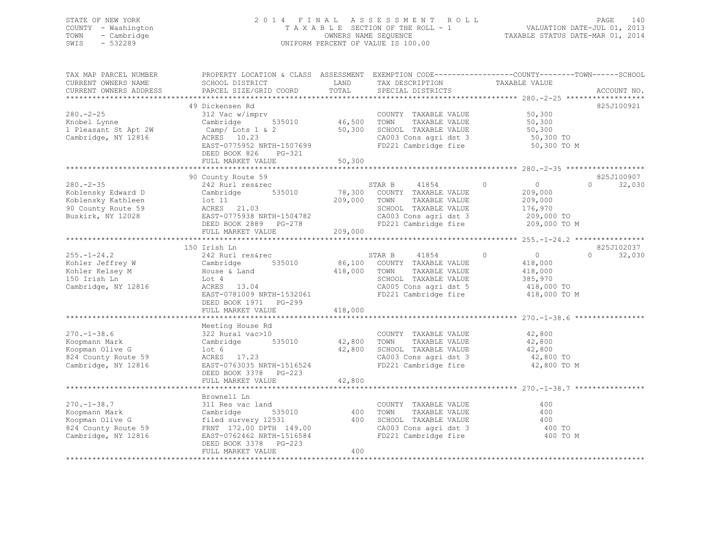### STATE OF NEW YORK 2 0 1 4 F I N A L A S S E S S M E N T R O L L PAGE 140 COUNTY - Washington T A X A B L E SECTION OF THE ROLL - 1 VALUATION DATE-JUL 01, 2013 TOWN - Cambridge OWNERS NAME SEQUENCE TAXABLE STATUS DATE-MAR 01, 2014 SWIS - 532289 UNIFORM PERCENT OF VALUE IS 100.00

| TAX MAP PARCEL NUMBER<br>CURRENT OWNERS NAME<br>CURRENT OWNERS ADDRESS | PROPERTY LOCATION & CLASS ASSESSMENT EXEMPTION CODE----------------COUNTY-------TOWN-----SCHOOL<br>SCHOOL DISTRICT<br>PARCEL SIZE/GRID COORD | LAND<br>TOTAL    | TAX DESCRIPTION<br>SPECIAL DISTRICTS                                                 | TAXABLE VALUE              | ACCOUNT NO.        |
|------------------------------------------------------------------------|----------------------------------------------------------------------------------------------------------------------------------------------|------------------|--------------------------------------------------------------------------------------|----------------------------|--------------------|
|                                                                        |                                                                                                                                              |                  |                                                                                      |                            |                    |
|                                                                        | 49 Dickensen Rd                                                                                                                              |                  |                                                                                      |                            | 825J100921         |
| $280 - 2 - 25$                                                         | 312 Vac w/imprv                                                                                                                              |                  | COUNTY TAXABLE VALUE                                                                 | 50,300                     |                    |
| Knobel Lynne<br>1 Pleasant St Apt 2W                                   | 535010<br>Cambridge                                                                                                                          | 46,500<br>50,300 | TOWN<br>TAXABLE VALUE<br>SCHOOL TAXABLE VALUE                                        | 50,300<br>50,300           |                    |
| Cambridge, NY 12816                                                    | $\texttt{Camp}/$ Lots 1 & 2<br>ACRES 10.23                                                                                                   |                  | CA003 Cons agri dst 3                                                                | 50,300 TO                  |                    |
|                                                                        | EAST-0775952 NRTH-1507699                                                                                                                    |                  | FD221 Cambridge fire                                                                 | 50,300 TO M                |                    |
|                                                                        | PG-321<br>DEED BOOK 826                                                                                                                      |                  |                                                                                      |                            |                    |
|                                                                        | FULL MARKET VALUE                                                                                                                            | 50,300           |                                                                                      |                            |                    |
|                                                                        |                                                                                                                                              |                  |                                                                                      |                            |                    |
|                                                                        | 90 County Route 59                                                                                                                           |                  |                                                                                      |                            | 825J100907         |
| $280. -2 - 35$                                                         | 242 Rurl res&rec                                                                                                                             |                  | STAR B<br>41854                                                                      | $\bigcirc$<br>$\Omega$     | $\cap$<br>32,030   |
| Koblensky Edward D                                                     | Cambridge 535010                                                                                                                             |                  | 78,300 COUNTY TAXABLE VALUE                                                          | 209,000                    |                    |
| Koblensky Kathleen                                                     | $1$ ot $11$                                                                                                                                  | 209,000          | TOWN<br>TAXABLE VALUE                                                                | 209,000                    |                    |
| 90 County Route 59                                                     | ACRES 21.03                                                                                                                                  |                  | SCHOOL TAXABLE VALUE                                                                 | 176,970                    |                    |
| Buskirk, NY 12028                                                      | EAST-0775938 NRTH-1504782                                                                                                                    |                  | CA003 Cons agri dst 3                                                                | 209,000 TO                 |                    |
|                                                                        | DEED BOOK 2889 PG-278                                                                                                                        | 209,000          | FD221 Cambridge fire                                                                 | 209,000 TO M               |                    |
|                                                                        | FULL MARKET VALUE                                                                                                                            |                  |                                                                                      |                            |                    |
|                                                                        | 150 Irish Ln                                                                                                                                 |                  |                                                                                      |                            | 825J102037         |
| $255. - 1 - 24.2$                                                      | 242 Rurl res&rec                                                                                                                             |                  | 41854<br>STAR B                                                                      | $\overline{0}$<br>$\Omega$ | $\Omega$<br>32,030 |
| Kohler Jeffrey W                                                       | 535010<br>Cambridge                                                                                                                          |                  | 86,100 COUNTY TAXABLE VALUE                                                          | 418,000                    |                    |
| Kohler Kelsey M                                                        | House & Land                                                                                                                                 | 418,000          | TOWN<br>TAXABLE VALUE                                                                | 418,000                    |                    |
| 150 Irish Ln                                                           | Lot 4                                                                                                                                        |                  | SCHOOL TAXABLE VALUE                                                                 | 385,970                    |                    |
| Cambridge, NY 12816                                                    | ACRES 13.04                                                                                                                                  |                  | CA005 Cons agri dst 5                                                                | 418,000 TO                 |                    |
|                                                                        | EAST-0781009 NRTH-1532061                                                                                                                    |                  | FD221 Cambridge fire                                                                 | 418,000 TO M               |                    |
|                                                                        | DEED BOOK 1971 PG-299                                                                                                                        |                  |                                                                                      |                            |                    |
|                                                                        | FULL MARKET VALUE                                                                                                                            | 418,000          |                                                                                      |                            |                    |
|                                                                        |                                                                                                                                              |                  |                                                                                      |                            |                    |
| $270. - 1 - 38.6$                                                      | Meeting House Rd<br>322 Rural vac>10                                                                                                         |                  | COUNTY TAXABLE VALUE                                                                 | 42,800                     |                    |
| Koopmann Mark                                                          | Cambridge 535010                                                                                                                             | 42,800           | TOWN<br>TAXABLE VALUE                                                                | 42,800                     |                    |
| Koopman Olive G                                                        | lot 6                                                                                                                                        | 42,800           | SCHOOL TAXABLE VALUE                                                                 | 42,800                     |                    |
| 824 County Route 59                                                    | ACRES 17.23                                                                                                                                  |                  | CA003 Cons agri dst 3                                                                | 42,800 TO                  |                    |
| Cambridge, NY 12816                                                    | EAST-0763035 NRTH-1516524                                                                                                                    |                  | FD221 Cambridge fire                                                                 | 42,800 TO M                |                    |
|                                                                        | DEED BOOK 3378 PG-223                                                                                                                        |                  |                                                                                      |                            |                    |
|                                                                        | FULL MARKET VALUE                                                                                                                            | 42,800           |                                                                                      |                            |                    |
|                                                                        |                                                                                                                                              |                  |                                                                                      |                            |                    |
|                                                                        | Brownell Ln                                                                                                                                  |                  |                                                                                      |                            |                    |
| $270. - 1 - 38.7$                                                      | 311 Res vac land                                                                                                                             |                  | COUNTY TAXABLE VALUE                                                                 | 400                        |                    |
| Koopmann Mark                                                          | Cambridge<br>535010                                                                                                                          |                  | 400 TOWN<br>TAXABLE VALUE                                                            | 400                        |                    |
| Koopman Olive G                                                        | filed survery 12531                                                                                                                          |                  | SCHOOL TAXABLE VALUE<br>CA003 Cons agri dst 3<br>ED221 2<br>400 SCHOOL TAXABLE VALUE | 400                        |                    |
| 824 County Route 59<br>Cambridge, NY 12816                             | FRNT 172.00 DPTH 149.00<br>EAST-0762462 NRTH-1516584                                                                                         |                  | FD221 Cambridge fire                                                                 | 400 TO<br>400 TO M         |                    |
|                                                                        | DEED BOOK 3378 PG-223                                                                                                                        |                  |                                                                                      |                            |                    |
|                                                                        | FULL MARKET VALUE                                                                                                                            | 400              |                                                                                      |                            |                    |
|                                                                        |                                                                                                                                              |                  |                                                                                      |                            |                    |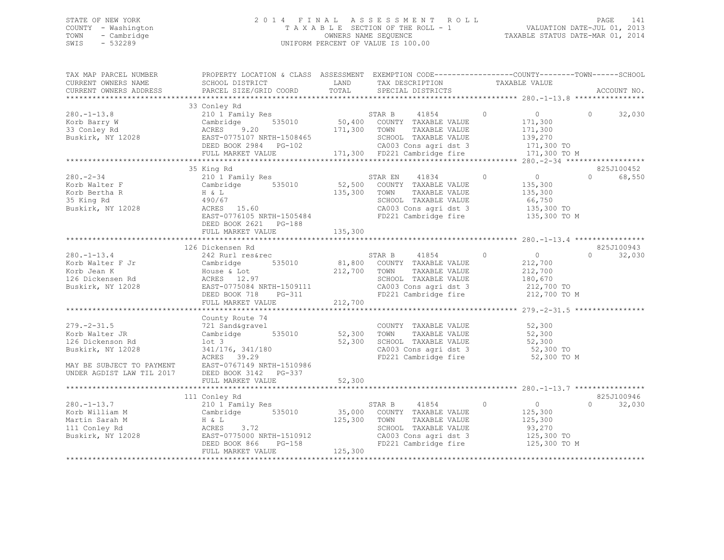### STATE OF NEW YORK 2 0 1 4 F I N A L A S S E S S M E N T R O L L PAGE 141 COUNTY - Washington T A X A B L E SECTION OF THE ROLL - 1 VALUATION DATE-JUL 01, 2013 TOWN - Cambridge OWNERS NAME SEQUENCE TAXABLE STATUS DATE-MAR 01, 2014 SWIS - 532289 UNIFORM PERCENT OF VALUE IS 100.00

| TAX MAP PARCEL NUMBER                                                               | PROPERTY LOCATION & CLASS ASSESSMENT EXEMPTION CODE----------------COUNTY-------TOWN-----SCHOOL                                                                                                                                                                                                                                                                                                                                  |                          |                                                                                                                                                     |                                                               |                    |
|-------------------------------------------------------------------------------------|----------------------------------------------------------------------------------------------------------------------------------------------------------------------------------------------------------------------------------------------------------------------------------------------------------------------------------------------------------------------------------------------------------------------------------|--------------------------|-----------------------------------------------------------------------------------------------------------------------------------------------------|---------------------------------------------------------------|--------------------|
|                                                                                     |                                                                                                                                                                                                                                                                                                                                                                                                                                  |                          |                                                                                                                                                     |                                                               |                    |
| $280. - 1 - 13.8$<br>Korb Barry W                                                   | 33 Conley Rd<br>210 1 Family Res<br>Cambridge 535010 50,400 COUNTY TAXABLE VALUE<br>ACRES 9 20 171 200 mothy materials of PES<br>Cambridge Judicie<br>ACRES 9.20<br>COSCOLOUNDER-1508465<br>33 Conley Rd<br>Buskirk, NY 12028 EAST-0775107 NRTH-1508465 2010 171,300 TOWN TAXABLE VALUE 171,300<br>Buskirk, NY 12028 EAST-0775107 NRTH-1508465 SCHOOL TAXABLE VALUE 139,270<br>DEED BOOK 2984 PG-102 CA003 Cons agri dst 3 171,3 |                          |                                                                                                                                                     | $\begin{array}{ccc} & & 0 & \quad & 0 \end{array}$<br>171,300 | 32,030             |
|                                                                                     |                                                                                                                                                                                                                                                                                                                                                                                                                                  |                          |                                                                                                                                                     |                                                               |                    |
|                                                                                     | 35 King Rd                                                                                                                                                                                                                                                                                                                                                                                                                       |                          |                                                                                                                                                     |                                                               | 825J100452         |
| $280 - 2 - 34$<br>Korb Walter F<br>Korb Bertha R<br>35 King Rd<br>Buskirk, NY 12028 | EAST-0776105 NRTH-1505484<br>DEED BOOK 2621 PG-188                                                                                                                                                                                                                                                                                                                                                                               |                          | TAXABLE VALUE<br>SCHOOL TAXABLE VALUE 66,750<br>CA003 Cons agri dst 3 135,300 TO<br>CA003 Cons agri dst 3<br>FD221 Cambridge fire 135,300 TO M      | 135,300                                                       | $\Omega$<br>68,550 |
|                                                                                     |                                                                                                                                                                                                                                                                                                                                                                                                                                  |                          |                                                                                                                                                     |                                                               |                    |
|                                                                                     | 126 Dickensen Rd                                                                                                                                                                                                                                                                                                                                                                                                                 |                          |                                                                                                                                                     |                                                               | 825J100943         |
| $280 - 1 - 13.4$                                                                    | 242 Rurl res&rec<br>242 Auli 1 = 2016<br>Xorb Walter F Jr Cambridge 535010 81,800 COUNTY TAXABLE VALUE<br>Xorb Jean K House & Lot 212,700 TOWN TAXABLE VALUE<br>212,700 TOWN TAXABLE VALUE 212,700<br>212,700 SCHOOL TAXABLE VALUE 212,700<br>212,700 SCHOOL                                                                                                                                                                     |                          | STAR B 41854 0 0 0                                                                                                                                  |                                                               | 32,030<br>$\Omega$ |
|                                                                                     |                                                                                                                                                                                                                                                                                                                                                                                                                                  |                          |                                                                                                                                                     |                                                               |                    |
| $279. - 2 - 31.5$<br>Korb Walter JR<br>126 Dickenson Rd<br>Buskirk, NY 12028        | County Route 74<br>721 Sand&gravel<br>Cambridge 535010<br>lot <sub>3</sub><br>341/176, 341/180<br>ACRES 39.29<br>MAY BE SUBJECT TO PAYMENT EAST-0767149 NRTH-1510986                                                                                                                                                                                                                                                             | 52,300<br>52,300         | COUNTY TAXABLE VALUE<br>TAXABLE VALUE<br>TOWN<br>SCHOOL TAXABLE VALUE 52,300<br>CA003 Cons agri dst 3 52,300 TO<br>FD221 Cambridge fire 52,300 TO M | $52,300$<br>$52,300$                                          |                    |
| UNDER AGDIST LAW TIL 2017 DEED BOOK 3142 PG-337                                     |                                                                                                                                                                                                                                                                                                                                                                                                                                  |                          |                                                                                                                                                     |                                                               |                    |
|                                                                                     | FULL MARKET VALUE<br>**************************<br>111 Conley Rd                                                                                                                                                                                                                                                                                                                                                                 | 52,300<br>************** |                                                                                                                                                     |                                                               | 825J100946         |
|                                                                                     | 280.-1-13.7<br>Korb William M<br>Martin Sarah M<br>111 Conley Rd<br>2001 Family Res<br>210 1 Family Res<br>210 1 Family Res<br>210 1 Family Res<br>255010<br>26 26 272<br>272<br>273.72<br>273.72<br>EAST-0775000 NRTH-1510912<br>Buskirk, NY 12028<br>DEED BOOK 866 PG-158<br>FULL MARKET VALUE                                                                                                                                 | 125,300                  | STAR B 41854 0<br>TOWN 1000000<br>SCHOOL TAXABLE VALUE 93,270<br>CA003 Cons agri dst 3 125,300 TO<br>125,300 TO M                                   | $\overline{0}$<br>125,300<br>TAXABLE VALUE 125,300            | $\cap$<br>32,030   |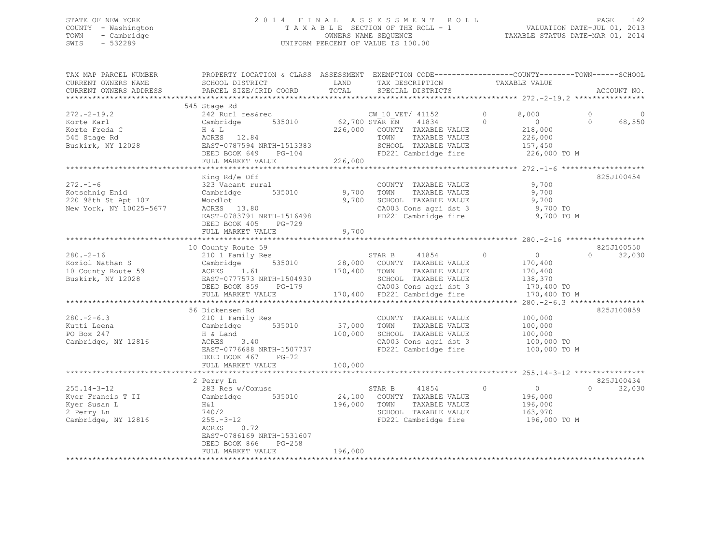### STATE OF NEW YORK 2 0 1 4 F I N A L A S S E S S M E N T R O L L PAGE 142 COUNTY - Washington T A X A B L E SECTION OF THE ROLL - 1 VALUATION DATE-JUL 01, 2013 TOWN - Cambridge OWNERS NAME SEQUENCE TAXABLE STATUS DATE-MAR 01, 2014 SWIS - 532289 UNIFORM PERCENT OF VALUE IS 100.00

| TAX MAP PARCEL NUMBER                            | PROPERTY LOCATION & CLASS ASSESSMENT EXEMPTION CODE---------------COUNTY-------TOWN------SCHOOL                                                                                                                                                                                                                                     |         |                                                                                      |                                            |                     |             |
|--------------------------------------------------|-------------------------------------------------------------------------------------------------------------------------------------------------------------------------------------------------------------------------------------------------------------------------------------------------------------------------------------|---------|--------------------------------------------------------------------------------------|--------------------------------------------|---------------------|-------------|
| CURRENT OWNERS NAME                              | SCHOOL DISTRICT                                                                                                                                                                                                                                                                                                                     | LAND    | TAX DESCRIPTION                                                                      | TAXABLE VALUE                              |                     |             |
| CURRENT OWNERS ADDRESS                           | PARCEL SIZE/GRID COORD                                                                                                                                                                                                                                                                                                              |         | TOTAL SPECIAL DISTRICTS                                                              |                                            |                     | ACCOUNT NO. |
|                                                  |                                                                                                                                                                                                                                                                                                                                     |         |                                                                                      |                                            |                     |             |
|                                                  | 545 Stage Rd                                                                                                                                                                                                                                                                                                                        |         |                                                                                      |                                            | $\circ$<br>$\Omega$ | 68,550      |
|                                                  | 272.-2-19.2<br>Xorte Karl Cambridge Kanner (M.10 VET/41152 0 8,000<br>Xorte Karl Cambridge 535010 62,700 STAR EN 41834 0 0<br>Xorte Freda C H & L 226,000 COUNTY TAXABLE VALUE 218,000<br>S45 Stage Rd RCRES 12.84 TOWN TAXABLE VALUE                                                                                               |         |                                                                                      |                                            |                     |             |
|                                                  | FULL MARKET VALUE                                                                                                                                                                                                                                                                                                                   | 226,000 | FD221 Cambridge fire                                                                 | 226,000 TO M                               |                     |             |
|                                                  |                                                                                                                                                                                                                                                                                                                                     |         |                                                                                      |                                            |                     |             |
|                                                  | King Rd/e Off                                                                                                                                                                                                                                                                                                                       |         |                                                                                      |                                            |                     | 825J100454  |
| $272. - 1 - 6$                                   |                                                                                                                                                                                                                                                                                                                                     |         | COUNTY TAXABLE VALUE 9,700<br>CA003 Cons agri dst 3 9,700 TO<br>FD221 Cambridge fire | TAXABLE VALUE 9,700<br>9,700<br>9,700 TO M |                     |             |
|                                                  |                                                                                                                                                                                                                                                                                                                                     |         |                                                                                      |                                            |                     |             |
|                                                  | 10 County Route 59                                                                                                                                                                                                                                                                                                                  |         |                                                                                      |                                            |                     | 825J100550  |
|                                                  | 10 County Route 59<br>Xoziol Nathan S<br>200.-2-16<br>200.-2-16<br>200.-2-16<br>200.-2-16<br>200.1 Tamily Res<br>200.0 COUNTY TAXABLE VALUE<br>200.0 COUNTY TAXABLE VALUE<br>200.400 TOWN TAXABLE VALUE<br>200.400 TOWN TAXABLE VALUE<br>200.400 TAX                                                                                |         |                                                                                      |                                            |                     |             |
|                                                  |                                                                                                                                                                                                                                                                                                                                     |         |                                                                                      |                                            |                     |             |
|                                                  |                                                                                                                                                                                                                                                                                                                                     |         |                                                                                      |                                            |                     |             |
| $280 - 2 - 6.3$                                  | 56 Dickensen Rd                                                                                                                                                                                                                                                                                                                     |         |                                                                                      |                                            |                     | 825J100859  |
| Kutti Leena<br>PO Box 247<br>Cambridge, NY 12816 | 210 1 Family Res<br>Cambridge 535010 37,000 TOWN TAXABLE VALUE 100,000<br>H & Land 100,000 SCHOOL TAXABLE VALUE 100,000<br>ACRES 3.40 100,000 CA003 Cons agri dst 3 100,000<br>EAST-0776688 NRTH-1507737                                                                                                                            |         | CA003 Cons agri dst 3 100,000 TO<br>FD221 Cambridge fire 100,000 TO M                |                                            |                     |             |
|                                                  | DEED BOOK 467 PG-72                                                                                                                                                                                                                                                                                                                 |         |                                                                                      |                                            |                     |             |
|                                                  |                                                                                                                                                                                                                                                                                                                                     |         |                                                                                      |                                            |                     |             |
|                                                  | 2 Perry Ln                                                                                                                                                                                                                                                                                                                          |         |                                                                                      |                                            |                     | 825J100434  |
| $255.14 - 3 - 12$                                | 283 Res w/Comuse<br>2003 NES W/COMMUSE 196,000<br>Nyer Francis T II Cambridge 535010 24,100 COUNTY TAXABLE VALUE 196,000<br>Nyer Susan L H&1 196,000 TOWN TAXABLE VALUE 196,000<br>2 Perry Ln 740/2 SCHOOL TAXABLE VALUE 163,970<br>Cambridge, NY 12816 25<br>0.72<br>ACRES<br>EAST-0786169 NRTH-1531607<br>DEED BOOK 866<br>PG-258 |         | STAR B 41854 0 0<br>FD221 Cambridge fire 196,000 TO M                                |                                            | $\Omega$            | 32,030      |
|                                                  | FULL MARKET VALUE                                                                                                                                                                                                                                                                                                                   | 196,000 |                                                                                      |                                            |                     |             |
|                                                  |                                                                                                                                                                                                                                                                                                                                     |         |                                                                                      |                                            |                     |             |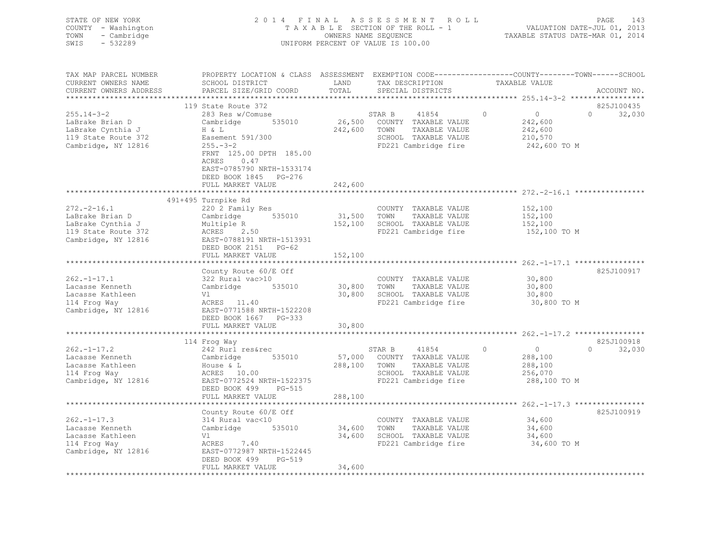| STATE OF NEW YORK<br>COUNTY - Washington<br>- Cambridge<br>TOWN<br>$-532289$<br>SWIS                                           |                                                                                                                                                                                                                                |                                       | 2014 FINAL ASSESSMENT ROLL<br>TAXABLE SECTION OF THE ROLL - 1<br>OWNERS NAME SEQUENCE<br>UNIFORM PERCENT OF VALUE IS 100.00     |                                                            | PAGE<br>143<br>VALUATION DATE-JUL 01, 2013<br>TAXABLE STATUS DATE-MAR 01, 2014 |
|--------------------------------------------------------------------------------------------------------------------------------|--------------------------------------------------------------------------------------------------------------------------------------------------------------------------------------------------------------------------------|---------------------------------------|---------------------------------------------------------------------------------------------------------------------------------|------------------------------------------------------------|--------------------------------------------------------------------------------|
| TAX MAP PARCEL NUMBER<br>CURRENT OWNERS NAME<br>CURRENT OWNERS ADDRESS                                                         | PROPERTY LOCATION & CLASS ASSESSMENT EXEMPTION CODE-----------------COUNTY-------TOWN------SCHOOL<br>SCHOOL DISTRICT<br>PARCEL SIZE/GRID COORD                                                                                 | LAND<br>TOTAL                         | TAX DESCRIPTION<br>SPECIAL DISTRICTS                                                                                            | TAXABLE VALUE                                              | ACCOUNT NO.                                                                    |
| $255.14 - 3 - 2$<br>LaBrake Brian D<br>LaBrake Cynthia J<br>119 State Route 372<br>Cambridge, NY 12816                         | 119 State Route 372<br>283 Res w/Comuse<br>Cambridge 535010<br>H & L<br>Easement 591/300<br>$255. - 3 - 2$<br>FRNT 125.00 DPTH 185.00<br>ACRES 0.47<br>EAST-0785790 NRTH-1533174<br>DEED BOOK 1845 PG-276<br>FULL MARKET VALUE | 242,600                               | STAR B<br>41854<br>26,500 COUNTY TAXABLE VALUE<br>242,600 TOWN<br>TAXABLE VALUE<br>SCHOOL TAXABLE VALUE<br>FD221 Cambridge fire | $\circ$<br>242,600<br>242,600<br>210,570                   | 825J100435<br>$\overline{0}$<br>$\Omega$<br>32,030<br>242,600 TO M             |
| $272. - 2 - 16.1$<br>LaBrake Brian D<br>LaBrake Cynthia J<br>119 State Route 372<br>Cambridge, NY 12816<br>Cambridge, NY 12816 | ***************************<br>491+495 Turnpike Rd<br>220 2 Family Res<br>Cambridge 535010<br>Multiple R<br>ACRES 2.50<br>EAST-0788191 N<br>EAST-0788191 NRTH-1513931<br>DEED BOOK 2151 PG-62<br>FULL MARKET VALUE             | 152,100                               | COUNTY TAXABLE VALUE<br>31,500 TOWN<br>TAXABLE VALUE<br>152,100 SCHOOL TAXABLE VALUE<br>FD221 Cambridge fire                    | 152,100<br>152,100<br>152,100                              | 152,100 TO M                                                                   |
| $262. - 1 - 17.1$<br>Lacasse Kenneth<br>Lacasse Kathleen<br>114 Frog Way<br>Cambridge, NY 12816                                | County Route 60/E Off<br>322 Rural vac>10<br>Cambridge 535010<br>Vl<br>ACRES 11.40<br>EAST-0771588 NRTH-1522208<br>DEED BOOK 1667 PG-333<br>FULL MARKET VALUE                                                                  | 30,800<br>30,800<br>30,800            | COUNTY TAXABLE VALUE<br>TOWN<br>TAXABLE VALUE<br>30,800 SCHOOL TAXABLE VALUE<br>FD221 Cambridge fire                            | 30,800<br>30,800<br>30,800                                 | 825J100917<br>30,800 TO M                                                      |
| $262. - 1 - 17.2$<br>Lacasse Kenneth<br>Lacasse Kathleen<br>114 Frog Way<br>Cambridge, NY 12816                                | 114 Froq Way<br>242 Rurl res&rec<br>Cambridge 535010<br>House & L<br>$ACRES$ 10.00<br>$CRES$ 10.00<br>EAST-0772524 NRTH-1522375<br>DEED BOOK 499 PG-515                                                                        |                                       | 41854<br>STAR B<br>57,000 COUNTY TAXABLE VALUE<br>288,100 TOWN<br>TAXABLE VALUE<br>SCHOOL TAXABLE VALUE<br>FD221 Cambridge fire | $\circ$<br>$\overline{0}$<br>288,100<br>288,100<br>256,070 | 825J100918<br>$\Omega$<br>32,030<br>288,100 TO M                               |
| $262 - 1 - 17.3$<br>Lacasse Kenneth<br>Lacasse Kathleen<br>114 Frog Way<br>Cambridge, NY 12816                                 | FULL MARKET VALUE<br>*****************************<br>County Route 60/E Off<br>314 Rural vac<10<br>Cambridge 535010<br>$\text{ACRES}$ 7.40<br>EAST-0772987 NRTH-1522445<br>DEED BOOK 499<br>PG-519<br>FULL MARKET VALUE        | 288,100<br>34,600<br>34,600<br>34,600 | COUNTY TAXABLE VALUE<br>TOWN<br>TAXABLE VALUE<br>34,600 SCHOOL TAXABLE VALUE<br>FD221 Cambridge fire                            | 34,600<br>34,600<br>34,600                                 | 825J100919<br>34,600 TO M                                                      |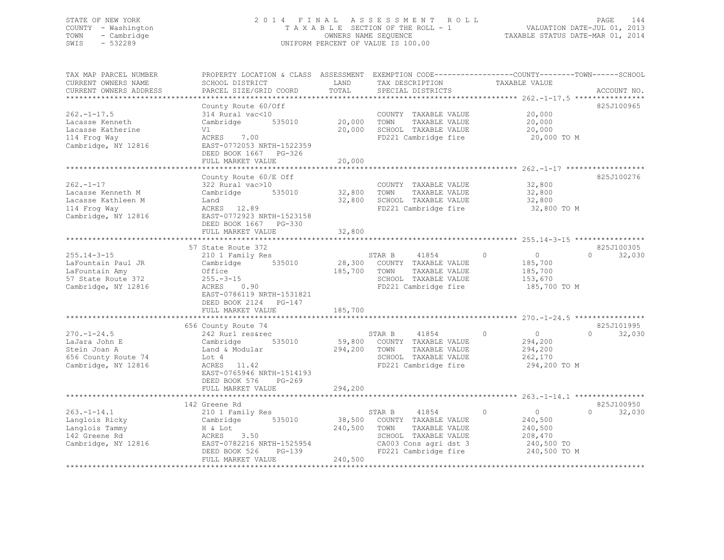### STATE OF NEW YORK 2 0 1 4 F I N A L A S S E S S M E N T R O L L PAGE 144 COUNTY - Washington T A X A B L E SECTION OF THE ROLL - 1 VALUATION DATE-JUL 01, 2013 TOWN - Cambridge OWNERS NAME SEQUENCE TAXABLE STATUS DATE-MAR 01, 2014 SWIS - 532289 UNIFORM PERCENT OF VALUE IS 100.00

| TAX MAP PARCEL NUMBER<br>CURRENT OWNERS NAME                                                     | PROPERTY LOCATION & CLASS ASSESSMENT EXEMPTION CODE----------------COUNTY-------TOWN------SCHOOL<br>SCHOOL DISTRICT                                | LAND                         | TAX DESCRIPTION                                                                                                                           | TAXABLE VALUE                                                                     |                                  |
|--------------------------------------------------------------------------------------------------|----------------------------------------------------------------------------------------------------------------------------------------------------|------------------------------|-------------------------------------------------------------------------------------------------------------------------------------------|-----------------------------------------------------------------------------------|----------------------------------|
| CURRENT OWNERS ADDRESS<br>**********************                                                 | PARCEL SIZE/GRID COORD                                                                                                                             | TOTAL                        | SPECIAL DISTRICTS                                                                                                                         |                                                                                   | ACCOUNT NO.                      |
|                                                                                                  | County Route 60/Off                                                                                                                                |                              |                                                                                                                                           |                                                                                   | 825J100965                       |
| $262. - 1 - 17.5$<br>Lacasse Kenneth                                                             | 314 Rural vac<10<br>Cambridge<br>535010                                                                                                            | 20,000                       | COUNTY TAXABLE VALUE<br>TAXABLE VALUE<br>TOWN                                                                                             | 20,000<br>20,000                                                                  |                                  |
| Lacasse Katherine<br>114 Frog Way<br>Cambridge, NY 12816                                         | Vl<br>ACRES<br>7.00<br>EAST-0772053 NRTH-1522359<br>DEED BOOK 1667 PG-326<br>FULL MARKET VALUE                                                     | 20,000<br>20,000             | SCHOOL TAXABLE VALUE<br>FD221 Cambridge fire                                                                                              | 20,000<br>20,000 TO M                                                             |                                  |
|                                                                                                  |                                                                                                                                                    |                              |                                                                                                                                           |                                                                                   |                                  |
| $262 - 1 - 17$<br>Lacasse Kenneth M<br>Lacasse Kathleen M                                        | County Route 60/E Off<br>322 Rural vac>10<br>535010<br>Cambridge<br>Land                                                                           | 32,800<br>32,800             | COUNTY TAXABLE VALUE<br>TOWN<br>TAXABLE VALUE<br>SCHOOL TAXABLE VALUE                                                                     | 32,800<br>32,800<br>32,800                                                        | 825J100276                       |
| 114 Frog Way<br>Cambridge, NY 12816                                                              | ACRES 12.89<br>EAST-0772923 NRTH-1523158<br>DEED BOOK 1667 PG-330<br>FULL MARKET VALUE                                                             | 32,800                       | FD221 Cambridge fire                                                                                                                      | 32,800 TO M                                                                       |                                  |
|                                                                                                  |                                                                                                                                                    |                              |                                                                                                                                           |                                                                                   |                                  |
| $255.14 - 3 - 15$<br>LaFountain Paul JR                                                          | 57 State Route 372<br>210 1 Family Res<br>535010<br>Cambridge                                                                                      |                              | STAR B<br>41854<br>28,300 COUNTY TAXABLE VALUE                                                                                            | $\circ$<br>$\circ$<br>185,700                                                     | 825J100305<br>$\Omega$<br>32,030 |
| LaFountain Amy<br>57 State Route 372<br>Cambridge, NY 12816                                      | Office<br>$255. - 3 - 15$<br>0.90<br>ACRES<br>EAST-0786119 NRTH-1531821<br>DEED BOOK 2124 PG-147                                                   | 185,700                      | TOWN<br>TAXABLE VALUE<br>SCHOOL TAXABLE VALUE<br>FD221 Cambridge fire                                                                     | 185,700<br>153,670<br>185,700 TO M                                                |                                  |
|                                                                                                  | FULL MARKET VALUE<br>*************************************                                                                                         | 185,700                      |                                                                                                                                           |                                                                                   |                                  |
|                                                                                                  | 656 County Route 74                                                                                                                                |                              |                                                                                                                                           |                                                                                   | 825J101995                       |
| $270. - 1 - 24.5$<br>LaJara John E<br>Stein Joan A<br>656 County Route 74<br>Cambridge, NY 12816 | 242 Rurl res&rec<br>Cambridge<br>535010<br>Land & Modular<br>Lot 4<br>ACRES 11.42<br>EAST-0765946 NRTH-1514193<br>DEED BOOK 576<br>$PG-269$        | 59,800<br>294,200            | STAR B<br>41854<br>COUNTY TAXABLE VALUE<br>TOWN<br>TAXABLE VALUE<br>SCHOOL TAXABLE VALUE<br>FD221 Cambridge fire                          | $\circ$<br>0<br>294,200<br>294,200<br>262,170<br>294,200 TO M                     | 32,030<br>$\Omega$               |
|                                                                                                  | FULL MARKET VALUE                                                                                                                                  | 294,200                      |                                                                                                                                           |                                                                                   |                                  |
|                                                                                                  | ***********************<br>142 Greene Rd                                                                                                           |                              |                                                                                                                                           | ************************* 263.-1-14.1 *****************                           | 825J100950                       |
| $263. - 1 - 14.1$<br>Langlois Ricky<br>Langlois Tammy<br>142 Greene Rd<br>Cambridge, NY 12816    | 210 1 Family Res<br>535010<br>Cambridge<br>H & Lot<br>3.50<br>ACRES<br>EAST-0782216 NRTH-1525954<br>DEED BOOK 526<br>$PG-139$<br>FULL MARKET VALUE | 38,500<br>240,500<br>240,500 | STAR B<br>41854<br>COUNTY TAXABLE VALUE<br>TOWN<br>TAXABLE VALUE<br>SCHOOL TAXABLE VALUE<br>CA003 Cons agri dst 3<br>FD221 Cambridge fire | $\circ$<br>$\circ$<br>240,500<br>240,500<br>208,470<br>240,500 TO<br>240,500 TO M | $\Omega$<br>32,030               |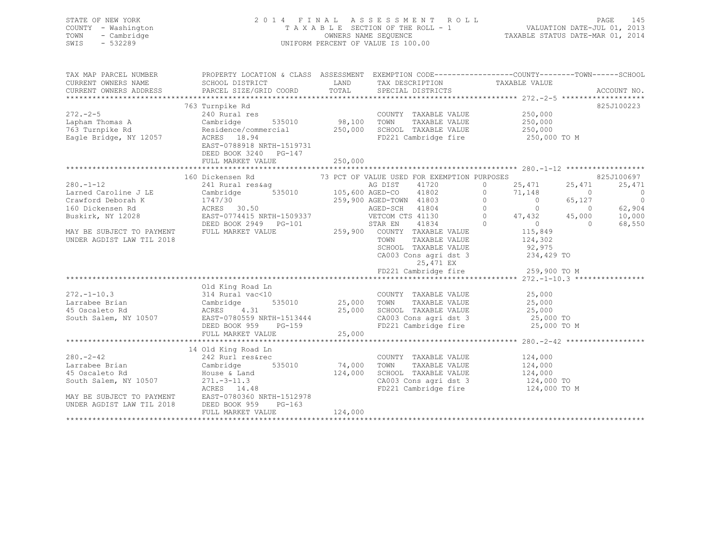| STATE OF NEW YORK<br>COUNTY - Washington<br>TOWN<br>- Cambridge<br>SWIS<br>$-532289$                                                                                |                                                                                                                                                                                                                                                                         |                          | FINAL ASSESSMENT ROLL<br>TAXABLE SECTION OF THE ROLL - 1<br>OWNERS NAME SEQUENCE<br>TAXABLE STATUS DATE-MAR 01, 2014<br>2014 FINAL ASSESSMENT ROLL<br>UNIFORM PERCENT OF VALUE IS 100.00 |                                               |                                                                                                          |
|---------------------------------------------------------------------------------------------------------------------------------------------------------------------|-------------------------------------------------------------------------------------------------------------------------------------------------------------------------------------------------------------------------------------------------------------------------|--------------------------|------------------------------------------------------------------------------------------------------------------------------------------------------------------------------------------|-----------------------------------------------|----------------------------------------------------------------------------------------------------------|
| TAX MAP PARCEL NUMBER<br>CURRENT OWNERS NAME<br>CURRENT OWNERS ADDRESS                                                                                              | PROPERTY LOCATION & CLASS ASSESSMENT EXEMPTION CODE----------------COUNTY-------TOWN-----SCHOOL<br>SCHOOL DISTRICT<br>PARCEL SIZE/GRID COORD                                                                                                                            | <b>LAND</b><br>TOTAL     | TAX DESCRIPTION<br>SPECIAL DISTRICTS                                                                                                                                                     | TAXABLE VALUE                                 | ACCOUNT NO.                                                                                              |
|                                                                                                                                                                     | 763 Turnpike Rd                                                                                                                                                                                                                                                         |                          |                                                                                                                                                                                          |                                               | 825J100223                                                                                               |
| $272 - 2 - 5$<br>Lapham Thomas A<br>763 Turnpike Rd<br>Eagle Bridge, NY 12057                                                                                       | Residence/commercial 250,000 SCHOOL TAXABLE VALUE<br>ACRES 18.94 FD221 Cambridge fire<br>EAST-0788918 NRTH-1519731<br>DEED BOOK 3240 PG-147                                                                                                                             |                          | COUNTY TAXABLE VALUE<br>TAXABLE VALUE                                                                                                                                                    | 250,000<br>250,000<br>250,000<br>250,000 TO M |                                                                                                          |
|                                                                                                                                                                     | FULL MARKET VALUE                                                                                                                                                                                                                                                       | 250,000                  |                                                                                                                                                                                          |                                               |                                                                                                          |
|                                                                                                                                                                     | 160 Dickensen Rd                                                                                                                                                                                                                                                        |                          | 73 PCT OF VALUE USED FOR EXEMPTION PURPOSES                                                                                                                                              |                                               | 825J100697                                                                                               |
| $280. - 1 - 12$<br>Larned Caroline J LE<br>Crawford Deborah K<br>160 Dickensen Rd<br>Buskirk, NY 12028                                                              | Cambrid<br>1747/30<br>ACRF<br>Dickensen Rd<br>241 Rural res&ag<br>Cambridge 535010 105,600 AGED-CO 41802 0<br>1747/30 259,900 AGED-TOWN 41803 0 0 65,12<br>ACRES 30.50 AGED-SCH 41804 0 0 0<br>TREE 30.50 NETCOM CTS 41130 0 47,432 45,00<br>TREE 115,849 5TAR EN 41834 |                          |                                                                                                                                                                                          | $25,471$ $25,471$<br>$71,148$ 0               | 25,471<br>25,471<br>$\overline{0}$<br>$\overline{0}$<br>65,127<br>$\sim$ 0<br>62,904<br>10,000<br>45,000 |
| MAY BE SUBJECT TO PAYMENT<br>UNDER AGDIST LAW TIL 2018                                                                                                              |                                                                                                                                                                                                                                                                         |                          | TAXABLE VALUE<br>TOWN<br>SCHOOL TAXABLE VALUE 92,975<br>CA003 Cons agri dst 3 234,429 TO<br>25,471 EX<br>FD221 Cambridge fire                                                            | 124,302<br>259,900 TO M                       | $\Omega$<br>68,550                                                                                       |
|                                                                                                                                                                     |                                                                                                                                                                                                                                                                         |                          |                                                                                                                                                                                          |                                               |                                                                                                          |
| $272. - 1 - 10.3$<br>Larrabee Brian<br>45 Oscaleto Rd<br>South Salem, NY 10507                                                                                      | Old King Road Ln<br>314 Rural vac<10<br>314 Rural vac<10<br>Cambridge 535010<br>ACRES 4.31<br>EAST-0780559 NRTH-1513444<br>535010 25,000 TOWN<br>$3$<br>535010<br>-- 1513444<br>-- 000<br>DEED BOOK 959 PG-159<br>FULL MARKET VALUE                                     | 25,000                   | COUNTY TAXABLE VALUE<br>TAXABLE VALUE<br>25,000 SCHOOL TAXABLE VALUE<br>CA003 Cons agri dst 3 25,000 TO<br>FD221 Cambridge fire 25,000 TO M                                              | 25,000<br>25,000<br>25,000<br>25,000 TO       |                                                                                                          |
|                                                                                                                                                                     |                                                                                                                                                                                                                                                                         |                          |                                                                                                                                                                                          |                                               |                                                                                                          |
| $280 - 2 - 42$<br>Larrabee Brian<br>45 Oscaleto Rd<br>South Salem, NY 10507<br>271.-3-11.3<br>ACRES 14.48<br>MAY BE SUBJECT TO PAYMENT<br>UNDER AGDIST LAW TIL 2018 | 14 Old King Road Ln<br>242 Rurl res&rec<br>Cambridge<br>House & Land<br>EAST-0780360 NRTH-1512978<br>DEED BOOK 959<br>$PG-163$                                                                                                                                          | 535010 74,000<br>124,000 | COUNTY TAXABLE VALUE<br>TOWN<br>TAXABLE VALUE<br>SCHOOL TAXABLE VALUE<br>CA003 Cons agri dst 3 124,000 TO<br>FD221 Cambridge fire 124,000 TO M                                           | 124,000<br>124,000<br>124,000                 |                                                                                                          |
|                                                                                                                                                                     | FULL MARKET VALUE                                                                                                                                                                                                                                                       | 124,000                  |                                                                                                                                                                                          |                                               |                                                                                                          |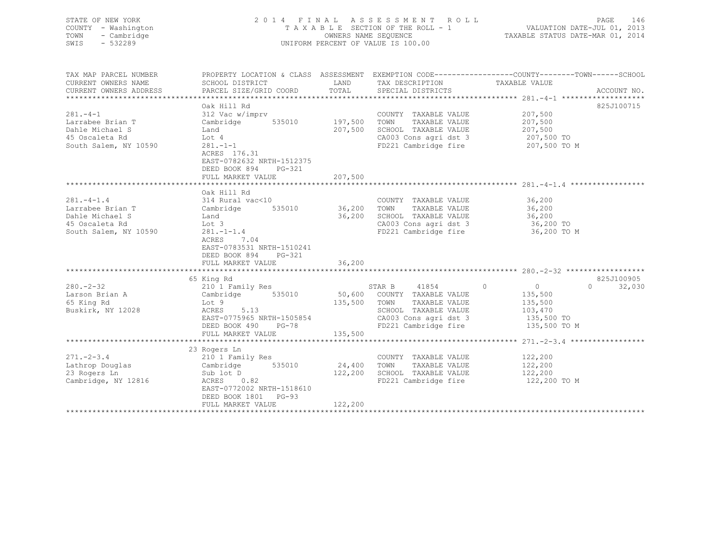| STATE OF NEW YORK<br>COUNTY - Washington<br>TOWN<br>- Cambridge<br>$-532289$<br>SWIS | 2014 FINAL<br>TAXABLE SECTION OF THE ROLL - 1<br>UNIFORM PERCENT OF VALUE IS 100.00                           | ROLL ROLL<br>VALUATION DATE-JUL 01, 2013<br>VALUATION DAIR-VOLUTE VI.<br>TAXABLE STATUS DATE-MAR 01, 2014 | PAGE<br>146                                                           |                |                    |
|--------------------------------------------------------------------------------------|---------------------------------------------------------------------------------------------------------------|-----------------------------------------------------------------------------------------------------------|-----------------------------------------------------------------------|----------------|--------------------|
| TAX MAP PARCEL NUMBER                                                                | PROPERTY LOCATION & CLASS ASSESSMENT EXEMPTION CODE-----------------COUNTY-------TOWN------SCHOOL             |                                                                                                           |                                                                       |                |                    |
| CURRENT OWNERS NAME                                                                  | SCHOOL DISTRICT                                                                                               |                                                                                                           | LAND TAX DESCRIPTION                                                  | TAXABLE VALUE  |                    |
| CURRENT OWNERS ADDRESS                                                               | PARCEL SIZE/GRID COORD                                                                                        | TOTAL                                                                                                     | SPECIAL DISTRICTS                                                     |                | ACCOUNT NO.        |
|                                                                                      | Oak Hill Rd                                                                                                   |                                                                                                           |                                                                       |                | 825J100715         |
| $281 - 4 - 1$                                                                        | 312 Vac w/imprv                                                                                               |                                                                                                           | COUNTY TAXABLE VALUE                                                  | 207,500        |                    |
| Larrabee Brian T                                                                     | Cambridge                                                                                                     | 535010 197,500 TOWN                                                                                       | TAXABLE VALUE                                                         | 207,500        |                    |
| Dahle Michael S                                                                      | Land                                                                                                          |                                                                                                           | 207,500 SCHOOL TAXABLE VALUE                                          | 207,500        |                    |
| 45 Oscaleta Rd                                                                       | Lot 4                                                                                                         |                                                                                                           | CA003 Cons agri dst 3                                                 | 207,500 TO     |                    |
| South Salem, NY 10590                                                                | $281 - 1 - 1$                                                                                                 |                                                                                                           | FD221 Cambridge fire                                                  | 207,500 TO M   |                    |
|                                                                                      | ACRES 176.31<br>EAST-0782632 NRTH-1512375<br>DEED BOOK 894 PG-321<br>FULL MARKET VALUE                        | 207,500                                                                                                   |                                                                       |                |                    |
|                                                                                      |                                                                                                               |                                                                                                           |                                                                       |                |                    |
|                                                                                      | Oak Hill Rd                                                                                                   |                                                                                                           |                                                                       |                |                    |
| $281 - 4 - 1.4$                                                                      | 314 Rural vac<10                                                                                              |                                                                                                           | COUNTY TAXABLE VALUE                                                  | 36,200         |                    |
| Larrabee Brian T                                                                     | Cambridge 535010 36,200 TOWN                                                                                  |                                                                                                           | TAXABLE VALUE                                                         | 36,200         |                    |
| Dahle Michael S                                                                      | Land                                                                                                          |                                                                                                           | 36,200 SCHOOL TAXABLE VALUE                                           | 36,200         |                    |
| 45 Oscaleta Rd                                                                       | Lot 3                                                                                                         |                                                                                                           | CA003 Cons agri dst 3                                                 | 36,200 TO      |                    |
| South Salem, NY 10590                                                                | $281 - 1 - 1.4$<br>ACRES<br>7.04<br>EAST-0783531 NRTH-1510241<br>DEED BOOK 894<br>PG-321<br>FULL MARKET VALUE | 36,200                                                                                                    | FD221 Cambridge fire                                                  | 36,200 TO M    |                    |
|                                                                                      |                                                                                                               |                                                                                                           |                                                                       |                |                    |
|                                                                                      | 65 King Rd                                                                                                    |                                                                                                           |                                                                       |                | 825J100905         |
| $280 - 2 - 32$                                                                       | 210 1 Family Res                                                                                              |                                                                                                           | STAR B 41854 0                                                        | $\overline{0}$ | $\Omega$<br>32,030 |
| Larson Brian A                                                                       | 535010<br>Cambridge                                                                                           |                                                                                                           | 50,600 COUNTY TAXABLE VALUE                                           | 135,500        |                    |
| 65 King Rd                                                                           | Lot 9                                                                                                         |                                                                                                           | 135,500 TOWN<br>TAXABLE VALUE                                         | 135,500        |                    |
| Buskirk, NY 12028                                                                    | 5.13<br>ACRES                                                                                                 |                                                                                                           | SCHOOL TAXABLE VALUE                                                  | 103,470        |                    |
|                                                                                      | EAST-0775965 NRTH-1505854                                                                                     |                                                                                                           | CA003 Cons agri dst 3 135,500 TO<br>FD221 Cambridge fire 135,500 TO M |                |                    |
|                                                                                      | DEED BOOK 490 PG-78                                                                                           |                                                                                                           |                                                                       |                |                    |
|                                                                                      | FULL MARKET VALUE                                                                                             | 135,500                                                                                                   |                                                                       |                |                    |
|                                                                                      | 23 Rogers Ln                                                                                                  |                                                                                                           |                                                                       |                |                    |
| $271. - 2 - 3.4$                                                                     | 210 1 Family Res                                                                                              |                                                                                                           | COUNTY TAXABLE VALUE 122,200                                          |                |                    |
| Lathrop Douglas                                                                      | Cambridge 535010                                                                                              | 24,400 TOWN                                                                                               | TAXABLE VALUE                                                         | 122,200        |                    |
| 23 Rogers Ln                                                                         | Sub lot D                                                                                                     |                                                                                                           | 122,200 SCHOOL TAXABLE VALUE                                          | 122,200        |                    |
| Cambridge, NY 12816                                                                  | ACRES 0.82<br>EAST-0772002 NRTH-1518610<br>DEED BOOK 1801 PG-93                                               |                                                                                                           | FD221 Cambridge fire                                                  | 122,200 TO M   |                    |

\*\*\*\*\*\*\*\*\*\*\*\*\*\*\*\*\*\*\*\*\*\*\*\*\*\*\*\*\*\*\*\*\*\*\*\*\*\*\*\*\*\*\*\*\*\*\*\*\*\*\*\*\*\*\*\*\*\*\*\*\*\*\*\*\*\*\*\*\*\*\*\*\*\*\*\*\*\*\*\*\*\*\*\*\*\*\*\*\*\*\*\*\*\*\*\*\*\*\*\*\*\*\*\*\*\*\*\*\*\*\*\*\*\*\*\*\*\*\*\*\*\*\*\*\*\*\*\*\*\*\*\*

FULL MARKET VALUE 122,200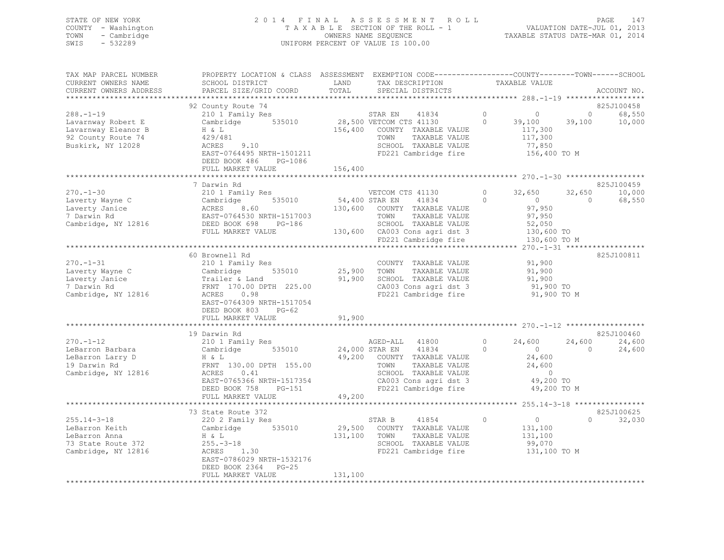### STATE OF NEW YORK 2 0 1 4 F I N A L A S S E S S M E N T R O L L PAGE 147 COUNTY - Washington T A X A B L E SECTION OF THE ROLL - 1 VALUATION DATE-JUL 01, 2013 TOWN - Cambridge OWNERS NAME SEQUENCE TAXABLE STATUS DATE-MAR 01, 2014 SWIS - 532289 UNIFORM PERCENT OF VALUE IS 100.00

| TAX MAP PARCEL NUMBER<br>CURRENT OWNERS NAME<br>CURRENT OWNERS ADDRESS                                  | PROPERTY LOCATION & CLASS ASSESSMENT EXEMPTION CODE---------------COUNTY-------TOWN-----SCHOOL<br>SCHOOL DISTRICT<br>PARCEL SIZE/GRID COORD                                                                             | LAND<br>TOTAL                | TAX DESCRIPTION<br>SPECIAL DISTRICTS                                                                                                                                          |                     | TAXABLE VALUE                                                                                                                          |                          | ACCOUNT NO.                             |
|---------------------------------------------------------------------------------------------------------|-------------------------------------------------------------------------------------------------------------------------------------------------------------------------------------------------------------------------|------------------------------|-------------------------------------------------------------------------------------------------------------------------------------------------------------------------------|---------------------|----------------------------------------------------------------------------------------------------------------------------------------|--------------------------|-----------------------------------------|
| $288. - 1 - 19$<br>Lavarnway Robert E<br>Lavarnway Eleanor B<br>92 County Route 74<br>Buskirk, NY 12028 | 92 County Route 74<br>210 1 Family Res<br>Cambridge 535010<br>H & L<br>429/481<br>ACRES 9.10<br>EAST-0764495 NRTH-1501211<br>DEED BOOK 486<br>PG-1086<br>FULL MARKET VALUE                                              | 156,400                      | STAR EN<br>41834<br>28,500 VETCOM CTS 41130<br>156,400 COUNTY TAXABLE VALUE<br>TOWN<br>TAXABLE VALUE<br>SCHOOL TAXABLE VALUE<br>FD221 Cambridge fire                          | $\circ$<br>$\Omega$ | $\sim$ 0<br>39,100<br>117,300<br>117,300<br>77,850<br>156,400 TO M                                                                     | $\overline{0}$<br>39,100 | *****<br>825J100458<br>68,550<br>10,000 |
| $270 - 1 - 30$<br>Laverty Wayne C<br>Laverty Janice<br>7 Darwin Rd<br>Cambridge, NY 12816               | 7 Darwin Rd<br>210 1 Family Res<br>Cambridge 535010<br>ACRES 8.60<br>EAST-0764530 NRTH-1517003<br>DEED BOOK 698 PG-186<br>FULL MARKET VALUE                                                                             | 54,400 STAR EN<br>130,600    | VETCOM CTS 41130<br>41834<br>COUNTY TAXABLE VALUE<br>TOWN<br>TAXABLE VALUE<br>SCHOOL TAXABLE VALUE<br>130,600 CA003 Cons agri dst 3<br>FD221 Cambridge fire                   | $\circ$<br>$\Omega$ | 32,650<br>$\overline{0}$<br>97,950<br>97,950<br>52,050<br>130,600 TO<br>130,600 TO M                                                   | 32,650<br>$\Omega$       | 825J100459<br>10,000<br>68,550          |
| $270. - 1 - 31$<br>Laverty Wayne C<br>Laverty Janice<br>7 Darwin Rd<br>Cambridge, NY 12816              | 60 Brownell Rd<br>210 1 Family Res<br>535010<br>Cambridge<br>Trailer & Land<br>FRNT 170.00 DPTH<br>FRNT 170.00 DPTH 225.00<br>0.98<br>ACRES<br>EAST-0764309 NRTH-1517054<br>DEED BOOK 803<br>PG-62<br>FULL MARKET VALUE | 25,900<br>91,900<br>91,900   | COUNTY TAXABLE VALUE<br>TAXABLE VALUE<br>TOWN<br>SCHOOL TAXABLE VALUE<br>CA003 Cons agri dst 3<br>FD221 Cambridge fire                                                        |                     | 91,900<br>91,900<br>91,900<br>91,900 TO<br>91,900 TO M                                                                                 |                          | 825J100811                              |
| $270. - 1 - 12$<br>LeBarron Barbara<br>LeBarron Larry D<br>19 Darwin Rd<br>Cambridge, NY 12816          | 19 Darwin Rd<br>210 1 Family Res<br>Cambridge<br>535010<br>$H \& L$<br>FRNT 130.00 DPTH 155.00<br>0.41<br>ACRES<br>EAST-0765366 NRTH-1517354<br>DEED BOOK 758<br>PG-151<br>FULL MARKET VALUE<br>*********************** | 49,200                       | AGED-ALL<br>41800<br>41834<br>24,000 STAR EN<br>49,200 COUNTY TAXABLE VALUE<br>TAXABLE VALUE<br>TOWN<br>SCHOOL TAXABLE VALUE<br>CA003 Cons agri dst 3<br>FD221 Cambridge fire | $\circ$<br>$\Omega$ | 24,600<br>$\overline{0}$<br>24,600<br>24,600<br>$\sim$ 0<br>49,200 TO<br>49,200 TO M<br>********************* 255.14-3-18 ************ | 24,600<br>$\Omega$       | 825J100460<br>24,600<br>24,600          |
| $255.14 - 3 - 18$<br>LeBarron Keith<br>LeBarron Anna<br>73 State Route 372<br>Cambridge, NY 12816       | 73 State Route 372<br>220 2 Family Res<br>Cambridge 535010<br>n & L<br>255.-3-18<br>ACRES 1.30<br>EAST 2555<br>EAST-0786029 NRTH-1532176<br>DEED BOOK 2364<br>$PG-25$<br>FULL MARKET VALUE                              | 29,500<br>131,100<br>131,100 | 41854<br>STAR B<br>COUNTY TAXABLE VALUE<br>TOWN<br>TAXABLE VALUE<br>SCHOOL TAXABLE VALUE<br>FD221 Cambridge fire                                                              | $\circ$             | $\overline{0}$<br>131,100<br>131,100<br>99,070<br>131,100 TO M                                                                         | $\Omega$                 | 825J100625<br>32,030                    |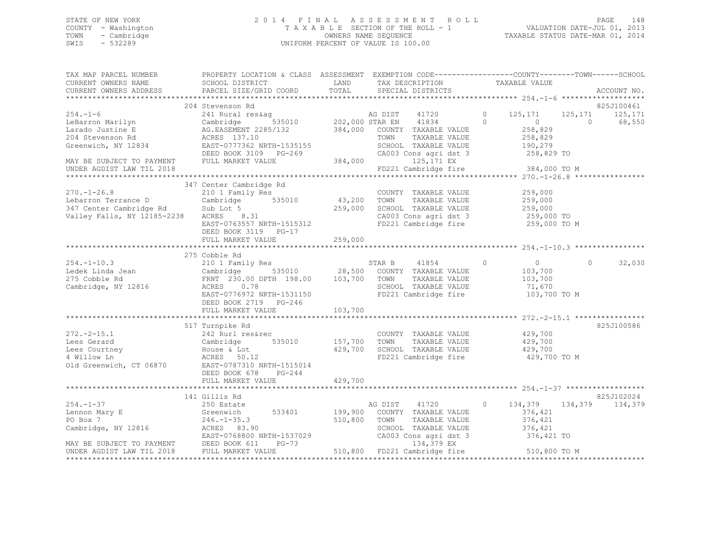### STATE OF NEW YORK 2 0 1 4 F I N A L A S S E S S M E N T R O L L PAGE 148 COUNTY - Washington T A X A B L E SECTION OF THE ROLL - 1 VALUATION DATE-JUL 01, 2013 TOWN - Cambridge OWNERS NAME SEQUENCE TAXABLE STATUS DATE-MAR 01, 2014 SWIS - 532289 UNIFORM PERCENT OF VALUE IS 100.00

| TAX MAP PARCEL NUMBER<br>CURRENT OWNERS NAME                                                                                                    | PROPERTY LOCATION & CLASS ASSESSMENT EXEMPTION CODE----------------COUNTY-------TOWN------SCHOOL<br>SCHOOL DISTRICT                                                                                                            | LAND                              | TAX DESCRIPTION                                                                                                            | TAXABLE VALUE                                                                               |          |                                           |
|-------------------------------------------------------------------------------------------------------------------------------------------------|--------------------------------------------------------------------------------------------------------------------------------------------------------------------------------------------------------------------------------|-----------------------------------|----------------------------------------------------------------------------------------------------------------------------|---------------------------------------------------------------------------------------------|----------|-------------------------------------------|
| CURRENT OWNERS ADDRESS                                                                                                                          | PARCEL SIZE/GRID COORD                                                                                                                                                                                                         | TOTAL                             | SPECIAL DISTRICTS                                                                                                          |                                                                                             |          | ACCOUNT NO.                               |
|                                                                                                                                                 |                                                                                                                                                                                                                                |                                   |                                                                                                                            |                                                                                             |          | ******                                    |
| $254. -1 - 6$<br>LeBarron Marilyn<br>Larado Justine E<br>204 Stevenson Rd<br>Greenwich, NY 12834<br>MAY BE SUBJECT TO PAYMENT                   | 204 Stevenson Rd<br>241 Rural res&ag<br>Cambridge 535010 202,000 STAR EN 41834<br>AG.EASEMENT 2285/132 384,000 COUNTY TAXABLE VALUE<br>ACRES 137.10<br>EAST-0777362 NRTH-1535155<br>DEED BOOK 3109 PG-269<br>FULL MARKET VALUE | $G-269$ CA003                     | TAXABLE VALUE<br>TOWN<br>SCHOOL TAXABLE VALUE<br>CA003 Cons agri dst 3<br>125,171 EX                                       | $0 \t 125,171$<br>$\Omega$<br>$\overline{0}$<br>258,829<br>258,829<br>190,279<br>258,829 TO | $\cap$   | 825J100461<br>125, 171 125, 171<br>68,550 |
| UNDER AGDIST LAW TIL 2018                                                                                                                       |                                                                                                                                                                                                                                |                                   | FD221 Cambridge fire                                                                                                       | 384,000 TO M                                                                                |          |                                           |
|                                                                                                                                                 |                                                                                                                                                                                                                                |                                   |                                                                                                                            |                                                                                             |          |                                           |
| $270. - 1 - 26.8$<br>Lebarron Terrance D                Cambridge<br>347 Center Cambridge Rd           Sub Lot 5<br>Valley Falls, NY 12185-2238 | 347 Center Cambridge Rd<br>210 1 Family Res<br>Cambridge 535010<br>Sub Lot 5<br>ACRES 8.31<br>EAST-0763557 NRTH-1515312<br>DEED BOOK 3119 PG-17<br>FULL MARKET VALUE                                                           | 43,200 TOWN<br>259,000<br>259,000 | COUNTY TAXABLE VALUE<br>TAXABLE VALUE<br>SCHOOL TAXABLE VALUE<br>CA003 Cons agri dst 3<br>FD221 Cambridge fire             | 259,000<br>259,000<br>259,000<br>259,000 TO<br>259,000 TO M                                 |          |                                           |
|                                                                                                                                                 |                                                                                                                                                                                                                                |                                   |                                                                                                                            |                                                                                             |          |                                           |
|                                                                                                                                                 | 275 Cobble Rd                                                                                                                                                                                                                  |                                   |                                                                                                                            |                                                                                             |          |                                           |
| $254. - 1 - 10.3$<br>Ledek Linda Jean<br>275 Cobble Rd<br>Cambridge, NY 12816                                                                   | 210 1 Family Res<br>Cambridge 535010 28,500 COUNTY TAXABLE VALUE<br>FRNT 230.00 DPTH 198.00 103,700 TOWN TAXABLE VALUE<br>ACRES 0.78 SCHOOL TAXABLE VALUE<br>EAST-0776972 NRTH-1531150<br>DEED BOOK 2719 PG-246                |                                   | STAR B 41854<br>TAXABLE VALUE<br>SCHOOL TAXABLE VALUE<br>FD221 Cambridge fire                                              | $\circ$<br>$\overline{0}$<br>103,700<br>103,700<br>71,670<br>103,700 TO M                   | $\Omega$ | 32,030                                    |
|                                                                                                                                                 | FULL MARKET VALUE                                                                                                                                                                                                              | 103,700                           |                                                                                                                            |                                                                                             |          |                                           |
|                                                                                                                                                 |                                                                                                                                                                                                                                |                                   |                                                                                                                            |                                                                                             |          |                                           |
| $272. - 2 - 15.1$<br>Lees Gerard<br>Lees Courtney<br>4 Willow Ln<br>Old Greenwich, CT 06870 EAST-0787310 NRTH-1515014                           | 517 Turnpike Rd<br>242 Rurl res&rec<br>Cambridge 535010<br>Cambridge<br>House & Lot<br>ACPES 50.13<br>ACRES 50.12                                                                                                              | 157,700<br>429,700                | COUNTY TAXABLE VALUE 429,700<br>TOWN<br>TAXABLE VALUE<br>SCHOOL TAXABLE VALUE<br>FD221 Cambridge fire                      | 429,700<br>429,700<br>429,700 TO M                                                          |          | 825J100586                                |
|                                                                                                                                                 | DEED BOOK 678<br>PG-244<br>FULL MARKET VALUE                                                                                                                                                                                   | 429,700                           |                                                                                                                            |                                                                                             |          |                                           |
|                                                                                                                                                 |                                                                                                                                                                                                                                |                                   |                                                                                                                            |                                                                                             |          |                                           |
|                                                                                                                                                 | 141 Gillis Rd                                                                                                                                                                                                                  |                                   |                                                                                                                            |                                                                                             |          | 825J102024                                |
| $254. - 1 - 37$<br>Lennon Mary E<br>PO Box 7<br>Cambridge, NY 12816                                                                             | 250 Estate<br>Greenwich<br>533401<br>$246. - 1 - 35.3$<br>ACRES 83.90<br>EAST-0768800 NRTH-1537029                                                                                                                             | 510,800                           | AG DIST<br>41720<br>199,900 COUNTY TAXABLE VALUE<br>TAXABLE VALUE<br>TOWN<br>SCHOOL TAXABLE VALUE<br>CA003 Cons agri dst 3 | 134,379 134,379<br>$\circ$<br>376,421<br>376,421<br>376,421<br>376,421 TO                   |          | 134,379                                   |
| MAY BE SUBJECT TO PAYMENT<br>UNDER AGDIST LAW TIL 2018 FULL MARKET VALUE                                                                        | $PG-73$                                                                                                                                                                                                                        |                                   | 134,379 EX<br>510,800 FD221 Cambridge fire 510,800 TO M                                                                    |                                                                                             |          |                                           |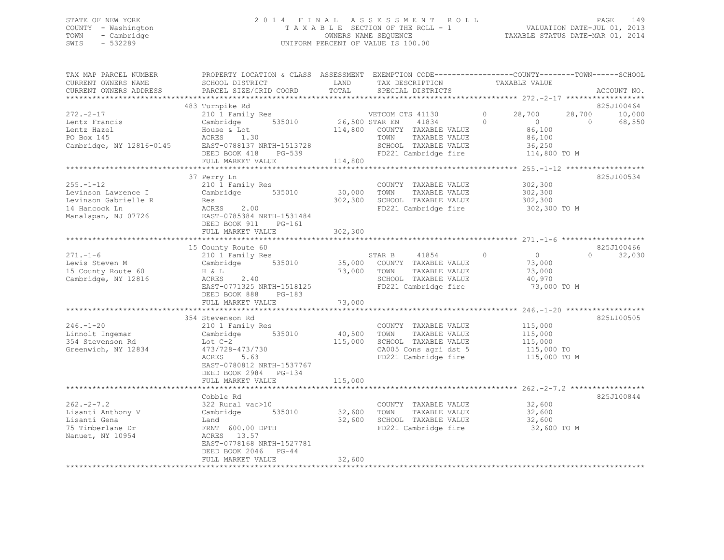### STATE OF NEW YORK 2 0 1 4 F I N A L A S S E S S M E N T R O L L PAGE 149 COUNTY - Washington T A X A B L E SECTION OF THE ROLL - 1 VALUATION DATE-JUL 01, 2013 TOWN - Cambridge OWNERS NAME SEQUENCE TAXABLE STATUS DATE-MAR 01, 2014 SWIS - 532289 UNIFORM PERCENT OF VALUE IS 100.00

| TOTAL<br>PARCEL SIZE/GRID COORD<br>CURRENT OWNERS ADDRESS<br>SPECIAL DISTRICTS<br>ACCOUNT NO.<br>825J100464<br>483 Turnpike Rd<br>$272 - 2 - 17$<br>210 1 Family Res<br>$\Omega$<br>28,700<br>28,700<br>10,000<br>VETCOM CTS 41130<br>535010<br>26,500 STAR EN<br>$\Omega$<br>68,550<br>Lentz Francis<br>41834<br>$\bigcirc$<br>$\Omega$<br>Cambridge<br>86,100<br>Lentz Hazel<br>114,800 COUNTY TAXABLE VALUE<br>House & Lot<br>PO Box 145<br>ACRES 1.30<br>TOWN<br>TAXABLE VALUE<br>86,100<br>Cambridge, NY 12816-0145<br>EAST-0788137 NRTH-1513728<br>SCHOOL TAXABLE VALUE<br>36,250<br>DEED BOOK 418<br>FD221 Cambridge fire<br>114,800 TO M<br>PG-539<br>FULL MARKET VALUE<br>114,800<br>825J100534<br>37 Perry Ln<br>$255. - 1 - 12$<br>302,300<br>210 1 Family Res<br>COUNTY TAXABLE VALUE<br>30,000<br>535010<br>TAXABLE VALUE<br>302,300<br>Levinson Lawrence I<br>Cambridge<br>TOWN<br>302,300<br>SCHOOL TAXABLE VALUE<br>Levinson Gabrielle R<br>302,300<br>Res<br>ACRES 2.00<br>FD221 Cambridge fire<br>14 Hancock Ln<br>302,300 TO M<br>Manalapan, NJ 07726<br>EAST-0785384 NRTH-1531484<br>DEED BOOK 911<br>$PG-161$<br>302,300<br>FULL MARKET VALUE<br>15 County Route 60<br>825J100466<br>$\circledcirc$<br>$271. - 1 - 6$<br>$\overline{0}$<br>$\Omega$<br>32,030<br>STAR B<br>41854<br>210 1 Family Res<br>535010<br>35,000 COUNTY TAXABLE VALUE<br>73,000<br>Lewis Steven M<br>Cambridge<br>15 County Route 60<br>73,000<br>TOWN<br>TAXABLE VALUE<br>73,000<br>H & L<br>SCHOOL TAXABLE VALUE<br>Cambridge, NY 12816<br>ACRES<br>2.40<br>40,970<br>FD221 Cambridge fire<br>EAST-0771325 NRTH-1518125<br>73,000 TO M<br>DEED BOOK 888<br>$PG-183$<br>73,000<br>FULL MARKET VALUE<br>************<br>************************<br>825L100505<br>354 Stevenson Rd<br>$246. - 1 - 20$<br>210 1 Family Res<br>COUNTY TAXABLE VALUE<br>115,000<br>40,500<br>Linnolt Ingemar<br>Cambridge<br>535010<br>TOWN<br>TAXABLE VALUE<br>115,000<br>354 Stevenson Rd<br>115,000<br>SCHOOL TAXABLE VALUE<br>Lot $C-2$<br>115,000<br>Greenwich, NY 12834<br>473/728-473/730<br>CA005 Cons agri dst 5<br>115,000 TO |
|-------------------------------------------------------------------------------------------------------------------------------------------------------------------------------------------------------------------------------------------------------------------------------------------------------------------------------------------------------------------------------------------------------------------------------------------------------------------------------------------------------------------------------------------------------------------------------------------------------------------------------------------------------------------------------------------------------------------------------------------------------------------------------------------------------------------------------------------------------------------------------------------------------------------------------------------------------------------------------------------------------------------------------------------------------------------------------------------------------------------------------------------------------------------------------------------------------------------------------------------------------------------------------------------------------------------------------------------------------------------------------------------------------------------------------------------------------------------------------------------------------------------------------------------------------------------------------------------------------------------------------------------------------------------------------------------------------------------------------------------------------------------------------------------------------------------------------------------------------------------------------------------------------------------------------------------------------------------------------------------------------------------------------------------------------------------------------------------------------------------|
|                                                                                                                                                                                                                                                                                                                                                                                                                                                                                                                                                                                                                                                                                                                                                                                                                                                                                                                                                                                                                                                                                                                                                                                                                                                                                                                                                                                                                                                                                                                                                                                                                                                                                                                                                                                                                                                                                                                                                                                                                                                                                                                   |
|                                                                                                                                                                                                                                                                                                                                                                                                                                                                                                                                                                                                                                                                                                                                                                                                                                                                                                                                                                                                                                                                                                                                                                                                                                                                                                                                                                                                                                                                                                                                                                                                                                                                                                                                                                                                                                                                                                                                                                                                                                                                                                                   |
|                                                                                                                                                                                                                                                                                                                                                                                                                                                                                                                                                                                                                                                                                                                                                                                                                                                                                                                                                                                                                                                                                                                                                                                                                                                                                                                                                                                                                                                                                                                                                                                                                                                                                                                                                                                                                                                                                                                                                                                                                                                                                                                   |
|                                                                                                                                                                                                                                                                                                                                                                                                                                                                                                                                                                                                                                                                                                                                                                                                                                                                                                                                                                                                                                                                                                                                                                                                                                                                                                                                                                                                                                                                                                                                                                                                                                                                                                                                                                                                                                                                                                                                                                                                                                                                                                                   |
|                                                                                                                                                                                                                                                                                                                                                                                                                                                                                                                                                                                                                                                                                                                                                                                                                                                                                                                                                                                                                                                                                                                                                                                                                                                                                                                                                                                                                                                                                                                                                                                                                                                                                                                                                                                                                                                                                                                                                                                                                                                                                                                   |
|                                                                                                                                                                                                                                                                                                                                                                                                                                                                                                                                                                                                                                                                                                                                                                                                                                                                                                                                                                                                                                                                                                                                                                                                                                                                                                                                                                                                                                                                                                                                                                                                                                                                                                                                                                                                                                                                                                                                                                                                                                                                                                                   |
|                                                                                                                                                                                                                                                                                                                                                                                                                                                                                                                                                                                                                                                                                                                                                                                                                                                                                                                                                                                                                                                                                                                                                                                                                                                                                                                                                                                                                                                                                                                                                                                                                                                                                                                                                                                                                                                                                                                                                                                                                                                                                                                   |
| ACRES<br>5.63<br>FD221 Cambridge fire<br>115,000 TO M<br>EAST-0780812 NRTH-1537767                                                                                                                                                                                                                                                                                                                                                                                                                                                                                                                                                                                                                                                                                                                                                                                                                                                                                                                                                                                                                                                                                                                                                                                                                                                                                                                                                                                                                                                                                                                                                                                                                                                                                                                                                                                                                                                                                                                                                                                                                                |
| DEED BOOK 2984 PG-134<br>115,000<br>FULL MARKET VALUE                                                                                                                                                                                                                                                                                                                                                                                                                                                                                                                                                                                                                                                                                                                                                                                                                                                                                                                                                                                                                                                                                                                                                                                                                                                                                                                                                                                                                                                                                                                                                                                                                                                                                                                                                                                                                                                                                                                                                                                                                                                             |
|                                                                                                                                                                                                                                                                                                                                                                                                                                                                                                                                                                                                                                                                                                                                                                                                                                                                                                                                                                                                                                                                                                                                                                                                                                                                                                                                                                                                                                                                                                                                                                                                                                                                                                                                                                                                                                                                                                                                                                                                                                                                                                                   |
| Cobble Rd<br>825J100844<br>$262 - 2 - 7.2$<br>322 Rural vac>10<br>32,600<br>COUNTY TAXABLE VALUE<br>32,600<br>Lisanti Anthony V<br>535010<br>32,600<br>TOWN<br>TAXABLE VALUE<br>Cambridge<br>32,600<br>SCHOOL TAXABLE VALUE<br>32,600<br>Lisanti Gena<br>Land<br>75 Timberlane Dr<br>FRNT 600.00 DPTH<br>FD221 Cambridge fire<br>32,600 TO M<br>Nanuet, NY 10954<br>ACRES 13.57<br>EAST-0778168 NRTH-1527781<br>DEED BOOK 2046<br>$PG-44$                                                                                                                                                                                                                                                                                                                                                                                                                                                                                                                                                                                                                                                                                                                                                                                                                                                                                                                                                                                                                                                                                                                                                                                                                                                                                                                                                                                                                                                                                                                                                                                                                                                                         |
| FULL MARKET VALUE<br>32,600<br>*************************                                                                                                                                                                                                                                                                                                                                                                                                                                                                                                                                                                                                                                                                                                                                                                                                                                                                                                                                                                                                                                                                                                                                                                                                                                                                                                                                                                                                                                                                                                                                                                                                                                                                                                                                                                                                                                                                                                                                                                                                                                                          |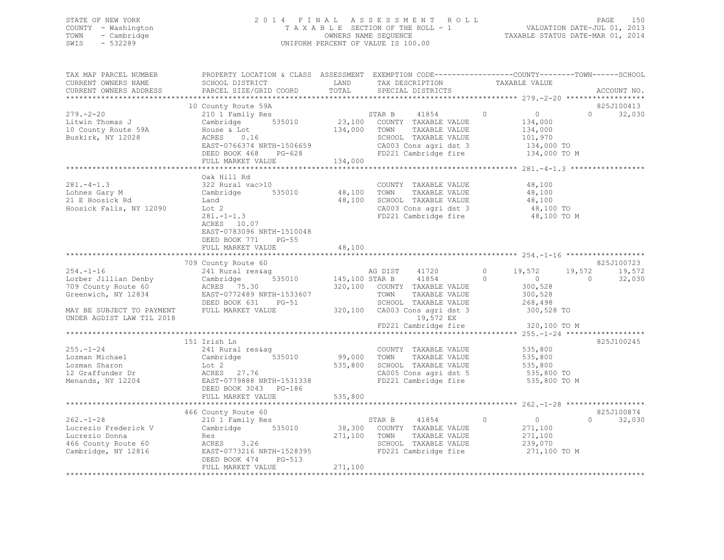### STATE OF NEW YORK 2 0 1 4 F I N A L A S S E S S M E N T R O L L PAGE 150 COUNTY - Washington T A X A B L E SECTION OF THE ROLL - 1 VALUATION DATE-JUL 01, 2013 TOWN - Cambridge OWNERS NAME SEQUENCE TAXABLE STATUS DATE-MAR 01, 2014 SWIS - 532289 UNIFORM PERCENT OF VALUE IS 100.00

| TAX MAP PARCEL NUMBER<br>CURRENT OWNERS NAME<br>CURRENT OWNERS ADDRESS                                                                                               | PROPERTY LOCATION & CLASS ASSESSMENT EXEMPTION CODE----------------COUNTY-------TOWN-----SCHOOL<br>SCHOOL DISTRICT<br>PARCEL SIZE/GRID COORD                          | LAND<br>TOTAL           | TAX DESCRIPTION<br>SPECIAL DISTRICTS                                                                                                             | TAXABLE VALUE                                                                                | ACCOUNT NO.                      |
|----------------------------------------------------------------------------------------------------------------------------------------------------------------------|-----------------------------------------------------------------------------------------------------------------------------------------------------------------------|-------------------------|--------------------------------------------------------------------------------------------------------------------------------------------------|----------------------------------------------------------------------------------------------|----------------------------------|
|                                                                                                                                                                      |                                                                                                                                                                       |                         |                                                                                                                                                  |                                                                                              | * * * * *                        |
| $279. - 2 - 20$<br>Litwin Thomas J<br>10 County Route 59A<br>Buskirk, NY 12028                                                                                       | 10 County Route 59A<br>210 1 Family Res<br>Cambridge 535010<br>House & Lot<br>ACRES<br>0.16<br>EAST-0766374 NRTH-1506659<br>DEED BOOK 468 PG-628<br>FULL MARKET VALUE | 134,000 TOWN<br>134,000 | STAR B 41854<br>23,100 COUNTY TAXABLE VALUE<br>41854 0<br>TAXABLE VALUE<br>SCHOOL TAXABLE VALUE<br>CA003 Cons agri dst 3<br>FD221 Cambridge fire | $\overline{0}$<br>134,000<br>134,000<br>101,970<br>134,000 TO<br>134,000 TO M                | 825J100413<br>$\cap$<br>32,030   |
|                                                                                                                                                                      |                                                                                                                                                                       |                         |                                                                                                                                                  |                                                                                              |                                  |
| $281 - 4 - 1.3$<br>Lohnes Gary M<br>21 E Hoosick Rd<br>Hoosick Falls, NY 12090                                                                                       | Oak Hill Rd<br>322 Rural vac>10<br>Cambridge<br>535010<br>Land<br>Lot 2<br>$281 - 1 - 1.3$<br>ACRES 10.07<br>EAST-0783096 NRTH-1510048<br>DEED BOOK 771<br>$PG-55$    | 48,100 TOWN<br>48,100   | COUNTY TAXABLE VALUE<br>TAXABLE VALUE<br>SCHOOL TAXABLE VALUE<br>CA003 Cons agri dst 3<br>FD221 Cambridge fire                                   | 48,100<br>48,100<br>48,100<br>48,100 TO<br>48,100 TO M                                       |                                  |
|                                                                                                                                                                      | FULL MARKET VALUE                                                                                                                                                     | 48,100                  |                                                                                                                                                  |                                                                                              |                                  |
|                                                                                                                                                                      | 709 County Route 60                                                                                                                                                   |                         |                                                                                                                                                  |                                                                                              | 825J100723                       |
| $254. - 1 - 16$<br>Lorber Jillian Denby<br>709 County Route 60<br>Greenwich, NY 12834                                                                                | ACRES 75.30 320,100 COUNTY TAXABLE VALUE<br>EAST-0772489 NRTH-1533607<br>DEED BOOK 631 PG-51                                                                          |                         | TOWN<br>TAXABLE VALUE<br>SCHOOL TAXABLE VALUE                                                                                                    | $\circ$<br>19,572<br>$\Omega$<br>$\sim$ 0<br>$\overline{0}$<br>300,528<br>300,528<br>268,498 | 19,572<br>19,572<br>32,030       |
| MAY BE SUBJECT TO PAYMENT<br>UNDER AGDIST LAW TIL 2018                                                                                                               | FULL MARKET VALUE                                                                                                                                                     |                         | 320,100 CA003 Cons agri dst 3 300,528 TO<br>19,572 EX                                                                                            | FD221 Cambridge fire 320,100 TO M                                                            |                                  |
|                                                                                                                                                                      |                                                                                                                                                                       |                         |                                                                                                                                                  |                                                                                              |                                  |
| $255. - 1 - 24$<br>255.-1-43<br>Lozman Michael<br>Charon<br>Lozman Sharon<br>12 Graffunder Dr<br>Menands, NY 12204<br>Menands, NY 12204<br>EAST-0779888 NRTH-1531338 | 151 Irish Ln<br>241 Rural res&aq<br>Cambridge 535010<br>DEED BOOK 3043 PG-186                                                                                         | 99,000 TOWN             | COUNTY TAXABLE VALUE<br>TAXABLE VALUE<br>535,800 SCHOOL TAXABLE VALUE<br>CA005 Cons agri dst 5<br>FD221 Cambridge fire                           | 535,800<br>535,800<br>535,800<br>535,800 TO<br>535,800 TO M                                  | 825J100245                       |
|                                                                                                                                                                      | FULL MARKET VALUE                                                                                                                                                     | 535,800                 |                                                                                                                                                  |                                                                                              |                                  |
|                                                                                                                                                                      |                                                                                                                                                                       |                         |                                                                                                                                                  |                                                                                              |                                  |
| $262 - 1 - 28$<br>Lucrezio Frederick V<br>Lucrezio Donna<br>466 County Route 60<br>Cambridge, NY 12816                                                               | 466 County Route 60<br>210 1 Family Res<br>Cambridge 535010<br>Res<br>ACRES 3.26<br>EAST-0773216 NRTH-1528395<br>DEED BOOK 474 PG-513<br>FULL MARKET VALUE            | 271,100 TOWN<br>271,100 | 41854 0<br>STAR B<br>38,300 COUNTY TAXABLE VALUE<br>TAXABLE VALUE<br>SCHOOL TAXABLE VALUE<br>FD221 Cambridge fire                                | $\overline{0}$<br>271,100<br>271,100<br>239,070<br>271,100 TO M                              | 825J100874<br>32,030<br>$\Omega$ |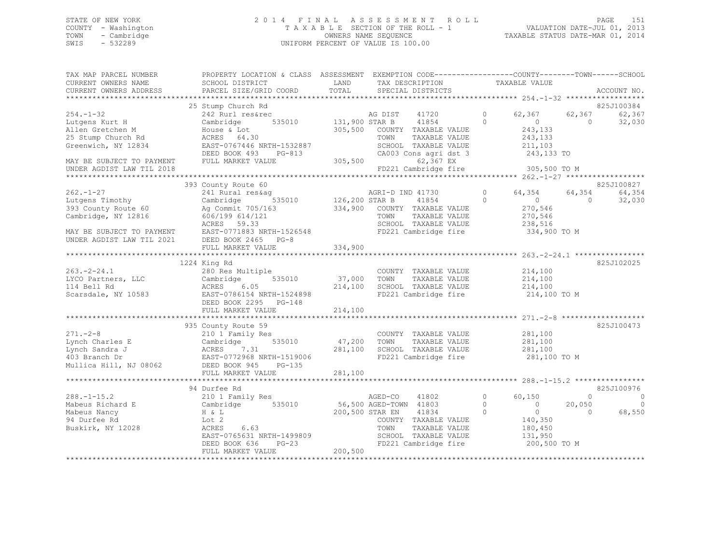### STATE OF NEW YORK 2 0 1 4 F I N A L A S S E S S M E N T R O L L PAGE 151 COUNTY - Washington T A X A B L E SECTION OF THE ROLL - 1 VALUATION DATE-JUL 01, 2013 TOWN - Cambridge OWNERS NAME SEQUENCE TAXABLE STATUS DATE-MAR 01, 2014 SWIS - 532289 UNIFORM PERCENT OF VALUE IS 100.00

| TAX MAP PARCEL NUMBER<br>CURRENT OWNERS NAME | PROPERTY LOCATION & CLASS ASSESSMENT EXEMPTION CODE---------------COUNTY-------TOWN------SCHOOL<br>SCHOOL DISTRICT | LAND<br>TOTAL     | TAX DESCRIPTION                               | TAXABLE VALUE                                        |                      |
|----------------------------------------------|--------------------------------------------------------------------------------------------------------------------|-------------------|-----------------------------------------------|------------------------------------------------------|----------------------|
| CURRENT OWNERS ADDRESS                       | PARCEL SIZE/GRID COORD                                                                                             |                   | SPECIAL DISTRICTS                             |                                                      | ACCOUNT NO.          |
|                                              | 25 Stump Church Rd                                                                                                 |                   |                                               |                                                      | 825J100384           |
| $254. - 1 - 32$                              | 242 Rurl res&rec                                                                                                   |                   | AG DIST<br>41720                              | $\circ$<br>62,367                                    | 62,367<br>62,367     |
| Lutgens Kurt H                               | 535010<br>Cambridge                                                                                                | 131,900 STAR B    | 41854                                         | $\Omega$<br>$\Omega$                                 | $\Omega$<br>32,030   |
| Allen Gretchen M                             | House & Lot                                                                                                        | 305,500           | COUNTY TAXABLE VALUE                          | 243,133                                              |                      |
| 25 Stump Church Rd                           | ACRES 64.30                                                                                                        |                   | TAXABLE VALUE<br>TOWN                         | 243,133                                              |                      |
| Greenwich, NY 12834                          | EAST-0767446 NRTH-1532887                                                                                          |                   | SCHOOL TAXABLE VALUE                          | 211,103                                              |                      |
|                                              | DEED BOOK 493<br>PG-813                                                                                            |                   | CA003 Cons agri dst 3                         | 243,133 TO                                           |                      |
| MAY BE SUBJECT TO PAYMENT                    | FULL MARKET VALUE                                                                                                  | 305,500           | 62,367 EX                                     |                                                      |                      |
| UNDER AGDIST LAW TIL 2018                    |                                                                                                                    |                   | FD221 Cambridge fire                          | 305,500 TO M                                         |                      |
|                                              | 393 County Route 60                                                                                                |                   |                                               |                                                      | 825J100827           |
| $262. - 1 - 27$                              | 241 Rural res&aq                                                                                                   |                   | AGRI-D IND 41730                              | $\circ$<br>64,354                                    | 64,354<br>64,354     |
| Lutgens Timothy                              | Cambridge<br>535010                                                                                                | 126,200 STAR B    | 41854                                         | $\circ$<br>$\circ$                                   | 32,030<br>$\circ$    |
| 393 County Route 60                          | Ag Commit 705/163                                                                                                  | 334,900           | COUNTY TAXABLE VALUE                          | 270,546                                              |                      |
| Cambridge, NY 12816                          | 606/199 614/121                                                                                                    |                   | TOWN<br>TAXABLE VALUE                         | 270,546                                              |                      |
|                                              | ACRES 59.33                                                                                                        |                   | SCHOOL TAXABLE VALUE                          | 238,516                                              |                      |
| MAY BE SUBJECT TO PAYMENT                    | EAST-0771883 NRTH-1526548                                                                                          |                   | FD221 Cambridge fire                          | 334,900 TO M                                         |                      |
| UNDER AGDIST LAW TIL 2021                    | DEED BOOK 2465<br>$PG-8$                                                                                           |                   |                                               |                                                      |                      |
|                                              | FULL MARKET VALUE                                                                                                  | 334,900           |                                               |                                                      |                      |
|                                              |                                                                                                                    |                   |                                               | ********************** 263. -2-24.1 **************** |                      |
|                                              | 1224 King Rd                                                                                                       |                   |                                               |                                                      | 825J102025           |
| $263. - 2 - 24.1$                            | 280 Res Multiple                                                                                                   |                   | COUNTY TAXABLE VALUE                          | 214,100                                              |                      |
| LYCO Partners, LLC<br>114 Bell Rd            | 535010<br>Cambridge<br>ACRES<br>6.05                                                                               | 37,000<br>214,100 | TOWN<br>TAXABLE VALUE<br>SCHOOL TAXABLE VALUE | 214,100<br>214,100                                   |                      |
| Scarsdale, NY 10583                          | EAST-0786154 NRTH-1524898                                                                                          |                   | FD221 Cambridge fire                          | 214,100 TO M                                         |                      |
|                                              | DEED BOOK 2295<br>$PG-148$                                                                                         |                   |                                               |                                                      |                      |
|                                              | FULL MARKET VALUE                                                                                                  | 214,100           |                                               |                                                      |                      |
|                                              | **************************                                                                                         |                   |                                               |                                                      |                      |
|                                              | 935 County Route 59                                                                                                |                   |                                               |                                                      | 825J100473           |
| $271. - 2 - 8$                               | 210 1 Family Res                                                                                                   |                   | COUNTY TAXABLE VALUE                          | 281,100                                              |                      |
| Lynch Charles E                              | Cambridge<br>535010                                                                                                | 47,200            | TOWN<br>TAXABLE VALUE                         | 281,100                                              |                      |
| Lynch Sandra J                               | ACRES<br>7.31                                                                                                      | 281,100           | SCHOOL TAXABLE VALUE                          | 281,100                                              |                      |
| 403 Branch Dr                                | EAST-0772968 NRTH-1519006                                                                                          |                   | FD221 Cambridge fire                          | 281,100 TO M                                         |                      |
| Mullica Hill, NJ 08062                       | DEED BOOK 945<br>$PG-135$                                                                                          |                   |                                               |                                                      |                      |
|                                              | FULL MARKET VALUE<br>***************************                                                                   | 281,100           |                                               |                                                      |                      |
|                                              | 94 Durfee Rd                                                                                                       |                   |                                               |                                                      | 825J100976           |
| $288. -1 - 15.2$                             | 210 1 Family Res                                                                                                   |                   | AGED-CO<br>41802                              | $\Omega$<br>60,150                                   | $\Omega$<br>$\Omega$ |
| Mabeus Richard E                             | 535010<br>Cambridge                                                                                                |                   | 56,500 AGED-TOWN 41803                        | $\Omega$<br>$\Omega$                                 | 20,050<br>$\Omega$   |
| Mabeus Nancy                                 | H & L                                                                                                              |                   | 200,500 STAR EN<br>41834                      | $\Omega$<br>$\circ$                                  | 68,550<br>$\Omega$   |
| 94 Durfee Rd                                 | Lot 2                                                                                                              |                   | COUNTY TAXABLE VALUE                          | 140,350                                              |                      |
| Buskirk, NY 12028                            | ACRES<br>6.63                                                                                                      |                   | TOWN<br>TAXABLE VALUE                         | 180,450                                              |                      |
|                                              | EAST-0765631 NRTH-1499809                                                                                          |                   | SCHOOL TAXABLE VALUE                          | 131,950                                              |                      |
|                                              | DEED BOOK 636<br>$PG-23$                                                                                           |                   | FD221 Cambridge fire                          | 200,500 TO M                                         |                      |
|                                              | FULL MARKET VALUE                                                                                                  | 200,500           |                                               |                                                      |                      |
|                                              |                                                                                                                    |                   |                                               |                                                      |                      |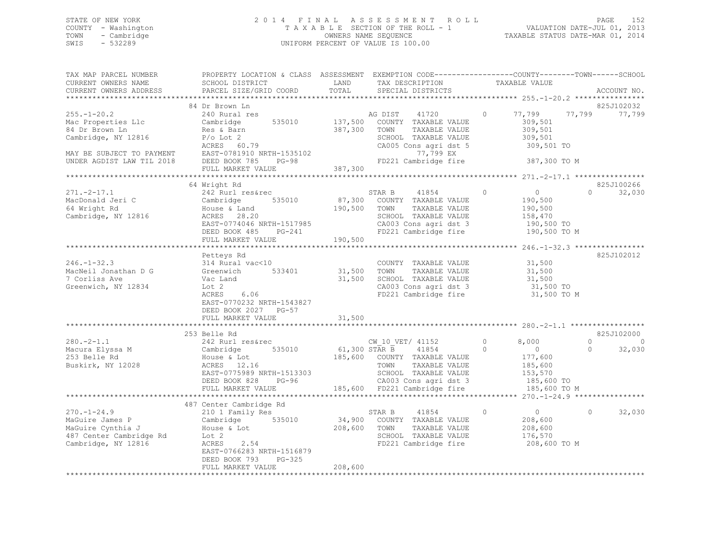### STATE OF NEW YORK 2 0 1 4 F I N A L A S S E S S M E N T R O L L PAGE 152 COUNTY - Washington T A X A B L E SECTION OF THE ROLL - 1 VALUATION DATE-JUL 01, 2013 TOWN - Cambridge OWNERS NAME SEQUENCE TAXABLE STATUS DATE-MAR 01, 2014 SWIS - 532289 UNIFORM PERCENT OF VALUE IS 100.00

| TAX MAP PARCEL NUMBER<br>CURRENT OWNERS NAME<br>CURRENT OWNERS ADDRESS                                                                     | PROPERTY LOCATION & CLASS ASSESSMENT EXEMPTION CODE-----------------COUNTY-------TOWN-----SCHOOL<br>SCHOOL DISTRICT<br>PARCEL SIZE/GRID COORD                         | LAND<br>TOTAL              | TAX DESCRIPTION<br>SPECIAL DISTRICTS                                                                                                                                              | TAXABLE VALUE                                                                                                  | ACCOUNT NO.                                                    |
|--------------------------------------------------------------------------------------------------------------------------------------------|-----------------------------------------------------------------------------------------------------------------------------------------------------------------------|----------------------------|-----------------------------------------------------------------------------------------------------------------------------------------------------------------------------------|----------------------------------------------------------------------------------------------------------------|----------------------------------------------------------------|
|                                                                                                                                            |                                                                                                                                                                       |                            |                                                                                                                                                                                   |                                                                                                                |                                                                |
| $255. - 1 - 20.2$<br>Mac Properties Llc<br>84 Dr Brown Ln<br>Cambridge, NY 12816<br>MAY BE SUBJECT TO PAYMENT<br>UNDER AGDIST LAW TIL 2018 | 84 Dr Brown Ln<br>240 Rural res<br>Cambridge<br>535010<br>Res & Barn<br>$P/O$ Lot 2<br>ACRES 60.79<br>EAST-0781910 NRTH-1535102<br>DEED BOOK 785<br>$PG-98$           | 137,500<br>387,300         | 41720<br>AG DIST<br>COUNTY TAXABLE VALUE<br>TOWN<br>TAXABLE VALUE<br>SCHOOL TAXABLE VALUE<br>CA005 Cons agri dst 5<br>77,799 EX<br>FD221 Cambridge fire                           | 77,799<br>$\Omega$<br>309,501<br>309,501<br>309,501<br>309,501 TO<br>387,300 TO M                              | 825J102032<br>77,799<br>77,799                                 |
|                                                                                                                                            | FULL MARKET VALUE                                                                                                                                                     | 387,300                    |                                                                                                                                                                                   |                                                                                                                |                                                                |
|                                                                                                                                            |                                                                                                                                                                       |                            |                                                                                                                                                                                   |                                                                                                                |                                                                |
| $271. -2 - 17.1$<br>MacDonald Jeri C<br>64 Wright Rd<br>Cambridge, NY 12816                                                                | 64 Wright Rd<br>242 Rurl res&rec<br>535010<br>Cambridge<br>House & Land<br>ACRES 28.20<br>EAST-0774046 NRTH-1517985<br>DEED BOOK 485 PG-241                           | 190,500                    | STAR B<br>41854<br>87,300 COUNTY TAXABLE VALUE<br>TOWN<br>TAXABLE VALUE<br>SCHOOL TAXABLE VALUE<br>CA003 Cons agri dst 3<br>FD221 Cambridge fire                                  | $\circ$<br>$\overline{0}$<br>190,500<br>190,500<br>158,470<br>190,500 TO<br>190,500 TO M                       | 825J100266<br>$\Omega$<br>32,030                               |
|                                                                                                                                            | FULL MARKET VALUE                                                                                                                                                     | 190,500                    |                                                                                                                                                                                   |                                                                                                                |                                                                |
| $246. - 1 - 32.3$<br>MacNeil Jonathan D G<br>7 Corliss Ave<br>Greenwich, NY 12834                                                          | Petteys Rd<br>314 Rural vac<10<br>533401<br>Greenwich<br>Vac Land<br>Lot 2<br>6.06<br>ACRES<br>EAST-0770232 NRTH-1543827<br>DEED BOOK 2027 PG-57<br>FULL MARKET VALUE | 31,500<br>31,500<br>31,500 | COUNTY TAXABLE VALUE<br>TOWN<br>TAXABLE VALUE<br>SCHOOL TAXABLE VALUE<br>CA003 Cons agri dst 3<br>CA003 Cons agri dst 3<br>FD221 Cambridge fire                                   | 31,500<br>31,500<br>31,500<br>31,500 TO<br>31,500 TO M                                                         | 825J102012                                                     |
|                                                                                                                                            | **************************                                                                                                                                            | ***********                |                                                                                                                                                                                   |                                                                                                                |                                                                |
| $280. -2 - 1.1$<br>Macura Elyssa M<br>253 Belle Rd<br>Buskirk, NY 12028                                                                    | 253 Belle Rd<br>242 Rurl res&rec<br>535010<br>Cambridge<br>House & Lot<br>ACRES 12.16<br>EAST-0775989 NRTH-1513303<br>DEED BOOK 828<br>$PG-96$<br>FULL MARKET VALUE   |                            | CW 10 VET/ 41152<br>61,300 STAR B 41854<br>185,600 COUNTY TAXABLE VALUE<br>TOWN<br>TAXABLE VALUE<br>SCHOOL TAXABLE VALUE<br>CA003 Cons agri dst 3<br>185,600 FD221 Cambridge fire | 8,000<br>$\Omega$<br>$\overline{0}$<br>$\Omega$<br>177,600<br>185,600<br>153,570<br>185,600 TO<br>185,600 TO M | 825J102000<br>$\Omega$<br>$\overline{0}$<br>32,030<br>$\Omega$ |
|                                                                                                                                            |                                                                                                                                                                       |                            |                                                                                                                                                                                   |                                                                                                                |                                                                |
| $270. - 1 - 24.9$<br>MaGuire James P<br>MaGuire Cynthia J<br>487 Center Cambridge Rd<br>Cambridge, NY 12816                                | 487 Center Cambridge Rd<br>210 1 Family Res<br>535010<br>Cambridge<br>House & Lot<br>Lot 2<br>2.54<br>ACRES<br>EAST-0766283 NRTH-1516879<br>DEED BOOK 793<br>PG-325   | 34,900<br>208,600          | STAR B<br>41854<br>COUNTY TAXABLE VALUE<br>TOWN<br>TAXABLE VALUE<br>SCHOOL TAXABLE VALUE<br>FD221 Cambridge fire                                                                  | $\circ$<br>$\sim$ 0<br>208,600<br>208,600<br>176,570<br>208,600 TO M                                           | 32,030<br>$\Omega$                                             |
|                                                                                                                                            | FULL MARKET VALUE                                                                                                                                                     | 208,600                    |                                                                                                                                                                                   |                                                                                                                |                                                                |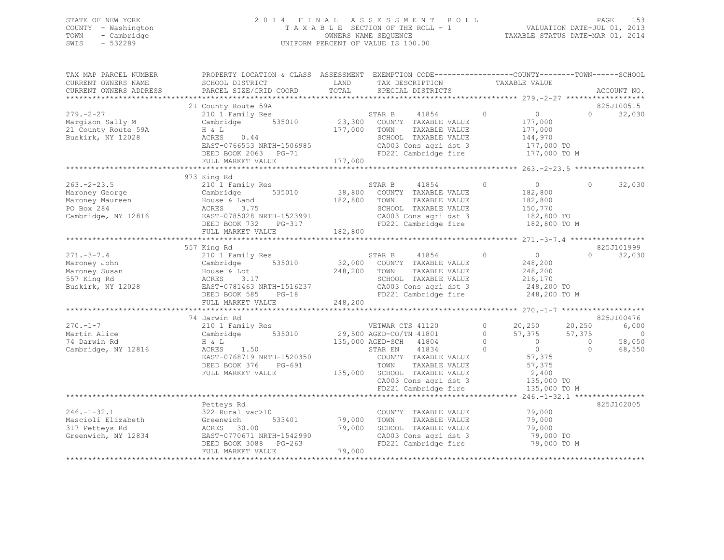### STATE OF NEW YORK 2 0 1 4 F I N A L A S S E S S M E N T R O L L PAGE 153 COUNTY - Washington T A X A B L E SECTION OF THE ROLL - 1 VALUATION DATE-JUL 01, 2013 TOWN - Cambridge OWNERS NAME SEQUENCE TAXABLE STATUS DATE-MAR 01, 2014 SWIS - 532289 UNIFORM PERCENT OF VALUE IS 100.00

| TAX MAP PARCEL NUMBER<br>CURRENT OWNERS NAME<br>CURRENT OWNERS ADDRESS                     | PROPERTY LOCATION & CLASS ASSESSMENT EXEMPTION CODE----------------COUNTY-------TOWN-----SCHOOL<br>SCHOOL DISTRICT<br>PARCEL SIZE/GRID COORD                         | LAND<br>TOTAL                | TAX DESCRIPTION<br>SPECIAL DISTRICTS                                                                                                                                                                                        | TAXABLE VALUE                                                                                                                                                | ACCOUNT NO.                                                                             |
|--------------------------------------------------------------------------------------------|----------------------------------------------------------------------------------------------------------------------------------------------------------------------|------------------------------|-----------------------------------------------------------------------------------------------------------------------------------------------------------------------------------------------------------------------------|--------------------------------------------------------------------------------------------------------------------------------------------------------------|-----------------------------------------------------------------------------------------|
|                                                                                            |                                                                                                                                                                      |                              |                                                                                                                                                                                                                             |                                                                                                                                                              |                                                                                         |
| $279. - 2 - 27$<br>Margison Sally M<br>21 County Route 59A<br>Buskirk, NY 12028            | 21 County Route 59A<br>210 1 Family Res<br>Cambridge 535010<br>H & L<br>0.44<br>ACRES<br>EAST-0766553 NRTH-1506985<br>DEED BOOK 2063 PG-71<br>FULL MARKET VALUE      | 177,000<br>177,000           | 41854<br>STAR B<br>23,300 COUNTY TAXABLE VALUE<br>TOWN<br>TAXABLE VALUE<br>SCHOOL TAXABLE VALUE<br>CA003 Cons agri dst 3<br>FD221 Cambridge fire                                                                            | $\circ$<br>$\overline{0}$<br>177,000<br>177,000<br>144,970<br>177,000 TO<br>177,000 TO M                                                                     | 825J100515<br>32,030<br>$\Omega$                                                        |
|                                                                                            |                                                                                                                                                                      |                              |                                                                                                                                                                                                                             |                                                                                                                                                              |                                                                                         |
| $263. -2 - 23.5$<br>Maroney George<br>Maroney Maureen<br>PO Box 284<br>Cambridge, NY 12816 | 973 King Rd<br>210 1 Family Res<br>535010<br>Cambridge<br>House & Land<br>ACRES<br>3.75<br>EAST-0785028 NRTH-1523991<br>DEED BOOK 732 PG-317<br>FULL MARKET VALUE    | 182,800<br>182,800           | 41854<br>STAR B<br>38,800 COUNTY TAXABLE VALUE<br>TOWN<br>TAXABLE VALUE<br>SCHOOL TAXABLE VALUE<br>CA003 Cons agri dst 3<br>FD221 Cambridge fire                                                                            | $\Omega$<br>$\Omega$<br>182,800<br>182,800<br>150,770<br>182,800 TO<br>182,800 TO M                                                                          | 32,030<br>$\Omega$                                                                      |
|                                                                                            |                                                                                                                                                                      |                              |                                                                                                                                                                                                                             |                                                                                                                                                              |                                                                                         |
| $271. - 3 - 7.4$<br>Maroney John<br>Maroney Susan<br>557 King Rd<br>Buskirk, NY 12028      | 557 King Rd<br>210 1 Family Res<br>535010<br>Cambridge<br>House & Lot<br>ACRES<br>3.17<br>EAST-0781463 NRTH-1516237<br>DEED BOOK 585<br>$PG-18$<br>FULL MARKET VALUE | 32,000<br>248,200<br>248,200 | STAR B<br>41854<br>COUNTY TAXABLE VALUE<br>TOWN<br>TAXABLE VALUE<br>SCHOOL TAXABLE VALUE<br>CA003 Cons agri dst 3<br>FD221 Cambridge fire                                                                                   | $\circ$<br>$\Omega$<br>248,200<br>248,200<br>216,170<br>248,200 TO<br>248,200 TO M                                                                           | 825J101999<br>32,030<br>$\Omega$                                                        |
|                                                                                            | 74 Darwin Rd                                                                                                                                                         |                              |                                                                                                                                                                                                                             |                                                                                                                                                              | 825J100476                                                                              |
| $270. - 1 - 7$<br>Martin Alice<br>74 Darwin Rd<br>Cambridge, NY 12816                      | 210 1 Family Res<br>535010<br>Cambridge<br>H & L<br>ACRES<br>1.50<br>EAST-0768719 NRTH-1520350<br>DEED BOOK 376<br>PG-691<br>FULL MARKET VALUE                       |                              | VETWAR CTS 41120<br>29,500 AGED-CO/TN 41801<br>135,000 AGED-SCH 41804<br>41834<br>STAR EN<br>COUNTY TAXABLE VALUE<br>TOWN<br>TAXABLE VALUE<br>135,000 SCHOOL TAXABLE VALUE<br>CA003 Cons agri dst 3<br>FD221 Cambridge fire | $\circ$<br>20,250<br>$\circ$<br>57,375<br>$\circ$<br>$\overline{0}$<br>$\overline{0}$<br>$\Omega$<br>57,375<br>57,375<br>2,400<br>135,000 TO<br>135,000 TO M | 20,250<br>6,000<br>57,375<br>$\circ$<br>58,050<br>$\overline{0}$<br>$\bigcap$<br>68,550 |
|                                                                                            |                                                                                                                                                                      |                              |                                                                                                                                                                                                                             |                                                                                                                                                              |                                                                                         |
| $246. - 1 - 32.1$<br>Mascioli Elizabeth<br>317 Petteys Rd<br>Greenwich, NY 12834           | Petteys Rd<br>322 Rural vac>10<br>533401<br>Greenwich<br>ACRES 30.00<br>EAST-0770671 NRTH-1542990<br>DEED BOOK 3088 PG-263<br>FULL MARKET VALUE                      | 79,000<br>79,000<br>79,000   | COUNTY TAXABLE VALUE<br>TOWN<br>TAXABLE VALUE<br>SCHOOL TAXABLE VALUE<br>CA003 Cons agri dst 3<br>FD221 Cambridge fire                                                                                                      | 79,000<br>79,000<br>79,000<br>79,000 TO<br>79,000 TO M                                                                                                       | 825J102005                                                                              |
|                                                                                            |                                                                                                                                                                      |                              |                                                                                                                                                                                                                             |                                                                                                                                                              |                                                                                         |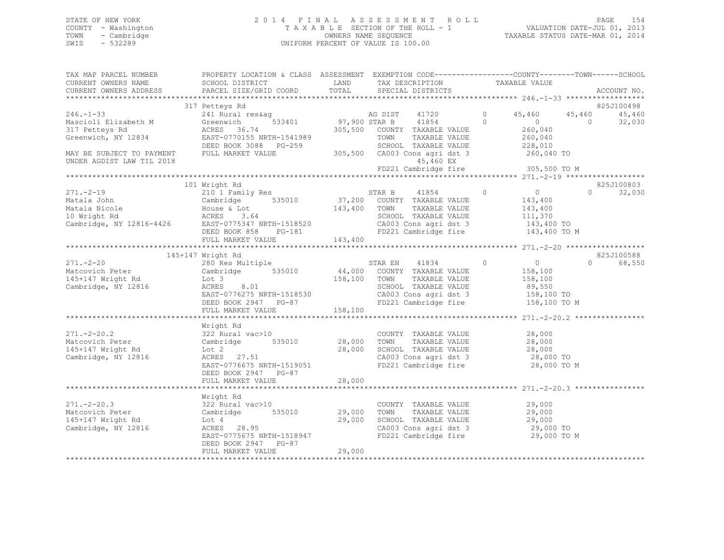### STATE OF NEW YORK 2 0 1 4 F I N A L A S S E S S M E N T R O L L PAGE 154 COUNTY - Washington T A X A B L E SECTION OF THE ROLL - 1 VALUATION DATE-JUL 01, 2013 TOWN - Cambridge OWNERS NAME SEQUENCE TAXABLE STATUS DATE-MAR 01, 2014 SWIS - 532289 UNIFORM PERCENT OF VALUE IS 100.00

| TAX MAP PARCEL NUMBER<br>CURRENT OWNERS NAME<br>CURRENT OWNERS ADDRESS                                                                 | PROPERTY LOCATION & CLASS ASSESSMENT EXEMPTION CODE---------------COUNTY-------TOWN-----SCHOOL<br>SCHOOL DISTRICT                          LAND            TAX DESCRIPTION<br>PARCEL SIZE/GRID COORD                         |         |                                                                                                                              |                  |                                             | ACCOUNT NO.                 |
|----------------------------------------------------------------------------------------------------------------------------------------|------------------------------------------------------------------------------------------------------------------------------------------------------------------------------------------------------------------------------|---------|------------------------------------------------------------------------------------------------------------------------------|------------------|---------------------------------------------|-----------------------------|
|                                                                                                                                        | 317 Petteys Rd                                                                                                                                                                                                               |         |                                                                                                                              |                  |                                             | 825J100498                  |
| $246. -1 - 33$                                                                                                                         | 241 Rural res&ag<br>Greenwich 533401 97,900 STAR B 41854 0<br>ACRES 36 74 305 500 COUNTY TIME TO ACRES                                                                                                                       |         |                                                                                                                              |                  | 0 $45,460$ $45,460$                         | 45,460                      |
| Mascioli Elizabeth M                                                                                                                   | Greenwich                                                                                                                                                                                                                    |         |                                                                                                                              |                  | $\overline{0}$                              | 32,030<br>$\overline{0}$    |
| 317 Petteys Rd                                                                                                                         |                                                                                                                                                                                                                              |         |                                                                                                                              |                  | 260,040                                     |                             |
| Greenwich, NY 12834                                                                                                                    |                                                                                                                                                                                                                              |         |                                                                                                                              |                  |                                             |                             |
|                                                                                                                                        |                                                                                                                                                                                                                              |         |                                                                                                                              |                  |                                             |                             |
| MAY BE SUBJECT TO PAYMENT<br>UNDER AGDIST LAW TIL 2018                                                                                 | ACRES 36.74 305,500 COUNTY TAXABLE VALUE 260,040<br>EAST-0770155 NRTH-1541989 TOWN TAXABLE VALUE 260,040<br>DEED BOOK 3088 PG-259 SCHOOL TAXABLE VALUE 228,010<br>FULL MARKET VALUE 305,500 CA003 Cons agri dst 3 260,040 TO |         | 45,460 EX                                                                                                                    |                  |                                             |                             |
|                                                                                                                                        |                                                                                                                                                                                                                              |         |                                                                                                                              |                  |                                             |                             |
|                                                                                                                                        |                                                                                                                                                                                                                              |         |                                                                                                                              |                  |                                             |                             |
|                                                                                                                                        | 101 Wright Rd                                                                                                                                                                                                                |         |                                                                                                                              |                  |                                             | 825J100803                  |
| $271 - -2 - 19$                                                                                                                        | 210 1 Family Res                                                                                                                                                                                                             |         | STAR B 41854                                                                                                                 | $\overline{0}$ 0 |                                             | $0 \qquad \qquad$<br>32,030 |
|                                                                                                                                        |                                                                                                                                                                                                                              |         |                                                                                                                              |                  |                                             |                             |
|                                                                                                                                        |                                                                                                                                                                                                                              |         |                                                                                                                              |                  |                                             |                             |
|                                                                                                                                        |                                                                                                                                                                                                                              |         |                                                                                                                              |                  |                                             |                             |
|                                                                                                                                        |                                                                                                                                                                                                                              |         |                                                                                                                              |                  |                                             |                             |
|                                                                                                                                        |                                                                                                                                                                                                                              |         |                                                                                                                              |                  |                                             |                             |
|                                                                                                                                        |                                                                                                                                                                                                                              |         |                                                                                                                              |                  |                                             |                             |
|                                                                                                                                        |                                                                                                                                                                                                                              |         |                                                                                                                              |                  |                                             |                             |
|                                                                                                                                        | 145+147 Wright Rd                                                                                                                                                                                                            |         |                                                                                                                              |                  |                                             | 825J100588                  |
| $271 - 2 - 20$                                                                                                                         | 280 Res Multiple STAR EN 41834<br>Cambridge 535010 44,000 COUNTY TAXABLE VALUE<br>Lot 3 158,100 TOWN TAXABLE VALUE<br>ACRES 8.01 58,100 SCHOOL TAXABLE VALUE                                                                 |         | STAR EN 41834 0                                                                                                              |                  | $\begin{array}{c} 0 \\ 158,100 \end{array}$ | $\Omega$<br>68,550          |
| Matcovich Peter                                                                                                                        |                                                                                                                                                                                                                              |         |                                                                                                                              |                  |                                             |                             |
| 145+147 Wright Rd                                                                                                                      |                                                                                                                                                                                                                              |         | TAXABLE VALUE 158,100                                                                                                        |                  |                                             |                             |
| Cambridge, NY 12816                                                                                                                    |                                                                                                                                                                                                                              |         | SCHOOL TAXABLE VALUE                                                                                                         |                  | 89,550                                      |                             |
|                                                                                                                                        | ACKES 8.01<br>EAST-0776275 NRTH-1518530<br>DEED BOOK 2947 PG-87                                                                                                                                                              |         | CA003 Cons agri dst 3<br>FRANCE CADO Cons agri dst 3 158,100 TO<br>FRANCE FIRE                                               |                  |                                             |                             |
|                                                                                                                                        | FULL MARKET VALUE                                                                                                                                                                                                            | 158,100 |                                                                                                                              |                  |                                             |                             |
|                                                                                                                                        |                                                                                                                                                                                                                              |         |                                                                                                                              |                  |                                             |                             |
|                                                                                                                                        | Wright Rd                                                                                                                                                                                                                    |         |                                                                                                                              |                  |                                             |                             |
| $271. - 2 - 20.2$                                                                                                                      | 322 Rural vac>10                                                                                                                                                                                                             |         | COUNTY TAXABLE VALUE 28,000                                                                                                  |                  |                                             |                             |
|                                                                                                                                        |                                                                                                                                                                                                                              |         |                                                                                                                              |                  |                                             |                             |
|                                                                                                                                        |                                                                                                                                                                                                                              |         | TAXABLE VALUE 28,000<br>TAXABLE VALUE 28,000                                                                                 |                  |                                             |                             |
| National Peter Cambridge Cambridge 28,000 TOWN<br>145+147 Wright Rd Lot 2<br>Cambridge, NY 12816 ACRES 27.51 CA003 Combridge, NY 12816 |                                                                                                                                                                                                                              |         | SCHOOL TAXABLE VALUE 28,000<br>CA003 Cons agri dst 3 28,000 TO                                                               |                  |                                             |                             |
|                                                                                                                                        | EAST-0776675 NRTH-1519051                                                                                                                                                                                                    |         | FD221 Cambridge fire                                                                                                         |                  | 28,000 TO M                                 |                             |
|                                                                                                                                        | DEED BOOK 2947 PG-87                                                                                                                                                                                                         |         |                                                                                                                              |                  |                                             |                             |
|                                                                                                                                        | FULL MARKET VALUE                                                                                                                                                                                                            | 28,000  |                                                                                                                              |                  |                                             |                             |
|                                                                                                                                        | *************************                                                                                                                                                                                                    |         | *********************************** 271.-2-20.3 ***                                                                          |                  |                                             |                             |
|                                                                                                                                        | Wright Rd                                                                                                                                                                                                                    |         |                                                                                                                              |                  |                                             |                             |
|                                                                                                                                        |                                                                                                                                                                                                                              |         | COUNTY TAXABLE VALUE<br>TOWN TAXABLE VALUE 29,000                                                                            |                  |                                             |                             |
| 271.-2-20.3<br>Matcovich Peter 29,000 TOWN<br>145+147 Wright Rd Lot 4 29,000 SCHOOL<br>145+147 Wright Rd Lot 4 29,000 SCHOOL           |                                                                                                                                                                                                                              |         | COUNTY TAXABLE VALUE<br>TOWN TAXABLE VALUE 29,000<br>SCHOOL TAXABLE VALUE 29,000 TO<br>199,000 TO<br>199,000 TO<br>29,000 TO |                  |                                             |                             |
|                                                                                                                                        | Lot 4<br>ACRES 28.95                                                                                                                                                                                                         |         |                                                                                                                              |                  |                                             |                             |
| Cambridge, NY 12816                                                                                                                    | EAST-0775675 NRTH-1518947                                                                                                                                                                                                    |         | CA003 Cons agri dst 3 29,000 TO<br>FD221 Cambridge fire 29,000 TO M                                                          |                  |                                             |                             |
|                                                                                                                                        | DEED BOOK 2947 PG-87                                                                                                                                                                                                         |         |                                                                                                                              |                  |                                             |                             |
|                                                                                                                                        | FULL MARKET VALUE                                                                                                                                                                                                            | 29,000  |                                                                                                                              |                  |                                             |                             |
|                                                                                                                                        |                                                                                                                                                                                                                              |         |                                                                                                                              |                  |                                             |                             |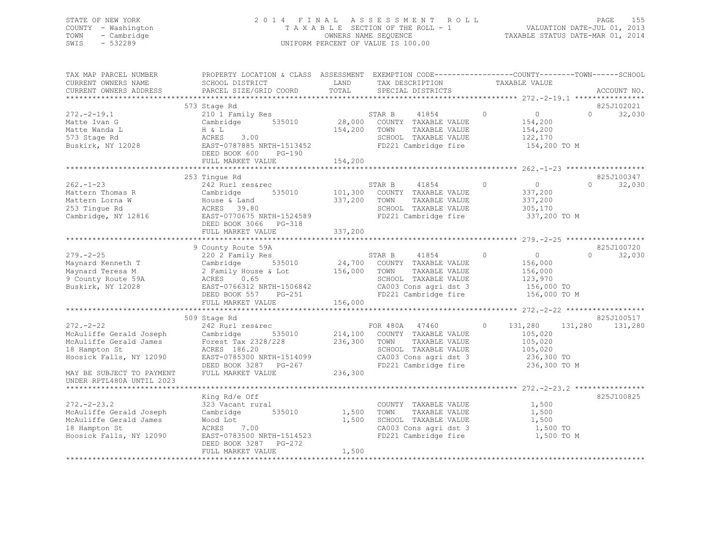### STATE OF NEW YORK 2 0 1 4 F I N A L A S S E S S M E N T R O L L PAGE 155 COUNTY - Washington T A X A B L E SECTION OF THE ROLL - 1 VALUATION DATE-JUL 01, 2013 TOWN - Cambridge OWNERS NAME SEQUENCE TAXABLE STATUS DATE-MAR 01, 2014 SWIS - 532289 UNIFORM PERCENT OF VALUE IS 100.00

| TAX MAP PARCEL NUMBER<br>CURRENT OWNERS NAME                                                                                                 | PROPERTY LOCATION & CLASS ASSESSMENT EXEMPTION CODE-----------------COUNTY-------TOWN------SCHOOL<br>SCHOOL DISTRICT                                                                                   | LAND                    | TAX DESCRIPTION                                                                                                                                                                     | TAXABLE VALUE                                                                     |                                  |
|----------------------------------------------------------------------------------------------------------------------------------------------|--------------------------------------------------------------------------------------------------------------------------------------------------------------------------------------------------------|-------------------------|-------------------------------------------------------------------------------------------------------------------------------------------------------------------------------------|-----------------------------------------------------------------------------------|----------------------------------|
| CURRENT OWNERS ADDRESS                                                                                                                       | PARCEL SIZE/GRID COORD                                                                                                                                                                                 | TOTAL                   | SPECIAL DISTRICTS                                                                                                                                                                   |                                                                                   | ACCOUNT NO.                      |
|                                                                                                                                              |                                                                                                                                                                                                        |                         |                                                                                                                                                                                     |                                                                                   |                                  |
| $272. - 2 - 19.1$<br>Matte Ivan G<br>Matte Wanda L<br>573 Stage Rd<br>Buskirk, NY 12028                                                      | 573 Stage Rd<br>210 1 Family Res<br>Cambridge 535010 28,000 COUNTY TAXABLE VALUE<br>ACRES 3.00<br>EAST-0787885 NRTH-1513452<br>DEED BOOK 600 PG-190<br>FULL MARKET VALUE                               | 154,200 TOWN<br>154,200 | TAXABLE VALUE<br>SCHOOL TAXABLE VALUE<br>FD221 Cambridge fire                                                                                                                       | $\circ$<br>$\overline{0}$<br>154,200<br>154,200<br>122,170<br>154,200 TO M        | 825J102021<br>$\Omega$<br>32,030 |
|                                                                                                                                              |                                                                                                                                                                                                        |                         |                                                                                                                                                                                     |                                                                                   |                                  |
| $262 - 1 - 23$<br>Mattern Thomas R<br>Mattern Lorna W<br>253 Tingue Rd<br>Cambridge, NY 12816                                                | 253 Tingue Rd<br>242 Rurl res&rec<br>Cambridge<br>House & Land<br>ACRES 39.80<br>EAST-0770675 NRTH-1524589<br>DEED BOOK 3066 PG-318<br>FULL MARKET VALUE                                               | 337,200 TOWN<br>337,200 | STAR B<br>41854<br>535010 101,300 COUNTY TAXABLE VALUE<br>TAXABLE VALUE<br>SCHOOL TAXABLE VALUE<br>FD221 Cambridge fire                                                             | $\overline{0}$<br>$\circ$<br>337,200<br>337,200<br>305,170<br>337,200 TO M        | 825J100347<br>$\Omega$<br>32,030 |
|                                                                                                                                              |                                                                                                                                                                                                        |                         |                                                                                                                                                                                     |                                                                                   |                                  |
| $279. - 2 - 25$<br>Maynard Kenneth T<br>Maynard Teresa M<br>9 County Route 59A<br>Buskirk, NY 12028                                          | 9 County Route 59A<br>220 2 Family Res<br>535010<br>--∪ ∠ Fami<br>Cambridge<br>2 Famil<br>2 Family House & Lot<br>ACRES 0.65<br>EAST-0766312 NRTH-1506842<br>DEED BOOK 557 PG-251<br>FULL MARKET VALUE | 156,000                 | STAR B<br>41854<br>24,700 COUNTY TAXABLE VALUE<br>156,000 TOWN TAXABLE VALUE<br>TAXABLE VALUE<br>SCHOOL TAXABLE VALUE<br>CA003 Cons agri dst 3<br>FD221 Cambridge fire 156,000 TO M | $\circ$<br>$\overline{0}$<br>156,000<br>156,000<br>123,970<br>156,000 TO          | 825J100720<br>32,030<br>$\Omega$ |
|                                                                                                                                              |                                                                                                                                                                                                        |                         |                                                                                                                                                                                     |                                                                                   |                                  |
| $272 - 2 - 22$<br>McAuliffe Gerald Joseph<br>McAuliffe Gerald James<br>18 Hampton St<br>Hoosick Falls, NY 12090<br>MAY BE SUBJECT TO PAYMENT | 509 Stage Rd<br>242 Rurl res&rec<br>Cambridge<br>Forest Tax 2328/228 236,300 TOWN<br>ACRES 186.20<br>EAST-0785300 NRTH-1514099<br>DEED BOOK 3287 PG-267<br>FULL MARKET VALUE                           | 236,300                 | FOR 480A 47460<br>535010 214,100 COUNTY TAXABLE VALUE<br>TAXABLE VALUE<br>SCHOOL TAXABLE VALUE<br>CA003 Cons agri dst 3<br>FD221 Cambridge fire                                     | $\circ$<br>131,280<br>105,020<br>105,020<br>105,020<br>236,300 TO<br>236,300 TO M | 825J100517<br>131,280<br>131,280 |
| UNDER RPTL480A UNTIL 2023                                                                                                                    |                                                                                                                                                                                                        |                         |                                                                                                                                                                                     |                                                                                   |                                  |
| $272. - 2 - 23.2$<br>McAuliffe Gerald Joseph<br>McAuliffe Gerald James<br>18 Hampton St<br>Hoosick Falls, NY 12090                           | King Rd/e Off<br>323 Vacant rural<br>Cambridge 535010<br>Wood Lot<br>ACRES 7.00<br>EAST-0783500 NRTH-1514523                                                                                           |                         | COUNTY TAXABLE VALUE<br>1,500 TOWN<br>TAXABLE VALUE<br>1,500 SCHOOL TAXABLE VALUE<br>CA003 Cons agri dst 3<br>FD221 Cambridge fire                                                  | 1,500<br>1,500<br>1,500<br>1,500 TO<br>1,500 TO M                                 | 825J100825                       |
|                                                                                                                                              | DEED BOOK 3287 PG-272<br>FULL MARKET VALUE                                                                                                                                                             | 1,500                   |                                                                                                                                                                                     |                                                                                   |                                  |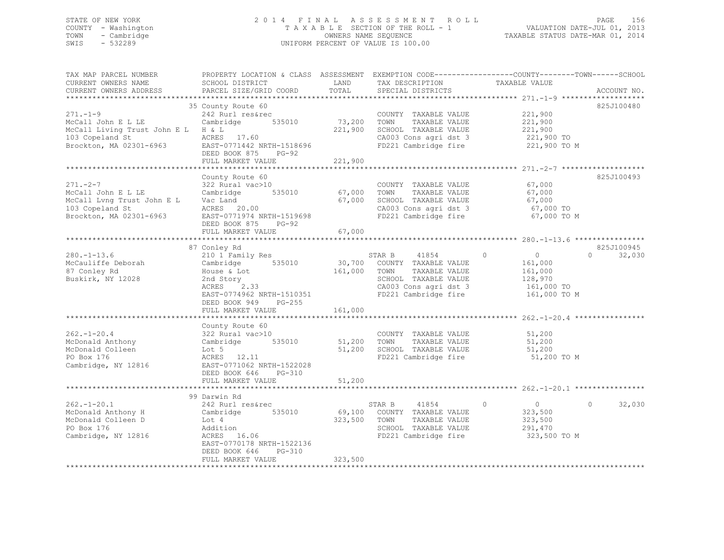### STATE OF NEW YORK 2 0 1 4 F I N A L A S S E S S M E N T R O L L PAGE 156 COUNTY - Washington T A X A B L E SECTION OF THE ROLL - 1 VALUATION DATE-JUL 01, 2013 TOWN - Cambridge OWNERS NAME SEQUENCE TAXABLE STATUS DATE-MAR 01, 2014 SWIS - 532289 UNIFORM PERCENT OF VALUE IS 100.00

| TAX MAP PARCEL NUMBER<br>CURRENT OWNERS NAME<br>CURRENT OWNERS ADDRESS                                                                                                                                            | PROPERTY LOCATION & CLASS ASSESSMENT EXEMPTION CODE---------------COUNTY-------TOWN-----SCHOOL<br>SCHOOL DISTRICT<br>PARCEL SIZE/GRID COORD             | LAND<br>TOTAL                                    | TAX DESCRIPTION<br>SPECIAL DISTRICTS                                                                                                      | TAXABLE VALUE                                                                                             | ACCOUNT NO.        |
|-------------------------------------------------------------------------------------------------------------------------------------------------------------------------------------------------------------------|---------------------------------------------------------------------------------------------------------------------------------------------------------|--------------------------------------------------|-------------------------------------------------------------------------------------------------------------------------------------------|-----------------------------------------------------------------------------------------------------------|--------------------|
|                                                                                                                                                                                                                   |                                                                                                                                                         |                                                  |                                                                                                                                           |                                                                                                           |                    |
| $271. - 1 - 9$<br>McCall John E L LE<br>McCall Living Trust John E L H & L                                                                                                                                        | 35 County Route 60<br>242 Rurl res&rec<br>Cambridge 535010<br>DEED BOOK 875 PG-92<br>FULL MARKET VALUE                                                  | 73,200 TOWN<br>221,900                           | COUNTY TAXABLE VALUE 221,900<br>TAXABLE VALUE<br>221,900 SCHOOL TAXABLE VALUE                                                             | 221,900<br>221,900<br>221,900 TO<br>CA003 Cons agri dst 3 221,900 TO<br>FD221 Cambridge fire 221,900 TO M | 825J100480         |
|                                                                                                                                                                                                                   |                                                                                                                                                         |                                                  |                                                                                                                                           |                                                                                                           |                    |
| $271. - 2 - 7$<br>McCall John E L LE Cambridge<br>McCall Lvng Trust John E L Vac Land<br>103 Copeland St                         ACRES     20.00<br>Brockton, MA 02301-6963             EAST-0771974 NRTH-1519698 | County Route 60<br>322 Rural vac>10<br>DEED BOOK 875 PG-92<br>FULL MARKET VALUE                                                                         | U<br>535010 67,000 TOWN<br>67,000 SCHO<br>67,000 | COUNTY TAXABLE VALUE<br>TAXABLE VALUE<br>SCHOOL TAXABLE VALUE                                                                             | 67,000<br>67,000<br>67,000<br>CA003 Cons agri dst 3 67,000 TO<br>FD221 Cambridge fire 67,000 TO M         | 825J100493         |
|                                                                                                                                                                                                                   | 87 Conley Rd                                                                                                                                            |                                                  |                                                                                                                                           |                                                                                                           | 825J100945         |
| $280. -1 - 13.6$<br>McCauliffe Deborah Cambridge 535010 30,700 COUNTY TAXABLE VALUE<br>87 Conley Rd<br>Buskirk, NY 12028                                                                                          | 210 1 Family Res<br>House & Lot<br>& Lot<br>ory<br>2.33<br>2nd Story<br>ACRES<br>EAST-0774962 NRTH-1510351<br>DEED BOOK 949 PG-255<br>FULL MARKET VALUE | 161,000                                          | STAR B 41854 0<br>161,000 TOWN TAXABLE VALUE<br>SCHOOL TAXABLE VALUE 128,970<br>CA003 Cons agri dst 3 161,000 TO<br>CA003 Cons agri dst 3 | $\overline{0}$<br>161,000<br>161,000<br>FD221 Cambridge fire 161,000 TO M                                 | $\Omega$<br>32,030 |
|                                                                                                                                                                                                                   | County Route 60                                                                                                                                         |                                                  |                                                                                                                                           |                                                                                                           |                    |
| $262 - 1 - 20.4$<br>McDonald Anthony<br>McDonald Colleen<br>PO Box 176<br>Cambridge, NY 12816 EAST-0771062 NRTH-1522028                                                                                           | 322 Rural vac>10<br>Cambridge 535010<br>Lot 5<br>ACRES 12.11<br>DEED BOOK 646 PG-310                                                                    |                                                  | COUNTY TAXABLE VALUE 51,200<br>51,200 TOWN TAXABLE VALUE<br>51,200 SCHOOL TAXABLE VALUE<br>FD221 Cambridge fire                           | 51,200<br>51,200<br>51,200 TO M                                                                           |                    |
|                                                                                                                                                                                                                   | FULL MARKET VALUE                                                                                                                                       | 51,200                                           |                                                                                                                                           |                                                                                                           |                    |
|                                                                                                                                                                                                                   |                                                                                                                                                         |                                                  |                                                                                                                                           |                                                                                                           |                    |
| $262. - 1 - 20.1$<br>McDonald Anthony H Cambridge 535010<br>McDonald Colleen D Lot 4<br>PO Box 176<br>Cambridge, NY 12816                                                                                         | 99 Darwin Rd<br>242 Rurl res&rec<br>Lot 4<br>Addition<br>ACRES 16.06<br>EAST-0770178 NRTH-1522136<br>DEED BOOK 646<br>PG-310                            | 323,500 TOWN                                     | STAR B 41854<br>$\sim$ 0<br>69,100 COUNTY TAXABLE VALUE<br>TAXABLE VALUE<br>SCHOOL TAXABLE VALUE<br>FD221 Cambridge fire                  | $\overline{0}$<br>323,500<br>323,500<br>291,470<br>323,500 TO M                                           | 32,030<br>$\circ$  |
|                                                                                                                                                                                                                   | FULL MARKET VALUE                                                                                                                                       | 323,500                                          |                                                                                                                                           |                                                                                                           |                    |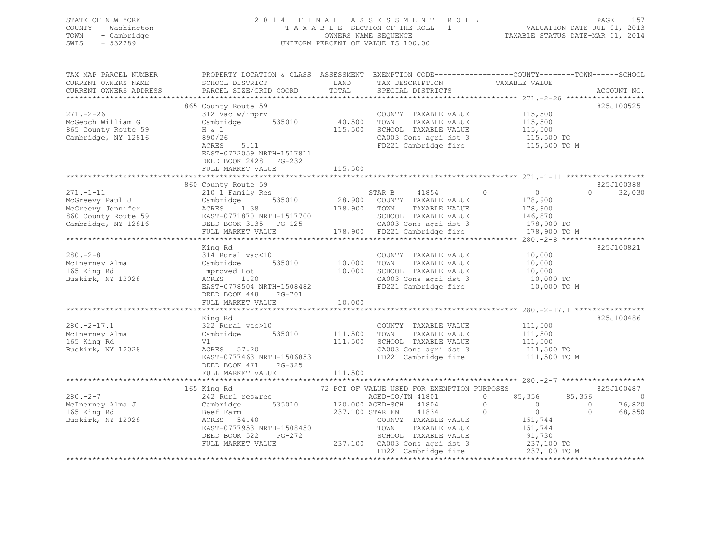| STATE OF NEW YORK<br>COUNTY - Washington<br>- Cambridge<br>TOWN<br>- 532289<br>SWIS |                                      |       | 2014 FINAL ASSESSMENT ROLL<br>TAXABLE SECTION OF THE ROLL - 1<br>OWNERS NAME SEOUENCE<br>UNIFORM PERCENT OF VALUE IS 100.00 | TAXABLE STATUS DATE-MAR 01, 2014 | PAGE<br>VALUATION DATE-JUL 01, 2013 | 157 |
|-------------------------------------------------------------------------------------|--------------------------------------|-------|-----------------------------------------------------------------------------------------------------------------------------|----------------------------------|-------------------------------------|-----|
|                                                                                     |                                      |       |                                                                                                                             |                                  |                                     |     |
| TAX MAP PARCEL NUMBER                                                               | PROPERTY LOCATION & CLASS ASSESSMENT |       | EXEMPTION CODE------------------COUNTY-------TOWN------SCHOOL                                                               |                                  |                                     |     |
| CURRENT OWNERS NAME                                                                 | SCHOOL DISTRICT                      | LAND  | TAX DESCRIPTION                                                                                                             | TAXABLE VALUE                    |                                     |     |
| CURRENT OWNERS ADDRESS                                                              | PARCEL SIZE/GRID COORD               | TOTAL | SPECIAL DISTRICTS                                                                                                           |                                  | ACCOUNT NO.                         |     |

| *************************                                                                                                                                                                                                                            |                                                                                                                                                                                                           |         |                                                                       |  |                    |
|------------------------------------------------------------------------------------------------------------------------------------------------------------------------------------------------------------------------------------------------------|-----------------------------------------------------------------------------------------------------------------------------------------------------------------------------------------------------------|---------|-----------------------------------------------------------------------|--|--------------------|
|                                                                                                                                                                                                                                                      | 865 County Route 59                                                                                                                                                                                       |         |                                                                       |  | 825J100525         |
| $271 - 2 - 26$<br>McGeoch William G<br>865 County Route 59                                                                                                                                                                                           | COUNTY TAXABLE VALUE 115,500<br>312 Vac w/imprv 635010 10,500 TOWN TAXABLE VALUE 115,500<br>0 115,500 115.500 SCHOOL TAXABLE VALUE 115,500                                                                |         |                                                                       |  |                    |
| Cambridge, NY 12816                                                                                                                                                                                                                                  | H & L<br>890/26<br>ACRES 5.11<br>EAST-0772059 NRTH-1517811<br>DEED BOOK 2428 PG-232                                                                                                                       |         | CA003 Cons agri dst 3 115,500 TO<br>FD221 Cambridge fire 115,500 TO M |  |                    |
|                                                                                                                                                                                                                                                      | FULL MARKET VALUE                                                                                                                                                                                         | 115,500 |                                                                       |  |                    |
|                                                                                                                                                                                                                                                      | 860 County Route 59                                                                                                                                                                                       |         |                                                                       |  | 825J100388         |
|                                                                                                                                                                                                                                                      |                                                                                                                                                                                                           |         |                                                                       |  | $\Omega$<br>32,030 |
| 860 County Route 59<br>McGreevy Jennifer<br>McGreevy Jennifer<br>McGreevy Jennifer<br>McGreevy Jennifer<br>McGreevy Jennifer<br>McGreevy Jennifer<br>McGreevy Jennifer<br>McGreevy Jennifer<br>McGreevy Jennifer<br>McGreevy Jennifer<br>McGreevy Je |                                                                                                                                                                                                           |         |                                                                       |  |                    |
|                                                                                                                                                                                                                                                      |                                                                                                                                                                                                           |         |                                                                       |  |                    |
|                                                                                                                                                                                                                                                      |                                                                                                                                                                                                           |         |                                                                       |  |                    |
|                                                                                                                                                                                                                                                      |                                                                                                                                                                                                           |         |                                                                       |  |                    |
|                                                                                                                                                                                                                                                      |                                                                                                                                                                                                           |         |                                                                       |  |                    |
|                                                                                                                                                                                                                                                      |                                                                                                                                                                                                           |         |                                                                       |  |                    |
|                                                                                                                                                                                                                                                      | King Rd                                                                                                                                                                                                   |         |                                                                       |  | 825J100821         |
| $280 - 2 - 8$                                                                                                                                                                                                                                        | 114 Rural vac<10<br>COUNTY TAXABLE VALUE 10,000<br>Cambridge 535010 10,000 TOWN TAXABLE VALUE 10,000                                                                                                      |         |                                                                       |  |                    |
| McInerney Alma                                                                                                                                                                                                                                       |                                                                                                                                                                                                           |         |                                                                       |  |                    |
| 165 King Rd                                                                                                                                                                                                                                          |                                                                                                                                                                                                           |         |                                                                       |  |                    |
| Buskirk, NY 12028                                                                                                                                                                                                                                    |                                                                                                                                                                                                           |         |                                                                       |  |                    |
|                                                                                                                                                                                                                                                      | Improved Lot 10,000 SCHOOL TAXABLE VALUE 10,000 10<br>ACRES 1.20 CA003 Cons agri dst 3 10,000 TO<br>EAST-0778504 NRTH-1508482 FD221 Cambridge fire 10,000 TO M<br>ACRES 1.20<br>EAST-0778504 NRTH-1508482 |         |                                                                       |  |                    |
|                                                                                                                                                                                                                                                      | DEED BOOK 448 PG-701                                                                                                                                                                                      |         |                                                                       |  |                    |
|                                                                                                                                                                                                                                                      | FULL MARKET VALUE 10,000                                                                                                                                                                                  |         |                                                                       |  |                    |
|                                                                                                                                                                                                                                                      |                                                                                                                                                                                                           |         |                                                                       |  |                    |
|                                                                                                                                                                                                                                                      | King Rd                                                                                                                                                                                                   |         |                                                                       |  | 825J100486         |
| $280 - 2 - 17.1$                                                                                                                                                                                                                                     | 322 Rural vac>10                                                                                                                                                                                          |         | COUNTY TAXABLE VALUE 111,500<br>TOWN TAXABLE VALUE 111,500            |  |                    |
| McInerney Alma<br>165 Kino Rd                                                                                                                                                                                                                        |                                                                                                                                                                                                           |         |                                                                       |  |                    |
| 165 King Rd                                                                                                                                                                                                                                          |                                                                                                                                                                                                           |         |                                                                       |  |                    |
| Buskirk, NY 12028                                                                                                                                                                                                                                    | V1 111,500 SCHOOL TAXABLE VALUE 111,500<br>ACRES 57.20 111,500 CHOOL TAXABLE VALUE 111,500<br>EAST-0777463 NRTH-1506853 FD221 Cambridge fire 111,500 TO M                                                 |         |                                                                       |  |                    |
|                                                                                                                                                                                                                                                      | DEED BOOK 471 PG-325                                                                                                                                                                                      |         |                                                                       |  |                    |
|                                                                                                                                                                                                                                                      |                                                                                                                                                                                                           |         |                                                                       |  |                    |
|                                                                                                                                                                                                                                                      |                                                                                                                                                                                                           |         |                                                                       |  |                    |
|                                                                                                                                                                                                                                                      |                                                                                                                                                                                                           |         |                                                                       |  |                    |
|                                                                                                                                                                                                                                                      |                                                                                                                                                                                                           |         |                                                                       |  |                    |
|                                                                                                                                                                                                                                                      |                                                                                                                                                                                                           |         |                                                                       |  |                    |
| 165 King Rd<br>280.-2-7 242 Rurl res&rec<br>242 Rurl res&rec<br>2355010 237,100 AGED-CO/TN 41801 0<br>237,100 STAR EN<br>237,100 STAR EN<br>237,100 STAR EN<br>237,100 STAR EN<br>237,100 STAR EN<br>237,100 STAR EN<br>237,100 STAR EN<br>237,100 S |                                                                                                                                                                                                           |         |                                                                       |  |                    |
|                                                                                                                                                                                                                                                      |                                                                                                                                                                                                           |         |                                                                       |  |                    |
|                                                                                                                                                                                                                                                      |                                                                                                                                                                                                           |         |                                                                       |  |                    |
|                                                                                                                                                                                                                                                      |                                                                                                                                                                                                           |         |                                                                       |  |                    |
|                                                                                                                                                                                                                                                      |                                                                                                                                                                                                           |         |                                                                       |  |                    |
|                                                                                                                                                                                                                                                      | ACRES 54.40<br>EAST-0777953 NRTH-1508450<br>DEED BOOK 522 PG-272<br>FULL MARKET VALUE 237,100 CA003 Cons agri dst 3 237,100 TO M<br>FULL MARKET VALUE 237,100 FD221 Cambridge fire 237,100 TO M           |         |                                                                       |  |                    |
|                                                                                                                                                                                                                                                      |                                                                                                                                                                                                           |         |                                                                       |  |                    |
|                                                                                                                                                                                                                                                      |                                                                                                                                                                                                           |         |                                                                       |  |                    |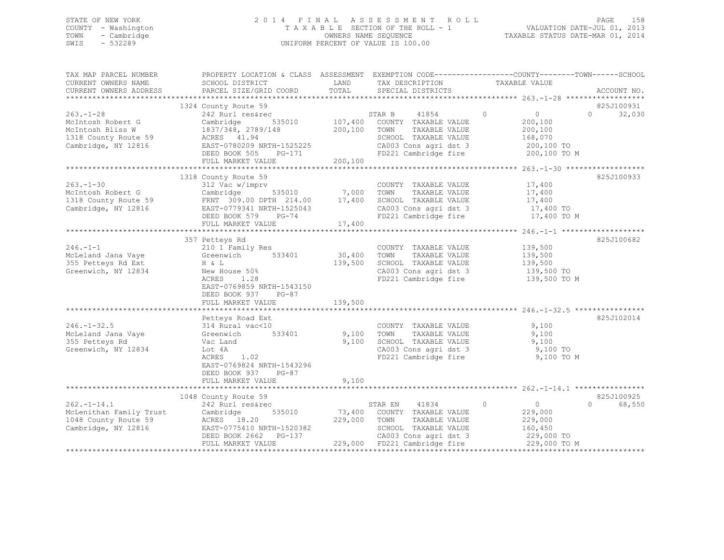### STATE OF NEW YORK 2 0 1 4 F I N A L A S S E S S M E N T R O L L PAGE 158 COUNTY - Washington T A X A B L E SECTION OF THE ROLL - 1 VALUATION DATE-JUL 01, 2013 TOWN - Cambridge OWNERS NAME SEQUENCE TAXABLE STATUS DATE-MAR 01, 2014 SWIS - 532289 UNIFORM PERCENT OF VALUE IS 100.00

| TAX MAP PARCEL NUMBER<br>CURRENT OWNERS NAME<br>CURRENT OWNERS ADDRESS | PROPERTY LOCATION & CLASS ASSESSMENT EXEMPTION CODE---------------COUNTY-------TOWN-----SCHOOL<br>SCHOOL DISTRICT<br>PARCEL SIZE/GRID COORD | LAND<br>TOTAL | TAX DESCRIPTION<br>SPECIAL DISTRICTS                  | TAXABLE VALUE             | ACCOUNT NO.                     |
|------------------------------------------------------------------------|---------------------------------------------------------------------------------------------------------------------------------------------|---------------|-------------------------------------------------------|---------------------------|---------------------------------|
|                                                                        |                                                                                                                                             |               |                                                       |                           |                                 |
|                                                                        | 1324 County Route 59                                                                                                                        |               |                                                       |                           | 825J100931                      |
| $263 - 1 - 28$                                                         | 242 Rurl res&rec                                                                                                                            |               | $\sim$ 0<br>41854<br>STAR B                           | $\sim$ 0                  | $\Omega$<br>32,030              |
| McIntosh Robert G                                                      | Cambridge                                                                                                                                   |               | 535010 107,400 COUNTY TAXABLE VALUE                   | 200,100                   |                                 |
| McIntosh Bliss W                                                       | 1837/348, 2789/148                                                                                                                          | 200,100 TOWN  | TAXABLE VALUE                                         | 200,100                   |                                 |
| 1318 County Route 59                                                   | ACRES 41.94<br>EAST-0780209 NRTH-1525225                                                                                                    |               | SCHOOL TAXABLE VALUE                                  | 168,070<br>200,100 TO     |                                 |
| Cambridge, NY 12816                                                    | DEED BOOK 505<br>PG-171                                                                                                                     |               | CA003 Cons agri dst 3<br>FD221 Cambridge fire         | 200,100 TO M              |                                 |
|                                                                        | FULL MARKET VALUE                                                                                                                           | 200,100       |                                                       |                           |                                 |
|                                                                        |                                                                                                                                             |               |                                                       |                           |                                 |
|                                                                        | 1318 County Route 59                                                                                                                        |               |                                                       |                           | 825J100933                      |
| $263 - 1 - 30$                                                         | 312 Vac w/imprv                                                                                                                             |               | COUNTY TAXABLE VALUE                                  | 17,400                    |                                 |
|                                                                        |                                                                                                                                             |               |                                                       | 17,400                    |                                 |
|                                                                        |                                                                                                                                             |               |                                                       | 17,400                    |                                 |
| Cambridge, NY 12816                                                    | EAST-0779341 NRTH-1525043                                                                                                                   |               | CA003 Cons agri dst 3<br>FD221 Cambridge fire         | 17,400 TO                 |                                 |
|                                                                        | DEED BOOK 579 PG-74<br>FULL MARKET VALUE                                                                                                    | 17,400        |                                                       | 17,400 TO M               |                                 |
|                                                                        |                                                                                                                                             |               |                                                       |                           |                                 |
|                                                                        | 357 Petteys Rd                                                                                                                              |               |                                                       |                           | 825J100682                      |
| $246. -1 - 1$                                                          | 210 1 Family Res                                                                                                                            |               | COUNTY TAXABLE VALUE                                  | 139,500                   |                                 |
| McLeland Jana Vaye Greenwich                                           | 533401                                                                                                                                      | 30,400        | TOWN<br>TAXABLE VALUE                                 | 139,500                   |                                 |
| 355 Petteys Rd Ext                                                     | H & L                                                                                                                                       | 139,500       | SCHOOL TAXABLE VALUE<br>CA003 Cons agri dst 3         | 139,500                   |                                 |
| Greenwich, NY 12834                                                    | New House 50%                                                                                                                               |               |                                                       | 139,500 TO                |                                 |
|                                                                        | ACRES<br>1.28                                                                                                                               |               | FD221 Cambridge fire                                  | 139,500 TO M              |                                 |
|                                                                        | EAST-0769859 NRTH-1543150                                                                                                                   |               |                                                       |                           |                                 |
|                                                                        | DEED BOOK 937<br>$PG-87$                                                                                                                    |               |                                                       |                           |                                 |
|                                                                        | FULL MARKET VALUE                                                                                                                           | 139,500       |                                                       |                           |                                 |
|                                                                        | Petteys Road Ext                                                                                                                            |               |                                                       |                           | 825J102014                      |
| $246. - 1 - 32.5$                                                      | 314 Rural vac<10                                                                                                                            |               | COUNTY TAXABLE VALUE                                  | 9,100                     |                                 |
| McLeland Jana Vaye                                                     | 533401<br>Greenwich                                                                                                                         |               | 9,100 TOWN<br>TAXABLE VALUE                           | 9,100                     |                                 |
| 355 Petteys Rd                                                         | Vac Land                                                                                                                                    | 9,100         | SCHOOL TAXABLE VALUE                                  | 9,100                     |                                 |
| Greenwich, NY 12834                                                    | Lot 4A                                                                                                                                      |               |                                                       | 9,100 TO                  |                                 |
|                                                                        | ACRES 1.02                                                                                                                                  |               | CA003 Cons agri dst 3<br>FD221 Cambridge fire         | 9,100 TO M                |                                 |
|                                                                        | EAST-0769824 NRTH-1543296                                                                                                                   |               |                                                       |                           |                                 |
|                                                                        | DEED BOOK 937 PG-87                                                                                                                         |               |                                                       |                           |                                 |
|                                                                        | FULL MARKET VALUE                                                                                                                           | 9,100         |                                                       |                           |                                 |
|                                                                        |                                                                                                                                             |               |                                                       |                           |                                 |
|                                                                        | 1048 County Route 59                                                                                                                        |               |                                                       |                           | 825J100925                      |
| $262. - 1 - 14.1$                                                      | 242 Rurl res&rec                                                                                                                            |               | 41834<br>STAR EN                                      | $\circ$<br>$\overline{0}$ | $\Omega$ and $\Omega$<br>68,550 |
| McLenithan Family Trust<br>1040 County Route 59                        | 535010<br>Cambridge                                                                                                                         |               | 73,400 COUNTY TAXABLE VALUE                           | 229,000                   |                                 |
| 1048 County Route 59                                                   | ACRES 18.20                                                                                                                                 | 229,000       | TOWN<br>TAXABLE VALUE                                 | 229,000                   |                                 |
| Cambridge, NY 12816                                                    | EAST-0775410 NRTH-1520382<br>DEED BOOK 2662 PG-137                                                                                          |               | SCHOOL TAXABLE VALUE                                  | 160,450<br>229,000 TO     |                                 |
|                                                                        | FULL MARKET VALUE                                                                                                                           |               | CA003 Cons agri dst 3<br>229,000 FD221 Cambridge fire | 229,000 TO M              |                                 |
|                                                                        |                                                                                                                                             |               |                                                       |                           |                                 |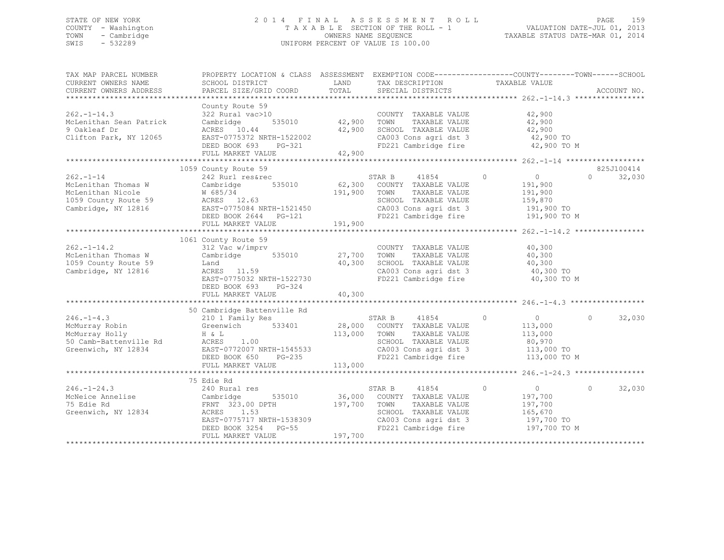### STATE OF NEW YORK 2 0 1 4 F I N A L A S S E S S M E N T R O L L PAGE 159 COUNTY - Washington T A X A B L E SECTION OF THE ROLL - 1 VALUATION DATE-JUL 01, 2013 TOWN - Cambridge OWNERS NAME SEQUENCE TAXABLE STATUS DATE-MAR 01, 2014 SWIS - 532289 UNIFORM PERCENT OF VALUE IS 100.00

| TAX MAP PARCEL NUMBER<br>CURRENT OWNERS NAME                                           | PROPERTY LOCATION & CLASS ASSESSMENT EXEMPTION CODE----------------COUNTY-------TOWN-----SCHOOL<br>SCHOOL DISTRICT                                                                                                                                                                                                                         | LAND                          | TAX DESCRIPTION                                                                                                                           | TAXABLE VALUE                                                                                                                       |                    |
|----------------------------------------------------------------------------------------|--------------------------------------------------------------------------------------------------------------------------------------------------------------------------------------------------------------------------------------------------------------------------------------------------------------------------------------------|-------------------------------|-------------------------------------------------------------------------------------------------------------------------------------------|-------------------------------------------------------------------------------------------------------------------------------------|--------------------|
| CURRENT OWNERS ADDRESS                                                                 | PARCEL SIZE/GRID COORD                                                                                                                                                                                                                                                                                                                     | TOTAL                         | SPECIAL DISTRICTS                                                                                                                         |                                                                                                                                     | ACCOUNT NO.        |
|                                                                                        |                                                                                                                                                                                                                                                                                                                                            |                               |                                                                                                                                           |                                                                                                                                     |                    |
| $262 - 1 - 14.3$<br>McLenithan Sean Patrick                                            | County Route 59<br>322 Rural vac>10<br>Cambridge                                                                                                                                                                                                                                                                                           | 0 COUNT<br>535010 42,900 TOWN | COUNTY TAXABLE VALUE<br>TAXABLE VALUE                                                                                                     | 42,900<br>42,900                                                                                                                    |                    |
| 9 Oakleaf Dr                                                                           | ACRES 10.44                                                                                                                                                                                                                                                                                                                                |                               | SCHOOL TAXABLE VALUE                                                                                                                      | 42,900                                                                                                                              |                    |
| Clifton Park, NY 12065                                                                 | EAST-0775372 NRTH-1522002<br>DEED BOOK 693<br>PG-321<br>FULL MARKET VALUE                                                                                                                                                                                                                                                                  | 42,900<br>42,900              |                                                                                                                                           | $42,900$ TO<br>CA003 Cons agri dst 3 42,900 TO<br>FD221 Cambridge fire 42,900 TO M                                                  |                    |
|                                                                                        |                                                                                                                                                                                                                                                                                                                                            |                               |                                                                                                                                           |                                                                                                                                     |                    |
|                                                                                        | 1059 County Route 59                                                                                                                                                                                                                                                                                                                       |                               |                                                                                                                                           |                                                                                                                                     | 825J100414         |
| $262 - 1 - 14$<br>McLenithan Thomas W<br>McLenithan Nicole                             | 242 Rurl res&rec<br>535010<br>Cambridge<br>W 685/34<br>McLenithan Nicole<br>1059 County Route 59 (ACRES 12.63<br>Cambridge, NY 12816 (EAST-0775084 NRTH-1521450)<br>DEED BOOK 2644 PG-121                                                                                                                                                  | 191,900                       | 41854<br>STAR B<br>62,300 COUNTY TAXABLE VALUE<br>TOWN<br>TAXABLE VALUE<br>SCHOOL TAXABLE VALUE                                           | $\circ$<br>$\overline{0}$<br>191,900<br>191,900<br>159,870<br>CA003 Cons agri dst 3 191,900 TO<br>FD221 Cambridge fire 191,900 TO M | $\Omega$<br>32,030 |
|                                                                                        |                                                                                                                                                                                                                                                                                                                                            |                               |                                                                                                                                           |                                                                                                                                     |                    |
| $262 - 1 - 14.2$<br>McLenithan Thomas W<br>1059 County Route 59<br>Cambridge, NY 12816 | 1061 County Route 59<br>312 Vac w/imprv<br>Cambridge 535010 27,700<br>Land<br>ACRES 11.59<br>EAST-0775032 NRTH-1522730<br>DEED BOOK 693<br>$PG-324$<br>FULL MARKET VALUE                                                                                                                                                                   | 40,300<br>40,300              | COUNTY TAXABLE VALUE<br>TAXABLE VALUE<br>TOWN<br>SCHOOL TAXABLE VALUE<br>FD221 Cambridge fire                                             | 40,300<br>40,300<br>40,300<br>CA003 Cons agri dst 3 40,300 TO<br>40,300 TO M                                                        |                    |
|                                                                                        | 50 Cambridge Battenville Rd                                                                                                                                                                                                                                                                                                                |                               |                                                                                                                                           |                                                                                                                                     |                    |
| 50 Camb-Battenville Rd<br>Greenwich, NY 12834                                          | McMurray Robin<br>McMurray Robin<br>McMurray Holly<br>McMurray Holly<br>Hard Hard 533401<br><b>ACRES</b>                                                                                                                                                                                                                                   | 113,000 TOWN                  | 41854<br>STAR B<br>28,000 COUNTY TAXABLE VALUE<br>TAXABLE VALUE<br>SCHOOL TAXABLE VALUE<br>CA003 Cons agri dst 3<br>FD221 Cambridge fire  | $\circ$<br>$\overline{0}$<br>113,000<br>113,000<br>80,970<br>113,000 TO<br>113,000 TO M                                             | 32,030<br>$\Omega$ |
|                                                                                        |                                                                                                                                                                                                                                                                                                                                            | 113,000                       |                                                                                                                                           |                                                                                                                                     |                    |
|                                                                                        |                                                                                                                                                                                                                                                                                                                                            |                               |                                                                                                                                           |                                                                                                                                     |                    |
| $246. - 1 - 24.3$<br>McNeice Annelise<br>75 Edie Rd<br>Greenwich, NY 12834             | 75 Edie Rd<br>240 Rural res<br>Cambridge<br>535010<br>FRNT 323.00 DPTH<br>ACRES 1.53<br>1999 - 1999 - 1999 - 1999 - 1999 - 1999 - 1999 - 1999 - 1999 - 1999 - 1999 - 1999 - 1999 - 1999 - 1999 - 1999 - 1999 - 1999 - 1999 - 1999 - 1999 - 1999 - 1999 - 1999 - 1999 - 1999 - 1999 - 1999 - 1999 - 1999 - 1999 - 1999<br>FULL MARKET VALUE | 36,000<br>197,700<br>197,700  | STAR B<br>41854<br>COUNTY TAXABLE VALUE<br>TOWN<br>TAXABLE VALUE<br>SCHOOL TAXABLE VALUE<br>CA003 Cons agri dst 3<br>FD221 Cambridge fire | $\circ$<br>$\overline{0}$<br>197,700<br>197,700<br>165,670<br>197,700 TO<br>197,700 TO M                                            | $\Omega$<br>32,030 |
|                                                                                        |                                                                                                                                                                                                                                                                                                                                            |                               |                                                                                                                                           |                                                                                                                                     |                    |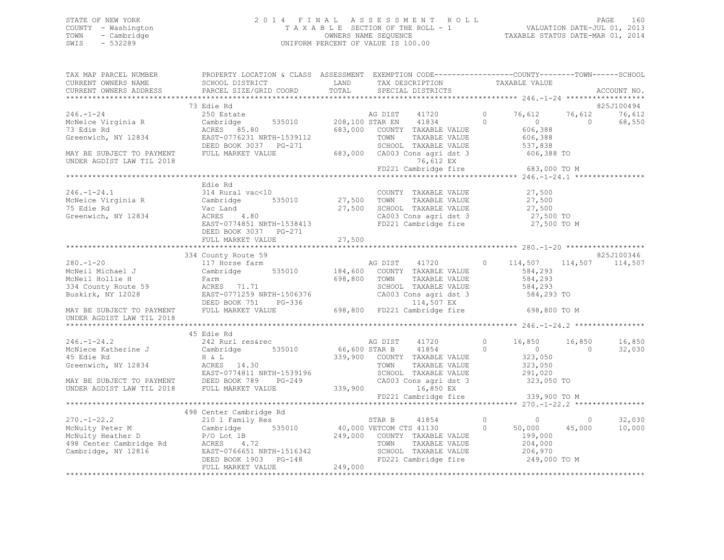# STATE OF NEW YORK PAGE 160<br>COUNTY - Washington 1 2013<br>2014 TAXABLE SECTION OF THE ROLL - 1 2014 PAGE 160 COUNTY - Washington  $T A X A B L E$  SECTION OF THE ROLL - 1<br>TOWN - Cambridge  $\sim$  000NERS NAME SEQUENCE TOWN - Cambridge OWNERS NAME SEQUENCE TAXABLE STATUS DATE-MAR 01, 2014 UNIFORM PERCENT OF VALUE IS 100.00

| TAX MAP PARCEL NUMBER THE PROPERTY LOCATION & CLASS ASSESSMENT EXEMPTION CODE---------------COUNTY-------TOWN------SCHOOL                                                                                                                                                  |  |  |             |
|----------------------------------------------------------------------------------------------------------------------------------------------------------------------------------------------------------------------------------------------------------------------------|--|--|-------------|
|                                                                                                                                                                                                                                                                            |  |  |             |
|                                                                                                                                                                                                                                                                            |  |  | ACCOUNT NO. |
|                                                                                                                                                                                                                                                                            |  |  |             |
|                                                                                                                                                                                                                                                                            |  |  |             |
|                                                                                                                                                                                                                                                                            |  |  |             |
|                                                                                                                                                                                                                                                                            |  |  |             |
|                                                                                                                                                                                                                                                                            |  |  |             |
|                                                                                                                                                                                                                                                                            |  |  |             |
|                                                                                                                                                                                                                                                                            |  |  |             |
|                                                                                                                                                                                                                                                                            |  |  |             |
|                                                                                                                                                                                                                                                                            |  |  |             |
|                                                                                                                                                                                                                                                                            |  |  |             |
|                                                                                                                                                                                                                                                                            |  |  |             |
|                                                                                                                                                                                                                                                                            |  |  |             |
| Edie Rd                                                                                                                                                                                                                                                                    |  |  |             |
|                                                                                                                                                                                                                                                                            |  |  |             |
|                                                                                                                                                                                                                                                                            |  |  |             |
|                                                                                                                                                                                                                                                                            |  |  |             |
|                                                                                                                                                                                                                                                                            |  |  |             |
|                                                                                                                                                                                                                                                                            |  |  |             |
|                                                                                                                                                                                                                                                                            |  |  |             |
|                                                                                                                                                                                                                                                                            |  |  |             |
|                                                                                                                                                                                                                                                                            |  |  |             |
| 216.-1-24.1<br>216.-1-24.1<br>216.-1-24.1<br>216.-1-24.1<br>216.-1-24.1<br>216.-1-24.1<br>22,500<br>216.-1-24.1<br>22,500<br>216.-1-24.1<br>22,500<br>27,500<br>27,500<br>27,500<br>27,500<br>27,500<br>27,500<br>27,500<br>27,500<br>27,500<br>27,500<br>27,500<br>27,500 |  |  |             |
|                                                                                                                                                                                                                                                                            |  |  |             |
|                                                                                                                                                                                                                                                                            |  |  |             |
|                                                                                                                                                                                                                                                                            |  |  |             |
|                                                                                                                                                                                                                                                                            |  |  |             |
|                                                                                                                                                                                                                                                                            |  |  |             |
|                                                                                                                                                                                                                                                                            |  |  |             |
|                                                                                                                                                                                                                                                                            |  |  |             |
|                                                                                                                                                                                                                                                                            |  |  |             |
|                                                                                                                                                                                                                                                                            |  |  |             |
|                                                                                                                                                                                                                                                                            |  |  |             |
| 246.-1-24.2<br>246.-1-24.2<br>242 Rurl resérec and Fig. 339,900 CONDER AG DIST<br>242 Rurl resérec and Fig. 339,900 CONDER B<br>242 Rurl resérec and Fig. 339,900 CONDER AGDIST 339,500 CONDER AGDIST LAN TIL 2018<br>242 Rurl resérec 3                                   |  |  |             |
|                                                                                                                                                                                                                                                                            |  |  |             |
|                                                                                                                                                                                                                                                                            |  |  |             |
|                                                                                                                                                                                                                                                                            |  |  |             |
|                                                                                                                                                                                                                                                                            |  |  |             |
|                                                                                                                                                                                                                                                                            |  |  |             |
|                                                                                                                                                                                                                                                                            |  |  |             |
|                                                                                                                                                                                                                                                                            |  |  |             |
|                                                                                                                                                                                                                                                                            |  |  |             |
|                                                                                                                                                                                                                                                                            |  |  |             |
|                                                                                                                                                                                                                                                                            |  |  |             |
|                                                                                                                                                                                                                                                                            |  |  |             |
|                                                                                                                                                                                                                                                                            |  |  |             |
|                                                                                                                                                                                                                                                                            |  |  |             |
|                                                                                                                                                                                                                                                                            |  |  |             |
|                                                                                                                                                                                                                                                                            |  |  |             |
|                                                                                                                                                                                                                                                                            |  |  |             |
|                                                                                                                                                                                                                                                                            |  |  |             |
| 1998 Center Cambridge Rd<br>270.-1-22.2<br>McNulty Heather D<br>McNulty Heather D<br>210 1 Family Res<br>McNulty Heather D<br>210 1 Family Res<br>210 1 Family Res<br>210 1 Family Res<br>210 1 Family Res<br>210 1 Family Res<br>210 0 249,000 VETC                       |  |  |             |
|                                                                                                                                                                                                                                                                            |  |  |             |
|                                                                                                                                                                                                                                                                            |  |  |             |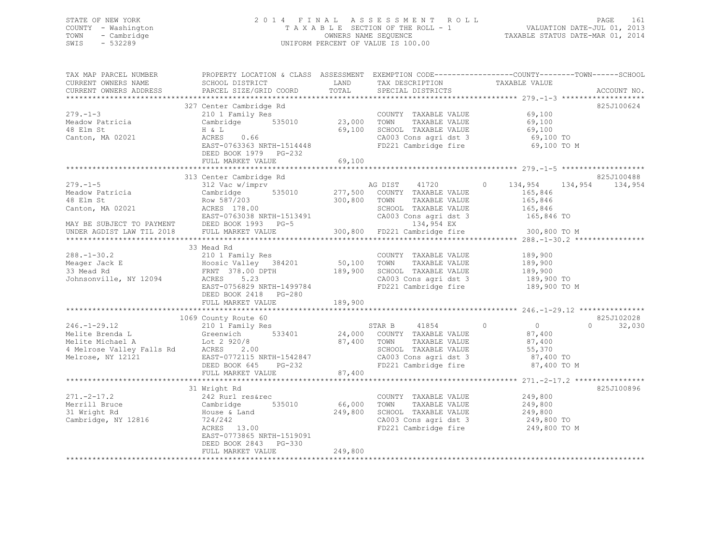### STATE OF NEW YORK 2 0 1 4 F I N A L A S S E S S M E N T R O L L PAGE 161 COUNTY - Washington T A X A B L E SECTION OF THE ROLL - 1 VALUATION DATE-JUL 01, 2013 TOWN - Cambridge OWNERS NAME SEQUENCE TAXABLE STATUS DATE-MAR 01, 2014 SWIS - 532289 UNIFORM PERCENT OF VALUE IS 100.00

| TAX MAP PARCEL NUMBER                                                                                                                                                                                                                                                                                                                                                                                                           | PROPERTY LOCATION & CLASS ASSESSMENT EXEMPTION CODE----------------COUNTY-------TOWN------SCHOOL                                                                                                                                           |         |                                                                                                                                               |             |                                 |
|---------------------------------------------------------------------------------------------------------------------------------------------------------------------------------------------------------------------------------------------------------------------------------------------------------------------------------------------------------------------------------------------------------------------------------|--------------------------------------------------------------------------------------------------------------------------------------------------------------------------------------------------------------------------------------------|---------|-----------------------------------------------------------------------------------------------------------------------------------------------|-------------|---------------------------------|
| CURRENT OWNERS NAME<br>CURRENT OWNERS ADDRESS                                                                                                                                                                                                                                                                                                                                                                                   | SCHOOL DISTRICT<br>PARCEL SIZE/GRID COORD                                                                                                                                                                                                  | TOTAL   | LAND TAX DESCRIPTION TAXABLE VALUE<br>SPECIAL DISTRICTS                                                                                       |             | ACCOUNT NO.                     |
|                                                                                                                                                                                                                                                                                                                                                                                                                                 |                                                                                                                                                                                                                                            |         |                                                                                                                                               |             |                                 |
|                                                                                                                                                                                                                                                                                                                                                                                                                                 | 327 Center Cambridge Rd                                                                                                                                                                                                                    |         |                                                                                                                                               |             | 825J100624                      |
| $279. - 1 - 3$                                                                                                                                                                                                                                                                                                                                                                                                                  | COUNTY<br>210 1 Family Res<br>Cambridge 535010 23,000 TOWN<br>H & L 69,100 SCHOOL<br>ACRES 0.66 CA003 CO                                                                                                                                   |         | COUNTY TAXABLE VALUE 69,100                                                                                                                   |             |                                 |
|                                                                                                                                                                                                                                                                                                                                                                                                                                 |                                                                                                                                                                                                                                            |         |                                                                                                                                               |             |                                 |
| Meadow Patricia<br>48 Elm St<br>48 Elm St                                                                                                                                                                                                                                                                                                                                                                                       |                                                                                                                                                                                                                                            |         |                                                                                                                                               |             |                                 |
| Canton, MA 02021                                                                                                                                                                                                                                                                                                                                                                                                                |                                                                                                                                                                                                                                            |         | 23,000 TOWN TAXABLE VALUE 69,100<br>69,100 SCHOOL TAXABLE VALUE 69,100<br>CA003 Cons agri dst 3 69,100 TO<br>FD221 Cambridge fire 69,100 TO M |             |                                 |
|                                                                                                                                                                                                                                                                                                                                                                                                                                 | ACRES 0.66<br>EAST-0763363 NRTH-1514448                                                                                                                                                                                                    |         |                                                                                                                                               |             |                                 |
|                                                                                                                                                                                                                                                                                                                                                                                                                                 | DEED BOOK 1979 PG-232                                                                                                                                                                                                                      |         |                                                                                                                                               |             |                                 |
|                                                                                                                                                                                                                                                                                                                                                                                                                                 | FULL MARKET VALUE                                                                                                                                                                                                                          | 69,100  |                                                                                                                                               |             |                                 |
|                                                                                                                                                                                                                                                                                                                                                                                                                                 |                                                                                                                                                                                                                                            |         |                                                                                                                                               |             |                                 |
|                                                                                                                                                                                                                                                                                                                                                                                                                                 | 313 Center Cambridge Rd                                                                                                                                                                                                                    |         |                                                                                                                                               |             | 825J100488                      |
| $\begin{tabular}{lllllllllllll} \multicolumn{3}{c}{\begin{tabular}{c} \multicolumn{3}{c}{\begin{tabular}{c} $313$ \quad \texttt{C}}$ & $312$ \quad \texttt{V}}$ & $316$ \quad \texttt{C}}$ & $316$ \quad \texttt{C}}$ & $316$ \quad \texttt{C}}$ & $316$ \quad \texttt{C}}$ \\ \multicolumn{3}{c}{\begin{tabular}{c} $316$ \quad \texttt{C}}$ & $316$ \quad \texttt{C}}$ & $35010$ & $277,500$ \quad \texttt{C}}$ & $1720$ & $$ |                                                                                                                                                                                                                                            |         | AG DIST 41720 0 134,954 134,954 134,954                                                                                                       |             |                                 |
|                                                                                                                                                                                                                                                                                                                                                                                                                                 |                                                                                                                                                                                                                                            |         |                                                                                                                                               |             |                                 |
|                                                                                                                                                                                                                                                                                                                                                                                                                                 |                                                                                                                                                                                                                                            |         |                                                                                                                                               |             |                                 |
|                                                                                                                                                                                                                                                                                                                                                                                                                                 |                                                                                                                                                                                                                                            |         |                                                                                                                                               |             |                                 |
|                                                                                                                                                                                                                                                                                                                                                                                                                                 |                                                                                                                                                                                                                                            |         |                                                                                                                                               |             |                                 |
|                                                                                                                                                                                                                                                                                                                                                                                                                                 |                                                                                                                                                                                                                                            |         |                                                                                                                                               |             |                                 |
|                                                                                                                                                                                                                                                                                                                                                                                                                                 |                                                                                                                                                                                                                                            |         |                                                                                                                                               |             |                                 |
|                                                                                                                                                                                                                                                                                                                                                                                                                                 |                                                                                                                                                                                                                                            |         |                                                                                                                                               |             |                                 |
|                                                                                                                                                                                                                                                                                                                                                                                                                                 | 33 Mead Rd                                                                                                                                                                                                                                 |         |                                                                                                                                               |             |                                 |
|                                                                                                                                                                                                                                                                                                                                                                                                                                 |                                                                                                                                                                                                                                            |         |                                                                                                                                               |             |                                 |
|                                                                                                                                                                                                                                                                                                                                                                                                                                 |                                                                                                                                                                                                                                            |         |                                                                                                                                               |             |                                 |
| 288.-1-30.2<br>Meager Jack E 210 1 Family Res<br>Meager Jack E Hoosic Valley 384201 50,100 TOWN TAXABLE VALUE 189,900<br>33 Mead Rd FRNT 378.00 DPTH 189,900 SCHOOL TAXABLE VALUE 189,900<br>Johnsonville, NY 12094 ACRES 5.23<br>Johnso                                                                                                                                                                                        |                                                                                                                                                                                                                                            |         |                                                                                                                                               |             |                                 |
|                                                                                                                                                                                                                                                                                                                                                                                                                                 |                                                                                                                                                                                                                                            |         |                                                                                                                                               |             |                                 |
|                                                                                                                                                                                                                                                                                                                                                                                                                                 | EAST-0756829 NRTH-1499784                                                                                                                                                                                                                  |         | FD221 Cambridge fire 189,900 TO M                                                                                                             |             |                                 |
|                                                                                                                                                                                                                                                                                                                                                                                                                                 | DEED BOOK 2418 PG-280                                                                                                                                                                                                                      |         |                                                                                                                                               |             |                                 |
|                                                                                                                                                                                                                                                                                                                                                                                                                                 | FULL MARKET VALUE                                                                                                                                                                                                                          | 189,900 |                                                                                                                                               |             |                                 |
|                                                                                                                                                                                                                                                                                                                                                                                                                                 |                                                                                                                                                                                                                                            |         |                                                                                                                                               |             |                                 |
|                                                                                                                                                                                                                                                                                                                                                                                                                                 | 1069 County Route 60                                                                                                                                                                                                                       |         |                                                                                                                                               |             | 825J102028                      |
|                                                                                                                                                                                                                                                                                                                                                                                                                                 | J69 County Route 60<br>210 1 Family Res                                                                                                                                                                                                    |         |                                                                                                                                               |             | 32,030<br>$\Omega$ and $\Omega$ |
|                                                                                                                                                                                                                                                                                                                                                                                                                                 |                                                                                                                                                                                                                                            |         |                                                                                                                                               |             |                                 |
|                                                                                                                                                                                                                                                                                                                                                                                                                                 |                                                                                                                                                                                                                                            |         |                                                                                                                                               |             |                                 |
|                                                                                                                                                                                                                                                                                                                                                                                                                                 |                                                                                                                                                                                                                                            |         |                                                                                                                                               |             |                                 |
| 246.-1-29.12<br>Melite Brenda L (2920/8 (210 Family Res STAR B 41854 0 0<br>Melite Michael A Lot 2920/8 87,400 TOWN TAXABLE VALUE 87,400<br>4 Melrose Valley Falls Rd ACRES 2.00 SCHOOL TAXABLE VALUE 87,400<br>Melrose, NY 12121 EAST                                                                                                                                                                                          |                                                                                                                                                                                                                                            |         |                                                                                                                                               |             |                                 |
|                                                                                                                                                                                                                                                                                                                                                                                                                                 |                                                                                                                                                                                                                                            |         |                                                                                                                                               | 87,400 TO M |                                 |
|                                                                                                                                                                                                                                                                                                                                                                                                                                 | FULL MARKET VALUE                                                                                                                                                                                                                          | 87,400  |                                                                                                                                               |             |                                 |
|                                                                                                                                                                                                                                                                                                                                                                                                                                 |                                                                                                                                                                                                                                            |         |                                                                                                                                               |             |                                 |
|                                                                                                                                                                                                                                                                                                                                                                                                                                 | 31 Wright Rd                                                                                                                                                                                                                               |         |                                                                                                                                               |             | 825J100896                      |
| $271. -2 - 17.2$                                                                                                                                                                                                                                                                                                                                                                                                                |                                                                                                                                                                                                                                            |         |                                                                                                                                               |             |                                 |
| Merrill Bruce<br>31 Wright Rd<br>Cambridge, NY 12816                                                                                                                                                                                                                                                                                                                                                                            |                                                                                                                                                                                                                                            |         |                                                                                                                                               |             |                                 |
|                                                                                                                                                                                                                                                                                                                                                                                                                                 |                                                                                                                                                                                                                                            |         |                                                                                                                                               |             |                                 |
|                                                                                                                                                                                                                                                                                                                                                                                                                                 |                                                                                                                                                                                                                                            |         |                                                                                                                                               |             |                                 |
|                                                                                                                                                                                                                                                                                                                                                                                                                                 |                                                                                                                                                                                                                                            |         |                                                                                                                                               |             |                                 |
|                                                                                                                                                                                                                                                                                                                                                                                                                                 | 31 Wright Rd<br>242 Rurl res&rec<br>Cambridge 535010 66,000 TOWN TAXABLE VALUE 249,800<br>House & Land 249,800 SCHOOL TAXABLE VALUE 249,800<br>724/242 CA003 Cons agri dst 3 249,800 TO<br>FD221 Cambridge fire 249,800 TO M<br>PD221 Camb |         |                                                                                                                                               |             |                                 |
|                                                                                                                                                                                                                                                                                                                                                                                                                                 | DEED BOOK 2843 PG-330                                                                                                                                                                                                                      |         |                                                                                                                                               |             |                                 |
|                                                                                                                                                                                                                                                                                                                                                                                                                                 | FULL MARKET VALUE                                                                                                                                                                                                                          | 249,800 |                                                                                                                                               |             |                                 |
|                                                                                                                                                                                                                                                                                                                                                                                                                                 |                                                                                                                                                                                                                                            |         |                                                                                                                                               |             |                                 |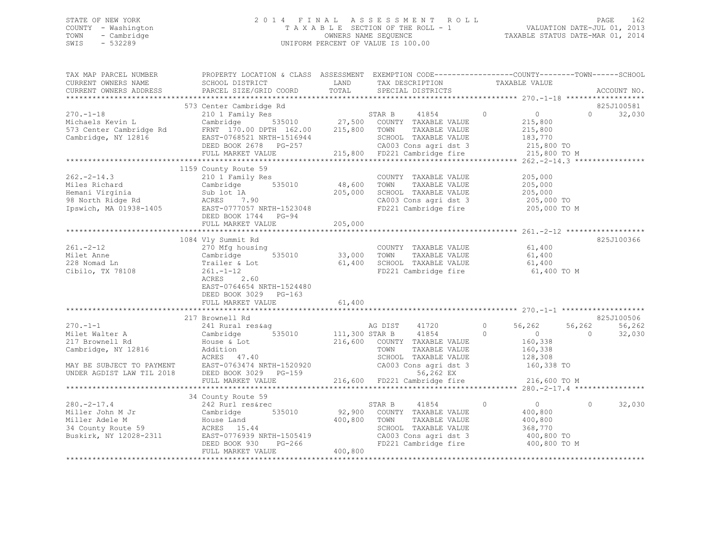### STATE OF NEW YORK 2 0 1 4 F I N A L A S S E S S M E N T R O L L PAGE 162 COUNTY - Washington T A X A B L E SECTION OF THE ROLL - 1 VALUATION DATE-JUL 01, 2013 TOWN - Cambridge OWNERS NAME SEQUENCE TAXABLE STATUS DATE-MAR 01, 2014 SWIS - 532289 UNIFORM PERCENT OF VALUE IS 100.00

| TAX MAP PARCEL NUMBER<br>CURRENT OWNERS NAME<br>CURRENT OWNERS ADDRESS                                                              | PROPERTY LOCATION & CLASS ASSESSMENT EXEMPTION CODE----------------COUNTY-------TOWN------SCHOOL<br>SCHOOL DISTRICT<br>PARCEL SIZE/GRID COORD                                                | LAND<br>TOTAL                | TAX DESCRIPTION<br>SPECIAL DISTRICTS                                                                                                                                             | TAXABLE VALUE                                                                                                  | ACCOUNT NO.                            |
|-------------------------------------------------------------------------------------------------------------------------------------|----------------------------------------------------------------------------------------------------------------------------------------------------------------------------------------------|------------------------------|----------------------------------------------------------------------------------------------------------------------------------------------------------------------------------|----------------------------------------------------------------------------------------------------------------|----------------------------------------|
|                                                                                                                                     |                                                                                                                                                                                              |                              |                                                                                                                                                                                  |                                                                                                                |                                        |
| $270. - 1 - 18$<br>Michaels Kevin L<br>573 Center Cambridge Rd<br>Cambridge, NY 12816                                               | 573 Center Cambridge Rd<br>210 1 Family Res<br>Cambridge<br>FRNT 170.00 DPTH 162.00<br>EAST-0768521 NRTH-1516944<br>DEED BOOK 2678 PG-257<br>FULL MARKET VALUE                               | 215,800                      | STAR B<br>41854<br>535010 27,500 COUNTY TAXABLE VALUE<br>TOWN<br>TAXABLE VALUE<br>SCHOOL TAXABLE VALUE<br>CA003 Cons agri dst 3<br>215,800 FD221 Cambridge fire                  | $\circ$<br>$\overline{0}$<br>215,800<br>215,800<br>183,770<br>215,800 TO<br>215,800 TO M                       | 825J100581<br>32,030<br>$\Omega$       |
|                                                                                                                                     |                                                                                                                                                                                              |                              |                                                                                                                                                                                  |                                                                                                                |                                        |
| $262 - 2 - 14.3$<br>Miles Richard<br>Hemani Virginia<br>98 North Ridge Rd<br>Ipswich, MA 01938-1405                                 | 1159 County Route 59<br>210 1 Family Res<br>535010<br>Cambridge<br>Sub lot 1A<br>ACRES 7.90<br>EAST-0777057 NRTH-1523048<br>DEED BOOK 1744 PG-94                                             | 48,600<br>205,000<br>205,000 | COUNTY TAXABLE VALUE<br>TOWN<br>TAXABLE VALUE<br>SCHOOL TAXABLE VALUE<br>CA003 Cons agri dst 3<br>FD221 Cambridge fire                                                           | 205,000<br>205,000<br>205,000<br>205,000 TO<br>205,000 TO M                                                    |                                        |
|                                                                                                                                     | FULL MARKET VALUE                                                                                                                                                                            | *************                |                                                                                                                                                                                  |                                                                                                                |                                        |
| $261 - 2 - 12$<br>Milet Anne<br>228 Nomad Ln<br>Cibilo, TX 78108                                                                    | 1084 Vly Summit Rd<br>270 Mfg housing<br>535010<br>Cambridge<br>Trailer & Lot<br>$261. - 1 - 12$<br>2.60<br>ACRES<br>EAST-0764654 NRTH-1524480<br>DEED BOOK 3029 PG-163<br>FULL MARKET VALUE | 33,000<br>61,400<br>61,400   | COUNTY TAXABLE VALUE<br>TOWN<br>TAXABLE VALUE<br>SCHOOL TAXABLE VALUE<br>FD221 Cambridge fire                                                                                    | 61,400<br>61,400<br>61,400<br>61,400 TO M                                                                      | 825J100366                             |
|                                                                                                                                     | 217 Brownell Rd                                                                                                                                                                              |                              |                                                                                                                                                                                  |                                                                                                                | 825J100506                             |
| $270. -1 - 1$<br>Milet Walter A<br>217 Brownell Rd<br>Cambridge, NY 12816<br>MAY BE SUBJECT TO PAYMENT<br>UNDER AGDIST LAW TIL 2018 | 241 Rural res&aq<br>535010<br>Cambridge<br>House & Lot<br>Addition<br>ACRES 47.40<br>EAST-0763474 NRTH-1520920<br>DEED BOOK 3029 PG-159<br>FULL MARKET VALUE                                 | 111,300 STAR B               | AG DIST<br>41720<br>41854<br>216,600 COUNTY TAXABLE VALUE<br>TOWN<br>TAXABLE VALUE<br>SCHOOL TAXABLE VALUE<br>CA003 Cons agri dst 3<br>56,262 EX<br>216,600 FD221 Cambridge fire | $\circ$<br>56,262<br>$\overline{0}$<br>$\Omega$<br>160,338<br>160,338<br>128,308<br>160,338 TO<br>216,600 TO M | 56,262<br>56,262<br>$\Omega$<br>32,030 |
|                                                                                                                                     | 34 County Route 59                                                                                                                                                                           |                              |                                                                                                                                                                                  |                                                                                                                |                                        |
| $280 - 2 - 17.4$<br>Miller John M Jr<br>Miller Adele M<br>34 County Route 59<br>Buskirk, NY 12028-2311                              | 242 Rurl res&rec<br>Cambridge<br>535010<br>House Land<br>ACRES 15.44<br>EAST-0776939 NRTH-1505419<br>DEED BOOK 930<br>PG-266<br>FULL MARKET VALUE                                            | 92,900<br>400,800<br>400,800 | STAR B<br>41854<br>COUNTY TAXABLE VALUE<br>TOWN<br>TAXABLE VALUE<br>SCHOOL TAXABLE VALUE<br>CA003 Cons agri dst 3<br>FD221 Cambridge fire                                        | $\circ$<br>$\sim$ 0<br>400,800<br>400,800<br>368,770<br>400,800 TO<br>400,800 TO M                             | 32,030<br>$\Omega$                     |
|                                                                                                                                     |                                                                                                                                                                                              |                              |                                                                                                                                                                                  |                                                                                                                |                                        |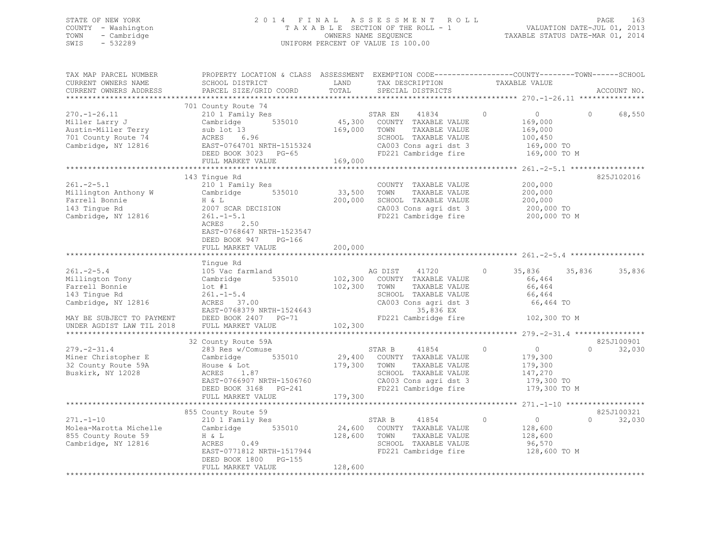### STATE OF NEW YORK 2 0 1 4 F I N A L A S S E S S M E N T R O L L PAGE 163 COUNTY - Washington T A X A B L E SECTION OF THE ROLL - 1 VALUATION DATE-JUL 01, 2013 TOWN - Cambridge OWNERS NAME SEQUENCE TAXABLE STATUS DATE-MAR 01, 2014 SWIS - 532289 UNIFORM PERCENT OF VALUE IS 100.00

| TAX MAP PARCEL NUMBER<br>CURRENT OWNERS NAME<br>CURRENT OWNERS ADDRESS                                                                                 | PROPERTY LOCATION & CLASS ASSESSMENT EXEMPTION CODE----------------COUNTY-------TOWN-----SCHOOL<br>SCHOOL DISTRICT<br>PARCEL SIZE/GRID COORD                                        | LAND<br>TOTAL                 | TAX DESCRIPTION<br>SPECIAL DISTRICTS                                                                                                                    | TAXABLE VALUE                                                                             | ACCOUNT NO.                      |
|--------------------------------------------------------------------------------------------------------------------------------------------------------|-------------------------------------------------------------------------------------------------------------------------------------------------------------------------------------|-------------------------------|---------------------------------------------------------------------------------------------------------------------------------------------------------|-------------------------------------------------------------------------------------------|----------------------------------|
| *************************                                                                                                                              |                                                                                                                                                                                     |                               |                                                                                                                                                         |                                                                                           |                                  |
| $270. - 1 - 26.11$<br>Miller Larry J<br>Austin-Miller Terry<br>701 County Route 74<br>Cambridge, NY 12816                                              | 701 County Route 74<br>210 1 Family Res<br>535010<br>Cambridge<br>sub lot 13<br>ACRES 6.96<br>EAST-0764701 NRTH-1515324<br>DEED BOOK 3023 PG-65<br>FULL MARKET VALUE                | 45,300<br>169,000<br>169,000  | 41834<br>STAR EN<br>COUNTY TAXABLE VALUE<br>TOWN<br>TAXABLE VALUE<br>SCHOOL TAXABLE VALUE<br>CA003 Cons agri dst 3<br>FD221 Cambridge fire              | $\Omega$<br>$\overline{0}$<br>169,000<br>169,000<br>100,450<br>169,000 TO<br>169,000 TO M | 68,550<br>$\Omega$               |
|                                                                                                                                                        |                                                                                                                                                                                     |                               |                                                                                                                                                         |                                                                                           |                                  |
| $261 - 2 - 5.1$<br>Millington Anthony W<br>Farrell Bonnie<br>143 Tingue Rd<br>Cambridge, NY 12816                                                      | 143 Tingue Rd<br>210 1 Family Res<br>Cambridge<br>535010<br>H & L<br>2007 SCAR DECISION<br>$261. -1 - 5.1$<br>ACRES<br>2.50<br>EAST-0768647 NRTH-1523547<br>DEED BOOK 947<br>PG-166 | 33,500<br>200,000             | COUNTY TAXABLE VALUE<br>TAXABLE VALUE<br>TOWN<br>SCHOOL TAXABLE VALUE<br>CA003 Cons agri dst 3<br>FD221 Cambridge fire                                  | 200,000<br>200,000<br>200,000<br>200,000 TO<br>200,000 TO M                               | 825J102016                       |
|                                                                                                                                                        | FULL MARKET VALUE                                                                                                                                                                   | 200,000                       |                                                                                                                                                         |                                                                                           |                                  |
|                                                                                                                                                        | ***********************                                                                                                                                                             |                               |                                                                                                                                                         |                                                                                           |                                  |
| $261 - 2 - 5.4$<br>Millington Tony<br>Farrell Bonnie<br>143 Tingue Rd<br>Cambridge, NY 12816<br>MAY BE SUBJECT TO PAYMENT<br>UNDER AGDIST LAW TIL 2018 | Tinque Rd<br>105 Vac farmland<br>535010<br>Cambridge<br>$1$ ot #1<br>$261 - 1 - 5.4$<br>ACRES 37.00<br>EAST-0768379 NRTH-1524643<br>DEED BOOK 2407 PG-71<br>FULL MARKET VALUE       | 102,300<br>102,300<br>102,300 | AG DIST<br>41720<br>COUNTY TAXABLE VALUE<br>TAXABLE VALUE<br>TOWN<br>SCHOOL TAXABLE VALUE<br>CA003 Cons agri dst 3<br>35,836 EX<br>FD221 Cambridge fire | $\circ$<br>35,836<br>66,464<br>66,464<br>66,464<br>66,464 TO<br>102,300 TO M              | 35,836<br>35,836                 |
|                                                                                                                                                        | 32 County Route 59A                                                                                                                                                                 |                               |                                                                                                                                                         |                                                                                           | 825J100901                       |
| $279. - 2 - 31.4$<br>Miner Christopher E<br>32 County Route 59A<br>Buskirk, NY 12028                                                                   | 283 Res w/Comuse<br>535010<br>Cambridge<br>House & Lot<br>ACRES<br>1.87<br>EAST-0766907 NRTH-1506760<br>DEED BOOK 3168 PG-241<br>FULL MARKET VALUE                                  | 29,400<br>179,300<br>179,300  | 41854<br>STAR B<br>COUNTY TAXABLE VALUE<br>TOWN<br>TAXABLE VALUE<br>SCHOOL TAXABLE VALUE<br>CA003 Cons agri dst 3<br>FD221 Cambridge fire               | $\overline{0}$<br>$\Omega$<br>179,300<br>179,300<br>147,270<br>179,300 TO<br>179,300 TO M | $\Omega$<br>32,030               |
|                                                                                                                                                        |                                                                                                                                                                                     |                               |                                                                                                                                                         |                                                                                           |                                  |
| $271, -1 - 10$<br>Molea-Marotta Michelle<br>855 County Route 59<br>Cambridge, NY 12816                                                                 | 855 County Route 59<br>210 1 Family Res<br>Cambridge 535010<br>H & L<br>ACRES<br>0.49<br>EAST-0771812 NRTH-1517944<br>DEED BOOK 1800 PG-155<br>FULL MARKET VALUE                    | 24,600<br>128,600<br>128,600  | 41854<br>STAR B<br>COUNTY TAXABLE VALUE<br>TAXABLE VALUE<br>TOWN<br>SCHOOL TAXABLE VALUE<br>FD221 Cambridge fire                                        | $\circ$<br>$\overline{0}$<br>128,600<br>128,600<br>96,570<br>128,600 TO M                 | 825J100321<br>$\Omega$<br>32,030 |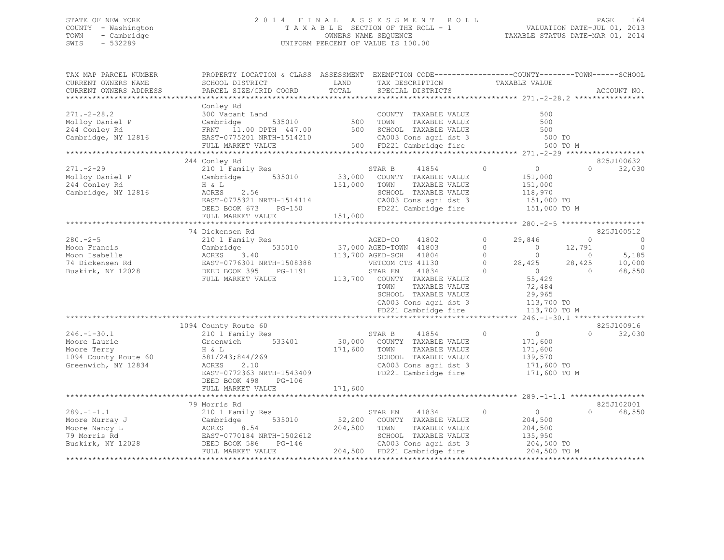### STATE OF NEW YORK 2 0 1 4 F I N A L A S S E S S M E N T R O L L PAGE 164 COUNTY - Washington T A X A B L E SECTION OF THE ROLL - 1 VALUATION DATE-JUL 01, 2013 TOWN - Cambridge OWNERS NAME SEQUENCE TAXABLE STATUS DATE-MAR 01, 2014 SWIS - 532289 UNIFORM PERCENT OF VALUE IS 100.00

| TAX MAP PARCEL NUMBER<br>CURRENT OWNERS NAME<br>CURRENT OWNERS ADDRESS                          | PROPERTY LOCATION & CLASS ASSESSMENT EXEMPTION CODE----------------COUNTY-------TOWN------SCHOOL<br>SCHOOL DISTRICT<br>PARCEL SIZE/GRID COORD             | LAND<br>TOTAL                | TAX DESCRIPTION<br>SPECIAL DISTRICTS                                                                                                                                                                                                              | TAXABLE VALUE                                                                                                                                                                         | ACCOUNT NO.                                                                                                                                                    |
|-------------------------------------------------------------------------------------------------|-----------------------------------------------------------------------------------------------------------------------------------------------------------|------------------------------|---------------------------------------------------------------------------------------------------------------------------------------------------------------------------------------------------------------------------------------------------|---------------------------------------------------------------------------------------------------------------------------------------------------------------------------------------|----------------------------------------------------------------------------------------------------------------------------------------------------------------|
|                                                                                                 |                                                                                                                                                           |                              |                                                                                                                                                                                                                                                   |                                                                                                                                                                                       |                                                                                                                                                                |
| $271. - 2 - 28.2$<br>Molloy Daniel P<br>244 Conley Rd<br>Cambridge, NY 12816                    | Conley Rd<br>300 Vacant Land<br>Cambridge<br>535010<br>FRNT 11.00 DPTH 447.00<br>EAST-0775201 NRTH-1514210<br>FULL MARKET VALUE                           | 500<br>500                   | COUNTY TAXABLE VALUE<br>TOWN<br>TAXABLE VALUE<br>SCHOOL TAXABLE VALUE<br>CA003 Cons agri dst 3<br>500 FD221 Cambridge fire                                                                                                                        | 500<br>500<br>500<br>500 TO<br>500 TO M                                                                                                                                               |                                                                                                                                                                |
|                                                                                                 | 244 Conley Rd                                                                                                                                             |                              |                                                                                                                                                                                                                                                   |                                                                                                                                                                                       | 825J100632                                                                                                                                                     |
| $271. - 2 - 29$<br>Molloy Daniel P<br>244 Conley Rd<br>Cambridge, NY 12816                      | 210 1 Family Res<br>535010<br>Cambridge<br>H & L<br>2.56<br>ACRES<br>EAST-0775321 NRTH-1514114<br>DEED BOOK 673<br>$PG-150$<br>FULL MARKET VALUE          | 33,000<br>151,000<br>151,000 | 41854<br>STAR B<br>COUNTY TAXABLE VALUE<br>TOWN<br>TAXABLE VALUE<br>SCHOOL TAXABLE VALUE<br>CA003 Cons agri dst 3<br>FD221 Cambridge fire                                                                                                         | $\circ$<br>$\overline{0}$<br>151,000<br>151,000<br>118,970<br>151,000 TO<br>151,000 TO M                                                                                              | $\Omega$<br>32,030                                                                                                                                             |
|                                                                                                 |                                                                                                                                                           |                              |                                                                                                                                                                                                                                                   |                                                                                                                                                                                       |                                                                                                                                                                |
| $280 - 2 - 5$<br>Moon Francis<br>Moon Isabelle<br>74 Dickensen Rd<br>Buskirk, NY 12028          | 74 Dickensen Rd<br>210 1 Family Res<br>535010<br>Cambridge<br>3.40<br>ACRES<br>EAST-0776301 NRTH-1508388<br>DEED BOOK 395<br>PG-1191<br>FULL MARKET VALUE |                              | 41802<br>AGED-CO<br>37,000 AGED-TOWN 41803<br>113,700 AGED-SCH<br>41804<br>VETCOM CTS 41130<br>41834<br>STAR EN<br>113,700 COUNTY TAXABLE VALUE<br>TOWN<br>TAXABLE VALUE<br>SCHOOL TAXABLE VALUE<br>CA003 Cons agri dst 3<br>FD221 Cambridge fire | $\circ$<br>29,846<br>$\Omega$<br>$\circ$<br>$\circ$<br>$\overline{0}$<br>$\Omega$<br>28,425<br>$\Omega$<br>$\overline{0}$<br>55,429<br>72,484<br>29,965<br>113,700 TO<br>113,700 TO M | 825J100512<br>$\circ$<br>$\overline{\phantom{0}}$<br>12,791<br>$\overline{\phantom{0}}$<br>5,185<br>$\overline{0}$<br>10,000<br>28,425<br>68,550<br>$\bigcirc$ |
|                                                                                                 | 1094 County Route 60                                                                                                                                      |                              |                                                                                                                                                                                                                                                   |                                                                                                                                                                                       | 825J100916                                                                                                                                                     |
| $246. - 1 - 30.1$<br>Moore Laurie<br>Moore Terry<br>1094 County Route 60<br>Greenwich, NY 12834 | 210 1 Family Res<br>533401<br>Greenwich<br>H & L<br>581/243;844/269<br>2.10<br>ACRES<br>EAST-0772363 NRTH-1543409<br>DEED BOOK 498<br>$PG-106$            | 171,600                      | 41854<br>STAR B<br>30,000 COUNTY TAXABLE VALUE<br>TOWN<br>TAXABLE VALUE<br>SCHOOL TAXABLE VALUE<br>CA003 Cons agri dst 3<br>FD221 Cambridge fire                                                                                                  | $\circ$<br>$\overline{0}$<br>171,600<br>171,600<br>139,570<br>171,600 TO<br>171,600 TO M                                                                                              | $\cap$<br>32,030                                                                                                                                               |
|                                                                                                 | FULL MARKET VALUE                                                                                                                                         | 171,600                      |                                                                                                                                                                                                                                                   |                                                                                                                                                                                       |                                                                                                                                                                |
| $289. -1 - 1.1$<br>Moore Murray J<br>Moore Nancy L                                              | 79 Morris Rd<br>210 1 Family Res<br>535010<br>Cambridge<br>8.54<br>ACRES                                                                                  | 52,200<br>204,500            | 41834<br>STAR EN<br>COUNTY TAXABLE VALUE<br>TOWN<br>TAXABLE VALUE                                                                                                                                                                                 | $\circ$<br>$\circ$<br>204,500<br>204,500                                                                                                                                              | 825J102001<br>68,550<br>$\Omega$                                                                                                                               |
| 79 Morris Rd<br>Buskirk, NY 12028                                                               | EAST-0770184 NRTH-1502612<br>DEED BOOK 586<br>PG-146<br>FULL MARKET VALUE                                                                                 |                              | SCHOOL TAXABLE VALUE<br>CA003 Cons agri dst 3<br>204,500 FD221 Cambridge fire                                                                                                                                                                     | 135,950<br>204,500 TO<br>204,500 TO M                                                                                                                                                 |                                                                                                                                                                |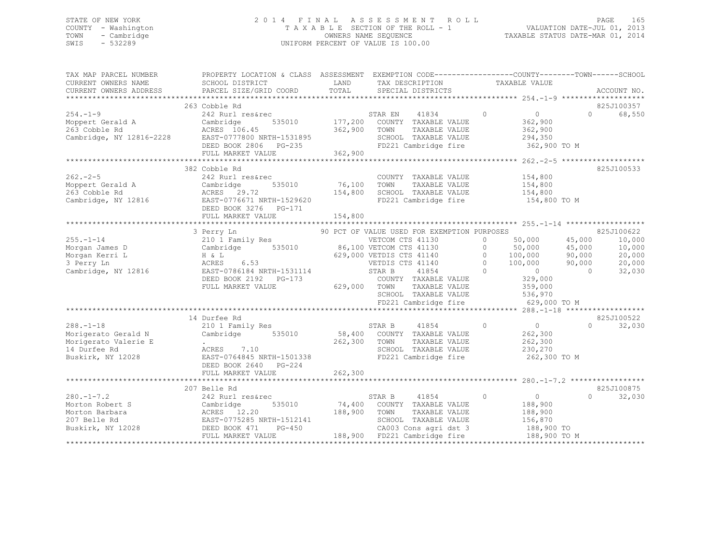### STATE OF NEW YORK 2 0 1 4 F I N A L A S S E S S M E N T R O L L PAGE 165 COUNTY - Washington T A X A B L E SECTION OF THE ROLL - 1 VALUATION DATE-JUL 01, 2013 TOWN - Cambridge OWNERS NAME SEQUENCE TAXABLE STATUS DATE-MAR 01, 2014 SWIS - 532289 UNIFORM PERCENT OF VALUE IS 100.00

| TAX MAP PARCEL NUMBER<br>CURRENT OWNERS NAME<br>CURRENT OWNERS ADDRESS | PROPERTY LOCATION & CLASS ASSESSMENT EXEMPTION CODE---------------COUNTY-------TOWN-----SCHOOL<br>SCHOOL DISTRICT<br>PARCEL SIZE/GRID COORD                      | LAND<br>TOTAL | TAX DESCRIPTION<br>SPECIAL DISTRICTS        | TAXABLE VALUE                                                     | ACCOUNT NO.           |
|------------------------------------------------------------------------|------------------------------------------------------------------------------------------------------------------------------------------------------------------|---------------|---------------------------------------------|-------------------------------------------------------------------|-----------------------|
|                                                                        |                                                                                                                                                                  |               |                                             |                                                                   |                       |
|                                                                        | 263 Cobble Rd                                                                                                                                                    |               |                                             |                                                                   | 825J100357            |
| $254. -1 - 9$                                                          | 242 Rurl res&rec                                                                                                                                                 |               | 41834<br>STAR EN                            | $\overline{0}$<br>$\circ$                                         | $\cap$<br>68,550      |
| Moppert Gerald A<br>263 Cobble Rd                                      | 535010<br>Cambridge                                                                                                                                              |               | 177,200 COUNTY TAXABLE VALUE                | 362,900                                                           |                       |
| 263 Cobble Rd                                                          |                                                                                                                                                                  |               | TOWN<br>TAXABLE VALUE                       | 362,900                                                           |                       |
| Cambridge, NY 12816-2228                                               |                                                                                                                                                                  |               | SCHOOL TAXABLE VALUE                        | 294,350                                                           |                       |
|                                                                        |                                                                                                                                                                  |               |                                             | FD221 Cambridge fire 362,900 TO M                                 |                       |
|                                                                        | ACRES 106.45<br>EAST-0777800 NRTH-1531895<br>DEED BOOK 2806 PG-235<br>ACRES INTERNATION 362,900                                                                  |               |                                             |                                                                   |                       |
|                                                                        |                                                                                                                                                                  |               |                                             |                                                                   |                       |
|                                                                        | 382 Cobble Rd                                                                                                                                                    |               |                                             |                                                                   | 825J100533            |
| $262 - 2 - 5$                                                          | 242 Rurl res&rec                                                                                                                                                 |               | COUNTY TAXABLE VALUE                        | 154,800                                                           |                       |
| Moppert Gerald A                                                       | 535010                                                                                                                                                           | 76,100        | TAXABLE VALUE<br>TOWN                       | 154,800<br>154,800                                                |                       |
| 263 Cobble Rd                                                          | $\begin{array}{cc}\n\texttt{Campruy}\n\\ \n\texttt{ACRES} & 29.72 \\ \texttt{1} & \texttt{1} & \texttt{1} \\ \end{array}$                                        | 154,800       | SCHOOL TAXABLE VALUE                        |                                                                   |                       |
|                                                                        | Cambridge, NY 12816 EAST-0776671 NRTH-1529620                                                                                                                    |               |                                             | FD221 Cambridge fire 154,800 TO M                                 |                       |
|                                                                        | DEED BOOK 3276 PG-171                                                                                                                                            |               |                                             |                                                                   |                       |
|                                                                        |                                                                                                                                                                  |               |                                             |                                                                   |                       |
|                                                                        |                                                                                                                                                                  |               |                                             |                                                                   |                       |
|                                                                        | 3 Perry Ln                                                                                                                                                       |               | 90 PCT OF VALUE USED FOR EXEMPTION PURPOSES |                                                                   | 825J100622            |
| $255. - 1 - 14$                                                        | 210 1 Family Res<br>Cambridge 535010 86,100 VETCOM CTS 41130 0 50,000 45,000<br>H & L 629,000 VETDIS CTS 41140 0 100,000 90,000<br>100,000 90,000 100,000 90,000 |               |                                             | 50,000 45,000                                                     | 10,000                |
| Morgan James D                                                         |                                                                                                                                                                  |               |                                             |                                                                   | 10,000                |
| Morgan Kerri L                                                         |                                                                                                                                                                  |               |                                             |                                                                   | 20,000                |
| 3 Perry Ln                                                             |                                                                                                                                                                  |               |                                             |                                                                   | 20,000                |
| Cambridge, NY 12816                                                    | EAST-0786184 NRTH-1531114                                                                                                                                        |               | $\sim$ 0<br>STAR B<br>41854                 | $\overline{0}$                                                    | $\bigcap$<br>32,030   |
|                                                                        | DEED BOOK 2192    PG-173                                                                                                                                         |               | COUNTY TAXABLE VALUE                        | 329,000                                                           |                       |
|                                                                        | FULL MARKET VALUE                                                                                                                                                | 629,000 TOWN  | TAXABLE VALUE                               | 359,000                                                           |                       |
|                                                                        |                                                                                                                                                                  |               |                                             |                                                                   |                       |
|                                                                        |                                                                                                                                                                  |               |                                             | SCHOOL TAXABLE VALUE 536,970<br>FD221 Cambridge fire 629,000 TO M |                       |
|                                                                        |                                                                                                                                                                  |               |                                             |                                                                   |                       |
|                                                                        | 14 Durfee Rd                                                                                                                                                     |               |                                             |                                                                   | 825J100522            |
| $288. - 1 - 18$                                                        | 210 1 Family Res                                                                                                                                                 |               | 41854<br>STAR B                             | $\overline{0}$<br>$\circ$                                         | $\Omega$<br>32,030    |
| Morigerato Gerald N                                                    | Cambridge 535010                                                                                                                                                 |               | 58,400 COUNTY TAXABLE VALUE                 | 262,300                                                           |                       |
| Morigerato Valerie E                                                   | $\Delta \sim 10^{11}$ m $^{-1}$                                                                                                                                  | 262,300 TOWN  | TAXABLE VALUE                               | 262,300                                                           |                       |
| 14 Durfee Rd                                                           | ACRES 7.10                                                                                                                                                       |               | SCHOOL TAXABLE VALUE                        | 230,270                                                           |                       |
| Buskirk, NY 12028                                                      | ACRES 7.10<br>EAST-0764845 NRTH-1501338                                                                                                                          |               | FD221 Cambridge fire                        | 262,300 TO M                                                      |                       |
|                                                                        |                                                                                                                                                                  |               |                                             |                                                                   |                       |
|                                                                        | DEED BOOK 2640 PG-224                                                                                                                                            |               |                                             |                                                                   |                       |
|                                                                        |                                                                                                                                                                  |               |                                             |                                                                   |                       |
|                                                                        |                                                                                                                                                                  |               |                                             |                                                                   | 825J100875            |
| $280. -1 - 7.2$                                                        | 207 Belle Rd                                                                                                                                                     |               |                                             | $\overline{0}$<br>$\Omega$                                        | $\Omega$ and $\Omega$ |
|                                                                        | 242 Rurl res&rec                                                                                                                                                 |               | STAR B<br>41854                             |                                                                   | 32,030                |
| Morton Robert S                                                        | 535010<br>Cambridge                                                                                                                                              |               | 74,400 COUNTY TAXABLE VALUE                 | 188,900                                                           |                       |
| Morton Barbara                                                         | ACRES 12.20                                                                                                                                                      | 188,900       | TOWN<br>TAXABLE VALUE                       | 188,900                                                           |                       |
| 207 Belle Rd<br>Buskirk, NY 12028 DEED BOOK 471                        | EAST-0775285 NRTH-1512141<br>$PG-450$                                                                                                                            |               | SCHOOL TAXABLE VALUE                        | 156,870                                                           |                       |
|                                                                        |                                                                                                                                                                  |               | CA003 Cons agri dst 3                       | $188,900$ TO                                                      |                       |
|                                                                        | FULL MARKET VALUE                                                                                                                                                |               | 188,900 FD221 Cambridge fire                | 188,900 TO M                                                      |                       |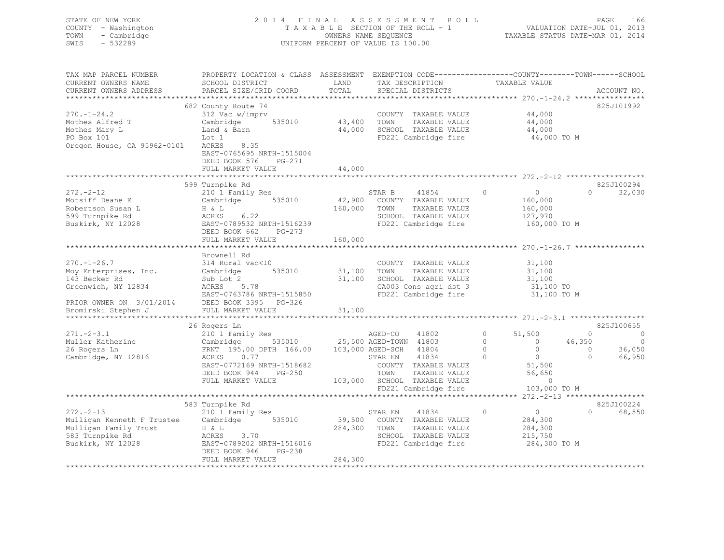| STATE OF NEW YORK   | 2014 FINAL ASSESSMENT ROLL         | 166<br>PAGE                      |
|---------------------|------------------------------------|----------------------------------|
| COUNTY - Washington | TAXABLE SECTION OF THE ROLL - 1    | VALUATION DATE-JUL 01, 2013      |
| TOWN - Cambridge    | OWNERS NAME SEQUENCE               | TAXABLE STATUS DATE-MAR 01, 2014 |
| $-532289$<br>SWIS   | UNIFORM PERCENT OF VALUE IS 100.00 |                                  |
|                     |                                    |                                  |
|                     |                                    |                                  |

| TAX MAP PARCEL NUMBER                                                                                     | PROPERTY LOCATION & CLASS ASSESSMENT EXEMPTION CODE------------------COUNTY-------TOWN------SCHOOL                                                                               |              |         |                                                                       |         |                                                                         |                                      |                          |
|-----------------------------------------------------------------------------------------------------------|----------------------------------------------------------------------------------------------------------------------------------------------------------------------------------|--------------|---------|-----------------------------------------------------------------------|---------|-------------------------------------------------------------------------|--------------------------------------|--------------------------|
| CURRENT OWNERS NAME                                                                                       | SCHOOL DISTRICT                                                                                                                                                                  | LAND         |         | TAX DESCRIPTION                                                       |         | TAXABLE VALUE                                                           |                                      |                          |
| CURRENT OWNERS ADDRESS                                                                                    | PARCEL SIZE/GRID COORD                                                                                                                                                           | TOTAL        |         | SPECIAL DISTRICTS                                                     |         |                                                                         |                                      | ACCOUNT NO.              |
|                                                                                                           |                                                                                                                                                                                  |              |         |                                                                       |         |                                                                         |                                      |                          |
|                                                                                                           |                                                                                                                                                                                  |              |         |                                                                       |         |                                                                         |                                      |                          |
|                                                                                                           | 682 County Route 74                                                                                                                                                              |              |         |                                                                       |         |                                                                         |                                      | 825J101992               |
| $270. - 1 - 24.2$                                                                                         | 312 Vac w/imprv                                                                                                                                                                  |              |         | COUNTY TAXABLE VALUE                                                  |         | 44,000                                                                  |                                      |                          |
| Mothes Alfred T                                                                                           | Cambridge 535010 43,400 TOWN                                                                                                                                                     |              |         | TAXABLE VALUE                                                         |         | 44,000                                                                  |                                      |                          |
| Mothes Mary L                                                                                             | Land & Barn                                                                                                                                                                      |              |         | 44,000 SCHOOL TAXABLE VALUE                                           |         | 44,000                                                                  |                                      |                          |
| PO Box 101                                                                                                | $\mathbb{R}^n$<br>Lot 1                                                                                                                                                          |              |         | FD221 Cambridge fire                                                  |         | 44,000 TO M                                                             |                                      |                          |
| Oregon House, CA 95962-0101                                                                               | 8.35<br>ACRES                                                                                                                                                                    |              |         |                                                                       |         |                                                                         |                                      |                          |
|                                                                                                           | EAST-0765695 NRTH-1515004                                                                                                                                                        |              |         |                                                                       |         |                                                                         |                                      |                          |
|                                                                                                           |                                                                                                                                                                                  |              |         |                                                                       |         |                                                                         |                                      |                          |
|                                                                                                           | DEED BOOK 576<br>PG-271                                                                                                                                                          |              |         |                                                                       |         |                                                                         |                                      |                          |
|                                                                                                           | FULL MARKET VALUE                                                                                                                                                                | 44,000       |         |                                                                       |         |                                                                         |                                      |                          |
|                                                                                                           |                                                                                                                                                                                  |              |         |                                                                       |         |                                                                         |                                      |                          |
|                                                                                                           | 599 Turnpike Rd                                                                                                                                                                  |              |         |                                                                       |         |                                                                         |                                      | 825J100294               |
| $272 - 2 - 12$                                                                                            | 210 1 Family Res<br>Cambridge 535010 42,900 COUNTY TAXABLE VALUE                                                                                                                 |              |         | 41854 0 0                                                             |         |                                                                         | $\Omega$                             | 32,030                   |
| Motsiff Deane E                                                                                           | Cambridge 535010                                                                                                                                                                 |              |         |                                                                       |         | 160,000                                                                 |                                      |                          |
| Motsiff Deane E<br>Robertson Susan L<br>599 Turnpike Rd<br>Buskirk, NY 12028<br>EAST-0789532 NRTH-1516239 |                                                                                                                                                                                  | 160,000 TOWN |         | TAXABLE VALUE                                                         |         | 160,000                                                                 |                                      |                          |
|                                                                                                           |                                                                                                                                                                                  |              |         |                                                                       |         |                                                                         |                                      |                          |
|                                                                                                           |                                                                                                                                                                                  |              |         |                                                                       |         |                                                                         |                                      |                          |
|                                                                                                           |                                                                                                                                                                                  |              |         | SCHOOL TAXABLE VALUE $127,970$<br>FD221 Cambridge fire $160,000$ TO M |         |                                                                         |                                      |                          |
|                                                                                                           | DEED BOOK 662 PG-273                                                                                                                                                             |              |         |                                                                       |         |                                                                         |                                      |                          |
|                                                                                                           | FULL MARKET VALUE                                                                                                                                                                | 160,000      |         |                                                                       |         |                                                                         |                                      |                          |
|                                                                                                           |                                                                                                                                                                                  |              |         |                                                                       |         |                                                                         |                                      |                          |
|                                                                                                           | Brownell Rd                                                                                                                                                                      |              |         |                                                                       |         |                                                                         |                                      |                          |
|                                                                                                           |                                                                                                                                                                                  |              |         |                                                                       |         |                                                                         |                                      |                          |
| $270. - 1 - 26.7$                                                                                         | 314 Rural vac<10                                                                                                                                                                 |              |         | COUNTY TAXABLE VALUE                                                  |         | 31,100                                                                  |                                      |                          |
| Moy Enterprises, Inc.                                                                                     | 535010 31,100 TOWN<br>Cambridge                                                                                                                                                  |              |         | TAXABLE VALUE 31,100                                                  |         |                                                                         |                                      |                          |
| 143 Becker Rd                                                                                             | Sub Lot <sup>7</sup> 2 31,100 SCHOOL TAXABLE VALUE<br>ACRES 5.78 2A003 Cons agri dst 3<br>EAST-0763786 NRTH-1515850 FD221 Cambridge fire<br>Sub Lot 2<br>Sub Lot 2<br>ACRES 5.78 |              |         |                                                                       |         | 31,100                                                                  |                                      |                          |
| Greenwich, NY 12834                                                                                       |                                                                                                                                                                                  |              |         | CA003 Cons agri dst 3 31,100 TO                                       |         |                                                                         |                                      |                          |
|                                                                                                           |                                                                                                                                                                                  |              |         |                                                                       |         | 31,100 TO M                                                             |                                      |                          |
|                                                                                                           |                                                                                                                                                                                  |              |         |                                                                       |         |                                                                         |                                      |                          |
| PRIOR OWNER ON 3/01/2014 DEED BOOK 3395 PG-326<br>Bromirski Stephen J FULL MARKET VALUE                   |                                                                                                                                                                                  |              |         |                                                                       |         |                                                                         |                                      |                          |
|                                                                                                           |                                                                                                                                                                                  |              |         |                                                                       |         |                                                                         |                                      |                          |
|                                                                                                           |                                                                                                                                                                                  |              |         |                                                                       |         |                                                                         |                                      |                          |
|                                                                                                           | 26 Rogers Ln                                                                                                                                                                     |              |         |                                                                       |         |                                                                         |                                      | 825J100655               |
| $271 - 2 - 3.1$                                                                                           |                                                                                                                                                                                  |              |         |                                                                       |         | $\begin{bmatrix} 0 && 51, 500 \ 0 && 0 \ 0 && 0 \ 0 && 0 \end{bmatrix}$ | $\Omega$                             | $\overline{\phantom{0}}$ |
| Muller Katherine                                                                                          |                                                                                                                                                                                  |              |         |                                                                       |         |                                                                         | 46,350                               | $\circ$                  |
| 26 Rogers Ln                                                                                              | FRNT 195.00 DPTH 166.00 103,000 AGED-SCH 41804                                                                                                                                   |              |         |                                                                       |         | $\overline{0}$                                                          |                                      | 36,050                   |
| Cambridge, NY 12816                                                                                       | ACRES 0.77                                                                                                                                                                       |              | STAR EN | 41834                                                                 |         | $\overline{0}$                                                          | $\begin{matrix} 0 \\ 0 \end{matrix}$ | 66,950                   |
|                                                                                                           |                                                                                                                                                                                  |              |         |                                                                       |         |                                                                         |                                      |                          |
|                                                                                                           | EAST-0772169 NRTH-1518682                                                                                                                                                        |              |         | COUNTY TAXABLE VALUE                                                  |         | 51,500<br>56,650                                                        |                                      |                          |
|                                                                                                           | DEED BOOK 944 PG-250                                                                                                                                                             |              | TOWN    | TAXABLE VALUE                                                         |         |                                                                         |                                      |                          |
|                                                                                                           | FULL MARKET VALUE                                                                                                                                                                |              |         | 103,000 SCHOOL TAXABLE VALUE                                          |         | $\sim$ 0                                                                |                                      |                          |
|                                                                                                           |                                                                                                                                                                                  |              |         | FD221 Cambridge fire                                                  |         | 103,000 TO M                                                            |                                      |                          |
|                                                                                                           |                                                                                                                                                                                  |              |         |                                                                       |         |                                                                         |                                      |                          |
|                                                                                                           | 583 Turnpike Rd                                                                                                                                                                  |              |         |                                                                       |         |                                                                         |                                      | 825J100224               |
| $272 - 2 - 13$                                                                                            | 210 1 Family Res                                                                                                                                                                 |              | STAR EN | 41834                                                                 | $\circ$ | $\overline{0}$                                                          | $\Omega$                             | 68,550                   |
|                                                                                                           |                                                                                                                                                                                  |              |         |                                                                       |         |                                                                         |                                      |                          |
| Mulligan Kenneth F Trustee Cambridge 535010                                                               |                                                                                                                                                                                  |              |         | 39,500 COUNTY TAXABLE VALUE                                           |         | 284,300                                                                 |                                      |                          |
|                                                                                                           | $ACRES$ 3.70                                                                                                                                                                     | 284,300 TOWN |         | TAXABLE VALUE                                                         |         | 284,300                                                                 |                                      |                          |
|                                                                                                           |                                                                                                                                                                                  |              |         | SCHOOL TAXABLE VALUE                                                  |         | 215,750                                                                 |                                      |                          |
| Mulligan Family Trust<br>583 Turnpike Rd<br>Buskirk, NY 12028 EAST-07<br>Buskirk, NY 12028                |                                                                                                                                                                                  |              |         |                                                                       |         | 284,300 TO M                                                            |                                      |                          |
|                                                                                                           | DEED BOOK 946<br>PG-238                                                                                                                                                          |              |         |                                                                       |         |                                                                         |                                      |                          |
|                                                                                                           | FULL MARKET VALUE                                                                                                                                                                | 284,300      |         |                                                                       |         |                                                                         |                                      |                          |
|                                                                                                           |                                                                                                                                                                                  |              |         |                                                                       |         |                                                                         |                                      |                          |
|                                                                                                           |                                                                                                                                                                                  |              |         |                                                                       |         |                                                                         |                                      |                          |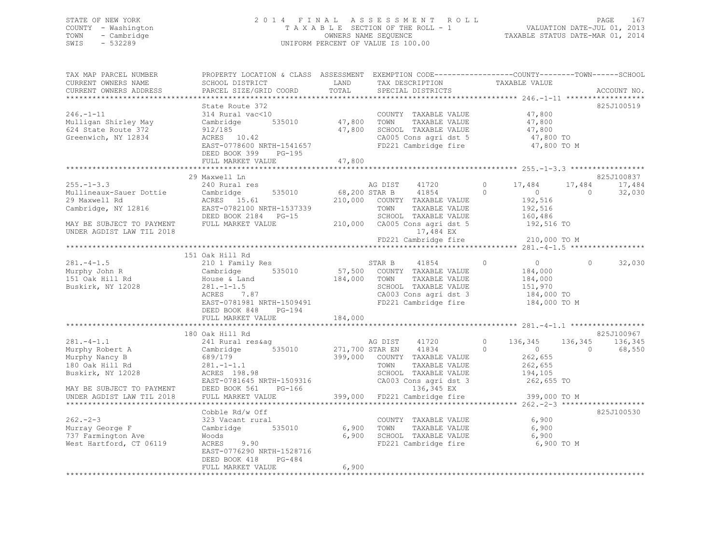### STATE OF NEW YORK 2 0 1 4 F I N A L A S S E S S M E N T R O L L PAGE 167 COUNTY - Washington T A X A B L E SECTION OF THE ROLL - 1 VALUATION DATE-JUL 01, 2013 TOWN - Cambridge OWNERS NAME SEQUENCE TAXABLE STATUS DATE-MAR 01, 2014 SWIS - 532289 UNIFORM PERCENT OF VALUE IS 100.00

| TAX MAP PARCEL NUMBER<br>CURRENT OWNERS NAME<br>CURRENT OWNERS ADDRESS                                                                        | PROPERTY LOCATION & CLASS ASSESSMENT<br>SCHOOL DISTRICT<br>PARCEL SIZE/GRID COORD                                                                              | LAND<br>TOTAL              | EXEMPTION CODE-----------------COUNTY-------TOWN------SCHOOL<br>TAX DESCRIPTION<br>SPECIAL DISTRICTS                                                     | TAXABLE VALUE                                                                                    | ACCOUNT NO.                                            |
|-----------------------------------------------------------------------------------------------------------------------------------------------|----------------------------------------------------------------------------------------------------------------------------------------------------------------|----------------------------|----------------------------------------------------------------------------------------------------------------------------------------------------------|--------------------------------------------------------------------------------------------------|--------------------------------------------------------|
|                                                                                                                                               |                                                                                                                                                                |                            |                                                                                                                                                          |                                                                                                  |                                                        |
| $246. - 1 - 11$<br>Mulligan Shirley May<br>624 State Route 372<br>Greenwich, NY 12834                                                         | State Route 372<br>314 Rural vac<10<br>Cambridge<br>535010<br>912/185<br>ACRES 10.42<br>EAST-0778600 NRTH-1541657<br>DEED BOOK 399 PG-195<br>FULL MARKET VALUE | 47,800<br>47,800<br>47,800 | COUNTY TAXABLE VALUE<br>TOWN<br>TAXABLE VALUE<br>SCHOOL TAXABLE VALUE<br>CA005 Cons agri dst 5<br>FD221 Cambridge fire                                   | 47,800<br>47,800<br>47,800<br>47,800 TO<br>47,800 TO M                                           | 825J100519                                             |
|                                                                                                                                               |                                                                                                                                                                |                            |                                                                                                                                                          |                                                                                                  |                                                        |
| $255. - 1 - 3.3$<br>Mullineaux-Sauer Dottie<br>29 Maxwell Rd<br>Cambridge, NY 12816<br>MAY BE SUBJECT TO PAYMENT<br>UNDER AGDIST LAW TIL 2018 | 29 Maxwell Ln<br>240 Rural res<br>535010<br>Cambridge<br>ACRES 15.61<br>EAST-0782100 NRTH-1537339<br>DEED BOOK 2184 PG-15<br>FULL MARKET VALUE                 | 68,200 STAR B              | AG DIST<br>41720<br>41854<br>210,000 COUNTY TAXABLE VALUE<br>TOWN<br>TAXABLE VALUE<br>SCHOOL TAXABLE VALUE<br>210,000 CA005 Cons agri dst 5<br>17,484 EX | $\Omega$<br>17,484<br>$\sim$ 0 $\sim$<br>$\Omega$<br>192,516<br>192,516<br>160,486<br>192,516 TO | 825J100837<br>17,484<br>17,484<br>$\bigcirc$<br>32,030 |
|                                                                                                                                               |                                                                                                                                                                |                            | FD221 Cambridge fire                                                                                                                                     | 210,000 TO M                                                                                     |                                                        |
|                                                                                                                                               | 151 Oak Hill Rd                                                                                                                                                |                            |                                                                                                                                                          |                                                                                                  |                                                        |
| $281 - 4 - 1.5$<br>Murphy John R<br>151 Oak Hill Rd<br>Buskirk, NY 12028                                                                      | 210 1 Family Res<br>Cambridge<br>535010<br>House & Land<br>$281, -1 - 1, 5$<br>ACRES<br>7.87<br>EAST-0781981 NRTH-1509491<br>DEED BOOK 848<br>PG-194           | 184,000                    | 41854<br>STAR B<br>57,500 COUNTY TAXABLE VALUE<br>TOWN<br>TAXABLE VALUE<br>SCHOOL TAXABLE VALUE<br>CA003 Cons agri dst 3<br>FD221 Cambridge fire         | $\Omega$<br>$\overline{0}$<br>184,000<br>184,000<br>151,970<br>184,000 TO<br>184,000 TO M        | 32,030<br>$\circ$                                      |
|                                                                                                                                               | FULL MARKET VALUE                                                                                                                                              | 184,000                    |                                                                                                                                                          |                                                                                                  |                                                        |
|                                                                                                                                               |                                                                                                                                                                |                            |                                                                                                                                                          |                                                                                                  |                                                        |
| $281 - 4 - 1.1$<br>Murphy Robert A<br>Murphy Nancy B<br>180 Oak Hill Rd<br>Buskirk, NY 12028                                                  | 180 Oak Hill Rd<br>241 Rural res&aq<br>535010<br>Cambridge<br>689/179<br>$281. - 1 - 1.1$<br>ACRES 198.98<br>EAST-0781645 NRTH-1509316                         |                            | AG DIST 41720<br>271,700 STAR EN 41834<br>399,000 COUNTY TAXABLE VALUE<br>TOWN<br>TAXABLE VALUE<br>SCHOOL TAXABLE VALUE<br>CA003 Cons agri dst 3         | $\circ$<br>136,345<br>$\Omega$<br>$\sim$ 0<br>262,655<br>262,655<br>194,105<br>262,655 TO        | 825J100967<br>136,345<br>136,345<br>68,550<br>$\Omega$ |
| MAY BE SUBJECT TO PAYMENT                                                                                                                     | $PG-166$<br>DEED BOOK 561                                                                                                                                      |                            | 136,345 EX                                                                                                                                               |                                                                                                  |                                                        |
| UNDER AGDIST LAW TIL 2018                                                                                                                     | FULL MARKET VALUE                                                                                                                                              | 399,000                    | FD221 Cambridge fire                                                                                                                                     | 399,000 TO M                                                                                     |                                                        |
| $262 - 2 - 3$<br>Murray George F<br>737 Farmington Ave<br>West Hartford, CT 06119                                                             | Cobble Rd/w Off<br>323 Vacant rural<br>Cambridge 535010<br>Woods<br>ACRES<br>9.90<br>EAST-0776290 NRTH-1528716<br>DEED BOOK 418<br>PG-484<br>FULL MARKET VALUE | 6,900<br>6,900<br>6,900    | COUNTY TAXABLE VALUE<br>TOWN<br>TAXABLE VALUE<br>SCHOOL TAXABLE VALUE<br>FD221 Cambridge fire                                                            | 6,900<br>6,900<br>6,900<br>6,900 TO M                                                            | 825J100530                                             |
|                                                                                                                                               |                                                                                                                                                                |                            |                                                                                                                                                          |                                                                                                  |                                                        |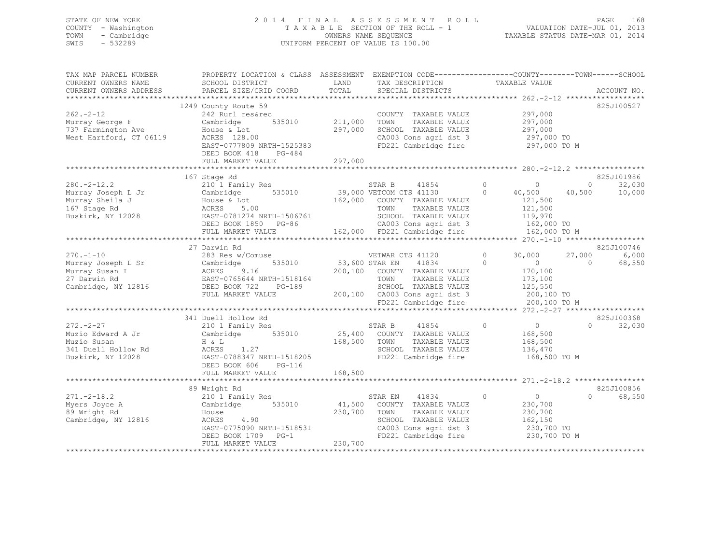# STATE OF NEW YORK<br>
2 0 1 4 F I N A L A S S E S S M E N T R O L L<br>
T A X A B L E SECTION OF THE ROLL - 1<br>
T A X A B L E SECTION OF THE ROLL - 1 COUNTY - Washington  $T A X A B L E$  SECTION OF THE ROLL - 1<br>TOWN - Cambridge  $\sim$  000NERS NAME SEQUENCE TOWN - Cambridge OWNERS NAME SEQUENCE TAXABLE STATUS DATE-MAR 01, 2014 UNIFORM PERCENT OF VALUE IS 100.00

| TAX MAP PARCEL NUMBER<br>CURRENT OWNERS NAME                                                                                                                                                                   | PROPERTY LOCATION & CLASS ASSESSMENT EXEMPTION CODE---------------COUNTY-------TOWN------SCHOOL<br>SCHOOL DISTRICT                                                                                                                                                                                                      | LAND                      | TAX DESCRIPTION                                                                                                                                                                                                                                                                                                                  | TAXABLE VALUE                                                                                                                                                                     |                                                                                               |
|----------------------------------------------------------------------------------------------------------------------------------------------------------------------------------------------------------------|-------------------------------------------------------------------------------------------------------------------------------------------------------------------------------------------------------------------------------------------------------------------------------------------------------------------------|---------------------------|----------------------------------------------------------------------------------------------------------------------------------------------------------------------------------------------------------------------------------------------------------------------------------------------------------------------------------|-----------------------------------------------------------------------------------------------------------------------------------------------------------------------------------|-----------------------------------------------------------------------------------------------|
| CURRENT OWNERS ADDRESS                                                                                                                                                                                         | PARCEL SIZE/GRID COORD                                                                                                                                                                                                                                                                                                  | TOTAL                     | SPECIAL DISTRICTS                                                                                                                                                                                                                                                                                                                |                                                                                                                                                                                   | ACCOUNT NO.                                                                                   |
|                                                                                                                                                                                                                | 1249 County Route 59                                                                                                                                                                                                                                                                                                    |                           |                                                                                                                                                                                                                                                                                                                                  |                                                                                                                                                                                   | 825J100527                                                                                    |
| $262 - 2 - 12$<br>Murray George F<br>737 Farmington Ave<br>West Hartford, CT 06119                                                                                                                             | 242 Rurl res&rec<br>Cambridge<br>House & Lot<br>ACRES 128.00                                                                                                                                                                                                                                                            | 535010 211,000<br>297,000 | COUNTY TAXABLE VALUE<br>TAXABLE VALUE<br>TOWN<br>SCHOOL TAXABLE VALUE<br>CA003 Cons agri dst 3                                                                                                                                                                                                                                   | 297,000<br>297,000<br>297,000<br>297,000 TO                                                                                                                                       |                                                                                               |
|                                                                                                                                                                                                                | EAST-0777809 NRTH-1525383<br>DEED BOOK 418<br>PG-484<br>FULL MARKET VALUE                                                                                                                                                                                                                                               | 297,000                   | FD221 Cambridge fire                                                                                                                                                                                                                                                                                                             | 297,000 TO M                                                                                                                                                                      |                                                                                               |
|                                                                                                                                                                                                                |                                                                                                                                                                                                                                                                                                                         |                           |                                                                                                                                                                                                                                                                                                                                  |                                                                                                                                                                                   | 825J101986                                                                                    |
| $280. -2 - 12.2$<br>Murray Joseph L Jr<br>Murray Sheila J<br>167 Stage Rd<br>Buskirk, NY 12028                                                                                                                 | 167 Stage Rd<br>210 1 Family Res<br>Cambridge 535010<br>House & Lot<br>ACRES 5.00<br>EAST-0781274 NRTH-1506761<br>DEED BOOK 1850 PG-86<br>FULL MARKET VALUE                                                                                                                                                             |                           | STAR B 41854 0<br>39,000 VETCOM CTS 41130 0<br>162,000 COUNTY TAXABLE VALUE<br>TAXABLE VALUE<br>TOWN<br>SCHOOL TAXABLE VALUE<br>CA003 Cons agri dst 3<br>162,000 FD221 Cambridge fire                                                                                                                                            | 4 1 8 5 4 5 4 $\sqrt{ }$<br>$\circ$<br>40,500<br>121,500<br>121,500<br>119,970<br>162,000 TO<br>162,000 TO M                                                                      | $\overline{0}$<br>32,030<br>40,500<br>10,000                                                  |
|                                                                                                                                                                                                                |                                                                                                                                                                                                                                                                                                                         |                           |                                                                                                                                                                                                                                                                                                                                  |                                                                                                                                                                                   |                                                                                               |
| $270. - 1 - 10$<br>Murray Joseph L Sr<br>Murray Susan I<br>27 Darwin Rd<br>Cambridge, NY 12816 DEED BOOK 722<br>$272. -2 - 27$<br>Muzio Edward A Jr<br>Muzio Susan<br>341 Duell Hollow Rd<br>Buskirk, NY 12028 | 27 Darwin Rd<br>283 Res w/Comuse<br>Cambridge<br>535010<br>ACRES 9.16<br>EAST-0765644 N<br>EAST-0765644 NRTH-1518164<br>$PG-189$<br>FULL MARKET VALUE<br>341 Duell Hollow Rd<br>210 1 Family Res<br>Cambridge 535010<br>H & L<br>$ACRES$ 1.27<br>EAST-0788347 NRTH-1518205<br>DEED BOOK 606 PG-116<br>FULL MARKET VALUE | 168,500 TOWN<br>168,500   | VETWAR CTS 41120<br>53,600 STAR EN 41834<br>41834<br>200,100 COUNTY TAXABLE VALUE<br>TAXABLE VALUE<br>TOWN<br>SCHOOL TAXABLE VALUE<br>200,100 CA003 Cons agri dst 3<br>FD221 Cambridge fire<br>$\overline{0}$<br>STAR B<br>41854<br>25,400 COUNTY TAXABLE VALUE<br>TAXABLE VALUE<br>SCHOOL TAXABLE VALUE<br>FD221 Cambridge fire | $\circ$<br>30,000<br>$\overline{0}$<br>$\Omega$<br>170,100<br>173,100<br>125,550<br>200,100 TO<br>200,100 TO M<br>$\overline{0}$<br>168,500<br>168,500<br>136,470<br>168,500 TO M | 825J100746<br>27,000<br>6,000<br>68,550<br>$\overline{0}$<br>825J100368<br>$\Omega$<br>32,030 |
|                                                                                                                                                                                                                |                                                                                                                                                                                                                                                                                                                         |                           |                                                                                                                                                                                                                                                                                                                                  |                                                                                                                                                                                   |                                                                                               |
| $271. - 2 - 18.2$<br>Myers Joyce A<br>89 Wright Rd<br>Cambridge, NY 12816                                                                                                                                      | 89 Wright Rd<br>210 1 Family Res<br>Cambridge 535010<br>House<br>ACRES<br>4.90<br>EAST-0775090 NRTH-1518531<br>DEED BOOK 1709 PG-1<br>FIILL MARKET VAILT<br>FULL MARKET VALUE                                                                                                                                           | 230,700<br>230,700        | 41834<br>STAR EN<br>41,500 COUNTY TAXABLE VALUE<br>TOWN<br>TAXABLE VALUE<br>SCHOOL TAXABLE VALUE<br>CA003 Cons agri dst 3<br>FD221 Cambridge fire                                                                                                                                                                                | $\overline{0}$<br>$\circ$<br>230,700<br>230,700<br>162,150<br>230,700 TO<br>230,700 TO M                                                                                          | 825J100856<br>$\Omega$<br>68,550                                                              |
|                                                                                                                                                                                                                |                                                                                                                                                                                                                                                                                                                         |                           |                                                                                                                                                                                                                                                                                                                                  |                                                                                                                                                                                   |                                                                                               |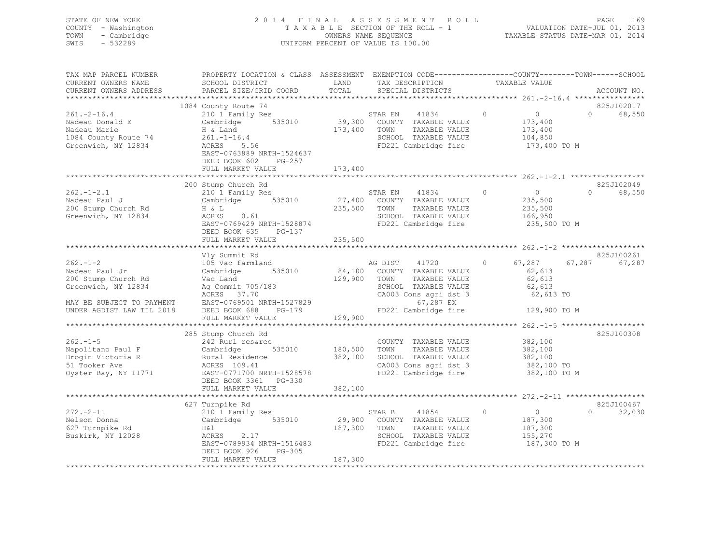| STATE OF NEW YORK   | 2014 FINAL ASSESSMENT ROLL         | - 169<br>PAGE                    |
|---------------------|------------------------------------|----------------------------------|
| COUNTY - Washington | TAXABLE SECTION OF THE ROLL - 1    | VALUATION DATE-JUL 01, 2013      |
| TOWN - Cambridge    | OWNERS NAME SEQUENCE               | TAXABLE STATUS DATE-MAR 01, 2014 |
| SWIS<br>- 532289    | UNIFORM PERCENT OF VALUE IS 100.00 |                                  |
|                     |                                    |                                  |

| TAX MAP PARCEL NUMBER<br>CURRENT OWNERS NAME<br>CURRENT OWNERS ADDRESS                                                                  | PROPERTY LOCATION & CLASS ASSESSMENT EXEMPTION CODE---------------COUNTY-------TOWN------SCHOOL<br>SCHOOL DISTRICT<br>PARCEL SIZE/GRID COORD                                                                         | LAND<br>TOTAL                        | TAX DESCRIPTION<br>SPECIAL DISTRICTS                                                                                                                                     | TAXABLE VALUE                                                              | ACCOUNT NO.                      |
|-----------------------------------------------------------------------------------------------------------------------------------------|----------------------------------------------------------------------------------------------------------------------------------------------------------------------------------------------------------------------|--------------------------------------|--------------------------------------------------------------------------------------------------------------------------------------------------------------------------|----------------------------------------------------------------------------|----------------------------------|
|                                                                                                                                         |                                                                                                                                                                                                                      |                                      |                                                                                                                                                                          |                                                                            |                                  |
| $261 - 2 - 16.4$<br>Nadeau Marie<br>1084 County Route 74<br>Greenwich, NY 12834                                                         | 1084 County Route 74<br>210 1 Family Res<br>Cambridge 535010<br>H & Land<br>$261. - 1 - 16.4$<br>ACRES<br>5.56<br>EAST-0763889 NRTH-1524637<br>DEED BOOK 602<br>PG-257<br>FULL MARKET VALUE                          | STAR EN<br>173,400 TOWN<br>173,400   | 41834<br>39,300 COUNTY TAXABLE VALUE<br>TAXABLE VALUE<br>SCHOOL TAXABLE VALUE<br>FD221 Cambridge fire                                                                    | $\circ$<br>$\overline{0}$<br>173,400<br>173,400<br>104,850<br>173,400 TO M | 825J102017<br>$\Omega$<br>68,550 |
|                                                                                                                                         |                                                                                                                                                                                                                      |                                      |                                                                                                                                                                          |                                                                            |                                  |
| $262 - 1 - 2.1$<br>Nadeau Paul J<br>200 Stump Church Rd<br>Greenwich, NY 12834                                                          | 200 Stump Church Rd<br>210 1 Family Res<br>Cambridge 535010<br>H & L<br>ACRES<br>0.61<br>EAST-0769429 NRTH-1528874<br>DEED BOOK 635<br>PG-137<br>FULL MARKET VALUE                                                   | 235,500 TOWN<br>235,500              | STAR EN 41834 0<br>27,400 COUNTY TAXABLE VALUE<br>TAXABLE VALUE<br>SCHOOL TAXABLE VALUE<br>FD221 Cambridge fire                                                          | $\overline{0}$<br>235,500<br>235,500<br>166,950<br>235,500 TO M            | 825J102049<br>68,550<br>$\Omega$ |
|                                                                                                                                         |                                                                                                                                                                                                                      |                                      |                                                                                                                                                                          |                                                                            |                                  |
| $262 - 1 - 2$<br>Nadeau Paul Jr<br>200 Stump Church Rd<br>Greenwich, NY 12834<br>MAY BE SUBJECT TO PAYMENT<br>UNDER AGDIST LAW TIL 2018 | Vly Summit Rd<br>105 Vac farmland<br>Cambridge 535010<br>Vac Land<br>Ag Commit 705/183<br>ACRES 37.70<br>EAST-0769501 NRTH-1527829<br>PG-179<br>DEED BOOK 688                                                        | 129,900<br>$FDP2$                    | AG DIST 41720<br>84,100 COUNTY TAXABLE VALUE<br>TOWN<br>TAXABLE VALUE<br>SCHOOL TAXABLE VALUE<br>CA003 Cons agri dst 3<br>67,287 EX<br>FD221 Cambridge fire 129,900 TO M | $\circ$<br>67,287 67,287<br>62,613<br>62,613<br>62,613<br>62,613 TO        | 825J100261<br>67,287             |
|                                                                                                                                         | FULL MARKET VALUE                                                                                                                                                                                                    | 129,900                              |                                                                                                                                                                          |                                                                            |                                  |
| $262 - 1 - 5$<br>Napolitano Paul F Cambridge<br>Drogin Victoria R<br>51 Tooker Ave<br>51 Tooker Ave<br>Oyster Bay, NY 11771             | 285 Stump Church Rd<br>242 Rurl res&rec<br>Rural Residence<br>ACRES 109.41<br>EAST-0771700 NRTH-1528578<br>DEED BOOK 3361 PG-330<br>FULL MARKET VALUE                                                                | 535010 180,500<br>382,100<br>382,100 | COUNTY TAXABLE VALUE<br>TOWN<br>TAXABLE VALUE<br>SCHOOL TAXABLE VALUE<br>CA003 Cons agri dst 3<br>FD221 Cambridge fire                                                   | 382,100<br>382,100<br>382,100<br>382,100 TO<br>382,100 TO M                | 825J100308                       |
|                                                                                                                                         |                                                                                                                                                                                                                      |                                      |                                                                                                                                                                          | ************************ 272.-2-11 **************                          |                                  |
| $272. - 2 - 11$<br>Nelson Donna<br>627 Turnpike Rd<br>Buskirk, NY 12028                                                                 | 627 Turnpike Rd<br>210 1 Family Res<br>Cambridge 535010<br>$\begin{array}{ll}\n\text{ACRES} & 2.17 \\ \text{RCRES} & 2.17\n\end{array}$<br>EAST-0789934 NRTH-1516483<br>DEED BOOK 926<br>PG-305<br>FULL MARKET VALUE | 29,900<br>187,300<br>187,300         | STAR B 41854 0<br>COUNTY TAXABLE VALUE<br>TOWN<br>TAXABLE VALUE<br>SCHOOL TAXABLE VALUE<br>FD221 Cambridge fire                                                          | $\overline{0}$<br>187,300<br>187,300<br>155,270<br>187,300 TO M            | 825J100467<br>$\Omega$<br>32,030 |
|                                                                                                                                         |                                                                                                                                                                                                                      |                                      |                                                                                                                                                                          |                                                                            |                                  |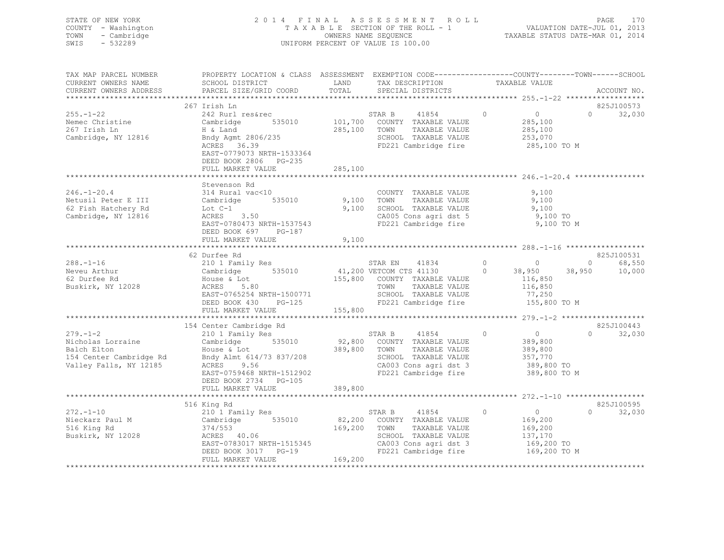| STATE OF NEW YORK<br>COUNTY - Washington<br>- Cambridge<br>TOWN<br>SWIS<br>$-532289$ |                                                                                                                  |       | 2014 FINAL ASSESSMENT ROLL<br>UNIFORM PERCENT OF VALUE IS 100.00                                        |                    |                   | PAGE<br>170 |
|--------------------------------------------------------------------------------------|------------------------------------------------------------------------------------------------------------------|-------|---------------------------------------------------------------------------------------------------------|--------------------|-------------------|-------------|
| TAX MAP PARCEL NUMBER                                                                | PROPERTY LOCATION & CLASS ASSESSMENT EXEMPTION CODE---------------COUNTY-------TOWN-----SCHOOL                   |       |                                                                                                         |                    |                   |             |
| CURRENT OWNERS NAME<br>CURRENT OWNERS ADDRESS                                        | SCHOOL DISTRICT                                                                                                  | LAND  | TAX DESCRIPTION TAXABLE VALUE<br>SPECIAL DISTRICTS                                                      |                    |                   | ACCOUNT NO. |
|                                                                                      |                                                                                                                  |       |                                                                                                         |                    |                   |             |
|                                                                                      | 267 Irish Ln                                                                                                     |       |                                                                                                         |                    |                   | 825J100573  |
| $255. - 1 - 22$                                                                      | 242 Rurl res&rec<br>Cambridge 535010 101,700 COUNTY TAXABLE VALUE<br>201,700 COUNTY TAXABLE VALUE                |       |                                                                                                         | $\overline{0}$ 0 0 | $0 \qquad \qquad$ | 32,030      |
| Nemec Christine                                                                      |                                                                                                                  |       |                                                                                                         | 285,100            |                   |             |
| 267 Irish Ln                                                                         | H & Land<br>H & Land<br>Bndy Agmt 2806/235                                                                       |       |                                                                                                         |                    |                   |             |
| Cambridge, NY 12816                                                                  | ACRES 36.39                                                                                                      |       | 285,100 TOWN TAXABLE VALUE 285,100<br>SCHOOL TAXABLE VALUE 253,070<br>FD221 Cambridge fire 285,100 TO M |                    |                   |             |
|                                                                                      | EAST-0779073 NRTH-1533364                                                                                        |       |                                                                                                         |                    |                   |             |
|                                                                                      | DEED BOOK 2806 PG-235                                                                                            |       |                                                                                                         |                    |                   |             |
|                                                                                      | FULL MARKET VALUE 285,100                                                                                        |       |                                                                                                         |                    |                   |             |
|                                                                                      |                                                                                                                  |       |                                                                                                         |                    |                   |             |
|                                                                                      | Stevenson Rd                                                                                                     |       |                                                                                                         |                    |                   |             |
| $246. - 1 - 20.4$                                                                    | 314 Rural vac<10                                                                                                 |       | COUNTY TAXABLE VALUE                                                                                    | 9,100              |                   |             |
| 62 Fish Hatchery Rd                                                                  | Netusil Peter E III Cambridge 535010 9,100 TOWN<br>Lot C-1                                                       |       | TAXABLE VALUE 9,100                                                                                     |                    |                   |             |
| Cambridge, NY 12816                                                                  | Lot C-1<br>ACRES 3.50                                                                                            |       |                                                                                                         |                    |                   |             |
|                                                                                      | EAST-0780473 NRTH-1537543                                                                                        |       | 9,100 SCHOOL TAXABLE VALUE 9,100<br>CA005 Cons agri dst 5 9,100 TO<br>FD221 Cambridge fire 9,100 TO M   |                    |                   |             |
|                                                                                      | DEED BOOK 697 PG-187                                                                                             |       |                                                                                                         |                    |                   |             |
|                                                                                      | FULL MARKET VALUE                                                                                                | 9,100 |                                                                                                         |                    |                   |             |
|                                                                                      |                                                                                                                  |       |                                                                                                         |                    |                   |             |
|                                                                                      | 62 Durfee Rd                                                                                                     |       |                                                                                                         |                    |                   | 825J100531  |
| 288.-1-16<br>Neveu Arthur                                                            |                                                                                                                  |       |                                                                                                         |                    |                   | 68,550      |
|                                                                                      |                                                                                                                  |       |                                                                                                         |                    |                   | 10,000      |
| 62 Durfee Rd<br>Buskirk, NY 12028                                                    | House & Lot<br>ACRES 5 80                                                                                        |       | 155,800 COUNTY TAXABLE VALUE 116,850                                                                    |                    |                   |             |
|                                                                                      | ACRES 5.80                                                                                                       |       | TOWN<br>TAXABLE VALUE                                                                                   | 116,850            |                   |             |
|                                                                                      | EAST-0765254 NRTH-1500771                                                                                        |       | SCHOOL TAXABLE VALUE                                                                                    | 77,250             |                   |             |
|                                                                                      | DEED BOOK 430 PG-125<br>FULL MARKET VALUE                                                                        |       | FD221 Cambridge fire<br>155,800                                                                         | 155,800 TO M       |                   |             |
|                                                                                      |                                                                                                                  |       |                                                                                                         |                    |                   |             |
|                                                                                      | 154 Center Cambridge Rd<br>210 1 Family Res                                                                      |       |                                                                                                         |                    |                   | 825J100443  |
| $279. - 1 - 2$                                                                       |                                                                                                                  |       |                                                                                                         |                    | $\Omega$          | 32,030      |
|                                                                                      |                                                                                                                  |       |                                                                                                         |                    |                   |             |
| Nicholas Lorraine<br>Balch Elton                                                     | $210$ 1 Family Res<br>Cambridge 535010 92,800 COUNTY TAXABLE VALUE 389,800<br>200 000 TOWN TAXABLE VALUE 389,800 |       |                                                                                                         |                    |                   |             |
| 154 Center Cambridge Rd                                                              | House & Lot 389,800 TOWN<br>Bndy Almt 614/73 837/208 SCHOOL                                                      |       | SCHOOL TAXABLE VALUE 357,770                                                                            |                    |                   |             |
| Valley Falls, NY 12185                                                               | ACRES 9.56 9.56 CA003 Cons agri dst 3 389,800 TO<br>EAST-0759468 NRTH-1512902 FD221 Cambridge fire 389,800 TO M  |       |                                                                                                         | 389,800 TO         |                   |             |
|                                                                                      | DEED BOOK 2734 PG-105                                                                                            |       |                                                                                                         |                    |                   |             |

FULL MARKET VALUE 389,800 \*\*\*\*\*\*\*\*\*\*\*\*\*\*\*\*\*\*\*\*\*\*\*\*\*\*\*\*\*\*\*\*\*\*\*\*\*\*\*\*\*\*\*\*\*\*\*\*\*\*\*\*\*\*\*\*\*\*\*\*\*\*\*\*\*\*\*\*\*\*\*\*\*\*\*\*\*\*\*\*\*\*\*\*\*\*\*\*\*\*\*\*\*\*\*\*\*\*\*\*\*\*\* 272.-1-10 \*\*\*\*\*\*\*\*\*\*\*\*\*\*\*\*\*\*825J100595 516 King Rd 825J100595 272.-1-10 210 1 Family Res STAR B 41854 0 0 0 32,030 Nieckarz Paul M Cambridge 535010 82,200 COUNTY TAXABLE VALUE 169,200 516 King Rd 374/553 169,200 TOWN TAXABLE VALUE 169,200 SCHOOL TAXABLE VALUE  $137,170$ <br>CA003 Cons agri dst 3 169,200 TO EAST-0783017 NRTH-1515345 CA003 Cons agri dst 3 169,200 TO<br>DEED BOOK 3017 PG-19 FD221 Cambridge fire 169,200 TO M DEED BOOK 3017 PG-19 FD221 Cambridge fire FULL MARKET VALUE 169,200 \*\*\*\*\*\*\*\*\*\*\*\*\*\*\*\*\*\*\*\*\*\*\*\*\*\*\*\*\*\*\*\*\*\*\*\*\*\*\*\*\*\*\*\*\*\*\*\*\*\*\*\*\*\*\*\*\*\*\*\*\*\*\*\*\*\*\*\*\*\*\*\*\*\*\*\*\*\*\*\*\*\*\*\*\*\*\*\*\*\*\*\*\*\*\*\*\*\*\*\*\*\*\*\*\*\*\*\*\*\*\*\*\*\*\*\*\*\*\*\*\*\*\*\*\*\*\*\*\*\*\*\*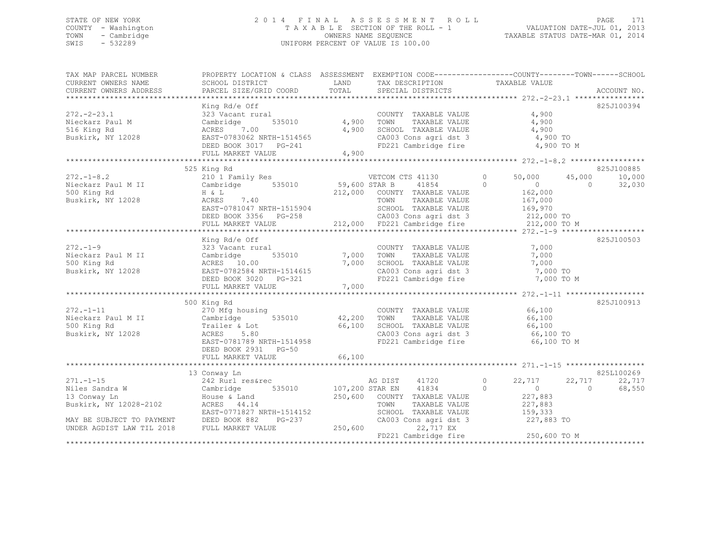### STATE OF NEW YORK 2 0 1 4 F I N A L A S S E S S M E N T R O L L PAGE 171 COUNTY - Washington T A X A B L E SECTION OF THE ROLL - 1 VALUATION DATE-JUL 01, 2013 TOWN - Cambridge OWNERS NAME SEQUENCE TAXABLE STATUS DATE-MAR 01, 2014 SWIS - 532289 UNIFORM PERCENT OF VALUE IS 100.00

| TAX MAP PARCEL NUMBER                                                               |                                                                                                                                                                                                                                                                                                                                                                                                                                           |              |                                                                | PROPERTY LOCATION & CLASS ASSESSMENT EXEMPTION CODE---------------COUNTY-------TOWN-----SCHOOL |             |
|-------------------------------------------------------------------------------------|-------------------------------------------------------------------------------------------------------------------------------------------------------------------------------------------------------------------------------------------------------------------------------------------------------------------------------------------------------------------------------------------------------------------------------------------|--------------|----------------------------------------------------------------|------------------------------------------------------------------------------------------------|-------------|
| CURRENT OWNERS NAME                                                                 | SCHOOL DISTRICT                                                                                                                                                                                                                                                                                                                                                                                                                           |              | LAND TAX DESCRIPTION                                           | TAXABLE VALUE                                                                                  |             |
| CURRENT OWNERS ADDRESS                                                              | PARCEL SIZE/GRID COORD                                                                                                                                                                                                                                                                                                                                                                                                                    | TOTAL        | SPECIAL DISTRICTS                                              |                                                                                                | ACCOUNT NO. |
|                                                                                     | King Rd/e Off                                                                                                                                                                                                                                                                                                                                                                                                                             |              |                                                                |                                                                                                | 825J100394  |
| $272 - 2 - 23.1$                                                                    | 323 Vacant rural                                                                                                                                                                                                                                                                                                                                                                                                                          |              | COUNTY TAXABLE VALUE                                           | 4,900                                                                                          |             |
| Nieckarz Paul M                                                                     | Cambridge                                                                                                                                                                                                                                                                                                                                                                                                                                 | 535010 4,900 | TOWN                                                           | TAXABLE VALUE 4,900                                                                            |             |
|                                                                                     |                                                                                                                                                                                                                                                                                                                                                                                                                                           |              |                                                                |                                                                                                |             |
|                                                                                     |                                                                                                                                                                                                                                                                                                                                                                                                                                           |              | SCHOOL TAXABLE VALUE 4,900<br>CA003 Cons agri dst 3 4,900 TO   |                                                                                                |             |
|                                                                                     |                                                                                                                                                                                                                                                                                                                                                                                                                                           |              |                                                                | FD221 Cambridge fire 4,900 TO M                                                                |             |
|                                                                                     | 1,900 Euskirk, NY 12028 ACRES 7.00 4,900<br>Buskirk, NY 12028 EAST-0783062 NRTH-1514565<br>DEED BOOK 3017 PG-241<br>FULL MARKET VALUE 4,900                                                                                                                                                                                                                                                                                               |              |                                                                |                                                                                                |             |
|                                                                                     |                                                                                                                                                                                                                                                                                                                                                                                                                                           |              |                                                                |                                                                                                |             |
|                                                                                     | 525 King Rd                                                                                                                                                                                                                                                                                                                                                                                                                               |              |                                                                |                                                                                                | 825J100885  |
|                                                                                     | 272.-1-8.2<br>Nieckarz Paul MII (210 1 Family Res VETCOM CTS 41130 0<br>59,600 STAR B 41854 0<br>59,600 STAR B 41854 0<br>212,000 COUNTY TAXABLE VALUE<br>Buskirk, NY 12028 ACES 7.40<br>TOWN TAXABLE VALUE<br>TOWN TAXABLE VALUE                                                                                                                                                                                                         |              |                                                                | 50,000 45,000                                                                                  | 10,000      |
|                                                                                     |                                                                                                                                                                                                                                                                                                                                                                                                                                           |              |                                                                | $\sim$ 0 $\sim$                                                                                | 32,030      |
|                                                                                     |                                                                                                                                                                                                                                                                                                                                                                                                                                           |              |                                                                | $0$<br>162,000                                                                                 |             |
|                                                                                     |                                                                                                                                                                                                                                                                                                                                                                                                                                           |              |                                                                |                                                                                                |             |
|                                                                                     |                                                                                                                                                                                                                                                                                                                                                                                                                                           |              |                                                                |                                                                                                |             |
|                                                                                     |                                                                                                                                                                                                                                                                                                                                                                                                                                           |              |                                                                |                                                                                                |             |
|                                                                                     |                                                                                                                                                                                                                                                                                                                                                                                                                                           |              |                                                                |                                                                                                |             |
|                                                                                     | Buskirk, NY 12028 $ACHES$ 7.40<br>EAST-0781047 NRTH-1515904 SCHOOL TAXABLE VALUE 169,970<br>DEED BOOK 3356 PG-258 212,000 FD221 Cambridge fire 212,000 TO M<br>FULL MARKET VALUE 212,000 FD221 Cambridge fire 212,000 TO M<br>**********                                                                                                                                                                                                  |              |                                                                |                                                                                                |             |
|                                                                                     | King Rd/e Off                                                                                                                                                                                                                                                                                                                                                                                                                             |              |                                                                |                                                                                                | 825J100503  |
| $272 - 1 - 9$                                                                       | 323 Vacant rural                                                                                                                                                                                                                                                                                                                                                                                                                          |              | COUNTY TAXABLE VALUE                                           | 7,000                                                                                          |             |
|                                                                                     |                                                                                                                                                                                                                                                                                                                                                                                                                                           |              |                                                                | 7,000                                                                                          |             |
| Nieckarz Paul M II Cambridge<br>500 King Rd                         ACRES     10.00 | 535010 7,000 TOWN<br>00 7.000 SCHOO                                                                                                                                                                                                                                                                                                                                                                                                       |              | TOWN      TAXABLE VALUE<br>SCHOOL   TAXABLE VALUE              | 7,000                                                                                          |             |
|                                                                                     |                                                                                                                                                                                                                                                                                                                                                                                                                                           |              |                                                                |                                                                                                |             |
|                                                                                     |                                                                                                                                                                                                                                                                                                                                                                                                                                           |              |                                                                | CA003 Cons agri dst 3 7,000 TO<br>FD221 Cambridge fire 7,000 TO M                              |             |
|                                                                                     | ACRES 10.00 7,000<br>Buskirk, NY 12028 EAST-0782584 NRTH-1514615<br>DEED BOOK 3020 PG-321                                                                                                                                                                                                                                                                                                                                                 |              |                                                                |                                                                                                |             |
|                                                                                     |                                                                                                                                                                                                                                                                                                                                                                                                                                           |              |                                                                |                                                                                                |             |
|                                                                                     | 500 King Rd                                                                                                                                                                                                                                                                                                                                                                                                                               |              |                                                                |                                                                                                | 825J100913  |
|                                                                                     | $\begin{array}{ccccccccc} 272.-1-11 & 270& \text{Mfg housing} & & & \text{COUNTY TAXABLE VALUE} & & & 66,100\\ \text{Nieckarz Paul M II} & & & \text{Cambridge} & & 535010 & & 42,200 & \text{TOWN} & & \text{TAXABLE VALUE} & & 66,100\\ \text{500 King Rd} & & & & \text{Trailer & Lot} & & 66,100 & & \text{SCHOOL TAXABLE VALUE} & & 66,100\\ \text{Buskirk, NY 12028} & & & & \text{ACRES} & 5.80 & & & \text{CA003 Cons agri dst 3$ |              |                                                                |                                                                                                |             |
|                                                                                     |                                                                                                                                                                                                                                                                                                                                                                                                                                           |              |                                                                |                                                                                                |             |
|                                                                                     |                                                                                                                                                                                                                                                                                                                                                                                                                                           |              |                                                                |                                                                                                |             |
| Buskirk, NY 12028                                                                   |                                                                                                                                                                                                                                                                                                                                                                                                                                           |              | SCHOOL TAXABLE VALUE 66,100<br>CA003 Cons agri dst 3 66,100 TO |                                                                                                |             |
|                                                                                     | EAST-0781789 NRTH-1514958                                                                                                                                                                                                                                                                                                                                                                                                                 |              |                                                                | FD221 Cambridge fire 66,100 TO M                                                               |             |
|                                                                                     | DEED BOOK 2931 PG-50                                                                                                                                                                                                                                                                                                                                                                                                                      |              |                                                                |                                                                                                |             |
|                                                                                     | FULL MARKET VALUE                                                                                                                                                                                                                                                                                                                                                                                                                         | 66,100       |                                                                |                                                                                                |             |
|                                                                                     |                                                                                                                                                                                                                                                                                                                                                                                                                                           |              |                                                                |                                                                                                |             |
|                                                                                     | 13 Conway Ln                                                                                                                                                                                                                                                                                                                                                                                                                              |              |                                                                |                                                                                                | 825L100269  |
|                                                                                     |                                                                                                                                                                                                                                                                                                                                                                                                                                           |              |                                                                |                                                                                                | 22,717      |
|                                                                                     |                                                                                                                                                                                                                                                                                                                                                                                                                                           |              |                                                                | AG DIST 41720 0 22,717 22,717<br>STAR EN 41834 0 0 0                                           | 68,550      |
|                                                                                     |                                                                                                                                                                                                                                                                                                                                                                                                                                           |              |                                                                |                                                                                                |             |
|                                                                                     |                                                                                                                                                                                                                                                                                                                                                                                                                                           |              |                                                                |                                                                                                |             |
|                                                                                     |                                                                                                                                                                                                                                                                                                                                                                                                                                           |              |                                                                |                                                                                                |             |
|                                                                                     |                                                                                                                                                                                                                                                                                                                                                                                                                                           |              | CA003 Cons agri dst 3 227,883 TO                               |                                                                                                |             |
|                                                                                     |                                                                                                                                                                                                                                                                                                                                                                                                                                           |              |                                                                |                                                                                                |             |
|                                                                                     |                                                                                                                                                                                                                                                                                                                                                                                                                                           |              |                                                                | FD221 Cambridge fire 250,600 TO M                                                              |             |
|                                                                                     |                                                                                                                                                                                                                                                                                                                                                                                                                                           |              |                                                                |                                                                                                |             |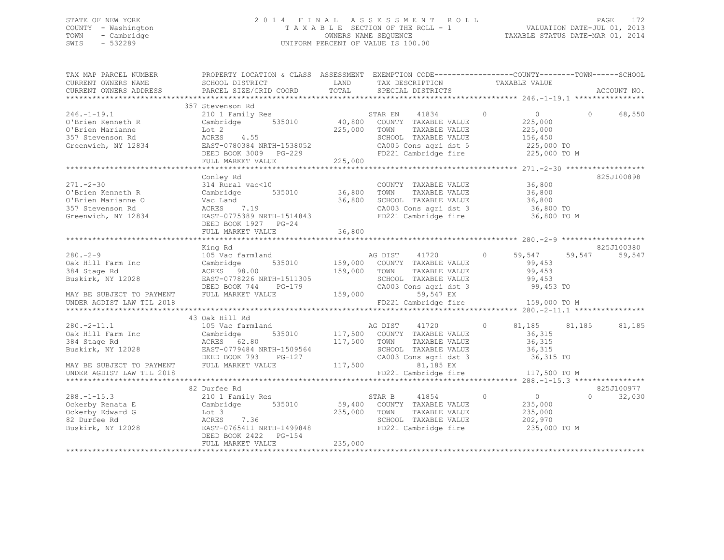### STATE OF NEW YORK 2 0 1 4 F I N A L A S S E S S M E N T R O L L PAGE 172 COUNTY - Washington T A X A B L E SECTION OF THE ROLL - 1 VALUATION DATE-JUL 01, 2013 TOWN - Cambridge OWNERS NAME SEQUENCE TAXABLE STATUS DATE-MAR 01, 2014 SWIS - 532289 UNIFORM PERCENT OF VALUE IS 100.00

| TAX MAP PARCEL NUMBER                                                                                            | PROPERTY LOCATION & CLASS  ASSESSMENT  EXEMPTION CODE-----------------COUNTY-------TOWN------SCHOOL                                                                                                                            |              |                                                                |                  |                    |          |             |
|------------------------------------------------------------------------------------------------------------------|--------------------------------------------------------------------------------------------------------------------------------------------------------------------------------------------------------------------------------|--------------|----------------------------------------------------------------|------------------|--------------------|----------|-------------|
| CURRENT OWNERS NAME                                                                                              | SCHOOL DISTRICT                                                                                                                                                                                                                | LAND         | TAX DESCRIPTION                                                |                  | TAXABLE VALUE      |          |             |
| CURRENT OWNERS ADDRESS                                                                                           | PARCEL SIZE/GRID COORD                                                                                                                                                                                                         | TOTAL        | SPECIAL DISTRICTS                                              |                  |                    |          | ACCOUNT NO. |
|                                                                                                                  |                                                                                                                                                                                                                                |              |                                                                |                  |                    |          |             |
|                                                                                                                  | 357 Stevenson Rd                                                                                                                                                                                                               |              |                                                                |                  |                    |          |             |
| $246. -1 - 19.1$                                                                                                 | 210 1 Family Res                                                                                                                                                                                                               |              | $\sim$ 0<br>STAR EN 41834                                      |                  | $\overline{0}$     | $\Omega$ | 68,550      |
| O'Brien Kenneth R                                                                                                |                                                                                                                                                                                                                                |              |                                                                |                  | 225,000            |          |             |
|                                                                                                                  |                                                                                                                                                                                                                                | 225,000 TOWN | TAXABLE VALUE                                                  |                  |                    |          |             |
|                                                                                                                  |                                                                                                                                                                                                                                |              | SCHOOL TAXABLE VALUE                                           |                  | 225,000<br>156,450 |          |             |
|                                                                                                                  |                                                                                                                                                                                                                                |              |                                                                |                  |                    |          |             |
|                                                                                                                  |                                                                                                                                                                                                                                |              | CA005 Cons agri dst 5 225,000 TO                               |                  |                    |          |             |
|                                                                                                                  |                                                                                                                                                                                                                                |              | FD221 Cambridge fire                                           |                  | 225,000 TO M       |          |             |
|                                                                                                                  | FULL MARKET VALUE                                                                                                                                                                                                              | 225,000      |                                                                |                  |                    |          |             |
|                                                                                                                  |                                                                                                                                                                                                                                |              |                                                                |                  |                    |          |             |
|                                                                                                                  | Conley Rd                                                                                                                                                                                                                      |              |                                                                |                  |                    |          | 825J100898  |
| $271 - 2 - 30$                                                                                                   | 314 Rural vac<10                                                                                                                                                                                                               |              | COUNTY TAXABLE VALUE 36,800<br>TOWN TAXABLE VALUE 36,800       |                  |                    |          |             |
|                                                                                                                  | 271.230<br>O'Brien Kenneth R                       Cambridge          535010                36,800    TOWN                                                                                                                     |              |                                                                |                  |                    |          |             |
| O'Brien Marianne O                                                                                               |                                                                                                                                                                                                                                | 36,800       |                                                                |                  |                    |          |             |
| 357 Stevenson Rd                                                                                                 | Vac Land<br>ACRES 7.19                                                                                                                                                                                                         |              | SCHOOL TAXABLE VALUE 36,800<br>CA003 Cons agri dst 3 36,800 TO |                  |                    |          |             |
|                                                                                                                  | Greenwich, NY 12834 EAST-0775389 NRTH-1514843                                                                                                                                                                                  |              | FD221 Cambridge fire 36,800 TO M                               |                  |                    |          |             |
|                                                                                                                  | DEED BOOK 1927 PG-24                                                                                                                                                                                                           |              |                                                                |                  |                    |          |             |
|                                                                                                                  |                                                                                                                                                                                                                                |              |                                                                |                  |                    |          |             |
|                                                                                                                  |                                                                                                                                                                                                                                |              |                                                                |                  |                    |          |             |
|                                                                                                                  |                                                                                                                                                                                                                                |              |                                                                |                  |                    |          | 825J100380  |
|                                                                                                                  |                                                                                                                                                                                                                                |              | AG DIST 41720 0 59,547 59,547                                  |                  |                    |          |             |
|                                                                                                                  |                                                                                                                                                                                                                                |              |                                                                |                  |                    |          | 59,547      |
|                                                                                                                  |                                                                                                                                                                                                                                |              | 535010 159,000 COUNTY TAXABLE VALUE                            |                  | 99,453             |          |             |
|                                                                                                                  |                                                                                                                                                                                                                                |              | TOWN      TAXABLE VALUE<br>SCHOOL   TAXABLE VALUE              |                  | 99,453             |          |             |
|                                                                                                                  |                                                                                                                                                                                                                                |              |                                                                |                  | 99,453             |          |             |
|                                                                                                                  |                                                                                                                                                                                                                                |              | CA003 Cons agri dst 3 99,453 TO                                |                  |                    |          |             |
|                                                                                                                  |                                                                                                                                                                                                                                |              | 59,547 EX                                                      |                  |                    |          |             |
|                                                                                                                  |                                                                                                                                                                                                                                |              | FD221 Cambridge fire 159,000 TO M                              |                  |                    |          |             |
|                                                                                                                  |                                                                                                                                                                                                                                |              |                                                                |                  |                    |          |             |
|                                                                                                                  | 43 Oak Hill Rd                                                                                                                                                                                                                 |              |                                                                |                  |                    |          |             |
| $280 - 2 - 11.1$                                                                                                 | 105 Vac farmland                                                                                                                                                                                                               |              | AG DIST 41720                                                  | $\circ$          | 81,185 81,185      |          | 81,185      |
|                                                                                                                  |                                                                                                                                                                                                                                |              | 535010 117,500 COUNTY TAXABLE VALUE                            |                  | 36,315             |          |             |
| 2001 2011<br>Oak Hill Farm Inc                 Cambridge<br>384 Stage Rd                         ACRES     62.80 |                                                                                                                                                                                                                                | 117,500 TOWN | TAXABLE VALUE                                                  |                  | 36,315             |          |             |
|                                                                                                                  | Buskirk, NY 12028 EAST-0779484 NRTH-1509564                                                                                                                                                                                    |              | SCHOOL TAXABLE VALUE 36,315                                    |                  |                    |          |             |
|                                                                                                                  | DEED BOOK 793 PG-127                                                                                                                                                                                                           |              | $CA003$ Cons agri dst $3$                                      |                  | 36,315 TO          |          |             |
| MAY BE SUBJECT TO PAYMENT FULL MARKET VALUE                                                                      |                                                                                                                                                                                                                                | 117,500      | 81,185 EX                                                      |                  |                    |          |             |
|                                                                                                                  |                                                                                                                                                                                                                                |              | FD221 Cambridge fire                                           |                  | 117,500 TO M       |          |             |
| UNDER AGDIST LAW TIL 2018                                                                                        |                                                                                                                                                                                                                                |              |                                                                |                  |                    |          |             |
|                                                                                                                  |                                                                                                                                                                                                                                |              |                                                                |                  |                    |          |             |
|                                                                                                                  | 82 Durfee Rd                                                                                                                                                                                                                   |              |                                                                |                  |                    |          | 825J100977  |
| $288. -1 - 15.3$                                                                                                 | 210 1 Family Res                                                                                                                                                                                                               |              | STAR B<br>41854                                                | $\overline{0}$ 0 |                    | $\Omega$ | 32,030      |
|                                                                                                                  |                                                                                                                                                                                                                                |              |                                                                | 235,000          |                    |          |             |
|                                                                                                                  |                                                                                                                                                                                                                                |              | TAXABLE VALUE                                                  |                  | 235,000            |          |             |
|                                                                                                                  | Cookerby Remata E and Family Research of the Cambridge of the Sample Cookerby Remata E Cookerby Remata E Cookerby Remata E and Family Research and the SS5010 state of the SS5010 state of the SSS010 state of the SSS010 stat |              | SCHOOL TAXABLE VALUE 202,970                                   |                  |                    |          |             |
|                                                                                                                  |                                                                                                                                                                                                                                |              | FD221 Cambridge fire                                           |                  | 235,000 TO M       |          |             |
|                                                                                                                  |                                                                                                                                                                                                                                |              |                                                                |                  |                    |          |             |
|                                                                                                                  |                                                                                                                                                                                                                                |              |                                                                |                  |                    |          |             |
|                                                                                                                  | ***********************                                                                                                                                                                                                        |              |                                                                |                  |                    |          |             |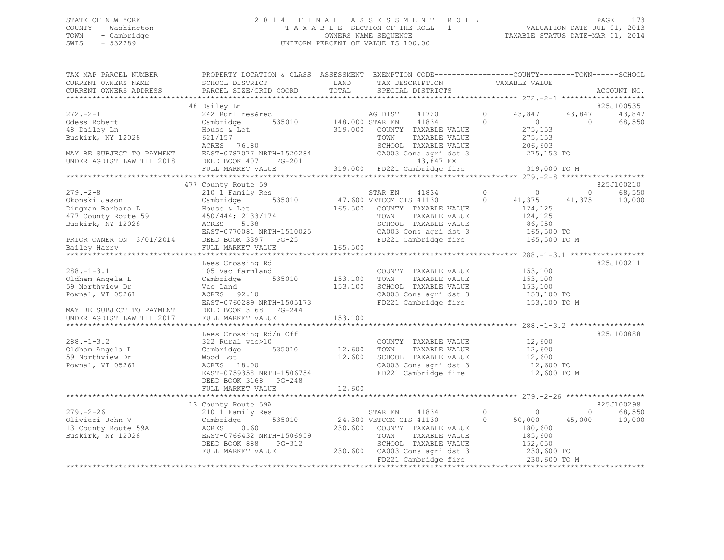### STATE OF NEW YORK 2 0 1 4 F I N A L A S S E S S M E N T R O L L PAGE 173 COUNTY - Washington T A X A B L E SECTION OF THE ROLL - 1 VALUATION DATE-JUL 01, 2013 TOWN - Cambridge OWNERS NAME SEQUENCE TAXABLE STATUS DATE-MAR 01, 2014 SWIS - 532289 UNIFORM PERCENT OF VALUE IS 100.00

| TAX MAP PARCEL NUMBER<br>CURRENT OWNERS NAME                                         | PROPERTY LOCATION & CLASS ASSESSMENT EXEMPTION CODE---------------COUNTY-------TOWN-----SCHOOL<br>SCHOOL DISTRICT | <b>EXAMPLE DESCRIPTION OF STREET AND STREET AND STREET AND STREET AND STREET AND STREET AND STREET AND STREET AND</b> | TAX DESCRIPTION                                       |                | TAXABLE VALUE              |                |                             |
|--------------------------------------------------------------------------------------|-------------------------------------------------------------------------------------------------------------------|-----------------------------------------------------------------------------------------------------------------------|-------------------------------------------------------|----------------|----------------------------|----------------|-----------------------------|
| CURRENT OWNERS ADDRESS                                                               | PARCEL SIZE/GRID COORD                                                                                            | TOTAL                                                                                                                 | SPECIAL DISTRICTS                                     |                |                            |                | ACCOUNT NO.                 |
|                                                                                      |                                                                                                                   |                                                                                                                       |                                                       |                |                            |                |                             |
|                                                                                      | 48 Dailey Ln                                                                                                      |                                                                                                                       |                                                       |                |                            |                | 825J100535                  |
| $272. - 2 - 1$                                                                       | 242 Rurl res&rec                                                                                                  |                                                                                                                       |                                                       | $\circ$        | 43,847                     | 43,847         | 43,847                      |
| Odess Robert                                                                         | 535010<br>Cambridge                                                                                               |                                                                                                                       | AG DIST 41720<br>148,000 STAR EN 41834                | $\Omega$       | $\overline{0}$             | $\bigcirc$     | 68,550                      |
| 48 Dailey Ln                                                                         | House & Lot                                                                                                       |                                                                                                                       | 319,000 COUNTY TAXABLE VALUE                          |                | 275,153                    |                |                             |
| Buskirk, NY 12028                                                                    | 621/157                                                                                                           |                                                                                                                       | TOWN<br>TAXABLE VALUE                                 |                | 275,153                    |                |                             |
|                                                                                      | ACRES 76.80                                                                                                       |                                                                                                                       | SCHOOL TAXABLE VALUE                                  |                | 206,603                    |                |                             |
| MAY BE SUBJECT TO PAYMENT EAST-0787077 NI<br>UNDER AGDIST LAW TIL 2018 DEED BOOK 407 | EAST-0787077 NRTH-1520284                                                                                         |                                                                                                                       | CA003 Cons agri dst 3                                 |                | 275,153 TO                 |                |                             |
|                                                                                      | $PG-201$                                                                                                          |                                                                                                                       | 43,847 EX                                             |                |                            |                |                             |
|                                                                                      | FULL MARKET VALUE                                                                                                 |                                                                                                                       | $319,000$ FD221 Cambridge fire $319,000$ TO M         |                |                            |                |                             |
|                                                                                      |                                                                                                                   |                                                                                                                       |                                                       |                |                            |                |                             |
|                                                                                      | 477 County Route 59                                                                                               |                                                                                                                       |                                                       |                |                            |                | 825J100210                  |
| $279. - 2 - 8$                                                                       | 210 1 Family Res                                                                                                  |                                                                                                                       | STAR EN<br>41834                                      | $\circ$        | $\overline{0}$             | $\overline{0}$ | 68,550                      |
| Okonski Jason                                                                        | Cambridge                                                                                                         |                                                                                                                       | 535010 47,600 VETCOM CTS 41130                        | $\circ$        | 41,375                     | 41,375         | 10,000                      |
| Dingman Barbara L<br>477 County Route 59 (450/444; 2133/174                          |                                                                                                                   |                                                                                                                       | 165,500 COUNTY TAXABLE VALUE                          |                | 124,125                    |                |                             |
|                                                                                      |                                                                                                                   |                                                                                                                       | TAXABLE VALUE<br>TOWN                                 |                | 124,125                    |                |                             |
|                                                                                      |                                                                                                                   |                                                                                                                       | SCHOOL TAXABLE VALUE                                  |                | 86,950                     |                |                             |
|                                                                                      |                                                                                                                   |                                                                                                                       | CA003 Cons agri dst 3 165,500 TO                      |                |                            |                |                             |
|                                                                                      |                                                                                                                   |                                                                                                                       | FD221 Cambridge fire                                  |                | 165,500 TO M               |                |                             |
|                                                                                      |                                                                                                                   | 165,500                                                                                                               |                                                       |                |                            |                |                             |
|                                                                                      |                                                                                                                   |                                                                                                                       |                                                       |                |                            |                |                             |
|                                                                                      | Lees Crossing Rd                                                                                                  |                                                                                                                       |                                                       |                |                            |                | 825J100211                  |
| $288. - 1 - 3.1$                                                                     | 105 Vac farmland                                                                                                  |                                                                                                                       | COUNTY TAXABLE VALUE                                  |                | 153,100                    |                |                             |
| Oldham Angela L                                                                      | 535010 153,100<br>Cambridge                                                                                       |                                                                                                                       | TAXABLE VALUE<br>TOWN                                 |                | 153,100                    |                |                             |
| 59 Northview Dr                                                                      | Vac Land                                                                                                          | 153,100                                                                                                               | SCHOOL TAXABLE VALUE                                  |                | 153,100                    |                |                             |
| Pownal, VT 05261                                                                     | ACRES 92.10                                                                                                       |                                                                                                                       | CA003 Cons agri dst 3                                 |                | 153,100 TO                 |                |                             |
|                                                                                      | EAST-0760289 NRTH-1505173                                                                                         |                                                                                                                       | FD221 Cambridge fire                                  |                | 153,100 TO M               |                |                             |
| MAY BE SUBJECT TO PAYMENT<br>UNDER AGDIST LAW TIL 2017                               | DEED BOOK 3168 PG-244                                                                                             |                                                                                                                       |                                                       |                |                            |                |                             |
|                                                                                      | FULL MARKET VALUE                                                                                                 | 153,100                                                                                                               |                                                       |                |                            |                |                             |
|                                                                                      |                                                                                                                   |                                                                                                                       |                                                       |                |                            |                |                             |
|                                                                                      | Lees Crossing Rd/n Off                                                                                            |                                                                                                                       |                                                       |                |                            |                | 825J100888                  |
| $288. - 1 - 3.2$                                                                     | 322 Rural vac>10                                                                                                  |                                                                                                                       | COUNTY TAXABLE VALUE                                  |                | 12,600                     |                |                             |
| Oldham Angela L                                                                      | Cambridge                                                                                                         | 535010 12,600                                                                                                         | TAXABLE VALUE<br>TOWN                                 |                | 12,600                     |                |                             |
| 59 Northview Dr                                                                      | Wood Lot                                                                                                          | 12,600                                                                                                                | SCHOOL TAXABLE VALUE                                  |                | 12,600                     |                |                             |
| Pownal, VT 05261                                                                     | ACRES 18.00                                                                                                       |                                                                                                                       | SCHOOL TAXABLE VALUE<br>CA003 Cons agri dst 3         |                | 12,600 TO                  |                |                             |
|                                                                                      | EAST-0759358 NRTH-1506754                                                                                         |                                                                                                                       | FD221 Cambridge fire                                  |                | 12,600 TO M                |                |                             |
|                                                                                      | DEED BOOK 3168 PG-248                                                                                             |                                                                                                                       |                                                       |                |                            |                |                             |
|                                                                                      | FULL MARKET VALUE                                                                                                 | 12,600                                                                                                                |                                                       |                |                            |                |                             |
|                                                                                      |                                                                                                                   |                                                                                                                       |                                                       |                |                            |                |                             |
|                                                                                      | 13 County Route 59A                                                                                               |                                                                                                                       |                                                       |                |                            |                | 825J100298                  |
| $279. - 2 - 26$                                                                      | 210 1 Family Res                                                                                                  |                                                                                                                       | STAR EN<br>41834                                      | $\overline{0}$ | $\circ$                    |                | 68,550<br>$0 \qquad \qquad$ |
| Olivieri John V<br>13 County Route 59A                                               | 535010<br>Cambridge                                                                                               |                                                                                                                       | 24,300 VETCOM CTS 41130                               | $\circ$        | 50,000                     | 45,000         | 10,000                      |
|                                                                                      | ACRES<br>0.60                                                                                                     |                                                                                                                       | 230,600 COUNTY TAXABLE VALUE                          |                | 180,600                    |                |                             |
| Buskirk, NY 12028                                                                    | EAST-0766432 NRTH-1506959                                                                                         |                                                                                                                       | TOWN<br>TAXABLE VALUE                                 |                | 185,600                    |                |                             |
|                                                                                      | DEED BOOK 888<br>$PG-312$                                                                                         |                                                                                                                       | SCHOOL TAXABLE VALUE                                  |                | 152,050                    |                |                             |
|                                                                                      |                                                                                                                   |                                                                                                                       |                                                       |                |                            |                |                             |
|                                                                                      | FULL MARKET VALUE                                                                                                 |                                                                                                                       | 230,600 CA003 Cons agri dst 3<br>FD221 Cambridge fire |                | 230,600 TO<br>230,600 TO M |                |                             |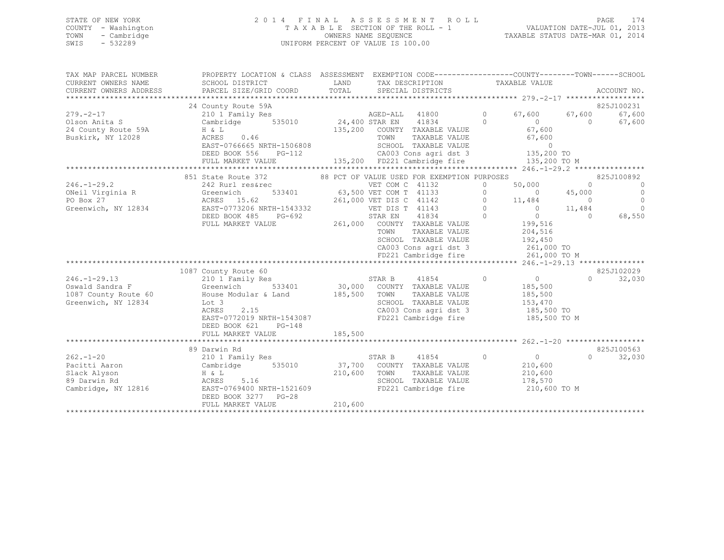#### STATE OF NEW YORK 2 0 1 4 F I N A L A S S E S S M E N T R O L L PAGE 174 COUNTY - Washington T A X A B L E SECTION OF THE ROLL - 1 VALUATION DATE-JUL 01, 2013 TOWN - Cambridge OWNERS NAME SEQUENCE TAXABLE STATUS DATE-MAR 01, 2014 SWIS - 532289 UNIFORM PERCENT OF VALUE IS 100.00

| TAX MAP PARCEL NUMBER                   | PROPERTY LOCATION & CLASS ASSESSMENT EXEMPTION CODE----------------COUNTY-------TOWN------SCHOOL                                        |         |                                                                                                       |            |                                                   |                |                                 |
|-----------------------------------------|-----------------------------------------------------------------------------------------------------------------------------------------|---------|-------------------------------------------------------------------------------------------------------|------------|---------------------------------------------------|----------------|---------------------------------|
| CURRENT OWNERS NAME                     | SCHOOL DISTRICT                                                                                                                         | LAND    | TAX DESCRIPTION                                                                                       |            | TAXABLE VALUE                                     |                |                                 |
| CURRENT OWNERS ADDRESS                  |                                                                                                                                         |         |                                                                                                       |            |                                                   |                |                                 |
|                                         | 24 County Route 59A                                                                                                                     |         |                                                                                                       |            |                                                   |                | 825J100231                      |
| $279. - 2 - 17$                         | 210 1 Family Res                                                                                                                        |         | AGED-ALL 41800 0                                                                                      |            | 67,600                                            | 67,600         | 67,600                          |
| Olson Anita S                           | Cambridge 535010 24,400 STAR EN 41834 0                                                                                                 |         |                                                                                                       |            |                                                   | $\overline{0}$ | 67,600                          |
| 24 County Route 59A                     | $H \& L$                                                                                                                                |         | 135,200 COUNTY TAXABLE VALUE<br>TOWN TAXABLE VALUE                                                    |            | $\begin{array}{c} 0 \\ 67,600 \end{array}$        |                |                                 |
| Buskirk, NY 12028                       | ACRES 0.46                                                                                                                              |         |                                                                                                       |            | 67,600                                            |                |                                 |
|                                         | EAST-0766665 NRTH-1506808                                                                                                               |         | SCHOOL TAXABLE VALUE<br>CA003 Cons agri dst 3 135,200 TO<br>135,200 FD221 Cambridge fire 135,200 TO M |            |                                                   |                |                                 |
|                                         | DEED BOOK 556 PG-112                                                                                                                    |         |                                                                                                       |            |                                                   |                |                                 |
|                                         | FULL MARKET VALUE                                                                                                                       |         |                                                                                                       |            |                                                   |                |                                 |
|                                         |                                                                                                                                         |         |                                                                                                       |            |                                                   |                |                                 |
| $246. - 1 - 29.2$                       | 851 State Route 372<br>242 Rurl res&rec                                                                                                 |         | 88 PCT OF VALUE USED FOR EXEMPTION PURPOSES<br>VET COM C 41132                                        | $\Omega$   |                                                   |                | 825J100892<br>$\overline{0}$    |
| ONeil Virginia R Greenwich              |                                                                                                                                         |         | $533401$ 63,500 VET COM T 41133                                                                       | $\circ$    | $50,000$ 0<br>0 45,000                            |                | $\overline{0}$                  |
| PO Box 27                               | ACRES 15.62                                                                                                                             |         | 261,000 VET DIS C 41142                                                                               | $\circ$    |                                                   |                | $\overline{0}$                  |
| Greenwich, NY 12834                     |                                                                                                                                         |         | VET DIS T 41143 0                                                                                     |            |                                                   |                | $\bigcirc$                      |
|                                         | EAST-0773206 NRTH-1543332<br>DEED BOOK 485 PG-692                                                                                       |         | STAR EN 41834                                                                                         | $\bigcirc$ | 11,484 0<br>0<br>11,484 0<br>199,516 0<br>199,516 |                | 68,550                          |
|                                         | FULL MARKET VALUE                                                                                                                       |         | 261,000 COUNTY TAXABLE VALUE                                                                          |            |                                                   |                |                                 |
|                                         |                                                                                                                                         |         | TOWN<br>TAXABLE VALUE                                                                                 |            | 204,516                                           |                |                                 |
|                                         |                                                                                                                                         |         | SCHOOL TAXABLE VALUE 192,450<br>CA003 Cons agri dst 3 261,000 TO                                      |            |                                                   |                |                                 |
|                                         |                                                                                                                                         |         |                                                                                                       |            |                                                   |                |                                 |
|                                         |                                                                                                                                         |         | FD221 Cambridge fire 261,000 TO M                                                                     |            |                                                   |                |                                 |
|                                         |                                                                                                                                         |         |                                                                                                       |            |                                                   |                |                                 |
|                                         | 1087 County Route 60                                                                                                                    |         |                                                                                                       |            |                                                   |                | 825J102029                      |
| $246. -1 - 29.13$                       | 210 1 Family Res                                                                                                                        | STAR B  | 41854                                                                                                 | $\bigcirc$ | $\overline{0}$                                    |                | $\Omega$ and $\Omega$<br>32,030 |
| Oswald Sandra F<br>1087 County Route 60 | Greenwich                                                                                                                               |         | 533401 30,000 COUNTY TAXABLE VALUE<br>TOWN<br>TAXABLE VALUE                                           |            | 185,500                                           |                |                                 |
| Greenwich, NY 12834                     | House Modular & Land 185,500<br>Lot 3                                                                                                   |         | SCHOOL TAXABLE VALUE                                                                                  |            | 185,500<br>153,470                                |                |                                 |
|                                         | ACRES<br>2.15                                                                                                                           |         | CA003 Cons agri dst 3 185,500 TO                                                                      |            |                                                   |                |                                 |
|                                         | EAST-0772019 NRTH-1543087                                                                                                               |         | FD221 Cambridge fire 185,500 TO M                                                                     |            |                                                   |                |                                 |
|                                         | DEED BOOK 621 PG-148                                                                                                                    |         |                                                                                                       |            |                                                   |                |                                 |
|                                         | FULL MARKET VALUE                                                                                                                       | 185,500 |                                                                                                       |            |                                                   |                |                                 |
|                                         |                                                                                                                                         |         |                                                                                                       |            |                                                   |                |                                 |
|                                         | 89 Darwin Rd                                                                                                                            |         |                                                                                                       |            |                                                   |                | 825J100563                      |
| $262 - 1 - 20$                          | 210 1 Family Res                                                                                                                        |         | 41854 0 0<br>STAR B                                                                                   |            |                                                   |                | $\Omega$<br>32,030              |
| Pacitti Aaron                           | Cambridge                                                                                                                               |         | 535010 37,700 COUNTY TAXABLE VALUE                                                                    |            | 210,600                                           |                |                                 |
| Slack Alyson                            | $210,600 \qquad \qquad {\rm TOWN} \nonumber \\ 5.16 \qquad \qquad 210,600 \qquad \qquad {\rm TOWN} \nonumber \\$<br>H & L<br>ACRES 5.16 |         | TAXABLE VALUE                                                                                         |            | 210,600<br>178,570                                |                |                                 |
|                                         |                                                                                                                                         |         | SCHOOL TAXABLE VALUE<br>FD221 Cambridge fire                                                          |            |                                                   |                |                                 |
|                                         | DEED BOOK 3277 PG-28                                                                                                                    |         |                                                                                                       |            | 210,600 TO M                                      |                |                                 |
|                                         | FULL MARKET VALUE                                                                                                                       | 210,600 |                                                                                                       |            |                                                   |                |                                 |
|                                         |                                                                                                                                         |         |                                                                                                       |            |                                                   |                |                                 |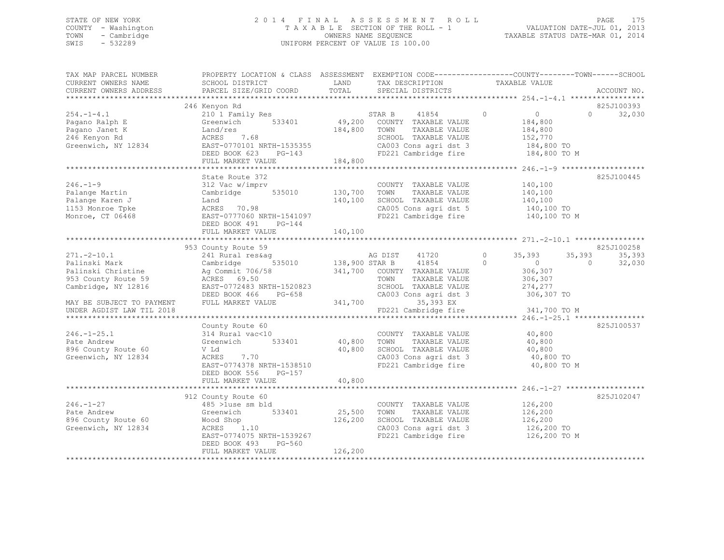## STATE OF NEW YORK PAGE 175<br>COUNTY - Washington 1991, 2014 FINAL ASSESSMENT ROLL - 1 WALUATION DATE-ULL 1<br>2014 - 2014 PAGE 1791, 2014 COUNTY - Washington T A X A B L E SECTION OF THE ROLL - 1 TOWN - Cambridge OWNERS NAME SEQUENCE TAXABLE STATUS DATE-MAR 01, 2014 UNIFORM PERCENT OF VALUE IS 100.00

| TAX MAP PARCEL NUMBER                                                                                                                                                                                                                   | PROPERTY LOCATION & CLASS ASSESSMENT EXEMPTION CODE----------------COUNTY-------TOWN------SCHOOL                                                                                                                                   |         |                                                                                                |                                                                   |                             |
|-----------------------------------------------------------------------------------------------------------------------------------------------------------------------------------------------------------------------------------------|------------------------------------------------------------------------------------------------------------------------------------------------------------------------------------------------------------------------------------|---------|------------------------------------------------------------------------------------------------|-------------------------------------------------------------------|-----------------------------|
| CURRENT OWNERS NAME                                                                                                                                                                                                                     | SCHOOL DISTRICT<br><b>EXAMPLE SERVICE SERVICE SERVICE SERVICE SERVICE SERVICE SERVICE SERVICE SERVICE SERVICE SERVICE SERVICE SERVICE</b>                                                                                          |         | TAX DESCRIPTION TAXABLE VALUE                                                                  |                                                                   |                             |
|                                                                                                                                                                                                                                         |                                                                                                                                                                                                                                    |         |                                                                                                |                                                                   |                             |
|                                                                                                                                                                                                                                         |                                                                                                                                                                                                                                    |         |                                                                                                |                                                                   |                             |
|                                                                                                                                                                                                                                         | 246 Kenyon Rd                                                                                                                                                                                                                      |         |                                                                                                |                                                                   | 825J100393                  |
| 240 CONTY TAXABLE VALUE<br>Pagano Ralph E (210 1 Family Res STAR B 41854 0 0<br>Pagano Janet K Land/res 184,800 TOWN TAXABLE VALUE 184,800<br>246 Kenyon Rd ACRES 7.68<br>Greenwich, NY 12834 EAST-0770101 NRTH-1535355<br>EAST-0770101 |                                                                                                                                                                                                                                    |         |                                                                                                | $\begin{array}{c} 0 \\ 184,800 \\ 184,800 \\ 152,770 \end{array}$ | $0 \qquad \qquad$<br>32,030 |
|                                                                                                                                                                                                                                         |                                                                                                                                                                                                                                    |         |                                                                                                |                                                                   |                             |
|                                                                                                                                                                                                                                         |                                                                                                                                                                                                                                    |         |                                                                                                |                                                                   |                             |
|                                                                                                                                                                                                                                         |                                                                                                                                                                                                                                    |         |                                                                                                |                                                                   |                             |
|                                                                                                                                                                                                                                         |                                                                                                                                                                                                                                    |         |                                                                                                |                                                                   |                             |
|                                                                                                                                                                                                                                         |                                                                                                                                                                                                                                    |         |                                                                                                |                                                                   |                             |
|                                                                                                                                                                                                                                         | FULL MARKET VALUE                                                                                                                                                                                                                  | 184,800 |                                                                                                |                                                                   |                             |
|                                                                                                                                                                                                                                         |                                                                                                                                                                                                                                    |         |                                                                                                |                                                                   |                             |
|                                                                                                                                                                                                                                         | State Route 372                                                                                                                                                                                                                    |         |                                                                                                |                                                                   | 825J100445                  |
| $246. - 1 - 9$                                                                                                                                                                                                                          | 312 Vac w/imprv                                                                                                                                                                                                                    |         | COUNTY TAXABLE VALUE 140,100<br>TOWN TAXABLE VALUE 140,100<br>SCHOOL TAXABLE VALUE 140,100     |                                                                   |                             |
| Palange Martin                                                                                                                                                                                                                          | Cambridge 535010 130,700 TOWN                                                                                                                                                                                                      |         |                                                                                                |                                                                   |                             |
| Palange Karen J                                                                                                                                                                                                                         |                                                                                                                                                                                                                                    |         |                                                                                                |                                                                   |                             |
| 1153 Monroe Tpke                                                                                                                                                                                                                        |                                                                                                                                                                                                                                    |         | CA005 Cons agri dst 5 140,100 TO                                                               |                                                                   |                             |
| Monroe, CT 06468                                                                                                                                                                                                                        | Land 140,100 SCHOOL TAXABLE VALUE<br>ACRES 70.98 CA005 Cons agri dst 5<br>EAST-0777060 NRTH-1541097 FD221 Cambridge fire                                                                                                           |         |                                                                                                | 140,100 TO M                                                      |                             |
|                                                                                                                                                                                                                                         |                                                                                                                                                                                                                                    |         |                                                                                                |                                                                   |                             |
|                                                                                                                                                                                                                                         |                                                                                                                                                                                                                                    |         |                                                                                                |                                                                   |                             |
|                                                                                                                                                                                                                                         |                                                                                                                                                                                                                                    |         |                                                                                                |                                                                   |                             |
|                                                                                                                                                                                                                                         | 953 County Route 59                                                                                                                                                                                                                |         |                                                                                                |                                                                   | 825J100258                  |
|                                                                                                                                                                                                                                         |                                                                                                                                                                                                                                    |         |                                                                                                |                                                                   |                             |
|                                                                                                                                                                                                                                         |                                                                                                                                                                                                                                    |         |                                                                                                |                                                                   |                             |
|                                                                                                                                                                                                                                         |                                                                                                                                                                                                                                    |         |                                                                                                |                                                                   |                             |
|                                                                                                                                                                                                                                         |                                                                                                                                                                                                                                    |         |                                                                                                |                                                                   |                             |
|                                                                                                                                                                                                                                         |                                                                                                                                                                                                                                    |         |                                                                                                |                                                                   |                             |
|                                                                                                                                                                                                                                         |                                                                                                                                                                                                                                    |         |                                                                                                |                                                                   |                             |
|                                                                                                                                                                                                                                         |                                                                                                                                                                                                                                    |         |                                                                                                |                                                                   |                             |
| UNDER AGDIST LAW TIL 2018                                                                                                                                                                                                               |                                                                                                                                                                                                                                    |         | FD221 Cambridge fire                                                                           | 341,700 TO M                                                      |                             |
|                                                                                                                                                                                                                                         |                                                                                                                                                                                                                                    |         |                                                                                                |                                                                   |                             |
|                                                                                                                                                                                                                                         | County Route 60                                                                                                                                                                                                                    |         |                                                                                                |                                                                   | 825J100537                  |
| $246. - 1 - 25.1$                                                                                                                                                                                                                       |                                                                                                                                                                                                                                    |         |                                                                                                |                                                                   |                             |
| Pate Andrew                                                                                                                                                                                                                             | 314 Rural vac<10<br>Greenwich 533401<br>40,800 TOWN TAXABLE VALUE<br>Greenwich 533401<br>40,800 TOWN TAXABLE VALUE                                                                                                                 |         | COUNTY TAXABLE VALUE 40,800                                                                    | 40,800                                                            |                             |
|                                                                                                                                                                                                                                         |                                                                                                                                                                                                                                    |         |                                                                                                |                                                                   |                             |
| 896 County Route 60                                                                                                                                                                                                                     |                                                                                                                                                                                                                                    |         |                                                                                                |                                                                   |                             |
| Greenwich, NY 12834                                                                                                                                                                                                                     |                                                                                                                                                                                                                                    |         | CA003 Cons agri dst 3 (40,800 TO<br>FD221 Cambridge fire (40,800 TO M                          |                                                                   |                             |
|                                                                                                                                                                                                                                         | EAST-0774378 NRTH-1538510                                                                                                                                                                                                          |         |                                                                                                |                                                                   |                             |
|                                                                                                                                                                                                                                         | DEED BOOK 556 PG-157                                                                                                                                                                                                               |         |                                                                                                |                                                                   |                             |
|                                                                                                                                                                                                                                         | FULL MARKET VALUE                                                                                                                                                                                                                  | 40,800  |                                                                                                |                                                                   |                             |
|                                                                                                                                                                                                                                         |                                                                                                                                                                                                                                    |         |                                                                                                |                                                                   |                             |
|                                                                                                                                                                                                                                         | 912 County Route 60                                                                                                                                                                                                                |         |                                                                                                |                                                                   | 825J102047                  |
| $246. - 1 - 27$                                                                                                                                                                                                                         | 485 >luse sm bld                                                                                                                                                                                                                   |         | COUNTY TAXABLE VALUE 126,200                                                                   |                                                                   |                             |
| Pate Andrew                                                                                                                                                                                                                             | 533401 25,500<br>Greenwich                                                                                                                                                                                                         |         |                                                                                                |                                                                   |                             |
| 896 County Route 60                                                                                                                                                                                                                     |                                                                                                                                                                                                                                    |         | TOWN TAXABLE VALUE 126,200<br>SCHOOL TAXABLE VALUE 126,200<br>CA003 Cons agri dst 3 126,200 TO |                                                                   |                             |
| Greenwich, NY 12834                                                                                                                                                                                                                     |                                                                                                                                                                                                                                    |         |                                                                                                |                                                                   |                             |
|                                                                                                                                                                                                                                         | Wood Shop<br>ACRES 1.10<br>ACRES 1.10<br>EAST-0774075 NRTH-1539267<br>CA003 Cons agri dst 3<br>CA003 Cons agri dst 3<br>EAST-0774075 NRTH-1539267<br>CA003 Cons agri dst 3<br>FD221 Cambridge fire<br>126,200 TO M<br>126,200 TO M |         |                                                                                                |                                                                   |                             |
|                                                                                                                                                                                                                                         | DEED BOOK 493 PG-560                                                                                                                                                                                                               |         |                                                                                                |                                                                   |                             |
|                                                                                                                                                                                                                                         | FULL MARKET VALUE                                                                                                                                                                                                                  | 126,200 |                                                                                                |                                                                   |                             |
|                                                                                                                                                                                                                                         |                                                                                                                                                                                                                                    |         |                                                                                                |                                                                   |                             |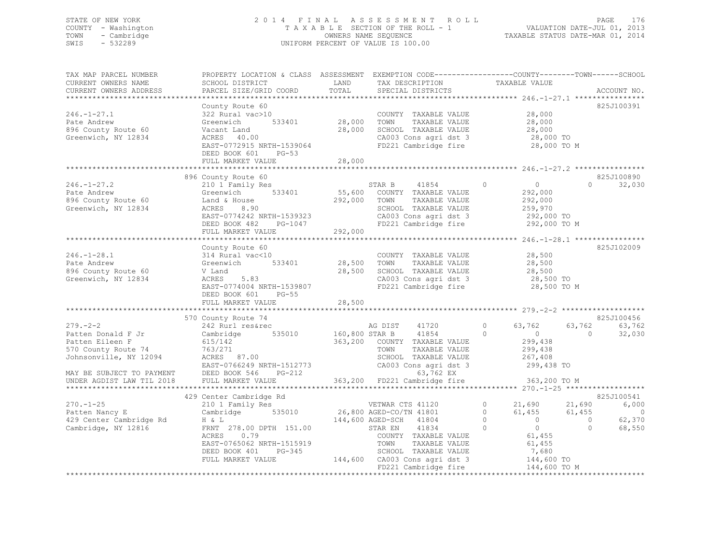### STATE OF NEW YORK 2 0 1 4 F I N A L A S S E S S M E N T R O L L PAGE 176 COUNTY - Washington T A X A B L E SECTION OF THE ROLL - 1 VALUATION DATE-JUL 01, 2013 TOWN - Cambridge OWNERS NAME SEQUENCE TAXABLE STATUS DATE-MAR 01, 2014 SWIS - 532289 UNIFORM PERCENT OF VALUE IS 100.00

| TAX MAP PARCEL NUMBER<br>CURRENT OWNERS NAME<br>CURRENT OWNERS ADDRESS                                   | PROPERTY LOCATION & CLASS ASSESSMENT EXEMPTION CODE----------------COUNTY-------TOWN-----SCHOOL<br>SCHOOL DISTRICT<br>PARCEL SIZE/GRID COORD                                                                                | LAND<br>TOTAL                             | TAX DESCRIPTION<br>SPECIAL DISTRICTS                                                                                                                                                                                  | TAXABLE VALUE                                                                                                                                         | ACCOUNT NO.                                                                     |
|----------------------------------------------------------------------------------------------------------|-----------------------------------------------------------------------------------------------------------------------------------------------------------------------------------------------------------------------------|-------------------------------------------|-----------------------------------------------------------------------------------------------------------------------------------------------------------------------------------------------------------------------|-------------------------------------------------------------------------------------------------------------------------------------------------------|---------------------------------------------------------------------------------|
| $246. - 1 - 27.1$<br>Pate Andrew<br>896 County Route 60<br>Greenwich, NY 12834                           | County Route 60<br>322 Rural vac>10<br>Greenwich<br>533401<br>Vacant Land<br>ACRES 40.00<br>EAST-0772915 NRTH-1539064<br>DEED BOOK 601 PG-53<br>FULL MARKET VALUE                                                           | 28,000<br>28,000<br>28,000                | COUNTY TAXABLE VALUE<br>TOWN<br>TAXABLE VALUE<br>SCHOOL TAXABLE VALUE<br>CA003 Cons agri dst 3<br>FD221 Cambridge fire                                                                                                | 28,000<br>28,000<br>28,000<br>$28,000$ To<br>28,000 TO M                                                                                              | 825J100391                                                                      |
|                                                                                                          |                                                                                                                                                                                                                             |                                           |                                                                                                                                                                                                                       |                                                                                                                                                       |                                                                                 |
| $246. - 1 - 27.2$<br>Pate Andrew<br>896 County Route 60 Land & House<br>Greenwich, NY 12834              | 896 County Route 60<br>210 1 Family Res<br>Greenwich 533401<br>8.90<br>ACRES<br>EAST-0774242 NRTH-1539323<br>DEED BOOK 482<br>PG-1047<br>FULL MARKET VALUE                                                                  | 292,000 TOWN<br>292,000                   | STAR B 41854<br>55,600 COUNTY TAXABLE VALUE<br>41854<br>TAXABLE VALUE<br>SCHOOL TAXABLE VALUE<br>CA003 Cons agri dst 3<br>FD221 Cambridge fire                                                                        | $\Omega$<br>$\overline{0}$<br>292,000<br>292,000<br>259,970<br>292,000 TO<br>292,000 TO M                                                             | 825J100890<br>$0 \qquad \qquad$<br>32,030                                       |
|                                                                                                          |                                                                                                                                                                                                                             |                                           |                                                                                                                                                                                                                       |                                                                                                                                                       | 825J102009                                                                      |
| $246. - 1 - 28.1$<br>Pate Andrew<br>896 County Route 60<br>Greenwich, NY 12834                           | County Route 60<br>314 Rural vac<10<br>Greenwich 533401<br>V Land<br>5.83<br>ACRES<br>EAST-0774004 NRTH-1539807<br>DEED BOOK 601 PG-55<br>FULL MARKET VALUE                                                                 | COUNTY<br>28,500 TOWN<br>28,500<br>28,500 | COUNTY TAXABLE VALUE<br>TAXABLE VALUE<br>SCHOOL TAXABLE VALUE<br>CA003 Cons agri dst 3<br>FD221 Cambridge fire                                                                                                        | 28,500<br>28,500<br>28,500<br>28,500 TO<br>28,500 TO M                                                                                                |                                                                                 |
|                                                                                                          |                                                                                                                                                                                                                             |                                           |                                                                                                                                                                                                                       |                                                                                                                                                       |                                                                                 |
| $279. - 2 - 2$<br>Patten Donald F Jr<br>Patten Eileen F<br>570 County Route 74<br>Johnsonville, NY 12094 | 570 County Route 74<br>242 Rurl res&rec<br>Cambridge 535010<br>615/142<br>763/271<br>ACRES 87.00<br>EAST-0766249 NRTH-1512773<br>DEED BOOK 546<br>PG-212                                                                    |                                           | AG DIST<br>41720<br>160,800 STAR B 41854<br>363,200 COUNTY TAXABLE VALUE<br>TOWN<br>TAXABLE VALUE<br>SCHOOL TAXABLE VALUE<br>CA003 Cons agri dst 3<br>63,762 EX                                                       | $\circ$<br>63,762<br>$\sim$ 0 $\sim$<br>$\overline{0}$<br>299,438<br>299,438<br>267,408<br>299,438 TO                                                 | 825J100456<br>63,762<br>63,762<br>$\overline{0}$<br>32,030                      |
| MAY BE SUBJECT TO PAYMENT<br>UNDER AGDIST LAW TIL 2018                                                   | FULL MARKET VALUE                                                                                                                                                                                                           |                                           | 363,200 FD221 Cambridge fire                                                                                                                                                                                          | 363,200 TO M                                                                                                                                          |                                                                                 |
|                                                                                                          |                                                                                                                                                                                                                             |                                           |                                                                                                                                                                                                                       |                                                                                                                                                       |                                                                                 |
| $270. - 1 - 25$<br>Patten Nancy E<br>429 Center Cambridge Rd<br>Cambridge, NY 12816                      | 429 Center Cambridge Rd<br>210 1 Family Res<br>Cambridge 535010 26,800 AGED-CO/TN 41801<br>H & L<br>FRNT 278.00 DPTH 151.00<br>ACRES<br>0.79<br>EAST-0765062 NRTH-1515919<br>DEED BOOK 401<br>$PG-345$<br>FULL MARKET VALUE |                                           | VETWAR CTS 41120<br>144,600 AGED-SCH 41804<br>STAR EN 41834<br>COUNTY TAXABLE VALUE<br>TOWN<br>TAXABLE VALUE<br>SCHOOL TAXABLE VALUE<br>144,600 CA003 Cons agri dst 3 144,600 TO<br>FD221 Cambridge fire 144,600 TO M | $\overline{0}$<br>21,690 21,690<br>$\circ$<br>61,455 61,455<br>$\bigcirc$<br>$\overline{0}$<br>$\circ$<br>$\overline{0}$<br>61,455<br>61,455<br>7,680 | 825J100541<br>6,000<br>$\circ$<br>$\overline{0}$<br>62,370<br>$\circ$<br>68,550 |
|                                                                                                          |                                                                                                                                                                                                                             |                                           |                                                                                                                                                                                                                       |                                                                                                                                                       |                                                                                 |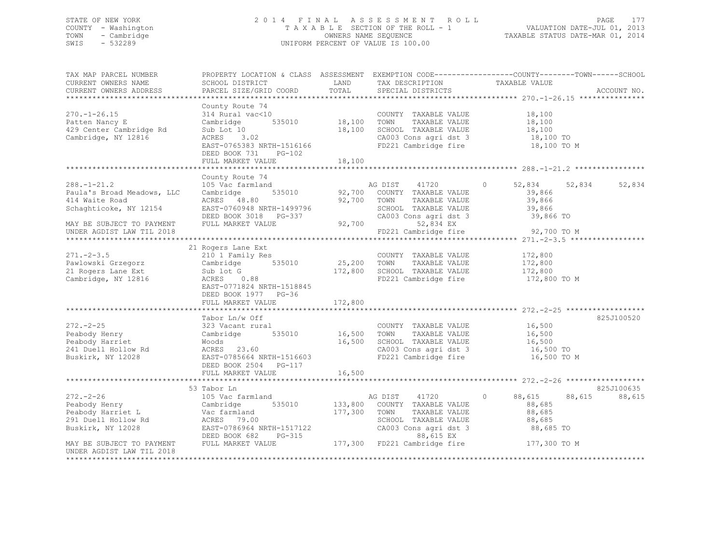### STATE OF NEW YORK 2 0 1 4 F I N A L A S S E S S M E N T R O L L PAGE 177 COUNTY - Washington T A X A B L E SECTION OF THE ROLL - 1 VALUATION DATE-JUL 01, 2013 TOWN - Cambridge OWNERS NAME SEQUENCE TAXABLE STATUS DATE-MAR 01, 2014 SWIS - 532289 UNIFORM PERCENT OF VALUE IS 100.00

| TAX MAP PARCEL NUMBER<br>CURRENT OWNERS NAME<br>CURRENT OWNERS ADDRESS                                                                                                                        | SCHOOL DISTRICT<br>PARCEL SIZE/GRID COORD                                                                                                                                                             | LAND<br>TOTAL                               | TAX DESCRIPTION<br>SPECIAL DISTRICTS                                                                                           | PROPERTY LOCATION & CLASS ASSESSMENT EXEMPTION CODE---------------COUNTY-------TOWN-----SCHOOL<br>TAXABLE VALUE                     | ACCOUNT NO.          |
|-----------------------------------------------------------------------------------------------------------------------------------------------------------------------------------------------|-------------------------------------------------------------------------------------------------------------------------------------------------------------------------------------------------------|---------------------------------------------|--------------------------------------------------------------------------------------------------------------------------------|-------------------------------------------------------------------------------------------------------------------------------------|----------------------|
| $270. - 1 - 26.15$<br>Patten Nancy E<br>429 Center Cambridge Rd<br>Cambridge, NY 12816                                                                                                        | County Route 74<br>314 Rural vac<10<br>Cambridge 535010 18,100<br>Sub Lot 10<br>ACRES 3.02<br>EAST-0765383 NRTH-1516166<br>DEED BOOK 731<br>$PG-102$<br>FULL MARKET VALUE<br>************************ | 18,100<br>18,100<br>* * * * * * * * * * * * | COUNTY TAXABLE VALUE<br>TOWN<br>TAXABLE VALUE<br>SCHOOL TAXABLE VALUE<br>CA003 Cons agri dst 3<br>FD221 Cambridge fire         | 18,100<br>$\frac{10}{18}, \frac{100}{10}$<br>18,100 TO<br>18,100 TO M<br>*********************************** 288.-1-21.2 ********** |                      |
| $288. - 1 - 21.2$<br>Paula's Broad Meadows, LLC<br>414 Waite Road<br>Schaghticoke, NY 12154<br>MAY BE SUBJECT TO PAYMENT<br>UNDER AGDIST LAW TIL 2018                                         | County Route 74<br>105 Vac farmland<br>Cambridge<br>535010<br>ACRES 48.80<br>EAST-0760948 NRTH-1499796<br>DEED BOOK 3018 PG-337<br>FULL MARKET VALUE                                                  | 92,700 TOWN<br>92,700                       | AG DIST 41720<br>92,700 COUNTY TAXABLE VALUE<br>TAXABLE VALUE<br>SCHOOL TAXABLE VALUE<br>52,834 EX<br>FD221 Cambridge fire     | $\circ$<br>52,834 52,834<br>39,866<br>39,866<br>39,866<br>CA003 Cons agri dst 3 39,866 TO<br>92,700 TO M                            | 52,834               |
| $271 - 2 - 3.5$<br>Pawlowski Grzegorz<br>21 Rogers Lane Ext<br>Cambridge, NY 12816                                                                                                            | 21 Rogers Lane Ext<br>210 1 Family Res<br>535010<br>Cambridge<br>Sub lot G<br>ACRES 0.88<br>EAST-0771824 NRTH-1518845<br>DEED BOOK 1977 PG-36<br>FULL MARKET VALUE                                    | 25,200 TOWN<br>172,800<br>172,800           | COUNTY TAXABLE VALUE<br>TAXABLE VALUE<br>SCHOOL TAXABLE VALUE                                                                  | 172,800<br>172,800<br>172,800<br>FD221 Cambridge fire 172,800 TO M                                                                  |                      |
| $272 - 2 - 25$<br>Peabody Henry<br>Peabody Harriet<br>241 Duell Hollow Rd<br>Buskirk, NY 12028                                                                                                | Tabor Ln/w Off<br>323 Vacant rural<br>Cambridge<br>Woods<br>ACRES 23.60<br>EAST-0785664 NRTH-1516603<br>DEED BOOK 2504 PG-117<br>FULL MARKET VALUE<br>********************************                | 535010 16,500 TOWN<br>16,500<br>16,500      | COUNTY TAXABLE VALUE<br>TAXABLE VALUE<br>SCHOOL TAXABLE VALUE<br>CA003 Cons agri dst 3<br>FD221 Cambridge fire                 | 16,500<br>16,500<br>16,500<br>16,500 TO<br>16,500 TO M                                                                              | 825J100520           |
| $272 - 2 - 26$<br>Peabody Henry<br>Peabody Harriet L<br>291 Duell Hollow Rd<br>Buskirk, NY 12028<br>DEED BOOK 682<br>MAY BE SUBJECT TO PAYMENT FULL MARKET VALUE<br>UNDER AGDIST LAW TIL 2018 | 53 Tabor Ln<br>105 Vac farmland<br>Cambridge<br>Vac farmland<br>ACRES 79.00<br>EAST-0786964 NRTH-1517122<br>PG-315                                                                                    | 535010 133,800<br>177,300                   | AG DIST 41720 0<br>COUNTY TAXABLE VALUE<br>TOWN<br>TAXABLE VALUE<br>SCHOOL TAXABLE VALUE<br>CA003 Cons agri dst 3<br>88,615 EX | 88,615<br>88,615<br>88,685<br>88,685<br>88,685<br>88,685 TO<br>177,300 FD221 Cambridge fire 177,300 TO M                            | 825J100635<br>88,615 |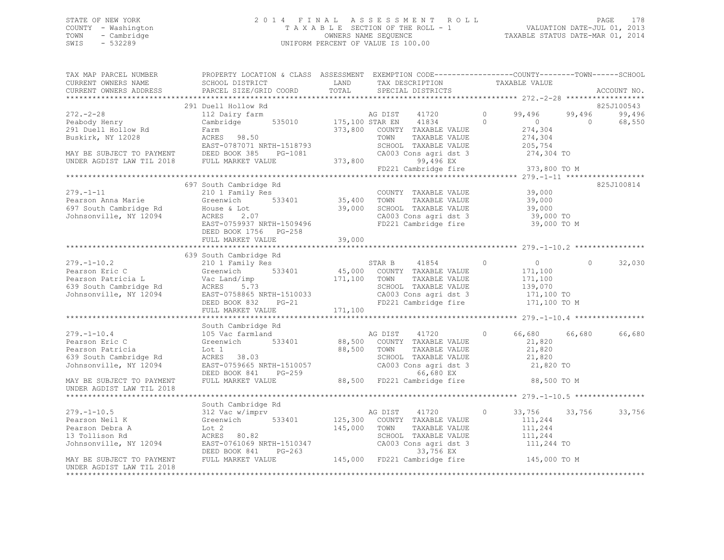## STATE OF NEW YORK PAGE 178<br>COUNTY - Washington 1 2013<br>2013, 2013 2014 TAXABLE SECTION OF THE ROLL - 1 COUNTY - Washington  $T A X A B L E$  SECTION OF THE ROLL - 1<br>TOWN - Cambridge  $\sim$  000NERS NAME SEQUENCE TOWN - Cambridge OWNERS NAME SEQUENCE TAXABLE STATUS DATE-MAR 01, 2014 UNIFORM PERCENT OF VALUE IS 100.00

| TAX MAP PARCEL NUMBER<br>CURRENT OWNERS NAME<br>CURRENT OWNERS ADDRESS                                                                        | PROPERTY LOCATION & CLASS ASSESSMENT EXEMPTION CODE---------------COUNTY-------TOWN-----SCHOOL<br>SCHOOL DISTRICT<br>PARCEL SIZE/GRID COORD                                                                                                                                             | LAND<br>TOTAL                     | TAX DESCRIPTION TAXABLE VALUE SPECIAL DISTRICTS                                                                                                                            |                           |                                                                               |                      | ACCOUNT NO.                    |
|-----------------------------------------------------------------------------------------------------------------------------------------------|-----------------------------------------------------------------------------------------------------------------------------------------------------------------------------------------------------------------------------------------------------------------------------------------|-----------------------------------|----------------------------------------------------------------------------------------------------------------------------------------------------------------------------|---------------------------|-------------------------------------------------------------------------------|----------------------|--------------------------------|
|                                                                                                                                               |                                                                                                                                                                                                                                                                                         |                                   |                                                                                                                                                                            |                           |                                                                               |                      |                                |
| $272. - 2 - 28$<br>Peabody Henry<br>291 Duell Hollow Rd<br>Buskirk, NY 12028                                                                  | 291 Duell Hollow Rd<br>112 Dairy farm<br>Cambridge<br>Cambr<br>Farm<br>ACRES 98.50<br>EAST-0797071                                                                                                                                                                                      | AG DIST<br>535010 175,100 STAR EN | 41720<br>41834<br>373,800 COUNTY TAXABLE VALUE<br>TOWN<br>TAXABLE VALUE<br>SCHOOL TAXABLE VALUE                                                                            | $\overline{0}$<br>$\circ$ | 99,496<br>$\sim$ 0<br>274,304<br>274,304<br>205,754                           | 99,496<br>$\bigcirc$ | 825J100543<br>99,496<br>68,550 |
|                                                                                                                                               | EAST-0787071 NRTH-1518793<br>MAY BE SUBJECT TO PAYMENT DEED BOOK 385 PG-1081<br>UNDER AGDIST LAW TIL 2018 FULL MARKET VALUE<br>PG-1081 CA003<br>LUE 373,800 EP221                                                                                                                       |                                   | CA003 Cons agri dst 3<br>99,496 EX<br>$55,450$ $\mu$                                                                                                                       |                           | 274,304 TO<br>373,800 TO M                                                    |                      |                                |
|                                                                                                                                               |                                                                                                                                                                                                                                                                                         |                                   |                                                                                                                                                                            |                           |                                                                               |                      |                                |
| $279. - 1 - 11$<br>Pearson Anna Marie<br>697 South Cambridge Rd<br>5087 South Cambridge Rd<br>508882.000 Monsonville, NY 12094<br>2.000 MCRES | 697 South Cambridge Rd<br>210 1 Family Res<br>2.07<br>EAST-0759937 NRTH-1509496<br>DEED BOOK 1756 PG-258                                                                                                                                                                                | 533401 35,400<br>39,000           | COUNTY TAXABLE VALUE<br>TAXABLE VALUE<br>TOWN<br>SCHOOL TAXABLE VALUE<br>CA003 Cons agri dst 3<br>FD221 Cambridge fire                                                     |                           | 39,000<br>39,000<br>39,000<br>39,000 TO<br>39,000 TO M                        |                      | 825J100814                     |
|                                                                                                                                               | FULL MARKET VALUE                                                                                                                                                                                                                                                                       | 39,000                            |                                                                                                                                                                            |                           |                                                                               |                      |                                |
|                                                                                                                                               |                                                                                                                                                                                                                                                                                         |                                   |                                                                                                                                                                            |                           |                                                                               |                      |                                |
|                                                                                                                                               | 639 South Cambridge Rd<br>279.-1-10.2<br>Pearson Eric C<br>Pearson Patricia L<br>639 South Cambridge Rd<br>Johnsonville, NY 12094<br>EAST-0758865 NRTH-1510033<br>DEED BOOK 832 PG-21<br>FULL MARKET VALUE                                                                              | 171,100                           | STAR B 41854<br>533401 45,000 COUNTY TAXABLE VALUE<br>171,100 TOWN TAXABLE VALUE<br>TAXABLE VALUE<br>SCHOOL TAXABLE VALUE<br>CA003 Cons agri dst 3<br>FD221 Cambridge fire | $\circ$                   | $\overline{0}$<br>171,100<br>171,100<br>139,070<br>171,100 TO<br>171,100 TO M | $\circ$              | 32,030                         |
|                                                                                                                                               |                                                                                                                                                                                                                                                                                         |                                   |                                                                                                                                                                            |                           |                                                                               |                      |                                |
| $279. -1 - 10.4$<br>Pearson Eric C<br>Pearson Patricia<br>639 South Cambridge Rd<br>Johnsonville, NY 12094                                    | South Cambridge Rd<br>105 Vac farmland<br>Greenwich<br>Lot 1<br>533401<br>ACRES 38.03<br>ACRES 38.03<br>ACKES 38.03<br>EAST-0759665 NRTH-1510057 CA003 Cons agridst 3 21,820 TO<br>DEED BOOK 841 PG-259 68,500 FD221 Cambridge fire 88,500 TO M                                         |                                   | AG DIST 41720<br>88,500 COUNTY TAXABLE VALUE<br>88,500 TOWN<br>TAXABLE VALUE<br>SCHOOL TAXABLE VALUE                                                                       | $\circ$                   | 66,680<br>21,820<br>21,820<br>21,820                                          | 66,680               | 66,680                         |
| MAY BE SUBJECT TO PAYMENT<br>UNDER AGDIST LAW TIL 2018                                                                                        |                                                                                                                                                                                                                                                                                         |                                   |                                                                                                                                                                            |                           |                                                                               |                      |                                |
|                                                                                                                                               |                                                                                                                                                                                                                                                                                         |                                   |                                                                                                                                                                            |                           |                                                                               |                      |                                |
| $279. - 1 - 10.5$<br>Pearson Neil K<br>Pearson Debra A<br>13 Tollison Rd<br>Johnsonville, NY 12094                                            | South Cambridge Rd<br>312 Vac w/imprv<br>312 Vac w/:<br>Greenwich<br>Lot 2<br>ACRES 80.82<br>EAST-0761069 NRTH-1510347<br>EAST-0761069 NRTH-1510347 (20003 Cons agri dst 3 111,244 TO<br>DEED BOOK 841 PG-263 (33,756 EX<br>FULL MARKET VALUE 145,000 FD221 Cambridge fire 145,000 TO M | 533401 125,300<br>145,000 TOWN    | 41720<br>AG DIST<br>COUNTY TAXABLE VALUE<br>TAXABLE VALUE<br>SCHOOL TAXABLE VALUE<br>CA003 Cons agri dst 3                                                                 | $\circ$                   | 33,756<br>111,244<br>111,244<br>111,244                                       |                      | 33,756 33,756                  |
| MAY BE SUBJECT TO PAYMENT<br>UNDER AGDIST LAW TIL 2018<br>********************                                                                |                                                                                                                                                                                                                                                                                         |                                   |                                                                                                                                                                            |                           |                                                                               |                      |                                |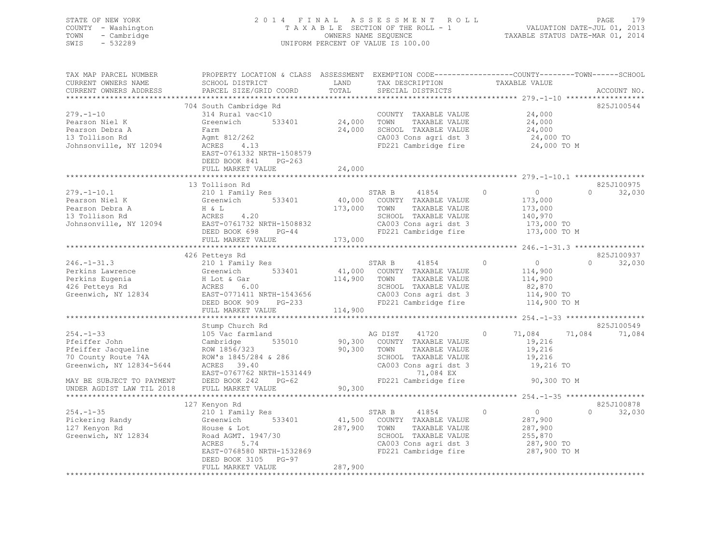| 2014 FINAL ASSESSMENT ROLL<br>STATE OF NEW YORK<br>PAGE                               | 179 |
|---------------------------------------------------------------------------------------|-----|
| VALUATION DATE-JUL 01, 2013<br>COUNTY - Washington<br>TAXABLE SECTION OF THE ROLL - 1 |     |
| TAXABLE STATUS DATE-MAR 01, 2014<br>TOWN - Cambridge<br>OWNERS NAME SEOUENCE          |     |
| UNIFORM PERCENT OF VALUE IS 100.00<br>SWIS<br>- 532289                                |     |

| TAX MAP PARCEL NUMBER                                                                        | PROPERTY LOCATION & CLASS ASSESSMENT EXEMPTION CODE----------------COUNTY-------TOWN-----SCHOOL                                                                                                                                        |              |                                                                     |                  |                             |
|----------------------------------------------------------------------------------------------|----------------------------------------------------------------------------------------------------------------------------------------------------------------------------------------------------------------------------------------|--------------|---------------------------------------------------------------------|------------------|-----------------------------|
| CURRENT OWNERS NAME                                                                          | SCHOOL DISTRICT                                                                                                                                                                                                                        | LAND         | TAX DESCRIPTION                                                     | TAXABLE VALUE    |                             |
| CURRENT OWNERS ADDRESS                                                                       | PARCEL SIZE/GRID COORD                                                                                                                                                                                                                 | TOTAL        | SPECIAL DISTRICTS                                                   |                  | ACCOUNT NO.                 |
|                                                                                              |                                                                                                                                                                                                                                        |              |                                                                     |                  |                             |
|                                                                                              | 704 South Cambridge Rd                                                                                                                                                                                                                 |              |                                                                     |                  | 825J100544                  |
| $279. - 1 - 10$                                                                              | South Cansel 24,000 TOWN<br>314 Rural vac<10 533401 24,000 TOWN<br>24,000 SCHOC 24,000 2400                                                                                                                                            |              | COUNTY TAXABLE VALUE 24,000                                         |                  |                             |
| Pearson Niel K                                                                               |                                                                                                                                                                                                                                        |              |                                                                     |                  |                             |
| Pearson Debra A                                                                              |                                                                                                                                                                                                                                        |              |                                                                     |                  |                             |
|                                                                                              |                                                                                                                                                                                                                                        |              |                                                                     |                  |                             |
| 13 Tollison Rd<br>13 Tollison Rd<br>Johnsonville, NY 12094 ACRES                             | Farm<br>Agmt 812/262<br>ACRES 4.13                                                                                                                                                                                                     |              | CA003 Cons agri dst 3 24,000 TO<br>FD221 Cambridge fire 24,000 TO M |                  |                             |
|                                                                                              |                                                                                                                                                                                                                                        |              |                                                                     |                  |                             |
|                                                                                              | EAST-0761332 NRTH-1508579                                                                                                                                                                                                              |              |                                                                     |                  |                             |
|                                                                                              | DEED BOOK 841<br>PG-263                                                                                                                                                                                                                |              |                                                                     |                  |                             |
|                                                                                              | FULL MARKET VALUE                                                                                                                                                                                                                      | 24,000       |                                                                     |                  |                             |
|                                                                                              |                                                                                                                                                                                                                                        |              |                                                                     |                  |                             |
|                                                                                              | 13 Tollison Rd                                                                                                                                                                                                                         |              |                                                                     |                  | 825J100975                  |
|                                                                                              |                                                                                                                                                                                                                                        |              |                                                                     |                  | $\Omega$<br>32,030          |
|                                                                                              |                                                                                                                                                                                                                                        |              |                                                                     |                  |                             |
|                                                                                              |                                                                                                                                                                                                                                        |              |                                                                     |                  |                             |
|                                                                                              |                                                                                                                                                                                                                                        |              |                                                                     |                  |                             |
|                                                                                              |                                                                                                                                                                                                                                        |              |                                                                     |                  |                             |
|                                                                                              |                                                                                                                                                                                                                                        |              |                                                                     |                  |                             |
|                                                                                              |                                                                                                                                                                                                                                        |              |                                                                     |                  |                             |
|                                                                                              |                                                                                                                                                                                                                                        |              |                                                                     |                  |                             |
|                                                                                              |                                                                                                                                                                                                                                        |              |                                                                     |                  | 825J100937                  |
|                                                                                              |                                                                                                                                                                                                                                        |              |                                                                     |                  |                             |
|                                                                                              |                                                                                                                                                                                                                                        |              |                                                                     | $0$<br>114,900   | $0 \qquad \qquad$<br>32,030 |
|                                                                                              | 246.-1-31.3<br>Perkins Lawrence (210 1 Family Res STAR B 41854 0<br>Perkins Lawrence (210 1 Family Res 41,000 COUNTY TAXABLE VALUE 114,900<br>Perkins Eugenia H Lot & Gar 114,900 TOWN TAXABLE VALUE 114,900<br>426 Petteys Rd ACRES 6 |              |                                                                     |                  |                             |
|                                                                                              |                                                                                                                                                                                                                                        |              |                                                                     |                  |                             |
|                                                                                              |                                                                                                                                                                                                                                        |              |                                                                     |                  |                             |
|                                                                                              |                                                                                                                                                                                                                                        |              |                                                                     |                  |                             |
|                                                                                              |                                                                                                                                                                                                                                        |              |                                                                     |                  |                             |
|                                                                                              | FULL MARKET VALUE                                                                                                                                                                                                                      | 114,900      |                                                                     |                  |                             |
|                                                                                              |                                                                                                                                                                                                                                        |              |                                                                     |                  |                             |
|                                                                                              |                                                                                                                                                                                                                                        |              |                                                                     |                  | 825J100549                  |
|                                                                                              |                                                                                                                                                                                                                                        |              | AG DIST 41720 0 71,084 71,084<br>90,300 COUNTY TAXABLE VALUE 19,216 |                  | 71,084                      |
|                                                                                              |                                                                                                                                                                                                                                        |              |                                                                     |                  |                             |
|                                                                                              |                                                                                                                                                                                                                                        |              |                                                                     |                  |                             |
|                                                                                              |                                                                                                                                                                                                                                        |              |                                                                     | 19,216<br>19,216 |                             |
|                                                                                              |                                                                                                                                                                                                                                        |              | CA003 Cons agri dst 3 19,216 TO                                     |                  |                             |
|                                                                                              |                                                                                                                                                                                                                                        |              |                                                                     |                  |                             |
|                                                                                              |                                                                                                                                                                                                                                        |              |                                                                     | 90,300 TO M      |                             |
|                                                                                              |                                                                                                                                                                                                                                        |              |                                                                     |                  |                             |
|                                                                                              |                                                                                                                                                                                                                                        |              |                                                                     |                  |                             |
|                                                                                              |                                                                                                                                                                                                                                        |              |                                                                     |                  |                             |
|                                                                                              | 127 Kenyon Rd<br>$210$ 1 Family Res                                                                                                                                                                                                    |              |                                                                     | $\overline{0}$   | 825J100878                  |
| $254. - 1 - 35$                                                                              |                                                                                                                                                                                                                                        |              | STAR B 41854 0                                                      |                  | $0 \t 32,030$               |
| Pickering Randy<br>127 Kenyon Rd<br>127 Kenyon Rd<br>Greenwich, NY 12834<br>Road AGMT. 1947/ |                                                                                                                                                                                                                                        |              | 533401 41,500 COUNTY TAXABLE VALUE 287,900                          |                  |                             |
|                                                                                              |                                                                                                                                                                                                                                        | 287,900 TOWN | TAXABLE VALUE                                                       | 287,900          |                             |
|                                                                                              | Road AGMT. 1947/30                                                                                                                                                                                                                     |              |                                                                     |                  |                             |
|                                                                                              | ACRES<br>5.74                                                                                                                                                                                                                          |              | SCHOOL TAXABLE VALUE 255,870<br>CA003 Cons agri dst 3 287,900 TO    |                  |                             |
|                                                                                              | $\frac{1}{20}, \frac{1}{200}$ $\frac{20}{200}$ NRTH-1532869<br>TD221 Cambridge fire 287,900 TO M                                                                                                                                       |              |                                                                     |                  |                             |
|                                                                                              | DEED BOOK 3105 PG-97                                                                                                                                                                                                                   |              |                                                                     |                  |                             |
|                                                                                              | FULL MARKET VALUE                                                                                                                                                                                                                      | 287,900      |                                                                     |                  |                             |
|                                                                                              |                                                                                                                                                                                                                                        |              |                                                                     |                  |                             |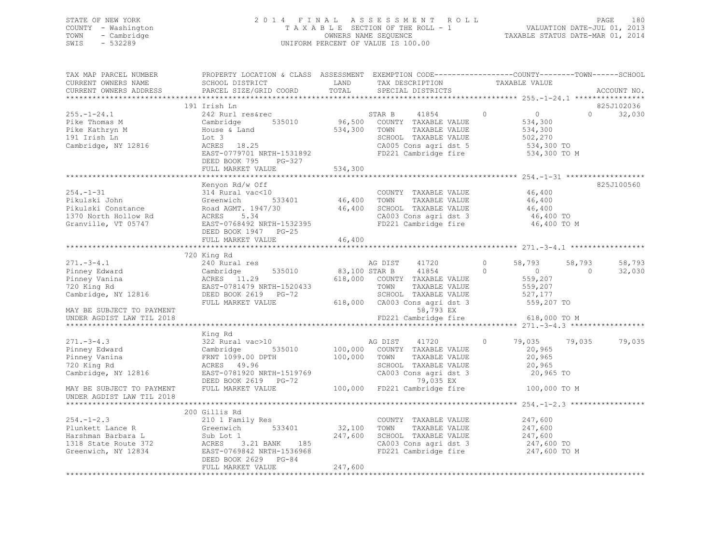### STATE OF NEW YORK 2 0 1 4 F I N A L A S S E S S M E N T R O L L PAGE 180 COUNTY - Washington T A X A B L E SECTION OF THE ROLL - 1 VALUATION DATE-JUL 01, 2013 TOWN - Cambridge OWNERS NAME SEQUENCE TAXABLE STATUS DATE-MAR 01, 2014 SWIS - 532289 UNIFORM PERCENT OF VALUE IS 100.00

| TAX MAP PARCEL NUMBER<br>CURRENT OWNERS NAME<br>CURRENT OWNERS ADDRESS | PROPERTY LOCATION & CLASS ASSESSMENT EXEMPTION CODE----------------COUNTY-------TOWN-----SCHOOL<br>SCHOOL DISTRICT<br>PARCEL SIZE/GRID COORD                                                                                                                 | LAND<br>TOTAL | TAX DESCRIPTION<br>SPECIAL DISTRICTS                                 |         | TAXABLE VALUE                 |            | ACCOUNT NO.          |
|------------------------------------------------------------------------|--------------------------------------------------------------------------------------------------------------------------------------------------------------------------------------------------------------------------------------------------------------|---------------|----------------------------------------------------------------------|---------|-------------------------------|------------|----------------------|
|                                                                        |                                                                                                                                                                                                                                                              |               |                                                                      |         |                               |            |                      |
| $255. - 1 - 24.1$                                                      | 191 Irish Ln<br>242 Rurl res&rec                                                                                                                                                                                                                             |               | $\sim$ 0<br>STAR B<br>41854                                          |         | $\overline{0}$                | $\Omega$   | 825J102036<br>32,030 |
| Pike Thomas M<br>Pike Kathryn M<br>191 Irish Ln                        | 535010<br>Cambridge<br>House & Land<br>Lot 3                                                                                                                                                                                                                 | 534,300 TOWN  | 96,500 COUNTY TAXABLE VALUE<br>TAXABLE VALUE<br>SCHOOL TAXABLE VALUE |         | 534,300<br>534,300<br>502,270 |            |                      |
| Cambridge, NY 12816                                                    | ACRES 18.25<br>EAST-0779701 NRTH-1531892<br>DEED BOOK 795 PG-327                                                                                                                                                                                             |               | CA005 Cons agri dst 5<br>FD221 Cambridge fire                        |         | 534,300 TO<br>534,300 TO M    |            |                      |
|                                                                        | FULL MARKET VALUE                                                                                                                                                                                                                                            | 534,300       |                                                                      |         |                               |            |                      |
|                                                                        | Kenyon Rd/w Off                                                                                                                                                                                                                                              |               |                                                                      |         |                               |            | 825J100560           |
|                                                                        |                                                                                                                                                                                                                                                              |               |                                                                      |         | 46,400                        |            |                      |
|                                                                        |                                                                                                                                                                                                                                                              |               |                                                                      |         | $46,400$<br>$46,400$          |            |                      |
|                                                                        |                                                                                                                                                                                                                                                              |               |                                                                      |         |                               |            |                      |
|                                                                        |                                                                                                                                                                                                                                                              |               |                                                                      |         | 46,400 TO                     |            |                      |
|                                                                        | 254.-1-31 EXPLEMENT MAY A MOTH COUNTY TAXABLE VALUE<br>Pikulski John Greenwich 533401 46,400 TOWN TAXABLE VALUE<br>Pikulski Constance Road AGMT. 1947/30 46,400 SCHOOL TAXABLE VALUE<br>1370 North Hollow Rd ACRES 5.34 CA003 Cons a<br>DEED BOOK 1947 PG-25 |               |                                                                      |         | 46,400 TO M                   |            |                      |
|                                                                        | FULL MARKET VALUE                                                                                                                                                                                                                                            | 46,400        |                                                                      |         |                               |            |                      |
|                                                                        | 720 King Rd                                                                                                                                                                                                                                                  |               |                                                                      |         |                               |            |                      |
| $271 - 3 - 4.1$                                                        |                                                                                                                                                                                                                                                              |               | AG DIST 41720                                                        | $\circ$ | 58,793                        | 58,793     | 58,793               |
|                                                                        | 535010                                                                                                                                                                                                                                                       |               | 83,100 STAR B 41854<br>$\overline{0}$                                |         | $\sim$ 0                      | $\bigcirc$ | 32,030               |
|                                                                        | - 10 Rural res<br>Cambridge<br>ACRES 11.29<br>EAST-07011-                                                                                                                                                                                                    |               | 618,000 COUNTY TAXABLE VALUE                                         |         | 559,207                       |            |                      |
|                                                                        |                                                                                                                                                                                                                                                              |               |                                                                      |         | 559,207                       |            |                      |
|                                                                        |                                                                                                                                                                                                                                                              |               | TOWN      TAXABLE VALUE<br>SCHOOL   TAXABLE VALUE                    |         | 527,177                       |            |                      |
|                                                                        | FULL MARKET VALUE                                                                                                                                                                                                                                            |               | 618,000 CA003 Cons agri dst 3                                        |         | 559,207 TO                    |            |                      |
| MAY BE SUBJECT TO PAYMENT                                              |                                                                                                                                                                                                                                                              |               | 58,793 EX                                                            |         |                               |            |                      |
| UNDER AGDIST LAW TIL 2018                                              |                                                                                                                                                                                                                                                              |               | FD221 Cambridge fire                                                 |         | 618,000 TO M                  |            |                      |
|                                                                        |                                                                                                                                                                                                                                                              |               |                                                                      |         |                               |            |                      |
| $271 - 3 - 4.3$                                                        | King Rd<br>322 Rural vac>10                                                                                                                                                                                                                                  |               | 41720<br>AG DIST                                                     | $\circ$ | 79,035 79,035                 |            | 79,035               |
| Pinney Edward                                                          |                                                                                                                                                                                                                                                              |               | 100,000 COUNTY TAXABLE VALUE                                         |         | 20,965                        |            |                      |
| Pinney Vanina                                                          | Cambridge 535010                                                                                                                                                                                                                                             |               | TAXABLE VALUE                                                        |         | 20,965                        |            |                      |
| 720 King Rd                                                            | FRNT 1099.00 DPTH 100,000 TOWN<br>ACRES 49.96 SCHOO<br>ACRES 49.96                                                                                                                                                                                           |               | SCHOOL TAXABLE VALUE                                                 |         | 20,965                        |            |                      |
|                                                                        | EAST-0781920 NRTH-1519769                                                                                                                                                                                                                                    |               | CA003 Cons agri dst 3                                                |         | 20,965 TO                     |            |                      |
| Cambridge, NY 12816                                                    | DEED BOOK 2619 PG-72                                                                                                                                                                                                                                         |               | 79,035 EX                                                            |         |                               |            |                      |
| MAY BE SUBJECT TO PAYMENT<br>UNDER AGDIST LAW TIL 2018                 | FULL MARKET VALUE                                                                                                                                                                                                                                            |               | 100,000 FD221 Cambridge fire                                         |         | 100,000 TO M                  |            |                      |
|                                                                        |                                                                                                                                                                                                                                                              |               |                                                                      |         |                               |            |                      |
|                                                                        | 200 Gillis Rd                                                                                                                                                                                                                                                |               |                                                                      |         |                               |            |                      |
| $254. -1 - 2.3$                                                        | 210 1 Family Res                                                                                                                                                                                                                                             |               | COUNTY TAXABLE VALUE 247,600                                         |         |                               |            |                      |
|                                                                        |                                                                                                                                                                                                                                                              | 32,100 TOWN   | TAXABLE VALUE                                                        |         | 247,600                       |            |                      |
|                                                                        |                                                                                                                                                                                                                                                              | 247,600       | SCHOOL TAXABLE VALUE                                                 |         | 247,600                       |            |                      |
|                                                                        |                                                                                                                                                                                                                                                              |               | CA003 Cons agri dst 3                                                |         | 247,600 TO                    |            |                      |
|                                                                        | Plunkett Lance R Greenwich 533401<br>Harshman Barbara L Sub Lot 1<br>1318 State Route 372 ACRES 3.21 BANK 185<br>Greenwich, NY 12834 EAST-0769842 NRTH-1536968<br>DEED BOOK 2629 PG-84                                                                       |               | FD221 Cambridge fire 247,600 TO M                                    |         |                               |            |                      |
|                                                                        | FULL MARKET VALUE                                                                                                                                                                                                                                            | 247,600       |                                                                      |         |                               |            |                      |
|                                                                        |                                                                                                                                                                                                                                                              |               |                                                                      |         |                               |            |                      |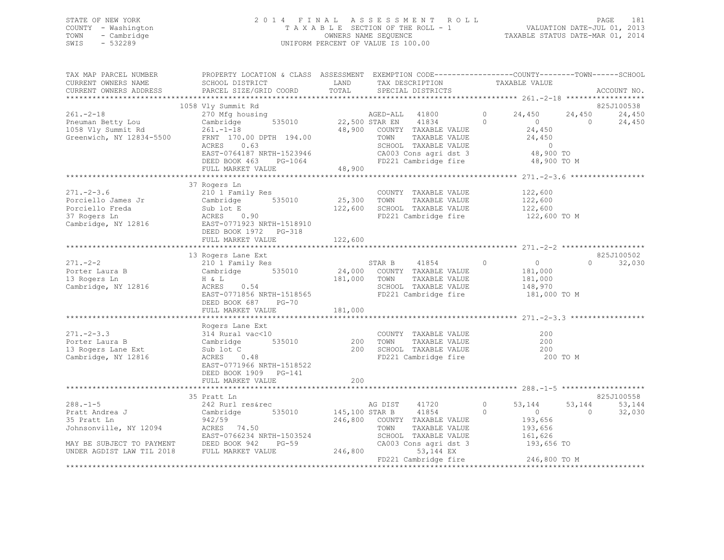## STATE OF NEW YORK 2 0 1 4 F I N A L A S S E S S M E N T R O L L PAGE 181 COUNTY - Washington T A X A B L E SECTION OF THE ROLL - 1 VALUATION DATE-JUL 01, 2013 TOWN - Cambridge OWNERS NAME SEQUENCE TAXABLE STATUS DATE-MAR 01, 2014 SWIS - 532289 UNIFORM PERCENT OF VALUE IS 100.00

| TAX MAP PARCEL NUMBER<br>CURRENT OWNERS NAME                                             | PROPERTY LOCATION & CLASS ASSESSMENT EXEMPTION CODE----------------COUNTY-------TOWN-----SCHOOL<br>SCHOOL DISTRICT                                                                                                                                                                    | LAND         | TAX DESCRIPTION                                                                                                                                  |                | TAXABLE VALUE                                               |                      |                      |
|------------------------------------------------------------------------------------------|---------------------------------------------------------------------------------------------------------------------------------------------------------------------------------------------------------------------------------------------------------------------------------------|--------------|--------------------------------------------------------------------------------------------------------------------------------------------------|----------------|-------------------------------------------------------------|----------------------|----------------------|
| CURRENT OWNERS ADDRESS                                                                   | PARCEL SIZE/GRID COORD                                                                                                                                                                                                                                                                | TOTAL        | SPECIAL DISTRICTS                                                                                                                                |                |                                                             |                      | ACCOUNT NO.          |
|                                                                                          | 1058 Vly Summit Rd                                                                                                                                                                                                                                                                    |              |                                                                                                                                                  |                |                                                             |                      | 825J100538           |
| $261 - 2 - 18$<br>Pneuman Betty Lou<br>1058 Vly Summit Rd<br>Greenwich, NY 12834-5500    | 270 Mfg housing the contract of AGED-ALL 41800 0 24,450<br>535010<br>Cambridge<br>$261. - 1 - 18$<br>FRNT 170.00 DPTH 194.00<br>ACRES 0.63<br>EAST-0764187 NRTH-1523946                                                                                                               |              | 22,500 STAR EN 41834<br>48,900 COUNTY TAXABLE VALUE<br>TOWN<br>TAXABLE VALUE<br>SCHOOL TAXABLE VALUE<br>CA003 Cons agri dst 3                    | $\overline{0}$ | $\overline{0}$<br>24,450<br>24,450<br>$\sim$ 0<br>48,900 TO | 24,450<br>$\bigcirc$ | 24,450<br>24,450     |
|                                                                                          | DEED BOOK 463<br>PG-1064<br>FULL MARKET VALUE                                                                                                                                                                                                                                         | 48,900       | FD221 Cambridge fire 48,900 TO M                                                                                                                 |                |                                                             |                      |                      |
|                                                                                          |                                                                                                                                                                                                                                                                                       |              |                                                                                                                                                  |                |                                                             |                      |                      |
| $271. - 2 - 3.6$                                                                         | 37 Rogers Ln<br>210 1 Family Res<br>Porciello James Jr (210 1 Family Res)<br>Porciello Freda (315 - 1991)<br>37 Rogers Ln (316 - 2015 - 2016 - 1991)<br>210 1 Family Res<br>210 1 Family Res<br>210 1 Family Res<br>210 1 Family Res<br>Cambridge, NY 12816 EAST-0771923 NRTH-1518910 | 25,300 TOWN  | COUNTY TAXABLE VALUE<br>TAXABLE VALUE<br>122,600 SCHOOL TAXABLE VALUE<br>FD221 Cambridge fire                                                    |                | 122,600<br>$\frac{1}{122}$ , 600<br>122,600<br>122,600 TO M |                      |                      |
|                                                                                          | DEED BOOK 1972    PG-318<br>FULL MARKET VALUE                                                                                                                                                                                                                                         | 122,600      |                                                                                                                                                  |                |                                                             |                      |                      |
|                                                                                          |                                                                                                                                                                                                                                                                                       |              |                                                                                                                                                  |                |                                                             |                      |                      |
| $271 - -2 - 2$<br>Porter Laura B<br>13 Rogers Ln<br>Cambridge, NY 12816                  | 13 Rogers Lane Ext<br>210 1 Family Res<br>Cambridge 535010<br>$ACRES$ 0.54<br>EAST-0771856 NRTH-1518565<br>DEED BOOK 687 PG-70                                                                                                                                                        | 181,000 TOWN | STAR B 41854 0<br>24,000 COUNTY TAXABLE VALUE<br>TAXABLE VALUE<br>SCHOOL TAXABLE VALUE<br>FD221 Cambridge fire 181,000 TO M                      |                | $\sim$ 0<br>181,000<br>181,000<br>148,970                   | $\Omega$             | 825J100502<br>32,030 |
|                                                                                          | FULL MARKET VALUE                                                                                                                                                                                                                                                                     | 181,000      |                                                                                                                                                  |                |                                                             |                      |                      |
| $271 - -2 - 3.3$<br>Porter Laura B<br>13 Rogers Lane Ext<br>Cambridge, NY 12816          | Rogers Lane Ext<br>314 Rural vac<10<br>Cambridge<br>SUM TOL C<br>ACRES 0.48<br>EAST-0771066<br>EAST-0771966 NRTH-1518522<br>DEED BOOK 1909 PG-141                                                                                                                                     | 535010 200   | COUNTY TAXABLE VALUE<br>TAXABLE VALUE<br>TOWN<br>200 SCHOOL TAXABLE VALUE<br>FD221 Cambridge fire                                                |                | 200<br>200<br>200<br>200 TO M                               |                      |                      |
|                                                                                          | FULL MARKET VALUE                                                                                                                                                                                                                                                                     | 200          |                                                                                                                                                  |                |                                                             |                      |                      |
|                                                                                          | 35 Pratt Ln                                                                                                                                                                                                                                                                           |              |                                                                                                                                                  |                |                                                             |                      | 825J100558           |
| $288. -1 - 5$                                                                            | 242 Rurl res&rec                                                                                                                                                                                                                                                                      |              | AG DIST 41720                                                                                                                                    | $\circ$        | 53,144                                                      | 53,144               | 53,144               |
| Pratt Andrea J<br>35 Pratt Ln<br>Johnsonville, NY 12094 ACRES 74.50                      | Cambridge<br>942/59<br>EAST-0766234 NRTH-1503524<br>$PG-59$                                                                                                                                                                                                                           |              | 535010 145,100 STAR B 41854<br>246,800 COUNTY TAXABLE VALUE<br>TOWN<br>TAXABLE VALUE<br>SCHOOL TAXABLE VALUE<br>CA003 Cons agri dst 3 193,656 TO | $\Omega$       | $\overline{0}$<br>193,656<br>193,656<br>161,626             | $\Omega$             | 32,030               |
| MAY BE SUBJECT TO PAYMENT DEED BOOK 942 F<br>UNDER AGDIST LAW TIL 2018 FULL MARKET VALUE |                                                                                                                                                                                                                                                                                       | 246,800      | 53,144 EX<br>FD221 Cambridge fire 246,800 TO M                                                                                                   |                |                                                             |                      |                      |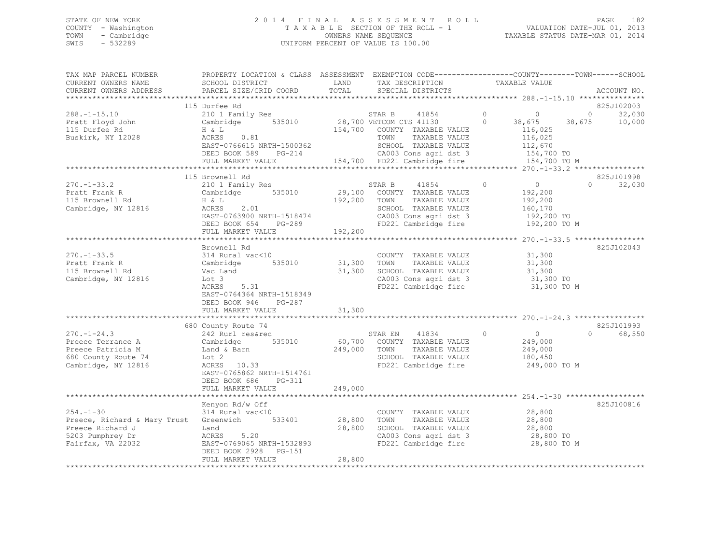## STATE OF NEW YORK 2 0 1 4 F I N A L A S S E S S M E N T R O L L PAGE 182 COUNTY - Washington T A X A B L E SECTION OF THE ROLL - 1 VALUATION DATE-JUL 01, 2013 TOWN - Cambridge OWNERS NAME SEQUENCE TAXABLE STATUS DATE-MAR 01, 2014 SWIS - 532289 UNIFORM PERCENT OF VALUE IS 100.00

| TAX MAP PARCEL NUMBER<br>CURRENT OWNERS NAME                                                                                  | PROPERTY LOCATION & CLASS ASSESSMENT EXEMPTION CODE-----------------COUNTY-------TOWN------SCHOOL<br>SCHOOL DISTRICT                                          | LAND                                   | TAX DESCRIPTION                                                                                                                                                                            | TAXABLE VALUE                                                                             |        |                                       |
|-------------------------------------------------------------------------------------------------------------------------------|---------------------------------------------------------------------------------------------------------------------------------------------------------------|----------------------------------------|--------------------------------------------------------------------------------------------------------------------------------------------------------------------------------------------|-------------------------------------------------------------------------------------------|--------|---------------------------------------|
| CURRENT OWNERS ADDRESS                                                                                                        | PARCEL SIZE/GRID COORD                                                                                                                                        | TOTAL                                  | SPECIAL DISTRICTS                                                                                                                                                                          |                                                                                           |        | ACCOUNT NO.                           |
|                                                                                                                               | 115 Durfee Rd                                                                                                                                                 |                                        |                                                                                                                                                                                            |                                                                                           |        | 825J102003                            |
| $288. - 1 - 15.10$<br>Pratt Floyd John<br>115 Durfee Rd<br>Buskirk, NY 12028                                                  | 210 1 Family Res<br>Cambridge 535010<br>H & L<br>ACRES 0.81<br>EAST-0766615 NRTH-1500362<br>DEED BOOK 589 PG-214                                              |                                        | STAR B 41854<br>28,700 VETCOM CTS 41130<br>41854<br>154,700 COUNTY TAXABLE VALUE<br>TAXABLE VALUE<br>TOWN<br>SCHOOL TAXABLE VALUE<br>CA003 Cons agri dst 3<br>154,700 FD221 Cambridge fire | $\circ$<br>$\circ$<br>$\Omega$<br>38,675<br>116,025<br>116,025<br>112,670<br>154,700 TO   | 38,675 | $0 \qquad \qquad$<br>32,030<br>10,000 |
|                                                                                                                               | FULL MARKET VALUE                                                                                                                                             |                                        |                                                                                                                                                                                            | 154,700 TO M                                                                              |        |                                       |
|                                                                                                                               | 115 Brownell Rd                                                                                                                                               |                                        |                                                                                                                                                                                            |                                                                                           |        | 825J101998                            |
| $270. - 1 - 33.2$<br>270. 1 00.<br>Pratt Frank R<br>115 December Rd<br>115 Brownell Rd<br>Cambridge, NY 12816                 | 210 1 Family Res<br>Cambridge 535010<br>H & L<br>ACRES 2.01<br>EAST-0763900 NRTH-1518474<br>DEED BOOK 654<br>PG-289<br>FULL MARKET VALUE                      | 192,200                                | STAR B<br>41854<br>29,100 COUNTY TAXABLE VALUE<br>192,200 TOWN<br>TAXABLE VALUE<br>SCHOOL TAXABLE VALUE<br>CA003 Cons agri dst 3<br>FD221 Cambridge fire                                   | $\overline{0}$<br>$\Omega$<br>192,200<br>192,200<br>160,170<br>192,200 TO<br>192,200 TO M | $\cap$ | 32,030                                |
|                                                                                                                               |                                                                                                                                                               |                                        |                                                                                                                                                                                            |                                                                                           |        |                                       |
| $270. - 1 - 33.5$<br>Pratt Frank R<br>115 Brownell Rd<br>Cambridge, NY 12816                                                  | Brownell Rd<br>314 Rural vac<10<br>Cambridge<br>Vac Land<br>Lot 3<br>$ACRES$ 5.31<br>EAST-0764364 NRTH-1518349<br>DEED BOOK 946 PG-287<br>FULL MARKET VALUE   | 535010 31,300 TOWN<br>31,300<br>31,300 | COUNTY TAXABLE VALUE<br>TAXABLE VALUE<br>SCHOOL TAXABLE VALUE<br>CA003 Cons agri dst 3<br>FD221 Cambridge fire                                                                             | 31,300<br>31,300<br>31,300<br>31,300 TO<br>31,300 TO M                                    |        | 825J102043                            |
|                                                                                                                               |                                                                                                                                                               |                                        |                                                                                                                                                                                            |                                                                                           |        |                                       |
| $270. - 1 - 24.3$<br>Preece Terrance A<br>Preece Patricia M<br>680 County Route 74<br>Cambridge, NY 12816                     | 680 County Route 74<br>242 Rurl res&rec<br>535010<br>Cambridge<br>Land & Barn<br>Lot 2<br>ACRES 10.33<br>EAST-0765862 NRTH-1514761<br>DEED BOOK 686<br>PG-311 | 249,000                                | 41834<br>STAR EN<br>60,700 COUNTY TAXABLE VALUE<br>TOWN<br>TAXABLE VALUE<br>SCHOOL TAXABLE VALUE<br>FD221 Cambridge fire                                                                   | $\circ$<br>$\overline{0}$<br>249,000<br>249,000<br>180,450<br>249,000 TO M                | $\cap$ | 825J101993<br>68,550                  |
|                                                                                                                               | FULL MARKET VALUE                                                                                                                                             | 249,000                                |                                                                                                                                                                                            |                                                                                           |        |                                       |
|                                                                                                                               | Kenyon Rd/w Off                                                                                                                                               |                                        |                                                                                                                                                                                            |                                                                                           |        | 825J100816                            |
| $254. - 1 - 30$<br>Preece, Richard & Mary Trust Greenwich 533401<br>Preece Richard J<br>5203 Pumphrey Dr<br>Fairfax, VA 22032 | 314 Rural vac<10<br>Land<br>ACRES 5.20<br>EAST-0769065 NRTH-1532893<br>DEED BOOK 2928 PG-151                                                                  | 28,800                                 | COUNTY TAXABLE VALUE<br>28,800 TOWN TAXABLE VALUE<br>SCHOOL TAXABLE VALUE<br>CA003 Cons agri dst 3<br>FD221 Cambridge fire                                                                 | 28,800<br>28,800<br>28,800<br>28,800 TO<br>28,800 TO M                                    |        |                                       |
|                                                                                                                               | FULL MARKET VALUE                                                                                                                                             | 28,800                                 |                                                                                                                                                                                            |                                                                                           |        |                                       |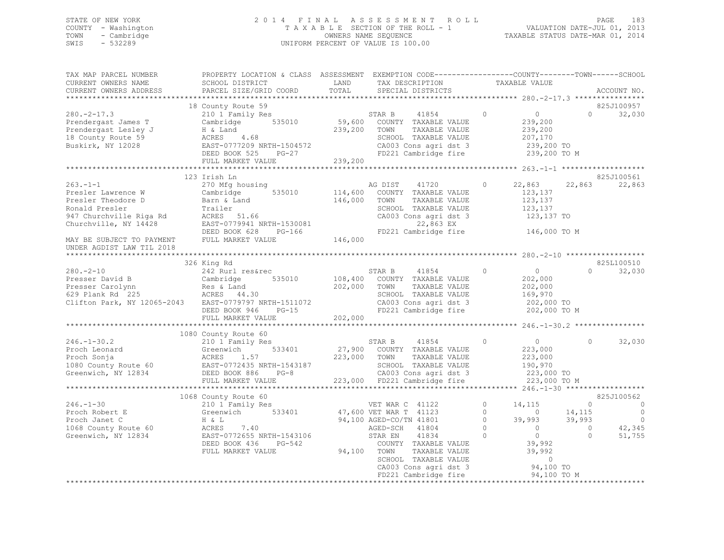## STATE OF NEW YORK 2 0 1 4 F I N A L A S S E S S M E N T R O L L PAGE 183 COUNTY - Washington T A X A B L E SECTION OF THE ROLL - 1 VALUATION DATE-JUL 01, 2013 TOWN - Cambridge OWNERS NAME SEQUENCE TAXABLE STATUS DATE-MAR 01, 2014 SWIS - 532289 UNIFORM PERCENT OF VALUE IS 100.00

| TAX MAP PARCEL NUMBER<br>CURRENT OWNERS NAME<br>CURRENT OWNERS ADDRESS                                                                                                                                                                                                                                                                                                                                                                                                                          | PROPERTY LOCATION & CLASS ASSESSMENT EXEMPTION CODE------------------COUNTY--------TOWN------SCHOOL<br>SCHOOL DISTRICT LAND TAX DESCRIPTION TAXABLE VALUE<br>PARCEL SIZE/GRID COORD TOTAL SPECIAL DISTRICTS ACCOUNT NO.<br>PARCEL SIZE/GRID COORD |                                   |                                                                                                                                                                                       |                    |                                                                                                                         |                                       |                                                                                      |
|-------------------------------------------------------------------------------------------------------------------------------------------------------------------------------------------------------------------------------------------------------------------------------------------------------------------------------------------------------------------------------------------------------------------------------------------------------------------------------------------------|---------------------------------------------------------------------------------------------------------------------------------------------------------------------------------------------------------------------------------------------------|-----------------------------------|---------------------------------------------------------------------------------------------------------------------------------------------------------------------------------------|--------------------|-------------------------------------------------------------------------------------------------------------------------|---------------------------------------|--------------------------------------------------------------------------------------|
| $280. -2 - 17.3$<br>Prendergast James T<br>Prendergast Lesley J<br>18 County Route 59<br>Buskirk, NY 12028                                                                                                                                                                                                                                                                                                                                                                                      | 18 County Route 59<br>210 1 Family Res<br>Cambridge 535010<br>H & Land<br>ACRES      4.68<br>EAST-0777209 NRTH-1504572                                                                                                                            |                                   | STAR B 41854<br>59,600 COUNTY TAXABLE VALUE<br>239,200 TOWN TAXABLE VALUE<br>41854 0<br>SCHOOL TAXABLE VALUE<br>CA003 Cons agri dst 3 239,200 TO<br>FD221 Cambridge fire 239,200 TO M |                    | $\overline{0}$<br>239,200<br>239,200<br>207,170                                                                         |                                       | 825J100957<br>$\Omega$ and $\Omega$<br>32,030                                        |
|                                                                                                                                                                                                                                                                                                                                                                                                                                                                                                 |                                                                                                                                                                                                                                                   |                                   |                                                                                                                                                                                       |                    |                                                                                                                         |                                       | 825J100561                                                                           |
| $263 - 1 - 1$<br>Presler Lawrence W<br>Presler Theodore D<br>Ronald Presler<br>947 Churchville Riga Rd<br>Churchville, NY 14428                                                                                                                                                                                                                                                                                                                                                                 | 123 Irish<br>270 Mfg housing<br>Cambridge 535010 -<br>Barn & Land<br>Trailer sCHOO<br>28 Rd ACRES 51.66 CA003<br>EAST-0779941 NRTH-1530081<br>DEED BOOK 628 PG-166 FD22<br>TREED BOOK 628 PG-166 FD22<br>146,000<br>TREED BOOK 628 PG-166 FD22    |                                   | AG DIST 41720<br>535010 114,600 COUNTY TAXABLE VALUE<br>TAXABLE VALUE<br>SCHOOL TAXABLE VALUE<br>CA003 Cons agri dst 3<br>22,863 EX<br>FD221 Cambridge fire 146,000 TO M              | $\circ$            | 22,863<br>123,137<br>123,137<br>123,137<br>123,137 TO                                                                   |                                       | 22,863 22,863                                                                        |
| MAY BE SUBJECT TO PAYMENT FULL MARKET VALUE<br>UNDER AGDIST LAW TIL 2018                                                                                                                                                                                                                                                                                                                                                                                                                        |                                                                                                                                                                                                                                                   |                                   |                                                                                                                                                                                       |                    |                                                                                                                         |                                       |                                                                                      |
|                                                                                                                                                                                                                                                                                                                                                                                                                                                                                                 | 326 King Rd                                                                                                                                                                                                                                       |                                   |                                                                                                                                                                                       |                    |                                                                                                                         |                                       | 825L100510                                                                           |
| $280 - 2 - 10$<br>629 Plank Rd 225<br>Clifton Park, NY 12065-2043 EAST-0779797 NRTH-1511072<br>DEED BOOK 946 PG-15<br>FULL MARKET VALUE 202,000                                                                                                                                                                                                                                                                                                                                                 | 242 Rurl res&rec 635010 513R B 41854<br>Cambridge 535010 108,400 COUNTY TAXABLE VALUE                                                                                                                                                             | 202,000 TOWN                      | 41854 0<br>TAXABLE VALUE<br>SCHOOL TAXABLE VALUE<br>CA003 Cons agri dst 3 202,000 TO<br>FD221 Cambridge fire 202,000 TO M                                                             |                    | $\overline{0}$<br>202,000<br>202,000<br>169,970                                                                         | $\Omega$                              | 32,030                                                                               |
|                                                                                                                                                                                                                                                                                                                                                                                                                                                                                                 |                                                                                                                                                                                                                                                   |                                   |                                                                                                                                                                                       |                    |                                                                                                                         |                                       |                                                                                      |
| $\begin{tabular}{lllllllllllllllllllll} \multicolumn{3}{c}{246.-1-30.2} & & & & & 210~1 Family Res \\ \multicolumn{3}{c}{\textbf{Proof}} & \multicolumn{3}{c}{\textbf{Even} with} & \multicolumn{3}{c}{\textbf{Second}} & \multicolumn{3}{c}{\textbf{Greenwich}} & \multicolumn{3}{c}{\textbf{Steen} with} \multicolumn{3}{c}{\textbf{RedN} with} \multicolumn{3}{c}{\textbf{Greenwich}} & \multicolumn{3}{c}{\textbf{NRTH-1543187}} \\ \multicolumn{3}{c}{\textbf{Greenwich}} & \multicolumn{$ | 1080 County Route 60<br>210 1 Family Res                                                                                                                                                                                                          | 223,000 TOWN                      | STAR B 41854<br>27,900 COUNTY TAXABLE VALUE<br>TAXABLE VALUE<br>SCHOOL TAXABLE VALUE<br>CA003 Cons agri dst 3<br>223,000 FD221 Cambridge fire                                         | $\Omega$           | $\overline{0}$<br>223,000<br>223,000<br>190,970<br>223,000 TO<br>223,000 TO M                                           | $\Omega$                              | 32,030                                                                               |
|                                                                                                                                                                                                                                                                                                                                                                                                                                                                                                 | 1068 County Route 60                                                                                                                                                                                                                              |                                   |                                                                                                                                                                                       |                    |                                                                                                                         |                                       | 825J100562                                                                           |
| 246.-1-30<br>Proch Robert E<br>Proch Robert E<br>Proch Janet C<br>210 1 Family Res<br>Greenwich<br>333401<br>47,600 VET WAR T 41123<br>47,600 VET WAR T 41123<br>47,600 VET WAR T 41123<br>47,600 VET WAR T 41123<br>47,600 VET WAR T 41123<br>47,600                                                                                                                                                                                                                                           | DEED BOOK 436<br>PG-542<br>FULL MARKET VALUE                                                                                                                                                                                                      | STAR EN<br>STAR EN<br>94,100 TOWN | COUNTY TAXABLE VALUE<br>TAXABLE VALUE<br>TOWN TAXABLE VALUE 39,992<br>SCHOOL TAXABLE VALUE 0<br>CA003 Cons agri dst 3 94,100 TO<br>FD221 Cambridge fire                               | $\circ$<br>$\circ$ | 14,115<br>14,115<br>$0$ 39, 99 <sub>5</sub><br>$0$ 0<br>$0$ 0<br>39, 992<br>39, 992<br>$39,993$ $39,993$<br>94,100 TO M | $\overline{0}$<br>$\sim$ 0<br>$\circ$ | $\overline{\phantom{0}}$<br>$\overline{\phantom{0}}$<br>$\Omega$<br>42,345<br>51,755 |
|                                                                                                                                                                                                                                                                                                                                                                                                                                                                                                 |                                                                                                                                                                                                                                                   |                                   |                                                                                                                                                                                       |                    |                                                                                                                         |                                       |                                                                                      |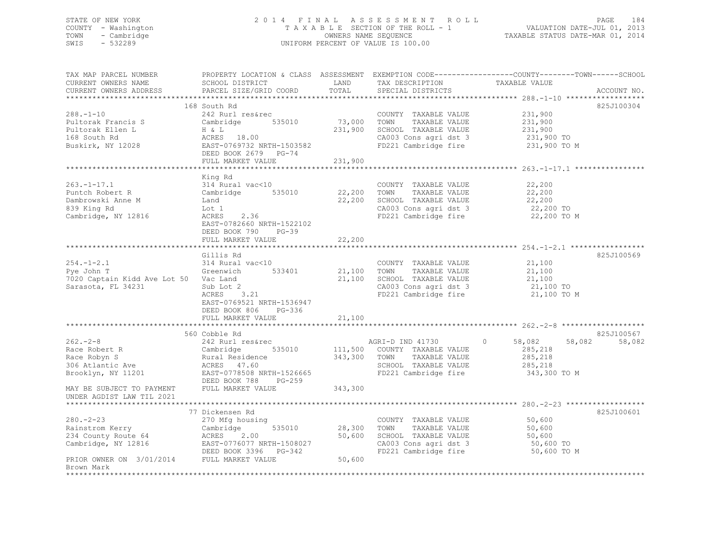## STATE OF NEW YORK 2 0 1 4 F I N A L A S S E S S M E N T R O L L PAGE 184 COUNTY - Washington T A X A B L E SECTION OF THE ROLL - 1 VALUATION DATE-JUL 01, 2013 TOWN - Cambridge OWNERS NAME SEQUENCE TAXABLE STATUS DATE-MAR 01, 2014 SWIS - 532289 UNIFORM PERCENT OF VALUE IS 100.00

| TAX MAP PARCEL NUMBER                                 |                                                 |              |                              | PROPERTY LOCATION & CLASS ASSESSMENT EXEMPTION CODE---------------COUNTY-------TOWN------SCHOOL |             |
|-------------------------------------------------------|-------------------------------------------------|--------------|------------------------------|-------------------------------------------------------------------------------------------------|-------------|
| CURRENT OWNERS NAME                                   | SCHOOL DISTRICT                                 | LAND         | TAX DESCRIPTION              | TAXABLE VALUE                                                                                   |             |
| CURRENT OWNERS ADDRESS                                | PARCEL SIZE/GRID COORD                          | TOTAL        | SPECIAL DISTRICTS            |                                                                                                 | ACCOUNT NO. |
|                                                       |                                                 |              |                              |                                                                                                 |             |
|                                                       | 168 South Rd                                    |              |                              |                                                                                                 | 825J100304  |
| $288. - 1 - 10$                                       | 242 Rurl res&rec                                |              | COUNTY TAXABLE VALUE         | 231,900                                                                                         |             |
| Pultorak Francis S                                    | 535010<br>Cambridge                             | 73,000       | TOWN<br>TAXABLE VALUE        | 231,900                                                                                         |             |
| Pultorak Ellen L                                      |                                                 | 231,900      | SCHOOL TAXABLE VALUE         | 231,900                                                                                         |             |
| 168 South Rd                                          | H & L<br>ACRES 18.00                            |              | CA003 Cons agri dst 3        |                                                                                                 |             |
| Buskirk, NY 12028                                     | EAST-0769732 NRTH-1503582                       |              | FD221 Cambridge fire         | 231,900 TO<br>231,900 TO M                                                                      |             |
|                                                       | DEED BOOK 2679 PG-74                            |              |                              |                                                                                                 |             |
|                                                       | FULL MARKET VALUE                               | 231,900      |                              |                                                                                                 |             |
|                                                       |                                                 |              |                              |                                                                                                 |             |
|                                                       |                                                 |              |                              |                                                                                                 |             |
|                                                       | King Rd                                         |              |                              |                                                                                                 |             |
| $263. -1 - 17.1$                                      | 314 Rural vac<10                                |              | COUNTY TAXABLE VALUE         | 22,200                                                                                          |             |
| Puntch Robert R                                       | 535010<br>Cambridge                             | 22,200 TOWN  | TAXABLE VALUE                | 22,200                                                                                          |             |
| Dambrowski Anne M                                     | Land                                            | 22,200       | SCHOOL TAXABLE VALUE         | 22,200                                                                                          |             |
| 839 King Rd                                           | Lot 1                                           |              | CA003 Cons agri dst 3        | 22,200 TO                                                                                       |             |
| Cambridge, NY 12816                                   | 2.36<br>ACRES                                   |              | FD221 Cambridge fire         | 22,200 TO M                                                                                     |             |
|                                                       | EAST-0782660 NRTH-1522102                       |              |                              |                                                                                                 |             |
|                                                       | DEED BOOK 790 PG-39                             |              |                              |                                                                                                 |             |
|                                                       | FULL MARKET VALUE                               | 22,200       |                              |                                                                                                 |             |
|                                                       |                                                 |              |                              |                                                                                                 |             |
|                                                       | Gillis Rd                                       |              |                              |                                                                                                 | 825J100569  |
| $254. - 1 - 2.1$                                      | 314 Rural vac<10                                |              | COUNTY TAXABLE VALUE         | 21,100                                                                                          |             |
| 514 Kura⊥<br>Greenwich<br>Pye John T                  | 533401                                          | 21,100 TOWN  | TAXABLE VALUE                | 21,100                                                                                          |             |
| 7020 Captain Kidd Ave Lot 50 Vac Land                 |                                                 |              | 21,100 SCHOOL TAXABLE VALUE  |                                                                                                 |             |
| Sarasota, FL 34231                                    | Sub Lot 2                                       |              | CA003 Cons agri dst 3        | $21,100$ TO<br>21,100 TO                                                                        |             |
|                                                       | ACRES 3.21                                      |              | FD221 Cambridge fire         | 21,100 TO M                                                                                     |             |
|                                                       | EAST-0769521 NRTH-1536947                       |              |                              |                                                                                                 |             |
|                                                       | DEED BOOK 806<br>PG-336                         |              |                              |                                                                                                 |             |
|                                                       | FULL MARKET VALUE                               | 21,100       |                              |                                                                                                 |             |
|                                                       |                                                 |              |                              |                                                                                                 |             |
|                                                       | 560 Cobble Rd                                   |              |                              |                                                                                                 | 825J100567  |
| $262 - 2 - 8$                                         | 242 Rurl res&rec                                |              | AGRI-D IND 41730             | 58,082<br>58,082<br>$\circ$                                                                     | 58,082      |
|                                                       | 535010                                          |              | 111,500 COUNTY TAXABLE VALUE | 285,218                                                                                         |             |
| $262. -z$ v<br>Race Robert R<br>$2 \cdot \text{km}$ S |                                                 | 343,300 TOWN | TAXABLE VALUE                | 285,218                                                                                         |             |
| 306 Atlantic Ave                                      | Cambridge 535<br>Rural Residence<br>ACRES 47.60 |              | SCHOOL TAXABLE VALUE         | 285,218                                                                                         |             |
| Brooklyn, NY 11201                                    | EAST-0778508 NRTH-1526665                       |              | FD221 Cambridge fire         | 343,300 TO M                                                                                    |             |
|                                                       | DEED BOOK 788<br>PG-259                         |              |                              |                                                                                                 |             |
| MAY BE SUBJECT TO PAYMENT                             | FULL MARKET VALUE                               | 343,300      |                              |                                                                                                 |             |
| UNDER AGDIST LAW TIL 2021                             |                                                 |              |                              |                                                                                                 |             |
|                                                       |                                                 |              |                              |                                                                                                 |             |
|                                                       | 77 Dickensen Rd                                 |              |                              |                                                                                                 | 825J100601  |
| $280 - 2 - 23$                                        |                                                 |              |                              |                                                                                                 |             |
|                                                       | 270 Mfg housing                                 |              | COUNTY TAXABLE VALUE         | 50,600                                                                                          |             |
| Rainstrom Kerry                                       | 535010<br>Cambridge                             | 28,300 TOWN  | TAXABLE VALUE                | 50,600                                                                                          |             |
| 234 County Route 64                                   | ACRES 2.00<br>EAST-0776077 NRTH-1508027         | 50,600       | SCHOOL TAXABLE VALUE         | $50,000$ TO<br>50,600 TO                                                                        |             |
| Cambridge, NY 12816                                   |                                                 |              | CA003 Cons agri dst 3        |                                                                                                 |             |
|                                                       | DEED BOOK 3396 PG-342                           |              | FD221 Cambridge fire         | 50,600 TO M                                                                                     |             |
| PRIOR OWNER ON 3/01/2014 FULL MARKET VALUE            |                                                 | 50,600       |                              |                                                                                                 |             |
| Brown Mark                                            |                                                 |              |                              |                                                                                                 |             |
|                                                       |                                                 |              |                              |                                                                                                 |             |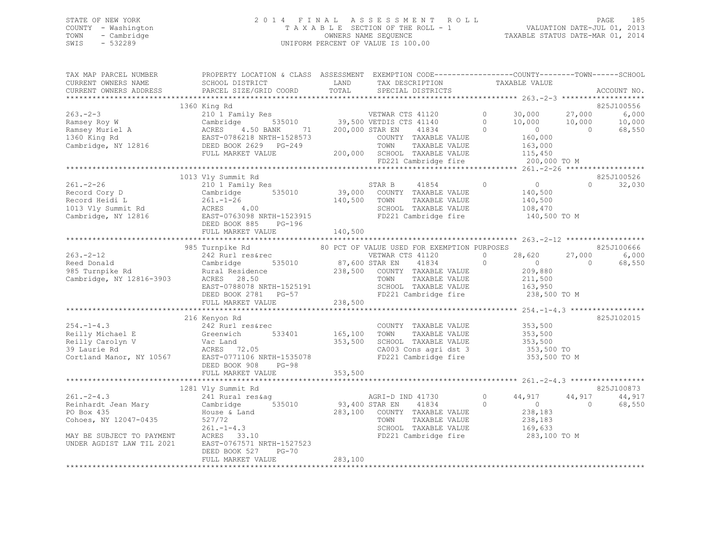## STATE OF NEW YORK 2 0 1 4 F I N A L A S S E S S M E N T R O L L PAGE 185 COUNTY - Washington T A X A B L E SECTION OF THE ROLL - 1 VALUATION DATE-JUL 01, 2013 TOWN - Cambridge OWNERS NAME SEQUENCE TAXABLE STATUS DATE-MAR 01, 2014 SWIS - 532289 UNIFORM PERCENT OF VALUE IS 100.00

| TAX MAP PARCEL NUMBER<br>CURRENT OWNERS NAME<br>CURRENT OWNERS ADDRESS                                                                              | SCHOOL DISTRICT<br>PARCEL SIZE/GRID COORD                                                                                                                                                                                                                                                        | LAND<br>TAX DESCRIPTION<br>TOTAL<br>SPECIAL DISTRICTS                                                                                                                                             | PROPERTY LOCATION & CLASS ASSESSMENT EXEMPTION CODE---------------COUNTY-------TOWN------SCHOOL<br>TAXABLE VALUE<br>ACCOUNT NO.                                                                |
|-----------------------------------------------------------------------------------------------------------------------------------------------------|--------------------------------------------------------------------------------------------------------------------------------------------------------------------------------------------------------------------------------------------------------------------------------------------------|---------------------------------------------------------------------------------------------------------------------------------------------------------------------------------------------------|------------------------------------------------------------------------------------------------------------------------------------------------------------------------------------------------|
|                                                                                                                                                     |                                                                                                                                                                                                                                                                                                  |                                                                                                                                                                                                   |                                                                                                                                                                                                |
| $263 - 2 - 3$<br>263.-z-J<br>Ramsey Roy W<br>Ramsey Muriel A<br>Line Ming Rd<br>Cambridge, NY 12816                                                 | 1360 King Rd<br>4.50 BANK 71<br>ACRES<br>EAST-0786218 NRTH-1528573<br>DEED BOOK 2629 PG-249<br>FULL MARKET VALUE                                                                                                                                                                                 | 210 1 Family Res<br>Cambridge 535010 39,500 VETDIS CTS 41140<br>200,000 STAR EN<br>41834<br>COUNTY TAXABLE VALUE<br>TOWN<br>TAXABLE VALUE<br>200,000 SCHOOL TAXABLE VALUE<br>FD221 Cambridge fire | 825J100556<br>$0 \t 30,000$<br>27,000<br>6,000<br>$\circ$<br>10,000<br>10,000<br>10,000<br>$\overline{0}$<br>68,550<br>$\Omega$<br>$\bigcirc$<br>160,000<br>163,000<br>115,450<br>200,000 TO M |
|                                                                                                                                                     |                                                                                                                                                                                                                                                                                                  |                                                                                                                                                                                                   |                                                                                                                                                                                                |
| $261. - 2 - 26$<br>Record Cory D<br>Record Heidi L<br>Record Heidi L<br>1013 Vly Summit Rd<br>Cambridge, NY 12816                                   | 1013 Vly Summit Rd<br>210 1 Family Res<br>Cambridge<br>261.-1-26<br>ACRES 4.00<br>DEED BOOK 885<br>$PG-196$<br>FULL MARKET VALUE                                                                                                                                                                 | 1y Res 535010 539,000 STAR B 41854<br>140,500 TOWN<br>TAXABLE VALUE<br>SCHOOL TAXABLE VALUE<br>ACRES 4.00<br>EAST-0763098 NRTH-1523915 FD221 Cambridge fire<br>140,500                            | 825J100526<br>$\overline{0}$<br>$\circ$<br>$\Omega$<br>32,030<br>140,500<br>140,500<br>108,470<br>140,500 TO M                                                                                 |
|                                                                                                                                                     | 985 Turnpike Rd                                                                                                                                                                                                                                                                                  | 80 PCT OF VALUE USED FOR EXEMPTION PURPOSES                                                                                                                                                       | 825J100666                                                                                                                                                                                     |
| $263 - 2 - 12$<br>Reed Donald<br>985 Turnpike Rd<br>Cambridge, NY 12816-3903                                                                        | 242 Rurl res&rec<br>Cambridge<br>Rural Residence<br>ACRES 28.50<br>EAST-0788078 NRTH-1525191<br>DEED BOOK 2781 PG-57<br>THIJ MIRWET :::::::<br>FULL MARKET VALUE                                                                                                                                 | VETWAR CTS 41120<br>535010 87,600 STAR EN<br>41834<br>238,500 COUNTY TAXABLE VALUE<br>TOWN<br>TAXABLE VALUE<br>SCHOOL TAXABLE VALUE<br>238,500                                                    | $\circ$<br>28,620<br>6,000<br>27,000<br>$\circ$<br>$\overline{0}$<br>68,550<br>$\Omega$<br>209,880<br>211,500<br>163,950<br>FD221 Cambridge fire 238,500 TO M                                  |
|                                                                                                                                                     |                                                                                                                                                                                                                                                                                                  |                                                                                                                                                                                                   | *********************** 254.-1-4.3 *******************<br>825J102015                                                                                                                           |
| $254. -1 - 4.3$                                                                                                                                     | 216 Kenyon Rd<br>242 Rurl res&rec<br>242 Kurr<br>Greenwich<br>254.-1-4.5<br>Reilly Michael E Greenwich 533401 165<br>Reilly Carolyn V Vac Land 353<br>353<br>29 Laurie Rd RCRES 72.05<br>Cortland Manor, NY 10567 EAST-0771106 NRTH-1535078<br>FRAST-0771106 NRTH-1535078<br>DEED BOOK 908 PG-98 | COUNT<br>165,100 TOWN<br>COUNTY TAXABLE VALUE<br>TAXABLE VALUE<br>353,500<br>SCHOOL TAXABLE VALUE<br>CA003 Cons agri dst 3<br>FD221 Coms agri dst 3<br>FD221 Combi<br>FD221 Cambridge fire        | 353,500<br>353,500<br>353,500<br>353,500 TO<br>353,500 TO M                                                                                                                                    |
|                                                                                                                                                     |                                                                                                                                                                                                                                                                                                  |                                                                                                                                                                                                   |                                                                                                                                                                                                |
|                                                                                                                                                     | 1281 Vly Summit Rd                                                                                                                                                                                                                                                                               |                                                                                                                                                                                                   | 825J100873                                                                                                                                                                                     |
| $261 - 2 - 4.3$<br>Reinhardt Jean Mary<br>PO Box 435<br>Cohoes, NY 12047-0435<br>MAY BE SUBJECT TO PAYMENT ACRES 33.10<br>UNDER AGDIST LAW TIL 2021 | 241 Rural res&aq<br>535010<br>Cambridge<br>House & Land<br>527/72<br>$261. - 1 - 4.3$<br>EAST-0767571 NRTH-1527523<br>DEED BOOK 527<br>$PG-70$                                                                                                                                                   | AGRI-D IND 41730<br>93,400 STAR EN<br>41834<br>283,100 COUNTY TAXABLE VALUE<br>TOWN<br>TAXABLE VALUE<br>SCHOOL TAXABLE VALUE<br>FD221 Cambridge fire                                              | 44,917<br>$\circ$<br>44,917<br>44,917<br>$\sim$ 0<br>$\Omega$<br>68,550<br>$\Omega$<br>238,183<br>238,183<br>169,633<br>283,100 TO M                                                           |
|                                                                                                                                                     | FULL MARKET VALUE                                                                                                                                                                                                                                                                                | 283,100                                                                                                                                                                                           |                                                                                                                                                                                                |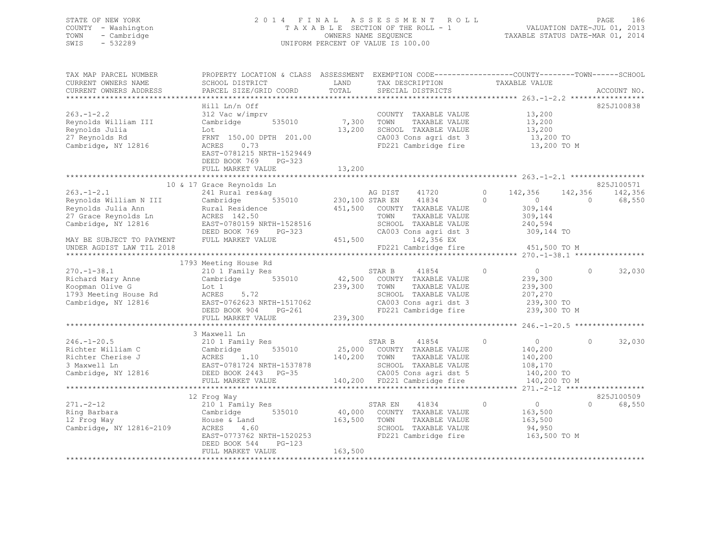## STATE OF NEW YORK 2 0 1 4 F I N A L A S S E S S M E N T R O L L PAGE 186 COUNTY - Washington T A X A B L E SECTION OF THE ROLL - 1 VALUATION DATE-JUL 01, 2013 TOWN - Cambridge OWNERS NAME SEQUENCE TAXABLE STATUS DATE-MAR 01, 2014 SWIS - 532289 UNIFORM PERCENT OF VALUE IS 100.00

| TAX MAP PARCEL NUMBER                                                                                          | PROPERTY LOCATION & CLASS ASSESSMENT EXEMPTION CODE-----------------COUNTY-------TOWN------SCHOOL                                                                                                                          |                      |                                                                                    |                                  |                    |
|----------------------------------------------------------------------------------------------------------------|----------------------------------------------------------------------------------------------------------------------------------------------------------------------------------------------------------------------------|----------------------|------------------------------------------------------------------------------------|----------------------------------|--------------------|
| CURRENT OWNERS NAME                                                                                            | SCHOOL DISTRICT                                                                                                                                                                                                            | LAND                 | TAX DESCRIPTION                                                                    | TAXABLE VALUE                    |                    |
| CURRENT OWNERS ADDRESS                                                                                         | PARCEL SIZE/GRID COORD                                                                                                                                                                                                     | TOTAL                | SPECIAL DISTRICTS                                                                  |                                  | ACCOUNT NO.        |
|                                                                                                                |                                                                                                                                                                                                                            |                      |                                                                                    |                                  |                    |
|                                                                                                                | Hill Ln/n Off                                                                                                                                                                                                              |                      |                                                                                    |                                  | 825J100838         |
| $263 - 1 - 2.2$                                                                                                | 312 Vac w/imprv                                                                                                                                                                                                            |                      |                                                                                    |                                  |                    |
| Reynolds William III                                                                                           | Cambridge 535010                                                                                                                                                                                                           | COUNTY<br>7,300 TOWN | COUNTY TAXABLE VALUE 13,200<br>TOWN TAXABLE VALUE 13,200                           |                                  |                    |
| Reynolds Julia                                                                                                 | Lot                                                                                                                                                                                                                        |                      |                                                                                    |                                  |                    |
| 27 Reynolds Rd                                                                                                 | FRNT 150.00 DPTH 201.00                                                                                                                                                                                                    |                      | 13,200 SCHOOL TAXABLE VALUE 13,200<br>CA003 Cons agri dst 3 13,200 TO              |                                  |                    |
| Cambridge, NY 12816                                                                                            | ACRES<br>0.73                                                                                                                                                                                                              |                      | CA003 Cons agri dst 3 13,200 TO<br>FD221 Cambridge fire 13,200 TO M                |                                  |                    |
|                                                                                                                | EAST-0781215 NRTH-1529449                                                                                                                                                                                                  |                      |                                                                                    |                                  |                    |
|                                                                                                                | DEED BOOK 769<br>$PG-323$                                                                                                                                                                                                  |                      |                                                                                    |                                  |                    |
|                                                                                                                |                                                                                                                                                                                                                            |                      |                                                                                    |                                  |                    |
|                                                                                                                |                                                                                                                                                                                                                            |                      |                                                                                    |                                  |                    |
|                                                                                                                | 10 & 17 Grace Reynolds Ln                                                                                                                                                                                                  |                      |                                                                                    |                                  | 825J100571         |
| $263. -1 - 2.1$                                                                                                |                                                                                                                                                                                                                            |                      |                                                                                    | $\circ$                          | 142,356            |
| Reynolds William N III                                                                                         |                                                                                                                                                                                                                            |                      |                                                                                    |                                  | 68,550             |
|                                                                                                                |                                                                                                                                                                                                                            |                      |                                                                                    | $142,356$ $142,356$ 0<br>309,144 |                    |
|                                                                                                                |                                                                                                                                                                                                                            |                      |                                                                                    | 309,144                          |                    |
|                                                                                                                |                                                                                                                                                                                                                            |                      | SCHOOL TAXABLE VALUE 240,594                                                       |                                  |                    |
|                                                                                                                |                                                                                                                                                                                                                            |                      |                                                                                    | 309,144 TO                       |                    |
|                                                                                                                | 27 Grace Reynolds Ln $\begin{array}{l} \text{ACRES} \quad 142.50 \\ \text{Cambridge, NY} \quad 12816 \\ \text{DEED BOOK} \quad 769 \\ \text{MAY BE SUBJECT TO PAYMENT} \\ \text{WAY BE SUBJECT TO PAYMENT} \\ \end{array}$ |                      |                                                                                    |                                  |                    |
| UNDER AGDIST LAW TIL 2018                                                                                      |                                                                                                                                                                                                                            |                      | FD221 Cambridge fire                                                               | 451,500 TO M                     |                    |
| *******************                                                                                            |                                                                                                                                                                                                                            |                      |                                                                                    |                                  |                    |
|                                                                                                                | 1793 Meeting House Rd                                                                                                                                                                                                      |                      |                                                                                    |                                  |                    |
| $270. - 1 - 38.1$                                                                                              | 210 1 Family Res                                                                                                                                                                                                           |                      | $\sim$ 0                                                                           | $\overline{0}$                   | $\circ$<br>32,030  |
|                                                                                                                |                                                                                                                                                                                                                            |                      |                                                                                    | 239,300                          |                    |
|                                                                                                                |                                                                                                                                                                                                                            | 239,300 TOWN         | TAXABLE VALUE                                                                      | 239,300                          |                    |
|                                                                                                                |                                                                                                                                                                                                                            |                      | SCHOOL TAXABLE VALUE                                                               | 207,270                          |                    |
| Richard Mary Anne Cambri<br>Koopman Olive G Lot 1<br>1793 Meeting House Rd ACRES<br>Cambridge, NY 12816 EAST-0 | AUKES 5.72<br>EAST-0762623 NRTH-1517062<br>DEED BOOK 904 PG-261<br>FUI.I. MADKET VALUE                                                                                                                                     |                      | CA003 Cons agri dst 3 239,300 TO                                                   |                                  |                    |
|                                                                                                                |                                                                                                                                                                                                                            |                      | FD221 Cambridge fire                                                               | 239,300 TO M                     |                    |
|                                                                                                                | FULL MARKET VALUE                                                                                                                                                                                                          | 239,300              |                                                                                    |                                  |                    |
|                                                                                                                |                                                                                                                                                                                                                            |                      |                                                                                    |                                  |                    |
|                                                                                                                | 3 Maxwell Ln                                                                                                                                                                                                               |                      |                                                                                    |                                  |                    |
| $246. - 1 - 20.5$                                                                                              | 210 1 Family Res                                                                                                                                                                                                           |                      | STAR B 41854                                                                       | $\circ$<br>$\overline{0}$        | $\Omega$<br>32,030 |
|                                                                                                                |                                                                                                                                                                                                                            |                      | 535010 $25,000$ COUNTY TAXABLE VALUE                                               | 140,200                          |                    |
|                                                                                                                |                                                                                                                                                                                                                            | 140,200 TOWN         | TAXABLE VALUE                                                                      | 140,200                          |                    |
|                                                                                                                |                                                                                                                                                                                                                            |                      | SCHOOL TAXABLE VALUE 108,170                                                       |                                  |                    |
|                                                                                                                | Eichter William C<br>Richter William C<br>Richter Cherise J<br>3 Maxwell Ln<br>Cambridge, NY 12816<br>Cambridge, NY 12816<br>DEED BOOK 2443<br>DEED BOOK 2443<br>PG-35                                                     |                      |                                                                                    |                                  |                    |
|                                                                                                                | FULL MARKET VALUE                                                                                                                                                                                                          |                      | 3-35 CA005 Cons agri dst 5 140,200 TO<br>140,200 FD221 Cambridge fire 140,200 TO M |                                  |                    |
|                                                                                                                |                                                                                                                                                                                                                            |                      |                                                                                    |                                  |                    |
|                                                                                                                | 12 Frog Way                                                                                                                                                                                                                |                      |                                                                                    |                                  | 825J100509         |
| $271, -2 - 12$                                                                                                 | 210 1 Family Res                                                                                                                                                                                                           |                      | STAR EN<br>41834                                                                   | $\overline{0}$<br>$\circ$        | $\Omega$<br>68,550 |
| Ring Barbara                                                                                                   | Cambridge 535010                                                                                                                                                                                                           |                      | 40,000 COUNTY TAXABLE VALUE                                                        | 163,500                          |                    |
| 12 Frog Way                                                                                                    | House & Land                                                                                                                                                                                                               |                      | TAXABLE VALUE                                                                      | 163,500                          |                    |
| Cambridge, NY 12816-2109                                                                                       | $163,500$ TOWN<br>SCHOO<br>ACRES<br>4.60                                                                                                                                                                                   |                      | SCHOOL TAXABLE VALUE                                                               | 94,950                           |                    |
|                                                                                                                |                                                                                                                                                                                                                            |                      |                                                                                    | 163,500 TO M                     |                    |
|                                                                                                                | PG-123<br>DEED BOOK 544                                                                                                                                                                                                    |                      |                                                                                    |                                  |                    |
|                                                                                                                | FULL MARKET VALUE                                                                                                                                                                                                          | 163,500              |                                                                                    |                                  |                    |
|                                                                                                                |                                                                                                                                                                                                                            |                      |                                                                                    |                                  |                    |
|                                                                                                                |                                                                                                                                                                                                                            |                      |                                                                                    |                                  |                    |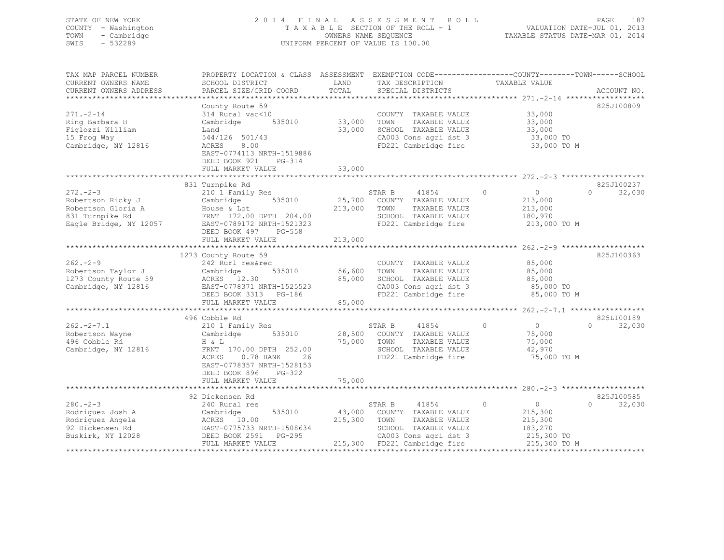## STATE OF NEW YORK 2 0 1 4 F I N A L A S S E S S M E N T R O L L PAGE 187 COUNTY - Washington T A X A B L E SECTION OF THE ROLL - 1 VALUATION DATE-JUL 01, 2013 TOWN - Cambridge OWNERS NAME SEQUENCE TAXABLE STATUS DATE-MAR 01, 2014 SWIS - 532289 UNIFORM PERCENT OF VALUE IS 100.00

| TAX MAP PARCEL NUMBER<br>CURRENT OWNERS NAME<br>CURRENT OWNERS ADDRESS                                 | PROPERTY LOCATION & CLASS ASSESSMENT<br>SCHOOL DISTRICT<br>PARCEL SIZE/GRID COORD                                                                                                  | LAND<br>TOTAL                | TAX DESCRIPTION<br>SPECIAL DISTRICTS                                                                                                              | EXEMPTION CODE-----------------COUNTY-------TOWN------SCHOOL<br>TAXABLE VALUE | ACCOUNT NO.                      |
|--------------------------------------------------------------------------------------------------------|------------------------------------------------------------------------------------------------------------------------------------------------------------------------------------|------------------------------|---------------------------------------------------------------------------------------------------------------------------------------------------|-------------------------------------------------------------------------------|----------------------------------|
| $271. - 2 - 14$<br>Ring Barbara H<br>Figlozzi William<br>15 Frog Way<br>Cambridge, NY 12816            | County Route 59<br>314 Rural vac<10<br>535010<br>Cambridge<br>Land<br>544/126 501/43<br>8.00<br>ACRES<br>EAST-0774113 NRTH-1519886<br>DEED BOOK 921<br>PG-314<br>FULL MARKET VALUE | 33,000<br>33,000<br>33,000   | COUNTY TAXABLE VALUE<br>TOWN<br>TAXABLE VALUE<br>SCHOOL TAXABLE VALUE<br>CA003 Cons agri dst 3<br>FD221 Cambridge fire                            | 33,000<br>33,000<br>33,000<br>33,000 TO<br>33,000 TO M                        | 825J100809                       |
|                                                                                                        | 831 Turnpike Rd                                                                                                                                                                    |                              |                                                                                                                                                   |                                                                               | 825J100237                       |
| $272 - -2 - 3$<br>Robertson Ricky J<br>Robertson Gloria A<br>831 Turnpike Rd<br>Eagle Bridge, NY 12057 | 210 1 Family Res<br>535010<br>Cambridge<br>House & Lot<br>FRNT 172.00 DPTH 204.00<br>EAST-0789172 NRTH-1521323<br>DEED BOOK 497<br>PG-558<br>FULL MARKET VALUE                     | 25,700<br>213,000<br>213,000 | STAR B<br>41854<br>COUNTY TAXABLE VALUE<br>TOWN<br>TAXABLE VALUE<br>SCHOOL TAXABLE VALUE<br>FD221 Cambridge fire                                  | $\circ$<br>$\circ$<br>213,000<br>213,000<br>180,970<br>213,000 TO M           | $\Omega$<br>32,030               |
|                                                                                                        | 1273 County Route 59                                                                                                                                                               |                              |                                                                                                                                                   |                                                                               | 825J100363                       |
| $262 - 2 - 9$<br>Robertson Taylor J<br>1273 County Route 59<br>Cambridge, NY 12816                     | 242 Rurl res&rec<br>Cambridge<br>535010<br>ACRES 12.30<br>EAST-0778371 NRTH-1525523<br>DEED BOOK 3313 PG-186<br>FULL MARKET VALUE                                                  | 56,600<br>85,000<br>85,000   | COUNTY TAXABLE VALUE<br>TAXABLE VALUE<br>TOWN<br>SCHOOL TAXABLE VALUE<br>CA003 Cons agri dst 3<br>FD221 Cambridge fire                            | 85,000<br>85,000<br>85,000<br>85,000 TO<br>85,000 TO M                        |                                  |
|                                                                                                        |                                                                                                                                                                                    |                              |                                                                                                                                                   |                                                                               |                                  |
| $262 - 2 - 7.1$<br>Robertson Wayne<br>496 Cobble Rd<br>Cambridge, NY 12816                             | 496 Cobble Rd<br>210 1 Family Res<br>Cambridge<br>535010<br>H & L<br>FRNT 170.00 DPTH 252.00<br>ACRES<br>0.78 BANK<br>26<br>EAST-0778357 NRTH-1528153<br>DEED BOOK 896<br>$PG-322$ | 28,500<br>75,000             | 41854<br>STAR B<br>COUNTY TAXABLE VALUE<br>TOWN<br>TAXABLE VALUE<br>SCHOOL TAXABLE VALUE<br>FD221 Cambridge fire                                  | $\overline{0}$<br>$\circ$<br>75,000<br>75,000<br>42,970<br>75,000 TO M        | 825L100189<br>$\Omega$<br>32,030 |
|                                                                                                        | FULL MARKET VALUE                                                                                                                                                                  | 75,000                       |                                                                                                                                                   |                                                                               |                                  |
| $280 - 2 - 3$<br>Rodriquez Josh A<br>Rodriquez Angela<br>92 Dickensen Rd<br>Buskirk, NY 12028          | 92 Dickensen Rd<br>240 Rural res<br>535010<br>Cambridge<br>ACRES 10.00<br>EAST-0775733 NRTH-1508634<br>PG-295<br>DEED BOOK 2591<br>FULL MARKET VALUE                               | 43,000<br>215,300            | STAR B<br>41854<br>COUNTY TAXABLE VALUE<br>TOWN<br>TAXABLE VALUE<br>SCHOOL TAXABLE VALUE<br>CA003 Cons agri dst 3<br>215,300 FD221 Cambridge fire | 0<br>$\circ$<br>215,300<br>215,300<br>183,270<br>215,300 TO<br>215,300 TO M   | 825J100585<br>32,030<br>$\Omega$ |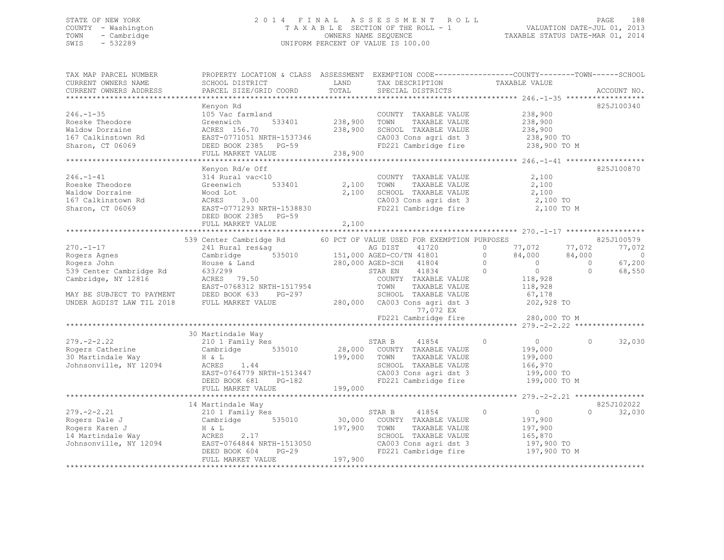## STATE OF NEW YORK 2 0 1 4 F I N A L A S S E S S M E N T R O L L PAGE 188 COUNTY - Washington T A X A B L E SECTION OF THE ROLL - 1 VALUATION DATE-JUL 01, 2013 TOWN - Cambridge OWNERS NAME SEQUENCE TAXABLE STATUS DATE-MAR 01, 2014 SWIS - 532289 UNIFORM PERCENT OF VALUE IS 100.00

| TAX MAP PARCEL NUMBER<br>CURRENT OWNERS NAME<br>CURRENT OWNERS ADDRESS                                                                                     | PROPERTY LOCATION & CLASS ASSESSMENT EXEMPTION CODE---------------COUNTY-------TOWN-----SCHOOL<br>SCHOOL DISTRICT<br>PARCEL SIZE/GRID COORD                                                                                 | LAND<br>TOTAL                 | TAX DESCRIPTION<br>SPECIAL DISTRICTS                                                                                                                                                                                                                        | TAXABLE VALUE                                                                                                                                              | ACCOUNT NO.                                                                                     |
|------------------------------------------------------------------------------------------------------------------------------------------------------------|-----------------------------------------------------------------------------------------------------------------------------------------------------------------------------------------------------------------------------|-------------------------------|-------------------------------------------------------------------------------------------------------------------------------------------------------------------------------------------------------------------------------------------------------------|------------------------------------------------------------------------------------------------------------------------------------------------------------|-------------------------------------------------------------------------------------------------|
| $246. - 1 - 35$<br>Roeske Theodore<br>Waldow Dorraine<br>167 Calkinstown Rd<br>Sharon, CT 06069                                                            | Kenyon Rd<br>105 Vac farmland<br>533401<br>Greenwich<br>ACRES 156.70<br>EAST-0771051 NRTH-1537346<br>DEED BOOK 2385 PG-59<br>FULL MARKET VALUE                                                                              | 238,900<br>238,900<br>238,900 | COUNTY TAXABLE VALUE<br>TOWN<br>TAXABLE VALUE<br>SCHOOL TAXABLE VALUE<br>CA003 Cons agri dst 3<br>FD221 Cambridge fire                                                                                                                                      | 238,900<br>238,900<br>238,900<br>238,900 TO<br>238,900 TO M                                                                                                | 825J100340                                                                                      |
| $246. - 1 - 41$<br>Roeske Theodore<br>Waldow Dorraine<br>167 Calkinstown Rd<br>Sharon, CT 06069                                                            | Kenyon Rd/e Off<br>314 Rural vac<10<br>Greenwich<br>533401<br>Wood Lot<br>ACRES 3.00<br>EAST-0771293 NRTH-1538830<br>DEED BOOK 2385 PG-59<br>FULL MARKET VALUE                                                              | 2,100<br>2,100<br>2,100       | COUNTY TAXABLE VALUE<br>TOWN<br>TAXABLE VALUE<br>SCHOOL TAXABLE VALUE<br>FD221 Cambridge fire                                                                                                                                                               | 2,100<br>2,100<br>2,100<br>2,100 TO<br>2,100 TO M                                                                                                          | 825J100870                                                                                      |
| $270. - 1 - 17$<br>Rogers Agnes<br>Rogers John<br>539 Center Cambridge Rd<br>Cambridge, NY 12816<br>MAY BE SUBJECT TO PAYMENT<br>UNDER AGDIST LAW TIL 2018 | 539 Center Cambridge Rd 60 PCT OF VALUE USED FOR EXEMPTION PURPOSES<br>241 Rural res&ag<br>Cambridge<br>House & Land<br>633/299<br>ACRES 79.50<br>EAST-0768312 NRTH-1517954<br>DEED BOOK 633<br>PG-297<br>FULL MARKET VALUE |                               | AG DIST<br>41720<br>$\frac{151}{151}$ ,000 AGED-CO/TN 41801<br>280,000 AGED-SCH<br>41804<br>41834<br>STAR EN<br>COUNTY TAXABLE VALUE<br>TOWN<br>TAXABLE VALUE<br>SCHOOL TAXABLE VALUE<br>280,000 CA003 Cons agri dst 3<br>77,072 EX<br>FD221 Cambridge fire | 77,072<br>$\circ$<br>84,000<br>$\Omega$<br>$\circ$<br>$\sim$ 0<br>$\Omega$<br>$\overline{0}$<br>118,928<br>118,928<br>67,178<br>202,928 TO<br>280,000 TO M | 825J100579<br>77,072<br>77,072<br>84,000<br>$\circ$<br>67,200<br>$\Omega$<br>68,550<br>$\Omega$ |
| $279. - 2 - 2.22$<br>Rogers Catherine<br>30 Martindale Way<br>Johnsonville, NY 12094                                                                       | 30 Martindale Way<br>210 1 Family Res<br>Cambridge<br>535010<br>H & L<br>ACRES<br>1.44<br>EAST-0764779 NRTH-1513447<br>DEED BOOK 681<br>PG-182<br>FULL MARKET VALUE                                                         | 199,000 TOWN<br>199,000       | STAR B<br>41854<br>28,000 COUNTY TAXABLE VALUE<br>TAXABLE VALUE<br>SCHOOL TAXABLE VALUE<br>CA003 Cons agri dst 3<br>FD221 Cambridge fire                                                                                                                    | $\circ$<br>$\overline{0}$<br>199,000<br>199,000<br>166,970<br>199,000 TO<br>199,000 TO M                                                                   | 32,030<br>$\Omega$                                                                              |
| $279. - 2 - 2.21$<br>Rogers Dale J<br>Rogers Karen J<br>14 Martindale Way<br>Johnsonville, NY 12094                                                        | 14 Martindale Way<br>210 1 Family Res<br>Cambridge 535010<br>H & L<br>ACRES<br>2.17<br>EAST-0764844 NRTH-1513050<br>$PG-29$<br>DEED BOOK 604<br>FULL MARKET VALUE                                                           | 197,900<br>197,900            | STAR B<br>41854<br>30,000 COUNTY TAXABLE VALUE<br>TOWN<br>TAXABLE VALUE<br>SCHOOL TAXABLE VALUE<br>CA003 Cons agri dst 3<br>FD221 Cambridge fire                                                                                                            | $\circ$<br>$\overline{0}$<br>197,900<br>197,900<br>165,870<br>197,900 TO<br>197,900 TO M                                                                   | 825J102022<br>$\cap$<br>32,030                                                                  |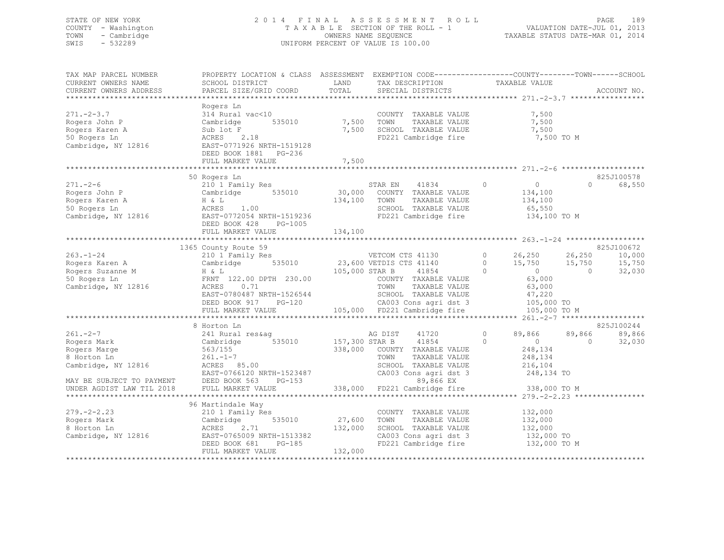## STATE OF NEW YORK 2 0 1 4 F I N A L A S S E S S M E N T R O L L PAGE 189 COUNTY - Washington T A X A B L E SECTION OF THE ROLL - 1 VALUATION DATE-JUL 01, 2013 TOWN - Cambridge OWNERS NAME SEQUENCE TAXABLE STATUS DATE-MAR 01, 2014 SWIS - 532289 UNIFORM PERCENT OF VALUE IS 100.00

| TAX MAP PARCEL NUMBER                                                              | PROPERTY LOCATION & CLASS ASSESSMENT EXEMPTION CODE---------------COUNTY-------TOWN-----SCHOOL |                |                                               |                                               |                    |
|------------------------------------------------------------------------------------|------------------------------------------------------------------------------------------------|----------------|-----------------------------------------------|-----------------------------------------------|--------------------|
| CURRENT OWNERS NAME                                                                | SCHOOL DISTRICT                                                                                | LAND           | TAX DESCRIPTION                               | TAXABLE VALUE                                 |                    |
| CURRENT OWNERS ADDRESS                                                             | PARCEL SIZE/GRID COORD                                                                         | TOTAL          | SPECIAL DISTRICTS                             |                                               | ACCOUNT NO.        |
|                                                                                    |                                                                                                |                |                                               |                                               |                    |
|                                                                                    | Rogers Ln                                                                                      |                |                                               |                                               |                    |
| $271 - 2 - 3.7$                                                                    | 314 Rural vac<10                                                                               |                | COUNTY TAXABLE VALUE                          | 7,500                                         |                    |
| Rogers John P                                                                      | 535010<br>Cambridge                                                                            | 7,500          | TOWN<br>TAXABLE VALUE                         | 7,500                                         |                    |
| Rogers Karen A                                                                     | Sub lot F                                                                                      | 7,500          | SCHOOL TAXABLE VALUE                          | 7,500                                         |                    |
| 50 Rogers Ln                                                                       | ACRES 2.18                                                                                     |                | FD221 Cambridge fire                          | 7,500 TO M                                    |                    |
| Cambridge, NY 12816                                                                | EAST-0771926 NRTH-1519128                                                                      |                |                                               |                                               |                    |
|                                                                                    | DEED BOOK 1881 PG-236                                                                          |                |                                               |                                               |                    |
|                                                                                    | FULL MARKET VALUE                                                                              | 7,500          |                                               |                                               |                    |
|                                                                                    |                                                                                                |                |                                               |                                               |                    |
|                                                                                    | 50 Rogers Ln                                                                                   |                |                                               |                                               | 825J100578         |
| $271. - 2 - 6$                                                                     | 210 1 Family Res                                                                               |                | STAR EN<br>41834                              | $\circ$<br>$\overline{0}$                     | 68,550<br>$\cap$   |
| Rogers John P                                                                      | 535010<br>Cambridge                                                                            |                | 30,000 COUNTY TAXABLE VALUE                   | 134,100                                       |                    |
| Rogers Karen A                                                                     | H & L                                                                                          | 134,100        | TOWN<br>TAXABLE VALUE                         | 134,100                                       |                    |
| 50 Rogers Ln                                                                       | ACRES<br>1.00                                                                                  |                | SCHOOL TAXABLE VALUE                          | 65,550                                        |                    |
| Cambridge, NY 12816                                                                |                                                                                                |                | FD221 Cambridge fire                          |                                               |                    |
|                                                                                    | EAST-0772054 NRTH-1519236                                                                      |                |                                               | 134,100 TO M                                  |                    |
|                                                                                    | DEED BOOK 428<br>PG-1005                                                                       |                |                                               |                                               |                    |
|                                                                                    |                                                                                                |                |                                               |                                               |                    |
|                                                                                    |                                                                                                |                |                                               |                                               |                    |
|                                                                                    | 1365 County Route 59                                                                           |                |                                               |                                               | 825J100672         |
| $263. - 1 - 24$                                                                    | 210 1 Family Res                                                                               |                | VETCOM CTS 41130                              | $\Omega$<br>26,250                            | 26,250<br>10,000   |
| Rogers Karen A                                                                     | 535010<br>Cambridge                                                                            |                | 23,600 VETDIS CTS 41140                       | $\overline{0}$<br>15,750                      | 15,750<br>15,750   |
| Rogers Suzanne M                                                                   | H & L                                                                                          | 105,000 STAR B | $41854$ 0                                     | $\overline{0}$                                | 32,030<br>$\Omega$ |
| 50 Rogers Ln                                                                       | FRNT 122.00 DPTH 230.00                                                                        |                | COUNTY TAXABLE VALUE                          | 63,000                                        |                    |
| Cambridge, NY 12816                                                                | ACRES<br>0.71                                                                                  |                | TOWN<br>TAXABLE VALUE                         | 63,000                                        |                    |
|                                                                                    | EAST-0780487 NRTH-1526544                                                                      |                | SCHOOL TAXABLE VALUE                          | 47,220                                        |                    |
|                                                                                    | DEED BOOK 917<br>PG-120                                                                        |                | CA003 Cons agri dst 3                         | 105,000 TO                                    |                    |
|                                                                                    | FULL MARKET VALUE                                                                              |                | 105,000 FD221 Cambridge fire                  | 105,000 TO M                                  |                    |
|                                                                                    | *************************                                                                      |                |                                               |                                               |                    |
|                                                                                    | 8 Horton Ln                                                                                    |                |                                               |                                               | 825J100244         |
| $261 - 2 - 7$                                                                      | 241 Rural res&aq                                                                               |                | 41720<br>AG DIST                              | $\circ$<br>89,866                             | 89,866<br>89,866   |
| Rogers Mark                                                                        | 535010<br>Cambridge                                                                            | 157,300 STAR B | 41854                                         | $\circ$<br>$\sim$ 0                           | $\Omega$<br>32,030 |
| Rogers Marge                                                                       | 563/155                                                                                        |                | 338,000 COUNTY TAXABLE VALUE                  | 248,134                                       |                    |
| 8 Horton Ln                                                                        | $261 - 1 - 7$                                                                                  |                | TOWN<br>TAXABLE VALUE                         | 248,134                                       |                    |
| Cambridge, NY 12816                                                                | ACRES 85.00                                                                                    |                | SCHOOL TAXABLE VALUE                          | 216,104                                       |                    |
|                                                                                    | EAST-0766120 NRTH-1523487                                                                      |                | CA003 Cons agri dst 3                         | 248,134 TO                                    |                    |
|                                                                                    | $PG-153$                                                                                       |                | 89,866 EX                                     |                                               |                    |
| MAY BE SUBJECT TO PAYMENT DEED BOOK 563<br>UNDER AGDIST LAW TIL 2018 FULL MARKET V | FULL MARKET VALUE                                                                              |                | 338,000 FD221 Cambridge fire                  | 338,000 TO M                                  |                    |
|                                                                                    |                                                                                                |                |                                               | **************** 279.-2-2.23 **************** |                    |
|                                                                                    | 96 Martindale Way                                                                              |                |                                               |                                               |                    |
| $279. - 2 - 2.23$                                                                  | 210 1 Family Res                                                                               |                | COUNTY TAXABLE VALUE                          | 132,000                                       |                    |
| Rogers Mark                                                                        | 535010<br>Cambridge                                                                            | 27,600         | TAXABLE VALUE<br>TOWN                         | 132,000                                       |                    |
| 8 Horton Ln                                                                        | ACRES<br>2.71                                                                                  | 132,000        | SCHOOL TAXABLE VALUE                          | 132,000                                       |                    |
| Cambridge, NY 12816                                                                | EAST-0765009 NRTH-1513382                                                                      |                |                                               |                                               |                    |
|                                                                                    | DEED BOOK 681<br>PG-185                                                                        |                | CA003 Cons agri dst 3<br>FD221 Cambridge fire | 132,000 TO<br>132,000 TO M                    |                    |
|                                                                                    | FULL MARKET VALUE                                                                              | 132,000        |                                               |                                               |                    |
|                                                                                    |                                                                                                |                |                                               |                                               |                    |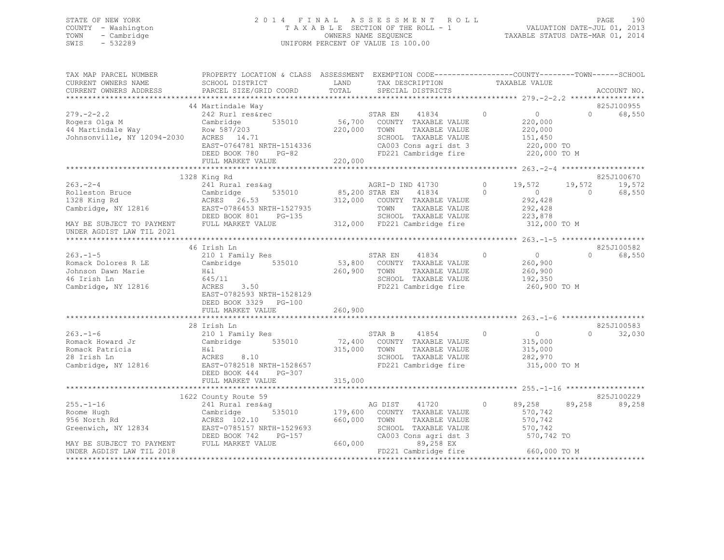## STATE OF NEW YORK 2 0 1 4 F I N A L A S S E S S M E N T R O L L PAGE 190 COUNTY - Washington T A X A B L E SECTION OF THE ROLL - 1 VALUATION DATE-JUL 01, 2013 TOWN - Cambridge OWNERS NAME SEQUENCE TAXABLE STATUS DATE-MAR 01, 2014 SWIS - 532289 UNIFORM PERCENT OF VALUE IS 100.00

| TAX MAP PARCEL NUMBER<br>CURRENT OWNERS NAME<br>CURRENT OWNERS ADDRESS                                                            | PROPERTY LOCATION & CLASS ASSESSMENT EXEMPTION CODE---------------COUNTY-------TOWN-----SCHOOL<br>SCHOOL DISTRICT<br>PARCEL SIZE/GRID COORD                         | LAND<br>TOTAL                 | TAX DESCRIPTION<br>SPECIAL DISTRICTS                                                                                                                    | TAXABLE VALUE                                                                              | ACCOUNT NO.                                          |
|-----------------------------------------------------------------------------------------------------------------------------------|---------------------------------------------------------------------------------------------------------------------------------------------------------------------|-------------------------------|---------------------------------------------------------------------------------------------------------------------------------------------------------|--------------------------------------------------------------------------------------------|------------------------------------------------------|
|                                                                                                                                   |                                                                                                                                                                     |                               |                                                                                                                                                         |                                                                                            |                                                      |
| $279. - 2 - 2.2$<br>Rogers Olga M<br>44 Martindale Way<br>Johnsonville, NY 12094-2030                                             | 44 Martindale Way<br>242 Rurl res&rec<br>535010<br>Cambridge<br>Row 587/203<br>ACRES 14.71<br>EAST-0764781 NRTH-1514336<br>DEED BOOK 780 PG-82<br>FULL MARKET VALUE | 220,000 TOWN<br>220,000       | 41834<br>STAR EN<br>56,700 COUNTY TAXABLE VALUE<br>TAXABLE VALUE<br>SCHOOL TAXABLE VALUE<br>CA003 Cons agri dst 3<br>FD221 Cambridge fire               | $\circ$<br>$\circ$<br>220,000<br>220,000<br>151,450<br>220,000 TO<br>220,000 TO M          | 825J100955<br>68,550<br>$\Omega$                     |
|                                                                                                                                   |                                                                                                                                                                     |                               |                                                                                                                                                         |                                                                                            |                                                      |
| $263 - 2 - 4$<br>Rolleston Bruce<br>1328 King Rd<br>Cambridge, NY 12816<br>MAY BE SUBJECT TO PAYMENT<br>UNDER AGDIST LAW TIL 2021 | 1328 King Rd<br>241 Rural res&aq<br>Cambridge<br>ACRES 26.53<br>535010<br>EAST-0786453 NRTH-1527935<br>DEED BOOK 801<br>PG-135<br>FULL MARKET VALUE                 | 85,200 STAR EN                | AGRI-D IND 41730<br>41834<br>312,000 COUNTY TAXABLE VALUE<br>TOWN<br>TAXABLE VALUE<br>SCHOOL TAXABLE VALUE<br>312,000 FD221 Cambridge fire              | 19,572<br>$\circ$<br>$\sim$ 0<br>$\Omega$<br>292,428<br>292,428<br>223,878<br>312,000 TO M | 825J100670<br>19,572<br>19,572<br>68,550<br>$\Omega$ |
|                                                                                                                                   | 46 Irish Ln                                                                                                                                                         |                               |                                                                                                                                                         |                                                                                            | 825J100582                                           |
| $263. - 1 - 5$<br>Romack Dolores R LE<br>Johnson Dawn Marie<br>46 Irish Ln<br>Cambridge, NY 12816                                 | 210 1 Family Res<br>Cambridge 535010<br>H&l<br>645/11<br>ACRES<br>3.50<br>EAST-0782593 NRTH-1528129<br>DEED BOOK 3329 PG-100                                        | 260,900                       | STAR EN<br>41834<br>53,800 COUNTY TAXABLE VALUE<br>TAXABLE VALUE<br>TOWN<br>SCHOOL TAXABLE VALUE<br>FD221 Cambridge fire                                | $\circ$<br>$\circ$<br>260,900<br>260,900<br>192,350<br>260,900 TO M                        | 68,550<br>$\Omega$                                   |
|                                                                                                                                   | FULL MARKET VALUE                                                                                                                                                   | 260,900                       |                                                                                                                                                         |                                                                                            |                                                      |
| $263. - 1 - 6$<br>Romack Howard Jr<br>Romack Patricia<br>28 Irish Ln<br>Cambridge, NY 12816                                       | 28 Irish Ln<br>210 1 Family Res<br>Cambridge 535010<br>H&l<br>ACRES 8.10<br>EAST-0782518 NRTH-1528657<br>DEED BOOK 444<br>PG-307                                    | 315,000 TOWN                  | 41854<br>STAR B<br>72,400 COUNTY TAXABLE VALUE<br>TAXABLE VALUE<br>SCHOOL TAXABLE VALUE<br>FD221 Cambridge fire                                         | $\circ$<br>$\overline{0}$<br>315,000<br>315,000<br>282,970<br>315,000 TO M                 | 825J100583<br>32,030<br>$\cap$                       |
|                                                                                                                                   | FULL MARKET VALUE                                                                                                                                                   | 315,000                       |                                                                                                                                                         |                                                                                            |                                                      |
|                                                                                                                                   | 1622 County Route 59                                                                                                                                                |                               |                                                                                                                                                         |                                                                                            | 825J100229                                           |
| $255. - 1 - 16$<br>Roome Hugh<br>956 North Rd<br>Greenwich, NY 12834<br>MAY BE SUBJECT TO PAYMENT<br>UNDER AGDIST LAW TIL 2018    | 241 Rural res&aq<br>Cambridge<br>535010<br>ACRES 102.10<br>EAST-0785157 NRTH-1529693<br>PG-157<br>DEED BOOK 742<br>FULL MARKET VALUE                                | 179,600<br>660,000<br>660,000 | AG DIST<br>41720<br>COUNTY TAXABLE VALUE<br>TOWN<br>TAXABLE VALUE<br>SCHOOL TAXABLE VALUE<br>CA003 Cons agri dst 3<br>89,258 EX<br>FD221 Cambridge fire | 89,258<br>$\circ$<br>570,742<br>570,742<br>570,742<br>570,742 TO<br>660,000 TO M           | 89,258<br>89,258                                     |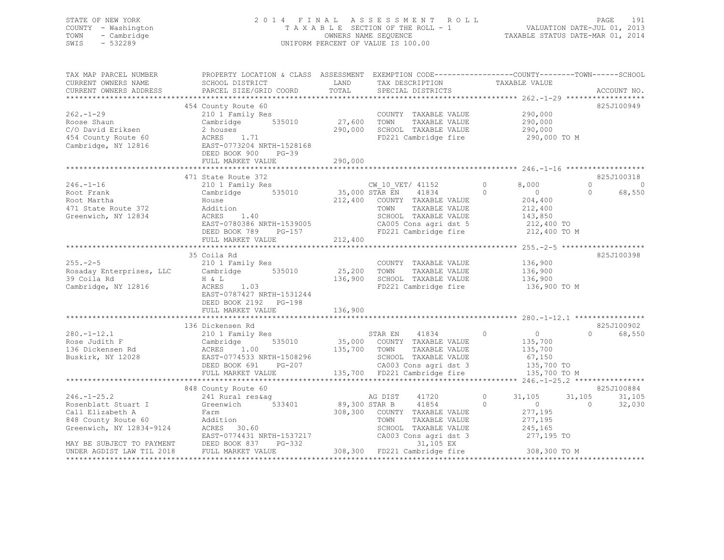## STATE OF NEW YORK 2 0 1 4 F I N A L A S S E S S M E N T R O L L PAGE 191 COUNTY - Washington T A X A B L E SECTION OF THE ROLL - 1 VALUATION DATE-JUL 01, 2013 TOWN - Cambridge OWNERS NAME SEQUENCE TAXABLE STATUS DATE-MAR 01, 2014 SWIS - 532289 UNIFORM PERCENT OF VALUE IS 100.00

| TAX MAP PARCEL NUMBER<br>CURRENT OWNERS NAME<br>CURRENT OWNERS ADDRESS                                                                       | PROPERTY LOCATION & CLASS ASSESSMENT EXEMPTION CODE---------------COUNTY-------TOWN-----SCHOOI<br>SCHOOL DISTRICT<br>PARCEL SIZE/GRID COORD                                 | LAND<br>TOTAL             | TAX DESCRIPTION<br>SPECIAL DISTRICTS                                                                                                     | TAXABLE VALUE                                                                                                                     | ACCOUNT NO.                                       |
|----------------------------------------------------------------------------------------------------------------------------------------------|-----------------------------------------------------------------------------------------------------------------------------------------------------------------------------|---------------------------|------------------------------------------------------------------------------------------------------------------------------------------|-----------------------------------------------------------------------------------------------------------------------------------|---------------------------------------------------|
|                                                                                                                                              |                                                                                                                                                                             |                           |                                                                                                                                          |                                                                                                                                   |                                                   |
| $262 - 1 - 29$<br>Roose Shaun<br>C/O David Eriksen<br>454 County Route 60<br>Cambridge, NY 12816                                             | 454 County Route 60<br>210 1 Family Res<br>Cambridge 535010<br>2 houses<br>ACRES 1.71<br>EAST-0773204 NRTH-1528168<br>DEED BOOK 900<br>$PG-39$<br>FULL MARKET VALUE         | 27,600<br>290,000         | COUNTY TAXABLE VALUE<br>TOWN<br>TAXABLE VALUE<br>290,000 SCHOOL TAXABLE VALUE<br>FD221 Cambridge fire                                    | 290,000<br>290,000<br>290,000<br>290,000 TO M                                                                                     | 825J100949                                        |
|                                                                                                                                              |                                                                                                                                                                             |                           |                                                                                                                                          |                                                                                                                                   |                                                   |
| $246. - 1 - 16$<br>Root Frank<br>Root Martha<br>471 State Route 372<br>Greenwich, NY 12834                                                   | 471 State Route 372<br>210 1 Family Res<br>Cambridge 535010<br>House<br>Addition<br>ACRES<br>1.40<br>EAST-0780386 NRTH-1539005<br>DEED BOOK 789 PG-157<br>FULL MARKET VALUE | 35,000 STAR EN<br>212,400 | CW 10 VET/ 41152<br>41834<br>212,400 COUNTY TAXABLE VALUE<br>TAXABLE VALUE<br>TOWN<br>SCHOOL TAXABLE VALUE<br>CA005 Cons agri dst 5      | $\circ$<br>8,000<br>$\overline{0}$<br>$\circ$<br>204,400<br>212,400<br>143,850<br>212,400 TO<br>FD221 Cambridge fire 212,400 TO M | 825J100318<br>$\Omega$<br>0<br>68,550<br>$\Omega$ |
|                                                                                                                                              | 35 Coila Rd                                                                                                                                                                 |                           |                                                                                                                                          |                                                                                                                                   | 825J100398                                        |
| $255. - 2 - 5$<br>Rosaday Enterprises, LLC<br>39 Coila Rd<br>Cambridge, NY 12816                                                             | 210 1 Family Res<br>Cambridge<br>535010<br>H & L<br>ACRES<br>1.03<br>EAST-0787427 NRTH-1531244<br>DEED BOOK 2192 PG-198                                                     | 25,200                    | COUNTY TAXABLE VALUE<br>TOWN<br>TAXABLE VALUE<br>136,900 SCHOOL TAXABLE VALUE<br>FD221 Cambridge fire                                    | 136,900<br>136,900<br>136,900<br>136,900 TO M                                                                                     |                                                   |
|                                                                                                                                              | FULL MARKET VALUE                                                                                                                                                           | 136,900                   |                                                                                                                                          |                                                                                                                                   |                                                   |
| $280. - 1 - 12.1$<br>Rose Judith F<br>136 Dickensen Rd<br>Buskirk, NY 12028                                                                  | 136 Dickensen Rd<br>210 1 Family Res<br>535010<br>Cambridge<br>1.00<br>ACRES<br>EAST-0774533 NRTH-1508296<br>DEED BOOK 691<br>PG-207                                        | 135,700 TOWN              | 41834<br>STAR EN<br>35,000 COUNTY TAXABLE VALUE<br>TAXABLE VALUE<br>SCHOOL TAXABLE VALUE<br>CA003 Cons agri dst 3                        | $\overline{0}$<br>$\Omega$<br>135,700<br>135,700<br>67,150<br>135,700 TO                                                          | 825J100902<br>68,550<br>$\cap$                    |
|                                                                                                                                              | FULL MARKET VALUE                                                                                                                                                           |                           | 135,700 FD221 Cambridge fire                                                                                                             | 135,700 TO M                                                                                                                      |                                                   |
|                                                                                                                                              | 848 County Route 60                                                                                                                                                         |                           |                                                                                                                                          |                                                                                                                                   | 825J100884                                        |
| $246. - 1 - 25.2$<br>Rosenblatt Stuart I<br>Call Elizabeth A<br>848 County Route 60<br>Greenwich, NY 12834-9124<br>MAY BE SUBJECT TO PAYMENT | 241 Rural res&aq<br>533401<br>Greenwich<br>Farm<br>Addition<br>ACRES 30.60<br>EAST-0774431 NRTH-1537217<br>DEED BOOK 837<br>PG-332                                          | 89,300 STAR B<br>308,300  | AG DIST<br>41720<br>41854<br>COUNTY TAXABLE VALUE<br>TOWN<br>TAXABLE VALUE<br>SCHOOL TAXABLE VALUE<br>CA003 Cons agri dst 3<br>31,105 EX | $\circ$<br>31,105<br>31,105<br>$\Omega$<br>$\circ$<br>277,195<br>277,195<br>245,165<br>277,195 TO                                 | 31,105<br>32,030<br>$\Omega$                      |
| UNDER AGDIST LAW TIL 2018                                                                                                                    | FULL MARKET VALUE                                                                                                                                                           |                           | 308,300 FD221 Cambridge fire                                                                                                             | 308,300 TO M                                                                                                                      |                                                   |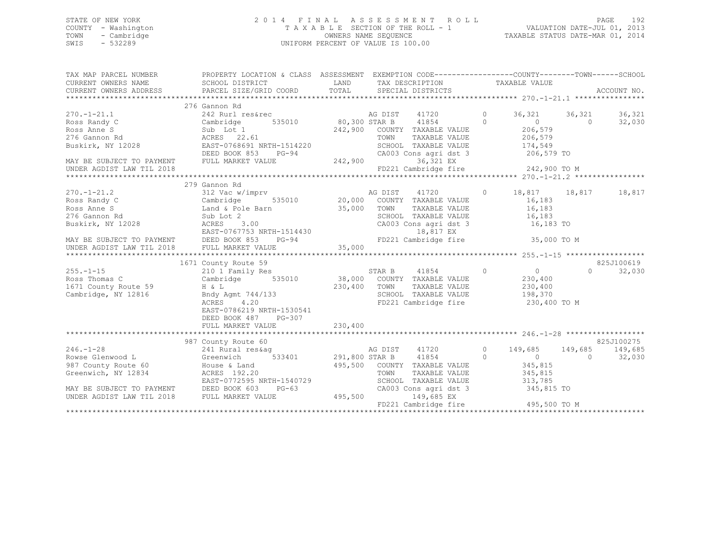## STATE OF NEW YORK 2 0 1 4 F I N A L A S S E S S M E N T R O L L PAGE 192 COUNTY - Washington T A X A B L E SECTION OF THE ROLL - 1 VALUATION DATE-JUL 01, 2013 TOWN - Cambridge OWNERS NAME SEQUENCE TAXABLE STATUS DATE-MAR 01, 2014 SWIS - 532289 UNIFORM PERCENT OF VALUE IS 100.00

| TAX MAP PARCEL NUMBER                                                                                              | PROPERTY LOCATION & CLASS ASSESSMENT EXEMPTION CODE----------------COUNTY-------TOWN------SCHOOL |         |         |                                                                  |            |                         |            |            |
|--------------------------------------------------------------------------------------------------------------------|--------------------------------------------------------------------------------------------------|---------|---------|------------------------------------------------------------------|------------|-------------------------|------------|------------|
|                                                                                                                    |                                                                                                  |         |         |                                                                  |            |                         |            |            |
|                                                                                                                    | 276 Gannon Rd                                                                                    |         |         |                                                                  |            |                         |            |            |
| $270. - 1 - 21.1$                                                                                                  | 242 Rurl res&rec                                                                                 |         |         | AG DIST 41720                                                    | $\Omega$   | 36,321 36,321           |            | 36,321     |
| Cambridge<br>Ross Randy C                                                                                          | 535010 80,300 STAR B 41854 0                                                                     |         |         |                                                                  |            | $\sim$ 0 $\sim$         | $\Omega$   | 32,030     |
|                                                                                                                    |                                                                                                  |         |         | 242,900 COUNTY TAXABLE VALUE                                     |            | 206,579                 |            |            |
|                                                                                                                    |                                                                                                  |         | TOWN    | TAXABLE VALUE                                                    |            | 206,579<br>174,549      |            |            |
| Noss Anne S<br>Poss Anne S<br>276 Gannon Rd<br>Buskirk, NY 12028<br>Buskirk, NY 12028<br>BAST-0768691 NRTH-1514220 |                                                                                                  |         |         | SCHOOL TAXABLE VALUE                                             |            |                         |            |            |
|                                                                                                                    | DEED BOOK 853<br>$PG-94$                                                                         |         |         | CA003 Cons agri dst 3 206,579 TO                                 |            |                         |            |            |
| MAY BE SUBJECT TO PAYMENT FULL MARKET VALUE                                                                        |                                                                                                  | 242,900 |         | 36,321 EX                                                        |            |                         |            |            |
| UNDER AGDIST LAW TIL 2018                                                                                          |                                                                                                  |         |         | FD221 Cambridge fire 242,900 TO M                                |            |                         |            |            |
|                                                                                                                    |                                                                                                  |         |         |                                                                  |            |                         |            |            |
|                                                                                                                    | 279 Gannon Rd                                                                                    |         |         |                                                                  |            |                         |            |            |
| $270. - 1 - 21.2$                                                                                                  | 312 Vac w/imprv<br>Cambridge 535010 20,000 COUNTY TAXABLE VALUE                                  |         |         |                                                                  |            | 18,817 18,817 18,817    |            |            |
| Ross Randy C                                                                                                       |                                                                                                  |         |         |                                                                  |            | 16,183                  |            |            |
| Ross Anne S                                                                                                        | Land & Pole Barn 35,000 TOWN                                                                     |         |         | TAXABLE VALUE 16,183                                             |            |                         |            |            |
| 276 Gannon Rd                                                                                                      |                                                                                                  |         |         | SCHOOL TAXABLE VALUE 16,183<br>CA003 Cons agri dst 3 16,183 TO   |            |                         |            |            |
| Buskirk, NY 12028                                                                                                  |                                                                                                  |         |         |                                                                  |            |                         |            |            |
|                                                                                                                    |                                                                                                  |         |         |                                                                  |            |                         |            |            |
|                                                                                                                    |                                                                                                  |         |         |                                                                  |            |                         |            |            |
|                                                                                                                    |                                                                                                  |         |         |                                                                  |            |                         |            |            |
|                                                                                                                    |                                                                                                  |         |         |                                                                  |            |                         |            |            |
|                                                                                                                    | 1671 County Route 59                                                                             |         |         |                                                                  |            |                         |            | 825J100619 |
| $255. - 1 - 15$                                                                                                    |                                                                                                  |         |         | STAR B 41854 0                                                   |            | $\overline{0}$          | $\Omega$   | 32,030     |
| Ross Thomas C                                                                                                      |                                                                                                  |         |         |                                                                  |            | 230,400                 |            |            |
| 1671 County Route 59                                                                                               | $H \& L$                                                                                         | 230,400 | TOWN    | TAXABLE VALUE 230,400                                            |            |                         |            |            |
| Cambridge, NY 12816                                                                                                | Bndy Agmt 744/133                                                                                |         |         | SCHOOL TAXABLE VALUE 198,370                                     |            |                         |            |            |
|                                                                                                                    | ACRES 4.20                                                                                       |         |         | FD221 Cambridge fire                                             |            | 230,400 TO M            |            |            |
|                                                                                                                    | EAST-0786219 NRTH-1530541                                                                        |         |         |                                                                  |            |                         |            |            |
|                                                                                                                    | DEED BOOK 487<br>PG-307                                                                          |         |         |                                                                  |            |                         |            |            |
|                                                                                                                    | FULL MARKET VALUE                                                                                | 230,400 |         |                                                                  |            |                         |            |            |
|                                                                                                                    |                                                                                                  |         |         |                                                                  |            |                         |            |            |
|                                                                                                                    | 987 County Route 60                                                                              |         |         |                                                                  |            |                         |            | 825J100275 |
| $246. - 1 - 28$                                                                                                    |                                                                                                  |         | AG DIST | 41720 0                                                          |            | 149,685 149,685 149,685 |            |            |
| Rowse Glenwood L                                                                                                   |                                                                                                  |         |         | 41854                                                            | $\bigcirc$ | $\overline{0}$          | $\bigcirc$ | 32,030     |
| 987 County Route 60                                                                                                | House & Land                                                                                     |         |         | 495,500 COUNTY TAXABLE VALUE                                     |            | 345,815                 |            |            |
| Greenwich, NY 12834                                                                                                | ACRES 192.20                                                                                     |         | TOWN    | TAXABLE VALUE 345,815                                            |            |                         |            |            |
|                                                                                                                    | EAST-0772595 NRTH-1540729                                                                        |         |         | SCHOOL TAXABLE VALUE 313,785<br>CA003 Cons agri dst 3 345,815 TO |            |                         |            |            |
| MAY BE SUBJECT TO PAYMENT DEED BOOK 603                                                                            | $PG-63$<br>LUE $495,500$                                                                         |         |         |                                                                  |            |                         |            |            |
| UNDER AGDIST LAW TIL 2018 FULL MARKET VALUE                                                                        |                                                                                                  |         |         | 149,685 EX                                                       |            |                         |            |            |
|                                                                                                                    |                                                                                                  |         |         | FD221 Cambridge fire 495,500 TO M                                |            |                         |            |            |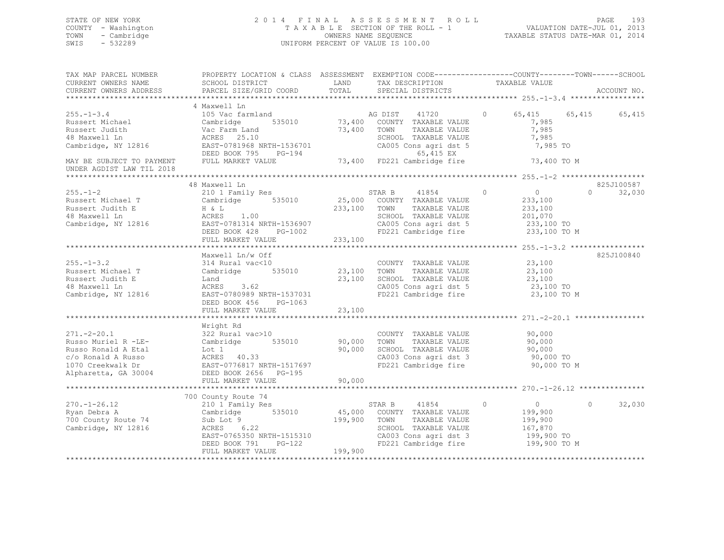## STATE OF NEW YORK 2 0 1 4 F I N A L A S S E S S M E N T R O L L PAGE 193 COUNTY - Washington T A X A B L E SECTION OF THE ROLL - 1 VALUATION DATE-JUL 01, 2013 TOWN - Cambridge OWNERS NAME SEQUENCE TAXABLE STATUS DATE-MAR 01, 2014 SWIS - 532289 UNIFORM PERCENT OF VALUE IS 100.00

| TAX MAP PARCEL NUMBER<br>CURRENT OWNERS NAME<br>CURRENT OWNERS ADDRESS                                                            | PROPERTY LOCATION & CLASS ASSESSMENT EXEMPTION CODE----------------COUNTY-------TOWN-----SCHOOL<br>SCHOOL DISTRICT<br>PARCEL SIZE/GRID COORD                          | LAND<br>TOTAL              | TAX DESCRIPTION<br>SPECIAL DISTRICTS                                                                                                                                                    | TAXABLE VALUE                                                                 | ACCOUNT NO.             |  |
|-----------------------------------------------------------------------------------------------------------------------------------|-----------------------------------------------------------------------------------------------------------------------------------------------------------------------|----------------------------|-----------------------------------------------------------------------------------------------------------------------------------------------------------------------------------------|-------------------------------------------------------------------------------|-------------------------|--|
|                                                                                                                                   |                                                                                                                                                                       |                            |                                                                                                                                                                                         |                                                                               |                         |  |
| $255. - 1 - 3.4$<br>Russert Michael<br>Russert Judith<br>48 Maxwell Ln<br>Cambridge, NY 12816                                     | 4 Maxwell Ln<br>105 Vac farmland<br>535010<br>Cambridge<br>Vac Farm Land<br>ACRES 25.10<br>EAST-0781968 NRTH-1536701<br>DEED BOOK 795<br>$PG-194$                     | 73,400                     | AG DIST 41720 0<br>73,400 COUNTY TAXABLE VALUE<br>TOWN<br>TAXABLE VALUE<br>SCHOOL TAXABLE VALUE<br>CA005 Cons agri dst 5<br>65,415 EX<br>5-194 65,415 EX<br>73,400 FD221 Cambridge fire | 7,985<br>7,985<br>7,985<br>7,985 TO                                           | 65, 415 65, 415 65, 415 |  |
| MAY BE SUBJECT TO PAYMENT                                                                                                         | FULL MARKET VALUE                                                                                                                                                     |                            |                                                                                                                                                                                         | 73,400 TO M                                                                   |                         |  |
| UNDER AGDIST LAW TIL 2018                                                                                                         |                                                                                                                                                                       |                            |                                                                                                                                                                                         |                                                                               |                         |  |
|                                                                                                                                   | 48 Maxwell Ln                                                                                                                                                         |                            |                                                                                                                                                                                         |                                                                               | 825J100587              |  |
| $255. - 1 - 2$<br>Russert Michael T<br>Russert Judith E<br>48 Maxwell Ln<br>Cambridge, NY 12816                                   | 210 1 Family Res<br>Cambridge 535010<br>H & L<br>ACRES 1.00<br>AURES 1.00<br>EAST-0781314 NRTH-1536907<br>DEED BOOK 428 PG-1002<br>FULL MARKET VALUE 233,100          | 233,100                    | STAR B<br>41854<br>25,000 COUNTY TAXABLE VALUE<br>TOWN<br>TAXABLE VALUE<br>SCHOOL TAXABLE VALUE<br>CA005 Cons agri dst 5 233,100 TO<br>FD221 Cambridge fire 233,100 TO M                | $\Omega$<br>$\overline{0}$<br>233,100<br>233,100<br>201,070                   | 32,030<br>$\Omega$      |  |
|                                                                                                                                   |                                                                                                                                                                       |                            |                                                                                                                                                                                         |                                                                               |                         |  |
| $255. - 1 - 3.2$<br>Russert Michael T<br>Russert Judith E<br>48 Maxwell Ln<br>Cambridge, NY 12816                                 | Maxwell Ln/w Off<br>314 Rural vac<10<br>Cambridge 535010<br>Land<br>3.62<br>ACRES<br>EAST-0780989 NRTH-1537031<br>DEED BOOK 456 PG-1063<br>FULL MARKET VALUE          | 23,100<br>23,100<br>23,100 | COUNTY TAXABLE VALUE<br>TAXABLE VALUE<br>TOWN<br>SCHOOL TAXABLE VALUE<br>CA005 Cons agri dst 5<br>FD221 Cambridge fire 23,100 TO M                                                      | 23,100<br>23,100<br>23,100<br>23,100 TO                                       | 825J100840              |  |
|                                                                                                                                   |                                                                                                                                                                       |                            |                                                                                                                                                                                         |                                                                               |                         |  |
| $271 - 2 - 20.1$<br>Russo Muriel R -LE-<br>Russo Ronald A Etal<br>c/o Ronald A Russo<br>1070 Creekwalk Dr<br>Alpharetta, GA 30004 | Wright Rd<br>322 Rural vac>10<br>Cambridge 535010<br>Lot 1<br>ACRES 40.33<br>EAST-0776817 NRTH-1517697<br>DEED BOOK 2656 PG-195<br>FULL MARKET VALUE                  | 90,000<br>90,000<br>90,000 | COUNTY TAXABLE VALUE<br>TOWN<br>TAXABLE VALUE<br>SCHOOL TAXABLE VALUE<br>CA003 Cons agri dst 3<br>FD221 Cambridge fire                                                                  | 90,000<br>90,000<br>90,000<br>90,000 TO<br>90,000 TO M                        |                         |  |
|                                                                                                                                   | *********************************                                                                                                                                     | **************             | *********************************** 270.-1-26.12 ***********                                                                                                                            |                                                                               |                         |  |
| $270. - 1 - 26.12$<br>Ryan Debra A<br>700 County Route 74<br>Cambridge, NY 12816                                                  | 700 County Route 74<br>210 1 Family Res<br>Cambridge 535010<br>Sub Lot 9<br>ACRES 6.22<br>EAST-0765350 NRTH-1515310<br>$PG-122$<br>DEED BOOK 791<br>FULL MARKET VALUE | 199,900<br>199,900         | 41854 0<br>STAR B<br>45,000 COUNTY TAXABLE VALUE<br>TAXABLE VALUE<br>TOWN<br>SCHOOL TAXABLE VALUE<br>CA003 Cons agri dst 3<br>FD221 Cambridge fire                                      | $\overline{0}$<br>199,900<br>199,900<br>167,870<br>199,900 TO<br>199,900 TO M | 32,030<br>$\Omega$      |  |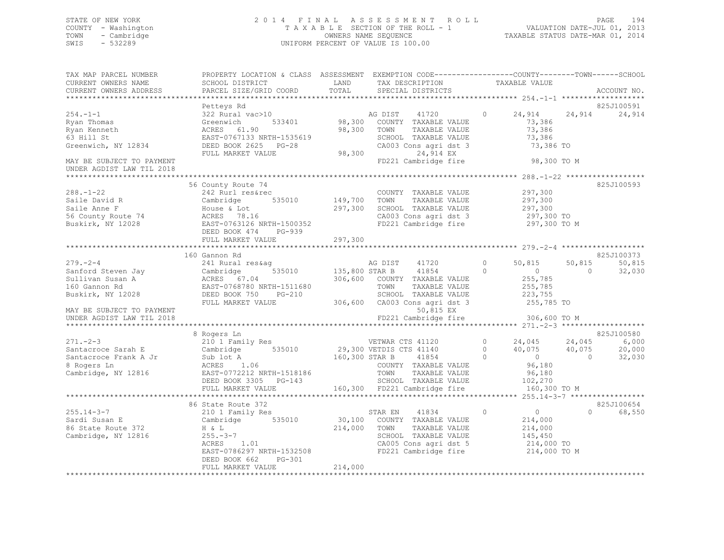## STATE OF NEW YORK 2 0 1 4 F I N A L A S S E S S M E N T R O L L PAGE 194 COUNTY - Washington T A X A B L E SECTION OF THE ROLL - 1 VALUATION DATE-JUL 01, 2013 TOWN - Cambridge OWNERS NAME SEQUENCE TAXABLE STATUS DATE-MAR 01, 2014 SWIS - 532289 UNIFORM PERCENT OF VALUE IS 100.00

| TAX MAP PARCEL NUMBER<br>CURRENT OWNERS NAME<br>CURRENT OWNERS ADDRESS           | PROPERTY LOCATION & CLASS ASSESSMENT EXEMPTION CODE----------------COUNTY-------TOWN------SCHOOL<br>SCHOOL DISTRICT LAND<br>PARCEL SIZE/GRID COORD                                                                                                                                                                                               | TOTAL   | TAX DESCRIPTION<br>SPECIAL DISTRICTS                                                                                                                                                             | TAXABLE VALUE                                             |                | ACCOUNT NO. |
|----------------------------------------------------------------------------------|--------------------------------------------------------------------------------------------------------------------------------------------------------------------------------------------------------------------------------------------------------------------------------------------------------------------------------------------------|---------|--------------------------------------------------------------------------------------------------------------------------------------------------------------------------------------------------|-----------------------------------------------------------|----------------|-------------|
|                                                                                  |                                                                                                                                                                                                                                                                                                                                                  |         |                                                                                                                                                                                                  |                                                           |                |             |
|                                                                                  | Petteys Rd                                                                                                                                                                                                                                                                                                                                       |         |                                                                                                                                                                                                  |                                                           |                | 825J100591  |
| $254. -1 -1$<br>Ryan Thomas<br>Ryan Kenneth<br>63 Hill St<br>Greenwich, NY 12834 | Petteys Rd<br>322 Rural vac>10<br>Greenwich 533401 98,300 COUNTY TAXABLE VALUE<br>GRES 61.90 98,300 TOWN TAXABLE VALUE<br>EAST-0767133 NRTH-1535619 SCHOOL TAXABLE VALUE<br>DEED BOOK 2625 PG-28 CA003 Cons agri dst 3<br>FULL MARKET VALU                                                                                                       |         | CA003 Cons agri dst 3                                                                                                                                                                            | 24,914 24,914<br>73,386<br>73,386<br>73,386<br>73,386 TO  |                | 24,914      |
|                                                                                  |                                                                                                                                                                                                                                                                                                                                                  |         |                                                                                                                                                                                                  |                                                           |                |             |
| MAY BE SUBJECT TO PAYMENT<br>UNDER AGDIST LAW TIL 2018                           |                                                                                                                                                                                                                                                                                                                                                  |         | FD221 Cambridge fire                                                                                                                                                                             | 98,300 TO M                                               |                |             |
|                                                                                  |                                                                                                                                                                                                                                                                                                                                                  |         |                                                                                                                                                                                                  |                                                           |                |             |
| $288. - 1 - 22$                                                                  | 56 County Route 74<br>County Route 74<br>242 Rurl res&rec<br>COUNTY TAXABLE VALUE<br>Saile David R<br>Saile Anne F<br>Saile Anne F<br>Saile Anne F<br>Saile Anne F<br>Saile Anne F<br>Saile Anne F<br>Saile Anne F<br>Sacred Book 474<br>ACRES 78.16<br>Buskirk, NY 12028<br>EAST-0763126 NRTH-1500352<br>EAST-07631                             |         | COUNTY TAXABLE VALUE<br>CA003 Cons agri dst 3 (297,300 TO<br>FD221 Cambridge fire (297,300 TO M                                                                                                  | 297,300                                                   |                | 825J100593  |
|                                                                                  |                                                                                                                                                                                                                                                                                                                                                  |         |                                                                                                                                                                                                  |                                                           |                |             |
|                                                                                  | FULL MARKET VALUE                                                                                                                                                                                                                                                                                                                                | 297,300 |                                                                                                                                                                                                  |                                                           |                |             |
|                                                                                  |                                                                                                                                                                                                                                                                                                                                                  |         |                                                                                                                                                                                                  |                                                           |                | 825J100373  |
|                                                                                  | 160 Gannon Rd                                                                                                                                                                                                                                                                                                                                    |         |                                                                                                                                                                                                  |                                                           | 50,815         | 50,815      |
|                                                                                  |                                                                                                                                                                                                                                                                                                                                                  |         |                                                                                                                                                                                                  |                                                           | $\overline{0}$ | 32,030      |
|                                                                                  |                                                                                                                                                                                                                                                                                                                                                  |         |                                                                                                                                                                                                  |                                                           |                |             |
|                                                                                  |                                                                                                                                                                                                                                                                                                                                                  |         |                                                                                                                                                                                                  |                                                           |                |             |
| UNDER AGDIST LAW TIL 2018                                                        |                                                                                                                                                                                                                                                                                                                                                  |         | FD221 Cambridge fire                                                                                                                                                                             | 306,600 TO M                                              |                |             |
|                                                                                  |                                                                                                                                                                                                                                                                                                                                                  |         |                                                                                                                                                                                                  |                                                           |                |             |
|                                                                                  | 8 Rogers Ln                                                                                                                                                                                                                                                                                                                                      |         |                                                                                                                                                                                                  |                                                           |                | 825J100580  |
|                                                                                  | $\begin{array}{cccccccc} 271.-2-3 & 8\text{ Rogers } \text{Ln} & 210 \text{ T} & 8 & 80\text{G} & 24\text{G} & 8 & 80\text{G} & 8 & 80\text{G} & 8 & 80\text{G} & 8 & 80\text{G} & 8 & 80\text{G} & 8 & 80\text{G} & 8 & 80\text{G} & 8 & 80\text{G} & 8 & 80\text{G} & 8 & 80\text{G} & 8 & 80\text{G} & 8 & 80\text{G} & 8 & 80\text{G} & 8 &$ |         |                                                                                                                                                                                                  |                                                           |                |             |
|                                                                                  |                                                                                                                                                                                                                                                                                                                                                  |         |                                                                                                                                                                                                  |                                                           |                |             |
|                                                                                  |                                                                                                                                                                                                                                                                                                                                                  |         |                                                                                                                                                                                                  |                                                           |                |             |
|                                                                                  | 86 State Route 372                                                                                                                                                                                                                                                                                                                               |         |                                                                                                                                                                                                  |                                                           |                | 825J100654  |
|                                                                                  | 255.14-3-7<br>Sardi Susan E<br>86 State Route 372<br>Cambridge, NY 12816<br>255.-3-7<br>ACRES<br>255.-3-7<br>ACRES<br>EAST-0786297 NRTH-1532508<br>DEED BOOK 662<br>PG-301                                                                                                                                                                       |         | STAR EN 41834 0<br>$30,100$ COUNTY TAXABLE VALUE<br>214,000 TOWN TAXABLE VALUE 214,000 SCHOOL TAXABLE VALUE 145,450<br>CA005 Cons agri dst 5 and 214,000 TO<br>FD221 Cambridge fire 214,000 TO M | $\begin{array}{c} 0 \\ 214,000 \end{array}$<br>214,000 TO | $\Omega$       | 68,550      |
|                                                                                  | FULL MARKET VALUE                                                                                                                                                                                                                                                                                                                                | 214,000 |                                                                                                                                                                                                  |                                                           |                |             |
|                                                                                  |                                                                                                                                                                                                                                                                                                                                                  |         |                                                                                                                                                                                                  |                                                           |                |             |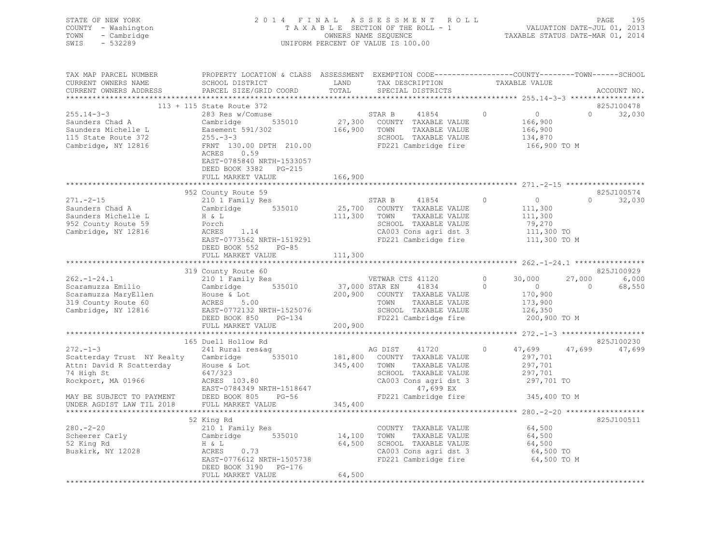| STATE OF NEW YORK<br>COUNTY - Washington<br>TOWN - Cambridge<br>$-532289$<br>SWIS                                                                                                                                                                 |                                                                                                                                         |         |                                                                                                                                 |            |                                                                                                                                                                                                                                                                                                                                 |          |                          |
|---------------------------------------------------------------------------------------------------------------------------------------------------------------------------------------------------------------------------------------------------|-----------------------------------------------------------------------------------------------------------------------------------------|---------|---------------------------------------------------------------------------------------------------------------------------------|------------|---------------------------------------------------------------------------------------------------------------------------------------------------------------------------------------------------------------------------------------------------------------------------------------------------------------------------------|----------|--------------------------|
| TAX MAP PARCEL NUMBER THE PROPERTY LOCATION & CLASS ASSESSMENT EXEMPTION CODE---------------COUNTY--------TOWN------SCHOOL                                                                                                                        |                                                                                                                                         |         |                                                                                                                                 |            |                                                                                                                                                                                                                                                                                                                                 |          |                          |
| CURRENT OWNERS NAME                                                                                                                                                                                                                               |                                                                                                                                         |         |                                                                                                                                 |            |                                                                                                                                                                                                                                                                                                                                 |          |                          |
| CURRENT OWNERS ADDRESS PARCEL SIZE/GRID COORD                                                                                                                                                                                                     |                                                                                                                                         |         |                                                                                                                                 |            |                                                                                                                                                                                                                                                                                                                                 |          | ACCOUNT NO.              |
|                                                                                                                                                                                                                                                   | 113 + 115 State Route 372                                                                                                               |         |                                                                                                                                 |            |                                                                                                                                                                                                                                                                                                                                 |          | 825J100478               |
| $255.14 - 3 - 3$                                                                                                                                                                                                                                  | 283 Res w/Comuse                                                                                                                        |         | STAR B<br>41854                                                                                                                 | $\bigcirc$ |                                                                                                                                                                                                                                                                                                                                 |          | $0 \t 32,030$            |
|                                                                                                                                                                                                                                                   |                                                                                                                                         |         |                                                                                                                                 |            |                                                                                                                                                                                                                                                                                                                                 |          |                          |
|                                                                                                                                                                                                                                                   |                                                                                                                                         |         |                                                                                                                                 |            |                                                                                                                                                                                                                                                                                                                                 |          |                          |
|                                                                                                                                                                                                                                                   |                                                                                                                                         |         |                                                                                                                                 |            |                                                                                                                                                                                                                                                                                                                                 |          |                          |
| Saunders Chad A Cambridge 535010 27,300 COUNTY TAXABLE VALUE<br>Saunders Michelle L<br>Saunders Michelle L<br>Easement 591/302 166,900 TOWN TAXABLE VALUE<br>115 State Route 372 255.-3-3<br>Cambridge, NY 12816 FRNT 130.00 DPTH 210.00          | ACRES 0.59<br>EAST-0785840 NRTH-1533057<br>DEED BOOK 3382 PG-215<br>FULL MARKET VALUE                                                   |         |                                                                                                                                 |            | $\begin{array}{c} 0 \\ 166,900 \\ 166,900 \\ 134,870 \\ 166,900\ \text{TO}\ \text{M} \end{array}$                                                                                                                                                                                                                               |          |                          |
|                                                                                                                                                                                                                                                   |                                                                                                                                         | 166,900 |                                                                                                                                 |            |                                                                                                                                                                                                                                                                                                                                 |          |                          |
|                                                                                                                                                                                                                                                   |                                                                                                                                         |         |                                                                                                                                 |            |                                                                                                                                                                                                                                                                                                                                 |          | 825J100574               |
| 271.-2-15<br>271.-2-15<br>210 1 Family Res<br>210 1 Family Res<br>210 1 Family Res<br>25,700 COUNTY TAXABLE VALUE<br>25,700 COUNTY TAXABLE VALUE<br>25,700 COUNTY TAXABLE VALUE<br>25,700 COUNTY TAXABLE VALUE<br>25,700 COUNTY TAXABLE VALUE<br> |                                                                                                                                         |         |                                                                                                                                 |            | $\begin{matrix} 0 & 0 & 0 \\ 0 & 0 & 0 \\ 0 & 0 & 0 \\ 0 & 0 & 0 \\ 0 & 0 & 0 \\ 0 & 0 & 0 \\ 0 & 0 & 0 \\ 0 & 0 & 0 \\ 0 & 0 & 0 & 0 \\ 0 & 0 & 0 & 0 \\ 0 & 0 & 0 & 0 \\ 0 & 0 & 0 & 0 \\ 0 & 0 & 0 & 0 & 0 \\ 0 & 0 & 0 & 0 & 0 \\ 0 & 0 & 0 & 0 & 0 \\ 0 & 0 & 0 & 0 & 0 & 0 \\ 0 & 0 & 0 & 0 & 0 & 0 \\ 0 & 0 & 0 & 0 & 0$ |          | $\overline{0}$<br>32,030 |
|                                                                                                                                                                                                                                                   |                                                                                                                                         |         |                                                                                                                                 |            | 111,300<br>111,300<br>79,270<br>111,300 TO                                                                                                                                                                                                                                                                                      |          |                          |
|                                                                                                                                                                                                                                                   |                                                                                                                                         |         |                                                                                                                                 |            |                                                                                                                                                                                                                                                                                                                                 |          |                          |
|                                                                                                                                                                                                                                                   |                                                                                                                                         |         |                                                                                                                                 |            |                                                                                                                                                                                                                                                                                                                                 |          |                          |
|                                                                                                                                                                                                                                                   |                                                                                                                                         |         | SCHOOL TAXABLE VALUE<br>CA003 Cons agri dst 3<br>FD221 Cambridge fire                                                           |            |                                                                                                                                                                                                                                                                                                                                 |          |                          |
|                                                                                                                                                                                                                                                   | EAST-0773562 NRTH-1519291<br>DEED BOOK 552 PG-85                                                                                        |         |                                                                                                                                 |            | 111,300 TO M                                                                                                                                                                                                                                                                                                                    |          |                          |
|                                                                                                                                                                                                                                                   | FULL MARKET VALUE 111,300                                                                                                               |         |                                                                                                                                 |            |                                                                                                                                                                                                                                                                                                                                 |          |                          |
|                                                                                                                                                                                                                                                   |                                                                                                                                         |         |                                                                                                                                 |            |                                                                                                                                                                                                                                                                                                                                 |          |                          |
|                                                                                                                                                                                                                                                   | 319 County Route 60                                                                                                                     |         |                                                                                                                                 |            |                                                                                                                                                                                                                                                                                                                                 |          | 825J100929               |
|                                                                                                                                                                                                                                                   |                                                                                                                                         |         |                                                                                                                                 |            |                                                                                                                                                                                                                                                                                                                                 |          | 27,000 6,000             |
|                                                                                                                                                                                                                                                   |                                                                                                                                         |         |                                                                                                                                 |            |                                                                                                                                                                                                                                                                                                                                 | $\sim$ 0 | 68,550                   |
|                                                                                                                                                                                                                                                   |                                                                                                                                         |         |                                                                                                                                 |            |                                                                                                                                                                                                                                                                                                                                 |          |                          |
|                                                                                                                                                                                                                                                   |                                                                                                                                         |         |                                                                                                                                 |            |                                                                                                                                                                                                                                                                                                                                 |          |                          |
|                                                                                                                                                                                                                                                   |                                                                                                                                         |         |                                                                                                                                 |            |                                                                                                                                                                                                                                                                                                                                 |          |                          |
|                                                                                                                                                                                                                                                   |                                                                                                                                         |         |                                                                                                                                 |            |                                                                                                                                                                                                                                                                                                                                 |          |                          |
|                                                                                                                                                                                                                                                   |                                                                                                                                         |         |                                                                                                                                 |            |                                                                                                                                                                                                                                                                                                                                 |          |                          |
|                                                                                                                                                                                                                                                   | 165 Duell Hollow Rd                                                                                                                     |         |                                                                                                                                 |            |                                                                                                                                                                                                                                                                                                                                 |          | 825J100230               |
| 272.-1-3<br>Scatterday Trust NY Realty Cambridge 535010<br>Attn: David D. Guille N.                                                                                                                                                               |                                                                                                                                         |         | AG DIST 41720                                                                                                                   | $\Omega$   | 47,699                                                                                                                                                                                                                                                                                                                          |          | 47,699 47,699            |
|                                                                                                                                                                                                                                                   |                                                                                                                                         |         | AG DIST 41720<br>181,800 COUNTY TAXABLE VALUE<br>345,400 TOWN TAXABLE VALUE<br>COUOOI TAXABLE VALUE                             |            | 297,701<br>297,701                                                                                                                                                                                                                                                                                                              |          |                          |
|                                                                                                                                                                                                                                                   |                                                                                                                                         |         |                                                                                                                                 |            |                                                                                                                                                                                                                                                                                                                                 |          |                          |
|                                                                                                                                                                                                                                                   |                                                                                                                                         |         |                                                                                                                                 |            | 297,701<br>297,701 TO                                                                                                                                                                                                                                                                                                           |          |                          |
|                                                                                                                                                                                                                                                   |                                                                                                                                         |         |                                                                                                                                 |            |                                                                                                                                                                                                                                                                                                                                 |          |                          |
|                                                                                                                                                                                                                                                   |                                                                                                                                         |         |                                                                                                                                 |            | 345,400 TO M                                                                                                                                                                                                                                                                                                                    |          |                          |
| 272.-1-3<br>Scatterday Trust NY Realty Cambridge<br>Attn: David R Scatterday House & Lot<br>$647/323$<br>Rockport, MA 01966<br>EAST-0784349 NRTH-1518647 (2003 Cons agri dst 3<br>EAST-0784349 NRTH-1518647 (2003 CA003 CAD)<br>POCK ROL          |                                                                                                                                         |         |                                                                                                                                 |            |                                                                                                                                                                                                                                                                                                                                 |          |                          |
|                                                                                                                                                                                                                                                   |                                                                                                                                         |         |                                                                                                                                 |            |                                                                                                                                                                                                                                                                                                                                 |          |                          |
| $280 - 2 - 20$                                                                                                                                                                                                                                    | 210 1 Family Res<br>Cambridge 535010 14,100 TOWN TAXABLE VALUE<br>H & L 64,500 SCHOOL TAXABLE VALUE<br>ACRES 0.73 CA003 Cons armi dat 2 |         |                                                                                                                                 |            | 64,500                                                                                                                                                                                                                                                                                                                          |          | 825J100511               |
|                                                                                                                                                                                                                                                   |                                                                                                                                         |         | TOWN TAXABLE VALUE 64,500<br>SCHOOL TAXABLE VALUE 64,500<br>CA003 Cons agri dst 3 64,500 TO<br>FD221 Cambridge fire 64,500 TO M |            |                                                                                                                                                                                                                                                                                                                                 |          |                          |
| Scheerer Carly<br>52 King Rd<br>Buskirk, NY 12028                                                                                                                                                                                                 |                                                                                                                                         |         |                                                                                                                                 |            |                                                                                                                                                                                                                                                                                                                                 |          |                          |
|                                                                                                                                                                                                                                                   | ACRES 0.73<br>EAST-0776612 NRTH-1505738                                                                                                 |         |                                                                                                                                 |            |                                                                                                                                                                                                                                                                                                                                 |          |                          |
|                                                                                                                                                                                                                                                   |                                                                                                                                         |         |                                                                                                                                 |            |                                                                                                                                                                                                                                                                                                                                 |          |                          |
|                                                                                                                                                                                                                                                   | DEED BOOK 3190 PG-176                                                                                                                   |         |                                                                                                                                 |            |                                                                                                                                                                                                                                                                                                                                 |          |                          |
|                                                                                                                                                                                                                                                   | FULL MARKET VALUE                                                                                                                       | 64,500  |                                                                                                                                 |            |                                                                                                                                                                                                                                                                                                                                 |          |                          |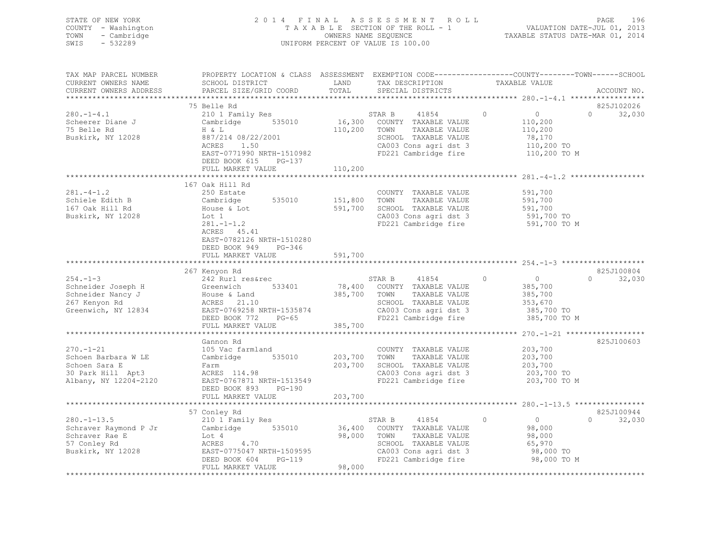| STATE OF NEW YORK<br>COUNTY - Washington<br>TOWN<br>- Cambridge<br>SWIS<br>$-532289$                  |                                                                                                                                                                                                                                                                     |         | 2014 FINAL ASSESSMENT ROLL<br>UNIFORM PERCENT OF VALUE IS 100.00                                                                                        |                                                             | 196<br>PAGE                               |  |  |
|-------------------------------------------------------------------------------------------------------|---------------------------------------------------------------------------------------------------------------------------------------------------------------------------------------------------------------------------------------------------------------------|---------|---------------------------------------------------------------------------------------------------------------------------------------------------------|-------------------------------------------------------------|-------------------------------------------|--|--|
| TAX MAP PARCEL NUMBER                                                                                 | PROPERTY LOCATION & CLASS ASSESSMENT EXEMPTION CODE----------------COUNTY-------TOWN------SCHOOI                                                                                                                                                                    |         |                                                                                                                                                         |                                                             |                                           |  |  |
| CURRENT OWNERS NAME<br>CURRENT OWNERS ADDRESS                                                         | SCHOOL DISTRICT<br>PARCEL SIZE/GRID COORD TOTAL                                                                                                                                                                                                                     | LAND    | TAX DESCRIPTION<br>SPECIAL DISTRICTS                                                                                                                    | TAXABLE VALUE                                               | ACCOUNT NO.                               |  |  |
|                                                                                                       |                                                                                                                                                                                                                                                                     |         |                                                                                                                                                         |                                                             |                                           |  |  |
|                                                                                                       | 75 Belle Rd                                                                                                                                                                                                                                                         |         |                                                                                                                                                         |                                                             | 825J102026                                |  |  |
| $280 - 1 - 4.1$<br>75 Belle Rd<br>Buskirk, NY 12028                                                   | 210 1 Family Res<br>Scheerer Diane J Cambridge 535010 16,300 COUNTY TAXABLE VALUE<br>$H \& L$<br>887/214 08/22/2001<br>ACRES<br>1.50<br>EAST-0771990 NRTH-1510982<br>DEED BOOK 615 PG-137                                                                           |         | 41854<br>STAR B<br>110,200 TOWN TAXABLE VALUE<br>SCHOOL TAXABLE VALUE (19,170)<br>CA003 Cons agri dst 3 110,200 TO<br>FD221 Cambridge fire 110,200 TO M | $\overline{0}$<br>$\overline{0}$<br>110,200<br>110,200      | 32,030<br>$\Omega$                        |  |  |
|                                                                                                       | FULL MARKET VALUE                                                                                                                                                                                                                                                   | 110,200 |                                                                                                                                                         |                                                             |                                           |  |  |
| $281 - 4 - 1.2$<br>Schiele Edith B<br>147 Oak Will Rd<br>167 Oak Hill Rd<br>Buskirk, NY 12028         | 167 Oak Hill Rd<br>250 Estate<br>Cambridge 535010 151,800<br>House & Lot<br>Lot 1<br>Lot 1<br>281.-1-1.2<br>ACRES 45.41<br>EAST-0782126 NRTH-1510280<br>DEED BOOK 949 PG-346                                                                                        |         | COUNTY TAXABLE VALUE<br>TOWN<br>TAXABLE VALUE<br>591,700 SCHOOL TAXABLE VALUE 591,700<br>CA003 Cons agri dst 3 591,700 TO<br>FD221 Cambridge fire       | 591,700<br>591,700<br>591,700 TO M                          |                                           |  |  |
|                                                                                                       | FULL MARKET VALUE 591,700                                                                                                                                                                                                                                           |         |                                                                                                                                                         |                                                             |                                           |  |  |
| $254. -1 - 3$                                                                                         | 267 Kenyon Rd<br>242 Rurl res&rec<br>Schneider Joseph H (Schneider Nancy J (Schneider Nancy J (Schneider Nancy J (Schneider Nancy J (Schneider Nancy J (Schneider Nancy J (Schneider Nancy J (Schneider Nancy J (Schneider Nancy J (Schneider Nancy J (Schneider Na |         | es&rec 533401 578,400 STAR B 41854 0<br>533401 78,400 COUNTY TAXABLE VALUE<br>41854 0                                                                   | $0$<br>385,700                                              | 825J100804<br>$0 \qquad \qquad$<br>32,030 |  |  |
|                                                                                                       |                                                                                                                                                                                                                                                                     |         |                                                                                                                                                         |                                                             |                                           |  |  |
|                                                                                                       |                                                                                                                                                                                                                                                                     |         |                                                                                                                                                         |                                                             |                                           |  |  |
| $270. - 1 - 21$<br>Schoen Barbara W LE<br>Schoen Sara E<br>30 Park Hill Apt3<br>Albany, NY 12204-2120 | Gannon Rd<br>105 Vac farmland<br>Cambridge 535010 203,700<br>Farm<br>ACRES 114.98<br>EAST-0767871 NRTH-1513549                                                                                                                                                      | 203,700 | COUNTY TAXABLE VALUE<br>TOWN<br>TAXABLE VALUE<br>SCHOOL TAXABLE VALUE<br>CA003 Cons agri dst 3<br>FD221 Cambridge fire                                  | 203,700<br>203,700<br>203,700<br>203,700 TO<br>203,700 TO M | 825J100603                                |  |  |

\*\*\*\*\*\*\*\*\*\*\*\*\*\*\*\*\*\*\*\*\*\*\*\*\*\*\*\*\*\*\*\*\*\*\*\*\*\*\*\*\*\*\*\*\*\*\*\*\*\*\*\*\*\*\*\*\*\*\*\*\*\*\*\*\*\*\*\*\*\*\*\*\*\*\*\*\*\*\*\*\*\*\*\*\*\*\*\*\*\*\*\*\*\*\*\*\*\*\*\*\*\*\* 280.-1-13.5 \*\*\*\*\*\*\*\*\*\*\*\*\*\*\*\*

280.-1-13.5 210 1 Family Res STAR B 41854 0 0 32,030

\*\*\*\*\*\*\*\*\*\*\*\*\*\*\*\*\*\*\*\*\*\*\*\*\*\*\*\*\*\*\*\*\*\*\*\*\*\*\*\*\*\*\*\*\*\*\*\*\*\*\*\*\*\*\*\*\*\*\*\*\*\*\*\*\*\*\*\*\*\*\*\*\*\*\*\*\*\*\*\*\*\*\*\*\*\*\*\*\*\*\*\*\*\*\*\*\*\*\*\*\*\*\*\*\*\*\*\*\*\*\*\*\*\*\*\*\*\*\*\*\*\*\*\*\*\*\*\*\*\*\*\*

57 Conley Rd 825J100944

NOT THE SCHOOL TAXABLE VALUE 65,970<br>
ACRES 4.70 SCHOOL TAXABLE VALUE 65,970<br>
DEED BOOK 604 PG-119 FD221 Cambridge fire 98,000 TO M<br>
FULL MARKET VALUE 98,000<br>
PULL MARKET VALUE 98,000

825J100944

DEED BOOK 893 PG-190

FULL MARKET VALUE

FULL MARKET VALUE 203,700

Schraver Raymond P Jr Cambridge 535010 36,400 COUNTY TAXABLE VALUE 98,000 Schraver Rae E Lot 4 98,000 TOWN TAXABLE VALUE 98,000 57 Conley Rd ACRES 4.70 SCHOOL TAXABLE VALUE 65,970 Buskirk, NY 12028 EAST-0775047 NRTH-1509595 CA003 Cons agri dst 3 98,000 TO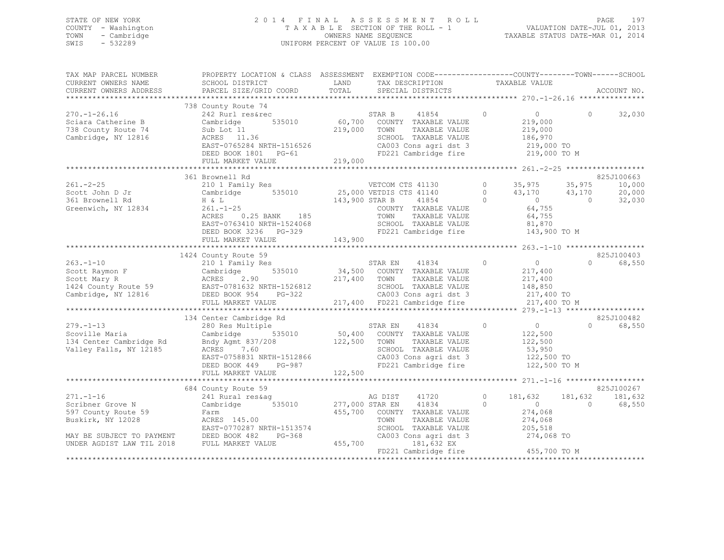## STATE OF NEW YORK 2 0 1 4 F I N A L A S S E S S M E N T R O L L PAGE 197 COUNTY - Washington T A X A B L E SECTION OF THE ROLL - 1 VALUATION DATE-JUL 01, 2013 TOWN - Cambridge OWNERS NAME SEQUENCE TAXABLE STATUS DATE-MAR 01, 2014 SWIS - 532289 UNIFORM PERCENT OF VALUE IS 100.00

| TAX MAP PARCEL NUMBER<br>CURRENT OWNERS NAME                                         | PROPERTY LOCATION & CLASS ASSESSMENT EXEMPTION CODE---------------COUNTY-------TOWN-----SCHOOL<br>SCHOOL DISTRICT                                                                                                                                        | LAND            | TAX DESCRIPTION TAXABLE VALUE                                    |                           |                       |             |
|--------------------------------------------------------------------------------------|----------------------------------------------------------------------------------------------------------------------------------------------------------------------------------------------------------------------------------------------------------|-----------------|------------------------------------------------------------------|---------------------------|-----------------------|-------------|
| CURRENT OWNERS ADDRESS                                                               | SCHOOL DISTRICT<br>PARCEL SIZE/GRID COORD                                                                                                                                                                                                                | TOTAL           | SPECIAL DISTRICTS                                                |                           |                       | ACCOUNT NO. |
|                                                                                      |                                                                                                                                                                                                                                                          |                 |                                                                  |                           |                       |             |
|                                                                                      | 738 County Route 74                                                                                                                                                                                                                                      |                 |                                                                  |                           |                       |             |
| $270. - 1 - 26.16$                                                                   | COUNTY ROUGE 74<br>242 Rurl res&rec 535010 60,700 COUNTY TAXABLE VALUE<br>Sub Lot 11 219,000 TOWN TAXABLE VALUE<br>RCRES 11.36 SCHOOL TAXABLE VALUE<br>EAST-0765284 NRTH-1516526 CA003 Cons agri dst 3<br>DEED BOOK 1801 PG-61 FD221 Cam                 |                 | 41854 0                                                          | $\overline{0}$            | $\Omega$              | 32,030      |
| Sciara Catherine B                                                                   |                                                                                                                                                                                                                                                          |                 |                                                                  | 219,000                   |                       |             |
| 738 County Route 74                                                                  | Sub Lot <sup>11</sup>                                                                                                                                                                                                                                    |                 | TAXABLE VALUE                                                    | 219,000                   |                       |             |
| Cambridge, NY 12816                                                                  |                                                                                                                                                                                                                                                          |                 | SCHOOL TAXABLE VALUE                                             | 186,970                   |                       |             |
|                                                                                      |                                                                                                                                                                                                                                                          |                 | CA003 Cons agri dst 3 219,000 TO                                 |                           |                       |             |
|                                                                                      |                                                                                                                                                                                                                                                          |                 | FD221 Cambridge fire                                             | 219,000 TO M              |                       |             |
|                                                                                      | FULL MARKET VALUE                                                                                                                                                                                                                                        | 219,000         |                                                                  |                           |                       |             |
|                                                                                      |                                                                                                                                                                                                                                                          |                 |                                                                  |                           |                       |             |
|                                                                                      | 361 Brownell Rd                                                                                                                                                                                                                                          |                 |                                                                  |                           |                       | 825J100663  |
| $261 - 2 - 25$                                                                       | 361 Brownell Rd<br>210 1 Family Res<br>Cambridge 535010 25,000 VETDIS CTS 41140 0 35,975 35,975<br>H & L<br>261.-1-25 143,900 STAR B 41854 0 0 0<br>261.-1-25 264,755<br>264,755                                                                         |                 |                                                                  |                           |                       | 10,000      |
| Scott John D Jr                                                                      |                                                                                                                                                                                                                                                          |                 |                                                                  |                           |                       | 20,000      |
|                                                                                      |                                                                                                                                                                                                                                                          |                 |                                                                  |                           |                       | 32,030      |
| Sol Brownell Rd<br>Greenwich, NY 12834 261.-1-25                                     |                                                                                                                                                                                                                                                          |                 |                                                                  |                           |                       |             |
|                                                                                      | ACRES 0.25 BANK 185<br>EAST-0762410 :--                                                                                                                                                                                                                  |                 | TAXABLE VALUE<br>TOWN                                            | 64,755                    |                       |             |
|                                                                                      |                                                                                                                                                                                                                                                          |                 | SCHOOL TAXABLE VALUE 81,870                                      |                           |                       |             |
|                                                                                      | EAST-0763410 NRTH-1524068<br>DEED BOOK 3236 PG-329                                                                                                                                                                                                       |                 | FD221 Cambridge fire 143,900 TO M                                |                           |                       |             |
|                                                                                      | FULL MARKET VALUE                                                                                                                                                                                                                                        | 143,900         |                                                                  |                           |                       |             |
|                                                                                      |                                                                                                                                                                                                                                                          |                 |                                                                  |                           |                       |             |
|                                                                                      | 1424 County Route 59                                                                                                                                                                                                                                     |                 |                                                                  |                           |                       | 825J100403  |
| $263 - 1 - 10$                                                                       | 210 1 Family Res                                                                                                                                                                                                                                         |                 | STAR EN 41834 0                                                  | $\sim$ 0                  | $\Omega$ and $\Omega$ | 68,550      |
|                                                                                      |                                                                                                                                                                                                                                                          |                 |                                                                  |                           |                       |             |
|                                                                                      |                                                                                                                                                                                                                                                          |                 |                                                                  |                           |                       |             |
|                                                                                      |                                                                                                                                                                                                                                                          |                 |                                                                  |                           |                       |             |
|                                                                                      |                                                                                                                                                                                                                                                          |                 |                                                                  |                           |                       |             |
|                                                                                      | 2008.1-1-10<br>SCOOL NARVIC CAMBRIDGE 18.35010<br>SCOOL NARVIC 217,400<br>SCOOL NARVIC 217,400<br>SCOOL NARVIC 217,400<br>217,400<br>CAMBRIDGE 19<br>CAMBRIDGE 18.35010<br>217,400<br>217,400<br>CAMBRIDGE 18.35010<br>217,400<br>217,400<br>CAMBRIDGE 1 |                 |                                                                  |                           |                       |             |
|                                                                                      |                                                                                                                                                                                                                                                          |                 |                                                                  |                           |                       |             |
|                                                                                      | 134 Center Cambridge Rd                                                                                                                                                                                                                                  |                 | STAR EN $41834$ 0 0<br>$122,500$ 2211151 TAVABLE VALUE           |                           |                       | 825J100482  |
| $279. - 1 - 13$                                                                      | 280 Res Multiple                                                                                                                                                                                                                                         |                 |                                                                  |                           | $\Omega$              | 68,550      |
| Scoville Maria                                                                       | Cambridge                                                                                                                                                                                                                                                |                 | 535010 50,400 COUNTY TAXABLE VALUE                               |                           |                       |             |
| 134 Center Cambridge Rd                                                              | Bndy Agmt 837/208 122,500 TOWN<br>ACRES 7.60 SCHOOL                                                                                                                                                                                                      |                 | TAXABLE VALUE                                                    |                           |                       |             |
| Valley Falls, NY 12185                                                               |                                                                                                                                                                                                                                                          |                 | SCHOOL TAXABLE VALUE                                             | 122,500<br>53,950         |                       |             |
|                                                                                      | EAST-0758831 NRTH-1512866<br>DEED BOOK 449 PG-987<br>DEED BOOK 449 PG-987                                                                                                                                                                                |                 | CA003 Cons agri dst 3<br>FD221 Cambridge fire 122,500 TO M       |                           |                       |             |
|                                                                                      |                                                                                                                                                                                                                                                          |                 | FD221 Cambridge fire                                             |                           |                       |             |
|                                                                                      | FULL MARKET VALUE                                                                                                                                                                                                                                        | 122,500         |                                                                  |                           |                       |             |
|                                                                                      |                                                                                                                                                                                                                                                          |                 |                                                                  |                           |                       |             |
|                                                                                      | 684 County Route 59                                                                                                                                                                                                                                      |                 |                                                                  |                           |                       | 825J100267  |
| $271. - 1 - 16$                                                                      | County Route 59<br>241 Rural res&ag                                                                                                                                                                                                                      |                 | AG DIST 41720                                                    | 0 181,632 181,632 181,632 |                       |             |
| Scribner Grove N                                                                     | Cambridge 535010 277,000 STAR EN 41834 0                                                                                                                                                                                                                 |                 |                                                                  |                           | $\bigcap$             | 68,550      |
| 597 County Route 59                                                                  | Farm                                                                                                                                                                                                                                                     |                 | 455,700 COUNTY TAXABLE VALUE                                     | $0$<br>274,068            |                       |             |
| Buskirk, NY 12028                                                                    | ACRES 145.00                                                                                                                                                                                                                                             |                 | TAXABLE VALUE<br>TOWN                                            | 274,068                   |                       |             |
|                                                                                      | ACRES 145.00<br>EAST-0770287 NRTH-1513574                                                                                                                                                                                                                |                 |                                                                  |                           |                       |             |
|                                                                                      | PG-368                                                                                                                                                                                                                                                   |                 | SCHOOL TAXABLE VALUE 205,518<br>CA003 Cons agri dst 3 274,068 TO |                           |                       |             |
| MAY BE SUBJECT TO PAYMENT DEED BOOK 482 FONDER AGDIST LAW TIL 2018 FULL MARKET VALUE |                                                                                                                                                                                                                                                          | $455,700$ CA003 | 181,632 EX                                                       |                           |                       |             |
|                                                                                      |                                                                                                                                                                                                                                                          |                 | FD221 Cambridge fire 455,700 TO M                                |                           |                       |             |
|                                                                                      |                                                                                                                                                                                                                                                          |                 |                                                                  |                           |                       |             |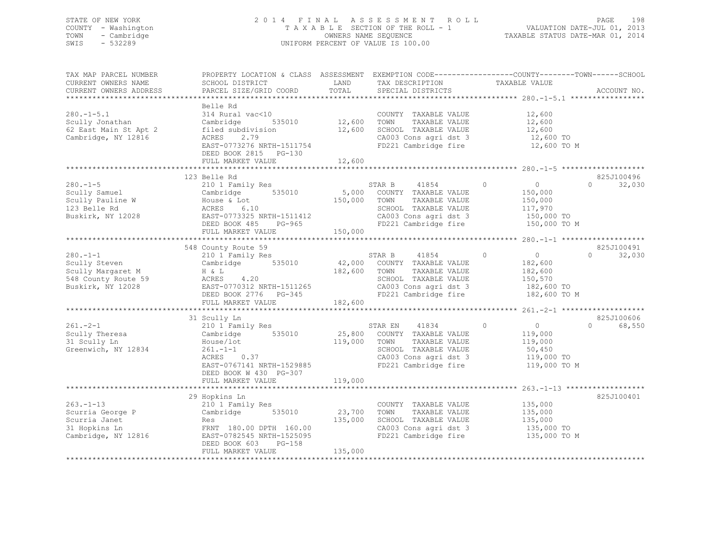## STATE OF NEW YORK 2 0 1 4 F I N A L A S S E S S M E N T R O L L PAGE 198 COUNTY - Washington T A X A B L E SECTION OF THE ROLL - 1 VALUATION DATE-JUL 01, 2013 TOWN - Cambridge OWNERS NAME SEQUENCE TAXABLE STATUS DATE-MAR 01, 2014 SWIS - 532289 UNIFORM PERCENT OF VALUE IS 100.00

| TAX MAP PARCEL NUMBER<br>CURRENT OWNERS NAME<br>CURRENT OWNERS ADDRESS                           | PROPERTY LOCATION & CLASS ASSESSMENT EXEMPTION CODE----------------COUNTY-------TOWN------SCHOOL<br>SCHOOL DISTRICT<br>PARCEL SIZE/GRID COORD                                                       | LAND<br>TOTAL                                | TAX DESCRIPTION<br>SPECIAL DISTRICTS                                                                                                       | TAXABLE VALUE                                                                                                        | ACCOUNT NO.                               |
|--------------------------------------------------------------------------------------------------|-----------------------------------------------------------------------------------------------------------------------------------------------------------------------------------------------------|----------------------------------------------|--------------------------------------------------------------------------------------------------------------------------------------------|----------------------------------------------------------------------------------------------------------------------|-------------------------------------------|
| $280. -1 - 5.1$<br>Scully Jonathan<br>62 East Main St Apt 2<br>Cambridge, NY 12816               | Belle Rd<br>314 Rural vac<10<br>535010<br>Cambridge<br>filed subdivision<br>ACRES 2.79<br>EAST-0773276 NRTH-1511754<br>DEED BOOK 2815 PG-130<br>FULL MARKET VALUE                                   | 12,600<br>12,600<br>12,600                   | COUNTY TAXABLE VALUE<br>TAXABLE VALUE<br>TOWN<br>SCHOOL TAXABLE VALUE<br>CA003 Cons agri dst 3<br>FD221 Cambridge fire                     | 12,600<br>12,600<br>12,600<br>12,600 TO<br>12,600 TO M                                                               |                                           |
| $280. -1 - 5$<br>Scully Samuel<br>Scully Pauline W<br>123 Belle Rd<br>Buskirk, NY 12028          | 123 Belle Rd<br>210 1 Family Res<br>535010<br>Cambridge<br>House & Lot<br>6.10<br>ACRES<br>EAST-0773325 NRTH-1511412<br>DEED BOOK 485 PG-965<br>FULL MARKET VALUE                                   | 5,000<br>150,000<br>150,000                  | 41854<br>STAR B<br>COUNTY TAXABLE VALUE<br>TAXABLE VALUE<br>TOWN<br>SCHOOL TAXABLE VALUE<br>CA003 Cons agri dst 3<br>FD221 Cambridge fire  | $\overline{0}$<br>$\circ$<br>150,000<br>150,000<br>117,970<br>150,000 TO<br>150,000 TO M                             | 825J100496<br>$\Omega$<br>32,030          |
| $280. - 1 - 1$<br>Scully Steven<br>Scully Margaret M<br>548 County Route 59<br>Buskirk, NY 12028 | 548 County Route 59<br>210 1 Family Res<br>535010<br>Cambridge<br>H & L<br>4.20<br>ACRES<br>EAST-0770312 NRTH-1511265<br>DEED BOOK 2776 PG-345<br>FULL MARKET VALUE                                 | 42,000<br>182,600<br>182,600                 | 41854<br>STAR B<br>COUNTY TAXABLE VALUE<br>TOWN<br>TAXABLE VALUE<br>SCHOOL TAXABLE VALUE<br>CA003 Cons agri dst 3<br>FD221 Cambridge fire  | $\overline{0}$<br>$\circ$<br>182,600<br>182,600<br>150,570<br>182,600 TO<br>182,600 TO M                             | 825J100491<br>32,030<br>$0 \qquad \qquad$ |
| $261 - 2 - 1$<br>Scully Theresa<br>31 Scully Ln<br>Greenwich, NY 12834                           | 31 Scully Ln<br>210 1 Family Res<br>Cambridge 535010<br>House/lot<br>$261. - 1 - 1$<br>ACRES<br>0.37<br>EAST-0767141 NRTH-1529885<br>DEED BOOK W 430 PG-307<br>FULL MARKET VALUE                    | 25,800<br>119,000<br>119,000                 | 41834<br>STAR EN<br>COUNTY TAXABLE VALUE<br>TOWN<br>TAXABLE VALUE<br>SCHOOL TAXABLE VALUE<br>CA003 Cons agri dst 3<br>FD221 Cambridge fire | $\circ$<br>$\overline{0}$<br>119,000<br>119,000<br>50,450<br>119,000 TO<br>119,000 TO M                              | 825J100606<br>$\Omega$<br>68,550          |
| $263. -1 - 13$<br>Scurria George P<br>Scurria Janet<br>31 Hopkins Ln<br>Cambridge, NY 12816      | **********************<br>29 Hopkins Ln<br>210 1 Family Res<br>535010<br>Cambridge<br>Res<br>FRNT 180.00 DPTH 160.00<br>EAST-0782545 NRTH-1525095<br>DEED BOOK 603<br>$PG-158$<br>FULL MARKET VALUE | ************<br>23,700<br>135,000<br>135,000 | COUNTY TAXABLE VALUE<br>TOWN<br>TAXABLE VALUE<br>SCHOOL TAXABLE VALUE<br>CA003 Cons agri dst 3<br>FD221 Cambridge fire                     | **************************** 263.-1-13 **************<br>135,000<br>135,000<br>135,000<br>135,000 TO<br>135,000 TO M | 825J100401                                |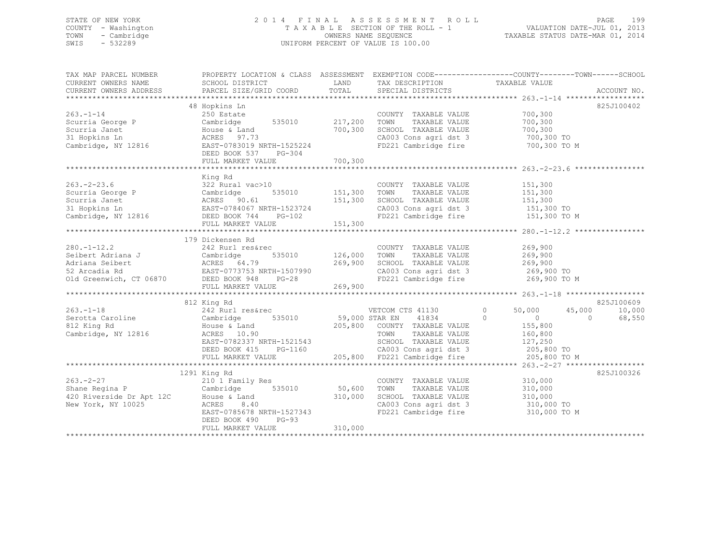## STATE OF NEW YORK 2 0 1 4 F I N A L A S S E S S M E N T R O L L PAGE 199 COUNTY - Washington T A X A B L E SECTION OF THE ROLL - 1 VALUATION DATE-JUL 01, 2013 TOWN - Cambridge OWNERS NAME SEQUENCE TAXABLE STATUS DATE-MAR 01, 2014 SWIS - 532289 UNIFORM PERCENT OF VALUE IS 100.00

| TAX MAP PARCEL NUMBER                                                   |                                                                                                                                                                                                  |                               |                                                                     | PROPERTY LOCATION & CLASS ASSESSMENT EXEMPTION CODE---------------COUNTY-------TOWN------SCHOOL  |            |
|-------------------------------------------------------------------------|--------------------------------------------------------------------------------------------------------------------------------------------------------------------------------------------------|-------------------------------|---------------------------------------------------------------------|--------------------------------------------------------------------------------------------------|------------|
|                                                                         |                                                                                                                                                                                                  |                               |                                                                     |                                                                                                  |            |
|                                                                         |                                                                                                                                                                                                  |                               |                                                                     |                                                                                                  |            |
|                                                                         | 48 Hopkins Ln                                                                                                                                                                                    |                               |                                                                     |                                                                                                  | 825J100402 |
| $263. -1 - 14$                                                          | 250 Estate                                                                                                                                                                                       |                               | COUNTY TAXABLE VALUE                                                | 700,300                                                                                          |            |
| Scurria George P                                                        | 250 Escare<br>Cambridge 535010 217,200                                                                                                                                                           |                               | TAXABLE VALUE<br>TOWN                                               | 700,300                                                                                          |            |
| Scurria Janet                                                           | Campulay<br>House & Land<br>ACRES - 20173                                                                                                                                                        | 700,300                       | SCHOOL TAXABLE VALUE                                                | 700,300                                                                                          |            |
| 31 Hopkins Ln                                                           |                                                                                                                                                                                                  |                               |                                                                     | 700,300 TO                                                                                       |            |
|                                                                         | Cambridge, NY 12816 EAST-0783019 NRTH-1525224                                                                                                                                                    |                               | CA003 Cons agri dst 3<br>FD221 Cambridge fire                       | 700,300 TO M                                                                                     |            |
|                                                                         | DEED BOOK 537<br>$PG-304$                                                                                                                                                                        |                               |                                                                     |                                                                                                  |            |
|                                                                         |                                                                                                                                                                                                  |                               |                                                                     |                                                                                                  |            |
|                                                                         |                                                                                                                                                                                                  |                               |                                                                     |                                                                                                  |            |
|                                                                         | King Rd                                                                                                                                                                                          |                               |                                                                     |                                                                                                  |            |
|                                                                         |                                                                                                                                                                                                  |                               | COUNTY TAXABLE VALUE                                                | 151,300                                                                                          |            |
|                                                                         |                                                                                                                                                                                                  |                               | TAXABLE VALUE<br>TOWN                                               |                                                                                                  |            |
|                                                                         | $535010$ $151,300$<br>61 $151,300$                                                                                                                                                               |                               | SCHOOL TAXABLE VALUE                                                | 151,300<br>151,300                                                                               |            |
|                                                                         |                                                                                                                                                                                                  |                               | CA003 Cons agri dst 3 151,300 TO                                    |                                                                                                  |            |
|                                                                         | 263.-2-23.6<br>Scurria George P Cambridge 535010 151,300<br>Scurria Janet ACRES 90.61 151,300<br>31 Hopkins In EAST-0784067 NRTH-1523724<br>Cambridge, NY 12816 DEED BOOK 744 PG-102             |                               | FD221 Cambridge fire                                                | 151,300 TO M                                                                                     |            |
|                                                                         | FULL MARKET VALUE                                                                                                                                                                                | 151,300                       |                                                                     |                                                                                                  |            |
|                                                                         |                                                                                                                                                                                                  |                               |                                                                     |                                                                                                  |            |
|                                                                         | 179 Dickensen Rd                                                                                                                                                                                 |                               |                                                                     |                                                                                                  |            |
| $280. - 1 - 12.2$                                                       |                                                                                                                                                                                                  |                               | COUNTY TAXABLE VALUE                                                | 269,900                                                                                          |            |
|                                                                         |                                                                                                                                                                                                  | COUNTY<br>535010 126,000 TOWN | TAXABLE VALUE                                                       | 269,900                                                                                          |            |
|                                                                         |                                                                                                                                                                                                  | 269,900                       | SCHOOL TAXABLE VALUE 269,900                                        |                                                                                                  |            |
|                                                                         |                                                                                                                                                                                                  |                               |                                                                     |                                                                                                  |            |
|                                                                         | 280.-1-12.2<br>Seibert Adriana J<br>Adriana Seibert (Cambridge 535010)<br>242 Rurl res&rec<br>52 Arcadia Rd EAST-0773753 NRTH-1507990<br>26 Old Greenwich, CT 06870<br>26 DEED BOOK 948<br>26-28 | 990                           | CA003 Cons agri dst 3<br>FD221 Cambridge fire                       | 269,900 TO<br>269,900 TO M                                                                       |            |
|                                                                         | FULL MARKET VALUE                                                                                                                                                                                | 269,900                       |                                                                     |                                                                                                  |            |
|                                                                         |                                                                                                                                                                                                  |                               |                                                                     |                                                                                                  |            |
|                                                                         | 812 King Rd                                                                                                                                                                                      |                               |                                                                     |                                                                                                  | 825J100609 |
| $263. -1 - 18$                                                          | 242 Rurl res&rec                                                                                                                                                                                 |                               | VETCOM CTS 41130                                                    | $\circ$<br>50,000<br>45,000                                                                      | 10,000     |
| Serotta Caroline Cambridge                                              | 535010 59,000 STAR EN                                                                                                                                                                            |                               | 41834                                                               | $\Omega$<br>$\sim$ 0<br>$\Omega$                                                                 | 68,550     |
| 812 King Rd                                                             |                                                                                                                                                                                                  |                               |                                                                     |                                                                                                  |            |
| Cambridge, NY 12816                                                     | ACRES 10.90                                                                                                                                                                                      |                               | TAXABLE VALUE                                                       | 155,800<br>160,800                                                                               |            |
|                                                                         |                                                                                                                                                                                                  |                               |                                                                     |                                                                                                  |            |
|                                                                         | EAST-0782337 NRTH-1521543<br>DEED BOOK 415 PG-1160                                                                                                                                               |                               |                                                                     |                                                                                                  |            |
|                                                                         | FULL MARKET VALUE                                                                                                                                                                                |                               |                                                                     | -1521543<br>SCHOOL TAXABLE VALUE 127,250<br>PG-1160<br>205,800 FD221 Cambridge fire 205,800 TO M |            |
|                                                                         |                                                                                                                                                                                                  |                               |                                                                     |                                                                                                  |            |
|                                                                         | 1291 King Rd                                                                                                                                                                                     |                               |                                                                     |                                                                                                  | 825J100326 |
| $263 - 2 - 27$                                                          |                                                                                                                                                                                                  |                               | COUNTY TAXABLE VALUE                                                | 310,000                                                                                          |            |
| Shane Regina P                                                          | 210 1 Family Res<br>Cambridge 535010                                                                                                                                                             | 50,600                        | TOWN<br>TAXABLE VALUE                                               | 310,000                                                                                          |            |
|                                                                         |                                                                                                                                                                                                  | 310,000                       | SCHOOL TAXABLE VALUE 310,000                                        |                                                                                                  |            |
| 920 Riverside Dr Apt 12C Blouse & Land<br>New York, NY 10025 ACRES 8.40 | ACRES 8.40                                                                                                                                                                                       |                               |                                                                     |                                                                                                  |            |
|                                                                         | ACRES 8.40<br>EAST-0785678 NRTH-1527343                                                                                                                                                          |                               | CA003 Cons agri dst 3 310,000 TO<br>FD221 Cambridge fire 310,000 TO | 310,000 TO M                                                                                     |            |
|                                                                         | DEED BOOK 490<br>$PG-93$                                                                                                                                                                         |                               |                                                                     |                                                                                                  |            |
|                                                                         | FULL MARKET VALUE                                                                                                                                                                                | 310,000                       |                                                                     |                                                                                                  |            |
|                                                                         |                                                                                                                                                                                                  |                               |                                                                     |                                                                                                  |            |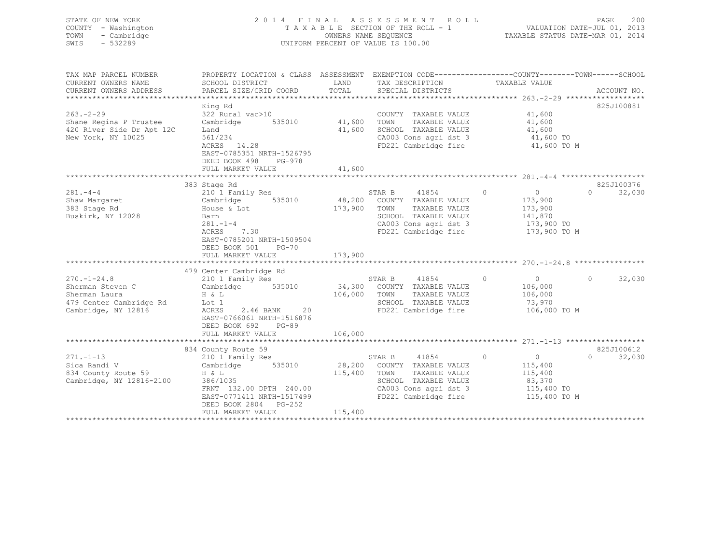| STATE OF NEW YORK<br>COUNTY - Washington<br>TOWN<br>- Cambridge<br>SWIS<br>$-532289$                      |                                                                                                                                                                                        |                                           | 2014 FINAL ASSESSMENT ROLL<br>T A X A B L E SECTION OF THE ROLL - 1 WALUATION DATE-JUL 01, 2013<br>OWNERS NAME SEQUENCE TAXABLE STATUS DATE-MAR 01, 2014<br>UNIFORM PERCENT OF VALUE IS 100.00 |                                                                                                 | PAGE<br>200                      |
|-----------------------------------------------------------------------------------------------------------|----------------------------------------------------------------------------------------------------------------------------------------------------------------------------------------|-------------------------------------------|------------------------------------------------------------------------------------------------------------------------------------------------------------------------------------------------|-------------------------------------------------------------------------------------------------|----------------------------------|
| TAX MAP PARCEL NUMBER<br>CURRENT OWNERS NAME<br>CURRENT OWNERS ADDRESS<br>******************************* | PROPERTY LOCATION & CLASS ASSESSMENT EXEMPTION CODE---------------COUNTY-------TOWN-----SCHOOL<br>SCHOOL DISTRICT<br>PARCEL SIZE/GRID COORD                                            | LAND<br>TOTAL                             | TAX DESCRIPTION<br>SPECIAL DISTRICTS                                                                                                                                                           | TAXABLE VALUE                                                                                   | ACCOUNT NO.                      |
| $263 - 2 - 29$<br>Shane Regina P Trustee<br>420 River Side Dr Apt 12C<br>New York, NY 10025               | King Rd<br>322 Rural vac>10<br>Cambridge 535010<br>Land<br>561/234<br>ACRES 14.28<br>EAST-0785351 NRTH-1526795<br>DEED BOOK 498 PG-978<br>FULL MARKET VALUE                            | COUNTY<br>41,600 TOWN<br>41,600<br>41,600 | COUNTY TAXABLE VALUE<br>TAXABLE VALUE<br>SCHOOL TAXABLE VALUE<br>CA003 Cons agri dst 3<br>FD221 Cambridge fire                                                                                 | 41,600<br>41,600<br>$41,600$<br>$41,600$ TO<br>41,600 TO M                                      | 825J100881                       |
|                                                                                                           |                                                                                                                                                                                        |                                           |                                                                                                                                                                                                |                                                                                                 |                                  |
|                                                                                                           | 383 Stage Rd                                                                                                                                                                           |                                           |                                                                                                                                                                                                |                                                                                                 | 825J100376                       |
| $281 - 4 - 4$<br>Shaw Margaret<br>383 Stage Rd<br>Buskirk, NY 12028                                       | 210 1 Family Res<br>Cambridge 535010<br>House & Lot<br>Barn<br>$281 - 1 - 4$<br>ACRES 7.30<br>EAST-0785201 NRTH-1509504<br>DEED BOOK 501 PG-70<br>FULL MARKET VALUE                    | 173,900 TOWN<br>173,900                   | STAR B<br>41854<br>48,200 COUNTY TAXABLE VALUE<br>TAXABLE VALUE<br>SCHOOL TAXABLE VALUE<br>CA003 Cons agri dst 3<br>FD221 Cambridge fire                                                       | $\overline{0}$<br>$\overline{0}$<br>173,900<br>173,900<br>141,870<br>173,900 TO<br>173,900 TO M | $\Omega$<br>32,030               |
|                                                                                                           |                                                                                                                                                                                        |                                           |                                                                                                                                                                                                |                                                                                                 |                                  |
| $270. - 1 - 24.8$<br>Sherman Steven C<br>Sherman Laura<br>479 Center Cambridge Rd<br>Cambridge, NY 12816  | 479 Center Cambridge Rd<br>210 1 Family Res<br>Cambridge 535010<br>H & L<br>Lot 1<br>ACRES<br>2.46 BANK<br>20<br>EAST-0766061 NRTH-1516876<br>DEED BOOK 692 PG-89                      | 106,000 TOWN                              | STAR B 41854<br>34,300 COUNTY TAXABLE VALUE<br>TAXABLE VALUE<br>SCHOOL TAXABLE VALUE<br>FD221 Cambridge fire                                                                                   | $\overline{0}$<br>$\overline{0}$<br>106,000<br>106,000<br>73,970<br>106,000 TO M                | 32,030<br>$\Omega$               |
|                                                                                                           | FULL MARKET VALUE                                                                                                                                                                      | 106,000                                   |                                                                                                                                                                                                |                                                                                                 |                                  |
|                                                                                                           |                                                                                                                                                                                        |                                           |                                                                                                                                                                                                |                                                                                                 |                                  |
| $271. - 1 - 13$<br>Sica Randi V<br>834 County Route 59<br>Cambridge, NY 12816-2100                        | 834 County Route 59<br>210 1 Family Res<br>Cambridge 535010<br>H & L<br>386/1035<br>FRNT 132.00 DPTH 240.00<br>EAST-0771411 NRTH-1517499<br>DEED BOOK 2804 PG-252<br>FULL MARKET VALUE | 115,400                                   | 41854<br>STAR B<br>28,200 COUNTY TAXABLE VALUE<br>115,400 TOWN<br>TAXABLE VALUE<br>SCHOOL TAXABLE VALUE<br>CA003 Cons agri dst 3<br>FD221 Cambridge fire                                       | $\circ$<br>$\overline{0}$<br>115,400<br>115,400<br>83,370<br>115,400 TO<br>115,400 TO M         | 825J100612<br>$\Omega$<br>32,030 |
| ************************                                                                                  |                                                                                                                                                                                        |                                           |                                                                                                                                                                                                |                                                                                                 |                                  |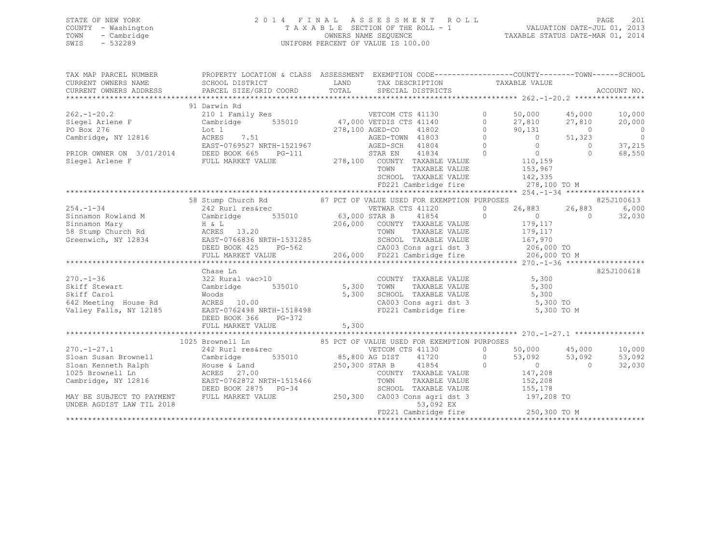| STATE OF NEW YORK   | 2014 FINAL ASSESSMENT ROLL         | - 201<br>PAGE                    |
|---------------------|------------------------------------|----------------------------------|
| COUNTY - Washington | TAXABLE SECTION OF THE ROLL - 1    | VALUATION DATE-JUL 01, 2013      |
| TOWN<br>- Cambridge | OWNERS NAME SEOUENCE               | TAXABLE STATUS DATE-MAR 01, 2014 |
| SWIS<br>- 532289    | UNIFORM PERCENT OF VALUE IS 100.00 |                                  |

| TAX MAP PARCEL NUMBER     | PROPERTY LOCATION & CLASS ASSESSMENT EXEMPTION CODE----------------COUNTY-------TOWN------SCHOOL                                                                                                                                                        |       |                                                                                                                             |                                                                                                                                                                 |                |                |
|---------------------------|---------------------------------------------------------------------------------------------------------------------------------------------------------------------------------------------------------------------------------------------------------|-------|-----------------------------------------------------------------------------------------------------------------------------|-----------------------------------------------------------------------------------------------------------------------------------------------------------------|----------------|----------------|
|                           | 91 Darwin Rd                                                                                                                                                                                                                                            |       |                                                                                                                             |                                                                                                                                                                 |                |                |
|                           |                                                                                                                                                                                                                                                         |       |                                                                                                                             | 50,000 45,000                                                                                                                                                   |                | 10,000         |
|                           |                                                                                                                                                                                                                                                         |       |                                                                                                                             | 27,810 27,810                                                                                                                                                   |                | 20,000         |
|                           |                                                                                                                                                                                                                                                         |       |                                                                                                                             | 90,131                                                                                                                                                          | $\overline{0}$ | $\overline{0}$ |
|                           | 262.-1-20.2<br>210 1 210 1 Family Res<br>210 1 Family Res<br>210 1 Family Res<br>276<br>278,100 AGED-CO<br>278,100 AGED-CO<br>278,100 AGED-CO<br>278,100 AGED-CO<br>278,100 AGED-CO<br>278,100 AGED-CO<br>278,100 AGED-CO<br>278,100 AGED-CO<br>278,100 |       |                                                                                                                             | $90,131$<br>0 51,323                                                                                                                                            |                | $\overline{0}$ |
|                           |                                                                                                                                                                                                                                                         |       |                                                                                                                             |                                                                                                                                                                 | $\overline{0}$ | 37,215         |
|                           |                                                                                                                                                                                                                                                         |       |                                                                                                                             | $\begin{matrix} 0 && 0 \\ 0 && 0 \\ 0 && 110,159 \end{matrix}$ VALUE                                                                                            | $\Omega$       | 68,550         |
|                           |                                                                                                                                                                                                                                                         |       |                                                                                                                             |                                                                                                                                                                 |                |                |
|                           |                                                                                                                                                                                                                                                         |       | TOWN<br>TAXABLE VALUE                                                                                                       | 153,967                                                                                                                                                         |                |                |
|                           |                                                                                                                                                                                                                                                         |       | SCHOOL TAXABLE VALUE 142,335<br>FD221 Cambridge fire 278,100 TO M                                                           |                                                                                                                                                                 |                |                |
|                           |                                                                                                                                                                                                                                                         |       |                                                                                                                             |                                                                                                                                                                 |                |                |
|                           |                                                                                                                                                                                                                                                         |       |                                                                                                                             |                                                                                                                                                                 |                |                |
|                           | 58 Stump Church Rd 87 PCT OF VALUE USED FOR EXEMPTION PURPOSES                                                                                                                                                                                          |       |                                                                                                                             |                                                                                                                                                                 |                | 825J100613     |
|                           | 242 Rurl res&rec                                                                                                                                                                                                                                        |       |                                                                                                                             |                                                                                                                                                                 | 26,883 26,883  | 6,000          |
|                           |                                                                                                                                                                                                                                                         |       |                                                                                                                             |                                                                                                                                                                 |                | 32,030         |
|                           |                                                                                                                                                                                                                                                         |       |                                                                                                                             | $\begin{array}{cccc} 41854 & 0 & 0 & \textcolor{red}{\textbf{7}} & 0 \\ \texttt{TAXABLE VALUE} & 179,117 & 0 \\ \texttt{TAXABLE VALUE} & 179,117 & \end{array}$ |                |                |
|                           |                                                                                                                                                                                                                                                         |       |                                                                                                                             |                                                                                                                                                                 |                |                |
|                           |                                                                                                                                                                                                                                                         |       |                                                                                                                             |                                                                                                                                                                 |                |                |
|                           |                                                                                                                                                                                                                                                         |       |                                                                                                                             |                                                                                                                                                                 |                |                |
|                           |                                                                                                                                                                                                                                                         |       |                                                                                                                             |                                                                                                                                                                 |                |                |
|                           |                                                                                                                                                                                                                                                         |       |                                                                                                                             |                                                                                                                                                                 |                |                |
|                           | Chase Ln                                                                                                                                                                                                                                                |       |                                                                                                                             |                                                                                                                                                                 |                | 825J100618     |
| $270. - 1 - 36$           | 322 Rural vac>10                                                                                                                                                                                                                                        |       | COUNTY TAXABLE VALUE 5,300                                                                                                  |                                                                                                                                                                 |                |                |
|                           | Cambridge 535010 5,300<br>Woods<br>Skiff Stewart Cambridge 535010 5,300<br>Skiff Carol Moods 5,300<br>642 Meeting House Rd ACRES 10.00 5,300<br>Valley Falls, NY 12185 EAST-0762498 NRTH-1518498                                                        |       | TOWN TAXABLE VALUE 5,300<br>SCHOOL TAXABLE VALUE 5,300<br>CA003 Cons agri dst 3 5,300 TO<br>FD221 Cambridge fire 5,300 TO M |                                                                                                                                                                 |                |                |
|                           |                                                                                                                                                                                                                                                         |       |                                                                                                                             |                                                                                                                                                                 |                |                |
|                           |                                                                                                                                                                                                                                                         |       |                                                                                                                             |                                                                                                                                                                 |                |                |
|                           |                                                                                                                                                                                                                                                         |       |                                                                                                                             |                                                                                                                                                                 |                |                |
|                           | DEED BOOK 366 PG-372                                                                                                                                                                                                                                    |       |                                                                                                                             |                                                                                                                                                                 |                |                |
|                           | FULL MARKET VALUE                                                                                                                                                                                                                                       | 5,300 |                                                                                                                             |                                                                                                                                                                 |                |                |
|                           |                                                                                                                                                                                                                                                         |       |                                                                                                                             |                                                                                                                                                                 |                |                |
|                           | 1025 Brownell Ln 85 PCT OF VALUE USED FOR EXEMPTION PURPOSES                                                                                                                                                                                            |       |                                                                                                                             |                                                                                                                                                                 |                |                |
| $270. - 1 - 27.1$         |                                                                                                                                                                                                                                                         |       |                                                                                                                             |                                                                                                                                                                 | 50,000 45,000  | 10,000         |
| Sloan Susan Brownell      |                                                                                                                                                                                                                                                         |       |                                                                                                                             |                                                                                                                                                                 |                | 53,092         |
| Sloan Kenneth Ralph       |                                                                                                                                                                                                                                                         |       |                                                                                                                             |                                                                                                                                                                 |                | 32,030         |
| 1025 Brownell Ln          |                                                                                                                                                                                                                                                         |       |                                                                                                                             |                                                                                                                                                                 |                |                |
| Cambridge, NY 12816       |                                                                                                                                                                                                                                                         |       |                                                                                                                             |                                                                                                                                                                 |                |                |
|                           |                                                                                                                                                                                                                                                         |       |                                                                                                                             |                                                                                                                                                                 |                |                |
| MAY BE SUBJECT TO PAYMENT | 1025 Brownell Lu<br>242 Rurl res&rec<br>Cambridge 535010 85,800 AG DIST 41720 0 50,000 45,000<br>House & Land<br>ACRES 27.00 COUNTY TAXABLE VALUE<br>DEED BOOK 2875 PG-34 SCHOOL TAXABLE VALUE<br>250,300 STAR B 41854 0 0 0 0<br>COUNTY TAX            |       |                                                                                                                             |                                                                                                                                                                 |                |                |
| UNDER AGDIST LAW TIL 2018 |                                                                                                                                                                                                                                                         |       |                                                                                                                             |                                                                                                                                                                 |                |                |
|                           |                                                                                                                                                                                                                                                         |       | 53,092 EX<br>FD221 Cambridge fire 250,300 TO M                                                                              |                                                                                                                                                                 |                |                |
|                           |                                                                                                                                                                                                                                                         |       |                                                                                                                             |                                                                                                                                                                 |                |                |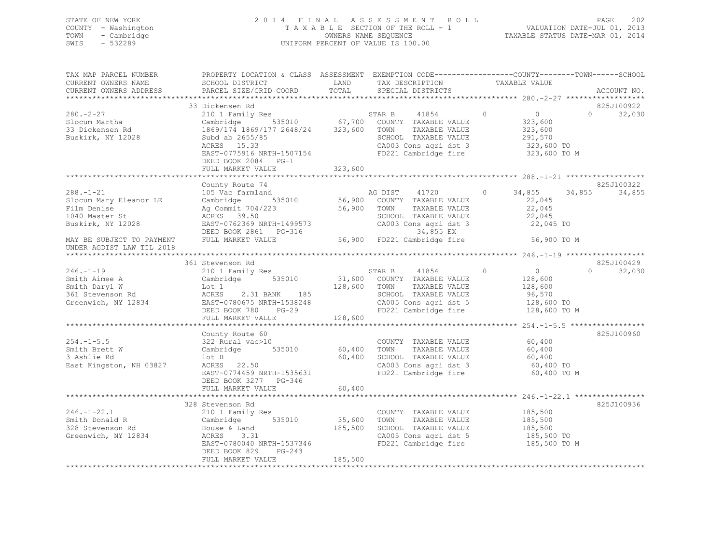## STATE OF NEW YORK 2 0 1 4 F I N A L A S S E S S M E N T R O L L PAGE 202 COUNTY - Washington T A X A B L E SECTION OF THE ROLL - 1 VALUATION DATE-JUL 01, 2013 TOWN - Cambridge OWNERS NAME SEQUENCE TAXABLE STATUS DATE-MAR 01, 2014 SWIS - 532289 UNIFORM PERCENT OF VALUE IS 100.00

| TAX MAP PARCEL NUMBER<br>CURRENT OWNERS NAME                                                    | PROPERTY LOCATION & CLASS ASSESSMENT EXEMPTION CODE---------------COUNTY-------TOWN------SCHOOL<br>SCHOOL DISTRICT                                                                                                                                                                  | LAND          | TAX DESCRIPTION TAXABLE VALUE                                                                                                     |                                                                            |                                  |
|-------------------------------------------------------------------------------------------------|-------------------------------------------------------------------------------------------------------------------------------------------------------------------------------------------------------------------------------------------------------------------------------------|---------------|-----------------------------------------------------------------------------------------------------------------------------------|----------------------------------------------------------------------------|----------------------------------|
| CURRENT OWNERS ADDRESS                                                                          | PARCEL SIZE/GRID COORD                                                                                                                                                                                                                                                              | TOTAL         | SPECIAL DISTRICTS                                                                                                                 |                                                                            | ACCOUNT NO.                      |
|                                                                                                 | 33 Dickensen Rd                                                                                                                                                                                                                                                                     |               |                                                                                                                                   |                                                                            | 825J100922                       |
| $280 - 2 - 27$<br>Slocum Martha<br>Slocum Martina<br>33 Dickensen Rd<br>Buskirk, NY 12028       | 210 1 Family Res STAR B 41854<br>Cambridge 535010 67,700 COUNTY TAXABLE VALUE<br>Cambridge 535010 67,700 COUNTY TAXABLE VALUE<br>1869/174 1869/177 2648/24 323,600 TOWN TAXABLE VALUE<br>Subd ab 2655/85<br>ACRES 15.33<br>EAST-0775916 NRTH-1507154<br>DEED BOOK 2084 PG-1         |               | STAR B 41854<br>SCHOOL TAXABLE VALUE<br>CA003 Cons agri dst 3 323,600 TO<br>FD221 Cambridge fire 323,600 TO M                     | $\begin{array}{c}\n0 \\ 323\n\end{array}$<br>$\circ$<br>323,600<br>291,570 | $\Omega$<br>32,030               |
|                                                                                                 | FULL MARKET VALUE                                                                                                                                                                                                                                                                   | 323,600       |                                                                                                                                   |                                                                            |                                  |
|                                                                                                 |                                                                                                                                                                                                                                                                                     |               |                                                                                                                                   |                                                                            |                                  |
| $288. - 1 - 21$<br>Slocum Mary Eleanor LE<br>Film Denise<br>1040 Master St<br>Buskirk, NY 12028 | County Route 74<br>Ag Commit 704/223<br>ACRES 39.50<br>ACRES 39.50<br>EAST-0762369 NRTH-1499573<br>DEED BOOK 2861 PG-316 66,900 FD221 Cambridge fire<br>FULL MARKET VALUE 56,900 FD221 Cambridge fire                                                                               |               | SCHOOL TAXABLE VALUE<br>SCHOOL TAXABLE VALUE 22,045<br>CA003 Cons agri dst 3 22,045 TO                                            |                                                                            | 825J100322<br>34,855<br>34,855   |
| MAY BE SUBJECT TO PAYMENT                                                                       |                                                                                                                                                                                                                                                                                     |               |                                                                                                                                   | 56,900 TO M                                                                |                                  |
| UNDER AGDIST LAW TIL 2018                                                                       |                                                                                                                                                                                                                                                                                     |               |                                                                                                                                   |                                                                            |                                  |
|                                                                                                 | 361 Stevenson Rd                                                                                                                                                                                                                                                                    |               |                                                                                                                                   |                                                                            |                                  |
| $246. - 1 - 19$                                                                                 | 210 1 Family Res                                                                                                                                                                                                                                                                    |               | STAR B 41854                                                                                                                      | $\overline{0}$<br>$\Omega$                                                 | 825J100429<br>32,030<br>$\Omega$ |
|                                                                                                 | Smith Aimee A<br>Smith Aimee A<br>Smith Daryl W<br>361 Stevenson Rd<br>361 Stevenson Rd<br>361 Stevenson Rd<br>361 Stevenson Rd<br>361 Stevenson Rd<br>361 Stevenson Rd<br>361 Stevenson Rd<br>361 Stevenson Rd<br>361 Stevenson Rd<br>361 Stevenson R<br>FULL MARKET VALUE 128,600 |               |                                                                                                                                   |                                                                            |                                  |
|                                                                                                 |                                                                                                                                                                                                                                                                                     |               |                                                                                                                                   |                                                                            |                                  |
| $254. -1 - 5.5$<br>Smith Brett W<br>3 Ashlie Rd<br>East Kingston, NH 03827                      | County Route 60<br>Councy Route bu<br>322 Rural vac>10<br>Cambridge 535010 60,400 TOWN<br>.50<br>lot B<br>ACRES 22.50<br>EAST-0774459 NRTH-1535631                                                                                                                                  | 60,400        | COUNTY TAXABLE VALUE<br>SCHOOL TAXABLE VALUE 60,400<br>CA003 Cons agri dst 3 60,400 TO<br>FD221 Cambridge fire                    | 60,400<br>TAXABLE VALUE 60,400<br>60,400 TO M                              | 825J100960                       |
|                                                                                                 | DEED BOOK 3277 PG-346<br>FULL MARKET VALUE                                                                                                                                                                                                                                          | 60,400        |                                                                                                                                   |                                                                            |                                  |
|                                                                                                 |                                                                                                                                                                                                                                                                                     |               |                                                                                                                                   |                                                                            |                                  |
| $246. - 1 - 22.1$<br>Smith Donald R<br>328 Stevenson Rd<br>Greenwich, NY 12834                  | 328 Stevenson Rd<br>210 1 Family Res<br>Cambridge 535010<br>House & Land 185,500<br>ACRES 3.31<br>ACRES 3.31<br>EAST-0780040 NRTH-1537346<br>DEED BOOK 829 PG-243                                                                                                                   | $35,600$ TOWN | COUNTY TAXABLE VALUE<br>TAXABLE VALUE<br>SCHOOL TAXABLE VALUE 185,500<br>CA005 Cons agri dst 5 185,500 TO<br>FD221 Cambridge fire | 185,500<br>185,500<br>185,500 TO M                                         | 825J100936                       |
|                                                                                                 | FULL MARKET VALUE                                                                                                                                                                                                                                                                   | 185,500       |                                                                                                                                   |                                                                            |                                  |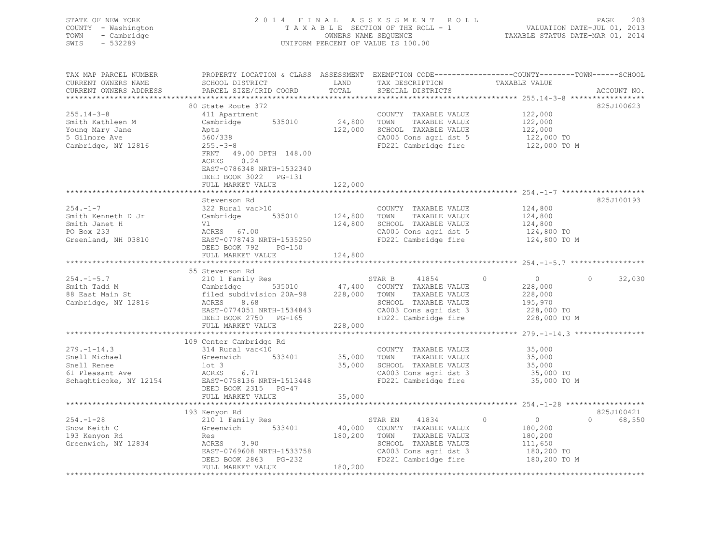| STATE OF NEW YORK<br>COUNTY - Washington<br>TOWN - Cambridge<br>SWIS - 532289 |                                                                                                           |      | 2014 FINAL ASSESSMENT ROLL<br>TAXABLE SECTION OF THE ROLL - 1<br>OWNERS NAME SEOUENCE<br>UNIFORM PERCENT OF VALUE IS 100.00 | TAXABLE STATUS DATE-MAR 01, 2014                                              | PAGE<br>VALUATION DATE-JUL 01, 2013 | -203 |
|-------------------------------------------------------------------------------|-----------------------------------------------------------------------------------------------------------|------|-----------------------------------------------------------------------------------------------------------------------------|-------------------------------------------------------------------------------|-------------------------------------|------|
| TAX MAP PARCEL NUMBER<br>CURRENT OWNERS NAME<br>CURRENT OWNERS ADDRESS        | PROPERTY LOCATION & CLASS ASSESSMENT<br>SCHOOL DISTRICT<br>PARCEL SIZE/GRID COORD TOTAL SPECIAL DISTRICTS | LAND | TAX DESCRIPTION                                                                                                             | EXEMPTION CODE-----------------COUNTY-------TOWN------SCHOOL<br>TAXABLE VALUE | ACCOUNT NO.                         |      |

|                        | 80 State Route 372        |              |                                    |                                  | 825J100623         |
|------------------------|---------------------------|--------------|------------------------------------|----------------------------------|--------------------|
| $255.14 - 3 - 8$       | 411 Apartment             |              | COUNTY TAXABLE VALUE               | 122,000                          |                    |
| Smith Kathleen M       | Cambridge<br>535010       | 24,800       | TOWN<br>TAXABLE VALUE              | 122,000                          |                    |
| Young Mary Jane        | Apts                      | 122,000      | SCHOOL TAXABLE VALUE               | 122,000                          |                    |
| 5 Gilmore Ave          | 560/338                   |              | CA005 Cons agri dst 5              | 122,000 TO                       |                    |
| Cambridge, NY 12816    | $255. - 3 - 8$            |              | FD221 Cambridge fire               | 122,000 TO M                     |                    |
|                        | 49.00 DPTH 148.00<br>FRNT |              |                                    |                                  |                    |
|                        | ACRES<br>0.24             |              |                                    |                                  |                    |
|                        | EAST-0786348 NRTH-1532340 |              |                                    |                                  |                    |
|                        | DEED BOOK 3022 PG-131     |              |                                    |                                  |                    |
|                        | FULL MARKET VALUE         | 122,000      |                                    |                                  |                    |
|                        |                           |              |                                    |                                  |                    |
|                        | Stevenson Rd              |              |                                    |                                  | 825J100193         |
| $254. -1 - 7$          | 322 Rural vac>10          |              | COUNTY TAXABLE VALUE               | 124,800                          |                    |
| Smith Kenneth D Jr     | Cambridge<br>535010       | 124,800      | TOWN<br>TAXABLE VALUE              | 124,800                          |                    |
| Smith Janet H          | Vl                        | 124,800      | SCHOOL TAXABLE VALUE               | 124,800                          |                    |
| PO Box 233             | ACRES 67.00               |              | CA005 Cons agri dst 5              | 124,800 TO                       |                    |
|                        | EAST-0778743 NRTH-1535250 |              | FD221 Cambridge fire               |                                  |                    |
| Greenland, NH 03810    |                           |              |                                    | 124,800 TO M                     |                    |
|                        | DEED BOOK 792<br>PG-150   |              |                                    |                                  |                    |
|                        | FULL MARKET VALUE         | 124,800      |                                    |                                  |                    |
|                        |                           |              |                                    |                                  |                    |
|                        | 55 Stevenson Rd           |              |                                    |                                  |                    |
| $254. -1 - 5.7$        | 210 1 Family Res          |              | STAR B<br>41854                    | $\overline{0}$<br>$\overline{0}$ | 32,030<br>$\Omega$ |
| Smith Tadd M           | Cambridge                 |              | 535010 47,400 COUNTY TAXABLE VALUE | 228,000                          |                    |
| 88 East Main St        | filed subdivision 20A-98  | 228,000 TOWN | TAXABLE VALUE                      | 228,000                          |                    |
| Cambridge, NY 12816    | 8.68<br>ACRES             |              | SCHOOL TAXABLE VALUE               | 195,970                          |                    |
|                        | EAST-0774051 NRTH-1534843 |              | CA003 Cons agri dst 3              | 228,000 TO                       |                    |
|                        | DEED BOOK 2750 PG-165     |              | FD221 Cambridge fire               | 228,000 TO M                     |                    |
|                        | FULL MARKET VALUE         | 228,000      |                                    |                                  |                    |
|                        |                           |              |                                    |                                  |                    |
|                        | 109 Center Cambridge Rd   |              |                                    |                                  |                    |
| $279. - 1 - 14.3$      | 314 Rural vac<10          |              | COUNTY TAXABLE VALUE               | 35,000                           |                    |
| Snell Michael          | Greenwich<br>533401       | 35,000       | TAXABLE VALUE<br>TOWN              | 35,000                           |                    |
| Snell Renee            | lot 3                     | 35,000       | SCHOOL TAXABLE VALUE               | 35,000                           |                    |
| 61 Pleasant Ave        | 6.71<br>ACRES             |              | CA003 Cons agri dst 3              | 35,000 TO                        |                    |
| Schaghticoke, NY 12154 | EAST-0758136 NRTH-1513448 |              | FD221 Cambridge fire               | 35,000 TO M                      |                    |
|                        | DEED BOOK 2315 PG-47      |              |                                    |                                  |                    |
|                        | FULL MARKET VALUE         | 35,000       |                                    |                                  |                    |
|                        |                           |              |                                    |                                  |                    |
|                        | 193 Kenyon Rd             |              |                                    |                                  | 825J100421         |
| $254. -1 - 28$         | 210 1 Family Res          |              | STAR EN<br>41834                   | $\circ$<br>$\overline{0}$        | $\Omega$<br>68,550 |
| Snow Keith C           | 533401<br>Greenwich       | 40,000       | COUNTY TAXABLE VALUE               | 180,200                          |                    |
| 193 Kenyon Rd          | Res                       | 180,200      | TOWN<br>TAXABLE VALUE              | 180,200                          |                    |
| Greenwich, NY 12834    | ACRES 3.90                |              | SCHOOL TAXABLE VALUE               | 111,650                          |                    |
|                        | EAST-0769608 NRTH-1533758 |              | CA003 Cons agri dst 3              | 180,200 TO                       |                    |
|                        | DEED BOOK 2863 PG-232     |              | FD221 Cambridge fire               | 180,200 TO M                     |                    |

FULL MARKET VALUE 180,200 \*\*\*\*\*\*\*\*\*\*\*\*\*\*\*\*\*\*\*\*\*\*\*\*\*\*\*\*\*\*\*\*\*\*\*\*\*\*\*\*\*\*\*\*\*\*\*\*\*\*\*\*\*\*\*\*\*\*\*\*\*\*\*\*\*\*\*\*\*\*\*\*\*\*\*\*\*\*\*\*\*\*\*\*\*\*\*\*\*\*\*\*\*\*\*\*\*\*\*\*\*\*\*\*\*\*\*\*\*\*\*\*\*\*\*\*\*\*\*\*\*\*\*\*\*\*\*\*\*\*\*\*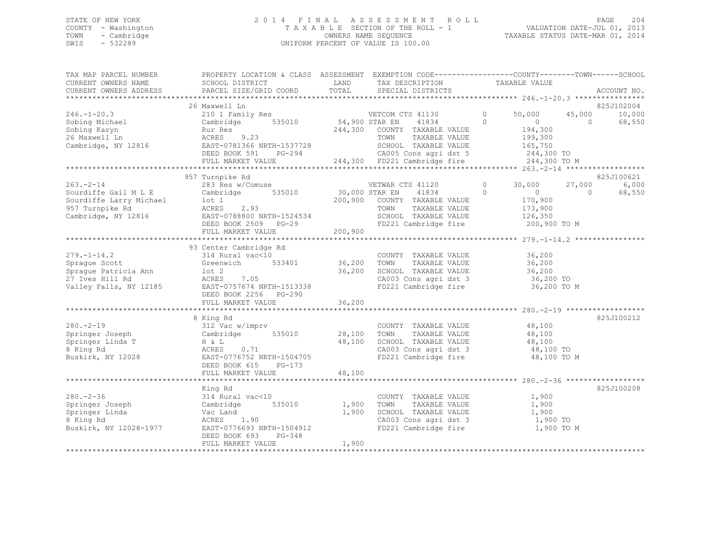## STATE OF NEW YORK 2 0 1 4 F I N A L A S S E S S M E N T R O L L PAGE 204 COUNTY - Washington T A X A B L E SECTION OF THE ROLL - 1 VALUATION DATE-JUL 01, 2013 TOWN - Cambridge OWNERS NAME SEQUENCE TAXABLE STATUS DATE-MAR 01, 2014 SWIS - 532289 UNIFORM PERCENT OF VALUE IS 100.00

| TAX MAP PARCEL NUMBER<br>CURRENT OWNERS NAME<br>CURRENT OWNERS ADDRESS                                  | PROPERTY LOCATION & CLASS ASSESSMENT EXEMPTION CODE----------------COUNTY-------TOWN------SCHOOL<br>SCHOOL DISTRICT<br>PARCEL SIZE/GRID COORD                                                                                                                                                                            | LAND                           | TAX DESCRIPTION<br>TOTAL SPECIAL DISTRICTS                                                                                                                                                                                  | TAXABLE VALUE                                                    | ACCOUNT NO.                                               |
|---------------------------------------------------------------------------------------------------------|--------------------------------------------------------------------------------------------------------------------------------------------------------------------------------------------------------------------------------------------------------------------------------------------------------------------------|--------------------------------|-----------------------------------------------------------------------------------------------------------------------------------------------------------------------------------------------------------------------------|------------------------------------------------------------------|-----------------------------------------------------------|
|                                                                                                         |                                                                                                                                                                                                                                                                                                                          |                                |                                                                                                                                                                                                                             |                                                                  |                                                           |
|                                                                                                         | 26 Maxwell Ln                                                                                                                                                                                                                                                                                                            |                                |                                                                                                                                                                                                                             |                                                                  | 825J102004                                                |
| $246. - 1 - 20.3$<br>Sobing Michael<br>Sobing Karyn<br>26 Maxwell Ln<br>Cambridge, NY 12816             | 210 1 Family Res WETCOM CTS 41130<br>Cambridge<br>Rur Res<br>9.23<br>ACRES<br>EAST-0781366 NRTH-1537728 SCHOOL TAXABLE VALUE 165,750<br>DEED BOOK 591 PG-294 CA005 Cons agri dst 5 244,300 TO<br>FULL MARKET VALUE 244,300 FD221 Cambridge fire 244,300 TO                                                               | 535010 54,900 STAR EN          | 41834 0<br>244,300 COUNTY TAXABLE VALUE<br>TAXABLE VALUE<br>TOWN                                                                                                                                                            | $\overline{0}$<br>50,000<br>$\overline{0}$<br>194,300<br>199,300 | 45,000<br>10,000<br>$\bigcap$<br>68,550                   |
|                                                                                                         |                                                                                                                                                                                                                                                                                                                          |                                |                                                                                                                                                                                                                             | 244,300 TO M                                                     |                                                           |
|                                                                                                         |                                                                                                                                                                                                                                                                                                                          |                                |                                                                                                                                                                                                                             |                                                                  |                                                           |
| $263. - 2 - 14$                                                                                         | 957 Turnpike Rd<br>283 Res w/Comuse<br>Comparing to the Cambridge S35010 30,000 STAR EN 41834 0<br>Sourdiffe Gail M L E Cambridge 535010 30,000 STAR EN 41834 0<br>Sourdiffe Larry Michael Lot 1 200,900 COUNTY TAXABLE VALUE<br>Cambridge, NY 12816 EAST-0788800 NRTH-1524<br>DEED BOOK 2509 PG-29<br>FULL MARKET VALUE | 200,900                        | VETWAR CTS 41120<br>TAXABLE VALUE<br>FD221 Cambridge fire 200,900 TO M                                                                                                                                                      | $0 \t 30,000$<br>$\overline{0}$<br>170,900<br>173,900<br>126,350 | 825J100621<br>27,000<br>6,000<br>$\overline{0}$<br>68,550 |
|                                                                                                         |                                                                                                                                                                                                                                                                                                                          |                                |                                                                                                                                                                                                                             |                                                                  |                                                           |
|                                                                                                         | 93 Center Cambridge Rd<br>DEED BOOK 2256 PG-290                                                                                                                                                                                                                                                                          |                                | COUNTY TAXABLE VALUE 36,200<br>TAXABLE VALUE<br>$36,200$ SCHOOL TAXABLE VALUE $36,200$<br>$(2003 \text{ Cons } \text{ATT} \text{ dist } 3)$ $36,200$<br>CA003 Cons agri dst 3 36,200 TO<br>FD221 Cambridge fire 36,200 TO M | 36,200                                                           |                                                           |
|                                                                                                         | FULL MARKET VALUE                                                                                                                                                                                                                                                                                                        | 36,200                         |                                                                                                                                                                                                                             |                                                                  |                                                           |
|                                                                                                         |                                                                                                                                                                                                                                                                                                                          |                                |                                                                                                                                                                                                                             |                                                                  |                                                           |
| $280 - 2 - 19$<br>Springer Joseph<br>Springer Linda T<br>8 King Rd                                      | 8 King Rd<br>$312$ Vac w/imprv<br>Cambridge 535010 28,100 TOWN<br>$H & L$<br>ACRES 0.71<br>Buskirk, NY 12028 EAST-0776752 NRTH-1504705<br>DEED BOOK 615 PG-173                                                                                                                                                           | 48,100                         | COUNTY TAXABLE VALUE<br>TOWN TAXABLE VALUE<br>SCHOOL TAXABLE VALUE $48,100$<br>CA003 Cons agri dst 3 $48,100$ TO<br>FD221 Cambridge fire $48,100$ TO M                                                                      | 48,100<br>48,100                                                 | 825J100212                                                |
|                                                                                                         | FULL MARKET VALUE                                                                                                                                                                                                                                                                                                        | 48,100                         |                                                                                                                                                                                                                             |                                                                  |                                                           |
|                                                                                                         | King Rd                                                                                                                                                                                                                                                                                                                  |                                |                                                                                                                                                                                                                             |                                                                  | 825J100208                                                |
| $280 - 2 - 36$<br>Springer Joseph<br>Springer Linda<br>8 King Rd<br>8 King Rd<br>Buskirk, NY 12028-1977 | 314 Rural vac<10<br>Cambridge<br>Vac Land<br>ACRES 1.90<br>EAST-0776693 NRTH-1504912<br>DEED BOOK 693<br>PG-348<br>FULL MARKET VALUE                                                                                                                                                                                     | 535010 1,900<br>1,900<br>1,900 | COUNTY TAXABLE VALUE<br>TAXABLE VALUE<br>TOWN<br>SCHOOL TAXABLE VALUE 1,900<br>CA003 Cons agri dst 3 1,900 TO<br>FD221 Cambridge fire                                                                                       | 1,900<br>1,900<br>1,900 TO M                                     |                                                           |
|                                                                                                         |                                                                                                                                                                                                                                                                                                                          |                                |                                                                                                                                                                                                                             |                                                                  |                                                           |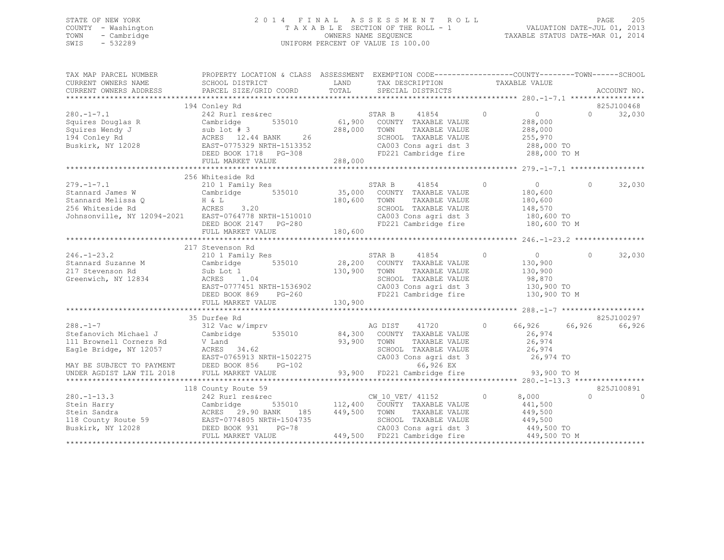## STATE OF NEW YORK 2 0 1 4 F I N A L A S S E S S M E N T R O L L PAGE 205 COUNTY - Washington T A X A B L E SECTION OF THE ROLL - 1 VALUATION DATE-JUL 01, 2013 TOWN - Cambridge OWNERS NAME SEQUENCE TAXABLE STATUS DATE-MAR 01, 2014 SWIS - 532289 UNIFORM PERCENT OF VALUE IS 100.00

| TAX MAP PARCEL NUMBER<br>CURRENT OWNERS NAME                                                                   | PROPERTY LOCATION & CLASS ASSESSMENT EXEMPTION CODE----------------COUNTY-------TOWN------SCHOOL<br>SCHOOL DISTRICT                                                                                                 | LAND                                  | TAX DESCRIPTION                                                                                                                                                                        | TAXABLE VALUE  |                                                                               |          |                        |
|----------------------------------------------------------------------------------------------------------------|---------------------------------------------------------------------------------------------------------------------------------------------------------------------------------------------------------------------|---------------------------------------|----------------------------------------------------------------------------------------------------------------------------------------------------------------------------------------|----------------|-------------------------------------------------------------------------------|----------|------------------------|
| CURRENT OWNERS ADDRESS                                                                                         | PARCEL SIZE/GRID COORD                                                                                                                                                                                              | TOTAL                                 | SPECIAL DISTRICTS                                                                                                                                                                      |                |                                                                               |          | ACCOUNT NO.            |
|                                                                                                                | 194 Conley Rd                                                                                                                                                                                                       |                                       |                                                                                                                                                                                        |                |                                                                               |          | 825J100468             |
| $280. -1 - 7.1$<br>Squires Douglas R<br>Squires Wendy J<br>194 Conlev Rd<br>194 Conley Rd<br>Buskirk, NY 12028 | 242 Rurl res&rec STAR B<br>Cambridge<br>sub lot $# 3$<br>ACRES 12.44 BANK<br>EAST-0775329 NRTH-1513352<br>DEED BOOK 1718 PG-308<br>FULL MARKET VALUE                                                                | $288,000$ TOWN<br>26<br>26<br>288,000 | 41854<br>535010 61,900 COUNTY TAXABLE VALUE<br>TAXABLE VALUE<br>SCHOOL TAXABLE VALUE<br>CA003 Cons agri dst 3 288,000 TO<br>FD221 Cambridge fire 288,000 TO M                          | $\overline{0}$ | $\overline{0}$<br>288,000<br>288,000<br>255,970                               |          | 32,030<br>$\Omega$     |
|                                                                                                                | 256 Whiteside Rd                                                                                                                                                                                                    |                                       |                                                                                                                                                                                        |                |                                                                               |          |                        |
| $279. - 1 - 7.1$<br>Stannard Melissa O<br>256 Whiteside Rd                                                     | 210 1 Family Res<br>Stannard James W Cambridge 7 535010 35,000 COUNTY TAXABLE VALUE<br>$H$ & L<br>ACRES 3.20<br>Johnsonville, NY 12094-2021 EAST-0764778 NRTH-1510010<br>DEED BOOK 2147 PG-280<br>FULL MARKET VALUE | 180,600 TOWN<br>180,600               | STAR B<br>41854<br>TAXABLE VALUE<br>SCHOOL TAXABLE VALUE<br>CA003 Cons agri dst 3<br>FD221 Cambridge fire                                                                              | $\circ$        | $\overline{0}$<br>180,600<br>180,600<br>148,570<br>180,600 TO<br>180,600 TO M | $\Omega$ | 32,030                 |
|                                                                                                                |                                                                                                                                                                                                                     |                                       |                                                                                                                                                                                        |                |                                                                               |          |                        |
| $246. - 1 - 23.2$<br>Stannard Suzanne M<br>217 Stevenson Rd<br>Greenwich, NY 12834                             | 217 Stevenson Rd<br>210 1 Family Res<br>Cambridge 535010<br>Sub Lot 1<br>ACRES 1.04<br>EAST-0777451 NRTH-1536902<br>DEED BOOK 869 PG-260<br>DEED BOOK 869 PG-260<br>FULL MARKET VALUE                               | 130,900 TOWN<br>130,900               | STAR B<br>41854<br>28,200 COUNTY TAXABLE VALUE<br>TAXABLE VALUE<br>SCHOOL TAXABLE VALUE<br>CA003 Cons agri dst 3 130,900 TO<br>FD221 Cambridge fire                                    | $\circ$        | $\overline{0}$<br>130,900<br>130,900<br>98,870<br>130,900 TO M                | $\Omega$ | 32,030                 |
|                                                                                                                |                                                                                                                                                                                                                     |                                       |                                                                                                                                                                                        |                |                                                                               |          |                        |
| $288. - 1 - 7$<br>Stefanovich Michael J<br>111 Brownell Corners Rd<br>Eagle Bridge, NY 12057                   | 35 Durfee Rd<br>312 Vac w/imprv<br>Cambridge 535010<br>V Land<br>ACRES 34.62<br>EAST-0765913 NRTH-1502275                                                                                                           | 93,900                                | AG DIST<br>41720<br>84,300 COUNTY TAXABLE VALUE<br>TOWN<br>TAXABLE VALUE<br>SCHOOL TAXABLE VALUE 26,974<br>CA003 Cons agri dst 3 26,974 TO<br>66,926 EX<br>93,900 FD221 Cambridge fire | $\circ$        | 66,926 66,926<br>26,974<br>26,974                                             |          | 825J100297<br>66,926   |
|                                                                                                                |                                                                                                                                                                                                                     |                                       |                                                                                                                                                                                        |                |                                                                               |          |                        |
| $280. - 1 - 13.3$<br>Stein Harry<br>Stein Sandra                                                               | 118 County Route 59<br>242 Rurl res&rec<br>Cambridge 535<br>ACRES 29.90 BANK<br>118 County Route 59<br>Buskirk, NY 12028 <b>EAST-0774805 NRTH-1504735</b><br>DEED BOOK 931 PG-78<br>IKTH-1504735<br>PG-78           | 185 449,500                           | CW 10 VET/ 41152<br>535010 112,400 COUNTY TAXABLE VALUE<br>TOWN<br>TAXABLE VALUE<br>SCHOOL TAXABLE VALUE<br>CA003 Cons agri dst 3                                                      | $\circ$        | 8,000<br>441,500<br>449,500<br>449,500<br>449,500 TO                          | $\cap$   | 825J100891<br>$\Omega$ |
|                                                                                                                | FULL MARKET VALUE                                                                                                                                                                                                   |                                       | 449,500 FD221 Cambridge fire                                                                                                                                                           |                | 449,500 TO M                                                                  |          |                        |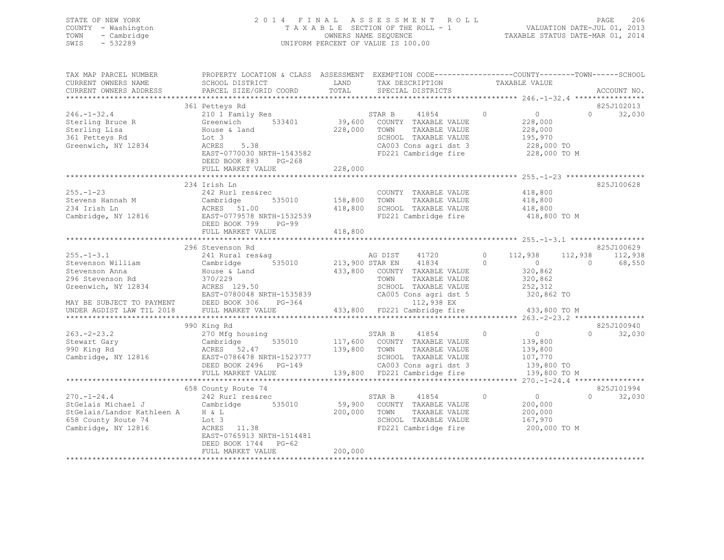## STATE OF NEW YORK 2 0 1 4 F I N A L A S S E S S M E N T R O L L PAGE 206 COUNTY - Washington T A X A B L E SECTION OF THE ROLL - 1 VALUATION DATE-JUL 01, 2013 TOWN - Cambridge OWNERS NAME SEQUENCE TAXABLE STATUS DATE-MAR 01, 2014 SWIS - 532289 UNIFORM PERCENT OF VALUE IS 100.00

| TAX MAP PARCEL NUMBER<br>CURRENT OWNERS NAME<br>CURRENT OWNERS ADDRESS                                                                                       | PROPERTY LOCATION & CLASS ASSESSMENT<br>SCHOOL DISTRICT<br>PARCEL SIZE/GRID COORD                                                                                                              | LAND<br>TOTAL                 | EXEMPTION CODE-----------------COUNTY-------TOWN------SCHOOL<br>TAX DESCRIPTION<br>SPECIAL DISTRICTS                                                                                 | TAXABLE VALUE                                                                                             | ACCOUNT NO.                                                             |
|--------------------------------------------------------------------------------------------------------------------------------------------------------------|------------------------------------------------------------------------------------------------------------------------------------------------------------------------------------------------|-------------------------------|--------------------------------------------------------------------------------------------------------------------------------------------------------------------------------------|-----------------------------------------------------------------------------------------------------------|-------------------------------------------------------------------------|
|                                                                                                                                                              | 361 Petteys Rd                                                                                                                                                                                 |                               |                                                                                                                                                                                      |                                                                                                           | 825J102013                                                              |
| $246. - 1 - 32.4$<br>Sterling Bruce R<br>Sterling Lisa<br>361 Petteys Rd<br>Greenwich, NY 12834                                                              | 210 1 Family Res<br>Greenwich<br>533401<br>House & land<br>Lot 3<br>5.38<br>ACRES<br>EAST-0770030 NRTH-1543582<br>DEED BOOK 883<br>$PG-268$                                                    | 39,600<br>228,000             | 41854<br>STAR B<br>COUNTY TAXABLE VALUE<br>TOWN<br>TAXABLE VALUE<br>SCHOOL TAXABLE VALUE<br>CA003 Cons agri dst 3<br>FD221 Cambridge fire                                            | 0<br>$\circ$<br>228,000<br>228,000<br>195,970<br>228,000 TO<br>228,000 TO M                               | $\Omega$<br>32,030                                                      |
|                                                                                                                                                              | FULL MARKET VALUE                                                                                                                                                                              | 228,000                       |                                                                                                                                                                                      |                                                                                                           |                                                                         |
| $255. - 1 - 23$<br>Stevens Hannah M<br>234 Irish Ln<br>Cambridge, NY 12816                                                                                   | 234 Irish Ln<br>242 Rurl res&rec<br>535010<br>Cambridge<br>ACRES 51.00<br>EAST-0779578 NRTH-1532539<br>DEED BOOK 799<br>$PG-99$<br>FULL MARKET VALUE                                           | 158,800<br>418,800<br>418,800 | COUNTY TAXABLE VALUE<br>TAXABLE VALUE<br>TOWN<br>SCHOOL TAXABLE VALUE<br>FD221 Cambridge fire                                                                                        | 418,800<br>418,800<br>418,800<br>418,800 TO M                                                             | 825J100628                                                              |
|                                                                                                                                                              |                                                                                                                                                                                                |                               |                                                                                                                                                                                      |                                                                                                           |                                                                         |
| $255. - 1 - 3.1$<br>Stevenson William<br>Stevenson Anna<br>296 Stevenson Rd<br>Greenwich, NY 12834<br>MAY BE SUBJECT TO PAYMENT<br>UNDER AGDIST LAW TIL 2018 | 296 Stevenson Rd<br>241 Rural res&ag<br>535010<br>Cambridge<br>House & Land<br>370/229<br>ACRES 129.50<br>EAST-0780048 NRTH-1535839<br>DEED BOOK 306<br>$PG-364$<br>FULL MARKET VALUE          | 433,800<br>433,800            | AG DIST<br>41720<br>41834<br>213,900 STAR EN<br>COUNTY TAXABLE VALUE<br>TAXABLE VALUE<br>TOWN<br>SCHOOL TAXABLE VALUE<br>CA005 Cons agri dst 5<br>112,938 EX<br>FD221 Cambridge fire | $\Omega$<br>112,938<br>$\Omega$<br>$\circ$<br>320,862<br>320,862<br>252,312<br>320,862 TO<br>433,800 TO M | 825J100629<br>112,938<br>112,938<br>$\Omega$<br>68,550                  |
|                                                                                                                                                              |                                                                                                                                                                                                |                               |                                                                                                                                                                                      |                                                                                                           | **** 263.-2-23.2 ****************                                       |
| $263. - 2 - 23.2$<br>Stewart Gary<br>990 King Rd<br>Cambridge, NY 12816                                                                                      | 990 King Rd<br>270 Mfg housing<br>535010<br>Cambridge<br>ACRES 52.47<br>EAST-0786478 NRTH-1523777<br>DEED BOOK 2496<br>$PG-149$                                                                | 117,600<br>139,800            | STAR B<br>41854<br>COUNTY TAXABLE VALUE<br>TOWN<br>TAXABLE VALUE<br>SCHOOL TAXABLE VALUE<br>CA003 Cons agri dst 3                                                                    | $\circ$<br>0<br>139,800<br>139,800<br>107,770<br>139,800 TO                                               | 825J100940<br>$\Omega$<br>32,030                                        |
|                                                                                                                                                              | FULL MARKET VALUE                                                                                                                                                                              | 139,800                       | FD221 Cambridge fire                                                                                                                                                                 | 139,800 TO M                                                                                              |                                                                         |
| $270. - 1 - 24.4$<br>StGelais Michael J<br>StGelais/Landor Kathleen A<br>658 County Route 74<br>Cambridge, NY 12816                                          | ******************************<br>658 County Route 74<br>242 Rurl res&rec<br>Cambridge<br>535010<br>H & L<br>Lot 3<br>ACRES<br>11.38<br>EAST-0765913 NRTH-1514481<br>DEED BOOK 1744<br>$PG-62$ | 59,900<br>200,000             | *********************************<br>41854<br>STAR B<br>COUNTY TAXABLE VALUE<br>TAXABLE VALUE<br>TOWN<br>SCHOOL TAXABLE VALUE<br>FD221 Cambridge fire                                | $\circ$<br>$\circ$<br>200,000<br>200,000<br>167,970<br>200,000 TO M                                       | $270, -1 - 24, 4$ *****************<br>825J101994<br>$\Omega$<br>32,030 |
|                                                                                                                                                              | FULL MARKET VALUE                                                                                                                                                                              | 200,000                       |                                                                                                                                                                                      |                                                                                                           |                                                                         |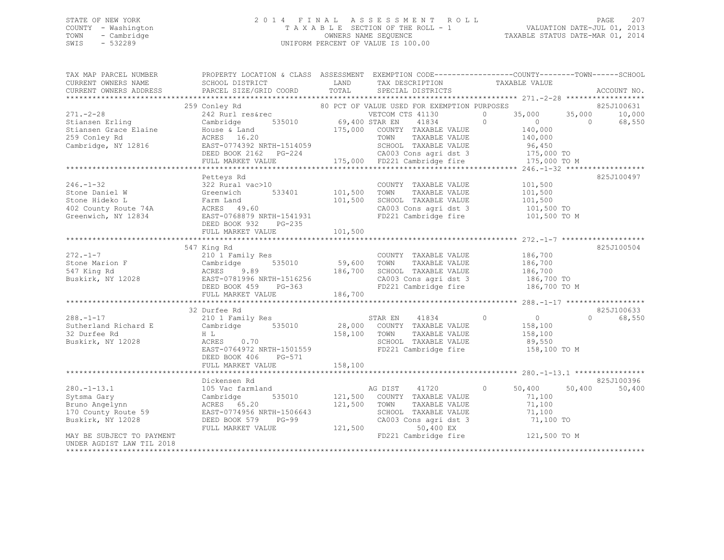## STATE OF NEW YORK 2 0 1 4 F I N A L A S S E S S M E N T R O L L PAGE 207 COUNTY - Washington T A X A B L E SECTION OF THE ROLL - 1 VALUATION DATE-JUL 01, 2013 TOWN - Cambridge OWNERS NAME SEQUENCE TAXABLE STATUS DATE-MAR 01, 2014 SWIS - 532289 UNIFORM PERCENT OF VALUE IS 100.00

| TAX MAP PARCEL NUMBER<br>CURRENT OWNERS NAME<br>CURRENT OWNERS ADDRESS | PROPERTY LOCATION & CLASS ASSESSMENT EXEMPTION CODE---------------COUNTY-------TOWN-----SCHOOL<br>SCHOOL DISTRICT<br>PARCEL SIZE/GRID COORD | LAND<br>TOTAL  | TAX DESCRIPTION<br>SPECIAL DISTRICTS          | TAXABLE VALUE              | ACCOUNT NO.        |
|------------------------------------------------------------------------|---------------------------------------------------------------------------------------------------------------------------------------------|----------------|-----------------------------------------------|----------------------------|--------------------|
|                                                                        |                                                                                                                                             |                |                                               |                            | * * * * * *        |
|                                                                        | 259 Conley Rd                                                                                                                               |                | 80 PCT OF VALUE USED FOR EXEMPTION PURPOSES   |                            | 825J100631         |
| $271. - 2 - 28$                                                        | 242 Rurl res&rec                                                                                                                            |                | VETCOM CTS 41130                              | $\Omega$<br>35,000         | 35,000<br>10,000   |
| Stiansen Erling                                                        | 535010<br>Cambridge                                                                                                                         | 69,400 STAR EN | 41834                                         | $\Omega$<br>$\overline{0}$ | 68,550<br>$\Omega$ |
| Stiansen Grace Elaine                                                  | House & Land                                                                                                                                |                | 175,000 COUNTY TAXABLE VALUE                  | 140,000                    |                    |
| 259 Conley Rd<br>Cambridge, NY 12816                                   | ACRES 16.20<br>EAST-0774392 NRTH-1514059                                                                                                    |                | TAXABLE VALUE<br>TOWN<br>SCHOOL TAXABLE VALUE | 140,000<br>96,450          |                    |
|                                                                        | DEED BOOK 2162    PG-224                                                                                                                    |                | CA003 Cons agri dst 3                         | 175,000 TO                 |                    |
|                                                                        | FULL MARKET VALUE                                                                                                                           |                | 175,000 FD221 Cambridge fire                  | 175,000 TO M               |                    |
|                                                                        |                                                                                                                                             |                |                                               |                            |                    |
|                                                                        | Petteys Rd                                                                                                                                  |                |                                               |                            | 825J100497         |
| $246. - 1 - 32$                                                        | 322 Rural vac>10                                                                                                                            |                | COUNTY TAXABLE VALUE                          | 101,500                    |                    |
| Stone Daniel W                                                         | 533401<br>Greenwich                                                                                                                         | 101,500        | TOWN<br>TAXABLE VALUE                         | 101,500                    |                    |
| Stone Hideko L                                                         | Farm Land                                                                                                                                   | 101,500        | SCHOOL TAXABLE VALUE                          | 101,500                    |                    |
| 402 County Route 74A                                                   | ACRES 49.60                                                                                                                                 |                | CA003 Cons agri dst 3                         | 101,500 TO                 |                    |
| Greenwich, NY 12834                                                    | EAST-0768879 NRTH-1541931                                                                                                                   |                | FD221 Cambridge fire                          | 101,500 TO M               |                    |
|                                                                        | DEED BOOK 932<br>$PG-235$                                                                                                                   |                |                                               |                            |                    |
|                                                                        | FULL MARKET VALUE                                                                                                                           | 101,500        |                                               |                            |                    |
|                                                                        |                                                                                                                                             |                |                                               |                            |                    |
|                                                                        | 547 King Rd                                                                                                                                 |                |                                               |                            | 825J100504         |
| $272 - 1 - 7$                                                          | 210 1 Family Res                                                                                                                            |                | COUNTY TAXABLE VALUE                          | 186,700                    |                    |
| Stone Marion F                                                         | 535010<br>Cambridge                                                                                                                         | 59,600         | TOWN<br>TAXABLE VALUE                         | 186,700                    |                    |
| 547 King Rd                                                            | ACRES<br>9.89                                                                                                                               | 186,700        | SCHOOL TAXABLE VALUE                          | 186,700                    |                    |
| Buskirk, NY 12028                                                      | EAST-0781996 NRTH-1516256                                                                                                                   |                | CA003 Cons agri dst 3                         | 186,700 TO                 |                    |
|                                                                        | DEED BOOK 459<br>PG-363                                                                                                                     |                | FD221 Cambridge fire                          | 186,700 TO M               |                    |
|                                                                        | FULL MARKET VALUE                                                                                                                           | 186,700        |                                               |                            |                    |
|                                                                        | 32 Durfee Rd                                                                                                                                |                |                                               |                            | 825J100633         |
| $288. - 1 - 17$                                                        | 210 1 Family Res                                                                                                                            |                | STAR EN 41834                                 | $\circ$<br>$\overline{0}$  | $\Omega$<br>68,550 |
| Sutherland Richard E                                                   | 535010<br>Cambridge                                                                                                                         |                | 28,000 COUNTY TAXABLE VALUE                   | 158,100                    |                    |
| 32 Durfee Rd                                                           | H L                                                                                                                                         | 158,100        | TOWN<br>TAXABLE VALUE                         | 158,100                    |                    |
| Buskirk, NY 12028                                                      | 0.70<br>ACRES                                                                                                                               |                | SCHOOL TAXABLE VALUE                          | 89,550                     |                    |
|                                                                        | EAST-0764972 NRTH-1501559                                                                                                                   |                | FD221 Cambridge fire                          | 158,100 TO M               |                    |
|                                                                        | DEED BOOK 406<br>PG-571                                                                                                                     |                |                                               |                            |                    |
|                                                                        | FULL MARKET VALUE                                                                                                                           | 158,100        |                                               |                            |                    |
|                                                                        |                                                                                                                                             |                |                                               |                            |                    |
|                                                                        | Dickensen Rd                                                                                                                                |                |                                               |                            | 825J100396         |
| $280. -1 - 13.1$                                                       | 105 Vac farmland                                                                                                                            |                | AG DIST<br>41720                              | $\circ$<br>50,400          | 50,400<br>50,400   |
| Sytsma Gary                                                            | 535010<br>Cambridge                                                                                                                         |                | 121,500 COUNTY TAXABLE VALUE                  | 71,100                     |                    |
| Bruno Angelynn                                                         | ACRES 65.20                                                                                                                                 | 121,500        | TOWN<br>TAXABLE VALUE                         | 71,100                     |                    |
| 170 County Route 59                                                    | EAST-0774956 NRTH-1506643                                                                                                                   |                | SCHOOL TAXABLE VALUE                          | 71,100                     |                    |
| Buskirk, NY 12028                                                      | DEED BOOK 579<br>$PG-99$                                                                                                                    |                | CA003 Cons agri dst 3                         | 71,100 TO                  |                    |
|                                                                        | FULL MARKET VALUE                                                                                                                           | 121,500        | 50,400 EX                                     |                            |                    |
| MAY BE SUBJECT TO PAYMENT                                              |                                                                                                                                             |                | FD221 Cambridge fire                          | 121,500 TO M               |                    |
| UNDER AGDIST LAW TIL 2018                                              |                                                                                                                                             |                |                                               |                            |                    |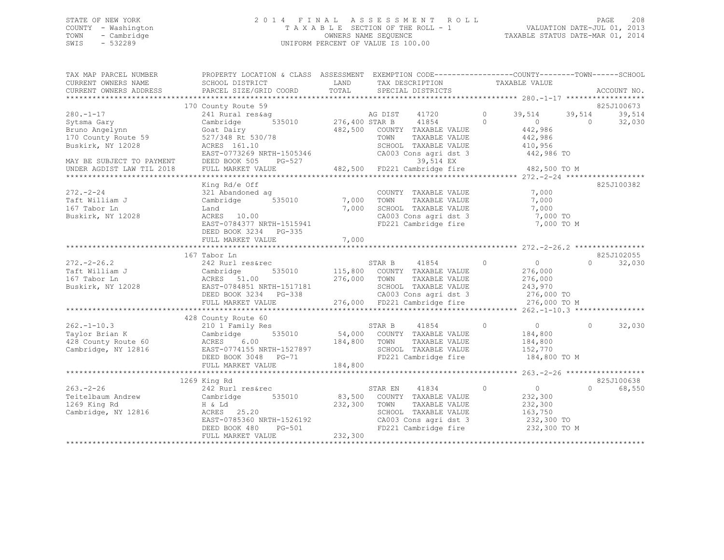## STATE OF NEW YORK 2 0 1 4 F I N A L A S S E S S M E N T R O L L PAGE 208 COUNTY - Washington T A X A B L E SECTION OF THE ROLL - 1 VALUATION DATE-JUL 01, 2013 TOWN - Cambridge OWNERS NAME SEQUENCE TAXABLE STATUS DATE-MAR 01, 2014 SWIS - 532289 UNIFORM PERCENT OF VALUE IS 100.00

| TAX MAP PARCEL NUMBER<br>CURRENT OWNERS NAME<br>CURRENT OWNERS ADDRESS | PROPERTY LOCATION & CLASS ASSESSMENT EXEMPTION CODE----------------COUNTY-------TOWN-----SCHOOL<br>SCHOOL DISTRICT<br>PARCEL SIZE/GRID COORD | LAND<br>TOTAL  | TAX DESCRIPTION<br>SPECIAL DISTRICTS                      |                | TAXABLE VALUE  |            | ACCOUNT NO. |
|------------------------------------------------------------------------|----------------------------------------------------------------------------------------------------------------------------------------------|----------------|-----------------------------------------------------------|----------------|----------------|------------|-------------|
|                                                                        |                                                                                                                                              |                |                                                           |                |                |            |             |
|                                                                        | 170 County Route 59                                                                                                                          |                |                                                           |                |                |            | 825J100673  |
| $280. - 1 - 17$                                                        | 241 Rural res&ag                                                                                                                             |                | AG DIST<br>41720                                          | $\circ$        | 39,514         | 39,514     | 39,514      |
| Sytsma Gary                                                            | 535010<br>Cambridge                                                                                                                          | 276,400 STAR B | 41854                                                     | $\Omega$       | $\Omega$       | $\bigcirc$ | 32,030      |
| Bruno Angelynn                                                         | Goat Dairy                                                                                                                                   |                | 482,500 COUNTY TAXABLE VALUE                              |                | 442,986        |            |             |
| 170 County Route 59                                                    | 527/348 Rt 530/78                                                                                                                            |                | TOWN<br>TAXABLE VALUE                                     |                | 442,986        |            |             |
| Buskirk, NY 12028                                                      | ACRES 161.10                                                                                                                                 |                | SCHOOL TAXABLE VALUE                                      |                | 410,956        |            |             |
|                                                                        | EAST-0773269 NRTH-1505346                                                                                                                    |                | CA003 Cons agri dst 3                                     |                | 442,986 TO     |            |             |
| MAY BE SUBJECT TO PAYMENT                                              | DEED BOOK 505<br>PG-527                                                                                                                      |                | 39,514 EX                                                 |                |                |            |             |
| UNDER AGDIST LAW TIL 2018                                              | FULL MARKET VALUE                                                                                                                            |                | 482,500 FD221 Cambridge fire                              |                | 482,500 TO M   |            |             |
|                                                                        |                                                                                                                                              |                |                                                           |                |                |            |             |
|                                                                        | King Rd/e Off                                                                                                                                |                |                                                           |                |                |            | 825J100382  |
| $272. - 2 - 24$                                                        | 321 Abandoned ag                                                                                                                             |                | COUNTY TAXABLE VALUE                                      |                | 7,000          |            |             |
| Taft William J                                                         | 535010<br>Cambridge                                                                                                                          | 7,000          | TOWN<br>TAXABLE VALUE                                     |                | 7,000          |            |             |
| 167 Tabor Ln                                                           | Land                                                                                                                                         | 7,000          | SCHOOL TAXABLE VALUE                                      |                | 7,000          |            |             |
| Buskirk, NY 12028                                                      | ACRES 10.00                                                                                                                                  |                | CA003 Cons agri dst 3                                     |                | 7,000 TO       |            |             |
|                                                                        | EAST-0784377 NRTH-1515941                                                                                                                    |                | FD221 Cambridge fire                                      |                | 7,000 TO M     |            |             |
|                                                                        | DEED BOOK 3234 PG-335                                                                                                                        |                |                                                           |                |                |            |             |
|                                                                        | FULL MARKET VALUE                                                                                                                            | 7,000          |                                                           |                |                |            |             |
|                                                                        |                                                                                                                                              |                |                                                           |                |                |            |             |
|                                                                        | 167 Tabor Ln                                                                                                                                 |                |                                                           |                |                |            | 825J102055  |
| $272 - 2 - 26.2$                                                       |                                                                                                                                              |                | 41854                                                     |                |                | $\cap$     |             |
|                                                                        | 242 Rurl res&rec                                                                                                                             |                | STAR B                                                    | $\overline{0}$ | $\overline{0}$ |            | 32,030      |
| Taft William J                                                         | 535010<br>Cambridge                                                                                                                          |                | 115,800 COUNTY TAXABLE VALUE                              |                | 276,000        |            |             |
| 167 Tabor Ln                                                           | ACRES 51.00                                                                                                                                  | 276,000 TOWN   | TAXABLE VALUE                                             |                | 276,000        |            |             |
| Buskirk, NY 12028                                                      | EAST-0784851 NRTH-1517181                                                                                                                    |                | SCHOOL TAXABLE VALUE                                      |                | 243,970        |            |             |
|                                                                        | DEED BOOK 3234 PG-338                                                                                                                        |                | CA003 Cons agri dst 3                                     |                | 276,000 TO     |            |             |
|                                                                        | FULL MARKET VALUE                                                                                                                            |                | 338 CA003 Cons agri dst 3<br>276,000 FD221 Cambridge fire |                | 276,000 TO M   |            |             |
|                                                                        |                                                                                                                                              |                |                                                           |                |                |            |             |
|                                                                        | 428 County Route 60                                                                                                                          |                |                                                           |                |                |            |             |
| $262. -1 - 10.3$                                                       | 210 1 Family Res                                                                                                                             |                | STAR B<br>41854                                           | $\Omega$       | $\overline{0}$ | $\Omega$   | 32,030      |
| Taylor Brian K                                                         | Cambridge<br>535010                                                                                                                          |                | 54,000 COUNTY TAXABLE VALUE                               |                | 184,800        |            |             |
| 428 County Route 60                                                    | ACRES<br>6.00                                                                                                                                | 184,800        | TOWN<br>TAXABLE VALUE                                     |                | 184,800        |            |             |
| Cambridge, NY 12816                                                    | EAST-0774155 NRTH-1527897                                                                                                                    |                | SCHOOL TAXABLE VALUE                                      |                | 152,770        |            |             |
|                                                                        | DEED BOOK 3048 PG-71                                                                                                                         |                | FD221 Cambridge fire                                      |                | 184,800 TO M   |            |             |
|                                                                        | FULL MARKET VALUE                                                                                                                            | 184,800        |                                                           |                |                |            |             |
|                                                                        |                                                                                                                                              |                |                                                           |                |                |            |             |
|                                                                        | 1269 King Rd                                                                                                                                 |                |                                                           |                |                |            | 825J100638  |
| $263 - 2 - 26$                                                         | 242 Rurl res&rec                                                                                                                             |                | 41834<br>STAR EN                                          | $\circ$        | $\overline{0}$ | $\cap$     | 68,550      |
| Teitelbaum Andrew                                                      | 535010<br>Cambridge                                                                                                                          | 83,500         | COUNTY TAXABLE VALUE                                      |                | 232,300        |            |             |
| 1269 King Rd                                                           | H & Ld                                                                                                                                       | 232,300        | TAXABLE VALUE<br>TOWN                                     |                | 232,300        |            |             |
| Cambridge, NY 12816                                                    | ACRES 25.20                                                                                                                                  |                | SCHOOL TAXABLE VALUE                                      |                | 163,750        |            |             |
|                                                                        | EAST-0785360 NRTH-1526192                                                                                                                    |                | CA003 Cons agri dst 3                                     |                | 232,300 TO     |            |             |
|                                                                        | DEED BOOK 480<br>PG-501                                                                                                                      |                | FD221 Cambridge fire                                      |                | 232,300 TO M   |            |             |
|                                                                        | FULL MARKET VALUE                                                                                                                            | 232,300        |                                                           |                |                |            |             |
|                                                                        |                                                                                                                                              |                |                                                           |                |                |            |             |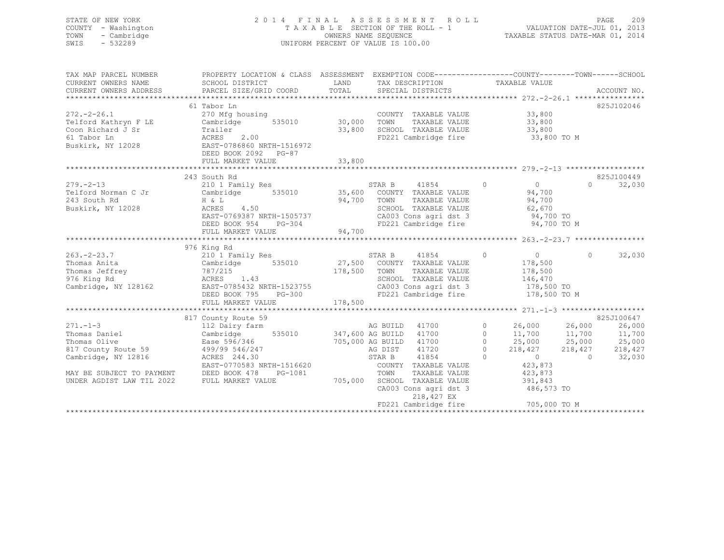## STATE OF NEW YORK 2 0 1 4 F I N A L A S S E S S M E N T R O L L PAGE 209 COUNTY - Washington T A X A B L E SECTION OF THE ROLL - 1 VALUATION DATE-JUL 01, 2013 TOWN - Cambridge OWNERS NAME SEQUENCE TAXABLE STATUS DATE-MAR 01, 2014 SWIS - 532289 UNIFORM PERCENT OF VALUE IS 100.00

| TAX MAP PARCEL NUMBER                | PROPERTY LOCATION & CLASS ASSESSMENT EXEMPTION CODE---------------COUNTY-------TOWN-----SCHOOL                                                                                                                                |        |                                                                                                             |                   |                                                |          |            |
|--------------------------------------|-------------------------------------------------------------------------------------------------------------------------------------------------------------------------------------------------------------------------------|--------|-------------------------------------------------------------------------------------------------------------|-------------------|------------------------------------------------|----------|------------|
|                                      | 61 Tabor Ln                                                                                                                                                                                                                   |        |                                                                                                             |                   |                                                |          | 825J102046 |
| $272. - 2 - 26.1$                    |                                                                                                                                                                                                                               |        | COUNTY TAXABLE VALUE 33,800                                                                                 |                   |                                                |          |            |
| Telford Kathryn F LE                 | 270 Mfg housing COUNT<br>Cambridge 535010 30,000 TOWN                                                                                                                                                                         |        | TAXABLE VALUE 33,800                                                                                        |                   |                                                |          |            |
|                                      |                                                                                                                                                                                                                               |        |                                                                                                             |                   |                                                |          |            |
|                                      |                                                                                                                                                                                                                               |        | SCHOOL TAXABLE VALUE 33,800<br>FD221 Cambridge fire 33,800 TO M                                             |                   |                                                |          |            |
|                                      | DEED BOOK 2092    PG-87                                                                                                                                                                                                       |        |                                                                                                             |                   |                                                |          |            |
|                                      | FULL MARKET VALUE                                                                                                                                                                                                             | 33,800 |                                                                                                             |                   |                                                |          |            |
|                                      |                                                                                                                                                                                                                               |        |                                                                                                             |                   |                                                |          |            |
|                                      | 243 South Rd                                                                                                                                                                                                                  |        |                                                                                                             |                   |                                                |          | 825J100449 |
|                                      |                                                                                                                                                                                                                               |        | STAR B 41854 0                                                                                              |                   | $\begin{array}{c}0\\94,700\end{array}$         | $\Omega$ | 32,030     |
|                                      |                                                                                                                                                                                                                               |        |                                                                                                             |                   |                                                |          |            |
|                                      | H & L<br>ACRES 4.50                                                                                                                                                                                                           |        | TAXABLE VALUE 94,700                                                                                        |                   |                                                |          |            |
| Buskirk, NY 12028                    |                                                                                                                                                                                                                               |        |                                                                                                             |                   |                                                |          |            |
|                                      | ACRES 4.50<br>EAST-0769387 NRTH-1505737<br>DEED BOOK 954 PG-304                                                                                                                                                               |        | SCHOOL TAXABLE VALUE 62,670<br>CA003 Cons agri dst 3 94,700 TO<br>FD221 Cambridge fire 94,700 TO M          |                   |                                                |          |            |
|                                      |                                                                                                                                                                                                                               |        |                                                                                                             |                   |                                                |          |            |
|                                      |                                                                                                                                                                                                                               |        |                                                                                                             |                   |                                                |          |            |
|                                      | 976 King Rd                                                                                                                                                                                                                   |        |                                                                                                             |                   |                                                |          |            |
| $263 - 2 - 23.7$                     | 210 1 Family Res                                                                                                                                                                                                              |        | STAR B<br>41854 0                                                                                           |                   | $\overline{0}$                                 | $\Omega$ | 32,030     |
|                                      |                                                                                                                                                                                                                               |        |                                                                                                             |                   |                                                |          |            |
|                                      | Thomas Anita (Cambridge 1935010 178,500 COUNTY TAXABLE VALUE 178,500 Thomas Jeffrey 178,500 787/215 178,500 178,500 27,500 TOWN TAXABLE VALUE 178,500 178,500 178,500 178,500 178,500 178,500 178,500 178,500 178,500 178,500 |        |                                                                                                             |                   |                                                |          |            |
|                                      |                                                                                                                                                                                                                               |        |                                                                                                             |                   |                                                |          |            |
|                                      |                                                                                                                                                                                                                               |        |                                                                                                             |                   |                                                |          |            |
|                                      | Cambridge, NY 128162 EAST-0785432 NRTH-1523755<br>DEED BOOK 795 PG-300                                                                                                                                                        |        | CA003 Cons agri dst 3 178,500 TO<br>FD221 Cambridge fire 178,500 TO M                                       |                   |                                                |          |            |
|                                      |                                                                                                                                                                                                                               |        |                                                                                                             |                   |                                                |          |            |
|                                      |                                                                                                                                                                                                                               |        |                                                                                                             |                   |                                                |          |            |
|                                      | 817 County Route 59                                                                                                                                                                                                           |        |                                                                                                             |                   |                                                |          | 825J100647 |
| $271. - 1 - 3$                       | 112 Dairy farm                                                                                                                                                                                                                |        | AG BUILD 41700                                                                                              | $0 \qquad \qquad$ | 26,000 26,000                                  |          | 26,000     |
| Thomas Daniel                        | Cambridge                                                                                                                                                                                                                     |        | 535010 347,600 AG BUILD 41700                                                                               |                   | 0 $11,700$ $11,700$                            |          | 11,700     |
| Thomas Olive                         |                                                                                                                                                                                                                               |        |                                                                                                             |                   | 0<br>0 25,<br>0 218,427<br>0<br>423,87?<br>2.8 |          | 25,000     |
| Mindmas Ullve<br>817 County Route 59 | Ease 596/346<br>499/99 546/247<br>ACRES 244.30                                                                                                                                                                                |        | 705,000 AG BUILD 41700<br>AG DIST 41720                                                                     |                   | 25,000 25,000<br>218,427 218,427               |          | 218,427    |
| Cambridge, NY 12816                  |                                                                                                                                                                                                                               |        | 41854<br>STAR B                                                                                             |                   |                                                | $\sim$ 0 | 32,030     |
|                                      | EAST-0770583 NRTH-1516620                                                                                                                                                                                                     |        | COUNTY TAXABLE VALUE<br>הערידי היה היה היהודים                                                              |                   |                                                |          |            |
|                                      | MAY BE SUBJECT TO PAYMENT DEED BOOK 478 PG-1081                                                                                                                                                                               |        |                                                                                                             |                   | 423,873<br>423,873                             |          |            |
| UNDER AGDIST LAW TIL 2022            | FULL MARKET VALUE                                                                                                                                                                                                             |        |                                                                                                             |                   |                                                |          |            |
|                                      |                                                                                                                                                                                                                               |        | 1081 TOWN TAXABLE VALUE 423,873<br>705,000 SCHOOL TAXABLE VALUE 391,843<br>CA003 Cons agri dst 3 486,573 TO |                   |                                                |          |            |
|                                      |                                                                                                                                                                                                                               |        | 218,427 EX                                                                                                  |                   |                                                |          |            |
|                                      |                                                                                                                                                                                                                               |        | FD221 Cambridge fire 705,000 TO M                                                                           |                   |                                                |          |            |
|                                      |                                                                                                                                                                                                                               |        |                                                                                                             |                   |                                                |          |            |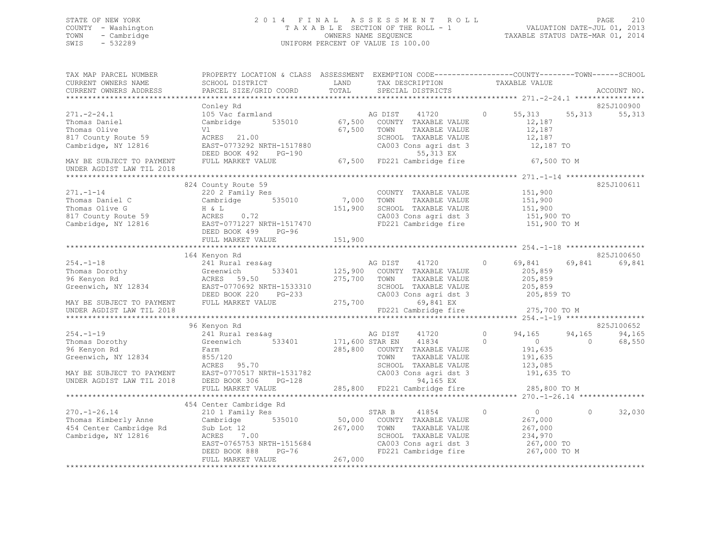# STATE OF NEW YORK<br>COUNTY - Washington 2013<br>2014 TAXABLE SECTION OF THE ROLL - 1 VALUATION DATE-JUL 01, 2013 COUNTY - Washington  $T A X A B L E$  SECTION OF THE ROLL - 1<br>TOWN - Cambridge  $\sim$  000NERS NAME SEQUENCE TOWN - Cambridge OWNERS NAME SEQUENCE TAXABLE STATUS DATE-MAR 01, 2014 UNIFORM PERCENT OF VALUE IS 100.00

| TAX MAP PARCEL NUMBER<br>CURRENT OWNERS NAME<br>CURRENT OWNERS ADDRESS                             | PROPERTY LOCATION & CLASS ASSESSMENT EXEMPTION CODE---------------COUNTY-------TOWN------SCHOOI<br>SCHOOL DISTRICT<br>PARCEL SIZE/GRID COORD | LAND<br>TOTAL   | TAX DESCRIPTION<br>SPECIAL DISTRICTS                                                           | TAXABLE VALUE                                    | ACCOUNT NO.                     |
|----------------------------------------------------------------------------------------------------|----------------------------------------------------------------------------------------------------------------------------------------------|-----------------|------------------------------------------------------------------------------------------------|--------------------------------------------------|---------------------------------|
|                                                                                                    |                                                                                                                                              |                 |                                                                                                |                                                  |                                 |
| $271. - 2 - 24.1$<br>Thomas Daniel                                                                 | Conley Rd<br>105 Vac farmland<br>Cambridge 535010                                                                                            |                 | AG DIST<br>41720<br>67,500 COUNTY TAXABLE VALUE                                                | $\circ$<br>55,313<br>12,187                      | 825J100900<br>55, 313<br>55,313 |
| Thomas Olive<br>817 County Route 59<br>Cambridge, NY 12816                                         | Vl<br>ACRES 21.00<br>EAST-0773292 NRTH-1517880                                                                                               | 67,500 TOWN     | TAXABLE VALUE<br>SCHOOL TAXABLE VALUE<br>CA003 Cons agri dst 3                                 | 12,187<br>12,187<br>12,187 TO                    |                                 |
| MAY BE SUBJECT TO PAYMENT<br>UNDER AGDIST LAW TIL 2018                                             | DEED BOOK 492 PG-190<br>FULL MARKET VALUE                                                                                                    |                 | 55,313 EX                                                                                      |                                                  |                                 |
|                                                                                                    | 824 County Route 59                                                                                                                          |                 |                                                                                                |                                                  | 825J100611                      |
| $271, -1 - 14$<br>Thomas Daniel C                                                                  | 220 2 Family Res<br>Cambridge 535010                                                                                                         | 7,000 TOWN      | COUNTY TAXABLE VALUE<br>TAXABLE VALUE                                                          | 151,900<br>151,900                               |                                 |
| Thomas Olive G<br>Filomas Ulive G<br>817 County Route 59 ACRES<br>Cambridge, NY 12816              | H & L<br>0.72<br>EAST-0771227 NRTH-1517470                                                                                                   | 151,900         | SCHOOL TAXABLE VALUE<br>CA003 Cons agri dst 3<br>FD221 Cambridge fire                          | 151,900<br>151,900 TO<br>151,900 TO M            |                                 |
|                                                                                                    | DEED BOOK 499<br>PG-96<br>FULL MARKET VALUE                                                                                                  | 151,900         |                                                                                                |                                                  |                                 |
|                                                                                                    |                                                                                                                                              |                 |                                                                                                |                                                  |                                 |
| $254. -1 - 18$                                                                                     | 164 Kenyon Rd<br>241 Rural res&ag                                                                                                            |                 | AG DIST<br>41720                                                                               | 69,841 69,841<br>$\circ$                         | 825J100650<br>69,841            |
| Thomas Dorothy<br>96 Kenyon Rd                                                                     | 533401<br>Greenwich<br>ACRES 59.50                                                                                                           | 275,700 TOWN    | 125,900 COUNTY TAXABLE VALUE<br>TAXABLE VALUE                                                  | 205,859<br>205,859                               |                                 |
| Greenwich, NY 12834                                                                                | EAST-0770692 NRTH-1533310<br>DEED BOOK 220<br>$PG-233$<br>LUE                                                                                |                 | SCHOOL TAXABLE VALUE<br>CA003 Cons agri dst 3                                                  | 205,859<br>205,859 TO                            |                                 |
| MAY BE SUBJECT TO PAYMENT<br>UNDER AGDIST LAW TIL 2018                                             | FULL MARKET VALUE                                                                                                                            | 275,700         | 69,841 EX<br>FD221 Cambridge fire 275,700 TO M                                                 |                                                  |                                 |
|                                                                                                    | 96 Kenyon Rd                                                                                                                                 |                 |                                                                                                |                                                  | 825J100652                      |
| $254. - 1 - 19$                                                                                    | 241 Rural res&ag                                                                                                                             |                 | AG DIST<br>41720                                                                               | $\circ$<br>94,165                                | 94,165<br>94,165                |
| Thomas Dorothy<br>96 Kenyon Rd                                                                     | Greenwich<br>533401<br>Farm                                                                                                                  | 171,600 STAR EN | 41834<br>285,800 COUNTY TAXABLE VALUE                                                          | $\circ$<br>$\sim$ 0<br>191,635                   | $\bigcirc$<br>68,550            |
| Greenwich, NY 12834                                                                                | 855/120<br>ACRES 95.70                                                                                                                       |                 | TOWN<br>TAXABLE VALUE<br>SCHOOL TAXABLE VALUE                                                  | 191,635<br>123,085                               |                                 |
| ACRES 95.70<br>MAY BE SUBJECT TO PAYMENT EAST-0770517 N<br>UNDER AGDIST LAW TIL 2018 DEED BOOK 306 | EAST-0770517 NRTH-1531782<br>DEED BOOK 306 PG-128                                                                                            |                 | CA003 Cons agri dst 3<br>94,165 EX                                                             | 191,635 TO                                       |                                 |
|                                                                                                    | FULL MARKET VALUE                                                                                                                            |                 | 285,800 FD221 Cambridge fire                                                                   | 285,800 TO M                                     |                                 |
|                                                                                                    | 454 Center Cambridge Rd                                                                                                                      |                 |                                                                                                |                                                  |                                 |
| $270. - 1 - 26.14$<br>Thomas Kimberly Anne                                                         | 210 1 Family Res<br>Cambridge 535010                                                                                                         |                 | STAR B 41854<br>50,000 COUNTY TAXABLE VALUE                                                    | $\circ$<br>$\overline{0}$<br>267,000             | 32,030<br>$\circ$               |
| Thomas nimerity<br>454 Center Cambridge Rd<br>Cambridge, NY 12816                                  | Sub Lot 12<br>ACRES 7.00<br>EAST-0765753 NRTH-1515684<br>DEED BOOK 888<br>PG-76                                                              | 267,000         | TOWN<br>TAXABLE VALUE<br>SCHOOL TAXABLE VALUE<br>CA003 Cons agri dst 3<br>FD221 Cambridge fire | 267,000<br>234,970<br>267,000 TO<br>267,000 TO M |                                 |
|                                                                                                    | FULL MARKET VALUE                                                                                                                            | 267,000         |                                                                                                |                                                  |                                 |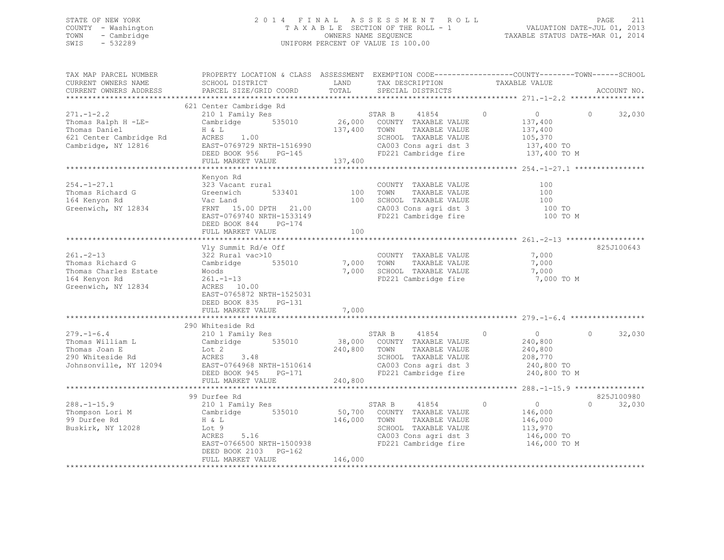## STATE OF NEW YORK 2 0 1 4 F I N A L A S S E S S M E N T R O L L PAGE 211 COUNTY - Washington T A X A B L E SECTION OF THE ROLL - 1 VALUATION DATE-JUL 01, 2013 TOWN - Cambridge OWNERS NAME SEQUENCE TAXABLE STATUS DATE-MAR 01, 2014 SWIS - 532289 UNIFORM PERCENT OF VALUE IS 100.00

| TAX MAP PARCEL NUMBER<br>CURRENT OWNERS NAME<br>CURRENT OWNERS ADDRESS                                    | PROPERTY LOCATION & CLASS ASSESSMENT EXEMPTION CODE----------------COUNTY-------TOWN------SCHOOL<br>SCHOOL DISTRICT<br>PARCEL SIZE/GRID COORD                                                    | LAND<br>TOTAL           | TAX DESCRIPTION<br>SPECIAL DISTRICTS                                                                                                             | TAXABLE VALUE                                                                                                 | ACCOUNT NO.        |
|-----------------------------------------------------------------------------------------------------------|--------------------------------------------------------------------------------------------------------------------------------------------------------------------------------------------------|-------------------------|--------------------------------------------------------------------------------------------------------------------------------------------------|---------------------------------------------------------------------------------------------------------------|--------------------|
|                                                                                                           |                                                                                                                                                                                                  |                         |                                                                                                                                                  |                                                                                                               |                    |
| $271. -1 - 2.2$<br>Thomas Ralph H -LE-<br>Thomas Daniel<br>621 Center Cambridge Rd<br>Cambridge, NY 12816 | 621 Center Cambridge Rd<br>210 1 Family Res<br>Cambridge 535010<br>H & L<br>$\text{ACRES}$ 1.00<br>$\text{FAAT-CTCTC}$<br>EAST-0769729 NRTH-1516990<br>DEED BOOK 956 PG-145<br>FULL MARKET VALUE | 137,400 TOWN<br>137,400 | STAR B<br>41854<br>26,000 COUNTY TAXABLE VALUE<br>TAXABLE VALUE<br>SCHOOL TAXABLE VALUE<br>CA003 Cons agri dst 3<br>FD221 Cambridge fire         | $\circ$<br>$\overline{0}$<br>137,400<br>137,400<br>105,370<br>137,400 TO<br>137,400 TO M                      | 32,030<br>$\circ$  |
|                                                                                                           |                                                                                                                                                                                                  |                         |                                                                                                                                                  |                                                                                                               |                    |
| $254. - 1 - 27.1$<br>Thomas Richard G<br>164 Kenyon Rd<br>Greenwich, NY 12834                             | Kenyon Rd<br>323 Vacant rural<br>Greenwich<br>533401<br>Vac Land<br>FRNT 15.00 DPTH 21.00<br>EAST-0769740 NRTH-1533149<br>$PG-174$<br>DEED BOOK 844                                              | 100<br>100              | COUNTY TAXABLE VALUE<br>TOWN<br>TAXABLE VALUE<br>SCHOOL TAXABLE VALUE<br>CA003 Cons agri dst 3<br>FD221 Cambridge fire                           | 100<br>100<br>100<br>100 TO<br>100 TO M                                                                       |                    |
|                                                                                                           | FULL MARKET VALUE                                                                                                                                                                                | 100                     |                                                                                                                                                  |                                                                                                               |                    |
| $261 - 2 - 13$<br>Thomas Richard G<br>Thomas Charles Estate<br>164 Kenyon Rd<br>Greenwich, NY 12834       | Vly Summit Rd/e Off<br>322 Rural vac>10<br>Cambridge<br>535010<br>Woods<br>$261. - 1 - 13$<br>ACRES 10.00<br>EAST-0765872 NRTH-1525031<br>DEED BOOK 835<br>PG-131                                | 7,000 TOWN              | COUNTY TAXABLE VALUE<br>TAXABLE VALUE<br>7,000 SCHOOL TAXABLE VALUE<br>FD221 Cambridge fire                                                      | 7,000<br>7,000<br>7,000<br>7,000 TO M                                                                         | 825J100643         |
|                                                                                                           | FULL MARKET VALUE                                                                                                                                                                                | 7,000                   |                                                                                                                                                  |                                                                                                               |                    |
|                                                                                                           |                                                                                                                                                                                                  |                         |                                                                                                                                                  |                                                                                                               |                    |
| $279. - 1 - 6.4$<br>Thomas William L<br>Thomas Joan E<br>290 Whiteside Rd<br>Johnsonville, NY 12094       | 290 Whiteside Rd<br>210 1 Family Res<br>535010<br>Cambridge<br>Lot 2<br>ACRES 3.48<br>EAST-0764968 NRTH-1510614<br>DEED BOOK 945<br>$PG-171$                                                     | 240,800                 | 41854<br>STAR B<br>38,000 COUNTY TAXABLE VALUE<br>TOWN<br>TAXABLE VALUE<br>SCHOOL TAXABLE VALUE<br>CA003 Cons agri dst 3<br>FD221 Cambridge fire | $\circ$<br>$\overline{0}$<br>240,800<br>240,800<br>208,770<br>240,800 TO<br>240,800 TO M                      | $\Omega$<br>32,030 |
|                                                                                                           | FULL MARKET VALUE                                                                                                                                                                                | 240,800                 |                                                                                                                                                  |                                                                                                               |                    |
|                                                                                                           | 99 Durfee Rd                                                                                                                                                                                     |                         |                                                                                                                                                  |                                                                                                               | 825J100980         |
| $288. - 1 - 15.9$<br>Thompson Lori M<br>99 Durfee Rd<br>Buskirk, NY 12028                                 | 210 1 Family Res<br>Cambridge 535010<br>H & L<br>Lot 9<br>5.16<br>ACRES<br>EAST-0766500 NRTH-1500938<br>DEED BOOK 2103 PG-162                                                                    | 146,000 TOWN            | 41854<br>STAR B<br>50,700 COUNTY TAXABLE VALUE<br>TAXABLE VALUE<br>SCHOOL TAXABLE VALUE<br>CA003 Cons agri dst 3                                 | $\circ$<br>$\overline{0}$<br>146,000<br>146,000<br>113,970<br>146,000 TO<br>FD221 Cambridge fire 146,000 TO M | 32,030<br>$\Omega$ |
|                                                                                                           | FULL MARKET VALUE                                                                                                                                                                                | 146,000                 |                                                                                                                                                  |                                                                                                               |                    |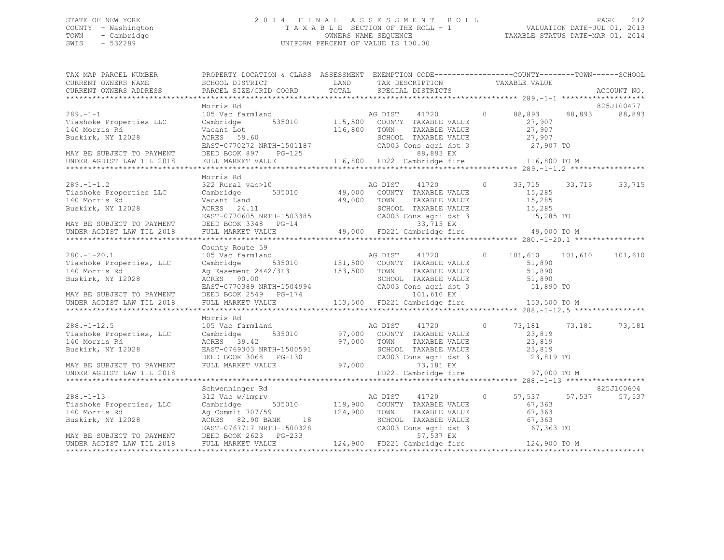## STATE OF NEW YORK 2 0 1 4 F I N A L A S S E S S M E N T R O L L PAGE 212 COUNTY - Washington T A X A B L E SECTION OF THE ROLL - 1 VALUATION DATE-JUL 01, 2013 TOWN - Cambridge OWNERS NAME SEQUENCE TAXABLE STATUS DATE-MAR 01, 2014 SWIS - 532289 UNIFORM PERCENT OF VALUE IS 100.00

| TAX MAP PARCEL NUMBER<br>CURRENT OWNERS NAME<br>CURRENT OWNERS ADDRESS                                                                                                                                                                                                                            | PROPERTY LOCATION & CLASS ASSESSMENT EXEMPTION CODE---------------COUNTY-------TOWN-----SCHOOL<br>SCHOOL DISTRICT LAND<br>PARCEL SIZE/GRID COORD TOTAL SPECIAL DISTRICTS                                                                                                                                                                                                                                                        |              | TAX DESCRIPTION                                                                             |         | TAXABLE VALUE                                 |        | ACCOUNT NO.          |
|---------------------------------------------------------------------------------------------------------------------------------------------------------------------------------------------------------------------------------------------------------------------------------------------------|---------------------------------------------------------------------------------------------------------------------------------------------------------------------------------------------------------------------------------------------------------------------------------------------------------------------------------------------------------------------------------------------------------------------------------|--------------|---------------------------------------------------------------------------------------------|---------|-----------------------------------------------|--------|----------------------|
|                                                                                                                                                                                                                                                                                                   | Morris Rd                                                                                                                                                                                                                                                                                                                                                                                                                       |              |                                                                                             |         |                                               |        | 825J100477           |
| $289. - 1 - 1$<br>Tiashoke Properties LLC<br>140 Morris Rd<br>27,907<br>Buskirk, NY 12028<br>MAY BE SUBJECT TO PAYMENT<br>MAY BE SUBJECT TO PAYMENT<br>DEED BOOK 897 PG-125<br>UNDER AGDIST LAW TIL 2018<br>FULL MARKET VALUE<br>TOWN TAXABLE VALUE<br>CA003 Cons agri dst 3<br>27,907 TO<br>88,8 | 105 Vac farmland<br>105 Vac farmland<br>535010 115,500 COUNTY TAXABLE VALUE 27,907<br>27,907                                                                                                                                                                                                                                                                                                                                    | 116,800 TOWN |                                                                                             |         |                                               |        | 88,893               |
|                                                                                                                                                                                                                                                                                                   |                                                                                                                                                                                                                                                                                                                                                                                                                                 |              |                                                                                             |         |                                               |        |                      |
|                                                                                                                                                                                                                                                                                                   |                                                                                                                                                                                                                                                                                                                                                                                                                                 |              |                                                                                             |         |                                               |        |                      |
| $289. - 1 - 1.2$<br>Tiashoke Properties LLC<br>140 Morris Rd<br>Buskirk, NY 12028                                                                                                                                                                                                                 | Morris Rd<br>ACRES 24.11 SCHOOL TAXABLE VALUE 15,285<br>EAST-0770605 NRTH-1503385 CA003 Cons agri dst 3 15,285 TO<br>DEED BOOK 3348 PG-14 33,715 EX<br>FULL MARKET VALUE 49,000 FD221 Cambridge fire 49,000 TO M                                                                                                                                                                                                                |              |                                                                                             |         | $0 \t 33, 715 \t 33, 715$<br>15,285<br>15,285 |        | 33,715               |
| MAY BE SUBJECT TO PAYMENT                                                                                                                                                                                                                                                                         |                                                                                                                                                                                                                                                                                                                                                                                                                                 |              |                                                                                             |         |                                               |        |                      |
| UNDER AGDIST LAW TIL 2018                                                                                                                                                                                                                                                                         |                                                                                                                                                                                                                                                                                                                                                                                                                                 |              |                                                                                             |         |                                               |        |                      |
|                                                                                                                                                                                                                                                                                                   |                                                                                                                                                                                                                                                                                                                                                                                                                                 |              |                                                                                             |         |                                               |        |                      |
| $280. - 1 - 20.1$<br>Tiashoke Properties, LLC<br>140 Morris Rd<br>Buskirk, NY 12028<br>MAY BE SUBJECT TO PAYMENT                                                                                                                                                                                  | County Route 59<br>County Route 59<br>105 Vac farmland<br>Cambridge 535010 151,500 COUNTY TAXABLE VALUE<br>Ag Easement 2442/313 153,500 TOWN TAXABLE VALUE<br>2000 COUNTY TAXABLE VALUE<br>ACRES 90.00 SCHOOL TAXABLE VALUE 51,890<br>EAST-0770389 NRTH-1504994 CA003 Cons agri dst 3 51,890 TO<br>DEED BOOK 2549 PG-174 153,500 FD221 Cambridge fire 153,500 TO M<br>FULL MARKET VALUE 153,500 FD221 Cambridge fire 153,500 TO |              |                                                                                             |         | 0 101,610 101,610<br>51,890<br>51,890         |        | 101,610              |
| UNDER AGDIST LAW TIL 2018                                                                                                                                                                                                                                                                         |                                                                                                                                                                                                                                                                                                                                                                                                                                 |              |                                                                                             |         |                                               |        |                      |
|                                                                                                                                                                                                                                                                                                   |                                                                                                                                                                                                                                                                                                                                                                                                                                 |              |                                                                                             |         |                                               |        |                      |
| $288. - 1 - 12.5$<br>Tiashoke Properties, LLC<br>140 Morris Rd<br>Buskirk, NY 12028                                                                                                                                                                                                               | Morris Rd<br>105 Vac farmland<br>Cambridge 535010 67,000 COUNTY TAXABLE VALUE<br>ACRES 39.42<br>EAST-0769303 NRTH-1500591 57,000 TOWN TAXABLE VALUE<br>DEED BOOK 3068 PG-130 680 CA003 Cons agri dst<br>FULL MARKET VALUE 97,000 73,181 EX                                                                                                                                                                                      |              | TAXABLE VALUE<br>SCHOOL TAXABLE VALUE 23,819<br>CA003 Cons agri dst 3 23,819 TO             | $\circ$ | 73,181 73,181<br>23,819<br>23,819             |        | 73,181               |
| MAY BE SUBJECT TO PAYMENT<br>UNDER AGDIST LAW TIL 2018                                                                                                                                                                                                                                            |                                                                                                                                                                                                                                                                                                                                                                                                                                 |              | FD221 Cambridge fire                                                                        |         | 97,000 TO M                                   |        |                      |
|                                                                                                                                                                                                                                                                                                   |                                                                                                                                                                                                                                                                                                                                                                                                                                 |              |                                                                                             |         |                                               |        |                      |
| $288. - 1 - 13$<br>Tiashoke Properties, LLC<br>140 Morris Rd<br>Buskirk, NY 12028                                                                                                                                                                                                                 | Schwenninger Rd<br>312 Vac w/imprv $\overline{a}$ AG DIST 41720 0<br>Cambridge 535010 119,900 COUNTY TAXABLE VALUE<br>Ag Commit 707/59 124,900 TOWN<br>ACRES 82.90 BANK 18 SCHOO<br>EAST-0767717 NRTH-1500328 CA003<br>DEED BOOK 2623 PG-233                                                                                                                                                                                    |              | TOWN TAXABLE VALUE 67,363<br>SCHOOL TAXABLE VALUE 67,363<br>CA003 Cons_agri dst 3 67,363 TO |         | 0 $57,537$<br>67,363<br>$67, 363$<br>$67.363$ | 57,537 | 825J100604<br>57,537 |
| MAY BE SUBJECT TO PAYMENT<br>UNDER AGDIST LAW TIL 2018                                                                                                                                                                                                                                            | DEED BOOK 2623 PG-233<br>FULL MARKET VALUE                                                                                                                                                                                                                                                                                                                                                                                      |              | 57,537 EX<br>124,900 FD221 Cambridge fire 124,900 TO M                                      |         |                                               |        |                      |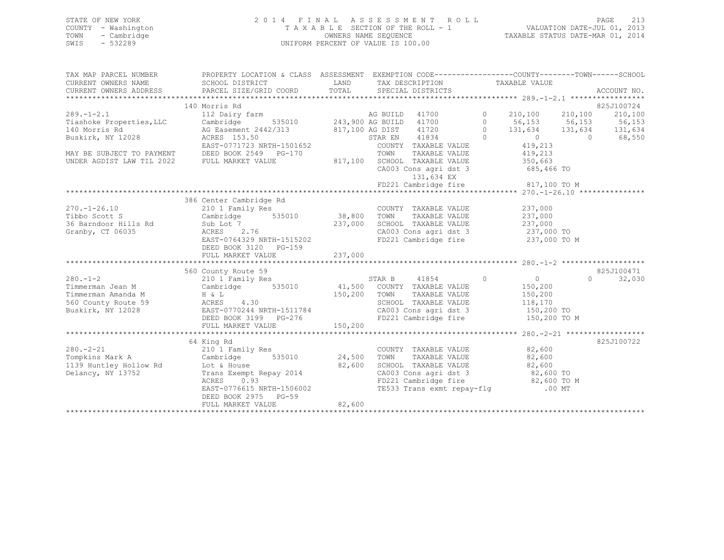| STATE OF NEW YORK   | 2014 FINAL ASSESSMENT ROLL         | 213<br>PAGE                      |
|---------------------|------------------------------------|----------------------------------|
| COUNTY - Washington | TAXABLE SECTION OF THE ROLL - 1    | VALUATION DATE-JUL 01, 2013      |
| - Cambridge<br>TOWN | OWNERS NAME SEOUENCE               | TAXABLE STATUS DATE-MAR 01, 2014 |
| $-532289$<br>SWIS   | UNIFORM PERCENT OF VALUE IS 100.00 |                                  |
|                     |                                    |                                  |

| TAX MAP PARCEL NUMBER | PROPERTY LOCATION & CLASS ASSESSMENT EXEMPTION CODE----------------COUNTY-------TOWN------SCHOOL                                                                                                                                                                                    |                                                                                                                                                                                                                                                |            |
|-----------------------|-------------------------------------------------------------------------------------------------------------------------------------------------------------------------------------------------------------------------------------------------------------------------------------|------------------------------------------------------------------------------------------------------------------------------------------------------------------------------------------------------------------------------------------------|------------|
|                       | TAX MAP PARCEL NUMBER TROPERTI LOCATION & CHASS ASSESSMENT EACHTITUM CODE---------<br>CURRENT OWNERS NAME SCHOOL DISTRICT LAND TAX DESCRIPTION TAXABLE VALUE<br>CURRENT OWNERS ADDRESS PARCEL SIZE/GRID COORD TOTAL SPECIAL DISTRICT                                                |                                                                                                                                                                                                                                                |            |
|                       |                                                                                                                                                                                                                                                                                     |                                                                                                                                                                                                                                                |            |
|                       |                                                                                                                                                                                                                                                                                     |                                                                                                                                                                                                                                                |            |
|                       | 140 Morris Rd<br>140 Morris Rd<br>140 Morris Rd<br>112 Dairy farm<br>12 Dairy farm<br>12028<br>140 Morris Rd<br>140 Morris Rd<br>140 Morris Rd<br>140 Morris Rd<br>140 Morris Rd<br>131,634<br>131,634<br>131,634<br>131,634<br>131,634<br>131,634<br>131,634<br>131,634<br>131,634 |                                                                                                                                                                                                                                                | 825J100724 |
|                       |                                                                                                                                                                                                                                                                                     |                                                                                                                                                                                                                                                |            |
|                       |                                                                                                                                                                                                                                                                                     |                                                                                                                                                                                                                                                |            |
|                       |                                                                                                                                                                                                                                                                                     |                                                                                                                                                                                                                                                |            |
|                       |                                                                                                                                                                                                                                                                                     |                                                                                                                                                                                                                                                |            |
|                       |                                                                                                                                                                                                                                                                                     |                                                                                                                                                                                                                                                |            |
|                       |                                                                                                                                                                                                                                                                                     |                                                                                                                                                                                                                                                |            |
|                       |                                                                                                                                                                                                                                                                                     |                                                                                                                                                                                                                                                |            |
|                       |                                                                                                                                                                                                                                                                                     |                                                                                                                                                                                                                                                |            |
|                       |                                                                                                                                                                                                                                                                                     |                                                                                                                                                                                                                                                |            |
|                       | $131, \tilde{6}34 \text{ EX} \tag{317,100 T0 M}$ FD221 Cambridge fire $$817,100 \text{ TO } M$$                                                                                                                                                                                     |                                                                                                                                                                                                                                                |            |
|                       |                                                                                                                                                                                                                                                                                     |                                                                                                                                                                                                                                                |            |
|                       | 386 Center Cambridge Rd                                                                                                                                                                                                                                                             |                                                                                                                                                                                                                                                |            |
|                       | 270.-1-26.10 210 1 Family Res COUNTY TAXABLE VALUE 237,000 237,000 237 COUNTY TAXABLE VALUE 237,000                                                                                                                                                                                 |                                                                                                                                                                                                                                                |            |
|                       |                                                                                                                                                                                                                                                                                     |                                                                                                                                                                                                                                                |            |
|                       |                                                                                                                                                                                                                                                                                     |                                                                                                                                                                                                                                                |            |
|                       |                                                                                                                                                                                                                                                                                     |                                                                                                                                                                                                                                                |            |
|                       |                                                                                                                                                                                                                                                                                     |                                                                                                                                                                                                                                                |            |
|                       | DEED BOOK 3120 PG-159                                                                                                                                                                                                                                                               |                                                                                                                                                                                                                                                |            |
|                       |                                                                                                                                                                                                                                                                                     |                                                                                                                                                                                                                                                |            |
|                       |                                                                                                                                                                                                                                                                                     |                                                                                                                                                                                                                                                |            |
|                       | County Route 59<br>210 1 Family Res<br>560 County Route 59                                                                                                                                                                                                                          |                                                                                                                                                                                                                                                | 825J100471 |
|                       |                                                                                                                                                                                                                                                                                     |                                                                                                                                                                                                                                                |            |
|                       |                                                                                                                                                                                                                                                                                     |                                                                                                                                                                                                                                                |            |
|                       |                                                                                                                                                                                                                                                                                     |                                                                                                                                                                                                                                                |            |
|                       |                                                                                                                                                                                                                                                                                     |                                                                                                                                                                                                                                                |            |
|                       |                                                                                                                                                                                                                                                                                     |                                                                                                                                                                                                                                                |            |
|                       |                                                                                                                                                                                                                                                                                     |                                                                                                                                                                                                                                                |            |
|                       |                                                                                                                                                                                                                                                                                     |                                                                                                                                                                                                                                                |            |
|                       |                                                                                                                                                                                                                                                                                     |                                                                                                                                                                                                                                                |            |
|                       | 64 King Rd                                                                                                                                                                                                                                                                          |                                                                                                                                                                                                                                                | 825J100722 |
|                       |                                                                                                                                                                                                                                                                                     | COUNTY TAXABLE VALUE 82,600                                                                                                                                                                                                                    |            |
|                       |                                                                                                                                                                                                                                                                                     |                                                                                                                                                                                                                                                |            |
|                       |                                                                                                                                                                                                                                                                                     |                                                                                                                                                                                                                                                |            |
|                       | 280.-2-21 <sup>04</sup> Aliy Res<br>Tompkins Mark A Cambridge 535010 24,500 TOWN TAXABLE VALUE 82,600<br>1139 Huntley Hollow Rd Lot & House 82,600 8CHOOL TAXABLE VALUE 82,600<br>Delancy, NY 13752 Trans Exempt Repay 2014 CA003 Cons agri d                                       |                                                                                                                                                                                                                                                |            |
|                       |                                                                                                                                                                                                                                                                                     |                                                                                                                                                                                                                                                |            |
|                       | EAST-0776615 NRTH-1506002                                                                                                                                                                                                                                                           | SCHOOL TAXABLE VALUE $\begin{array}{ccc} 82,600 \\ \text{CA003 Cons } \text{argi dist 3} \\ \text{FD221 Cambridge } \text{fire } 82,600 \text{ TO } \text{M} \\ \text{TE533 Trans } \text{exmt } \text{repay-fly } 00 \text{ MT } \end{array}$ |            |
|                       | DEED BOOK 2975 PG-59                                                                                                                                                                                                                                                                |                                                                                                                                                                                                                                                |            |
|                       | FULL MARKET VALUE $82,600$                                                                                                                                                                                                                                                          |                                                                                                                                                                                                                                                |            |
|                       |                                                                                                                                                                                                                                                                                     |                                                                                                                                                                                                                                                |            |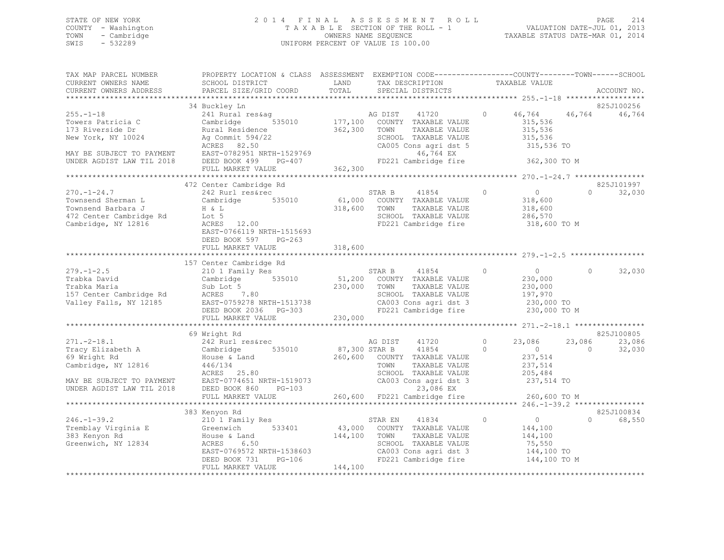## STATE OF NEW YORK 2 0 1 4 F I N A L A S S E S S M E N T R O L L PAGE 214 COUNTY - Washington T A X A B L E SECTION OF THE ROLL - 1 VALUATION DATE-JUL 01, 2013 TOWN - Cambridge OWNERS NAME SEQUENCE TAXABLE STATUS DATE-MAR 01, 2014 SWIS - 532289 UNIFORM PERCENT OF VALUE IS 100.00

| TAX MAP PARCEL NUMBER<br>CURRENT OWNERS NAME                                                                                             | PROPERTY LOCATION & CLASS ASSESSMENT EXEMPTION CODE----------------COUNTY-------TOWN------SCHOOL<br>SCHOOL DISTRICT                                                                                                         | LAND               | TAX DESCRIPTION                                                                                                                                   | TAXABLE VALUE                 |                                                                                           |                                |
|------------------------------------------------------------------------------------------------------------------------------------------|-----------------------------------------------------------------------------------------------------------------------------------------------------------------------------------------------------------------------------|--------------------|---------------------------------------------------------------------------------------------------------------------------------------------------|-------------------------------|-------------------------------------------------------------------------------------------|--------------------------------|
| CURRENT OWNERS ADDRESS                                                                                                                   | PARCEL SIZE/GRID COORD                                                                                                                                                                                                      | TOTAL              | SPECIAL DISTRICTS                                                                                                                                 |                               |                                                                                           | ACCOUNT NO.                    |
|                                                                                                                                          |                                                                                                                                                                                                                             |                    |                                                                                                                                                   |                               |                                                                                           |                                |
| $255. - 1 - 18$<br>Towers Patricia C<br>173 Riverside Dr<br>New York, NY 10024<br>MAY BE SUBJECT TO PAYMENT<br>UNDER AGDIST LAW TIL 2018 | 34 Buckley Ln<br>241 Rural res&aq<br>Cambridge<br>Rural Residence<br>Aq Commit 594/22<br>Ag Commit 594/22<br>ACRES 82.50<br>EAST-0782951 NRTH-1529769 46,764 EX<br>DEED BOOK 499 PG-407 FD221 Cambridge fire                | 362,300            | 41720<br>COUNTY TAXABLE VALUE<br>TOWN<br>TAXABLE VALUE<br>SCHOOL TAXABLE VALUE<br>CA005 Cons agri dst 5                                           | $\circ$                       | 46,764<br>46,764<br>315,536<br>315,536<br>315,536<br>315,536 TO<br>362,300 TO M           | 825J100256<br>46,764           |
|                                                                                                                                          | FULL MARKET VALUE                                                                                                                                                                                                           | 362,300            |                                                                                                                                                   |                               |                                                                                           |                                |
|                                                                                                                                          |                                                                                                                                                                                                                             |                    |                                                                                                                                                   |                               |                                                                                           |                                |
| $270. - 1 - 24.7$<br>Townsend Sherman L<br>Townsend Barbara J<br>472 Center Cambridge Rd<br>Cambridge, NY 12816                          | 472 Center Cambridge Rd<br>242 Rurl res&rec<br>Cambridge 535010<br>H & L<br>Lot 5<br>ACRES 12.00<br>EAST-0766119 NRTH-1515693<br>DEED BOOK 597 PG-263                                                                       | 318,600 TOWN       | 41854<br>STAR B<br>61,000 COUNTY TAXABLE VALUE<br>TAXABLE VALUE<br>SCHOOL TAXABLE VALUE<br>FD221 Cambridge fire                                   | $\overline{0}$                | $\overline{0}$<br>$\Omega$<br>318,600<br>318,600<br>286,570<br>318,600 TO M               | 825J101997<br>32,030           |
|                                                                                                                                          | FULL MARKET VALUE                                                                                                                                                                                                           | 318,600            |                                                                                                                                                   |                               |                                                                                           |                                |
|                                                                                                                                          |                                                                                                                                                                                                                             |                    |                                                                                                                                                   |                               |                                                                                           |                                |
| $279. - 1 - 2.5$<br>Trabka David<br>Trabka Maria                                                                                         | 157 Center Cambridge Rd<br>210 1 Family Res<br>Cambridge 535010 51,200 COUNTY TAXABLE VALUE<br>Sub Lot 5<br>157 Center Cambridge Rd<br>157 Center Cambridge Rd<br>158 EAST-0759278 NRTH-1513738<br>DEED BOOK 2036    PG-303 | 230,000 TOWN       | STAR B<br>41854<br>TAXABLE VALUE<br>SCHOOL TAXABLE VALUE<br>CA003 Cons agri dst 3<br>FD221 Cambridge fire                                         | $\circ$                       | $\overline{0}$<br>$\Omega$<br>230,000<br>230,000<br>197,970<br>230,000 TO<br>230,000 TO M | 32,030                         |
|                                                                                                                                          | FULL MARKET VALUE                                                                                                                                                                                                           | 230,000            |                                                                                                                                                   |                               |                                                                                           |                                |
|                                                                                                                                          |                                                                                                                                                                                                                             |                    |                                                                                                                                                   |                               |                                                                                           |                                |
| $271. - 2 - 18.1$<br>Tracy Elizabeth A<br>69 Wright Rd<br>Cambridge, NY 12816                                                            | 69 Wright Rd<br>242 Rurl res&rec<br>Cambridge<br>535010<br>House & Land<br>446/134<br>446/134<br>ACRES<br>25.80                                                                                                             | 87,300 STAR B      | AG DIST<br>41720<br>41854<br>260,600 COUNTY TAXABLE VALUE<br>TOWN<br>TAXABLE VALUE<br>SCHOOL TAXABLE VALUE                                        | $\circ$<br>23,086<br>$\Omega$ | 23,086<br>$\overline{0}$<br>$\Omega$<br>237,514<br>237,514<br>205,484                     | 825J100805<br>23,086<br>32,030 |
|                                                                                                                                          | MAY BE SUBJECT TO PAYMENT EAST-0774651 NRTH-1519073<br>UNDER AGDIST LAW TIL 2018 DEED BOOK 860 PG-103<br>FULL MARKET VALUE                                                                                                  |                    | CA003 Cons agri dst 3<br>23,086 EX<br>260,600 FD221 Cambridge fire                                                                                | 237,514 TO                    | 260,600 TO M                                                                              |                                |
|                                                                                                                                          |                                                                                                                                                                                                                             |                    |                                                                                                                                                   |                               |                                                                                           |                                |
|                                                                                                                                          | 383 Kenyon Rd                                                                                                                                                                                                               |                    |                                                                                                                                                   |                               |                                                                                           | 825J100834                     |
| $246. - 1 - 39.2$<br>383 Kenyon Rd<br>Greenwich, NY 12834                                                                                | 210 1 Family Res<br>House & Land<br>ACRES<br>6.50<br>EAST-0769572 NRTH-1538603<br>PG-106<br>DEED BOOK 731<br>FULL MARKET VALUE                                                                                              | 144,100<br>144,100 | 41834<br>STAR EN<br>43,000 COUNTY TAXABLE VALUE<br>TAXABLE VALUE<br>TOWN<br>SCHOOL TAXABLE VALUE<br>CA003 Cons agri dst 3<br>FD221 Cambridge fire | $\sim$ 0<br>$\circ$           | $\Omega$<br>144,100<br>144,100<br>75,550<br>144,100 TO<br>144,100 TO M                    | 68,550                         |
|                                                                                                                                          |                                                                                                                                                                                                                             |                    |                                                                                                                                                   |                               |                                                                                           |                                |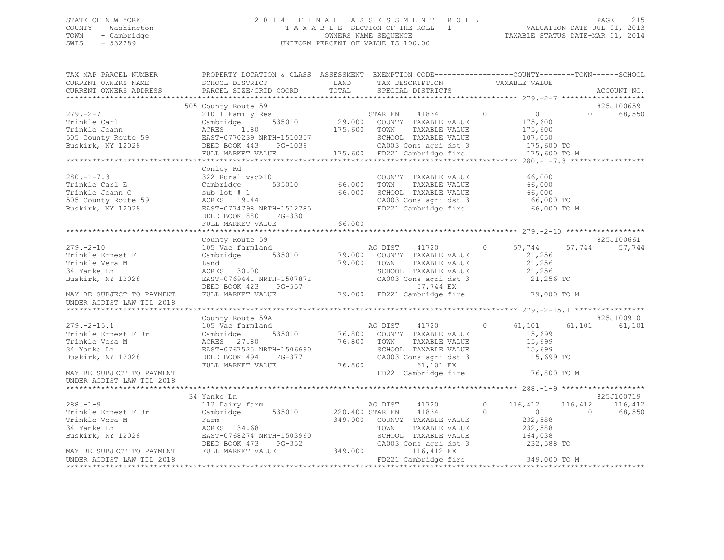## STATE OF NEW YORK 2 0 1 4 F I N A L A S S E S S M E N T R O L L PAGE 215 COUNTY - Washington T A X A B L E SECTION OF THE ROLL - 1 VALUATION DATE-JUL 01, 2013 TOWN - Cambridge OWNERS NAME SEQUENCE TAXABLE STATUS DATE-MAR 01, 2014 SWIS - 532289 UNIFORM PERCENT OF VALUE IS 100.00

| TAX MAP PARCEL NUMBER<br>CURRENT OWNERS NAME<br>CURRENT OWNERS ADDRESS                                                                                                                                                                                            | PROPERTY LOCATION & CLASS ASSESSMENT EXEMPTION CODE---------------COUNTY-------TOWN------SCHOOL<br><b>LAND</b><br>SCHOOL DISTRICT<br>PARCEL SIZE/GRID COORD | TOTAL                 | TAX DESCRIPTION<br>SPECIAL DISTRICTS<br>SPECIAL DISTRICTS                                                                                                                       |                                                                                   | ACCOUNT NO.                              |
|-------------------------------------------------------------------------------------------------------------------------------------------------------------------------------------------------------------------------------------------------------------------|-------------------------------------------------------------------------------------------------------------------------------------------------------------|-----------------------|---------------------------------------------------------------------------------------------------------------------------------------------------------------------------------|-----------------------------------------------------------------------------------|------------------------------------------|
|                                                                                                                                                                                                                                                                   |                                                                                                                                                             |                       |                                                                                                                                                                                 |                                                                                   | *****                                    |
|                                                                                                                                                                                                                                                                   | 505 County Route 59                                                                                                                                         |                       |                                                                                                                                                                                 |                                                                                   | 825J100659                               |
| $279. - 2 - 7$<br>Trinkle Carl<br>Trinkle Joann<br>Trinkle Joann                         ACRES     1.80                 175,600<br>505 County Route 59                 EAST-0770239 NRTH-1510357<br>Buskirk, NY 12028                   DEED BOOK 443     PG-1039 | 210 1 Family Res<br>535010<br>Cambridge<br>1.80<br>ACRES                                                                                                    | 175,600 TOWN          | STAR EN 41834<br>29,000 COUNTY TAXABLE VALUE<br>TAXABLE VALUE<br>SCHOOL TAXABLE VALUE<br>CA003 Cons agri dst 3                                                                  | $\overline{0}$<br>$\overline{0}$<br>175,600<br>175,600<br>107,050<br>175,600 TO   | 68,550<br>$\Omega$                       |
|                                                                                                                                                                                                                                                                   | FULL MARKET VALUE                                                                                                                                           |                       | 175,600 FD221 Cambridge fire                                                                                                                                                    | 175,600 TO M                                                                      |                                          |
|                                                                                                                                                                                                                                                                   |                                                                                                                                                             |                       |                                                                                                                                                                                 |                                                                                   |                                          |
| $280. -1 - 7.3$<br>Trinkle Carl E<br>Trinkle Joann C<br>505 County Route 59<br>Buskirk, NY 12028                                                                                                                                                                  | Conley Rd<br>322 Rural vac>10<br>535010<br>Cambridge<br>sub lot $# 1$<br>ACRES 19.44<br>EAST-0774798 NRTH-1512785<br>DEED BOOK 880 PG-330                   | 66,000                | COUNTY TAXABLE VALUE<br>TAXABLE VALUE<br>SCHOOL TAXABLE VALUE<br>CA003 Cons agri dst 3<br>FD221 Cambridge fire 66,000 TO M                                                      | 66,000<br>66,000<br>66,000 TO<br>66,000 TO<br>11.000 TO                           |                                          |
|                                                                                                                                                                                                                                                                   | FULL MARKET VALUE                                                                                                                                           | 66,000                |                                                                                                                                                                                 |                                                                                   |                                          |
|                                                                                                                                                                                                                                                                   |                                                                                                                                                             |                       |                                                                                                                                                                                 |                                                                                   | 825J100661                               |
| $279. - 2 - 10$<br>Trinkle Ernest F<br>Trinkle Vera M<br>34 Yanke Ln<br>Buskirk, NY 12028                                                                                                                                                                         | County Route 59<br>105 Vac farmland<br>535010<br>Cambridge<br>Land<br>ACRES 30.00<br>EAST-0769441 NRTH-1507871<br>DEED BOOK 423 PG-557                      | 79,000<br>79,000      | 41720<br>AG DIST<br>COUNTY TAXABLE VALUE<br>TOWN<br>TAXABLE VALUE<br>SCHOOL TAXABLE VALUE<br>CA003 Cons agri dst 3<br>57,744 EX                                                 | $\circ$<br>57,744<br>21,256<br>21,256<br>21,256<br>21,256 TO                      | 57,744<br>57,744                         |
| MAY BE SUBJECT TO PAYMENT<br>UNDER AGDIST LAW TIL 2018                                                                                                                                                                                                            | FULL MARKET VALUE                                                                                                                                           |                       | 79,000 FD221 Cambridge fire                                                                                                                                                     | 79,000 TO M                                                                       |                                          |
|                                                                                                                                                                                                                                                                   | County Route 59A                                                                                                                                            |                       |                                                                                                                                                                                 |                                                                                   | 825J100910                               |
| $279. - 2 - 15.1$<br>Trinkle Ernest F Jr<br>Trinkle Vera M<br>34 Yanke Ln<br>Buskirk, NY 12028                                                                                                                                                                    | 105 Vac farmland<br>535010<br>Cambridge<br>ACRES 27.80<br>EAST-0767525 NRTH-1506690<br>DEED BOOK 494<br>PG-377<br>FULL MARKET VALUE                         | 76,800 TOWN<br>76,800 | AG DIST<br>41720<br>76,800 COUNTY TAXABLE VALUE<br>TAXABLE VALUE<br>SCHOOL TAXABLE VALUE<br>CA003 Cons agri dst 3<br>61,101 EX                                                  | $\circ$<br>61,101<br>15,699<br>15,699<br>15,699<br>15,699 TO                      | 61,101<br>61,101                         |
| MAY BE SUBJECT TO PAYMENT<br>UNDER AGDIST LAW TIL 2018                                                                                                                                                                                                            |                                                                                                                                                             |                       | FD221 Cambridge fire                                                                                                                                                            | 76,800 TO M                                                                       |                                          |
|                                                                                                                                                                                                                                                                   |                                                                                                                                                             |                       |                                                                                                                                                                                 |                                                                                   |                                          |
|                                                                                                                                                                                                                                                                   | 34 Yanke Ln                                                                                                                                                 |                       |                                                                                                                                                                                 |                                                                                   | 825J100719                               |
| $288. - 1 - 9$<br>Trinkle Ernest F Jr<br>Trinkle Vera M<br>Buskirk, NY 12028                                                                                                                                                                                      | 112 Dairy farm<br>535010<br>Cambridge<br>Farm<br>ACRES 134.68<br>EAST-0768274 NRTH-1503960<br>PG-352                                                        | 220,400 STAR EN       | AG DIST<br>41720<br>41834<br>349,000 COUNTY TAXABLE VALUE<br>TOWN<br>TAXABLE VALUE<br>SCHOOL TAXABLE VALUE<br>SCHOOL TAXABLE VALUE 164,038<br>CA003 Cons agri dst 3 1232,588 TO | $\circ$<br>116,412<br>$\Omega$<br>$\overline{0}$<br>232,588<br>232,588<br>164,038 | 116,412<br>116,412<br>$\Omega$<br>68,550 |
| DEED BOOK 473<br>MAY BE SUBJECT TO PAYMENT FULL MARKET VALUE<br>UNDER AGDIST LAW TIL 2018                                                                                                                                                                         |                                                                                                                                                             | 349,000               | 116,412 EX<br>FD221 Cambridge fire 349,000 TO M                                                                                                                                 |                                                                                   |                                          |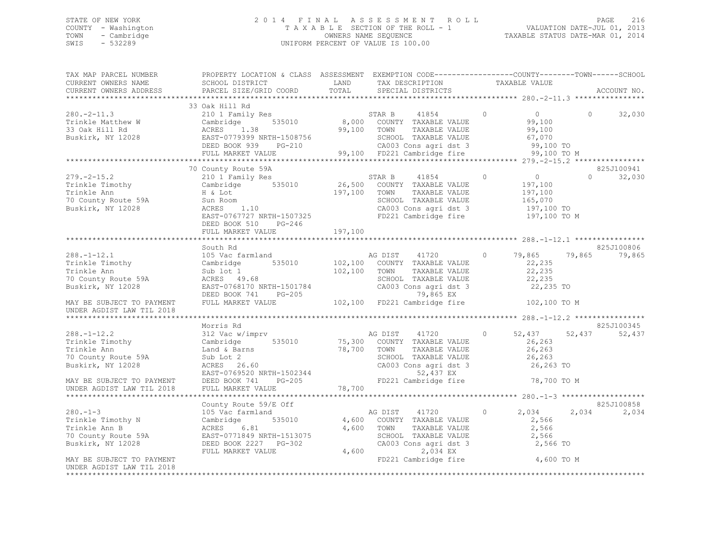## STATE OF NEW YORK 2 0 1 4 F I N A L A S S E S S M E N T R O L L PAGE 216 COUNTY - Washington T A X A B L E SECTION OF THE ROLL - 1 VALUATION DATE-JUL 01, 2013 TOWN - Cambridge OWNERS NAME SEQUENCE TAXABLE STATUS DATE-MAR 01, 2014 SWIS - 532289 UNIFORM PERCENT OF VALUE IS 100.00

| TAX MAP PARCEL NUMBER     | PROPERTY LOCATION & CLASS ASSESSMENT EXEMPTION CODE----------------COUNTY-------TOWN------SCHOOL                                                                                                                                                                                                                                                       |         |                                                                                                                        |                                       |            |                      |
|---------------------------|--------------------------------------------------------------------------------------------------------------------------------------------------------------------------------------------------------------------------------------------------------------------------------------------------------------------------------------------------------|---------|------------------------------------------------------------------------------------------------------------------------|---------------------------------------|------------|----------------------|
|                           |                                                                                                                                                                                                                                                                                                                                                        |         |                                                                                                                        |                                       |            | ACCOUNT NO.          |
|                           |                                                                                                                                                                                                                                                                                                                                                        |         |                                                                                                                        |                                       |            |                      |
|                           | 33 Oak Hill Rd<br>$\begin{array}{ccccccccc} 280.-2-11.3 & 33 \text{ d}x & 1111 \text{ ku} & 2101 & \text{Family Res} & 535010 & 8,000 & \text{COUNTY} & \text{TAXABLE VALUE} & 99,100 & 99,100 & 99,100 & 7000 & 7000 & 7000 & 7000 & 7000 & 7000 & 7000 & 7000 & 7000 & 7000 & 7000 & 7000 & 7000 & 7000 & 7000 & 7000 & 7000 & 7000 & $              |         |                                                                                                                        |                                       | $\Omega$   | 32,030               |
|                           |                                                                                                                                                                                                                                                                                                                                                        |         |                                                                                                                        |                                       |            |                      |
|                           | 70 County Route 59A<br>DEED BOOK 510<br>PG-246                                                                                                                                                                                                                                                                                                         |         | TAXABLE VALUE<br>SCHOOL TAXABLE VALUE 165,070<br>CA003 Cons agri dst 3 197,100 TO<br>FD221 Cambridge fire 197,100 TO M | $0$ 0<br>ALUE 197,100<br>ALUE 197,100 | $\Omega$   | 825J100941<br>32,030 |
|                           | FULL MARKET VALUE                                                                                                                                                                                                                                                                                                                                      | 197,100 |                                                                                                                        |                                       |            |                      |
|                           |                                                                                                                                                                                                                                                                                                                                                        |         |                                                                                                                        |                                       |            |                      |
|                           | South Rd<br>388.-1-12.1<br>Trinkle Timothy 105 Vac farmland<br>Trinkle Timothy Cambridge 535010 102,100 COUNTY TAXABLE VALUE 22,235<br>Trinkle Ann Sub lot 1 102,100 TOWN TAXABLE VALUE 22,235<br>To County Route 59A ACRES 49.68 sCHOOL TAXABLE                                                                                                       |         |                                                                                                                        |                                       |            | 825J100806<br>79,865 |
|                           |                                                                                                                                                                                                                                                                                                                                                        |         |                                                                                                                        |                                       |            |                      |
|                           | Morris Rd<br>$\begin{tabular}{lllllllllllllllllllllll} \hline &\text{Morris Rd} &\text{Morris Rd} &\text{Morris Rd} &\text{288.}-1-12.2 &\text{Morris Rd} &\text{312 Vac w/imprv} &\text{AG DIST} &\text{318 Vac w/imprv} &\text{AG DIST} &\text{41720} &0&52,437&52,437&52,437&52,437&52,437&52,437&52,437&52,437&52,437&52,437&52,437&52,437&52,437$ |         |                                                                                                                        |                                       |            | 825J100345           |
|                           |                                                                                                                                                                                                                                                                                                                                                        |         |                                                                                                                        |                                       |            |                      |
|                           |                                                                                                                                                                                                                                                                                                                                                        |         |                                                                                                                        |                                       |            |                      |
|                           | County Route 59/E Off<br>105 Vac farmland                                                                                                                                                                                                                                                                                                              |         |                                                                                                                        | 2,034<br>2,566 TO                     | 2,034      | 825J100858<br>2,034  |
| UNDER AGDIST LAW TIL 2018 |                                                                                                                                                                                                                                                                                                                                                        |         |                                                                                                                        |                                       | 4,600 TO M |                      |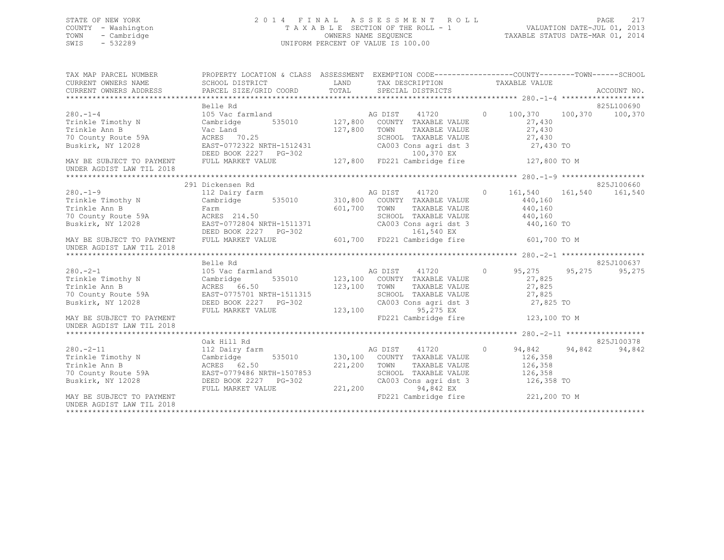# STATE OF NEW YORK 2 0 1 4 F I N A L A S S E S S M E N T R O L L PAGE 217 COUNTY - Washington T A X A B L E SECTION OF THE ROLL - 1 VALUATION DATE-JUL 01, 2013 TOWN - Cambridge OWNERS NAME SEQUENCE TAXABLE STATUS DATE-MAR 01, 2014 UNIFORM PERCENT OF VALUE IS 100.00

| TAX MAP PARCEL NUMBER                                                                                                                                                                                                                                                  | PROPERTY LOCATION & CLASS ASSESSMENT EXEMPTION CODE---------------COUNTY-------TOWN------SCHOOL |              |                                                                                             |                       |                                      |
|------------------------------------------------------------------------------------------------------------------------------------------------------------------------------------------------------------------------------------------------------------------------|-------------------------------------------------------------------------------------------------|--------------|---------------------------------------------------------------------------------------------|-----------------------|--------------------------------------|
| CURRENT OWNERS NAME                                                                                                                                                                                                                                                    | SCHOOL DISTRICT                                                                                 |              | LAND TAX DESCRIPTION TAXABLE VALUE                                                          |                       |                                      |
| - CURRENT OMNERS ADDRESS - PARCEL SIZE/GRID COORD - TOTAL - SPECIAL DISTRICTS - ACCOUNT NO<br>- ARCEL SIZE/GRID COORD - TOTAL - SPECIAL DISTRICTS - ACCOUNT NO - AND ARCEL SIZE/GRID COORD - TOTAL - SPECIAL<br>--------------------                                   |                                                                                                 |              |                                                                                             |                       |                                      |
|                                                                                                                                                                                                                                                                        |                                                                                                 |              |                                                                                             |                       |                                      |
|                                                                                                                                                                                                                                                                        | Belle Rd                                                                                        |              |                                                                                             |                       | 825L100690                           |
| $280 - 1 - 4$                                                                                                                                                                                                                                                          | 105 Vac farmland<br>105 Vac farmland<br>Cambridge 535010 127,800 COUNTY TAXABLE VALUE           |              |                                                                                             |                       | $0 \t 100,370 \t 100,370 \t 100,370$ |
| Trinkle Timothy N Cambridge                                                                                                                                                                                                                                            |                                                                                                 |              |                                                                                             | 27,430                |                                      |
|                                                                                                                                                                                                                                                                        |                                                                                                 | 127,800 TOWN |                                                                                             | $27,430$<br>27,430    |                                      |
|                                                                                                                                                                                                                                                                        |                                                                                                 |              |                                                                                             |                       |                                      |
| Trinkle Ann B<br>Trinkle Ann B<br>70 County Route 59A<br>Buskirk, NY 12028<br>EAST-0772322 NRTH-1512431<br>DEED BOOK 2227 PG-302<br>MAY BE SUBJECT TO PAYMENT FULL MARKET VALUE 127,800 FD221 Cambridge fire 127,800 TO M                                              |                                                                                                 |              | TOWN TAXABLE VALUE 27,430<br>SCHOOL TAXABLE VALUE 27,430<br>CA003 Cons agri dst 3 27,430 TO |                       |                                      |
| UNDER AGDIST LAW TIL 2018                                                                                                                                                                                                                                              |                                                                                                 |              |                                                                                             |                       |                                      |
|                                                                                                                                                                                                                                                                        |                                                                                                 |              |                                                                                             |                       |                                      |
|                                                                                                                                                                                                                                                                        | 291 Dickensen Rd                                                                                |              |                                                                                             |                       | 825J100660                           |
| $280 - 1 - 9$                                                                                                                                                                                                                                                          |                                                                                                 |              |                                                                                             |                       |                                      |
| Trinkle Timothy N Cambridge 535010 310,800 COUNTY TAXABLE VALUE                                                                                                                                                                                                        |                                                                                                 |              |                                                                                             | 440,160               |                                      |
|                                                                                                                                                                                                                                                                        |                                                                                                 | 601,700 TOWN |                                                                                             | TAXABLE VALUE 440,160 |                                      |
|                                                                                                                                                                                                                                                                        |                                                                                                 |              | SCHOOL TAXABLE VALUE 440,160<br>CA003 Cons agri dst 3 440,160 TO                            |                       |                                      |
|                                                                                                                                                                                                                                                                        |                                                                                                 |              |                                                                                             |                       |                                      |
|                                                                                                                                                                                                                                                                        |                                                                                                 |              |                                                                                             |                       |                                      |
|                                                                                                                                                                                                                                                                        | DEED BOOK 2227 PG-302<br>FULL MARKET VALUE 601,700 FD221 Cambridge fire 601,700 TO M            |              |                                                                                             |                       |                                      |
|                                                                                                                                                                                                                                                                        |                                                                                                 |              |                                                                                             |                       |                                      |
|                                                                                                                                                                                                                                                                        | Belle Rd                                                                                        |              |                                                                                             |                       | 825J100637                           |
|                                                                                                                                                                                                                                                                        |                                                                                                 |              |                                                                                             | 95,275 95,275         | 95,275                               |
| 280.-2-1<br>Trinkle Timothy N (2008)<br>Trinkle Ann B (2008)<br>280.-2-1<br>280.-2-1<br>280.-2-1<br>280.-2-1<br>280.-2-1<br>280.-2-1<br>280.-2-1<br>280.100<br>280.100<br>280.100<br>287.100<br>287.100<br>287.100<br>287.100<br>287.100<br>287.100<br>287.100<br>287. |                                                                                                 |              |                                                                                             | 27,825                |                                      |
|                                                                                                                                                                                                                                                                        |                                                                                                 |              |                                                                                             | TAXABLE VALUE 27,825  |                                      |
|                                                                                                                                                                                                                                                                        |                                                                                                 |              | SCHOOL TAXABLE VALUE 27,825<br>CA003 Cons_agri dst 3 27,825 TO                              |                       |                                      |
|                                                                                                                                                                                                                                                                        |                                                                                                 |              |                                                                                             |                       |                                      |
|                                                                                                                                                                                                                                                                        | FULL MARKET VALUE                                                                               | 123,100      | 95,275 EX                                                                                   |                       |                                      |
| MAY BE SUBJECT TO PAYMENT<br>UNDER AGDIST LAW TIL 2018                                                                                                                                                                                                                 |                                                                                                 |              | FD221 Cambridge fire 123,100 TO M                                                           |                       |                                      |
|                                                                                                                                                                                                                                                                        |                                                                                                 |              |                                                                                             |                       |                                      |
|                                                                                                                                                                                                                                                                        |                                                                                                 |              |                                                                                             |                       | 825J100378                           |
|                                                                                                                                                                                                                                                                        |                                                                                                 |              |                                                                                             | 94,842 94,842         | 94,842                               |
|                                                                                                                                                                                                                                                                        |                                                                                                 |              |                                                                                             | 126,358               |                                      |
|                                                                                                                                                                                                                                                                        |                                                                                                 |              |                                                                                             | TAXABLE VALUE 126,358 |                                      |
|                                                                                                                                                                                                                                                                        |                                                                                                 |              | SCHOOL TAXABLE VALUE 126,358                                                                |                       |                                      |
| ARE TIMBLE VALUE 112 Dairy farm<br>Trinkle Timothy N<br>Trinkle Ann B<br>230.-2-11<br>Trinkle Ann B<br>221,200<br>221,200<br>221,200<br>221,200<br>221,200<br>221,200<br>221,200<br>221,200<br>221,200<br>221,200<br>221,200<br>221,200<br>221,200<br>221,200<br>221   |                                                                                                 |              | CA003 Cons agri dst 3<br>94,842 EX                                                          | 126,358 TO            |                                      |
|                                                                                                                                                                                                                                                                        |                                                                                                 |              | FD221 Cambridge fire 221,200 TO M                                                           |                       |                                      |
|                                                                                                                                                                                                                                                                        |                                                                                                 |              |                                                                                             |                       |                                      |
| UNDER AGDIST LAW TIL 2018                                                                                                                                                                                                                                              |                                                                                                 |              |                                                                                             |                       |                                      |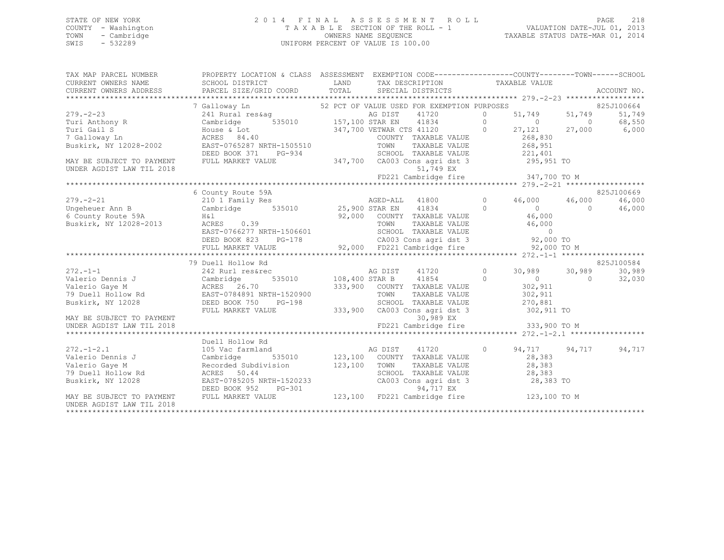# STATE OF NEW YORK 2 0 1 4 F I N A L A S S E S S M E N T R O L L PAGE 218 COUNTY - Washington T A X A B L E SECTION OF THE ROLL - 1 VALUATION DATE-JUL 01, 2013 TOWN - Cambridge OWNERS NAME SEQUENCE TAXABLE STATUS DATE-MAR 01, 2014 SWIS - 532289 UNIFORM PERCENT OF VALUE IS 100.00

| TAX MAP PARCEL NUMBER                                 | PROPERTY LOCATION & CLASS ASSESSMENT EXEMPTION CODE----------------COUNTY-------TOWN------SCHOOL                                                                                                                                                                   |  |                                                                                         |  |            |
|-------------------------------------------------------|--------------------------------------------------------------------------------------------------------------------------------------------------------------------------------------------------------------------------------------------------------------------|--|-----------------------------------------------------------------------------------------|--|------------|
| CURRENT OWNERS NAME SCHOOL DISTRICT                   |                                                                                                                                                                                                                                                                    |  | LAND TAX DESCRIPTION TAXABLE VALUE                                                      |  |            |
|                                                       |                                                                                                                                                                                                                                                                    |  |                                                                                         |  |            |
|                                                       | 379.-2-23<br>29.-2-23<br>29.-2-23<br>241 Rural res&ag<br>279.-2-23<br>241 Rural res&ag<br>279.-2-23<br>241 Rural res&ag<br>268,550<br>26,550<br>27,100 STAR EN<br>26 DIST<br>27,100 STAR EN<br>41834<br>27,100 VETWAR CTS 41120<br>27,121<br>27,000<br>27,121<br>2 |  |                                                                                         |  |            |
|                                                       |                                                                                                                                                                                                                                                                    |  |                                                                                         |  |            |
|                                                       |                                                                                                                                                                                                                                                                    |  |                                                                                         |  |            |
|                                                       |                                                                                                                                                                                                                                                                    |  |                                                                                         |  |            |
|                                                       |                                                                                                                                                                                                                                                                    |  |                                                                                         |  |            |
|                                                       |                                                                                                                                                                                                                                                                    |  |                                                                                         |  |            |
|                                                       |                                                                                                                                                                                                                                                                    |  |                                                                                         |  |            |
| MAY BE SUBJECT TO PAYMENT<br>UNDER ACDIOTIAN TIL 2018 | DEED BOOK 371 PG-934 SCHOOL TAXABLE VALUE 221,401<br>FULL MARKET VALUE 347,700 CA003 Cons agri dst 3 295,951 TO                                                                                                                                                    |  |                                                                                         |  |            |
| UNDER AGDIST LAW TIL 2018                             |                                                                                                                                                                                                                                                                    |  | 51,749 EX                                                                               |  |            |
|                                                       |                                                                                                                                                                                                                                                                    |  |                                                                                         |  |            |
|                                                       |                                                                                                                                                                                                                                                                    |  |                                                                                         |  |            |
|                                                       | 6 County Route 59A                                                                                                                                                                                                                                                 |  |                                                                                         |  | 825J100669 |
| $279. - 2 - 21$                                       |                                                                                                                                                                                                                                                                    |  |                                                                                         |  | 46,000     |
|                                                       |                                                                                                                                                                                                                                                                    |  |                                                                                         |  | 46,000     |
|                                                       |                                                                                                                                                                                                                                                                    |  |                                                                                         |  |            |
|                                                       | Ungeheuer Ann B<br>6 County Route 59A and H&1<br>Buskirk, NY 12028-2013 ACRES 0.39<br>Buskirk, NY 12028-2013 ACRES 0.39<br>Buskirk, NY 12028-2013 ACRES 0.39<br>TOWN TAXABLE VALUE 46,000                                                                          |  |                                                                                         |  |            |
|                                                       |                                                                                                                                                                                                                                                                    |  |                                                                                         |  |            |
|                                                       |                                                                                                                                                                                                                                                                    |  |                                                                                         |  |            |
|                                                       |                                                                                                                                                                                                                                                                    |  |                                                                                         |  |            |
|                                                       | 3 County Route 59A H&1<br>3uskirk, NY 12028-2013 ACRES 0.39<br>EAST-0766277 NRTH-1506601 EASENDER MANABLE VALUE 20,000<br>DEED BOOK 823 PG-178 CA003 CONS agri dst 3 92,000 TO<br>FULL MARKET VALUE 92,000 FD221 Cambridge fire 92,000 TO                          |  |                                                                                         |  |            |
|                                                       | 79 Duell Hollow Rd                                                                                                                                                                                                                                                 |  |                                                                                         |  | 825J100584 |
| $272. -1 - 1$                                         |                                                                                                                                                                                                                                                                    |  |                                                                                         |  | 30,989     |
|                                                       |                                                                                                                                                                                                                                                                    |  |                                                                                         |  | 32,030     |
|                                                       |                                                                                                                                                                                                                                                                    |  | 333,900 COUNTY TAXABLE VALUE 302,911                                                    |  |            |
|                                                       |                                                                                                                                                                                                                                                                    |  |                                                                                         |  |            |
|                                                       |                                                                                                                                                                                                                                                                    |  |                                                                                         |  |            |
|                                                       | FULL MARKET VALUE                                                                                                                                                                                                                                                  |  | 333,900 CA003 Cons agri dst 3 302,911 TO                                                |  |            |
|                                                       |                                                                                                                                                                                                                                                                    |  |                                                                                         |  |            |
|                                                       |                                                                                                                                                                                                                                                                    |  |                                                                                         |  |            |
|                                                       | Duell Hollow Rd                                                                                                                                                                                                                                                    |  |                                                                                         |  |            |
| $272. - 1 - 2.1$                                      | 105 Vac farmland                                                                                                                                                                                                                                                   |  | d<br>AG DIST 41720 0 94,717 94,717 94,717<br>535010 123,100 COUNTY TAXABLE VALUE 28,383 |  |            |
| Valerio Dennis J                                      | 105 Vac fa:<br>Cambridge                                                                                                                                                                                                                                           |  |                                                                                         |  |            |
| Valerio Gaye M                                        |                                                                                                                                                                                                                                                                    |  |                                                                                         |  |            |
| 79 Duell Hollow Rd                                    |                                                                                                                                                                                                                                                                    |  |                                                                                         |  |            |
| Buskirk, NY 12028                                     |                                                                                                                                                                                                                                                                    |  |                                                                                         |  |            |
|                                                       |                                                                                                                                                                                                                                                                    |  |                                                                                         |  |            |
| MAY BE SUBJECT TO PAYMENT                             | Call Christian (Colored Market Market Market Market Market Market Market Market Market Market Market Market Market Market Market Market Market Market Market Market Market Market Market Market Market Market Market Market Ma                                     |  |                                                                                         |  |            |
| UNDER AGDIST LAW TIL 2018                             |                                                                                                                                                                                                                                                                    |  |                                                                                         |  |            |
|                                                       |                                                                                                                                                                                                                                                                    |  |                                                                                         |  |            |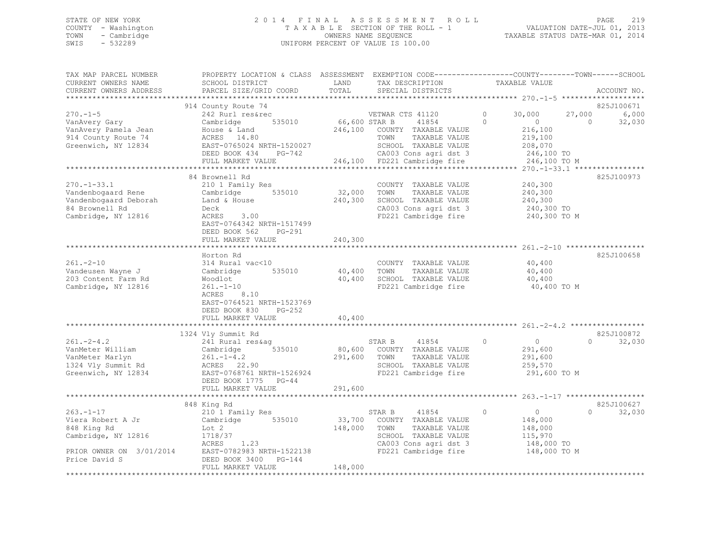# STATE OF NEW YORK 2 0 1 4 F I N A L A S S E S S M E N T R O L L PAGE 219 COUNTY - Washington T A X A B L E SECTION OF THE ROLL - 1 VALUATION DATE-JUL 01, 2013 TOWN - Cambridge OWNERS NAME SEQUENCE TAXABLE STATUS DATE-MAR 01, 2014 SWIS - 532289 UNIFORM PERCENT OF VALUE IS 100.00

| TAX MAP PARCEL NUMBER<br>CURRENT OWNERS NAME<br>CURRENT OWNERS ADDRESS                                                 | PROPERTY LOCATION & CLASS ASSESSMENT EXEMPTION CODE---------------COUNTY-------TOWN------SCHOOI<br>SCHOOL DISTRICT<br>PARCEL SIZE/GRID COORD                                       | LAND<br>TOTAL              | TAX DESCRIPTION<br>SPECIAL DISTRICTS                                                                                                                       | TAXABLE VALUE                                                                                  | ACCOUNT NO.                                         |
|------------------------------------------------------------------------------------------------------------------------|------------------------------------------------------------------------------------------------------------------------------------------------------------------------------------|----------------------------|------------------------------------------------------------------------------------------------------------------------------------------------------------|------------------------------------------------------------------------------------------------|-----------------------------------------------------|
|                                                                                                                        |                                                                                                                                                                                    |                            |                                                                                                                                                            |                                                                                                |                                                     |
| $270. - 1 - 5$<br>VanAvery Gary<br>VanAvery Pamela Jean<br>914 County Route 74<br>Greenwich, NY 12834                  | 914 County Route 74<br>242 Rurl res&rec<br>535010<br>Cambridge<br>House & Land<br>ACRES 14.80<br>EAST-0765024 NRTH-1520027<br>DEED BOOK 434 PG-742                                 |                            | VETWAR CTS 41120<br>66,600 STAR B 41854<br>41854<br>246,100 COUNTY TAXABLE VALUE<br>TAXABLE VALUE<br>TOWN<br>SCHOOL TAXABLE VALUE<br>CA003 Cons agri dst 3 | $\circ$<br>30,000<br>$\Omega$<br>$\overline{0}$<br>216,100<br>219,100<br>208,070<br>246,100 TO | 825J100671<br>27,000<br>6,000<br>32,030<br>$\Omega$ |
|                                                                                                                        | FULL MARKET VALUE                                                                                                                                                                  |                            | 246,100 FD221 Cambridge fire                                                                                                                               | 246,100 TO M                                                                                   |                                                     |
|                                                                                                                        |                                                                                                                                                                                    |                            |                                                                                                                                                            |                                                                                                |                                                     |
| $270. - 1 - 33.1$<br>Vandenbogaard Rene<br>Vandenbogaard Deborah<br>84 Brownell Rd<br>Cambridge, NY 12816              | 84 Brownell Rd<br>210 1 Family Res<br>Cambridge 535010<br>Land & House<br>Deck<br>ACRES 3.00<br>EAST-0764342 NRTH-1517499<br>DEED BOOK 562<br>PG-291                               | 32,000 TOWN                | COUNTY TAXABLE VALUE<br>TAXABLE VALUE<br>240,300 SCHOOL TAXABLE VALUE<br>CA003 Cons agri dst 3                                                             | 240,300<br>240,300<br>240,300<br>240,300 TO<br>FD221 Cambridge fire 240,300 TO M               | 825J100973                                          |
|                                                                                                                        | FULL MARKET VALUE                                                                                                                                                                  | 240,300                    |                                                                                                                                                            |                                                                                                |                                                     |
| $261 - 2 - 10$<br>Vandeusen Wayne J<br>203 Content Farm Rd<br>Cambridge, NY 12816                                      | Horton Rd<br>314 Rural vac<10<br>535010<br>Cambridge<br>Woodlot<br>$261. - 1 - 10$<br>8.10<br>ACRES<br>EAST-0764521 NRTH-1523769<br>DEED BOOK 830<br>$PG-252$<br>FULL MARKET VALUE | 40,400<br>40,400<br>40,400 | COUNTY TAXABLE VALUE<br>TAXABLE VALUE<br>TOWN<br>SCHOOL TAXABLE VALUE<br>FD221 Cambridge fire                                                              | 40,400<br>40,400<br>40,400<br>40,400 TO M                                                      | 825J100658                                          |
|                                                                                                                        | 1324 Vly Summit Rd                                                                                                                                                                 |                            |                                                                                                                                                            |                                                                                                | 825J100872                                          |
| $261 - 2 - 4.2$<br>VanMeter William<br>VanMeter Marlyn<br>1324 Vly Summit Rd<br>Greenwich, NY 12834                    | 241 Rural res&aq<br>Cambridge<br>535010<br>$261. - 1 - 4.2$<br>ACRES 22.90<br>EAST-0768761 NRTH-1526924<br>DEED BOOK 1775 PG-44                                                    | 291,600 TOWN               | STAR B 41854<br>80,600 COUNTY TAXABLE VALUE<br>41854<br>TAXABLE VALUE<br>SCHOOL TAXABLE VALUE<br>FD221 Cambridge fire                                      | $\circ$<br>$\overline{0}$<br>291,600<br>291,600<br>259,570<br>291,600 TO M                     | 32,030<br>$\Omega$                                  |
|                                                                                                                        | FULL MARKET VALUE                                                                                                                                                                  | 291,600                    |                                                                                                                                                            |                                                                                                |                                                     |
|                                                                                                                        | 848 King Rd                                                                                                                                                                        |                            |                                                                                                                                                            |                                                                                                | 825J100627                                          |
| $263. -1 - 17$<br>Viera Robert A Jr<br>848 King Rd<br>Cambridge, NY 12816<br>PRIOR OWNER ON 3/01/2014<br>Price David S | 210 1 Family Res<br>Cambridge 535010<br>Lot 2<br>$\frac{7}{1.23}$<br>1718/37<br>ACRES<br>EAST-0782983 NRTH-1522138<br>DEED BOOK 3400 PG-144                                        | 148,000                    | STAR B<br>41854<br>33,700 COUNTY TAXABLE VALUE<br>TOWN<br>TAXABLE VALUE<br>SCHOOL TAXABLE VALUE<br>CA003 Cons agri dst 3<br>FD221 Cambridge fire           | $\circ$<br>$\overline{0}$<br>148,000<br>148,000<br>115,970<br>148,000 TO<br>148,000 TO M       | $\Omega$<br>32,030                                  |
| ************************                                                                                               | FULL MARKET VALUE                                                                                                                                                                  | 148,000                    |                                                                                                                                                            |                                                                                                |                                                     |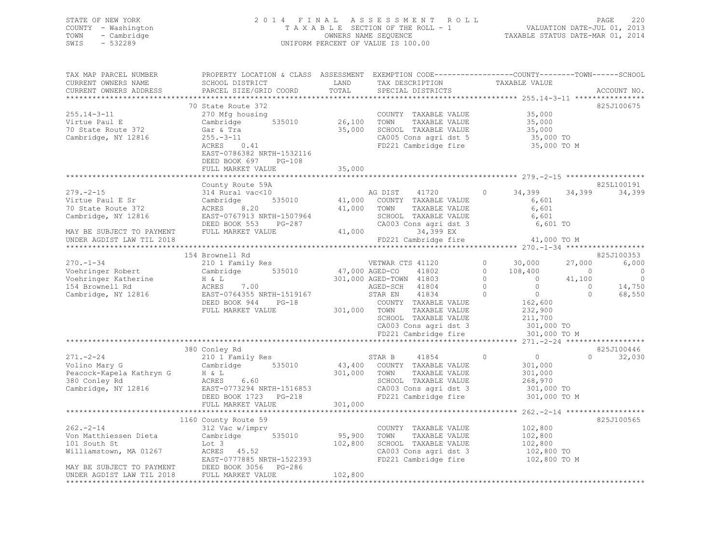# STATE OF NEW YORK 2 0 1 4 F I N A L A S S E S S M E N T R O L L PAGE 220 COUNTY - Washington T A X A B L E SECTION OF THE ROLL - 1 VALUATION DATE-JUL 01, 2013 TOWN - Cambridge OWNERS NAME SEQUENCE TAXABLE STATUS DATE-MAR 01, 2014 SWIS - 532289 UNIFORM PERCENT OF VALUE IS 100.00

| TAX MAP PARCEL NUMBER                                  | PROPERTY LOCATION & CLASS ASSESSMENT EXEMPTION CODE----------------COUNTY-------TOWN------SCHOOL                                                                                                                                                         |         |                                                                                                                                 |                                              |                   |        |
|--------------------------------------------------------|----------------------------------------------------------------------------------------------------------------------------------------------------------------------------------------------------------------------------------------------------------|---------|---------------------------------------------------------------------------------------------------------------------------------|----------------------------------------------|-------------------|--------|
| CURRENT OWNERS NAME                                    | SCHOOL DISTRICT                                                                                                                                                                                                                                          | LAND    | TAX DESCRIPTION                                                                                                                 | TAXABLE VALUE                                |                   |        |
| CURRENT OWNERS ADDRESS                                 | PARCEL SIZE/GRID COORD TOTAL                                                                                                                                                                                                                             |         | SPECIAL DISTRICTS                                                                                                               |                                              | ACCOUNT NO.       |        |
|                                                        |                                                                                                                                                                                                                                                          |         |                                                                                                                                 |                                              |                   |        |
|                                                        | 70 State Route 372                                                                                                                                                                                                                                       |         |                                                                                                                                 |                                              | 825J100675        |        |
| $255.14 - 3 - 11$                                      | 270 Mfg housing                                                                                                                                                                                                                                          |         | COUNTY TAXABLE VALUE 35,000                                                                                                     |                                              |                   |        |
|                                                        |                                                                                                                                                                                                                                                          |         |                                                                                                                                 |                                              |                   |        |
|                                                        |                                                                                                                                                                                                                                                          |         |                                                                                                                                 |                                              |                   |        |
|                                                        | Gar & Tra 35,000<br>255.-3-11<br>ACRES 0.41                                                                                                                                                                                                              |         | TOWN TAXABLE VALUE 35,000<br>SCHOOL TAXABLE VALUE 35,000<br>CA005 Cons agri dst 5 35,000 TO<br>FD221 Cambridge fire 35,000 TO M |                                              |                   |        |
| Cambridge, NY 12816                                    |                                                                                                                                                                                                                                                          |         |                                                                                                                                 |                                              |                   |        |
|                                                        |                                                                                                                                                                                                                                                          |         |                                                                                                                                 |                                              |                   |        |
|                                                        | EAST-0786382 NRTH-1532116                                                                                                                                                                                                                                |         |                                                                                                                                 |                                              |                   |        |
|                                                        | DEED BOOK 697 PG-108                                                                                                                                                                                                                                     |         |                                                                                                                                 |                                              |                   |        |
|                                                        | FULL MARKET VALUE                                                                                                                                                                                                                                        | 35,000  |                                                                                                                                 |                                              |                   |        |
|                                                        |                                                                                                                                                                                                                                                          |         |                                                                                                                                 |                                              |                   |        |
|                                                        | County Route 59A                                                                                                                                                                                                                                         |         |                                                                                                                                 |                                              | 825L100191        |        |
| $279. - 2 - 15$                                        |                                                                                                                                                                                                                                                          |         |                                                                                                                                 |                                              | 34,399 34,399     |        |
| Virtue Paul E Sr                                       |                                                                                                                                                                                                                                                          |         |                                                                                                                                 |                                              |                   |        |
| 70 State Route 372                                     |                                                                                                                                                                                                                                                          |         |                                                                                                                                 |                                              |                   |        |
| Cambridge, NY 12816                                    |                                                                                                                                                                                                                                                          |         |                                                                                                                                 |                                              |                   |        |
|                                                        |                                                                                                                                                                                                                                                          |         |                                                                                                                                 |                                              |                   |        |
|                                                        |                                                                                                                                                                                                                                                          |         |                                                                                                                                 |                                              |                   |        |
| MAY BE SUBJECT TO PAYMENT<br>UNDER AGDIST LAW TIL 2018 | County Route 59A<br>314 Rural vac<10<br>Cambridge 535010<br>AG DIST 41720 0 34,399 34,3<br>Cambridge 535010 41,000 COUNTY TAXABLE VALUE<br>ACRES 8.20 41,000 TOWN TAXABLE VALUE 6,601<br>EAST-0767913 NRTH-1507964 SCHOOL TAXABLE VALUE 6,               |         |                                                                                                                                 |                                              |                   |        |
| UNDER AGDIST LAW TIL 2018                              |                                                                                                                                                                                                                                                          |         |                                                                                                                                 |                                              |                   |        |
|                                                        |                                                                                                                                                                                                                                                          |         |                                                                                                                                 |                                              |                   |        |
|                                                        | 154 Brownell Rd                                                                                                                                                                                                                                          |         |                                                                                                                                 |                                              | 825J100353        |        |
|                                                        |                                                                                                                                                                                                                                                          |         |                                                                                                                                 |                                              |                   |        |
|                                                        |                                                                                                                                                                                                                                                          |         |                                                                                                                                 |                                              |                   |        |
|                                                        |                                                                                                                                                                                                                                                          |         |                                                                                                                                 |                                              |                   |        |
|                                                        |                                                                                                                                                                                                                                                          |         |                                                                                                                                 |                                              |                   |        |
|                                                        |                                                                                                                                                                                                                                                          |         |                                                                                                                                 |                                              |                   |        |
|                                                        |                                                                                                                                                                                                                                                          |         |                                                                                                                                 |                                              |                   |        |
|                                                        |                                                                                                                                                                                                                                                          |         |                                                                                                                                 |                                              |                   |        |
|                                                        |                                                                                                                                                                                                                                                          |         |                                                                                                                                 |                                              |                   |        |
|                                                        |                                                                                                                                                                                                                                                          |         |                                                                                                                                 |                                              |                   |        |
|                                                        |                                                                                                                                                                                                                                                          |         |                                                                                                                                 |                                              |                   |        |
|                                                        |                                                                                                                                                                                                                                                          |         |                                                                                                                                 |                                              |                   |        |
|                                                        | 380 Conley Rd                                                                                                                                                                                                                                            |         |                                                                                                                                 |                                              | 825J100446        |        |
|                                                        |                                                                                                                                                                                                                                                          |         |                                                                                                                                 | $\begin{matrix} 0 & 0 \\ 0 & 0 \end{matrix}$ | $0 \qquad \qquad$ | 32,030 |
|                                                        |                                                                                                                                                                                                                                                          |         |                                                                                                                                 |                                              |                   |        |
|                                                        | 271.-2-24<br>Volino Mary G<br>Cambridge S35010<br>Peacock-Kapela Kathryn G<br>301,000<br>268,970<br>268,970<br>Cambridge, NY 12816<br>Cambridge, NY 12816<br>Cambridge, NY 12816<br>Cambridge, NY 12816<br>Cambridge, NY 12816<br>Cambridge S35010<br>26 |         |                                                                                                                                 |                                              |                   |        |
|                                                        |                                                                                                                                                                                                                                                          |         |                                                                                                                                 |                                              |                   |        |
|                                                        |                                                                                                                                                                                                                                                          |         |                                                                                                                                 |                                              |                   |        |
|                                                        |                                                                                                                                                                                                                                                          |         |                                                                                                                                 |                                              |                   |        |
|                                                        |                                                                                                                                                                                                                                                          |         |                                                                                                                                 |                                              |                   |        |
|                                                        | FULL MARKET VALUE                                                                                                                                                                                                                                        | 301,000 |                                                                                                                                 |                                              |                   |        |
|                                                        |                                                                                                                                                                                                                                                          |         |                                                                                                                                 |                                              |                   |        |
|                                                        |                                                                                                                                                                                                                                                          |         |                                                                                                                                 |                                              | 825J100565        |        |
|                                                        |                                                                                                                                                                                                                                                          |         |                                                                                                                                 |                                              |                   |        |
|                                                        |                                                                                                                                                                                                                                                          |         |                                                                                                                                 |                                              |                   |        |
|                                                        |                                                                                                                                                                                                                                                          |         |                                                                                                                                 |                                              |                   |        |
|                                                        |                                                                                                                                                                                                                                                          |         |                                                                                                                                 |                                              |                   |        |
|                                                        |                                                                                                                                                                                                                                                          |         |                                                                                                                                 |                                              |                   |        |
|                                                        | VOID MAY BE SUBJECT TO PAYMENT<br>MAY BE SUBJECT TO PAYMENT<br>MAY BE SUBJECT TO PAYMENT<br>MAY BE SUBJECT TO PAYMENT<br>MAY BE SUBJECT TO PAYMENT<br>MAY BE SUBJECT TO PAYMENT<br>MAY BE SUBJECT TO PAYMENT<br>MAY BE SUBJECT TO PAYMENT<br>M           |         |                                                                                                                                 |                                              |                   |        |
|                                                        |                                                                                                                                                                                                                                                          |         |                                                                                                                                 |                                              |                   |        |
|                                                        |                                                                                                                                                                                                                                                          |         |                                                                                                                                 |                                              |                   |        |
|                                                        |                                                                                                                                                                                                                                                          |         |                                                                                                                                 |                                              |                   |        |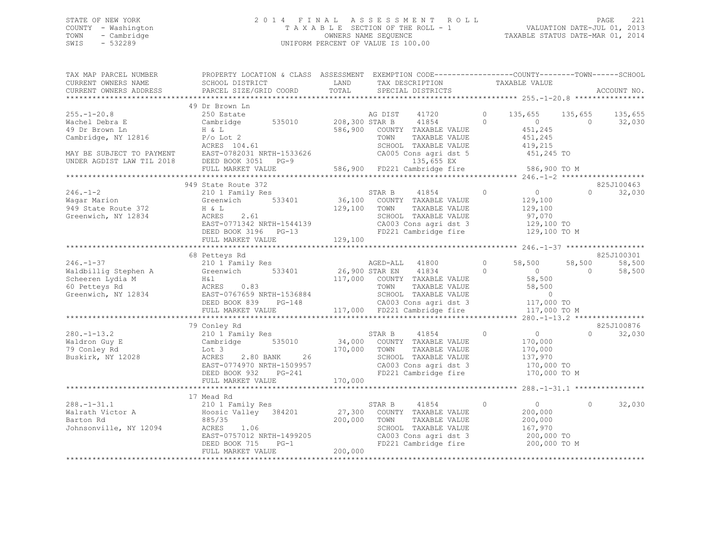# STATE OF NEW YORK 2 0 1 4 F I N A L A S S E S S M E N T R O L L PAGE 221 COUNTY - Washington T A X A B L E SECTION OF THE ROLL - 1 VALUATION DATE-JUL 01, 2013 TOWN - Cambridge OWNERS NAME SEQUENCE TAXABLE STATUS DATE-MAR 01, 2014 SWIS - 532289 UNIFORM PERCENT OF VALUE IS 100.00

| TAX MAP PARCEL NUMBER<br>CURRENT OWNERS NAME<br>CURRENT OWNERS ADDRESS       | PROPERTY LOCATION & CLASS ASSESSMENT EXEMPTION CODE---------------COUNTY-------TOWN-----SCHOOL<br>SCHOOL DISTRICT<br>PARCEL SIZE/GRID COORD                                       | LAND<br>TOTAL    | TAX DESCRIPTION<br>SPECIAL DISTRICTS                                                                                                     | TAXABLE VALUE                                                                            |                          | ACCOUNT NO.      |
|------------------------------------------------------------------------------|-----------------------------------------------------------------------------------------------------------------------------------------------------------------------------------|------------------|------------------------------------------------------------------------------------------------------------------------------------------|------------------------------------------------------------------------------------------|--------------------------|------------------|
|                                                                              |                                                                                                                                                                                   |                  |                                                                                                                                          |                                                                                          |                          |                  |
| $255. - 1 - 20.8$                                                            | 49 Dr Brown Ln<br>250 Estate                                                                                                                                                      |                  | AG DIST<br>41720                                                                                                                         | $\circ$<br>135,655 135,655 135,655                                                       |                          |                  |
| Wachel Debra E<br>49 Dr Brown Ln<br>Cambridge, NY 12816                      | Cambridge 535010 208,300 STAR B<br>H & L<br>P/o Lot 2<br>ACRES 104.61                                                                                                             |                  | 41854<br>586,900 COUNTY TAXABLE VALUE<br>TOWN<br>TAXABLE VALUE<br>SCHOOL TAXABLE VALUE<br>CA005 Cons agri dst 5                          | $\Omega$<br>$\sim$ 0<br>451,245<br>451,245<br>419,215<br>451,245 TO                      | $\bigcirc$               | 32,030           |
|                                                                              | MAY BE SUBJECT TO PAYMENT EAST-0782031 NRTH-1533626<br>UNDER AGDIST LAW TIL 2018 DEED BOOK 3051 PG-9<br>FULL MARKET VALUE                                                         |                  | 135,655 EX<br>586,900 FD221 Cambridge fire                                                                                               | 586,900 TO M                                                                             |                          |                  |
|                                                                              |                                                                                                                                                                                   |                  |                                                                                                                                          |                                                                                          |                          |                  |
|                                                                              | 949 State Route 372                                                                                                                                                               |                  |                                                                                                                                          |                                                                                          |                          | 825J100463       |
| 246.-1-2<br>Wagar Marion<br>949 State Route 372<br>Greenwich, NY 12834       | 210 1 Family Res<br>Greenwich 533401<br>H & L<br>2.61<br>ACRES                                                                                                                    | 129,100          | 41854<br>STAR B<br>36,100 COUNTY TAXABLE VALUE<br>TOWN<br>TAXABLE VALUE<br>SCHOOL TAXABLE VALUE                                          | $\Omega$<br>$\overline{0}$<br>129,100<br>129,100<br>97,070<br>129,100 TO                 | $\Omega$                 | 32,030           |
|                                                                              |                                                                                                                                                                                   |                  |                                                                                                                                          |                                                                                          |                          |                  |
|                                                                              |                                                                                                                                                                                   |                  |                                                                                                                                          |                                                                                          |                          | 825J100301       |
| $246. - 1 - 37$<br>Waldbillig Stephen A<br>Scheeren Lydia M<br>60 Petteys Rd | 68 Petteys Rd<br>210 1 Family Res<br>Greenwich 533401<br>$H\&1$<br>ACRES 0.83<br>Greenwich, NY 12834 EAST-0767659 NRTH-1536884                                                    | $26,900$ STAR EN | 41800<br>AGED-ALL<br>41834<br>117,000 COUNTY TAXABLE VALUE<br>TOWN<br>TAXABLE VALUE<br>SCHOOL TAXABLE VALUE<br>CA003 Cons agri dst 3     | $\circ$<br>58,500<br>$\overline{0}$<br>$\circ$<br>58,500<br>58,500<br>$0$<br>117.000     | 58,500<br>$\overline{0}$ | 58,500<br>58,500 |
|                                                                              | DEED BOOK 839 PG-148<br>FULL MARKET VALUE                                                                                                                                         |                  | 117,000 FD221 Cambridge fire                                                                                                             | 117,000 TO<br>117,000 TO M                                                               |                          |                  |
|                                                                              |                                                                                                                                                                                   |                  |                                                                                                                                          |                                                                                          |                          |                  |
|                                                                              | 79 Conley Rd                                                                                                                                                                      |                  |                                                                                                                                          |                                                                                          |                          | 825J100876       |
| $280. -1 - 13.2$<br>Waldron Guy E<br>79 Conley Rd<br>Buskirk, NY 12028       | 210 1 Family Res<br>Cambridge 535010<br>$170,000$ TOWN<br>2.80 BANK 26 170,000 SCHOOL<br>Lot 3<br>ACRES<br>EAST-0774970 NRTH-1509957<br>DEED BOOK 932 PG-241<br>FULL MARKET VALUE | 170,000          | STAR B<br>41854<br>34,000 COUNTY TAXABLE VALUE<br>TAXABLE VALUE<br>SCHOOL TAXABLE VALUE<br>CA003 Cons agri dst 3<br>FD221 Cambridge fire | $\overline{0}$<br>$\circ$<br>170,000<br>170,000<br>137,970<br>170,000 TO<br>170,000 TO M | $\cap$                   | 32,030           |
|                                                                              |                                                                                                                                                                                   |                  |                                                                                                                                          |                                                                                          |                          |                  |
|                                                                              | 17 Mead Rd                                                                                                                                                                        |                  |                                                                                                                                          |                                                                                          |                          |                  |
| $288. - 1 - 31.1$<br>Walrath Victor A<br>Barton Rd<br>Johnsonville, NY 12094 | 210 1 Family Res<br>Hoosic Valley 384201<br>885/35<br>ACRES<br>1.06<br>EAST-0757012 NRTH-1499205<br>DEED BOOK 715<br>$PG-1$                                                       | 200,000 TOWN     | STAR B<br>41854<br>27,300 COUNTY TAXABLE VALUE<br>TAXABLE VALUE<br>SCHOOL TAXABLE VALUE<br>CA003 Cons agri dst 3<br>FD221 Cambridge fire | $\circ$<br>$\sim$ 0<br>200,000<br>200,000<br>167,970<br>200,000 TO<br>200,000 TO M       | $\circ$                  | 32,030           |
|                                                                              | FULL MARKET VALUE                                                                                                                                                                 | 200,000          |                                                                                                                                          |                                                                                          |                          |                  |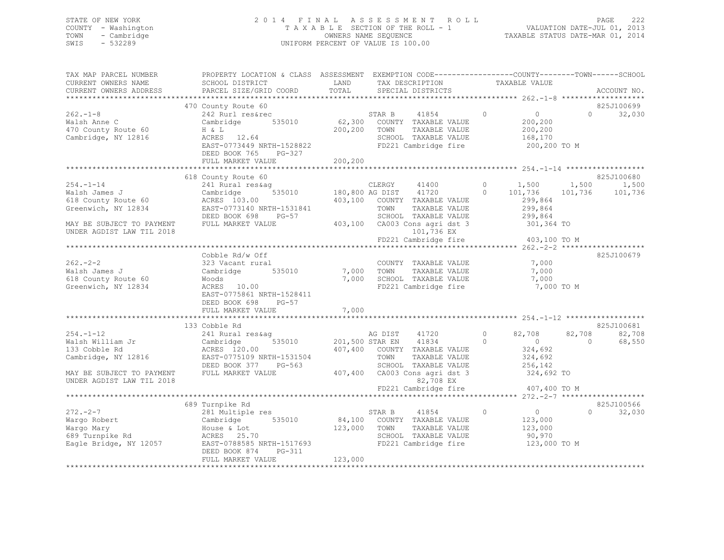# STATE OF NEW YORK 2 0 1 4 F I N A L A S S E S S M E N T R O L L PAGE 222 COUNTY - Washington T A X A B L E SECTION OF THE ROLL - 1 VALUATION DATE-JUL 01, 2013 TOWN - Cambridge OWNERS NAME SEQUENCE TAXABLE STATUS DATE-MAR 01, 2014 SWIS - 532289 UNIFORM PERCENT OF VALUE IS 100.00

| TAX MAP PARCEL NUMBER<br>CURRENT OWNERS NAME<br>CURRENT OWNERS ADDRESS                                                                                 | PROPERTY LOCATION & CLASS ASSESSMENT EXEMPTION CODE----------------COUNTY-------TOWN------SCHOOL<br>SCHOOL DISTRICT<br>PARCEL SIZE/GRID COORD                                                              | LAND<br>TOTAL           |              | TAX DESCRIPTION<br>SPECIAL DISTRICTS                                                                                                                    |                    | TAXABLE VALUE                                                                                            |                          | ACCOUNT NO.                      |
|--------------------------------------------------------------------------------------------------------------------------------------------------------|------------------------------------------------------------------------------------------------------------------------------------------------------------------------------------------------------------|-------------------------|--------------|---------------------------------------------------------------------------------------------------------------------------------------------------------|--------------------|----------------------------------------------------------------------------------------------------------|--------------------------|----------------------------------|
|                                                                                                                                                        |                                                                                                                                                                                                            |                         |              |                                                                                                                                                         |                    |                                                                                                          |                          |                                  |
| $262 - 1 - 8$<br>Walsh Anne C<br>470 County Route 60<br>Cambridge, NY 12816                                                                            | 470 County Route 60<br>County Route ou<br>242 Rurl res&rec<br>Cambridge 535010<br>H & L<br>$ACRES$ 12.64<br>EAST-0773449 NRTH-1528822<br>DEED BOOK 765 PG-327<br>FULL MARKET VALUE                         | 200,200 TOWN<br>200,200 |              | STAR B 41854<br>62,300 COUNTY TAXABLE VALUE<br>41854 0<br>TAXABLE VALUE<br>SCHOOL TAXABLE VALUE<br>FD221 Cambridge fire                                 |                    | $\overline{0}$<br>200,200<br>200,200<br>168,170<br>200,200 TO M                                          |                          | 825J100699<br>$\Omega$<br>32,030 |
|                                                                                                                                                        |                                                                                                                                                                                                            |                         |              |                                                                                                                                                         |                    |                                                                                                          |                          |                                  |
| $254. - 1 - 14$<br>Walsh James J<br>618 County Route 60<br>Greenwich, NY 12834<br>MAY BE SUBJECT TO PAYMENT<br>UNDER AGDIST LAW TIL 2018               | 618 County Route 60<br>241 Rural res&ag<br>535010 180,800 AG DIST 41720<br>Cambridge<br>ACRES 103.00<br>EAST-0773140 NRTH-1531841<br>DEED BOOK 698 PG-57<br>FULL MARKET VALUE                              |                         | CLERGY 41400 | 403,100 COUNTY TAXABLE VALUE<br>TOWN     TAXABLE VALUE<br>SCHOOL   TAXABLE VALUE<br>403,100 CA003 Cons agri dst 3<br>101,736 EX<br>FD221 Cambridge fire |                    | $0 \t 1,500$<br>$0 \t 101,736 \t 101,736$<br>299,864<br>299,864<br>299,864<br>301,364 TO<br>403,100 TO M | 1,500                    | 825J100680<br>1,500<br>101,736   |
|                                                                                                                                                        |                                                                                                                                                                                                            |                         |              |                                                                                                                                                         |                    |                                                                                                          |                          |                                  |
| $262 - 2 - 2$<br>Walsh James J<br>618 County Route 60<br>Greenwich, NY 12834                                                                           | Cobble Rd/w Off<br>323 Vacant rural<br>Cambridge 535010<br>Woods<br>ACRES 10.00<br>EAST-0775861 NRTH-1528411<br>DEED BOOK 698 PG-57<br>FULL MARKET VALUE                                                   | 7,000                   |              | COUNTY TAXABLE VALUE<br>7,000 TOWN TAXABLE VALUE<br>COUNTY TAXABLE VALUE 7,000<br>7,000 SCHOOL TAXABLE VALUE<br>FD221 Cambridge fire                    |                    | 7,000<br>7,000<br>7,000 TO M                                                                             |                          | 825J100679                       |
|                                                                                                                                                        | 133 Cobble Rd                                                                                                                                                                                              |                         |              |                                                                                                                                                         |                    |                                                                                                          |                          | 825J100681                       |
| $254. - 1 - 12$<br>Walsh William Jr<br>133 Cobble Rd<br>133 Cobble Rd<br>Cambridge, NY 12816<br>MAY BE SUBJECT TO PAYMENT<br>UNDER AGDIST LAW TIL 2018 | 241 Rural res&ag<br>535010 201,500 STAR EN 41834<br>Cambridge<br>ACRES 120.00<br>EAST-0775109 NRTH-1531504<br>DEED BOOK 377 PG-563 SCHOOL TAXABLE VALUE<br>FULL MARKET VALUE 407,400 CA003 Cons agri dst 3 |                         | AG DIST      | 41720<br>407,400 COUNTY TAXABLE VALUE<br>82,708 EX                                                                                                      | $\circ$<br>$\circ$ | 82,708<br>$\overline{0}$<br>324,692<br>324,692<br>256,142<br>324,692 TO                                  | 82,708<br>$\overline{0}$ | 82,708<br>68,550                 |
|                                                                                                                                                        |                                                                                                                                                                                                            |                         |              | FD221 Cambridge fire                                                                                                                                    |                    | 407,400 TO M                                                                                             |                          |                                  |
|                                                                                                                                                        | 689 Turnpike Rd                                                                                                                                                                                            |                         |              |                                                                                                                                                         |                    |                                                                                                          |                          | 825J100566                       |
| $272 - 2 - 7$<br>Wargo Robert<br>Wargo Mary<br>689 Turnpike Rd<br>Eagle Bridge, NY 12057<br>Eagle Bridge, NY 12057<br>---- Facy 214 PR 211             | 281 Multiple res<br>281 Multiple res<br>Cambridge 535010<br>House & Lot<br>ACRES 25.70<br>DEED BOOK 874<br>PG-311<br>FULL MARKET VALUE                                                                     | 123,000 TOWN<br>123,000 |              | $\overline{0}$<br>STAR B 41854<br>84,100 COUNTY TAXABLE VALUE<br>TAXABLE VALUE<br>SCHOOL TAXABLE VALUE<br>FD221 Cambridge fire                          |                    | $\begin{smallmatrix}&&0\123,000\end{smallmatrix}$<br>123,000<br>90,970<br>123,000 TO M                   | $\Omega$                 | 32,030                           |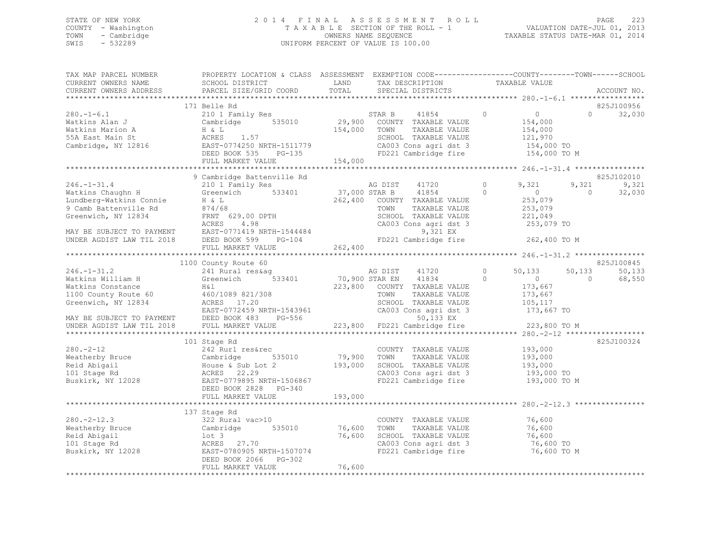# STATE OF NEW YORK 2 0 1 4 F I N A L A S S E S S M E N T R O L L PAGE 223 COUNTY - Washington T A X A B L E SECTION OF THE ROLL - 1 VALUATION DATE-JUL 01, 2013 TOWN - Cambridge OWNERS NAME SEQUENCE TAXABLE STATUS DATE-MAR 01, 2014 SWIS - 532289 UNIFORM PERCENT OF VALUE IS 100.00

| TAX MAP PARCEL NUMBER<br>CURRENT OWNERS NAME                    | PROPERTY LOCATION & CLASS ASSESSMENT EXEMPTION CODE----------------COUNTY-------TOWN------SCHOOL<br>SCHOOL DISTRICT                                                                                                                                                                                                                                                                                                                                                                             | LAND         |               | TAX DESCRIPTION TAXABLE VALUE                                         |                |                    |                |            |
|-----------------------------------------------------------------|-------------------------------------------------------------------------------------------------------------------------------------------------------------------------------------------------------------------------------------------------------------------------------------------------------------------------------------------------------------------------------------------------------------------------------------------------------------------------------------------------|--------------|---------------|-----------------------------------------------------------------------|----------------|--------------------|----------------|------------|
|                                                                 |                                                                                                                                                                                                                                                                                                                                                                                                                                                                                                 |              |               |                                                                       |                |                    |                |            |
|                                                                 | 171 Belle Rd                                                                                                                                                                                                                                                                                                                                                                                                                                                                                    |              |               |                                                                       |                |                    |                | 825J100956 |
| $280. - 1 - 6.1$                                                | 210 1 Family Res                                                                                                                                                                                                                                                                                                                                                                                                                                                                                |              | STAR B        | 41854                                                                 | $\circ$        | $\overline{0}$     | $\bigcap$      | 32,030     |
| Watkins Alan J                                                  | Cambridge 535010 29,900 COUNTY TAXABLE VALUE                                                                                                                                                                                                                                                                                                                                                                                                                                                    |              |               |                                                                       |                | 154,000            |                |            |
| Watkins Marion A                                                | $H & \& L$                                                                                                                                                                                                                                                                                                                                                                                                                                                                                      | 154,000 TOWN |               | TAXABLE VALUE                                                         |                | 154,000            |                |            |
|                                                                 |                                                                                                                                                                                                                                                                                                                                                                                                                                                                                                 |              |               |                                                                       |                |                    |                |            |
|                                                                 |                                                                                                                                                                                                                                                                                                                                                                                                                                                                                                 |              |               |                                                                       |                |                    |                |            |
|                                                                 |                                                                                                                                                                                                                                                                                                                                                                                                                                                                                                 |              |               |                                                                       |                |                    |                |            |
|                                                                 | Watkins Marion A<br>1.57 (1.970)<br>2.820 Members (1.57 (1.974)<br>2.820 Members (1.57 (2.8003 Cons agri dst 3 1.54,000 TO<br>2.820 Members (2.85 PG-135 154,000 FD221 Cambridge fire 1.54,000 TO<br>2.847 Members (2.85 PG-135 154,000<br>194,000<br>246.-1-31.4<br>246.-1-31.4<br>2101 Family Res<br>2101 Family Res<br>2101 Family Res<br>262,400 COUNTY TAXABIF VAINE<br>262,400 COUNTY TAXABIF VAINE<br>262,400 COUNTY TAXABIF VAINE<br>37,000 STAR B<br>262,400 COUNTY TAXABIF VAINE<br>2 |              |               |                                                                       |                |                    |                |            |
|                                                                 |                                                                                                                                                                                                                                                                                                                                                                                                                                                                                                 |              |               |                                                                       |                |                    |                |            |
|                                                                 |                                                                                                                                                                                                                                                                                                                                                                                                                                                                                                 |              |               |                                                                       |                |                    |                | 825J102010 |
|                                                                 |                                                                                                                                                                                                                                                                                                                                                                                                                                                                                                 |              |               |                                                                       | $\Omega$       | 9,321              | 9,321          | 9,321      |
|                                                                 |                                                                                                                                                                                                                                                                                                                                                                                                                                                                                                 |              |               |                                                                       | $\Omega$       | $\sim$ 0 $\sim$    | $\bigcirc$     | 32,030     |
|                                                                 |                                                                                                                                                                                                                                                                                                                                                                                                                                                                                                 |              |               | 262,400 COUNTY TAXABLE VALUE                                          |                | 253,079            |                |            |
|                                                                 |                                                                                                                                                                                                                                                                                                                                                                                                                                                                                                 |              |               | TAXABLE VALUE                                                         |                | 253,079            |                |            |
|                                                                 |                                                                                                                                                                                                                                                                                                                                                                                                                                                                                                 |              |               |                                                                       |                |                    |                |            |
|                                                                 |                                                                                                                                                                                                                                                                                                                                                                                                                                                                                                 |              |               |                                                                       |                |                    |                |            |
|                                                                 |                                                                                                                                                                                                                                                                                                                                                                                                                                                                                                 |              |               |                                                                       |                |                    |                |            |
|                                                                 |                                                                                                                                                                                                                                                                                                                                                                                                                                                                                                 |              |               |                                                                       |                |                    |                |            |
|                                                                 | 9 Camb Battenville Rd and $\begin{array}{l} 9 \text{ G} \text{FNN} \\ 253,019 \\ 221,049 \\ 221,049 \\ 253,079 \\ 253,079 \\ 253,079 \\ 253,079 \\ 253,079 \\ 253,079 \\ 253,079 \\ 253,079 \\ 253,079 \\ 253,079 \\ 253,079 \\ 253,079 \\ 253,079 \\ 253,079 \\ 253,079 \\ 253,079 \\ 25$                                                                                                                                                                                                      |              |               |                                                                       |                |                    |                |            |
|                                                                 |                                                                                                                                                                                                                                                                                                                                                                                                                                                                                                 |              |               |                                                                       |                |                    |                |            |
|                                                                 | 1100 County Route 60                                                                                                                                                                                                                                                                                                                                                                                                                                                                            |              |               |                                                                       |                |                    |                | 825J100845 |
| $246. - 1 - 31.2$                                               | 241 Rural res&aq                                                                                                                                                                                                                                                                                                                                                                                                                                                                                |              | AG DIST 41720 |                                                                       | $\overline{0}$ | 50,133             | 50,133         | 50,133     |
|                                                                 | Xackins William H Creenwich 533401 70,900 STAR EN 41834 0<br>Watkins Constance H&1 3223,800 COUNTY TAXABLE VALUE<br>100 County Route 60 460/1089 821/308 700 700 700 700 700 72XABLE VALUE<br>Greenwich, NY 12834 ACRES 17.20 SCHOOL                                                                                                                                                                                                                                                            |              |               |                                                                       |                | $\overline{0}$     | $\overline{0}$ | 68,550     |
|                                                                 |                                                                                                                                                                                                                                                                                                                                                                                                                                                                                                 |              |               |                                                                       |                | 173,667            |                |            |
|                                                                 |                                                                                                                                                                                                                                                                                                                                                                                                                                                                                                 |              |               | TAXABLE VALUE                                                         |                | 173,667<br>105,117 |                |            |
|                                                                 |                                                                                                                                                                                                                                                                                                                                                                                                                                                                                                 |              |               |                                                                       |                |                    |                |            |
|                                                                 |                                                                                                                                                                                                                                                                                                                                                                                                                                                                                                 |              |               | SCHOOL TAXABLE VALUE 105,117<br>CA003 Cons agri dst 3 173,667 TO      |                |                    |                |            |
|                                                                 | Greenwich, NY 12834 ACRES 17.20<br>EAST-0772459 NRTH-1543961 CA003 Cons agri dst 3<br>MAY BE SUBJECT TO PAYMENT DEED BOOK 483 PG-556 50,133 EX<br>UNDER AGDIST LAW TIL 2018 FULL MARKET VALUE 223,800 FD221 Cambridge fire                                                                                                                                                                                                                                                                      |              |               |                                                                       |                | 223,800 TO M       |                |            |
|                                                                 |                                                                                                                                                                                                                                                                                                                                                                                                                                                                                                 |              |               |                                                                       |                |                    |                |            |
|                                                                 | 101 Stage Rd                                                                                                                                                                                                                                                                                                                                                                                                                                                                                    |              |               |                                                                       |                |                    |                | 825J100324 |
| $280. - 2 - 12$                                                 | 242 Rurl res&rec                                                                                                                                                                                                                                                                                                                                                                                                                                                                                |              |               | COUNTY TAXABLE VALUE                                                  |                | 193,000            |                |            |
|                                                                 |                                                                                                                                                                                                                                                                                                                                                                                                                                                                                                 |              |               | TAXABLE VALUE                                                         |                | 193,000            |                |            |
|                                                                 |                                                                                                                                                                                                                                                                                                                                                                                                                                                                                                 |              |               |                                                                       |                |                    |                |            |
| Weatherby Bruce<br>Reid Abigail<br>101 Stage Rd<br>101 Stage Rd |                                                                                                                                                                                                                                                                                                                                                                                                                                                                                                 |              |               | SCHOOL TAXABLE VALUE 193,000<br>CA003 Cons agri dst 3 193,000 TO      |                |                    |                |            |
|                                                                 | Buskirk, NY 12028<br>BLED BOOK 2828 PG-340                                                                                                                                                                                                                                                                                                                                                                                                                                                      |              |               | CA003 Cons agri dst 3 193,000 TO<br>FD221 Cambridge fire 193,000 TO M |                |                    |                |            |
|                                                                 |                                                                                                                                                                                                                                                                                                                                                                                                                                                                                                 |              |               |                                                                       |                |                    |                |            |
|                                                                 | FULL MARKET VALUE                                                                                                                                                                                                                                                                                                                                                                                                                                                                               | 193,000      |               |                                                                       |                |                    |                |            |
|                                                                 |                                                                                                                                                                                                                                                                                                                                                                                                                                                                                                 |              |               |                                                                       |                |                    |                |            |
|                                                                 | 137 Stage Rd                                                                                                                                                                                                                                                                                                                                                                                                                                                                                    |              |               |                                                                       |                |                    |                |            |
| $280 - 2 - 12.3$                                                | 322 Rural vac>10                                                                                                                                                                                                                                                                                                                                                                                                                                                                                |              |               | COUNTY TAXABLE VALUE 76,600                                           |                |                    |                |            |
|                                                                 |                                                                                                                                                                                                                                                                                                                                                                                                                                                                                                 | 76,600       | TOWN          | TAXABLE VALUE                                                         |                | 76,600             |                |            |
|                                                                 |                                                                                                                                                                                                                                                                                                                                                                                                                                                                                                 |              |               |                                                                       |                |                    |                |            |
|                                                                 | 280.-2-12.3<br>Weatherby Bruce<br>Reid Abigail<br>101 Stage Rd<br>27.70<br>27.70                                                                                                                                                                                                                                                                                                                                                                                                                |              |               | 76,600 SCHOOL TAXABLE VALUE 76,600<br>CA003 Cons agri dst 3 76,600 TO |                |                    |                |            |
|                                                                 | Buskirk, NY 12028 EAST-0780905 NRTH-1507074                                                                                                                                                                                                                                                                                                                                                                                                                                                     |              |               | FD221 Cambridge fire                                                  |                | 76,600 TO M        |                |            |
|                                                                 | DEED BOOK 2066 PG-302                                                                                                                                                                                                                                                                                                                                                                                                                                                                           |              |               |                                                                       |                |                    |                |            |
|                                                                 | FULL MARKET VALUE                                                                                                                                                                                                                                                                                                                                                                                                                                                                               | 76,600       |               |                                                                       |                |                    |                |            |
|                                                                 |                                                                                                                                                                                                                                                                                                                                                                                                                                                                                                 |              |               |                                                                       |                |                    |                |            |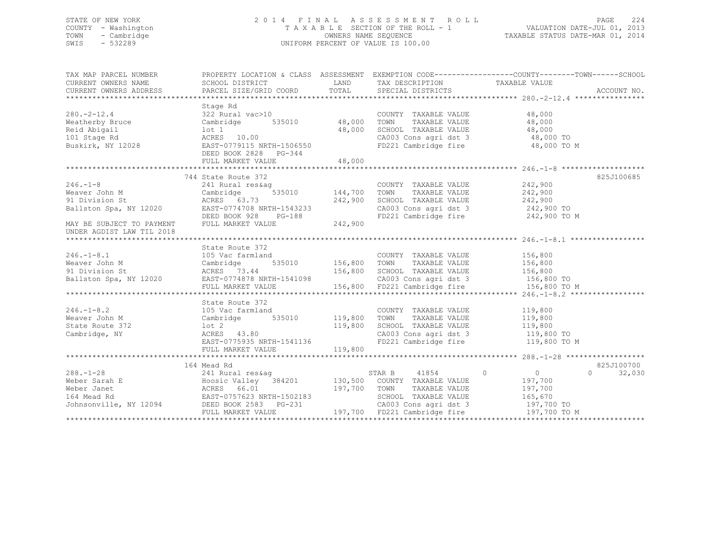# STATE OF NEW YORK 2 0 1 4 F I N A L A S S E S S M E N T R O L L PAGE 224 COUNTY - Washington T A X A B L E SECTION OF THE ROLL - 1 VALUATION DATE-JUL 01, 2013 TOWN - Cambridge OWNERS NAME SEQUENCE TAXABLE STATUS DATE-MAR 01, 2014 SWIS - 532289 UNIFORM PERCENT OF VALUE IS 100.00

| TAX MAP PARCEL NUMBER<br>CURRENT OWNERS NAME<br>CURRENT OWNERS NAME<br>CURRENT OWNERS ADDRESS                                                                                                                                                                                                                                                                                                                                           | PROPERTY LOCATION & CLASS ASSESSMENT EXEMPTION CODE---------------COUNTY-------TOWN-----SCHOOL                |         |                                                                                                           |                       |                    |
|-----------------------------------------------------------------------------------------------------------------------------------------------------------------------------------------------------------------------------------------------------------------------------------------------------------------------------------------------------------------------------------------------------------------------------------------|---------------------------------------------------------------------------------------------------------------|---------|-----------------------------------------------------------------------------------------------------------|-----------------------|--------------------|
|                                                                                                                                                                                                                                                                                                                                                                                                                                         |                                                                                                               |         |                                                                                                           |                       |                    |
|                                                                                                                                                                                                                                                                                                                                                                                                                                         | Stage Rd                                                                                                      |         |                                                                                                           |                       |                    |
| $280 - 2 - 12.4$                                                                                                                                                                                                                                                                                                                                                                                                                        |                                                                                                               |         | COUNTY TAXABLE VALUE                                                                                      | 48,000                |                    |
|                                                                                                                                                                                                                                                                                                                                                                                                                                         | 322 Rural vac>10<br>Cambridge 535010 48,000                                                                   |         | TOWN                                                                                                      | TAXABLE VALUE 48,000  |                    |
|                                                                                                                                                                                                                                                                                                                                                                                                                                         |                                                                                                               |         |                                                                                                           |                       |                    |
|                                                                                                                                                                                                                                                                                                                                                                                                                                         |                                                                                                               |         |                                                                                                           |                       |                    |
| xet-rich<br>Meatherby Bruce<br>Reid Abigail and Cambridge 535010 48,000<br>Reid Abigail 10t 1 48,000<br>101 Stage Rd RCRES 10.00<br>Buskirk, NY 12028 EAST-0779115 NRTH-1506550                                                                                                                                                                                                                                                         | DEED BOOK 2828 PG-344                                                                                         |         | SCHOOL TAXABLE VALUE 48,000<br>CA003 Cons agri dst 3 48,000 TO<br>FD221 Cambridge fire 48,000 TO M        |                       |                    |
|                                                                                                                                                                                                                                                                                                                                                                                                                                         | FULL MARKET VALUE                                                                                             | 48,000  |                                                                                                           |                       |                    |
|                                                                                                                                                                                                                                                                                                                                                                                                                                         |                                                                                                               |         |                                                                                                           |                       |                    |
| $246. -1 - 8$                                                                                                                                                                                                                                                                                                                                                                                                                           | 744 State Route 372                                                                                           |         |                                                                                                           |                       | 825J100685         |
|                                                                                                                                                                                                                                                                                                                                                                                                                                         | 241 Rural res&aq                                                                                              |         | COUNTY TAXABLE VALUE 242,900                                                                              |                       |                    |
|                                                                                                                                                                                                                                                                                                                                                                                                                                         |                                                                                                               |         |                                                                                                           | TAXABLE VALUE 242,900 |                    |
|                                                                                                                                                                                                                                                                                                                                                                                                                                         |                                                                                                               |         | SCHOOL TAXABLE VALUE $242,900$<br>CA003 Cons agri dst 3 $242,900$ TO<br>FD221 Cambridge fire 242,900 TO M |                       |                    |
|                                                                                                                                                                                                                                                                                                                                                                                                                                         |                                                                                                               |         |                                                                                                           |                       |                    |
|                                                                                                                                                                                                                                                                                                                                                                                                                                         |                                                                                                               |         |                                                                                                           |                       |                    |
| Example 144,700<br>Meaver John M<br>242,900<br>Ballston Spa, NY 12020<br>BAST-0774708 NRTH-1543233<br>MAY BE SUBJECT TO PAYMENT<br>TULL MARKET VALUE<br>242,900<br>UNDER AGDIST LAW TIL 2018<br>242,900                                                                                                                                                                                                                                 |                                                                                                               |         |                                                                                                           |                       |                    |
|                                                                                                                                                                                                                                                                                                                                                                                                                                         | State Route 372                                                                                               |         |                                                                                                           |                       |                    |
|                                                                                                                                                                                                                                                                                                                                                                                                                                         |                                                                                                               |         |                                                                                                           |                       |                    |
|                                                                                                                                                                                                                                                                                                                                                                                                                                         |                                                                                                               |         |                                                                                                           |                       |                    |
|                                                                                                                                                                                                                                                                                                                                                                                                                                         |                                                                                                               |         |                                                                                                           |                       |                    |
|                                                                                                                                                                                                                                                                                                                                                                                                                                         |                                                                                                               |         |                                                                                                           |                       |                    |
|                                                                                                                                                                                                                                                                                                                                                                                                                                         |                                                                                                               |         |                                                                                                           |                       |                    |
| 316.-1-8.1<br>Weaver John M Cambridge S35010<br>2010 Vision St Compare Sallston Spa, NY 12020<br>2011 Division St ACRES 73.44<br>2020 EAST-0774878 NRTH-1541098 156,800 FD221 Cambridge fire 156,800 TOM<br>2020 EAST-0774878 NRTH-15410                                                                                                                                                                                                |                                                                                                               |         |                                                                                                           |                       |                    |
|                                                                                                                                                                                                                                                                                                                                                                                                                                         | State Route 372                                                                                               |         |                                                                                                           |                       |                    |
| $246. - 1 - 8.2$                                                                                                                                                                                                                                                                                                                                                                                                                        |                                                                                                               |         | COUNTY TAXABLE VALUE 119,800                                                                              |                       |                    |
|                                                                                                                                                                                                                                                                                                                                                                                                                                         |                                                                                                               |         |                                                                                                           |                       |                    |
| Weaver John M<br>State Route 372                                                                                                                                                                                                                                                                                                                                                                                                        | State Route 372<br>105 Vac farmland COUNT<br>2 COUNT Cambridge 535010 119,800 TOWN<br>372 10t 2 119,800 SCHOO |         |                                                                                                           |                       |                    |
| Cambridge, NY                                                                                                                                                                                                                                                                                                                                                                                                                           | 10t 2 119,800<br>ACRES 43.80 119,800<br>EAST-0775935 NRTH-1541136                                             |         | CA003 Cons agri dst 3 119,800 TO                                                                          |                       |                    |
|                                                                                                                                                                                                                                                                                                                                                                                                                                         |                                                                                                               |         | FD221 Cambridge fire                                                                                      | 119,800 TO M          |                    |
|                                                                                                                                                                                                                                                                                                                                                                                                                                         | FULL MARKET VALUE                                                                                             | 119,800 |                                                                                                           |                       |                    |
|                                                                                                                                                                                                                                                                                                                                                                                                                                         |                                                                                                               |         |                                                                                                           |                       |                    |
|                                                                                                                                                                                                                                                                                                                                                                                                                                         |                                                                                                               |         |                                                                                                           |                       | 825J100700         |
|                                                                                                                                                                                                                                                                                                                                                                                                                                         |                                                                                                               |         |                                                                                                           |                       | $\Omega$<br>32,030 |
|                                                                                                                                                                                                                                                                                                                                                                                                                                         |                                                                                                               |         |                                                                                                           |                       |                    |
|                                                                                                                                                                                                                                                                                                                                                                                                                                         |                                                                                                               |         |                                                                                                           |                       |                    |
|                                                                                                                                                                                                                                                                                                                                                                                                                                         |                                                                                                               |         |                                                                                                           |                       |                    |
|                                                                                                                                                                                                                                                                                                                                                                                                                                         |                                                                                                               |         |                                                                                                           |                       |                    |
| $\begin{tabular}{lllllllllllllllllllll} \hline & & 164\text{ Mead Rd} & & & 164\text{ Mead Rd} & & & 130,500 & \text{COUNT} & \text{TAXABLE VALUE} & 0 & 0 \\ \hline \text{Weber Sarah E} & & & \text{Hossic Valley} & 384201 & 130,500 & \text{COUNT} & \text{TAXABLE VALUE} & 197,700 \\ \text{Weber Janet} & & & \text{ACRES} & 66.01 & 197,700 & \text{TONIN} & \text{TAXABLE VALUE} & 197,700 \\ \text{164 Mead Rd} & & & \text{E$ |                                                                                                               |         |                                                                                                           |                       |                    |
|                                                                                                                                                                                                                                                                                                                                                                                                                                         |                                                                                                               |         |                                                                                                           |                       |                    |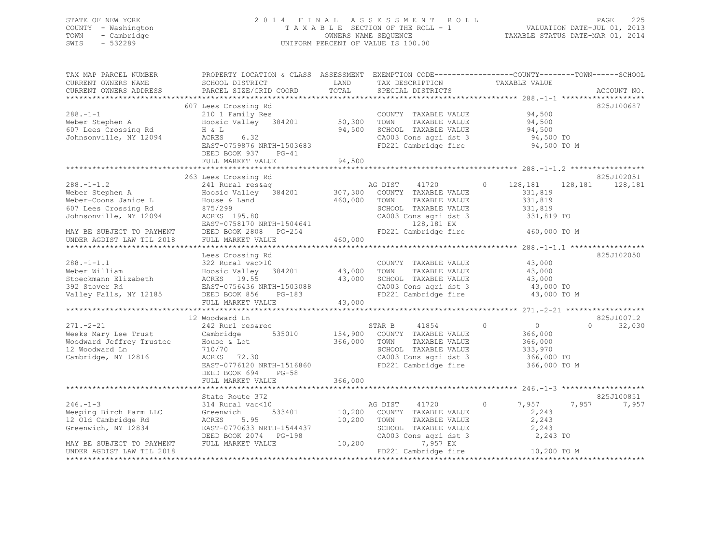# STATE OF NEW YORK 2 0 1 4 F I N A L A S S E S S M E N T R O L L PAGE 225 COUNTY - Washington T A X A B L E SECTION OF THE ROLL - 1 VALUATION DATE-JUL 01, 2013 TOWN - Cambridge OWNERS NAME SEQUENCE TAXABLE STATUS DATE-MAR 01, 2014 SWIS - 532289 UNIFORM PERCENT OF VALUE IS 100.00

| TAX MAP PARCEL NUMBER                                                                                                                                                                 | PROPERTY LOCATION & CLASS ASSESSMENT EXEMPTION CODE---------------COUNTY-------TOWN-----SCHOOL                       |                       |                                                      |                           |                   |
|---------------------------------------------------------------------------------------------------------------------------------------------------------------------------------------|----------------------------------------------------------------------------------------------------------------------|-----------------------|------------------------------------------------------|---------------------------|-------------------|
| CURRENT OWNERS NAME                                                                                                                                                                   | SCHOOL DISTRICT                                                                                                      | LAND                  | TAX DESCRIPTION                                      | TAXABLE VALUE             |                   |
| CURRENT OWNERS ADDRESS                                                                                                                                                                | PARCEL SIZE/GRID COORD                                                                                               | TOTAL                 | SPECIAL DISTRICTS                                    |                           | ACCOUNT NO.       |
|                                                                                                                                                                                       |                                                                                                                      |                       |                                                      |                           |                   |
|                                                                                                                                                                                       | 607 Lees Crossing Rd                                                                                                 |                       |                                                      |                           | 825J100687        |
| $288. - 1 - 1$                                                                                                                                                                        | 210 1 Family Res                                                                                                     | COUNTY<br>50,300 TOWN | COUNTY TAXABLE VALUE                                 | 94,500                    |                   |
| Weber Stephen A                                                                                                                                                                       | Hoosic Valley 384201                                                                                                 |                       | TAXABLE VALUE                                        | 94,500                    |                   |
| 607 Lees Crossing Rd                                                                                                                                                                  | H & L                                                                                                                |                       | 94,500 SCHOOL TAXABLE VALUE                          |                           |                   |
| Johnsonville, NY 12094                                                                                                                                                                | ACRES 6.32                                                                                                           |                       | CA003 Cons agri dst 3                                | 94,500<br>94,500 TO       |                   |
|                                                                                                                                                                                       | EAST-0759876 NRTH-1503683                                                                                            |                       | FD221 Cambridge fire 94,500 TO M                     |                           |                   |
|                                                                                                                                                                                       | DEED BOOK 937 PG-41                                                                                                  |                       |                                                      |                           |                   |
|                                                                                                                                                                                       | FULL MARKET VALUE                                                                                                    | 94,500                |                                                      |                           |                   |
|                                                                                                                                                                                       |                                                                                                                      |                       |                                                      |                           |                   |
|                                                                                                                                                                                       | 263 Lees Crossing Rd                                                                                                 |                       |                                                      |                           | 825J102051        |
|                                                                                                                                                                                       |                                                                                                                      |                       |                                                      | $\circ$<br>128,181        | 128, 181 128, 181 |
|                                                                                                                                                                                       |                                                                                                                      |                       |                                                      | 331,819                   |                   |
|                                                                                                                                                                                       |                                                                                                                      |                       |                                                      |                           |                   |
| Weber-Coons Janice L                                                                                                                                                                  |                                                                                                                      | 460,000 TOWN          | TAXABLE VALUE                                        | 331,819                   |                   |
| 607 Lees Crossing Rd                                                                                                                                                                  | House & Land<br>875/299<br>ACRES 195.80                                                                              |                       | SCHOOL TAXABLE VALUE                                 | 331,819                   |                   |
| Johnsonville, NY 12094                                                                                                                                                                |                                                                                                                      |                       | CA003 Cons agri dst 3                                | 331,819 TO                |                   |
|                                                                                                                                                                                       | EAST-0758170 NRTH-1504641 128,181 EX<br>REST-0758170 NRTH-1504641 128,181 EX<br>RESENTING PG-254 1221 Cambridge fire |                       |                                                      |                           |                   |
|                                                                                                                                                                                       |                                                                                                                      |                       |                                                      | 460,000 TO M              |                   |
| EAST-0758170 NRTH-1504641<br>MAY BE SUBJECT TO PAYMENT DEED BOOK 2808 PG-254<br>UNDER AGDIST LAW TIL 2018 FULL MARKET VALUE                                                           |                                                                                                                      | 460,000               |                                                      |                           |                   |
|                                                                                                                                                                                       |                                                                                                                      |                       |                                                      |                           |                   |
|                                                                                                                                                                                       | Lees Crossing Rd                                                                                                     |                       |                                                      |                           | 825J102050        |
| $288. -1 - 1.1$                                                                                                                                                                       | 322 Rural vac>10                                                                                                     |                       | COUNTY TAXABLE VALUE 43,000                          |                           |                   |
| Weber William                                                                                                                                                                         | Hoosic Valley 384201 43,000 TOWN<br>ACRES 19.55 43,000 SCHOO                                                         |                       | TAXABLE VALUE                                        | 43,000                    |                   |
| Stoeckmann Elizabeth                                                                                                                                                                  |                                                                                                                      |                       | 43,000 SCHOOL TAXABLE VALUE<br>CA003 Cons agri dst 3 | 43,000                    |                   |
| 392 Stover Rd                                                                                                                                                                         | EAST-0756436 NRTH-1503088                                                                                            |                       |                                                      | 43,000 TO                 |                   |
| Valley Falls, NY 12185                                                                                                                                                                | DEED BOOK 856 PG-183                                                                                                 |                       | FD221 Cambridge fire                                 | 43,000 TO M               |                   |
|                                                                                                                                                                                       | FULL MARKET VALUE                                                                                                    | 43,000                |                                                      |                           |                   |
|                                                                                                                                                                                       |                                                                                                                      |                       |                                                      |                           |                   |
|                                                                                                                                                                                       | 12 Woodward Ln                                                                                                       |                       |                                                      |                           | 825J100712        |
| $271. - 2 - 21$                                                                                                                                                                       | 242 Rurl res&rec                                                                                                     |                       | STAR B 41854                                         | $\circ$<br>$\overline{0}$ | 32,030<br>$\cap$  |
|                                                                                                                                                                                       |                                                                                                                      |                       |                                                      | 366,000                   |                   |
|                                                                                                                                                                                       |                                                                                                                      |                       | TAXABLE VALUE                                        |                           |                   |
| er - a mort cambridge 535010 154,900 COUNTY TAXABLE VALUE<br>Woodward Jeffrey Trustee House & Lot 535010 366,000 TOWN TAXABLE VALUE<br>12 Woodward In 710/70 700 8CHOOL TAXABLE VALUE |                                                                                                                      |                       |                                                      | 366,000<br>333,970        |                   |
| 12 Woodward Ln                                                                                                                                                                        | 710/70                                                                                                               |                       | SCHOOL TAXABLE VALUE                                 |                           |                   |
| Cambridge, NY 12816                                                                                                                                                                   | ACRES 72.30                                                                                                          |                       | CA003 Cons agri dst 3<br>FD221 Cambridge fire        | 366,000 TO                |                   |
|                                                                                                                                                                                       | EAST-0776120 NRTH-1516860                                                                                            |                       |                                                      | 366,000 TO M              |                   |
|                                                                                                                                                                                       | DEED BOOK 694<br>$PG-58$                                                                                             |                       |                                                      |                           |                   |
|                                                                                                                                                                                       | FULL MARKET VALUE                                                                                                    | 366,000               |                                                      |                           |                   |
|                                                                                                                                                                                       |                                                                                                                      |                       |                                                      |                           |                   |
|                                                                                                                                                                                       | State Route 372                                                                                                      |                       |                                                      |                           | 825J100851        |
| $246. -1 - 3$                                                                                                                                                                         | 314 Rural vac<10                                                                                                     |                       | AG DIST 41720                                        | $\circ$<br>7,957          | 7,957<br>7,957    |
| Weeping Birch Farm LLC                                                                                                                                                                | Greenwich<br>533401                                                                                                  |                       | 10,200 COUNTY TAXABLE VALUE                          | 2,243                     |                   |
| 12 Old Cambridge Rd                                                                                                                                                                   | 5.95<br>ACRES                                                                                                        | 10,200                | TOWN<br>TAXABLE VALUE                                | 2,243                     |                   |
| Greenwich, NY 12834                                                                                                                                                                   | EAST-0770633 NRTH-1544437                                                                                            |                       | TOWN      TAXABLE VALUE<br>SCHOOL   TAXABLE VALUE    | 2,243                     |                   |
|                                                                                                                                                                                       | DEED BOOK 2074 PG-198                                                                                                |                       | CA003 Cons_agri dst 3                                | 2,243 TO                  |                   |
| MAY BE SUBJECT TO PAYMENT                                                                                                                                                             | FULL MARKET VALUE                                                                                                    | 10,200                | 7,957 EX                                             |                           |                   |
| UNDER AGDIST LAW TIL 2018                                                                                                                                                             |                                                                                                                      |                       | FD221 Cambridge fire                                 | 10,200 TO M               |                   |
|                                                                                                                                                                                       |                                                                                                                      |                       |                                                      |                           |                   |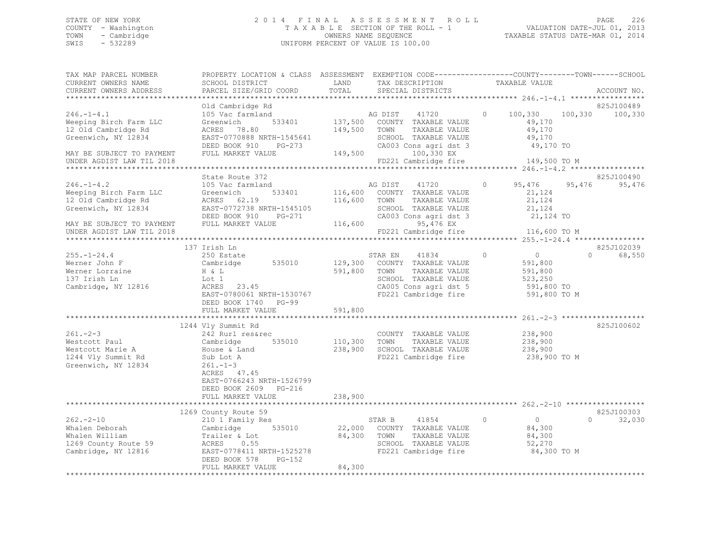# STATE OF NEW YORK 2 0 1 4 F I N A L A S S E S S M E N T R O L L PAGE 226 COUNTY - Washington T A X A B L E SECTION OF THE ROLL - 1 VALUATION DATE-JUL 01, 2013 TOWN - Cambridge OWNERS NAME SEQUENCE TAXABLE STATUS DATE-MAR 01, 2014 SWIS - 532289 UNIFORM PERCENT OF VALUE IS 100.00

| TAX MAP PARCEL NUMBER<br>CURRENT OWNERS NAME                                                                                                                                                    | PROPERTY LOCATION & CLASS ASSESSMENT EXEMPTION CODE-----------------COUNTY-------TOWN------SCHOOL<br>SCHOOL DISTRICT                                                                                                                                                                                                            | LAND                               | TAX DESCRIPTION                                                                                                                                                                                                                                     | TAXABLE VALUE                                                                                                                             |          |                      |
|-------------------------------------------------------------------------------------------------------------------------------------------------------------------------------------------------|---------------------------------------------------------------------------------------------------------------------------------------------------------------------------------------------------------------------------------------------------------------------------------------------------------------------------------|------------------------------------|-----------------------------------------------------------------------------------------------------------------------------------------------------------------------------------------------------------------------------------------------------|-------------------------------------------------------------------------------------------------------------------------------------------|----------|----------------------|
| CURRENT OWNERS ADDRESS<br>*********************                                                                                                                                                 | PARCEL SIZE/GRID COORD                                                                                                                                                                                                                                                                                                          | TOTAL                              | SPECIAL DISTRICTS                                                                                                                                                                                                                                   |                                                                                                                                           |          | ACCOUNT NO.          |
|                                                                                                                                                                                                 | Old Cambridge Rd                                                                                                                                                                                                                                                                                                                |                                    |                                                                                                                                                                                                                                                     |                                                                                                                                           |          | 825J100489           |
| $246. -1 - 4.1$<br>Weeping Birch Farm LLC<br>12 Old Cambridge Rd<br>Greenwich, NY 12834                                                                                                         | 105 Vac farmland<br>533401<br>Greenwich<br>ACRES 78.80<br>EAST-0770888 NRTH-1545641<br>DEED BOOK 910<br>PG-273                                                                                                                                                                                                                  | 149,500 TOWN                       | AG DIST<br>41720<br>137,500 COUNTY TAXABLE VALUE<br>TAXABLE VALUE<br>SCHOOL TAXABLE VALUE<br>CA003 Cons agri dst 3                                                                                                                                  | 100,330<br>$\circ$<br>49,170<br>49,170<br>49,170<br>49,170 TO                                                                             | 100,330  | 100,330              |
| MAY BE SUBJECT TO PAYMENT                                                                                                                                                                       | FULL MARKET VALUE                                                                                                                                                                                                                                                                                                               | 149,500                            | 100,330 EX                                                                                                                                                                                                                                          |                                                                                                                                           |          |                      |
| UNDER AGDIST LAW TIL 2018                                                                                                                                                                       |                                                                                                                                                                                                                                                                                                                                 |                                    | FD221 Cambridge fire                                                                                                                                                                                                                                | 149,500 TO M                                                                                                                              |          |                      |
|                                                                                                                                                                                                 |                                                                                                                                                                                                                                                                                                                                 |                                    |                                                                                                                                                                                                                                                     |                                                                                                                                           |          |                      |
|                                                                                                                                                                                                 | State Route 372                                                                                                                                                                                                                                                                                                                 |                                    |                                                                                                                                                                                                                                                     |                                                                                                                                           |          | 825J100490           |
| $246. - 1 - 4.2$<br>Weeping Birch Farm LLC<br>12 Old Cambridge Rd<br>Greenwich, NY 12834<br>MAY BE SUBJECT TO PAYMENT                                                                           | 105 Vac farmland<br>533401<br>Greenwich<br>ACRES 62.19<br>EAST-0772738 NRTH-1545105<br>DEED BOOK 910<br>PG-271<br>FULL MARKET VALUE                                                                                                                                                                                             | 116,600                            | AG DIST 41720<br>116,600 COUNTY TAXABLE VALUE<br>116,600 TOWN<br>TAXABLE VALUE<br>SCHOOL TAXABLE VALUE<br>CA003 Cons agri dst 3<br>95,476 EX                                                                                                        | $\circ$<br>95,476<br>21,124<br>21,124<br>21,124<br>21,124 TO                                                                              | 95,476   | 95,476               |
| UNDER AGDIST LAW TIL 2018                                                                                                                                                                       |                                                                                                                                                                                                                                                                                                                                 |                                    | FD221 Cambridge fire                                                                                                                                                                                                                                | 116,600 TO M                                                                                                                              |          |                      |
|                                                                                                                                                                                                 |                                                                                                                                                                                                                                                                                                                                 |                                    |                                                                                                                                                                                                                                                     |                                                                                                                                           |          |                      |
|                                                                                                                                                                                                 | 137 Irish Ln                                                                                                                                                                                                                                                                                                                    |                                    |                                                                                                                                                                                                                                                     |                                                                                                                                           |          | 825J102039           |
| $255. - 1 - 24.4$<br>Werner John F<br>Werner Lorraine<br>137 Irish Ln<br>Cambridge, NY 12816<br>$261 - 2 - 3$<br>Westcott Paul<br>Westcott Marie A<br>1244 Vly Summit Rd<br>Greenwich, NY 12834 | 250 Estate<br>Cambridge 535010<br>H & L<br>Lot 1<br>ACRES 23.45<br>EAST-0780061 NRTH-1530767<br>DEED BOOK 1740 PG-99<br>FULL MARKET VALUE<br>1244 Vly Summit Rd<br>242 Rurl res&rec<br>535010<br>Cambridge<br>A House & Land<br>Sub Lot A<br>$261 - 1 - 3$<br>ACRES 47.45<br>EAST-0766243 NRTH-1526799<br>DEED BOOK 2609 PG-216 | 591,800<br>591,800<br>110,300 TOWN | STAR EN<br>41834<br>129,300 COUNTY TAXABLE VALUE<br>TOWN<br>TAXABLE VALUE<br>SCHOOL TAXABLE VALUE<br>CA005 Cons agri dst 5<br>FD221 Cambridge fire<br>COUNTY TAXABLE VALUE<br>TAXABLE VALUE<br>238,900 SCHOOL TAXABLE VALUE<br>FD221 Cambridge fire | $\overline{0}$<br>$\circ$<br>591,800<br>591,800<br>523,250<br>591,800 TO<br>591,800 TO M<br>238,900<br>238,900<br>238,900<br>238,900 TO M | $\Omega$ | 68,550<br>825J100602 |
|                                                                                                                                                                                                 | FULL MARKET VALUE                                                                                                                                                                                                                                                                                                               | 238,900                            |                                                                                                                                                                                                                                                     |                                                                                                                                           |          |                      |
|                                                                                                                                                                                                 | 1269 County Route 59                                                                                                                                                                                                                                                                                                            |                                    |                                                                                                                                                                                                                                                     |                                                                                                                                           |          | 825J100303           |
| $262 - 2 - 10$<br>Whalen Deborah<br>Whalen William<br>1269 County Route 59<br>Cambridge, NY 12816                                                                                               | 210 1 Family Res<br>535010<br>Cambridge<br>Trailer & Lot<br>ACRES 0.55<br>EAST-0778411 NRTH-1525278<br>DEED BOOK 578<br>PG-152<br>FULL MARKET VALUE                                                                                                                                                                             | 84,300 TOWN<br>84,300              | STAR B<br>41854<br>22,000 COUNTY TAXABLE VALUE<br>TAXABLE VALUE<br>SCHOOL TAXABLE VALUE<br>FD221 Cambridge fire                                                                                                                                     | $\circ$<br>$\overline{0}$<br>84,300<br>84,300<br>52,270<br>84,300 TO M                                                                    | $\Omega$ | 32,030               |
|                                                                                                                                                                                                 |                                                                                                                                                                                                                                                                                                                                 |                                    |                                                                                                                                                                                                                                                     |                                                                                                                                           |          |                      |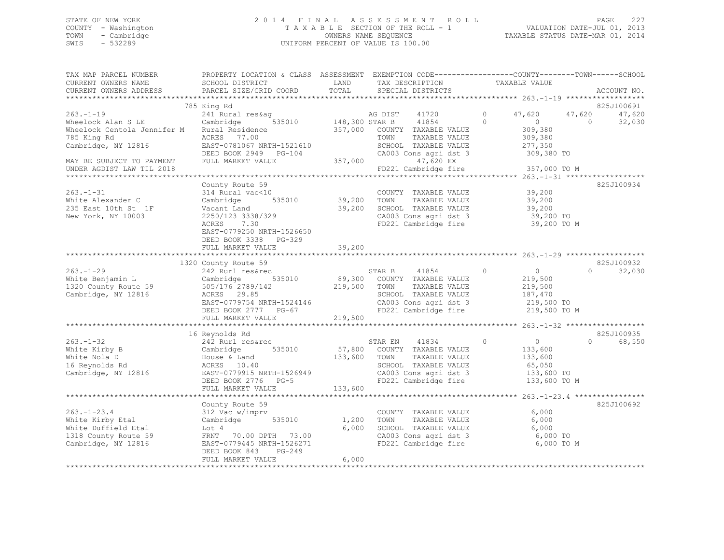# STATE OF NEW YORK 2 0 1 4 F I N A L A S S E S S M E N T R O L L PAGE 227 COUNTY - Washington T A X A B L E SECTION OF THE ROLL - 1 VALUATION DATE-JUL 01, 2013 TOWN - Cambridge OWNERS NAME SEQUENCE TAXABLE STATUS DATE-MAR 01, 2014 SWIS - 532289 UNIFORM PERCENT OF VALUE IS 100.00

| TAX MAP PARCEL NUMBER<br>CURRENT OWNERS NAME                                                                                                                                                                                          | PROPERTY LOCATION & CLASS ASSESSMENT EXEMPTION CODE----------------COUNTY-------TOWN------SCHOOL<br>SCHOOL DISTRICT | <b>EXAMPLE DESCRIPTION OF STREET AND STREET AND STREET AND STREET AND STREET AND STREET AND STREET AND STREET AND</b> | TAX DESCRIPTION TAXABLE VALUE                                                                                      |                    |                                 |
|---------------------------------------------------------------------------------------------------------------------------------------------------------------------------------------------------------------------------------------|---------------------------------------------------------------------------------------------------------------------|-----------------------------------------------------------------------------------------------------------------------|--------------------------------------------------------------------------------------------------------------------|--------------------|---------------------------------|
|                                                                                                                                                                                                                                       |                                                                                                                     |                                                                                                                       |                                                                                                                    |                    |                                 |
|                                                                                                                                                                                                                                       |                                                                                                                     |                                                                                                                       |                                                                                                                    |                    |                                 |
|                                                                                                                                                                                                                                       | 785 King Rd                                                                                                         |                                                                                                                       |                                                                                                                    |                    | 825J100691                      |
| $263 - 1 - 19$                                                                                                                                                                                                                        |                                                                                                                     |                                                                                                                       |                                                                                                                    |                    | 47,620                          |
| Wheelock Alan S LE                                                                                                                                                                                                                    |                                                                                                                     |                                                                                                                       |                                                                                                                    |                    | 32,030                          |
| Wheelock Centola Jennifer M Rural Residence $357,000$ COUNTY TAXABLE VALUE<br>785 King Rd                                                                                                                                             | ACRES 77.00                                                                                                         |                                                                                                                       | TOWN<br>TAXABLE VALUE                                                                                              | 309,380<br>309,380 |                                 |
| Cambridge, NY 12816                                                                                                                                                                                                                   |                                                                                                                     |                                                                                                                       |                                                                                                                    |                    |                                 |
|                                                                                                                                                                                                                                       |                                                                                                                     |                                                                                                                       |                                                                                                                    |                    |                                 |
|                                                                                                                                                                                                                                       | ACKES 77.00<br>EAST-0781067 NRTH-1521610<br>DEED BOOK 2949 PG-104 CA003<br>FULL MARKET VALUE 357,000                |                                                                                                                       | SCHOOL TAXABLE VALUE 277,350<br>CA003 Cons agri dst 3 309,380 TO<br>47,620 EX<br>FD221 Cambridge fire 357,000 TO M |                    |                                 |
| MAY BE SUBJECT TO PAYMENT<br>UNDER AGDIST LAW TIL 2018                                                                                                                                                                                |                                                                                                                     |                                                                                                                       |                                                                                                                    |                    |                                 |
|                                                                                                                                                                                                                                       |                                                                                                                     |                                                                                                                       |                                                                                                                    |                    |                                 |
|                                                                                                                                                                                                                                       | County Route 59                                                                                                     |                                                                                                                       |                                                                                                                    |                    | 825J100934                      |
|                                                                                                                                                                                                                                       |                                                                                                                     |                                                                                                                       | COUNTY TAXABLE VALUE 39,200                                                                                        |                    |                                 |
| 263.-1-31 COUNTY<br>White Alexander C Cambridge 535010 39,200 TOWN                                                                                                                                                                    |                                                                                                                     |                                                                                                                       | TAXABLE VALUE 39,200                                                                                               |                    |                                 |
|                                                                                                                                                                                                                                       |                                                                                                                     |                                                                                                                       |                                                                                                                    |                    |                                 |
| 235 East 10th St 1F<br>New York, NY 10003<br>New York, NY 10003                                                                                                                                                                       |                                                                                                                     |                                                                                                                       | 39,200 SCHOOL TAXABLE VALUE $39,200$<br>CA003 Cons agri dst 3 $39,200$ TO<br>FD221 Cambridge fire 39.200 TO        |                    |                                 |
|                                                                                                                                                                                                                                       | ACRES 7.30                                                                                                          |                                                                                                                       | FD221 Cambridge fire                                                                                               | 39,200 TO M        |                                 |
|                                                                                                                                                                                                                                       | EAST-0779250 NRTH-1526650                                                                                           |                                                                                                                       |                                                                                                                    |                    |                                 |
|                                                                                                                                                                                                                                       | DEED BOOK 3338 PG-329                                                                                               |                                                                                                                       |                                                                                                                    |                    |                                 |
|                                                                                                                                                                                                                                       |                                                                                                                     |                                                                                                                       |                                                                                                                    |                    |                                 |
|                                                                                                                                                                                                                                       |                                                                                                                     |                                                                                                                       |                                                                                                                    |                    |                                 |
|                                                                                                                                                                                                                                       | 1320 County Route 59                                                                                                |                                                                                                                       |                                                                                                                    |                    | 825J100932                      |
|                                                                                                                                                                                                                                       |                                                                                                                     |                                                                                                                       |                                                                                                                    | $\overline{0}$     | 32,030<br>$\Omega$ and $\Omega$ |
|                                                                                                                                                                                                                                       |                                                                                                                     |                                                                                                                       |                                                                                                                    |                    |                                 |
|                                                                                                                                                                                                                                       |                                                                                                                     |                                                                                                                       |                                                                                                                    |                    |                                 |
|                                                                                                                                                                                                                                       |                                                                                                                     |                                                                                                                       |                                                                                                                    |                    |                                 |
|                                                                                                                                                                                                                                       |                                                                                                                     |                                                                                                                       |                                                                                                                    |                    |                                 |
|                                                                                                                                                                                                                                       |                                                                                                                     |                                                                                                                       |                                                                                                                    |                    |                                 |
|                                                                                                                                                                                                                                       |                                                                                                                     |                                                                                                                       |                                                                                                                    |                    |                                 |
|                                                                                                                                                                                                                                       |                                                                                                                     |                                                                                                                       |                                                                                                                    |                    |                                 |
|                                                                                                                                                                                                                                       | 16 Reynolds Rd                                                                                                      |                                                                                                                       |                                                                                                                    |                    | 825J100935                      |
|                                                                                                                                                                                                                                       | Augustus Au<br>242 Rurl res&rec                                                                                     |                                                                                                                       | STAR EN 41834 0                                                                                                    | $\overline{0}$     | 68,550<br>$\Omega$              |
|                                                                                                                                                                                                                                       |                                                                                                                     |                                                                                                                       |                                                                                                                    |                    |                                 |
|                                                                                                                                                                                                                                       |                                                                                                                     |                                                                                                                       |                                                                                                                    |                    |                                 |
|                                                                                                                                                                                                                                       |                                                                                                                     |                                                                                                                       |                                                                                                                    |                    |                                 |
| 263.-1-32<br>White Kirby B Cambridge 535010 57,800 COUNTY TAXABLE VALUE<br>White Nola D House & Land 133,600 TOWN TAXABLE VALUE 133,600<br>16 Reynolds Rd ACRES 10.40 SCHOOL TAXABLE VALUE 65,050<br>Cambridge, NY 12816 EAST-0779915 | 1101110 10.40<br>EAST-0779915 NRTH-1526949<br>DEED BOOK 2776 PG-5<br>FIILL MADDEM VALUE                             |                                                                                                                       |                                                                                                                    |                    |                                 |
|                                                                                                                                                                                                                                       |                                                                                                                     |                                                                                                                       |                                                                                                                    |                    |                                 |
|                                                                                                                                                                                                                                       | FULL MARKET VALUE                                                                                                   | 133,600                                                                                                               |                                                                                                                    |                    |                                 |
|                                                                                                                                                                                                                                       |                                                                                                                     |                                                                                                                       |                                                                                                                    |                    |                                 |
|                                                                                                                                                                                                                                       | County Route 59                                                                                                     |                                                                                                                       |                                                                                                                    |                    | 825J100692                      |
| $263. - 1 - 23.4$                                                                                                                                                                                                                     | 312 Vac w/imprv                                                                                                     |                                                                                                                       | COUNTY TAXABLE VALUE 6,000                                                                                         |                    |                                 |
| White Kirby Etal                                                                                                                                                                                                                      |                                                                                                                     |                                                                                                                       |                                                                                                                    | 6,000              |                                 |
| White Duffield Etal                                                                                                                                                                                                                   | 312 Vac w/imprv<br>Cambridge 535010 1,200 TOWN TAXABLE VALUE<br>6 000 SCHOOL TAXABLE VALUE<br>Lot 4                 |                                                                                                                       | 6,000 SCHOOL TAXABLE VALUE 6,000<br>6,000 SCHOOL TAXABLE VALUE 6,000 TO                                            |                    |                                 |
| 1318 County Route 59                                                                                                                                                                                                                  | FRNT 70.00 DPTH 73.00                                                                                               |                                                                                                                       | CA003 Cons agri dst 3 6,000 TO<br>FD221 Cambridge fire 6,000 TO M                                                  |                    |                                 |
| Cambridge, NY 12816                                                                                                                                                                                                                   | EAST-0779445 NRTH-1526271                                                                                           |                                                                                                                       |                                                                                                                    |                    |                                 |
|                                                                                                                                                                                                                                       | DEED BOOK 843 PG-249                                                                                                |                                                                                                                       |                                                                                                                    |                    |                                 |
|                                                                                                                                                                                                                                       | FULL MARKET VALUE                                                                                                   | 6,000                                                                                                                 |                                                                                                                    |                    |                                 |
|                                                                                                                                                                                                                                       |                                                                                                                     |                                                                                                                       |                                                                                                                    |                    |                                 |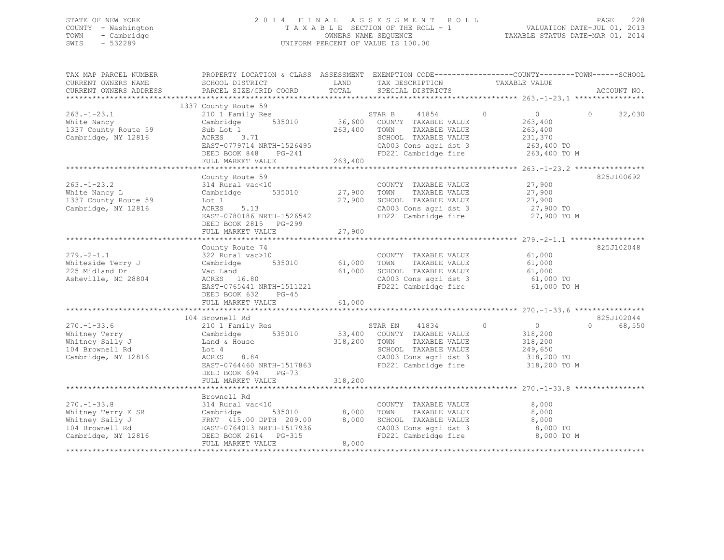# STATE OF NEW YORK 2 0 1 4 F I N A L A S S E S S M E N T R O L L PAGE 228 COUNTY - Washington T A X A B L E SECTION OF THE ROLL - 1 VALUATION DATE-JUL 01, 2013 TOWN - Cambridge OWNERS NAME SEQUENCE TAXABLE STATUS DATE-MAR 01, 2014 SWIS - 532289 UNIFORM PERCENT OF VALUE IS 100.00

| TAX MAP PARCEL NUMBER<br>CURRENT OWNERS NAME<br>CURRENT OWNERS ADDRESS                               | PROPERTY LOCATION & CLASS ASSESSMENT EXEMPTION CODE---------------COUNTY-------TOWN------SCHOOL<br>SCHOOL DISTRICT<br>PARCEL SIZE/GRID COORD                                       | LAND<br>TOTAL                                | TAX DESCRIPTION<br>SPECIAL DISTRICTS                                                                                                              | TAXABLE VALUE                                                                             | ACCOUNT NO.                      |
|------------------------------------------------------------------------------------------------------|------------------------------------------------------------------------------------------------------------------------------------------------------------------------------------|----------------------------------------------|---------------------------------------------------------------------------------------------------------------------------------------------------|-------------------------------------------------------------------------------------------|----------------------------------|
| $263. - 1 - 23.1$<br>White Nancy<br>1337 County Route 59<br>Cambridge, NY 12816                      | 1337 County Route 59<br>210 1 Family Res<br>535010<br>Cambridge<br>Sub Lot 1<br>ACRES 3.71<br>EAST-0779714 NRTH-1526495<br>DEED BOOK 848<br>PG-241<br>FULL MARKET VALUE            | 36,600<br>263,400<br>263,400                 | 41854<br>STAR B<br>COUNTY TAXABLE VALUE<br>TOWN<br>TAXABLE VALUE<br>SCHOOL TAXABLE VALUE<br>CA003 Cons agri dst 3<br>FD221 Cambridge fire         | $\Omega$<br>$\overline{0}$<br>263,400<br>263,400<br>231,370<br>263,400 TO<br>263,400 TO M | $\bigcap$<br>32,030              |
| $263. - 1 - 23.2$<br>White Nancy L<br>1337 County Route 59<br>Cambridge, NY 12816                    | County Route 59<br>314 Rural vac<10<br>535010<br>Cambridge<br>Lot 1<br>ACRES<br>5.13<br>EAST-0780186 NRTH-1526542<br>DEED BOOK 2815 PG-299<br>FULL MARKET VALUE                    | 27,900<br>27,900<br>27,900                   | COUNTY TAXABLE VALUE<br>TOWN<br>TAXABLE VALUE<br>SCHOOL TAXABLE VALUE<br>CA003 Cons agri dst 3<br>FD221 Cambridge fire                            | 27,900<br>27,900<br>27,900<br>27,900 TO<br>27,900 TO M                                    | 825J100692                       |
| $279. - 2 - 1.1$<br>Whiteside Terry J<br>225 Midland Dr<br>Asheville, NC 28804                       | County Route 74<br>322 Rural vac>10<br>Cambridge<br>535010<br>Vac Land<br>ACRES 16.80<br>EAST-0765441 NRTH-1511221<br>DEED BOOK 632<br>$PG-45$<br>FULL MARKET VALUE                | 61,000<br>61,000<br>61,000<br>************** | COUNTY TAXABLE VALUE<br>TOWN<br>TAXABLE VALUE<br>SCHOOL TAXABLE VALUE<br>CA003 Cons agri dst 3<br>FD221 Cambridge fire                            | 61,000<br>61,000<br>61,000<br>61,000 TO<br>61,000 TO M                                    | 825J102048                       |
| $270. - 1 - 33.6$<br>Whitney Terry<br>Whitney Sally J<br>104 Brownell Rd<br>Cambridge, NY 12816      | 104 Brownell Rd<br>210 1 Family Res<br>Cambridge<br>535010<br>Land & House<br>Lot 4<br>ACRES<br>8.84<br>EAST-0764460 NRTH-1517863<br>DEED BOOK 694<br>$PG-73$<br>FULL MARKET VALUE | 318,200<br>318,200                           | STAR EN<br>41834<br>53,400 COUNTY TAXABLE VALUE<br>TAXABLE VALUE<br>TOWN<br>SCHOOL TAXABLE VALUE<br>CA003 Cons agri dst 3<br>FD221 Cambridge fire | $\circ$<br>$\overline{0}$<br>318,200<br>318,200<br>249,650<br>318,200 TO<br>318,200 TO M  | 825J102044<br>$\Omega$<br>68,550 |
| $270. - 1 - 33.8$<br>Whitney Terry E SR<br>Whitney Sally J<br>104 Brownell Rd<br>Cambridge, NY 12816 | Brownell Rd<br>314 Rural vac<10<br>535010<br>Cambridge<br>FRNT 415.00 DPTH 209.00<br>EAST-0764013 NRTH-1517936<br>PG-315<br>DEED BOOK 2614<br>FULL MARKET VALUE                    | 8,000<br>8,000<br>8,000                      | COUNTY TAXABLE VALUE<br>TOWN<br>TAXABLE VALUE<br>SCHOOL TAXABLE VALUE<br>CA003 Cons agri dst 3<br>FD221 Cambridge fire                            | 8,000<br>8,000<br>8,000<br>8,000 TO<br>8,000 TO M                                         |                                  |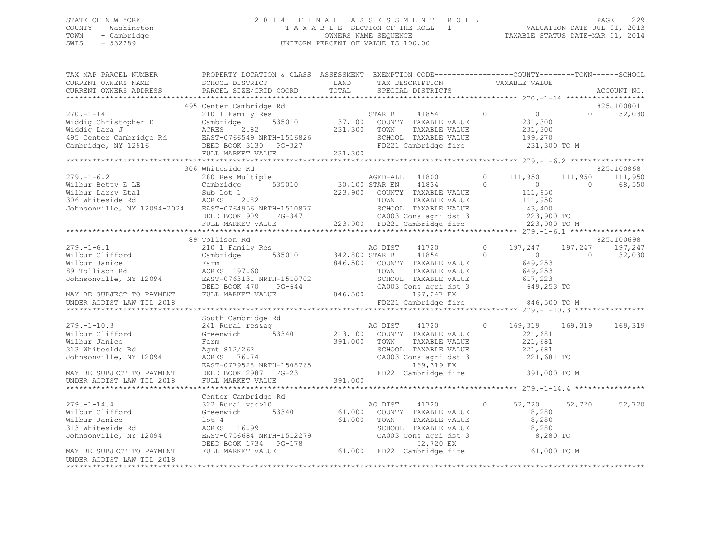# STATE OF NEW YORK 2 0 1 4 F I N A L A S S E S S M E N T R O L L PAGE 229 COUNTY - Washington T A X A B L E SECTION OF THE ROLL - 1 VALUATION DATE-JUL 01, 2013 TOWN - Cambridge OWNERS NAME SEQUENCE TAXABLE STATUS DATE-MAR 01, 2014 SWIS - 532289 UNIFORM PERCENT OF VALUE IS 100.00

| TAX MAP PARCEL NUMBER<br>CURRENT OWNERS NAME<br>CURRENT OWNERS ADDRESS                                                                                                                                                                                                                                                                             | PROPERTY LOCATION & CLASS ASSESSMENT EXEMPTION CODE-----------------COUNTY-------TOWN------SCHOOL<br>SCHOOL DISTRICT LAND TAX DESCRIPTION TAXABLE VALUE<br>PARCEL SIZE/GRID COORD TOTAL SPECIAL DISTRICTS |                                   |  |        | ACCOUNT NO.                      |
|----------------------------------------------------------------------------------------------------------------------------------------------------------------------------------------------------------------------------------------------------------------------------------------------------------------------------------------------------|-----------------------------------------------------------------------------------------------------------------------------------------------------------------------------------------------------------|-----------------------------------|--|--------|----------------------------------|
|                                                                                                                                                                                                                                                                                                                                                    |                                                                                                                                                                                                           |                                   |  |        |                                  |
| 495 Center Cambridge Rd<br>270.-1-14 210 1 Family Res<br>Widdig Christopher D Cambridge 535010 37,100 COUNTY TAXABLE VALUE<br>231,300 Middig Lara J ACRES 2.82 231,300 TOWN TAXABLE VALUE 231,300<br>495 Center Cambridge Rd EAST-0766                                                                                                             |                                                                                                                                                                                                           |                                   |  |        | 825J100801<br>$\Omega$<br>32,030 |
|                                                                                                                                                                                                                                                                                                                                                    |                                                                                                                                                                                                           |                                   |  |        |                                  |
|                                                                                                                                                                                                                                                                                                                                                    | 306 Whiteside Rd                                                                                                                                                                                          |                                   |  |        | 825J100868                       |
|                                                                                                                                                                                                                                                                                                                                                    |                                                                                                                                                                                                           |                                   |  |        |                                  |
|                                                                                                                                                                                                                                                                                                                                                    |                                                                                                                                                                                                           |                                   |  |        |                                  |
|                                                                                                                                                                                                                                                                                                                                                    | 89 Tollison Rd                                                                                                                                                                                            |                                   |  |        | 825J100698                       |
|                                                                                                                                                                                                                                                                                                                                                    |                                                                                                                                                                                                           |                                   |  |        |                                  |
| UNDER AGDIST LAW TIL 2018                                                                                                                                                                                                                                                                                                                          |                                                                                                                                                                                                           | FD221 Cambridge fire 846,500 TO M |  |        |                                  |
|                                                                                                                                                                                                                                                                                                                                                    |                                                                                                                                                                                                           |                                   |  |        |                                  |
| $279. -1 - 10.3$<br>Wilbur Clifford<br>Wilbur Janice<br>313 Whiteside Rd<br>Ti<br>Wilbur Janice<br>Wilbur Janice<br>391,000 TOWN TAXABLE VALUE<br>391,000 TOWN TAXABLE VALUE<br>391,000 TOWN TAXABLE VALUE<br>221,681<br>221,681<br>221,681<br>221,681<br>221,681<br>221,681<br>221,681<br>221,681<br>221,681<br>221,681<br>221,681<br>221,681<br> | South Cambridge Rd<br>2011 Camping Act of the Magnetic S33401 and Magnetic Magnetic Country TAXABLE VALUE 221,681 221,681 and 533401 213,100 COUNTY TAXABLE VALUE 221,681                                 |                                   |  |        | 169,319                          |
|                                                                                                                                                                                                                                                                                                                                                    |                                                                                                                                                                                                           |                                   |  |        |                                  |
|                                                                                                                                                                                                                                                                                                                                                    |                                                                                                                                                                                                           |                                   |  |        |                                  |
|                                                                                                                                                                                                                                                                                                                                                    |                                                                                                                                                                                                           |                                   |  | 52,720 | 52,720                           |
|                                                                                                                                                                                                                                                                                                                                                    |                                                                                                                                                                                                           |                                   |  |        |                                  |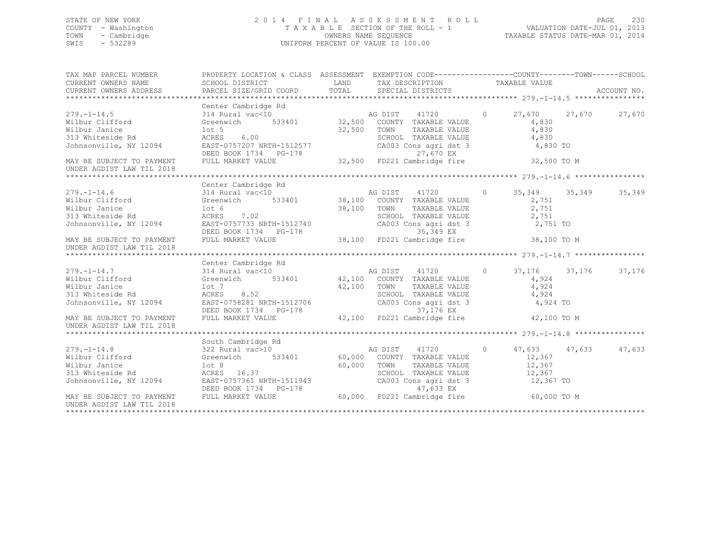# STATE OF NEW YORK 2 0 1 4 F I N A L A S S E S S M E N T R O L L PAGE 230 COUNTY - Washington T A X A B L E SECTION OF THE ROLL - 1 VALUATION DATE-JUL 01, 2013 TOWN - Cambridge OWNERS NAME SEQUENCE TAXABLE STATUS DATE-MAR 01, 2014 SWIS - 532289 UNIFORM PERCENT OF VALUE IS 100.00

| TAX MAP PARCEL NUMBER<br>CURRENT OWNERS NAME<br>CURRENT OWNERS ADDRESS                                                                                     | PROPERTY LOCATION & CLASS ASSESSMENT EXEMPTION CODE----------------COUNTY-------TOWN-----SCHOOL |             |                                                                     |                      |        |
|------------------------------------------------------------------------------------------------------------------------------------------------------------|-------------------------------------------------------------------------------------------------|-------------|---------------------------------------------------------------------|----------------------|--------|
|                                                                                                                                                            |                                                                                                 |             |                                                                     |                      |        |
|                                                                                                                                                            | Center Cambridge Rd                                                                             |             | $\overline{a}$                                                      | 27,670 27,670        | 27,670 |
|                                                                                                                                                            |                                                                                                 |             |                                                                     | 4,830                |        |
|                                                                                                                                                            |                                                                                                 | 32,500      | TOWN<br>TAXABLE VALUE                                               | 4,830                |        |
|                                                                                                                                                            |                                                                                                 |             | SCHOOL TAXABLE VALUE<br>CA003 Cons agri dst 3                       | 4,830                |        |
|                                                                                                                                                            |                                                                                                 |             |                                                                     | 4,830 TO             |        |
| DEED BOOK 1734 PG-178<br>MAY BE SUBJECT TO PAYMENT FULL MARKET VALUE 32,500 FD221 Cambridge fire<br>INDER ACDIST LAW TIL 2019<br>UNDER AGDIST LAW TIL 2018 |                                                                                                 |             |                                                                     | 32,500 TO M          |        |
|                                                                                                                                                            |                                                                                                 |             |                                                                     |                      |        |
|                                                                                                                                                            | Center Cambridge Rd                                                                             |             |                                                                     |                      |        |
|                                                                                                                                                            |                                                                                                 |             |                                                                     |                      |        |
|                                                                                                                                                            |                                                                                                 |             |                                                                     |                      |        |
|                                                                                                                                                            |                                                                                                 | 38,100 TOWN |                                                                     | 2,751                |        |
|                                                                                                                                                            |                                                                                                 |             |                                                                     | 2,751                |        |
|                                                                                                                                                            |                                                                                                 |             | TOWN TAXABLE VALUE<br>SCHOOL TAXABLE VALUE<br>CA003 Cons agri dst 3 | 2,751 TO             |        |
| DEED BOOK 1734 PG-178<br>MAY BE SUBJECT TO PAYMENT FULL MARKET VALUE 38,100 FD221 Cambridge fire<br>INDER AGDIST LAW TIL 2019<br>UNDER AGDIST LAW TIL 2018 |                                                                                                 |             |                                                                     | 38,100 TO M          |        |
|                                                                                                                                                            |                                                                                                 |             |                                                                     |                      |        |
|                                                                                                                                                            | Center Cambridge Rd                                                                             |             |                                                                     |                      |        |
|                                                                                                                                                            |                                                                                                 |             |                                                                     | 37,176 37,176        | 37,176 |
|                                                                                                                                                            |                                                                                                 |             |                                                                     | 4,924                |        |
| Wilbur Janice<br>lot 7<br>ACRES                                                                                                                            |                                                                                                 | 42,100      | TOWN<br>TAXABLE VALUE                                               | 4,924                |        |
| 313 Whiteside Rd                                                                                                                                           | 8.52                                                                                            |             |                                                                     | 4,924                |        |
| Johnsonville, NY 12094 EAST-0758281 NRTH-1512706                                                                                                           |                                                                                                 |             | SCHOOL TAXABLE VALUE<br>CA003 Cons agri dst 3                       | 4,924 TO             |        |
| DEED BOOK 1734 PG-178<br>MAY BE SUBJECT TO PAYMENT FULL MARKET VALUE 42,100 FD221 Cambridge fire<br>INDER ACDIST LAW TIL 2019<br>UNDER AGDIST LAW TIL 2018 |                                                                                                 |             |                                                                     | 42,100 TO M          |        |
|                                                                                                                                                            |                                                                                                 |             |                                                                     |                      |        |
|                                                                                                                                                            | South Cambridge Rd                                                                              |             |                                                                     |                      |        |
| $279. - 1 - 14.8$                                                                                                                                          |                                                                                                 |             |                                                                     | 47,633 47,633 47,633 |        |
| Wilbur Clifford Greenwich                                                                                                                                  |                                                                                                 |             | 533401 60,000 COUNTY TAXABLE VALUE                                  | 12,367               |        |
|                                                                                                                                                            |                                                                                                 | 60,000      | TOWN<br>TAXABLE VALUE                                               | 12,367               |        |
|                                                                                                                                                            |                                                                                                 |             |                                                                     | 12,367               |        |
|                                                                                                                                                            |                                                                                                 |             | SCHOOL TAXABLE VALUE<br>CA003 Cons agri dst 3                       | 12,367 TO            |        |
|                                                                                                                                                            |                                                                                                 |             |                                                                     |                      |        |
| DEED BOOK 1734 PG-178 47,633 EX<br>MAY BE SUBJECT TO PAYMENT FULL MARKET VALUE 60,000 FD221 Cambridge fire<br>UNDER AGDIST LAW TIL 2018                    |                                                                                                 |             |                                                                     | 60,000 TO M          |        |
|                                                                                                                                                            |                                                                                                 |             |                                                                     |                      |        |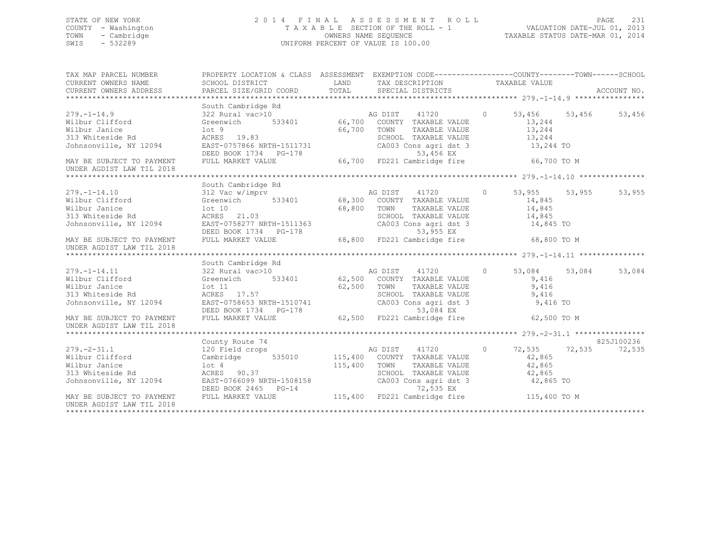# STATE OF NEW YORK 2 0 1 4 F I N A L A S S E S S M E N T R O L L PAGE 231 COUNTY - Washington T A X A B L E SECTION OF THE ROLL - 1 VALUATION DATE-JUL 01, 2013 TOWN - Cambridge OWNERS NAME SEQUENCE TAXABLE STATUS DATE-MAR 01, 2014 SWIS - 532289 UNIFORM PERCENT OF VALUE IS 100.00

| $\begin{tabular}{lllllllllll} \textsc{rank} & & & & & & & \textsc{propERTY LOCATION & \& CLASS & ASSESSMENT & EXEMPTION & CODE----------------COUNTY-------TOWN------SCHOOL \\ \textsc{CURENT} & & & & & & & \textsc{SCHOOL DISTRICT} & & & \\ \textsc{CURRENT} & & & & & & \textsc{DINEES} & & \\ \textsc{CURRENT} & & & & & & \textsc{PARCEL SIZE/GRID COORD & & TOTAL} & & & \textsc{SPECTAL DISTRICTS} & & \\ & & & & & & \textsc{PARCEL SIZE/GRID COORD & & & \\ \textsc{VAXABLE} & & &$ |                                                               |                                                                                             |        |            |
|-----------------------------------------------------------------------------------------------------------------------------------------------------------------------------------------------------------------------------------------------------------------------------------------------------------------------------------------------------------------------------------------------------------------------------------------------------------------------------------------------|---------------------------------------------------------------|---------------------------------------------------------------------------------------------|--------|------------|
|                                                                                                                                                                                                                                                                                                                                                                                                                                                                                               |                                                               |                                                                                             |        |            |
|                                                                                                                                                                                                                                                                                                                                                                                                                                                                                               |                                                               |                                                                                             |        |            |
| South Cambridge Rd<br>279.-1-14.9<br>Wilbur Clifford 322 Rural vac>10<br>Wilbur Clifford Greenwich 533401 66,700 COUNTY TAXABLE VALUE 13,244<br>Wilbur Janice 21<br>213 Whiteside Rd acress 19.83<br>313 Whiteside Rd acress 19.83<br>213 Mh                                                                                                                                                                                                                                                  |                                                               |                                                                                             |        | 53,456     |
|                                                                                                                                                                                                                                                                                                                                                                                                                                                                                               |                                                               |                                                                                             |        |            |
|                                                                                                                                                                                                                                                                                                                                                                                                                                                                                               |                                                               |                                                                                             |        |            |
|                                                                                                                                                                                                                                                                                                                                                                                                                                                                                               |                                                               |                                                                                             | 13,244 |            |
| 313 Whiteside Rd<br>313 Whiteside Rd<br>313 Whiteside Rd<br>313 Whiteside Rd<br>313 Whiteside Rd<br>313 Whiteside Rd<br>32 ACRES<br>319.83<br>32 MAY RE SUBSOOK 1734<br>22 DEED BOOK 1734<br>22-170<br>22003<br>22003<br>22-170<br>22003                                                                                                                                                                                                                                                      |                                                               | CA003 Cons agri dst 3 $13,244$ TO                                                           |        |            |
|                                                                                                                                                                                                                                                                                                                                                                                                                                                                                               | DEED BOOK 1734 PG-178 66,700 FD221 Cambridge fire 66,700 TO M |                                                                                             |        |            |
|                                                                                                                                                                                                                                                                                                                                                                                                                                                                                               |                                                               |                                                                                             |        |            |
|                                                                                                                                                                                                                                                                                                                                                                                                                                                                                               | South Cambridge Rd                                            |                                                                                             |        |            |
| South Cambridge Rd<br>312 Vac w/imprv<br>312 Vac w/imprv<br>68,300 COUNTY TAXABLE VALUE<br>313 Whiteside Rd<br>313 Whiteside Rd<br>313 Whiteside Rd<br>313 Whiteside Rd<br>313 Whiteside Rd<br>313 Whiteside Rd<br>313 Whiteside Rd<br>313 Whiteside                                                                                                                                                                                                                                          |                                                               |                                                                                             |        | 53,955     |
|                                                                                                                                                                                                                                                                                                                                                                                                                                                                                               |                                                               |                                                                                             |        |            |
|                                                                                                                                                                                                                                                                                                                                                                                                                                                                                               |                                                               | TOWN TAXABLE VALUE 14,845<br>SCHOOL TAXABLE VALUE 14,845<br>CA003 Cons agri dst 3 14,845 TO |        |            |
|                                                                                                                                                                                                                                                                                                                                                                                                                                                                                               |                                                               |                                                                                             |        |            |
| Johnsonville, NY 12094 EAST-0758277 NRTH-1511363                                                                                                                                                                                                                                                                                                                                                                                                                                              |                                                               |                                                                                             |        |            |
| MAY BE SUBJECT TO PAYMENT<br>UNDER AGDIST LAW TIL 2018                                                                                                                                                                                                                                                                                                                                                                                                                                        | DEED BOOK 1734 PG-178 68,800 FD221 Cambridge fire 68,800 TO M |                                                                                             |        |            |
|                                                                                                                                                                                                                                                                                                                                                                                                                                                                                               |                                                               |                                                                                             |        |            |
|                                                                                                                                                                                                                                                                                                                                                                                                                                                                                               | South Cambridge Rd                                            |                                                                                             |        |            |
|                                                                                                                                                                                                                                                                                                                                                                                                                                                                                               |                                                               |                                                                                             |        | 53,084     |
|                                                                                                                                                                                                                                                                                                                                                                                                                                                                                               |                                                               |                                                                                             |        |            |
|                                                                                                                                                                                                                                                                                                                                                                                                                                                                                               |                                                               |                                                                                             | 9,416  |            |
|                                                                                                                                                                                                                                                                                                                                                                                                                                                                                               |                                                               |                                                                                             |        |            |
|                                                                                                                                                                                                                                                                                                                                                                                                                                                                                               |                                                               |                                                                                             |        |            |
|                                                                                                                                                                                                                                                                                                                                                                                                                                                                                               |                                                               |                                                                                             |        |            |
| UNDER AGDIST LAW TIL 2018                                                                                                                                                                                                                                                                                                                                                                                                                                                                     |                                                               |                                                                                             |        |            |
|                                                                                                                                                                                                                                                                                                                                                                                                                                                                                               |                                                               |                                                                                             |        |            |
|                                                                                                                                                                                                                                                                                                                                                                                                                                                                                               | County Route 74                                               |                                                                                             |        | 825J100236 |
| $279. - 2 - 31.1$                                                                                                                                                                                                                                                                                                                                                                                                                                                                             | 120 Field crops                                               | AG DIST 41720 0 72,535 72,535 72,535                                                        |        |            |
| Wilbur Clifford Cambridge 535010 115,400 COUNTY TAXABLE VALUE                                                                                                                                                                                                                                                                                                                                                                                                                                 |                                                               |                                                                                             | 42,865 |            |
|                                                                                                                                                                                                                                                                                                                                                                                                                                                                                               |                                                               | TAXABLE VALUE 42,865                                                                        |        |            |
|                                                                                                                                                                                                                                                                                                                                                                                                                                                                                               |                                                               | SCHOOL TAXABLE VALUE 42,865<br>CA003 Cons agri dst 3 42,865 TO                              |        |            |
|                                                                                                                                                                                                                                                                                                                                                                                                                                                                                               |                                                               |                                                                                             |        |            |
| DEED BOOK 2465 PG-14<br>DEED BOOK 2465 PG-14<br>T2,535 EX<br>T221 Cambridge fire 115,400 TD M<br>UNDER AGDIST LAW TIL 2018                                                                                                                                                                                                                                                                                                                                                                    |                                                               |                                                                                             |        |            |
|                                                                                                                                                                                                                                                                                                                                                                                                                                                                                               |                                                               |                                                                                             |        |            |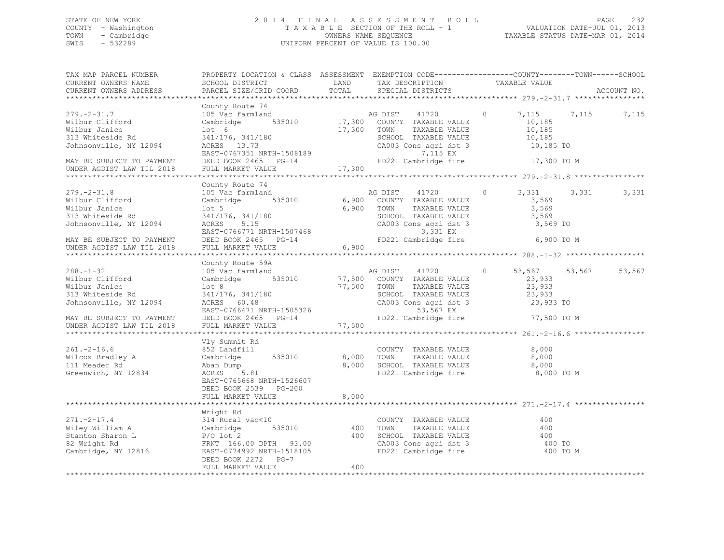# STATE OF NEW YORK 2 0 1 4 F I N A L A S S E S S M E N T R O L L PAGE 232 COUNTY - Washington T A X A B L E SECTION OF THE ROLL - 1 VALUATION DATE-JUL 01, 2013 TOWN - Cambridge OWNERS NAME SEQUENCE TAXABLE STATUS DATE-MAR 01, 2014 SWIS - 532289 UNIFORM PERCENT OF VALUE IS 100.00

| TAX MAP PARCEL NUMBER<br>CURRENT OWNERS NAME<br>CURRENT OWNERS ADDRESS                                                                                                             | PROPERTY LOCATION & CLASS ASSESSMENT EXEMPTION CODE---------------COUNTY-------TOWN------SCHOOL<br>SCHOOL DISTRICT<br>PARCEL SIZE/GRID COORD                                                                                                                               | TOTAL                   | TAX DESCRIPTION TAXABLE VALUE<br>SPECIAL DISTRICTS<br>LAND TAX DESCRIPTION                                                                                                                                  |                                                   |       | ACCOUNT NO. |
|------------------------------------------------------------------------------------------------------------------------------------------------------------------------------------|----------------------------------------------------------------------------------------------------------------------------------------------------------------------------------------------------------------------------------------------------------------------------|-------------------------|-------------------------------------------------------------------------------------------------------------------------------------------------------------------------------------------------------------|---------------------------------------------------|-------|-------------|
|                                                                                                                                                                                    |                                                                                                                                                                                                                                                                            |                         |                                                                                                                                                                                                             |                                                   |       |             |
| $279. - 2 - 31.7$<br>Wilbur Clifford<br>Wilbur Janice<br>313 Whiteside Rd<br>Johnsonville, NY 12094<br>MAY BE SUBJECT TO PAYMENT<br>UNDER AGDIST LAW TIL 2018                      | County Route 74<br>County Route 74<br>105 Vac farmland Company AG DIST 41720<br>Cambridge 535010 17,300 COUNTY TAXABLE VALUE<br>lot 6<br>341/176, 341/180<br>$ACRES$ 13.73<br>ACRES 13.73<br>EAST-0767351 NRTH-1508189<br>DEED BOOK 2465 PG-14<br>""'' MARKET VALUE 17,300 | 17,300 TOWN             | TAXABLE VALUE<br>SCHOOL TAXABLE VALUE<br>CA003 Cons agri dst 3 10,185 TO<br>7,115 EX<br>FD221 Cambridge fire 17,300 TO M                                                                                    | $\circ$<br>7,115<br>10,185<br>10, 185<br>10,185   | 7,115 | 7,115       |
|                                                                                                                                                                                    |                                                                                                                                                                                                                                                                            |                         |                                                                                                                                                                                                             |                                                   |       |             |
| $279. - 2 - 31.8$<br>Wilbur Clifford<br>Wilbur Janice<br>313 Whiteside Rd<br>Johnsonville, NY 12094<br>MAY BE SUBJECT TO PAYMENT                                                   | County Route 74<br>105 Vac farmland<br>Cambridge 535010 6,900 COUNTY TAXABLE VALUE<br>$1$ ot 5<br>341/176, 341/180 SCHOOL<br>ACRES 5.15 CA003 C<br>EAST-0766771 NRTH-1507468 PEED BOOK 2465 PG-14 FD221 C                                                                  |                         | AG DIST 41720 0<br>6,900 TOWN<br>TAXABLE VALUE<br>SCHOOL TAXABLE VALUE<br>CA003 Cons agri dst 3<br>3,331 EX<br>FD221 Cambridge fire 6,900 TO M                                                              | 3,331<br>3,569<br>3,569<br>3,569<br>3,569 TO      | 3,331 | 3,331       |
| UNDER AGDIST LAW TIL 2018                                                                                                                                                          | FULL MARKET VALUE                                                                                                                                                                                                                                                          | 6,900                   |                                                                                                                                                                                                             |                                                   |       |             |
|                                                                                                                                                                                    |                                                                                                                                                                                                                                                                            |                         |                                                                                                                                                                                                             |                                                   |       |             |
| $288. - 1 - 32$<br>Wilbur Clifford<br>Wilbur Janice<br>313 Whiteside Rd<br>Johnsonville, NY 12094<br>MAY BE SUBJECT TO PAYMENT<br>UNDER AGDIST LAW TIL 2018                        | County Route 59A<br>105 Vac farmland<br>Cambridge 535010<br>lot 8<br>341/176, 341/180<br>ACRES 60.48<br>EAST-0766471 NRTH-1505326<br>DEED BOOK 2465 PG-14<br>FULL MARKET VALUE                                                                                             | $11$ $77,500$           | AG DIST 41720<br>77,500 COUNTY TAXABLE VALUE<br>77,500 TOWN<br>TOWN TAXABLE VALUE<br>SCHOOL TAXABLE VALUE<br>CA003 Cons agri dst 3 23,933 TO<br>23,933 TO<br>23,933 TO<br>53,567 EX<br>FD221 Cambridge fire | $\circ$<br>53,567 53,567<br>23,933<br>77,500 TO M |       | 53,567      |
| $261. -2 - 16.6$<br>Wilcox Bradley A<br>111 Meader Rd<br>Greenwich, NY 12834                                                                                                       | Vly Summit Rd<br>852 Landfill<br>535010<br>Cambridge<br>Aban Dump<br>ACRES 5.81<br>EAST-0765668 NRTH-1526607<br>DEED BOOK 2539 PG-200<br>FULL MARKET VALUE                                                                                                                 | 8,000<br>8,000<br>8,000 | COUNTY TAXABLE VALUE<br>TOWN      TAXABLE VALUE<br>SCHOOL   TAXABLE VALUE<br>FD221 Cambridge fire                                                                                                           | 8,000<br>8,000<br>8,000<br>8,000 TO M             |       |             |
|                                                                                                                                                                                    |                                                                                                                                                                                                                                                                            |                         |                                                                                                                                                                                                             |                                                   |       |             |
| $271. -2 - 17.4$<br>Wiley William A Cambridge 535010 400<br>Stanton Sharon L P/O lot 2 400<br>82 Wright Rd FRNT 166.00 DPTH 93.00<br>Cambridge, NY 12816 EAST-0774992 NRTH-1518105 | Wright Rd<br>$314$ Rural vac<10<br>DEED BOOK 2272 PG-7                                                                                                                                                                                                                     | 400                     | COUNTY TAXABLE VALUE<br>400 TOWN TAXABLE VALUE<br>400 SCHOOL TAXABLE VALUE<br>CA003 Cons agri dst 3<br>FD221 Cambridge fire                                                                                 | 400<br>400<br>400<br>400 TO<br>400 TO M           |       |             |
|                                                                                                                                                                                    | FULL MARKET VALUE                                                                                                                                                                                                                                                          | 400                     |                                                                                                                                                                                                             |                                                   |       |             |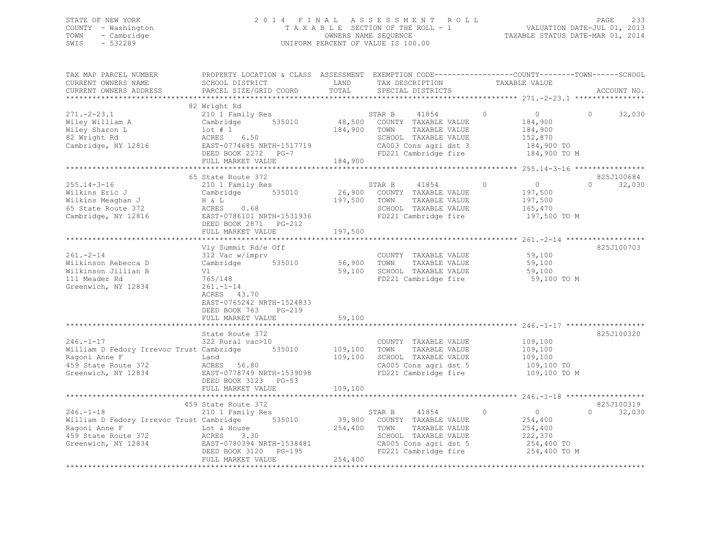# STATE OF NEW YORK 2 0 1 4 F I N A L A S S E S S M E N T R O L L PAGE 233 COUNTY - Washington T A X A B L E SECTION OF THE ROLL - 1 VALUATION DATE-JUL 01, 2013 TOWN - Cambridge OWNERS NAME SEQUENCE TAXABLE STATUS DATE-MAR 01, 2014 SWIS - 532289 UNIFORM PERCENT OF VALUE IS 100.00

| TAX MAP PARCEL NUMBER<br>CURRENT OWNERS NAME<br>CURRENT OWNERS ADDRESS                                                     | PROPERTY LOCATION & CLASS ASSESSMENT<br>SCHOOL DISTRICT<br>PARCEL SIZE/GRID COORD                                                                                                             | LAND<br>TOTAL                 | TAX DESCRIPTION<br>SPECIAL DISTRICTS                                                                                                      | EXEMPTION CODE-----------------COUNTY-------TOWN------SCHOOL<br>TAXABLE VALUE      | ACCOUNT NO.                    |
|----------------------------------------------------------------------------------------------------------------------------|-----------------------------------------------------------------------------------------------------------------------------------------------------------------------------------------------|-------------------------------|-------------------------------------------------------------------------------------------------------------------------------------------|------------------------------------------------------------------------------------|--------------------------------|
|                                                                                                                            |                                                                                                                                                                                               |                               |                                                                                                                                           |                                                                                    |                                |
| $271. - 2 - 23.1$<br>Wiley William A<br>Wiley Sharon L<br>82 Wright Rd<br>Cambridge, NY 12816                              | 82 Wright Rd<br>210 1 Family Res<br>535010<br>Cambridge<br>$1$ ot # 1<br>ACRES 6.50<br>EAST-0774685 NRTH-1517719<br>DEED BOOK 2272 PG-7<br>FULL MARKET VALUE                                  | 48,500<br>184,900<br>184,900  | 41854<br>STAR B<br>COUNTY TAXABLE VALUE<br>TOWN<br>TAXABLE VALUE<br>SCHOOL TAXABLE VALUE<br>CA003 Cons agri dst 3<br>FD221 Cambridge fire | $\Omega$<br>$\circ$<br>184,900<br>184,900<br>152,870<br>184,900 TO<br>184,900 TO M | $\Omega$<br>32,030             |
|                                                                                                                            |                                                                                                                                                                                               |                               |                                                                                                                                           | ************** 255.14-3-16 *****************                                       |                                |
| $255.14 - 3 - 16$<br>Wilkins Eric J<br>Wilkins Meaghan J<br>65 State Route 372<br>Cambridge, NY 12816                      | 65 State Route 372<br>210 1 Family Res<br>535010<br>Cambridge<br>H & L<br>0.68<br>ACRES<br>EAST-0786101 NRTH-1531936<br>DEED BOOK 2871 PG-212                                                 | 26,900<br>197,500             | STAR B<br>41854<br>COUNTY TAXABLE VALUE<br>TOWN<br>TAXABLE VALUE<br>SCHOOL TAXABLE VALUE<br>FD221 Cambridge fire                          | $\Omega$<br>$\circ$<br>197,500<br>197,500<br>165,470<br>197,500 TO M               | 825J100684<br>32,030<br>$\cap$ |
|                                                                                                                            | FULL MARKET VALUE                                                                                                                                                                             | 197,500                       |                                                                                                                                           |                                                                                    |                                |
| $261. - 2 - 14$<br>Wilkinson Rebecca D<br>Wilkinson Jillian B<br>111 Meader Rd<br>Greenwich, NY 12834                      | Vly Summit Rd/e Off<br>312 Vac w/imprv<br>Cambridge<br>535010<br>Vl<br>765/148<br>$261. - 1 - 14$<br>ACRES 43.70<br>EAST-0765242 NRTH-1524833<br>DEED BOOK 763<br>PG-219<br>FULL MARKET VALUE | 56,900<br>59,100<br>59,100    | COUNTY TAXABLE VALUE<br>TOWN<br>TAXABLE VALUE<br>SCHOOL TAXABLE VALUE<br>FD221 Cambridge fire                                             | 59,100<br>59,100<br>59,100<br>59,100 TO M                                          | 825J100703                     |
|                                                                                                                            | State Route 372                                                                                                                                                                               |                               |                                                                                                                                           |                                                                                    | 825J100320                     |
| $246. - 1 - 17$<br>William D Fedory Irrevoc Trust Cambridge<br>Ragoni Anne F<br>459 State Route 372<br>Greenwich, NY 12834 | 322 Rural vac>10<br>535010<br>Land<br>ACRES 56.80<br>EAST-0778749 NRTH-1539098<br>DEED BOOK 3123 PG-53<br>FULL MARKET VALUE                                                                   | 109,100<br>109,100<br>109,100 | COUNTY TAXABLE VALUE<br>TOWN<br>TAXABLE VALUE<br>SCHOOL TAXABLE VALUE<br>CA005 Cons agri dst 5<br>FD221 Cambridge fire                    | 109,100<br>109,100<br>109,100<br>109,100 TO<br>109,100 TO M                        |                                |
|                                                                                                                            |                                                                                                                                                                                               |                               |                                                                                                                                           |                                                                                    |                                |
| $246. - 1 - 18$<br>William D Fedory Irrevoc Trust Cambridge<br>Ragoni Anne F<br>459 State Route 372<br>Greenwich, NY 12834 | 459 State Route 372<br>210 1 Family Res<br>535010<br>Lot & House<br>ACRES<br>3.30<br>EAST-0780394 NRTH-1538481<br>DEED BOOK 3120 PG-195<br>FULL MARKET VALUE                                  | 39,900<br>254,400<br>254,400  | 41854<br>STAR B<br>COUNTY TAXABLE VALUE<br>TAXABLE VALUE<br>TOWN<br>SCHOOL TAXABLE VALUE<br>CA005 Cons agri dst 5<br>FD221 Cambridge fire | $\Omega$<br>$\circ$<br>254,400<br>254,400<br>222,370<br>254,400 TO<br>254,400 TO M | 825J100319<br>$\cap$<br>32,030 |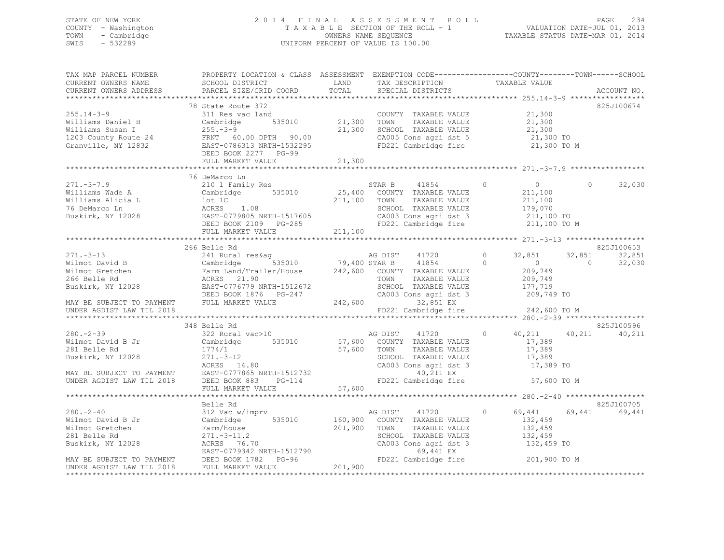# STATE OF NEW YORK 2 0 1 4 F I N A L A S S E S S M E N T R O L L PAGE 234 COUNTY - Washington T A X A B L E SECTION OF THE ROLL - 1 VALUATION DATE-JUL 01, 2013 TOWN - Cambridge OWNERS NAME SEQUENCE TAXABLE STATUS DATE-MAR 01, 2014 SWIS - 532289 UNIFORM PERCENT OF VALUE IS 100.00

| TAX MAP PARCEL NUMBER<br>CURRENT OWNERS NAME<br>CURRENT OWNERS ADDRESS                                                                      | PROPERTY LOCATION & CLASS ASSESSMENT EXEMPTION CODE-----------------COUNTY-------TOWN------SCHOOL<br>SCHOOL DISTRICT                                                                                                                                                                           | LAND         | TAX DESCRIPTION TAXABLE VALUE                                                                                                                                                         |                                                    |                          |                      |
|---------------------------------------------------------------------------------------------------------------------------------------------|------------------------------------------------------------------------------------------------------------------------------------------------------------------------------------------------------------------------------------------------------------------------------------------------|--------------|---------------------------------------------------------------------------------------------------------------------------------------------------------------------------------------|----------------------------------------------------|--------------------------|----------------------|
|                                                                                                                                             |                                                                                                                                                                                                                                                                                                |              |                                                                                                                                                                                       |                                                    |                          |                      |
|                                                                                                                                             | 78 State Route 372<br>255.14-3-9<br>Williams Daniel B<br>Williams Susan I 255.-3-9<br>Williams Susan I 255.-3-9<br>21,300<br>21,300<br>21,300<br>21,300<br>21,300<br>21,300<br>21,300<br>21,300<br>21,300<br>21,300<br>21,300<br>21,300<br>21,300<br>21,300<br>21,300<br>21,300<br>21,300<br>2 |              | FD221 Cambridge fire 21,300 TO M                                                                                                                                                      |                                                    |                          | 825J100674           |
|                                                                                                                                             |                                                                                                                                                                                                                                                                                                |              |                                                                                                                                                                                       |                                                    |                          |                      |
|                                                                                                                                             |                                                                                                                                                                                                                                                                                                |              |                                                                                                                                                                                       |                                                    |                          |                      |
|                                                                                                                                             | 76 DeMarco Ln<br>271.-3-7.9<br>Williams Wade A<br>Williams Alicia L Cambridge 535010<br>211,100 TOWN TAXABLE VALUE 211,100<br>211,100 TOWN TAXABLE VALUE 211,100<br>211,100 TOWN TAXABLE VALUE 211,100<br>211,100 TOWN TAXABLE VALUE 211,100<br>211,100 TOWN<br>FULL MARKET VALUE              | 211,100      |                                                                                                                                                                                       | $0$<br>211.100                                     | $\Omega$                 | 32,030               |
|                                                                                                                                             |                                                                                                                                                                                                                                                                                                |              |                                                                                                                                                                                       |                                                    |                          |                      |
|                                                                                                                                             | 266 Belle Rd                                                                                                                                                                                                                                                                                   |              |                                                                                                                                                                                       |                                                    |                          | 825J100653           |
|                                                                                                                                             |                                                                                                                                                                                                                                                                                                |              | SCHOOL TAXABLE VALUE 177,719<br>CA003 Cons agri dst 3 1209,749 TO                                                                                                                     | 32,851<br>$\sim$ 0<br>209,749<br>209,749           | 32,851<br>$\overline{0}$ | 32,851<br>32,030     |
|                                                                                                                                             |                                                                                                                                                                                                                                                                                                |              | 32,851 EX<br>FD221 Cambridge fire $242,600$ TO M                                                                                                                                      |                                                    |                          |                      |
|                                                                                                                                             |                                                                                                                                                                                                                                                                                                |              |                                                                                                                                                                                       |                                                    |                          |                      |
| $280 - 2 - 39$                                                                                                                              | 348 Belle Rd<br>322 Rural vac>10<br>Bigger and Magnus AG DIST 41720                                                                                                                                                                                                                            |              |                                                                                                                                                                                       |                                                    | $0 \t 40,211 \t 40,211$  | 825J100596<br>40,211 |
|                                                                                                                                             |                                                                                                                                                                                                                                                                                                |              |                                                                                                                                                                                       |                                                    |                          |                      |
|                                                                                                                                             |                                                                                                                                                                                                                                                                                                |              |                                                                                                                                                                                       |                                                    |                          |                      |
|                                                                                                                                             | Belle Rd                                                                                                                                                                                                                                                                                       |              |                                                                                                                                                                                       |                                                    |                          | 825J100705           |
| $280 - 2 - 40$<br>280.-2-40<br>Wilmot David B Jr<br>Wilmot Gretchen Farm/house<br>281 Belle Rd 271.-3-11.2<br>Buskirk, NY 12028 ACRES 76.70 | 312 Vac w/imprv<br>Wilmot Gretchen<br>201,900 TOWN<br>201,900 TOWN<br>201,900 TOWN<br>201,900 TOWN<br>201,900 TOWN<br>201,900 TOWN<br>201,900 TOWN<br>201,900 TOWN<br>201,900 TOWN<br>201,900 TOWN<br>201,900 TOWN<br>201,900 TOWN<br>201,900 EAST-0779342 NRTH-1512790<br>20                  | 201,900 TOWN | AG DIST 41720<br>535010 160,900 COUNTY TAXABLE VALUE<br>TAXABLE VALUE<br>SCHOOL TAXABLE VALUE<br>CA003 Cons agri dst 3 $132,459$ TO<br>69,441 EX<br>FD221 Cambridge fire 201,900 TO M | 69,441<br>$\circ$<br>132,459<br>132,459<br>132,459 | 69,441                   | 69,441               |
| UNDER AGDIST LAW TIL 2018                                                                                                                   | FULL MARKET VALUE                                                                                                                                                                                                                                                                              | 201,900      |                                                                                                                                                                                       |                                                    |                          |                      |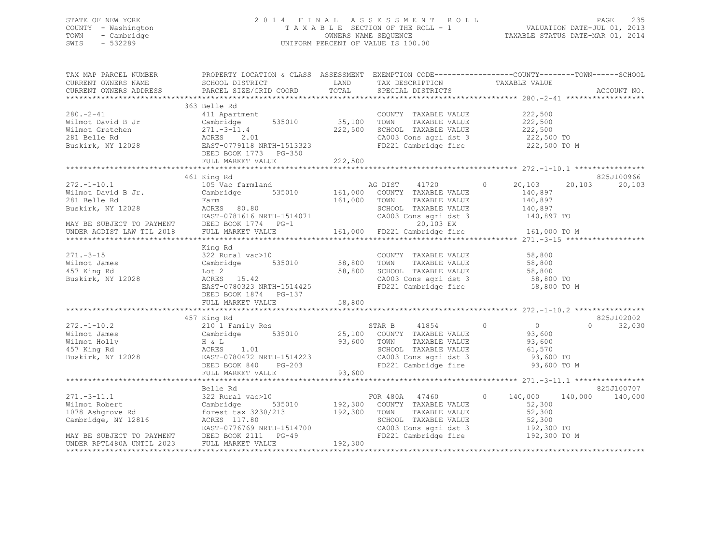# STATE OF NEW YORK 2 0 1 4 F I N A L A S S E S S M E N T R O L L PAGE 235 COUNTY - Washington T A X A B L E SECTION OF THE ROLL - 1 VALUATION DATE-JUL 01, 2013 TOWN - Cambridge OWNERS NAME SEQUENCE TAXABLE STATUS DATE-MAR 01, 2014 SWIS - 532289 UNIFORM PERCENT OF VALUE IS 100.00

| TAX MAP PARCEL NUMBER<br>CURRENT OWNERS NAME                        | PROPERTY LOCATION & CLASS ASSESSMENT EXEMPTION CODE-----------------COUNTY-------TOWN------SCHOOL<br>SCHOOL DISTRICT <a> LAND TAX DESCRIPTION</a>                                                                                                                                  |         |                                                                                                                                                                  | TAXABLE VALUE                                                                |                      |
|---------------------------------------------------------------------|------------------------------------------------------------------------------------------------------------------------------------------------------------------------------------------------------------------------------------------------------------------------------------|---------|------------------------------------------------------------------------------------------------------------------------------------------------------------------|------------------------------------------------------------------------------|----------------------|
| CURRENT OWNERS ADDRESS                                              | PARCEL SIZE/GRID COORD                                                                                                                                                                                                                                                             |         | TOTAL SPECIAL DISTRICTS                                                                                                                                          |                                                                              | ACCOUNT NO.          |
|                                                                     |                                                                                                                                                                                                                                                                                    |         |                                                                                                                                                                  |                                                                              |                      |
| $280 - 2 - 41$                                                      | 363 Belle Rd<br>411 Apartment<br>Vilmot David B Jr<br>Wilmot Gretchen (271.-3-11.4)<br>281 Belle Rd (271.-3-11.4)<br>281 Belle Rd (271.-3-11.4)<br>281 Belle Rd (271.-3-11.4)<br>282,500 SCHOOI<br>222,500 SCHOOI<br>222,500 SCHOOI<br>222,500 SCHOOI<br>222,500 SCHOOI<br>222,500 |         | COUNTY TAXABLE VALUE 222,500<br>222,500 SCHOOL TAXABLE VALUE<br>CA003 Cons agri dst 3 222,500 TO                                                                 | TAXABLE VALUE 222,500<br>TAXABLE VALUE 222,500                               |                      |
|                                                                     | FULL MARKET VALUE                                                                                                                                                                                                                                                                  | 222,500 | FD221 Cambridge fire                                                                                                                                             | 222,500 TO M                                                                 |                      |
|                                                                     |                                                                                                                                                                                                                                                                                    |         |                                                                                                                                                                  |                                                                              | 825J100966           |
| $272. -1 - 10.1$                                                    | 461 King Rd<br>105 Vac farmland<br>EXECT: The Cambridge 535010 161,000 COUNTY TAXABLE VALUE<br>281 Belle Rd<br>Buskirk, NY 12028 ReRES 80.80 SCHOOL TAXABLE VALUE<br>EXET-0781616 NRTH-1514071 CA003 Cons agri dst 3<br>MAY BE SUBJECT TO PAYMENT DEED BOOK 1774 PG-1 20,          |         |                                                                                                                                                                  | AG DIST 41720 0 20,103 20,103<br>140,897<br>140,897<br>140,897<br>140,897 TO | 20,103               |
|                                                                     |                                                                                                                                                                                                                                                                                    |         |                                                                                                                                                                  | 161,000 TO M                                                                 |                      |
|                                                                     |                                                                                                                                                                                                                                                                                    |         |                                                                                                                                                                  |                                                                              |                      |
| $271. - 3 - 15$<br>Wilmot James<br>457 King Rd<br>Buskirk, NY 12028 | x = 1.1 m<br>322 Rural vac>10<br>Cambridge 535010 58,800 TOWN<br>Lot 2 58,800 TOWN<br>ACRES 15.42 58,800 00000<br>Lot 2<br>ACRES 15.42<br>EAST-0780323 NRTH-1514425<br>DEED BOOK 1874    PG-137                                                                                    |         | COUNTY TAXABLE VALUE 58,800<br>TOWN TAXABLE VALUE 58,800<br>COUNTI INANAPART COUNTY<br>58,800 TOWN TAXABLE VALUE 58,800<br>58,800 SCHOOL TAXABLE VALUE 58,800 TO | CA003 Cons agri dst 3 58,800 TO<br>FD221 Cambridge fire 58,800 TO M          |                      |
|                                                                     | FULL MARKET VALUE                                                                                                                                                                                                                                                                  | 58,800  |                                                                                                                                                                  |                                                                              |                      |
|                                                                     |                                                                                                                                                                                                                                                                                    |         |                                                                                                                                                                  |                                                                              |                      |
| $272. - 1 - 10.2$<br>Wilmot James<br>Wilmot Holly                   | 457 King Rd<br>210 1 Family Res<br>Cambridge 535010 25,100 COUNTY TAXABLE VALUE 93,600<br>H & L 93,600 TOWN TAXABLE VALUE 93,600<br>ACRES 1.01 33,600 SCHOOL TAXABLE VALUE 61,570<br>Buskirk, NY 12028<br>Buskirk, NY 12028<br>BEED BOOK 840 PG-203<br>PEED BOOK 840 PG-203        |         | TOWN TAXABLE VALUE 93,600<br>SCHOOL TAXABLE VALUE 61,570<br>CA003 Cons agri dst 3 93,600 TO<br>FD221 Cambridge fire                                              | $\Omega$                                                                     | 825J102002<br>32,030 |
|                                                                     |                                                                                                                                                                                                                                                                                    |         |                                                                                                                                                                  |                                                                              |                      |
|                                                                     |                                                                                                                                                                                                                                                                                    |         |                                                                                                                                                                  |                                                                              |                      |
|                                                                     | Cambridge, NY 12816<br>EAST-0776769 NRTH-1514700<br>MAY BE SUBJECT TO PAYMENT DEED BOOK 2111 PG-49<br>UNDER RPTL480A UNTIL 2023 FULL MARKET VALUE 192,300                                                                                                                          |         |                                                                                                                                                                  |                                                                              |                      |
|                                                                     |                                                                                                                                                                                                                                                                                    |         |                                                                                                                                                                  |                                                                              |                      |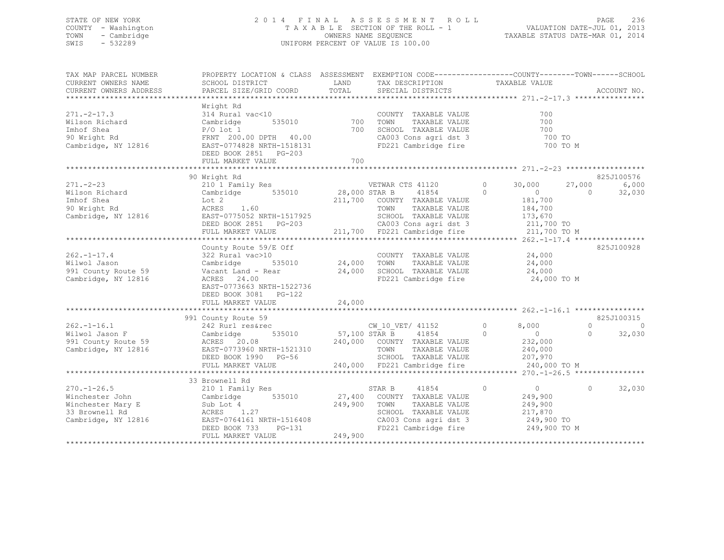# STATE OF NEW YORK 2 0 1 4 F I N A L A S S E S S M E N T R O L L PAGE 236 COUNTY - Washington T A X A B L E SECTION OF THE ROLL - 1 VALUATION DATE-JUL 01, 2013 TOWN - Cambridge OWNERS NAME SEQUENCE TAXABLE STATUS DATE-MAR 01, 2014 SWIS - 532289 UNIFORM PERCENT OF VALUE IS 100.00

| TAX MAP PARCEL NUMBER<br>CURRENT OWNERS NAME<br>CURRENT OWNERS ADDRESS                             | PROPERTY LOCATION & CLASS ASSESSMENT EXEMPTION CODE----------------COUNTY-------TOWN------SCHOOL<br>SCHOOL DISTRICT<br>PARCEL SIZE/GRID COORD                                | LAND<br>TOTAL                     | TAX DESCRIPTION<br>SPECIAL DISTRICTS                                                                                                                                   | TAXABLE VALUE                                                                                                 | ACCOUNT NO.                                              |
|----------------------------------------------------------------------------------------------------|------------------------------------------------------------------------------------------------------------------------------------------------------------------------------|-----------------------------------|------------------------------------------------------------------------------------------------------------------------------------------------------------------------|---------------------------------------------------------------------------------------------------------------|----------------------------------------------------------|
| $271. -2 - 17.3$<br>Wilson Richard<br>Imhof Shea<br>90 Wright Rd<br>Cambridge, NY 12816            | Wright Rd<br>314 Rural vac<10<br>535010<br>Cambridge<br>$P/O$ lot 1<br>FRNT 200.00 DPTH 40.00<br>EAST-0774828 NRTH-1518131<br>DEED BOOK 2851 PG-203<br>FULL MARKET VALUE     | 700<br>700<br>700                 | COUNTY TAXABLE VALUE<br>TOWN<br>TAXABLE VALUE<br>SCHOOL TAXABLE VALUE<br>CA003 Cons agri dst 3<br>FD221 Cambridge fire                                                 | 700<br>700<br>700<br>700 TO<br>700 TO M                                                                       |                                                          |
| $271 - 2 - 23$<br>Wilson Richard<br>Imhof Shea<br>90 Wright Rd<br>Cambridge, NY 12816              | 90 Wright Rd<br>210 1 Family Res<br>$535010$ 28,000 STAR B<br>Cambridge<br>Lot 2<br>ACRES<br>1.60<br>EAST-0775052 NRTH-1517925<br>DEED BOOK 2851 PG-203<br>FULL MARKET VALUE |                                   | VETWAR CTS 41120<br>41854<br>211,700 COUNTY TAXABLE VALUE<br>TOWN<br>TAXABLE VALUE<br>SCHOOL TAXABLE VALUE<br>03 CA003 Cons agri dst 3<br>211,700 FD221 Cambridge fire | $\circ$<br>30,000<br>$\circ$<br>$\overline{0}$<br>181,700<br>184,700<br>173,670<br>211,700 TO<br>211,700 TO M | 825J100576<br>6,000<br>27,000<br>32,030<br>$\Omega$      |
| $262. - 1 - 17.4$<br>Wilwol Jason<br>991 County Route 59<br>Cambridge, NY 12816                    | County Route 59/E Off<br>322 Rural vac>10<br>Cambridge<br>Vacant Land - Rear<br>ACRES 24.00<br>EAST-0773663 NRTH-1522736<br>DEED BOOK 3081 PG-122<br>FULL MARKET VALUE       | 535010 24,000<br>24,000<br>24,000 | COUNTY TAXABLE VALUE<br>TAXABLE VALUE<br>TOWN<br>SCHOOL TAXABLE VALUE<br>FD221 Cambridge fire                                                                          | 24,000<br>24,000<br>24,000<br>24,000 TO M                                                                     | 825J100928                                               |
| $262 - 1 - 16.1$<br>Wilwol Jason F<br>991 County Route 59<br>Cambridge, NY 12816                   | 991 County Route 59<br>242 Rurl res&rec<br>535010<br>Cambridge<br>ACRES 20.08<br>EAST-0773960 NRTH-1521310<br>DEED BOOK 1990 PG-56<br>FULL MARKET VALUE                      | $57,100$ STAR B                   | CW 10 VET/ 41152<br>41854<br>240,000 COUNTY TAXABLE VALUE<br>TOWN<br>TAXABLE VALUE<br>SCHOOL TAXABLE VALUE<br>240,000 FD221 Cambridge fire                             | $\circ$<br>8,000<br>$\Omega$<br>$\overline{0}$<br>232,000<br>240,000<br>207,970<br>240,000 TO M               | 825J100315<br>$\Omega$<br>$\Omega$<br>32,030<br>$\Omega$ |
| $270. - 1 - 26.5$<br>Winchester John<br>Winchester Mary E<br>33 Brownell Rd<br>Cambridge, NY 12816 | 33 Brownell Rd<br>210 1 Family Res<br>535010<br>Cambridge<br>Sub Lot 4<br>ACRES 1.27<br>EAST-0764161 NRTH-1516408<br>DEED BOOK 733<br>PG-131<br>FULL MARKET VALUE            | 249,900<br>249,900                | 41854<br>STAR B<br>27,400 COUNTY TAXABLE VALUE<br>TOWN<br>TAXABLE VALUE<br>SCHOOL TAXABLE VALUE<br>CA003 Cons agri dst 3<br>FD221 Cambridge fire                       | $\circ$<br>$\overline{0}$<br>249,900<br>249,900<br>217,870<br>249,900 TO<br>249,900 TO M                      | $\Omega$<br>32,030                                       |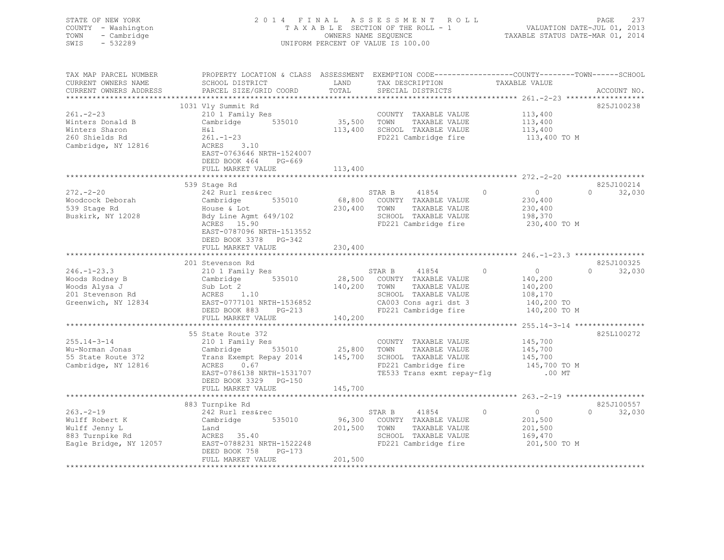| STATE OF NEW YORK<br>COUNTY - Washington<br>- Cambridge<br>TOWN<br>SWIS<br>$-532289$                                                                                                                                                               |                                                                                                                                                                                                                                                                                 |              | 2014 FINAL ASSESSMENT ROLL<br>TAXABLE SECTION OF THE ROLL - 1<br>OWNERS NAME SEQUENCE CONDERS ON THE ROLL - 1<br>OWNERS NAME STATUS DATE-MAR 01, 2014<br>UNIFORM PERCENT OF VALUE IS 100.00 |                                                                  | PAGE<br>237   |
|----------------------------------------------------------------------------------------------------------------------------------------------------------------------------------------------------------------------------------------------------|---------------------------------------------------------------------------------------------------------------------------------------------------------------------------------------------------------------------------------------------------------------------------------|--------------|---------------------------------------------------------------------------------------------------------------------------------------------------------------------------------------------|------------------------------------------------------------------|---------------|
| TAX MAP PARCEL NUMBER<br>CURRENT OWNERS NAME<br>CURRENT OWNERS ADDRESS                                                                                                                                                                             | PROPERTY LOCATION & CLASS ASSESSMENT EXEMPTION CODE----------------COUNTY-------TOWN------SCHOOL<br>SCHOOL DISTRICT LAND<br>PARCEL SIZE/GRID COORD                                                                                                                              | TOTAL        | TAX DESCRIPTION TAXABLE VALUE<br>SPECIAL DISTRICTS                                                                                                                                          |                                                                  | ACCOUNT NO.   |
|                                                                                                                                                                                                                                                    | 1031 Vly Summit Rd                                                                                                                                                                                                                                                              |              |                                                                                                                                                                                             |                                                                  | 825J100238    |
| $261 - 2 - 23$                                                                                                                                                                                                                                     | 210 1 Family Res                                                                                                                                                                                                                                                                |              | COUNTY TAXABLE VALUE<br>35,500 TOWN TAXABLE VALUE                                                                                                                                           |                                                                  |               |
| Winters Donald B                                                                                                                                                                                                                                   | Cambridge 535010                                                                                                                                                                                                                                                                |              | COUNTY TAXABLE VALUE 113,400<br>TOWN TAXABLE VALUE 113,400<br>SCHOOL TAXABLE VALUE 113,400                                                                                                  |                                                                  |               |
| Winters Sharon                                                                                                                                                                                                                                     | H&l<br>261.-1-23                                                                                                                                                                                                                                                                |              | 113,400 SCHOOL TAXABLE VALUE                                                                                                                                                                |                                                                  |               |
| 260 Shields Rd                                                                                                                                                                                                                                     |                                                                                                                                                                                                                                                                                 |              | FD221 Cambridge fire 113,400 TO M                                                                                                                                                           |                                                                  |               |
| Cambridge, NY 12816                                                                                                                                                                                                                                | ACRES 3.10<br>EAST-0763646 NRTH-1524007<br>DEED BOOK 464 PG-669<br>FULL MARKET VALUE                                                                                                                                                                                            | 113,400      |                                                                                                                                                                                             |                                                                  |               |
|                                                                                                                                                                                                                                                    |                                                                                                                                                                                                                                                                                 |              |                                                                                                                                                                                             |                                                                  |               |
|                                                                                                                                                                                                                                                    | 539 Stage Rd                                                                                                                                                                                                                                                                    |              |                                                                                                                                                                                             |                                                                  | 825J100214    |
| $272 - 2 - 20$                                                                                                                                                                                                                                     | 242 Rurl res&rec                                                                                                                                                                                                                                                                |              | STAR B 41854                                                                                                                                                                                | $\begin{array}{c} 0 \\ 230,400 \end{array}$<br>$0 \qquad \qquad$ | $0 \t 32,030$ |
| Woodcock Deborah<br>539 Stage Rd                                                                                                                                                                                                                   |                                                                                                                                                                                                                                                                                 |              |                                                                                                                                                                                             | 230,400                                                          |               |
| Buskirk, NY 12028                                                                                                                                                                                                                                  |                                                                                                                                                                                                                                                                                 |              |                                                                                                                                                                                             |                                                                  |               |
|                                                                                                                                                                                                                                                    | 242 Rurl res&rec 535010 58,800 COUNTY TAXABLE VALUE<br>House & Lot 230,400 TOWN TAXABLE VALUE<br>Bdy Line Agnt 649/102 5CHOOL TAXABLE VALUE<br>ACRES 15.90 FD221 Cambridge fire<br>TAXABLE VALUE<br>TED221 Cambridge fire<br>EAST-0787096 NRTH-1513552<br>DEED BOOK 3378 PG-342 |              |                                                                                                                                                                                             | 198,370<br>230,400 TO M                                          |               |
|                                                                                                                                                                                                                                                    | FULL MARKET VALUE                                                                                                                                                                                                                                                               | 230,400      |                                                                                                                                                                                             |                                                                  |               |
|                                                                                                                                                                                                                                                    | 201 Stevenson Rd                                                                                                                                                                                                                                                                |              |                                                                                                                                                                                             |                                                                  | 825J100325    |
| 246.-1-23.3<br>Woods Rodney B<br>Woods Alysa J<br>2010 Family Kes<br>28,500 COUNTY TAXABLE VALUE<br>2018 Exsterment ACRES<br>2018 Exsterment ACRES<br>2018 Exsterment ACRES<br>2018 Exsterment ACRES<br>2019 CA003 CONN TAXABLE VALUE<br>2018 EXST | 210 1 Family Res                                                                                                                                                                                                                                                                |              | STAR B 41854 0 0<br>28,500 COUNTY TAXABLE VALUE 140,200<br>200 TAM TAXABLE VALUE 140,200                                                                                                    |                                                                  | $0 \t32,030$  |
|                                                                                                                                                                                                                                                    |                                                                                                                                                                                                                                                                                 |              |                                                                                                                                                                                             |                                                                  |               |
|                                                                                                                                                                                                                                                    |                                                                                                                                                                                                                                                                                 |              |                                                                                                                                                                                             |                                                                  |               |
|                                                                                                                                                                                                                                                    |                                                                                                                                                                                                                                                                                 |              |                                                                                                                                                                                             | 108,170<br>140,200 TO                                            |               |
|                                                                                                                                                                                                                                                    |                                                                                                                                                                                                                                                                                 |              |                                                                                                                                                                                             |                                                                  |               |
|                                                                                                                                                                                                                                                    | FULL MARKET VALUE                                                                                                                                                                                                                                                               | 140,200      |                                                                                                                                                                                             | 140,200 TO M                                                     |               |
|                                                                                                                                                                                                                                                    |                                                                                                                                                                                                                                                                                 |              |                                                                                                                                                                                             |                                                                  |               |
|                                                                                                                                                                                                                                                    | 55 State Route 372<br>210 1 Family Res<br>Cambridge 535010 25,800 TOWN TAXABLE VALUE 145,700<br>Trans Exempt Repay 2014 145,700 SCHOOL TAXABLE VALUE 145,700 TO M<br>ACRES 0.67<br>FAST-0786138 NRTH-1531707 TE533 Trans exmt repay-flg                                         |              |                                                                                                                                                                                             |                                                                  | 825L100272    |
| $255.14 - 3 - 14$                                                                                                                                                                                                                                  |                                                                                                                                                                                                                                                                                 |              |                                                                                                                                                                                             |                                                                  |               |
| Wu-Norman Jonas                                                                                                                                                                                                                                    |                                                                                                                                                                                                                                                                                 |              |                                                                                                                                                                                             |                                                                  |               |
| 55 State Route 372                                                                                                                                                                                                                                 |                                                                                                                                                                                                                                                                                 |              |                                                                                                                                                                                             |                                                                  |               |
| Cambridge, NY 12816                                                                                                                                                                                                                                |                                                                                                                                                                                                                                                                                 |              |                                                                                                                                                                                             |                                                                  |               |
|                                                                                                                                                                                                                                                    |                                                                                                                                                                                                                                                                                 |              |                                                                                                                                                                                             |                                                                  |               |
|                                                                                                                                                                                                                                                    |                                                                                                                                                                                                                                                                                 |              |                                                                                                                                                                                             |                                                                  |               |
|                                                                                                                                                                                                                                                    |                                                                                                                                                                                                                                                                                 |              |                                                                                                                                                                                             |                                                                  |               |
|                                                                                                                                                                                                                                                    | 883 Turnpike Rd                                                                                                                                                                                                                                                                 |              |                                                                                                                                                                                             |                                                                  | 825J100557    |
| $263 - 2 - 19$                                                                                                                                                                                                                                     | 242 Rurl res&rec                                                                                                                                                                                                                                                                | STAR B       | 41854<br>96,300 COUNTY TAXABLE VALUE                                                                                                                                                        | $\overline{0}$<br>$\Omega$                                       | $0 \t32,030$  |
| Wulff Robert K                                                                                                                                                                                                                                     | Cambridge 535010<br>Land                                                                                                                                                                                                                                                        | 201,500 TOWN | TAXABLE VALUE                                                                                                                                                                               | 201,500<br>201,500                                               |               |
| Wulff Jenny L<br>883 Turnpike Rd                                                                                                                                                                                                                   | Land<br>ACRES 35.40                                                                                                                                                                                                                                                             |              |                                                                                                                                                                                             | 169,470                                                          |               |
| Eagle Bridge, NY 12057                                                                                                                                                                                                                             | EAST-0788231 NRTH-1522248                                                                                                                                                                                                                                                       |              | SCHOOL TAXABLE VALUE<br>FD221 Cambridge fire<br>FD221 Cambridge fire 201,500 TO M                                                                                                           |                                                                  |               |
|                                                                                                                                                                                                                                                    | DEED BOOK 758 PG-173                                                                                                                                                                                                                                                            |              |                                                                                                                                                                                             |                                                                  |               |
| ************************                                                                                                                                                                                                                           | FULL MARKET VALUE                                                                                                                                                                                                                                                               | 201,500      |                                                                                                                                                                                             |                                                                  |               |
|                                                                                                                                                                                                                                                    |                                                                                                                                                                                                                                                                                 |              |                                                                                                                                                                                             |                                                                  |               |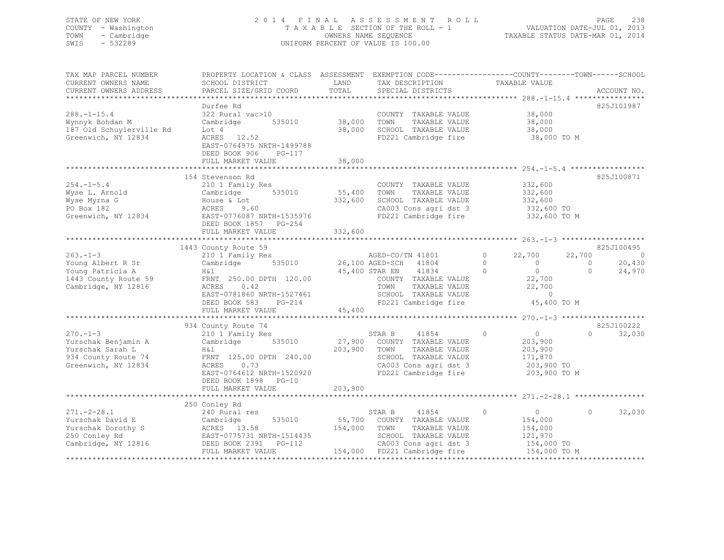# STATE OF NEW YORK 2 0 1 4 F I N A L A S S E S S M E N T R O L L PAGE 238 COUNTY - Washington T A X A B L E SECTION OF THE ROLL - 1 VALUATION DATE-JUL 01, 2013 TOWN - Cambridge OWNERS NAME SEQUENCE TAXABLE STATUS DATE-MAR 01, 2014 SWIS - 532289 UNIFORM PERCENT OF VALUE IS 100.00

| TAX MAP PARCEL NUMBER<br>CURRENT OWNERS NAME<br>CURRENT OWNERS ADDRESS                                 | PROPERTY LOCATION & CLASS ASSESSMENT<br>SCHOOL DISTRICT<br>PARCEL SIZE/GRID COORD                                                                                                                 | LAND<br>TOTAL                             | TAX DESCRIPTION<br>SPECIAL DISTRICTS                                                                                                                                  | EXEMPTION CODE-----------------COUNTY-------TOWN------SCHOOL<br>TAXABLE VALUE                                                          | ACCOUNT NO.                                                                |
|--------------------------------------------------------------------------------------------------------|---------------------------------------------------------------------------------------------------------------------------------------------------------------------------------------------------|-------------------------------------------|-----------------------------------------------------------------------------------------------------------------------------------------------------------------------|----------------------------------------------------------------------------------------------------------------------------------------|----------------------------------------------------------------------------|
| $288. - 1 - 15.4$<br>Wynnyk Bohdan M<br>187 Old Schuylerville Rd<br>Greenwich, NY 12834                | Durfee Rd<br>322 Rural vac>10<br>535010<br>Cambridge<br>Lot 4<br>ACRES 12.52<br>EAST-0764975 NRTH-1499788<br>DEED BOOK 906<br>PG-117<br>FULL MARKET VALUE<br>************************             | 38,000<br>38,000<br>38,000<br>*********** | COUNTY TAXABLE VALUE<br>TOWN<br>TAXABLE VALUE<br>SCHOOL TAXABLE VALUE<br>FD221 Cambridge fire                                                                         | 38,000<br>38,000<br>38,000<br>38,000 TO M<br>**************************** 254.-1-5.4 *************                                     | 825J101987                                                                 |
| $254. -1 - 5.4$<br>Wyse L. Arnold<br>Wyse Myrna G<br>PO Box 182<br>Greenwich, NY 12834                 | 154 Stevenson Rd<br>210 1 Family Res<br>535010<br>Cambridge<br>House & Lot<br>ACRES<br>9.60<br>EAST-0776087 NRTH-1535976<br>DEED BOOK 1857 PG-254<br>FULL MARKET VALUE                            | 55,400<br>332,600<br>332,600              | COUNTY TAXABLE VALUE<br>TOWN<br>TAXABLE VALUE<br>SCHOOL TAXABLE VALUE<br>CA003 Cons agri dst 3<br>FD221 Cambridge fire                                                | 332,600<br>332,600<br>332,600<br>332,600 TO<br>332,600 TO M                                                                            | 825J100871                                                                 |
| $263. -1 - 3$<br>Young Albert R Sr<br>Young Patricia A<br>1443 County Route 59<br>Cambridge, NY 12816  | 1443 County Route 59<br>210 1 Family Res<br>535010<br>Cambridge<br>Η&l<br>FRNT 250.00 DPTH 120.00<br>ACRES<br>0.42<br>EAST-0781860 NRTH-1527461<br>DEED BOOK 583<br>$PG-214$<br>FULL MARKET VALUE | 45,400                                    | AGED-CO/TN 41801<br>26,100 AGED-SCH 41804<br>45,400 STAR EN<br>41834<br>COUNTY TAXABLE VALUE<br>TOWN<br>TAXABLE VALUE<br>SCHOOL TAXABLE VALUE<br>FD221 Cambridge fire | 22,700<br>$\circ$<br>22,700<br>$\circ$<br>$\overline{0}$<br>$\overline{0}$<br>$\circ$<br>22,700<br>22,700<br>$\bigcirc$<br>45,400 TO M | 825J100495<br>$\overline{0}$<br>20,430<br>$\bigcirc$<br>24,970<br>$\Omega$ |
| $270 - 1 - 3$<br>Yurschak Benjamin A<br>Yurschak Sarah L<br>934 County Route 74<br>Greenwich, NY 12834 | 934 County Route 74<br>210 1 Family Res<br>535010<br>Cambridge<br>H&l<br>FRNT 125.00 DPTH 240.00<br>ACRES<br>0.73<br>EAST-0764612 NRTH-1520920<br>DEED BOOK 1898 PG-10<br>FULL MARKET VALUE       | 203,900<br>203,900                        | STAR B<br>41854<br>27,900 COUNTY TAXABLE VALUE<br>TOWN<br>TAXABLE VALUE<br>SCHOOL TAXABLE VALUE<br>CA003 Cons agri dst 3<br>FD221 Cambridge fire                      | $\circ$<br>$\overline{0}$<br>203,900<br>203,900<br>171,870<br>203,900 TO<br>203,900 TO M                                               | 825J100222<br>$\cap$<br>32,030                                             |
| $271. - 2 - 28.1$<br>Yurschak David E<br>Yurschak Dorothy S<br>250 Conley Rd<br>Cambridge, NY 12816    | 250 Conley Rd<br>240 Rural res<br>Cambridge<br>535010<br>ACRES 13.58<br>EAST-0775731 NRTH-1514435<br>DEED BOOK 2391 PG-112<br>FULL MARKET VALUE                                                   | 55,700<br>154,000                         | 41854<br>STAR B<br>COUNTY TAXABLE VALUE<br>TOWN<br>TAXABLE VALUE<br>SCHOOL TAXABLE VALUE<br>CA003 Cons agri dst 3<br>154,000 FD221 Cambridge fire                     | $\overline{0}$<br>$\circ$<br>154,000<br>154,000<br>121,970<br>154,000 TO<br>154,000 TO M                                               | $\Omega$<br>32,030                                                         |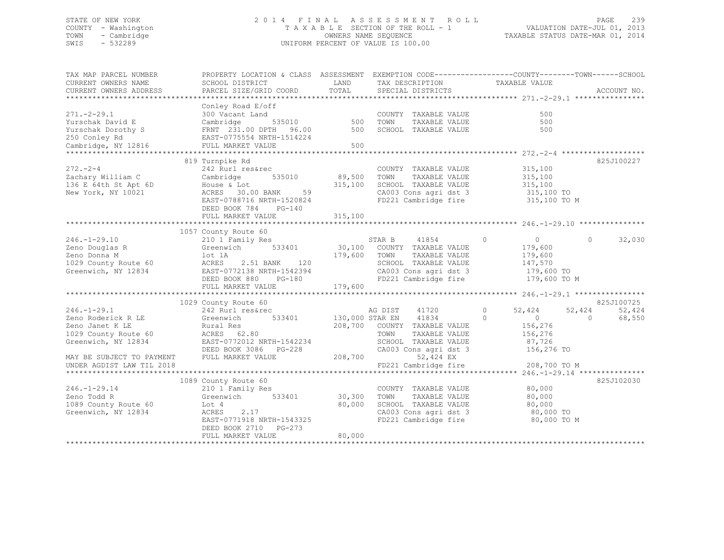# STATE OF NEW YORK 2 0 1 4 F I N A L A S S E S S M E N T R O L L PAGE 239 COUNTY - Washington T A X A B L E SECTION OF THE ROLL - 1 VALUATION DATE-JUL 01, 2013 TOWN - Cambridge OWNERS NAME SEQUENCE TAXABLE STATUS DATE-MAR 01, 2014 SWIS - 532289 UNIFORM PERCENT OF VALUE IS 100.00

| TAX MAP PARCEL NUMBER                                                                   | PROPERTY LOCATION & CLASS ASSESSMENT EXEMPTION CODE---------------COUNTY-------TOWN-----SCHOOL                                                                                                                                                                                                                                                                                                                                                                                  |          |                                                                                            |                       |                          |
|-----------------------------------------------------------------------------------------|---------------------------------------------------------------------------------------------------------------------------------------------------------------------------------------------------------------------------------------------------------------------------------------------------------------------------------------------------------------------------------------------------------------------------------------------------------------------------------|----------|--------------------------------------------------------------------------------------------|-----------------------|--------------------------|
| CURRENT OWNERS NAME                                                                     | SCHOOL DISTRICT                                                                                                                                                                                                                                                                                                                                                                                                                                                                 |          | LAND TAX DESCRIPTION TAXABLE VALUE COORD TOTAL SPECIAL DISTRICTS                           |                       |                          |
| CURRENT OWNERS ADDRESS                                                                  | PARCEL SIZE/GRID COORD TOTAL                                                                                                                                                                                                                                                                                                                                                                                                                                                    |          |                                                                                            |                       | ACCOUNT NO.              |
|                                                                                         |                                                                                                                                                                                                                                                                                                                                                                                                                                                                                 |          |                                                                                            |                       |                          |
|                                                                                         | $\begin{tabular}{lllllllllllll} \multicolumn{3}{l} \multicolumn{3}{l}{} & \multicolumn{3}{l}{} & \multicolumn{3}{l}{} & \multicolumn{3}{l}{} & \multicolumn{3}{l}{} & \multicolumn{3}{l}{} & \multicolumn{3}{l}{} & \multicolumn{3}{l}{} & \multicolumn{3}{l}{} & \multicolumn{3}{l}{} & \multicolumn{3}{l}{} & \multicolumn{3}{l}{} & \multicolumn{3}{l}{} & \multicolumn{3}{l}{} & \multicolumn{3}{l}{} & \multicolumn{3}{l}{} & \multicolumn{3}{l}{} & \multicolumn{3}{l}{}$ |          |                                                                                            |                       |                          |
|                                                                                         |                                                                                                                                                                                                                                                                                                                                                                                                                                                                                 |          | COUNTY TAXABLE VALUE                                                                       | 500                   |                          |
|                                                                                         |                                                                                                                                                                                                                                                                                                                                                                                                                                                                                 |          | TAXABLE VALUE                                                                              | 500                   |                          |
|                                                                                         |                                                                                                                                                                                                                                                                                                                                                                                                                                                                                 |          | SCHOOL TAXABLE VALUE                                                                       | 500                   |                          |
|                                                                                         |                                                                                                                                                                                                                                                                                                                                                                                                                                                                                 |          |                                                                                            |                       |                          |
|                                                                                         |                                                                                                                                                                                                                                                                                                                                                                                                                                                                                 |          |                                                                                            |                       |                          |
|                                                                                         |                                                                                                                                                                                                                                                                                                                                                                                                                                                                                 |          |                                                                                            |                       |                          |
|                                                                                         | 819 Turnpike Rd                                                                                                                                                                                                                                                                                                                                                                                                                                                                 |          |                                                                                            |                       | 825J100227               |
|                                                                                         | 272.-2-4 242 Rurl res&rec COUNTY<br>Zachary William C Cambridge 535010 89,500 TOWN                                                                                                                                                                                                                                                                                                                                                                                              |          | COUNTY TAXABLE VALUE                                                                       | 315,100               |                          |
|                                                                                         |                                                                                                                                                                                                                                                                                                                                                                                                                                                                                 |          |                                                                                            | TAXABLE VALUE 315,100 |                          |
|                                                                                         |                                                                                                                                                                                                                                                                                                                                                                                                                                                                                 |          |                                                                                            |                       |                          |
| 136 E 64th St Apt 6D House & Lot<br>New York, NY 10021 ACRES 30.0<br>New York, NY 10021 | House & Lot 315,100 SCHOOL TAXABLE VALUE 315,100<br>ACRES 30.00 BANK 59 CA003 Cons agri dst 3 315,100 TO<br>EAST-0788716 NRTH-1520824 FD221 Cambridge fire 315,100 TO M                                                                                                                                                                                                                                                                                                         |          |                                                                                            |                       |                          |
|                                                                                         | EAST-0788716 NRTH-1520824                                                                                                                                                                                                                                                                                                                                                                                                                                                       |          |                                                                                            |                       |                          |
|                                                                                         |                                                                                                                                                                                                                                                                                                                                                                                                                                                                                 |          |                                                                                            |                       |                          |
|                                                                                         | DEED BOOK 784 PG-140                                                                                                                                                                                                                                                                                                                                                                                                                                                            |          |                                                                                            |                       |                          |
|                                                                                         | FULL MARKET VALUE                                                                                                                                                                                                                                                                                                                                                                                                                                                               | 315, 100 |                                                                                            |                       |                          |
|                                                                                         |                                                                                                                                                                                                                                                                                                                                                                                                                                                                                 |          |                                                                                            |                       |                          |
|                                                                                         | 1057 County Route 60                                                                                                                                                                                                                                                                                                                                                                                                                                                            |          |                                                                                            |                       |                          |
|                                                                                         |                                                                                                                                                                                                                                                                                                                                                                                                                                                                                 |          |                                                                                            | $\overline{0}$        | $\Omega$<br>32,030       |
|                                                                                         |                                                                                                                                                                                                                                                                                                                                                                                                                                                                                 |          |                                                                                            | 179,600               |                          |
|                                                                                         |                                                                                                                                                                                                                                                                                                                                                                                                                                                                                 |          | TAXABLE VALUE                                                                              | 179,600<br>147,570    |                          |
|                                                                                         | 246.-1-29.10<br>Zeno Douglas R (210 1 Femily Res (210 1 Femily Res (210 1 Femily Res (210 1 Femily Res (210 1 Femily Res (210 1 Femily Res (210 1 Femily Res (210 1 Femily Res (210 1 Femily Res (210 1 Femily Res (210 1 Res 1                                                                                                                                                                                                                                                 |          |                                                                                            |                       |                          |
|                                                                                         |                                                                                                                                                                                                                                                                                                                                                                                                                                                                                 |          | CA003 Cons agri dst 3 179,600 TO                                                           |                       |                          |
|                                                                                         |                                                                                                                                                                                                                                                                                                                                                                                                                                                                                 |          | FD221 Cambridge fire                                                                       | 179,600 TO M          |                          |
|                                                                                         | FULL MARKET VALUE                                                                                                                                                                                                                                                                                                                                                                                                                                                               | 179,600  |                                                                                            |                       |                          |
|                                                                                         |                                                                                                                                                                                                                                                                                                                                                                                                                                                                                 |          |                                                                                            |                       |                          |
|                                                                                         | 1029 County Route 60                                                                                                                                                                                                                                                                                                                                                                                                                                                            |          |                                                                                            |                       | 825J100725               |
|                                                                                         |                                                                                                                                                                                                                                                                                                                                                                                                                                                                                 |          |                                                                                            | 52,424                | 52,424<br>52,424         |
|                                                                                         |                                                                                                                                                                                                                                                                                                                                                                                                                                                                                 |          | AG DIST 41720<br>$\begin{array}{ccc}\n\text{AT} & 41720 \\ \text{AT} & 41834\n\end{array}$ |                       | $\overline{0}$<br>68,550 |
|                                                                                         |                                                                                                                                                                                                                                                                                                                                                                                                                                                                                 |          |                                                                                            |                       |                          |
|                                                                                         |                                                                                                                                                                                                                                                                                                                                                                                                                                                                                 |          |                                                                                            |                       |                          |
| Greenwich, NY 12834                                                                     |                                                                                                                                                                                                                                                                                                                                                                                                                                                                                 |          | SCHOOL TAXABLE VALUE 87,726                                                                |                       |                          |
|                                                                                         | EAST-0772012 NRTH-1542234                                                                                                                                                                                                                                                                                                                                                                                                                                                       |          |                                                                                            |                       |                          |
|                                                                                         |                                                                                                                                                                                                                                                                                                                                                                                                                                                                                 |          | CA003 Cons agri dst 3 156,276 TO 52,424 EX                                                 |                       |                          |
| MAY BE SUBJECT TO PAYMENT                                                               | DEED BOOK 3086 PG-228 CA003 C<br>FULL MARKET VALUE 208,700                                                                                                                                                                                                                                                                                                                                                                                                                      |          |                                                                                            |                       |                          |
| UNDER AGDIST LAW TIL 2018                                                               |                                                                                                                                                                                                                                                                                                                                                                                                                                                                                 |          | FD221 Cambridge fire 208,700 TO M                                                          |                       |                          |
|                                                                                         |                                                                                                                                                                                                                                                                                                                                                                                                                                                                                 |          |                                                                                            |                       |                          |
|                                                                                         | 1089 County Route 60                                                                                                                                                                                                                                                                                                                                                                                                                                                            |          |                                                                                            |                       | 825J102030               |
| $246. - 1 - 29.14$                                                                      |                                                                                                                                                                                                                                                                                                                                                                                                                                                                                 |          | COUNTY TAXABLE VALUE 80,000                                                                |                       |                          |
| Zeno Todd R                                                                             | 210 1 Family Res<br>Greenwich 533401 30,300                                                                                                                                                                                                                                                                                                                                                                                                                                     |          | TOWN                                                                                       | TAXABLE VALUE 80,000  |                          |
| 1089 County Route 60                                                                    | Lot 4                                                                                                                                                                                                                                                                                                                                                                                                                                                                           | 80,000   | SCHOOL TAXABLE VALUE 80,000<br>CA003 Cons agri dst 3 60,000 TO                             |                       |                          |
| Greenwich, NY 12834                                                                     | 2.17<br>ACRES                                                                                                                                                                                                                                                                                                                                                                                                                                                                   |          |                                                                                            |                       |                          |
|                                                                                         | EAST-0771918 NRTH-1543325                                                                                                                                                                                                                                                                                                                                                                                                                                                       |          | FD221 Cambridge fire                                                                       | 80,000 TO M           |                          |
|                                                                                         | DEED BOOK 2710 PG-273                                                                                                                                                                                                                                                                                                                                                                                                                                                           |          |                                                                                            |                       |                          |
|                                                                                         | FULL MARKET VALUE                                                                                                                                                                                                                                                                                                                                                                                                                                                               | 80,000   |                                                                                            |                       |                          |
|                                                                                         |                                                                                                                                                                                                                                                                                                                                                                                                                                                                                 |          |                                                                                            |                       |                          |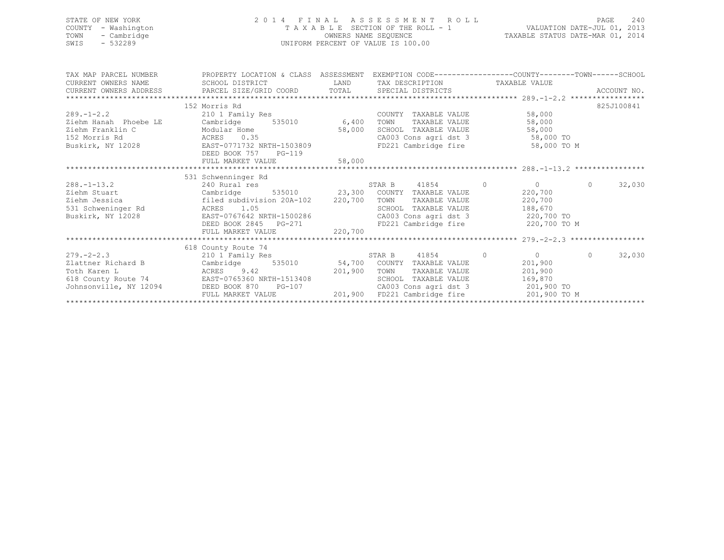| STATE OF NEW YORK<br>COUNTY - Washington<br>TOWN<br>- Cambridge<br>$-532289$<br>SWIS |                                                                                                                                                 |        | 2014 FINAL ASSESSMENT ROLL PAGE 240<br>TAXABLE SECTION OF THE ROLL - 1 VALUATION DATE-JUL 01, 2013<br>OWNERS NAME SEQUENCE TAXABLE STATUS DATE-MAR 01, 2014<br>UNIFORM PERCENT OF VALUE IS 100.00 |                       |            |            |
|--------------------------------------------------------------------------------------|-------------------------------------------------------------------------------------------------------------------------------------------------|--------|---------------------------------------------------------------------------------------------------------------------------------------------------------------------------------------------------|-----------------------|------------|------------|
|                                                                                      | TAX MAP PARCEL NUMBER THE PROPERTY LOCATION & CLASS ASSESSMENT EXEMPTION CODE---------------COUNTY-------TOWN------SCHOOL                       |        |                                                                                                                                                                                                   |                       |            |            |
| CURRENT OWNERS NAME SCHOOL DISTRICT                                                  |                                                                                                                                                 |        | LAND TAX DESCRIPTION TAXABLE VALUE                                                                                                                                                                |                       |            |            |
|                                                                                      |                                                                                                                                                 |        |                                                                                                                                                                                                   |                       |            |            |
|                                                                                      | 152 Morris Rd                                                                                                                                   |        |                                                                                                                                                                                                   |                       |            | 825J100841 |
| $289. -1 - 2.2$                                                                      | 210 1 Family Res<br>Cambridge 535010 6,400 TOWN<br>Modular Using 535010 - 6,400 TOWN                                                            |        | COUNTY TAXABLE VALUE                                                                                                                                                                              | 58,000                |            |            |
| Ziehm Hanah Phoebe LE                                                                |                                                                                                                                                 |        | TAXABLE VALUE                                                                                                                                                                                     | 58,000                |            |            |
| Ziehm Franklin C                                                                     |                                                                                                                                                 |        |                                                                                                                                                                                                   |                       |            |            |
| 152 Morris Rd<br><b>ACRES</b>                                                        |                                                                                                                                                 |        |                                                                                                                                                                                                   |                       |            |            |
| Buskirk, NY 12028                                                                    | EAST-0771732 NRTH-1503809 FD221 Cambridge fire                                                                                                  |        |                                                                                                                                                                                                   | 58,000 TO M           |            |            |
|                                                                                      | DEED BOOK 757 PG-119                                                                                                                            |        |                                                                                                                                                                                                   |                       |            |            |
|                                                                                      | FULL MARKET VALUE                                                                                                                               | 58,000 |                                                                                                                                                                                                   |                       |            |            |
|                                                                                      | 531 Schwenninger Rd                                                                                                                             |        |                                                                                                                                                                                                   |                       |            |            |
|                                                                                      |                                                                                                                                                 |        |                                                                                                                                                                                                   | 41854 0 0             | $\Omega$   | 32,030     |
|                                                                                      | 288.-1-13.2 240 Rural res 535010 37AR B 41854 0 0<br>Ziehm Stuart Cambridge 535010 23,300 COUNTY TAXABLE VALUE 220,700                          |        |                                                                                                                                                                                                   |                       |            |            |
| Ziehm Jessica                                                                        | filed subdivision 20A-102 220,700 TOWN                                                                                                          |        |                                                                                                                                                                                                   | TAXABLE VALUE 220,700 |            |            |
|                                                                                      |                                                                                                                                                 |        | SCHOOL TAXABLE VALUE                                                                                                                                                                              | 188,670               |            |            |
| 531 Schweninger Rd<br>Buskirk, NY 12028 EAST-0767642 N                               |                                                                                                                                                 |        |                                                                                                                                                                                                   |                       |            |            |
|                                                                                      |                                                                                                                                                 |        |                                                                                                                                                                                                   |                       |            |            |
|                                                                                      | EAST-0767642 NRTH-1500286<br>DEED BOOK 2845 PG-271 FD221 Cambridge fire 220,700 TO M<br>FULL MARKET VALUE 220,700<br>PULL MARKET VALUE 220,700  |        |                                                                                                                                                                                                   |                       |            |            |
|                                                                                      |                                                                                                                                                 |        |                                                                                                                                                                                                   |                       |            |            |
|                                                                                      | 618 County Route 74<br>County Route 74<br>210 1 Family Res                                                                                      |        |                                                                                                                                                                                                   |                       |            |            |
| $279 - 2 - 2.3$                                                                      |                                                                                                                                                 |        | 41854<br>STAR B                                                                                                                                                                                   |                       | $\bigcirc$ | 32,030     |
| Zlattner Richard B                                                                   | Cambridge 535010 54,700 COUNTY TAXABLE VALUE                                                                                                    |        |                                                                                                                                                                                                   | 201,900               |            |            |
|                                                                                      | Toth Karen L<br>Toth Karen L<br>618 County Route 74 EAST-0765360 NRTH-1513408 201,900 TOWN<br>Johnsonville, NY 12094 DEED BOOK 870 PG-107 CA003 |        | TAXABLE VALUE                                                                                                                                                                                     | 201,900               |            |            |
|                                                                                      |                                                                                                                                                 |        | SCHOOL TAXABLE VALUE                                                                                                                                                                              | 169,870               |            |            |
|                                                                                      |                                                                                                                                                 |        | CA003 Cons agri dst 3                                                                                                                                                                             | 201,900 TO            |            |            |

FULL MARKET VALUE 201,900 FD221 Cambridge fire 201,900 TO M \*\*\*\*\*\*\*\*\*\*\*\*\*\*\*\*\*\*\*\*\*\*\*\*\*\*\*\*\*\*\*\*\*\*\*\*\*\*\*\*\*\*\*\*\*\*\*\*\*\*\*\*\*\*\*\*\*\*\*\*\*\*\*\*\*\*\*\*\*\*\*\*\*\*\*\*\*\*\*\*\*\*\*\*\*\*\*\*\*\*\*\*\*\*\*\*\*\*\*\*\*\*\*\*\*\*\*\*\*\*\*\*\*\*\*\*\*\*\*\*\*\*\*\*\*\*\*\*\*\*\*\*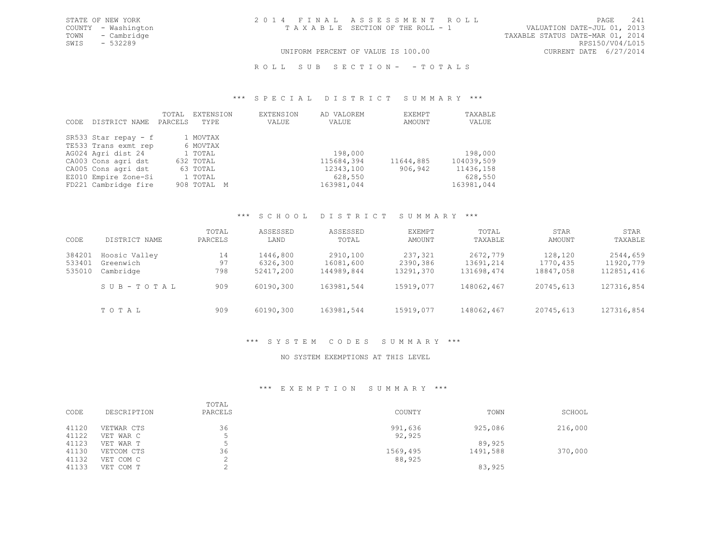TOWN - Cambridge TAXABLE STATUS DATE-MAR 01, 2014<br>SWIS - 532289 RPS150/V04/L015 SWIS - 532289<br>UNIFORM PERCENT OF VALUE IS 100.00

# UNIFORM PERCENT OF VALUE IS 100.00

ROLL SUB SECTION- - TOTALS

#### \*\*\* S P E C I A L D I S T R I C T S U M M A R Y \*\*\*

| CODE | DISTRICT NAME          | TOTAL<br>PARCELS | EXTENSION<br>TYPE | EXTENSION<br>VALUE | AD VALOREM<br>VALUE | EXEMPT<br>AMOUNT | TAXABLE<br>VALUE |
|------|------------------------|------------------|-------------------|--------------------|---------------------|------------------|------------------|
|      | SR533 Star repay $- f$ |                  | 1 MOVTAX          |                    |                     |                  |                  |
|      | TE533 Trans exmt rep   |                  | 6 MOVTAX          |                    |                     |                  |                  |
|      | AG024 Agri dist 24     |                  | 1 TOTAL           |                    | 198,000             |                  | 198,000          |
|      | CA003 Cons agri dst    |                  | 632 TOTAL         |                    | 115684,394          | 11644,885        | 104039,509       |
|      | CA005 Cons agri dst    |                  | 63 TOTAL          |                    | 12343,100           | 906,942          | 11436,158        |
|      | EZ010 Empire Zone-Si   |                  | 1 TOTAL           |                    | 628,550             |                  | 628,550          |
|      | FD221 Cambridge fire   |                  | 908 TOTAL M       |                    | 163981,044          |                  | 163981,044       |

#### \*\*\* S C H O O L D I S T R I C T S U M M A R Y \*\*\*

| CODE   | DISTRICT NAME | TOTAL<br>PARCELS | ASSESSED<br>LAND | ASSESSED<br>TOTAL | EXEMPT<br>AMOUNT | TOTAL<br>TAXABLE | STAR<br>AMOUNT | STAR<br>TAXABLE |
|--------|---------------|------------------|------------------|-------------------|------------------|------------------|----------------|-----------------|
| 384201 | Hoosic Valley | 14               | 1446,800         | 2910,100          | 237,321          | 2672,779         | 128,120        | 2544,659        |
| 533401 | Greenwich     | 97               | 6326,300         | 16081,600         | 2390,386         | 13691,214        | 1770,435       | 11920,779       |
| 535010 | Cambridge     | 798              | 52417,200        | 144989,844        | 13291,370        | 131698,474       | 18847,058      | 112851,416      |
|        | SUB-TOTAL     | 909              | 60190,300        | 163981,544        | 15919,077        | 148062,467       | 20745,613      | 127316,854      |
|        | TOTAL         | 909              | 60190,300        | 163981,544        | 15919,077        | 148062,467       | 20745,613      | 127316,854      |

# \*\*\* S Y S T E M C O D E S S U M M A R Y \*\*\*

# NO SYSTEM EXEMPTIONS AT THIS LEVEL

# \*\*\* E X E M P T I O N S U M M A R Y \*\*\*

| CODE           | DESCRIPTION             | TOTAL<br>PARCELS | COUNTY            | TOWN     | SCHOOL  |
|----------------|-------------------------|------------------|-------------------|----------|---------|
| 41120<br>41122 | VETWAR CTS<br>VET WAR C | 36               | 991,636<br>92,925 | 925,086  | 216,000 |
| 41123          | VET WAR T               |                  |                   | 89,925   |         |
| 41130          | VETCOM CTS              | 36               | 1569,495          | 1491,588 | 370,000 |
| 41132          | VET COM C               |                  | 88,925            |          |         |
| 41133          | VET COM T               |                  |                   | 83,925   |         |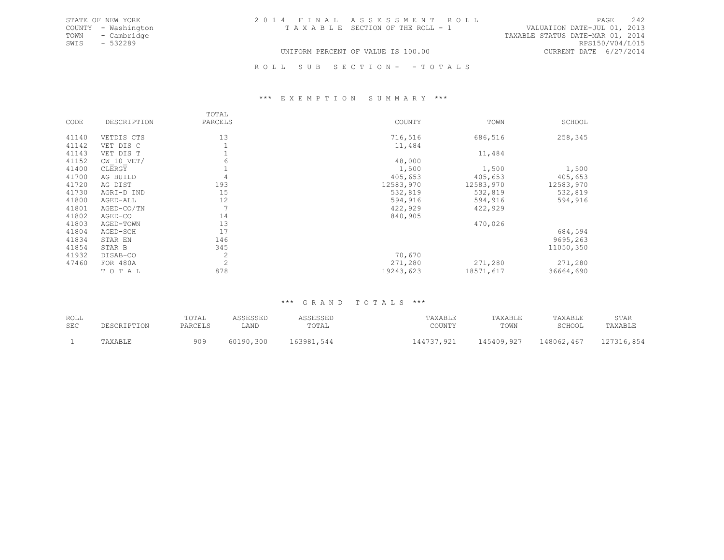| STATE OF NEW YORK   | 2014 FINAL ASSESSMENT ROLL            | 242<br>PAGE                      |
|---------------------|---------------------------------------|----------------------------------|
| COUNTY - Washington | T A X A B L E SECTION OF THE ROLL - 1 | VALUATION DATE-JUL 01, 2013      |
| TOWN<br>- Cambridge |                                       | TAXABLE STATUS DATE-MAR 01, 2014 |
| - 532289<br>SWTS    |                                       | RPS150/V04/L015                  |
|                     | UNIFORM PERCENT OF VALUE IS 100.00    | CURRENT DATE 6/27/2014           |

ROLL SUB SECTION- - TOTALS

#### \*\*\* E X E M P T I O N S U M M A R Y \*\*\*

|       |                | TOTAL          |           |           |           |
|-------|----------------|----------------|-----------|-----------|-----------|
| CODE  | DESCRIPTION    | PARCELS        | COUNTY    | TOWN      | SCHOOL    |
| 41140 | VETDIS CTS     | 13             | 716,516   | 686,516   | 258,345   |
| 41142 | VET DIS C      |                | 11,484    |           |           |
| 41143 | VET DIS T      |                |           | 11,484    |           |
| 41152 | $CW$ 10 $VET/$ | 6              | 48,000    |           |           |
| 41400 | CLERGY         |                | 1,500     | 1,500     | 1,500     |
| 41700 | AG BUILD       | 4              | 405,653   | 405,653   | 405,653   |
| 41720 | AG DIST        | 193            | 12583,970 | 12583,970 | 12583,970 |
| 41730 | AGRI-D IND     | 15             | 532,819   | 532,819   | 532,819   |
| 41800 | AGED-ALL       | 12             | 594,916   | 594,916   | 594,916   |
| 41801 | AGED-CO/TN     |                | 422,929   | 422,929   |           |
| 41802 | AGED-CO        | 14             | 840,905   |           |           |
| 41803 | AGED-TOWN      | 13             |           | 470,026   |           |
| 41804 | AGED-SCH       | 17             |           |           | 684,594   |
| 41834 | STAR EN        | 146            |           |           | 9695,263  |
| 41854 | STAR B         | 345            |           |           | 11050,350 |
| 41932 | DISAB-CO       |                | 70,670    |           |           |
| 47460 | FOR 480A       | $\overline{2}$ | 271,280   | 271,280   | 271,280   |
|       | TOTAL          | 878            | 19243,623 | 18571,617 | 36664,690 |

#### \*\*\* G R A N D T O T A L S \*\*\*

| ROLL | DESCRIPTION | TOTAL   | ASSESSED  | ASSESSED   | TAXABLE    | TAXABLE    | TAXABLE    | STAR       |
|------|-------------|---------|-----------|------------|------------|------------|------------|------------|
| SEC  |             | PARCELS | LAND      | TOTAL      | COUNTY     | TOWN       | SCHOOL     | TAXABLE    |
|      | TAXABLE     | 909     | 60190,300 | 163981,544 | 144737,921 | 145409,927 | 148062,467 | 127316,854 |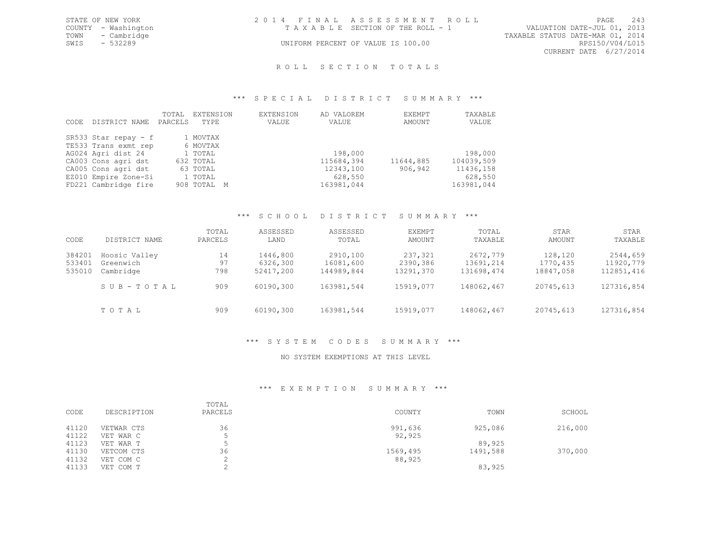| STATE OF NEW YORK   | 2014 FINAL ASSESSMENT ROLL         | PAGE                             | 243 |
|---------------------|------------------------------------|----------------------------------|-----|
| COUNTY - Washington | TAXABLE SECTION OF THE ROLL - 1    | VALUATION DATE-JUL 01, 2013      |     |
| TOWN - Cambridge    |                                    | TAXABLE STATUS DATE-MAR 01, 2014 |     |
| SWIS<br>- 532289    | UNIFORM PERCENT OF VALUE IS 100.00 | RPS150/V04/L015                  |     |
|                     |                                    | CURRENT DATE 6/27/2014           |     |

# ROLL SECTION TOTALS

#### \*\*\* S P E C I A L D I S T R I C T S U M M A R Y \*\*\*

| CODE | DISTRICT NAME        | TOTAL<br>PARCELS | EXTENSION<br>TYPE | EXTENSION<br>VALUE | AD VALOREM<br>VALUE | EXEMPT<br>AMOUNT | TAXABLE<br>VALUE |
|------|----------------------|------------------|-------------------|--------------------|---------------------|------------------|------------------|
|      | SR533 Star repay - f |                  | 1 MOVTAX          |                    |                     |                  |                  |
|      | TE533 Trans exmt rep |                  | 6 MOVTAX          |                    |                     |                  |                  |
|      | AG024 Agri dist 24   |                  | 1 TOTAL           |                    | 198,000             |                  | 198,000          |
|      | CA003 Cons agri dst  |                  | 632 TOTAL         |                    | 115684,394          | 11644,885        | 104039,509       |
|      | CA005 Cons agri dst  |                  | 63 TOTAL          |                    | 12343,100           | 906,942          | 11436,158        |
|      | EZ010 Empire Zone-Si |                  | 1 TOTAL           |                    | 628,550             |                  | 628,550          |
|      | FD221 Cambridge fire |                  | 908 TOTAL M       |                    | 163981,044          |                  | 163981,044       |

#### \*\*\* S C H O O L D I S T R I C T S U M M A R Y \*\*\*

| CODE   | DISTRICT NAME | TOTAL<br>PARCELS | ASSESSED<br>LAND | ASSESSED<br>TOTAL | EXEMPT<br>AMOUNT | TOTAL<br>TAXABLE | STAR<br>AMOUNT | STAR<br>TAXABLE |
|--------|---------------|------------------|------------------|-------------------|------------------|------------------|----------------|-----------------|
| 384201 | Hoosic Valley | 14               | 1446,800         | 2910,100          | 237,321          | 2672,779         | 128,120        | 2544,659        |
| 533401 | Greenwich     | 97               | 6326,300         | 16081,600         | 2390,386         | 13691,214        | 1770,435       | 11920,779       |
| 535010 | Cambridge     | 798              | 52417,200        | 144989,844        | 13291,370        | 131698,474       | 18847,058      | 112851,416      |
|        | SUB-TOTAL     | 909              | 60190,300        | 163981,544        | 15919,077        | 148062,467       | 20745,613      | 127316,854      |
|        | TOTAL         | 909              | 60190,300        | 163981,544        | 15919,077        | 148062,467       | 20745,613      | 127316,854      |

# \*\*\* S Y S T E M C O D E S S U M M A R Y \*\*\*

### NO SYSTEM EXEMPTIONS AT THIS LEVEL

# \*\*\* E X E M P T I O N S U M M A R Y \*\*\*

| CODE           | DESCRIPTION             | TOTAL<br>PARCELS | COUNTY            | TOWN               | SCHOOL  |
|----------------|-------------------------|------------------|-------------------|--------------------|---------|
| 41120<br>41122 | VETWAR CTS<br>VET WAR C | 36               | 991,636<br>92,925 | 925,086            | 216,000 |
| 41123<br>41130 | VET WAR T<br>VETCOM CTS | 36               | 1569,495          | 89,925<br>1491,588 | 370,000 |
| 41132          | VET COM C               |                  | 88,925            |                    |         |
| 41133          | VET COM T               |                  |                   | 83,925             |         |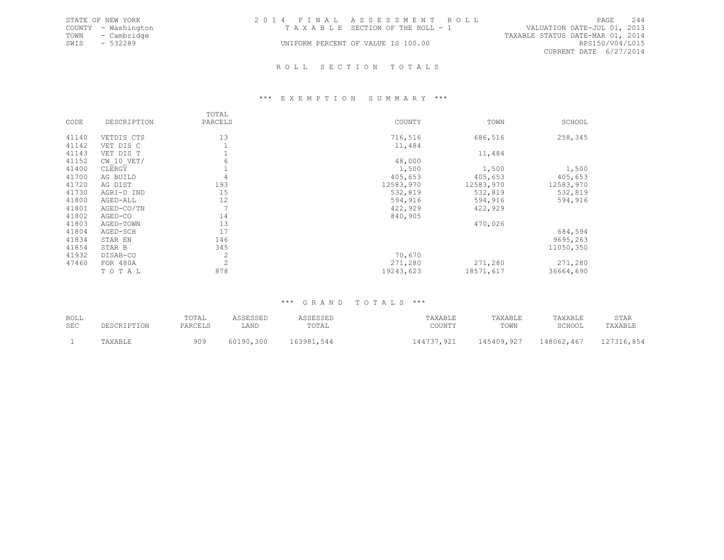|      | STATE OF NEW YORK   | 2014 FINAL ASSESSMENT ROLL         |                                  | PAGE                   | 2.44 |
|------|---------------------|------------------------------------|----------------------------------|------------------------|------|
|      | COUNTY - Washington | TAXABLE SECTION OF THE ROLL - 1    | VALUATION DATE-JUL 01, 2013      |                        |      |
|      | TOWN - Cambridge    |                                    | TAXABLE STATUS DATE-MAR 01, 2014 |                        |      |
| SWIS | - 532289            | UNIFORM PERCENT OF VALUE IS 100.00 |                                  | RPS150/V04/L015        |      |
|      |                     |                                    |                                  | CURRENT DATE 6/27/2014 |      |
|      |                     |                                    |                                  |                        |      |

#### R O L L S E C T I O N T O T A L S

#### \*\*\* E X E M P T I O N S U M M A R Y \*\*\*

|       |                | TOTAL          |           |           |           |
|-------|----------------|----------------|-----------|-----------|-----------|
| CODE  | DESCRIPTION    | PARCELS        | COUNTY    | TOWN      | SCHOOL    |
| 41140 | VETDIS CTS     | 13             | 716,516   | 686,516   | 258,345   |
| 41142 | VET DIS C      |                | 11,484    |           |           |
| 41143 | VET DIS T      | Ŧ              |           | 11,484    |           |
| 41152 | $CW$ 10 $VET/$ | 6              | 48,000    |           |           |
| 41400 | CLERGY         | $\mathbf 1$    | 1,500     | 1,500     | 1,500     |
| 41700 | AG BUILD       | 4              | 405,653   | 405,653   | 405,653   |
| 41720 | AG DIST        | 193            | 12583,970 | 12583,970 | 12583,970 |
| 41730 | AGRI-D IND     | 15             | 532,819   | 532,819   | 532,819   |
| 41800 | AGED-ALL       | 12             | 594,916   | 594,916   | 594,916   |
| 41801 | AGED-CO/TN     | 7              | 422,929   | 422,929   |           |
| 41802 | AGED-CO        | 14             | 840,905   |           |           |
| 41803 | AGED-TOWN      | 13             |           | 470,026   |           |
| 41804 | AGED-SCH       | 17             |           |           | 684,594   |
| 41834 | STAR EN        | 146            |           |           | 9695,263  |
| 41854 | STAR B         | 345            |           |           | 11050,350 |
| 41932 | DISAB-CO       | $\overline{2}$ | 70,670    |           |           |
| 47460 | FOR 480A       | $\mathbf{2}$   | 271,280   | 271,280   | 271,280   |
|       | TOTAL          | 878            | 19243,623 | 18571,617 | 36664,690 |

#### \*\*\* G R A N D T O T A L S \*\*\*

| ROLL | DESCRIPTION | TOTAL   | ASSESSED  | ASSESSED   | TAXABLE    | TAXABLE    | TAXABLE    | STAR       |
|------|-------------|---------|-----------|------------|------------|------------|------------|------------|
| SEC  |             | PARCELS | LAND      | TOTAL      | COUNTY     | TOWN       | SCHOOL     | TAXABLE    |
|      | TAXABLE     | 909     | 60190,300 | 163981,544 | 144737,921 | 145409,927 | 148062,467 | 127316,854 |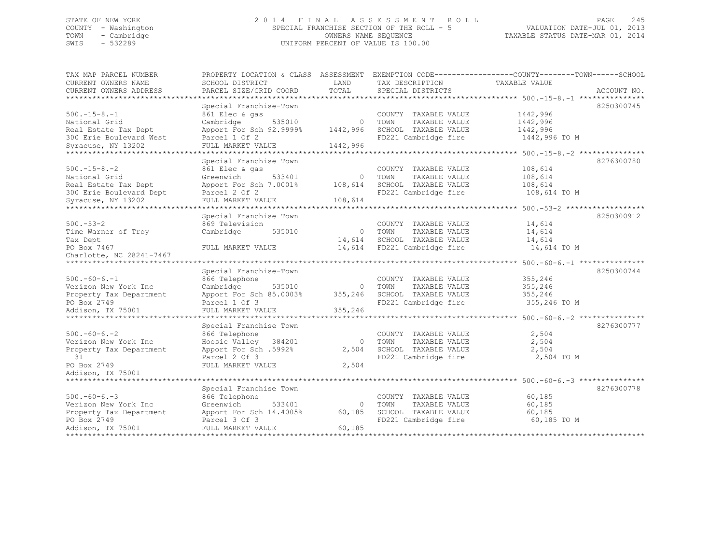# STATE OF NEW YORK 2 0 1 4 F I N A L A S S E S S M E N T R O L L PAGE 245 COUNTY - Washington SPECIAL FRANCHISE SECTION OF THE ROLL - 5 VALUATION DATE-JUL 01, 2013 TOWN - Cambridge OWNERS NAME SEQUENCE TAXABLE STATUS DATE-MAR 01, 2014 SWIS - 532289 UNIFORM PERCENT OF VALUE IS 100.00

| TAX MAP PARCEL NUMBER                           | PROPERTY LOCATION & CLASS ASSESSMENT     |              |                                              | EXEMPTION CODE-----------------COUNTY-------TOWN------SCHOOL |             |
|-------------------------------------------------|------------------------------------------|--------------|----------------------------------------------|--------------------------------------------------------------|-------------|
| CURRENT OWNERS NAME                             | SCHOOL DISTRICT                          | LAND         | TAX DESCRIPTION                              | TAXABLE VALUE                                                |             |
| CURRENT OWNERS ADDRESS                          | PARCEL SIZE/GRID COORD                   | TOTAL        | SPECIAL DISTRICTS                            |                                                              | ACCOUNT NO. |
| ***********************                         |                                          |              |                                              |                                                              |             |
|                                                 | Special Franchise-Town                   |              |                                              |                                                              | 8250300745  |
| $500. -15 - 8. -1$                              | 861 Elec & gas                           |              | COUNTY TAXABLE VALUE                         | 1442,996                                                     |             |
| National Grid                                   | Cambridge<br>535010                      | $\mathbf{0}$ | TAXABLE VALUE<br>TOWN                        | 1442,996                                                     |             |
| Real Estate Tax Dept<br>300 Erie Boulevard West | Apport For Sch 92.9999%<br>Parcel 1 Of 2 | 1442,996     | SCHOOL TAXABLE VALUE<br>FD221 Cambridge fire | 1442,996<br>1442,996 TO M                                    |             |
|                                                 |                                          | 1442,996     |                                              |                                                              |             |
| Syracuse, NY 13202                              | FULL MARKET VALUE<br>*************       |              |                                              | **** 500.-15-8.-2 **                                         |             |
|                                                 | Special Franchise Town                   |              |                                              |                                                              | 8276300780  |
| $500. -15 - 8. -2$                              | 861 Elec & gas                           |              | COUNTY TAXABLE VALUE                         | 108,614                                                      |             |
| National Grid                                   | Greenwich<br>533401                      | $\Omega$     | TOWN<br>TAXABLE VALUE                        | 108,614                                                      |             |
| Real Estate Tax Dept                            | Apport For Sch 7.0001%                   | 108,614      | SCHOOL TAXABLE VALUE                         | 108,614                                                      |             |
| 300 Erie Boulevard Dept                         | Parcel 2 Of 2                            |              | FD221 Cambridge fire                         | 108,614 TO M                                                 |             |
| Syracuse, NY 13202                              | FULL MARKET VALUE                        | 108,614      |                                              |                                                              |             |
|                                                 | **********************************       |              |                                              | ************************** 500. -53-2 **************         |             |
|                                                 | Special Franchise Town                   |              |                                              |                                                              | 8250300912  |
| $500 - 53 - 2$                                  | 869 Television                           |              | COUNTY TAXABLE VALUE                         | 14,614                                                       |             |
| Time Warner of Troy                             | Cambridge<br>535010                      | $\mathbf{0}$ | TOWN<br>TAXABLE VALUE                        | 14,614                                                       |             |
| Tax Dept                                        |                                          | 14,614       | SCHOOL TAXABLE VALUE                         | 14,614                                                       |             |
| PO Box 7467                                     | FULL MARKET VALUE                        | 14,614       | FD221 Cambridge fire                         | 14,614 TO M                                                  |             |
| Charlotte, NC 28241-7467                        |                                          |              |                                              |                                                              |             |
| **********************                          |                                          |              |                                              |                                                              |             |
|                                                 | Special Franchise-Town                   |              |                                              |                                                              | 8250300744  |
| $500. -60 - 6. -1$                              | 866 Telephone                            |              | COUNTY TAXABLE VALUE                         | 355,246                                                      |             |
| Verizon New York Inc                            | Cambridge<br>535010                      | $\Omega$     | TAXABLE VALUE<br>TOWN                        | 355,246                                                      |             |
| Property Tax Department                         | Apport For Sch 85.0003%                  | 355,246      | SCHOOL TAXABLE VALUE                         | 355,246                                                      |             |
| PO Box 2749                                     | Parcel 1 Of 3                            |              | FD221 Cambridge fire                         | 355,246 TO M                                                 |             |
| Addison, TX 75001                               | FULL MARKET VALUE                        | 355,246      |                                              |                                                              |             |
|                                                 |                                          |              |                                              | ******* 500.-60-6.-2 **                                      |             |
|                                                 | Special Franchise Town                   |              |                                              |                                                              | 8276300777  |
| $500. -60 - 6. -2$                              | 866 Telephone                            |              | COUNTY TAXABLE VALUE                         | 2,504                                                        |             |
| Verizon New York Inc                            | Hoosic Valley<br>384201                  | $\Omega$     | TAXABLE VALUE<br>TOWN                        | 2,504                                                        |             |
| Property Tax Department                         | Apport For Sch .5992%                    | 2,504        | SCHOOL TAXABLE VALUE                         | 2,504                                                        |             |
| 31                                              | Parcel 2 Of 3                            |              | FD221 Cambridge fire                         | 2,504 TO M                                                   |             |
| PO Box 2749                                     | FULL MARKET VALUE                        | 2,504        |                                              |                                                              |             |
| Addison, TX 75001                               |                                          |              |                                              |                                                              |             |
|                                                 |                                          |              |                                              |                                                              |             |
|                                                 | Special Franchise Town                   |              |                                              |                                                              | 8276300778  |
| $500 - 60 - 6 - 3$                              | 866 Telephone                            |              | COUNTY TAXABLE VALUE                         | 60,185                                                       |             |
| Verizon New York Inc                            | Greenwich<br>533401                      | $\mathbf 0$  | TOWN<br>TAXABLE VALUE                        | 60,185                                                       |             |
| Property Tax Department<br>PO Box 2749          | Apport For Sch 14.4005%                  | 60,185       | SCHOOL TAXABLE VALUE                         | 60,185                                                       |             |
| Addison, TX 75001                               | Parcel 3 Of 3<br>FULL MARKET VALUE       | 60,185       | FD221 Cambridge fire                         | 60,185 TO M                                                  |             |
| ***************                                 | *************************                |              |                                              |                                                              |             |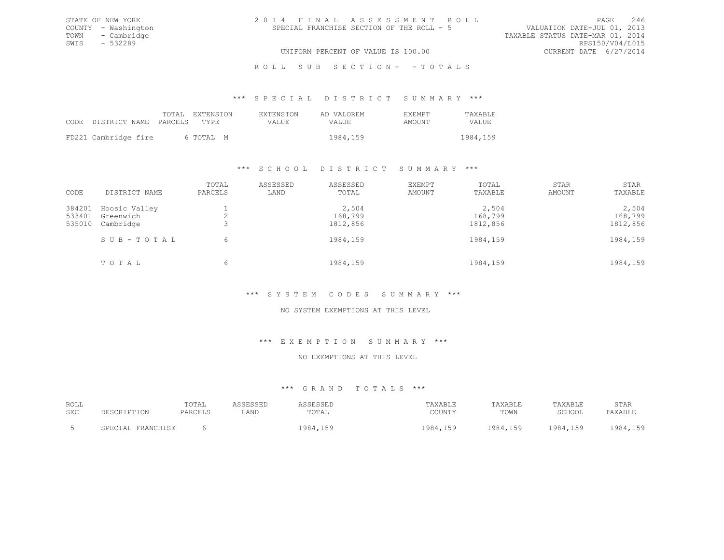| 2014 FINAL ASSESSMENT ROLL |                                           |  | PAGE                             | 246 |
|----------------------------|-------------------------------------------|--|----------------------------------|-----|
|                            | SPECIAL FRANCHISE SECTION OF THE ROLL - 5 |  | VALUATION DATE-JUL 01, 2013      |     |
|                            |                                           |  | TAXABLE STATUS DATE-MAR 01, 2014 |     |
|                            |                                           |  | RPS150/V04/L015                  |     |
|                            | UNIFORM PERCENT OF VALUE IS 100.00        |  | CURRENT DATE 6/27/2014           |     |

R O L L S U B S E C T I O N - - T O T A L S

\*\*\* S P E C I A L D I S T R I C T S U M M A R Y \*\*\*

|                            | TOTAL EXTENSION | <b>EXTENSION</b> | AD VALOREM | <b>F.XFMPT</b> | TAXABLE  |
|----------------------------|-----------------|------------------|------------|----------------|----------|
| CODE DISTRICT NAME PARCELS | TYPR.           | VALUE.           | VALUE      | AMOUNT         | VALUE.   |
| FD221 Cambridge fire       | 6 ТОТАІ, М      |                  | 1984,159   |                | 1984,159 |
|                            |                 |                  |            |                |          |

STATE OF NEW YORK COUNTY - Washington TOWN - Cambridge  $SWIS$  - 532289

#### \*\*\* S C H O O L D I S T R I C T S U M M A R Y \*\*\*

| CODE                       | DISTRICT NAME                           | TOTAL<br>PARCELS | ASSESSED<br>LAND | ASSESSED<br>TOTAL            | EXEMPT<br>AMOUNT | TOTAL<br>TAXABLE             | STAR<br>AMOUNT | STAR<br>TAXABLE              |
|----------------------------|-----------------------------------------|------------------|------------------|------------------------------|------------------|------------------------------|----------------|------------------------------|
| 384201<br>533401<br>535010 | Hoosic Valley<br>Greenwich<br>Cambridge |                  |                  | 2,504<br>168,799<br>1812,856 |                  | 2,504<br>168,799<br>1812,856 |                | 2,504<br>168,799<br>1812,856 |
|                            | SUB-TOTAL                               | 6                |                  | 1984,159                     |                  | 1984,159                     |                | 1984,159                     |
|                            | TOTAL                                   | 6                |                  | 1984,159                     |                  | 1984,159                     |                | 1984,159                     |

# \*\*\* S Y S T E M C O D E S S U M M A R Y \*\*\*

#### NO SYSTEM EXEMPTIONS AT THIS LEVEL

#### \*\*\* E X E M P T I O N S U M M A R Y \*\*\*

# NO EXEMPTIONS AT THIS LEVEL

# \*\*\* G R A N D T O T A L S \*\*\*

| ROLL       |                       | TOTAL   |      | ം പലപലച  | TAXABLE                    | TAXABLE  | "AXABLE  | STAR                    |
|------------|-----------------------|---------|------|----------|----------------------------|----------|----------|-------------------------|
| <b>SEC</b> |                       | PARCELS | LAND | TOTAL    | COUNTY                     | TOWN     | SCHOOL   | TAXABLE                 |
|            | FRANCHISE<br>SPECIAL. |         |      | 1984,159 | 984.<br>150<br>. 1 , 1 J J | 1984 159 | 1984 159 | $QQA$ 150<br>. <i>.</i> |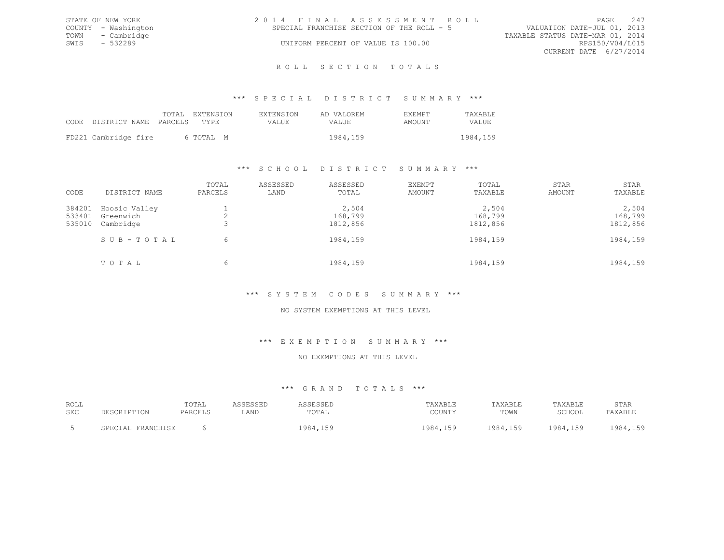| STATE OF NEW YORK |                     | 2014 FINAL ASSESSMENT ROLL                |                                  |                        | PAGE | 2.47 |
|-------------------|---------------------|-------------------------------------------|----------------------------------|------------------------|------|------|
|                   | COUNTY - Washington | SPECIAL FRANCHISE SECTION OF THE ROLL - 5 | VALUATION DATE-JUL 01, 2013      |                        |      |      |
| TOWN - Cambridge  |                     |                                           | TAXABLE STATUS DATE-MAR 01, 2014 |                        |      |      |
| SWIS              | - 532289            | UNIFORM PERCENT OF VALUE IS 100.00        |                                  | RPS150/V04/L015        |      |      |
|                   |                     |                                           |                                  | CURRENT DATE 6/27/2014 |      |      |
|                   |                     |                                           |                                  |                        |      |      |

#### R O L L S E C T I O N T O T A L S

#### \*\*\* S P E C I A L D I S T R I C T S U M M A R Y \*\*\*

|                            | TOTAL EXTENSION | <b>EXTENSION</b> | AD VALOREM | <b>EXEMPT</b> | <b>TAXABLE</b> |
|----------------------------|-----------------|------------------|------------|---------------|----------------|
| CODE DISTRICT NAME PARCELS | TYPR.           | VALUE.           | VALUE      | AMOUNT        | VALUE.         |
| FD221 Cambridge fire       | 6 ТОТАІ, М      |                  | 1984,159   |               | 1984, 159      |

#### \*\*\* S C H O O L D I S T R I C T S U M M A R Y \*\*\*

| CODE                       | DISTRICT NAME                           | TOTAL<br>PARCELS | ASSESSED<br>LAND | ASSESSED<br>TOTAL            | EXEMPT<br>AMOUNT | TOTAL<br>TAXABLE             | STAR<br>AMOUNT | STAR<br>TAXABLE              |
|----------------------------|-----------------------------------------|------------------|------------------|------------------------------|------------------|------------------------------|----------------|------------------------------|
| 384201<br>533401<br>535010 | Hoosic Valley<br>Greenwich<br>Cambridge |                  |                  | 2,504<br>168,799<br>1812,856 |                  | 2,504<br>168,799<br>1812,856 |                | 2,504<br>168,799<br>1812,856 |
|                            | SUB-TOTAL                               | 6                |                  | 1984,159                     |                  | 1984,159                     |                | 1984,159                     |
|                            | TOTAL                                   | 6                |                  | 1984,159                     |                  | 1984,159                     |                | 1984,159                     |

# \*\*\* S Y S T E M C O D E S S U M M A R Y \*\*\*

#### NO SYSTEM EXEMPTIONS AT THIS LEVEL

#### \*\*\* E X E M P T I O N S U M M A R Y \*\*\*

### NO EXEMPTIONS AT THIS LEVEL

# \*\*\* G R A N D T O T A L S \*\*\*

| ROLL |                       | TOTAL   | ASSESSED | <b><i>ISSESSED</i></b> | TAXABLE         | TAXABLE  | TAXABLE  | STAR    |
|------|-----------------------|---------|----------|------------------------|-----------------|----------|----------|---------|
| SEC  | <b>DESCRIPTION</b>    | PARCELS | LAND     | TOTAL                  | COUNTY          | TOWN     | SCHOOL   | TAXABLE |
|      | FRANCHISE<br>SPECIAL. |         |          | 1984,159               | 1984,159<br>159 | 1984,159 | 1984,159 | 984.159 |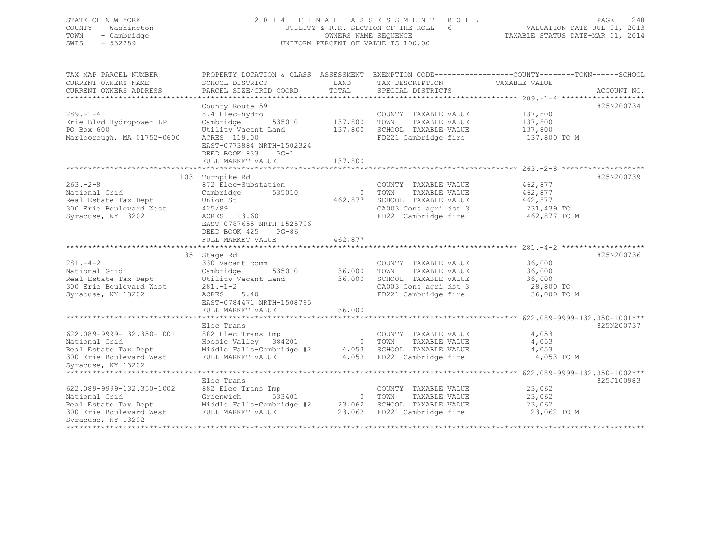# STATE OF NEW YORK 2 0 1 4 F I N A L A S S E S S M E N T R O L L PAGE 248 COUNTY - Washington UTILITY & R.R. SECTION OF THE ROLL - 6 VALUATION DATE-JUL 01, 2013 TOWN - Cambridge OWNERS NAME SEQUENCE TAXABLE STATUS DATE-MAR 01, 2014 SWIS - 532289 UNIFORM PERCENT OF VALUE IS 100.00

| TAX MAP PARCEL NUMBER<br>CURRENT OWNERS NAME<br>CURRENT OWNERS ADDRESS                                                                                                                      | PROPERTY LOCATION & CLASS ASSESSMENT EXEMPTION CODE-----------------COUNTY-------TOWN------SCHOOL<br>SCHOOL DISTRICT<br>PARCEL SIZE/GRID COORD                                  | LAND<br>TOTAL                 | TAX DESCRIPTION<br>SPECIAL DISTRICTS                                                                                     | TAXABLE VALUE                                               | ACCOUNT NO. |
|---------------------------------------------------------------------------------------------------------------------------------------------------------------------------------------------|---------------------------------------------------------------------------------------------------------------------------------------------------------------------------------|-------------------------------|--------------------------------------------------------------------------------------------------------------------------|-------------------------------------------------------------|-------------|
| $289. - 1 - 4$<br>Erie Blvd Hydropower LP<br>PO Box 600<br>Marlborough, MA 01752-0600                                                                                                       | County Route 59<br>874 Elec-hydro<br>535010<br>Cambridge<br>Utility Vacant Land<br>ACRES 119.00<br>EAST-0773884 NRTH-1502324<br>DEED BOOK 833 PG-1<br>FULL MARKET VALUE         | 137,800<br>137,800<br>137,800 | COUNTY TAXABLE VALUE<br>TAXABLE VALUE<br>TOWN<br>SCHOOL TAXABLE VALUE<br>FD221 Cambridge fire                            | 137,800<br>137,800<br>137,800<br>137,800 TO M               | 825N200734  |
|                                                                                                                                                                                             |                                                                                                                                                                                 |                               |                                                                                                                          |                                                             |             |
| $263 - 2 - 8$<br>National Grid<br>Real Estate Tax Dept<br>300 Erie Boulevard West<br>Syracuse, NY 13202                                                                                     | 1031 Turnpike Rd<br>872 Elec-Substation<br>Cambridge<br>535010<br>Union St<br>425/89<br>ACRES 13.60<br>EAST-0787655 NRTH-1525796<br>DEED BOOK 425<br>PG-86<br>FULL MARKET VALUE | 462,877<br>462,877            | COUNTY TAXABLE VALUE<br>0 TOWN<br>TAXABLE VALUE<br>SCHOOL TAXABLE VALUE<br>CA003 Cons agri dst 3<br>FD221 Cambridge fire | 462,877<br>462,877<br>462,877<br>231,439 TO<br>462,877 TO M | 825N200739  |
|                                                                                                                                                                                             | 351 Stage Rd                                                                                                                                                                    |                               |                                                                                                                          |                                                             | 825N200736  |
| $281 - 4 - 2$<br>National Grid<br>Real Estate Tax Dept<br>300 Erie Boulevard West<br>Syracuse, NY 13202                                                                                     | 330 Vacant comm<br>Cambridge<br>535010<br>Utility Vacant Land<br>$281 - 1 - 2$<br>ACRES 5.40<br>EAST-0784471 NRTH-1508795                                                       | 36,000<br>36,000              | COUNTY TAXABLE VALUE<br>TAXABLE VALUE<br>TOWN<br>SCHOOL TAXABLE VALUE<br>CA003 Cons agri dst 3<br>FD221 Cambridge fire   | 36,000<br>36,000<br>36,000<br>28,800 TO<br>36,000 TO M      |             |
|                                                                                                                                                                                             | FULL MARKET VALUE                                                                                                                                                               | 36,000                        |                                                                                                                          |                                                             |             |
| 622.089-9999-132.350-1001<br>National Grid<br>Real Estate Tax Dept<br>300 Erie Boulevard West                                                                                               | Elec Trans<br>882 Elec Trans Imp<br>Hoosic Valley 384201<br>Middle Falls-Cambridge #2<br>FULL MARKET VALUE                                                                      | 4,053                         | COUNTY TAXABLE VALUE<br>TAXABLE VALUE<br>0 TOWN<br>SCHOOL TAXABLE VALUE<br>4,053 FD221 Cambridge fire                    | 4,053<br>4,053<br>4,053<br>4,053 TO M                       | 825N200737  |
| Syracuse, NY 13202                                                                                                                                                                          |                                                                                                                                                                                 |                               |                                                                                                                          |                                                             |             |
| 622.089-9999-132.350-1002<br>National Grid<br>Real Estate Tax Dept Middle Falls-Cambridge #2 23,062 SCHOOL TAXABLE VALUE<br>300 Erie Boulevard West FULL MARKET VALUE<br>Syracuse, NY 13202 | Elec Trans<br>882 Elec Trans Imp<br>533401<br>Greenwich                                                                                                                         | 23,062                        | COUNTY TAXABLE VALUE<br>0 TOWN<br>TAXABLE VALUE<br>FD221 Cambridge fire                                                  | 23,062<br>23,062<br>23,062<br>23,062 TO M                   | 825J100983  |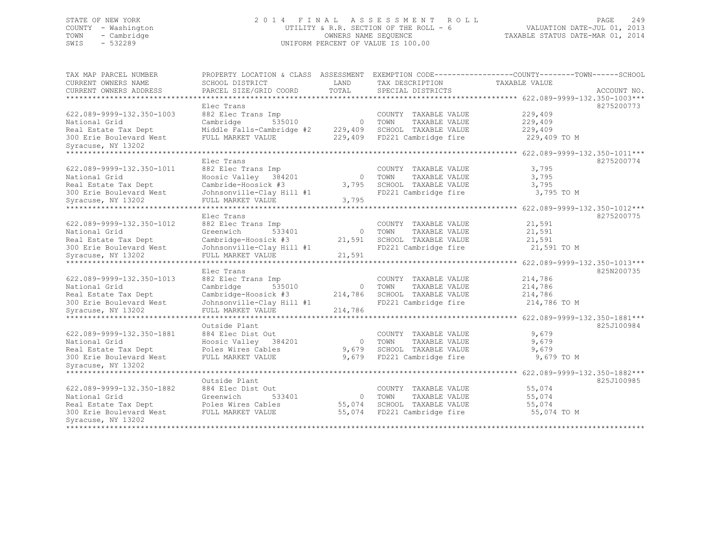# STATE OF NEW YORK 2 0 1 4 F I N A L A S S E S S M E N T R O L L PAGE 249 COUNTY - Washington UTILITY & R.R. SECTION OF THE ROLL - 6 VALUATION DATE-JUL 01, 2013 TOWN - Cambridge OWNERS NAME SEQUENCE TAXABLE STATUS DATE-MAR 01, 2014 SWIS - 532289 UNIFORM PERCENT OF VALUE IS 100.00

| TAX MAP PARCEL NUMBER<br>CURRENT OWNERS NAME | PROPERTY LOCATION & CLASS ASSESSMENT<br>SCHOOL DISTRICT | LAND           | EXEMPTION CODE----------------COUNTY-------TOWN------SCHOOL<br>TAX DESCRIPTION | TAXABLE VALUE                           |             |
|----------------------------------------------|---------------------------------------------------------|----------------|--------------------------------------------------------------------------------|-----------------------------------------|-------------|
| CURRENT OWNERS ADDRESS                       | PARCEL SIZE/GRID COORD                                  | TOTAL          | SPECIAL DISTRICTS                                                              |                                         | ACCOUNT NO. |
|                                              |                                                         |                |                                                                                |                                         |             |
|                                              | Elec Trans                                              |                |                                                                                |                                         | 8275200773  |
| 622.089-9999-132.350-1003                    | 882 Elec Trans Imp                                      |                | COUNTY TAXABLE VALUE                                                           | 229,409                                 |             |
| National Grid                                | Cambridge<br>535010                                     | $\overline{0}$ | TAXABLE VALUE<br>TOWN                                                          | 229,409                                 |             |
| Real Estate Tax Dept                         | Middle Falls-Cambridge #2                               | 229,409        | SCHOOL TAXABLE VALUE                                                           | 229,409                                 |             |
| 300 Erie Boulevard West                      | FULL MARKET VALUE                                       | 229,409        | FD221 Cambridge fire                                                           | 229,409 TO M                            |             |
| Syracuse, NY 13202                           |                                                         |                |                                                                                |                                         |             |
|                                              |                                                         |                |                                                                                | 622.089-9999-132.350-1011***            |             |
|                                              | Elec Trans                                              |                |                                                                                |                                         | 8275200774  |
| 622.089-9999-132.350-1011                    | 882 Elec Trans Imp                                      |                | COUNTY TAXABLE VALUE                                                           | 3,795                                   |             |
| National Grid                                | Hoosic Valley<br>384201                                 | $\Omega$       | TOWN<br>TAXABLE VALUE                                                          | 3,795                                   |             |
| Real Estate Tax Dept                         | Cambride-Hoosick #3                                     | 3,795          | SCHOOL TAXABLE VALUE                                                           | 3,795                                   |             |
| 300 Erie Boulevard West                      | Johnsonville-Clay Hill #1                               |                | FD221 Cambridge fire                                                           | 3,795 TO M                              |             |
| Syracuse, NY 13202                           | FULL MARKET VALUE                                       | 3,795          |                                                                                |                                         |             |
| ***************                              |                                                         |                |                                                                                | $******$ 622.089-9999-132.350-1012***   |             |
|                                              | Elec Trans                                              |                |                                                                                |                                         | 8275200775  |
| 622.089-9999-132.350-1012                    | 882 Elec Trans Imp                                      |                | COUNTY TAXABLE VALUE                                                           | 21,591                                  |             |
| National Grid                                | Greenwich<br>533401                                     | $\circ$        | TOWN<br>TAXABLE VALUE                                                          | 21,591                                  |             |
| Real Estate Tax Dept                         | Cambridge-Hoosick #3                                    | 21,591         | SCHOOL TAXABLE VALUE                                                           | 21,591                                  |             |
| 300 Erie Boulevard West                      | Johnsonville-Clay Hill #1                               |                | FD221 Cambridge fire                                                           | 21,591 TO M                             |             |
| Syracuse, NY 13202                           | FULL MARKET VALUE                                       | 21,591         |                                                                                |                                         |             |
|                                              | ******************                                      |                |                                                                                | ********** 622.089-9999-132.350-1013*** |             |
|                                              | Elec Trans                                              |                |                                                                                |                                         | 825N200735  |
| 622.089-9999-132.350-1013                    | 882 Elec Trans Imp                                      |                | COUNTY TAXABLE VALUE                                                           | 214,786                                 |             |
| National Grid                                | Cambridge<br>535010                                     | $\circ$        | TOWN<br>TAXABLE VALUE                                                          | 214,786                                 |             |
| Real Estate Tax Dept                         | Cambridge-Hoosick #3                                    | 214,786        | SCHOOL TAXABLE VALUE                                                           | 214,786                                 |             |
| 300 Erie Boulevard West                      | Johnsonville-Clay Hill #1                               |                | FD221 Cambridge fire                                                           | 214,786 TO M                            |             |
| Syracuse, NY 13202                           | FULL MARKET VALUE                                       | 214,786        |                                                                                |                                         |             |
|                                              |                                                         |                |                                                                                | 622.089-9999-132.350-1881***            |             |
|                                              | Outside Plant                                           |                |                                                                                |                                         | 825J100984  |
| 622.089-9999-132.350-1881                    | 884 Elec Dist Out                                       |                | COUNTY TAXABLE VALUE                                                           | 9,679                                   |             |
| National Grid                                | Hoosic Valley 384201                                    | $\circ$        | TAXABLE VALUE<br>TOWN                                                          | 9,679                                   |             |
| Real Estate Tax Dept                         | Poles Wires Cables                                      | 9,679          | SCHOOL TAXABLE VALUE                                                           | 9,679                                   |             |
| 300 Erie Boulevard West                      | FULL MARKET VALUE                                       | 9,679          | FD221 Cambridge fire                                                           | 9,679 TO M                              |             |
| Syracuse, NY 13202                           |                                                         |                |                                                                                |                                         |             |
| *********************                        |                                                         |                |                                                                                |                                         |             |
|                                              | Outside Plant                                           |                |                                                                                |                                         | 825J100985  |
| 622.089-9999-132.350-1882                    | 884 Elec Dist Out                                       |                | COUNTY TAXABLE VALUE                                                           | 55,074                                  |             |
| National Grid                                | Greenwich<br>533401                                     | $\circ$        | TOWN<br>TAXABLE VALUE                                                          | 55,074                                  |             |
| Real Estate Tax Dept                         | Poles Wires Cables                                      | 55,074         | SCHOOL TAXABLE VALUE                                                           | 55,074                                  |             |
| 300 Erie Boulevard West                      | FULL MARKET VALUE                                       | 55,074         | FD221 Cambridge fire                                                           | 55,074 TO M                             |             |
| Syracuse, NY 13202                           |                                                         |                |                                                                                |                                         |             |
| **************                               |                                                         |                |                                                                                |                                         |             |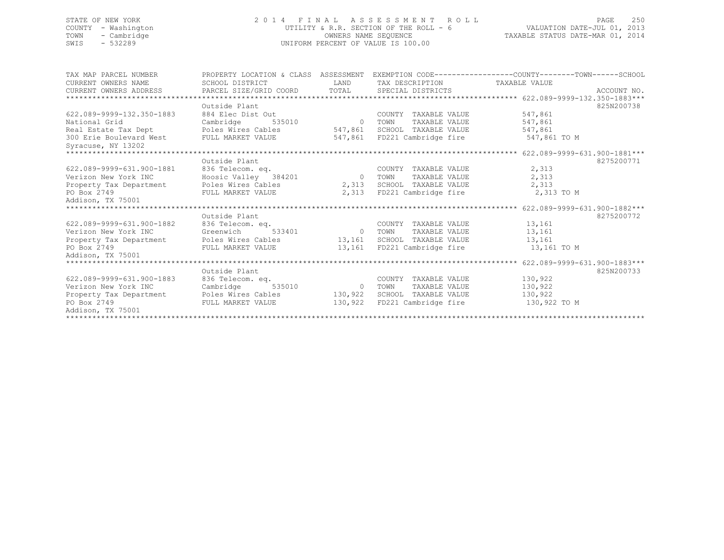# STATE OF NEW YORK 2 0 1 4 F I N A L A S S E S S M E N T R O L L PAGE 250 COUNTY - Washington UTILITY & R.R. SECTION OF THE ROLL - 6 VALUATION DATE-JUL 01, 2013 TOWN - Cambridge OWNERS NAME SEQUENCE TAXABLE STATUS DATE-MAR 01, 2014 SWIS - 532289 UNIFORM PERCENT OF VALUE IS 100.00

| TAX MAP PARCEL NUMBER                   | PROPERTY LOCATION & CLASS ASSESSMENT EXEMPTION CODE----------------COUNTY-------TOWN-----SCHOOL |          |                               |              |            |
|-----------------------------------------|-------------------------------------------------------------------------------------------------|----------|-------------------------------|--------------|------------|
| CURRENT OWNERS NAME                     | SCHOOL DISTRICT                                                                                 | LAND     | TAX DESCRIPTION TAXABLE VALUE |              |            |
|                                         |                                                                                                 |          |                               |              |            |
|                                         |                                                                                                 |          |                               |              |            |
|                                         | Outside Plant                                                                                   |          |                               |              | 825N200738 |
| 622.089-9999-132.350-1883               | 884 Elec Dist Out                                                                               |          | COUNTY TAXABLE VALUE          | 547,861      |            |
| National Grid                           | Cambridge                                                                                       | 535010 0 | TAXABLE VALUE<br>TOWN         | 547,861      |            |
| Real Estate Tax Dept Poles Wires Cables |                                                                                                 | 547,861  | SCHOOL TAXABLE VALUE          | 547,861      |            |
| 300 Erie Boulevard West                 | FULL MARKET VALUE                                                                               |          | 547,861 FD221 Cambridge fire  | 547,861 TO M |            |
| Syracuse, NY 13202                      |                                                                                                 |          |                               |              |            |
|                                         |                                                                                                 |          |                               |              |            |
|                                         | Outside Plant                                                                                   |          |                               |              | 8275200771 |
| 622.089-9999-631.900-1881               | Hoosic Valley 384201<br>Roosic Valley 384201<br>Roles Wires 200                                 |          | COUNTY TAXABLE VALUE          | 2,313        |            |
| Verizon New York INC                    |                                                                                                 |          | 0 TOWN<br>TAXABLE VALUE       | 2,313        |            |
| Property Tax Department                 | Poles Wires Cables                                                                              |          | 2,313 SCHOOL TAXABLE VALUE    | 2,313        |            |
| PO Box 2749                             | FULL MARKET VALUE                                                                               |          | 2,313 FD221 Cambridge fire    | 2,313 TO M   |            |
| Addison, TX 75001                       |                                                                                                 |          |                               |              |            |
|                                         |                                                                                                 |          |                               |              |            |
|                                         | Outside Plant                                                                                   |          |                               |              | 8275200772 |
| 622.089-9999-631.900-1882               | 836 Telecom. eq.                                                                                |          | COUNTY TAXABLE VALUE          | 13,161       |            |
| Verizon New York INC                    | Greenwich                                                                                       | 533401 0 | TOWN<br>TAXABLE VALUE         | 13,161       |            |
| Property Tax Department                 | Poles Wires Cables                                                                              |          | 13,161 SCHOOL TAXABLE VALUE   | 13,161       |            |
| PO Box 2749                             | FULL MARKET VALUE                                                                               |          | 13,161 FD221 Cambridge fire   | 13,161 TO M  |            |
| Addison, TX 75001                       |                                                                                                 |          |                               |              |            |
|                                         |                                                                                                 |          |                               |              |            |
|                                         | Outside Plant                                                                                   |          |                               |              | 825N200733 |
| 622.089-9999-631.900-1883               | 836 Telecom. eq.                                                                                |          | COUNTY TAXABLE VALUE          | 130,922      |            |
| Verizon New York INC                    | Cambridge<br>535010                                                                             | 0 TOWN   | TAXABLE VALUE                 | 130,922      |            |
| Property Tax Department                 | Poles Wires Cables                                                                              | 130,922  | SCHOOL TAXABLE VALUE          | 130,922      |            |
| PO Box 2749                             | FULL MARKET VALUE                                                                               | 130,922  | FD221 Cambridge fire          | 130,922 TO M |            |
| Addison, TX 75001                       |                                                                                                 |          |                               |              |            |
|                                         |                                                                                                 |          |                               |              |            |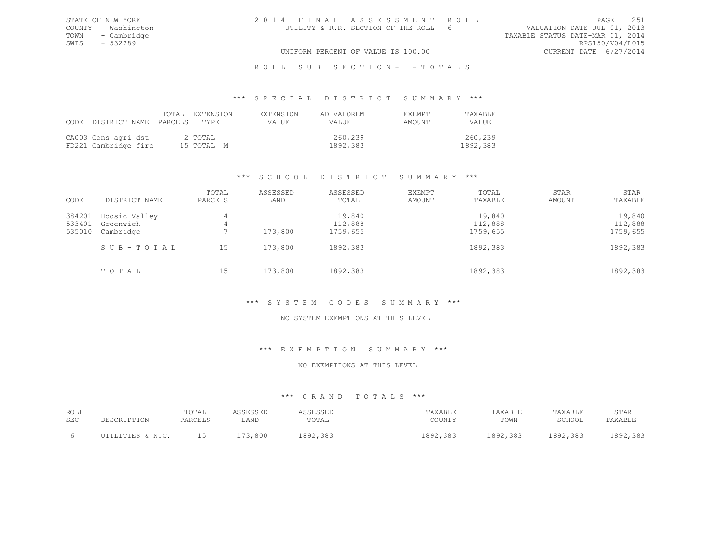# ROLL SUB SECTION- - TOTALS

#### \*\*\* S P E C I A L D I S T R I C T S U M M A R Y \*\*\*

| CODE DISTRICT NAME PARCELS TYPE             |  | TOTAL EXTENSION       | <b>EXTENSION</b><br>VALUE. | AD VALOREM<br><b>VALUE</b> | EXEMPT<br>AMOUNT | TAXABLE<br>VALUE.   |
|---------------------------------------------|--|-----------------------|----------------------------|----------------------------|------------------|---------------------|
| CA003 Cons agri dst<br>FD221 Cambridge fire |  | 2 TOTAL<br>15 TOTAL M |                            | 260,239<br>1892,383        |                  | 260,239<br>1892,383 |

# \*\*\* S C H O O L D I S T R I C T S U M M A R Y \*\*\*

| CODE                       | DISTRICT NAME                           | TOTAL<br>PARCELS | ASSESSED<br>LAND | ASSESSED<br>TOTAL             | EXEMPT<br>AMOUNT | TOTAL<br>TAXABLE              | STAR<br>AMOUNT | STAR<br>TAXABLE               |
|----------------------------|-----------------------------------------|------------------|------------------|-------------------------------|------------------|-------------------------------|----------------|-------------------------------|
| 384201<br>533401<br>535010 | Hoosic Valley<br>Greenwich<br>Cambridge | 4<br>4           | 173,800          | 19,840<br>112,888<br>1759,655 |                  | 19,840<br>112,888<br>1759,655 |                | 19,840<br>112,888<br>1759,655 |
|                            | SUB-TOTAL                               | 15               | 173,800          | 1892,383                      |                  | 1892,383                      |                | 1892,383                      |
|                            | TOTAL                                   | 15               | 173,800          | 1892,383                      |                  | 1892,383                      |                | 1892,383                      |

### \*\*\* S Y S T E M C O D E S S U M M A R Y \*\*\*

### NO SYSTEM EXEMPTIONS AT THIS LEVEL

#### \*\*\* E X E M P T I O N S U M M A R Y \*\*\*

#### NO EXEMPTIONS AT THIS LEVEL

#### \*\*\* G R A N D T O T A L S \*\*\*

| ROLL<br><b>SEC</b> | DESCRIPTION      | TOTAL<br>PARCELS | LAND                 | SESSED<br>TOTAL | TAXABLE<br>COUNTY              | TAXABLE<br>TOWN | TAXABLE<br>SCHOOL | STAR<br>TAXABLE                 |
|--------------------|------------------|------------------|----------------------|-----------------|--------------------------------|-----------------|-------------------|---------------------------------|
|                    | TTTES & N C<br>. | ∸∽               | $-1$<br>3,800<br>- 1 | 38<br>. 892     | 383<br>1000<br>10 <i>01000</i> | 1892,383        | 1892,383          | 383<br>002<br>10 <i>12,</i> 000 |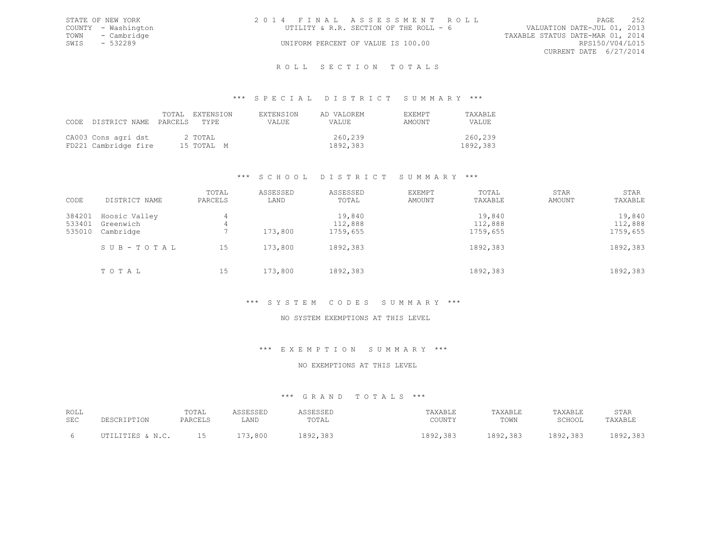|      | STATE OF NEW YORK   | 2014 FINAL ASSESSMENT ROLL             |                             | PAGE | 2.52 |
|------|---------------------|----------------------------------------|-----------------------------|------|------|
|      | COUNTY - Washington | UTILITY & R.R. SECTION OF THE ROLL - 6 | VALUATION DATE-JUL 01, 2013 |      |      |
|      | TOWN - Cambridge    | TAXABLE STATUS DATE-MAR 01, 2014       |                             |      |      |
| SWIS | - 532289            | UNIFORM PERCENT OF VALUE IS 100.00     | RPS150/V04/L015             |      |      |
|      |                     |                                        | CURRENT DATE 6/27/2014      |      |      |
|      |                     |                                        |                             |      |      |

#### R O L L S E C T I O N T O T A L S

#### \*\*\* S P E C I A L D I S T R I C T S U M M A R Y \*\*\*

| CODE | DISTRICT NAME PARCELS TYPE                  |  | TOTAL EXTENSION       | <b>EXTENSION</b><br>VALUE. | AD VALOREM<br><b>VALUE</b> | EXEMPT<br>AMOUNT | TAXABLE<br>VALUE.   |
|------|---------------------------------------------|--|-----------------------|----------------------------|----------------------------|------------------|---------------------|
|      | CA003 Cons agri dst<br>FD221 Cambridge fire |  | 2 TOTAL<br>15 TOTAL M |                            | 260,239<br>1892,383        |                  | 260,239<br>1892,383 |

# \*\*\* S C H O O L D I S T R I C T S U M M A R Y \*\*\*

| CODE             | DISTRICT NAME          | TOTAL<br>PARCELS | ASSESSED<br>LAND | ASSESSED<br>TOTAL   | <b>EXEMPT</b><br>AMOUNT | TOTAL<br>TAXABLE    | STAR<br>AMOUNT | STAR<br>TAXABLE     |
|------------------|------------------------|------------------|------------------|---------------------|-------------------------|---------------------|----------------|---------------------|
| 384201           | Hoosic Valley          | 4                |                  | 19,840              |                         | 19,840              |                | 19,840              |
| 533401<br>535010 | Greenwich<br>Cambridge | 4                | 173,800          | 112,888<br>1759,655 |                         | 112,888<br>1759,655 |                | 112,888<br>1759,655 |
|                  | SUB-TOTAL              | 15               | 173,800          | 1892,383            |                         | 1892,383            |                | 1892,383            |
|                  | TOTAL                  | 15               | 173,800          | 1892,383            |                         | 1892,383            |                | 1892,383            |

# \*\*\* S Y S T E M C O D E S S U M M A R Y \*\*\*

# NO SYSTEM EXEMPTIONS AT THIS LEVEL

#### \*\*\* E X E M P T I O N S U M M A R Y \*\*\*

#### NO EXEMPTIONS AT THIS LEVEL

#### \*\*\* G R A N D T O T A L S \*\*\*

| ROLL<br><b>SEC</b> | DESCRIPTION       | TOTAL<br>PARCELS | LAND               | SESSEL<br>TOTAL | TAXABLE<br>COUNTY                 | TAXABLE<br>TOWN | TAXABLE<br>SCHOOL | STAR<br>TAXABLE           |
|--------------------|-------------------|------------------|--------------------|-----------------|-----------------------------------|-----------------|-------------------|---------------------------|
|                    | TTTTES & N C<br>. | ∸∽               | $-1$<br>800<br>- 1 | . മേറ           | $-397$<br>1000<br>10 <i>01000</i> | 1892,383        | 1892,383          | 303<br>, 000.<br>エロンムテンロン |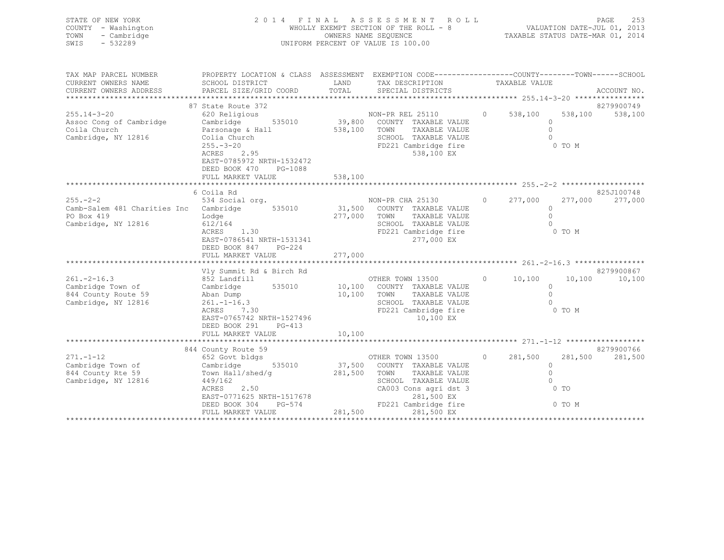| STATE OF NEW YORK<br>COUNTY - Washington<br>- Cambridge<br>TOWN<br>$-532289$<br>SWIS                                                            | 2 0 1 4<br>FINAL                                                                                                                                                                                         |         | ASSESSMENT ROLL<br>WHOLLY EXEMPT SECTION OF THE ROLL - 8<br>TAXABLE STATUS DATE-MAR 01, 2014<br>OWNERS NAME SEOUENCE<br>UNIFORM PERCENT OF VALUE IS 100.00 |                | VALUATION DATE-JUL 01, 2013 |                   | 253<br>PAGE           |
|-------------------------------------------------------------------------------------------------------------------------------------------------|----------------------------------------------------------------------------------------------------------------------------------------------------------------------------------------------------------|---------|------------------------------------------------------------------------------------------------------------------------------------------------------------|----------------|-----------------------------|-------------------|-----------------------|
| TAX MAP PARCEL NUMBER THE PROPERTY LOCATION & CLASS ASSESSMENT EXEMPTION CODE--------------COUNTY-------TOWN------SCHOOL<br>CURRENT OWNERS NAME | SCHOOL DISTRICT                                                                                                                                                                                          |         | LAND TAX DESCRIPTION TAXABLE VALUE                                                                                                                         |                |                             |                   |                       |
|                                                                                                                                                 | 87 State Route 372                                                                                                                                                                                       |         |                                                                                                                                                            |                |                             |                   | 8279900749            |
| $255.14 - 3 - 20$<br>Assoc Cong of Cambridge<br>Coila Church<br>Cambridge, NY 12816                                                             | 620 Religious<br>Cambridge 535010 39,800 COUNTY TAXABLE VALUE<br>Parsonage & Hall 538,100 TOWN<br>Colia Church<br>$255. - 3 - 20$<br>ACRES 2.95<br>EAST-0785972 NRTH-1532472<br>DEED BOOK 470<br>PG-1088 |         | NON-PR REL 25110<br>TAXABLE VALUE<br>SCHOOL TAXABLE VALUE<br>FD221 Cambridge fire<br>538,100 EX                                                            | $\overline{0}$ | 538,100<br>$\circ$          | 538,100<br>0 TO M | 538,100               |
|                                                                                                                                                 | FULL MARKET VALUE                                                                                                                                                                                        | 538,100 |                                                                                                                                                            |                |                             |                   |                       |
| $255. - 2 - 2$<br>Camb-Salem 481 Charities Inc                                                                                                  | 6 Coila Rd<br>534 Social org.<br>Cambridge 535010 31,500 COUNTY TAXABLE VALUE                                                                                                                            |         | NON-PR CHA 25130 0                                                                                                                                         |                | 277,000<br>$\Omega$         | 277,000           | 825J100748<br>277,000 |
| PO Box 419<br>Cambridge, NY 12816                                                                                                               | Lodge<br>612/164<br>1.30<br>ACRES<br>EAST-0786541 NRTH-1531341                                                                                                                                           | 277,000 | TOWN<br>TAXABLE VALUE<br>TAXABLE VALUE<br>SCHOOL<br>FD221 Cambridge fire<br>277,000 EX                                                                     |                | $\circ$                     | 0 TO M            |                       |

|                     | DEED BOOK 847<br>FULL MARKET VALUE | PG-224 | 277,000 |                  |                       |          |         |                |            |
|---------------------|------------------------------------|--------|---------|------------------|-----------------------|----------|---------|----------------|------------|
|                     | Vly Summit Rd & Birch Rd           |        |         |                  |                       |          |         |                | 8279900867 |
| $261 - 2 - 16.3$    | 852 Landfill                       |        |         | OTHER TOWN 13500 |                       | $\circ$  | 10,100  | 10,100         | 10,100     |
| Cambridge Town of   | Cambridge                          | 535010 | 10,100  |                  | COUNTY TAXABLE VALUE  |          |         |                |            |
| 844 County Route 59 | Aban Dump                          |        | 10,100  | TOWN             | TAXABLE VALUE         |          |         |                |            |
| Cambridge, NY 12816 | $261. - 1 - 16.3$                  |        |         | SCHOOL           | TAXABLE VALUE         |          |         |                |            |
|                     | 7.30<br>ACRES                      |        |         |                  | FD221 Cambridge fire  |          |         | 0 TO M         |            |
|                     | EAST-0765742 NRTH-1527496          |        |         |                  | 10,100 EX             |          |         |                |            |
|                     | DEED BOOK 291                      | PG-413 |         |                  |                       |          |         |                |            |
|                     | FULL MARKET VALUE                  |        | 10,100  |                  |                       |          |         |                |            |
|                     |                                    |        |         |                  |                       |          |         |                |            |
|                     | 844 County Route 59                |        |         |                  |                       |          |         |                | 8279900766 |
| $271 - 1 - 12$      | 652 Govt bldgs                     |        |         | OTHER TOWN 13500 |                       | $\Omega$ | 281,500 | 281,500        | 281,500    |
| Cambridge Town of   | Cambridge 535010                   |        | 37,500  |                  | COUNTY TAXABLE VALUE  |          |         |                |            |
| 844 County Rte 59   | Town Hall/shed/q                   |        | 281,500 | TOWN             | TAXABLE VALUE         |          |         |                |            |
| Cambridge, NY 12816 | 449/162                            |        |         | SCHOOL           | TAXABLE VALUE         |          |         |                |            |
|                     | 2.50<br>ACRES                      |        |         |                  | CA003 Cons agri dst 3 |          |         | 0 <sub>T</sub> |            |
|                     | EAST-0771625 NRTH-1517678          |        |         |                  | 281,500 EX            |          |         |                |            |
|                     | DEED BOOK 304                      | PG-574 |         |                  | FD221 Cambridge fire  |          |         | 0 TO M         |            |
|                     | FULL MARKET VALUE                  |        | 281,500 |                  | 281,500 EX            |          |         |                |            |
|                     |                                    |        |         |                  |                       |          |         |                |            |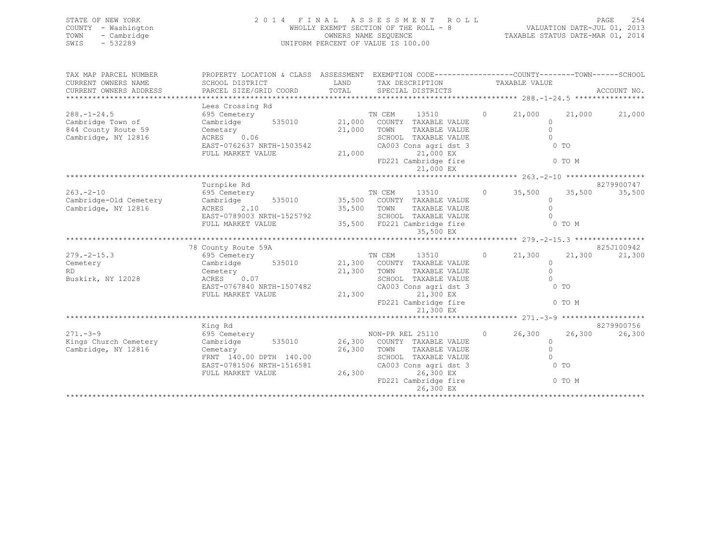| STATE OF NEW YORK   | 2014 FINAL ASSESSMENT ROLL            | 2.54<br>PAGE                     |
|---------------------|---------------------------------------|----------------------------------|
| COUNTY - Washington | WHOLLY EXEMPT SECTION OF THE ROLL - 8 | VALUATION DATE-JUL 01, 2013      |
| TOWN - Cambridge    | OWNERS NAME SEOUENCE                  | TAXABLE STATUS DATE-MAR 01, 2014 |
| - 532289<br>SWTS    | UNIFORM PERCENT OF VALUE IS 100.00    |                                  |
|                     |                                       |                                  |

| TAX MAP PARCEL NUMBER  | PROPERTY LOCATION & CLASS ASSESSMENT EXEMPTION CODE----------------COUNTY-------TOWN-----SCHOOL                                                                 |        |                                |                |        |               |
|------------------------|-----------------------------------------------------------------------------------------------------------------------------------------------------------------|--------|--------------------------------|----------------|--------|---------------|
| CURRENT OWNERS NAME    | SCHOOL DISTRICT                    LAND       TAX DESCRIPTION                 TAXABLE VALUE                                                                     |        |                                |                |        |               |
| CURRENT OWNERS ADDRESS |                                                                                                                                                                 |        |                                |                |        |               |
|                        |                                                                                                                                                                 |        |                                |                |        |               |
|                        |                                                                                                                                                                 |        |                                |                |        |               |
| $288. - 1 - 24.5$      |                                                                                                                                                                 |        | TN CEM 13510 0 21,000 21,000   |                |        | 21,000        |
| Cambridge Town of      |                                                                                                                                                                 |        |                                | $\Omega$       |        |               |
| 844 County Route 59    |                                                                                                                                                                 |        |                                | $\bigcirc$     |        |               |
| Cambridge, NY 12816    |                                                                                                                                                                 |        |                                | $\bigcirc$     |        |               |
|                        | Cemetary 21,000 TOWN TAXABLE VALUE<br>ACRES 0.06 SCHOOL TAXABLE VALUE<br>EAST-0762637 NRTH-1503542 CA003 Cons agri dst 3<br>FULL MARKET VALUE 21,000 21,000 EX  |        |                                | $0$ TO         |        |               |
|                        |                                                                                                                                                                 |        |                                |                |        |               |
|                        |                                                                                                                                                                 |        | FD221 Cambridge fire 0 TO M    |                |        |               |
|                        |                                                                                                                                                                 |        | 21,000 EX                      |                |        |               |
|                        |                                                                                                                                                                 |        |                                |                |        |               |
|                        | Turnpike Rd                                                                                                                                                     |        |                                |                |        | 8279900747    |
|                        | 263.-2-10 695 Cemetery 695 Cemetery 71 CEM 13510<br>Cambridge-Old Cemetery Cambridge 535010 35,500 COUNTY TAXABLE VALUE                                         |        | TN CEM 13510 0 35,500 35,500   |                |        | 35,500        |
|                        |                                                                                                                                                                 |        |                                | $\Omega$       |        |               |
| Cambridge, NY 12816    |                                                                                                                                                                 |        |                                |                |        |               |
|                        |                                                                                                                                                                 |        |                                |                |        |               |
|                        | ACRES 2.10 35,500 TOWN TAXABLE VALUE 0<br>EAST-0789003 NRTH-1525792 SCHOOL TAXABLE VALUE 0<br>FULL MARKET VALUE 35,500 FD221 Cambridge fire 0 TO M              |        |                                |                |        |               |
|                        |                                                                                                                                                                 |        |                                |                |        |               |
|                        |                                                                                                                                                                 |        |                                |                |        |               |
|                        | 78 County Route 59A                                                                                                                                             |        |                                |                |        | 825J100942    |
| $279. - 2 - 15.3$      | Councy Notate 535010<br>Cambridge 535010 21,300 COUNTY TAXABLE VALUE                                                                                            |        | TN CEM 13510 0 21,300          |                |        | 21,300 21,300 |
| Cemetery               |                                                                                                                                                                 |        | TAXABLE VALUE<br>TAXABLE VALUE | $\Omega$       |        |               |
| RD.                    |                                                                                                                                                                 |        |                                | $\Omega$       |        |               |
| Buskirk, NY 12028      | Cemetery<br>ACRES 0.07<br>EAST-0767840 NRTH-1507482 CA003 Cor<br>FULL MARKET VALUE 21,300                                                                       |        | SCHOOL TAXABLE VALUE           | $\bigcap$      |        |               |
|                        |                                                                                                                                                                 |        | CA003 Cons agri dst 3          | $0$ TO         |        |               |
|                        |                                                                                                                                                                 |        | 21,300 EX                      |                |        |               |
|                        |                                                                                                                                                                 |        | FD221 Cambridge fire 0 TO M    |                |        |               |
|                        |                                                                                                                                                                 |        |                                |                |        |               |
|                        |                                                                                                                                                                 |        |                                |                |        |               |
|                        | King Rd                                                                                                                                                         |        |                                |                |        | 8279900756    |
| $271 - 3 - 9$          | 595 Cemetery<br>695 Cemetery<br>Cambridge 535010 26,300 COUNTY TAXABLE VALUE 0 26,300 26,300                                                                    |        |                                |                |        | 26,300        |
| Kings Church Cemetery  |                                                                                                                                                                 |        |                                |                |        |               |
| Cambridge, NY 12816    | Cemetary<br>FRNT 140.00 DPTH 140.00 26,300 TOWN TAXABLE VALUE<br>FRNT 140.00 DPTH 140.00 SCHOOL TAXABLE VALUE<br>EAST-0781506 NRTH-1516581 CA003 Cons agridst 3 |        |                                | $\bigcirc$     |        |               |
|                        |                                                                                                                                                                 |        |                                | $\overline{0}$ |        |               |
|                        |                                                                                                                                                                 |        |                                | $0$ TO         |        |               |
|                        | FULL MARKET VALUE                                                                                                                                               | 26,300 | 26,300 EX                      |                |        |               |
|                        |                                                                                                                                                                 |        | FD221 Cambridge fire           |                | 0 TO M |               |
|                        |                                                                                                                                                                 |        |                                |                |        |               |
|                        |                                                                                                                                                                 |        |                                |                |        |               |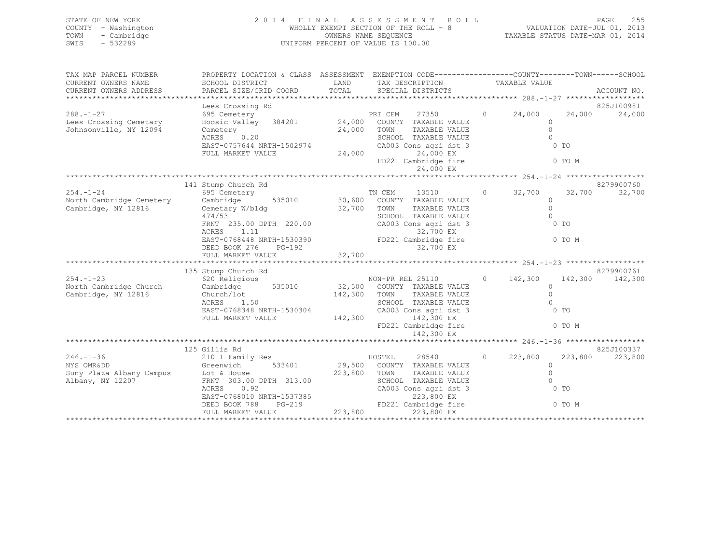| STATE OF NEW YORK   | 2014 FINAL ASSESSMENT ROLL            |                                  | PAGE | - 255 |
|---------------------|---------------------------------------|----------------------------------|------|-------|
| COUNTY - Washington | WHOLLY EXEMPT SECTION OF THE ROLL - 8 | VALUATION DATE-JUL 01, 2013      |      |       |
| TOWN - Cambridge    | OWNERS NAME SEOUENCE                  | TAXABLE STATUS DATE-MAR 01, 2014 |      |       |
| - 532289<br>SWIS    | UNIFORM PERCENT OF VALUE IS 100.00    |                                  |      |       |
|                     |                                       |                                  |      |       |

| TAX MAP PARCEL NUMBER    | PROPERTY LOCATION & CLASS ASSESSMENT EXEMPTION CODE----------------COUNTY-------TOWN------SCHOOL                                                                                                                                 |                                                                                       |                                       |                |                         |                 |
|--------------------------|----------------------------------------------------------------------------------------------------------------------------------------------------------------------------------------------------------------------------------|---------------------------------------------------------------------------------------|---------------------------------------|----------------|-------------------------|-----------------|
| CURRENT OWNERS NAME      | SCHOOL DISTRICT                                                                                                                                                                                                                  | LAND TAX DESCRIPTION TAXABLE VALUE                                                    |                                       |                |                         |                 |
| CURRENT OWNERS ADDRESS   |                                                                                                                                                                                                                                  |                                                                                       |                                       |                |                         |                 |
|                          |                                                                                                                                                                                                                                  |                                                                                       |                                       |                |                         | 825J100981      |
| $288. - 1 - 27$          | Ees Crossing Rd<br>Ees Crossing Rd<br>695 Cemetery<br>Hoosic Valley 384201 24,000 COUNTY TAXABLE VALUE<br>- Change Calley 384201 24,000 TOWN TAXABLE VALUE                                                                       |                                                                                       | 27350 000                             |                | $0 \t 24,000 \t 24,000$ | 24,000          |
| Lees Crossing Cemetary   |                                                                                                                                                                                                                                  |                                                                                       |                                       |                | $\circ$                 |                 |
| Johnsonville, NY 12094   |                                                                                                                                                                                                                                  |                                                                                       |                                       |                | $\Omega$                |                 |
|                          |                                                                                                                                                                                                                                  |                                                                                       |                                       |                | $\bigcap$               |                 |
|                          | ACKES U.20<br>EAST-0757644 NRTH-1502974<br>FULL MARKET VALUE 24,000 24,000 EX                                                                                                                                                    |                                                                                       |                                       |                | $0$ TO                  |                 |
|                          |                                                                                                                                                                                                                                  |                                                                                       | FD221 Cambridge fire 0 TO M           |                |                         |                 |
|                          |                                                                                                                                                                                                                                  |                                                                                       | 24,000 EX                             |                |                         |                 |
|                          |                                                                                                                                                                                                                                  |                                                                                       |                                       |                |                         |                 |
|                          | 141 Stump Church Rd                                                                                                                                                                                                              |                                                                                       |                                       |                |                         | 8279900760      |
| $254. - 1 - 24$          | 695 Cemetery                                                                                                                                                                                                                     | Fraggeright CDM Number of the Magnus of the Magnus S35010 30,600 COUNTY TAXABLE VALUE |                                       | $0 \t 32,700$  | 32,700                  | 32,700          |
| North Cambridge Cemetery | Cambridge                                                                                                                                                                                                                        |                                                                                       |                                       |                | $\Omega$<br>$\Omega$    |                 |
| Cambridge, NY 12816      | Cemetary W/bldg 32,700 TOWN<br>474/53                                                                                                                                                                                            |                                                                                       | TAXABLE VALUE<br>SCHOOL TAXABLE VALUE |                | $\bigcirc$              |                 |
|                          |                                                                                                                                                                                                                                  |                                                                                       |                                       |                | 0 <sub>T</sub>          |                 |
|                          | FRNT 235.00 DPTH 220.00<br>ACRES 1.11 32.700 FX                                                                                                                                                                                  |                                                                                       |                                       |                |                         |                 |
|                          | ACRES 1.11 32,700 EX<br>EAST-0768448 NRTH-1530390 FD221 Cambridge fire 0 TO M<br>DEED BOOK 276 PG-192 32,700 EX<br>FULL MARKET VALUE 32,700                                                                                      |                                                                                       |                                       |                |                         |                 |
|                          |                                                                                                                                                                                                                                  |                                                                                       |                                       |                |                         |                 |
|                          |                                                                                                                                                                                                                                  |                                                                                       |                                       |                |                         |                 |
|                          |                                                                                                                                                                                                                                  |                                                                                       |                                       |                |                         | 8279900761      |
|                          |                                                                                                                                                                                                                                  |                                                                                       |                                       |                |                         | 142,300 142,300 |
|                          |                                                                                                                                                                                                                                  |                                                                                       |                                       |                |                         |                 |
|                          | 254.-1-23 620 Religious MON-PR REL 25110 0 142,300<br>North Cambridge Church Cambridge 535010 32,500 COUNTY TAXABLE VALUE 0<br>Cambridge, NY 12816 Church/lot 142,300 Torm -----<br>Church/lot<br>ACRES 1.50                     |                                                                                       |                                       |                |                         |                 |
|                          |                                                                                                                                                                                                                                  |                                                                                       |                                       |                | $\bigcap$               |                 |
|                          | EAST-0768348 NRTH-1530304<br>FULL MARKET VALUE 142,300 142,300 EX                                                                                                                                                                | SCHOOL TAAADDD WALLED<br>CA003 Cons agridst 3                                         |                                       |                | 0 <sub>T</sub>          |                 |
|                          |                                                                                                                                                                                                                                  |                                                                                       | FD221 Cambridge fire 6 0 TO M         |                |                         |                 |
|                          |                                                                                                                                                                                                                                  |                                                                                       | 142,300 EX                            |                |                         |                 |
|                          |                                                                                                                                                                                                                                  |                                                                                       |                                       |                |                         |                 |
|                          | 125 Gillis Rd                                                                                                                                                                                                                    |                                                                                       |                                       |                |                         | 825J100337      |
| $246. - 1 - 36$          | on the control of the control of the control of the control of the control of the control of the control of the<br>Separate control of the control of the control of the control of the control of the control of the control of |                                                                                       | 28540                                 | $0 \t 223,800$ | 223,800                 | 223,800         |
| NYS OMRⅅ                 | Greenwich                                                                                                                                                                                                                        | 533401 29,500 COUNTY TAXABLE VALUE                                                    |                                       |                | $\Omega$                |                 |
|                          | Suny Plaza Albany Campus<br>Albany, NY 12207 TENT 303.00 DPTH 313.00 223,800 TOWN<br>ACRES 0.92 CA003                                                                                                                            |                                                                                       | TAXABLE VALUE                         |                | $\circ$<br>$\Omega$     |                 |
|                          | ACRES<br>0.92                                                                                                                                                                                                                    |                                                                                       |                                       |                | $\sim$ 0 TO             |                 |
|                          |                                                                                                                                                                                                                                  |                                                                                       |                                       |                |                         |                 |
|                          |                                                                                                                                                                                                                                  |                                                                                       |                                       |                |                         |                 |
|                          |                                                                                                                                                                                                                                  |                                                                                       |                                       |                |                         |                 |
|                          |                                                                                                                                                                                                                                  |                                                                                       |                                       |                |                         |                 |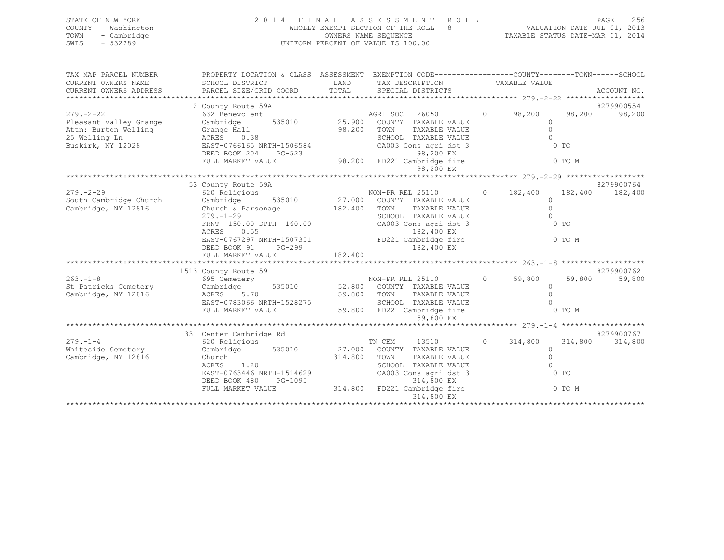| STATE OF NEW YORK   | 2014 FINAL ASSESSMENT ROLL            | - 256<br><b>PAGE</b>             |
|---------------------|---------------------------------------|----------------------------------|
| COUNTY - Washington | WHOLLY EXEMPT SECTION OF THE ROLL - 8 | VALUATION DATE-JUL 01, 2013      |
| - Cambridge<br>TOWN | OWNERS NAME SEQUENCE                  | TAXABLE STATUS DATE-MAR 01, 2014 |
| $-532289$<br>SWIS   | UNIFORM PERCENT OF VALUE IS 100.00    |                                  |
|                     |                                       |                                  |
|                     |                                       |                                  |

| TAX MAP PARCEL NUMBER  | PROPERTY LOCATION & CLASS ASSESSMENT EXEMPTION CODE----------------COUNTY-------TOWN-----SCHOOL                                                                                                                                                  |                                    |                                                   |                           |            |
|------------------------|--------------------------------------------------------------------------------------------------------------------------------------------------------------------------------------------------------------------------------------------------|------------------------------------|---------------------------------------------------|---------------------------|------------|
| CURRENT OWNERS NAME    | SCHOOL DISTRICT                                                                                                                                                                                                                                  | LAND TAX DESCRIPTION TAXABLE VALUE |                                                   |                           |            |
| CURRENT OWNERS ADDRESS |                                                                                                                                                                                                                                                  |                                    |                                                   |                           |            |
|                        |                                                                                                                                                                                                                                                  |                                    |                                                   |                           |            |
|                        | 2 County Route 59A                                                                                                                                                                                                                               |                                    |                                                   |                           | 8279900554 |
| $279. - 2 - 22$        | 632 Benevolent                                                                                                                                                                                                                                   | AGRI SOC 26050 0 98,200 98,200     |                                                   |                           | 98,200     |
|                        |                                                                                                                                                                                                                                                  | 535010 25,900 COUNTY TAXABLE VALUE |                                                   | $\Omega$                  |            |
|                        |                                                                                                                                                                                                                                                  | 98,200 TOWN<br>SCHOC               | TOWN      TAXABLE VALUE<br>SCHOOL   TAXABLE VALUE | $\circ$                   |            |
|                        | Pleasant Valley Grange Cambridge 535010 25,900<br>Attn: Burton Welling Grange Hall 98,200<br>25 Welling Ln ACRES 0.38<br>Buskirk, NY 12028 EAST-0766165 NRTH-1506584                                                                             |                                    |                                                   | $\overline{0}$            |            |
|                        |                                                                                                                                                                                                                                                  |                                    | CA003 Cons agri dst 3                             | $\sim$ 0 TO               |            |
|                        | DEED BOOK 204 PG-523 98,200 EX<br>FULL MARKET VALUE 98,200 FD221 Cambridge fire 0 0 TO M                                                                                                                                                         |                                    |                                                   |                           |            |
|                        |                                                                                                                                                                                                                                                  |                                    |                                                   |                           |            |
|                        |                                                                                                                                                                                                                                                  |                                    | 98,200 EX                                         |                           |            |
|                        | 53 County Route 59A                                                                                                                                                                                                                              |                                    |                                                   |                           | 8279900764 |
|                        |                                                                                                                                                                                                                                                  |                                    |                                                   |                           |            |
|                        |                                                                                                                                                                                                                                                  |                                    |                                                   |                           |            |
| Cambridge, NY 12816    | Church & Parsonage 182,400 TOWN                                                                                                                                                                                                                  |                                    | TAXABLE VALUE                                     | $\Omega$                  |            |
|                        | $279. - 1 - 29$                                                                                                                                                                                                                                  |                                    | SCHOOL TAXABLE VALUE                              | $\Omega$                  |            |
|                        | 279.-1-29<br>FRNT 150.00 DPTH 160.00 CA003 Cons agri dst 3<br>RENT 150.00 DPTH 160.00 CA003 Cons agri dst 3                                                                                                                                      |                                    |                                                   | $0$ TO                    |            |
|                        |                                                                                                                                                                                                                                                  |                                    |                                                   |                           |            |
|                        | ACRES 0.55 0.55 182,400 EX<br>EAST-0767297 NRTH-1507351 FD221 Cambridge fire 0 0 TO M                                                                                                                                                            |                                    |                                                   |                           |            |
|                        |                                                                                                                                                                                                                                                  |                                    |                                                   |                           |            |
|                        |                                                                                                                                                                                                                                                  |                                    |                                                   |                           |            |
|                        |                                                                                                                                                                                                                                                  |                                    |                                                   |                           |            |
|                        | 1513 County Route 59                                                                                                                                                                                                                             |                                    |                                                   |                           | 8279900762 |
|                        | 1513 County Route 59<br>1513 County Route 59<br>695 Cemetery<br>Cambridge Cambridge, NY 12816<br>Cambridge, NY 12816<br>EAST-0783066 NRTH-1528275<br>FULL MARKET VALUE<br>59,800 FD221 Cambridge Sample VALUE<br>59,800 FD221 Cambridge fire<br> |                                    |                                                   |                           | 59,800     |
|                        |                                                                                                                                                                                                                                                  |                                    |                                                   |                           |            |
|                        |                                                                                                                                                                                                                                                  |                                    |                                                   |                           |            |
|                        |                                                                                                                                                                                                                                                  |                                    |                                                   |                           |            |
|                        |                                                                                                                                                                                                                                                  |                                    |                                                   |                           |            |
|                        |                                                                                                                                                                                                                                                  |                                    | 59,800 EX                                         |                           |            |
|                        |                                                                                                                                                                                                                                                  |                                    |                                                   |                           |            |
|                        | 331 Center Cambridge Rd                                                                                                                                                                                                                          |                                    |                                                   |                           | 8279900767 |
| $279. - 1 - 4$         | 620 Religious                                                                                                                                                                                                                                    | TN CEM                             | 13510                                             | $0 \t 314,800 \t 314,800$ | 314,800    |
| Whiteside Cemetery     | Cambridge 535010 27,000 COUNTY TAXABLE VALUE                                                                                                                                                                                                     |                                    |                                                   | $\circ$                   |            |
| Cambridge, NY 12816    | Church<br>ACRES 1.20                                                                                                                                                                                                                             | 314,800 TOWN                       | TAXABLE VALUE<br>TAXABLE VALUE                    | $\circ$                   |            |
|                        |                                                                                                                                                                                                                                                  |                                    | SCHOOL TAXABLE VALUE                              | $\cap$<br>$\sim$ 0 TO     |            |
|                        | EAST-0763446 NRTH-1514629                                                                                                                                                                                                                        |                                    | CA003 Cons agri dst 3                             |                           |            |
|                        |                                                                                                                                                                                                                                                  |                                    |                                                   |                           |            |
|                        | DEED BOOK 480 PG-1095<br>FULL MARKET VALUE 314,800 FD221 Cambridge fire 0 TO M<br>314,800 FD221 Cambridge fire 0 10 M                                                                                                                            |                                    | 314,800 EX                                        |                           |            |
|                        |                                                                                                                                                                                                                                                  |                                    |                                                   |                           |            |
|                        |                                                                                                                                                                                                                                                  |                                    |                                                   |                           |            |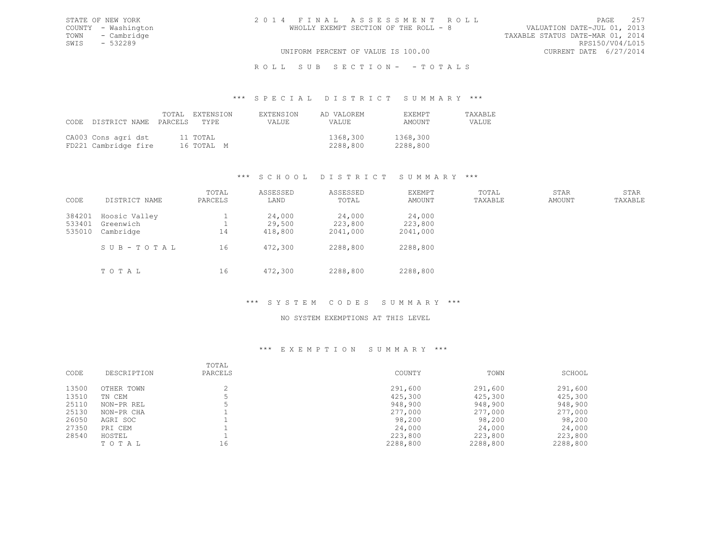TOWN - Cambridge TAXABLE STATUS DATE-MAR 01, 2014<br>SWIS - 532289 RPS150/V04/L015 SWIS - 532289<br>UNIFORM PERCENT OF VALUE IS 100.00

# UNIFORM PERCENT OF VALUE IS 100.00

## R O L L S U B S E C T I O N - - T O T A L S

### \*\*\* S P E C I A L D I S T R I C T S U M M A R Y \*\*\*

| CODE DISTRICT NAME PARCELS TYPE             | TOTAL EXTENSION        | <b>EXTENSION</b><br>VALUE. | AD VALOREM<br><b>VALUE</b> | <b>FXEMPT</b><br>AMOUNT | <b>TAXABLE</b><br>VALUE. |
|---------------------------------------------|------------------------|----------------------------|----------------------------|-------------------------|--------------------------|
| CA003 Cons agri dst<br>FD221 Cambridge fire | 11 TOTAL<br>16 ТОТАЬ М |                            | 1368,300<br>2288,800       | 1368,300<br>2288,800    |                          |

## \*\*\* S C H O O L D I S T R I C T S U M M A R Y \*\*\*

| CODE                       | DISTRICT NAME                                        | TOTAL<br>PARCELS | ASSESSED<br>LAND                       | ASSESSED<br>TOTAL                         | <b>EXEMPT</b><br>AMOUNT                   | TOTAL<br>TAXABLE | STAR<br>AMOUNT | STAR<br>TAXABLE |
|----------------------------|------------------------------------------------------|------------------|----------------------------------------|-------------------------------------------|-------------------------------------------|------------------|----------------|-----------------|
| 384201<br>533401<br>535010 | Hoosic Valley<br>Greenwich<br>Cambridge<br>SUB-TOTAL | 14<br>16         | 24,000<br>29,500<br>418,800<br>472,300 | 24,000<br>223,800<br>2041,000<br>2288,800 | 24,000<br>223,800<br>2041,000<br>2288,800 |                  |                |                 |
|                            | TOTAL                                                | 16               | 472,300                                | 2288,800                                  | 2288,800                                  |                  |                |                 |

## \*\*\* S Y S T E M C O D E S S U M M A R Y \*\*\*

## NO SYSTEM EXEMPTIONS AT THIS LEVEL

| CODE  | DESCRIPTION | TOTAL<br>PARCELS | COUNTY   | TOWN     | SCHOOL   |
|-------|-------------|------------------|----------|----------|----------|
| 13500 | OTHER TOWN  |                  | 291,600  | 291,600  | 291,600  |
| 13510 | TN CEM      |                  | 425,300  | 425,300  | 425,300  |
| 25110 | NON-PR REL  |                  | 948,900  | 948,900  | 948,900  |
| 25130 | NON-PR CHA  |                  | 277,000  | 277,000  | 277,000  |
| 26050 | AGRI SOC    |                  | 98,200   | 98,200   | 98,200   |
| 27350 | PRI CEM     |                  | 24,000   | 24,000   | 24,000   |
| 28540 | HOSTEL      |                  | 223,800  | 223,800  | 223,800  |
|       | TOTAL       | 16               | 2288,800 | 2288,800 | 2288,800 |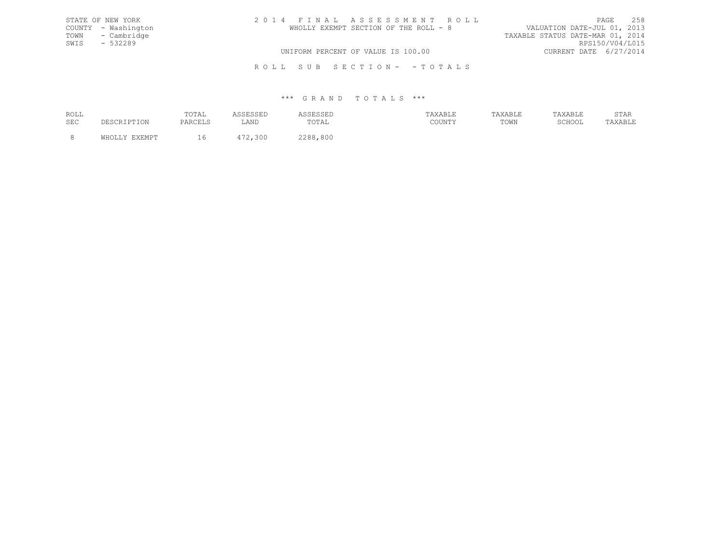| STATE OF NEW YORK   | 2014 FINAL ASSESSMENT ROLL            | 2.58<br>PAGE                     |
|---------------------|---------------------------------------|----------------------------------|
| COUNTY - Washington | WHOLLY EXEMPT SECTION OF THE ROLL - 8 | VALUATION DATE-JUL 01, 2013      |
| TOWN - Cambridge    |                                       | TAXABLE STATUS DATE-MAR 01, 2014 |
| SWIS - 532289       |                                       | RPS150/V04/L015                  |
|                     | UNIFORM PERCENT OF VALUE IS 100.00    | CURRENT DATE 6/27/2014           |
|                     |                                       |                                  |

R O L L S U B S E C T I O N - - T O T A L S

| ROLL       | TOTAT<br>101111<br>the contract of the contract of the |               |                              | --------- | --------- | $\cap$ m $\geq$ n<br>STAK |
|------------|--------------------------------------------------------|---------------|------------------------------|-----------|-----------|---------------------------|
| <b>SEC</b> |                                                        | 7.37T<br>படிப | TOTA<br>-- 0 - 1 - 1 - 1 - 1 | TOWN      | 101100    |                           |
|            |                                                        |               | 800                          |           |           |                           |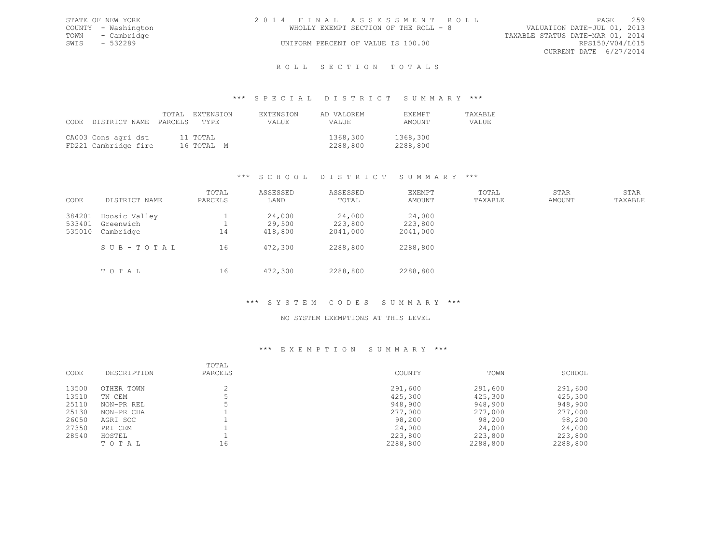|      | STATE OF NEW YORK   | 2014 FINAL ASSESSMENT ROLL |                                       |                                  |                        | PAGE | 2.59 |
|------|---------------------|----------------------------|---------------------------------------|----------------------------------|------------------------|------|------|
|      | COUNTY - Washington |                            | WHOLLY EXEMPT SECTION OF THE ROLL - 8 | VALUATION DATE-JUL 01, 2013      |                        |      |      |
|      | TOWN - Cambridge    |                            |                                       | TAXABLE STATUS DATE-MAR 01, 2014 |                        |      |      |
| SWIS | $-532289$           |                            | UNIFORM PERCENT OF VALUE IS 100.00    |                                  | RPS150/V04/L015        |      |      |
|      |                     |                            |                                       |                                  | CURRENT DATE 6/27/2014 |      |      |
|      |                     |                            |                                       |                                  |                        |      |      |

# ROLL SECTION TOTALS

### \*\*\* S P E C I A L D I S T R I C T S U M M A R Y \*\*\*

| CODE DISTRICT NAME PARCELS                  | TOTAL EXTENSION<br>TYPE | <b>EXTENSION</b><br>VALUE | AD VALOREM<br>VALUE  | <b>FXEMPT</b><br>AMOUNT | <b>TAXABLE</b><br>VALUE |
|---------------------------------------------|-------------------------|---------------------------|----------------------|-------------------------|-------------------------|
| CA003 Cons agri dst<br>FD221 Cambridge fire | 11 TOTAL<br>16 ТОТАЬ М  |                           | 1368,300<br>2288,800 | 1368,300<br>2288,800    |                         |

# \*\*\* S C H O O L D I S T R I C T S U M M A R Y \*\*\*

| CODE                       | DISTRICT NAME                           | TOTAL<br>PARCELS | ASSESSED<br>LAND            | ASSESSED<br>TOTAL             | <b>EXEMPT</b><br>AMOUNT       | TOTAL<br>TAXABLE | STAR<br>AMOUNT | STAR<br>TAXABLE |
|----------------------------|-----------------------------------------|------------------|-----------------------------|-------------------------------|-------------------------------|------------------|----------------|-----------------|
| 384201<br>533401<br>535010 | Hoosic Valley<br>Greenwich<br>Cambridge | 14               | 24,000<br>29,500<br>418,800 | 24,000<br>223,800<br>2041,000 | 24,000<br>223,800<br>2041,000 |                  |                |                 |
|                            | SUB-TOTAL<br>TOTAL                      | 16<br>16         | 472,300<br>472,300          | 2288,800<br>2288,800          | 2288,800<br>2288,800          |                  |                |                 |

## \*\*\* S Y S T E M C O D E S S U M M A R Y \*\*\*

### NO SYSTEM EXEMPTIONS AT THIS LEVEL

|       |             | TOTAL   |          |          |          |
|-------|-------------|---------|----------|----------|----------|
| CODE  | DESCRIPTION | PARCELS | COUNTY   | TOWN     | SCHOOL   |
| 13500 | OTHER TOWN  |         | 291,600  | 291,600  | 291,600  |
| 13510 | TN CEM      |         | 425,300  | 425,300  | 425,300  |
| 25110 | NON-PR REL  |         | 948,900  | 948,900  | 948,900  |
| 25130 | NON-PR CHA  |         | 277,000  | 277,000  | 277,000  |
| 26050 | AGRI SOC    |         | 98,200   | 98,200   | 98,200   |
| 27350 | PRI CEM     |         | 24,000   | 24,000   | 24,000   |
| 28540 | HOSTEL      |         | 223,800  | 223,800  | 223,800  |
|       | TOTAL       | 16      | 2288,800 | 2288,800 | 2288,800 |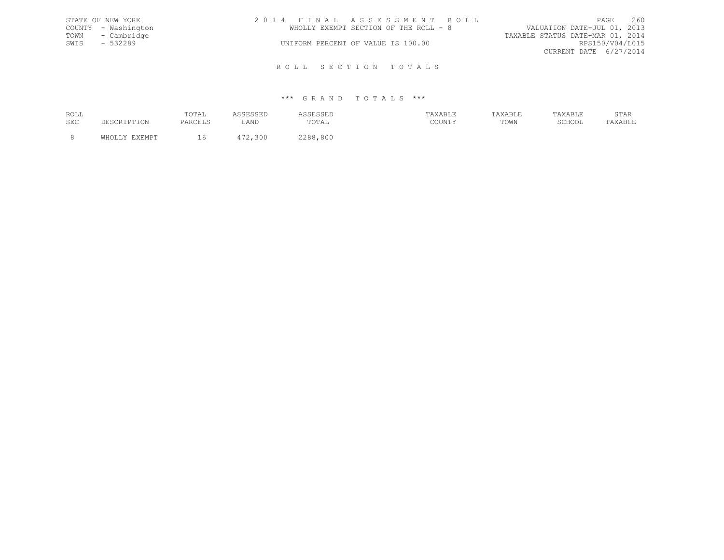|      | STATE OF NEW YORK   | 2014 FINAL ASSESSMENT ROLL            |                             | PAGE | 260 |
|------|---------------------|---------------------------------------|-----------------------------|------|-----|
|      | COUNTY - Washington | WHOLLY EXEMPT SECTION OF THE ROLL - 8 | VALUATION DATE-JUL 01, 2013 |      |     |
|      | TOWN - Cambridge    | TAXABLE STATUS DATE-MAR 01, 2014      |                             |      |     |
| SWIS | - 532289            | UNIFORM PERCENT OF VALUE IS 100.00    | RPS150/V04/L015             |      |     |
|      |                     |                                       | CURRENT DATE 6/27/2014      |      |     |
|      |                     |                                       |                             |      |     |

R O L L S E C T I O N T O T A L S

| ROLL |               | TOTAL                |         |         | <b>XABLE</b> | "AXABLE |        | STAR    |
|------|---------------|----------------------|---------|---------|--------------|---------|--------|---------|
| SEC  | DESCRIPTION   | PARCELS<br>: ANUL LO | LAND    | TOTAL   | COUNTY       | TOWN    | SCHOOL | TAXABLE |
|      | <b>EVEMDT</b> |                      | 472,300 | 288,800 |              |         |        |         |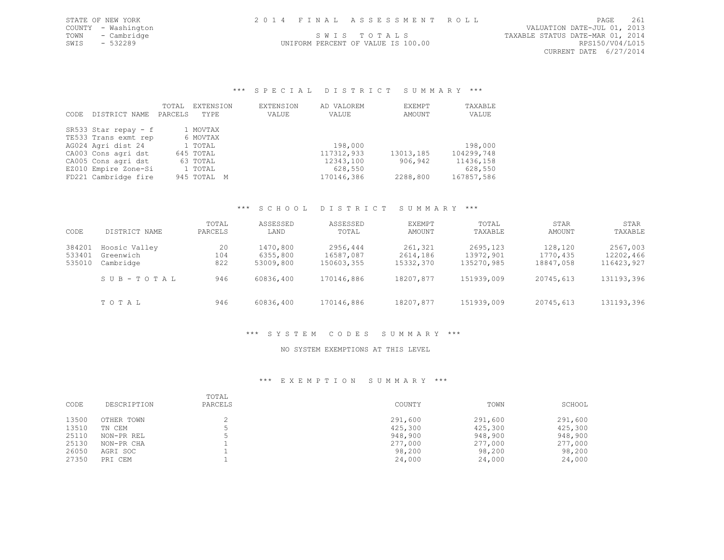|      | STATE OF NEW YORK   | 2014 FINAL ASSESSMENT ROLL                      | PAGE                        | 261 |
|------|---------------------|-------------------------------------------------|-----------------------------|-----|
|      | COUNTY - Washington |                                                 | VALUATION DATE-JUL 01, 2013 |     |
|      | TOWN - Cambridge    | TAXABLE STATUS DATE-MAR 01, 2014<br>SWIS TOTALS |                             |     |
| SWIS | $-532289$           | UNIFORM PERCENT OF VALUE IS 100.00              | RPS150/V04/L015             |     |
|      |                     |                                                 | CURRENT DATE 6/27/2014      |     |

\*\*\* S P E C I A L D I S T R I C T S U M M A R Y \*\*\*

|      |                      | TOTAL   | EXTENSION   | EXTENSION | AD VALOREM | EXEMPT    | TAXABLE    |
|------|----------------------|---------|-------------|-----------|------------|-----------|------------|
| CODE | DISTRICT NAME        | PARCELS | TYPE        | VALUE     | VALUE      | AMOUNT    | VALUE      |
|      |                      |         |             |           |            |           |            |
|      | SR533 Star repay - f |         | 1 MOVTAX    |           |            |           |            |
|      | TE533 Trans exmt rep |         | 6 MOVTAX    |           |            |           |            |
|      | AG024 Agri dist 24   |         | 1 TOTAL     |           | 198,000    |           | 198,000    |
|      | CA003 Cons agri dst  |         | 645 TOTAL   |           | 117312,933 | 13013,185 | 104299,748 |
|      | CA005 Cons agri dst  |         | 63 TOTAL    |           | 12343,100  | 906,942   | 11436,158  |
|      | EZ010 Empire Zone-Si |         | 1 TOTAL     |           | 628,550    |           | 628,550    |
|      | FD221 Cambridge fire |         | 945 TOTAL M |           | 170146,386 | 2288,800  | 167857,586 |

# \*\*\* S C H O O L D I S T R I C T S U M M A R Y \*\*\*

| CODE                       | DISTRICT NAME                           | TOTAL<br>PARCELS | ASSESSED<br>LAND                  | ASSESSED<br>TOTAL                   | EXEMPT<br>AMOUNT                 | TOTAL<br>TAXABLE                    | STAR<br>AMOUNT                   | STAR<br>TAXABLE                     |
|----------------------------|-----------------------------------------|------------------|-----------------------------------|-------------------------------------|----------------------------------|-------------------------------------|----------------------------------|-------------------------------------|
| 384201<br>533401<br>535010 | Hoosic Valley<br>Greenwich<br>Cambridge | 20<br>104<br>822 | 1470,800<br>6355,800<br>53009,800 | 2956,444<br>16587,087<br>150603,355 | 261,321<br>2614,186<br>15332,370 | 2695,123<br>13972,901<br>135270,985 | 128,120<br>1770,435<br>18847,058 | 2567,003<br>12202,466<br>116423,927 |
|                            | SUB-TOTAL                               | 946              | 60836,400                         | 170146,886                          | 18207,877                        | 151939,009                          | 20745,613                        | 131193,396                          |
|                            | TOTAL                                   | 946              | 60836,400                         | 170146,886                          | 18207,877                        | 151939,009                          | 20745,613                        | 131193,396                          |

## \*\*\* S Y S T E M C O D E S S U M M A R Y \*\*\*

## NO SYSTEM EXEMPTIONS AT THIS LEVEL

| CODE  | DESCRIPTION | TOTAL<br>PARCELS | COUNTY  | TOWN    | SCHOOL  |
|-------|-------------|------------------|---------|---------|---------|
| 13500 | OTHER TOWN  |                  | 291,600 | 291,600 | 291,600 |
| 13510 | TN CEM      |                  | 425,300 | 425,300 | 425,300 |
| 25110 | NON-PR REL  |                  | 948,900 | 948,900 | 948,900 |
| 25130 | NON-PR CHA  |                  | 277,000 | 277,000 | 277,000 |
| 26050 | AGRI SOC    |                  | 98,200  | 98,200  | 98,200  |
| 27350 | PRI CEM     |                  | 24,000  | 24,000  | 24,000  |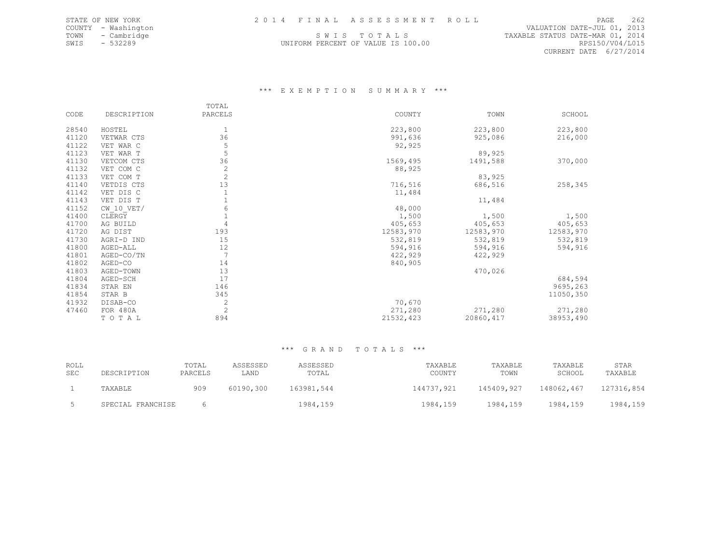TOWN - Cambridge S W I S T O T A L S TAXABLE STATUS DATE-MAR 01, 2014 SWIS - 532289 UNIFORM PERCENT OF VALUE IS 100.00 RPS150/V04/L015

COUNTY - Washington VALUATION DATE-JUL 01, 2013 CURRENT DATE 6/27/2014

## \*\*\* E X E M P T I O N S U M M A R Y \*\*\*

|       |                | TOTAL          |           |            |           |
|-------|----------------|----------------|-----------|------------|-----------|
| CODE  | DESCRIPTION    | PARCELS        | COUNTY    | TOWN       | SCHOOL    |
| 28540 | HOSTEL         |                | 223,800   | 223,800    | 223,800   |
| 41120 |                | 36             |           |            |           |
|       | VETWAR CTS     |                | 991,636   | 925,086    | 216,000   |
| 41122 | VET WAR C      | 5              | 92,925    |            |           |
| 41123 | VET WAR T      | 5              |           | 89,925     |           |
| 41130 | VETCOM CTS     | 36             | 1569,495  | 1491,588   | 370,000   |
| 41132 | VET COM C      | $\mathbf{2}$   | 88,925    |            |           |
| 41133 | VET COM T      | $\mathbf{2}$   |           | 83,925     |           |
| 41140 | VETDIS CTS     | 13             | 716,516   | 686,516    | 258,345   |
| 41142 | VET DIS C      |                | 11,484    |            |           |
| 41143 | VET DIS T      |                |           | 11,484     |           |
| 41152 | $CW$ 10 $VET/$ | 6              | 48,000    |            |           |
| 41400 | CLERGY         |                | 1,500     | 1,500      | 1,500     |
| 41700 | AG BUILD       | 4              | 405,653   | 405,653    | 405,653   |
| 41720 | AG DIST        | 193            | 12583,970 | 12583,970  | 12583,970 |
| 41730 | AGRI-D IND     | 15             | 532,819   | 532,819    | 532,819   |
| 41800 | AGED-ALL       | 12             | 594,916   | 594,916    | 594,916   |
| 41801 | AGED-CO/TN     | 7              | 422,929   | 422,929    |           |
| 41802 | AGED-CO        | 14             | 840,905   |            |           |
| 41803 | AGED-TOWN      | 13             |           | 470,026    |           |
| 41804 | AGED-SCH       | 17             |           |            | 684,594   |
| 41834 | STAR EN        | 146            |           |            | 9695,263  |
| 41854 | STAR B         | 345            |           |            | 11050,350 |
| 41932 | DISAB-CO       | 2              | 70,670    |            |           |
| 47460 | FOR 480A       | $\overline{c}$ | 271,280   | 271,280    | 271,280   |
|       | TOTAL          | 894            | 21532,423 | 20860, 417 | 38953,490 |

| ROLL<br>SEC | DESCRIPTION       | TOTAL<br>PARCELS | ASSESSED<br>LAND | ASSESSED<br>TOTAL | TAXABLE<br>COUNTY | TAXABLE<br>TOWN | TAXABLE<br>SCHOOL | STAR<br>TAXABLE |
|-------------|-------------------|------------------|------------------|-------------------|-------------------|-----------------|-------------------|-----------------|
|             | TAXABLE           | 909              | 60190,300        | 163981,544        | 144737,921        | 145409,927      | 148062,467        | 127316,854      |
|             | SPECIAL FRANCHISE |                  |                  | 1984,159          | 1984,159          | 1984,159        | 1984,159          | 1984,159        |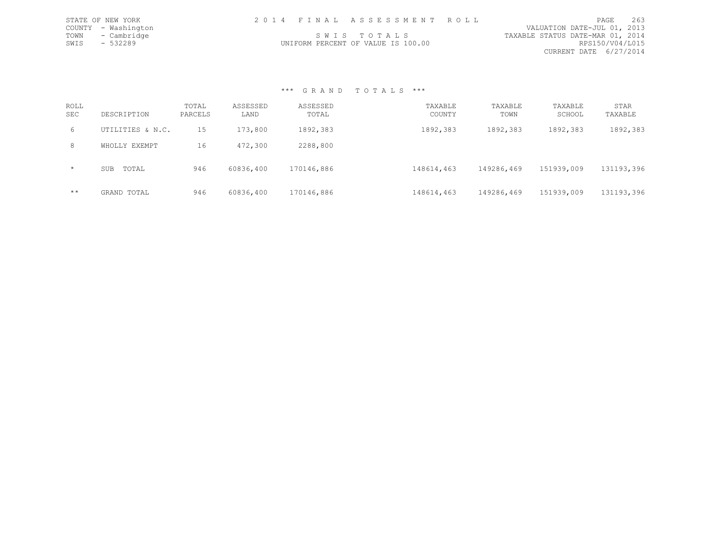|      | STATE OF NEW YORK   | 2014 FINAL ASSESSMENT ROLL         |  |                                  | PAGE            | 263 |
|------|---------------------|------------------------------------|--|----------------------------------|-----------------|-----|
|      | COUNTY - Washington |                                    |  | VALUATION DATE-JUL 01, 2013      |                 |     |
|      | TOWN - Cambridge    | SWIS TOTALS                        |  | TAXABLE STATUS DATE-MAR 01, 2014 |                 |     |
| SWIS | - 532289            | UNIFORM PERCENT OF VALUE IS 100.00 |  |                                  | RPS150/V04/L015 |     |
|      |                     |                                    |  | CURRENT DATE 6/27/2014           |                 |     |

| ROLL<br>SEC | DESCRIPTION         | TOTAL<br>PARCELS | ASSESSED<br>LAND | ASSESSED<br>TOTAL | TAXABLE<br>COUNTY | TAXABLE<br>TOWN | TAXABLE<br>SCHOOL | STAR<br>TAXABLE |
|-------------|---------------------|------------------|------------------|-------------------|-------------------|-----------------|-------------------|-----------------|
| 6           | UTILITIES & N.C.    | 15               | 173,800          | 1892,383          | 1892,383          | 1892,383        | 1892,383          | 1892,383        |
| 8           | WHOLLY EXEMPT       | 16               | 472,300          | 2288,800          |                   |                 |                   |                 |
| $\star$     | TOTAL<br><b>SUB</b> | 946              | 60836,400        | 170146,886        | 148614,463        | 149286,469      | 151939,009        | 131193,396      |
| $***$       | GRAND TOTAL         | 946              | 60836,400        | 170146,886        | 148614,463        | 149286,469      | 151939,009        | 131193,396      |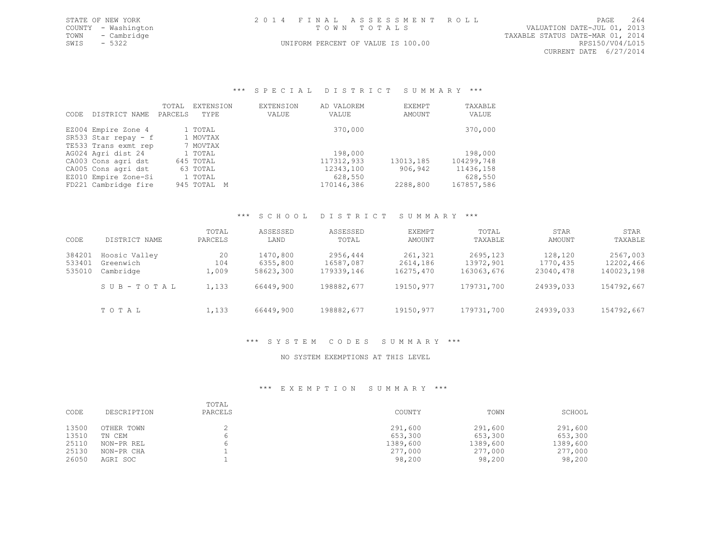| STATE OF NEW YORK   |  | 2014 FINAL ASSESSMENT ROLL         |                                  | PAGE                   | 264 |
|---------------------|--|------------------------------------|----------------------------------|------------------------|-----|
| COUNTY - Washington |  | TOWN TOTALS                        | VALUATION DATE-JUL 01, 2013      |                        |     |
| TOWN - Cambridge    |  |                                    | TAXABLE STATUS DATE-MAR 01, 2014 |                        |     |
| $-5322$<br>SWIS     |  | UNIFORM PERCENT OF VALUE IS 100.00 |                                  | RPS150/V04/L015        |     |
|                     |  |                                    |                                  | CURRENT DATE 6/27/2014 |     |

\*\*\* S P E C I A L D I S T R I C T S U M M A R Y \*\*\*

| CODE | DISTRICT NAME        | TOTAL<br>PARCELS | EXTENSION<br>TYPE | EXTENSION<br>VALUE | AD VALOREM<br>VALUE | EXEMPT<br>AMOUNT | TAXABLE<br>VALUE |
|------|----------------------|------------------|-------------------|--------------------|---------------------|------------------|------------------|
|      | EZ004 Empire Zone 4  |                  | 1 TOTAL           |                    | 370,000             |                  | 370,000          |
|      | SR533 Star repay - f |                  | 1 MOVTAX          |                    |                     |                  |                  |
|      | TE533 Trans exmt rep |                  | 7 MOVTAX          |                    |                     |                  |                  |
|      | AG024 Agri dist 24   |                  | 1 TOTAL           |                    | 198,000             |                  | 198,000          |
|      | CA003 Cons agri dst  |                  | 645 TOTAL         |                    | 117312,933          | 13013,185        | 104299,748       |
|      | CA005 Cons agri dst  |                  | 63 TOTAL          |                    | 12343,100           | 906,942          | 11436,158        |
|      | EZ010 Empire Zone-Si |                  | 1 TOTAL           |                    | 628,550             |                  | 628,550          |
|      | FD221 Cambridge fire |                  | 945 TOTAL M       |                    | 170146,386          | 2288,800         | 167857,586       |

### \*\*\* S C H O O L D I S T R I C T S U M M A R Y \*\*\*

| CODE                       | DISTRICT NAME                           | TOTAL<br>PARCELS   | ASSESSED<br>LAND                  | ASSESSED<br>TOTAL                   | EXEMPT<br>AMOUNT                 | TOTAL<br>TAXABLE                    | STAR<br>AMOUNT                   | STAR<br>TAXABLE                     |
|----------------------------|-----------------------------------------|--------------------|-----------------------------------|-------------------------------------|----------------------------------|-------------------------------------|----------------------------------|-------------------------------------|
| 384201<br>533401<br>535010 | Hoosic Valley<br>Greenwich<br>Cambridge | 20<br>104<br>1,009 | 1470,800<br>6355,800<br>58623,300 | 2956,444<br>16587,087<br>179339,146 | 261,321<br>2614,186<br>16275,470 | 2695,123<br>13972,901<br>163063,676 | 128,120<br>1770,435<br>23040,478 | 2567,003<br>12202,466<br>140023,198 |
|                            | SUB-TOTAL                               | 1,133              | 66449,900                         | 198882,677                          | 19150,977                        | 179731,700                          | 24939,033                        | 154792,667                          |
|                            | TOTAL                                   | 1,133              | 66449,900                         | 198882,677                          | 19150,977                        | 179731,700                          | 24939,033                        | 154792,667                          |

# \*\*\* S Y S T E M C O D E S S U M M A R Y \*\*\*

## NO SYSTEM EXEMPTIONS AT THIS LEVEL

| CODE           | DESCRIPTION          | TOTAL<br>PARCELS | COUNTY              | TOWN                | SCHOOL              |
|----------------|----------------------|------------------|---------------------|---------------------|---------------------|
| 13500          | OTHER TOWN           |                  | 291,600             | 291,600             | 291,600             |
| 13510<br>25110 | TN CEM<br>NON-PR REL |                  | 653,300<br>1389,600 | 653,300<br>1389,600 | 653,300<br>1389,600 |
| 25130          | NON-PR CHA           |                  | 277,000             | 277,000             | 277,000             |
| 26050          | AGRI SOC             |                  | 98,200              | 98,200              | 98,200              |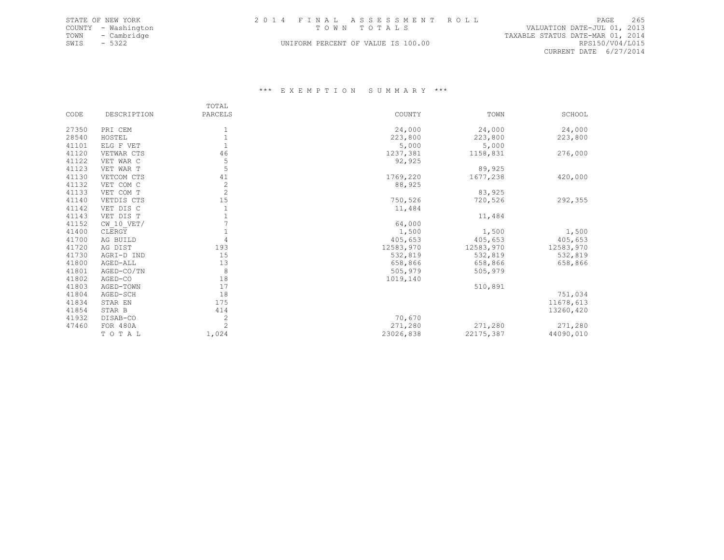|                                    |                            | PAGE | 265                                                                                                                                                                                                   |
|------------------------------------|----------------------------|------|-------------------------------------------------------------------------------------------------------------------------------------------------------------------------------------------------------|
| TOWN TOTALS                        |                            |      |                                                                                                                                                                                                       |
|                                    |                            |      |                                                                                                                                                                                                       |
| UNIFORM PERCENT OF VALUE IS 100.00 |                            |      |                                                                                                                                                                                                       |
|                                    | 2014 FINAL ASSESSMENT ROLL |      | VALUATION DATE-JUL 01, 2013<br>TAXABLE STATUS DATE-MAR 01, 2014<br>RPS150/V04/L015<br>the contract of the contract of the contract of the contract of the contract of the contract of the contract of |

CURRENT DATE 6/27/2014

|       |              | TOTAL          |           |           |           |
|-------|--------------|----------------|-----------|-----------|-----------|
| CODE  | DESCRIPTION  | PARCELS        | COUNTY    | TOWN      | SCHOOL    |
| 27350 | PRI CEM      |                | 24,000    | 24,000    | 24,000    |
| 28540 | HOSTEL       |                | 223,800   | 223,800   | 223,800   |
| 41101 | ELG F VET    |                | 5,000     | 5,000     |           |
| 41120 | VETWAR CTS   | 46             | 1237,381  | 1158,831  | 276,000   |
| 41122 | VET WAR C    | 5              | 92,925    |           |           |
| 41123 | VET WAR T    | 5              |           | 89,925    |           |
| 41130 | VETCOM CTS   | 41             | 1769,220  | 1677,238  | 420,000   |
| 41132 | VET COM C    | $\overline{c}$ | 88,925    |           |           |
| 41133 | VET COM T    | $\overline{2}$ |           | 83,925    |           |
| 41140 | VETDIS CTS   | 15             | 750,526   | 720,526   | 292,355   |
| 41142 | VET DIS C    |                | 11,484    |           |           |
| 41143 | VET DIS T    |                |           | 11,484    |           |
| 41152 | $CW$ 10 VET/ |                | 64,000    |           |           |
| 41400 | CLERGY       |                | 1,500     | 1,500     | 1,500     |
| 41700 | AG BUILD     | 4              | 405,653   | 405,653   | 405,653   |
| 41720 | AG DIST      | 193            | 12583,970 | 12583,970 | 12583,970 |
| 41730 | AGRI-D IND   | 15             | 532,819   | 532,819   | 532,819   |
| 41800 | AGED-ALL     | 13             | 658,866   | 658,866   | 658,866   |
| 41801 | AGED-CO/TN   | 8              | 505,979   | 505,979   |           |
| 41802 | AGED-CO      | 18             | 1019,140  |           |           |
| 41803 | AGED-TOWN    | 17             |           | 510,891   |           |
| 41804 | AGED-SCH     | 18             |           |           | 751,034   |
| 41834 | STAR EN      | 175            |           |           | 11678,613 |
| 41854 | STAR B       | 414            |           |           | 13260,420 |
| 41932 | DISAB-CO     | $\overline{c}$ | 70,670    |           |           |
| 47460 | FOR 480A     | $\overline{c}$ | 271,280   | 271,280   | 271,280   |
|       | TOTAL        | 1,024          | 23026,838 | 22175,387 | 44090,010 |